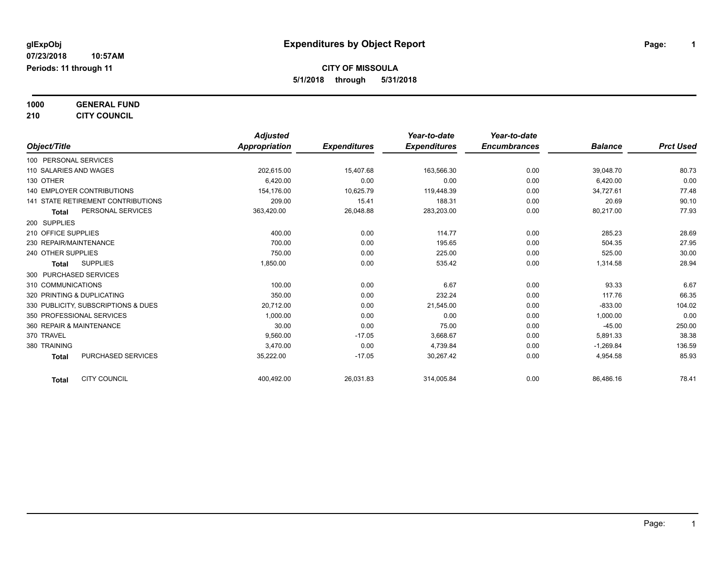**1000 GENERAL FUND**

**210 CITY COUNCIL**

|                                           | <b>Adjusted</b> |                     | Year-to-date        | Year-to-date        |                |                  |
|-------------------------------------------|-----------------|---------------------|---------------------|---------------------|----------------|------------------|
| Object/Title                              | Appropriation   | <b>Expenditures</b> | <b>Expenditures</b> | <b>Encumbrances</b> | <b>Balance</b> | <b>Prct Used</b> |
| 100 PERSONAL SERVICES                     |                 |                     |                     |                     |                |                  |
| 110 SALARIES AND WAGES                    | 202,615.00      | 15,407.68           | 163,566.30          | 0.00                | 39,048.70      | 80.73            |
| 130 OTHER                                 | 6,420.00        | 0.00                | 0.00                | 0.00                | 6,420.00       | 0.00             |
| <b>140 EMPLOYER CONTRIBUTIONS</b>         | 154,176.00      | 10,625.79           | 119,448.39          | 0.00                | 34,727.61      | 77.48            |
| <b>141 STATE RETIREMENT CONTRIBUTIONS</b> | 209.00          | 15.41               | 188.31              | 0.00                | 20.69          | 90.10            |
| PERSONAL SERVICES<br><b>Total</b>         | 363,420.00      | 26,048.88           | 283,203.00          | 0.00                | 80,217.00      | 77.93            |
| 200 SUPPLIES                              |                 |                     |                     |                     |                |                  |
| 210 OFFICE SUPPLIES                       | 400.00          | 0.00                | 114.77              | 0.00                | 285.23         | 28.69            |
| 230 REPAIR/MAINTENANCE                    | 700.00          | 0.00                | 195.65              | 0.00                | 504.35         | 27.95            |
| 240 OTHER SUPPLIES                        | 750.00          | 0.00                | 225.00              | 0.00                | 525.00         | 30.00            |
| <b>SUPPLIES</b><br><b>Total</b>           | 1,850.00        | 0.00                | 535.42              | 0.00                | 1,314.58       | 28.94            |
| 300 PURCHASED SERVICES                    |                 |                     |                     |                     |                |                  |
| 310 COMMUNICATIONS                        | 100.00          | 0.00                | 6.67                | 0.00                | 93.33          | 6.67             |
| 320 PRINTING & DUPLICATING                | 350.00          | 0.00                | 232.24              | 0.00                | 117.76         | 66.35            |
| 330 PUBLICITY, SUBSCRIPTIONS & DUES       | 20,712.00       | 0.00                | 21,545.00           | 0.00                | $-833.00$      | 104.02           |
| 350 PROFESSIONAL SERVICES                 | 1,000.00        | 0.00                | 0.00                | 0.00                | 1,000.00       | 0.00             |
| 360 REPAIR & MAINTENANCE                  | 30.00           | 0.00                | 75.00               | 0.00                | $-45.00$       | 250.00           |
| 370 TRAVEL                                | 9.560.00        | $-17.05$            | 3,668.67            | 0.00                | 5,891.33       | 38.38            |
| 380 TRAINING                              | 3,470.00        | 0.00                | 4,739.84            | 0.00                | $-1,269.84$    | 136.59           |
| PURCHASED SERVICES<br><b>Total</b>        | 35,222.00       | $-17.05$            | 30,267.42           | 0.00                | 4,954.58       | 85.93            |
| <b>CITY COUNCIL</b><br><b>Total</b>       | 400,492.00      | 26,031.83           | 314,005.84          | 0.00                | 86,486.16      | 78.41            |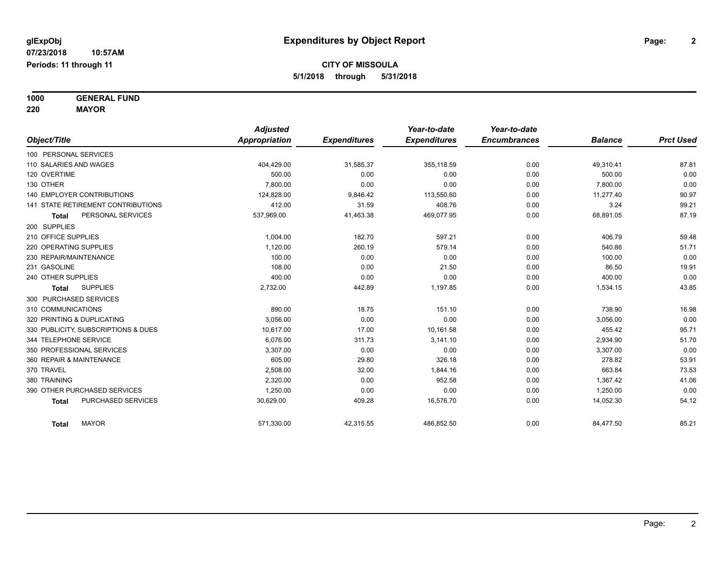**1000 GENERAL FUND**

**220 MAYOR** *Object/Title Adjusted Appropriation Expenditures Year-to-date Expenditures Year-to-date Encumbrances Balance Prct Used* 100 PERSONAL SERVICES 110 SALARIES AND WAGES 404,429.00 31,585.37 355,118.59 0.00 49,310.41 87.81 120 OVERTIME 500.00 0.00 0.00 0.00 500.00 0.00 130 OTHER 7,800.00 0.00 0.00 0.00 7,800.00 0.00 140 EMPLOYER CONTRIBUTIONS 124,828.00 0.846.42 113,550.60 0.00 11277.40 11277.40 90.97 141 STATE RETIREMENT CONTRIBUTIONS 412.00 31.59 408.76 0.00 3.24 99.21 **Total** PERSONAL SERVICES 537,969.00 41,463.38 469,077.95 0.00 68,891.05 87.19 200 SUPPLIES 210 OFFICE SUPPLIES 1,004.00 182.70 597.21 0.00 406.79 59.48 220 OPERATING SUPPLIES 200 260.19 1,120.00 260.19 579.14 579.14 0.00 540.86 51.71  $230$  REPAIR/MAINTENANCE  $\hphantom{-}0.00$   $\hphantom{-}0.00$   $\hphantom{-}0.00$   $\hphantom{-}0.00$   $\hphantom{-}0.00$   $\hphantom{-}0.00$   $\hphantom{-}0.00$ 231 GASOLINE 108.00 0.00 21.50 0.00 86.50 19.91 240 OTHER SUPPLIES 400.00 0.00 0.00 0.00 400.00 0.00 **Total** SUPPLIES 2,732.00 442.89 1,197.85 0.00 1,534.15 43.85 300 PURCHASED SERVICES 310 COMMUNICATIONS 890.00 18.75 151.10 0.00 738.90 16.98 320 PRINTING & DUPLICATING 3,056.00 0.00 0.00 0.00 3,056.00 0.00 330 PUBLICITY, SUBSCRIPTIONS & DUES 10.617.00 17.00 0.00 95.71 3141 TELEPHONE SERVICE CONTROL CONTROL CONTROL CONTROL CONTROL CONTROL CONTROL CONTROL CONTROL CONTROL CONTROL CONTROL CONTROL CONTROL CONTROL CONTROL CONTROL CONTROL CONTROL CONTROL CONTROL CONTROL CONTROL CONTROL CONTROL 350 PROFESSIONAL SERVICES 3,307.00 0.00 0.00 0.00 3,307.00 0.00 360 REPAIR & MAINTENANCE 605.00 29.80 326.18 0.00 278.82 53.91 370 TRAVEL 2,508.00 32.00 1,844.16 0.00 663.84 73.53 380 TRAINING 2,320.00 952.58 0.00 1,367.42 41.06 390 OTHER PURCHASED SERVICES 1,250.00 0.00 0.00 0.00 1,250.00 0.00 **Total** PURCHASED SERVICES 64.12 30,629.00 409.28 16,576.70 0.00 14,052.30 54.12 **Total** MAYOR 571,330.00 42,315.55 486,852.50 0.00 84,477.50 85.21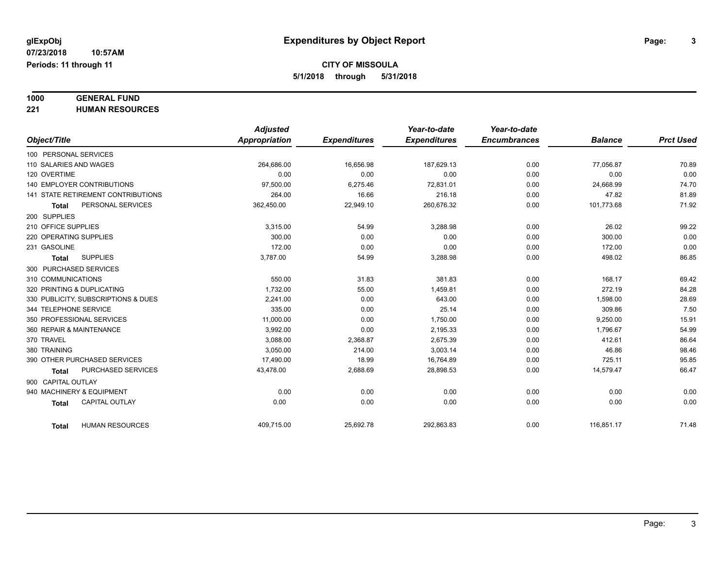# **1000 GENERAL FUND**

**221 HUMAN RESOURCES**

|                                           | <b>Adjusted</b> |                     | Year-to-date        | Year-to-date        |                |                  |
|-------------------------------------------|-----------------|---------------------|---------------------|---------------------|----------------|------------------|
| Object/Title                              | Appropriation   | <b>Expenditures</b> | <b>Expenditures</b> | <b>Encumbrances</b> | <b>Balance</b> | <b>Prct Used</b> |
| 100 PERSONAL SERVICES                     |                 |                     |                     |                     |                |                  |
| 110 SALARIES AND WAGES                    | 264.686.00      | 16,656.98           | 187,629.13          | 0.00                | 77.056.87      | 70.89            |
| 120 OVERTIME                              | 0.00            | 0.00                | 0.00                | 0.00                | 0.00           | 0.00             |
| 140 EMPLOYER CONTRIBUTIONS                | 97,500.00       | 6,275.46            | 72,831.01           | 0.00                | 24,668.99      | 74.70            |
| <b>141 STATE RETIREMENT CONTRIBUTIONS</b> | 264.00          | 16.66               | 216.18              | 0.00                | 47.82          | 81.89            |
| PERSONAL SERVICES<br><b>Total</b>         | 362,450.00      | 22,949.10           | 260,676.32          | 0.00                | 101,773.68     | 71.92            |
| 200 SUPPLIES                              |                 |                     |                     |                     |                |                  |
| 210 OFFICE SUPPLIES                       | 3,315.00        | 54.99               | 3,288.98            | 0.00                | 26.02          | 99.22            |
| 220 OPERATING SUPPLIES                    | 300.00          | 0.00                | 0.00                | 0.00                | 300.00         | 0.00             |
| 231 GASOLINE                              | 172.00          | 0.00                | 0.00                | 0.00                | 172.00         | 0.00             |
| <b>SUPPLIES</b><br><b>Total</b>           | 3,787.00        | 54.99               | 3,288.98            | 0.00                | 498.02         | 86.85            |
| 300 PURCHASED SERVICES                    |                 |                     |                     |                     |                |                  |
| 310 COMMUNICATIONS                        | 550.00          | 31.83               | 381.83              | 0.00                | 168.17         | 69.42            |
| 320 PRINTING & DUPLICATING                | 1,732.00        | 55.00               | 1,459.81            | 0.00                | 272.19         | 84.28            |
| 330 PUBLICITY, SUBSCRIPTIONS & DUES       | 2.241.00        | 0.00                | 643.00              | 0.00                | 1,598.00       | 28.69            |
| 344 TELEPHONE SERVICE                     | 335.00          | 0.00                | 25.14               | 0.00                | 309.86         | 7.50             |
| 350 PROFESSIONAL SERVICES                 | 11,000.00       | 0.00                | 1,750.00            | 0.00                | 9,250.00       | 15.91            |
| 360 REPAIR & MAINTENANCE                  | 3,992.00        | 0.00                | 2,195.33            | 0.00                | 1,796.67       | 54.99            |
| 370 TRAVEL                                | 3,088.00        | 2,368.87            | 2,675.39            | 0.00                | 412.61         | 86.64            |
| 380 TRAINING                              | 3,050.00        | 214.00              | 3,003.14            | 0.00                | 46.86          | 98.46            |
| 390 OTHER PURCHASED SERVICES              | 17,490.00       | 18.99               | 16,764.89           | 0.00                | 725.11         | 95.85            |
| PURCHASED SERVICES<br><b>Total</b>        | 43,478.00       | 2,688.69            | 28,898.53           | 0.00                | 14,579.47      | 66.47            |
| 900 CAPITAL OUTLAY                        |                 |                     |                     |                     |                |                  |
| 940 MACHINERY & EQUIPMENT                 | 0.00            | 0.00                | 0.00                | 0.00                | 0.00           | 0.00             |
| <b>CAPITAL OUTLAY</b><br><b>Total</b>     | 0.00            | 0.00                | 0.00                | 0.00                | 0.00           | 0.00             |
| <b>HUMAN RESOURCES</b><br>Total           | 409,715.00      | 25,692.78           | 292,863.83          | 0.00                | 116,851.17     | 71.48            |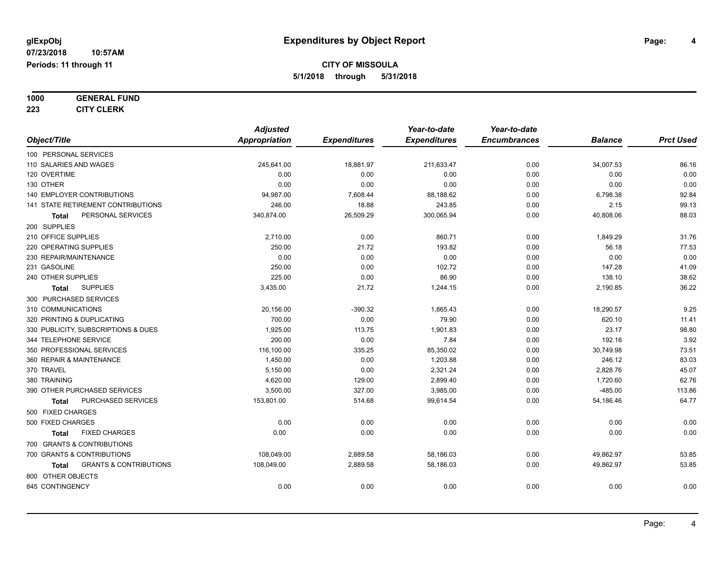# **1000 GENERAL FUND**

**223 CITY CLERK**

|                                                   | <b>Adjusted</b> |                     | Year-to-date        | Year-to-date        |                |                  |
|---------------------------------------------------|-----------------|---------------------|---------------------|---------------------|----------------|------------------|
| Object/Title                                      | Appropriation   | <b>Expenditures</b> | <b>Expenditures</b> | <b>Encumbrances</b> | <b>Balance</b> | <b>Prct Used</b> |
| 100 PERSONAL SERVICES                             |                 |                     |                     |                     |                |                  |
| 110 SALARIES AND WAGES                            | 245,641.00      | 18,881.97           | 211,633.47          | 0.00                | 34,007.53      | 86.16            |
| 120 OVERTIME                                      | 0.00            | 0.00                | 0.00                | 0.00                | 0.00           | 0.00             |
| 130 OTHER                                         | 0.00            | 0.00                | 0.00                | 0.00                | 0.00           | 0.00             |
| 140 EMPLOYER CONTRIBUTIONS                        | 94,987.00       | 7,608.44            | 88,188.62           | 0.00                | 6,798.38       | 92.84            |
| 141 STATE RETIREMENT CONTRIBUTIONS                | 246.00          | 18.88               | 243.85              | 0.00                | 2.15           | 99.13            |
| PERSONAL SERVICES<br>Total                        | 340,874.00      | 26,509.29           | 300,065.94          | 0.00                | 40,808.06      | 88.03            |
| 200 SUPPLIES                                      |                 |                     |                     |                     |                |                  |
| 210 OFFICE SUPPLIES                               | 2,710.00        | 0.00                | 860.71              | 0.00                | 1,849.29       | 31.76            |
| 220 OPERATING SUPPLIES                            | 250.00          | 21.72               | 193.82              | 0.00                | 56.18          | 77.53            |
| 230 REPAIR/MAINTENANCE                            | 0.00            | 0.00                | 0.00                | 0.00                | 0.00           | 0.00             |
| 231 GASOLINE                                      | 250.00          | 0.00                | 102.72              | 0.00                | 147.28         | 41.09            |
| 240 OTHER SUPPLIES                                | 225.00          | 0.00                | 86.90               | 0.00                | 138.10         | 38.62            |
| <b>SUPPLIES</b><br><b>Total</b>                   | 3,435.00        | 21.72               | 1,244.15            | 0.00                | 2,190.85       | 36.22            |
| 300 PURCHASED SERVICES                            |                 |                     |                     |                     |                |                  |
| 310 COMMUNICATIONS                                | 20,156.00       | $-390.32$           | 1,865.43            | 0.00                | 18,290.57      | 9.25             |
| 320 PRINTING & DUPLICATING                        | 700.00          | 0.00                | 79.90               | 0.00                | 620.10         | 11.41            |
| 330 PUBLICITY, SUBSCRIPTIONS & DUES               | 1,925.00        | 113.75              | 1,901.83            | 0.00                | 23.17          | 98.80            |
| 344 TELEPHONE SERVICE                             | 200.00          | 0.00                | 7.84                | 0.00                | 192.16         | 3.92             |
| 350 PROFESSIONAL SERVICES                         | 116,100.00      | 335.25              | 85,350.02           | 0.00                | 30,749.98      | 73.51            |
| 360 REPAIR & MAINTENANCE                          | 1,450.00        | 0.00                | 1,203.88            | 0.00                | 246.12         | 83.03            |
| 370 TRAVEL                                        | 5,150.00        | 0.00                | 2,321.24            | 0.00                | 2,828.76       | 45.07            |
| 380 TRAINING                                      | 4,620.00        | 129.00              | 2,899.40            | 0.00                | 1,720.60       | 62.76            |
| 390 OTHER PURCHASED SERVICES                      | 3,500.00        | 327.00              | 3,985.00            | 0.00                | $-485.00$      | 113.86           |
| PURCHASED SERVICES<br>Total                       | 153,801.00      | 514.68              | 99,614.54           | 0.00                | 54,186.46      | 64.77            |
| 500 FIXED CHARGES                                 |                 |                     |                     |                     |                |                  |
| 500 FIXED CHARGES                                 | 0.00            | 0.00                | 0.00                | 0.00                | 0.00           | 0.00             |
| <b>FIXED CHARGES</b><br>Total                     | 0.00            | 0.00                | 0.00                | 0.00                | 0.00           | 0.00             |
| 700 GRANTS & CONTRIBUTIONS                        |                 |                     |                     |                     |                |                  |
| 700 GRANTS & CONTRIBUTIONS                        | 108,049.00      | 2,889.58            | 58,186.03           | 0.00                | 49,862.97      | 53.85            |
| <b>GRANTS &amp; CONTRIBUTIONS</b><br><b>Total</b> | 108,049.00      | 2,889.58            | 58,186.03           | 0.00                | 49,862.97      | 53.85            |
| 800 OTHER OBJECTS                                 |                 |                     |                     |                     |                |                  |
| 845 CONTINGENCY                                   | 0.00            | 0.00                | 0.00                | 0.00                | 0.00           | 0.00             |
|                                                   |                 |                     |                     |                     |                |                  |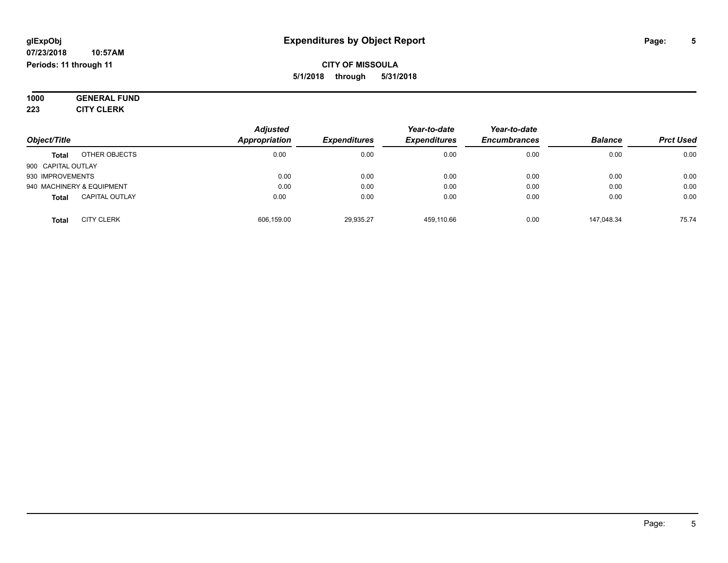#### **07/23/2018 10:57AM Periods: 11 through 11**

## **CITY OF MISSOULA 5/1/2018 through 5/31/2018**

**1000 GENERAL FUND 223 CITY CLERK**

|                    |                           | <b>Adjusted</b> |                     | Year-to-date        | Year-to-date        |                |                  |
|--------------------|---------------------------|-----------------|---------------------|---------------------|---------------------|----------------|------------------|
| Object/Title       |                           | Appropriation   | <b>Expenditures</b> | <b>Expenditures</b> | <b>Encumbrances</b> | <b>Balance</b> | <b>Prct Used</b> |
| <b>Total</b>       | OTHER OBJECTS             | 0.00            | 0.00                | 0.00                | 0.00                | 0.00           | 0.00             |
| 900 CAPITAL OUTLAY |                           |                 |                     |                     |                     |                |                  |
| 930 IMPROVEMENTS   |                           | 0.00            | 0.00                | 0.00                | 0.00                | 0.00           | 0.00             |
|                    | 940 MACHINERY & EQUIPMENT | 0.00            | 0.00                | 0.00                | 0.00                | 0.00           | 0.00             |
| <b>Total</b>       | <b>CAPITAL OUTLAY</b>     | 0.00            | 0.00                | 0.00                | 0.00                | 0.00           | 0.00             |
| <b>Total</b>       | <b>CITY CLERK</b>         | 606.159.00      | 29.935.27           | 459.110.66          | 0.00                | 147.048.34     | 75.74            |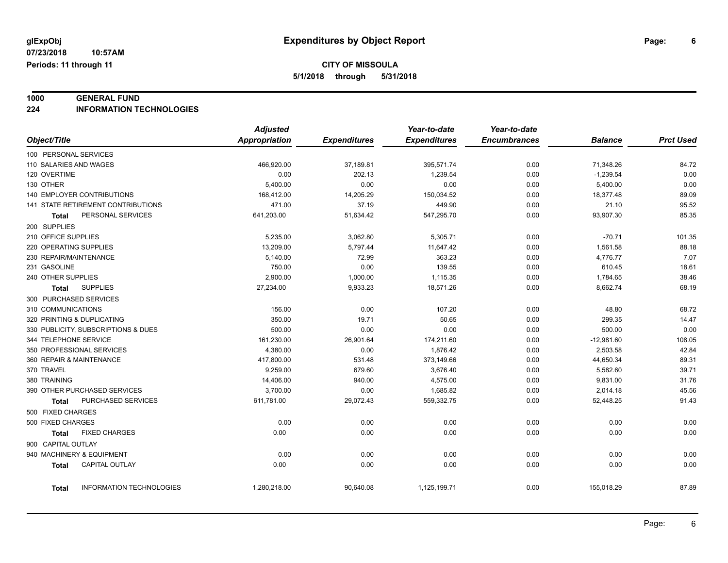#### **1000 GENERAL FUND 224 INFORMATION TECHNOLOGIES**

|                                          | <b>Adjusted</b>      |                     | Year-to-date        | Year-to-date        |                |                  |
|------------------------------------------|----------------------|---------------------|---------------------|---------------------|----------------|------------------|
| Object/Title                             | <b>Appropriation</b> | <b>Expenditures</b> | <b>Expenditures</b> | <b>Encumbrances</b> | <b>Balance</b> | <b>Prct Used</b> |
| 100 PERSONAL SERVICES                    |                      |                     |                     |                     |                |                  |
| 110 SALARIES AND WAGES                   | 466,920.00           | 37,189.81           | 395,571.74          | 0.00                | 71,348.26      | 84.72            |
| 120 OVERTIME                             | 0.00                 | 202.13              | 1,239.54            | 0.00                | $-1,239.54$    | 0.00             |
| 130 OTHER                                | 5,400.00             | 0.00                | 0.00                | 0.00                | 5,400.00       | 0.00             |
| <b>140 EMPLOYER CONTRIBUTIONS</b>        | 168,412.00           | 14,205.29           | 150,034.52          | 0.00                | 18,377.48      | 89.09            |
| 141 STATE RETIREMENT CONTRIBUTIONS       | 471.00               | 37.19               | 449.90              | 0.00                | 21.10          | 95.52            |
| PERSONAL SERVICES<br>Total               | 641,203.00           | 51,634.42           | 547,295.70          | 0.00                | 93,907.30      | 85.35            |
| 200 SUPPLIES                             |                      |                     |                     |                     |                |                  |
| 210 OFFICE SUPPLIES                      | 5,235.00             | 3,062.80            | 5,305.71            | 0.00                | $-70.71$       | 101.35           |
| 220 OPERATING SUPPLIES                   | 13,209.00            | 5,797.44            | 11,647.42           | 0.00                | 1,561.58       | 88.18            |
| 230 REPAIR/MAINTENANCE                   | 5,140.00             | 72.99               | 363.23              | 0.00                | 4,776.77       | 7.07             |
| 231 GASOLINE                             | 750.00               | 0.00                | 139.55              | 0.00                | 610.45         | 18.61            |
| 240 OTHER SUPPLIES                       | 2,900.00             | 1,000.00            | 1,115.35            | 0.00                | 1,784.65       | 38.46            |
| <b>SUPPLIES</b><br><b>Total</b>          | 27,234.00            | 9,933.23            | 18,571.26           | 0.00                | 8,662.74       | 68.19            |
| 300 PURCHASED SERVICES                   |                      |                     |                     |                     |                |                  |
| 310 COMMUNICATIONS                       | 156.00               | 0.00                | 107.20              | 0.00                | 48.80          | 68.72            |
| 320 PRINTING & DUPLICATING               | 350.00               | 19.71               | 50.65               | 0.00                | 299.35         | 14.47            |
| 330 PUBLICITY, SUBSCRIPTIONS & DUES      | 500.00               | 0.00                | 0.00                | 0.00                | 500.00         | 0.00             |
| 344 TELEPHONE SERVICE                    | 161.230.00           | 26,901.64           | 174,211.60          | 0.00                | $-12,981.60$   | 108.05           |
| 350 PROFESSIONAL SERVICES                | 4,380.00             | 0.00                | 1,876.42            | 0.00                | 2,503.58       | 42.84            |
| 360 REPAIR & MAINTENANCE                 | 417,800.00           | 531.48              | 373,149.66          | 0.00                | 44,650.34      | 89.31            |
| 370 TRAVEL                               | 9,259.00             | 679.60              | 3,676.40            | 0.00                | 5,582.60       | 39.71            |
| 380 TRAINING                             | 14,406.00            | 940.00              | 4,575.00            | 0.00                | 9,831.00       | 31.76            |
| 390 OTHER PURCHASED SERVICES             | 3,700.00             | 0.00                | 1,685.82            | 0.00                | 2,014.18       | 45.56            |
| PURCHASED SERVICES<br>Total              | 611,781.00           | 29,072.43           | 559,332.75          | 0.00                | 52,448.25      | 91.43            |
| 500 FIXED CHARGES                        |                      |                     |                     |                     |                |                  |
| 500 FIXED CHARGES                        | 0.00                 | 0.00                | 0.00                | 0.00                | 0.00           | 0.00             |
| <b>FIXED CHARGES</b><br><b>Total</b>     | 0.00                 | 0.00                | 0.00                | 0.00                | 0.00           | 0.00             |
| 900 CAPITAL OUTLAY                       |                      |                     |                     |                     |                |                  |
| 940 MACHINERY & EQUIPMENT                | 0.00                 | 0.00                | 0.00                | 0.00                | 0.00           | 0.00             |
| CAPITAL OUTLAY<br><b>Total</b>           | 0.00                 | 0.00                | 0.00                | 0.00                | 0.00           | 0.00             |
|                                          |                      |                     |                     |                     |                |                  |
| <b>INFORMATION TECHNOLOGIES</b><br>Total | 1,280,218.00         | 90,640.08           | 1,125,199.71        | 0.00                | 155,018.29     | 87.89            |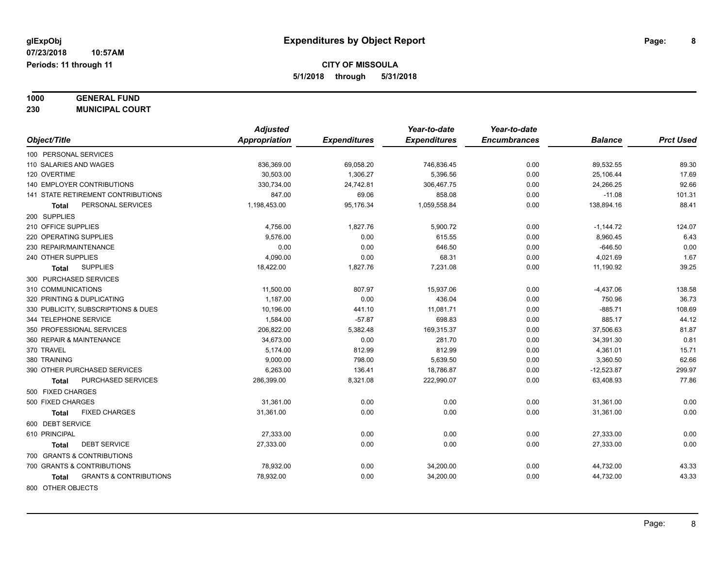**1000 GENERAL FUND 230 MUNICIPAL COURT**

|                                            | <b>Adjusted</b> |                     | Year-to-date        | Year-to-date        |                |                  |
|--------------------------------------------|-----------------|---------------------|---------------------|---------------------|----------------|------------------|
| Object/Title                               | Appropriation   | <b>Expenditures</b> | <b>Expenditures</b> | <b>Encumbrances</b> | <b>Balance</b> | <b>Prct Used</b> |
| 100 PERSONAL SERVICES                      |                 |                     |                     |                     |                |                  |
| 110 SALARIES AND WAGES                     | 836,369.00      | 69,058.20           | 746,836.45          | 0.00                | 89,532.55      | 89.30            |
| 120 OVERTIME                               | 30,503.00       | 1,306.27            | 5,396.56            | 0.00                | 25,106.44      | 17.69            |
| 140 EMPLOYER CONTRIBUTIONS                 | 330,734.00      | 24,742.81           | 306,467.75          | 0.00                | 24,266.25      | 92.66            |
| 141 STATE RETIREMENT CONTRIBUTIONS         | 847.00          | 69.06               | 858.08              | 0.00                | $-11.08$       | 101.31           |
| PERSONAL SERVICES<br>Total                 | 1,198,453.00    | 95,176.34           | 1,059,558.84        | 0.00                | 138,894.16     | 88.41            |
| 200 SUPPLIES                               |                 |                     |                     |                     |                |                  |
| 210 OFFICE SUPPLIES                        | 4,756.00        | 1,827.76            | 5,900.72            | 0.00                | $-1,144.72$    | 124.07           |
| 220 OPERATING SUPPLIES                     | 9,576.00        | 0.00                | 615.55              | 0.00                | 8,960.45       | 6.43             |
| 230 REPAIR/MAINTENANCE                     | 0.00            | 0.00                | 646.50              | 0.00                | $-646.50$      | 0.00             |
| 240 OTHER SUPPLIES                         | 4,090.00        | 0.00                | 68.31               | 0.00                | 4,021.69       | 1.67             |
| <b>SUPPLIES</b><br><b>Total</b>            | 18,422.00       | 1,827.76            | 7,231.08            | 0.00                | 11,190.92      | 39.25            |
| 300 PURCHASED SERVICES                     |                 |                     |                     |                     |                |                  |
| 310 COMMUNICATIONS                         | 11,500.00       | 807.97              | 15,937.06           | 0.00                | $-4,437.06$    | 138.58           |
| 320 PRINTING & DUPLICATING                 | 1,187.00        | 0.00                | 436.04              | 0.00                | 750.96         | 36.73            |
| 330 PUBLICITY, SUBSCRIPTIONS & DUES        | 10,196.00       | 441.10              | 11,081.71           | 0.00                | $-885.71$      | 108.69           |
| 344 TELEPHONE SERVICE                      | 1,584.00        | $-57.87$            | 698.83              | 0.00                | 885.17         | 44.12            |
| 350 PROFESSIONAL SERVICES                  | 206,822.00      | 5,382.48            | 169,315.37          | 0.00                | 37,506.63      | 81.87            |
| 360 REPAIR & MAINTENANCE                   | 34,673.00       | 0.00                | 281.70              | 0.00                | 34,391.30      | 0.81             |
| 370 TRAVEL                                 | 5,174.00        | 812.99              | 812.99              | 0.00                | 4,361.01       | 15.71            |
| 380 TRAINING                               | 9,000.00        | 798.00              | 5,639.50            | 0.00                | 3,360.50       | 62.66            |
| 390 OTHER PURCHASED SERVICES               | 6,263.00        | 136.41              | 18,786.87           | 0.00                | $-12,523.87$   | 299.97           |
| PURCHASED SERVICES<br>Total                | 286,399.00      | 8,321.08            | 222,990.07          | 0.00                | 63,408.93      | 77.86            |
| 500 FIXED CHARGES                          |                 |                     |                     |                     |                |                  |
| 500 FIXED CHARGES                          | 31,361.00       | 0.00                | 0.00                | 0.00                | 31,361.00      | 0.00             |
| <b>FIXED CHARGES</b><br>Total              | 31,361.00       | 0.00                | 0.00                | 0.00                | 31,361.00      | 0.00             |
| 600 DEBT SERVICE                           |                 |                     |                     |                     |                |                  |
| 610 PRINCIPAL                              | 27,333.00       | 0.00                | 0.00                | 0.00                | 27,333.00      | 0.00             |
| <b>DEBT SERVICE</b><br><b>Total</b>        | 27,333.00       | 0.00                | 0.00                | 0.00                | 27,333.00      | 0.00             |
| 700 GRANTS & CONTRIBUTIONS                 |                 |                     |                     |                     |                |                  |
| 700 GRANTS & CONTRIBUTIONS                 | 78,932.00       | 0.00                | 34,200.00           | 0.00                | 44,732.00      | 43.33            |
| <b>GRANTS &amp; CONTRIBUTIONS</b><br>Total | 78,932.00       | 0.00                | 34,200.00           | 0.00                | 44,732.00      | 43.33            |
| 800 OTHER OBJECTS                          |                 |                     |                     |                     |                |                  |
|                                            |                 |                     |                     |                     |                |                  |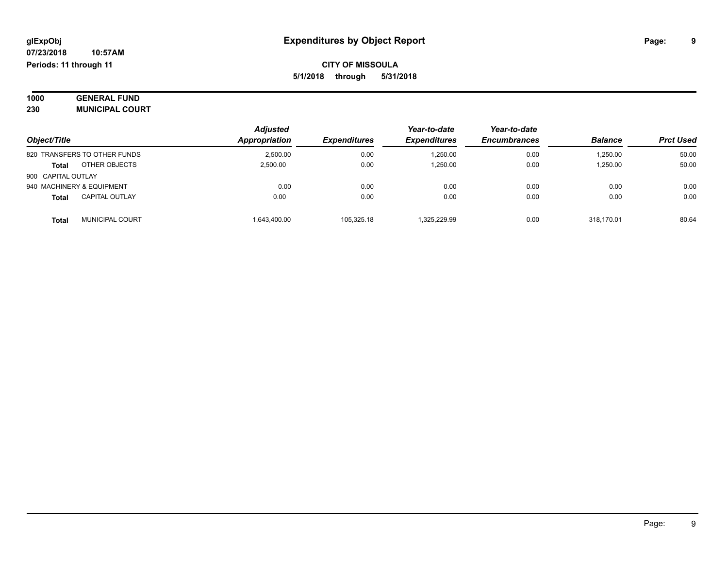| 1000 | <b>GENERAL FUND</b>    |  |
|------|------------------------|--|
| 230  | <b>MUNICIPAL COURT</b> |  |

|                    |                              | <b>Adjusted</b> |                            | Year-to-date        | Year-to-date        |                |                  |
|--------------------|------------------------------|-----------------|----------------------------|---------------------|---------------------|----------------|------------------|
| Object/Title       |                              | Appropriation   | <i><b>Expenditures</b></i> | <b>Expenditures</b> | <b>Encumbrances</b> | <b>Balance</b> | <b>Prct Used</b> |
|                    | 820 TRANSFERS TO OTHER FUNDS | 2.500.00        | 0.00                       | 1.250.00            | 0.00                | 1,250.00       | 50.00            |
| <b>Total</b>       | OTHER OBJECTS                | 2.500.00        | 0.00                       | 1.250.00            | 0.00                | 1.250.00       | 50.00            |
| 900 CAPITAL OUTLAY |                              |                 |                            |                     |                     |                |                  |
|                    | 940 MACHINERY & EQUIPMENT    | 0.00            | 0.00                       | 0.00                | 0.00                | 0.00           | 0.00             |
| <b>Total</b>       | <b>CAPITAL OUTLAY</b>        | 0.00            | 0.00                       | 0.00                | 0.00                | 0.00           | 0.00             |
| Total              | <b>MUNICIPAL COURT</b>       | 1.643.400.00    | 105.325.18                 | 1.325.229.99        | 0.00                | 318.170.01     | 80.64            |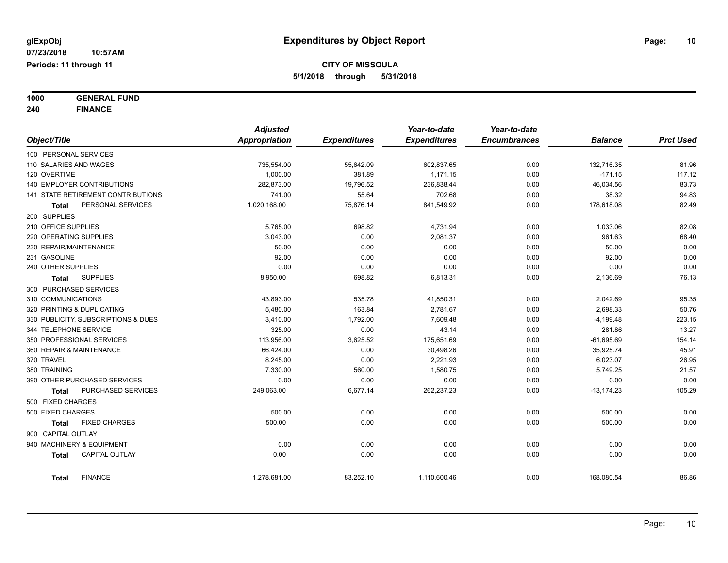**1000 GENERAL FUND 240 FINANCE**

*Object/Title Adjusted Appropriation Expenditures Year-to-date Expenditures Year-to-date Encumbrances Balance Prct Used* 100 PERSONAL SERVICES 110 SALARIES AND WAGES 735,554.00 55,642.09 602,837.65 0.00 132,716.35 81.96 120 OVERTIME 1,000.00 381.89 1,171.15 0.00 -171.15 117.12 140 EMPLOYER CONTRIBUTIONS 19,796.52 282,873.00 282,873.00 236,838.44 200 236,838.44 200 46,034.56 2016 2020 46,034.56 141 STATE RETIREMENT CONTRIBUTIONS 741.00 55.64 702.68 0.00 38.32 94.83 **Total** PERSONAL SERVICES 1,020,168.00 75,876.14 841,549.92 0.00 178,618.08 82.49 200 SUPPLIES 210 OFFICE SUPPLIES 5,765.00 698.82 4,731.94 0.00 1,033.06 82.08 220 OPERATING SUPPLIES CONTROLLED STORES AND STORE 3,043.00 0.00 0.00 2,081.37 0.00 0.00 961.63 968.40 230 REPAIR/MAINTENANCE 50.00 0.00 0.00 0.00 50.00 0.00 231 GASOLINE 92.00 0.00 0.00 0.00 92.00 0.00 240 OTHER SUPPLIES 0.00 0.00 0.00 0.00 0.00 0.00 **Total** SUPPLIES 8,950.00 698.82 6,813.31 0.00 2,136.69 76.13 300 PURCHASED SERVICES 310 COMMUNICATIONS 43,893.00 535.78 41,850.31 0.00 2,042.69 95.35 320 PRINTING & DUPLICATING 5,480.00 163.84 2,781.67 0.00 2,698.33 50.76 330 PUBLICITY, SUBSCRIPTIONS & DUES  $3,410.00$   $3,410.00$   $1,792.00$   $7,609.48$   $7,609.48$   $0.00$   $4,199.48$   $223.15$ 344 TELEPHONE SERVICE 325.00 0.00 43.14 0.00 281.86 13.27 350 PROFESSIONAL SERVICES 154.14 113,956.00 113,956.00 125.62 175,651.69 175,651.69 175,051.69 154.14 360 REPAIR & MAINTENANCE 66,424.00 0.00 30,498.26 0.00 35,925.74 45.91 370 TRAVEL 8,245.00 0.00 2,221.93 0.00 6,023.07 26.95 380 TRAINING 7,330.00 560.00 1,580.75 0.00 5,749.25 21.57 390 OTHER PURCHASED SERVICES 0.00 0.00 0.00 0.00 0.00 0.00 **Total** PURCHASED SERVICES 249,063.00 6,677.14 262,237.23 0.00 -13,174.23 105.29 500 FIXED CHARGES 500 FIXED CHARGES 500.00 0.00 0.00 0.00 500.00 0.00 **Total** FIXED CHARGES 500.00 0.00 0.00 0.00 500.00 0.00 900 CAPITAL OUTLAY 940 MACHINERY & EQUIPMENT 0.00 0.00 0.00 0.00 0.00 0.00 **Total** CAPITAL OUTLAY 0.00 0.00 0.00 0.00 0.00 0.00 **Total** FINANCE 1,278,681.00 83,252.10 1,110,600.46 0.00 168,080.54 86.86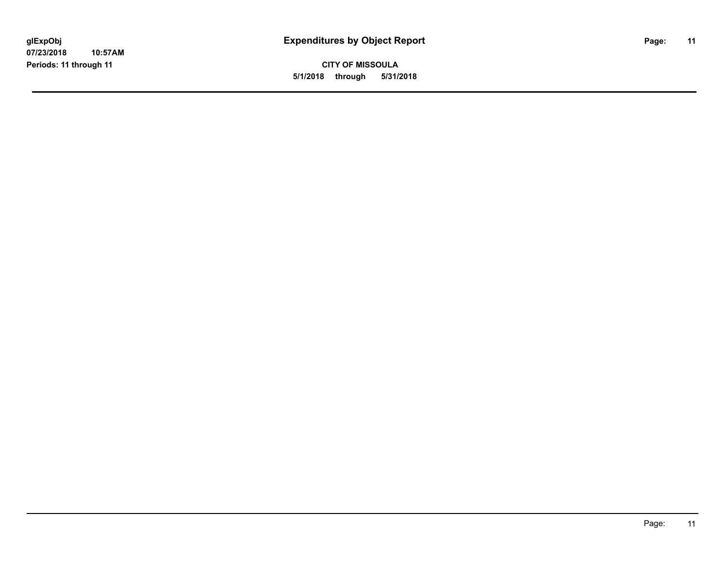Page: 11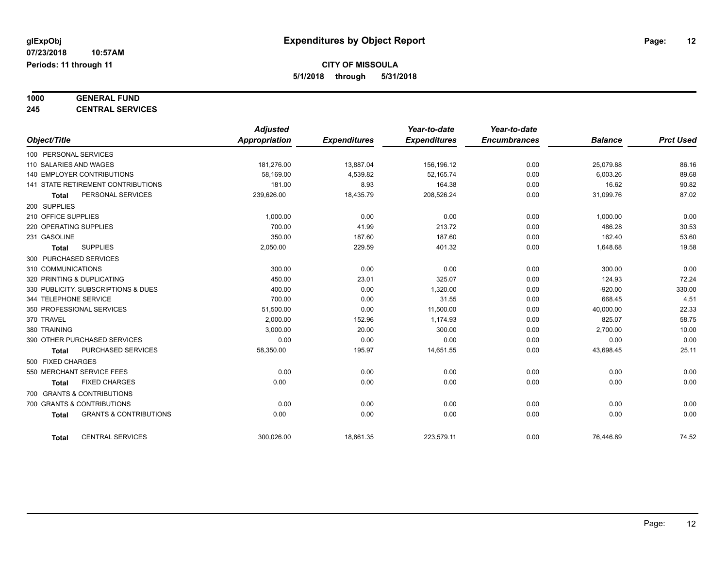# **1000 GENERAL FUND**

**245 CENTRAL SERVICES**

|                                                   | <b>Adjusted</b> |                     | Year-to-date        | Year-to-date        |                |                  |
|---------------------------------------------------|-----------------|---------------------|---------------------|---------------------|----------------|------------------|
| Object/Title                                      | Appropriation   | <b>Expenditures</b> | <b>Expenditures</b> | <b>Encumbrances</b> | <b>Balance</b> | <b>Prct Used</b> |
| 100 PERSONAL SERVICES                             |                 |                     |                     |                     |                |                  |
| 110 SALARIES AND WAGES                            | 181,276.00      | 13,887.04           | 156,196.12          | 0.00                | 25,079.88      | 86.16            |
| 140 EMPLOYER CONTRIBUTIONS                        | 58,169.00       | 4,539.82            | 52,165.74           | 0.00                | 6,003.26       | 89.68            |
| <b>141 STATE RETIREMENT CONTRIBUTIONS</b>         | 181.00          | 8.93                | 164.38              | 0.00                | 16.62          | 90.82            |
| PERSONAL SERVICES<br><b>Total</b>                 | 239,626.00      | 18,435.79           | 208,526.24          | 0.00                | 31,099.76      | 87.02            |
| 200 SUPPLIES                                      |                 |                     |                     |                     |                |                  |
| 210 OFFICE SUPPLIES                               | 1,000.00        | 0.00                | 0.00                | 0.00                | 1,000.00       | 0.00             |
| 220 OPERATING SUPPLIES                            | 700.00          | 41.99               | 213.72              | 0.00                | 486.28         | 30.53            |
| 231 GASOLINE                                      | 350.00          | 187.60              | 187.60              | 0.00                | 162.40         | 53.60            |
| <b>SUPPLIES</b><br><b>Total</b>                   | 2,050.00        | 229.59              | 401.32              | 0.00                | 1,648.68       | 19.58            |
| 300 PURCHASED SERVICES                            |                 |                     |                     |                     |                |                  |
| 310 COMMUNICATIONS                                | 300.00          | 0.00                | 0.00                | 0.00                | 300.00         | 0.00             |
| 320 PRINTING & DUPLICATING                        | 450.00          | 23.01               | 325.07              | 0.00                | 124.93         | 72.24            |
| 330 PUBLICITY, SUBSCRIPTIONS & DUES               | 400.00          | 0.00                | 1,320.00            | 0.00                | $-920.00$      | 330.00           |
| 344 TELEPHONE SERVICE                             | 700.00          | 0.00                | 31.55               | 0.00                | 668.45         | 4.51             |
| 350 PROFESSIONAL SERVICES                         | 51,500.00       | 0.00                | 11,500.00           | 0.00                | 40,000.00      | 22.33            |
| 370 TRAVEL                                        | 2,000.00        | 152.96              | 1,174.93            | 0.00                | 825.07         | 58.75            |
| 380 TRAINING                                      | 3,000.00        | 20.00               | 300.00              | 0.00                | 2,700.00       | 10.00            |
| 390 OTHER PURCHASED SERVICES                      | 0.00            | 0.00                | 0.00                | 0.00                | 0.00           | 0.00             |
| PURCHASED SERVICES<br><b>Total</b>                | 58,350.00       | 195.97              | 14,651.55           | 0.00                | 43,698.45      | 25.11            |
| 500 FIXED CHARGES                                 |                 |                     |                     |                     |                |                  |
| 550 MERCHANT SERVICE FEES                         | 0.00            | 0.00                | 0.00                | 0.00                | 0.00           | 0.00             |
| <b>FIXED CHARGES</b><br><b>Total</b>              | 0.00            | 0.00                | 0.00                | 0.00                | 0.00           | 0.00             |
| 700 GRANTS & CONTRIBUTIONS                        |                 |                     |                     |                     |                |                  |
| 700 GRANTS & CONTRIBUTIONS                        | 0.00            | 0.00                | 0.00                | 0.00                | 0.00           | 0.00             |
| <b>GRANTS &amp; CONTRIBUTIONS</b><br><b>Total</b> | 0.00            | 0.00                | 0.00                | 0.00                | 0.00           | 0.00             |
| <b>CENTRAL SERVICES</b><br><b>Total</b>           | 300.026.00      | 18,861.35           | 223,579.11          | 0.00                | 76.446.89      | 74.52            |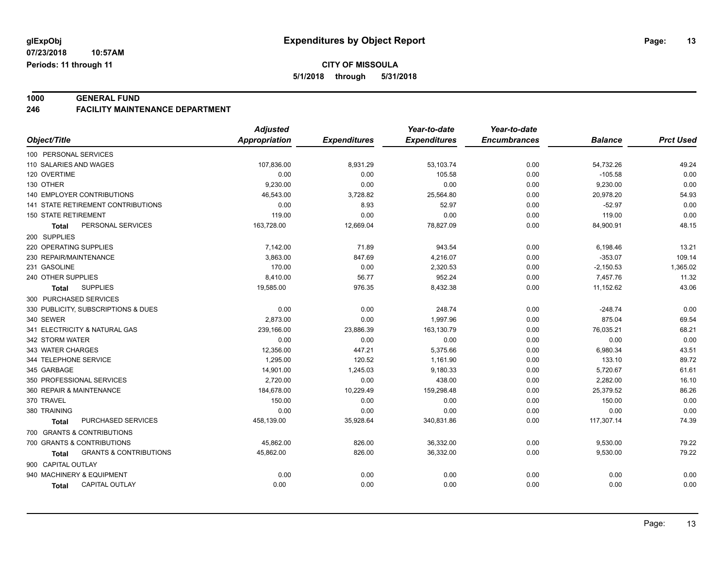#### **1000 GENERAL FUND 246 FACILITY MAINTENANCE DEPARTMENT**

|                                            | <b>Adjusted</b>      |                     | Year-to-date        | Year-to-date        |                |                  |
|--------------------------------------------|----------------------|---------------------|---------------------|---------------------|----------------|------------------|
| Object/Title                               | <b>Appropriation</b> | <b>Expenditures</b> | <b>Expenditures</b> | <b>Encumbrances</b> | <b>Balance</b> | <b>Prct Used</b> |
| 100 PERSONAL SERVICES                      |                      |                     |                     |                     |                |                  |
| 110 SALARIES AND WAGES                     | 107,836.00           | 8,931.29            | 53,103.74           | 0.00                | 54,732.26      | 49.24            |
| 120 OVERTIME                               | 0.00                 | 0.00                | 105.58              | 0.00                | $-105.58$      | 0.00             |
| 130 OTHER                                  | 9,230.00             | 0.00                | 0.00                | 0.00                | 9,230.00       | 0.00             |
| <b>140 EMPLOYER CONTRIBUTIONS</b>          | 46,543.00            | 3,728.82            | 25,564.80           | 0.00                | 20,978.20      | 54.93            |
| 141 STATE RETIREMENT CONTRIBUTIONS         | 0.00                 | 8.93                | 52.97               | 0.00                | $-52.97$       | 0.00             |
| <b>150 STATE RETIREMENT</b>                | 119.00               | 0.00                | 0.00                | 0.00                | 119.00         | 0.00             |
| PERSONAL SERVICES<br><b>Total</b>          | 163,728.00           | 12,669.04           | 78,827.09           | 0.00                | 84,900.91      | 48.15            |
| 200 SUPPLIES                               |                      |                     |                     |                     |                |                  |
| 220 OPERATING SUPPLIES                     | 7,142.00             | 71.89               | 943.54              | 0.00                | 6,198.46       | 13.21            |
| 230 REPAIR/MAINTENANCE                     | 3,863.00             | 847.69              | 4,216.07            | 0.00                | $-353.07$      | 109.14           |
| 231 GASOLINE                               | 170.00               | 0.00                | 2,320.53            | 0.00                | $-2,150.53$    | 1,365.02         |
| 240 OTHER SUPPLIES                         | 8,410.00             | 56.77               | 952.24              | 0.00                | 7,457.76       | 11.32            |
| <b>SUPPLIES</b><br><b>Total</b>            | 19,585.00            | 976.35              | 8,432.38            | 0.00                | 11,152.62      | 43.06            |
| 300 PURCHASED SERVICES                     |                      |                     |                     |                     |                |                  |
| 330 PUBLICITY, SUBSCRIPTIONS & DUES        | 0.00                 | 0.00                | 248.74              | 0.00                | $-248.74$      | 0.00             |
| 340 SEWER                                  | 2,873.00             | 0.00                | 1,997.96            | 0.00                | 875.04         | 69.54            |
| 341 ELECTRICITY & NATURAL GAS              | 239,166.00           | 23,886.39           | 163,130.79          | 0.00                | 76,035.21      | 68.21            |
| 342 STORM WATER                            | 0.00                 | 0.00                | 0.00                | 0.00                | 0.00           | 0.00             |
| 343 WATER CHARGES                          | 12,356.00            | 447.21              | 5,375.66            | 0.00                | 6,980.34       | 43.51            |
| 344 TELEPHONE SERVICE                      | 1.295.00             | 120.52              | 1,161.90            | 0.00                | 133.10         | 89.72            |
| 345 GARBAGE                                | 14,901.00            | 1,245.03            | 9,180.33            | 0.00                | 5,720.67       | 61.61            |
| 350 PROFESSIONAL SERVICES                  | 2,720.00             | 0.00                | 438.00              | 0.00                | 2,282.00       | 16.10            |
| 360 REPAIR & MAINTENANCE                   | 184,678.00           | 10,229.49           | 159,298.48          | 0.00                | 25,379.52      | 86.26            |
| 370 TRAVEL                                 | 150.00               | 0.00                | 0.00                | 0.00                | 150.00         | 0.00             |
| 380 TRAINING                               | 0.00                 | 0.00                | 0.00                | 0.00                | 0.00           | 0.00             |
| PURCHASED SERVICES<br>Total                | 458,139.00           | 35,928.64           | 340,831.86          | 0.00                | 117,307.14     | 74.39            |
| 700 GRANTS & CONTRIBUTIONS                 |                      |                     |                     |                     |                |                  |
| 700 GRANTS & CONTRIBUTIONS                 | 45,862.00            | 826.00              | 36,332.00           | 0.00                | 9,530.00       | 79.22            |
| <b>GRANTS &amp; CONTRIBUTIONS</b><br>Total | 45,862.00            | 826.00              | 36,332.00           | 0.00                | 9,530.00       | 79.22            |
| 900 CAPITAL OUTLAY                         |                      |                     |                     |                     |                |                  |
| 940 MACHINERY & EQUIPMENT                  | 0.00                 | 0.00                | 0.00                | 0.00                | 0.00           | 0.00             |
| CAPITAL OUTLAY<br><b>Total</b>             | 0.00                 | 0.00                | 0.00                | 0.00                | 0.00           | 0.00             |
|                                            |                      |                     |                     |                     |                |                  |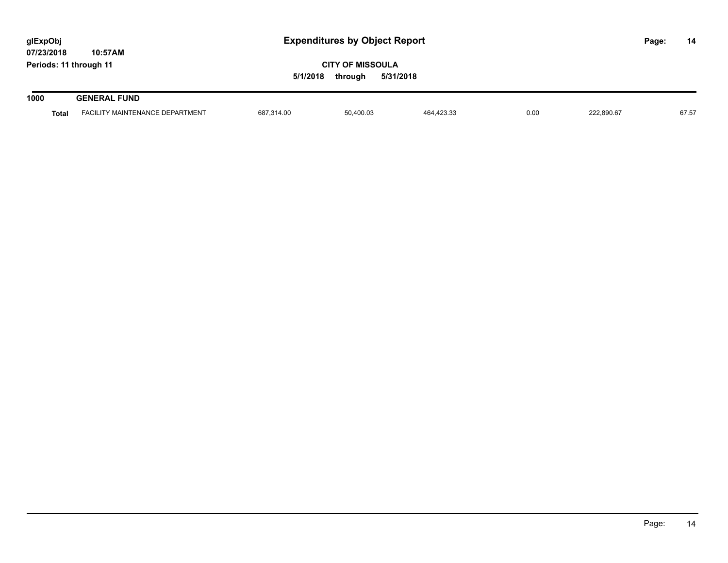| glExpObj<br>07/23/2018 | 10:57AM                         | <b>Expenditures by Object Report</b>                        |           |            |      |            | Page: | 14    |
|------------------------|---------------------------------|-------------------------------------------------------------|-----------|------------|------|------------|-------|-------|
| Periods: 11 through 11 |                                 | <b>CITY OF MISSOULA</b><br>5/1/2018<br>5/31/2018<br>through |           |            |      |            |       |       |
| 1000                   | <b>GENERAL FUND</b>             |                                                             |           |            |      |            |       |       |
| <b>Total</b>           | FACILITY MAINTENANCE DEPARTMENT | 687,314.00                                                  | 50,400.03 | 464.423.33 | 0.00 | 222.890.67 |       | 67.57 |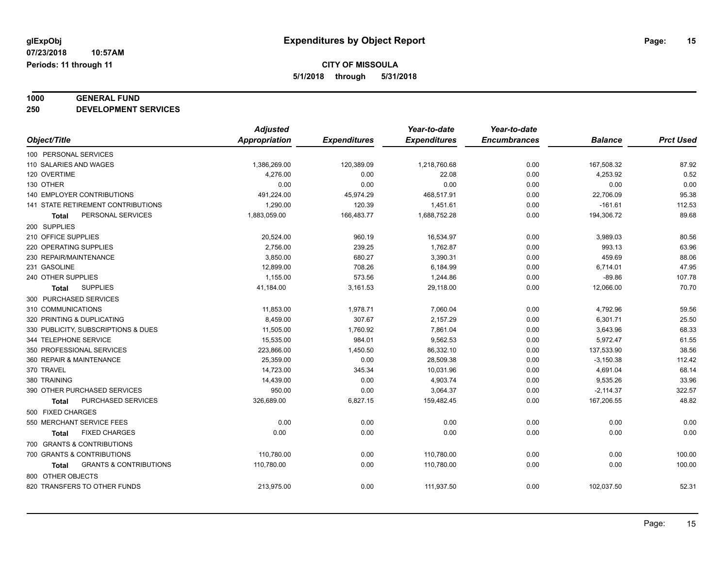# **1000 GENERAL FUND**

**250 DEVELOPMENT SERVICES**

|                                            | <b>Adjusted</b> |                     | Year-to-date        | Year-to-date        |                |                  |
|--------------------------------------------|-----------------|---------------------|---------------------|---------------------|----------------|------------------|
| Object/Title                               | Appropriation   | <b>Expenditures</b> | <b>Expenditures</b> | <b>Encumbrances</b> | <b>Balance</b> | <b>Prct Used</b> |
| 100 PERSONAL SERVICES                      |                 |                     |                     |                     |                |                  |
| 110 SALARIES AND WAGES                     | 1,386,269.00    | 120,389.09          | 1,218,760.68        | 0.00                | 167,508.32     | 87.92            |
| 120 OVERTIME                               | 4,276.00        | 0.00                | 22.08               | 0.00                | 4,253.92       | 0.52             |
| 130 OTHER                                  | 0.00            | 0.00                | 0.00                | 0.00                | 0.00           | 0.00             |
| 140 EMPLOYER CONTRIBUTIONS                 | 491,224.00      | 45,974.29           | 468,517.91          | 0.00                | 22,706.09      | 95.38            |
| 141 STATE RETIREMENT CONTRIBUTIONS         | 1,290.00        | 120.39              | 1,451.61            | 0.00                | $-161.61$      | 112.53           |
| PERSONAL SERVICES<br>Total                 | 1,883,059.00    | 166,483.77          | 1,688,752.28        | 0.00                | 194,306.72     | 89.68            |
| 200 SUPPLIES                               |                 |                     |                     |                     |                |                  |
| 210 OFFICE SUPPLIES                        | 20,524.00       | 960.19              | 16,534.97           | 0.00                | 3,989.03       | 80.56            |
| 220 OPERATING SUPPLIES                     | 2,756.00        | 239.25              | 1,762.87            | 0.00                | 993.13         | 63.96            |
| 230 REPAIR/MAINTENANCE                     | 3,850.00        | 680.27              | 3,390.31            | 0.00                | 459.69         | 88.06            |
| 231 GASOLINE                               | 12,899.00       | 708.26              | 6,184.99            | 0.00                | 6,714.01       | 47.95            |
| 240 OTHER SUPPLIES                         | 1,155.00        | 573.56              | 1,244.86            | 0.00                | $-89.86$       | 107.78           |
| <b>SUPPLIES</b><br><b>Total</b>            | 41,184.00       | 3,161.53            | 29,118.00           | 0.00                | 12,066.00      | 70.70            |
| 300 PURCHASED SERVICES                     |                 |                     |                     |                     |                |                  |
| 310 COMMUNICATIONS                         | 11,853.00       | 1,978.71            | 7,060.04            | 0.00                | 4,792.96       | 59.56            |
| 320 PRINTING & DUPLICATING                 | 8,459.00        | 307.67              | 2,157.29            | 0.00                | 6,301.71       | 25.50            |
| 330 PUBLICITY, SUBSCRIPTIONS & DUES        | 11,505.00       | 1,760.92            | 7,861.04            | 0.00                | 3,643.96       | 68.33            |
| 344 TELEPHONE SERVICE                      | 15,535.00       | 984.01              | 9,562.53            | 0.00                | 5,972.47       | 61.55            |
| 350 PROFESSIONAL SERVICES                  | 223,866.00      | 1,450.50            | 86,332.10           | 0.00                | 137,533.90     | 38.56            |
| 360 REPAIR & MAINTENANCE                   | 25,359.00       | 0.00                | 28,509.38           | 0.00                | $-3,150.38$    | 112.42           |
| 370 TRAVEL                                 | 14,723.00       | 345.34              | 10,031.96           | 0.00                | 4,691.04       | 68.14            |
| 380 TRAINING                               | 14,439.00       | 0.00                | 4,903.74            | 0.00                | 9,535.26       | 33.96            |
| 390 OTHER PURCHASED SERVICES               | 950.00          | 0.00                | 3,064.37            | 0.00                | $-2,114.37$    | 322.57           |
| <b>PURCHASED SERVICES</b><br>Total         | 326,689.00      | 6,827.15            | 159,482.45          | 0.00                | 167,206.55     | 48.82            |
| 500 FIXED CHARGES                          |                 |                     |                     |                     |                |                  |
| 550 MERCHANT SERVICE FEES                  | 0.00            | 0.00                | 0.00                | 0.00                | 0.00           | 0.00             |
| <b>FIXED CHARGES</b><br>Total              | 0.00            | 0.00                | 0.00                | 0.00                | 0.00           | 0.00             |
| 700 GRANTS & CONTRIBUTIONS                 |                 |                     |                     |                     |                |                  |
| 700 GRANTS & CONTRIBUTIONS                 | 110,780.00      | 0.00                | 110,780.00          | 0.00                | 0.00           | 100.00           |
| <b>GRANTS &amp; CONTRIBUTIONS</b><br>Total | 110,780.00      | 0.00                | 110,780.00          | 0.00                | 0.00           | 100.00           |
| 800 OTHER OBJECTS                          |                 |                     |                     |                     |                |                  |
| 820 TRANSFERS TO OTHER FUNDS               | 213,975.00      | 0.00                | 111,937.50          | 0.00                | 102,037.50     | 52.31            |
|                                            |                 |                     |                     |                     |                |                  |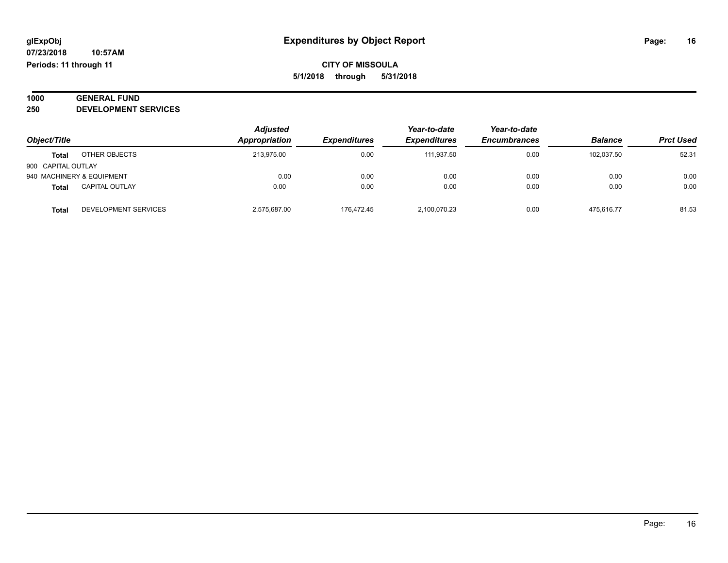**Prct Used** 

**CITY OF MISSOULA 5/1/2018 through 5/31/2018**

#### **1000 GENERAL FUND 250 DEVELOPMENT SERVICES**

| Object/Title       |                           | <b>Adjusted</b><br>Appropriation | <b>Expenditures</b> | Year-to-date<br><b>Expenditures</b> | Year-to-date<br><b>Encumbrances</b> | <b>Balance</b> | <b>Prct Used</b> |
|--------------------|---------------------------|----------------------------------|---------------------|-------------------------------------|-------------------------------------|----------------|------------------|
| <b>Total</b>       | OTHER OBJECTS             | 213,975.00                       | 0.00                | 111,937.50                          | 0.00                                | 102,037.50     | 52.31            |
| 900 CAPITAL OUTLAY |                           |                                  |                     |                                     |                                     |                |                  |
|                    | 940 MACHINERY & EQUIPMENT | 0.00                             | 0.00                | 0.00                                | 0.00                                | 0.00           | 0.00             |
| <b>Total</b>       | <b>CAPITAL OUTLAY</b>     | 0.00                             | 0.00                | 0.00                                | 0.00                                | 0.00           | 0.00             |
| <b>Total</b>       | DEVELOPMENT SERVICES      | 2,575,687.00                     | 176.472.45          | 2.100.070.23                        | 0.00                                | 475.616.77     | 81.53            |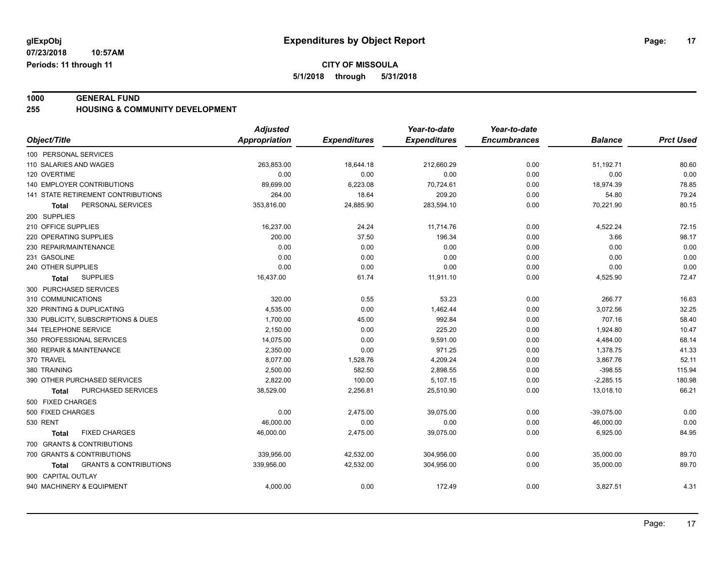**1000 GENERAL FUND 255 HOUSING & COMMUNITY DEVELOPMENT**

|                                                   | <b>Adjusted</b>      |                     | Year-to-date        | Year-to-date        |                |                  |
|---------------------------------------------------|----------------------|---------------------|---------------------|---------------------|----------------|------------------|
| Object/Title                                      | <b>Appropriation</b> | <b>Expenditures</b> | <b>Expenditures</b> | <b>Encumbrances</b> | <b>Balance</b> | <b>Prct Used</b> |
| 100 PERSONAL SERVICES                             |                      |                     |                     |                     |                |                  |
| 110 SALARIES AND WAGES                            | 263,853.00           | 18,644.18           | 212,660.29          | 0.00                | 51,192.71      | 80.60            |
| 120 OVERTIME                                      | 0.00                 | 0.00                | 0.00                | 0.00                | 0.00           | 0.00             |
| 140 EMPLOYER CONTRIBUTIONS                        | 89,699.00            | 6,223.08            | 70,724.61           | 0.00                | 18,974.39      | 78.85            |
| 141 STATE RETIREMENT CONTRIBUTIONS                | 264.00               | 18.64               | 209.20              | 0.00                | 54.80          | 79.24            |
| PERSONAL SERVICES<br>Total                        | 353,816.00           | 24,885.90           | 283,594.10          | 0.00                | 70,221.90      | 80.15            |
| 200 SUPPLIES                                      |                      |                     |                     |                     |                |                  |
| 210 OFFICE SUPPLIES                               | 16,237.00            | 24.24               | 11,714.76           | 0.00                | 4,522.24       | 72.15            |
| 220 OPERATING SUPPLIES                            | 200.00               | 37.50               | 196.34              | 0.00                | 3.66           | 98.17            |
| 230 REPAIR/MAINTENANCE                            | 0.00                 | 0.00                | 0.00                | 0.00                | 0.00           | 0.00             |
| 231 GASOLINE                                      | 0.00                 | 0.00                | 0.00                | 0.00                | 0.00           | 0.00             |
| 240 OTHER SUPPLIES                                | 0.00                 | 0.00                | 0.00                | 0.00                | 0.00           | 0.00             |
| <b>SUPPLIES</b><br>Total                          | 16,437.00            | 61.74               | 11,911.10           | 0.00                | 4,525.90       | 72.47            |
| 300 PURCHASED SERVICES                            |                      |                     |                     |                     |                |                  |
| 310 COMMUNICATIONS                                | 320.00               | 0.55                | 53.23               | 0.00                | 266.77         | 16.63            |
| 320 PRINTING & DUPLICATING                        | 4,535.00             | 0.00                | 1,462.44            | 0.00                | 3,072.56       | 32.25            |
| 330 PUBLICITY, SUBSCRIPTIONS & DUES               | 1,700.00             | 45.00               | 992.84              | 0.00                | 707.16         | 58.40            |
| 344 TELEPHONE SERVICE                             | 2,150.00             | 0.00                | 225.20              | 0.00                | 1,924.80       | 10.47            |
| 350 PROFESSIONAL SERVICES                         | 14,075.00            | 0.00                | 9,591.00            | 0.00                | 4,484.00       | 68.14            |
| 360 REPAIR & MAINTENANCE                          | 2,350.00             | 0.00                | 971.25              | 0.00                | 1,378.75       | 41.33            |
| 370 TRAVEL                                        | 8.077.00             | 1,528.76            | 4,209.24            | 0.00                | 3,867.76       | 52.11            |
| 380 TRAINING                                      | 2,500.00             | 582.50              | 2,898.55            | 0.00                | $-398.55$      | 115.94           |
| 390 OTHER PURCHASED SERVICES                      | 2,822.00             | 100.00              | 5,107.15            | 0.00                | $-2,285.15$    | 180.98           |
| PURCHASED SERVICES<br>Total                       | 38,529.00            | 2,256.81            | 25,510.90           | 0.00                | 13,018.10      | 66.21            |
| 500 FIXED CHARGES                                 |                      |                     |                     |                     |                |                  |
| 500 FIXED CHARGES                                 | 0.00                 | 2,475.00            | 39,075.00           | 0.00                | $-39,075.00$   | 0.00             |
| <b>530 RENT</b>                                   | 46,000.00            | 0.00                | 0.00                | 0.00                | 46,000.00      | 0.00             |
| <b>FIXED CHARGES</b><br>Total                     | 46,000.00            | 2,475.00            | 39,075.00           | 0.00                | 6,925.00       | 84.95            |
| 700 GRANTS & CONTRIBUTIONS                        |                      |                     |                     |                     |                |                  |
| 700 GRANTS & CONTRIBUTIONS                        | 339,956.00           | 42,532.00           | 304,956.00          | 0.00                | 35,000.00      | 89.70            |
| <b>GRANTS &amp; CONTRIBUTIONS</b><br><b>Total</b> | 339,956.00           | 42,532.00           | 304,956.00          | 0.00                | 35,000.00      | 89.70            |
| 900 CAPITAL OUTLAY                                |                      |                     |                     |                     |                |                  |
| 940 MACHINERY & EQUIPMENT                         | 4,000.00             | 0.00                | 172.49              | 0.00                | 3,827.51       | 4.31             |
|                                                   |                      |                     |                     |                     |                |                  |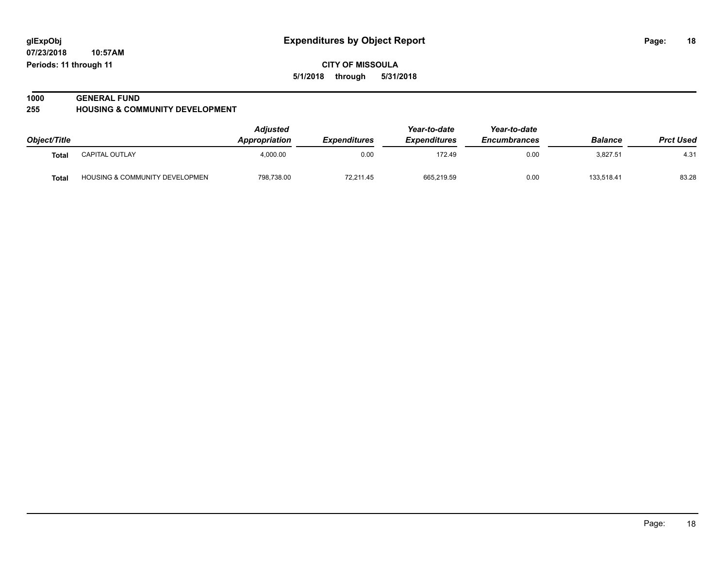# **1000 GENERAL FUND**

**255 HOUSING & COMMUNITY DEVELOPMENT**

| Object/Title |                                | Adjusted<br>Appropriation | <i><b>Expenditures</b></i> | Year-to-date<br><b>Expenditures</b> | Year-to-date<br><b>Encumbrances</b> | <b>Balance</b> | <b>Prct Used</b> |
|--------------|--------------------------------|---------------------------|----------------------------|-------------------------------------|-------------------------------------|----------------|------------------|
| <b>Total</b> | <b>CAPITAL OUTLAY</b>          | 4,000.00                  | 0.00                       | 172.49                              | 0.00                                | 3.827.51       | 4.31             |
| <b>Total</b> | HOUSING & COMMUNITY DEVELOPMEN | 798.738.00                | 72,211.45                  | 665.219.59                          | 0.00                                | 133.518.41     | 83.28            |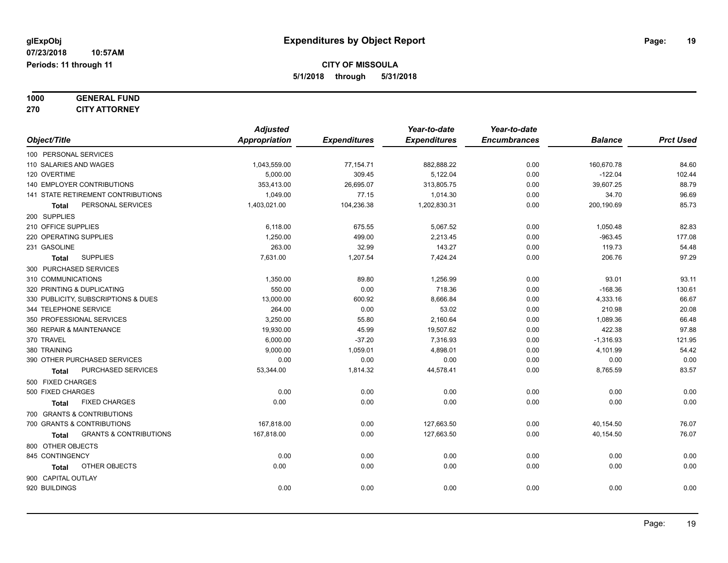**1000 GENERAL FUND 270 CITY ATTORNEY**

|                                            | <b>Adjusted</b>      |                     | Year-to-date        | Year-to-date        |                |                  |
|--------------------------------------------|----------------------|---------------------|---------------------|---------------------|----------------|------------------|
| Object/Title                               | <b>Appropriation</b> | <b>Expenditures</b> | <b>Expenditures</b> | <b>Encumbrances</b> | <b>Balance</b> | <b>Prct Used</b> |
| 100 PERSONAL SERVICES                      |                      |                     |                     |                     |                |                  |
| 110 SALARIES AND WAGES                     | 1,043,559.00         | 77,154.71           | 882,888.22          | 0.00                | 160,670.78     | 84.60            |
| 120 OVERTIME                               | 5,000.00             | 309.45              | 5,122.04            | 0.00                | $-122.04$      | 102.44           |
| 140 EMPLOYER CONTRIBUTIONS                 | 353,413.00           | 26,695.07           | 313,805.75          | 0.00                | 39,607.25      | 88.79            |
| 141 STATE RETIREMENT CONTRIBUTIONS         | 1,049.00             | 77.15               | 1,014.30            | 0.00                | 34.70          | 96.69            |
| PERSONAL SERVICES<br>Total                 | 1,403,021.00         | 104,236.38          | 1,202,830.31        | 0.00                | 200,190.69     | 85.73            |
| 200 SUPPLIES                               |                      |                     |                     |                     |                |                  |
| 210 OFFICE SUPPLIES                        | 6,118.00             | 675.55              | 5,067.52            | 0.00                | 1,050.48       | 82.83            |
| 220 OPERATING SUPPLIES                     | 1,250.00             | 499.00              | 2,213.45            | 0.00                | $-963.45$      | 177.08           |
| 231 GASOLINE                               | 263.00               | 32.99               | 143.27              | 0.00                | 119.73         | 54.48            |
| <b>SUPPLIES</b><br><b>Total</b>            | 7,631.00             | 1,207.54            | 7,424.24            | 0.00                | 206.76         | 97.29            |
| 300 PURCHASED SERVICES                     |                      |                     |                     |                     |                |                  |
| 310 COMMUNICATIONS                         | 1,350.00             | 89.80               | 1,256.99            | 0.00                | 93.01          | 93.11            |
| 320 PRINTING & DUPLICATING                 | 550.00               | 0.00                | 718.36              | 0.00                | $-168.36$      | 130.61           |
| 330 PUBLICITY, SUBSCRIPTIONS & DUES        | 13,000.00            | 600.92              | 8,666.84            | 0.00                | 4,333.16       | 66.67            |
| 344 TELEPHONE SERVICE                      | 264.00               | 0.00                | 53.02               | 0.00                | 210.98         | 20.08            |
| 350 PROFESSIONAL SERVICES                  | 3,250.00             | 55.80               | 2,160.64            | 0.00                | 1,089.36       | 66.48            |
| 360 REPAIR & MAINTENANCE                   | 19,930.00            | 45.99               | 19,507.62           | 0.00                | 422.38         | 97.88            |
| 370 TRAVEL                                 | 6,000.00             | $-37.20$            | 7,316.93            | 0.00                | $-1,316.93$    | 121.95           |
| 380 TRAINING                               | 9,000.00             | 1,059.01            | 4,898.01            | 0.00                | 4,101.99       | 54.42            |
| 390 OTHER PURCHASED SERVICES               | 0.00                 | 0.00                | 0.00                | 0.00                | 0.00           | 0.00             |
| PURCHASED SERVICES<br><b>Total</b>         | 53,344.00            | 1,814.32            | 44,578.41           | 0.00                | 8,765.59       | 83.57            |
| 500 FIXED CHARGES                          |                      |                     |                     |                     |                |                  |
| 500 FIXED CHARGES                          | 0.00                 | 0.00                | 0.00                | 0.00                | 0.00           | 0.00             |
| <b>FIXED CHARGES</b><br>Total              | 0.00                 | 0.00                | 0.00                | 0.00                | 0.00           | 0.00             |
| 700 GRANTS & CONTRIBUTIONS                 |                      |                     |                     |                     |                |                  |
| 700 GRANTS & CONTRIBUTIONS                 | 167,818.00           | 0.00                | 127,663.50          | 0.00                | 40,154.50      | 76.07            |
| <b>GRANTS &amp; CONTRIBUTIONS</b><br>Total | 167,818.00           | 0.00                | 127,663.50          | 0.00                | 40,154.50      | 76.07            |
| 800 OTHER OBJECTS                          |                      |                     |                     |                     |                |                  |
| 845 CONTINGENCY                            | 0.00                 | 0.00                | 0.00                | 0.00                | 0.00           | 0.00             |
| OTHER OBJECTS<br><b>Total</b>              | 0.00                 | 0.00                | 0.00                | 0.00                | 0.00           | 0.00             |
| 900 CAPITAL OUTLAY                         |                      |                     |                     |                     |                |                  |
| 920 BUILDINGS                              | 0.00                 | 0.00                | 0.00                | 0.00                | 0.00           | 0.00             |
|                                            |                      |                     |                     |                     |                |                  |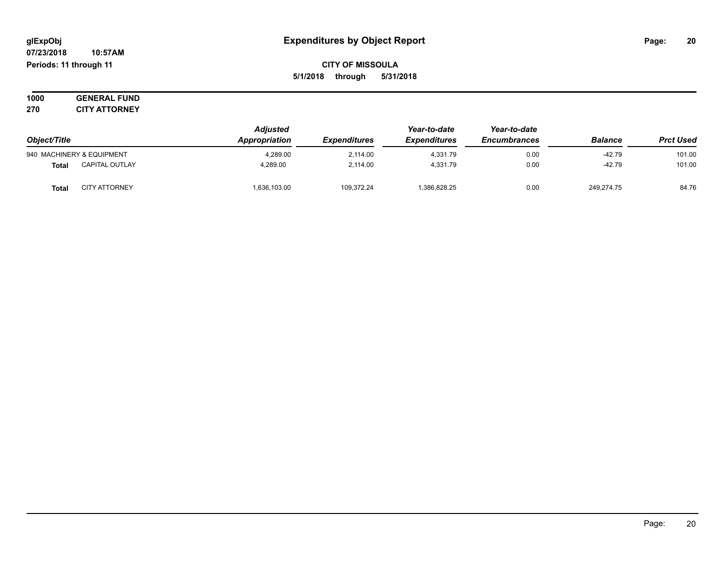#### **07/23/2018 10:57AM Periods: 11 through 11**

**CITY OF MISSOULA 5/1/2018 through 5/31/2018**

**1000 GENERAL FUND 270 CITY ATTORNEY**

| Object/Title      |                           | <b>Adjusted</b><br>Appropriation | <b>Expenditures</b> | Year-to-date<br><b>Expenditures</b> | Year-to-date<br><b>Encumbrances</b> | <b>Balance</b> | <b>Prct Used</b> |
|-------------------|---------------------------|----------------------------------|---------------------|-------------------------------------|-------------------------------------|----------------|------------------|
|                   |                           |                                  |                     |                                     |                                     |                |                  |
|                   | 940 MACHINERY & EQUIPMENT | 4.289.00                         | 2.114.00            | 4.331.79                            | 0.00                                | $-42.79$       | 101.00           |
| <b>Total</b>      | <b>CAPITAL OUTLAY</b>     | 4.289.00                         | 2.114.00            | 4.331.79                            | 0.00                                | $-42.79$       | 101.00           |
| Tota <sub>1</sub> | <b>CITY ATTORNEY</b>      | 636,103.00                       | 109.372.24          | 1,386,828.25                        | 0.00                                | 249.274.75     | 84.76            |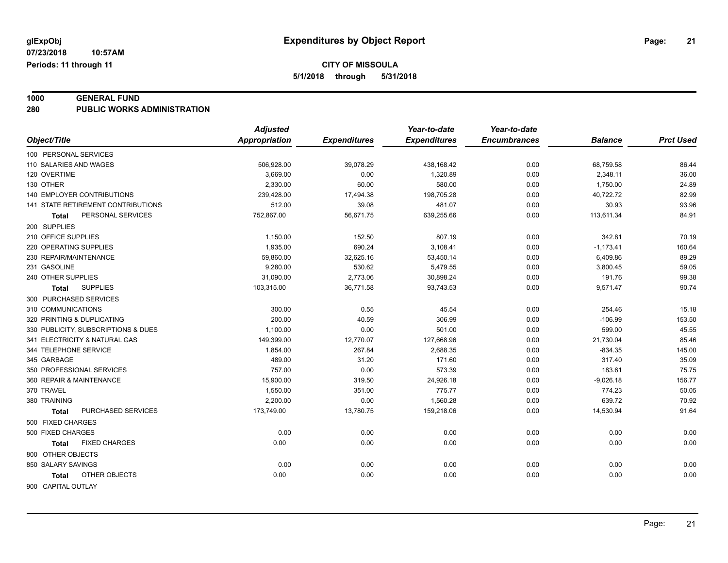# **1000 GENERAL FUND<br>280 PUBLIC WORKS /**

**280 PUBLIC WORKS ADMINISTRATION**

| <b>Expenditures</b><br>Object/Title<br><b>Appropriation</b><br><b>Expenditures</b><br><b>Encumbrances</b><br><b>Balance</b><br>100 PERSONAL SERVICES<br>110 SALARIES AND WAGES<br>506,928.00<br>39,078.29<br>438,168.42<br>0.00<br>68,759.58<br>120 OVERTIME<br>3,669.00<br>0.00<br>1,320.89<br>0.00<br>2,348.11<br>130 OTHER<br>2,330.00<br>60.00<br>580.00<br>0.00<br>1,750.00<br>140 EMPLOYER CONTRIBUTIONS<br>239,428.00<br>17,494.38<br>198,705.28<br>0.00<br>40,722.72<br>141 STATE RETIREMENT CONTRIBUTIONS<br>512.00<br>39.08<br>481.07<br>0.00<br>30.93<br>752,867.00<br>56,671.75<br>113,611.34<br>PERSONAL SERVICES<br>639,255.66<br>0.00<br>Total<br>200 SUPPLIES<br>210 OFFICE SUPPLIES<br>1,150.00<br>152.50<br>807.19<br>0.00<br>342.81<br>1,935.00<br>690.24<br>3,108.41<br>0.00<br>$-1,173.41$<br>220 OPERATING SUPPLIES<br>59,860.00<br>32,625.16<br>53,450.14<br>0.00<br>6,409.86<br>230 REPAIR/MAINTENANCE<br>231 GASOLINE<br>9,280.00<br>530.62<br>5,479.55<br>0.00<br>3,800.45<br>240 OTHER SUPPLIES<br>31,090.00<br>2,773.06<br>30,898.24<br>0.00<br>191.76<br><b>SUPPLIES</b><br>103,315.00<br>36,771.58<br>93,743.53<br>0.00<br>9,571.47<br>Total<br>300 PURCHASED SERVICES<br>310 COMMUNICATIONS<br>300.00<br>0.55<br>45.54<br>0.00<br>254.46<br>200.00<br>320 PRINTING & DUPLICATING<br>40.59<br>306.99<br>0.00<br>$-106.99$<br>330 PUBLICITY, SUBSCRIPTIONS & DUES<br>1,100.00<br>0.00<br>501.00<br>0.00<br>599.00<br>341 ELECTRICITY & NATURAL GAS<br>149,399.00<br>12,770.07<br>127,668.96<br>0.00<br>21,730.04<br>344 TELEPHONE SERVICE<br>1,854.00<br>267.84<br>2,688.35<br>0.00<br>$-834.35$<br>489.00<br>31.20<br>171.60<br>317.40<br>345 GARBAGE | <b>Adjusted</b> | Year-to-date | Year-to-date |                  |
|-------------------------------------------------------------------------------------------------------------------------------------------------------------------------------------------------------------------------------------------------------------------------------------------------------------------------------------------------------------------------------------------------------------------------------------------------------------------------------------------------------------------------------------------------------------------------------------------------------------------------------------------------------------------------------------------------------------------------------------------------------------------------------------------------------------------------------------------------------------------------------------------------------------------------------------------------------------------------------------------------------------------------------------------------------------------------------------------------------------------------------------------------------------------------------------------------------------------------------------------------------------------------------------------------------------------------------------------------------------------------------------------------------------------------------------------------------------------------------------------------------------------------------------------------------------------------------------------------------------------------------------------------------------------------------------|-----------------|--------------|--------------|------------------|
|                                                                                                                                                                                                                                                                                                                                                                                                                                                                                                                                                                                                                                                                                                                                                                                                                                                                                                                                                                                                                                                                                                                                                                                                                                                                                                                                                                                                                                                                                                                                                                                                                                                                                     |                 |              |              | <b>Prct Used</b> |
|                                                                                                                                                                                                                                                                                                                                                                                                                                                                                                                                                                                                                                                                                                                                                                                                                                                                                                                                                                                                                                                                                                                                                                                                                                                                                                                                                                                                                                                                                                                                                                                                                                                                                     |                 |              |              |                  |
|                                                                                                                                                                                                                                                                                                                                                                                                                                                                                                                                                                                                                                                                                                                                                                                                                                                                                                                                                                                                                                                                                                                                                                                                                                                                                                                                                                                                                                                                                                                                                                                                                                                                                     |                 |              |              | 86.44            |
|                                                                                                                                                                                                                                                                                                                                                                                                                                                                                                                                                                                                                                                                                                                                                                                                                                                                                                                                                                                                                                                                                                                                                                                                                                                                                                                                                                                                                                                                                                                                                                                                                                                                                     |                 |              |              | 36.00            |
|                                                                                                                                                                                                                                                                                                                                                                                                                                                                                                                                                                                                                                                                                                                                                                                                                                                                                                                                                                                                                                                                                                                                                                                                                                                                                                                                                                                                                                                                                                                                                                                                                                                                                     |                 |              |              | 24.89            |
|                                                                                                                                                                                                                                                                                                                                                                                                                                                                                                                                                                                                                                                                                                                                                                                                                                                                                                                                                                                                                                                                                                                                                                                                                                                                                                                                                                                                                                                                                                                                                                                                                                                                                     |                 |              |              | 82.99            |
|                                                                                                                                                                                                                                                                                                                                                                                                                                                                                                                                                                                                                                                                                                                                                                                                                                                                                                                                                                                                                                                                                                                                                                                                                                                                                                                                                                                                                                                                                                                                                                                                                                                                                     |                 |              |              | 93.96            |
|                                                                                                                                                                                                                                                                                                                                                                                                                                                                                                                                                                                                                                                                                                                                                                                                                                                                                                                                                                                                                                                                                                                                                                                                                                                                                                                                                                                                                                                                                                                                                                                                                                                                                     |                 |              |              | 84.91            |
|                                                                                                                                                                                                                                                                                                                                                                                                                                                                                                                                                                                                                                                                                                                                                                                                                                                                                                                                                                                                                                                                                                                                                                                                                                                                                                                                                                                                                                                                                                                                                                                                                                                                                     |                 |              |              |                  |
|                                                                                                                                                                                                                                                                                                                                                                                                                                                                                                                                                                                                                                                                                                                                                                                                                                                                                                                                                                                                                                                                                                                                                                                                                                                                                                                                                                                                                                                                                                                                                                                                                                                                                     |                 |              |              | 70.19            |
|                                                                                                                                                                                                                                                                                                                                                                                                                                                                                                                                                                                                                                                                                                                                                                                                                                                                                                                                                                                                                                                                                                                                                                                                                                                                                                                                                                                                                                                                                                                                                                                                                                                                                     |                 |              |              | 160.64           |
|                                                                                                                                                                                                                                                                                                                                                                                                                                                                                                                                                                                                                                                                                                                                                                                                                                                                                                                                                                                                                                                                                                                                                                                                                                                                                                                                                                                                                                                                                                                                                                                                                                                                                     |                 |              |              | 89.29            |
|                                                                                                                                                                                                                                                                                                                                                                                                                                                                                                                                                                                                                                                                                                                                                                                                                                                                                                                                                                                                                                                                                                                                                                                                                                                                                                                                                                                                                                                                                                                                                                                                                                                                                     |                 |              |              | 59.05            |
|                                                                                                                                                                                                                                                                                                                                                                                                                                                                                                                                                                                                                                                                                                                                                                                                                                                                                                                                                                                                                                                                                                                                                                                                                                                                                                                                                                                                                                                                                                                                                                                                                                                                                     |                 |              |              | 99.38            |
|                                                                                                                                                                                                                                                                                                                                                                                                                                                                                                                                                                                                                                                                                                                                                                                                                                                                                                                                                                                                                                                                                                                                                                                                                                                                                                                                                                                                                                                                                                                                                                                                                                                                                     |                 |              |              | 90.74            |
|                                                                                                                                                                                                                                                                                                                                                                                                                                                                                                                                                                                                                                                                                                                                                                                                                                                                                                                                                                                                                                                                                                                                                                                                                                                                                                                                                                                                                                                                                                                                                                                                                                                                                     |                 |              |              |                  |
|                                                                                                                                                                                                                                                                                                                                                                                                                                                                                                                                                                                                                                                                                                                                                                                                                                                                                                                                                                                                                                                                                                                                                                                                                                                                                                                                                                                                                                                                                                                                                                                                                                                                                     |                 |              |              | 15.18            |
|                                                                                                                                                                                                                                                                                                                                                                                                                                                                                                                                                                                                                                                                                                                                                                                                                                                                                                                                                                                                                                                                                                                                                                                                                                                                                                                                                                                                                                                                                                                                                                                                                                                                                     |                 |              |              | 153.50           |
|                                                                                                                                                                                                                                                                                                                                                                                                                                                                                                                                                                                                                                                                                                                                                                                                                                                                                                                                                                                                                                                                                                                                                                                                                                                                                                                                                                                                                                                                                                                                                                                                                                                                                     |                 |              |              | 45.55            |
|                                                                                                                                                                                                                                                                                                                                                                                                                                                                                                                                                                                                                                                                                                                                                                                                                                                                                                                                                                                                                                                                                                                                                                                                                                                                                                                                                                                                                                                                                                                                                                                                                                                                                     |                 |              |              | 85.46            |
|                                                                                                                                                                                                                                                                                                                                                                                                                                                                                                                                                                                                                                                                                                                                                                                                                                                                                                                                                                                                                                                                                                                                                                                                                                                                                                                                                                                                                                                                                                                                                                                                                                                                                     |                 |              |              | 145.00           |
|                                                                                                                                                                                                                                                                                                                                                                                                                                                                                                                                                                                                                                                                                                                                                                                                                                                                                                                                                                                                                                                                                                                                                                                                                                                                                                                                                                                                                                                                                                                                                                                                                                                                                     |                 |              | 0.00         | 35.09            |
| 350 PROFESSIONAL SERVICES<br>757.00<br>0.00<br>573.39<br>0.00<br>183.61                                                                                                                                                                                                                                                                                                                                                                                                                                                                                                                                                                                                                                                                                                                                                                                                                                                                                                                                                                                                                                                                                                                                                                                                                                                                                                                                                                                                                                                                                                                                                                                                             |                 |              |              | 75.75            |
| 15,900.00<br>360 REPAIR & MAINTENANCE<br>319.50<br>24,926.18<br>0.00<br>$-9,026.18$                                                                                                                                                                                                                                                                                                                                                                                                                                                                                                                                                                                                                                                                                                                                                                                                                                                                                                                                                                                                                                                                                                                                                                                                                                                                                                                                                                                                                                                                                                                                                                                                 |                 |              |              | 156.77           |
| 370 TRAVEL<br>1,550.00<br>775.77<br>351.00<br>0.00<br>774.23                                                                                                                                                                                                                                                                                                                                                                                                                                                                                                                                                                                                                                                                                                                                                                                                                                                                                                                                                                                                                                                                                                                                                                                                                                                                                                                                                                                                                                                                                                                                                                                                                        |                 |              |              | 50.05            |
| 2,200.00<br>1,560.28<br>639.72<br>380 TRAINING<br>0.00<br>0.00                                                                                                                                                                                                                                                                                                                                                                                                                                                                                                                                                                                                                                                                                                                                                                                                                                                                                                                                                                                                                                                                                                                                                                                                                                                                                                                                                                                                                                                                                                                                                                                                                      |                 |              |              | 70.92            |
| <b>PURCHASED SERVICES</b><br>173,749.00<br>13,780.75<br>159,218.06<br>0.00<br>14,530.94<br><b>Total</b>                                                                                                                                                                                                                                                                                                                                                                                                                                                                                                                                                                                                                                                                                                                                                                                                                                                                                                                                                                                                                                                                                                                                                                                                                                                                                                                                                                                                                                                                                                                                                                             |                 |              |              | 91.64            |
| 500 FIXED CHARGES                                                                                                                                                                                                                                                                                                                                                                                                                                                                                                                                                                                                                                                                                                                                                                                                                                                                                                                                                                                                                                                                                                                                                                                                                                                                                                                                                                                                                                                                                                                                                                                                                                                                   |                 |              |              |                  |
| 0.00<br>0.00<br>0.00<br>500 FIXED CHARGES<br>0.00<br>0.00                                                                                                                                                                                                                                                                                                                                                                                                                                                                                                                                                                                                                                                                                                                                                                                                                                                                                                                                                                                                                                                                                                                                                                                                                                                                                                                                                                                                                                                                                                                                                                                                                           |                 |              |              | 0.00             |
| 0.00<br><b>FIXED CHARGES</b><br>0.00<br>0.00<br>0.00<br>0.00<br>Total                                                                                                                                                                                                                                                                                                                                                                                                                                                                                                                                                                                                                                                                                                                                                                                                                                                                                                                                                                                                                                                                                                                                                                                                                                                                                                                                                                                                                                                                                                                                                                                                               |                 |              |              | 0.00             |
| 800 OTHER OBJECTS                                                                                                                                                                                                                                                                                                                                                                                                                                                                                                                                                                                                                                                                                                                                                                                                                                                                                                                                                                                                                                                                                                                                                                                                                                                                                                                                                                                                                                                                                                                                                                                                                                                                   |                 |              |              |                  |
| 850 SALARY SAVINGS<br>0.00<br>0.00<br>0.00<br>0.00<br>0.00                                                                                                                                                                                                                                                                                                                                                                                                                                                                                                                                                                                                                                                                                                                                                                                                                                                                                                                                                                                                                                                                                                                                                                                                                                                                                                                                                                                                                                                                                                                                                                                                                          |                 |              |              | 0.00             |
| OTHER OBJECTS<br>0.00<br>0.00<br>0.00<br>0.00<br>0.00<br>Total                                                                                                                                                                                                                                                                                                                                                                                                                                                                                                                                                                                                                                                                                                                                                                                                                                                                                                                                                                                                                                                                                                                                                                                                                                                                                                                                                                                                                                                                                                                                                                                                                      |                 |              |              | 0.00             |
| 900 CAPITAL OUTLAY                                                                                                                                                                                                                                                                                                                                                                                                                                                                                                                                                                                                                                                                                                                                                                                                                                                                                                                                                                                                                                                                                                                                                                                                                                                                                                                                                                                                                                                                                                                                                                                                                                                                  |                 |              |              |                  |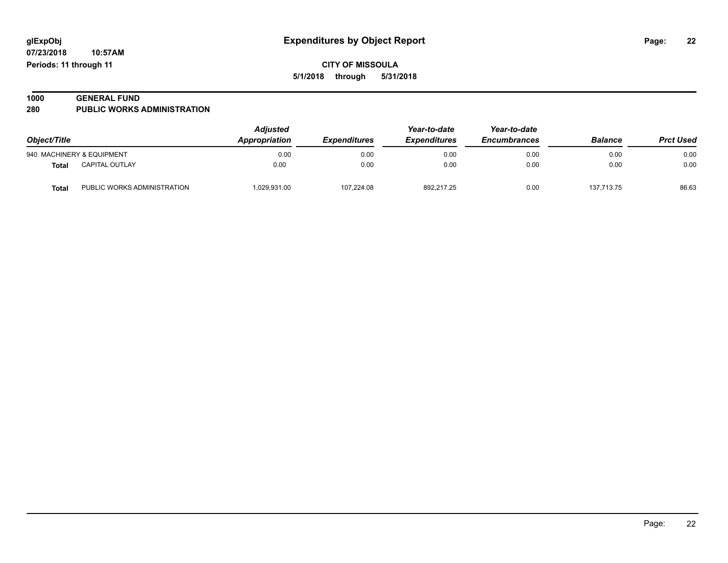**07/23/2018 10:57AM Periods: 11 through 11**

**CITY OF MISSOULA 5/1/2018 through 5/31/2018**

#### **1000 GENERAL FUND<br>280 PUBLIC WORKS A 280 PUBLIC WORKS ADMINISTRATION**

| Object/Title |                             | <b>Adjusted</b> |                     | Year-to-date<br><b>Expenditures</b> | Year-to-date        | <b>Balance</b> | <b>Prct Used</b> |
|--------------|-----------------------------|-----------------|---------------------|-------------------------------------|---------------------|----------------|------------------|
|              |                             | Appropriation   | <b>Expenditures</b> |                                     | <b>Encumbrances</b> |                |                  |
|              | 940 MACHINERY & EQUIPMENT   | 0.00            | 0.00                | 0.00                                | 0.00                | 0.00           | 0.00             |
| <b>Total</b> | <b>CAPITAL OUTLAY</b>       | 0.00            | 0.00                | 0.00                                | 0.00                | 0.00           | 0.00             |
| <b>Total</b> | PUBLIC WORKS ADMINISTRATION | 1,029,931.00    | 107,224.08          | 892.217.25                          | 0.00                | 137.713.75     | 86.63            |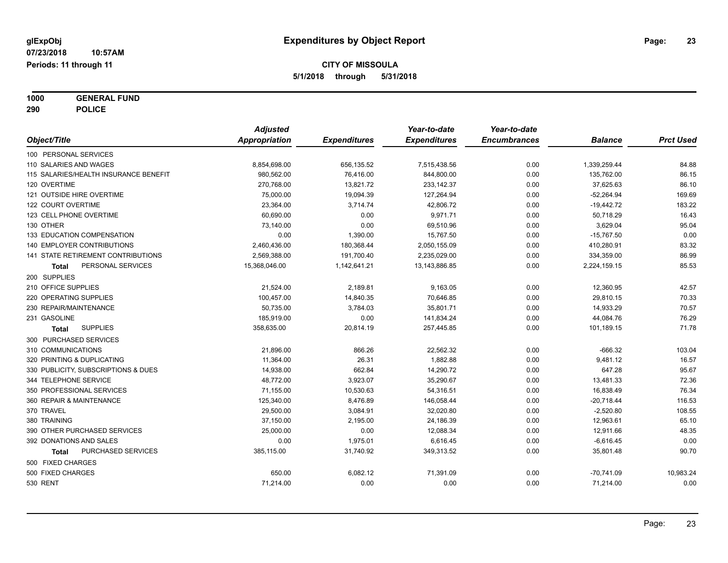**1000 GENERAL FUND 290 POLICE**

|                                       | <b>Adjusted</b>      |                     | Year-to-date        | Year-to-date        |                |                  |
|---------------------------------------|----------------------|---------------------|---------------------|---------------------|----------------|------------------|
| Object/Title                          | <b>Appropriation</b> | <b>Expenditures</b> | <b>Expenditures</b> | <b>Encumbrances</b> | <b>Balance</b> | <b>Prct Used</b> |
| 100 PERSONAL SERVICES                 |                      |                     |                     |                     |                |                  |
| 110 SALARIES AND WAGES                | 8,854,698.00         | 656,135.52          | 7,515,438.56        | 0.00                | 1,339,259.44   | 84.88            |
| 115 SALARIES/HEALTH INSURANCE BENEFIT | 980,562.00           | 76,416.00           | 844,800.00          | 0.00                | 135,762.00     | 86.15            |
| 120 OVERTIME                          | 270,768.00           | 13,821.72           | 233,142.37          | 0.00                | 37,625.63      | 86.10            |
| 121 OUTSIDE HIRE OVERTIME             | 75,000.00            | 19,094.39           | 127,264.94          | 0.00                | $-52,264.94$   | 169.69           |
| 122 COURT OVERTIME                    | 23,364.00            | 3,714.74            | 42,806.72           | 0.00                | $-19,442.72$   | 183.22           |
| 123 CELL PHONE OVERTIME               | 60.690.00            | 0.00                | 9.971.71            | 0.00                | 50,718.29      | 16.43            |
| 130 OTHER                             | 73,140.00            | 0.00                | 69,510.96           | 0.00                | 3,629.04       | 95.04            |
| 133 EDUCATION COMPENSATION            | 0.00                 | 1,390.00            | 15,767.50           | 0.00                | $-15,767.50$   | 0.00             |
| 140 EMPLOYER CONTRIBUTIONS            | 2,460,436.00         | 180,368.44          | 2,050,155.09        | 0.00                | 410,280.91     | 83.32            |
| 141 STATE RETIREMENT CONTRIBUTIONS    | 2,569,388.00         | 191,700.40          | 2,235,029.00        | 0.00                | 334,359.00     | 86.99            |
| PERSONAL SERVICES<br>Total            | 15,368,046.00        | 1,142,641.21        | 13,143,886.85       | 0.00                | 2,224,159.15   | 85.53            |
| 200 SUPPLIES                          |                      |                     |                     |                     |                |                  |
| 210 OFFICE SUPPLIES                   | 21,524.00            | 2,189.81            | 9,163.05            | 0.00                | 12,360.95      | 42.57            |
| 220 OPERATING SUPPLIES                | 100,457.00           | 14,840.35           | 70,646.85           | 0.00                | 29,810.15      | 70.33            |
| 230 REPAIR/MAINTENANCE                | 50,735.00            | 3,784.03            | 35,801.71           | 0.00                | 14,933.29      | 70.57            |
| 231 GASOLINE                          | 185,919.00           | 0.00                | 141,834.24          | 0.00                | 44,084.76      | 76.29            |
| <b>SUPPLIES</b><br><b>Total</b>       | 358,635.00           | 20,814.19           | 257,445.85          | 0.00                | 101,189.15     | 71.78            |
| 300 PURCHASED SERVICES                |                      |                     |                     |                     |                |                  |
| 310 COMMUNICATIONS                    | 21,896.00            | 866.26              | 22,562.32           | 0.00                | $-666.32$      | 103.04           |
| 320 PRINTING & DUPLICATING            | 11,364.00            | 26.31               | 1,882.88            | 0.00                | 9,481.12       | 16.57            |
| 330 PUBLICITY, SUBSCRIPTIONS & DUES   | 14,938.00            | 662.84              | 14,290.72           | 0.00                | 647.28         | 95.67            |
| 344 TELEPHONE SERVICE                 | 48,772.00            | 3,923.07            | 35,290.67           | 0.00                | 13,481.33      | 72.36            |
| 350 PROFESSIONAL SERVICES             | 71,155.00            | 10,530.63           | 54,316.51           | 0.00                | 16,838.49      | 76.34            |
| 360 REPAIR & MAINTENANCE              | 125,340.00           | 8,476.89            | 146,058.44          | 0.00                | $-20,718.44$   | 116.53           |
| 370 TRAVEL                            | 29,500.00            | 3,084.91            | 32,020.80           | 0.00                | $-2,520.80$    | 108.55           |
| 380 TRAINING                          | 37,150.00            | 2,195.00            | 24,186.39           | 0.00                | 12,963.61      | 65.10            |
| 390 OTHER PURCHASED SERVICES          | 25,000.00            | 0.00                | 12,088.34           | 0.00                | 12,911.66      | 48.35            |
| 392 DONATIONS AND SALES               | 0.00                 | 1,975.01            | 6,616.45            | 0.00                | $-6,616.45$    | 0.00             |
| PURCHASED SERVICES<br>Total           | 385,115.00           | 31,740.92           | 349,313.52          | 0.00                | 35,801.48      | 90.70            |
| 500 FIXED CHARGES                     |                      |                     |                     |                     |                |                  |
| 500 FIXED CHARGES                     | 650.00               | 6,082.12            | 71,391.09           | 0.00                | $-70,741.09$   | 10,983.24        |
| <b>530 RENT</b>                       | 71,214.00            | 0.00                | 0.00                | 0.00                | 71,214.00      | 0.00             |
|                                       |                      |                     |                     |                     |                |                  |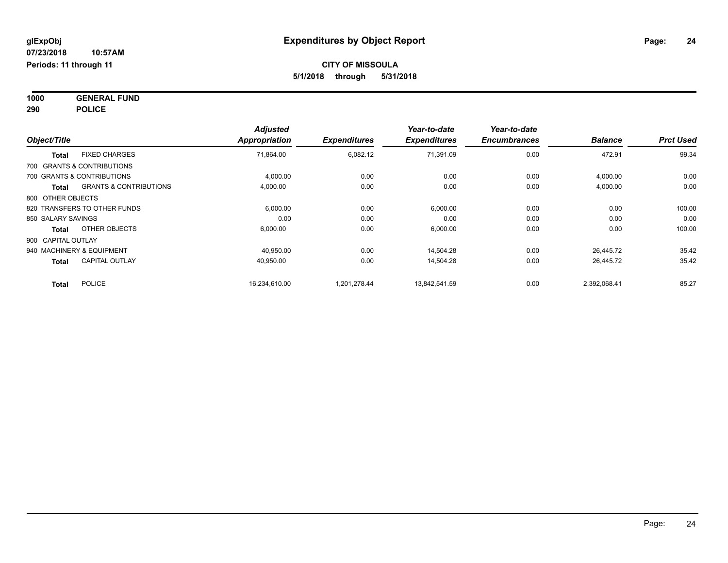**1000 GENERAL FUND 290 POLICE**

| Object/Title                          |                                   | <b>Adjusted</b><br><b>Appropriation</b> | <b>Expenditures</b> | Year-to-date<br><b>Expenditures</b> | Year-to-date<br><b>Encumbrances</b> | <b>Balance</b> | <b>Prct Used</b> |
|---------------------------------------|-----------------------------------|-----------------------------------------|---------------------|-------------------------------------|-------------------------------------|----------------|------------------|
| <b>FIXED CHARGES</b><br><b>Total</b>  |                                   | 71,864.00                               | 6,082.12            | 71,391.09                           | 0.00                                | 472.91         | 99.34            |
| 700 GRANTS & CONTRIBUTIONS            |                                   |                                         |                     |                                     |                                     |                |                  |
| 700 GRANTS & CONTRIBUTIONS            |                                   | 4,000.00                                | 0.00                | 0.00                                | 0.00                                | 4,000.00       | 0.00             |
| <b>Total</b>                          | <b>GRANTS &amp; CONTRIBUTIONS</b> | 4,000.00                                | 0.00                | 0.00                                | 0.00                                | 4,000.00       | 0.00             |
| 800 OTHER OBJECTS                     |                                   |                                         |                     |                                     |                                     |                |                  |
| 820 TRANSFERS TO OTHER FUNDS          |                                   | 6,000.00                                | 0.00                | 6,000.00                            | 0.00                                | 0.00           | 100.00           |
| 850 SALARY SAVINGS                    |                                   | 0.00                                    | 0.00                | 0.00                                | 0.00                                | 0.00           | 0.00             |
| OTHER OBJECTS<br><b>Total</b>         |                                   | 6,000.00                                | 0.00                | 6,000.00                            | 0.00                                | 0.00           | 100.00           |
| 900 CAPITAL OUTLAY                    |                                   |                                         |                     |                                     |                                     |                |                  |
| 940 MACHINERY & EQUIPMENT             |                                   | 40.950.00                               | 0.00                | 14.504.28                           | 0.00                                | 26,445.72      | 35.42            |
| <b>CAPITAL OUTLAY</b><br><b>Total</b> |                                   | 40,950.00                               | 0.00                | 14,504.28                           | 0.00                                | 26,445.72      | 35.42            |
| <b>POLICE</b><br><b>Total</b>         |                                   | 16,234,610.00                           | 1,201,278.44        | 13,842,541.59                       | 0.00                                | 2,392,068.41   | 85.27            |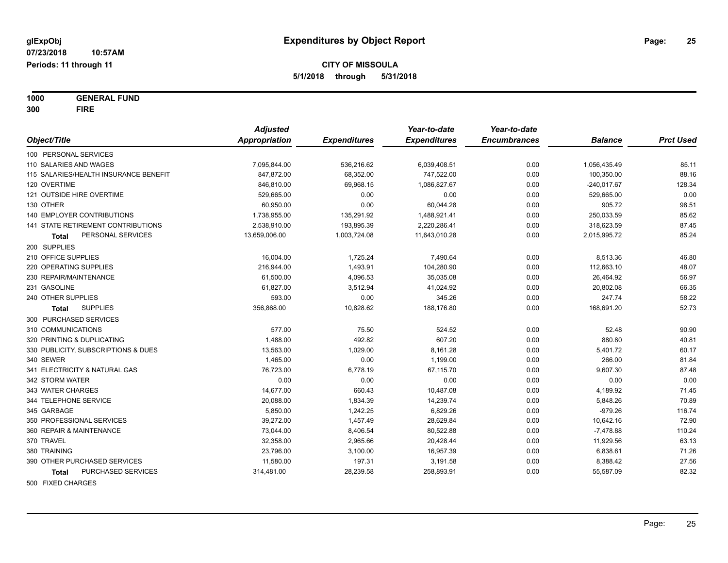**1000 GENERAL FUND 300 FIRE**

|                                           | <b>Adjusted</b> |                     | Year-to-date        | Year-to-date        |                |                  |
|-------------------------------------------|-----------------|---------------------|---------------------|---------------------|----------------|------------------|
| Object/Title                              | Appropriation   | <b>Expenditures</b> | <b>Expenditures</b> | <b>Encumbrances</b> | <b>Balance</b> | <b>Prct Used</b> |
| 100 PERSONAL SERVICES                     |                 |                     |                     |                     |                |                  |
| 110 SALARIES AND WAGES                    | 7,095,844.00    | 536,216.62          | 6,039,408.51        | 0.00                | 1,056,435.49   | 85.11            |
| 115 SALARIES/HEALTH INSURANCE BENEFIT     | 847,872.00      | 68,352.00           | 747,522.00          | 0.00                | 100,350.00     | 88.16            |
| 120 OVERTIME                              | 846,810.00      | 69,968.15           | 1,086,827.67        | 0.00                | $-240,017.67$  | 128.34           |
| 121 OUTSIDE HIRE OVERTIME                 | 529,665.00      | 0.00                | 0.00                | 0.00                | 529,665.00     | 0.00             |
| 130 OTHER                                 | 60,950.00       | 0.00                | 60,044.28           | 0.00                | 905.72         | 98.51            |
| 140 EMPLOYER CONTRIBUTIONS                | 1,738,955.00    | 135,291.92          | 1,488,921.41        | 0.00                | 250,033.59     | 85.62            |
| <b>141 STATE RETIREMENT CONTRIBUTIONS</b> | 2,538,910.00    | 193,895.39          | 2,220,286.41        | 0.00                | 318,623.59     | 87.45            |
| PERSONAL SERVICES<br><b>Total</b>         | 13,659,006.00   | 1,003,724.08        | 11,643,010.28       | 0.00                | 2,015,995.72   | 85.24            |
| 200 SUPPLIES                              |                 |                     |                     |                     |                |                  |
| 210 OFFICE SUPPLIES                       | 16,004.00       | 1,725.24            | 7,490.64            | 0.00                | 8,513.36       | 46.80            |
| 220 OPERATING SUPPLIES                    | 216,944.00      | 1,493.91            | 104,280.90          | 0.00                | 112,663.10     | 48.07            |
| 230 REPAIR/MAINTENANCE                    | 61,500.00       | 4,096.53            | 35,035.08           | 0.00                | 26,464.92      | 56.97            |
| 231 GASOLINE                              | 61,827.00       | 3,512.94            | 41,024.92           | 0.00                | 20,802.08      | 66.35            |
| 240 OTHER SUPPLIES                        | 593.00          | 0.00                | 345.26              | 0.00                | 247.74         | 58.22            |
| <b>SUPPLIES</b><br><b>Total</b>           | 356,868.00      | 10,828.62           | 188,176.80          | 0.00                | 168,691.20     | 52.73            |
| 300 PURCHASED SERVICES                    |                 |                     |                     |                     |                |                  |
| 310 COMMUNICATIONS                        | 577.00          | 75.50               | 524.52              | 0.00                | 52.48          | 90.90            |
| 320 PRINTING & DUPLICATING                | 1,488.00        | 492.82              | 607.20              | 0.00                | 880.80         | 40.81            |
| 330 PUBLICITY, SUBSCRIPTIONS & DUES       | 13,563.00       | 1,029.00            | 8,161.28            | 0.00                | 5,401.72       | 60.17            |
| 340 SEWER                                 | 1,465.00        | 0.00                | 1,199.00            | 0.00                | 266.00         | 81.84            |
| 341 ELECTRICITY & NATURAL GAS             | 76,723.00       | 6,778.19            | 67,115.70           | 0.00                | 9,607.30       | 87.48            |
| 342 STORM WATER                           | 0.00            | 0.00                | 0.00                | 0.00                | 0.00           | 0.00             |
| 343 WATER CHARGES                         | 14,677.00       | 660.43              | 10,487.08           | 0.00                | 4,189.92       | 71.45            |
| 344 TELEPHONE SERVICE                     | 20,088.00       | 1,834.39            | 14,239.74           | 0.00                | 5,848.26       | 70.89            |
| 345 GARBAGE                               | 5,850.00        | 1,242.25            | 6,829.26            | 0.00                | $-979.26$      | 116.74           |
| 350 PROFESSIONAL SERVICES                 | 39,272.00       | 1,457.49            | 28,629.84           | 0.00                | 10,642.16      | 72.90            |
| 360 REPAIR & MAINTENANCE                  | 73,044.00       | 8,406.54            | 80,522.88           | 0.00                | $-7,478.88$    | 110.24           |
| 370 TRAVEL                                | 32,358.00       | 2,965.66            | 20,428.44           | 0.00                | 11,929.56      | 63.13            |
| 380 TRAINING                              | 23,796.00       | 3,100.00            | 16,957.39           | 0.00                | 6,838.61       | 71.26            |
| 390 OTHER PURCHASED SERVICES              | 11,580.00       | 197.31              | 3,191.58            | 0.00                | 8,388.42       | 27.56            |
| PURCHASED SERVICES<br>Total               | 314,481.00      | 28,239.58           | 258,893.91          | 0.00                | 55,587.09      | 82.32            |
| $F(A)$ $F(B)$ $F(A)$ $A$                  |                 |                     |                     |                     |                |                  |

500 FIXED CHARGES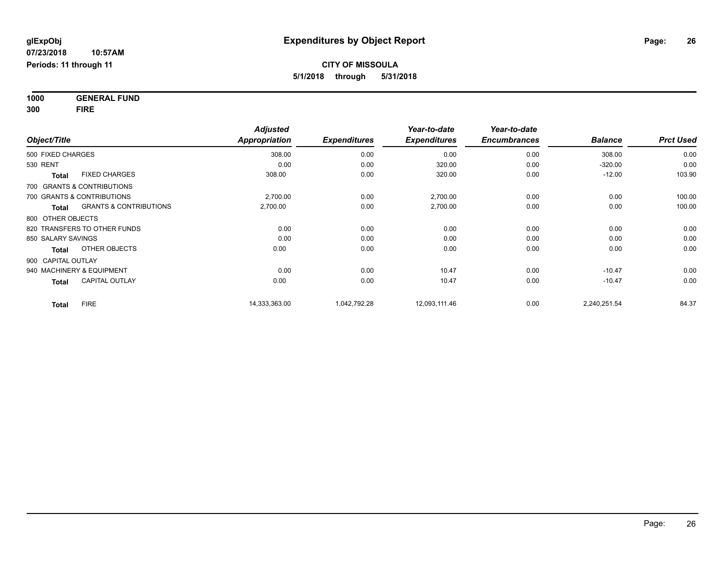**1000 GENERAL FUND 300 FIRE**

|                                                   | <b>Adjusted</b>      |                     | Year-to-date        | Year-to-date<br><b>Encumbrances</b> | <b>Balance</b> | <b>Prct Used</b> |
|---------------------------------------------------|----------------------|---------------------|---------------------|-------------------------------------|----------------|------------------|
| Object/Title                                      | <b>Appropriation</b> | <b>Expenditures</b> | <b>Expenditures</b> |                                     |                |                  |
| 500 FIXED CHARGES                                 | 308.00               | 0.00                | 0.00                | 0.00                                | 308.00         | 0.00             |
| 530 RENT                                          | 0.00                 | 0.00                | 320.00              | 0.00                                | $-320.00$      | 0.00             |
| <b>FIXED CHARGES</b><br><b>Total</b>              | 308.00               | 0.00                | 320.00              | 0.00                                | $-12.00$       | 103.90           |
| 700 GRANTS & CONTRIBUTIONS                        |                      |                     |                     |                                     |                |                  |
| 700 GRANTS & CONTRIBUTIONS                        | 2,700.00             | 0.00                | 2,700.00            | 0.00                                | 0.00           | 100.00           |
| <b>GRANTS &amp; CONTRIBUTIONS</b><br><b>Total</b> | 2,700.00             | 0.00                | 2,700.00            | 0.00                                | 0.00           | 100.00           |
| 800 OTHER OBJECTS                                 |                      |                     |                     |                                     |                |                  |
| 820 TRANSFERS TO OTHER FUNDS                      | 0.00                 | 0.00                | 0.00                | 0.00                                | 0.00           | 0.00             |
| 850 SALARY SAVINGS                                | 0.00                 | 0.00                | 0.00                | 0.00                                | 0.00           | 0.00             |
| OTHER OBJECTS<br><b>Total</b>                     | 0.00                 | 0.00                | 0.00                | 0.00                                | 0.00           | 0.00             |
| 900 CAPITAL OUTLAY                                |                      |                     |                     |                                     |                |                  |
| 940 MACHINERY & EQUIPMENT                         | 0.00                 | 0.00                | 10.47               | 0.00                                | $-10.47$       | 0.00             |
| <b>CAPITAL OUTLAY</b><br><b>Total</b>             | 0.00                 | 0.00                | 10.47               | 0.00                                | $-10.47$       | 0.00             |
| <b>FIRE</b><br><b>Total</b>                       | 14,333,363.00        | 1,042,792.28        | 12,093,111.46       | 0.00                                | 2,240,251.54   | 84.37            |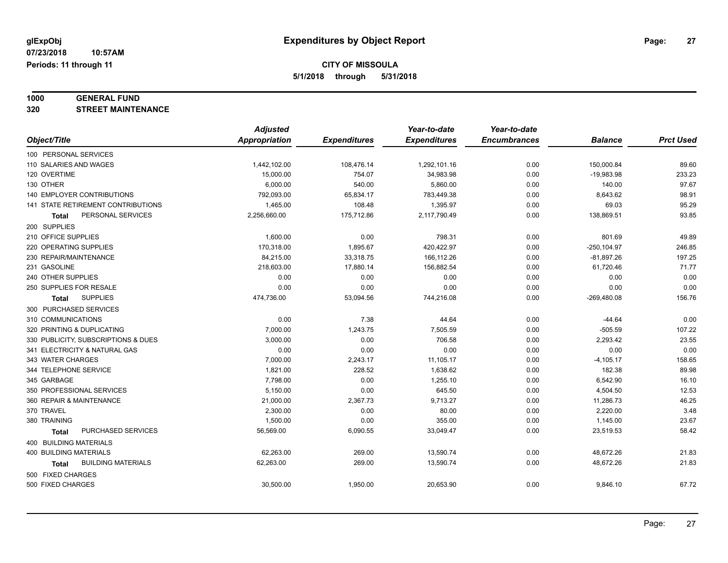# **1000 GENERAL FUND**

**320 STREET MAINTENANCE**

|                                           | <b>Adjusted</b> |                     | Year-to-date        | Year-to-date        |                |                  |
|-------------------------------------------|-----------------|---------------------|---------------------|---------------------|----------------|------------------|
| Object/Title                              | Appropriation   | <b>Expenditures</b> | <b>Expenditures</b> | <b>Encumbrances</b> | <b>Balance</b> | <b>Prct Used</b> |
| 100 PERSONAL SERVICES                     |                 |                     |                     |                     |                |                  |
| 110 SALARIES AND WAGES                    | 1,442,102.00    | 108,476.14          | 1,292,101.16        | 0.00                | 150,000.84     | 89.60            |
| 120 OVERTIME                              | 15,000.00       | 754.07              | 34,983.98           | 0.00                | $-19,983.98$   | 233.23           |
| 130 OTHER                                 | 6,000.00        | 540.00              | 5,860.00            | 0.00                | 140.00         | 97.67            |
| <b>140 EMPLOYER CONTRIBUTIONS</b>         | 792,093.00      | 65,834.17           | 783,449.38          | 0.00                | 8,643.62       | 98.91            |
| <b>141 STATE RETIREMENT CONTRIBUTIONS</b> | 1.465.00        | 108.48              | 1,395.97            | 0.00                | 69.03          | 95.29            |
| PERSONAL SERVICES<br>Total                | 2,256,660.00    | 175,712.86          | 2,117,790.49        | 0.00                | 138,869.51     | 93.85            |
| 200 SUPPLIES                              |                 |                     |                     |                     |                |                  |
| 210 OFFICE SUPPLIES                       | 1,600.00        | 0.00                | 798.31              | 0.00                | 801.69         | 49.89            |
| 220 OPERATING SUPPLIES                    | 170,318.00      | 1,895.67            | 420,422.97          | 0.00                | $-250, 104.97$ | 246.85           |
| 230 REPAIR/MAINTENANCE                    | 84,215.00       | 33,318.75           | 166,112.26          | 0.00                | $-81,897.26$   | 197.25           |
| 231 GASOLINE                              | 218,603.00      | 17,880.14           | 156,882.54          | 0.00                | 61,720.46      | 71.77            |
| 240 OTHER SUPPLIES                        | 0.00            | 0.00                | 0.00                | 0.00                | 0.00           | 0.00             |
| 250 SUPPLIES FOR RESALE                   | 0.00            | 0.00                | 0.00                | 0.00                | 0.00           | 0.00             |
| <b>SUPPLIES</b><br><b>Total</b>           | 474,736.00      | 53,094.56           | 744,216.08          | 0.00                | $-269,480.08$  | 156.76           |
| 300 PURCHASED SERVICES                    |                 |                     |                     |                     |                |                  |
| 310 COMMUNICATIONS                        | 0.00            | 7.38                | 44.64               | 0.00                | $-44.64$       | 0.00             |
| 320 PRINTING & DUPLICATING                | 7,000.00        | 1,243.75            | 7,505.59            | 0.00                | $-505.59$      | 107.22           |
| 330 PUBLICITY, SUBSCRIPTIONS & DUES       | 3,000.00        | 0.00                | 706.58              | 0.00                | 2,293.42       | 23.55            |
| 341 ELECTRICITY & NATURAL GAS             | 0.00            | 0.00                | 0.00                | 0.00                | 0.00           | 0.00             |
| 343 WATER CHARGES                         | 7,000.00        | 2,243.17            | 11,105.17           | 0.00                | $-4,105.17$    | 158.65           |
| 344 TELEPHONE SERVICE                     | 1,821.00        | 228.52              | 1,638.62            | 0.00                | 182.38         | 89.98            |
| 345 GARBAGE                               | 7,798.00        | 0.00                | 1,255.10            | 0.00                | 6,542.90       | 16.10            |
| 350 PROFESSIONAL SERVICES                 | 5,150.00        | 0.00                | 645.50              | 0.00                | 4,504.50       | 12.53            |
| 360 REPAIR & MAINTENANCE                  | 21,000.00       | 2,367.73            | 9,713.27            | 0.00                | 11,286.73      | 46.25            |
| 370 TRAVEL                                | 2,300.00        | 0.00                | 80.00               | 0.00                | 2,220.00       | 3.48             |
| 380 TRAINING                              | 1,500.00        | 0.00                | 355.00              | 0.00                | 1,145.00       | 23.67            |
| PURCHASED SERVICES<br><b>Total</b>        | 56,569.00       | 6,090.55            | 33,049.47           | 0.00                | 23,519.53      | 58.42            |
| <b>400 BUILDING MATERIALS</b>             |                 |                     |                     |                     |                |                  |
| <b>400 BUILDING MATERIALS</b>             | 62,263.00       | 269.00              | 13,590.74           | 0.00                | 48,672.26      | 21.83            |
| <b>BUILDING MATERIALS</b><br>Total        | 62,263.00       | 269.00              | 13,590.74           | 0.00                | 48,672.26      | 21.83            |
| 500 FIXED CHARGES                         |                 |                     |                     |                     |                |                  |
| 500 FIXED CHARGES                         | 30,500.00       | 1,950.00            | 20,653.90           | 0.00                | 9,846.10       | 67.72            |
|                                           |                 |                     |                     |                     |                |                  |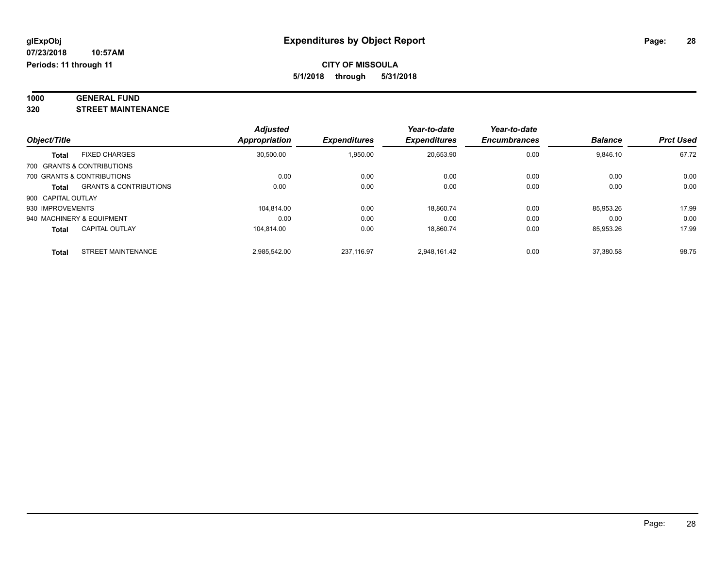#### **1000 GENERAL FUND 320 STREET MAINTENANCE**

| Object/Title                                      | <b>Adjusted</b><br>Appropriation | <b>Expenditures</b> | Year-to-date<br><b>Expenditures</b> | Year-to-date<br><b>Encumbrances</b> | <b>Balance</b> | <b>Prct Used</b> |
|---------------------------------------------------|----------------------------------|---------------------|-------------------------------------|-------------------------------------|----------------|------------------|
| <b>FIXED CHARGES</b><br><b>Total</b>              | 30.500.00                        | 1,950.00            | 20.653.90                           | 0.00                                | 9,846.10       | 67.72            |
| 700 GRANTS & CONTRIBUTIONS                        |                                  |                     |                                     |                                     |                |                  |
| 700 GRANTS & CONTRIBUTIONS                        | 0.00                             | 0.00                | 0.00                                | 0.00                                | 0.00           | 0.00             |
| <b>GRANTS &amp; CONTRIBUTIONS</b><br><b>Total</b> | 0.00                             | 0.00                | 0.00                                | 0.00                                | 0.00           | 0.00             |
| 900 CAPITAL OUTLAY                                |                                  |                     |                                     |                                     |                |                  |
| 930 IMPROVEMENTS                                  | 104.814.00                       | 0.00                | 18.860.74                           | 0.00                                | 85.953.26      | 17.99            |
| 940 MACHINERY & EQUIPMENT                         | 0.00                             | 0.00                | 0.00                                | 0.00                                | 0.00           | 0.00             |
| <b>CAPITAL OUTLAY</b><br><b>Total</b>             | 104.814.00                       | 0.00                | 18.860.74                           | 0.00                                | 85,953.26      | 17.99            |
| <b>STREET MAINTENANCE</b><br><b>Total</b>         | 2.985.542.00                     | 237.116.97          | 2.948.161.42                        | 0.00                                | 37.380.58      | 98.75            |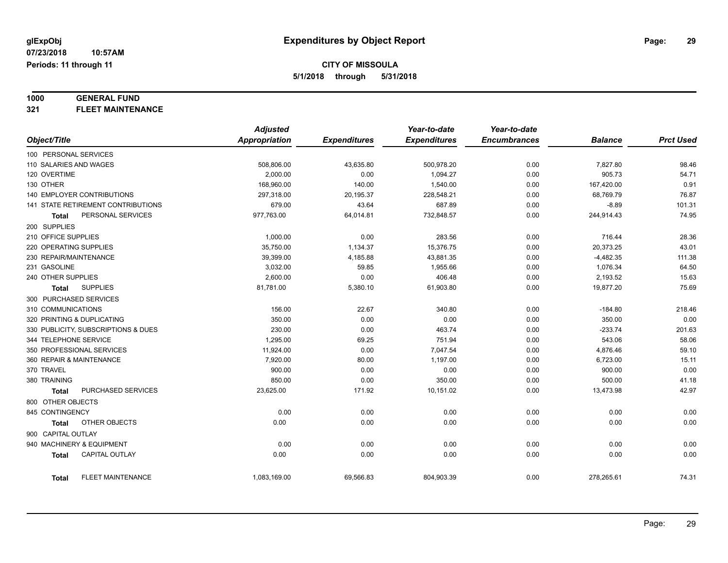# **1000 GENERAL FUND**

**321 FLEET MAINTENANCE**

|                                     |                          | <b>Adjusted</b> |                     | Year-to-date        | Year-to-date        |                |                  |
|-------------------------------------|--------------------------|-----------------|---------------------|---------------------|---------------------|----------------|------------------|
| Object/Title                        |                          | Appropriation   | <b>Expenditures</b> | <b>Expenditures</b> | <b>Encumbrances</b> | <b>Balance</b> | <b>Prct Used</b> |
| 100 PERSONAL SERVICES               |                          |                 |                     |                     |                     |                |                  |
| 110 SALARIES AND WAGES              |                          | 508,806.00      | 43,635.80           | 500,978.20          | 0.00                | 7,827.80       | 98.46            |
| 120 OVERTIME                        |                          | 2.000.00        | 0.00                | 1,094.27            | 0.00                | 905.73         | 54.71            |
| 130 OTHER                           |                          | 168,960.00      | 140.00              | 1,540.00            | 0.00                | 167,420.00     | 0.91             |
| <b>140 EMPLOYER CONTRIBUTIONS</b>   |                          | 297,318.00      | 20,195.37           | 228,548.21          | 0.00                | 68,769.79      | 76.87            |
| 141 STATE RETIREMENT CONTRIBUTIONS  |                          | 679.00          | 43.64               | 687.89              | 0.00                | $-8.89$        | 101.31           |
| <b>Total</b>                        | PERSONAL SERVICES        | 977,763.00      | 64,014.81           | 732,848.57          | 0.00                | 244,914.43     | 74.95            |
| 200 SUPPLIES                        |                          |                 |                     |                     |                     |                |                  |
| 210 OFFICE SUPPLIES                 |                          | 1,000.00        | 0.00                | 283.56              | 0.00                | 716.44         | 28.36            |
| 220 OPERATING SUPPLIES              |                          | 35,750.00       | 1,134.37            | 15,376.75           | 0.00                | 20,373.25      | 43.01            |
| 230 REPAIR/MAINTENANCE              |                          | 39,399.00       | 4,185.88            | 43,881.35           | 0.00                | $-4,482.35$    | 111.38           |
| 231 GASOLINE                        |                          | 3,032.00        | 59.85               | 1,955.66            | 0.00                | 1,076.34       | 64.50            |
| 240 OTHER SUPPLIES                  |                          | 2,600.00        | 0.00                | 406.48              | 0.00                | 2,193.52       | 15.63            |
| <b>SUPPLIES</b><br>Total            |                          | 81,781.00       | 5,380.10            | 61,903.80           | 0.00                | 19,877.20      | 75.69            |
| 300 PURCHASED SERVICES              |                          |                 |                     |                     |                     |                |                  |
| 310 COMMUNICATIONS                  |                          | 156.00          | 22.67               | 340.80              | 0.00                | $-184.80$      | 218.46           |
| 320 PRINTING & DUPLICATING          |                          | 350.00          | 0.00                | 0.00                | 0.00                | 350.00         | 0.00             |
| 330 PUBLICITY, SUBSCRIPTIONS & DUES |                          | 230.00          | 0.00                | 463.74              | 0.00                | $-233.74$      | 201.63           |
| 344 TELEPHONE SERVICE               |                          | 1,295.00        | 69.25               | 751.94              | 0.00                | 543.06         | 58.06            |
| 350 PROFESSIONAL SERVICES           |                          | 11,924.00       | 0.00                | 7,047.54            | 0.00                | 4,876.46       | 59.10            |
| 360 REPAIR & MAINTENANCE            |                          | 7,920.00        | 80.00               | 1,197.00            | 0.00                | 6,723.00       | 15.11            |
| 370 TRAVEL                          |                          | 900.00          | 0.00                | 0.00                | 0.00                | 900.00         | 0.00             |
| 380 TRAINING                        |                          | 850.00          | 0.00                | 350.00              | 0.00                | 500.00         | 41.18            |
| <b>Total</b>                        | PURCHASED SERVICES       | 23,625.00       | 171.92              | 10,151.02           | 0.00                | 13,473.98      | 42.97            |
| 800 OTHER OBJECTS                   |                          |                 |                     |                     |                     |                |                  |
| 845 CONTINGENCY                     |                          | 0.00            | 0.00                | 0.00                | 0.00                | 0.00           | 0.00             |
| Total                               | OTHER OBJECTS            | 0.00            | 0.00                | 0.00                | 0.00                | 0.00           | 0.00             |
| 900 CAPITAL OUTLAY                  |                          |                 |                     |                     |                     |                |                  |
| 940 MACHINERY & EQUIPMENT           |                          | 0.00            | 0.00                | 0.00                | 0.00                | 0.00           | 0.00             |
| <b>Total</b>                        | <b>CAPITAL OUTLAY</b>    | 0.00            | 0.00                | 0.00                | 0.00                | 0.00           | 0.00             |
| <b>Total</b>                        | <b>FLEET MAINTENANCE</b> | 1,083,169.00    | 69,566.83           | 804,903.39          | 0.00                | 278,265.61     | 74.31            |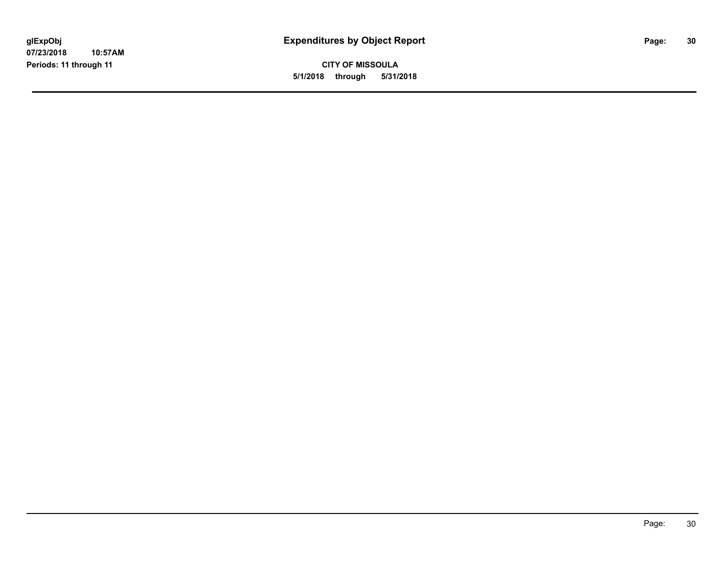**CITY OF MISSOULA**

**5/1/2018 through 5/31/2018**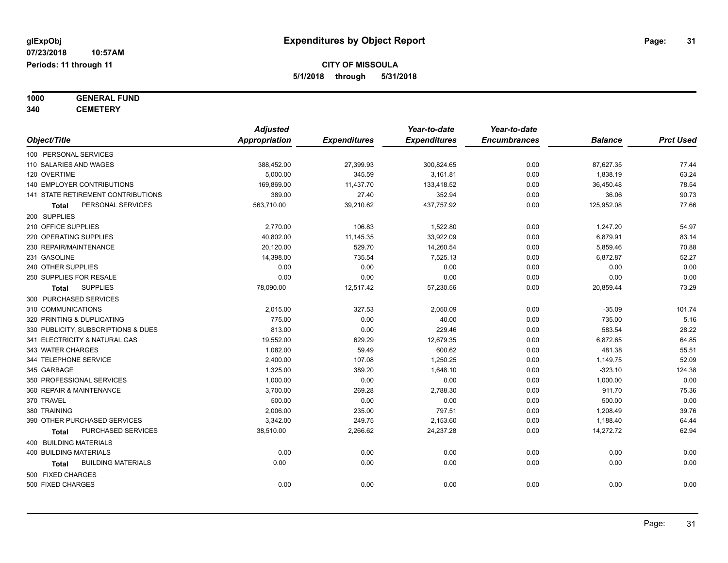**1000 GENERAL FUND**

**340 CEMETERY**

|                                     | <b>Adjusted</b>      |                     | Year-to-date        | Year-to-date        |                |                  |
|-------------------------------------|----------------------|---------------------|---------------------|---------------------|----------------|------------------|
| Object/Title                        | <b>Appropriation</b> | <b>Expenditures</b> | <b>Expenditures</b> | <b>Encumbrances</b> | <b>Balance</b> | <b>Prct Used</b> |
| 100 PERSONAL SERVICES               |                      |                     |                     |                     |                |                  |
| 110 SALARIES AND WAGES              | 388,452.00           | 27,399.93           | 300,824.65          | 0.00                | 87,627.35      | 77.44            |
| 120 OVERTIME                        | 5,000.00             | 345.59              | 3,161.81            | 0.00                | 1,838.19       | 63.24            |
| <b>140 EMPLOYER CONTRIBUTIONS</b>   | 169,869.00           | 11,437.70           | 133,418.52          | 0.00                | 36,450.48      | 78.54            |
| 141 STATE RETIREMENT CONTRIBUTIONS  | 389.00               | 27.40               | 352.94              | 0.00                | 36.06          | 90.73            |
| PERSONAL SERVICES<br>Total          | 563,710.00           | 39,210.62           | 437,757.92          | 0.00                | 125,952.08     | 77.66            |
| 200 SUPPLIES                        |                      |                     |                     |                     |                |                  |
| 210 OFFICE SUPPLIES                 | 2,770.00             | 106.83              | 1,522.80            | 0.00                | 1,247.20       | 54.97            |
| 220 OPERATING SUPPLIES              | 40,802.00            | 11,145.35           | 33,922.09           | 0.00                | 6,879.91       | 83.14            |
| 230 REPAIR/MAINTENANCE              | 20,120.00            | 529.70              | 14,260.54           | 0.00                | 5,859.46       | 70.88            |
| 231 GASOLINE                        | 14,398.00            | 735.54              | 7,525.13            | 0.00                | 6,872.87       | 52.27            |
| 240 OTHER SUPPLIES                  | 0.00                 | 0.00                | 0.00                | 0.00                | 0.00           | 0.00             |
| 250 SUPPLIES FOR RESALE             | 0.00                 | 0.00                | 0.00                | 0.00                | 0.00           | 0.00             |
| <b>SUPPLIES</b><br><b>Total</b>     | 78,090.00            | 12,517.42           | 57,230.56           | 0.00                | 20,859.44      | 73.29            |
| 300 PURCHASED SERVICES              |                      |                     |                     |                     |                |                  |
| 310 COMMUNICATIONS                  | 2,015.00             | 327.53              | 2,050.09            | 0.00                | $-35.09$       | 101.74           |
| 320 PRINTING & DUPLICATING          | 775.00               | 0.00                | 40.00               | 0.00                | 735.00         | 5.16             |
| 330 PUBLICITY, SUBSCRIPTIONS & DUES | 813.00               | 0.00                | 229.46              | 0.00                | 583.54         | 28.22            |
| 341 ELECTRICITY & NATURAL GAS       | 19,552.00            | 629.29              | 12,679.35           | 0.00                | 6,872.65       | 64.85            |
| 343 WATER CHARGES                   | 1,082.00             | 59.49               | 600.62              | 0.00                | 481.38         | 55.51            |
| 344 TELEPHONE SERVICE               | 2,400.00             | 107.08              | 1,250.25            | 0.00                | 1,149.75       | 52.09            |
| 345 GARBAGE                         | 1,325.00             | 389.20              | 1,648.10            | 0.00                | $-323.10$      | 124.38           |
| 350 PROFESSIONAL SERVICES           | 1,000.00             | 0.00                | 0.00                | 0.00                | 1,000.00       | 0.00             |
| 360 REPAIR & MAINTENANCE            | 3,700.00             | 269.28              | 2,788.30            | 0.00                | 911.70         | 75.36            |
| 370 TRAVEL                          | 500.00               | 0.00                | 0.00                | 0.00                | 500.00         | 0.00             |
| 380 TRAINING                        | 2,006.00             | 235.00              | 797.51              | 0.00                | 1,208.49       | 39.76            |
| 390 OTHER PURCHASED SERVICES        | 3,342.00             | 249.75              | 2,153.60            | 0.00                | 1,188.40       | 64.44            |
| PURCHASED SERVICES<br><b>Total</b>  | 38,510.00            | 2,266.62            | 24,237.28           | 0.00                | 14,272.72      | 62.94            |
| 400 BUILDING MATERIALS              |                      |                     |                     |                     |                |                  |
| <b>400 BUILDING MATERIALS</b>       | 0.00                 | 0.00                | 0.00                | 0.00                | 0.00           | 0.00             |
| <b>BUILDING MATERIALS</b><br>Total  | 0.00                 | 0.00                | 0.00                | 0.00                | 0.00           | 0.00             |
| 500 FIXED CHARGES                   |                      |                     |                     |                     |                |                  |
| 500 FIXED CHARGES                   | 0.00                 | 0.00                | 0.00                | 0.00                | 0.00           | 0.00             |
|                                     |                      |                     |                     |                     |                |                  |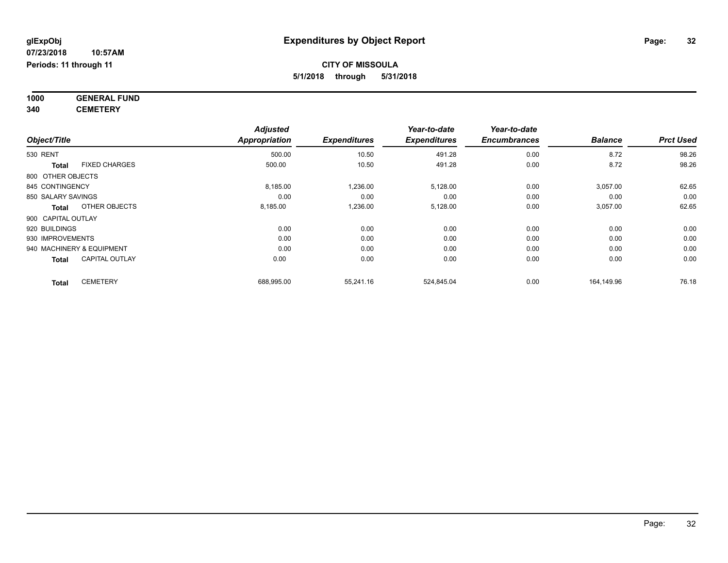**1000 GENERAL FUND 340 CEMETERY**

|                    |                           | <b>Adjusted</b>      |                     | Year-to-date        | Year-to-date        |                |                  |
|--------------------|---------------------------|----------------------|---------------------|---------------------|---------------------|----------------|------------------|
| Object/Title       |                           | <b>Appropriation</b> | <b>Expenditures</b> | <b>Expenditures</b> | <b>Encumbrances</b> | <b>Balance</b> | <b>Prct Used</b> |
| <b>530 RENT</b>    |                           | 500.00               | 10.50               | 491.28              | 0.00                | 8.72           | 98.26            |
| <b>Total</b>       | <b>FIXED CHARGES</b>      | 500.00               | 10.50               | 491.28              | 0.00                | 8.72           | 98.26            |
| 800 OTHER OBJECTS  |                           |                      |                     |                     |                     |                |                  |
| 845 CONTINGENCY    |                           | 8,185.00             | 1,236.00            | 5,128.00            | 0.00                | 3,057.00       | 62.65            |
| 850 SALARY SAVINGS |                           | 0.00                 | 0.00                | 0.00                | 0.00                | 0.00           | 0.00             |
| <b>Total</b>       | OTHER OBJECTS             | 8,185.00             | 1,236.00            | 5,128.00            | 0.00                | 3,057.00       | 62.65            |
| 900 CAPITAL OUTLAY |                           |                      |                     |                     |                     |                |                  |
| 920 BUILDINGS      |                           | 0.00                 | 0.00                | 0.00                | 0.00                | 0.00           | 0.00             |
| 930 IMPROVEMENTS   |                           | 0.00                 | 0.00                | 0.00                | 0.00                | 0.00           | 0.00             |
|                    | 940 MACHINERY & EQUIPMENT | 0.00                 | 0.00                | 0.00                | 0.00                | 0.00           | 0.00             |
| <b>Total</b>       | <b>CAPITAL OUTLAY</b>     | 0.00                 | 0.00                | 0.00                | 0.00                | 0.00           | 0.00             |
| <b>Total</b>       | <b>CEMETERY</b>           | 688,995.00           | 55,241.16           | 524,845.04          | 0.00                | 164,149.96     | 76.18            |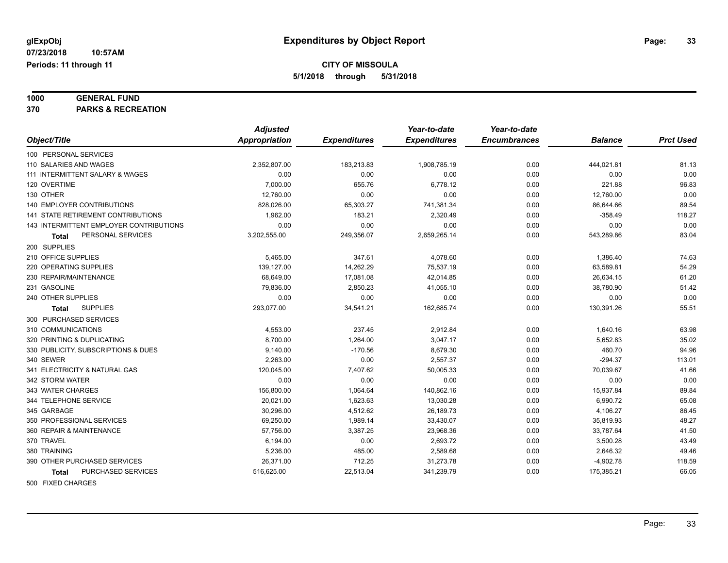# **1000 GENERAL FUND**

**370 PARKS & RECREATION**

|                                         | <b>Adjusted</b>      |                     | Year-to-date        | Year-to-date        |                |                  |
|-----------------------------------------|----------------------|---------------------|---------------------|---------------------|----------------|------------------|
| Object/Title                            | <b>Appropriation</b> | <b>Expenditures</b> | <b>Expenditures</b> | <b>Encumbrances</b> | <b>Balance</b> | <b>Prct Used</b> |
| 100 PERSONAL SERVICES                   |                      |                     |                     |                     |                |                  |
| 110 SALARIES AND WAGES                  | 2,352,807.00         | 183,213.83          | 1,908,785.19        | 0.00                | 444,021.81     | 81.13            |
| 111 INTERMITTENT SALARY & WAGES         | 0.00                 | 0.00                | 0.00                | 0.00                | 0.00           | 0.00             |
| 120 OVERTIME                            | 7,000.00             | 655.76              | 6,778.12            | 0.00                | 221.88         | 96.83            |
| 130 OTHER                               | 12,760.00            | 0.00                | 0.00                | 0.00                | 12,760.00      | 0.00             |
| <b>140 EMPLOYER CONTRIBUTIONS</b>       | 828,026.00           | 65,303.27           | 741,381.34          | 0.00                | 86,644.66      | 89.54            |
| 141 STATE RETIREMENT CONTRIBUTIONS      | 1,962.00             | 183.21              | 2,320.49            | 0.00                | $-358.49$      | 118.27           |
| 143 INTERMITTENT EMPLOYER CONTRIBUTIONS | 0.00                 | 0.00                | 0.00                | 0.00                | 0.00           | 0.00             |
| PERSONAL SERVICES<br>Total              | 3,202,555.00         | 249,356.07          | 2,659,265.14        | 0.00                | 543,289.86     | 83.04            |
| 200 SUPPLIES                            |                      |                     |                     |                     |                |                  |
| 210 OFFICE SUPPLIES                     | 5,465.00             | 347.61              | 4,078.60            | 0.00                | 1,386.40       | 74.63            |
| 220 OPERATING SUPPLIES                  | 139,127.00           | 14,262.29           | 75,537.19           | 0.00                | 63,589.81      | 54.29            |
| 230 REPAIR/MAINTENANCE                  | 68.649.00            | 17,081.08           | 42,014.85           | 0.00                | 26,634.15      | 61.20            |
| 231 GASOLINE                            | 79,836.00            | 2,850.23            | 41,055.10           | 0.00                | 38,780.90      | 51.42            |
| 240 OTHER SUPPLIES                      | 0.00                 | 0.00                | 0.00                | 0.00                | 0.00           | 0.00             |
| <b>SUPPLIES</b><br>Total                | 293,077.00           | 34,541.21           | 162,685.74          | 0.00                | 130,391.26     | 55.51            |
| 300 PURCHASED SERVICES                  |                      |                     |                     |                     |                |                  |
| 310 COMMUNICATIONS                      | 4,553.00             | 237.45              | 2,912.84            | 0.00                | 1,640.16       | 63.98            |
| 320 PRINTING & DUPLICATING              | 8,700.00             | 1,264.00            | 3,047.17            | 0.00                | 5,652.83       | 35.02            |
| 330 PUBLICITY, SUBSCRIPTIONS & DUES     | 9,140.00             | $-170.56$           | 8,679.30            | 0.00                | 460.70         | 94.96            |
| 340 SEWER                               | 2,263.00             | 0.00                | 2,557.37            | 0.00                | $-294.37$      | 113.01           |
| 341 ELECTRICITY & NATURAL GAS           | 120,045.00           | 7.407.62            | 50.005.33           | 0.00                | 70,039.67      | 41.66            |
| 342 STORM WATER                         | 0.00                 | 0.00                | 0.00                | 0.00                | 0.00           | 0.00             |
| 343 WATER CHARGES                       | 156,800.00           | 1,064.64            | 140,862.16          | 0.00                | 15,937.84      | 89.84            |
| 344 TELEPHONE SERVICE                   | 20,021.00            | 1,623.63            | 13,030.28           | 0.00                | 6,990.72       | 65.08            |
| 345 GARBAGE                             | 30,296.00            | 4,512.62            | 26,189.73           | 0.00                | 4,106.27       | 86.45            |
| 350 PROFESSIONAL SERVICES               | 69,250.00            | 1,989.14            | 33,430.07           | 0.00                | 35,819.93      | 48.27            |
| 360 REPAIR & MAINTENANCE                | 57,756.00            | 3,387.25            | 23,968.36           | 0.00                | 33,787.64      | 41.50            |
| 370 TRAVEL                              | 6,194.00             | 0.00                | 2,693.72            | 0.00                | 3,500.28       | 43.49            |
| 380 TRAINING                            | 5,236.00             | 485.00              | 2,589.68            | 0.00                | 2,646.32       | 49.46            |
| 390 OTHER PURCHASED SERVICES            | 26,371.00            | 712.25              | 31,273.78           | 0.00                | $-4,902.78$    | 118.59           |
| <b>PURCHASED SERVICES</b><br>Total      | 516,625.00           | 22,513.04           | 341,239.79          | 0.00                | 175,385.21     | 66.05            |
|                                         |                      |                     |                     |                     |                |                  |

500 FIXED CHARGES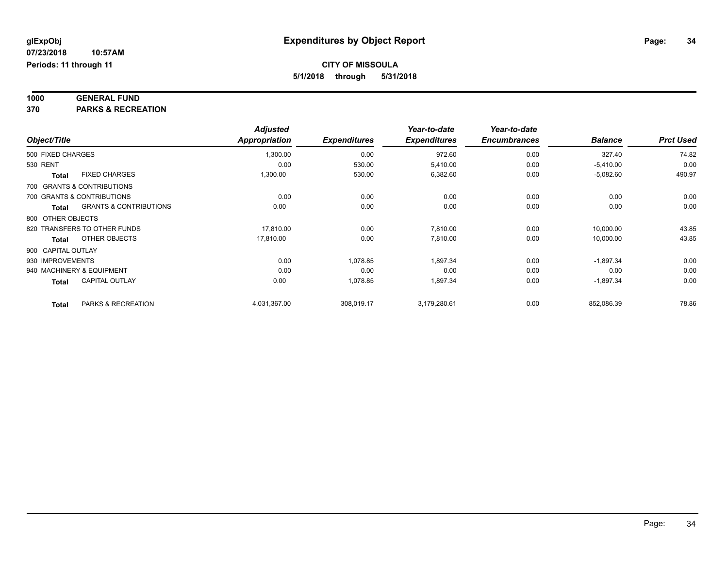# **1000 GENERAL FUND**

**370 PARKS & RECREATION**

| Object/Title       |                                   | <b>Adjusted</b><br>Appropriation | <b>Expenditures</b> | Year-to-date<br><b>Expenditures</b> | Year-to-date<br><b>Encumbrances</b> | <b>Balance</b> | <b>Prct Used</b> |
|--------------------|-----------------------------------|----------------------------------|---------------------|-------------------------------------|-------------------------------------|----------------|------------------|
| 500 FIXED CHARGES  |                                   | 1,300.00                         | 0.00                | 972.60                              | 0.00                                | 327.40         | 74.82            |
| <b>530 RENT</b>    |                                   | 0.00                             | 530.00              | 5,410.00                            | 0.00                                | $-5,410.00$    | 0.00             |
| <b>Total</b>       | <b>FIXED CHARGES</b>              | 1,300.00                         | 530.00              | 6,382.60                            | 0.00                                | $-5,082.60$    | 490.97           |
|                    | 700 GRANTS & CONTRIBUTIONS        |                                  |                     |                                     |                                     |                |                  |
|                    | 700 GRANTS & CONTRIBUTIONS        | 0.00                             | 0.00                | 0.00                                | 0.00                                | 0.00           | 0.00             |
| Total              | <b>GRANTS &amp; CONTRIBUTIONS</b> | 0.00                             | 0.00                | 0.00                                | 0.00                                | 0.00           | 0.00             |
| 800 OTHER OBJECTS  |                                   |                                  |                     |                                     |                                     |                |                  |
|                    | 820 TRANSFERS TO OTHER FUNDS      | 17,810.00                        | 0.00                | 7,810.00                            | 0.00                                | 10,000.00      | 43.85            |
| Total              | OTHER OBJECTS                     | 17,810.00                        | 0.00                | 7,810.00                            | 0.00                                | 10,000.00      | 43.85            |
| 900 CAPITAL OUTLAY |                                   |                                  |                     |                                     |                                     |                |                  |
| 930 IMPROVEMENTS   |                                   | 0.00                             | 1,078.85            | 1,897.34                            | 0.00                                | $-1,897.34$    | 0.00             |
|                    | 940 MACHINERY & EQUIPMENT         | 0.00                             | 0.00                | 0.00                                | 0.00                                | 0.00           | 0.00             |
| Total              | <b>CAPITAL OUTLAY</b>             | 0.00                             | 1,078.85            | 1,897.34                            | 0.00                                | $-1,897.34$    | 0.00             |
| <b>Total</b>       | PARKS & RECREATION                | 4,031,367.00                     | 308,019.17          | 3,179,280.61                        | 0.00                                | 852,086.39     | 78.86            |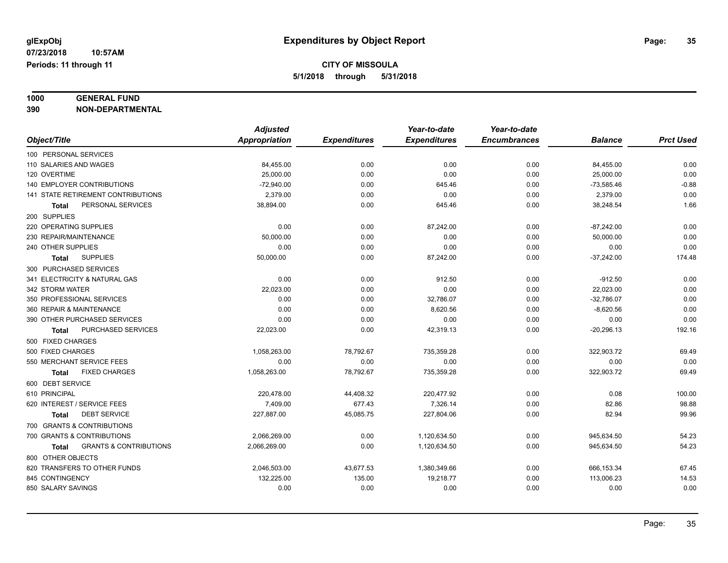# **1000 GENERAL FUND**

**390 NON-DEPARTMENTAL**

|                                                   | <b>Adjusted</b> |                     | Year-to-date        | Year-to-date        |                |                  |
|---------------------------------------------------|-----------------|---------------------|---------------------|---------------------|----------------|------------------|
| Object/Title                                      | Appropriation   | <b>Expenditures</b> | <b>Expenditures</b> | <b>Encumbrances</b> | <b>Balance</b> | <b>Prct Used</b> |
| 100 PERSONAL SERVICES                             |                 |                     |                     |                     |                |                  |
| 110 SALARIES AND WAGES                            | 84,455.00       | 0.00                | 0.00                | 0.00                | 84,455.00      | 0.00             |
| 120 OVERTIME                                      | 25,000.00       | 0.00                | 0.00                | 0.00                | 25,000.00      | 0.00             |
| 140 EMPLOYER CONTRIBUTIONS                        | $-72,940.00$    | 0.00                | 645.46              | 0.00                | $-73,585.46$   | $-0.88$          |
| 141 STATE RETIREMENT CONTRIBUTIONS                | 2,379.00        | 0.00                | 0.00                | 0.00                | 2,379.00       | 0.00             |
| PERSONAL SERVICES<br><b>Total</b>                 | 38,894.00       | 0.00                | 645.46              | 0.00                | 38,248.54      | 1.66             |
| 200 SUPPLIES                                      |                 |                     |                     |                     |                |                  |
| 220 OPERATING SUPPLIES                            | 0.00            | 0.00                | 87,242.00           | 0.00                | $-87,242.00$   | 0.00             |
| 230 REPAIR/MAINTENANCE                            | 50,000.00       | 0.00                | 0.00                | 0.00                | 50,000.00      | 0.00             |
| 240 OTHER SUPPLIES                                | 0.00            | 0.00                | 0.00                | 0.00                | 0.00           | 0.00             |
| <b>SUPPLIES</b><br>Total                          | 50,000.00       | 0.00                | 87,242.00           | 0.00                | $-37,242.00$   | 174.48           |
| 300 PURCHASED SERVICES                            |                 |                     |                     |                     |                |                  |
| 341 ELECTRICITY & NATURAL GAS                     | 0.00            | 0.00                | 912.50              | 0.00                | $-912.50$      | 0.00             |
| 342 STORM WATER                                   | 22,023.00       | 0.00                | 0.00                | 0.00                | 22,023.00      | 0.00             |
| 350 PROFESSIONAL SERVICES                         | 0.00            | 0.00                | 32,786.07           | 0.00                | $-32,786.07$   | 0.00             |
| 360 REPAIR & MAINTENANCE                          | 0.00            | 0.00                | 8,620.56            | 0.00                | $-8,620.56$    | 0.00             |
| 390 OTHER PURCHASED SERVICES                      | 0.00            | 0.00                | 0.00                | 0.00                | 0.00           | 0.00             |
| PURCHASED SERVICES<br>Total                       | 22,023.00       | 0.00                | 42,319.13           | 0.00                | $-20,296.13$   | 192.16           |
| 500 FIXED CHARGES                                 |                 |                     |                     |                     |                |                  |
| 500 FIXED CHARGES                                 | 1,058,263.00    | 78,792.67           | 735,359.28          | 0.00                | 322,903.72     | 69.49            |
| 550 MERCHANT SERVICE FEES                         | 0.00            | 0.00                | 0.00                | 0.00                | 0.00           | 0.00             |
| <b>FIXED CHARGES</b><br>Total                     | 1,058,263.00    | 78,792.67           | 735,359.28          | 0.00                | 322,903.72     | 69.49            |
| 600 DEBT SERVICE                                  |                 |                     |                     |                     |                |                  |
| 610 PRINCIPAL                                     | 220,478.00      | 44,408.32           | 220,477.92          | 0.00                | 0.08           | 100.00           |
| 620 INTEREST / SERVICE FEES                       | 7,409.00        | 677.43              | 7,326.14            | 0.00                | 82.86          | 98.88            |
| <b>DEBT SERVICE</b><br><b>Total</b>               | 227,887.00      | 45,085.75           | 227,804.06          | 0.00                | 82.94          | 99.96            |
| 700 GRANTS & CONTRIBUTIONS                        |                 |                     |                     |                     |                |                  |
| 700 GRANTS & CONTRIBUTIONS                        | 2,066,269.00    | 0.00                | 1,120,634.50        | 0.00                | 945,634.50     | 54.23            |
| <b>GRANTS &amp; CONTRIBUTIONS</b><br><b>Total</b> | 2,066,269.00    | 0.00                | 1,120,634.50        | 0.00                | 945,634.50     | 54.23            |
| 800 OTHER OBJECTS                                 |                 |                     |                     |                     |                |                  |
| 820 TRANSFERS TO OTHER FUNDS                      | 2,046,503.00    | 43,677.53           | 1,380,349.66        | 0.00                | 666,153.34     | 67.45            |
| 845 CONTINGENCY                                   | 132,225.00      | 135.00              | 19,218.77           | 0.00                | 113,006.23     | 14.53            |
| 850 SALARY SAVINGS                                | 0.00            | 0.00                | 0.00                | 0.00                | 0.00           | 0.00             |
|                                                   |                 |                     |                     |                     |                |                  |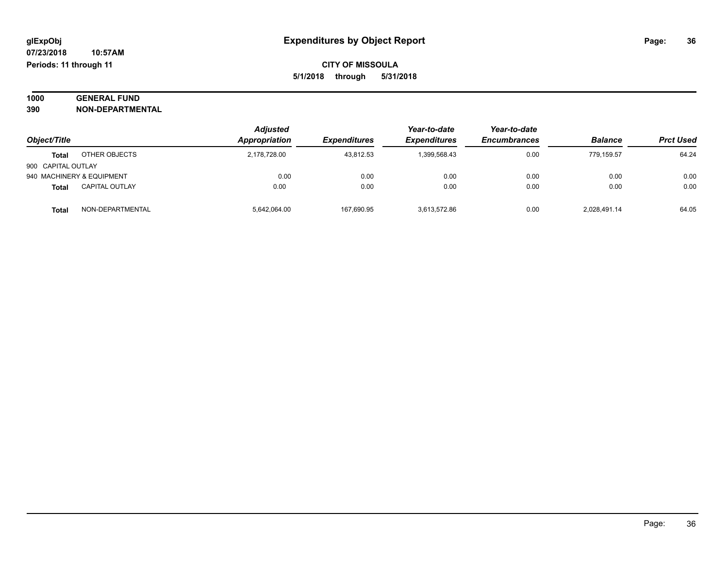| 1000 | <b>GENERAL FUND</b>     |
|------|-------------------------|
| 390  | <b>NON-DEPARTMENTAL</b> |

| Object/Title              |                       | <b>Adjusted</b> |                     | Year-to-date<br><b>Expenditures</b> | Year-to-date        |                |                  |
|---------------------------|-----------------------|-----------------|---------------------|-------------------------------------|---------------------|----------------|------------------|
|                           |                       | Appropriation   | <b>Expenditures</b> |                                     | <b>Encumbrances</b> | <b>Balance</b> | <b>Prct Used</b> |
| <b>Total</b>              | OTHER OBJECTS         | 2.178.728.00    | 43,812.53           | 1.399.568.43                        | 0.00                | 779.159.57     | 64.24            |
| 900 CAPITAL OUTLAY        |                       |                 |                     |                                     |                     |                |                  |
| 940 MACHINERY & EQUIPMENT |                       | 0.00            | 0.00                | 0.00                                | 0.00                | 0.00           | 0.00             |
| <b>Total</b>              | <b>CAPITAL OUTLAY</b> | 0.00            | 0.00                | 0.00                                | 0.00                | 0.00           | 0.00             |
| Total                     | NON-DEPARTMENTAL      | 5,642,064.00    | 167,690.95          | 3,613,572.86                        | 0.00                | 2,028,491.14   | 64.05            |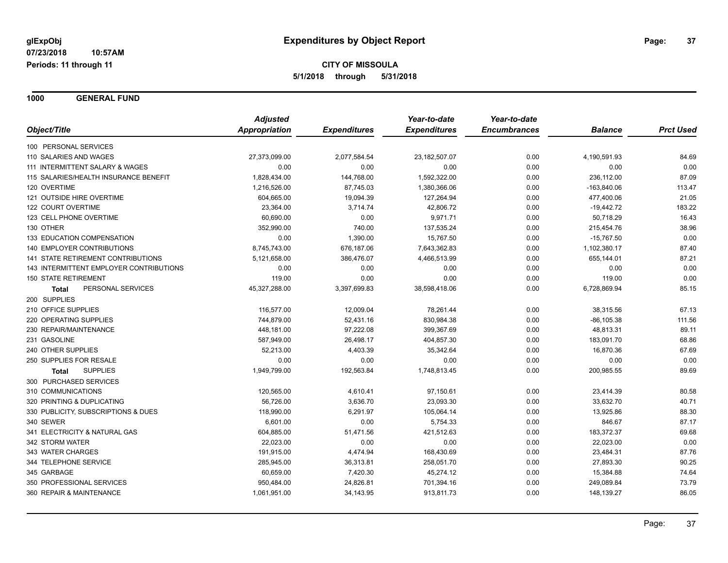**1000 GENERAL FUND**

|                                         | <b>Adjusted</b> |                     | Year-to-date        | Year-to-date        |                |                  |
|-----------------------------------------|-----------------|---------------------|---------------------|---------------------|----------------|------------------|
| Object/Title                            | Appropriation   | <b>Expenditures</b> | <b>Expenditures</b> | <b>Encumbrances</b> | <b>Balance</b> | <b>Prct Used</b> |
| 100 PERSONAL SERVICES                   |                 |                     |                     |                     |                |                  |
| 110 SALARIES AND WAGES                  | 27,373,099.00   | 2,077,584.54        | 23, 182, 507.07     | 0.00                | 4,190,591.93   | 84.69            |
| 111 INTERMITTENT SALARY & WAGES         | 0.00            | 0.00                | 0.00                | 0.00                | 0.00           | 0.00             |
| 115 SALARIES/HEALTH INSURANCE BENEFIT   | 1,828,434.00    | 144,768.00          | 1,592,322.00        | 0.00                | 236,112.00     | 87.09            |
| 120 OVERTIME                            | 1,216,526.00    | 87,745.03           | 1,380,366.06        | 0.00                | $-163,840.06$  | 113.47           |
| 121 OUTSIDE HIRE OVERTIME               | 604,665.00      | 19,094.39           | 127,264.94          | 0.00                | 477,400.06     | 21.05            |
| 122 COURT OVERTIME                      | 23,364.00       | 3,714.74            | 42,806.72           | 0.00                | $-19,442.72$   | 183.22           |
| 123 CELL PHONE OVERTIME                 | 60,690.00       | 0.00                | 9,971.71            | 0.00                | 50,718.29      | 16.43            |
| 130 OTHER                               | 352,990.00      | 740.00              | 137,535.24          | 0.00                | 215,454.76     | 38.96            |
| 133 EDUCATION COMPENSATION              | 0.00            | 1,390.00            | 15,767.50           | 0.00                | $-15,767.50$   | 0.00             |
| 140 EMPLOYER CONTRIBUTIONS              | 8,745,743.00    | 676,187.06          | 7,643,362.83        | 0.00                | 1,102,380.17   | 87.40            |
| 141 STATE RETIREMENT CONTRIBUTIONS      | 5,121,658.00    | 386,476.07          | 4,466,513.99        | 0.00                | 655,144.01     | 87.21            |
| 143 INTERMITTENT EMPLOYER CONTRIBUTIONS | 0.00            | 0.00                | 0.00                | 0.00                | 0.00           | 0.00             |
| <b>150 STATE RETIREMENT</b>             | 119.00          | 0.00                | 0.00                | 0.00                | 119.00         | 0.00             |
| PERSONAL SERVICES<br>Total              | 45,327,288.00   | 3,397,699.83        | 38,598,418.06       | 0.00                | 6,728,869.94   | 85.15            |
| 200 SUPPLIES                            |                 |                     |                     |                     |                |                  |
| 210 OFFICE SUPPLIES                     | 116,577.00      | 12,009.04           | 78,261.44           | 0.00                | 38,315.56      | 67.13            |
| 220 OPERATING SUPPLIES                  | 744,879.00      | 52,431.16           | 830,984.38          | 0.00                | $-86, 105.38$  | 111.56           |
| 230 REPAIR/MAINTENANCE                  | 448,181.00      | 97,222.08           | 399,367.69          | 0.00                | 48,813.31      | 89.11            |
| 231 GASOLINE                            | 587,949.00      | 26,498.17           | 404,857.30          | 0.00                | 183,091.70     | 68.86            |
| 240 OTHER SUPPLIES                      | 52,213.00       | 4,403.39            | 35,342.64           | 0.00                | 16,870.36      | 67.69            |
| 250 SUPPLIES FOR RESALE                 | 0.00            | 0.00                | 0.00                | 0.00                | 0.00           | 0.00             |
| <b>SUPPLIES</b><br><b>Total</b>         | 1,949,799.00    | 192,563.84          | 1,748,813.45        | 0.00                | 200,985.55     | 89.69            |
| 300 PURCHASED SERVICES                  |                 |                     |                     |                     |                |                  |
| 310 COMMUNICATIONS                      | 120,565.00      | 4,610.41            | 97,150.61           | 0.00                | 23,414.39      | 80.58            |
| 320 PRINTING & DUPLICATING              | 56,726.00       | 3,636.70            | 23,093.30           | 0.00                | 33,632.70      | 40.71            |
| 330 PUBLICITY, SUBSCRIPTIONS & DUES     | 118,990.00      | 6,291.97            | 105,064.14          | 0.00                | 13,925.86      | 88.30            |
| 340 SEWER                               | 6,601.00        | 0.00                | 5,754.33            | 0.00                | 846.67         | 87.17            |
| 341 ELECTRICITY & NATURAL GAS           | 604,885.00      | 51,471.56           | 421,512.63          | 0.00                | 183,372.37     | 69.68            |
| 342 STORM WATER                         | 22,023.00       | 0.00                | 0.00                | 0.00                | 22,023.00      | 0.00             |
| 343 WATER CHARGES                       | 191,915.00      | 4,474.94            | 168,430.69          | 0.00                | 23,484.31      | 87.76            |
| 344 TELEPHONE SERVICE                   | 285,945.00      | 36,313.81           | 258,051.70          | 0.00                | 27,893.30      | 90.25            |
| 345 GARBAGE                             | 60,659.00       | 7,420.30            | 45,274.12           | 0.00                | 15,384.88      | 74.64            |
| 350 PROFESSIONAL SERVICES               | 950,484.00      | 24,826.81           | 701,394.16          | 0.00                | 249,089.84     | 73.79            |
| 360 REPAIR & MAINTENANCE                | 1,061,951.00    | 34,143.95           | 913,811.73          | 0.00                | 148,139.27     | 86.05            |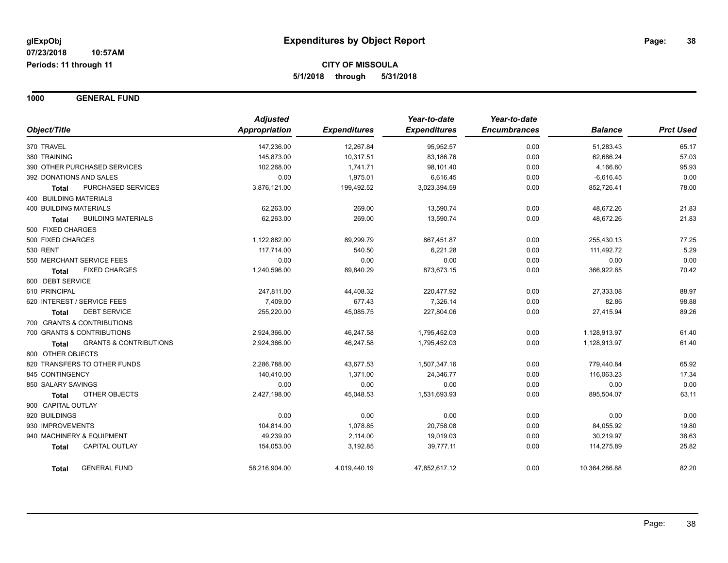**1000 GENERAL FUND**

|                               |                                   | <b>Adjusted</b> |                     | Year-to-date        | Year-to-date        |                |                  |
|-------------------------------|-----------------------------------|-----------------|---------------------|---------------------|---------------------|----------------|------------------|
| Object/Title                  |                                   | Appropriation   | <b>Expenditures</b> | <b>Expenditures</b> | <b>Encumbrances</b> | <b>Balance</b> | <b>Prct Used</b> |
| 370 TRAVEL                    |                                   | 147,236.00      | 12,267.84           | 95,952.57           | 0.00                | 51,283.43      | 65.17            |
| 380 TRAINING                  |                                   | 145,873.00      | 10,317.51           | 83,186.76           | 0.00                | 62,686.24      | 57.03            |
|                               | 390 OTHER PURCHASED SERVICES      | 102,268.00      | 1,741.71            | 98,101.40           | 0.00                | 4,166.60       | 95.93            |
| 392 DONATIONS AND SALES       |                                   | 0.00            | 1,975.01            | 6,616.45            | 0.00                | $-6,616.45$    | 0.00             |
| <b>Total</b>                  | <b>PURCHASED SERVICES</b>         | 3,876,121.00    | 199,492.52          | 3,023,394.59        | 0.00                | 852,726.41     | 78.00            |
| <b>400 BUILDING MATERIALS</b> |                                   |                 |                     |                     |                     |                |                  |
| <b>400 BUILDING MATERIALS</b> |                                   | 62,263.00       | 269.00              | 13,590.74           | 0.00                | 48,672.26      | 21.83            |
| <b>Total</b>                  | <b>BUILDING MATERIALS</b>         | 62,263.00       | 269.00              | 13,590.74           | 0.00                | 48,672.26      | 21.83            |
| 500 FIXED CHARGES             |                                   |                 |                     |                     |                     |                |                  |
| 500 FIXED CHARGES             |                                   | 1,122,882.00    | 89,299.79           | 867,451.87          | 0.00                | 255,430.13     | 77.25            |
| <b>530 RENT</b>               |                                   | 117,714.00      | 540.50              | 6,221.28            | 0.00                | 111,492.72     | 5.29             |
| 550 MERCHANT SERVICE FEES     |                                   | 0.00            | 0.00                | 0.00                | 0.00                | 0.00           | 0.00             |
| <b>Total</b>                  | <b>FIXED CHARGES</b>              | 1,240,596.00    | 89,840.29           | 873,673.15          | 0.00                | 366,922.85     | 70.42            |
| 600 DEBT SERVICE              |                                   |                 |                     |                     |                     |                |                  |
| 610 PRINCIPAL                 |                                   | 247,811.00      | 44,408.32           | 220,477.92          | 0.00                | 27,333.08      | 88.97            |
| 620 INTEREST / SERVICE FEES   |                                   | 7,409.00        | 677.43              | 7,326.14            | 0.00                | 82.86          | 98.88            |
| <b>Total</b>                  | <b>DEBT SERVICE</b>               | 255,220.00      | 45,085.75           | 227,804.06          | 0.00                | 27,415.94      | 89.26            |
|                               | 700 GRANTS & CONTRIBUTIONS        |                 |                     |                     |                     |                |                  |
|                               | 700 GRANTS & CONTRIBUTIONS        | 2,924,366.00    | 46,247.58           | 1,795,452.03        | 0.00                | 1,128,913.97   | 61.40            |
| <b>Total</b>                  | <b>GRANTS &amp; CONTRIBUTIONS</b> | 2,924,366.00    | 46,247.58           | 1,795,452.03        | 0.00                | 1,128,913.97   | 61.40            |
| 800 OTHER OBJECTS             |                                   |                 |                     |                     |                     |                |                  |
|                               | 820 TRANSFERS TO OTHER FUNDS      | 2,286,788.00    | 43,677.53           | 1,507,347.16        | 0.00                | 779,440.84     | 65.92            |
| 845 CONTINGENCY               |                                   | 140,410.00      | 1,371.00            | 24,346.77           | 0.00                | 116,063.23     | 17.34            |
| 850 SALARY SAVINGS            |                                   | 0.00            | 0.00                | 0.00                | 0.00                | 0.00           | 0.00             |
| <b>Total</b>                  | OTHER OBJECTS                     | 2,427,198.00    | 45,048.53           | 1,531,693.93        | 0.00                | 895,504.07     | 63.11            |
| 900 CAPITAL OUTLAY            |                                   |                 |                     |                     |                     |                |                  |
| 920 BUILDINGS                 |                                   | 0.00            | 0.00                | 0.00                | 0.00                | 0.00           | 0.00             |
| 930 IMPROVEMENTS              |                                   | 104,814.00      | 1,078.85            | 20,758.08           | 0.00                | 84,055.92      | 19.80            |
| 940 MACHINERY & EQUIPMENT     |                                   | 49,239.00       | 2,114.00            | 19,019.03           | 0.00                | 30,219.97      | 38.63            |
| <b>Total</b>                  | <b>CAPITAL OUTLAY</b>             | 154,053.00      | 3,192.85            | 39,777.11           | 0.00                | 114,275.89     | 25.82            |
| <b>Total</b>                  | <b>GENERAL FUND</b>               | 58,216,904.00   | 4,019,440.19        | 47,852,617.12       | 0.00                | 10,364,286.88  | 82.20            |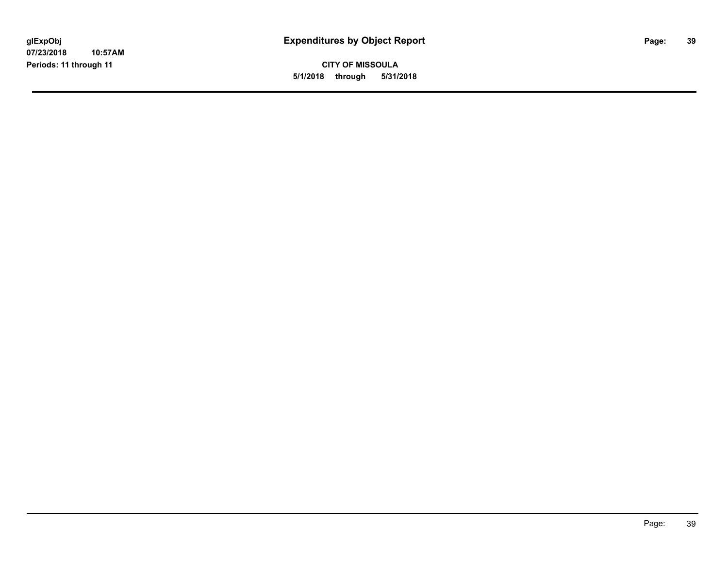Page: 39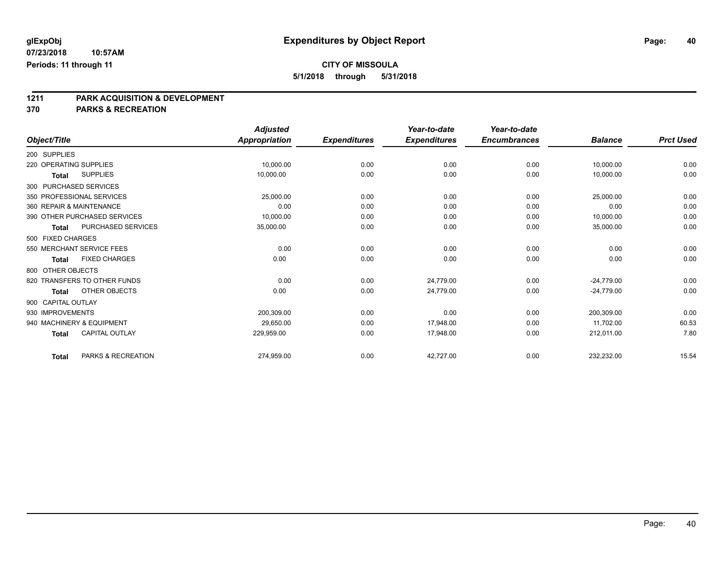# **1211 PARK ACQUISITION & DEVELOPMENT**

### **370 PARKS & RECREATION**

|                        |                              | <b>Adjusted</b>      |                     | Year-to-date        | Year-to-date        |                |                  |
|------------------------|------------------------------|----------------------|---------------------|---------------------|---------------------|----------------|------------------|
| Object/Title           |                              | <b>Appropriation</b> | <b>Expenditures</b> | <b>Expenditures</b> | <b>Encumbrances</b> | <b>Balance</b> | <b>Prct Used</b> |
| 200 SUPPLIES           |                              |                      |                     |                     |                     |                |                  |
| 220 OPERATING SUPPLIES |                              | 10,000.00            | 0.00                | 0.00                | 0.00                | 10,000.00      | 0.00             |
| Total                  | <b>SUPPLIES</b>              | 10,000.00            | 0.00                | 0.00                | 0.00                | 10,000.00      | 0.00             |
|                        | 300 PURCHASED SERVICES       |                      |                     |                     |                     |                |                  |
|                        | 350 PROFESSIONAL SERVICES    | 25,000.00            | 0.00                | 0.00                | 0.00                | 25,000.00      | 0.00             |
|                        | 360 REPAIR & MAINTENANCE     | 0.00                 | 0.00                | 0.00                | 0.00                | 0.00           | 0.00             |
|                        | 390 OTHER PURCHASED SERVICES | 10,000.00            | 0.00                | 0.00                | 0.00                | 10,000.00      | 0.00             |
| Total                  | PURCHASED SERVICES           | 35,000.00            | 0.00                | 0.00                | 0.00                | 35,000.00      | 0.00             |
| 500 FIXED CHARGES      |                              |                      |                     |                     |                     |                |                  |
|                        | 550 MERCHANT SERVICE FEES    | 0.00                 | 0.00                | 0.00                | 0.00                | 0.00           | 0.00             |
| <b>Total</b>           | <b>FIXED CHARGES</b>         | 0.00                 | 0.00                | 0.00                | 0.00                | 0.00           | 0.00             |
| 800 OTHER OBJECTS      |                              |                      |                     |                     |                     |                |                  |
|                        | 820 TRANSFERS TO OTHER FUNDS | 0.00                 | 0.00                | 24,779.00           | 0.00                | $-24,779.00$   | 0.00             |
| Total                  | OTHER OBJECTS                | 0.00                 | 0.00                | 24,779.00           | 0.00                | $-24,779.00$   | 0.00             |
| 900 CAPITAL OUTLAY     |                              |                      |                     |                     |                     |                |                  |
| 930 IMPROVEMENTS       |                              | 200,309.00           | 0.00                | 0.00                | 0.00                | 200,309.00     | 0.00             |
|                        | 940 MACHINERY & EQUIPMENT    | 29,650.00            | 0.00                | 17,948.00           | 0.00                | 11,702.00      | 60.53            |
| <b>Total</b>           | <b>CAPITAL OUTLAY</b>        | 229,959.00           | 0.00                | 17,948.00           | 0.00                | 212,011.00     | 7.80             |
| <b>Total</b>           | PARKS & RECREATION           | 274,959.00           | 0.00                | 42,727.00           | 0.00                | 232,232.00     | 15.54            |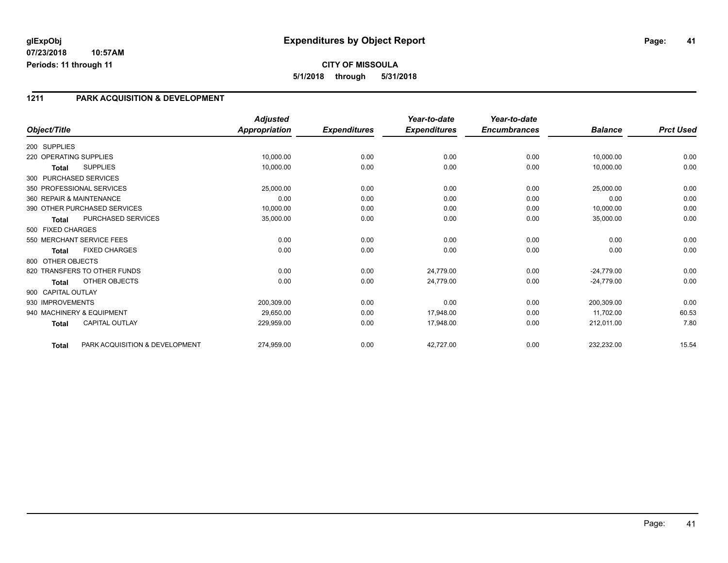#### **07/23/2018 10:57AM Periods: 11 through 11**

# **CITY OF MISSOULA 5/1/2018 through 5/31/2018**

## **1211 PARK ACQUISITION & DEVELOPMENT**

|                        |                                | <b>Adjusted</b>      |                     | Year-to-date        | Year-to-date        |                |                  |
|------------------------|--------------------------------|----------------------|---------------------|---------------------|---------------------|----------------|------------------|
| Object/Title           |                                | <b>Appropriation</b> | <b>Expenditures</b> | <b>Expenditures</b> | <b>Encumbrances</b> | <b>Balance</b> | <b>Prct Used</b> |
| 200 SUPPLIES           |                                |                      |                     |                     |                     |                |                  |
| 220 OPERATING SUPPLIES |                                | 10,000.00            | 0.00                | 0.00                | 0.00                | 10,000.00      | 0.00             |
| <b>Total</b>           | <b>SUPPLIES</b>                | 10,000.00            | 0.00                | 0.00                | 0.00                | 10,000.00      | 0.00             |
|                        | 300 PURCHASED SERVICES         |                      |                     |                     |                     |                |                  |
|                        | 350 PROFESSIONAL SERVICES      | 25,000.00            | 0.00                | 0.00                | 0.00                | 25,000.00      | 0.00             |
|                        | 360 REPAIR & MAINTENANCE       | 0.00                 | 0.00                | 0.00                | 0.00                | 0.00           | 0.00             |
|                        | 390 OTHER PURCHASED SERVICES   | 10,000.00            | 0.00                | 0.00                | 0.00                | 10,000.00      | 0.00             |
| <b>Total</b>           | PURCHASED SERVICES             | 35,000.00            | 0.00                | 0.00                | 0.00                | 35,000.00      | 0.00             |
| 500 FIXED CHARGES      |                                |                      |                     |                     |                     |                |                  |
|                        | 550 MERCHANT SERVICE FEES      | 0.00                 | 0.00                | 0.00                | 0.00                | 0.00           | 0.00             |
| <b>Total</b>           | <b>FIXED CHARGES</b>           | 0.00                 | 0.00                | 0.00                | 0.00                | 0.00           | 0.00             |
| 800 OTHER OBJECTS      |                                |                      |                     |                     |                     |                |                  |
|                        | 820 TRANSFERS TO OTHER FUNDS   | 0.00                 | 0.00                | 24,779.00           | 0.00                | $-24,779.00$   | 0.00             |
| <b>Total</b>           | OTHER OBJECTS                  | 0.00                 | 0.00                | 24,779.00           | 0.00                | $-24,779.00$   | 0.00             |
| 900 CAPITAL OUTLAY     |                                |                      |                     |                     |                     |                |                  |
| 930 IMPROVEMENTS       |                                | 200,309.00           | 0.00                | 0.00                | 0.00                | 200,309.00     | 0.00             |
|                        | 940 MACHINERY & EQUIPMENT      | 29.650.00            | 0.00                | 17,948.00           | 0.00                | 11,702.00      | 60.53            |
| <b>Total</b>           | <b>CAPITAL OUTLAY</b>          | 229,959.00           | 0.00                | 17,948.00           | 0.00                | 212,011.00     | 7.80             |
| <b>Total</b>           | PARK ACQUISITION & DEVELOPMENT | 274,959.00           | 0.00                | 42,727.00           | 0.00                | 232,232.00     | 15.54            |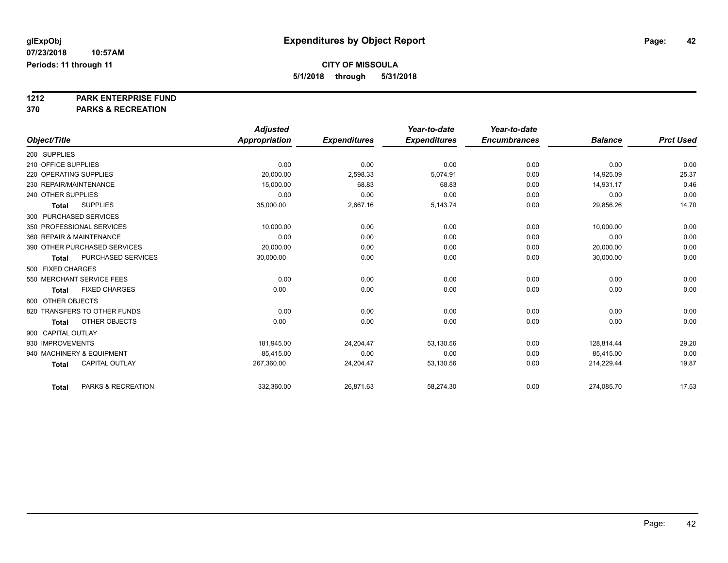**1212 PARK ENTERPRISE FUND**

**370 PARKS & RECREATION**

|                        |                              | <b>Adjusted</b> |                     | Year-to-date        | Year-to-date        |                |                  |
|------------------------|------------------------------|-----------------|---------------------|---------------------|---------------------|----------------|------------------|
| Object/Title           |                              | Appropriation   | <b>Expenditures</b> | <b>Expenditures</b> | <b>Encumbrances</b> | <b>Balance</b> | <b>Prct Used</b> |
| 200 SUPPLIES           |                              |                 |                     |                     |                     |                |                  |
| 210 OFFICE SUPPLIES    |                              | 0.00            | 0.00                | 0.00                | 0.00                | 0.00           | 0.00             |
| 220 OPERATING SUPPLIES |                              | 20,000.00       | 2,598.33            | 5,074.91            | 0.00                | 14,925.09      | 25.37            |
| 230 REPAIR/MAINTENANCE |                              | 15,000.00       | 68.83               | 68.83               | 0.00                | 14,931.17      | 0.46             |
| 240 OTHER SUPPLIES     |                              | 0.00            | 0.00                | 0.00                | 0.00                | 0.00           | 0.00             |
| <b>Total</b>           | <b>SUPPLIES</b>              | 35,000.00       | 2,667.16            | 5,143.74            | 0.00                | 29,856.26      | 14.70            |
| 300 PURCHASED SERVICES |                              |                 |                     |                     |                     |                |                  |
|                        | 350 PROFESSIONAL SERVICES    | 10,000.00       | 0.00                | 0.00                | 0.00                | 10,000.00      | 0.00             |
|                        | 360 REPAIR & MAINTENANCE     | 0.00            | 0.00                | 0.00                | 0.00                | 0.00           | 0.00             |
|                        | 390 OTHER PURCHASED SERVICES | 20,000.00       | 0.00                | 0.00                | 0.00                | 20,000.00      | 0.00             |
| <b>Total</b>           | PURCHASED SERVICES           | 30,000.00       | 0.00                | 0.00                | 0.00                | 30,000.00      | 0.00             |
| 500 FIXED CHARGES      |                              |                 |                     |                     |                     |                |                  |
|                        | 550 MERCHANT SERVICE FEES    | 0.00            | 0.00                | 0.00                | 0.00                | 0.00           | 0.00             |
| <b>Total</b>           | <b>FIXED CHARGES</b>         | 0.00            | 0.00                | 0.00                | 0.00                | 0.00           | 0.00             |
| 800 OTHER OBJECTS      |                              |                 |                     |                     |                     |                |                  |
|                        | 820 TRANSFERS TO OTHER FUNDS | 0.00            | 0.00                | 0.00                | 0.00                | 0.00           | 0.00             |
| <b>Total</b>           | OTHER OBJECTS                | 0.00            | 0.00                | 0.00                | 0.00                | 0.00           | 0.00             |
| 900 CAPITAL OUTLAY     |                              |                 |                     |                     |                     |                |                  |
| 930 IMPROVEMENTS       |                              | 181.945.00      | 24,204.47           | 53.130.56           | 0.00                | 128.814.44     | 29.20            |
|                        | 940 MACHINERY & EQUIPMENT    | 85.415.00       | 0.00                | 0.00                | 0.00                | 85,415.00      | 0.00             |
| <b>Total</b>           | <b>CAPITAL OUTLAY</b>        | 267,360.00      | 24,204.47           | 53,130.56           | 0.00                | 214,229.44     | 19.87            |
| <b>Total</b>           | PARKS & RECREATION           | 332,360.00      | 26,871.63           | 58,274.30           | 0.00                | 274,085.70     | 17.53            |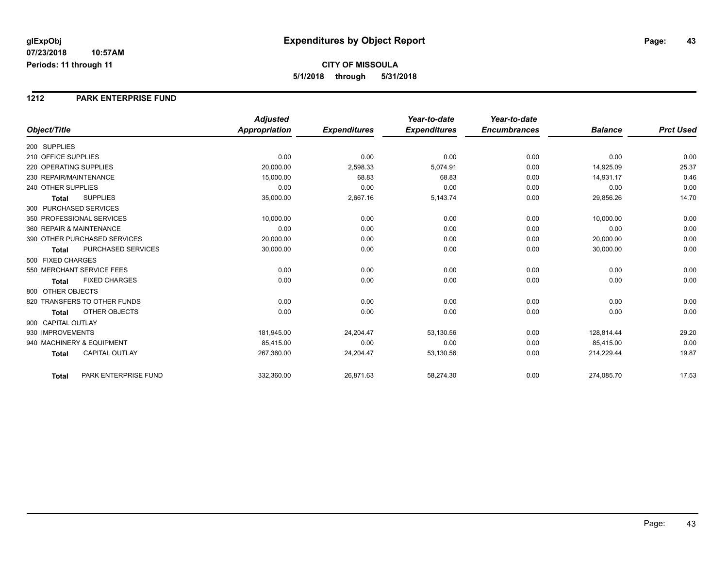#### **1212 PARK ENTERPRISE FUND**

|                                       | <b>Adjusted</b> |                     | Year-to-date        | Year-to-date        |                |                  |
|---------------------------------------|-----------------|---------------------|---------------------|---------------------|----------------|------------------|
| Object/Title                          | Appropriation   | <b>Expenditures</b> | <b>Expenditures</b> | <b>Encumbrances</b> | <b>Balance</b> | <b>Prct Used</b> |
| 200 SUPPLIES                          |                 |                     |                     |                     |                |                  |
| 210 OFFICE SUPPLIES                   | 0.00            | 0.00                | 0.00                | 0.00                | 0.00           | 0.00             |
| 220 OPERATING SUPPLIES                | 20,000.00       | 2,598.33            | 5,074.91            | 0.00                | 14,925.09      | 25.37            |
| 230 REPAIR/MAINTENANCE                | 15,000.00       | 68.83               | 68.83               | 0.00                | 14,931.17      | 0.46             |
| 240 OTHER SUPPLIES                    | 0.00            | 0.00                | 0.00                | 0.00                | 0.00           | 0.00             |
| <b>SUPPLIES</b><br><b>Total</b>       | 35,000.00       | 2,667.16            | 5,143.74            | 0.00                | 29,856.26      | 14.70            |
| 300 PURCHASED SERVICES                |                 |                     |                     |                     |                |                  |
| 350 PROFESSIONAL SERVICES             | 10,000.00       | 0.00                | 0.00                | 0.00                | 10,000.00      | 0.00             |
| 360 REPAIR & MAINTENANCE              | 0.00            | 0.00                | 0.00                | 0.00                | 0.00           | 0.00             |
| 390 OTHER PURCHASED SERVICES          | 20,000.00       | 0.00                | 0.00                | 0.00                | 20,000.00      | 0.00             |
| PURCHASED SERVICES<br><b>Total</b>    | 30,000.00       | 0.00                | 0.00                | 0.00                | 30,000.00      | 0.00             |
| 500 FIXED CHARGES                     |                 |                     |                     |                     |                |                  |
| 550 MERCHANT SERVICE FEES             | 0.00            | 0.00                | 0.00                | 0.00                | 0.00           | 0.00             |
| <b>FIXED CHARGES</b><br><b>Total</b>  | 0.00            | 0.00                | 0.00                | 0.00                | 0.00           | 0.00             |
| 800 OTHER OBJECTS                     |                 |                     |                     |                     |                |                  |
| 820 TRANSFERS TO OTHER FUNDS          | 0.00            | 0.00                | 0.00                | 0.00                | 0.00           | 0.00             |
| <b>OTHER OBJECTS</b><br><b>Total</b>  | 0.00            | 0.00                | 0.00                | 0.00                | 0.00           | 0.00             |
| 900 CAPITAL OUTLAY                    |                 |                     |                     |                     |                |                  |
| 930 IMPROVEMENTS                      | 181,945.00      | 24,204.47           | 53,130.56           | 0.00                | 128,814.44     | 29.20            |
| 940 MACHINERY & EQUIPMENT             | 85,415.00       | 0.00                | 0.00                | 0.00                | 85,415.00      | 0.00             |
| <b>CAPITAL OUTLAY</b><br><b>Total</b> | 267,360.00      | 24,204.47           | 53,130.56           | 0.00                | 214,229.44     | 19.87            |
| PARK ENTERPRISE FUND<br>Total         | 332,360.00      | 26,871.63           | 58,274.30           | 0.00                | 274,085.70     | 17.53            |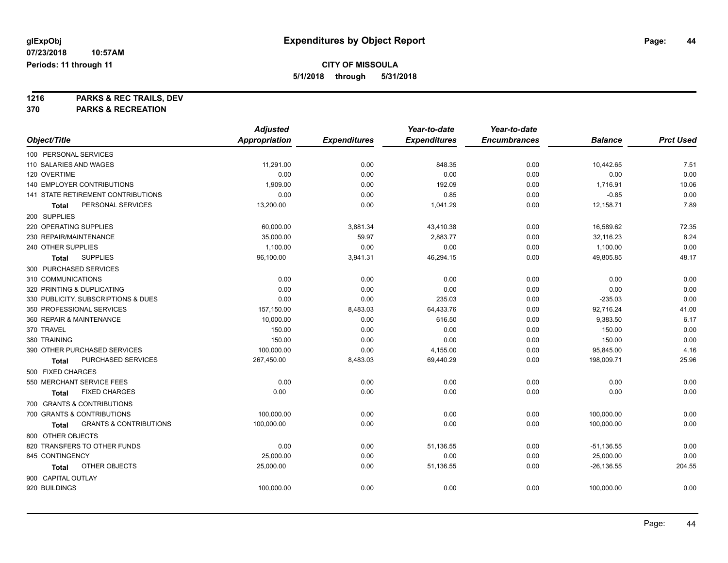**1216 PARKS & REC TRAILS, DEV**

**370 PARKS & RECREATION**

|                                            | <b>Adjusted</b>      |                     | Year-to-date        | Year-to-date        |                |                  |
|--------------------------------------------|----------------------|---------------------|---------------------|---------------------|----------------|------------------|
| Object/Title                               | <b>Appropriation</b> | <b>Expenditures</b> | <b>Expenditures</b> | <b>Encumbrances</b> | <b>Balance</b> | <b>Prct Used</b> |
| 100 PERSONAL SERVICES                      |                      |                     |                     |                     |                |                  |
| 110 SALARIES AND WAGES                     | 11,291.00            | 0.00                | 848.35              | 0.00                | 10,442.65      | 7.51             |
| 120 OVERTIME                               | 0.00                 | 0.00                | 0.00                | 0.00                | 0.00           | 0.00             |
| <b>140 EMPLOYER CONTRIBUTIONS</b>          | 1,909.00             | 0.00                | 192.09              | 0.00                | 1,716.91       | 10.06            |
| 141 STATE RETIREMENT CONTRIBUTIONS         | 0.00                 | 0.00                | 0.85                | 0.00                | $-0.85$        | 0.00             |
| PERSONAL SERVICES<br>Total                 | 13,200.00            | 0.00                | 1,041.29            | 0.00                | 12,158.71      | 7.89             |
| 200 SUPPLIES                               |                      |                     |                     |                     |                |                  |
| 220 OPERATING SUPPLIES                     | 60,000.00            | 3,881.34            | 43,410.38           | 0.00                | 16,589.62      | 72.35            |
| 230 REPAIR/MAINTENANCE                     | 35,000.00            | 59.97               | 2,883.77            | 0.00                | 32,116.23      | 8.24             |
| 240 OTHER SUPPLIES                         | 1,100.00             | 0.00                | 0.00                | 0.00                | 1,100.00       | 0.00             |
| <b>SUPPLIES</b><br>Total                   | 96,100.00            | 3,941.31            | 46,294.15           | 0.00                | 49,805.85      | 48.17            |
| 300 PURCHASED SERVICES                     |                      |                     |                     |                     |                |                  |
| 310 COMMUNICATIONS                         | 0.00                 | 0.00                | 0.00                | 0.00                | 0.00           | 0.00             |
| 320 PRINTING & DUPLICATING                 | 0.00                 | 0.00                | 0.00                | 0.00                | 0.00           | 0.00             |
| 330 PUBLICITY, SUBSCRIPTIONS & DUES        | 0.00                 | 0.00                | 235.03              | 0.00                | $-235.03$      | 0.00             |
| 350 PROFESSIONAL SERVICES                  | 157,150.00           | 8,483.03            | 64,433.76           | 0.00                | 92,716.24      | 41.00            |
| 360 REPAIR & MAINTENANCE                   | 10,000.00            | 0.00                | 616.50              | 0.00                | 9,383.50       | 6.17             |
| 370 TRAVEL                                 | 150.00               | 0.00                | 0.00                | 0.00                | 150.00         | 0.00             |
| 380 TRAINING                               | 150.00               | 0.00                | 0.00                | 0.00                | 150.00         | 0.00             |
| 390 OTHER PURCHASED SERVICES               | 100,000.00           | 0.00                | 4,155.00            | 0.00                | 95,845.00      | 4.16             |
| PURCHASED SERVICES<br>Total                | 267,450.00           | 8,483.03            | 69,440.29           | 0.00                | 198,009.71     | 25.96            |
| 500 FIXED CHARGES                          |                      |                     |                     |                     |                |                  |
| 550 MERCHANT SERVICE FEES                  | 0.00                 | 0.00                | 0.00                | 0.00                | 0.00           | 0.00             |
| <b>FIXED CHARGES</b><br>Total              | 0.00                 | 0.00                | 0.00                | 0.00                | 0.00           | 0.00             |
| 700 GRANTS & CONTRIBUTIONS                 |                      |                     |                     |                     |                |                  |
| 700 GRANTS & CONTRIBUTIONS                 | 100,000.00           | 0.00                | 0.00                | 0.00                | 100,000.00     | 0.00             |
| <b>GRANTS &amp; CONTRIBUTIONS</b><br>Total | 100,000.00           | 0.00                | 0.00                | 0.00                | 100,000.00     | 0.00             |
| 800 OTHER OBJECTS                          |                      |                     |                     |                     |                |                  |
| 820 TRANSFERS TO OTHER FUNDS               | 0.00                 | 0.00                | 51,136.55           | 0.00                | $-51,136.55$   | 0.00             |
| 845 CONTINGENCY                            | 25,000.00            | 0.00                | 0.00                | 0.00                | 25,000.00      | 0.00             |
| OTHER OBJECTS<br>Total                     | 25,000.00            | 0.00                | 51,136.55           | 0.00                | $-26, 136.55$  | 204.55           |
| 900 CAPITAL OUTLAY                         |                      |                     |                     |                     |                |                  |
| 920 BUILDINGS                              | 100,000.00           | 0.00                | 0.00                | 0.00                | 100,000.00     | 0.00             |
|                                            |                      |                     |                     |                     |                |                  |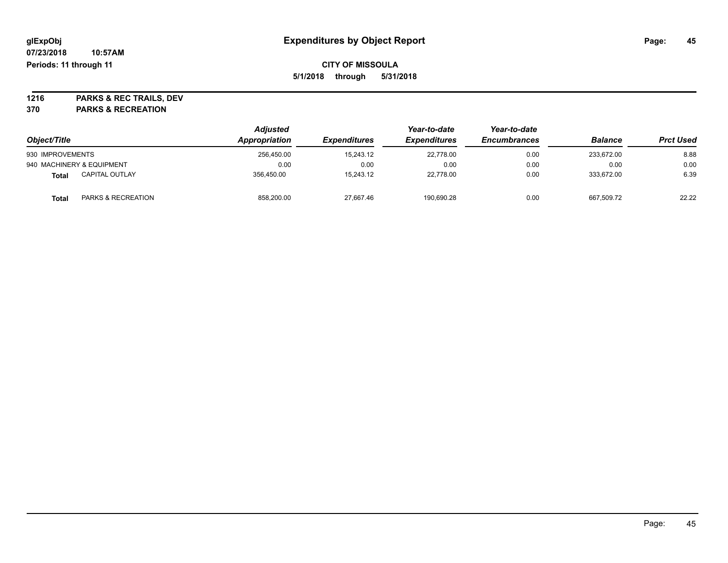**1216 PARKS & REC TRAILS, DEV 370 PARKS & RECREATION**

| Object/Title              |                               | <b>Adjusted</b><br><b>Appropriation</b> | <b>Expenditures</b> | Year-to-date        | Year-to-date<br><b>Encumbrances</b> | <b>Balance</b> | <b>Prct Used</b> |
|---------------------------|-------------------------------|-----------------------------------------|---------------------|---------------------|-------------------------------------|----------------|------------------|
|                           |                               |                                         |                     | <b>Expenditures</b> |                                     |                |                  |
| 930 IMPROVEMENTS          |                               | 256.450.00                              | 15.243.12           | 22,778.00           | 0.00                                | 233.672.00     | 8.88             |
| 940 MACHINERY & EQUIPMENT |                               | 0.00                                    | 0.00                | 0.00                | 0.00                                | 0.00           | 0.00             |
| Total                     | <b>CAPITAL OUTLAY</b>         | 356.450.00                              | 15.243.12           | 22.778.00           | 0.00                                | 333.672.00     | 6.39             |
| <b>Total</b>              | <b>PARKS &amp; RECREATION</b> | 858,200.00                              | 27,667.46           | 190,690.28          | 0.00                                | 667,509.72     | 22.22            |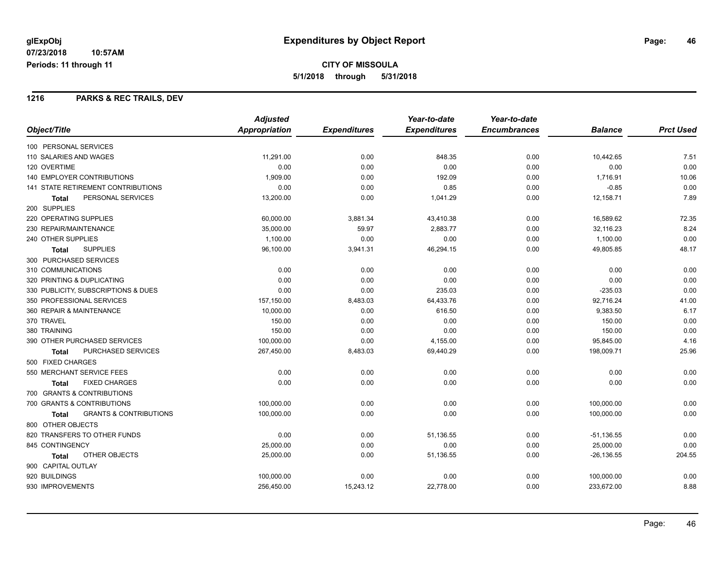## **1216 PARKS & REC TRAILS, DEV**

|                                                   | <b>Adjusted</b>      |                     | Year-to-date        | Year-to-date        |                |                  |
|---------------------------------------------------|----------------------|---------------------|---------------------|---------------------|----------------|------------------|
| Object/Title                                      | <b>Appropriation</b> | <b>Expenditures</b> | <b>Expenditures</b> | <b>Encumbrances</b> | <b>Balance</b> | <b>Prct Used</b> |
| 100 PERSONAL SERVICES                             |                      |                     |                     |                     |                |                  |
| 110 SALARIES AND WAGES                            | 11,291.00            | 0.00                | 848.35              | 0.00                | 10,442.65      | 7.51             |
| 120 OVERTIME                                      | 0.00                 | 0.00                | 0.00                | 0.00                | 0.00           | 0.00             |
| <b>140 EMPLOYER CONTRIBUTIONS</b>                 | 1,909.00             | 0.00                | 192.09              | 0.00                | 1,716.91       | 10.06            |
| <b>141 STATE RETIREMENT CONTRIBUTIONS</b>         | 0.00                 | 0.00                | 0.85                | 0.00                | $-0.85$        | 0.00             |
| PERSONAL SERVICES<br>Total                        | 13,200.00            | 0.00                | 1,041.29            | 0.00                | 12,158.71      | 7.89             |
| 200 SUPPLIES                                      |                      |                     |                     |                     |                |                  |
| 220 OPERATING SUPPLIES                            | 60,000.00            | 3,881.34            | 43,410.38           | 0.00                | 16,589.62      | 72.35            |
| 230 REPAIR/MAINTENANCE                            | 35,000.00            | 59.97               | 2,883.77            | 0.00                | 32,116.23      | 8.24             |
| 240 OTHER SUPPLIES                                | 1,100.00             | 0.00                | 0.00                | 0.00                | 1,100.00       | 0.00             |
| <b>SUPPLIES</b><br>Total                          | 96,100.00            | 3,941.31            | 46,294.15           | 0.00                | 49,805.85      | 48.17            |
| 300 PURCHASED SERVICES                            |                      |                     |                     |                     |                |                  |
| 310 COMMUNICATIONS                                | 0.00                 | 0.00                | 0.00                | 0.00                | 0.00           | 0.00             |
| 320 PRINTING & DUPLICATING                        | 0.00                 | 0.00                | 0.00                | 0.00                | 0.00           | 0.00             |
| 330 PUBLICITY, SUBSCRIPTIONS & DUES               | 0.00                 | 0.00                | 235.03              | 0.00                | $-235.03$      | 0.00             |
| 350 PROFESSIONAL SERVICES                         | 157,150.00           | 8,483.03            | 64,433.76           | 0.00                | 92,716.24      | 41.00            |
| 360 REPAIR & MAINTENANCE                          | 10,000.00            | 0.00                | 616.50              | 0.00                | 9,383.50       | 6.17             |
| 370 TRAVEL                                        | 150.00               | 0.00                | 0.00                | 0.00                | 150.00         | 0.00             |
| 380 TRAINING                                      | 150.00               | 0.00                | 0.00                | 0.00                | 150.00         | 0.00             |
| 390 OTHER PURCHASED SERVICES                      | 100,000.00           | 0.00                | 4,155.00            | 0.00                | 95,845.00      | 4.16             |
| PURCHASED SERVICES<br><b>Total</b>                | 267,450.00           | 8,483.03            | 69,440.29           | 0.00                | 198,009.71     | 25.96            |
| 500 FIXED CHARGES                                 |                      |                     |                     |                     |                |                  |
| 550 MERCHANT SERVICE FEES                         | 0.00                 | 0.00                | 0.00                | 0.00                | 0.00           | 0.00             |
| <b>FIXED CHARGES</b><br><b>Total</b>              | 0.00                 | 0.00                | 0.00                | 0.00                | 0.00           | 0.00             |
| 700 GRANTS & CONTRIBUTIONS                        |                      |                     |                     |                     |                |                  |
| 700 GRANTS & CONTRIBUTIONS                        | 100,000.00           | 0.00                | 0.00                | 0.00                | 100,000.00     | 0.00             |
| <b>GRANTS &amp; CONTRIBUTIONS</b><br><b>Total</b> | 100,000.00           | 0.00                | 0.00                | 0.00                | 100,000.00     | 0.00             |
| 800 OTHER OBJECTS                                 |                      |                     |                     |                     |                |                  |
| 820 TRANSFERS TO OTHER FUNDS                      | 0.00                 | 0.00                | 51,136.55           | 0.00                | $-51,136.55$   | 0.00             |
| 845 CONTINGENCY                                   | 25,000.00            | 0.00                | 0.00                | 0.00                | 25,000.00      | 0.00             |
| <b>OTHER OBJECTS</b><br><b>Total</b>              | 25,000.00            | 0.00                | 51,136.55           | 0.00                | $-26, 136.55$  | 204.55           |
| 900 CAPITAL OUTLAY                                |                      |                     |                     |                     |                |                  |
| 920 BUILDINGS                                     | 100,000.00           | 0.00                | 0.00                | 0.00                | 100,000.00     | 0.00             |
| 930 IMPROVEMENTS                                  | 256,450.00           | 15,243.12           | 22,778.00           | 0.00                | 233,672.00     | 8.88             |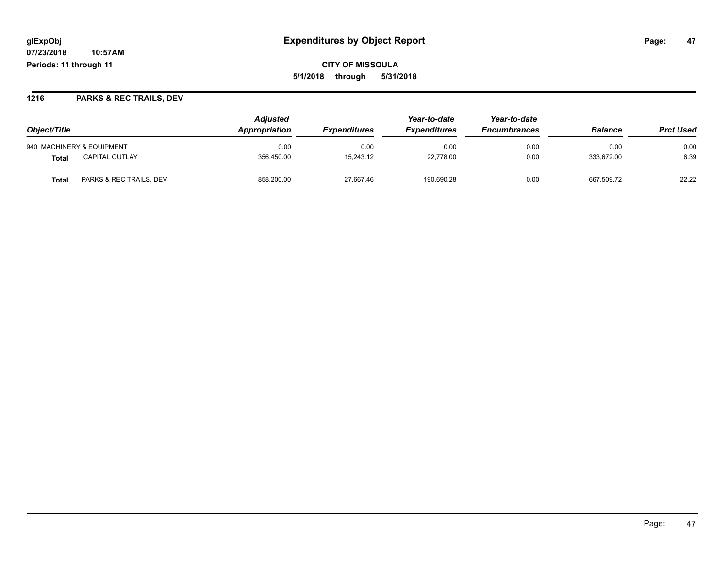### **07/23/2018 10:57AM Periods: 11 through 11**

**CITY OF MISSOULA 5/1/2018 through 5/31/2018**

## **1216 PARKS & REC TRAILS, DEV**

| Object/Title              |                         | <b>Adjusted</b><br>Appropriation |                            | Year-to-date               | Year-to-date<br><b>Encumbrances</b> | <b>Balance</b> | <b>Prct Used</b> |
|---------------------------|-------------------------|----------------------------------|----------------------------|----------------------------|-------------------------------------|----------------|------------------|
|                           |                         |                                  | <i><b>Expenditures</b></i> | <i><b>Expenditures</b></i> |                                     |                |                  |
| 940 MACHINERY & EQUIPMENT |                         | 0.00                             | 0.00                       | 0.00                       | 0.00                                | 0.00           | 0.00             |
| <b>Total</b>              | <b>CAPITAL OUTLAY</b>   | 356.450.00                       | 15.243.12                  | 22.778.00                  | 0.00                                | 333.672.00     | 6.39             |
| <b>Total</b>              | PARKS & REC TRAILS, DEV | 858,200.00                       | 27,667.46                  | 190,690.28                 | 0.00                                | 667,509.72     | 22.22            |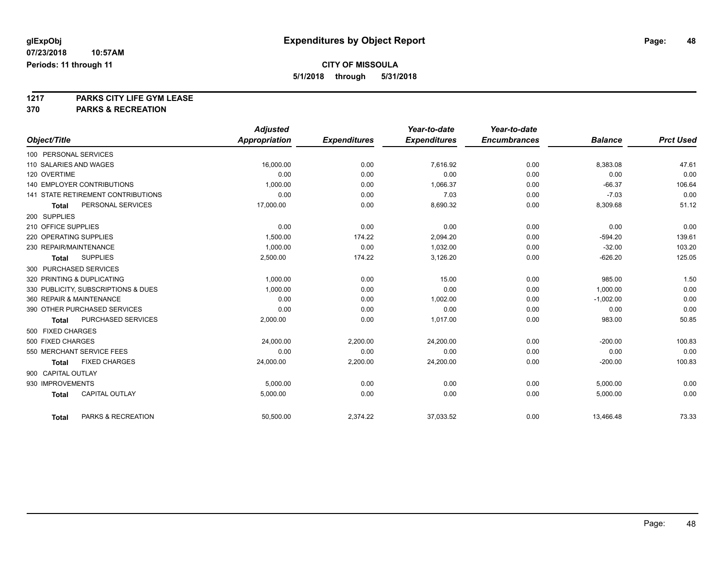**1217 PARKS CITY LIFE GYM LEASE**

**370 PARKS & RECREATION**

|                                           | <b>Adjusted</b>      |                     | Year-to-date        | Year-to-date        |                |                  |
|-------------------------------------------|----------------------|---------------------|---------------------|---------------------|----------------|------------------|
| Object/Title                              | <b>Appropriation</b> | <b>Expenditures</b> | <b>Expenditures</b> | <b>Encumbrances</b> | <b>Balance</b> | <b>Prct Used</b> |
| 100 PERSONAL SERVICES                     |                      |                     |                     |                     |                |                  |
| 110 SALARIES AND WAGES                    | 16,000.00            | 0.00                | 7,616.92            | 0.00                | 8,383.08       | 47.61            |
| 120 OVERTIME                              | 0.00                 | 0.00                | 0.00                | 0.00                | 0.00           | 0.00             |
| <b>140 EMPLOYER CONTRIBUTIONS</b>         | 1,000.00             | 0.00                | 1,066.37            | 0.00                | $-66.37$       | 106.64           |
| <b>141 STATE RETIREMENT CONTRIBUTIONS</b> | 0.00                 | 0.00                | 7.03                | 0.00                | $-7.03$        | 0.00             |
| PERSONAL SERVICES<br><b>Total</b>         | 17,000.00            | 0.00                | 8,690.32            | 0.00                | 8,309.68       | 51.12            |
| 200 SUPPLIES                              |                      |                     |                     |                     |                |                  |
| 210 OFFICE SUPPLIES                       | 0.00                 | 0.00                | 0.00                | 0.00                | 0.00           | 0.00             |
| 220 OPERATING SUPPLIES                    | 1,500.00             | 174.22              | 2,094.20            | 0.00                | $-594.20$      | 139.61           |
| 230 REPAIR/MAINTENANCE                    | 1,000.00             | 0.00                | 1,032.00            | 0.00                | $-32.00$       | 103.20           |
| <b>SUPPLIES</b><br><b>Total</b>           | 2,500.00             | 174.22              | 3,126.20            | 0.00                | $-626.20$      | 125.05           |
| 300 PURCHASED SERVICES                    |                      |                     |                     |                     |                |                  |
| 320 PRINTING & DUPLICATING                | 1,000.00             | 0.00                | 15.00               | 0.00                | 985.00         | 1.50             |
| 330 PUBLICITY, SUBSCRIPTIONS & DUES       | 1.000.00             | 0.00                | 0.00                | 0.00                | 1.000.00       | 0.00             |
| 360 REPAIR & MAINTENANCE                  | 0.00                 | 0.00                | 1,002.00            | 0.00                | $-1,002.00$    | 0.00             |
| 390 OTHER PURCHASED SERVICES              | 0.00                 | 0.00                | 0.00                | 0.00                | 0.00           | 0.00             |
| PURCHASED SERVICES<br><b>Total</b>        | 2,000.00             | 0.00                | 1,017.00            | 0.00                | 983.00         | 50.85            |
| 500 FIXED CHARGES                         |                      |                     |                     |                     |                |                  |
| 500 FIXED CHARGES                         | 24,000.00            | 2,200.00            | 24,200.00           | 0.00                | $-200.00$      | 100.83           |
| 550 MERCHANT SERVICE FEES                 | 0.00                 | 0.00                | 0.00                | 0.00                | 0.00           | 0.00             |
| <b>FIXED CHARGES</b><br>Total             | 24,000.00            | 2,200.00            | 24,200.00           | 0.00                | $-200.00$      | 100.83           |
| 900 CAPITAL OUTLAY                        |                      |                     |                     |                     |                |                  |
| 930 IMPROVEMENTS                          | 5,000.00             | 0.00                | 0.00                | 0.00                | 5,000.00       | 0.00             |
| <b>CAPITAL OUTLAY</b><br><b>Total</b>     | 5,000.00             | 0.00                | 0.00                | 0.00                | 5,000.00       | 0.00             |
| PARKS & RECREATION<br><b>Total</b>        | 50,500.00            | 2,374.22            | 37,033.52           | 0.00                | 13,466.48      | 73.33            |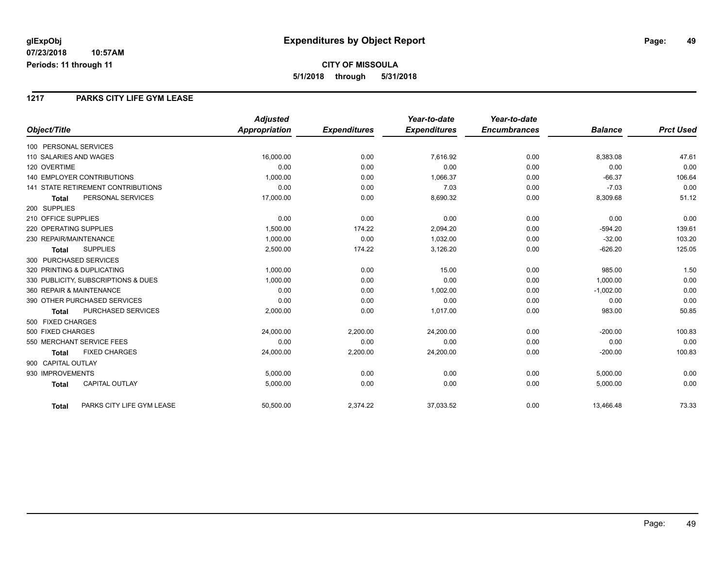### **1217 PARKS CITY LIFE GYM LEASE**

|                        |                                           | <b>Adjusted</b>      |                     | Year-to-date        | Year-to-date        |                |                  |
|------------------------|-------------------------------------------|----------------------|---------------------|---------------------|---------------------|----------------|------------------|
| Object/Title           |                                           | <b>Appropriation</b> | <b>Expenditures</b> | <b>Expenditures</b> | <b>Encumbrances</b> | <b>Balance</b> | <b>Prct Used</b> |
| 100 PERSONAL SERVICES  |                                           |                      |                     |                     |                     |                |                  |
| 110 SALARIES AND WAGES |                                           | 16,000.00            | 0.00                | 7,616.92            | 0.00                | 8,383.08       | 47.61            |
| 120 OVERTIME           |                                           | 0.00                 | 0.00                | 0.00                | 0.00                | 0.00           | 0.00             |
|                        | <b>140 EMPLOYER CONTRIBUTIONS</b>         | 1,000.00             | 0.00                | 1,066.37            | 0.00                | $-66.37$       | 106.64           |
|                        | <b>141 STATE RETIREMENT CONTRIBUTIONS</b> | 0.00                 | 0.00                | 7.03                | 0.00                | $-7.03$        | 0.00             |
| <b>Total</b>           | PERSONAL SERVICES                         | 17,000.00            | 0.00                | 8,690.32            | 0.00                | 8,309.68       | 51.12            |
| 200 SUPPLIES           |                                           |                      |                     |                     |                     |                |                  |
| 210 OFFICE SUPPLIES    |                                           | 0.00                 | 0.00                | 0.00                | 0.00                | 0.00           | 0.00             |
| 220 OPERATING SUPPLIES |                                           | 1,500.00             | 174.22              | 2,094.20            | 0.00                | $-594.20$      | 139.61           |
| 230 REPAIR/MAINTENANCE |                                           | 1,000.00             | 0.00                | 1,032.00            | 0.00                | $-32.00$       | 103.20           |
| <b>Total</b>           | <b>SUPPLIES</b>                           | 2,500.00             | 174.22              | 3,126.20            | 0.00                | $-626.20$      | 125.05           |
| 300 PURCHASED SERVICES |                                           |                      |                     |                     |                     |                |                  |
|                        | 320 PRINTING & DUPLICATING                | 1,000.00             | 0.00                | 15.00               | 0.00                | 985.00         | 1.50             |
|                        | 330 PUBLICITY, SUBSCRIPTIONS & DUES       | 1,000.00             | 0.00                | 0.00                | 0.00                | 1,000.00       | 0.00             |
|                        | 360 REPAIR & MAINTENANCE                  | 0.00                 | 0.00                | 1,002.00            | 0.00                | $-1,002.00$    | 0.00             |
|                        | 390 OTHER PURCHASED SERVICES              | 0.00                 | 0.00                | 0.00                | 0.00                | 0.00           | 0.00             |
| <b>Total</b>           | PURCHASED SERVICES                        | 2,000.00             | 0.00                | 1,017.00            | 0.00                | 983.00         | 50.85            |
| 500 FIXED CHARGES      |                                           |                      |                     |                     |                     |                |                  |
| 500 FIXED CHARGES      |                                           | 24,000.00            | 2,200.00            | 24,200.00           | 0.00                | $-200.00$      | 100.83           |
|                        | 550 MERCHANT SERVICE FEES                 | 0.00                 | 0.00                | 0.00                | 0.00                | 0.00           | 0.00             |
| <b>Total</b>           | <b>FIXED CHARGES</b>                      | 24,000.00            | 2,200.00            | 24,200.00           | 0.00                | $-200.00$      | 100.83           |
| 900 CAPITAL OUTLAY     |                                           |                      |                     |                     |                     |                |                  |
| 930 IMPROVEMENTS       |                                           | 5,000.00             | 0.00                | 0.00                | 0.00                | 5,000.00       | 0.00             |
| <b>Total</b>           | <b>CAPITAL OUTLAY</b>                     | 5,000.00             | 0.00                | 0.00                | 0.00                | 5,000.00       | 0.00             |
| <b>Total</b>           | PARKS CITY LIFE GYM LEASE                 | 50,500.00            | 2,374.22            | 37,033.52           | 0.00                | 13,466.48      | 73.33            |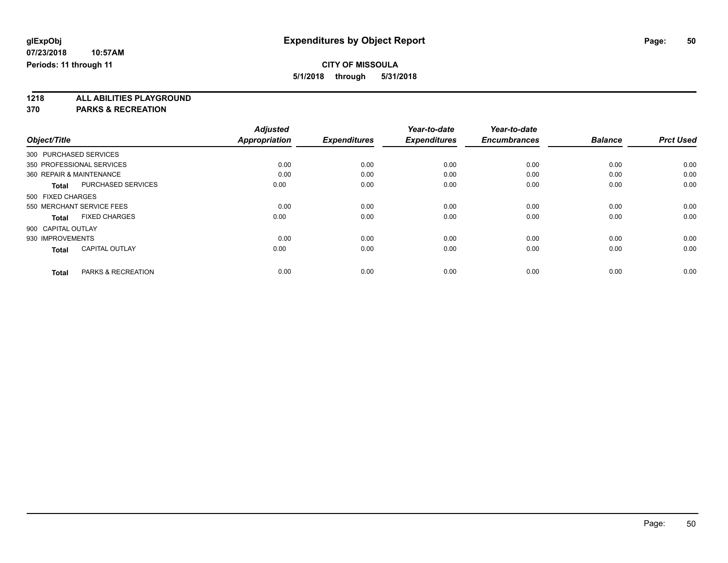**1218 ALL ABILITIES PLAYGROUND**

**370 PARKS & RECREATION**

|                          |                               | <b>Adjusted</b>      |                     | Year-to-date        | Year-to-date        |                |                  |
|--------------------------|-------------------------------|----------------------|---------------------|---------------------|---------------------|----------------|------------------|
| Object/Title             |                               | <b>Appropriation</b> | <b>Expenditures</b> | <b>Expenditures</b> | <b>Encumbrances</b> | <b>Balance</b> | <b>Prct Used</b> |
| 300 PURCHASED SERVICES   |                               |                      |                     |                     |                     |                |                  |
|                          | 350 PROFESSIONAL SERVICES     | 0.00                 | 0.00                | 0.00                | 0.00                | 0.00           | 0.00             |
| 360 REPAIR & MAINTENANCE |                               | 0.00                 | 0.00                | 0.00                | 0.00                | 0.00           | 0.00             |
| Total                    | PURCHASED SERVICES            | 0.00                 | 0.00                | 0.00                | 0.00                | 0.00           | 0.00             |
| 500 FIXED CHARGES        |                               |                      |                     |                     |                     |                |                  |
|                          | 550 MERCHANT SERVICE FEES     | 0.00                 | 0.00                | 0.00                | 0.00                | 0.00           | 0.00             |
| <b>Total</b>             | <b>FIXED CHARGES</b>          | 0.00                 | 0.00                | 0.00                | 0.00                | 0.00           | 0.00             |
| 900 CAPITAL OUTLAY       |                               |                      |                     |                     |                     |                |                  |
| 930 IMPROVEMENTS         |                               | 0.00                 | 0.00                | 0.00                | 0.00                | 0.00           | 0.00             |
| <b>Total</b>             | <b>CAPITAL OUTLAY</b>         | 0.00                 | 0.00                | 0.00                | 0.00                | 0.00           | 0.00             |
|                          |                               |                      |                     |                     |                     |                |                  |
| <b>Total</b>             | <b>PARKS &amp; RECREATION</b> | 0.00                 | 0.00                | 0.00                | 0.00                | 0.00           | 0.00             |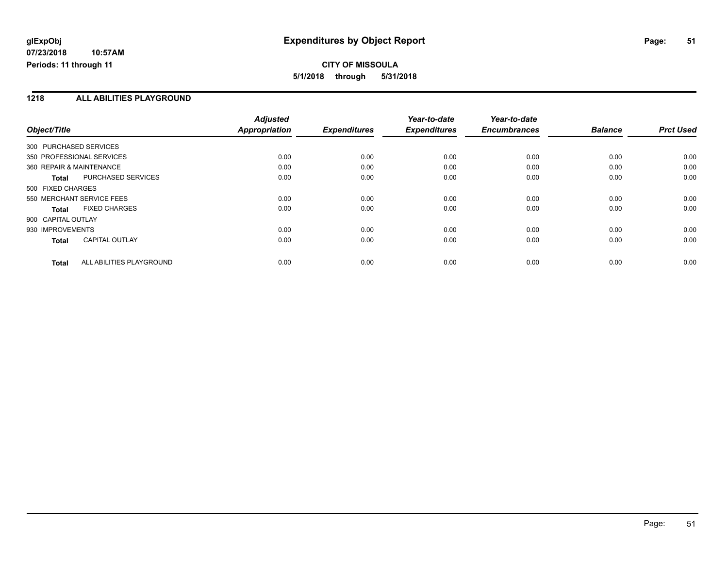## **1218 ALL ABILITIES PLAYGROUND**

|                           |                          | <b>Adjusted</b>      |                     | Year-to-date        | Year-to-date        |                |                  |
|---------------------------|--------------------------|----------------------|---------------------|---------------------|---------------------|----------------|------------------|
| Object/Title              |                          | <b>Appropriation</b> | <b>Expenditures</b> | <b>Expenditures</b> | <b>Encumbrances</b> | <b>Balance</b> | <b>Prct Used</b> |
| 300 PURCHASED SERVICES    |                          |                      |                     |                     |                     |                |                  |
| 350 PROFESSIONAL SERVICES |                          | 0.00                 | 0.00                | 0.00                | 0.00                | 0.00           | 0.00             |
| 360 REPAIR & MAINTENANCE  |                          | 0.00                 | 0.00                | 0.00                | 0.00                | 0.00           | 0.00             |
| <b>Total</b>              | PURCHASED SERVICES       | 0.00                 | 0.00                | 0.00                | 0.00                | 0.00           | 0.00             |
| 500 FIXED CHARGES         |                          |                      |                     |                     |                     |                |                  |
| 550 MERCHANT SERVICE FEES |                          | 0.00                 | 0.00                | 0.00                | 0.00                | 0.00           | 0.00             |
| <b>Total</b>              | <b>FIXED CHARGES</b>     | 0.00                 | 0.00                | 0.00                | 0.00                | 0.00           | 0.00             |
| 900 CAPITAL OUTLAY        |                          |                      |                     |                     |                     |                |                  |
| 930 IMPROVEMENTS          |                          | 0.00                 | 0.00                | 0.00                | 0.00                | 0.00           | 0.00             |
| <b>Total</b>              | CAPITAL OUTLAY           | 0.00                 | 0.00                | 0.00                | 0.00                | 0.00           | 0.00             |
| <b>Total</b>              | ALL ABILITIES PLAYGROUND | 0.00                 | 0.00                | 0.00                | 0.00                | 0.00           | 0.00             |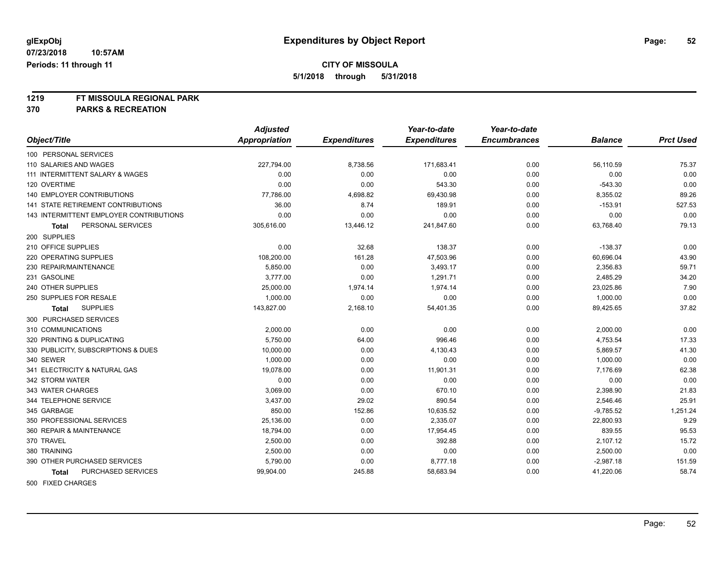# **1219 FT MISSOULA REGIONAL PARK**

**370 PARKS & RECREATION**

|                                         | <b>Adjusted</b> |                     | Year-to-date        | Year-to-date        |                |                  |
|-----------------------------------------|-----------------|---------------------|---------------------|---------------------|----------------|------------------|
| Object/Title                            | Appropriation   | <b>Expenditures</b> | <b>Expenditures</b> | <b>Encumbrances</b> | <b>Balance</b> | <b>Prct Used</b> |
| 100 PERSONAL SERVICES                   |                 |                     |                     |                     |                |                  |
| 110 SALARIES AND WAGES                  | 227,794.00      | 8,738.56            | 171,683.41          | 0.00                | 56,110.59      | 75.37            |
| 111 INTERMITTENT SALARY & WAGES         | 0.00            | 0.00                | 0.00                | 0.00                | 0.00           | 0.00             |
| 120 OVERTIME                            | 0.00            | 0.00                | 543.30              | 0.00                | $-543.30$      | 0.00             |
| <b>140 EMPLOYER CONTRIBUTIONS</b>       | 77,786.00       | 4,698.82            | 69,430.98           | 0.00                | 8,355.02       | 89.26            |
| 141 STATE RETIREMENT CONTRIBUTIONS      | 36.00           | 8.74                | 189.91              | 0.00                | $-153.91$      | 527.53           |
| 143 INTERMITTENT EMPLOYER CONTRIBUTIONS | 0.00            | 0.00                | 0.00                | 0.00                | 0.00           | 0.00             |
| PERSONAL SERVICES<br><b>Total</b>       | 305,616.00      | 13,446.12           | 241,847.60          | 0.00                | 63,768.40      | 79.13            |
| 200 SUPPLIES                            |                 |                     |                     |                     |                |                  |
| 210 OFFICE SUPPLIES                     | 0.00            | 32.68               | 138.37              | 0.00                | $-138.37$      | 0.00             |
| 220 OPERATING SUPPLIES                  | 108,200.00      | 161.28              | 47,503.96           | 0.00                | 60,696.04      | 43.90            |
| 230 REPAIR/MAINTENANCE                  | 5,850.00        | 0.00                | 3,493.17            | 0.00                | 2,356.83       | 59.71            |
| 231 GASOLINE                            | 3,777.00        | 0.00                | 1,291.71            | 0.00                | 2,485.29       | 34.20            |
| 240 OTHER SUPPLIES                      | 25,000.00       | 1,974.14            | 1,974.14            | 0.00                | 23,025.86      | 7.90             |
| 250 SUPPLIES FOR RESALE                 | 1,000.00        | 0.00                | 0.00                | 0.00                | 1,000.00       | 0.00             |
| <b>SUPPLIES</b><br><b>Total</b>         | 143,827.00      | 2,168.10            | 54,401.35           | 0.00                | 89,425.65      | 37.82            |
| 300 PURCHASED SERVICES                  |                 |                     |                     |                     |                |                  |
| 310 COMMUNICATIONS                      | 2,000.00        | 0.00                | 0.00                | 0.00                | 2,000.00       | 0.00             |
| 320 PRINTING & DUPLICATING              | 5,750.00        | 64.00               | 996.46              | 0.00                | 4,753.54       | 17.33            |
| 330 PUBLICITY, SUBSCRIPTIONS & DUES     | 10,000.00       | 0.00                | 4,130.43            | 0.00                | 5,869.57       | 41.30            |
| 340 SEWER                               | 1.000.00        | 0.00                | 0.00                | 0.00                | 1,000.00       | 0.00             |
| 341 ELECTRICITY & NATURAL GAS           | 19,078.00       | 0.00                | 11,901.31           | 0.00                | 7,176.69       | 62.38            |
| 342 STORM WATER                         | 0.00            | 0.00                | 0.00                | 0.00                | 0.00           | 0.00             |
| 343 WATER CHARGES                       | 3,069.00        | 0.00                | 670.10              | 0.00                | 2,398.90       | 21.83            |
| 344 TELEPHONE SERVICE                   | 3,437.00        | 29.02               | 890.54              | 0.00                | 2,546.46       | 25.91            |
| 345 GARBAGE                             | 850.00          | 152.86              | 10,635.52           | 0.00                | $-9,785.52$    | 1,251.24         |
| 350 PROFESSIONAL SERVICES               | 25,136.00       | 0.00                | 2,335.07            | 0.00                | 22,800.93      | 9.29             |
| 360 REPAIR & MAINTENANCE                | 18,794.00       | 0.00                | 17,954.45           | 0.00                | 839.55         | 95.53            |
| 370 TRAVEL                              | 2,500.00        | 0.00                | 392.88              | 0.00                | 2,107.12       | 15.72            |
| 380 TRAINING                            | 2,500.00        | 0.00                | 0.00                | 0.00                | 2,500.00       | 0.00             |
| 390 OTHER PURCHASED SERVICES            | 5,790.00        | 0.00                | 8,777.18            | 0.00                | $-2,987.18$    | 151.59           |
| PURCHASED SERVICES<br><b>Total</b>      | 99,904.00       | 245.88              | 58,683.94           | 0.00                | 41,220.06      | 58.74            |

500 FIXED CHARGES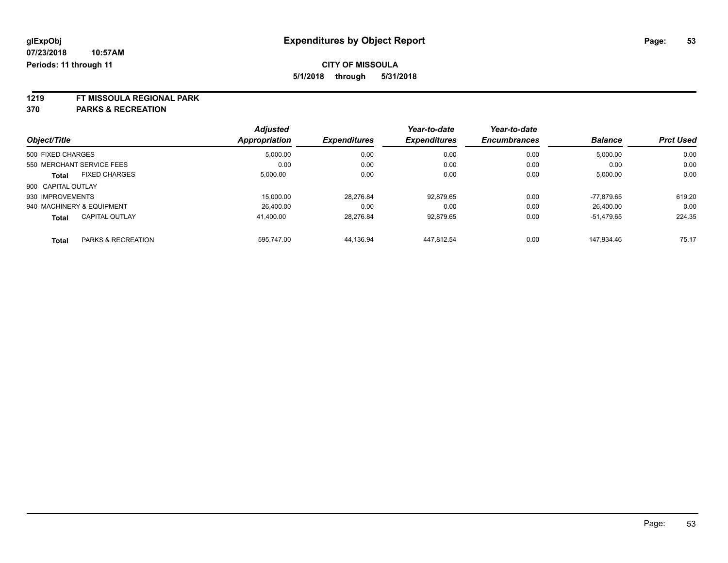**1219 FT MISSOULA REGIONAL PARK**

**370 PARKS & RECREATION**

|                           |                       | <b>Adjusted</b> |                     | Year-to-date        | Year-to-date        |                |                  |
|---------------------------|-----------------------|-----------------|---------------------|---------------------|---------------------|----------------|------------------|
| Object/Title              |                       | Appropriation   | <b>Expenditures</b> | <b>Expenditures</b> | <b>Encumbrances</b> | <b>Balance</b> | <b>Prct Used</b> |
| 500 FIXED CHARGES         |                       | 5,000.00        | 0.00                | 0.00                | 0.00                | 5,000.00       | 0.00             |
| 550 MERCHANT SERVICE FEES |                       | 0.00            | 0.00                | 0.00                | 0.00                | 0.00           | 0.00             |
| <b>Total</b>              | <b>FIXED CHARGES</b>  | 5.000.00        | 0.00                | 0.00                | 0.00                | 5,000.00       | 0.00             |
| 900 CAPITAL OUTLAY        |                       |                 |                     |                     |                     |                |                  |
| 930 IMPROVEMENTS          |                       | 15.000.00       | 28.276.84           | 92.879.65           | 0.00                | -77.879.65     | 619.20           |
| 940 MACHINERY & EQUIPMENT |                       | 26,400.00       | 0.00                | 0.00                | 0.00                | 26.400.00      | 0.00             |
| <b>Total</b>              | <b>CAPITAL OUTLAY</b> | 41.400.00       | 28.276.84           | 92.879.65           | 0.00                | $-51.479.65$   | 224.35           |
| <b>Total</b>              | PARKS & RECREATION    | 595.747.00      | 44.136.94           | 447.812.54          | 0.00                | 147.934.46     | 75.17            |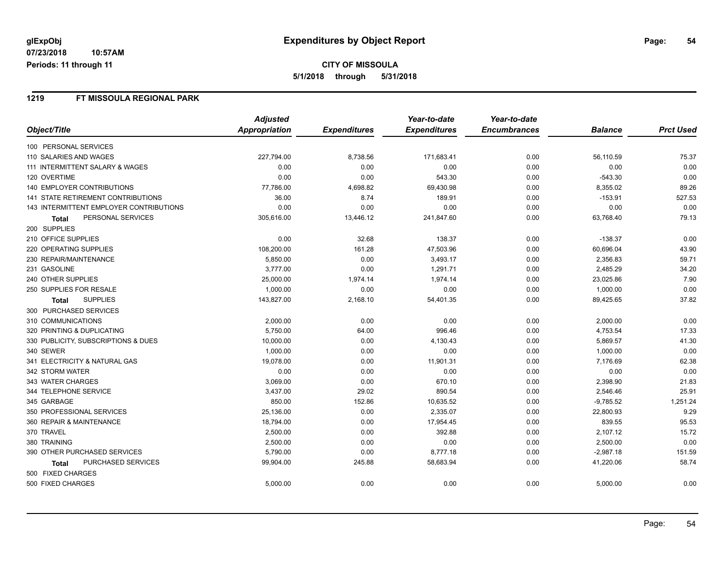### **1219 FT MISSOULA REGIONAL PARK**

|                                           | <b>Adjusted</b> |                     | Year-to-date        | Year-to-date        |                |                  |
|-------------------------------------------|-----------------|---------------------|---------------------|---------------------|----------------|------------------|
| Object/Title                              | Appropriation   | <b>Expenditures</b> | <b>Expenditures</b> | <b>Encumbrances</b> | <b>Balance</b> | <b>Prct Used</b> |
| 100 PERSONAL SERVICES                     |                 |                     |                     |                     |                |                  |
| 110 SALARIES AND WAGES                    | 227,794.00      | 8,738.56            | 171,683.41          | 0.00                | 56,110.59      | 75.37            |
| 111 INTERMITTENT SALARY & WAGES           | 0.00            | 0.00                | 0.00                | 0.00                | 0.00           | 0.00             |
| 120 OVERTIME                              | 0.00            | 0.00                | 543.30              | 0.00                | $-543.30$      | 0.00             |
| <b>140 EMPLOYER CONTRIBUTIONS</b>         | 77,786.00       | 4,698.82            | 69,430.98           | 0.00                | 8,355.02       | 89.26            |
| <b>141 STATE RETIREMENT CONTRIBUTIONS</b> | 36.00           | 8.74                | 189.91              | 0.00                | $-153.91$      | 527.53           |
| 143 INTERMITTENT EMPLOYER CONTRIBUTIONS   | 0.00            | 0.00                | 0.00                | 0.00                | 0.00           | 0.00             |
| PERSONAL SERVICES<br>Total                | 305,616.00      | 13,446.12           | 241,847.60          | 0.00                | 63,768.40      | 79.13            |
| 200 SUPPLIES                              |                 |                     |                     |                     |                |                  |
| 210 OFFICE SUPPLIES                       | 0.00            | 32.68               | 138.37              | 0.00                | $-138.37$      | 0.00             |
| <b>220 OPERATING SUPPLIES</b>             | 108,200.00      | 161.28              | 47,503.96           | 0.00                | 60,696.04      | 43.90            |
| 230 REPAIR/MAINTENANCE                    | 5,850.00        | 0.00                | 3,493.17            | 0.00                | 2,356.83       | 59.71            |
| 231 GASOLINE                              | 3,777.00        | 0.00                | 1,291.71            | 0.00                | 2,485.29       | 34.20            |
| 240 OTHER SUPPLIES                        | 25,000.00       | 1,974.14            | 1,974.14            | 0.00                | 23,025.86      | 7.90             |
| 250 SUPPLIES FOR RESALE                   | 1,000.00        | 0.00                | 0.00                | 0.00                | 1,000.00       | 0.00             |
| <b>SUPPLIES</b><br>Total                  | 143,827.00      | 2,168.10            | 54,401.35           | 0.00                | 89,425.65      | 37.82            |
| 300 PURCHASED SERVICES                    |                 |                     |                     |                     |                |                  |
| 310 COMMUNICATIONS                        | 2,000.00        | 0.00                | 0.00                | 0.00                | 2,000.00       | 0.00             |
| 320 PRINTING & DUPLICATING                | 5,750.00        | 64.00               | 996.46              | 0.00                | 4,753.54       | 17.33            |
| 330 PUBLICITY, SUBSCRIPTIONS & DUES       | 10,000.00       | 0.00                | 4,130.43            | 0.00                | 5,869.57       | 41.30            |
| 340 SEWER                                 | 1,000.00        | 0.00                | 0.00                | 0.00                | 1,000.00       | 0.00             |
| 341 ELECTRICITY & NATURAL GAS             | 19,078.00       | 0.00                | 11,901.31           | 0.00                | 7,176.69       | 62.38            |
| 342 STORM WATER                           | 0.00            | 0.00                | 0.00                | 0.00                | 0.00           | 0.00             |
| 343 WATER CHARGES                         | 3,069.00        | 0.00                | 670.10              | 0.00                | 2,398.90       | 21.83            |
| 344 TELEPHONE SERVICE                     | 3,437.00        | 29.02               | 890.54              | 0.00                | 2,546.46       | 25.91            |
| 345 GARBAGE                               | 850.00          | 152.86              | 10,635.52           | 0.00                | $-9,785.52$    | 1,251.24         |
| 350 PROFESSIONAL SERVICES                 | 25,136.00       | 0.00                | 2,335.07            | 0.00                | 22,800.93      | 9.29             |
| 360 REPAIR & MAINTENANCE                  | 18,794.00       | 0.00                | 17,954.45           | 0.00                | 839.55         | 95.53            |
| 370 TRAVEL                                | 2,500.00        | 0.00                | 392.88              | 0.00                | 2,107.12       | 15.72            |
| 380 TRAINING                              | 2,500.00        | 0.00                | 0.00                | 0.00                | 2,500.00       | 0.00             |
| 390 OTHER PURCHASED SERVICES              | 5,790.00        | 0.00                | 8,777.18            | 0.00                | $-2,987.18$    | 151.59           |
| PURCHASED SERVICES<br>Total               | 99,904.00       | 245.88              | 58,683.94           | 0.00                | 41,220.06      | 58.74            |
| 500 FIXED CHARGES                         |                 |                     |                     |                     |                |                  |
| 500 FIXED CHARGES                         | 5,000.00        | 0.00                | 0.00                | 0.00                | 5,000.00       | 0.00             |
|                                           |                 |                     |                     |                     |                |                  |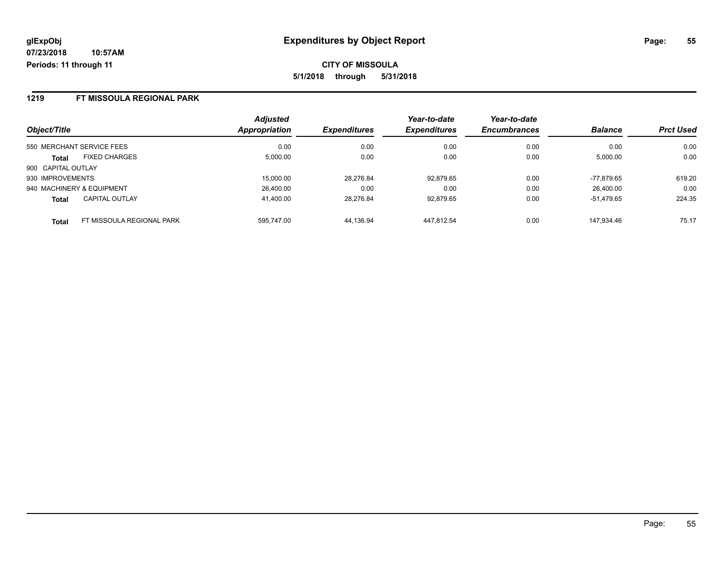#### **1219 FT MISSOULA REGIONAL PARK**

| Object/Title                              | <b>Adjusted</b><br>Appropriation | <b>Expenditures</b> | Year-to-date<br><b>Expenditures</b> | Year-to-date<br><b>Encumbrances</b> | <b>Balance</b> | <b>Prct Used</b> |
|-------------------------------------------|----------------------------------|---------------------|-------------------------------------|-------------------------------------|----------------|------------------|
| 550 MERCHANT SERVICE FEES                 | 0.00                             | 0.00                | 0.00                                | 0.00                                | 0.00           | 0.00             |
| <b>FIXED CHARGES</b><br><b>Total</b>      | 5.000.00                         | 0.00                | 0.00                                | 0.00                                | 5,000.00       | 0.00             |
| 900 CAPITAL OUTLAY                        |                                  |                     |                                     |                                     |                |                  |
| 930 IMPROVEMENTS                          | 15,000.00                        | 28,276.84           | 92,879.65                           | 0.00                                | -77,879.65     | 619.20           |
| 940 MACHINERY & EQUIPMENT                 | 26,400.00                        | 0.00                | 0.00                                | 0.00                                | 26.400.00      | 0.00             |
| <b>CAPITAL OUTLAY</b><br><b>Total</b>     | 41.400.00                        | 28.276.84           | 92.879.65                           | 0.00                                | $-51.479.65$   | 224.35           |
| FT MISSOULA REGIONAL PARK<br><b>Total</b> | 595.747.00                       | 44,136.94           | 447.812.54                          | 0.00                                | 147.934.46     | 75.17            |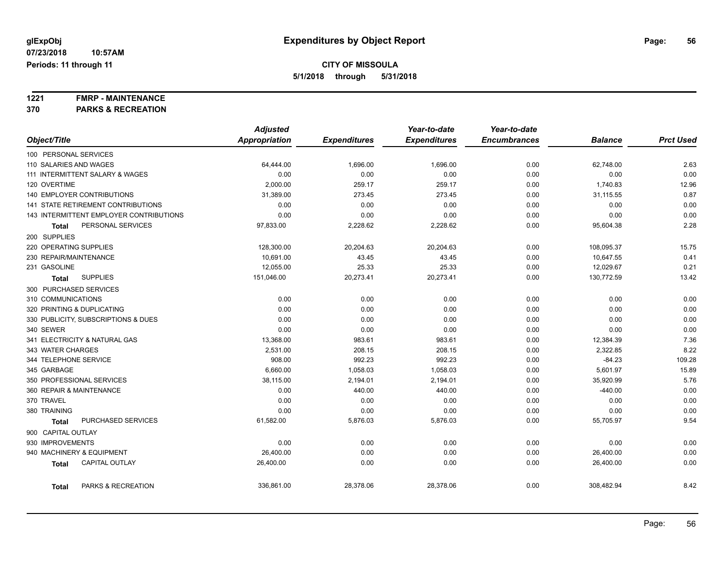**1221 FMRP - MAINTENANCE**

**370 PARKS & RECREATION**

|                                           | <b>Adjusted</b>      |                     | Year-to-date        | Year-to-date        |                |                  |
|-------------------------------------------|----------------------|---------------------|---------------------|---------------------|----------------|------------------|
| Object/Title                              | <b>Appropriation</b> | <b>Expenditures</b> | <b>Expenditures</b> | <b>Encumbrances</b> | <b>Balance</b> | <b>Prct Used</b> |
| 100 PERSONAL SERVICES                     |                      |                     |                     |                     |                |                  |
| 110 SALARIES AND WAGES                    | 64,444.00            | 1,696.00            | 1,696.00            | 0.00                | 62,748.00      | 2.63             |
| 111 INTERMITTENT SALARY & WAGES           | 0.00                 | 0.00                | 0.00                | 0.00                | 0.00           | 0.00             |
| 120 OVERTIME                              | 2,000.00             | 259.17              | 259.17              | 0.00                | 1,740.83       | 12.96            |
| <b>140 EMPLOYER CONTRIBUTIONS</b>         | 31,389.00            | 273.45              | 273.45              | 0.00                | 31,115.55      | 0.87             |
| <b>141 STATE RETIREMENT CONTRIBUTIONS</b> | 0.00                 | 0.00                | 0.00                | 0.00                | 0.00           | 0.00             |
| 143 INTERMITTENT EMPLOYER CONTRIBUTIONS   | 0.00                 | 0.00                | 0.00                | 0.00                | 0.00           | 0.00             |
| PERSONAL SERVICES<br><b>Total</b>         | 97,833.00            | 2,228.62            | 2,228.62            | 0.00                | 95,604.38      | 2.28             |
| 200 SUPPLIES                              |                      |                     |                     |                     |                |                  |
| 220 OPERATING SUPPLIES                    | 128,300.00           | 20,204.63           | 20,204.63           | 0.00                | 108,095.37     | 15.75            |
| 230 REPAIR/MAINTENANCE                    | 10,691.00            | 43.45               | 43.45               | 0.00                | 10,647.55      | 0.41             |
| 231 GASOLINE                              | 12,055.00            | 25.33               | 25.33               | 0.00                | 12,029.67      | 0.21             |
| <b>SUPPLIES</b><br><b>Total</b>           | 151,046.00           | 20,273.41           | 20,273.41           | 0.00                | 130,772.59     | 13.42            |
| 300 PURCHASED SERVICES                    |                      |                     |                     |                     |                |                  |
| 310 COMMUNICATIONS                        | 0.00                 | 0.00                | 0.00                | 0.00                | 0.00           | 0.00             |
| 320 PRINTING & DUPLICATING                | 0.00                 | 0.00                | 0.00                | 0.00                | 0.00           | 0.00             |
| 330 PUBLICITY, SUBSCRIPTIONS & DUES       | 0.00                 | 0.00                | 0.00                | 0.00                | 0.00           | 0.00             |
| 340 SEWER                                 | 0.00                 | 0.00                | 0.00                | 0.00                | 0.00           | 0.00             |
| 341 ELECTRICITY & NATURAL GAS             | 13,368.00            | 983.61              | 983.61              | 0.00                | 12,384.39      | 7.36             |
| 343 WATER CHARGES                         | 2,531.00             | 208.15              | 208.15              | 0.00                | 2,322.85       | 8.22             |
| 344 TELEPHONE SERVICE                     | 908.00               | 992.23              | 992.23              | 0.00                | $-84.23$       | 109.28           |
| 345 GARBAGE                               | 6,660.00             | 1,058.03            | 1,058.03            | 0.00                | 5,601.97       | 15.89            |
| 350 PROFESSIONAL SERVICES                 | 38,115.00            | 2,194.01            | 2,194.01            | 0.00                | 35,920.99      | 5.76             |
| 360 REPAIR & MAINTENANCE                  | 0.00                 | 440.00              | 440.00              | 0.00                | $-440.00$      | 0.00             |
| 370 TRAVEL                                | 0.00                 | 0.00                | 0.00                | 0.00                | 0.00           | 0.00             |
| 380 TRAINING                              | 0.00                 | 0.00                | 0.00                | 0.00                | 0.00           | 0.00             |
| PURCHASED SERVICES<br>Total               | 61,582.00            | 5,876.03            | 5,876.03            | 0.00                | 55,705.97      | 9.54             |
| 900 CAPITAL OUTLAY                        |                      |                     |                     |                     |                |                  |
| 930 IMPROVEMENTS                          | 0.00                 | 0.00                | 0.00                | 0.00                | 0.00           | 0.00             |
| 940 MACHINERY & EQUIPMENT                 | 26,400.00            | 0.00                | 0.00                | 0.00                | 26,400.00      | 0.00             |
| <b>CAPITAL OUTLAY</b><br><b>Total</b>     | 26,400.00            | 0.00                | 0.00                | 0.00                | 26,400.00      | 0.00             |
| PARKS & RECREATION<br>Total               | 336,861.00           | 28,378.06           | 28,378.06           | 0.00                | 308,482.94     | 8.42             |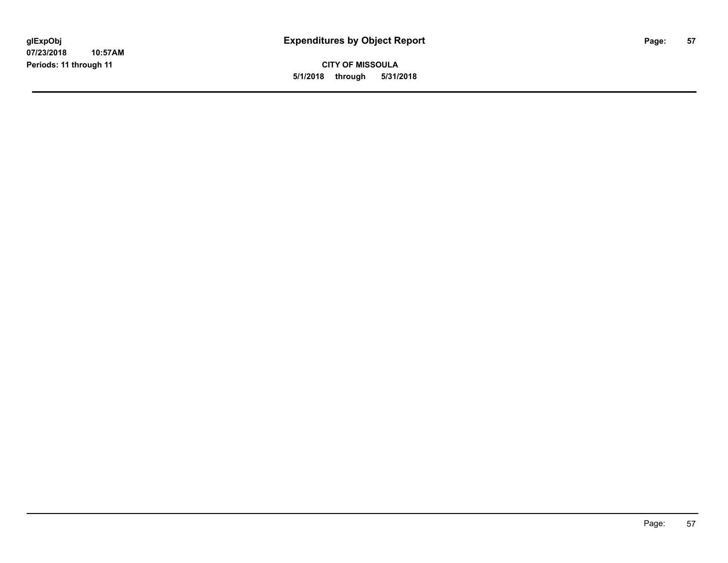**CITY OF MISSOULA**

**5/1/2018 through 5/31/2018**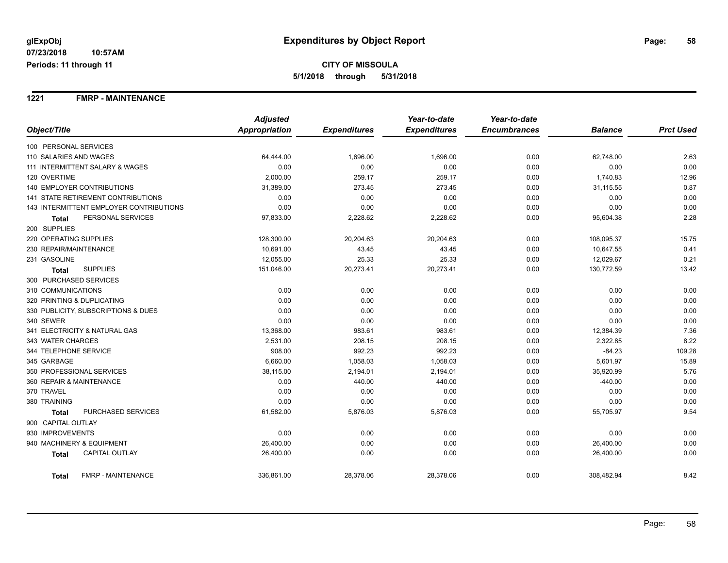#### **1221 FMRP - MAINTENANCE**

|                                         | <b>Adjusted</b>      |                     | Year-to-date        | Year-to-date        |                |                  |
|-----------------------------------------|----------------------|---------------------|---------------------|---------------------|----------------|------------------|
| Object/Title                            | <b>Appropriation</b> | <b>Expenditures</b> | <b>Expenditures</b> | <b>Encumbrances</b> | <b>Balance</b> | <b>Prct Used</b> |
| 100 PERSONAL SERVICES                   |                      |                     |                     |                     |                |                  |
| 110 SALARIES AND WAGES                  | 64,444.00            | 1,696.00            | 1,696.00            | 0.00                | 62,748.00      | 2.63             |
| 111 INTERMITTENT SALARY & WAGES         | 0.00                 | 0.00                | 0.00                | 0.00                | 0.00           | 0.00             |
| 120 OVERTIME                            | 2,000.00             | 259.17              | 259.17              | 0.00                | 1,740.83       | 12.96            |
| 140 EMPLOYER CONTRIBUTIONS              | 31,389.00            | 273.45              | 273.45              | 0.00                | 31,115.55      | 0.87             |
| 141 STATE RETIREMENT CONTRIBUTIONS      | 0.00                 | 0.00                | 0.00                | 0.00                | 0.00           | 0.00             |
| 143 INTERMITTENT EMPLOYER CONTRIBUTIONS | 0.00                 | 0.00                | 0.00                | 0.00                | 0.00           | 0.00             |
| PERSONAL SERVICES<br><b>Total</b>       | 97,833.00            | 2,228.62            | 2,228.62            | 0.00                | 95,604.38      | 2.28             |
| 200 SUPPLIES                            |                      |                     |                     |                     |                |                  |
| 220 OPERATING SUPPLIES                  | 128,300.00           | 20,204.63           | 20,204.63           | 0.00                | 108,095.37     | 15.75            |
| 230 REPAIR/MAINTENANCE                  | 10,691.00            | 43.45               | 43.45               | 0.00                | 10,647.55      | 0.41             |
| 231 GASOLINE                            | 12,055.00            | 25.33               | 25.33               | 0.00                | 12,029.67      | 0.21             |
| <b>SUPPLIES</b><br><b>Total</b>         | 151,046.00           | 20,273.41           | 20,273.41           | 0.00                | 130,772.59     | 13.42            |
| 300 PURCHASED SERVICES                  |                      |                     |                     |                     |                |                  |
| 310 COMMUNICATIONS                      | 0.00                 | 0.00                | 0.00                | 0.00                | 0.00           | 0.00             |
| 320 PRINTING & DUPLICATING              | 0.00                 | 0.00                | 0.00                | 0.00                | 0.00           | 0.00             |
| 330 PUBLICITY, SUBSCRIPTIONS & DUES     | 0.00                 | 0.00                | 0.00                | 0.00                | 0.00           | 0.00             |
| 340 SEWER                               | 0.00                 | 0.00                | 0.00                | 0.00                | 0.00           | 0.00             |
| 341 ELECTRICITY & NATURAL GAS           | 13,368.00            | 983.61              | 983.61              | 0.00                | 12,384.39      | 7.36             |
| 343 WATER CHARGES                       | 2,531.00             | 208.15              | 208.15              | 0.00                | 2,322.85       | 8.22             |
| 344 TELEPHONE SERVICE                   | 908.00               | 992.23              | 992.23              | 0.00                | $-84.23$       | 109.28           |
| 345 GARBAGE                             | 6,660.00             | 1,058.03            | 1,058.03            | 0.00                | 5,601.97       | 15.89            |
| 350 PROFESSIONAL SERVICES               | 38,115.00            | 2,194.01            | 2,194.01            | 0.00                | 35,920.99      | 5.76             |
| 360 REPAIR & MAINTENANCE                | 0.00                 | 440.00              | 440.00              | 0.00                | $-440.00$      | 0.00             |
| 370 TRAVEL                              | 0.00                 | 0.00                | 0.00                | 0.00                | 0.00           | 0.00             |
| 380 TRAINING                            | 0.00                 | 0.00                | 0.00                | 0.00                | 0.00           | 0.00             |
| PURCHASED SERVICES<br><b>Total</b>      | 61,582.00            | 5,876.03            | 5,876.03            | 0.00                | 55,705.97      | 9.54             |
| 900 CAPITAL OUTLAY                      |                      |                     |                     |                     |                |                  |
| 930 IMPROVEMENTS                        | 0.00                 | 0.00                | 0.00                | 0.00                | 0.00           | 0.00             |
| 940 MACHINERY & EQUIPMENT               | 26,400.00            | 0.00                | 0.00                | 0.00                | 26,400.00      | 0.00             |
| <b>CAPITAL OUTLAY</b><br><b>Total</b>   | 26,400.00            | 0.00                | 0.00                | 0.00                | 26,400.00      | 0.00             |
| <b>FMRP - MAINTENANCE</b><br>Total      | 336,861.00           | 28,378.06           | 28,378.06           | 0.00                | 308,482.94     | 8.42             |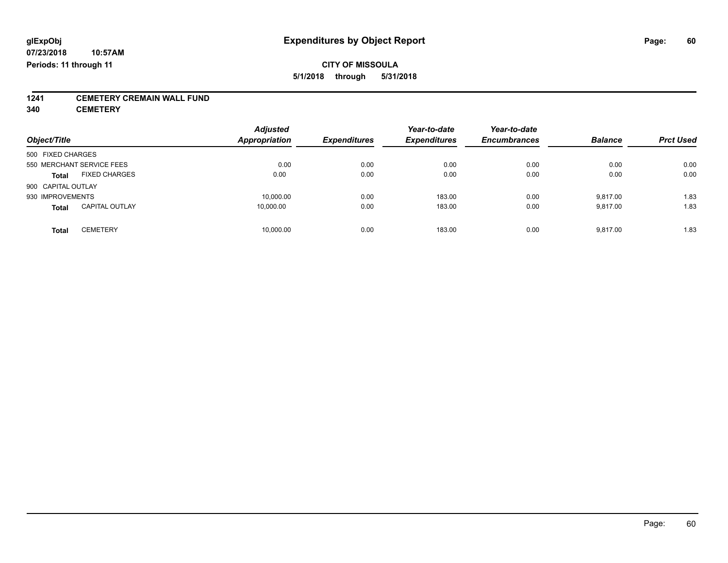# **1241 CEMETERY CREMAIN WALL FUND**

**340 CEMETERY**

| Object/Title              |                       | <b>Adjusted</b><br><b>Appropriation</b> | <b>Expenditures</b> | Year-to-date<br><b>Expenditures</b> | Year-to-date<br><b>Encumbrances</b> | <b>Balance</b> | <b>Prct Used</b> |
|---------------------------|-----------------------|-----------------------------------------|---------------------|-------------------------------------|-------------------------------------|----------------|------------------|
| 500 FIXED CHARGES         |                       |                                         |                     |                                     |                                     |                |                  |
| 550 MERCHANT SERVICE FEES |                       | 0.00                                    | 0.00                | 0.00                                | 0.00                                | 0.00           | 0.00             |
| <b>Total</b>              | <b>FIXED CHARGES</b>  | 0.00                                    | 0.00                | 0.00                                | 0.00                                | 0.00           | 0.00             |
| 900 CAPITAL OUTLAY        |                       |                                         |                     |                                     |                                     |                |                  |
| 930 IMPROVEMENTS          |                       | 10,000.00                               | 0.00                | 183.00                              | 0.00                                | 9,817.00       | 1.83             |
| <b>Total</b>              | <b>CAPITAL OUTLAY</b> | 10,000.00                               | 0.00                | 183.00                              | 0.00                                | 9.817.00       | 1.83             |
| <b>Total</b>              | <b>CEMETERY</b>       | 10,000.00                               | 0.00                | 183.00                              | 0.00                                | 9,817.00       | 1.83             |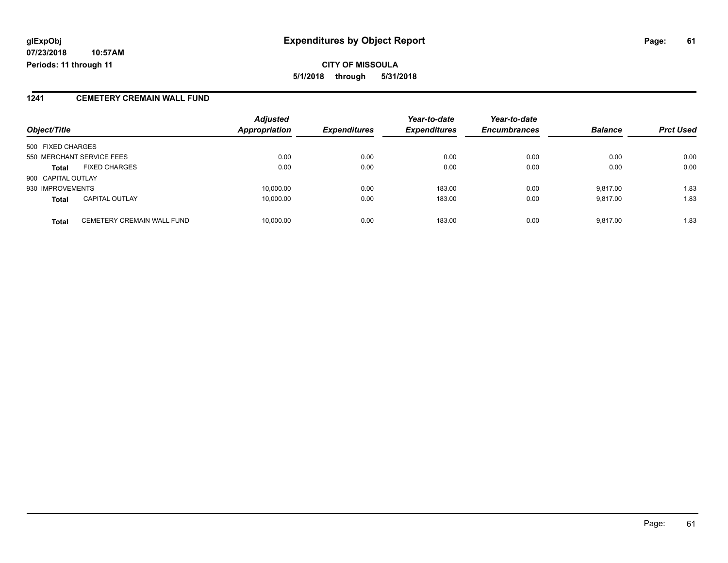#### **07/23/2018 10:57AM Periods: 11 through 11**

**5/1/2018 through 5/31/2018**

### **1241 CEMETERY CREMAIN WALL FUND**

|                    |                            | <b>Adjusted</b>      |                     | Year-to-date        | Year-to-date        |                |                  |
|--------------------|----------------------------|----------------------|---------------------|---------------------|---------------------|----------------|------------------|
| Object/Title       |                            | <b>Appropriation</b> | <b>Expenditures</b> | <b>Expenditures</b> | <b>Encumbrances</b> | <b>Balance</b> | <b>Prct Used</b> |
| 500 FIXED CHARGES  |                            |                      |                     |                     |                     |                |                  |
|                    | 550 MERCHANT SERVICE FEES  | 0.00                 | 0.00                | 0.00                | 0.00                | 0.00           | 0.00             |
| <b>Total</b>       | <b>FIXED CHARGES</b>       | 0.00                 | 0.00                | 0.00                | 0.00                | 0.00           | 0.00             |
| 900 CAPITAL OUTLAY |                            |                      |                     |                     |                     |                |                  |
| 930 IMPROVEMENTS   |                            | 10,000.00            | 0.00                | 183.00              | 0.00                | 9.817.00       | 1.83             |
| <b>Total</b>       | <b>CAPITAL OUTLAY</b>      | 10,000.00            | 0.00                | 183.00              | 0.00                | 9.817.00       | 1.83             |
| <b>Total</b>       | CEMETERY CREMAIN WALL FUND | 10,000.00            | 0.00                | 183.00              | 0.00                | 9,817.00       | 1.83             |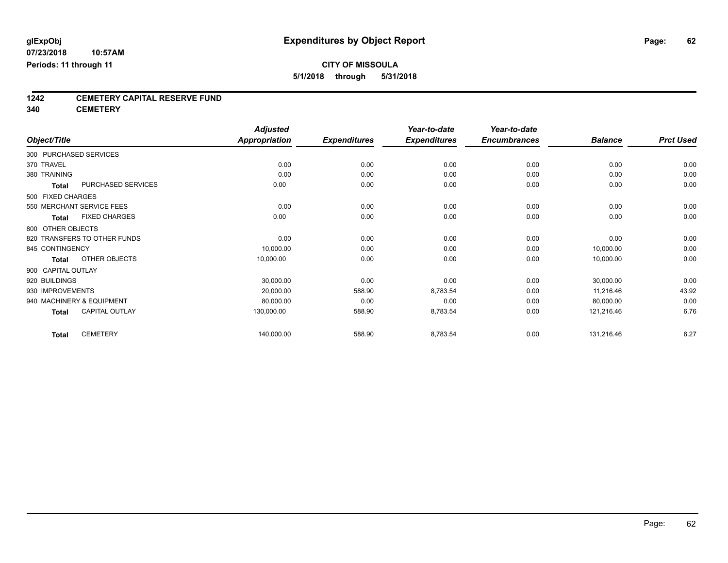# **1242 CEMETERY CAPITAL RESERVE FUND**

**340 CEMETERY**

|                        |                              | <b>Adjusted</b>      |                     | Year-to-date        | Year-to-date        |                |                  |
|------------------------|------------------------------|----------------------|---------------------|---------------------|---------------------|----------------|------------------|
| Object/Title           |                              | <b>Appropriation</b> | <b>Expenditures</b> | <b>Expenditures</b> | <b>Encumbrances</b> | <b>Balance</b> | <b>Prct Used</b> |
| 300 PURCHASED SERVICES |                              |                      |                     |                     |                     |                |                  |
| 370 TRAVEL             |                              | 0.00                 | 0.00                | 0.00                | 0.00                | 0.00           | 0.00             |
| 380 TRAINING           |                              | 0.00                 | 0.00                | 0.00                | 0.00                | 0.00           | 0.00             |
| <b>Total</b>           | PURCHASED SERVICES           | 0.00                 | 0.00                | 0.00                | 0.00                | 0.00           | 0.00             |
| 500 FIXED CHARGES      |                              |                      |                     |                     |                     |                |                  |
|                        | 550 MERCHANT SERVICE FEES    | 0.00                 | 0.00                | 0.00                | 0.00                | 0.00           | 0.00             |
| <b>Total</b>           | <b>FIXED CHARGES</b>         | 0.00                 | 0.00                | 0.00                | 0.00                | 0.00           | 0.00             |
| 800 OTHER OBJECTS      |                              |                      |                     |                     |                     |                |                  |
|                        | 820 TRANSFERS TO OTHER FUNDS | 0.00                 | 0.00                | 0.00                | 0.00                | 0.00           | 0.00             |
| 845 CONTINGENCY        |                              | 10,000.00            | 0.00                | 0.00                | 0.00                | 10,000.00      | 0.00             |
| <b>Total</b>           | OTHER OBJECTS                | 10,000.00            | 0.00                | 0.00                | 0.00                | 10,000.00      | 0.00             |
| 900 CAPITAL OUTLAY     |                              |                      |                     |                     |                     |                |                  |
| 920 BUILDINGS          |                              | 30,000.00            | 0.00                | 0.00                | 0.00                | 30,000.00      | 0.00             |
| 930 IMPROVEMENTS       |                              | 20,000.00            | 588.90              | 8,783.54            | 0.00                | 11,216.46      | 43.92            |
|                        | 940 MACHINERY & EQUIPMENT    | 80,000.00            | 0.00                | 0.00                | 0.00                | 80,000.00      | 0.00             |
| <b>Total</b>           | <b>CAPITAL OUTLAY</b>        | 130,000.00           | 588.90              | 8,783.54            | 0.00                | 121,216.46     | 6.76             |
| <b>Total</b>           | <b>CEMETERY</b>              | 140,000.00           | 588.90              | 8,783.54            | 0.00                | 131,216.46     | 6.27             |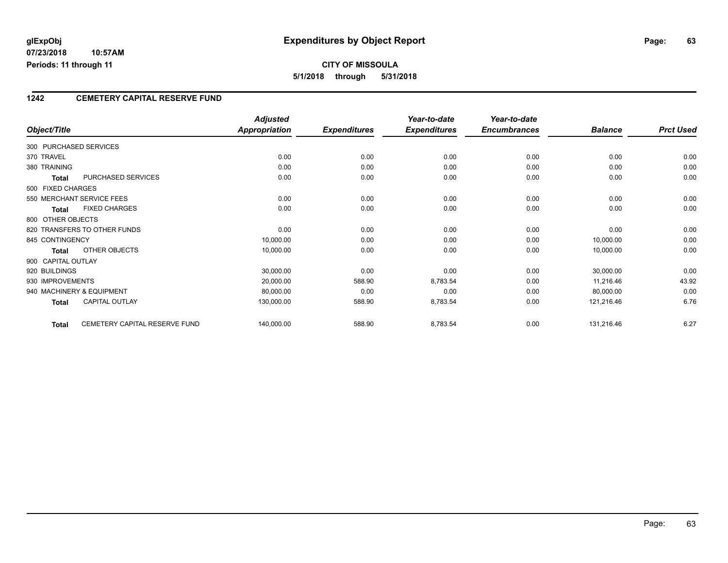#### **07/23/2018 10:57AM Periods: 11 through 11**

## **1242 CEMETERY CAPITAL RESERVE FUND**

|                        |                               | <b>Adjusted</b>      |                     | Year-to-date        | Year-to-date        |                |                  |
|------------------------|-------------------------------|----------------------|---------------------|---------------------|---------------------|----------------|------------------|
| Object/Title           |                               | <b>Appropriation</b> | <b>Expenditures</b> | <b>Expenditures</b> | <b>Encumbrances</b> | <b>Balance</b> | <b>Prct Used</b> |
| 300 PURCHASED SERVICES |                               |                      |                     |                     |                     |                |                  |
| 370 TRAVEL             |                               | 0.00                 | 0.00                | 0.00                | 0.00                | 0.00           | 0.00             |
| 380 TRAINING           |                               | 0.00                 | 0.00                | 0.00                | 0.00                | 0.00           | 0.00             |
| <b>Total</b>           | PURCHASED SERVICES            | 0.00                 | 0.00                | 0.00                | 0.00                | 0.00           | 0.00             |
| 500 FIXED CHARGES      |                               |                      |                     |                     |                     |                |                  |
|                        | 550 MERCHANT SERVICE FEES     | 0.00                 | 0.00                | 0.00                | 0.00                | 0.00           | 0.00             |
| <b>Total</b>           | <b>FIXED CHARGES</b>          | 0.00                 | 0.00                | 0.00                | 0.00                | 0.00           | 0.00             |
| 800 OTHER OBJECTS      |                               |                      |                     |                     |                     |                |                  |
|                        | 820 TRANSFERS TO OTHER FUNDS  | 0.00                 | 0.00                | 0.00                | 0.00                | 0.00           | 0.00             |
| 845 CONTINGENCY        |                               | 10,000.00            | 0.00                | 0.00                | 0.00                | 10,000.00      | 0.00             |
| Total                  | OTHER OBJECTS                 | 10,000.00            | 0.00                | 0.00                | 0.00                | 10,000.00      | 0.00             |
| 900 CAPITAL OUTLAY     |                               |                      |                     |                     |                     |                |                  |
| 920 BUILDINGS          |                               | 30,000.00            | 0.00                | 0.00                | 0.00                | 30,000.00      | 0.00             |
| 930 IMPROVEMENTS       |                               | 20,000.00            | 588.90              | 8,783.54            | 0.00                | 11,216.46      | 43.92            |
|                        | 940 MACHINERY & EQUIPMENT     | 80,000.00            | 0.00                | 0.00                | 0.00                | 80,000.00      | 0.00             |
| Total                  | <b>CAPITAL OUTLAY</b>         | 130,000.00           | 588.90              | 8,783.54            | 0.00                | 121,216.46     | 6.76             |
| <b>Total</b>           | CEMETERY CAPITAL RESERVE FUND | 140,000.00           | 588.90              | 8,783.54            | 0.00                | 131,216.46     | 6.27             |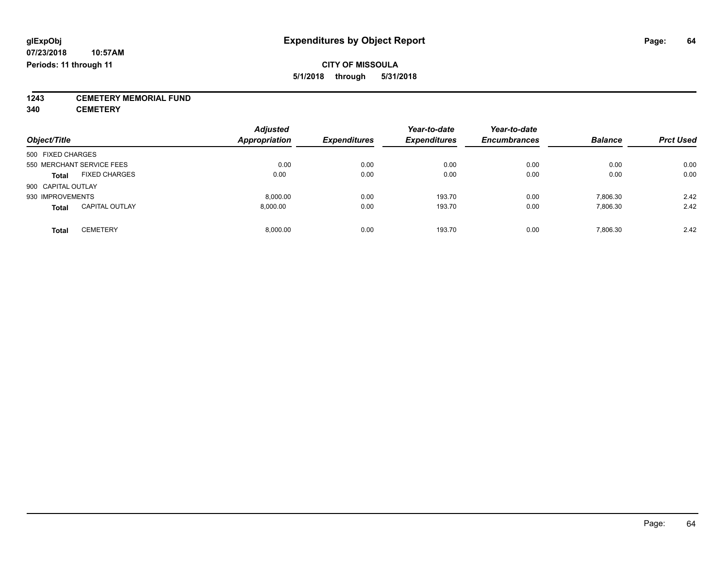**1243 CEMETERY MEMORIAL FUND**

**340 CEMETERY**

| Object/Title                          | <b>Adjusted</b><br><b>Appropriation</b> | <b>Expenditures</b> | Year-to-date<br><b>Expenditures</b> | Year-to-date<br><b>Encumbrances</b> | <b>Balance</b> | <b>Prct Used</b> |
|---------------------------------------|-----------------------------------------|---------------------|-------------------------------------|-------------------------------------|----------------|------------------|
| 500 FIXED CHARGES                     |                                         |                     |                                     |                                     |                |                  |
| 550 MERCHANT SERVICE FEES             | 0.00                                    | 0.00                | 0.00                                | 0.00                                | 0.00           | 0.00             |
| <b>FIXED CHARGES</b><br><b>Total</b>  | 0.00                                    | 0.00                | 0.00                                | 0.00                                | 0.00           | 0.00             |
| 900 CAPITAL OUTLAY                    |                                         |                     |                                     |                                     |                |                  |
| 930 IMPROVEMENTS                      | 8.000.00                                | 0.00                | 193.70                              | 0.00                                | 7.806.30       | 2.42             |
| <b>CAPITAL OUTLAY</b><br><b>Total</b> | 8,000.00                                | 0.00                | 193.70                              | 0.00                                | 7,806.30       | 2.42             |
| <b>CEMETERY</b><br>Total              | 8.000.00                                | 0.00                | 193.70                              | 0.00                                | 7.806.30       | 2.42             |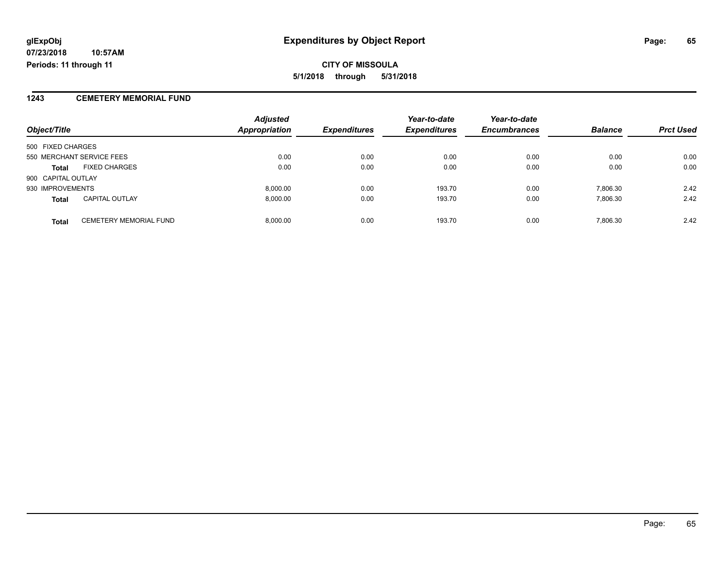### **1243 CEMETERY MEMORIAL FUND**

|                    |                               | <b>Adjusted</b>      |                     | Year-to-date        | Year-to-date        |                |                  |
|--------------------|-------------------------------|----------------------|---------------------|---------------------|---------------------|----------------|------------------|
| Object/Title       |                               | <b>Appropriation</b> | <b>Expenditures</b> | <b>Expenditures</b> | <b>Encumbrances</b> | <b>Balance</b> | <b>Prct Used</b> |
| 500 FIXED CHARGES  |                               |                      |                     |                     |                     |                |                  |
|                    | 550 MERCHANT SERVICE FEES     | 0.00                 | 0.00                | 0.00                | 0.00                | 0.00           | 0.00             |
| <b>Total</b>       | <b>FIXED CHARGES</b>          | 0.00                 | 0.00                | 0.00                | 0.00                | 0.00           | 0.00             |
| 900 CAPITAL OUTLAY |                               |                      |                     |                     |                     |                |                  |
| 930 IMPROVEMENTS   |                               | 8,000.00             | 0.00                | 193.70              | 0.00                | 7.806.30       | 2.42             |
| <b>Total</b>       | <b>CAPITAL OUTLAY</b>         | 8.000.00             | 0.00                | 193.70              | 0.00                | 7.806.30       | 2.42             |
| <b>Total</b>       | <b>CEMETERY MEMORIAL FUND</b> | 8,000.00             | 0.00                | 193.70              | 0.00                | 7,806.30       | 2.42             |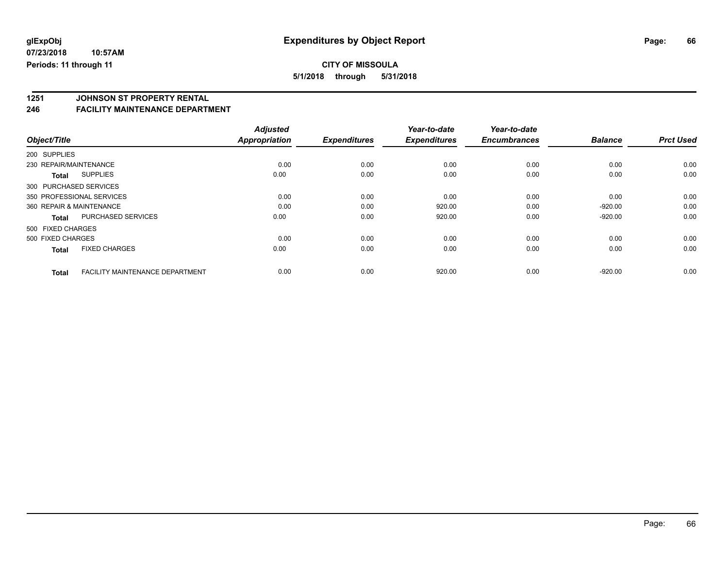**07/23/2018 10:57AM Periods: 11 through 11**

## **CITY OF MISSOULA 5/1/2018 through 5/31/2018**

# **1251 JOHNSON ST PROPERTY RENTAL**

## **246 FACILITY MAINTENANCE DEPARTMENT**

|                                                        | <b>Adjusted</b>      |                     | Year-to-date        | Year-to-date        |                |                  |
|--------------------------------------------------------|----------------------|---------------------|---------------------|---------------------|----------------|------------------|
| Object/Title                                           | <b>Appropriation</b> | <b>Expenditures</b> | <b>Expenditures</b> | <b>Encumbrances</b> | <b>Balance</b> | <b>Prct Used</b> |
| 200 SUPPLIES                                           |                      |                     |                     |                     |                |                  |
| 230 REPAIR/MAINTENANCE                                 | 0.00                 | 0.00                | 0.00                | 0.00                | 0.00           | 0.00             |
| <b>SUPPLIES</b><br><b>Total</b>                        | 0.00                 | 0.00                | 0.00                | 0.00                | 0.00           | 0.00             |
| 300 PURCHASED SERVICES                                 |                      |                     |                     |                     |                |                  |
| 350 PROFESSIONAL SERVICES                              | 0.00                 | 0.00                | 0.00                | 0.00                | 0.00           | 0.00             |
| 360 REPAIR & MAINTENANCE                               | 0.00                 | 0.00                | 920.00              | 0.00                | $-920.00$      | 0.00             |
| <b>PURCHASED SERVICES</b><br><b>Total</b>              | 0.00                 | 0.00                | 920.00              | 0.00                | $-920.00$      | 0.00             |
| 500 FIXED CHARGES                                      |                      |                     |                     |                     |                |                  |
| 500 FIXED CHARGES                                      | 0.00                 | 0.00                | 0.00                | 0.00                | 0.00           | 0.00             |
| <b>FIXED CHARGES</b><br><b>Total</b>                   | 0.00                 | 0.00                | 0.00                | 0.00                | 0.00           | 0.00             |
|                                                        |                      |                     |                     |                     |                |                  |
| <b>FACILITY MAINTENANCE DEPARTMENT</b><br><b>Total</b> | 0.00                 | 0.00                | 920.00              | 0.00                | $-920.00$      | 0.00             |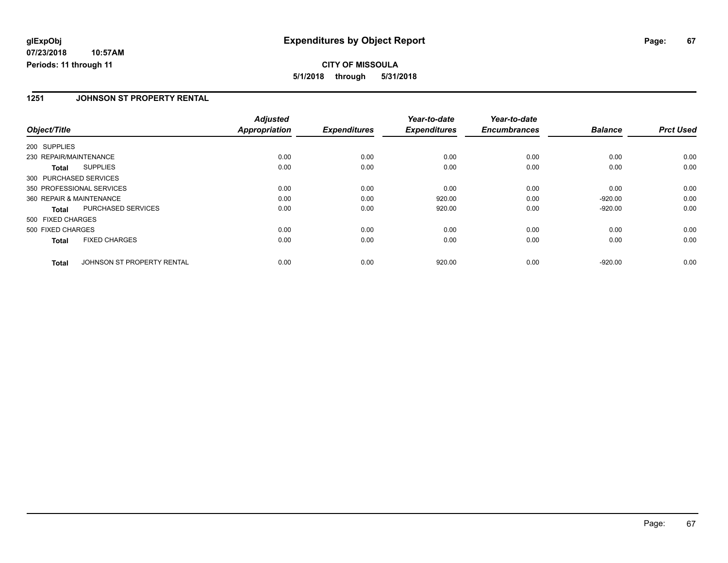#### **07/23/2018 10:57AM Periods: 11 through 11**

# **CITY OF MISSOULA 5/1/2018 through 5/31/2018**

## **1251 JOHNSON ST PROPERTY RENTAL**

|                        |                            | <b>Adjusted</b> |                     | Year-to-date        | Year-to-date        |                |                  |
|------------------------|----------------------------|-----------------|---------------------|---------------------|---------------------|----------------|------------------|
| Object/Title           |                            | Appropriation   | <b>Expenditures</b> | <b>Expenditures</b> | <b>Encumbrances</b> | <b>Balance</b> | <b>Prct Used</b> |
| 200 SUPPLIES           |                            |                 |                     |                     |                     |                |                  |
| 230 REPAIR/MAINTENANCE |                            | 0.00            | 0.00                | 0.00                | 0.00                | 0.00           | 0.00             |
| <b>Total</b>           | <b>SUPPLIES</b>            | 0.00            | 0.00                | 0.00                | 0.00                | 0.00           | 0.00             |
| 300 PURCHASED SERVICES |                            |                 |                     |                     |                     |                |                  |
|                        | 350 PROFESSIONAL SERVICES  | 0.00            | 0.00                | 0.00                | 0.00                | 0.00           | 0.00             |
|                        | 360 REPAIR & MAINTENANCE   | 0.00            | 0.00                | 920.00              | 0.00                | $-920.00$      | 0.00             |
| <b>Total</b>           | PURCHASED SERVICES         | 0.00            | 0.00                | 920.00              | 0.00                | $-920.00$      | 0.00             |
| 500 FIXED CHARGES      |                            |                 |                     |                     |                     |                |                  |
| 500 FIXED CHARGES      |                            | 0.00            | 0.00                | 0.00                | 0.00                | 0.00           | 0.00             |
| <b>Total</b>           | <b>FIXED CHARGES</b>       | 0.00            | 0.00                | 0.00                | 0.00                | 0.00           | 0.00             |
| <b>Total</b>           | JOHNSON ST PROPERTY RENTAL | 0.00            | 0.00                | 920.00              | 0.00                | $-920.00$      | 0.00             |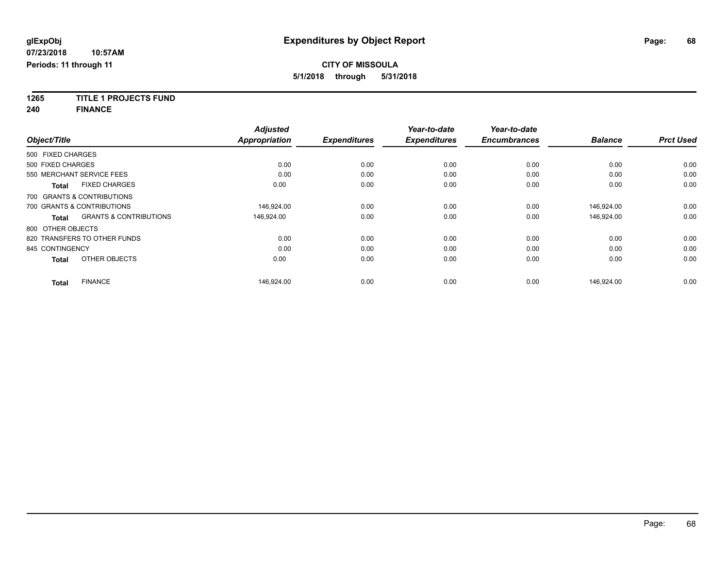**1265 TITLE 1 PROJECTS FUND**

**240 FINANCE**

|                   |                                   | <b>Adjusted</b>      |                     | Year-to-date        | Year-to-date        |                |                  |
|-------------------|-----------------------------------|----------------------|---------------------|---------------------|---------------------|----------------|------------------|
| Object/Title      |                                   | <b>Appropriation</b> | <b>Expenditures</b> | <b>Expenditures</b> | <b>Encumbrances</b> | <b>Balance</b> | <b>Prct Used</b> |
| 500 FIXED CHARGES |                                   |                      |                     |                     |                     |                |                  |
| 500 FIXED CHARGES |                                   | 0.00                 | 0.00                | 0.00                | 0.00                | 0.00           | 0.00             |
|                   | 550 MERCHANT SERVICE FEES         | 0.00                 | 0.00                | 0.00                | 0.00                | 0.00           | 0.00             |
| <b>Total</b>      | <b>FIXED CHARGES</b>              | 0.00                 | 0.00                | 0.00                | 0.00                | 0.00           | 0.00             |
|                   | 700 GRANTS & CONTRIBUTIONS        |                      |                     |                     |                     |                |                  |
|                   | 700 GRANTS & CONTRIBUTIONS        | 146,924.00           | 0.00                | 0.00                | 0.00                | 146,924.00     | 0.00             |
| <b>Total</b>      | <b>GRANTS &amp; CONTRIBUTIONS</b> | 146.924.00           | 0.00                | 0.00                | 0.00                | 146.924.00     | 0.00             |
| 800 OTHER OBJECTS |                                   |                      |                     |                     |                     |                |                  |
|                   | 820 TRANSFERS TO OTHER FUNDS      | 0.00                 | 0.00                | 0.00                | 0.00                | 0.00           | 0.00             |
| 845 CONTINGENCY   |                                   | 0.00                 | 0.00                | 0.00                | 0.00                | 0.00           | 0.00             |
| <b>Total</b>      | OTHER OBJECTS                     | 0.00                 | 0.00                | 0.00                | 0.00                | 0.00           | 0.00             |
| <b>Total</b>      | <b>FINANCE</b>                    | 146,924.00           | 0.00                | 0.00                | 0.00                | 146.924.00     | 0.00             |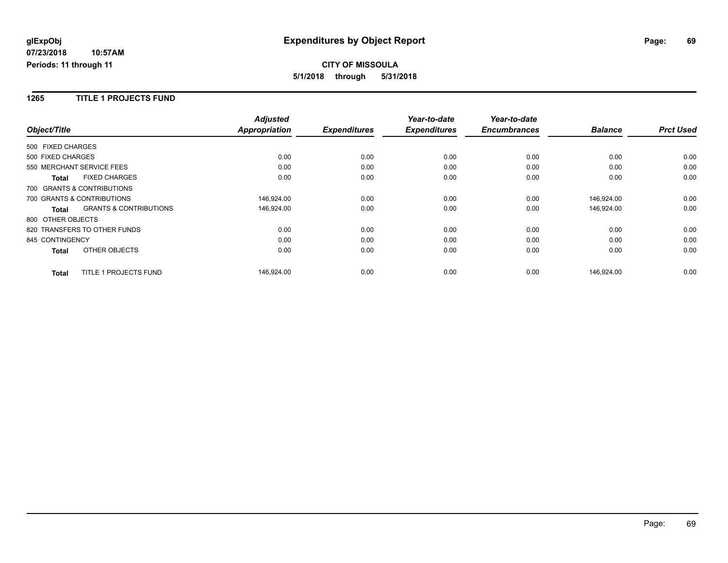#### **1265 TITLE 1 PROJECTS FUND**

|                   |                                   | <b>Adjusted</b>      |                     | Year-to-date        | Year-to-date        |                |                  |
|-------------------|-----------------------------------|----------------------|---------------------|---------------------|---------------------|----------------|------------------|
| Object/Title      |                                   | <b>Appropriation</b> | <b>Expenditures</b> | <b>Expenditures</b> | <b>Encumbrances</b> | <b>Balance</b> | <b>Prct Used</b> |
| 500 FIXED CHARGES |                                   |                      |                     |                     |                     |                |                  |
| 500 FIXED CHARGES |                                   | 0.00                 | 0.00                | 0.00                | 0.00                | 0.00           | 0.00             |
|                   | 550 MERCHANT SERVICE FEES         | 0.00                 | 0.00                | 0.00                | 0.00                | 0.00           | 0.00             |
| <b>Total</b>      | <b>FIXED CHARGES</b>              | 0.00                 | 0.00                | 0.00                | 0.00                | 0.00           | 0.00             |
|                   | 700 GRANTS & CONTRIBUTIONS        |                      |                     |                     |                     |                |                  |
|                   | 700 GRANTS & CONTRIBUTIONS        | 146,924.00           | 0.00                | 0.00                | 0.00                | 146,924.00     | 0.00             |
| <b>Total</b>      | <b>GRANTS &amp; CONTRIBUTIONS</b> | 146,924.00           | 0.00                | 0.00                | 0.00                | 146,924.00     | 0.00             |
| 800 OTHER OBJECTS |                                   |                      |                     |                     |                     |                |                  |
|                   | 820 TRANSFERS TO OTHER FUNDS      | 0.00                 | 0.00                | 0.00                | 0.00                | 0.00           | 0.00             |
| 845 CONTINGENCY   |                                   | 0.00                 | 0.00                | 0.00                | 0.00                | 0.00           | 0.00             |
| <b>Total</b>      | OTHER OBJECTS                     | 0.00                 | 0.00                | 0.00                | 0.00                | 0.00           | 0.00             |
| <b>Total</b>      | <b>TITLE 1 PROJECTS FUND</b>      | 146,924.00           | 0.00                | 0.00                | 0.00                | 146,924.00     | 0.00             |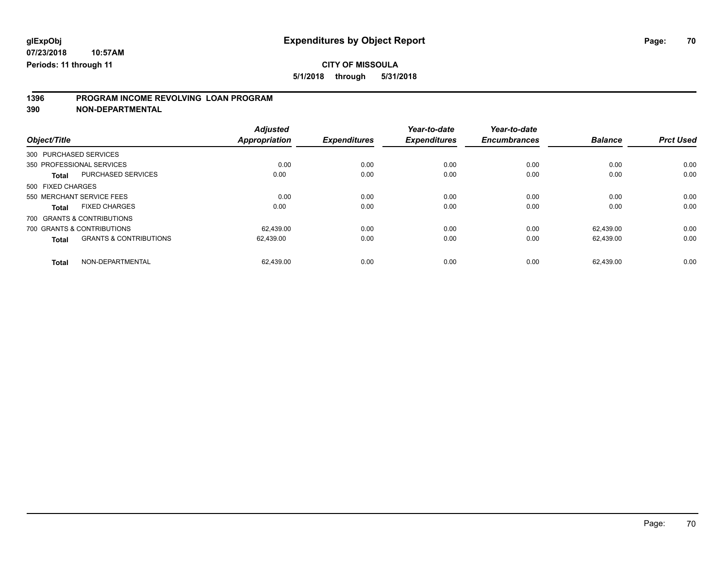# **1396 PROGRAM INCOME REVOLVING LOAN PROGRAM**

**390 NON-DEPARTMENTAL**

|                   |                                   | <b>Adjusted</b>      |                     | Year-to-date        | Year-to-date        |                |                  |
|-------------------|-----------------------------------|----------------------|---------------------|---------------------|---------------------|----------------|------------------|
| Object/Title      |                                   | <b>Appropriation</b> | <b>Expenditures</b> | <b>Expenditures</b> | <b>Encumbrances</b> | <b>Balance</b> | <b>Prct Used</b> |
|                   | 300 PURCHASED SERVICES            |                      |                     |                     |                     |                |                  |
|                   | 350 PROFESSIONAL SERVICES         | 0.00                 | 0.00                | 0.00                | 0.00                | 0.00           | 0.00             |
| <b>Total</b>      | <b>PURCHASED SERVICES</b>         | 0.00                 | 0.00                | 0.00                | 0.00                | 0.00           | 0.00             |
| 500 FIXED CHARGES |                                   |                      |                     |                     |                     |                |                  |
|                   | 550 MERCHANT SERVICE FEES         | 0.00                 | 0.00                | 0.00                | 0.00                | 0.00           | 0.00             |
| <b>Total</b>      | <b>FIXED CHARGES</b>              | 0.00                 | 0.00                | 0.00                | 0.00                | 0.00           | 0.00             |
|                   | 700 GRANTS & CONTRIBUTIONS        |                      |                     |                     |                     |                |                  |
|                   | 700 GRANTS & CONTRIBUTIONS        | 62.439.00            | 0.00                | 0.00                | 0.00                | 62.439.00      | 0.00             |
| <b>Total</b>      | <b>GRANTS &amp; CONTRIBUTIONS</b> | 62,439.00            | 0.00                | 0.00                | 0.00                | 62.439.00      | 0.00             |
| <b>Total</b>      | NON-DEPARTMENTAL                  | 62.439.00            | 0.00                | 0.00                | 0.00                | 62.439.00      | 0.00             |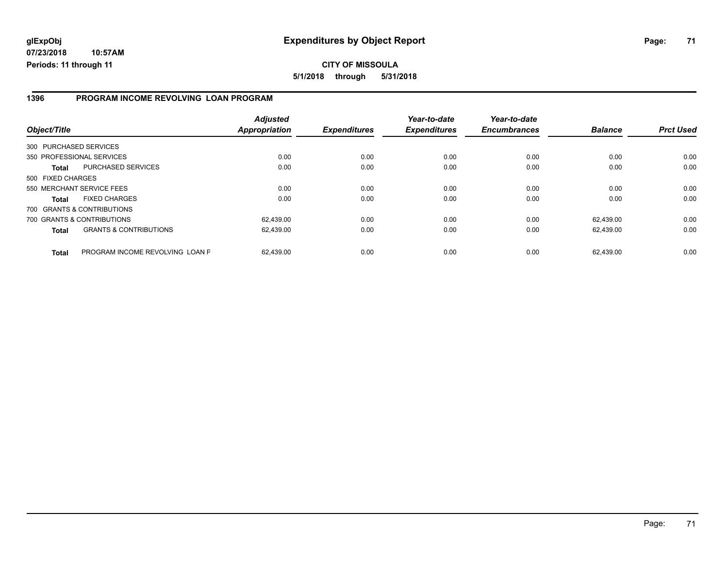#### **07/23/2018 10:57AM Periods: 11 through 11**

#### **1396 PROGRAM INCOME REVOLVING LOAN PROGRAM**

| Object/Title           |                                   | <b>Adjusted</b><br>Appropriation | <b>Expenditures</b> | Year-to-date<br><b>Expenditures</b> | Year-to-date<br><b>Encumbrances</b> | <b>Balance</b> | <b>Prct Used</b> |
|------------------------|-----------------------------------|----------------------------------|---------------------|-------------------------------------|-------------------------------------|----------------|------------------|
| 300 PURCHASED SERVICES |                                   |                                  |                     |                                     |                                     |                |                  |
|                        | 350 PROFESSIONAL SERVICES         | 0.00                             | 0.00                | 0.00                                | 0.00                                | 0.00           | 0.00             |
| Total                  | PURCHASED SERVICES                | 0.00                             | 0.00                | 0.00                                | 0.00                                | 0.00           | 0.00             |
| 500 FIXED CHARGES      |                                   |                                  |                     |                                     |                                     |                |                  |
|                        | 550 MERCHANT SERVICE FEES         | 0.00                             | 0.00                | 0.00                                | 0.00                                | 0.00           | 0.00             |
| Total                  | <b>FIXED CHARGES</b>              | 0.00                             | 0.00                | 0.00                                | 0.00                                | 0.00           | 0.00             |
|                        | 700 GRANTS & CONTRIBUTIONS        |                                  |                     |                                     |                                     |                |                  |
|                        | 700 GRANTS & CONTRIBUTIONS        | 62.439.00                        | 0.00                | 0.00                                | 0.00                                | 62.439.00      | 0.00             |
| <b>Total</b>           | <b>GRANTS &amp; CONTRIBUTIONS</b> | 62,439.00                        | 0.00                | 0.00                                | 0.00                                | 62.439.00      | 0.00             |
| <b>Total</b>           | PROGRAM INCOME REVOLVING LOAN P   | 62.439.00                        | 0.00                | 0.00                                | 0.00                                | 62.439.00      | 0.00             |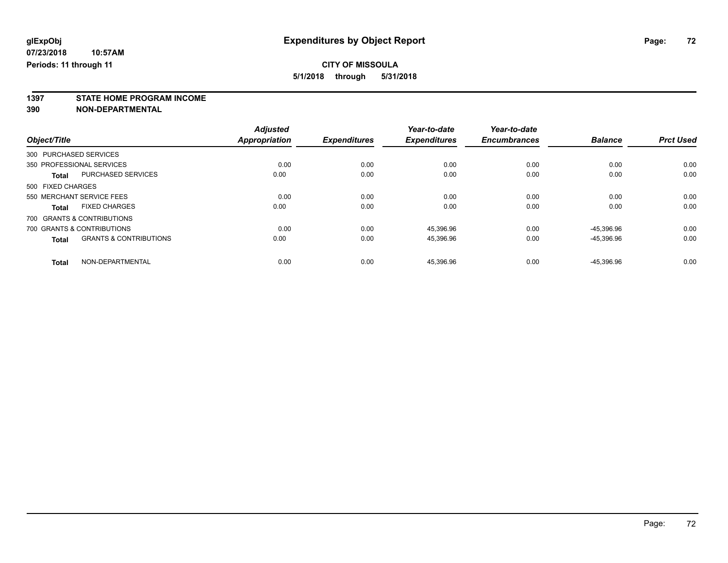# **1397 STATE HOME PROGRAM INCOME**

**390 NON-DEPARTMENTAL**

|                                                   | <b>Adjusted</b>      |                     | Year-to-date        | Year-to-date        |                |                  |
|---------------------------------------------------|----------------------|---------------------|---------------------|---------------------|----------------|------------------|
| Object/Title                                      | <b>Appropriation</b> | <b>Expenditures</b> | <b>Expenditures</b> | <b>Encumbrances</b> | <b>Balance</b> | <b>Prct Used</b> |
| 300 PURCHASED SERVICES                            |                      |                     |                     |                     |                |                  |
| 350 PROFESSIONAL SERVICES                         | 0.00                 | 0.00                | 0.00                | 0.00                | 0.00           | 0.00             |
| <b>PURCHASED SERVICES</b><br><b>Total</b>         | 0.00                 | 0.00                | 0.00                | 0.00                | 0.00           | 0.00             |
| 500 FIXED CHARGES                                 |                      |                     |                     |                     |                |                  |
| 550 MERCHANT SERVICE FEES                         | 0.00                 | 0.00                | 0.00                | 0.00                | 0.00           | 0.00             |
| <b>FIXED CHARGES</b><br><b>Total</b>              | 0.00                 | 0.00                | 0.00                | 0.00                | 0.00           | 0.00             |
| 700 GRANTS & CONTRIBUTIONS                        |                      |                     |                     |                     |                |                  |
| 700 GRANTS & CONTRIBUTIONS                        | 0.00                 | 0.00                | 45.396.96           | 0.00                | -45.396.96     | 0.00             |
| <b>GRANTS &amp; CONTRIBUTIONS</b><br><b>Total</b> | 0.00                 | 0.00                | 45,396.96           | 0.00                | -45.396.96     | 0.00             |
| NON-DEPARTMENTAL<br><b>Total</b>                  | 0.00                 | 0.00                | 45.396.96           | 0.00                | -45.396.96     | 0.00             |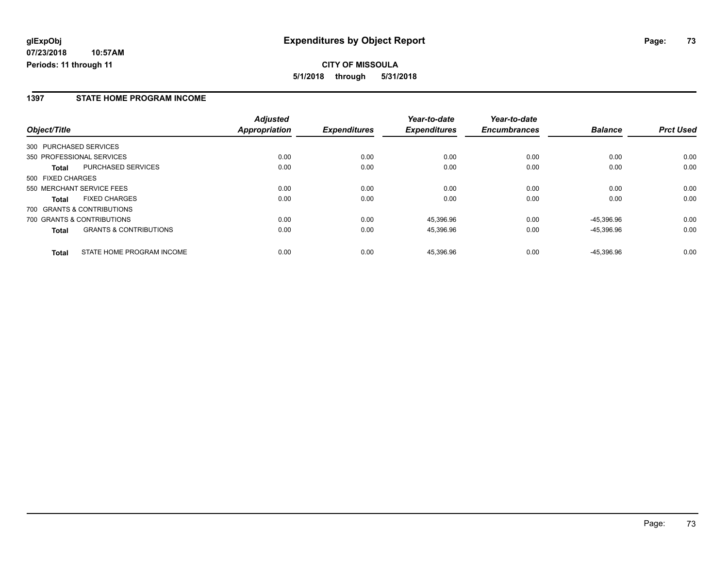# **CITY OF MISSOULA 5/1/2018 through 5/31/2018**

### **1397 STATE HOME PROGRAM INCOME**

|                   |                                   | <b>Adjusted</b>      |                     | Year-to-date        | Year-to-date        |                |                  |
|-------------------|-----------------------------------|----------------------|---------------------|---------------------|---------------------|----------------|------------------|
| Object/Title      |                                   | <b>Appropriation</b> | <b>Expenditures</b> | <b>Expenditures</b> | <b>Encumbrances</b> | <b>Balance</b> | <b>Prct Used</b> |
|                   | 300 PURCHASED SERVICES            |                      |                     |                     |                     |                |                  |
|                   | 350 PROFESSIONAL SERVICES         | 0.00                 | 0.00                | 0.00                | 0.00                | 0.00           | 0.00             |
| Total             | PURCHASED SERVICES                | 0.00                 | 0.00                | 0.00                | 0.00                | 0.00           | 0.00             |
| 500 FIXED CHARGES |                                   |                      |                     |                     |                     |                |                  |
|                   | 550 MERCHANT SERVICE FEES         | 0.00                 | 0.00                | 0.00                | 0.00                | 0.00           | 0.00             |
| <b>Total</b>      | <b>FIXED CHARGES</b>              | 0.00                 | 0.00                | 0.00                | 0.00                | 0.00           | 0.00             |
|                   | 700 GRANTS & CONTRIBUTIONS        |                      |                     |                     |                     |                |                  |
|                   | 700 GRANTS & CONTRIBUTIONS        | 0.00                 | 0.00                | 45,396.96           | 0.00                | -45.396.96     | 0.00             |
| <b>Total</b>      | <b>GRANTS &amp; CONTRIBUTIONS</b> | 0.00                 | 0.00                | 45,396.96           | 0.00                | $-45,396.96$   | 0.00             |
| <b>Total</b>      | STATE HOME PROGRAM INCOME         | 0.00                 | 0.00                | 45.396.96           | 0.00                | -45.396.96     | 0.00             |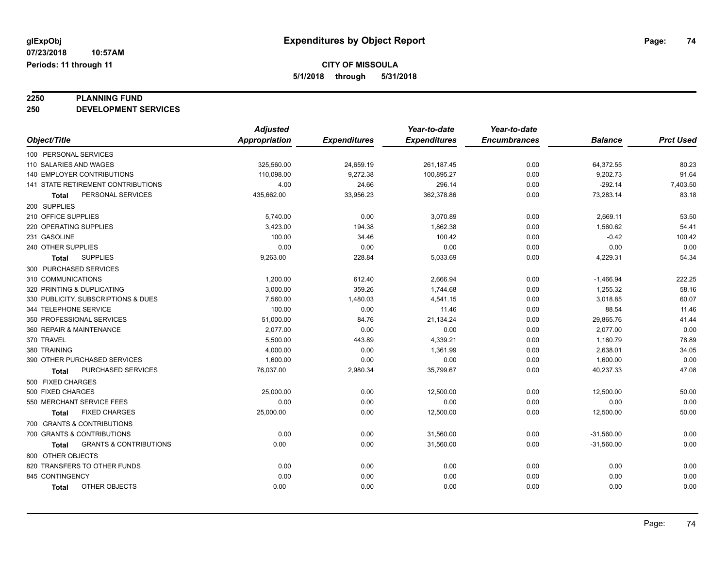**2250 PLANNING FUND 250 DEVELOPMENT SERVICES**

|                                            | <b>Adjusted</b>      |                     | Year-to-date        | Year-to-date        |                |                  |
|--------------------------------------------|----------------------|---------------------|---------------------|---------------------|----------------|------------------|
| Object/Title                               | <b>Appropriation</b> | <b>Expenditures</b> | <b>Expenditures</b> | <b>Encumbrances</b> | <b>Balance</b> | <b>Prct Used</b> |
| 100 PERSONAL SERVICES                      |                      |                     |                     |                     |                |                  |
| 110 SALARIES AND WAGES                     | 325,560.00           | 24,659.19           | 261,187.45          | 0.00                | 64,372.55      | 80.23            |
| <b>140 EMPLOYER CONTRIBUTIONS</b>          | 110,098.00           | 9,272.38            | 100,895.27          | 0.00                | 9,202.73       | 91.64            |
| 141 STATE RETIREMENT CONTRIBUTIONS         | 4.00                 | 24.66               | 296.14              | 0.00                | $-292.14$      | 7,403.50         |
| PERSONAL SERVICES<br>Total                 | 435,662.00           | 33,956.23           | 362,378.86          | 0.00                | 73,283.14      | 83.18            |
| 200 SUPPLIES                               |                      |                     |                     |                     |                |                  |
| 210 OFFICE SUPPLIES                        | 5,740.00             | 0.00                | 3,070.89            | 0.00                | 2,669.11       | 53.50            |
| 220 OPERATING SUPPLIES                     | 3,423.00             | 194.38              | 1,862.38            | 0.00                | 1,560.62       | 54.41            |
| 231 GASOLINE                               | 100.00               | 34.46               | 100.42              | 0.00                | $-0.42$        | 100.42           |
| 240 OTHER SUPPLIES                         | 0.00                 | 0.00                | 0.00                | 0.00                | 0.00           | 0.00             |
| <b>SUPPLIES</b><br><b>Total</b>            | 9,263.00             | 228.84              | 5,033.69            | 0.00                | 4,229.31       | 54.34            |
| 300 PURCHASED SERVICES                     |                      |                     |                     |                     |                |                  |
| 310 COMMUNICATIONS                         | 1,200.00             | 612.40              | 2,666.94            | 0.00                | $-1,466.94$    | 222.25           |
| 320 PRINTING & DUPLICATING                 | 3,000.00             | 359.26              | 1,744.68            | 0.00                | 1,255.32       | 58.16            |
| 330 PUBLICITY, SUBSCRIPTIONS & DUES        | 7,560.00             | 1,480.03            | 4,541.15            | 0.00                | 3,018.85       | 60.07            |
| 344 TELEPHONE SERVICE                      | 100.00               | 0.00                | 11.46               | 0.00                | 88.54          | 11.46            |
| 350 PROFESSIONAL SERVICES                  | 51,000.00            | 84.76               | 21,134.24           | 0.00                | 29,865.76      | 41.44            |
| 360 REPAIR & MAINTENANCE                   | 2,077.00             | 0.00                | 0.00                | 0.00                | 2,077.00       | 0.00             |
| 370 TRAVEL                                 | 5,500.00             | 443.89              | 4,339.21            | 0.00                | 1,160.79       | 78.89            |
| 380 TRAINING                               | 4,000.00             | 0.00                | 1,361.99            | 0.00                | 2,638.01       | 34.05            |
| 390 OTHER PURCHASED SERVICES               | 1,600.00             | 0.00                | 0.00                | 0.00                | 1,600.00       | 0.00             |
| <b>PURCHASED SERVICES</b><br><b>Total</b>  | 76,037.00            | 2,980.34            | 35,799.67           | 0.00                | 40,237.33      | 47.08            |
| 500 FIXED CHARGES                          |                      |                     |                     |                     |                |                  |
| 500 FIXED CHARGES                          | 25,000.00            | 0.00                | 12,500.00           | 0.00                | 12,500.00      | 50.00            |
| 550 MERCHANT SERVICE FEES                  | 0.00                 | 0.00                | 0.00                | 0.00                | 0.00           | 0.00             |
| <b>FIXED CHARGES</b><br>Total              | 25,000.00            | 0.00                | 12,500.00           | 0.00                | 12,500.00      | 50.00            |
| 700 GRANTS & CONTRIBUTIONS                 |                      |                     |                     |                     |                |                  |
| 700 GRANTS & CONTRIBUTIONS                 | 0.00                 | 0.00                | 31,560.00           | 0.00                | $-31,560.00$   | 0.00             |
| <b>GRANTS &amp; CONTRIBUTIONS</b><br>Total | 0.00                 | 0.00                | 31,560.00           | 0.00                | $-31,560.00$   | 0.00             |
| 800 OTHER OBJECTS                          |                      |                     |                     |                     |                |                  |
| 820 TRANSFERS TO OTHER FUNDS               | 0.00                 | 0.00                | 0.00                | 0.00                | 0.00           | 0.00             |
| 845 CONTINGENCY                            | 0.00                 | 0.00                | 0.00                | 0.00                | 0.00           | 0.00             |
| OTHER OBJECTS<br><b>Total</b>              | 0.00                 | 0.00                | 0.00                | 0.00                | 0.00           | 0.00             |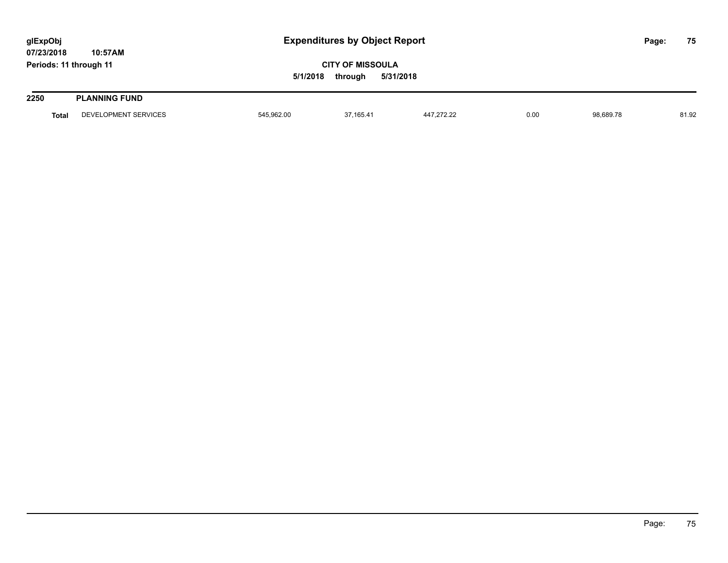| glExpObj<br>07/23/2018 | 10:57AM              |            | <b>Expenditures by Object Report</b>            |            |      |           |  |       |
|------------------------|----------------------|------------|-------------------------------------------------|------------|------|-----------|--|-------|
| Periods: 11 through 11 |                      | 5/1/2018   | <b>CITY OF MISSOULA</b><br>5/31/2018<br>through |            |      |           |  |       |
| 2250                   | <b>PLANNING FUND</b> |            |                                                 |            |      |           |  |       |
| <b>Total</b>           | DEVELOPMENT SERVICES | 545,962.00 | 37,165.41                                       | 447.272.22 | 0.00 | 98,689.78 |  | 81.92 |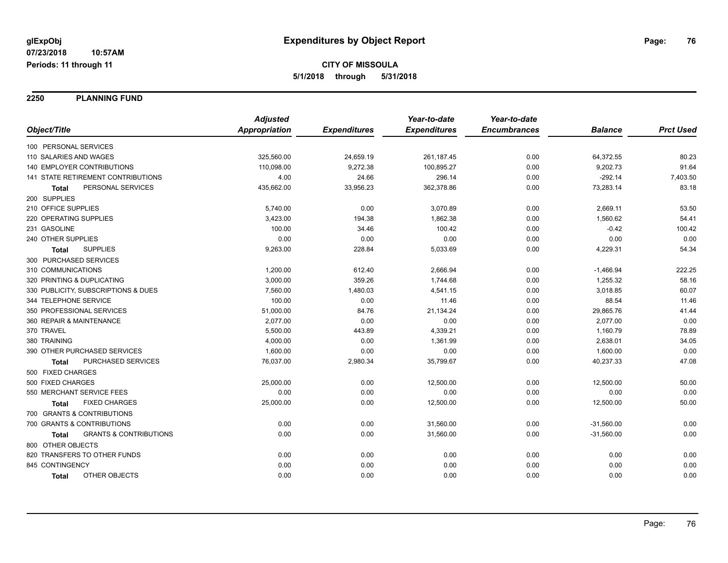**2250 PLANNING FUND**

|                                                   | <b>Adjusted</b>      |                     | Year-to-date        | Year-to-date        |                |                  |
|---------------------------------------------------|----------------------|---------------------|---------------------|---------------------|----------------|------------------|
| Object/Title                                      | <b>Appropriation</b> | <b>Expenditures</b> | <b>Expenditures</b> | <b>Encumbrances</b> | <b>Balance</b> | <b>Prct Used</b> |
| 100 PERSONAL SERVICES                             |                      |                     |                     |                     |                |                  |
| 110 SALARIES AND WAGES                            | 325,560.00           | 24,659.19           | 261,187.45          | 0.00                | 64,372.55      | 80.23            |
| <b>140 EMPLOYER CONTRIBUTIONS</b>                 | 110,098.00           | 9,272.38            | 100,895.27          | 0.00                | 9,202.73       | 91.64            |
| 141 STATE RETIREMENT CONTRIBUTIONS                | 4.00                 | 24.66               | 296.14              | 0.00                | $-292.14$      | 7,403.50         |
| PERSONAL SERVICES<br>Total                        | 435,662.00           | 33,956.23           | 362,378.86          | 0.00                | 73,283.14      | 83.18            |
| 200 SUPPLIES                                      |                      |                     |                     |                     |                |                  |
| 210 OFFICE SUPPLIES                               | 5,740.00             | 0.00                | 3,070.89            | 0.00                | 2,669.11       | 53.50            |
| 220 OPERATING SUPPLIES                            | 3,423.00             | 194.38              | 1,862.38            | 0.00                | 1,560.62       | 54.41            |
| 231 GASOLINE                                      | 100.00               | 34.46               | 100.42              | 0.00                | $-0.42$        | 100.42           |
| 240 OTHER SUPPLIES                                | 0.00                 | 0.00                | 0.00                | 0.00                | 0.00           | 0.00             |
| <b>SUPPLIES</b><br>Total                          | 9,263.00             | 228.84              | 5,033.69            | 0.00                | 4,229.31       | 54.34            |
| 300 PURCHASED SERVICES                            |                      |                     |                     |                     |                |                  |
| 310 COMMUNICATIONS                                | 1,200.00             | 612.40              | 2,666.94            | 0.00                | $-1,466.94$    | 222.25           |
| 320 PRINTING & DUPLICATING                        | 3,000.00             | 359.26              | 1,744.68            | 0.00                | 1,255.32       | 58.16            |
| 330 PUBLICITY, SUBSCRIPTIONS & DUES               | 7,560.00             | 1,480.03            | 4,541.15            | 0.00                | 3,018.85       | 60.07            |
| 344 TELEPHONE SERVICE                             | 100.00               | 0.00                | 11.46               | 0.00                | 88.54          | 11.46            |
| 350 PROFESSIONAL SERVICES                         | 51,000.00            | 84.76               | 21,134.24           | 0.00                | 29,865.76      | 41.44            |
| 360 REPAIR & MAINTENANCE                          | 2,077.00             | 0.00                | 0.00                | 0.00                | 2,077.00       | 0.00             |
| 370 TRAVEL                                        | 5,500.00             | 443.89              | 4,339.21            | 0.00                | 1,160.79       | 78.89            |
| 380 TRAINING                                      | 4,000.00             | 0.00                | 1,361.99            | 0.00                | 2,638.01       | 34.05            |
| 390 OTHER PURCHASED SERVICES                      | 1,600.00             | 0.00                | 0.00                | 0.00                | 1,600.00       | 0.00             |
| <b>PURCHASED SERVICES</b><br>Total                | 76,037.00            | 2,980.34            | 35,799.67           | 0.00                | 40,237.33      | 47.08            |
| 500 FIXED CHARGES                                 |                      |                     |                     |                     |                |                  |
| 500 FIXED CHARGES                                 | 25,000.00            | 0.00                | 12,500.00           | 0.00                | 12,500.00      | 50.00            |
| 550 MERCHANT SERVICE FEES                         | 0.00                 | 0.00                | 0.00                | 0.00                | 0.00           | 0.00             |
| <b>FIXED CHARGES</b><br>Total                     | 25,000.00            | 0.00                | 12,500.00           | 0.00                | 12,500.00      | 50.00            |
| 700 GRANTS & CONTRIBUTIONS                        |                      |                     |                     |                     |                |                  |
| 700 GRANTS & CONTRIBUTIONS                        | 0.00                 | 0.00                | 31,560.00           | 0.00                | $-31,560.00$   | 0.00             |
| <b>GRANTS &amp; CONTRIBUTIONS</b><br><b>Total</b> | 0.00                 | 0.00                | 31,560.00           | 0.00                | $-31,560.00$   | 0.00             |
| 800 OTHER OBJECTS                                 |                      |                     |                     |                     |                |                  |
| 820 TRANSFERS TO OTHER FUNDS                      | 0.00                 | 0.00                | 0.00                | 0.00                | 0.00           | 0.00             |
| 845 CONTINGENCY                                   | 0.00                 | 0.00                | 0.00                | 0.00                | 0.00           | 0.00             |
| <b>OTHER OBJECTS</b><br><b>Total</b>              | 0.00                 | 0.00                | 0.00                | 0.00                | 0.00           | 0.00             |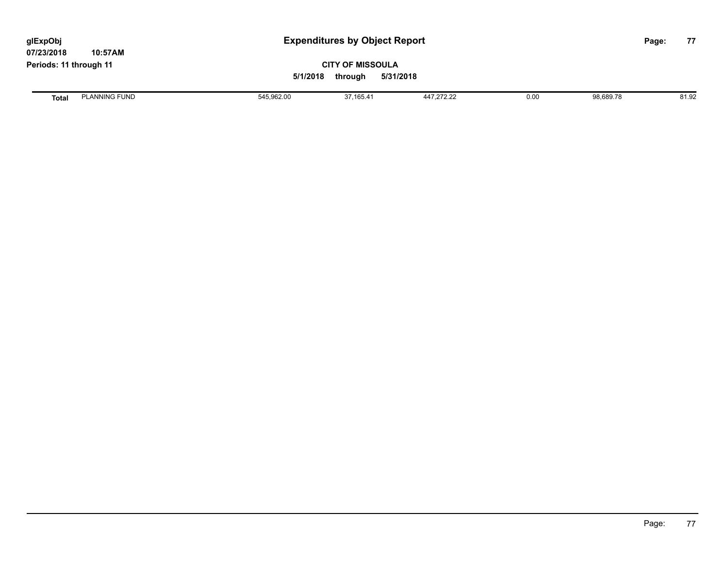| glExpObj<br>07/23/2018 | 10:57AM              |            | <b>Expenditures by Object Report</b>                        |            |      |           |       |  |
|------------------------|----------------------|------------|-------------------------------------------------------------|------------|------|-----------|-------|--|
| Periods: 11 through 11 |                      |            | <b>CITY OF MISSOULA</b><br>5/31/2018<br>5/1/2018<br>through |            |      |           |       |  |
| <b>Total</b>           | <b>PLANNING FUND</b> | 545,962.00 | 37,165.41                                                   | 447.272.22 | 0.00 | 98,689.78 | 81.92 |  |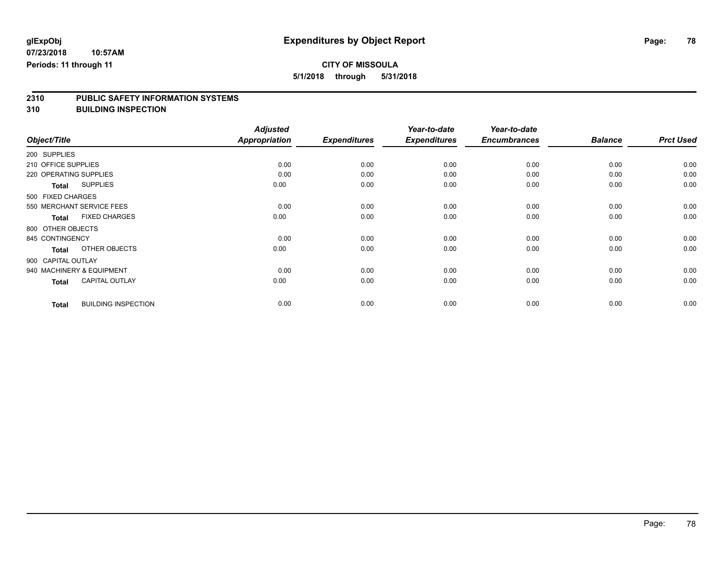# **2310 PUBLIC SAFETY INFORMATION SYSTEMS**

**310 BUILDING INSPECTION**

|                     |                            | <b>Adjusted</b>      |                     | Year-to-date        | Year-to-date        |                |                  |
|---------------------|----------------------------|----------------------|---------------------|---------------------|---------------------|----------------|------------------|
| Object/Title        |                            | <b>Appropriation</b> | <b>Expenditures</b> | <b>Expenditures</b> | <b>Encumbrances</b> | <b>Balance</b> | <b>Prct Used</b> |
| 200 SUPPLIES        |                            |                      |                     |                     |                     |                |                  |
| 210 OFFICE SUPPLIES |                            | 0.00                 | 0.00                | 0.00                | 0.00                | 0.00           | 0.00             |
|                     | 220 OPERATING SUPPLIES     | 0.00                 | 0.00                | 0.00                | 0.00                | 0.00           | 0.00             |
| <b>Total</b>        | <b>SUPPLIES</b>            | 0.00                 | 0.00                | 0.00                | 0.00                | 0.00           | 0.00             |
| 500 FIXED CHARGES   |                            |                      |                     |                     |                     |                |                  |
|                     | 550 MERCHANT SERVICE FEES  | 0.00                 | 0.00                | 0.00                | 0.00                | 0.00           | 0.00             |
| <b>Total</b>        | <b>FIXED CHARGES</b>       | 0.00                 | 0.00                | 0.00                | 0.00                | 0.00           | 0.00             |
| 800 OTHER OBJECTS   |                            |                      |                     |                     |                     |                |                  |
| 845 CONTINGENCY     |                            | 0.00                 | 0.00                | 0.00                | 0.00                | 0.00           | 0.00             |
| <b>Total</b>        | OTHER OBJECTS              | 0.00                 | 0.00                | 0.00                | 0.00                | 0.00           | 0.00             |
| 900 CAPITAL OUTLAY  |                            |                      |                     |                     |                     |                |                  |
|                     | 940 MACHINERY & EQUIPMENT  | 0.00                 | 0.00                | 0.00                | 0.00                | 0.00           | 0.00             |
| <b>Total</b>        | <b>CAPITAL OUTLAY</b>      | 0.00                 | 0.00                | 0.00                | 0.00                | 0.00           | 0.00             |
| <b>Total</b>        | <b>BUILDING INSPECTION</b> | 0.00                 | 0.00                | 0.00                | 0.00                | 0.00           | 0.00             |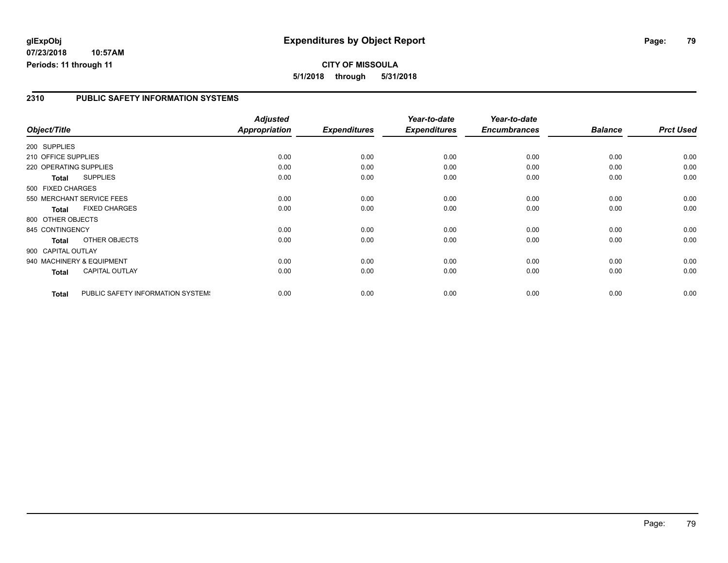**CITY OF MISSOULA 5/1/2018 through 5/31/2018**

#### **2310 PUBLIC SAFETY INFORMATION SYSTEMS**

|                                                   | <b>Adjusted</b>      |                     | Year-to-date        | Year-to-date        |                |                  |
|---------------------------------------------------|----------------------|---------------------|---------------------|---------------------|----------------|------------------|
| Object/Title                                      | <b>Appropriation</b> | <b>Expenditures</b> | <b>Expenditures</b> | <b>Encumbrances</b> | <b>Balance</b> | <b>Prct Used</b> |
| 200 SUPPLIES                                      |                      |                     |                     |                     |                |                  |
| 210 OFFICE SUPPLIES                               | 0.00                 | 0.00                | 0.00                | 0.00                | 0.00           | 0.00             |
| 220 OPERATING SUPPLIES                            | 0.00                 | 0.00                | 0.00                | 0.00                | 0.00           | 0.00             |
| <b>SUPPLIES</b><br>Total                          | 0.00                 | 0.00                | 0.00                | 0.00                | 0.00           | 0.00             |
| 500 FIXED CHARGES                                 |                      |                     |                     |                     |                |                  |
| 550 MERCHANT SERVICE FEES                         | 0.00                 | 0.00                | 0.00                | 0.00                | 0.00           | 0.00             |
| <b>FIXED CHARGES</b><br><b>Total</b>              | 0.00                 | 0.00                | 0.00                | 0.00                | 0.00           | 0.00             |
| 800 OTHER OBJECTS                                 |                      |                     |                     |                     |                |                  |
| 845 CONTINGENCY                                   | 0.00                 | 0.00                | 0.00                | 0.00                | 0.00           | 0.00             |
| OTHER OBJECTS<br><b>Total</b>                     | 0.00                 | 0.00                | 0.00                | 0.00                | 0.00           | 0.00             |
| 900 CAPITAL OUTLAY                                |                      |                     |                     |                     |                |                  |
| 940 MACHINERY & EQUIPMENT                         | 0.00                 | 0.00                | 0.00                | 0.00                | 0.00           | 0.00             |
| CAPITAL OUTLAY<br>Total                           | 0.00                 | 0.00                | 0.00                | 0.00                | 0.00           | 0.00             |
| PUBLIC SAFETY INFORMATION SYSTEM!<br><b>Total</b> | 0.00                 | 0.00                | 0.00                | 0.00                | 0.00           | 0.00             |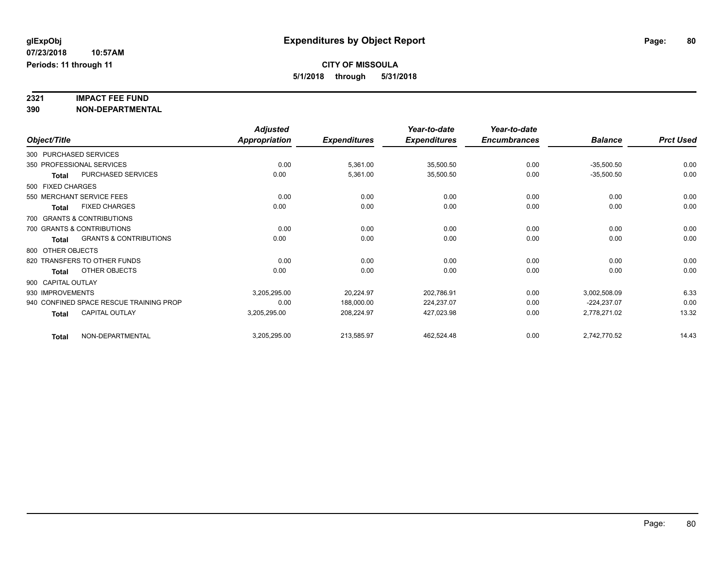# **2321 IMPACT FEE FUND**

|                    |                                         | <b>Adjusted</b>      |                     | Year-to-date        | Year-to-date        |                |                  |
|--------------------|-----------------------------------------|----------------------|---------------------|---------------------|---------------------|----------------|------------------|
| Object/Title       |                                         | <b>Appropriation</b> | <b>Expenditures</b> | <b>Expenditures</b> | <b>Encumbrances</b> | <b>Balance</b> | <b>Prct Used</b> |
|                    | 300 PURCHASED SERVICES                  |                      |                     |                     |                     |                |                  |
|                    | 350 PROFESSIONAL SERVICES               | 0.00                 | 5,361.00            | 35,500.50           | 0.00                | $-35,500.50$   | 0.00             |
| Total              | PURCHASED SERVICES                      | 0.00                 | 5,361.00            | 35,500.50           | 0.00                | $-35,500.50$   | 0.00             |
| 500 FIXED CHARGES  |                                         |                      |                     |                     |                     |                |                  |
|                    | 550 MERCHANT SERVICE FEES               | 0.00                 | 0.00                | 0.00                | 0.00                | 0.00           | 0.00             |
| <b>Total</b>       | <b>FIXED CHARGES</b>                    | 0.00                 | 0.00                | 0.00                | 0.00                | 0.00           | 0.00             |
|                    | 700 GRANTS & CONTRIBUTIONS              |                      |                     |                     |                     |                |                  |
|                    | 700 GRANTS & CONTRIBUTIONS              | 0.00                 | 0.00                | 0.00                | 0.00                | 0.00           | 0.00             |
| Total              | <b>GRANTS &amp; CONTRIBUTIONS</b>       | 0.00                 | 0.00                | 0.00                | 0.00                | 0.00           | 0.00             |
| 800 OTHER OBJECTS  |                                         |                      |                     |                     |                     |                |                  |
|                    | 820 TRANSFERS TO OTHER FUNDS            | 0.00                 | 0.00                | 0.00                | 0.00                | 0.00           | 0.00             |
| Total              | OTHER OBJECTS                           | 0.00                 | 0.00                | 0.00                | 0.00                | 0.00           | 0.00             |
| 900 CAPITAL OUTLAY |                                         |                      |                     |                     |                     |                |                  |
| 930 IMPROVEMENTS   |                                         | 3,205,295.00         | 20,224.97           | 202,786.91          | 0.00                | 3,002,508.09   | 6.33             |
|                    | 940 CONFINED SPACE RESCUE TRAINING PROP | 0.00                 | 188,000.00          | 224,237.07          | 0.00                | $-224,237.07$  | 0.00             |
| Total              | <b>CAPITAL OUTLAY</b>                   | 3,205,295.00         | 208,224.97          | 427,023.98          | 0.00                | 2,778,271.02   | 13.32            |
| <b>Total</b>       | NON-DEPARTMENTAL                        | 3,205,295.00         | 213,585.97          | 462,524.48          | 0.00                | 2,742,770.52   | 14.43            |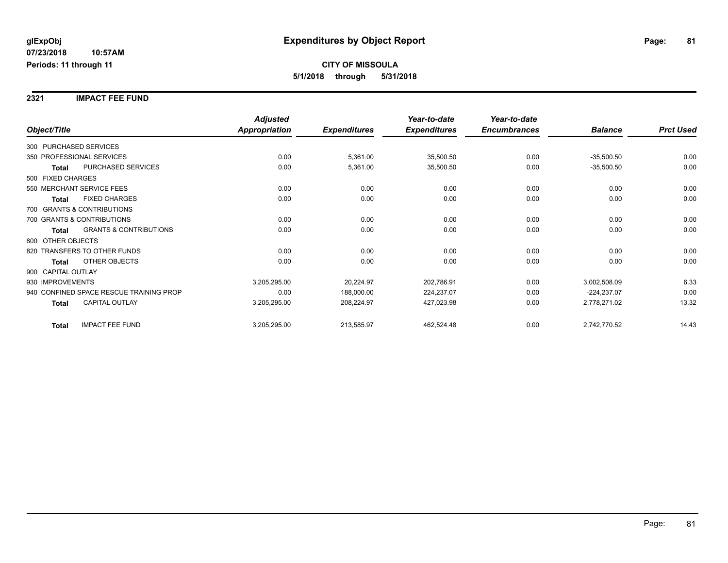**2321 IMPACT FEE FUND**

|                                                   | <b>Adjusted</b>      |                     | Year-to-date        | Year-to-date        |                |                  |
|---------------------------------------------------|----------------------|---------------------|---------------------|---------------------|----------------|------------------|
| Object/Title                                      | <b>Appropriation</b> | <b>Expenditures</b> | <b>Expenditures</b> | <b>Encumbrances</b> | <b>Balance</b> | <b>Prct Used</b> |
| 300 PURCHASED SERVICES                            |                      |                     |                     |                     |                |                  |
| 350 PROFESSIONAL SERVICES                         | 0.00                 | 5,361.00            | 35,500.50           | 0.00                | $-35,500.50$   | 0.00             |
| PURCHASED SERVICES<br>Total                       | 0.00                 | 5,361.00            | 35,500.50           | 0.00                | $-35,500.50$   | 0.00             |
| 500 FIXED CHARGES                                 |                      |                     |                     |                     |                |                  |
| 550 MERCHANT SERVICE FEES                         | 0.00                 | 0.00                | 0.00                | 0.00                | 0.00           | 0.00             |
| <b>FIXED CHARGES</b><br>Total                     | 0.00                 | 0.00                | 0.00                | 0.00                | 0.00           | 0.00             |
| 700 GRANTS & CONTRIBUTIONS                        |                      |                     |                     |                     |                |                  |
| 700 GRANTS & CONTRIBUTIONS                        | 0.00                 | 0.00                | 0.00                | 0.00                | 0.00           | 0.00             |
| <b>GRANTS &amp; CONTRIBUTIONS</b><br><b>Total</b> | 0.00                 | 0.00                | 0.00                | 0.00                | 0.00           | 0.00             |
| 800 OTHER OBJECTS                                 |                      |                     |                     |                     |                |                  |
| 820 TRANSFERS TO OTHER FUNDS                      | 0.00                 | 0.00                | 0.00                | 0.00                | 0.00           | 0.00             |
| <b>OTHER OBJECTS</b><br><b>Total</b>              | 0.00                 | 0.00                | 0.00                | 0.00                | 0.00           | 0.00             |
| 900 CAPITAL OUTLAY                                |                      |                     |                     |                     |                |                  |
| 930 IMPROVEMENTS                                  | 3,205,295.00         | 20,224.97           | 202,786.91          | 0.00                | 3,002,508.09   | 6.33             |
| 940 CONFINED SPACE RESCUE TRAINING PROP           | 0.00                 | 188,000.00          | 224,237.07          | 0.00                | $-224,237.07$  | 0.00             |
| <b>CAPITAL OUTLAY</b><br><b>Total</b>             | 3,205,295.00         | 208,224.97          | 427,023.98          | 0.00                | 2,778,271.02   | 13.32            |
| <b>IMPACT FEE FUND</b><br><b>Total</b>            | 3,205,295.00         | 213,585.97          | 462,524.48          | 0.00                | 2,742,770.52   | 14.43            |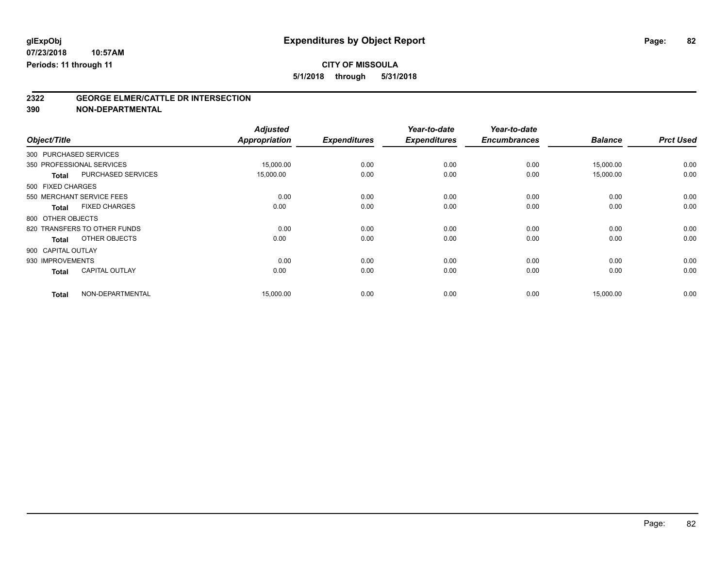**2322 GEORGE ELMER/CATTLE DR INTERSECTION**

|                    |                              | <b>Adjusted</b>      |                     | Year-to-date        | Year-to-date        |                |                  |
|--------------------|------------------------------|----------------------|---------------------|---------------------|---------------------|----------------|------------------|
| Object/Title       |                              | <b>Appropriation</b> | <b>Expenditures</b> | <b>Expenditures</b> | <b>Encumbrances</b> | <b>Balance</b> | <b>Prct Used</b> |
|                    | 300 PURCHASED SERVICES       |                      |                     |                     |                     |                |                  |
|                    | 350 PROFESSIONAL SERVICES    | 15,000.00            | 0.00                | 0.00                | 0.00                | 15,000.00      | 0.00             |
| <b>Total</b>       | PURCHASED SERVICES           | 15,000.00            | 0.00                | 0.00                | 0.00                | 15,000.00      | 0.00             |
| 500 FIXED CHARGES  |                              |                      |                     |                     |                     |                |                  |
|                    | 550 MERCHANT SERVICE FEES    | 0.00                 | 0.00                | 0.00                | 0.00                | 0.00           | 0.00             |
| <b>Total</b>       | <b>FIXED CHARGES</b>         | 0.00                 | 0.00                | 0.00                | 0.00                | 0.00           | 0.00             |
| 800 OTHER OBJECTS  |                              |                      |                     |                     |                     |                |                  |
|                    | 820 TRANSFERS TO OTHER FUNDS | 0.00                 | 0.00                | 0.00                | 0.00                | 0.00           | 0.00             |
| <b>Total</b>       | OTHER OBJECTS                | 0.00                 | 0.00                | 0.00                | 0.00                | 0.00           | 0.00             |
| 900 CAPITAL OUTLAY |                              |                      |                     |                     |                     |                |                  |
| 930 IMPROVEMENTS   |                              | 0.00                 | 0.00                | 0.00                | 0.00                | 0.00           | 0.00             |
| <b>Total</b>       | <b>CAPITAL OUTLAY</b>        | 0.00                 | 0.00                | 0.00                | 0.00                | 0.00           | 0.00             |
| <b>Total</b>       | NON-DEPARTMENTAL             | 15,000.00            | 0.00                | 0.00                | 0.00                | 15,000.00      | 0.00             |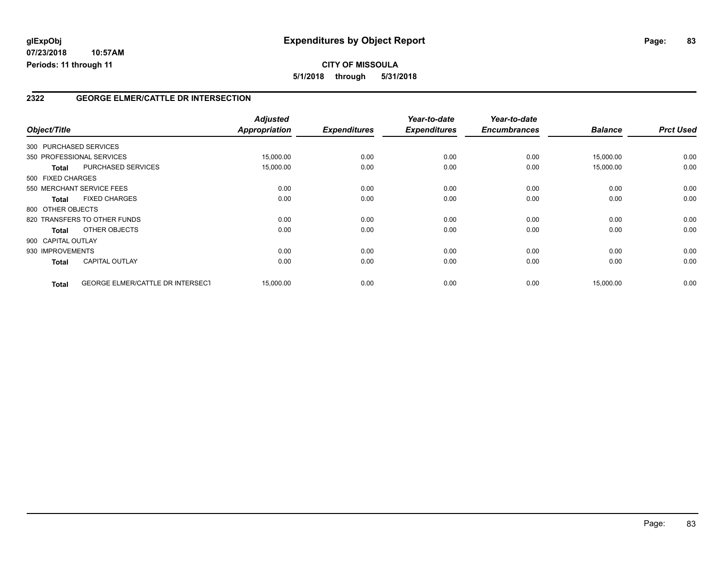### **2322 GEORGE ELMER/CATTLE DR INTERSECTION**

|                    |                                         | <b>Adjusted</b>      |                     | Year-to-date        | Year-to-date        |                |                  |
|--------------------|-----------------------------------------|----------------------|---------------------|---------------------|---------------------|----------------|------------------|
| Object/Title       |                                         | <b>Appropriation</b> | <b>Expenditures</b> | <b>Expenditures</b> | <b>Encumbrances</b> | <b>Balance</b> | <b>Prct Used</b> |
|                    | 300 PURCHASED SERVICES                  |                      |                     |                     |                     |                |                  |
|                    | 350 PROFESSIONAL SERVICES               | 15,000.00            | 0.00                | 0.00                | 0.00                | 15,000.00      | 0.00             |
| <b>Total</b>       | <b>PURCHASED SERVICES</b>               | 15,000.00            | 0.00                | 0.00                | 0.00                | 15,000.00      | 0.00             |
| 500 FIXED CHARGES  |                                         |                      |                     |                     |                     |                |                  |
|                    | 550 MERCHANT SERVICE FEES               | 0.00                 | 0.00                | 0.00                | 0.00                | 0.00           | 0.00             |
| <b>Total</b>       | <b>FIXED CHARGES</b>                    | 0.00                 | 0.00                | 0.00                | 0.00                | 0.00           | 0.00             |
| 800 OTHER OBJECTS  |                                         |                      |                     |                     |                     |                |                  |
|                    | 820 TRANSFERS TO OTHER FUNDS            | 0.00                 | 0.00                | 0.00                | 0.00                | 0.00           | 0.00             |
| <b>Total</b>       | OTHER OBJECTS                           | 0.00                 | 0.00                | 0.00                | 0.00                | 0.00           | 0.00             |
| 900 CAPITAL OUTLAY |                                         |                      |                     |                     |                     |                |                  |
| 930 IMPROVEMENTS   |                                         | 0.00                 | 0.00                | 0.00                | 0.00                | 0.00           | 0.00             |
| <b>Total</b>       | <b>CAPITAL OUTLAY</b>                   | 0.00                 | 0.00                | 0.00                | 0.00                | 0.00           | 0.00             |
| <b>Total</b>       | <b>GEORGE ELMER/CATTLE DR INTERSECT</b> | 15,000.00            | 0.00                | 0.00                | 0.00                | 15,000.00      | 0.00             |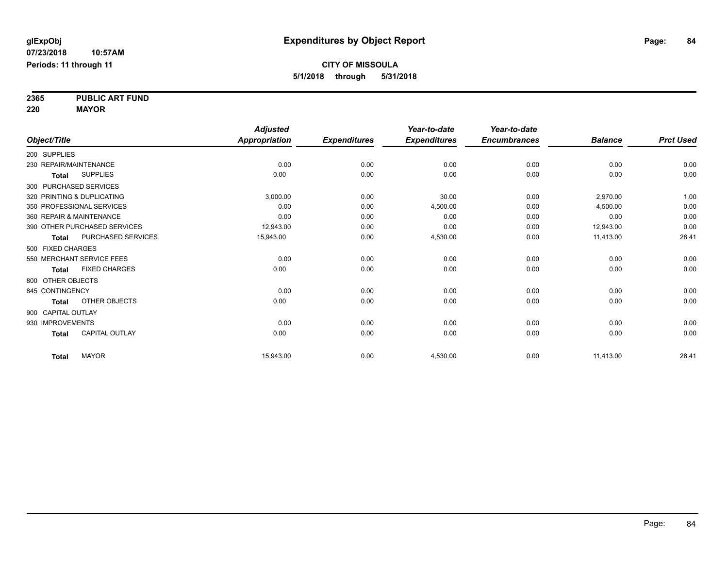**2365 PUBLIC ART FUND 220 MAYOR**

|                          |                              | <b>Adjusted</b>      |                     | Year-to-date        | Year-to-date        |                |                  |
|--------------------------|------------------------------|----------------------|---------------------|---------------------|---------------------|----------------|------------------|
| Object/Title             |                              | <b>Appropriation</b> | <b>Expenditures</b> | <b>Expenditures</b> | <b>Encumbrances</b> | <b>Balance</b> | <b>Prct Used</b> |
| 200 SUPPLIES             |                              |                      |                     |                     |                     |                |                  |
| 230 REPAIR/MAINTENANCE   |                              | 0.00                 | 0.00                | 0.00                | 0.00                | 0.00           | 0.00             |
| <b>Total</b>             | <b>SUPPLIES</b>              | 0.00                 | 0.00                | 0.00                | 0.00                | 0.00           | 0.00             |
| 300 PURCHASED SERVICES   |                              |                      |                     |                     |                     |                |                  |
|                          | 320 PRINTING & DUPLICATING   | 3,000.00             | 0.00                | 30.00               | 0.00                | 2,970.00       | 1.00             |
|                          | 350 PROFESSIONAL SERVICES    | 0.00                 | 0.00                | 4,500.00            | 0.00                | $-4,500.00$    | 0.00             |
| 360 REPAIR & MAINTENANCE |                              | 0.00                 | 0.00                | 0.00                | 0.00                | 0.00           | 0.00             |
|                          | 390 OTHER PURCHASED SERVICES | 12,943.00            | 0.00                | 0.00                | 0.00                | 12,943.00      | 0.00             |
| <b>Total</b>             | PURCHASED SERVICES           | 15,943.00            | 0.00                | 4,530.00            | 0.00                | 11,413.00      | 28.41            |
| 500 FIXED CHARGES        |                              |                      |                     |                     |                     |                |                  |
|                          | 550 MERCHANT SERVICE FEES    | 0.00                 | 0.00                | 0.00                | 0.00                | 0.00           | 0.00             |
| <b>Total</b>             | <b>FIXED CHARGES</b>         | 0.00                 | 0.00                | 0.00                | 0.00                | 0.00           | 0.00             |
| 800 OTHER OBJECTS        |                              |                      |                     |                     |                     |                |                  |
| 845 CONTINGENCY          |                              | 0.00                 | 0.00                | 0.00                | 0.00                | 0.00           | 0.00             |
| Total                    | OTHER OBJECTS                | 0.00                 | 0.00                | 0.00                | 0.00                | 0.00           | 0.00             |
| 900 CAPITAL OUTLAY       |                              |                      |                     |                     |                     |                |                  |
| 930 IMPROVEMENTS         |                              | 0.00                 | 0.00                | 0.00                | 0.00                | 0.00           | 0.00             |
| <b>Total</b>             | <b>CAPITAL OUTLAY</b>        | 0.00                 | 0.00                | 0.00                | 0.00                | 0.00           | 0.00             |
| <b>Total</b>             | <b>MAYOR</b>                 | 15,943.00            | 0.00                | 4,530.00            | 0.00                | 11,413.00      | 28.41            |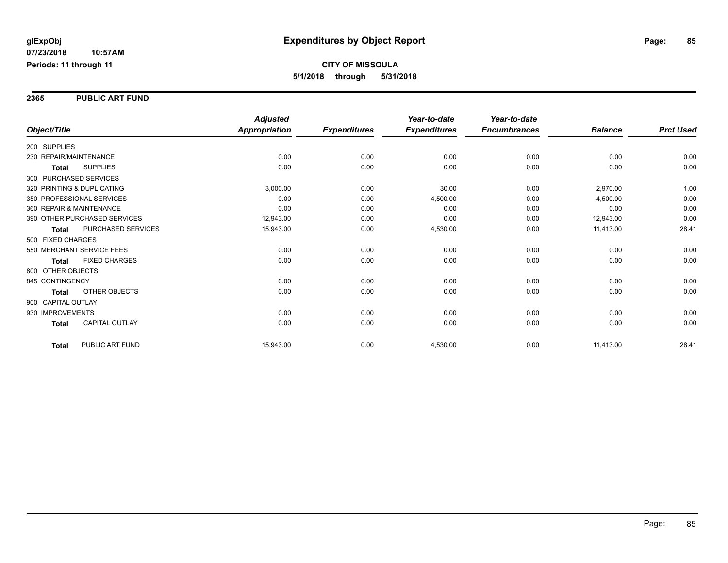#### **2365 PUBLIC ART FUND**

|                                       | <b>Adjusted</b>      |                     | Year-to-date        | Year-to-date        |                |                  |
|---------------------------------------|----------------------|---------------------|---------------------|---------------------|----------------|------------------|
| Object/Title                          | <b>Appropriation</b> | <b>Expenditures</b> | <b>Expenditures</b> | <b>Encumbrances</b> | <b>Balance</b> | <b>Prct Used</b> |
| 200 SUPPLIES                          |                      |                     |                     |                     |                |                  |
| 230 REPAIR/MAINTENANCE                | 0.00                 | 0.00                | 0.00                | 0.00                | 0.00           | 0.00             |
| <b>SUPPLIES</b><br><b>Total</b>       | 0.00                 | 0.00                | 0.00                | 0.00                | 0.00           | 0.00             |
| 300 PURCHASED SERVICES                |                      |                     |                     |                     |                |                  |
| 320 PRINTING & DUPLICATING            | 3,000.00             | 0.00                | 30.00               | 0.00                | 2,970.00       | 1.00             |
| 350 PROFESSIONAL SERVICES             | 0.00                 | 0.00                | 4,500.00            | 0.00                | $-4,500.00$    | 0.00             |
| 360 REPAIR & MAINTENANCE              | 0.00                 | 0.00                | 0.00                | 0.00                | 0.00           | 0.00             |
| 390 OTHER PURCHASED SERVICES          | 12,943.00            | 0.00                | 0.00                | 0.00                | 12,943.00      | 0.00             |
| PURCHASED SERVICES<br><b>Total</b>    | 15,943.00            | 0.00                | 4,530.00            | 0.00                | 11,413.00      | 28.41            |
| 500 FIXED CHARGES                     |                      |                     |                     |                     |                |                  |
| 550 MERCHANT SERVICE FEES             | 0.00                 | 0.00                | 0.00                | 0.00                | 0.00           | 0.00             |
| <b>FIXED CHARGES</b><br><b>Total</b>  | 0.00                 | 0.00                | 0.00                | 0.00                | 0.00           | 0.00             |
| 800 OTHER OBJECTS                     |                      |                     |                     |                     |                |                  |
| 845 CONTINGENCY                       | 0.00                 | 0.00                | 0.00                | 0.00                | 0.00           | 0.00             |
| <b>OTHER OBJECTS</b><br><b>Total</b>  | 0.00                 | 0.00                | 0.00                | 0.00                | 0.00           | 0.00             |
| 900 CAPITAL OUTLAY                    |                      |                     |                     |                     |                |                  |
| 930 IMPROVEMENTS                      | 0.00                 | 0.00                | 0.00                | 0.00                | 0.00           | 0.00             |
| <b>CAPITAL OUTLAY</b><br><b>Total</b> | 0.00                 | 0.00                | 0.00                | 0.00                | 0.00           | 0.00             |
| PUBLIC ART FUND<br><b>Total</b>       | 15,943.00            | 0.00                | 4,530.00            | 0.00                | 11,413.00      | 28.41            |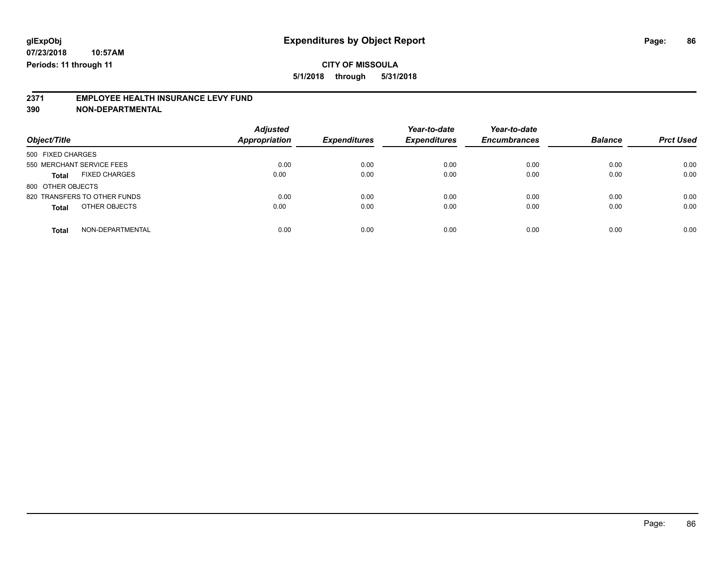# **2371 EMPLOYEE HEALTH INSURANCE LEVY FUND**

| Object/Title                         | <b>Adjusted</b><br><b>Appropriation</b> | <b>Expenditures</b> | Year-to-date<br><b>Expenditures</b> | Year-to-date<br><b>Encumbrances</b> | <b>Balance</b> | <b>Prct Used</b> |
|--------------------------------------|-----------------------------------------|---------------------|-------------------------------------|-------------------------------------|----------------|------------------|
| 500 FIXED CHARGES                    |                                         |                     |                                     |                                     |                |                  |
| 550 MERCHANT SERVICE FEES            | 0.00                                    | 0.00                | 0.00                                | 0.00                                | 0.00           | 0.00             |
| <b>FIXED CHARGES</b><br><b>Total</b> | 0.00                                    | 0.00                | 0.00                                | 0.00                                | 0.00           | 0.00             |
| 800 OTHER OBJECTS                    |                                         |                     |                                     |                                     |                |                  |
| 820 TRANSFERS TO OTHER FUNDS         | 0.00                                    | 0.00                | 0.00                                | 0.00                                | 0.00           | 0.00             |
| OTHER OBJECTS<br><b>Total</b>        | 0.00                                    | 0.00                | 0.00                                | 0.00                                | 0.00           | 0.00             |
| NON-DEPARTMENTAL<br>Total            | 0.00                                    | 0.00                | 0.00                                | 0.00                                | 0.00           | 0.00             |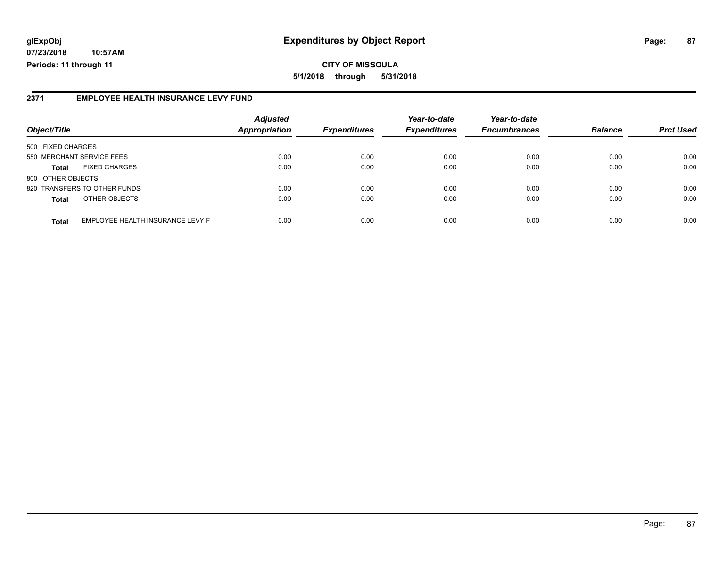**CITY OF MISSOULA 5/1/2018 through 5/31/2018**

#### **2371 EMPLOYEE HEALTH INSURANCE LEVY FUND**

| Object/Title                                     | <b>Adjusted</b><br><b>Appropriation</b> | <b>Expenditures</b> | Year-to-date<br><b>Expenditures</b> | Year-to-date<br><b>Encumbrances</b> | <b>Balance</b> | <b>Prct Used</b> |
|--------------------------------------------------|-----------------------------------------|---------------------|-------------------------------------|-------------------------------------|----------------|------------------|
|                                                  |                                         |                     |                                     |                                     |                |                  |
| 500 FIXED CHARGES                                |                                         |                     |                                     |                                     |                |                  |
| 550 MERCHANT SERVICE FEES                        | 0.00                                    | 0.00                | 0.00                                | 0.00                                | 0.00           | 0.00             |
| <b>FIXED CHARGES</b><br><b>Total</b>             | 0.00                                    | 0.00                | 0.00                                | 0.00                                | 0.00           | 0.00             |
| 800 OTHER OBJECTS                                |                                         |                     |                                     |                                     |                |                  |
| 820 TRANSFERS TO OTHER FUNDS                     | 0.00                                    | 0.00                | 0.00                                | 0.00                                | 0.00           | 0.00             |
| OTHER OBJECTS<br><b>Total</b>                    | 0.00                                    | 0.00                | 0.00                                | 0.00                                | 0.00           | 0.00             |
|                                                  | 0.00                                    | 0.00                |                                     | 0.00                                | 0.00           |                  |
| EMPLOYEE HEALTH INSURANCE LEVY F<br><b>Total</b> |                                         |                     | 0.00                                |                                     |                | 0.00             |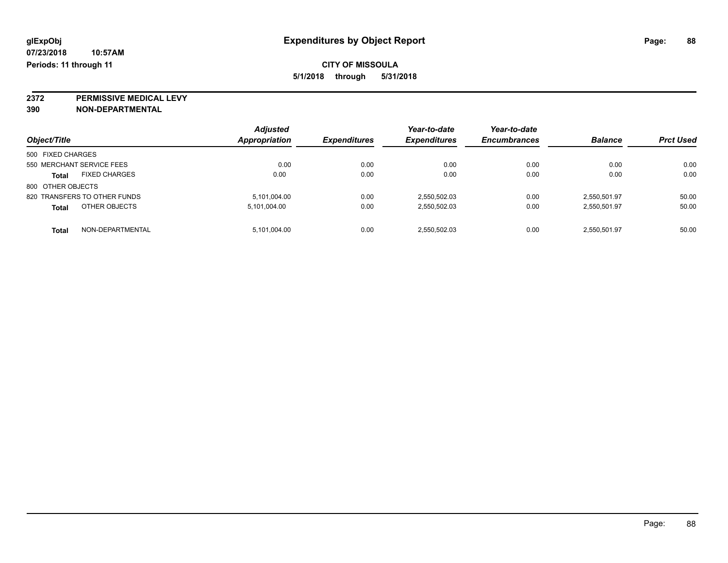**2372 PERMISSIVE MEDICAL LEVY**

| Object/Title                         | <b>Adjusted</b><br>Appropriation | <b>Expenditures</b> | Year-to-date<br><b>Expenditures</b> | Year-to-date<br><b>Encumbrances</b> | <b>Balance</b> | <b>Prct Used</b> |
|--------------------------------------|----------------------------------|---------------------|-------------------------------------|-------------------------------------|----------------|------------------|
| 500 FIXED CHARGES                    |                                  |                     |                                     |                                     |                |                  |
| 550 MERCHANT SERVICE FEES            | 0.00                             | 0.00                | 0.00                                | 0.00                                | 0.00           | 0.00             |
| <b>FIXED CHARGES</b><br><b>Total</b> | 0.00                             | 0.00                | 0.00                                | 0.00                                | 0.00           | 0.00             |
| 800 OTHER OBJECTS                    |                                  |                     |                                     |                                     |                |                  |
| 820 TRANSFERS TO OTHER FUNDS         | 5,101,004.00                     | 0.00                | 2,550,502.03                        | 0.00                                | 2.550.501.97   | 50.00            |
| OTHER OBJECTS<br><b>Total</b>        | 5,101,004.00                     | 0.00                | 2,550,502.03                        | 0.00                                | 2,550,501.97   | 50.00            |
| NON-DEPARTMENTAL<br><b>Total</b>     | 5,101,004.00                     | 0.00                | 2,550,502.03                        | 0.00                                | 2,550,501.97   | 50.00            |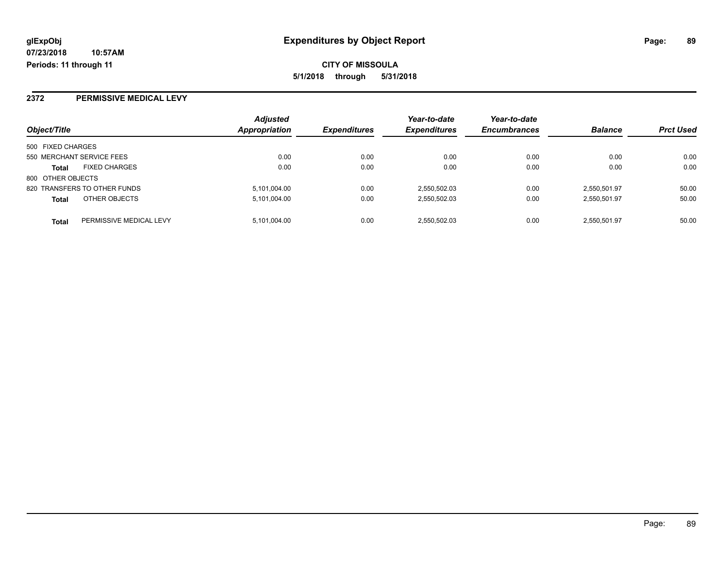### **2372 PERMISSIVE MEDICAL LEVY**

|                              |                         | <b>Adjusted</b><br><b>Appropriation</b> | <b>Expenditures</b> | Year-to-date<br><b>Expenditures</b> | Year-to-date     | <b>Balance</b> |       |
|------------------------------|-------------------------|-----------------------------------------|---------------------|-------------------------------------|------------------|----------------|-------|
| Object/Title                 | <b>Encumbrances</b>     |                                         |                     |                                     | <b>Prct Used</b> |                |       |
| 500 FIXED CHARGES            |                         |                                         |                     |                                     |                  |                |       |
| 550 MERCHANT SERVICE FEES    |                         | 0.00                                    | 0.00                | 0.00                                | 0.00             | 0.00           | 0.00  |
| <b>Total</b>                 | <b>FIXED CHARGES</b>    | 0.00                                    | 0.00                | 0.00                                | 0.00             | 0.00           | 0.00  |
| 800 OTHER OBJECTS            |                         |                                         |                     |                                     |                  |                |       |
| 820 TRANSFERS TO OTHER FUNDS |                         | 5,101,004.00                            | 0.00                | 2,550,502.03                        | 0.00             | 2,550,501.97   | 50.00 |
| <b>Total</b>                 | OTHER OBJECTS           | 5,101,004.00                            | 0.00                | 2,550,502.03                        | 0.00             | 2,550,501.97   | 50.00 |
| <b>Total</b>                 | PERMISSIVE MEDICAL LEVY | 5,101,004.00                            | 0.00                | 2,550,502.03                        | 0.00             | 2,550,501.97   | 50.00 |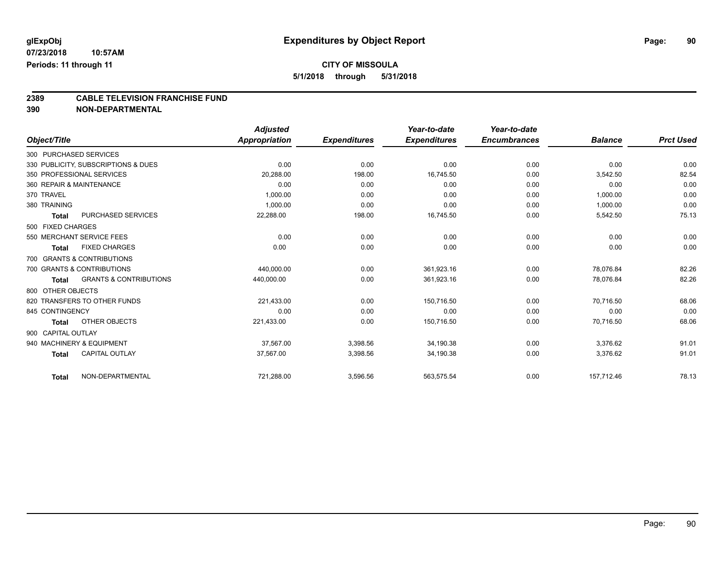# **2389 CABLE TELEVISION FRANCHISE FUND**

|                        |                                     | <b>Adjusted</b>      |                     | Year-to-date        | Year-to-date        |                |                  |
|------------------------|-------------------------------------|----------------------|---------------------|---------------------|---------------------|----------------|------------------|
| Object/Title           |                                     | <b>Appropriation</b> | <b>Expenditures</b> | <b>Expenditures</b> | <b>Encumbrances</b> | <b>Balance</b> | <b>Prct Used</b> |
| 300 PURCHASED SERVICES |                                     |                      |                     |                     |                     |                |                  |
|                        | 330 PUBLICITY, SUBSCRIPTIONS & DUES | 0.00                 | 0.00                | 0.00                | 0.00                | 0.00           | 0.00             |
|                        | 350 PROFESSIONAL SERVICES           | 20,288.00            | 198.00              | 16,745.50           | 0.00                | 3,542.50       | 82.54            |
|                        | 360 REPAIR & MAINTENANCE            | 0.00                 | 0.00                | 0.00                | 0.00                | 0.00           | 0.00             |
| 370 TRAVEL             |                                     | 1,000.00             | 0.00                | 0.00                | 0.00                | 1,000.00       | 0.00             |
| 380 TRAINING           |                                     | 1,000.00             | 0.00                | 0.00                | 0.00                | 1,000.00       | 0.00             |
| <b>Total</b>           | <b>PURCHASED SERVICES</b>           | 22,288.00            | 198.00              | 16,745.50           | 0.00                | 5,542.50       | 75.13            |
| 500 FIXED CHARGES      |                                     |                      |                     |                     |                     |                |                  |
|                        | 550 MERCHANT SERVICE FEES           | 0.00                 | 0.00                | 0.00                | 0.00                | 0.00           | 0.00             |
| <b>Total</b>           | <b>FIXED CHARGES</b>                | 0.00                 | 0.00                | 0.00                | 0.00                | 0.00           | 0.00             |
|                        | 700 GRANTS & CONTRIBUTIONS          |                      |                     |                     |                     |                |                  |
|                        | 700 GRANTS & CONTRIBUTIONS          | 440,000.00           | 0.00                | 361,923.16          | 0.00                | 78.076.84      | 82.26            |
| <b>Total</b>           | <b>GRANTS &amp; CONTRIBUTIONS</b>   | 440,000.00           | 0.00                | 361,923.16          | 0.00                | 78,076.84      | 82.26            |
| 800 OTHER OBJECTS      |                                     |                      |                     |                     |                     |                |                  |
|                        | 820 TRANSFERS TO OTHER FUNDS        | 221,433.00           | 0.00                | 150,716.50          | 0.00                | 70,716.50      | 68.06            |
| 845 CONTINGENCY        |                                     | 0.00                 | 0.00                | 0.00                | 0.00                | 0.00           | 0.00             |
| <b>Total</b>           | OTHER OBJECTS                       | 221,433.00           | 0.00                | 150,716.50          | 0.00                | 70,716.50      | 68.06            |
| 900 CAPITAL OUTLAY     |                                     |                      |                     |                     |                     |                |                  |
|                        | 940 MACHINERY & EQUIPMENT           | 37,567.00            | 3,398.56            | 34,190.38           | 0.00                | 3,376.62       | 91.01            |
| <b>Total</b>           | <b>CAPITAL OUTLAY</b>               | 37,567.00            | 3,398.56            | 34,190.38           | 0.00                | 3,376.62       | 91.01            |
| <b>Total</b>           | NON-DEPARTMENTAL                    | 721,288.00           | 3,596.56            | 563,575.54          | 0.00                | 157,712.46     | 78.13            |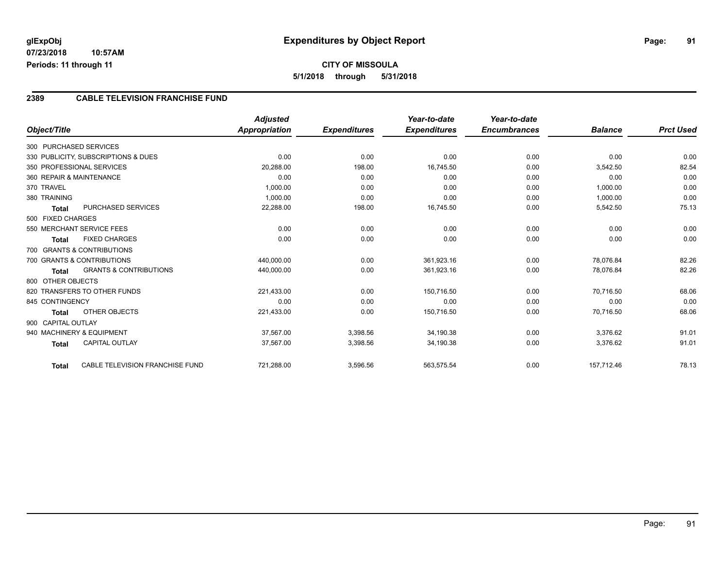# **CITY OF MISSOULA 5/1/2018 through 5/31/2018**

### **2389 CABLE TELEVISION FRANCHISE FUND**

|                        |                                     | <b>Adjusted</b> |                     | Year-to-date        | Year-to-date        |                |                  |
|------------------------|-------------------------------------|-----------------|---------------------|---------------------|---------------------|----------------|------------------|
| Object/Title           |                                     | Appropriation   | <b>Expenditures</b> | <b>Expenditures</b> | <b>Encumbrances</b> | <b>Balance</b> | <b>Prct Used</b> |
| 300 PURCHASED SERVICES |                                     |                 |                     |                     |                     |                |                  |
|                        | 330 PUBLICITY, SUBSCRIPTIONS & DUES | 0.00            | 0.00                | 0.00                | 0.00                | 0.00           | 0.00             |
|                        | 350 PROFESSIONAL SERVICES           | 20,288.00       | 198.00              | 16,745.50           | 0.00                | 3,542.50       | 82.54            |
|                        | 360 REPAIR & MAINTENANCE            | 0.00            | 0.00                | 0.00                | 0.00                | 0.00           | 0.00             |
| 370 TRAVEL             |                                     | 1,000.00        | 0.00                | 0.00                | 0.00                | 1,000.00       | 0.00             |
| 380 TRAINING           |                                     | 1,000.00        | 0.00                | 0.00                | 0.00                | 1,000.00       | 0.00             |
| Total                  | <b>PURCHASED SERVICES</b>           | 22,288.00       | 198.00              | 16,745.50           | 0.00                | 5,542.50       | 75.13            |
| 500 FIXED CHARGES      |                                     |                 |                     |                     |                     |                |                  |
|                        | 550 MERCHANT SERVICE FEES           | 0.00            | 0.00                | 0.00                | 0.00                | 0.00           | 0.00             |
| Total                  | <b>FIXED CHARGES</b>                | 0.00            | 0.00                | 0.00                | 0.00                | 0.00           | 0.00             |
|                        | 700 GRANTS & CONTRIBUTIONS          |                 |                     |                     |                     |                |                  |
|                        | 700 GRANTS & CONTRIBUTIONS          | 440,000.00      | 0.00                | 361,923.16          | 0.00                | 78.076.84      | 82.26            |
| Total                  | <b>GRANTS &amp; CONTRIBUTIONS</b>   | 440,000.00      | 0.00                | 361,923.16          | 0.00                | 78,076.84      | 82.26            |
| 800 OTHER OBJECTS      |                                     |                 |                     |                     |                     |                |                  |
|                        | 820 TRANSFERS TO OTHER FUNDS        | 221,433.00      | 0.00                | 150,716.50          | 0.00                | 70,716.50      | 68.06            |
| 845 CONTINGENCY        |                                     | 0.00            | 0.00                | 0.00                | 0.00                | 0.00           | 0.00             |
| Total                  | <b>OTHER OBJECTS</b>                | 221,433.00      | 0.00                | 150,716.50          | 0.00                | 70,716.50      | 68.06            |
| 900 CAPITAL OUTLAY     |                                     |                 |                     |                     |                     |                |                  |
|                        | 940 MACHINERY & EQUIPMENT           | 37,567.00       | 3,398.56            | 34,190.38           | 0.00                | 3,376.62       | 91.01            |
| <b>Total</b>           | <b>CAPITAL OUTLAY</b>               | 37,567.00       | 3,398.56            | 34,190.38           | 0.00                | 3,376.62       | 91.01            |
| <b>Total</b>           | CABLE TELEVISION FRANCHISE FUND     | 721,288.00      | 3,596.56            | 563,575.54          | 0.00                | 157,712.46     | 78.13            |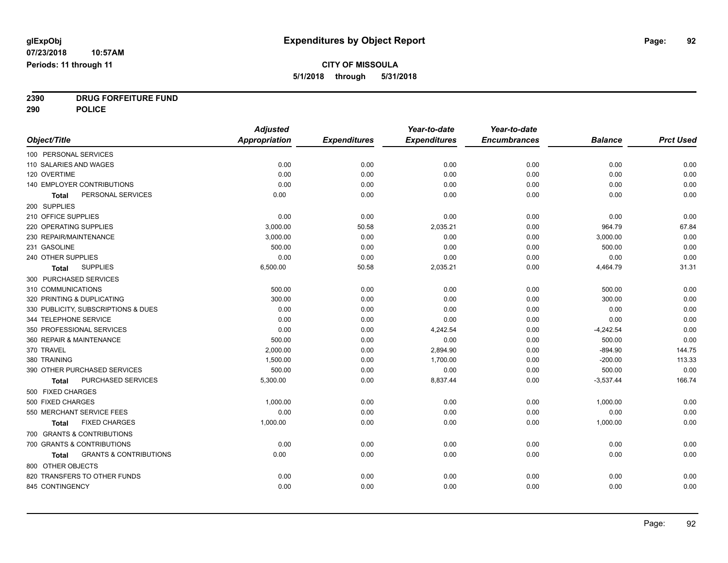**2390 DRUG FORFEITURE FUND**

**290 POLICE**

|                                                   | <b>Adjusted</b>      |                     | Year-to-date        | Year-to-date        |                |                  |
|---------------------------------------------------|----------------------|---------------------|---------------------|---------------------|----------------|------------------|
| Object/Title                                      | <b>Appropriation</b> | <b>Expenditures</b> | <b>Expenditures</b> | <b>Encumbrances</b> | <b>Balance</b> | <b>Prct Used</b> |
| 100 PERSONAL SERVICES                             |                      |                     |                     |                     |                |                  |
| 110 SALARIES AND WAGES                            | 0.00                 | 0.00                | 0.00                | 0.00                | 0.00           | 0.00             |
| 120 OVERTIME                                      | 0.00                 | 0.00                | 0.00                | 0.00                | 0.00           | 0.00             |
| 140 EMPLOYER CONTRIBUTIONS                        | 0.00                 | 0.00                | 0.00                | 0.00                | 0.00           | 0.00             |
| PERSONAL SERVICES<br>Total                        | 0.00                 | 0.00                | 0.00                | 0.00                | 0.00           | 0.00             |
| 200 SUPPLIES                                      |                      |                     |                     |                     |                |                  |
| 210 OFFICE SUPPLIES                               | 0.00                 | 0.00                | 0.00                | 0.00                | 0.00           | 0.00             |
| 220 OPERATING SUPPLIES                            | 3,000.00             | 50.58               | 2,035.21            | 0.00                | 964.79         | 67.84            |
| 230 REPAIR/MAINTENANCE                            | 3,000.00             | 0.00                | 0.00                | 0.00                | 3,000.00       | 0.00             |
| 231 GASOLINE                                      | 500.00               | 0.00                | 0.00                | 0.00                | 500.00         | 0.00             |
| 240 OTHER SUPPLIES                                | 0.00                 | 0.00                | 0.00                | 0.00                | 0.00           | 0.00             |
| <b>SUPPLIES</b><br>Total                          | 6,500.00             | 50.58               | 2,035.21            | 0.00                | 4,464.79       | 31.31            |
| 300 PURCHASED SERVICES                            |                      |                     |                     |                     |                |                  |
| 310 COMMUNICATIONS                                | 500.00               | 0.00                | 0.00                | 0.00                | 500.00         | 0.00             |
| 320 PRINTING & DUPLICATING                        | 300.00               | 0.00                | 0.00                | 0.00                | 300.00         | 0.00             |
| 330 PUBLICITY, SUBSCRIPTIONS & DUES               | 0.00                 | 0.00                | 0.00                | 0.00                | 0.00           | 0.00             |
| 344 TELEPHONE SERVICE                             | 0.00                 | 0.00                | 0.00                | 0.00                | 0.00           | 0.00             |
| 350 PROFESSIONAL SERVICES                         | 0.00                 | 0.00                | 4,242.54            | 0.00                | $-4,242.54$    | 0.00             |
| 360 REPAIR & MAINTENANCE                          | 500.00               | 0.00                | 0.00                | 0.00                | 500.00         | 0.00             |
| 370 TRAVEL                                        | 2,000.00             | 0.00                | 2,894.90            | 0.00                | $-894.90$      | 144.75           |
| 380 TRAINING                                      | 1,500.00             | 0.00                | 1,700.00            | 0.00                | $-200.00$      | 113.33           |
| 390 OTHER PURCHASED SERVICES                      | 500.00               | 0.00                | 0.00                | 0.00                | 500.00         | 0.00             |
| PURCHASED SERVICES<br><b>Total</b>                | 5,300.00             | 0.00                | 8,837.44            | 0.00                | $-3,537.44$    | 166.74           |
| 500 FIXED CHARGES                                 |                      |                     |                     |                     |                |                  |
| 500 FIXED CHARGES                                 | 1,000.00             | 0.00                | 0.00                | 0.00                | 1,000.00       | 0.00             |
| 550 MERCHANT SERVICE FEES                         | 0.00                 | 0.00                | 0.00                | 0.00                | 0.00           | 0.00             |
| <b>FIXED CHARGES</b><br><b>Total</b>              | 1,000.00             | 0.00                | 0.00                | 0.00                | 1,000.00       | 0.00             |
| 700 GRANTS & CONTRIBUTIONS                        |                      |                     |                     |                     |                |                  |
| 700 GRANTS & CONTRIBUTIONS                        | 0.00                 | 0.00                | 0.00                | 0.00                | 0.00           | 0.00             |
| <b>GRANTS &amp; CONTRIBUTIONS</b><br><b>Total</b> | 0.00                 | 0.00                | 0.00                | 0.00                | 0.00           | 0.00             |
| 800 OTHER OBJECTS                                 |                      |                     |                     |                     |                |                  |
| 820 TRANSFERS TO OTHER FUNDS                      | 0.00                 | 0.00                | 0.00                | 0.00                | 0.00           | 0.00             |
| 845 CONTINGENCY                                   | 0.00                 | 0.00                | 0.00                | 0.00                | 0.00           | 0.00             |
|                                                   |                      |                     |                     |                     |                |                  |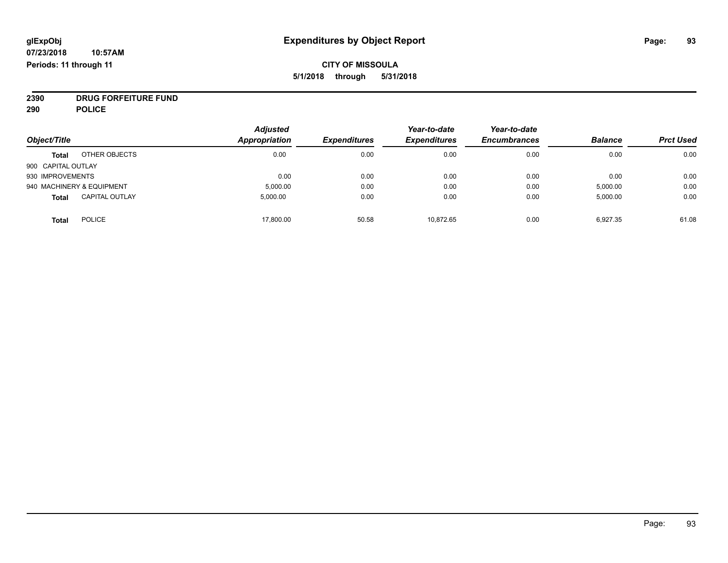# **CITY OF MISSOULA 5/1/2018 through 5/31/2018**

**2390 DRUG FORFEITURE FUND**

**290 POLICE**

|                    |                           | <b>Adjusted</b>     |                     | Year-to-date        | Year-to-date     | <b>Balance</b> |       |
|--------------------|---------------------------|---------------------|---------------------|---------------------|------------------|----------------|-------|
| Object/Title       | Appropriation             | <b>Expenditures</b> | <b>Expenditures</b> | <b>Encumbrances</b> | <b>Prct Used</b> |                |       |
| <b>Total</b>       | OTHER OBJECTS             | 0.00                | 0.00                | 0.00                | 0.00             | 0.00           | 0.00  |
| 900 CAPITAL OUTLAY |                           |                     |                     |                     |                  |                |       |
| 930 IMPROVEMENTS   |                           | 0.00                | 0.00                | 0.00                | 0.00             | 0.00           | 0.00  |
|                    | 940 MACHINERY & EQUIPMENT | 5,000.00            | 0.00                | 0.00                | 0.00             | 5,000.00       | 0.00  |
| <b>Total</b>       | <b>CAPITAL OUTLAY</b>     | 5,000.00            | 0.00                | 0.00                | 0.00             | 5,000.00       | 0.00  |
| <b>Total</b>       | <b>POLICE</b>             | 17,800.00           | 50.58               | 10.872.65           | 0.00             | 6,927.35       | 61.08 |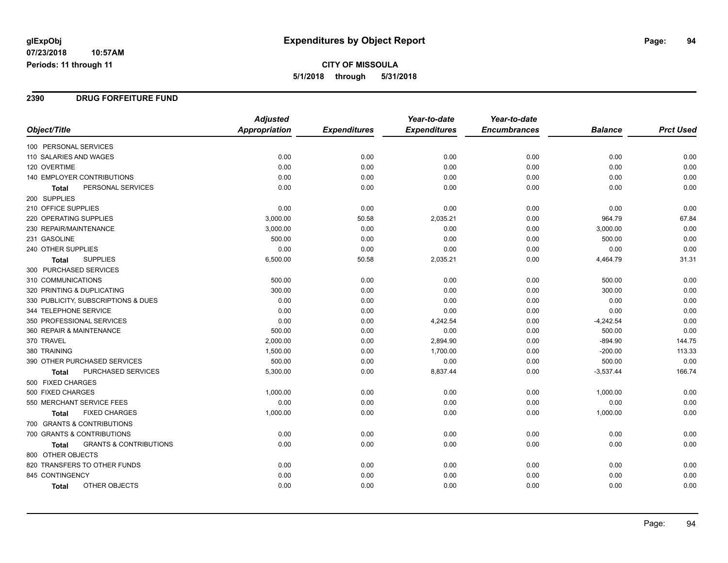#### **2390 DRUG FORFEITURE FUND**

|                                            | <b>Adjusted</b>      |                     | Year-to-date        | Year-to-date        |                |                  |
|--------------------------------------------|----------------------|---------------------|---------------------|---------------------|----------------|------------------|
| Object/Title                               | <b>Appropriation</b> | <b>Expenditures</b> | <b>Expenditures</b> | <b>Encumbrances</b> | <b>Balance</b> | <b>Prct Used</b> |
| 100 PERSONAL SERVICES                      |                      |                     |                     |                     |                |                  |
| 110 SALARIES AND WAGES                     | 0.00                 | 0.00                | 0.00                | 0.00                | 0.00           | 0.00             |
| 120 OVERTIME                               | 0.00                 | 0.00                | 0.00                | 0.00                | 0.00           | 0.00             |
| 140 EMPLOYER CONTRIBUTIONS                 | 0.00                 | 0.00                | 0.00                | 0.00                | 0.00           | 0.00             |
| PERSONAL SERVICES<br><b>Total</b>          | 0.00                 | 0.00                | 0.00                | 0.00                | 0.00           | 0.00             |
| 200 SUPPLIES                               |                      |                     |                     |                     |                |                  |
| 210 OFFICE SUPPLIES                        | 0.00                 | 0.00                | 0.00                | 0.00                | 0.00           | 0.00             |
| <b>220 OPERATING SUPPLIES</b>              | 3,000.00             | 50.58               | 2,035.21            | 0.00                | 964.79         | 67.84            |
| 230 REPAIR/MAINTENANCE                     | 3,000.00             | 0.00                | 0.00                | 0.00                | 3,000.00       | 0.00             |
| 231 GASOLINE                               | 500.00               | 0.00                | 0.00                | 0.00                | 500.00         | 0.00             |
| 240 OTHER SUPPLIES                         | 0.00                 | 0.00                | 0.00                | 0.00                | 0.00           | 0.00             |
| <b>SUPPLIES</b><br>Total                   | 6,500.00             | 50.58               | 2,035.21            | 0.00                | 4,464.79       | 31.31            |
| 300 PURCHASED SERVICES                     |                      |                     |                     |                     |                |                  |
| 310 COMMUNICATIONS                         | 500.00               | 0.00                | 0.00                | 0.00                | 500.00         | 0.00             |
| 320 PRINTING & DUPLICATING                 | 300.00               | 0.00                | 0.00                | 0.00                | 300.00         | 0.00             |
| 330 PUBLICITY, SUBSCRIPTIONS & DUES        | 0.00                 | 0.00                | 0.00                | 0.00                | 0.00           | 0.00             |
| 344 TELEPHONE SERVICE                      | 0.00                 | 0.00                | 0.00                | 0.00                | 0.00           | 0.00             |
| 350 PROFESSIONAL SERVICES                  | 0.00                 | 0.00                | 4,242.54            | 0.00                | $-4,242.54$    | 0.00             |
| 360 REPAIR & MAINTENANCE                   | 500.00               | 0.00                | 0.00                | 0.00                | 500.00         | 0.00             |
| 370 TRAVEL                                 | 2,000.00             | 0.00                | 2,894.90            | 0.00                | $-894.90$      | 144.75           |
| 380 TRAINING                               | 1,500.00             | 0.00                | 1,700.00            | 0.00                | $-200.00$      | 113.33           |
| 390 OTHER PURCHASED SERVICES               | 500.00               | 0.00                | 0.00                | 0.00                | 500.00         | 0.00             |
| PURCHASED SERVICES<br>Total                | 5,300.00             | 0.00                | 8,837.44            | 0.00                | $-3,537.44$    | 166.74           |
| 500 FIXED CHARGES                          |                      |                     |                     |                     |                |                  |
| 500 FIXED CHARGES                          | 1,000.00             | 0.00                | 0.00                | 0.00                | 1,000.00       | 0.00             |
| 550 MERCHANT SERVICE FEES                  | 0.00                 | 0.00                | 0.00                | 0.00                | 0.00           | 0.00             |
| <b>FIXED CHARGES</b><br>Total              | 1,000.00             | 0.00                | 0.00                | 0.00                | 1,000.00       | 0.00             |
| 700 GRANTS & CONTRIBUTIONS                 |                      |                     |                     |                     |                |                  |
| 700 GRANTS & CONTRIBUTIONS                 | 0.00                 | 0.00                | 0.00                | 0.00                | 0.00           | 0.00             |
| <b>GRANTS &amp; CONTRIBUTIONS</b><br>Total | 0.00                 | 0.00                | 0.00                | 0.00                | 0.00           | 0.00             |
| 800 OTHER OBJECTS                          |                      |                     |                     |                     |                |                  |
| 820 TRANSFERS TO OTHER FUNDS               | 0.00                 | 0.00                | 0.00                | 0.00                | 0.00           | 0.00             |
| 845 CONTINGENCY                            | 0.00                 | 0.00                | 0.00                | 0.00                | 0.00           | 0.00             |
| OTHER OBJECTS<br>Total                     | 0.00                 | 0.00                | 0.00                | 0.00                | 0.00           | 0.00             |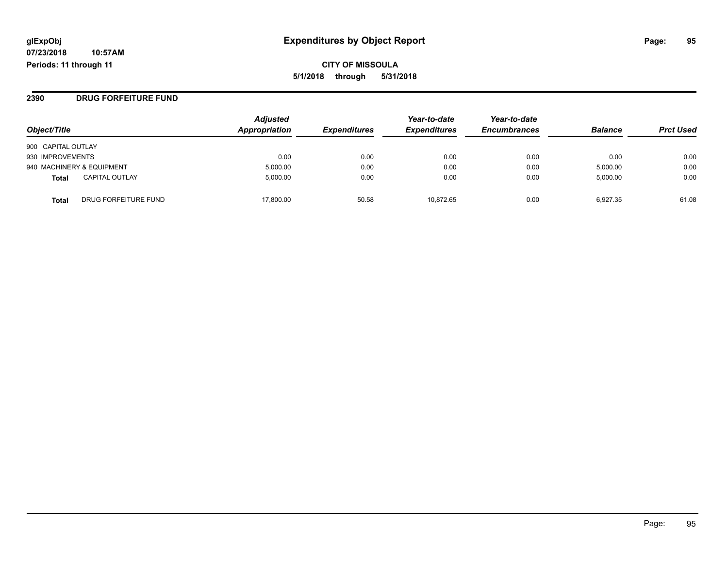#### **2390 DRUG FORFEITURE FUND**

| Object/Title                          | <b>Adjusted</b><br>Appropriation | <b>Expenditures</b> | Year-to-date<br><b>Expenditures</b> | Year-to-date<br><b>Encumbrances</b> | <b>Balance</b> | <b>Prct Used</b> |
|---------------------------------------|----------------------------------|---------------------|-------------------------------------|-------------------------------------|----------------|------------------|
| 900 CAPITAL OUTLAY                    |                                  |                     |                                     |                                     |                |                  |
| 930 IMPROVEMENTS                      | 0.00                             | 0.00                | 0.00                                | 0.00                                | 0.00           | 0.00             |
| 940 MACHINERY & EQUIPMENT             | 5,000.00                         | 0.00                | 0.00                                | 0.00                                | 5,000.00       | 0.00             |
| <b>CAPITAL OUTLAY</b><br><b>Total</b> | 5.000.00                         | 0.00                | 0.00                                | 0.00                                | 5,000.00       | 0.00             |
| DRUG FORFEITURE FUND<br>Total         | 17.800.00                        | 50.58               | 10.872.65                           | 0.00                                | 6.927.35       | 61.08            |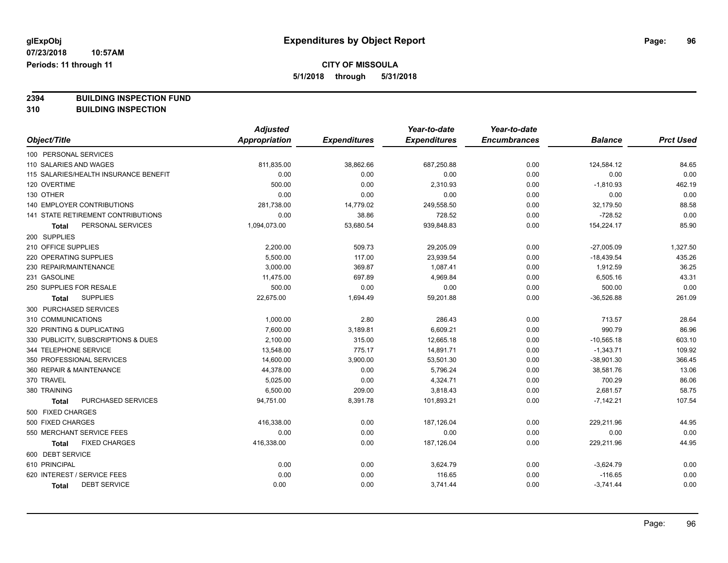**2394 BUILDING INSPECTION FUND**

**310 BUILDING INSPECTION**

|                                       | <b>Adjusted</b>      |                     | Year-to-date        | Year-to-date        |                |                  |
|---------------------------------------|----------------------|---------------------|---------------------|---------------------|----------------|------------------|
| Object/Title                          | <b>Appropriation</b> | <b>Expenditures</b> | <b>Expenditures</b> | <b>Encumbrances</b> | <b>Balance</b> | <b>Prct Used</b> |
| 100 PERSONAL SERVICES                 |                      |                     |                     |                     |                |                  |
| 110 SALARIES AND WAGES                | 811,835.00           | 38,862.66           | 687,250.88          | 0.00                | 124,584.12     | 84.65            |
| 115 SALARIES/HEALTH INSURANCE BENEFIT | 0.00                 | 0.00                | 0.00                | 0.00                | 0.00           | 0.00             |
| 120 OVERTIME                          | 500.00               | 0.00                | 2,310.93            | 0.00                | $-1,810.93$    | 462.19           |
| 130 OTHER                             | 0.00                 | 0.00                | 0.00                | 0.00                | 0.00           | 0.00             |
| <b>140 EMPLOYER CONTRIBUTIONS</b>     | 281,738.00           | 14,779.02           | 249,558.50          | 0.00                | 32,179.50      | 88.58            |
| 141 STATE RETIREMENT CONTRIBUTIONS    | 0.00                 | 38.86               | 728.52              | 0.00                | $-728.52$      | 0.00             |
| PERSONAL SERVICES<br>Total            | 1,094,073.00         | 53,680.54           | 939,848.83          | 0.00                | 154,224.17     | 85.90            |
| 200 SUPPLIES                          |                      |                     |                     |                     |                |                  |
| 210 OFFICE SUPPLIES                   | 2,200.00             | 509.73              | 29,205.09           | 0.00                | $-27,005.09$   | 1,327.50         |
| 220 OPERATING SUPPLIES                | 5,500.00             | 117.00              | 23,939.54           | 0.00                | $-18,439.54$   | 435.26           |
| 230 REPAIR/MAINTENANCE                | 3,000.00             | 369.87              | 1,087.41            | 0.00                | 1,912.59       | 36.25            |
| 231 GASOLINE                          | 11,475.00            | 697.89              | 4,969.84            | 0.00                | 6,505.16       | 43.31            |
| 250 SUPPLIES FOR RESALE               | 500.00               | 0.00                | 0.00                | 0.00                | 500.00         | 0.00             |
| <b>SUPPLIES</b><br>Total              | 22,675.00            | 1,694.49            | 59,201.88           | 0.00                | $-36,526.88$   | 261.09           |
| 300 PURCHASED SERVICES                |                      |                     |                     |                     |                |                  |
| 310 COMMUNICATIONS                    | 1,000.00             | 2.80                | 286.43              | 0.00                | 713.57         | 28.64            |
| 320 PRINTING & DUPLICATING            | 7,600.00             | 3,189.81            | 6,609.21            | 0.00                | 990.79         | 86.96            |
| 330 PUBLICITY, SUBSCRIPTIONS & DUES   | 2,100.00             | 315.00              | 12,665.18           | 0.00                | $-10,565.18$   | 603.10           |
| 344 TELEPHONE SERVICE                 | 13,548.00            | 775.17              | 14,891.71           | 0.00                | $-1,343.71$    | 109.92           |
| 350 PROFESSIONAL SERVICES             | 14,600.00            | 3,900.00            | 53,501.30           | 0.00                | $-38,901.30$   | 366.45           |
| 360 REPAIR & MAINTENANCE              | 44,378.00            | 0.00                | 5,796.24            | 0.00                | 38,581.76      | 13.06            |
| 370 TRAVEL                            | 5,025.00             | 0.00                | 4,324.71            | 0.00                | 700.29         | 86.06            |
| 380 TRAINING                          | 6,500.00             | 209.00              | 3,818.43            | 0.00                | 2,681.57       | 58.75            |
| PURCHASED SERVICES<br><b>Total</b>    | 94,751.00            | 8,391.78            | 101,893.21          | 0.00                | $-7,142.21$    | 107.54           |
| 500 FIXED CHARGES                     |                      |                     |                     |                     |                |                  |
| 500 FIXED CHARGES                     | 416,338.00           | 0.00                | 187,126.04          | 0.00                | 229,211.96     | 44.95            |
| 550 MERCHANT SERVICE FEES             | 0.00                 | 0.00                | 0.00                | 0.00                | 0.00           | 0.00             |
| <b>FIXED CHARGES</b><br>Total         | 416,338.00           | 0.00                | 187,126.04          | 0.00                | 229,211.96     | 44.95            |
| 600 DEBT SERVICE                      |                      |                     |                     |                     |                |                  |
| 610 PRINCIPAL                         | 0.00                 | 0.00                | 3,624.79            | 0.00                | $-3,624.79$    | 0.00             |
| 620 INTEREST / SERVICE FEES           | 0.00                 | 0.00                | 116.65              | 0.00                | $-116.65$      | 0.00             |
| <b>DEBT SERVICE</b><br><b>Total</b>   | 0.00                 | 0.00                | 3,741.44            | 0.00                | $-3,741.44$    | 0.00             |
|                                       |                      |                     |                     |                     |                |                  |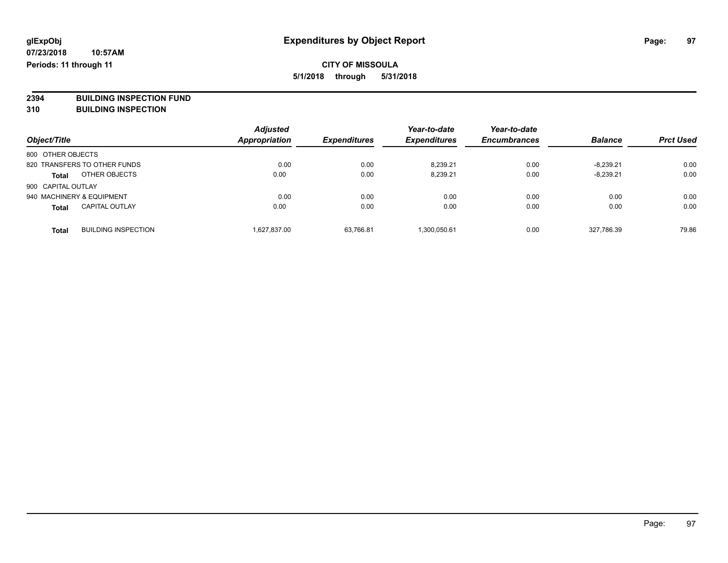**2394 BUILDING INSPECTION FUND**

**310 BUILDING INSPECTION**

| Object/Title                          | <b>Adjusted</b><br>Appropriation | <b>Expenditures</b> | Year-to-date<br><b>Expenditures</b> | Year-to-date<br><b>Encumbrances</b> | <b>Balance</b> | <b>Prct Used</b> |
|---------------------------------------|----------------------------------|---------------------|-------------------------------------|-------------------------------------|----------------|------------------|
| 800 OTHER OBJECTS                     |                                  |                     |                                     |                                     |                |                  |
| 820 TRANSFERS TO OTHER FUNDS          | 0.00                             | 0.00                | 8.239.21                            | 0.00                                | $-8.239.21$    | 0.00             |
| OTHER OBJECTS<br><b>Total</b>         | 0.00                             | 0.00                | 8,239.21                            | 0.00                                | $-8,239.21$    | 0.00             |
| 900 CAPITAL OUTLAY                    |                                  |                     |                                     |                                     |                |                  |
| 940 MACHINERY & EQUIPMENT             | 0.00                             | 0.00                | 0.00                                | 0.00                                | 0.00           | 0.00             |
| <b>CAPITAL OUTLAY</b><br><b>Total</b> | 0.00                             | 0.00                | 0.00                                | 0.00                                | 0.00           | 0.00             |
| <b>BUILDING INSPECTION</b><br>Total   | 1,627,837.00                     | 63,766.81           | 1,300,050.61                        | 0.00                                | 327.786.39     | 79.86            |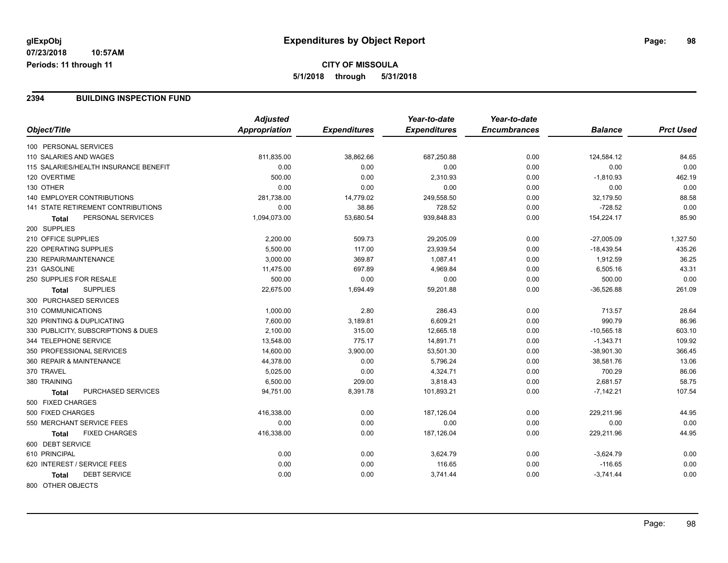#### **2394 BUILDING INSPECTION FUND**

|                                           | <b>Adjusted</b> |                     | Year-to-date        | Year-to-date        |                |                  |
|-------------------------------------------|-----------------|---------------------|---------------------|---------------------|----------------|------------------|
| Object/Title                              | Appropriation   | <b>Expenditures</b> | <b>Expenditures</b> | <b>Encumbrances</b> | <b>Balance</b> | <b>Prct Used</b> |
| 100 PERSONAL SERVICES                     |                 |                     |                     |                     |                |                  |
| 110 SALARIES AND WAGES                    | 811,835.00      | 38,862.66           | 687,250.88          | 0.00                | 124,584.12     | 84.65            |
| 115 SALARIES/HEALTH INSURANCE BENEFIT     | 0.00            | 0.00                | 0.00                | 0.00                | 0.00           | 0.00             |
| 120 OVERTIME                              | 500.00          | 0.00                | 2,310.93            | 0.00                | $-1,810.93$    | 462.19           |
| 130 OTHER                                 | 0.00            | 0.00                | 0.00                | 0.00                | 0.00           | 0.00             |
| <b>140 EMPLOYER CONTRIBUTIONS</b>         | 281,738.00      | 14,779.02           | 249,558.50          | 0.00                | 32,179.50      | 88.58            |
| <b>141 STATE RETIREMENT CONTRIBUTIONS</b> | 0.00            | 38.86               | 728.52              | 0.00                | $-728.52$      | 0.00             |
| PERSONAL SERVICES<br>Total                | 1,094,073.00    | 53,680.54           | 939,848.83          | 0.00                | 154,224.17     | 85.90            |
| 200 SUPPLIES                              |                 |                     |                     |                     |                |                  |
| 210 OFFICE SUPPLIES                       | 2,200.00        | 509.73              | 29,205.09           | 0.00                | $-27,005.09$   | 1,327.50         |
| 220 OPERATING SUPPLIES                    | 5,500.00        | 117.00              | 23,939.54           | 0.00                | $-18,439.54$   | 435.26           |
| 230 REPAIR/MAINTENANCE                    | 3,000.00        | 369.87              | 1,087.41            | 0.00                | 1,912.59       | 36.25            |
| 231 GASOLINE                              | 11,475.00       | 697.89              | 4,969.84            | 0.00                | 6,505.16       | 43.31            |
| 250 SUPPLIES FOR RESALE                   | 500.00          | 0.00                | 0.00                | 0.00                | 500.00         | 0.00             |
| <b>SUPPLIES</b><br><b>Total</b>           | 22,675.00       | 1,694.49            | 59,201.88           | 0.00                | $-36,526.88$   | 261.09           |
| 300 PURCHASED SERVICES                    |                 |                     |                     |                     |                |                  |
| 310 COMMUNICATIONS                        | 1,000.00        | 2.80                | 286.43              | 0.00                | 713.57         | 28.64            |
| 320 PRINTING & DUPLICATING                | 7,600.00        | 3,189.81            | 6,609.21            | 0.00                | 990.79         | 86.96            |
| 330 PUBLICITY, SUBSCRIPTIONS & DUES       | 2,100.00        | 315.00              | 12,665.18           | 0.00                | $-10,565.18$   | 603.10           |
| 344 TELEPHONE SERVICE                     | 13,548.00       | 775.17              | 14,891.71           | 0.00                | $-1,343.71$    | 109.92           |
| 350 PROFESSIONAL SERVICES                 | 14,600.00       | 3,900.00            | 53,501.30           | 0.00                | $-38,901.30$   | 366.45           |
| 360 REPAIR & MAINTENANCE                  | 44,378.00       | 0.00                | 5,796.24            | 0.00                | 38,581.76      | 13.06            |
| 370 TRAVEL                                | 5,025.00        | 0.00                | 4,324.71            | 0.00                | 700.29         | 86.06            |
| 380 TRAINING                              | 6,500.00        | 209.00              | 3,818.43            | 0.00                | 2,681.57       | 58.75            |
| PURCHASED SERVICES<br><b>Total</b>        | 94,751.00       | 8,391.78            | 101,893.21          | 0.00                | $-7,142.21$    | 107.54           |
| 500 FIXED CHARGES                         |                 |                     |                     |                     |                |                  |
| 500 FIXED CHARGES                         | 416,338.00      | 0.00                | 187,126.04          | 0.00                | 229,211.96     | 44.95            |
| 550 MERCHANT SERVICE FEES                 | 0.00            | 0.00                | 0.00                | 0.00                | 0.00           | 0.00             |
| <b>FIXED CHARGES</b><br>Total             | 416,338.00      | 0.00                | 187,126.04          | 0.00                | 229,211.96     | 44.95            |
| 600 DEBT SERVICE                          |                 |                     |                     |                     |                |                  |
| 610 PRINCIPAL                             | 0.00            | 0.00                | 3,624.79            | 0.00                | $-3,624.79$    | 0.00             |
| 620 INTEREST / SERVICE FEES               | 0.00            | 0.00                | 116.65              | 0.00                | $-116.65$      | 0.00             |
| <b>DEBT SERVICE</b><br>Total              | 0.00            | 0.00                | 3,741.44            | 0.00                | $-3,741.44$    | 0.00             |
| 800 OTHER OBJECTS                         |                 |                     |                     |                     |                |                  |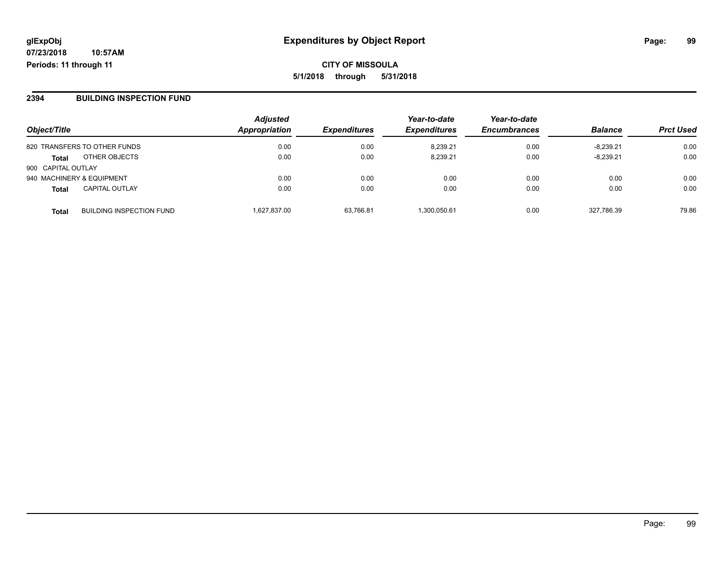#### **2394 BUILDING INSPECTION FUND**

| Object/Title       |                                 | <b>Adjusted</b><br>Appropriation | <b>Expenditures</b> | Year-to-date<br><b>Expenditures</b> | Year-to-date<br><b>Encumbrances</b> | <b>Balance</b> | <b>Prct Used</b> |
|--------------------|---------------------------------|----------------------------------|---------------------|-------------------------------------|-------------------------------------|----------------|------------------|
|                    | 820 TRANSFERS TO OTHER FUNDS    | 0.00                             | 0.00                | 8.239.21                            | 0.00                                | $-8.239.21$    | 0.00             |
| <b>Total</b>       | OTHER OBJECTS                   | 0.00                             | 0.00                | 8,239.21                            | 0.00                                | $-8,239.21$    | 0.00             |
| 900 CAPITAL OUTLAY |                                 |                                  |                     |                                     |                                     |                |                  |
|                    | 940 MACHINERY & EQUIPMENT       | 0.00                             | 0.00                | 0.00                                | 0.00                                | 0.00           | 0.00             |
| <b>Total</b>       | <b>CAPITAL OUTLAY</b>           | 0.00                             | 0.00                | 0.00                                | 0.00                                | 0.00           | 0.00             |
| <b>Total</b>       | <b>BUILDING INSPECTION FUND</b> | 1.627.837.00                     | 63,766.81           | 1.300.050.61                        | 0.00                                | 327.786.39     | 79.86            |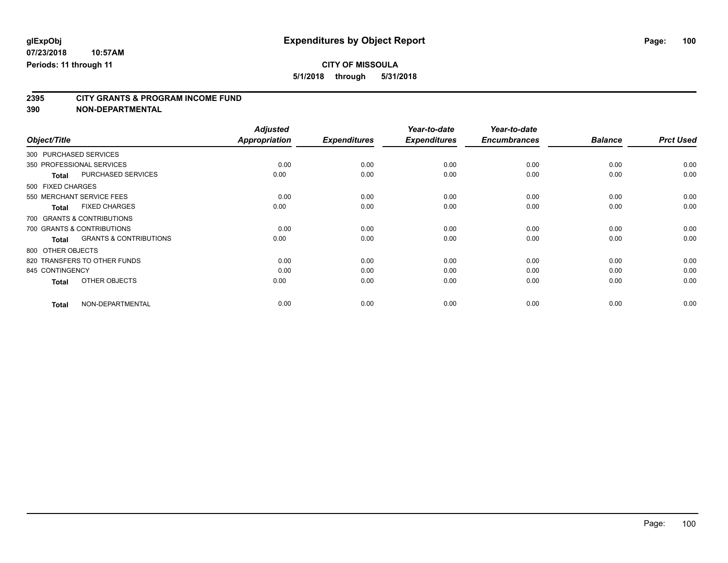# **2395 CITY GRANTS & PROGRAM INCOME FUND**

|                                            | <b>Adjusted</b> |                     | Year-to-date        | Year-to-date        |                |                  |
|--------------------------------------------|-----------------|---------------------|---------------------|---------------------|----------------|------------------|
| Object/Title                               | Appropriation   | <b>Expenditures</b> | <b>Expenditures</b> | <b>Encumbrances</b> | <b>Balance</b> | <b>Prct Used</b> |
| 300 PURCHASED SERVICES                     |                 |                     |                     |                     |                |                  |
| 350 PROFESSIONAL SERVICES                  | 0.00            | 0.00                | 0.00                | 0.00                | 0.00           | 0.00             |
| PURCHASED SERVICES<br><b>Total</b>         | 0.00            | 0.00                | 0.00                | 0.00                | 0.00           | 0.00             |
| 500 FIXED CHARGES                          |                 |                     |                     |                     |                |                  |
| 550 MERCHANT SERVICE FEES                  | 0.00            | 0.00                | 0.00                | 0.00                | 0.00           | 0.00             |
| <b>FIXED CHARGES</b><br><b>Total</b>       | 0.00            | 0.00                | 0.00                | 0.00                | 0.00           | 0.00             |
| 700 GRANTS & CONTRIBUTIONS                 |                 |                     |                     |                     |                |                  |
| 700 GRANTS & CONTRIBUTIONS                 | 0.00            | 0.00                | 0.00                | 0.00                | 0.00           | 0.00             |
| <b>GRANTS &amp; CONTRIBUTIONS</b><br>Total | 0.00            | 0.00                | 0.00                | 0.00                | 0.00           | 0.00             |
| 800 OTHER OBJECTS                          |                 |                     |                     |                     |                |                  |
| 820 TRANSFERS TO OTHER FUNDS               | 0.00            | 0.00                | 0.00                | 0.00                | 0.00           | 0.00             |
| 845 CONTINGENCY                            | 0.00            | 0.00                | 0.00                | 0.00                | 0.00           | 0.00             |
| OTHER OBJECTS<br><b>Total</b>              | 0.00            | 0.00                | 0.00                | 0.00                | 0.00           | 0.00             |
| NON-DEPARTMENTAL<br><b>Total</b>           | 0.00            | 0.00                | 0.00                | 0.00                | 0.00           | 0.00             |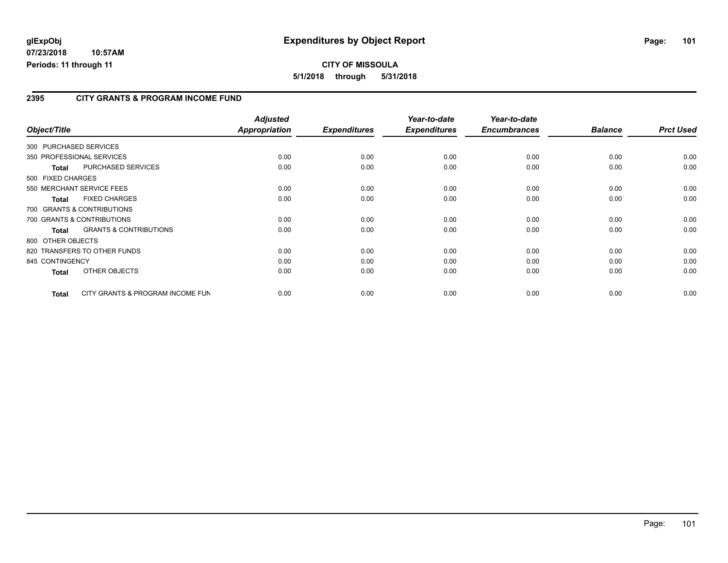**CITY OF MISSOULA 5/1/2018 through 5/31/2018**

#### **2395 CITY GRANTS & PROGRAM INCOME FUND**

|                        |                                   | <b>Adjusted</b>      |                     | Year-to-date        | Year-to-date        |                |                  |
|------------------------|-----------------------------------|----------------------|---------------------|---------------------|---------------------|----------------|------------------|
| Object/Title           |                                   | <b>Appropriation</b> | <b>Expenditures</b> | <b>Expenditures</b> | <b>Encumbrances</b> | <b>Balance</b> | <b>Prct Used</b> |
| 300 PURCHASED SERVICES |                                   |                      |                     |                     |                     |                |                  |
|                        | 350 PROFESSIONAL SERVICES         | 0.00                 | 0.00                | 0.00                | 0.00                | 0.00           | 0.00             |
| <b>Total</b>           | PURCHASED SERVICES                | 0.00                 | 0.00                | 0.00                | 0.00                | 0.00           | 0.00             |
| 500 FIXED CHARGES      |                                   |                      |                     |                     |                     |                |                  |
|                        | 550 MERCHANT SERVICE FEES         | 0.00                 | 0.00                | 0.00                | 0.00                | 0.00           | 0.00             |
| <b>Total</b>           | <b>FIXED CHARGES</b>              | 0.00                 | 0.00                | 0.00                | 0.00                | 0.00           | 0.00             |
|                        | 700 GRANTS & CONTRIBUTIONS        |                      |                     |                     |                     |                |                  |
|                        | 700 GRANTS & CONTRIBUTIONS        | 0.00                 | 0.00                | 0.00                | 0.00                | 0.00           | 0.00             |
| <b>Total</b>           | <b>GRANTS &amp; CONTRIBUTIONS</b> | 0.00                 | 0.00                | 0.00                | 0.00                | 0.00           | 0.00             |
| 800 OTHER OBJECTS      |                                   |                      |                     |                     |                     |                |                  |
|                        | 820 TRANSFERS TO OTHER FUNDS      | 0.00                 | 0.00                | 0.00                | 0.00                | 0.00           | 0.00             |
| 845 CONTINGENCY        |                                   | 0.00                 | 0.00                | 0.00                | 0.00                | 0.00           | 0.00             |
| <b>Total</b>           | <b>OTHER OBJECTS</b>              | 0.00                 | 0.00                | 0.00                | 0.00                | 0.00           | 0.00             |
| <b>Total</b>           | CITY GRANTS & PROGRAM INCOME FUN  | 0.00                 | 0.00                | 0.00                | 0.00                | 0.00           | 0.00             |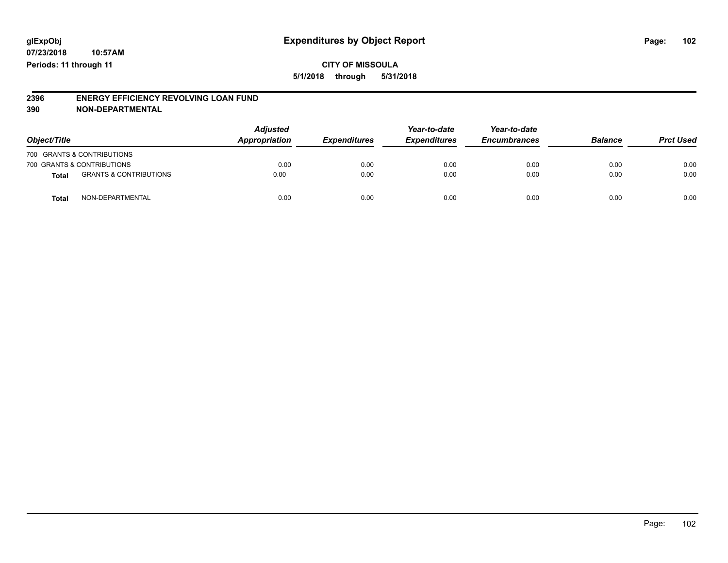# **2396 ENERGY EFFICIENCY REVOLVING LOAN FUND**

| Object/Title                                      | <b>Adjusted</b><br>Appropriation | <b>Expenditures</b> | Year-to-date<br><b>Expenditures</b> | Year-to-date<br><b>Encumbrances</b> | <b>Balance</b> | <b>Prct Used</b> |
|---------------------------------------------------|----------------------------------|---------------------|-------------------------------------|-------------------------------------|----------------|------------------|
| 700 GRANTS & CONTRIBUTIONS                        |                                  |                     |                                     |                                     |                |                  |
| 700 GRANTS & CONTRIBUTIONS                        | 0.00                             | 0.00                | 0.00                                | 0.00                                | 0.00           | 0.00             |
| <b>GRANTS &amp; CONTRIBUTIONS</b><br><b>Total</b> | 0.00                             | 0.00                | 0.00                                | 0.00                                | 0.00           | 0.00             |
| NON-DEPARTMENTAL<br>Total                         | 0.00                             | 0.00                | 0.00                                | 0.00                                | 0.00           | 0.00             |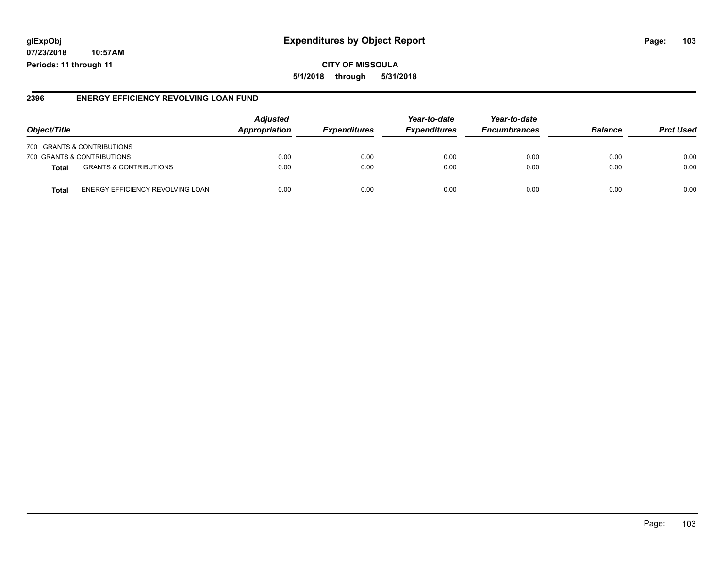## **glExpObj Expenditures by Object Report Page: 103**

**07/23/2018 10:57AM Periods: 11 through 11**

**CITY OF MISSOULA 5/1/2018 through 5/31/2018**

#### **2396 ENERGY EFFICIENCY REVOLVING LOAN FUND**

| Object/Title                               | <b>Adjusted</b><br>Appropriation | <b>Expenditures</b> | Year-to-date<br><b>Expenditures</b> | Year-to-date<br><b>Encumbrances</b> | <b>Balance</b> | <b>Prct Used</b> |
|--------------------------------------------|----------------------------------|---------------------|-------------------------------------|-------------------------------------|----------------|------------------|
| 700 GRANTS & CONTRIBUTIONS                 |                                  |                     |                                     |                                     |                |                  |
| 700 GRANTS & CONTRIBUTIONS                 | 0.00                             | 0.00                | 0.00                                | 0.00                                | 0.00           | 0.00             |
| <b>GRANTS &amp; CONTRIBUTIONS</b><br>Total | 0.00                             | 0.00                | 0.00                                | 0.00                                | 0.00           | 0.00             |
| ENERGY EFFICIENCY REVOLVING LOAN<br>Total  | 0.00                             | 0.00                | 0.00                                | 0.00                                | 0.00           | 0.00             |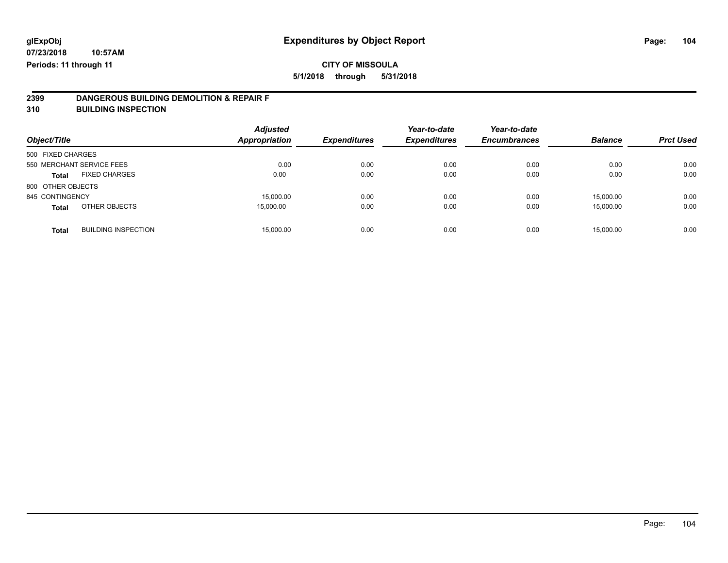# **2399 DANGEROUS BUILDING DEMOLITION & REPAIR F**

**310 BUILDING INSPECTION**

| Object/Title              |                            | <b>Adjusted</b><br><b>Appropriation</b> | <b>Expenditures</b> | Year-to-date<br><b>Expenditures</b> | Year-to-date<br><b>Encumbrances</b> | <b>Balance</b> | <b>Prct Used</b> |
|---------------------------|----------------------------|-----------------------------------------|---------------------|-------------------------------------|-------------------------------------|----------------|------------------|
| 500 FIXED CHARGES         |                            |                                         |                     |                                     |                                     |                |                  |
| 550 MERCHANT SERVICE FEES |                            | 0.00                                    | 0.00                | 0.00                                | 0.00                                | 0.00           | 0.00             |
| <b>Total</b>              | <b>FIXED CHARGES</b>       | 0.00                                    | 0.00                | 0.00                                | 0.00                                | 0.00           | 0.00             |
| 800 OTHER OBJECTS         |                            |                                         |                     |                                     |                                     |                |                  |
| 845 CONTINGENCY           |                            | 15,000.00                               | 0.00                | 0.00                                | 0.00                                | 15,000.00      | 0.00             |
| <b>Total</b>              | OTHER OBJECTS              | 15,000.00                               | 0.00                | 0.00                                | 0.00                                | 15,000.00      | 0.00             |
| <b>Total</b>              | <b>BUILDING INSPECTION</b> | 15,000.00                               | 0.00                | 0.00                                | 0.00                                | 15.000.00      | 0.00             |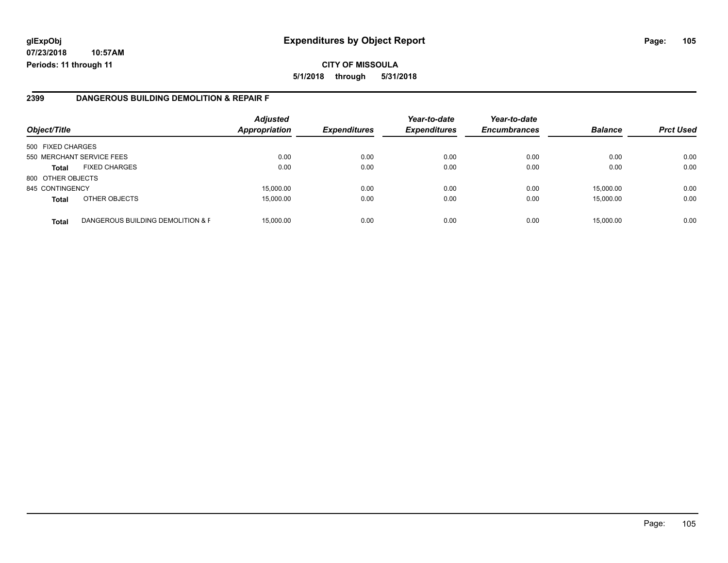# **CITY OF MISSOULA 5/1/2018 through 5/31/2018**

#### **2399 DANGEROUS BUILDING DEMOLITION & REPAIR F**

| Object/Title      |                                   | <b>Adjusted</b><br><b>Appropriation</b> | <b>Expenditures</b> | Year-to-date<br><b>Expenditures</b> | Year-to-date<br><b>Encumbrances</b> | <b>Balance</b> | <b>Prct Used</b> |
|-------------------|-----------------------------------|-----------------------------------------|---------------------|-------------------------------------|-------------------------------------|----------------|------------------|
| 500 FIXED CHARGES |                                   |                                         |                     |                                     |                                     |                |                  |
|                   | 550 MERCHANT SERVICE FEES         | 0.00                                    | 0.00                | 0.00                                | 0.00                                | 0.00           | 0.00             |
| <b>Total</b>      | <b>FIXED CHARGES</b>              | 0.00                                    | 0.00                | 0.00                                | 0.00                                | 0.00           | 0.00             |
| 800 OTHER OBJECTS |                                   |                                         |                     |                                     |                                     |                |                  |
| 845 CONTINGENCY   |                                   | 15,000.00                               | 0.00                | 0.00                                | 0.00                                | 15.000.00      | 0.00             |
| <b>Total</b>      | OTHER OBJECTS                     | 15,000.00                               | 0.00                | 0.00                                | 0.00                                | 15,000.00      | 0.00             |
| <b>Total</b>      | DANGEROUS BUILDING DEMOLITION & F | 15,000.00                               | 0.00                | 0.00                                | 0.00                                | 15,000.00      | 0.00             |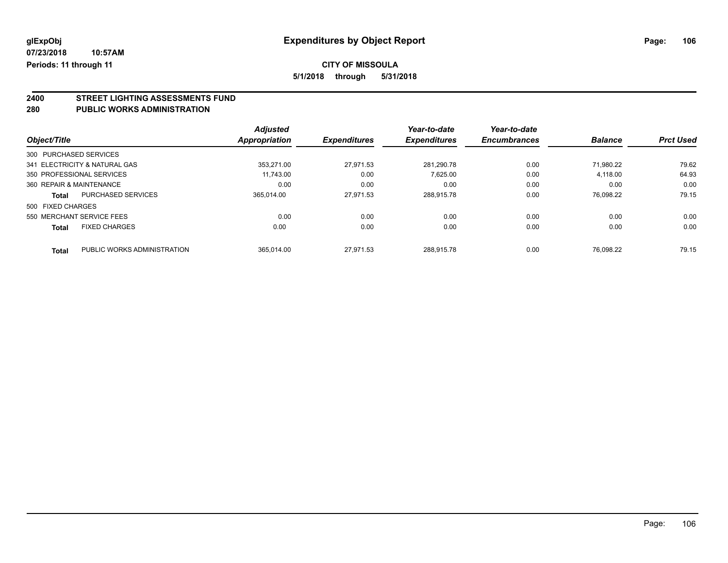# **2400 STREET LIGHTING ASSESSMENTS FUND**

#### **280 PUBLIC WORKS ADMINISTRATION**

|                          |                               | <b>Adjusted</b> |                     | Year-to-date        | Year-to-date        |                |                  |
|--------------------------|-------------------------------|-----------------|---------------------|---------------------|---------------------|----------------|------------------|
| Object/Title             |                               | Appropriation   | <b>Expenditures</b> | <b>Expenditures</b> | <b>Encumbrances</b> | <b>Balance</b> | <b>Prct Used</b> |
| 300 PURCHASED SERVICES   |                               |                 |                     |                     |                     |                |                  |
|                          | 341 ELECTRICITY & NATURAL GAS | 353.271.00      | 27.971.53           | 281.290.78          | 0.00                | 71.980.22      | 79.62            |
|                          | 350 PROFESSIONAL SERVICES     | 11.743.00       | 0.00                | 7.625.00            | 0.00                | 4,118.00       | 64.93            |
| 360 REPAIR & MAINTENANCE |                               | 0.00            | 0.00                | 0.00                | 0.00                | 0.00           | 0.00             |
| <b>Total</b>             | <b>PURCHASED SERVICES</b>     | 365.014.00      | 27.971.53           | 288.915.78          | 0.00                | 76.098.22      | 79.15            |
| 500 FIXED CHARGES        |                               |                 |                     |                     |                     |                |                  |
|                          | 550 MERCHANT SERVICE FEES     | 0.00            | 0.00                | 0.00                | 0.00                | 0.00           | 0.00             |
| <b>Total</b>             | <b>FIXED CHARGES</b>          | 0.00            | 0.00                | 0.00                | 0.00                | 0.00           | 0.00             |
| <b>Total</b>             | PUBLIC WORKS ADMINISTRATION   | 365.014.00      | 27.971.53           | 288.915.78          | 0.00                | 76.098.22      | 79.15            |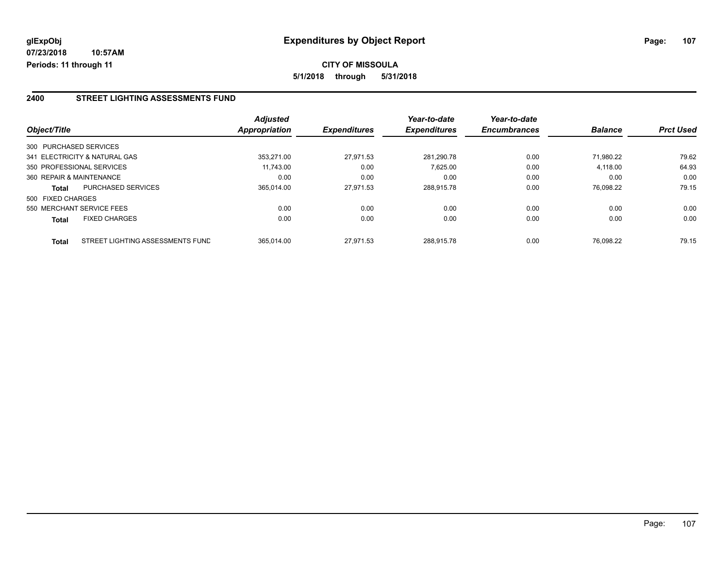**CITY OF MISSOULA 5/1/2018 through 5/31/2018**

#### **2400 STREET LIGHTING ASSESSMENTS FUND**

|                   |                                  | <b>Adjusted</b>      |                     | Year-to-date        | Year-to-date        |                |                  |
|-------------------|----------------------------------|----------------------|---------------------|---------------------|---------------------|----------------|------------------|
| Object/Title      |                                  | <b>Appropriation</b> | <b>Expenditures</b> | <b>Expenditures</b> | <b>Encumbrances</b> | <b>Balance</b> | <b>Prct Used</b> |
|                   | 300 PURCHASED SERVICES           |                      |                     |                     |                     |                |                  |
|                   | 341 ELECTRICITY & NATURAL GAS    | 353.271.00           | 27.971.53           | 281.290.78          | 0.00                | 71.980.22      | 79.62            |
|                   | 350 PROFESSIONAL SERVICES        | 11,743.00            | 0.00                | 7,625.00            | 0.00                | 4,118.00       | 64.93            |
|                   | 360 REPAIR & MAINTENANCE         | 0.00                 | 0.00                | 0.00                | 0.00                | 0.00           | 0.00             |
| Total             | <b>PURCHASED SERVICES</b>        | 365.014.00           | 27.971.53           | 288,915.78          | 0.00                | 76.098.22      | 79.15            |
| 500 FIXED CHARGES |                                  |                      |                     |                     |                     |                |                  |
|                   | 550 MERCHANT SERVICE FEES        | 0.00                 | 0.00                | 0.00                | 0.00                | 0.00           | 0.00             |
| <b>Total</b>      | <b>FIXED CHARGES</b>             | 0.00                 | 0.00                | 0.00                | 0.00                | 0.00           | 0.00             |
| <b>Total</b>      | STREET LIGHTING ASSESSMENTS FUND | 365.014.00           | 27.971.53           | 288.915.78          | 0.00                | 76.098.22      | 79.15            |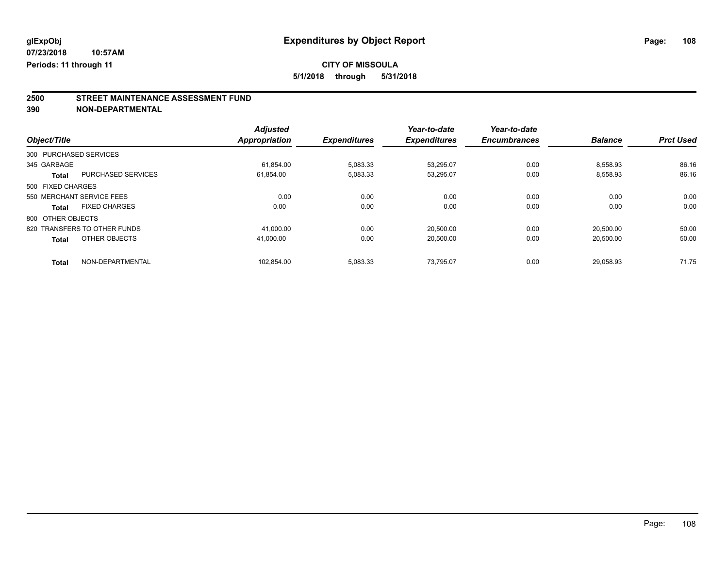# **CITY OF MISSOULA**

**5/1/2018 through 5/31/2018**

# **2500 STREET MAINTENANCE ASSESSMENT FUND**

|                        |                              | <b>Adjusted</b>      |                     | Year-to-date        | Year-to-date        |                |                  |
|------------------------|------------------------------|----------------------|---------------------|---------------------|---------------------|----------------|------------------|
| Object/Title           |                              | <b>Appropriation</b> | <b>Expenditures</b> | <b>Expenditures</b> | <b>Encumbrances</b> | <b>Balance</b> | <b>Prct Used</b> |
| 300 PURCHASED SERVICES |                              |                      |                     |                     |                     |                |                  |
| 345 GARBAGE            |                              | 61.854.00            | 5,083.33            | 53,295.07           | 0.00                | 8,558.93       | 86.16            |
| <b>Total</b>           | <b>PURCHASED SERVICES</b>    | 61,854.00            | 5,083.33            | 53,295.07           | 0.00                | 8,558.93       | 86.16            |
| 500 FIXED CHARGES      |                              |                      |                     |                     |                     |                |                  |
|                        | 550 MERCHANT SERVICE FEES    | 0.00                 | 0.00                | 0.00                | 0.00                | 0.00           | 0.00             |
| <b>Total</b>           | <b>FIXED CHARGES</b>         | 0.00                 | 0.00                | 0.00                | 0.00                | 0.00           | 0.00             |
| 800 OTHER OBJECTS      |                              |                      |                     |                     |                     |                |                  |
|                        | 820 TRANSFERS TO OTHER FUNDS | 41.000.00            | 0.00                | 20.500.00           | 0.00                | 20.500.00      | 50.00            |
| <b>Total</b>           | OTHER OBJECTS                | 41.000.00            | 0.00                | 20.500.00           | 0.00                | 20,500.00      | 50.00            |
| <b>Total</b>           | NON-DEPARTMENTAL             | 102.854.00           | 5,083.33            | 73.795.07           | 0.00                | 29.058.93      | 71.75            |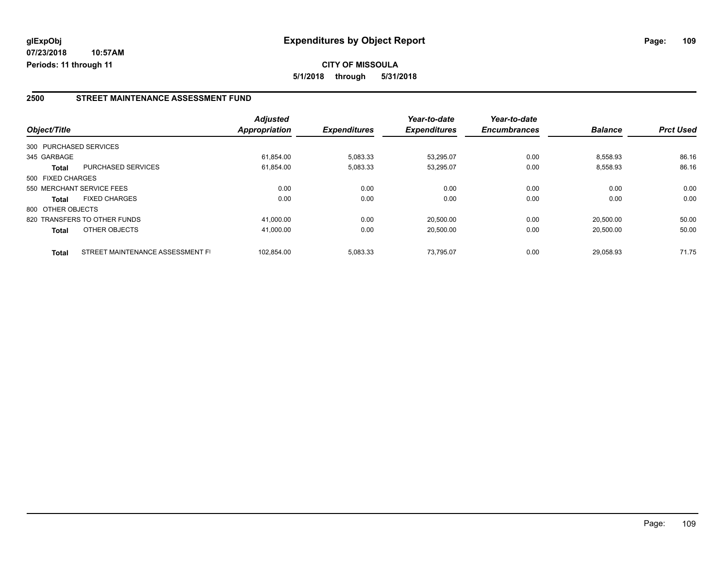### **07/23/2018 10:57AM Periods: 11 through 11**

**CITY OF MISSOULA 5/1/2018 through 5/31/2018**

### **2500 STREET MAINTENANCE ASSESSMENT FUND**

|                        |                                  | <b>Adjusted</b> |                     | Year-to-date        | Year-to-date        |                |                  |
|------------------------|----------------------------------|-----------------|---------------------|---------------------|---------------------|----------------|------------------|
| Object/Title           |                                  | Appropriation   | <b>Expenditures</b> | <b>Expenditures</b> | <b>Encumbrances</b> | <b>Balance</b> | <b>Prct Used</b> |
| 300 PURCHASED SERVICES |                                  |                 |                     |                     |                     |                |                  |
| 345 GARBAGE            |                                  | 61.854.00       | 5,083.33            | 53,295.07           | 0.00                | 8,558.93       | 86.16            |
| Total                  | PURCHASED SERVICES               | 61,854.00       | 5,083.33            | 53,295.07           | 0.00                | 8,558.93       | 86.16            |
| 500 FIXED CHARGES      |                                  |                 |                     |                     |                     |                |                  |
|                        | 550 MERCHANT SERVICE FEES        | 0.00            | 0.00                | 0.00                | 0.00                | 0.00           | 0.00             |
| Total                  | <b>FIXED CHARGES</b>             | 0.00            | 0.00                | 0.00                | 0.00                | 0.00           | 0.00             |
| 800 OTHER OBJECTS      |                                  |                 |                     |                     |                     |                |                  |
|                        | 820 TRANSFERS TO OTHER FUNDS     | 41.000.00       | 0.00                | 20.500.00           | 0.00                | 20.500.00      | 50.00            |
| <b>Total</b>           | OTHER OBJECTS                    | 41,000.00       | 0.00                | 20,500.00           | 0.00                | 20,500.00      | 50.00            |
| <b>Total</b>           | STREET MAINTENANCE ASSESSMENT FI | 102.854.00      | 5,083.33            | 73,795.07           | 0.00                | 29.058.93      | 71.75            |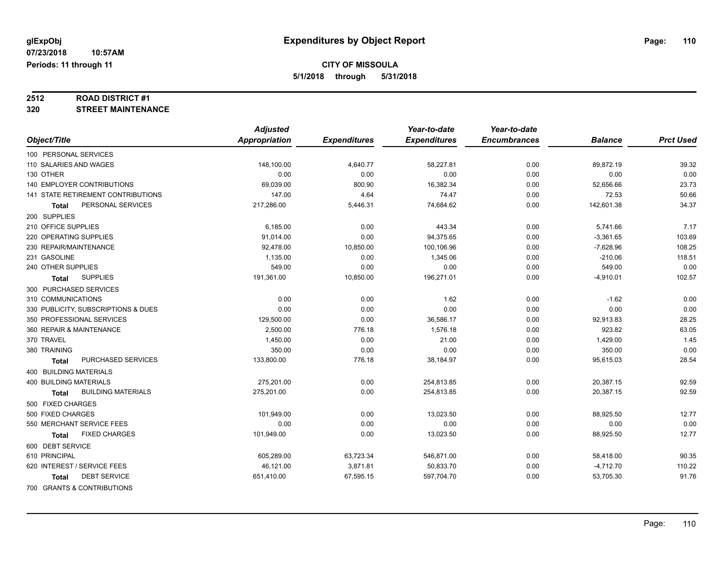# **2512 ROAD DISTRICT #1**

### **320 STREET MAINTENANCE**

|                                      | <b>Adjusted</b>      |                     | Year-to-date        | Year-to-date        |                |                  |
|--------------------------------------|----------------------|---------------------|---------------------|---------------------|----------------|------------------|
| Object/Title                         | <b>Appropriation</b> | <b>Expenditures</b> | <b>Expenditures</b> | <b>Encumbrances</b> | <b>Balance</b> | <b>Prct Used</b> |
| 100 PERSONAL SERVICES                |                      |                     |                     |                     |                |                  |
| 110 SALARIES AND WAGES               | 148,100.00           | 4,640.77            | 58,227.81           | 0.00                | 89,872.19      | 39.32            |
| 130 OTHER                            | 0.00                 | 0.00                | 0.00                | 0.00                | 0.00           | 0.00             |
| 140 EMPLOYER CONTRIBUTIONS           | 69,039.00            | 800.90              | 16,382.34           | 0.00                | 52,656.66      | 23.73            |
| 141 STATE RETIREMENT CONTRIBUTIONS   | 147.00               | 4.64                | 74.47               | 0.00                | 72.53          | 50.66            |
| PERSONAL SERVICES<br>Total           | 217,286.00           | 5,446.31            | 74,684.62           | 0.00                | 142,601.38     | 34.37            |
| 200 SUPPLIES                         |                      |                     |                     |                     |                |                  |
| 210 OFFICE SUPPLIES                  | 6,185.00             | 0.00                | 443.34              | 0.00                | 5,741.66       | 7.17             |
| 220 OPERATING SUPPLIES               | 91,014.00            | 0.00                | 94,375.65           | 0.00                | $-3,361.65$    | 103.69           |
| 230 REPAIR/MAINTENANCE               | 92,478.00            | 10,850.00           | 100,106.96          | 0.00                | $-7,628.96$    | 108.25           |
| 231 GASOLINE                         | 1,135.00             | 0.00                | 1,345.06            | 0.00                | $-210.06$      | 118.51           |
| 240 OTHER SUPPLIES                   | 549.00               | 0.00                | 0.00                | 0.00                | 549.00         | 0.00             |
| <b>SUPPLIES</b><br><b>Total</b>      | 191,361.00           | 10,850.00           | 196,271.01          | 0.00                | $-4,910.01$    | 102.57           |
| 300 PURCHASED SERVICES               |                      |                     |                     |                     |                |                  |
| 310 COMMUNICATIONS                   | 0.00                 | 0.00                | 1.62                | 0.00                | $-1.62$        | 0.00             |
| 330 PUBLICITY, SUBSCRIPTIONS & DUES  | 0.00                 | 0.00                | 0.00                | 0.00                | 0.00           | 0.00             |
| 350 PROFESSIONAL SERVICES            | 129,500.00           | 0.00                | 36,586.17           | 0.00                | 92,913.83      | 28.25            |
| 360 REPAIR & MAINTENANCE             | 2,500.00             | 776.18              | 1,576.18            | 0.00                | 923.82         | 63.05            |
| 370 TRAVEL                           | 1,450.00             | 0.00                | 21.00               | 0.00                | 1,429.00       | 1.45             |
| 380 TRAINING                         | 350.00               | 0.00                | 0.00                | 0.00                | 350.00         | 0.00             |
| PURCHASED SERVICES<br><b>Total</b>   | 133,800.00           | 776.18              | 38,184.97           | 0.00                | 95,615.03      | 28.54            |
| <b>400 BUILDING MATERIALS</b>        |                      |                     |                     |                     |                |                  |
| <b>400 BUILDING MATERIALS</b>        | 275,201.00           | 0.00                | 254,813.85          | 0.00                | 20,387.15      | 92.59            |
| <b>BUILDING MATERIALS</b><br>Total   | 275,201.00           | 0.00                | 254,813.85          | 0.00                | 20,387.15      | 92.59            |
| 500 FIXED CHARGES                    |                      |                     |                     |                     |                |                  |
| 500 FIXED CHARGES                    | 101,949.00           | 0.00                | 13,023.50           | 0.00                | 88,925.50      | 12.77            |
| 550 MERCHANT SERVICE FEES            | 0.00                 | 0.00                | 0.00                | 0.00                | 0.00           | 0.00             |
| <b>FIXED CHARGES</b><br><b>Total</b> | 101,949.00           | 0.00                | 13,023.50           | 0.00                | 88,925.50      | 12.77            |
| 600 DEBT SERVICE                     |                      |                     |                     |                     |                |                  |
| 610 PRINCIPAL                        | 605,289.00           | 63,723.34           | 546,871.00          | 0.00                | 58,418.00      | 90.35            |
| 620 INTEREST / SERVICE FEES          | 46,121.00            | 3,871.81            | 50,833.70           | 0.00                | $-4,712.70$    | 110.22           |
| <b>DEBT SERVICE</b><br><b>Total</b>  | 651,410.00           | 67,595.15           | 597,704.70          | 0.00                | 53,705.30      | 91.76            |
| 700 GRANTS & CONTRIBUTIONS           |                      |                     |                     |                     |                |                  |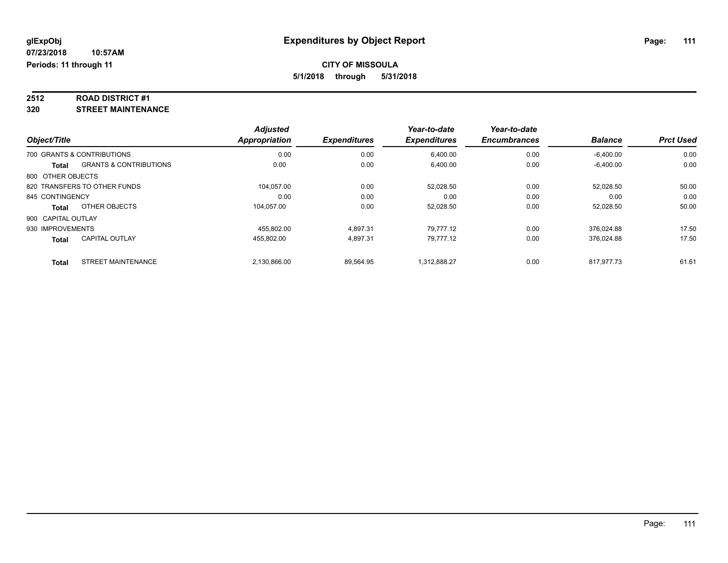# **2512 ROAD DISTRICT #1**

**320 STREET MAINTENANCE**

|                    |                                   | <b>Adjusted</b>      |                     | Year-to-date        | Year-to-date        |                |                  |
|--------------------|-----------------------------------|----------------------|---------------------|---------------------|---------------------|----------------|------------------|
| Object/Title       |                                   | <b>Appropriation</b> | <b>Expenditures</b> | <b>Expenditures</b> | <b>Encumbrances</b> | <b>Balance</b> | <b>Prct Used</b> |
|                    | 700 GRANTS & CONTRIBUTIONS        | 0.00                 | 0.00                | 6.400.00            | 0.00                | $-6.400.00$    | 0.00             |
| Total              | <b>GRANTS &amp; CONTRIBUTIONS</b> | 0.00                 | 0.00                | 6,400.00            | 0.00                | $-6,400.00$    | 0.00             |
| 800 OTHER OBJECTS  |                                   |                      |                     |                     |                     |                |                  |
|                    | 820 TRANSFERS TO OTHER FUNDS      | 104.057.00           | 0.00                | 52.028.50           | 0.00                | 52.028.50      | 50.00            |
| 845 CONTINGENCY    |                                   | 0.00                 | 0.00                | 0.00                | 0.00                | 0.00           | 0.00             |
| Total              | OTHER OBJECTS                     | 104.057.00           | 0.00                | 52,028.50           | 0.00                | 52,028.50      | 50.00            |
| 900 CAPITAL OUTLAY |                                   |                      |                     |                     |                     |                |                  |
| 930 IMPROVEMENTS   |                                   | 455.802.00           | 4,897.31            | 79.777.12           | 0.00                | 376.024.88     | 17.50            |
| <b>Total</b>       | <b>CAPITAL OUTLAY</b>             | 455,802.00           | 4,897.31            | 79,777.12           | 0.00                | 376.024.88     | 17.50            |
| Total              | <b>STREET MAINTENANCE</b>         | 2.130.866.00         | 89.564.95           | 1.312.888.27        | 0.00                | 817.977.73     | 61.61            |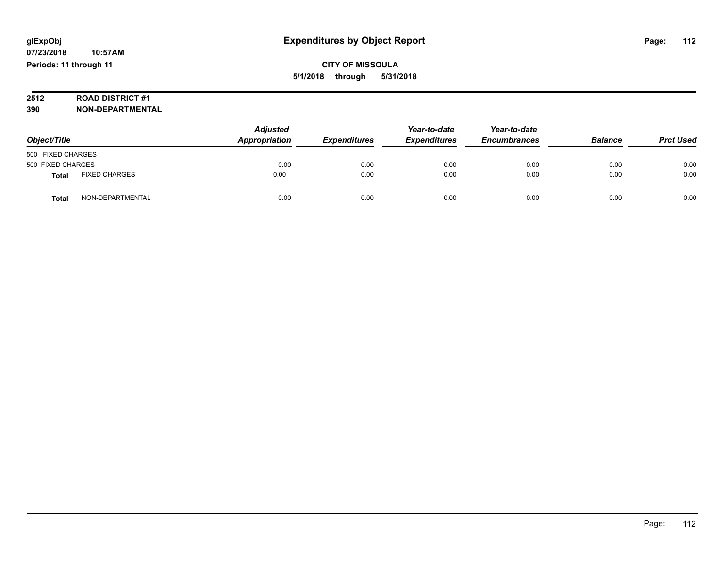# **2512 ROAD DISTRICT #1**

**390 NON-DEPARTMENTAL**

| Object/Title      |                      | <b>Adjusted</b><br>Appropriation | <b>Expenditures</b> | Year-to-date<br><b>Expenditures</b> | Year-to-date<br><b>Encumbrances</b> | <b>Balance</b> | <b>Prct Used</b> |
|-------------------|----------------------|----------------------------------|---------------------|-------------------------------------|-------------------------------------|----------------|------------------|
| 500 FIXED CHARGES |                      |                                  |                     |                                     |                                     |                |                  |
| 500 FIXED CHARGES |                      | 0.00                             | 0.00                | 0.00                                | 0.00                                | 0.00           | 0.00             |
| Total             | <b>FIXED CHARGES</b> | 0.00                             | 0.00                | 0.00                                | 0.00                                | 0.00           | 0.00             |
| Total             | NON-DEPARTMENTAL     | 0.00                             | 0.00                | 0.00                                | 0.00                                | 0.00           | 0.00             |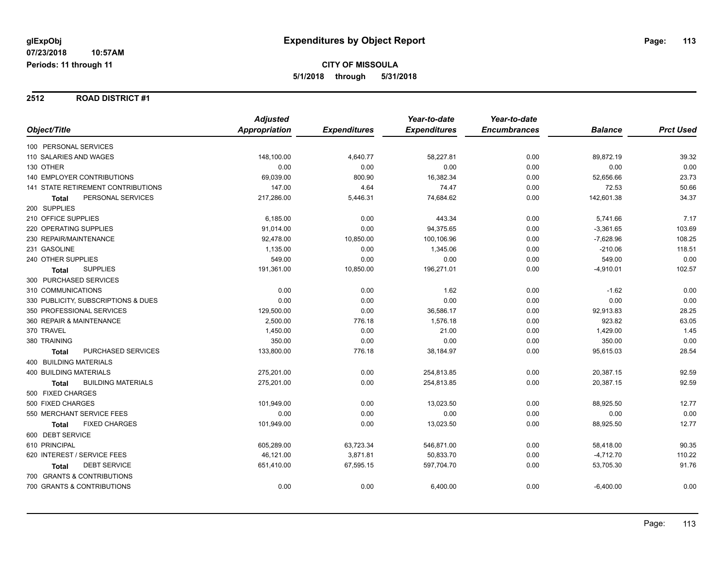#### **2512 ROAD DISTRICT #1**

|                                           | <b>Adjusted</b> |                     | Year-to-date        | Year-to-date        |                |                  |
|-------------------------------------------|-----------------|---------------------|---------------------|---------------------|----------------|------------------|
| Object/Title                              | Appropriation   | <b>Expenditures</b> | <b>Expenditures</b> | <b>Encumbrances</b> | <b>Balance</b> | <b>Prct Used</b> |
| 100 PERSONAL SERVICES                     |                 |                     |                     |                     |                |                  |
| 110 SALARIES AND WAGES                    | 148,100.00      | 4,640.77            | 58,227.81           | 0.00                | 89,872.19      | 39.32            |
| 130 OTHER                                 | 0.00            | 0.00                | 0.00                | 0.00                | 0.00           | 0.00             |
| <b>140 EMPLOYER CONTRIBUTIONS</b>         | 69,039.00       | 800.90              | 16,382.34           | 0.00                | 52,656.66      | 23.73            |
| 141 STATE RETIREMENT CONTRIBUTIONS        | 147.00          | 4.64                | 74.47               | 0.00                | 72.53          | 50.66            |
| PERSONAL SERVICES<br>Total                | 217,286.00      | 5,446.31            | 74,684.62           | 0.00                | 142,601.38     | 34.37            |
| 200 SUPPLIES                              |                 |                     |                     |                     |                |                  |
| 210 OFFICE SUPPLIES                       | 6,185.00        | 0.00                | 443.34              | 0.00                | 5,741.66       | 7.17             |
| 220 OPERATING SUPPLIES                    | 91,014.00       | 0.00                | 94,375.65           | 0.00                | $-3,361.65$    | 103.69           |
| 230 REPAIR/MAINTENANCE                    | 92,478.00       | 10,850.00           | 100,106.96          | 0.00                | $-7,628.96$    | 108.25           |
| 231 GASOLINE                              | 1,135.00        | 0.00                | 1,345.06            | 0.00                | $-210.06$      | 118.51           |
| 240 OTHER SUPPLIES                        | 549.00          | 0.00                | 0.00                | 0.00                | 549.00         | 0.00             |
| <b>SUPPLIES</b><br><b>Total</b>           | 191,361.00      | 10,850.00           | 196,271.01          | 0.00                | $-4,910.01$    | 102.57           |
| 300 PURCHASED SERVICES                    |                 |                     |                     |                     |                |                  |
| 310 COMMUNICATIONS                        | 0.00            | 0.00                | 1.62                | 0.00                | $-1.62$        | 0.00             |
| 330 PUBLICITY, SUBSCRIPTIONS & DUES       | 0.00            | 0.00                | 0.00                | 0.00                | 0.00           | 0.00             |
| 350 PROFESSIONAL SERVICES                 | 129,500.00      | 0.00                | 36,586.17           | 0.00                | 92,913.83      | 28.25            |
| 360 REPAIR & MAINTENANCE                  | 2,500.00        | 776.18              | 1,576.18            | 0.00                | 923.82         | 63.05            |
| 370 TRAVEL                                | 1,450.00        | 0.00                | 21.00               | 0.00                | 1,429.00       | 1.45             |
| 380 TRAINING                              | 350.00          | 0.00                | 0.00                | 0.00                | 350.00         | 0.00             |
| PURCHASED SERVICES<br><b>Total</b>        | 133,800.00      | 776.18              | 38,184.97           | 0.00                | 95,615.03      | 28.54            |
| 400 BUILDING MATERIALS                    |                 |                     |                     |                     |                |                  |
| <b>400 BUILDING MATERIALS</b>             | 275,201.00      | 0.00                | 254,813.85          | 0.00                | 20,387.15      | 92.59            |
| <b>BUILDING MATERIALS</b><br><b>Total</b> | 275,201.00      | 0.00                | 254,813.85          | 0.00                | 20,387.15      | 92.59            |
| 500 FIXED CHARGES                         |                 |                     |                     |                     |                |                  |
| 500 FIXED CHARGES                         | 101,949.00      | 0.00                | 13,023.50           | 0.00                | 88,925.50      | 12.77            |
| 550 MERCHANT SERVICE FEES                 | 0.00            | 0.00                | 0.00                | 0.00                | 0.00           | 0.00             |
| <b>FIXED CHARGES</b><br><b>Total</b>      | 101,949.00      | 0.00                | 13,023.50           | 0.00                | 88,925.50      | 12.77            |
| 600 DEBT SERVICE                          |                 |                     |                     |                     |                |                  |
| 610 PRINCIPAL                             | 605,289.00      | 63,723.34           | 546,871.00          | 0.00                | 58,418.00      | 90.35            |
| 620 INTEREST / SERVICE FEES               | 46,121.00       | 3,871.81            | 50,833.70           | 0.00                | $-4,712.70$    | 110.22           |
| <b>DEBT SERVICE</b><br>Total              | 651,410.00      | 67,595.15           | 597,704.70          | 0.00                | 53,705.30      | 91.76            |
| 700 GRANTS & CONTRIBUTIONS                |                 |                     |                     |                     |                |                  |
| 700 GRANTS & CONTRIBUTIONS                | 0.00            | 0.00                | 6,400.00            | 0.00                | $-6,400.00$    | 0.00             |
|                                           |                 |                     |                     |                     |                |                  |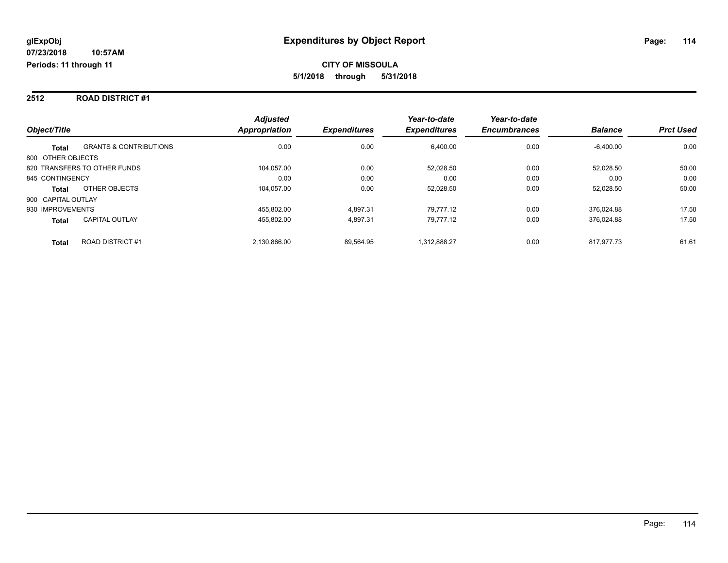### **2512 ROAD DISTRICT #1**

|                                                   | <b>Adjusted</b> |                     | Year-to-date        | Year-to-date        |                |                  |
|---------------------------------------------------|-----------------|---------------------|---------------------|---------------------|----------------|------------------|
| Object/Title                                      | Appropriation   | <b>Expenditures</b> | <b>Expenditures</b> | <b>Encumbrances</b> | <b>Balance</b> | <b>Prct Used</b> |
| <b>GRANTS &amp; CONTRIBUTIONS</b><br><b>Total</b> | 0.00            | 0.00                | 6.400.00            | 0.00                | $-6,400.00$    | 0.00             |
| 800 OTHER OBJECTS                                 |                 |                     |                     |                     |                |                  |
| 820 TRANSFERS TO OTHER FUNDS                      | 104.057.00      | 0.00                | 52.028.50           | 0.00                | 52.028.50      | 50.00            |
| 845 CONTINGENCY                                   | 0.00            | 0.00                | 0.00                | 0.00                | 0.00           | 0.00             |
| OTHER OBJECTS<br>Total                            | 104,057.00      | 0.00                | 52,028.50           | 0.00                | 52,028.50      | 50.00            |
| 900 CAPITAL OUTLAY                                |                 |                     |                     |                     |                |                  |
| 930 IMPROVEMENTS                                  | 455.802.00      | 4,897.31            | 79.777.12           | 0.00                | 376.024.88     | 17.50            |
| <b>CAPITAL OUTLAY</b><br><b>Total</b>             | 455.802.00      | 4,897.31            | 79.777.12           | 0.00                | 376.024.88     | 17.50            |
| ROAD DISTRICT #1<br><b>Total</b>                  | 2.130.866.00    | 89.564.95           | 1.312.888.27        | 0.00                | 817.977.73     | 61.61            |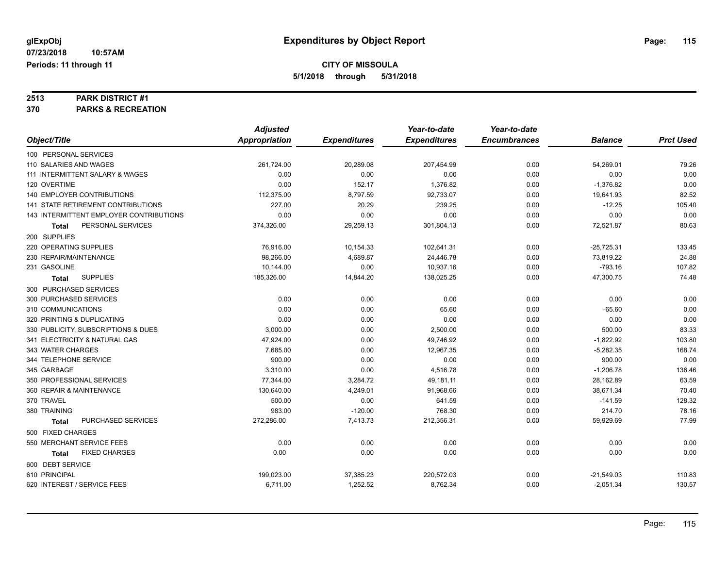# **2513 PARK DISTRICT #1**

**370 PARKS & RECREATION**

|                                           | <b>Adjusted</b> |                     | Year-to-date        | Year-to-date        |                |                  |
|-------------------------------------------|-----------------|---------------------|---------------------|---------------------|----------------|------------------|
| Object/Title                              | Appropriation   | <b>Expenditures</b> | <b>Expenditures</b> | <b>Encumbrances</b> | <b>Balance</b> | <b>Prct Used</b> |
| 100 PERSONAL SERVICES                     |                 |                     |                     |                     |                |                  |
| 110 SALARIES AND WAGES                    | 261,724.00      | 20,289.08           | 207,454.99          | 0.00                | 54,269.01      | 79.26            |
| 111 INTERMITTENT SALARY & WAGES           | 0.00            | 0.00                | 0.00                | 0.00                | 0.00           | 0.00             |
| 120 OVERTIME                              | 0.00            | 152.17              | 1,376.82            | 0.00                | $-1,376.82$    | 0.00             |
| <b>140 EMPLOYER CONTRIBUTIONS</b>         | 112,375.00      | 8,797.59            | 92,733.07           | 0.00                | 19,641.93      | 82.52            |
| <b>141 STATE RETIREMENT CONTRIBUTIONS</b> | 227.00          | 20.29               | 239.25              | 0.00                | $-12.25$       | 105.40           |
| 143 INTERMITTENT EMPLOYER CONTRIBUTIONS   | 0.00            | 0.00                | 0.00                | 0.00                | 0.00           | 0.00             |
| PERSONAL SERVICES<br><b>Total</b>         | 374,326.00      | 29,259.13           | 301,804.13          | 0.00                | 72,521.87      | 80.63            |
| 200 SUPPLIES                              |                 |                     |                     |                     |                |                  |
| 220 OPERATING SUPPLIES                    | 76,916.00       | 10,154.33           | 102,641.31          | 0.00                | $-25,725.31$   | 133.45           |
| 230 REPAIR/MAINTENANCE                    | 98,266.00       | 4,689.87            | 24,446.78           | 0.00                | 73,819.22      | 24.88            |
| 231 GASOLINE                              | 10,144.00       | 0.00                | 10,937.16           | 0.00                | $-793.16$      | 107.82           |
| <b>SUPPLIES</b><br><b>Total</b>           | 185,326.00      | 14,844.20           | 138,025.25          | 0.00                | 47,300.75      | 74.48            |
| 300 PURCHASED SERVICES                    |                 |                     |                     |                     |                |                  |
| 300 PURCHASED SERVICES                    | 0.00            | 0.00                | 0.00                | 0.00                | 0.00           | 0.00             |
| 310 COMMUNICATIONS                        | 0.00            | 0.00                | 65.60               | 0.00                | $-65.60$       | 0.00             |
| 320 PRINTING & DUPLICATING                | 0.00            | 0.00                | 0.00                | 0.00                | 0.00           | 0.00             |
| 330 PUBLICITY, SUBSCRIPTIONS & DUES       | 3.000.00        | 0.00                | 2,500.00            | 0.00                | 500.00         | 83.33            |
| 341 ELECTRICITY & NATURAL GAS             | 47,924.00       | 0.00                | 49,746.92           | 0.00                | $-1,822.92$    | 103.80           |
| 343 WATER CHARGES                         | 7,685.00        | 0.00                | 12,967.35           | 0.00                | $-5,282.35$    | 168.74           |
| 344 TELEPHONE SERVICE                     | 900.00          | 0.00                | 0.00                | 0.00                | 900.00         | 0.00             |
| 345 GARBAGE                               | 3,310.00        | 0.00                | 4,516.78            | 0.00                | $-1,206.78$    | 136.46           |
| 350 PROFESSIONAL SERVICES                 | 77,344.00       | 3,284.72            | 49,181.11           | 0.00                | 28,162.89      | 63.59            |
| 360 REPAIR & MAINTENANCE                  | 130,640.00      | 4,249.01            | 91,968.66           | 0.00                | 38,671.34      | 70.40            |
| 370 TRAVEL                                | 500.00          | 0.00                | 641.59              | 0.00                | $-141.59$      | 128.32           |
| 380 TRAINING                              | 983.00          | $-120.00$           | 768.30              | 0.00                | 214.70         | 78.16            |
| PURCHASED SERVICES<br><b>Total</b>        | 272,286.00      | 7,413.73            | 212,356.31          | 0.00                | 59,929.69      | 77.99            |
| 500 FIXED CHARGES                         |                 |                     |                     |                     |                |                  |
| 550 MERCHANT SERVICE FEES                 | 0.00            | 0.00                | 0.00                | 0.00                | 0.00           | 0.00             |
| <b>FIXED CHARGES</b><br><b>Total</b>      | 0.00            | 0.00                | 0.00                | 0.00                | 0.00           | 0.00             |
| 600 DEBT SERVICE                          |                 |                     |                     |                     |                |                  |
| 610 PRINCIPAL                             | 199,023.00      | 37,385.23           | 220,572.03          | 0.00                | $-21,549.03$   | 110.83           |
| 620 INTEREST / SERVICE FEES               | 6,711.00        | 1,252.52            | 8,762.34            | 0.00                | $-2,051.34$    | 130.57           |
|                                           |                 |                     |                     |                     |                |                  |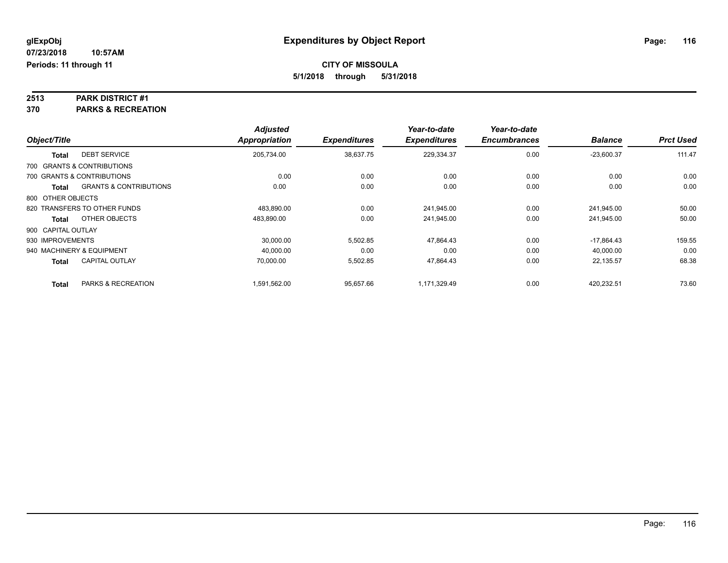# **2513 PARK DISTRICT #1**

**370 PARKS & RECREATION**

|                    |                                   | <b>Adjusted</b> |                     | Year-to-date        | Year-to-date        |                |                  |
|--------------------|-----------------------------------|-----------------|---------------------|---------------------|---------------------|----------------|------------------|
| Object/Title       |                                   | Appropriation   | <b>Expenditures</b> | <b>Expenditures</b> | <b>Encumbrances</b> | <b>Balance</b> | <b>Prct Used</b> |
| <b>Total</b>       | <b>DEBT SERVICE</b>               | 205,734.00      | 38,637.75           | 229,334.37          | 0.00                | $-23,600.37$   | 111.47           |
|                    | 700 GRANTS & CONTRIBUTIONS        |                 |                     |                     |                     |                |                  |
|                    | 700 GRANTS & CONTRIBUTIONS        | 0.00            | 0.00                | 0.00                | 0.00                | 0.00           | 0.00             |
| <b>Total</b>       | <b>GRANTS &amp; CONTRIBUTIONS</b> | 0.00            | 0.00                | 0.00                | 0.00                | 0.00           | 0.00             |
| 800 OTHER OBJECTS  |                                   |                 |                     |                     |                     |                |                  |
|                    | 820 TRANSFERS TO OTHER FUNDS      | 483.890.00      | 0.00                | 241,945.00          | 0.00                | 241.945.00     | 50.00            |
| <b>Total</b>       | OTHER OBJECTS                     | 483,890.00      | 0.00                | 241,945.00          | 0.00                | 241,945.00     | 50.00            |
| 900 CAPITAL OUTLAY |                                   |                 |                     |                     |                     |                |                  |
| 930 IMPROVEMENTS   |                                   | 30,000.00       | 5,502.85            | 47,864.43           | 0.00                | $-17.864.43$   | 159.55           |
|                    | 940 MACHINERY & EQUIPMENT         | 40,000.00       | 0.00                | 0.00                | 0.00                | 40,000.00      | 0.00             |
| <b>Total</b>       | <b>CAPITAL OUTLAY</b>             | 70,000.00       | 5,502.85            | 47,864.43           | 0.00                | 22,135.57      | 68.38            |
| <b>Total</b>       | PARKS & RECREATION                | 1.591.562.00    | 95.657.66           | 1.171.329.49        | 0.00                | 420.232.51     | 73.60            |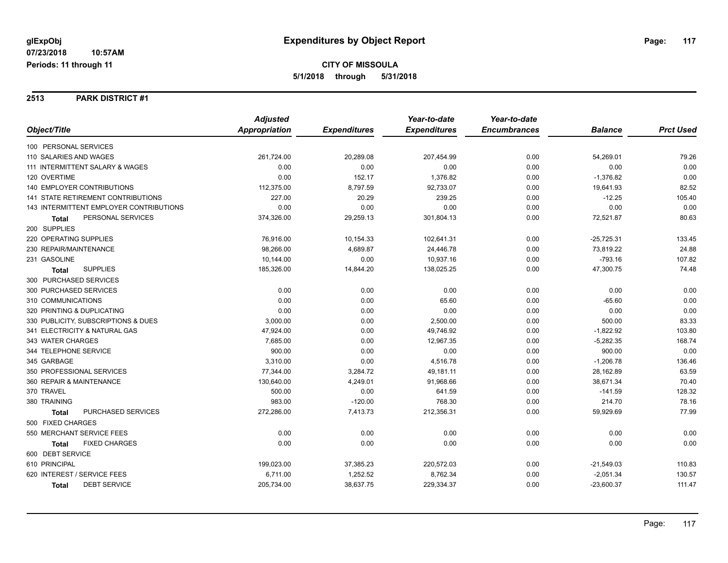**2513 PARK DISTRICT #1**

|                                         | <b>Adjusted</b> |                     | Year-to-date        | Year-to-date        |                |                  |
|-----------------------------------------|-----------------|---------------------|---------------------|---------------------|----------------|------------------|
| Object/Title                            | Appropriation   | <b>Expenditures</b> | <b>Expenditures</b> | <b>Encumbrances</b> | <b>Balance</b> | <b>Prct Used</b> |
| 100 PERSONAL SERVICES                   |                 |                     |                     |                     |                |                  |
| 110 SALARIES AND WAGES                  | 261,724.00      | 20,289.08           | 207,454.99          | 0.00                | 54,269.01      | 79.26            |
| 111 INTERMITTENT SALARY & WAGES         | 0.00            | 0.00                | 0.00                | 0.00                | 0.00           | 0.00             |
| 120 OVERTIME                            | 0.00            | 152.17              | 1,376.82            | 0.00                | $-1,376.82$    | 0.00             |
| 140 EMPLOYER CONTRIBUTIONS              | 112,375.00      | 8,797.59            | 92,733.07           | 0.00                | 19,641.93      | 82.52            |
| 141 STATE RETIREMENT CONTRIBUTIONS      | 227.00          | 20.29               | 239.25              | 0.00                | $-12.25$       | 105.40           |
| 143 INTERMITTENT EMPLOYER CONTRIBUTIONS | 0.00            | 0.00                | 0.00                | 0.00                | 0.00           | 0.00             |
| PERSONAL SERVICES<br><b>Total</b>       | 374,326.00      | 29,259.13           | 301,804.13          | 0.00                | 72,521.87      | 80.63            |
| 200 SUPPLIES                            |                 |                     |                     |                     |                |                  |
| 220 OPERATING SUPPLIES                  | 76,916.00       | 10,154.33           | 102,641.31          | 0.00                | $-25,725.31$   | 133.45           |
| 230 REPAIR/MAINTENANCE                  | 98,266.00       | 4,689.87            | 24,446.78           | 0.00                | 73,819.22      | 24.88            |
| 231 GASOLINE                            | 10,144.00       | 0.00                | 10,937.16           | 0.00                | $-793.16$      | 107.82           |
| <b>SUPPLIES</b><br>Total                | 185,326.00      | 14,844.20           | 138,025.25          | 0.00                | 47,300.75      | 74.48            |
| 300 PURCHASED SERVICES                  |                 |                     |                     |                     |                |                  |
| 300 PURCHASED SERVICES                  | 0.00            | 0.00                | 0.00                | 0.00                | 0.00           | 0.00             |
| 310 COMMUNICATIONS                      | 0.00            | 0.00                | 65.60               | 0.00                | $-65.60$       | 0.00             |
| 320 PRINTING & DUPLICATING              | 0.00            | 0.00                | 0.00                | 0.00                | 0.00           | 0.00             |
| 330 PUBLICITY, SUBSCRIPTIONS & DUES     | 3,000.00        | 0.00                | 2,500.00            | 0.00                | 500.00         | 83.33            |
| 341 ELECTRICITY & NATURAL GAS           | 47,924.00       | 0.00                | 49,746.92           | 0.00                | $-1,822.92$    | 103.80           |
| 343 WATER CHARGES                       | 7,685.00        | 0.00                | 12,967.35           | 0.00                | $-5,282.35$    | 168.74           |
| 344 TELEPHONE SERVICE                   | 900.00          | 0.00                | 0.00                | 0.00                | 900.00         | 0.00             |
| 345 GARBAGE                             | 3,310.00        | 0.00                | 4,516.78            | 0.00                | $-1,206.78$    | 136.46           |
| 350 PROFESSIONAL SERVICES               | 77,344.00       | 3,284.72            | 49,181.11           | 0.00                | 28,162.89      | 63.59            |
| 360 REPAIR & MAINTENANCE                | 130,640.00      | 4,249.01            | 91,968.66           | 0.00                | 38,671.34      | 70.40            |
| 370 TRAVEL                              | 500.00          | 0.00                | 641.59              | 0.00                | $-141.59$      | 128.32           |
| 380 TRAINING                            | 983.00          | $-120.00$           | 768.30              | 0.00                | 214.70         | 78.16            |
| PURCHASED SERVICES<br><b>Total</b>      | 272,286.00      | 7,413.73            | 212,356.31          | 0.00                | 59,929.69      | 77.99            |
| 500 FIXED CHARGES                       |                 |                     |                     |                     |                |                  |
| 550 MERCHANT SERVICE FEES               | 0.00            | 0.00                | 0.00                | 0.00                | 0.00           | 0.00             |
| <b>FIXED CHARGES</b><br><b>Total</b>    | 0.00            | 0.00                | 0.00                | 0.00                | 0.00           | 0.00             |
| 600 DEBT SERVICE                        |                 |                     |                     |                     |                |                  |
| 610 PRINCIPAL                           | 199,023.00      | 37,385.23           | 220,572.03          | 0.00                | $-21,549.03$   | 110.83           |
| 620 INTEREST / SERVICE FEES             | 6,711.00        | 1,252.52            | 8,762.34            | 0.00                | $-2,051.34$    | 130.57           |
| <b>DEBT SERVICE</b><br><b>Total</b>     | 205,734.00      | 38,637.75           | 229,334.37          | 0.00                | $-23,600.37$   | 111.47           |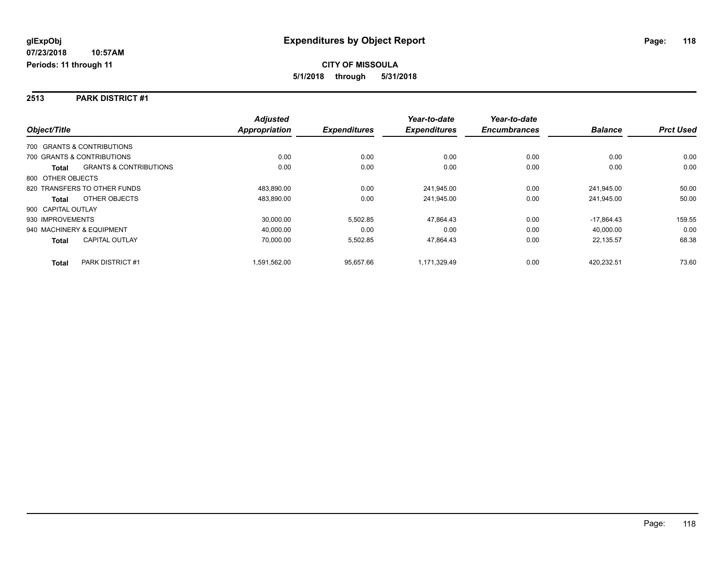#### **2513 PARK DISTRICT #1**

|                    |                                   | <b>Adjusted</b>      |                     | Year-to-date        | Year-to-date        |                |                  |
|--------------------|-----------------------------------|----------------------|---------------------|---------------------|---------------------|----------------|------------------|
| Object/Title       |                                   | <b>Appropriation</b> | <b>Expenditures</b> | <b>Expenditures</b> | <b>Encumbrances</b> | <b>Balance</b> | <b>Prct Used</b> |
|                    | 700 GRANTS & CONTRIBUTIONS        |                      |                     |                     |                     |                |                  |
|                    | 700 GRANTS & CONTRIBUTIONS        | 0.00                 | 0.00                | 0.00                | 0.00                | 0.00           | 0.00             |
| <b>Total</b>       | <b>GRANTS &amp; CONTRIBUTIONS</b> | 0.00                 | 0.00                | 0.00                | 0.00                | 0.00           | 0.00             |
| 800 OTHER OBJECTS  |                                   |                      |                     |                     |                     |                |                  |
|                    | 820 TRANSFERS TO OTHER FUNDS      | 483,890.00           | 0.00                | 241.945.00          | 0.00                | 241.945.00     | 50.00            |
| Total              | OTHER OBJECTS                     | 483,890.00           | 0.00                | 241,945.00          | 0.00                | 241.945.00     | 50.00            |
| 900 CAPITAL OUTLAY |                                   |                      |                     |                     |                     |                |                  |
| 930 IMPROVEMENTS   |                                   | 30.000.00            | 5.502.85            | 47.864.43           | 0.00                | $-17.864.43$   | 159.55           |
|                    | 940 MACHINERY & EQUIPMENT         | 40,000.00            | 0.00                | 0.00                | 0.00                | 40.000.00      | 0.00             |
| <b>Total</b>       | <b>CAPITAL OUTLAY</b>             | 70,000.00            | 5,502.85            | 47,864.43           | 0.00                | 22,135.57      | 68.38            |
| <b>Total</b>       | <b>PARK DISTRICT#1</b>            | 1,591,562.00         | 95,657.66           | 1.171.329.49        | 0.00                | 420.232.51     | 73.60            |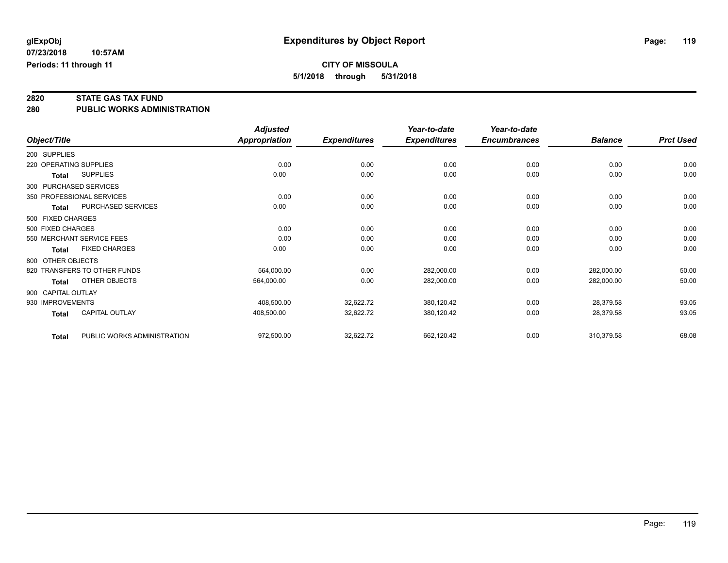# **2820 STATE GAS TAX FUND**

**280 PUBLIC WORKS ADMINISTRATION**

|                        |                              | <b>Adjusted</b>      |                     | Year-to-date        | Year-to-date        |                |                  |
|------------------------|------------------------------|----------------------|---------------------|---------------------|---------------------|----------------|------------------|
| Object/Title           |                              | <b>Appropriation</b> | <b>Expenditures</b> | <b>Expenditures</b> | <b>Encumbrances</b> | <b>Balance</b> | <b>Prct Used</b> |
| 200 SUPPLIES           |                              |                      |                     |                     |                     |                |                  |
| 220 OPERATING SUPPLIES |                              | 0.00                 | 0.00                | 0.00                | 0.00                | 0.00           | 0.00             |
| Total                  | <b>SUPPLIES</b>              | 0.00                 | 0.00                | 0.00                | 0.00                | 0.00           | 0.00             |
|                        | 300 PURCHASED SERVICES       |                      |                     |                     |                     |                |                  |
|                        | 350 PROFESSIONAL SERVICES    | 0.00                 | 0.00                | 0.00                | 0.00                | 0.00           | 0.00             |
| Total                  | PURCHASED SERVICES           | 0.00                 | 0.00                | 0.00                | 0.00                | 0.00           | 0.00             |
| 500 FIXED CHARGES      |                              |                      |                     |                     |                     |                |                  |
| 500 FIXED CHARGES      |                              | 0.00                 | 0.00                | 0.00                | 0.00                | 0.00           | 0.00             |
|                        | 550 MERCHANT SERVICE FEES    | 0.00                 | 0.00                | 0.00                | 0.00                | 0.00           | 0.00             |
| <b>Total</b>           | <b>FIXED CHARGES</b>         | 0.00                 | 0.00                | 0.00                | 0.00                | 0.00           | 0.00             |
| 800 OTHER OBJECTS      |                              |                      |                     |                     |                     |                |                  |
|                        | 820 TRANSFERS TO OTHER FUNDS | 564,000.00           | 0.00                | 282,000.00          | 0.00                | 282,000.00     | 50.00            |
| <b>Total</b>           | OTHER OBJECTS                | 564,000.00           | 0.00                | 282,000.00          | 0.00                | 282,000.00     | 50.00            |
| 900 CAPITAL OUTLAY     |                              |                      |                     |                     |                     |                |                  |
| 930 IMPROVEMENTS       |                              | 408,500.00           | 32,622.72           | 380,120.42          | 0.00                | 28,379.58      | 93.05            |
| <b>Total</b>           | <b>CAPITAL OUTLAY</b>        | 408,500.00           | 32,622.72           | 380,120.42          | 0.00                | 28,379.58      | 93.05            |
| <b>Total</b>           | PUBLIC WORKS ADMINISTRATION  | 972,500.00           | 32,622.72           | 662,120.42          | 0.00                | 310,379.58     | 68.08            |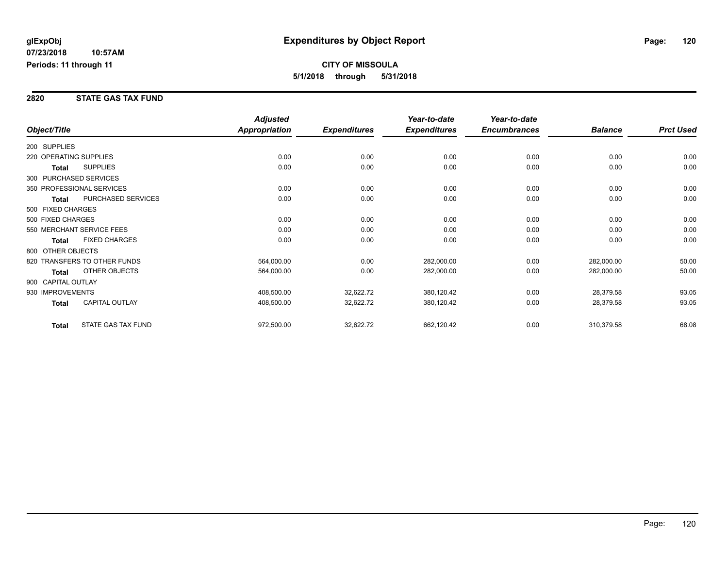### **2820 STATE GAS TAX FUND**

|                        |                              | <b>Adjusted</b>      |                     | Year-to-date        | Year-to-date        |                |                  |
|------------------------|------------------------------|----------------------|---------------------|---------------------|---------------------|----------------|------------------|
| Object/Title           |                              | <b>Appropriation</b> | <b>Expenditures</b> | <b>Expenditures</b> | <b>Encumbrances</b> | <b>Balance</b> | <b>Prct Used</b> |
| 200 SUPPLIES           |                              |                      |                     |                     |                     |                |                  |
| 220 OPERATING SUPPLIES |                              | 0.00                 | 0.00                | 0.00                | 0.00                | 0.00           | 0.00             |
| <b>Total</b>           | <b>SUPPLIES</b>              | 0.00                 | 0.00                | 0.00                | 0.00                | 0.00           | 0.00             |
| 300 PURCHASED SERVICES |                              |                      |                     |                     |                     |                |                  |
|                        | 350 PROFESSIONAL SERVICES    | 0.00                 | 0.00                | 0.00                | 0.00                | 0.00           | 0.00             |
| <b>Total</b>           | PURCHASED SERVICES           | 0.00                 | 0.00                | 0.00                | 0.00                | 0.00           | 0.00             |
| 500 FIXED CHARGES      |                              |                      |                     |                     |                     |                |                  |
| 500 FIXED CHARGES      |                              | 0.00                 | 0.00                | 0.00                | 0.00                | 0.00           | 0.00             |
|                        | 550 MERCHANT SERVICE FEES    | 0.00                 | 0.00                | 0.00                | 0.00                | 0.00           | 0.00             |
| <b>Total</b>           | <b>FIXED CHARGES</b>         | 0.00                 | 0.00                | 0.00                | 0.00                | 0.00           | 0.00             |
| 800 OTHER OBJECTS      |                              |                      |                     |                     |                     |                |                  |
|                        | 820 TRANSFERS TO OTHER FUNDS | 564,000.00           | 0.00                | 282,000.00          | 0.00                | 282,000.00     | 50.00            |
| <b>Total</b>           | OTHER OBJECTS                | 564,000.00           | 0.00                | 282,000.00          | 0.00                | 282,000.00     | 50.00            |
| 900 CAPITAL OUTLAY     |                              |                      |                     |                     |                     |                |                  |
| 930 IMPROVEMENTS       |                              | 408,500.00           | 32,622.72           | 380,120.42          | 0.00                | 28,379.58      | 93.05            |
| <b>Total</b>           | <b>CAPITAL OUTLAY</b>        | 408,500.00           | 32,622.72           | 380,120.42          | 0.00                | 28,379.58      | 93.05            |
| <b>Total</b>           | <b>STATE GAS TAX FUND</b>    | 972,500.00           | 32,622.72           | 662,120.42          | 0.00                | 310,379.58     | 68.08            |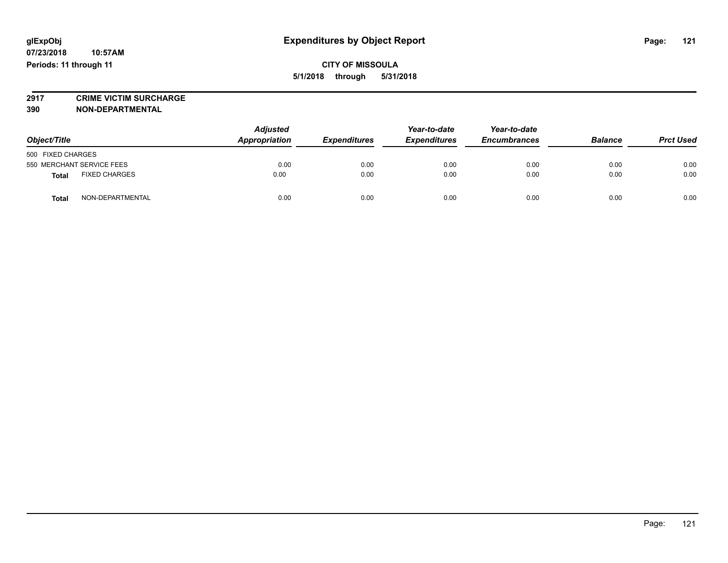**2917 CRIME VICTIM SURCHARGE**

**390 NON-DEPARTMENTAL**

| Object/Title                         | <b>Adjusted</b><br>Appropriation | <b>Expenditures</b> | Year-to-date<br><b>Expenditures</b> | Year-to-date<br><b>Encumbrances</b> | <b>Balance</b> | <b>Prct Used</b> |
|--------------------------------------|----------------------------------|---------------------|-------------------------------------|-------------------------------------|----------------|------------------|
| 500 FIXED CHARGES                    |                                  |                     |                                     |                                     |                |                  |
| 550 MERCHANT SERVICE FEES            | 0.00                             | 0.00                | 0.00                                | 0.00                                | 0.00           | 0.00             |
| <b>FIXED CHARGES</b><br><b>Total</b> | 0.00                             | 0.00                | 0.00                                | 0.00                                | 0.00           | 0.00             |
| NON-DEPARTMENTAL<br>Total            | 0.00                             | 0.00                | 0.00                                | 0.00                                | 0.00           | 0.00             |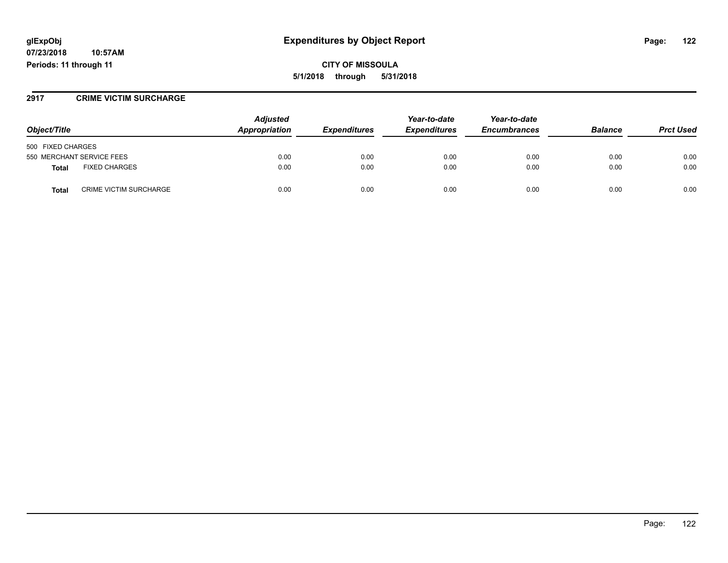**07/23/2018 10:57AM Periods: 11 through 11**

**CITY OF MISSOULA 5/1/2018 through 5/31/2018**

### **2917 CRIME VICTIM SURCHARGE**

|                                               | <b>Adjusted</b> |                     | Year-to-date        | Year-to-date        |                |                  |
|-----------------------------------------------|-----------------|---------------------|---------------------|---------------------|----------------|------------------|
| Object/Title                                  | Appropriation   | <b>Expenditures</b> | <b>Expenditures</b> | <b>Encumbrances</b> | <b>Balance</b> | <b>Prct Used</b> |
| 500 FIXED CHARGES                             |                 |                     |                     |                     |                |                  |
| 550 MERCHANT SERVICE FEES                     | 0.00            | 0.00                | 0.00                | 0.00                | 0.00           | 0.00             |
| <b>FIXED CHARGES</b><br>Total                 | 0.00            | 0.00                | 0.00                | 0.00                | 0.00           | 0.00             |
| <b>CRIME VICTIM SURCHARGE</b><br><b>Total</b> | 0.00            | 0.00                | 0.00                | 0.00                | 0.00           | 0.00             |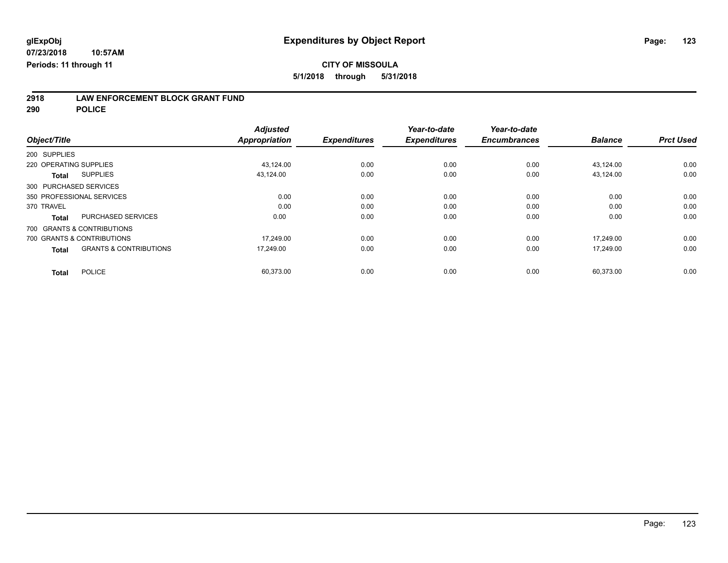# **2918 LAW ENFORCEMENT BLOCK GRANT FUND**

**290 POLICE**

|                                                   | <b>Adjusted</b>      |                     | Year-to-date        | Year-to-date        |                |                  |
|---------------------------------------------------|----------------------|---------------------|---------------------|---------------------|----------------|------------------|
| Object/Title                                      | <b>Appropriation</b> | <b>Expenditures</b> | <b>Expenditures</b> | <b>Encumbrances</b> | <b>Balance</b> | <b>Prct Used</b> |
| 200 SUPPLIES                                      |                      |                     |                     |                     |                |                  |
| 220 OPERATING SUPPLIES                            | 43,124.00            | 0.00                | 0.00                | 0.00                | 43,124.00      | 0.00             |
| <b>SUPPLIES</b><br><b>Total</b>                   | 43,124.00            | 0.00                | 0.00                | 0.00                | 43.124.00      | 0.00             |
| 300 PURCHASED SERVICES                            |                      |                     |                     |                     |                |                  |
| 350 PROFESSIONAL SERVICES                         | 0.00                 | 0.00                | 0.00                | 0.00                | 0.00           | 0.00             |
| 370 TRAVEL                                        | 0.00                 | 0.00                | 0.00                | 0.00                | 0.00           | 0.00             |
| <b>PURCHASED SERVICES</b><br><b>Total</b>         | 0.00                 | 0.00                | 0.00                | 0.00                | 0.00           | 0.00             |
| 700 GRANTS & CONTRIBUTIONS                        |                      |                     |                     |                     |                |                  |
| 700 GRANTS & CONTRIBUTIONS                        | 17.249.00            | 0.00                | 0.00                | 0.00                | 17.249.00      | 0.00             |
| <b>GRANTS &amp; CONTRIBUTIONS</b><br><b>Total</b> | 17.249.00            | 0.00                | 0.00                | 0.00                | 17.249.00      | 0.00             |
| <b>POLICE</b><br><b>Total</b>                     | 60,373.00            | 0.00                | 0.00                | 0.00                | 60,373.00      | 0.00             |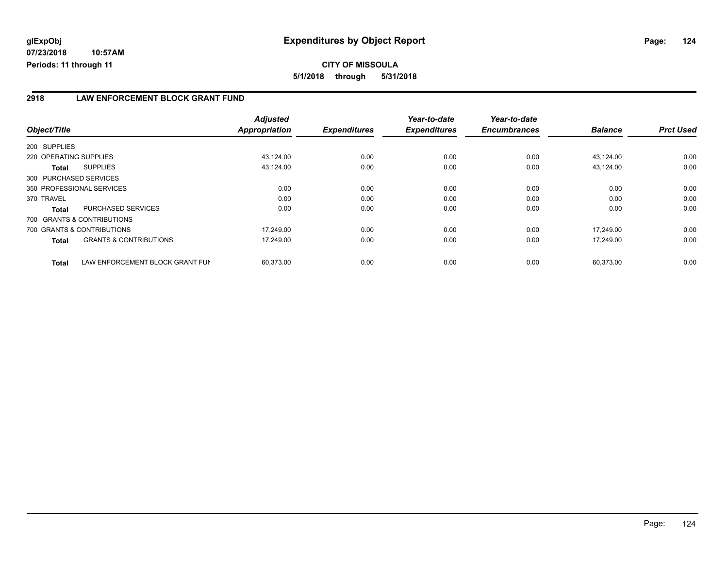### **07/23/2018 10:57AM Periods: 11 through 11**

# **CITY OF MISSOULA 5/1/2018 through 5/31/2018**

### **2918 LAW ENFORCEMENT BLOCK GRANT FUND**

|                                                   | <b>Adjusted</b> |                     | Year-to-date        | Year-to-date        |                |                  |
|---------------------------------------------------|-----------------|---------------------|---------------------|---------------------|----------------|------------------|
| Object/Title                                      | Appropriation   | <b>Expenditures</b> | <b>Expenditures</b> | <b>Encumbrances</b> | <b>Balance</b> | <b>Prct Used</b> |
| 200 SUPPLIES                                      |                 |                     |                     |                     |                |                  |
| 220 OPERATING SUPPLIES                            | 43,124.00       | 0.00                | 0.00                | 0.00                | 43.124.00      | 0.00             |
| <b>SUPPLIES</b><br>Total                          | 43,124.00       | 0.00                | 0.00                | 0.00                | 43,124.00      | 0.00             |
| 300 PURCHASED SERVICES                            |                 |                     |                     |                     |                |                  |
| 350 PROFESSIONAL SERVICES                         | 0.00            | 0.00                | 0.00                | 0.00                | 0.00           | 0.00             |
| 370 TRAVEL                                        | 0.00            | 0.00                | 0.00                | 0.00                | 0.00           | 0.00             |
| <b>PURCHASED SERVICES</b><br><b>Total</b>         | 0.00            | 0.00                | 0.00                | 0.00                | 0.00           | 0.00             |
| 700 GRANTS & CONTRIBUTIONS                        |                 |                     |                     |                     |                |                  |
| 700 GRANTS & CONTRIBUTIONS                        | 17.249.00       | 0.00                | 0.00                | 0.00                | 17,249.00      | 0.00             |
| <b>GRANTS &amp; CONTRIBUTIONS</b><br><b>Total</b> | 17,249.00       | 0.00                | 0.00                | 0.00                | 17,249.00      | 0.00             |
| LAW ENFORCEMENT BLOCK GRANT FUN<br><b>Total</b>   | 60,373.00       | 0.00                | 0.00                | 0.00                | 60,373.00      | 0.00             |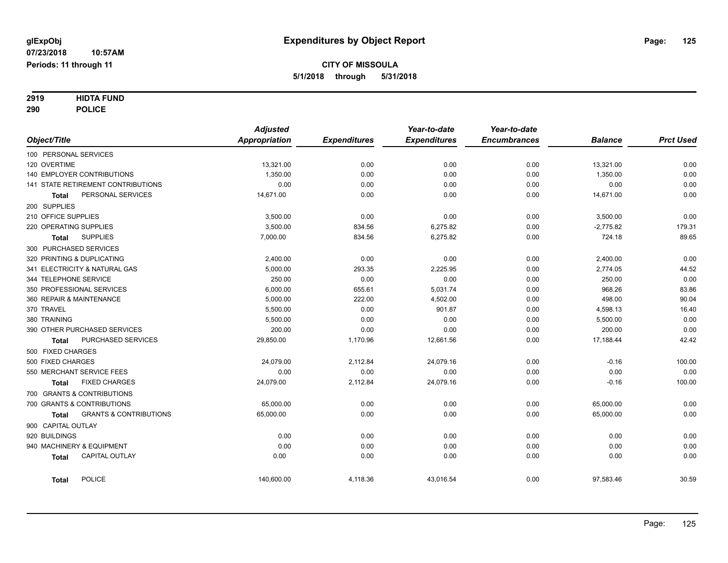# **2919 HIDTA FUND**

**290 POLICE**

|                   |                                    | <b>Adjusted</b> |                     | Year-to-date        | Year-to-date        |                |                  |
|-------------------|------------------------------------|-----------------|---------------------|---------------------|---------------------|----------------|------------------|
| Object/Title      |                                    | Appropriation   | <b>Expenditures</b> | <b>Expenditures</b> | <b>Encumbrances</b> | <b>Balance</b> | <b>Prct Used</b> |
|                   | 100 PERSONAL SERVICES              |                 |                     |                     |                     |                |                  |
| 120 OVERTIME      |                                    | 13,321.00       | 0.00                | 0.00                | 0.00                | 13,321.00      | 0.00             |
|                   | <b>140 EMPLOYER CONTRIBUTIONS</b>  | 1,350.00        | 0.00                | 0.00                | 0.00                | 1,350.00       | 0.00             |
|                   | 141 STATE RETIREMENT CONTRIBUTIONS | 0.00            | 0.00                | 0.00                | 0.00                | 0.00           | 0.00             |
| <b>Total</b>      | PERSONAL SERVICES                  | 14,671.00       | 0.00                | 0.00                | 0.00                | 14,671.00      | 0.00             |
| 200 SUPPLIES      |                                    |                 |                     |                     |                     |                |                  |
|                   | 210 OFFICE SUPPLIES                | 3,500.00        | 0.00                | 0.00                | 0.00                | 3,500.00       | 0.00             |
|                   | 220 OPERATING SUPPLIES             | 3,500.00        | 834.56              | 6,275.82            | 0.00                | $-2,775.82$    | 179.31           |
| <b>Total</b>      | <b>SUPPLIES</b>                    | 7,000.00        | 834.56              | 6,275.82            | 0.00                | 724.18         | 89.65            |
|                   | 300 PURCHASED SERVICES             |                 |                     |                     |                     |                |                  |
|                   | 320 PRINTING & DUPLICATING         | 2,400.00        | 0.00                | 0.00                | 0.00                | 2,400.00       | 0.00             |
|                   | 341 ELECTRICITY & NATURAL GAS      | 5,000.00        | 293.35              | 2,225.95            | 0.00                | 2,774.05       | 44.52            |
|                   | 344 TELEPHONE SERVICE              | 250.00          | 0.00                | 0.00                | 0.00                | 250.00         | 0.00             |
|                   | 350 PROFESSIONAL SERVICES          | 6,000.00        | 655.61              | 5,031.74            | 0.00                | 968.26         | 83.86            |
|                   | 360 REPAIR & MAINTENANCE           | 5,000.00        | 222.00              | 4,502.00            | 0.00                | 498.00         | 90.04            |
| 370 TRAVEL        |                                    | 5,500.00        | 0.00                | 901.87              | 0.00                | 4,598.13       | 16.40            |
| 380 TRAINING      |                                    | 5,500.00        | 0.00                | 0.00                | 0.00                | 5,500.00       | 0.00             |
|                   | 390 OTHER PURCHASED SERVICES       | 200.00          | 0.00                | 0.00                | 0.00                | 200.00         | 0.00             |
| <b>Total</b>      | PURCHASED SERVICES                 | 29,850.00       | 1,170.96            | 12,661.56           | 0.00                | 17,188.44      | 42.42            |
|                   | 500 FIXED CHARGES                  |                 |                     |                     |                     |                |                  |
| 500 FIXED CHARGES |                                    | 24,079.00       | 2,112.84            | 24,079.16           | 0.00                | $-0.16$        | 100.00           |
|                   | 550 MERCHANT SERVICE FEES          | 0.00            | 0.00                | 0.00                | 0.00                | 0.00           | 0.00             |
| <b>Total</b>      | <b>FIXED CHARGES</b>               | 24,079.00       | 2,112.84            | 24,079.16           | 0.00                | $-0.16$        | 100.00           |
|                   | 700 GRANTS & CONTRIBUTIONS         |                 |                     |                     |                     |                |                  |
|                   | 700 GRANTS & CONTRIBUTIONS         | 65,000.00       | 0.00                | 0.00                | 0.00                | 65,000.00      | 0.00             |
| <b>Total</b>      | <b>GRANTS &amp; CONTRIBUTIONS</b>  | 65,000.00       | 0.00                | 0.00                | 0.00                | 65,000.00      | 0.00             |
|                   | 900 CAPITAL OUTLAY                 |                 |                     |                     |                     |                |                  |
| 920 BUILDINGS     |                                    | 0.00            | 0.00                | 0.00                | 0.00                | 0.00           | 0.00             |
|                   | 940 MACHINERY & EQUIPMENT          | 0.00            | 0.00                | 0.00                | 0.00                | 0.00           | 0.00             |
| <b>Total</b>      | <b>CAPITAL OUTLAY</b>              | 0.00            | 0.00                | 0.00                | 0.00                | 0.00           | 0.00             |
| <b>Total</b>      | <b>POLICE</b>                      | 140,600.00      | 4,118.36            | 43,016.54           | 0.00                | 97,583.46      | 30.59            |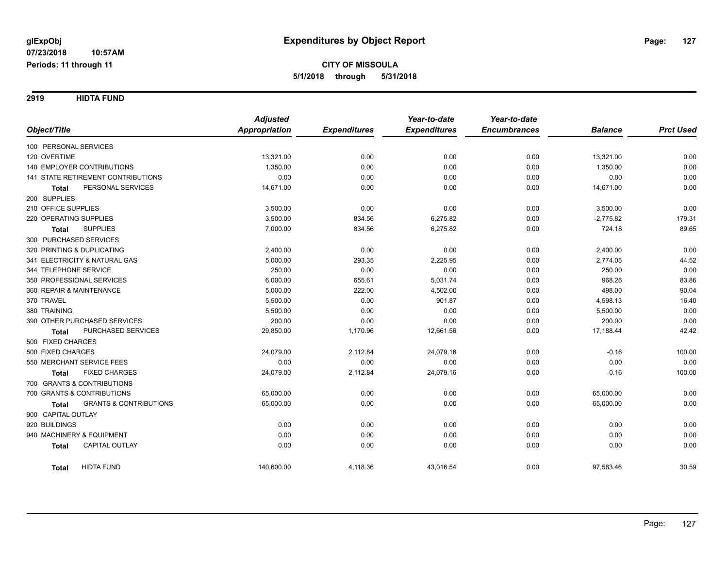**2919 HIDTA FUND**

|                                            | <b>Adjusted</b>      |                     | Year-to-date        | Year-to-date        |                |                  |
|--------------------------------------------|----------------------|---------------------|---------------------|---------------------|----------------|------------------|
| Object/Title                               | <b>Appropriation</b> | <b>Expenditures</b> | <b>Expenditures</b> | <b>Encumbrances</b> | <b>Balance</b> | <b>Prct Used</b> |
| 100 PERSONAL SERVICES                      |                      |                     |                     |                     |                |                  |
| 120 OVERTIME                               | 13,321.00            | 0.00                | 0.00                | 0.00                | 13,321.00      | 0.00             |
| <b>140 EMPLOYER CONTRIBUTIONS</b>          | 1,350.00             | 0.00                | 0.00                | 0.00                | 1,350.00       | 0.00             |
| 141 STATE RETIREMENT CONTRIBUTIONS         | 0.00                 | 0.00                | 0.00                | 0.00                | 0.00           | 0.00             |
| PERSONAL SERVICES<br><b>Total</b>          | 14,671.00            | 0.00                | 0.00                | 0.00                | 14,671.00      | 0.00             |
| 200 SUPPLIES                               |                      |                     |                     |                     |                |                  |
| 210 OFFICE SUPPLIES                        | 3,500.00             | 0.00                | 0.00                | 0.00                | 3,500.00       | 0.00             |
| 220 OPERATING SUPPLIES                     | 3,500.00             | 834.56              | 6,275.82            | 0.00                | $-2,775.82$    | 179.31           |
| <b>SUPPLIES</b><br>Total                   | 7,000.00             | 834.56              | 6,275.82            | 0.00                | 724.18         | 89.65            |
| 300 PURCHASED SERVICES                     |                      |                     |                     |                     |                |                  |
| 320 PRINTING & DUPLICATING                 | 2,400.00             | 0.00                | 0.00                | 0.00                | 2,400.00       | 0.00             |
| 341 ELECTRICITY & NATURAL GAS              | 5,000.00             | 293.35              | 2,225.95            | 0.00                | 2,774.05       | 44.52            |
| 344 TELEPHONE SERVICE                      | 250.00               | 0.00                | 0.00                | 0.00                | 250.00         | 0.00             |
| 350 PROFESSIONAL SERVICES                  | 6,000.00             | 655.61              | 5,031.74            | 0.00                | 968.26         | 83.86            |
| 360 REPAIR & MAINTENANCE                   | 5,000.00             | 222.00              | 4,502.00            | 0.00                | 498.00         | 90.04            |
| 370 TRAVEL                                 | 5,500.00             | 0.00                | 901.87              | 0.00                | 4,598.13       | 16.40            |
| 380 TRAINING                               | 5,500.00             | 0.00                | 0.00                | 0.00                | 5,500.00       | 0.00             |
| 390 OTHER PURCHASED SERVICES               | 200.00               | 0.00                | 0.00                | 0.00                | 200.00         | 0.00             |
| PURCHASED SERVICES<br>Total                | 29,850.00            | 1,170.96            | 12,661.56           | 0.00                | 17,188.44      | 42.42            |
| 500 FIXED CHARGES                          |                      |                     |                     |                     |                |                  |
| 500 FIXED CHARGES                          | 24,079.00            | 2,112.84            | 24,079.16           | 0.00                | $-0.16$        | 100.00           |
| 550 MERCHANT SERVICE FEES                  | 0.00                 | 0.00                | 0.00                | 0.00                | 0.00           | 0.00             |
| <b>FIXED CHARGES</b><br>Total              | 24,079.00            | 2,112.84            | 24,079.16           | 0.00                | $-0.16$        | 100.00           |
| 700 GRANTS & CONTRIBUTIONS                 |                      |                     |                     |                     |                |                  |
| 700 GRANTS & CONTRIBUTIONS                 | 65,000.00            | 0.00                | 0.00                | 0.00                | 65,000.00      | 0.00             |
| <b>GRANTS &amp; CONTRIBUTIONS</b><br>Total | 65,000.00            | 0.00                | 0.00                | 0.00                | 65,000.00      | 0.00             |
| 900 CAPITAL OUTLAY                         |                      |                     |                     |                     |                |                  |
| 920 BUILDINGS                              | 0.00                 | 0.00                | 0.00                | 0.00                | 0.00           | 0.00             |
| 940 MACHINERY & EQUIPMENT                  | 0.00                 | 0.00                | 0.00                | 0.00                | 0.00           | 0.00             |
| CAPITAL OUTLAY<br><b>Total</b>             | 0.00                 | 0.00                | 0.00                | 0.00                | 0.00           | 0.00             |
| <b>HIDTA FUND</b><br><b>Total</b>          | 140,600.00           | 4,118.36            | 43,016.54           | 0.00                | 97,583.46      | 30.59            |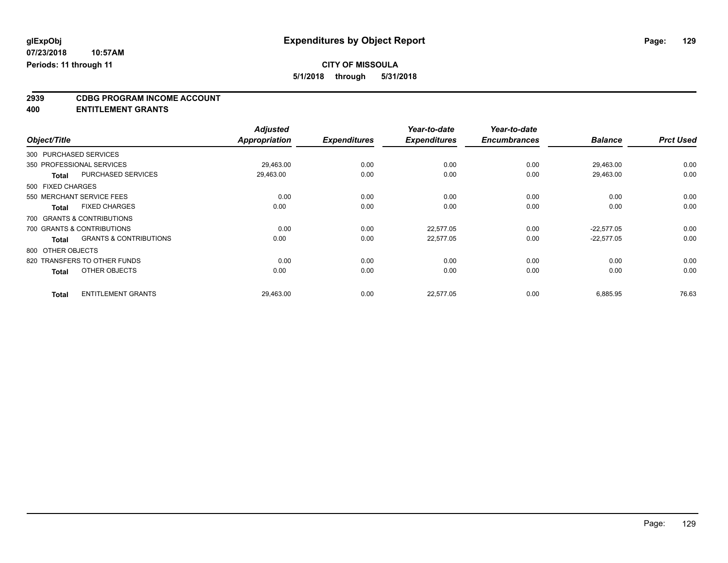# **2939 CDBG PROGRAM INCOME ACCOUNT**

**400 ENTITLEMENT GRANTS**

|                   |                                   | <b>Adjusted</b> |                     | Year-to-date        | Year-to-date        |                |                  |
|-------------------|-----------------------------------|-----------------|---------------------|---------------------|---------------------|----------------|------------------|
| Object/Title      |                                   | Appropriation   | <b>Expenditures</b> | <b>Expenditures</b> | <b>Encumbrances</b> | <b>Balance</b> | <b>Prct Used</b> |
|                   | 300 PURCHASED SERVICES            |                 |                     |                     |                     |                |                  |
|                   | 350 PROFESSIONAL SERVICES         | 29.463.00       | 0.00                | 0.00                | 0.00                | 29,463.00      | 0.00             |
| <b>Total</b>      | <b>PURCHASED SERVICES</b>         | 29,463.00       | 0.00                | 0.00                | 0.00                | 29,463.00      | 0.00             |
| 500 FIXED CHARGES |                                   |                 |                     |                     |                     |                |                  |
|                   | 550 MERCHANT SERVICE FEES         | 0.00            | 0.00                | 0.00                | 0.00                | 0.00           | 0.00             |
| <b>Total</b>      | <b>FIXED CHARGES</b>              | 0.00            | 0.00                | 0.00                | 0.00                | 0.00           | 0.00             |
|                   | 700 GRANTS & CONTRIBUTIONS        |                 |                     |                     |                     |                |                  |
|                   | 700 GRANTS & CONTRIBUTIONS        | 0.00            | 0.00                | 22,577.05           | 0.00                | $-22,577.05$   | 0.00             |
| <b>Total</b>      | <b>GRANTS &amp; CONTRIBUTIONS</b> | 0.00            | 0.00                | 22,577.05           | 0.00                | $-22,577.05$   | 0.00             |
| 800 OTHER OBJECTS |                                   |                 |                     |                     |                     |                |                  |
|                   | 820 TRANSFERS TO OTHER FUNDS      | 0.00            | 0.00                | 0.00                | 0.00                | 0.00           | 0.00             |
| <b>Total</b>      | OTHER OBJECTS                     | 0.00            | 0.00                | 0.00                | 0.00                | 0.00           | 0.00             |
| <b>Total</b>      | <b>ENTITLEMENT GRANTS</b>         | 29,463.00       | 0.00                | 22,577.05           | 0.00                | 6,885.95       | 76.63            |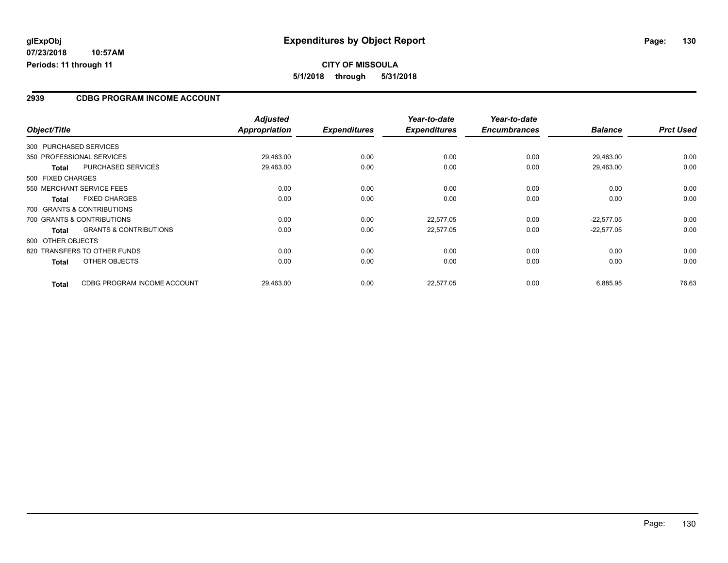### **07/23/2018 10:57AM Periods: 11 through 11**

### **2939 CDBG PROGRAM INCOME ACCOUNT**

| Object/Title      |                                   | <b>Adjusted</b><br><b>Appropriation</b> | <b>Expenditures</b> | Year-to-date<br><b>Expenditures</b> | Year-to-date<br><b>Encumbrances</b> | <b>Balance</b> | <b>Prct Used</b> |
|-------------------|-----------------------------------|-----------------------------------------|---------------------|-------------------------------------|-------------------------------------|----------------|------------------|
|                   |                                   |                                         |                     |                                     |                                     |                |                  |
|                   | 300 PURCHASED SERVICES            |                                         |                     |                                     |                                     |                |                  |
|                   | 350 PROFESSIONAL SERVICES         | 29,463.00                               | 0.00                | 0.00                                | 0.00                                | 29,463.00      | 0.00             |
| <b>Total</b>      | PURCHASED SERVICES                | 29,463.00                               | 0.00                | 0.00                                | 0.00                                | 29,463.00      | 0.00             |
| 500 FIXED CHARGES |                                   |                                         |                     |                                     |                                     |                |                  |
|                   | 550 MERCHANT SERVICE FEES         | 0.00                                    | 0.00                | 0.00                                | 0.00                                | 0.00           | 0.00             |
| <b>Total</b>      | <b>FIXED CHARGES</b>              | 0.00                                    | 0.00                | 0.00                                | 0.00                                | 0.00           | 0.00             |
|                   | 700 GRANTS & CONTRIBUTIONS        |                                         |                     |                                     |                                     |                |                  |
|                   | 700 GRANTS & CONTRIBUTIONS        | 0.00                                    | 0.00                | 22,577.05                           | 0.00                                | $-22,577.05$   | 0.00             |
| Total             | <b>GRANTS &amp; CONTRIBUTIONS</b> | 0.00                                    | 0.00                | 22,577.05                           | 0.00                                | $-22,577.05$   | 0.00             |
| 800 OTHER OBJECTS |                                   |                                         |                     |                                     |                                     |                |                  |
|                   | 820 TRANSFERS TO OTHER FUNDS      | 0.00                                    | 0.00                | 0.00                                | 0.00                                | 0.00           | 0.00             |
| <b>Total</b>      | OTHER OBJECTS                     | 0.00                                    | 0.00                | 0.00                                | 0.00                                | 0.00           | 0.00             |
| <b>Total</b>      | CDBG PROGRAM INCOME ACCOUNT       | 29,463.00                               | 0.00                | 22,577.05                           | 0.00                                | 6,885.95       | 76.63            |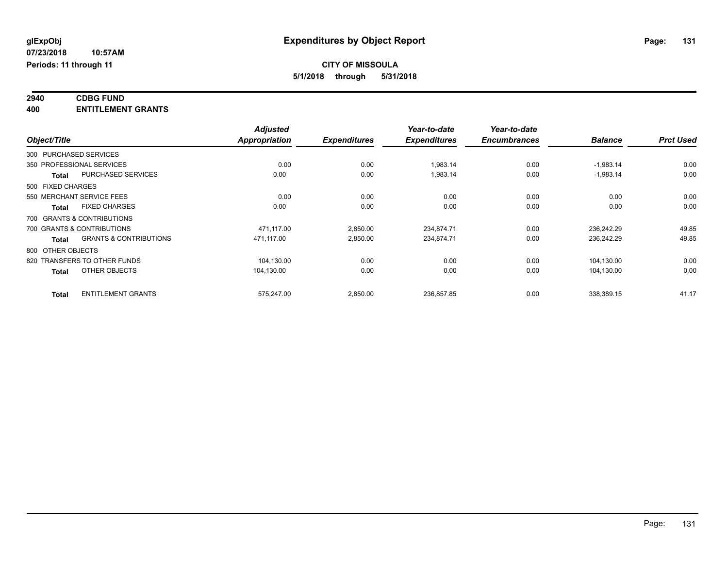### **2940 CDBG FUND 400 ENTITLEMENT GRANTS**

|              |                                   | <b>Adjusted</b> |                     | Year-to-date        | Year-to-date        |                |                  |
|--------------|-----------------------------------|-----------------|---------------------|---------------------|---------------------|----------------|------------------|
| Object/Title |                                   | Appropriation   | <b>Expenditures</b> | <b>Expenditures</b> | <b>Encumbrances</b> | <b>Balance</b> | <b>Prct Used</b> |
|              | 300 PURCHASED SERVICES            |                 |                     |                     |                     |                |                  |
|              | 350 PROFESSIONAL SERVICES         | 0.00            | 0.00                | 1,983.14            | 0.00                | $-1,983.14$    | 0.00             |
| Total        | <b>PURCHASED SERVICES</b>         | 0.00            | 0.00                | 1,983.14            | 0.00                | $-1,983.14$    | 0.00             |
|              | 500 FIXED CHARGES                 |                 |                     |                     |                     |                |                  |
|              | 550 MERCHANT SERVICE FEES         | 0.00            | 0.00                | 0.00                | 0.00                | 0.00           | 0.00             |
| <b>Total</b> | <b>FIXED CHARGES</b>              | 0.00            | 0.00                | 0.00                | 0.00                | 0.00           | 0.00             |
|              | 700 GRANTS & CONTRIBUTIONS        |                 |                     |                     |                     |                |                  |
|              | 700 GRANTS & CONTRIBUTIONS        | 471,117.00      | 2,850.00            | 234,874.71          | 0.00                | 236,242.29     | 49.85            |
| <b>Total</b> | <b>GRANTS &amp; CONTRIBUTIONS</b> | 471.117.00      | 2.850.00            | 234,874.71          | 0.00                | 236.242.29     | 49.85            |
|              | 800 OTHER OBJECTS                 |                 |                     |                     |                     |                |                  |
|              | 820 TRANSFERS TO OTHER FUNDS      | 104,130.00      | 0.00                | 0.00                | 0.00                | 104,130.00     | 0.00             |
| <b>Total</b> | OTHER OBJECTS                     | 104,130.00      | 0.00                | 0.00                | 0.00                | 104,130.00     | 0.00             |
| <b>Total</b> | <b>ENTITLEMENT GRANTS</b>         | 575,247.00      | 2,850.00            | 236,857.85          | 0.00                | 338,389.15     | 41.17            |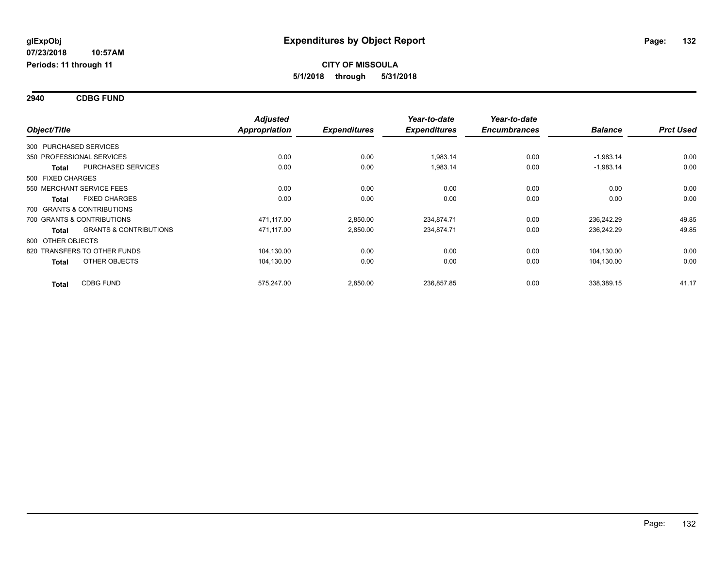**2940 CDBG FUND**

|                        |                                   | <b>Adjusted</b>      |                     | Year-to-date        | Year-to-date        |                |                  |
|------------------------|-----------------------------------|----------------------|---------------------|---------------------|---------------------|----------------|------------------|
| Object/Title           |                                   | <b>Appropriation</b> | <b>Expenditures</b> | <b>Expenditures</b> | <b>Encumbrances</b> | <b>Balance</b> | <b>Prct Used</b> |
| 300 PURCHASED SERVICES |                                   |                      |                     |                     |                     |                |                  |
|                        | 350 PROFESSIONAL SERVICES         | 0.00                 | 0.00                | 1,983.14            | 0.00                | $-1.983.14$    | 0.00             |
| <b>Total</b>           | <b>PURCHASED SERVICES</b>         | 0.00                 | 0.00                | 1,983.14            | 0.00                | $-1.983.14$    | 0.00             |
| 500 FIXED CHARGES      |                                   |                      |                     |                     |                     |                |                  |
|                        | 550 MERCHANT SERVICE FEES         | 0.00                 | 0.00                | 0.00                | 0.00                | 0.00           | 0.00             |
| <b>Total</b>           | <b>FIXED CHARGES</b>              | 0.00                 | 0.00                | 0.00                | 0.00                | 0.00           | 0.00             |
|                        | 700 GRANTS & CONTRIBUTIONS        |                      |                     |                     |                     |                |                  |
|                        | 700 GRANTS & CONTRIBUTIONS        | 471,117.00           | 2,850.00            | 234,874.71          | 0.00                | 236,242.29     | 49.85            |
| <b>Total</b>           | <b>GRANTS &amp; CONTRIBUTIONS</b> | 471,117.00           | 2,850.00            | 234,874.71          | 0.00                | 236,242.29     | 49.85            |
| 800 OTHER OBJECTS      |                                   |                      |                     |                     |                     |                |                  |
|                        | 820 TRANSFERS TO OTHER FUNDS      | 104,130.00           | 0.00                | 0.00                | 0.00                | 104,130.00     | 0.00             |
| <b>Total</b>           | OTHER OBJECTS                     | 104,130.00           | 0.00                | 0.00                | 0.00                | 104,130.00     | 0.00             |
| <b>Total</b>           | <b>CDBG FUND</b>                  | 575.247.00           | 2,850.00            | 236,857.85          | 0.00                | 338,389.15     | 41.17            |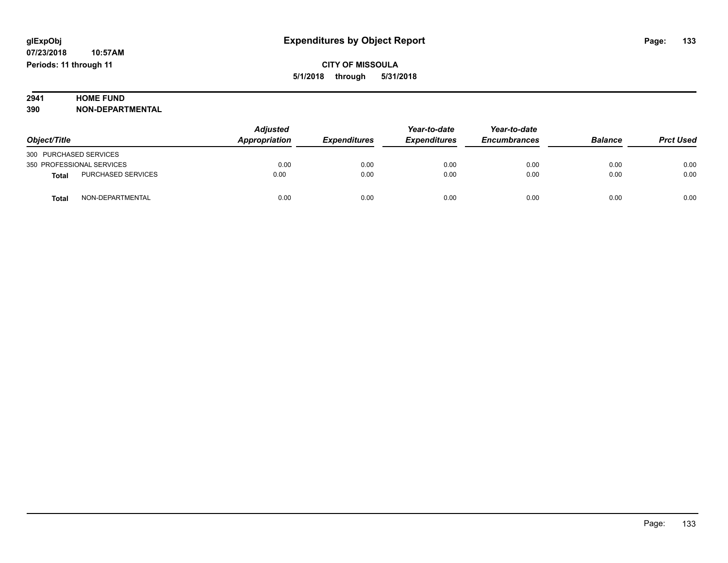# **2941 HOME FUND<br>390 NON-DEPART**

**390 NON-DEPARTMENTAL**

|                                    | <b>Adjusted</b> |                     | Year-to-date        | Year-to-date        |                |                  |
|------------------------------------|-----------------|---------------------|---------------------|---------------------|----------------|------------------|
| Object/Title                       | Appropriation   | <b>Expenditures</b> | <b>Expenditures</b> | <b>Encumbrances</b> | <b>Balance</b> | <b>Prct Used</b> |
| 300 PURCHASED SERVICES             |                 |                     |                     |                     |                |                  |
| 350 PROFESSIONAL SERVICES          | 0.00            | 0.00                | 0.00                | 0.00                | 0.00           | 0.00             |
| PURCHASED SERVICES<br><b>Total</b> | 0.00            | 0.00                | 0.00                | 0.00                | 0.00           | 0.00             |
| NON-DEPARTMENTAL<br>Total          | 0.00            | 0.00                | 0.00                | 0.00                | 0.00           | 0.00             |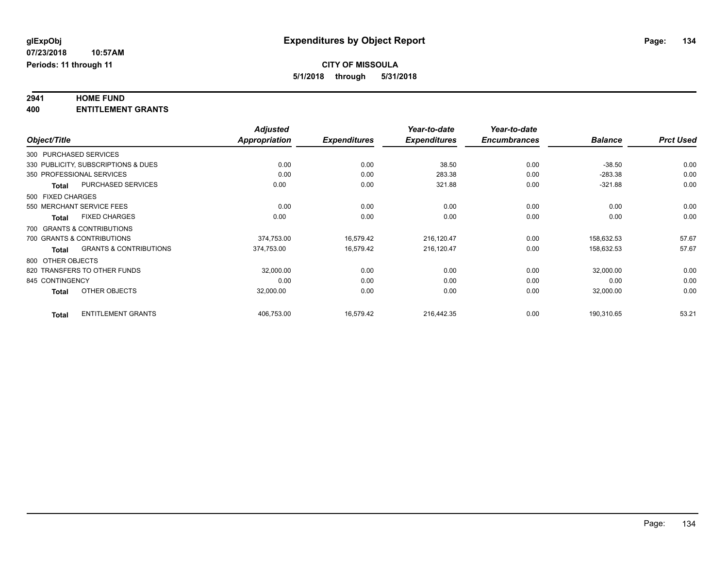# **2941 HOME FUND**

**400 ENTITLEMENT GRANTS**

|                                     |                                   | <b>Adjusted</b> |                     | Year-to-date        | Year-to-date        |                |                  |
|-------------------------------------|-----------------------------------|-----------------|---------------------|---------------------|---------------------|----------------|------------------|
| Object/Title                        |                                   | Appropriation   | <b>Expenditures</b> | <b>Expenditures</b> | <b>Encumbrances</b> | <b>Balance</b> | <b>Prct Used</b> |
| 300 PURCHASED SERVICES              |                                   |                 |                     |                     |                     |                |                  |
| 330 PUBLICITY, SUBSCRIPTIONS & DUES |                                   | 0.00            | 0.00                | 38.50               | 0.00                | $-38.50$       | 0.00             |
| 350 PROFESSIONAL SERVICES           |                                   | 0.00            | 0.00                | 283.38              | 0.00                | $-283.38$      | 0.00             |
| Total                               | <b>PURCHASED SERVICES</b>         | 0.00            | 0.00                | 321.88              | 0.00                | $-321.88$      | 0.00             |
| 500 FIXED CHARGES                   |                                   |                 |                     |                     |                     |                |                  |
| 550 MERCHANT SERVICE FEES           |                                   | 0.00            | 0.00                | 0.00                | 0.00                | 0.00           | 0.00             |
| Total                               | <b>FIXED CHARGES</b>              | 0.00            | 0.00                | 0.00                | 0.00                | 0.00           | 0.00             |
| 700 GRANTS & CONTRIBUTIONS          |                                   |                 |                     |                     |                     |                |                  |
| 700 GRANTS & CONTRIBUTIONS          |                                   | 374,753.00      | 16,579.42           | 216,120.47          | 0.00                | 158,632.53     | 57.67            |
| Total                               | <b>GRANTS &amp; CONTRIBUTIONS</b> | 374,753.00      | 16,579.42           | 216,120.47          | 0.00                | 158,632.53     | 57.67            |
| 800 OTHER OBJECTS                   |                                   |                 |                     |                     |                     |                |                  |
| 820 TRANSFERS TO OTHER FUNDS        |                                   | 32,000.00       | 0.00                | 0.00                | 0.00                | 32,000.00      | 0.00             |
| 845 CONTINGENCY                     |                                   | 0.00            | 0.00                | 0.00                | 0.00                | 0.00           | 0.00             |
| <b>Total</b>                        | OTHER OBJECTS                     | 32,000.00       | 0.00                | 0.00                | 0.00                | 32,000.00      | 0.00             |
| <b>Total</b>                        | <b>ENTITLEMENT GRANTS</b>         | 406,753.00      | 16,579.42           | 216,442.35          | 0.00                | 190,310.65     | 53.21            |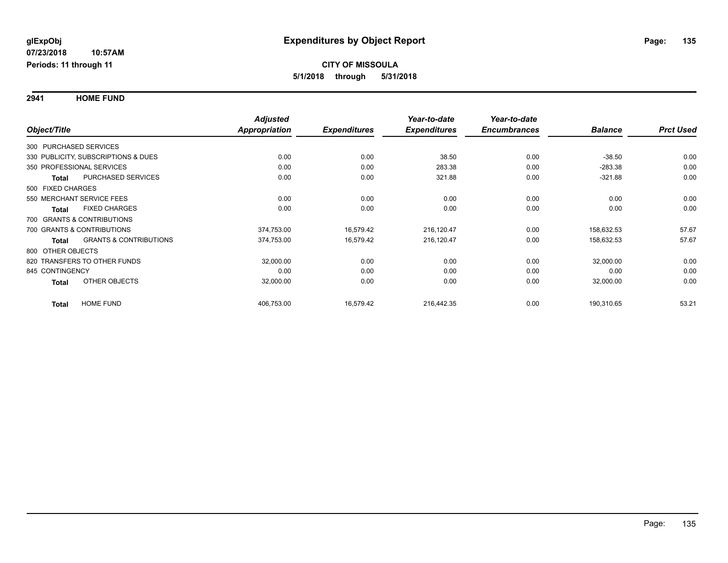**2941 HOME FUND**

|                        |                                     | <b>Adjusted</b>      |                     | Year-to-date        | Year-to-date        |                |                  |
|------------------------|-------------------------------------|----------------------|---------------------|---------------------|---------------------|----------------|------------------|
| Object/Title           |                                     | <b>Appropriation</b> | <b>Expenditures</b> | <b>Expenditures</b> | <b>Encumbrances</b> | <b>Balance</b> | <b>Prct Used</b> |
| 300 PURCHASED SERVICES |                                     |                      |                     |                     |                     |                |                  |
|                        | 330 PUBLICITY, SUBSCRIPTIONS & DUES | 0.00                 | 0.00                | 38.50               | 0.00                | $-38.50$       | 0.00             |
|                        | 350 PROFESSIONAL SERVICES           | 0.00                 | 0.00                | 283.38              | 0.00                | $-283.38$      | 0.00             |
| <b>Total</b>           | PURCHASED SERVICES                  | 0.00                 | 0.00                | 321.88              | 0.00                | $-321.88$      | 0.00             |
| 500 FIXED CHARGES      |                                     |                      |                     |                     |                     |                |                  |
|                        | 550 MERCHANT SERVICE FEES           | 0.00                 | 0.00                | 0.00                | 0.00                | 0.00           | 0.00             |
| <b>Total</b>           | <b>FIXED CHARGES</b>                | 0.00                 | 0.00                | 0.00                | 0.00                | 0.00           | 0.00             |
|                        | 700 GRANTS & CONTRIBUTIONS          |                      |                     |                     |                     |                |                  |
|                        | 700 GRANTS & CONTRIBUTIONS          | 374,753.00           | 16,579.42           | 216,120.47          | 0.00                | 158,632.53     | 57.67            |
| Total                  | <b>GRANTS &amp; CONTRIBUTIONS</b>   | 374,753.00           | 16,579.42           | 216,120.47          | 0.00                | 158,632.53     | 57.67            |
| 800 OTHER OBJECTS      |                                     |                      |                     |                     |                     |                |                  |
|                        | 820 TRANSFERS TO OTHER FUNDS        | 32,000.00            | 0.00                | 0.00                | 0.00                | 32,000.00      | 0.00             |
| 845 CONTINGENCY        |                                     | 0.00                 | 0.00                | 0.00                | 0.00                | 0.00           | 0.00             |
| <b>Total</b>           | OTHER OBJECTS                       | 32,000.00            | 0.00                | 0.00                | 0.00                | 32,000.00      | 0.00             |
| <b>Total</b>           | <b>HOME FUND</b>                    | 406,753.00           | 16,579.42           | 216,442.35          | 0.00                | 190,310.65     | 53.21            |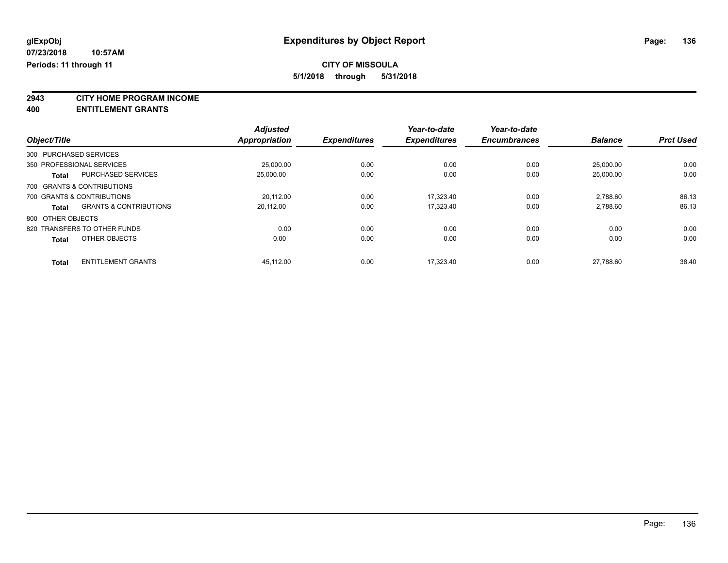**2943 CITY HOME PROGRAM INCOME**

**400 ENTITLEMENT GRANTS**

|                            |                                   | <b>Adjusted</b> |                     | Year-to-date        | Year-to-date        |                |                  |
|----------------------------|-----------------------------------|-----------------|---------------------|---------------------|---------------------|----------------|------------------|
| Object/Title               |                                   | Appropriation   | <b>Expenditures</b> | <b>Expenditures</b> | <b>Encumbrances</b> | <b>Balance</b> | <b>Prct Used</b> |
| 300 PURCHASED SERVICES     |                                   |                 |                     |                     |                     |                |                  |
| 350 PROFESSIONAL SERVICES  |                                   | 25,000.00       | 0.00                | 0.00                | 0.00                | 25.000.00      | 0.00             |
| <b>Total</b>               | <b>PURCHASED SERVICES</b>         | 25,000.00       | 0.00                | 0.00                | 0.00                | 25,000.00      | 0.00             |
| 700 GRANTS & CONTRIBUTIONS |                                   |                 |                     |                     |                     |                |                  |
| 700 GRANTS & CONTRIBUTIONS |                                   | 20.112.00       | 0.00                | 17.323.40           | 0.00                | 2.788.60       | 86.13            |
| <b>Total</b>               | <b>GRANTS &amp; CONTRIBUTIONS</b> | 20,112.00       | 0.00                | 17,323.40           | 0.00                | 2,788.60       | 86.13            |
| 800 OTHER OBJECTS          |                                   |                 |                     |                     |                     |                |                  |
|                            | 820 TRANSFERS TO OTHER FUNDS      | 0.00            | 0.00                | 0.00                | 0.00                | 0.00           | 0.00             |
| <b>Total</b>               | OTHER OBJECTS                     | 0.00            | 0.00                | 0.00                | 0.00                | 0.00           | 0.00             |
| <b>Total</b>               | <b>ENTITLEMENT GRANTS</b>         | 45.112.00       | 0.00                | 17.323.40           | 0.00                | 27.788.60      | 38.40            |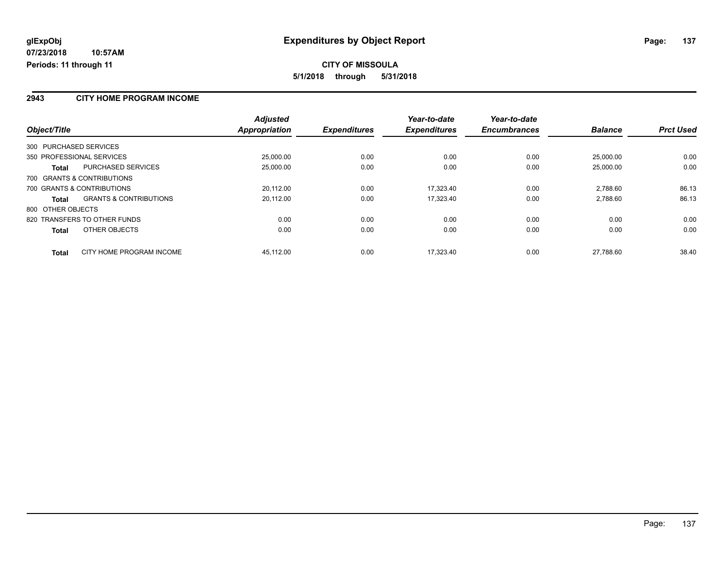### **2943 CITY HOME PROGRAM INCOME**

|                                                   | <b>Adjusted</b> |                     | Year-to-date        | Year-to-date        |                |                  |
|---------------------------------------------------|-----------------|---------------------|---------------------|---------------------|----------------|------------------|
| Object/Title                                      | Appropriation   | <b>Expenditures</b> | <b>Expenditures</b> | <b>Encumbrances</b> | <b>Balance</b> | <b>Prct Used</b> |
| 300 PURCHASED SERVICES                            |                 |                     |                     |                     |                |                  |
| 350 PROFESSIONAL SERVICES                         | 25.000.00       | 0.00                | 0.00                | 0.00                | 25.000.00      | 0.00             |
| <b>PURCHASED SERVICES</b><br>Total                | 25,000.00       | 0.00                | 0.00                | 0.00                | 25.000.00      | 0.00             |
| 700 GRANTS & CONTRIBUTIONS                        |                 |                     |                     |                     |                |                  |
| 700 GRANTS & CONTRIBUTIONS                        | 20.112.00       | 0.00                | 17.323.40           | 0.00                | 2,788.60       | 86.13            |
| <b>GRANTS &amp; CONTRIBUTIONS</b><br><b>Total</b> | 20,112.00       | 0.00                | 17.323.40           | 0.00                | 2.788.60       | 86.13            |
| 800 OTHER OBJECTS                                 |                 |                     |                     |                     |                |                  |
| 820 TRANSFERS TO OTHER FUNDS                      | 0.00            | 0.00                | 0.00                | 0.00                | 0.00           | 0.00             |
| OTHER OBJECTS<br><b>Total</b>                     | 0.00            | 0.00                | 0.00                | 0.00                | 0.00           | 0.00             |
| CITY HOME PROGRAM INCOME<br><b>Total</b>          | 45.112.00       | 0.00                | 17.323.40           | 0.00                | 27.788.60      | 38.40            |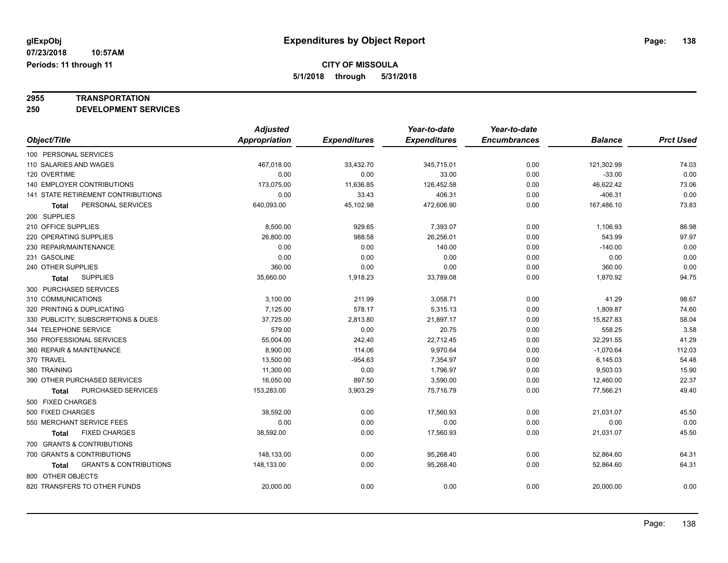# **2955 TRANSPORTATION**

**250 DEVELOPMENT SERVICES**

|                                            | <b>Adjusted</b>      |                     | Year-to-date        | Year-to-date        |                |                  |
|--------------------------------------------|----------------------|---------------------|---------------------|---------------------|----------------|------------------|
| Object/Title                               | <b>Appropriation</b> | <b>Expenditures</b> | <b>Expenditures</b> | <b>Encumbrances</b> | <b>Balance</b> | <b>Prct Used</b> |
| 100 PERSONAL SERVICES                      |                      |                     |                     |                     |                |                  |
| 110 SALARIES AND WAGES                     | 467,018.00           | 33,432.70           | 345,715.01          | 0.00                | 121,302.99     | 74.03            |
| 120 OVERTIME                               | 0.00                 | 0.00                | 33.00               | 0.00                | $-33.00$       | 0.00             |
| 140 EMPLOYER CONTRIBUTIONS                 | 173,075.00           | 11,636.85           | 126,452.58          | 0.00                | 46,622.42      | 73.06            |
| 141 STATE RETIREMENT CONTRIBUTIONS         | 0.00                 | 33.43               | 406.31              | 0.00                | $-406.31$      | 0.00             |
| PERSONAL SERVICES<br>Total                 | 640,093.00           | 45,102.98           | 472,606.90          | 0.00                | 167,486.10     | 73.83            |
| 200 SUPPLIES                               |                      |                     |                     |                     |                |                  |
| 210 OFFICE SUPPLIES                        | 8,500.00             | 929.65              | 7,393.07            | 0.00                | 1,106.93       | 86.98            |
| 220 OPERATING SUPPLIES                     | 26,800.00            | 988.58              | 26,256.01           | 0.00                | 543.99         | 97.97            |
| 230 REPAIR/MAINTENANCE                     | 0.00                 | 0.00                | 140.00              | 0.00                | $-140.00$      | 0.00             |
| 231 GASOLINE                               | 0.00                 | 0.00                | 0.00                | 0.00                | 0.00           | 0.00             |
| 240 OTHER SUPPLIES                         | 360.00               | 0.00                | 0.00                | 0.00                | 360.00         | 0.00             |
| <b>SUPPLIES</b><br>Total                   | 35,660.00            | 1,918.23            | 33,789.08           | 0.00                | 1,870.92       | 94.75            |
| 300 PURCHASED SERVICES                     |                      |                     |                     |                     |                |                  |
| 310 COMMUNICATIONS                         | 3,100.00             | 211.99              | 3,058.71            | 0.00                | 41.29          | 98.67            |
| 320 PRINTING & DUPLICATING                 | 7,125.00             | 578.17              | 5,315.13            | 0.00                | 1,809.87       | 74.60            |
| 330 PUBLICITY, SUBSCRIPTIONS & DUES        | 37,725.00            | 2,813.80            | 21,897.17           | 0.00                | 15,827.83      | 58.04            |
| 344 TELEPHONE SERVICE                      | 579.00               | 0.00                | 20.75               | 0.00                | 558.25         | 3.58             |
| 350 PROFESSIONAL SERVICES                  | 55,004.00            | 242.40              | 22,712.45           | 0.00                | 32,291.55      | 41.29            |
| 360 REPAIR & MAINTENANCE                   | 8.900.00             | 114.06              | 9.970.64            | 0.00                | $-1,070.64$    | 112.03           |
| 370 TRAVEL                                 | 13,500.00            | $-954.63$           | 7.354.97            | 0.00                | 6,145.03       | 54.48            |
| 380 TRAINING                               | 11,300.00            | 0.00                | 1,796.97            | 0.00                | 9,503.03       | 15.90            |
| 390 OTHER PURCHASED SERVICES               | 16,050.00            | 897.50              | 3,590.00            | 0.00                | 12,460.00      | 22.37            |
| PURCHASED SERVICES<br>Total                | 153,283.00           | 3,903.29            | 75,716.79           | 0.00                | 77,566.21      | 49.40            |
| 500 FIXED CHARGES                          |                      |                     |                     |                     |                |                  |
| 500 FIXED CHARGES                          | 38,592.00            | 0.00                | 17,560.93           | 0.00                | 21,031.07      | 45.50            |
| 550 MERCHANT SERVICE FEES                  | 0.00                 | 0.00                | 0.00                | 0.00                | 0.00           | 0.00             |
| <b>FIXED CHARGES</b><br>Total              | 38,592.00            | 0.00                | 17,560.93           | 0.00                | 21,031.07      | 45.50            |
| 700 GRANTS & CONTRIBUTIONS                 |                      |                     |                     |                     |                |                  |
| 700 GRANTS & CONTRIBUTIONS                 | 148,133.00           | 0.00                | 95,268.40           | 0.00                | 52,864.60      | 64.31            |
| <b>GRANTS &amp; CONTRIBUTIONS</b><br>Total | 148,133.00           | 0.00                | 95,268.40           | 0.00                | 52,864.60      | 64.31            |
| 800 OTHER OBJECTS                          |                      |                     |                     |                     |                |                  |
| 820 TRANSFERS TO OTHER FUNDS               | 20,000.00            | 0.00                | 0.00                | 0.00                | 20,000.00      | 0.00             |
|                                            |                      |                     |                     |                     |                |                  |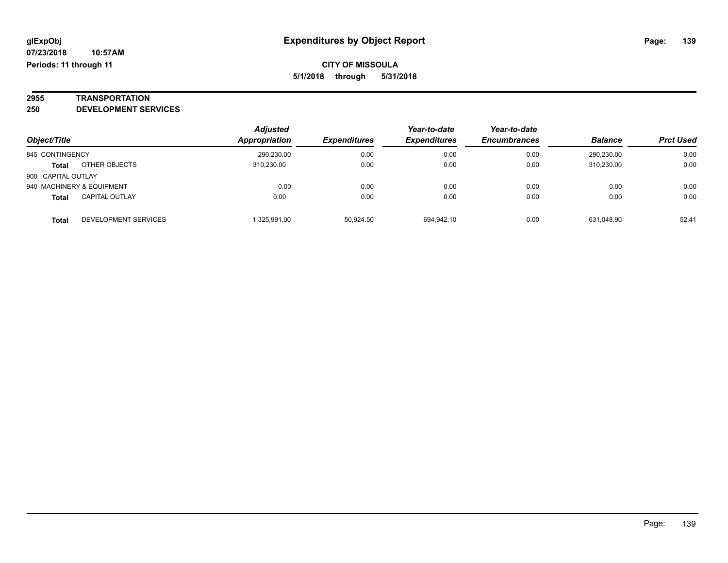# **2955 TRANSPORTATION**

**250 DEVELOPMENT SERVICES**

|                    |                           | <b>Adjusted</b> |                     | Year-to-date        | Year-to-date        |                |                  |
|--------------------|---------------------------|-----------------|---------------------|---------------------|---------------------|----------------|------------------|
| Object/Title       |                           | Appropriation   | <b>Expenditures</b> | <b>Expenditures</b> | <b>Encumbrances</b> | <b>Balance</b> | <b>Prct Used</b> |
| 845 CONTINGENCY    |                           | 290.230.00      | 0.00                | 0.00                | 0.00                | 290.230.00     | 0.00             |
| <b>Total</b>       | OTHER OBJECTS             | 310.230.00      | 0.00                | 0.00                | 0.00                | 310.230.00     | 0.00             |
| 900 CAPITAL OUTLAY |                           |                 |                     |                     |                     |                |                  |
|                    | 940 MACHINERY & EQUIPMENT | 0.00            | 0.00                | 0.00                | 0.00                | 0.00           | 0.00             |
| <b>Total</b>       | <b>CAPITAL OUTLAY</b>     | 0.00            | 0.00                | 0.00                | 0.00                | 0.00           | 0.00             |
| <b>Total</b>       | DEVELOPMENT SERVICES      | .325.991.00     | 50.924.50           | 694.942.10          | 0.00                | 631.048.90     | 52.41            |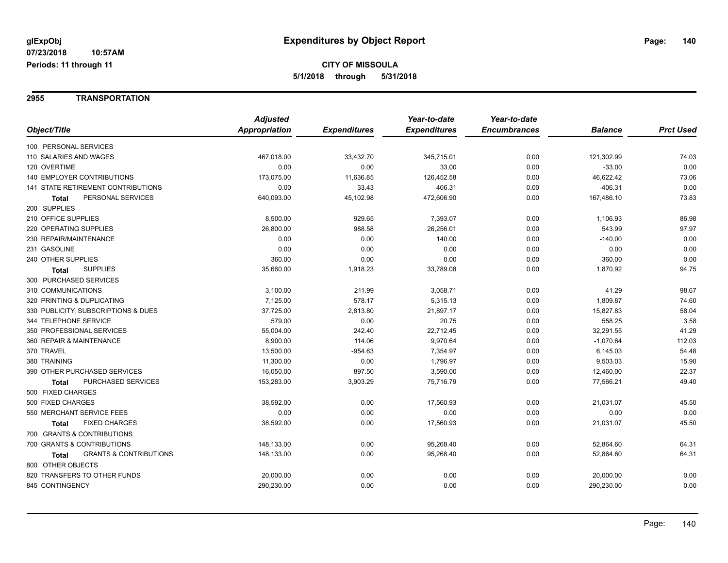#### **2955 TRANSPORTATION**

|                                                   | <b>Adjusted</b> |                     | Year-to-date        | Year-to-date        |                |                  |
|---------------------------------------------------|-----------------|---------------------|---------------------|---------------------|----------------|------------------|
| Object/Title                                      | Appropriation   | <b>Expenditures</b> | <b>Expenditures</b> | <b>Encumbrances</b> | <b>Balance</b> | <b>Prct Used</b> |
| 100 PERSONAL SERVICES                             |                 |                     |                     |                     |                |                  |
| 110 SALARIES AND WAGES                            | 467,018.00      | 33,432.70           | 345,715.01          | 0.00                | 121,302.99     | 74.03            |
| 120 OVERTIME                                      | 0.00            | 0.00                | 33.00               | 0.00                | $-33.00$       | 0.00             |
| 140 EMPLOYER CONTRIBUTIONS                        | 173,075.00      | 11,636.85           | 126,452.58          | 0.00                | 46,622.42      | 73.06            |
| <b>141 STATE RETIREMENT CONTRIBUTIONS</b>         | 0.00            | 33.43               | 406.31              | 0.00                | $-406.31$      | 0.00             |
| PERSONAL SERVICES<br>Total                        | 640,093.00      | 45,102.98           | 472,606.90          | 0.00                | 167,486.10     | 73.83            |
| 200 SUPPLIES                                      |                 |                     |                     |                     |                |                  |
| 210 OFFICE SUPPLIES                               | 8,500.00        | 929.65              | 7,393.07            | 0.00                | 1,106.93       | 86.98            |
| 220 OPERATING SUPPLIES                            | 26,800.00       | 988.58              | 26,256.01           | 0.00                | 543.99         | 97.97            |
| 230 REPAIR/MAINTENANCE                            | 0.00            | 0.00                | 140.00              | 0.00                | $-140.00$      | 0.00             |
| 231 GASOLINE                                      | 0.00            | 0.00                | 0.00                | 0.00                | 0.00           | 0.00             |
| 240 OTHER SUPPLIES                                | 360.00          | 0.00                | 0.00                | 0.00                | 360.00         | 0.00             |
| <b>SUPPLIES</b><br><b>Total</b>                   | 35,660.00       | 1,918.23            | 33,789.08           | 0.00                | 1,870.92       | 94.75            |
| 300 PURCHASED SERVICES                            |                 |                     |                     |                     |                |                  |
| 310 COMMUNICATIONS                                | 3,100.00        | 211.99              | 3,058.71            | 0.00                | 41.29          | 98.67            |
| 320 PRINTING & DUPLICATING                        | 7,125.00        | 578.17              | 5,315.13            | 0.00                | 1,809.87       | 74.60            |
| 330 PUBLICITY, SUBSCRIPTIONS & DUES               | 37,725.00       | 2,813.80            | 21,897.17           | 0.00                | 15,827.83      | 58.04            |
| 344 TELEPHONE SERVICE                             | 579.00          | 0.00                | 20.75               | 0.00                | 558.25         | 3.58             |
| 350 PROFESSIONAL SERVICES                         | 55,004.00       | 242.40              | 22,712.45           | 0.00                | 32,291.55      | 41.29            |
| 360 REPAIR & MAINTENANCE                          | 8,900.00        | 114.06              | 9,970.64            | 0.00                | $-1,070.64$    | 112.03           |
| 370 TRAVEL                                        | 13,500.00       | $-954.63$           | 7,354.97            | 0.00                | 6,145.03       | 54.48            |
| 380 TRAINING                                      | 11,300.00       | 0.00                | 1,796.97            | 0.00                | 9,503.03       | 15.90            |
| 390 OTHER PURCHASED SERVICES                      | 16,050.00       | 897.50              | 3,590.00            | 0.00                | 12,460.00      | 22.37            |
| PURCHASED SERVICES<br><b>Total</b>                | 153,283.00      | 3,903.29            | 75,716.79           | 0.00                | 77,566.21      | 49.40            |
| 500 FIXED CHARGES                                 |                 |                     |                     |                     |                |                  |
| 500 FIXED CHARGES                                 | 38,592.00       | 0.00                | 17,560.93           | 0.00                | 21,031.07      | 45.50            |
| 550 MERCHANT SERVICE FEES                         | 0.00            | 0.00                | 0.00                | 0.00                | 0.00           | 0.00             |
| <b>FIXED CHARGES</b><br><b>Total</b>              | 38,592.00       | 0.00                | 17,560.93           | 0.00                | 21,031.07      | 45.50            |
| 700 GRANTS & CONTRIBUTIONS                        |                 |                     |                     |                     |                |                  |
| 700 GRANTS & CONTRIBUTIONS                        | 148,133.00      | 0.00                | 95,268.40           | 0.00                | 52,864.60      | 64.31            |
| <b>GRANTS &amp; CONTRIBUTIONS</b><br><b>Total</b> | 148,133.00      | 0.00                | 95,268.40           | 0.00                | 52,864.60      | 64.31            |
| 800 OTHER OBJECTS                                 |                 |                     |                     |                     |                |                  |
| 820 TRANSFERS TO OTHER FUNDS                      | 20,000.00       | 0.00                | 0.00                | 0.00                | 20,000.00      | 0.00             |
| 845 CONTINGENCY                                   | 290,230.00      | 0.00                | 0.00                | 0.00                | 290,230.00     | 0.00             |
|                                                   |                 |                     |                     |                     |                |                  |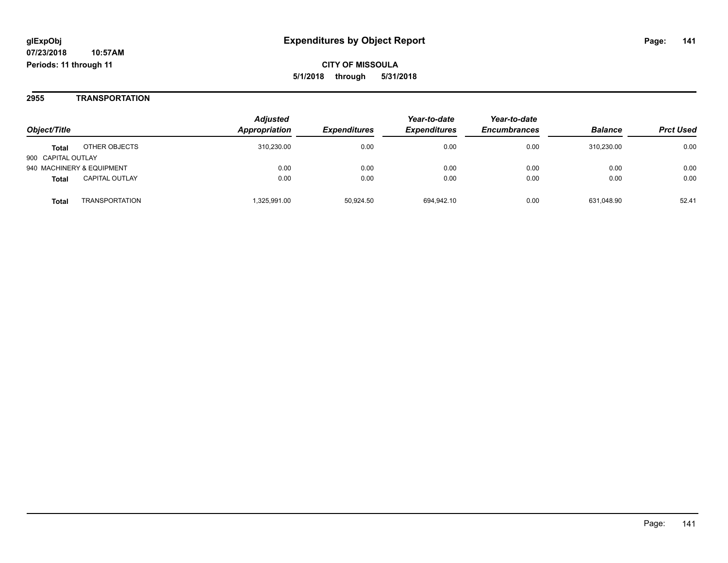#### **2955 TRANSPORTATION**

|                                                     | <b>Adjusted</b><br>Appropriation | <b>Expenditures</b> | Year-to-date<br><b>Expenditures</b> | Year-to-date<br><b>Encumbrances</b> | <b>Balance</b> | <b>Prct Used</b> |
|-----------------------------------------------------|----------------------------------|---------------------|-------------------------------------|-------------------------------------|----------------|------------------|
| Object/Title                                        |                                  |                     |                                     |                                     |                |                  |
| OTHER OBJECTS<br><b>Total</b><br>900 CAPITAL OUTLAY | 310,230.00                       | 0.00                | 0.00                                | 0.00                                | 310.230.00     | 0.00             |
| 940 MACHINERY & EQUIPMENT                           | 0.00                             | 0.00                | 0.00                                | 0.00                                | 0.00           | 0.00             |
| CAPITAL OUTLAY<br><b>Total</b>                      | 0.00                             | 0.00                | 0.00                                | 0.00                                | 0.00           | 0.00             |
| TRANSPORTATION<br>Total                             | 325,991.00                       | 50.924.50           | 694.942.10                          | 0.00                                | 631.048.90     | 52.41            |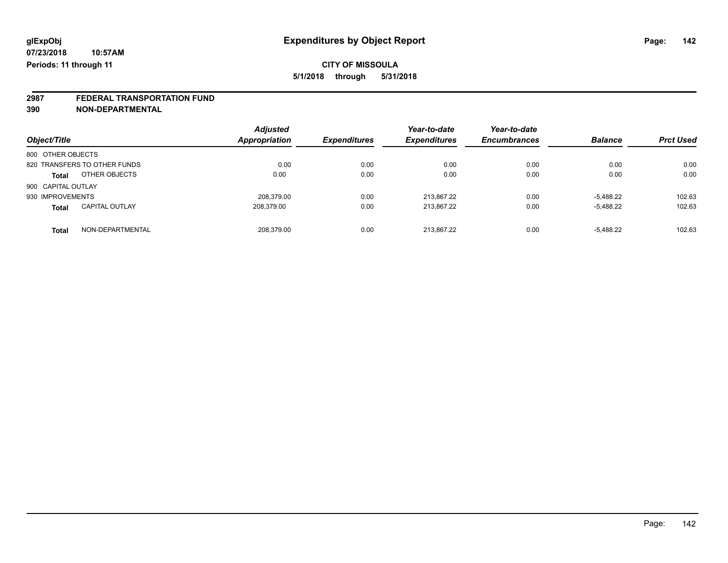# **2987 FEDERAL TRANSPORTATION FUND**

**390 NON-DEPARTMENTAL**

| Object/Title                          | <b>Adjusted</b><br>Appropriation | <b>Expenditures</b> | Year-to-date<br><b>Expenditures</b> | Year-to-date<br><b>Encumbrances</b> | <b>Balance</b> | <b>Prct Used</b> |
|---------------------------------------|----------------------------------|---------------------|-------------------------------------|-------------------------------------|----------------|------------------|
| 800 OTHER OBJECTS                     |                                  |                     |                                     |                                     |                |                  |
| 820 TRANSFERS TO OTHER FUNDS          | 0.00                             | 0.00                | 0.00                                | 0.00                                | 0.00           | 0.00             |
| OTHER OBJECTS<br><b>Total</b>         | 0.00                             | 0.00                | 0.00                                | 0.00                                | 0.00           | 0.00             |
| 900 CAPITAL OUTLAY                    |                                  |                     |                                     |                                     |                |                  |
| 930 IMPROVEMENTS                      | 208.379.00                       | 0.00                | 213.867.22                          | 0.00                                | $-5,488.22$    | 102.63           |
| <b>CAPITAL OUTLAY</b><br><b>Total</b> | 208.379.00                       | 0.00                | 213,867.22                          | 0.00                                | $-5,488.22$    | 102.63           |
| NON-DEPARTMENTAL<br><b>Total</b>      | 208.379.00                       | 0.00                | 213.867.22                          | 0.00                                | $-5,488.22$    | 102.63           |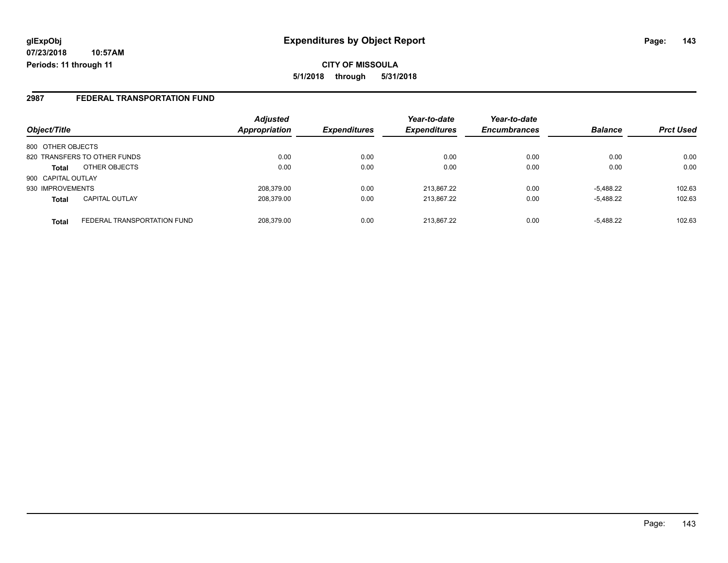### **07/23/2018 10:57AM Periods: 11 through 11**

**CITY OF MISSOULA 5/1/2018 through 5/31/2018**

### **2987 FEDERAL TRANSPORTATION FUND**

|                    |                              | <b>Adjusted</b>      |                     | Year-to-date        | Year-to-date        |                |                  |
|--------------------|------------------------------|----------------------|---------------------|---------------------|---------------------|----------------|------------------|
| Object/Title       |                              | <b>Appropriation</b> | <b>Expenditures</b> | <b>Expenditures</b> | <b>Encumbrances</b> | <b>Balance</b> | <b>Prct Used</b> |
| 800 OTHER OBJECTS  |                              |                      |                     |                     |                     |                |                  |
|                    | 820 TRANSFERS TO OTHER FUNDS | 0.00                 | 0.00                | 0.00                | 0.00                | 0.00           | 0.00             |
| <b>Total</b>       | OTHER OBJECTS                | 0.00                 | 0.00                | 0.00                | 0.00                | 0.00           | 0.00             |
| 900 CAPITAL OUTLAY |                              |                      |                     |                     |                     |                |                  |
| 930 IMPROVEMENTS   |                              | 208.379.00           | 0.00                | 213.867.22          | 0.00                | $-5.488.22$    | 102.63           |
| <b>Total</b>       | <b>CAPITAL OUTLAY</b>        | 208.379.00           | 0.00                | 213.867.22          | 0.00                | $-5.488.22$    | 102.63           |
| <b>Total</b>       | FEDERAL TRANSPORTATION FUND  | 208.379.00           | 0.00                | 213.867.22          | 0.00                | $-5,488.22$    | 102.63           |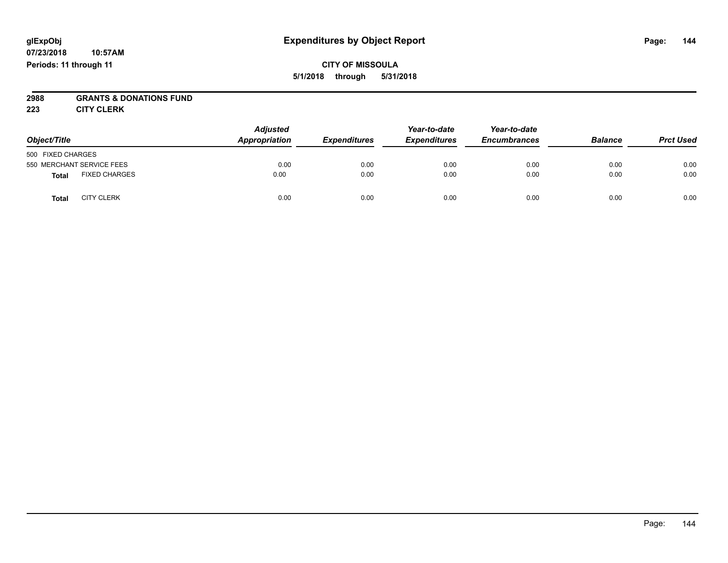### **07/23/2018 10:57AM Periods: 11 through 11**

# **CITY OF MISSOULA 5/1/2018 through 5/31/2018**

# **2988 GRANTS & DONATIONS FUND**

**223 CITY CLERK**

| Object/Title                         | <b>Adjusted</b><br>Appropriation | <b>Expenditures</b> | Year-to-date<br><b>Expenditures</b> | Year-to-date<br><b>Encumbrances</b> | <b>Balance</b> | <b>Prct Used</b> |
|--------------------------------------|----------------------------------|---------------------|-------------------------------------|-------------------------------------|----------------|------------------|
| 500 FIXED CHARGES                    |                                  |                     |                                     |                                     |                |                  |
| 550 MERCHANT SERVICE FEES            | 0.00                             | 0.00                | 0.00                                | 0.00                                | 0.00           | 0.00             |
| <b>FIXED CHARGES</b><br><b>Total</b> | 0.00                             | 0.00                | 0.00                                | 0.00                                | 0.00           | 0.00             |
| <b>CITY CLERK</b><br><b>Total</b>    | 0.00                             | 0.00                | 0.00                                | 0.00                                | 0.00           | 0.00             |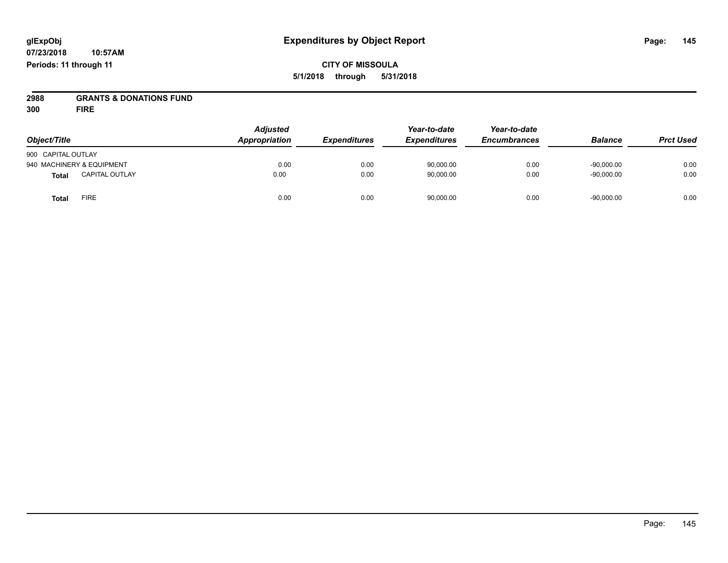**CITY OF MISSOULA 5/1/2018 through 5/31/2018**

**2988 GRANTS & DONATIONS FUND**

**300 FIRE**

| Object/Title              |                       | <b>Adjusted</b><br>Appropriation | <b>Expenditures</b> | Year-to-date<br><b>Expenditures</b> | Year-to-date<br><b>Encumbrances</b> | <b>Balance</b> | <b>Prct Used</b> |
|---------------------------|-----------------------|----------------------------------|---------------------|-------------------------------------|-------------------------------------|----------------|------------------|
| 900 CAPITAL OUTLAY        |                       |                                  |                     |                                     |                                     |                |                  |
| 940 MACHINERY & EQUIPMENT |                       | 0.00                             | 0.00                | 90.000.00                           | 0.00                                | $-90.000.00$   | 0.00             |
| <b>Total</b>              | <b>CAPITAL OUTLAY</b> | 0.00                             | 0.00                | 90,000.00                           | 0.00                                | $-90,000.00$   | 0.00             |
| <b>Total</b>              | <b>FIRE</b>           | 0.00                             | 0.00                | 90,000.00                           | 0.00                                | $-90,000.00$   | 0.00             |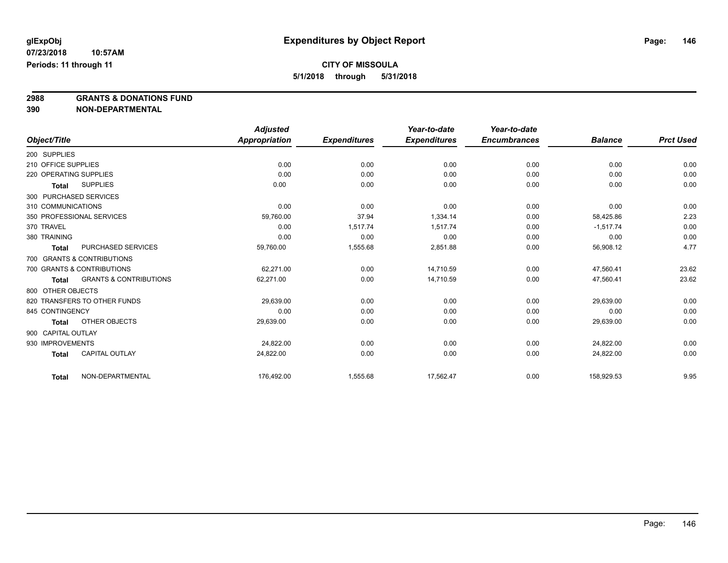**2988 GRANTS & DONATIONS FUND**

|                        |                                   | <b>Adjusted</b>      |                     | Year-to-date        | Year-to-date        |                |                  |
|------------------------|-----------------------------------|----------------------|---------------------|---------------------|---------------------|----------------|------------------|
| Object/Title           |                                   | <b>Appropriation</b> | <b>Expenditures</b> | <b>Expenditures</b> | <b>Encumbrances</b> | <b>Balance</b> | <b>Prct Used</b> |
| 200 SUPPLIES           |                                   |                      |                     |                     |                     |                |                  |
| 210 OFFICE SUPPLIES    |                                   | 0.00                 | 0.00                | 0.00                | 0.00                | 0.00           | 0.00             |
| 220 OPERATING SUPPLIES |                                   | 0.00                 | 0.00                | 0.00                | 0.00                | 0.00           | 0.00             |
| <b>Total</b>           | <b>SUPPLIES</b>                   | 0.00                 | 0.00                | 0.00                | 0.00                | 0.00           | 0.00             |
| 300 PURCHASED SERVICES |                                   |                      |                     |                     |                     |                |                  |
| 310 COMMUNICATIONS     |                                   | 0.00                 | 0.00                | 0.00                | 0.00                | 0.00           | 0.00             |
|                        | 350 PROFESSIONAL SERVICES         | 59,760.00            | 37.94               | 1,334.14            | 0.00                | 58,425.86      | 2.23             |
| 370 TRAVEL             |                                   | 0.00                 | 1,517.74            | 1,517.74            | 0.00                | $-1,517.74$    | 0.00             |
| 380 TRAINING           |                                   | 0.00                 | 0.00                | 0.00                | 0.00                | 0.00           | 0.00             |
| <b>Total</b>           | <b>PURCHASED SERVICES</b>         | 59,760.00            | 1,555.68            | 2,851.88            | 0.00                | 56,908.12      | 4.77             |
|                        | 700 GRANTS & CONTRIBUTIONS        |                      |                     |                     |                     |                |                  |
|                        | 700 GRANTS & CONTRIBUTIONS        | 62.271.00            | 0.00                | 14,710.59           | 0.00                | 47,560.41      | 23.62            |
| Total                  | <b>GRANTS &amp; CONTRIBUTIONS</b> | 62,271.00            | 0.00                | 14,710.59           | 0.00                | 47,560.41      | 23.62            |
| 800 OTHER OBJECTS      |                                   |                      |                     |                     |                     |                |                  |
|                        | 820 TRANSFERS TO OTHER FUNDS      | 29,639.00            | 0.00                | 0.00                | 0.00                | 29,639.00      | 0.00             |
| 845 CONTINGENCY        |                                   | 0.00                 | 0.00                | 0.00                | 0.00                | 0.00           | 0.00             |
| <b>Total</b>           | OTHER OBJECTS                     | 29,639.00            | 0.00                | 0.00                | 0.00                | 29,639.00      | 0.00             |
| 900 CAPITAL OUTLAY     |                                   |                      |                     |                     |                     |                |                  |
| 930 IMPROVEMENTS       |                                   | 24,822.00            | 0.00                | 0.00                | 0.00                | 24,822.00      | 0.00             |
| <b>Total</b>           | <b>CAPITAL OUTLAY</b>             | 24,822.00            | 0.00                | 0.00                | 0.00                | 24,822.00      | 0.00             |
| <b>Total</b>           | NON-DEPARTMENTAL                  | 176,492.00           | 1,555.68            | 17,562.47           | 0.00                | 158,929.53     | 9.95             |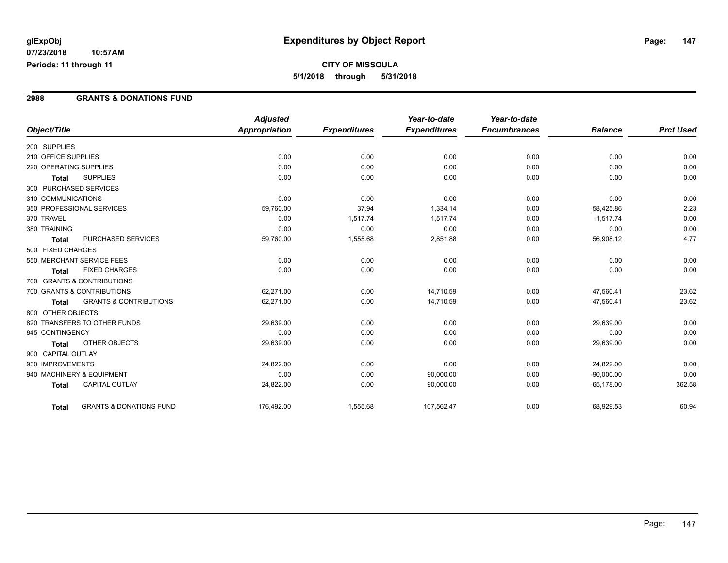#### **2988 GRANTS & DONATIONS FUND**

|                                                    | <b>Adjusted</b> |                     | Year-to-date        | Year-to-date        |                |                  |
|----------------------------------------------------|-----------------|---------------------|---------------------|---------------------|----------------|------------------|
| Object/Title                                       | Appropriation   | <b>Expenditures</b> | <b>Expenditures</b> | <b>Encumbrances</b> | <b>Balance</b> | <b>Prct Used</b> |
| 200 SUPPLIES                                       |                 |                     |                     |                     |                |                  |
| 210 OFFICE SUPPLIES                                | 0.00            | 0.00                | 0.00                | 0.00                | 0.00           | 0.00             |
| 220 OPERATING SUPPLIES                             | 0.00            | 0.00                | 0.00                | 0.00                | 0.00           | 0.00             |
| <b>SUPPLIES</b><br><b>Total</b>                    | 0.00            | 0.00                | 0.00                | 0.00                | 0.00           | 0.00             |
| 300 PURCHASED SERVICES                             |                 |                     |                     |                     |                |                  |
| 310 COMMUNICATIONS                                 | 0.00            | 0.00                | 0.00                | 0.00                | 0.00           | 0.00             |
| 350 PROFESSIONAL SERVICES                          | 59,760.00       | 37.94               | 1,334.14            | 0.00                | 58,425.86      | 2.23             |
| 370 TRAVEL                                         | 0.00            | 1,517.74            | 1,517.74            | 0.00                | $-1,517.74$    | 0.00             |
| 380 TRAINING                                       | 0.00            | 0.00                | 0.00                | 0.00                | 0.00           | 0.00             |
| PURCHASED SERVICES<br><b>Total</b>                 | 59,760.00       | 1,555.68            | 2,851.88            | 0.00                | 56,908.12      | 4.77             |
| 500 FIXED CHARGES                                  |                 |                     |                     |                     |                |                  |
| 550 MERCHANT SERVICE FEES                          | 0.00            | 0.00                | 0.00                | 0.00                | 0.00           | 0.00             |
| <b>FIXED CHARGES</b><br><b>Total</b>               | 0.00            | 0.00                | 0.00                | 0.00                | 0.00           | 0.00             |
| 700 GRANTS & CONTRIBUTIONS                         |                 |                     |                     |                     |                |                  |
| 700 GRANTS & CONTRIBUTIONS                         | 62,271.00       | 0.00                | 14,710.59           | 0.00                | 47,560.41      | 23.62            |
| <b>GRANTS &amp; CONTRIBUTIONS</b><br><b>Total</b>  | 62,271.00       | 0.00                | 14,710.59           | 0.00                | 47,560.41      | 23.62            |
| 800 OTHER OBJECTS                                  |                 |                     |                     |                     |                |                  |
| 820 TRANSFERS TO OTHER FUNDS                       | 29,639.00       | 0.00                | 0.00                | 0.00                | 29,639.00      | 0.00             |
| 845 CONTINGENCY                                    | 0.00            | 0.00                | 0.00                | 0.00                | 0.00           | 0.00             |
| OTHER OBJECTS<br><b>Total</b>                      | 29,639.00       | 0.00                | 0.00                | 0.00                | 29,639.00      | 0.00             |
| 900 CAPITAL OUTLAY                                 |                 |                     |                     |                     |                |                  |
| 930 IMPROVEMENTS                                   | 24,822.00       | 0.00                | 0.00                | 0.00                | 24,822.00      | 0.00             |
| 940 MACHINERY & EQUIPMENT                          | 0.00            | 0.00                | 90,000.00           | 0.00                | $-90,000.00$   | 0.00             |
| CAPITAL OUTLAY<br>Total                            | 24,822.00       | 0.00                | 90,000.00           | 0.00                | $-65,178.00$   | 362.58           |
| <b>GRANTS &amp; DONATIONS FUND</b><br><b>Total</b> | 176,492.00      | 1,555.68            | 107,562.47          | 0.00                | 68,929.53      | 60.94            |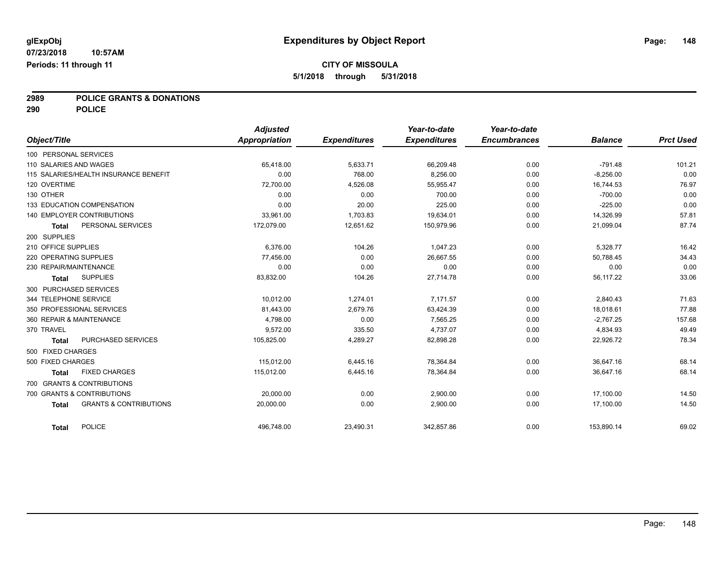# **2989 POLICE GRANTS & DONATIONS**

**290 POLICE**

| Object/Title                                      | <b>Adjusted</b><br>Appropriation | <b>Expenditures</b> | Year-to-date<br><b>Expenditures</b> | Year-to-date<br><b>Encumbrances</b> | <b>Balance</b> | <b>Prct Used</b> |
|---------------------------------------------------|----------------------------------|---------------------|-------------------------------------|-------------------------------------|----------------|------------------|
|                                                   |                                  |                     |                                     |                                     |                |                  |
| 100 PERSONAL SERVICES                             |                                  |                     |                                     |                                     |                |                  |
| 110 SALARIES AND WAGES                            | 65,418.00                        | 5,633.71            | 66,209.48                           | 0.00                                | $-791.48$      | 101.21           |
| 115 SALARIES/HEALTH INSURANCE BENEFIT             | 0.00                             | 768.00              | 8.256.00                            | 0.00                                | $-8,256.00$    | 0.00             |
| 120 OVERTIME                                      | 72,700.00                        | 4,526.08            | 55,955.47                           | 0.00                                | 16,744.53      | 76.97            |
| 130 OTHER                                         | 0.00                             | 0.00                | 700.00                              | 0.00                                | $-700.00$      | 0.00             |
| 133 EDUCATION COMPENSATION                        | 0.00                             | 20.00               | 225.00                              | 0.00                                | $-225.00$      | 0.00             |
| 140 EMPLOYER CONTRIBUTIONS                        | 33,961.00                        | 1,703.83            | 19,634.01                           | 0.00                                | 14,326.99      | 57.81            |
| PERSONAL SERVICES<br><b>Total</b>                 | 172,079.00                       | 12,651.62           | 150,979.96                          | 0.00                                | 21,099.04      | 87.74            |
| 200 SUPPLIES                                      |                                  |                     |                                     |                                     |                |                  |
| 210 OFFICE SUPPLIES                               | 6,376.00                         | 104.26              | 1,047.23                            | 0.00                                | 5,328.77       | 16.42            |
| 220 OPERATING SUPPLIES                            | 77.456.00                        | 0.00                | 26.667.55                           | 0.00                                | 50,788.45      | 34.43            |
| 230 REPAIR/MAINTENANCE                            | 0.00                             | 0.00                | 0.00                                | 0.00                                | 0.00           | 0.00             |
| <b>SUPPLIES</b><br><b>Total</b>                   | 83,832.00                        | 104.26              | 27,714.78                           | 0.00                                | 56,117.22      | 33.06            |
| 300 PURCHASED SERVICES                            |                                  |                     |                                     |                                     |                |                  |
| 344 TELEPHONE SERVICE                             | 10,012.00                        | 1,274.01            | 7,171.57                            | 0.00                                | 2,840.43       | 71.63            |
| 350 PROFESSIONAL SERVICES                         | 81,443.00                        | 2,679.76            | 63.424.39                           | 0.00                                | 18.018.61      | 77.88            |
| 360 REPAIR & MAINTENANCE                          | 4,798.00                         | 0.00                | 7,565.25                            | 0.00                                | $-2,767.25$    | 157.68           |
| 370 TRAVEL                                        | 9,572.00                         | 335.50              | 4,737.07                            | 0.00                                | 4,834.93       | 49.49            |
| <b>PURCHASED SERVICES</b><br><b>Total</b>         | 105,825.00                       | 4,289.27            | 82,898.28                           | 0.00                                | 22,926.72      | 78.34            |
| 500 FIXED CHARGES                                 |                                  |                     |                                     |                                     |                |                  |
| 500 FIXED CHARGES                                 | 115,012.00                       | 6,445.16            | 78,364.84                           | 0.00                                | 36,647.16      | 68.14            |
| <b>FIXED CHARGES</b><br><b>Total</b>              | 115.012.00                       | 6,445.16            | 78,364.84                           | 0.00                                | 36,647.16      | 68.14            |
| 700 GRANTS & CONTRIBUTIONS                        |                                  |                     |                                     |                                     |                |                  |
| 700 GRANTS & CONTRIBUTIONS                        | 20,000.00                        | 0.00                | 2,900.00                            | 0.00                                | 17,100.00      | 14.50            |
| <b>GRANTS &amp; CONTRIBUTIONS</b><br><b>Total</b> | 20,000.00                        | 0.00                | 2,900.00                            | 0.00                                | 17,100.00      | 14.50            |
| <b>POLICE</b><br><b>Total</b>                     | 496,748.00                       | 23,490.31           | 342,857.86                          | 0.00                                | 153,890.14     | 69.02            |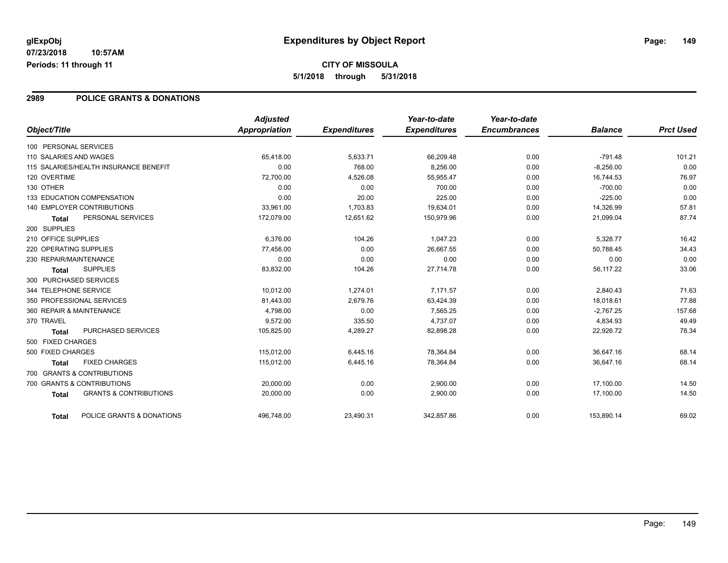#### **2989 POLICE GRANTS & DONATIONS**

|                                                   | <b>Adjusted</b>      |                     | Year-to-date        | Year-to-date        |                |                  |
|---------------------------------------------------|----------------------|---------------------|---------------------|---------------------|----------------|------------------|
| Object/Title                                      | <b>Appropriation</b> | <b>Expenditures</b> | <b>Expenditures</b> | <b>Encumbrances</b> | <b>Balance</b> | <b>Prct Used</b> |
| 100 PERSONAL SERVICES                             |                      |                     |                     |                     |                |                  |
| 110 SALARIES AND WAGES                            | 65,418.00            | 5,633.71            | 66,209.48           | 0.00                | $-791.48$      | 101.21           |
| 115 SALARIES/HEALTH INSURANCE BENEFIT             | 0.00                 | 768.00              | 8,256.00            | 0.00                | $-8,256.00$    | 0.00             |
| 120 OVERTIME                                      | 72.700.00            | 4,526.08            | 55.955.47           | 0.00                | 16,744.53      | 76.97            |
| 130 OTHER                                         | 0.00                 | 0.00                | 700.00              | 0.00                | $-700.00$      | 0.00             |
| 133 EDUCATION COMPENSATION                        | 0.00                 | 20.00               | 225.00              | 0.00                | $-225.00$      | 0.00             |
| <b>140 EMPLOYER CONTRIBUTIONS</b>                 | 33,961.00            | 1,703.83            | 19,634.01           | 0.00                | 14,326.99      | 57.81            |
| PERSONAL SERVICES<br><b>Total</b>                 | 172,079.00           | 12,651.62           | 150,979.96          | 0.00                | 21,099.04      | 87.74            |
| 200 SUPPLIES                                      |                      |                     |                     |                     |                |                  |
| 210 OFFICE SUPPLIES                               | 6,376.00             | 104.26              | 1,047.23            | 0.00                | 5,328.77       | 16.42            |
| 220 OPERATING SUPPLIES                            | 77,456.00            | 0.00                | 26,667.55           | 0.00                | 50,788.45      | 34.43            |
| 230 REPAIR/MAINTENANCE                            | 0.00                 | 0.00                | 0.00                | 0.00                | 0.00           | 0.00             |
| <b>SUPPLIES</b><br><b>Total</b>                   | 83,832.00            | 104.26              | 27,714.78           | 0.00                | 56,117.22      | 33.06            |
| 300 PURCHASED SERVICES                            |                      |                     |                     |                     |                |                  |
| 344 TELEPHONE SERVICE                             | 10,012.00            | 1,274.01            | 7,171.57            | 0.00                | 2,840.43       | 71.63            |
| 350 PROFESSIONAL SERVICES                         | 81,443.00            | 2,679.76            | 63,424.39           | 0.00                | 18,018.61      | 77.88            |
| 360 REPAIR & MAINTENANCE                          | 4.798.00             | 0.00                | 7.565.25            | 0.00                | $-2.767.25$    | 157.68           |
| 370 TRAVEL                                        | 9.572.00             | 335.50              | 4.737.07            | 0.00                | 4,834.93       | 49.49            |
| PURCHASED SERVICES<br><b>Total</b>                | 105,825.00           | 4,289.27            | 82,898.28           | 0.00                | 22,926.72      | 78.34            |
| 500 FIXED CHARGES                                 |                      |                     |                     |                     |                |                  |
| 500 FIXED CHARGES                                 | 115,012.00           | 6,445.16            | 78,364.84           | 0.00                | 36,647.16      | 68.14            |
| <b>FIXED CHARGES</b><br><b>Total</b>              | 115,012.00           | 6,445.16            | 78,364.84           | 0.00                | 36,647.16      | 68.14            |
| 700 GRANTS & CONTRIBUTIONS                        |                      |                     |                     |                     |                |                  |
| 700 GRANTS & CONTRIBUTIONS                        | 20,000.00            | 0.00                | 2,900.00            | 0.00                | 17,100.00      | 14.50            |
| <b>GRANTS &amp; CONTRIBUTIONS</b><br><b>Total</b> | 20,000.00            | 0.00                | 2,900.00            | 0.00                | 17,100.00      | 14.50            |
| POLICE GRANTS & DONATIONS<br><b>Total</b>         | 496,748.00           | 23,490.31           | 342,857.86          | 0.00                | 153,890.14     | 69.02            |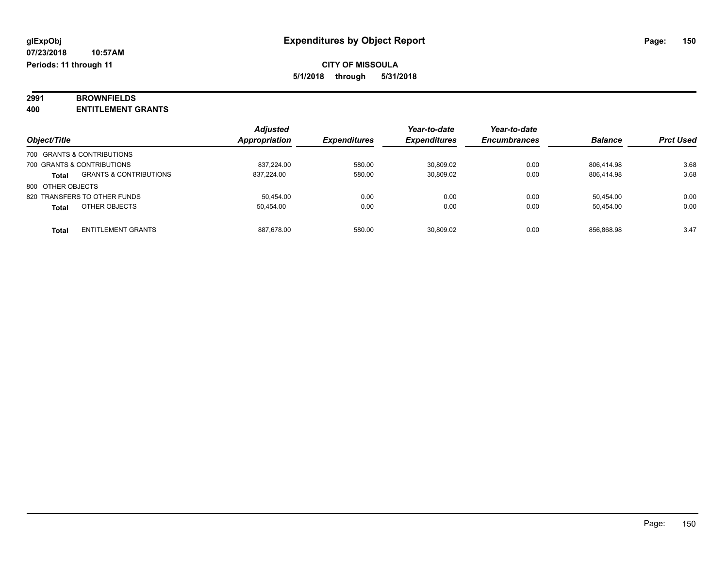# **2991 BROWNFIELDS**

**400 ENTITLEMENT GRANTS**

|                   |                                   | <b>Adjusted</b> |                     | Year-to-date        | Year-to-date        |                |                  |
|-------------------|-----------------------------------|-----------------|---------------------|---------------------|---------------------|----------------|------------------|
| Object/Title      |                                   | Appropriation   | <b>Expenditures</b> | <b>Expenditures</b> | <b>Encumbrances</b> | <b>Balance</b> | <b>Prct Used</b> |
|                   | 700 GRANTS & CONTRIBUTIONS        |                 |                     |                     |                     |                |                  |
|                   | 700 GRANTS & CONTRIBUTIONS        | 837.224.00      | 580.00              | 30.809.02           | 0.00                | 806.414.98     | 3.68             |
| <b>Total</b>      | <b>GRANTS &amp; CONTRIBUTIONS</b> | 837.224.00      | 580.00              | 30,809.02           | 0.00                | 806.414.98     | 3.68             |
| 800 OTHER OBJECTS |                                   |                 |                     |                     |                     |                |                  |
|                   | 820 TRANSFERS TO OTHER FUNDS      | 50,454.00       | 0.00                | 0.00                | 0.00                | 50.454.00      | 0.00             |
| <b>Total</b>      | OTHER OBJECTS                     | 50.454.00       | 0.00                | 0.00                | 0.00                | 50.454.00      | 0.00             |
| <b>Total</b>      | <b>ENTITLEMENT GRANTS</b>         | 887.678.00      | 580.00              | 30.809.02           | 0.00                | 856.868.98     | 3.47             |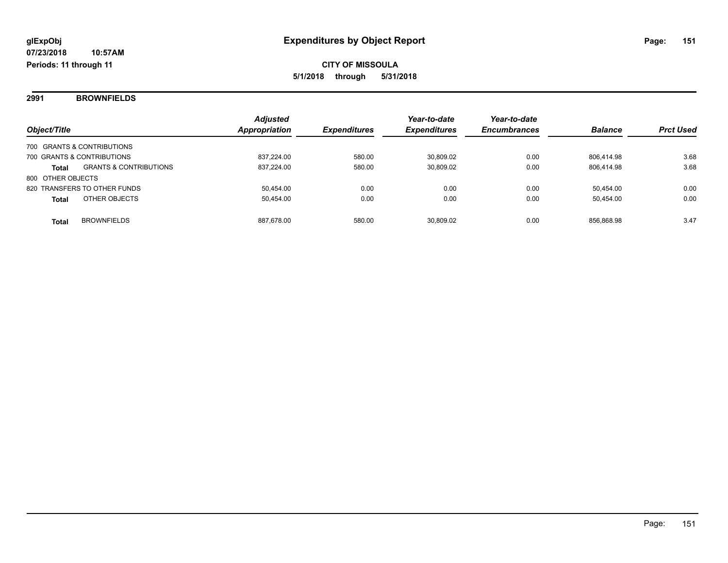**2991 BROWNFIELDS**

|                   |                                   | <b>Adjusted</b> |                     | Year-to-date        | Year-to-date        |                |                  |
|-------------------|-----------------------------------|-----------------|---------------------|---------------------|---------------------|----------------|------------------|
| Object/Title      |                                   | Appropriation   | <b>Expenditures</b> | <b>Expenditures</b> | <b>Encumbrances</b> | <b>Balance</b> | <b>Prct Used</b> |
|                   | 700 GRANTS & CONTRIBUTIONS        |                 |                     |                     |                     |                |                  |
|                   | 700 GRANTS & CONTRIBUTIONS        | 837.224.00      | 580.00              | 30,809.02           | 0.00                | 806.414.98     | 3.68             |
| Total             | <b>GRANTS &amp; CONTRIBUTIONS</b> | 837.224.00      | 580.00              | 30,809.02           | 0.00                | 806.414.98     | 3.68             |
| 800 OTHER OBJECTS |                                   |                 |                     |                     |                     |                |                  |
|                   | 820 TRANSFERS TO OTHER FUNDS      | 50,454.00       | 0.00                | 0.00                | 0.00                | 50.454.00      | 0.00             |
| <b>Total</b>      | OTHER OBJECTS                     | 50.454.00       | 0.00                | 0.00                | 0.00                | 50.454.00      | 0.00             |
| <b>Total</b>      | <b>BROWNFIELDS</b>                | 887.678.00      | 580.00              | 30.809.02           | 0.00                | 856.868.98     | 3.47             |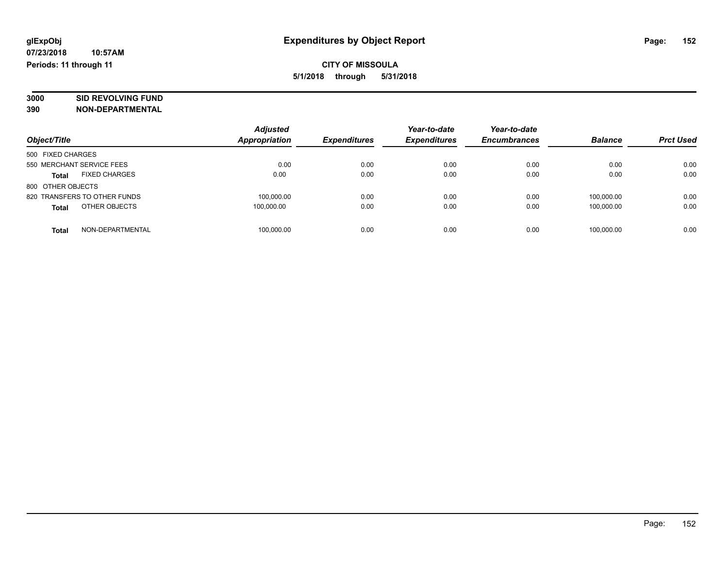# **3000 SID REVOLVING FUND**

|                                      | <b>Adjusted</b>      |                     | Year-to-date        | Year-to-date        |                |                  |
|--------------------------------------|----------------------|---------------------|---------------------|---------------------|----------------|------------------|
| Object/Title                         | <b>Appropriation</b> | <b>Expenditures</b> | <b>Expenditures</b> | <b>Encumbrances</b> | <b>Balance</b> | <b>Prct Used</b> |
| 500 FIXED CHARGES                    |                      |                     |                     |                     |                |                  |
| 550 MERCHANT SERVICE FEES            | 0.00                 | 0.00                | 0.00                | 0.00                | 0.00           | 0.00             |
| <b>FIXED CHARGES</b><br><b>Total</b> | 0.00                 | 0.00                | 0.00                | 0.00                | 0.00           | 0.00             |
| 800 OTHER OBJECTS                    |                      |                     |                     |                     |                |                  |
| 820 TRANSFERS TO OTHER FUNDS         | 100,000.00           | 0.00                | 0.00                | 0.00                | 100.000.00     | 0.00             |
| OTHER OBJECTS<br><b>Total</b>        | 100.000.00           | 0.00                | 0.00                | 0.00                | 100.000.00     | 0.00             |
| NON-DEPARTMENTAL<br>Total            | 100,000.00           | 0.00                | 0.00                | 0.00                | 100.000.00     | 0.00             |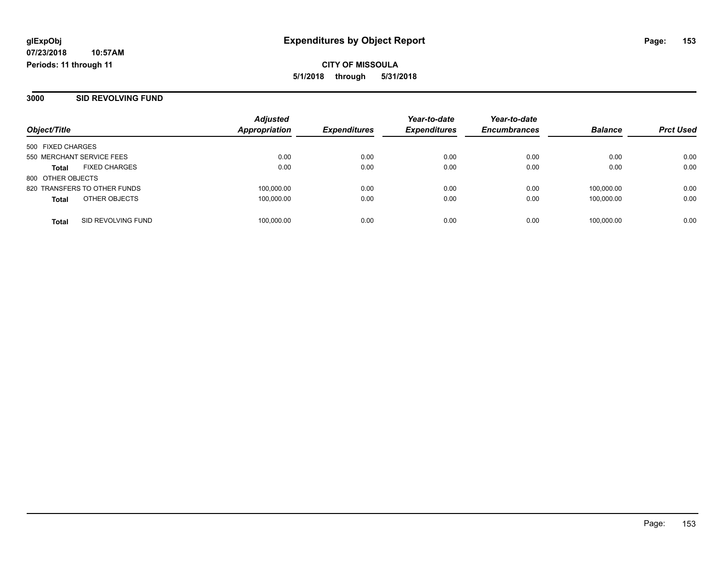**3000 SID REVOLVING FUND**

|                                    | <b>Adjusted</b><br><b>Appropriation</b> | <b>Expenditures</b> | Year-to-date<br><b>Expenditures</b> | Year-to-date<br><b>Encumbrances</b> | <b>Balance</b> | <b>Prct Used</b> |
|------------------------------------|-----------------------------------------|---------------------|-------------------------------------|-------------------------------------|----------------|------------------|
| Object/Title                       |                                         |                     |                                     |                                     |                |                  |
| 500 FIXED CHARGES                  |                                         |                     |                                     |                                     |                |                  |
| 550 MERCHANT SERVICE FEES          | 0.00                                    | 0.00                | 0.00                                | 0.00                                | 0.00           | 0.00             |
| <b>FIXED CHARGES</b><br>Total      | 0.00                                    | 0.00                | 0.00                                | 0.00                                | 0.00           | 0.00             |
| 800 OTHER OBJECTS                  |                                         |                     |                                     |                                     |                |                  |
| 820 TRANSFERS TO OTHER FUNDS       | 100,000.00                              | 0.00                | 0.00                                | 0.00                                | 100.000.00     | 0.00             |
| OTHER OBJECTS<br><b>Total</b>      | 100,000.00                              | 0.00                | 0.00                                | 0.00                                | 100.000.00     | 0.00             |
|                                    |                                         |                     |                                     |                                     |                |                  |
| SID REVOLVING FUND<br><b>Total</b> | 100,000.00                              | 0.00                | 0.00                                | 0.00                                | 100,000.00     | 0.00             |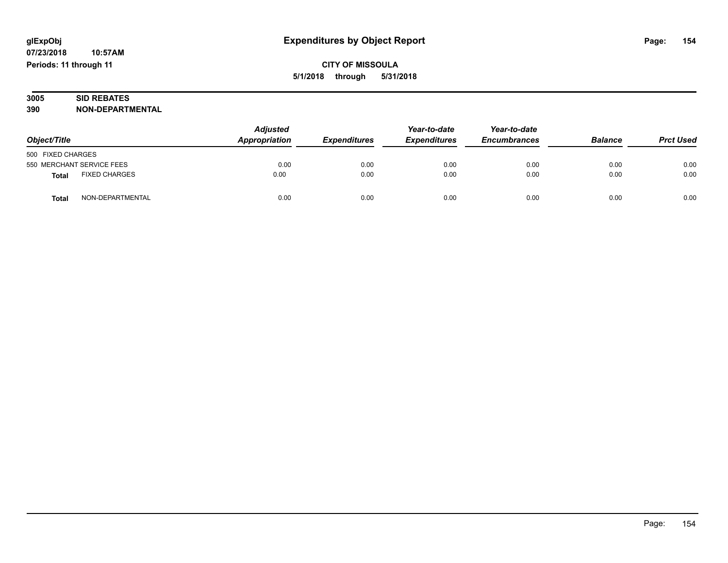| 3005 | $\mathbf{\color{red}\textbf{-} \color{blue}\textbf{-} \color{blue}\textbf{-} \color{blue}\textbf{-} \color{blue}\textbf{-} \color{blue}\textbf{-} \color{blue}\textbf{-} \color{blue}\textbf{-} \color{blue}\textbf{-} \color{blue}\textbf{-} \color{blue}\textbf{-} \color{blue}\textbf{-} \color{blue}\textbf{-} \color{blue}\textbf{-} \color{blue}\textbf{-} \color{blue}\textbf{-} \color{blue}\textbf{-} \color{blue}\textbf{-} \color{blue}\textbf{-} \color{blue}\textbf{-} \color{blue}\textbf{-} \color{blue}\textbf{-} \color{blue}\textbf{-} \color{blue}\textbf{-} \$<br>SID<br>. .<br>. |
|------|-------------------------------------------------------------------------------------------------------------------------------------------------------------------------------------------------------------------------------------------------------------------------------------------------------------------------------------------------------------------------------------------------------------------------------------------------------------------------------------------------------------------------------------------------------------------------------------------------------|
| 390  | <b>TMENTA!</b><br><b>NON</b><br>-DFPAR <sup>-</sup>                                                                                                                                                                                                                                                                                                                                                                                                                                                                                                                                                   |

|                               | <b>Adjusted</b> |                     | Year-to-date        | Year-to-date        |                |                  |
|-------------------------------|-----------------|---------------------|---------------------|---------------------|----------------|------------------|
| Object/Title                  | Appropriation   | <b>Expenditures</b> | <b>Expenditures</b> | <b>Encumbrances</b> | <b>Balance</b> | <b>Prct Used</b> |
| 500 FIXED CHARGES             |                 |                     |                     |                     |                |                  |
| 550 MERCHANT SERVICE FEES     | 0.00            | 0.00                | 0.00                | 0.00                | 0.00           | 0.00             |
| <b>FIXED CHARGES</b><br>Total | 0.00            | 0.00                | 0.00                | 0.00                | 0.00           | 0.00             |
| NON-DEPARTMENTAL<br>Tota.     | 0.00            | 0.00                | 0.00                | 0.00                | 0.00           | 0.00             |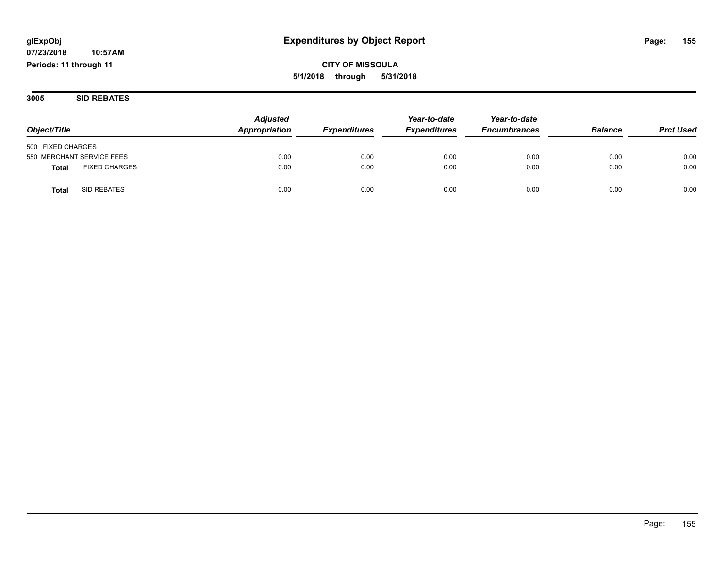# **CITY OF MISSOULA 5/1/2018 through 5/31/2018**

**3005 SID REBATES**

| Object/Title                         | <b>Adjusted</b><br>Appropriation | <b>Expenditures</b> | Year-to-date<br><b>Expenditures</b> | Year-to-date<br><b>Encumbrances</b> | <b>Balance</b> | <b>Prct Used</b> |
|--------------------------------------|----------------------------------|---------------------|-------------------------------------|-------------------------------------|----------------|------------------|
|                                      |                                  |                     |                                     |                                     |                |                  |
| 500 FIXED CHARGES                    |                                  |                     |                                     |                                     |                |                  |
| 550 MERCHANT SERVICE FEES            | 0.00                             | 0.00                | 0.00                                | 0.00                                | 0.00           | 0.00             |
| <b>FIXED CHARGES</b><br><b>Total</b> | 0.00                             | 0.00                | 0.00                                | 0.00                                | 0.00           | 0.00             |
| SID REBATES<br>Total                 | 0.00                             | 0.00                | 0.00                                | 0.00                                | 0.00           | 0.00             |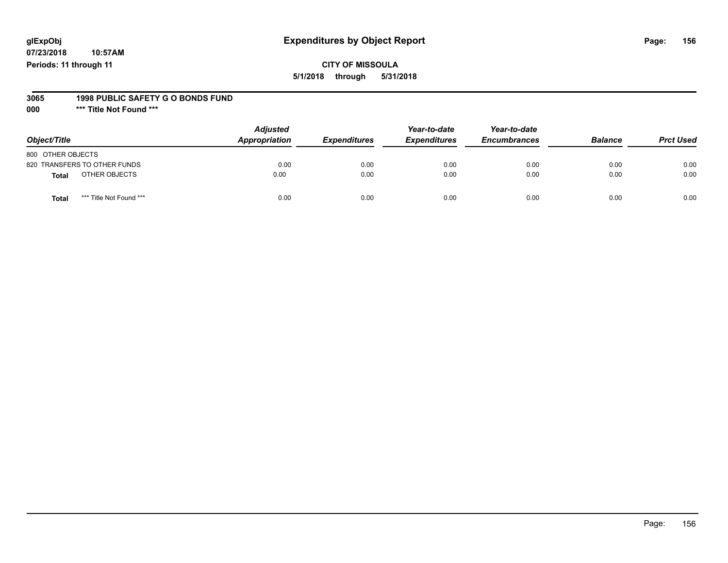### **CITY OF MISSOULA 5/1/2018 through 5/31/2018**

#### **3065 1998 PUBLIC SAFETY G O BONDS FUND**

**000 \*\*\* Title Not Found \*\*\***

| Object/Title                            | <b>Adjusted</b><br>Appropriation | <b>Expenditures</b> | Year-to-date<br><b>Expenditures</b> | Year-to-date<br><b>Encumbrances</b> | <b>Balance</b> | <b>Prct Used</b> |
|-----------------------------------------|----------------------------------|---------------------|-------------------------------------|-------------------------------------|----------------|------------------|
| 800 OTHER OBJECTS                       |                                  |                     |                                     |                                     |                |                  |
| 820 TRANSFERS TO OTHER FUNDS            | 0.00                             | 0.00                | 0.00                                | 0.00                                | 0.00           | 0.00             |
| OTHER OBJECTS<br>Total                  | 0.00                             | 0.00                | 0.00                                | 0.00                                | 0.00           | 0.00             |
| *** Title Not Found ***<br><b>Total</b> | 0.00                             | 0.00                | 0.00                                | 0.00                                | 0.00           | 0.00             |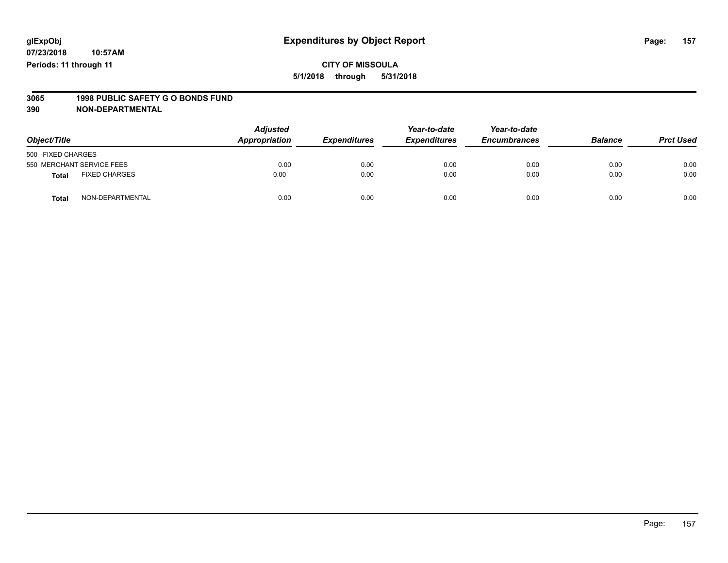## **CITY OF MISSOULA 5/1/2018 through 5/31/2018**

# **3065 1998 PUBLIC SAFETY G O BONDS FUND**

| Object/Title      |                           | <b>Adjusted</b><br>Appropriation | <b>Expenditures</b> | Year-to-date<br><b>Expenditures</b> | Year-to-date<br><b>Encumbrances</b> | <b>Balance</b> | <b>Prct Used</b> |
|-------------------|---------------------------|----------------------------------|---------------------|-------------------------------------|-------------------------------------|----------------|------------------|
| 500 FIXED CHARGES |                           |                                  |                     |                                     |                                     |                |                  |
|                   | 550 MERCHANT SERVICE FEES | 0.00                             | 0.00                | 0.00                                | 0.00                                | 0.00           | 0.00             |
| <b>Total</b>      | <b>FIXED CHARGES</b>      | 0.00                             | 0.00                | 0.00                                | 0.00                                | 0.00           | 0.00             |
| <b>Total</b>      | NON-DEPARTMENTAL          | 0.00                             | 0.00                | 0.00                                | 0.00                                | 0.00           | 0.00             |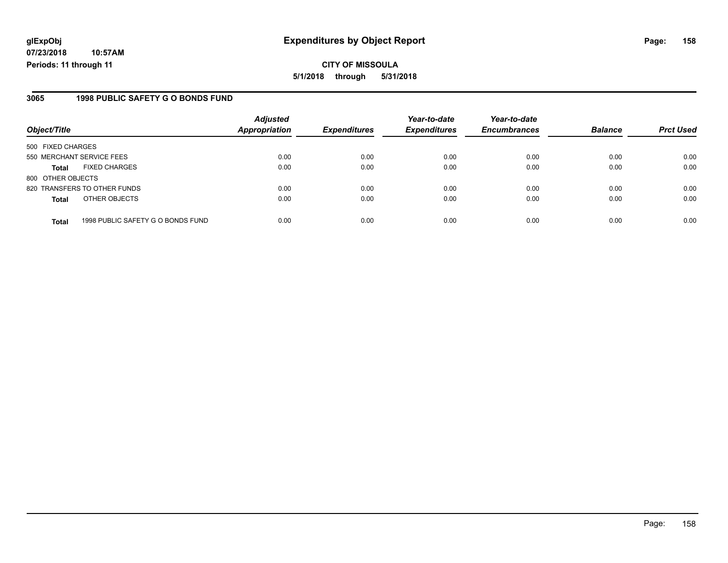**CITY OF MISSOULA 5/1/2018 through 5/31/2018**

#### **3065 1998 PUBLIC SAFETY G O BONDS FUND**

|                           |                                   | <b>Adjusted</b>      |                     | Year-to-date        | Year-to-date        |                |                  |
|---------------------------|-----------------------------------|----------------------|---------------------|---------------------|---------------------|----------------|------------------|
| Object/Title              |                                   | <b>Appropriation</b> | <b>Expenditures</b> | <b>Expenditures</b> | <b>Encumbrances</b> | <b>Balance</b> | <b>Prct Used</b> |
| 500 FIXED CHARGES         |                                   |                      |                     |                     |                     |                |                  |
| 550 MERCHANT SERVICE FEES |                                   | 0.00                 | 0.00                | 0.00                | 0.00                | 0.00           | 0.00             |
| <b>Total</b>              | <b>FIXED CHARGES</b>              | 0.00                 | 0.00                | 0.00                | 0.00                | 0.00           | 0.00             |
| 800 OTHER OBJECTS         |                                   |                      |                     |                     |                     |                |                  |
|                           | 820 TRANSFERS TO OTHER FUNDS      | 0.00                 | 0.00                | 0.00                | 0.00                | 0.00           | 0.00             |
| <b>Total</b>              | OTHER OBJECTS                     | 0.00                 | 0.00                | 0.00                | 0.00                | 0.00           | 0.00             |
| <b>Total</b>              | 1998 PUBLIC SAFETY G O BONDS FUND | 0.00                 | 0.00                | 0.00                | 0.00                | 0.00           | 0.00             |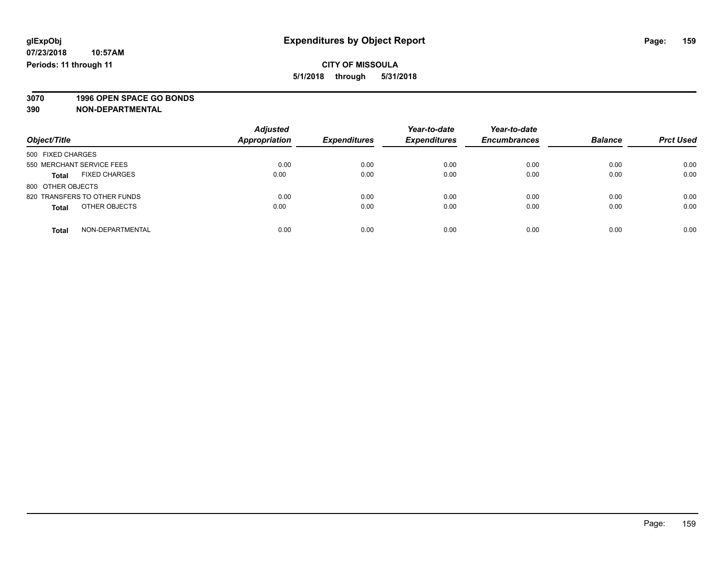**3070 1996 OPEN SPACE GO BONDS**

| Object/Title                         | <b>Adjusted</b><br><b>Appropriation</b> | <b>Expenditures</b> | Year-to-date<br><b>Expenditures</b> | Year-to-date<br><b>Encumbrances</b> | <b>Balance</b> | <b>Prct Used</b> |
|--------------------------------------|-----------------------------------------|---------------------|-------------------------------------|-------------------------------------|----------------|------------------|
| 500 FIXED CHARGES                    |                                         |                     |                                     |                                     |                |                  |
| 550 MERCHANT SERVICE FEES            | 0.00                                    | 0.00                | 0.00                                | 0.00                                | 0.00           | 0.00             |
| <b>FIXED CHARGES</b><br><b>Total</b> | 0.00                                    | 0.00                | 0.00                                | 0.00                                | 0.00           | 0.00             |
| 800 OTHER OBJECTS                    |                                         |                     |                                     |                                     |                |                  |
| 820 TRANSFERS TO OTHER FUNDS         | 0.00                                    | 0.00                | 0.00                                | 0.00                                | 0.00           | 0.00             |
| OTHER OBJECTS<br><b>Total</b>        | 0.00                                    | 0.00                | 0.00                                | 0.00                                | 0.00           | 0.00             |
| NON-DEPARTMENTAL<br><b>Total</b>     | 0.00                                    | 0.00                | 0.00                                | 0.00                                | 0.00           | 0.00             |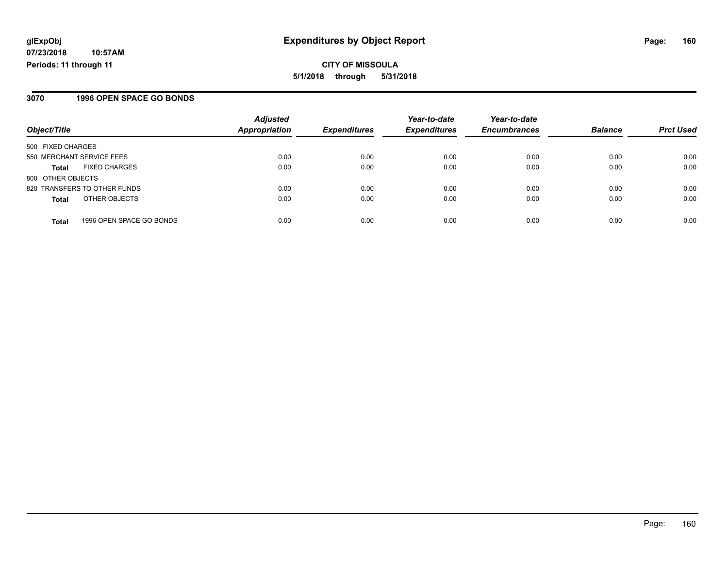**CITY OF MISSOULA 5/1/2018 through 5/31/2018**

#### **3070 1996 OPEN SPACE GO BONDS**

|                                          | <b>Adjusted</b>      |                     | Year-to-date        | Year-to-date        |                |                  |
|------------------------------------------|----------------------|---------------------|---------------------|---------------------|----------------|------------------|
| Object/Title                             | <b>Appropriation</b> | <b>Expenditures</b> | <b>Expenditures</b> | <b>Encumbrances</b> | <b>Balance</b> | <b>Prct Used</b> |
| 500 FIXED CHARGES                        |                      |                     |                     |                     |                |                  |
| 550 MERCHANT SERVICE FEES                | 0.00                 | 0.00                | 0.00                | 0.00                | 0.00           | 0.00             |
| <b>FIXED CHARGES</b><br>Total            | 0.00                 | 0.00                | 0.00                | 0.00                | 0.00           | 0.00             |
| 800 OTHER OBJECTS                        |                      |                     |                     |                     |                |                  |
| 820 TRANSFERS TO OTHER FUNDS             | 0.00                 | 0.00                | 0.00                | 0.00                | 0.00           | 0.00             |
| OTHER OBJECTS<br><b>Total</b>            | 0.00                 | 0.00                | 0.00                | 0.00                | 0.00           | 0.00             |
| 1996 OPEN SPACE GO BONDS<br><b>Total</b> | 0.00                 | 0.00                | 0.00                | 0.00                | 0.00           | 0.00             |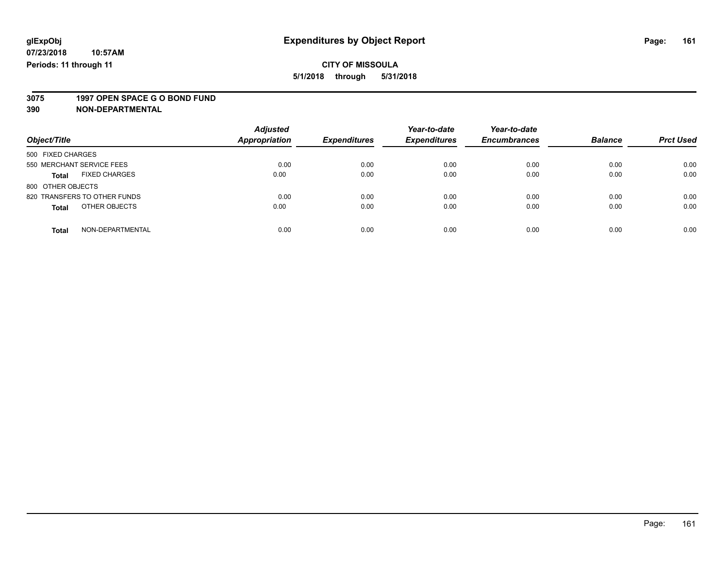# **3075 1997 OPEN SPACE G O BOND FUND**

|                                      | <b>Adjusted</b>      |                     | Year-to-date        | Year-to-date        |                |                  |
|--------------------------------------|----------------------|---------------------|---------------------|---------------------|----------------|------------------|
| Object/Title                         | <b>Appropriation</b> | <b>Expenditures</b> | <b>Expenditures</b> | <b>Encumbrances</b> | <b>Balance</b> | <b>Prct Used</b> |
| 500 FIXED CHARGES                    |                      |                     |                     |                     |                |                  |
| 550 MERCHANT SERVICE FEES            | 0.00                 | 0.00                | 0.00                | 0.00                | 0.00           | 0.00             |
| <b>FIXED CHARGES</b><br><b>Total</b> | 0.00                 | 0.00                | 0.00                | 0.00                | 0.00           | 0.00             |
| 800 OTHER OBJECTS                    |                      |                     |                     |                     |                |                  |
| 820 TRANSFERS TO OTHER FUNDS         | 0.00                 | 0.00                | 0.00                | 0.00                | 0.00           | 0.00             |
| OTHER OBJECTS<br><b>Total</b>        | 0.00                 | 0.00                | 0.00                | 0.00                | 0.00           | 0.00             |
| NON-DEPARTMENTAL<br><b>Total</b>     | 0.00                 | 0.00                | 0.00                | 0.00                | 0.00           | 0.00             |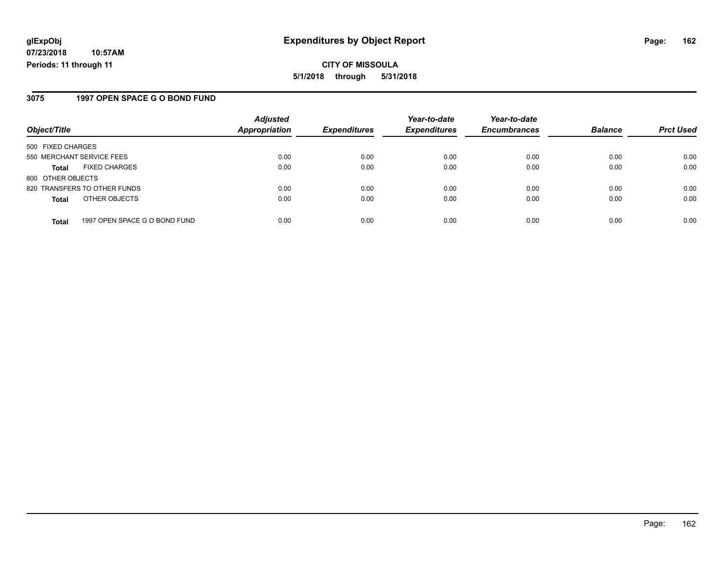**CITY OF MISSOULA 5/1/2018 through 5/31/2018**

#### **3075 1997 OPEN SPACE G O BOND FUND**

|                                               | <b>Adjusted</b>      |                     | Year-to-date        | Year-to-date        |                |                  |
|-----------------------------------------------|----------------------|---------------------|---------------------|---------------------|----------------|------------------|
| Object/Title                                  | <b>Appropriation</b> | <b>Expenditures</b> | <b>Expenditures</b> | <b>Encumbrances</b> | <b>Balance</b> | <b>Prct Used</b> |
| 500 FIXED CHARGES                             |                      |                     |                     |                     |                |                  |
| 550 MERCHANT SERVICE FEES                     | 0.00                 | 0.00                | 0.00                | 0.00                | 0.00           | 0.00             |
| <b>FIXED CHARGES</b><br><b>Total</b>          | 0.00                 | 0.00                | 0.00                | 0.00                | 0.00           | 0.00             |
| 800 OTHER OBJECTS                             |                      |                     |                     |                     |                |                  |
| 820 TRANSFERS TO OTHER FUNDS                  | 0.00                 | 0.00                | 0.00                | 0.00                | 0.00           | 0.00             |
| OTHER OBJECTS<br><b>Total</b>                 | 0.00                 | 0.00                | 0.00                | 0.00                | 0.00           | 0.00             |
| 1997 OPEN SPACE G O BOND FUND<br><b>Total</b> | 0.00                 | 0.00                | 0.00                | 0.00                | 0.00           | 0.00             |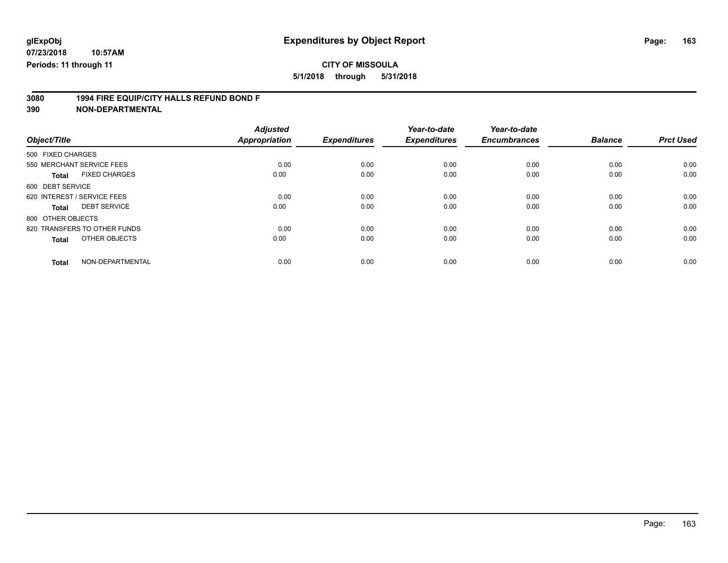# **3080 1994 FIRE EQUIP/CITY HALLS REFUND BOND F**

| Object/Title                         | <b>Adjusted</b><br><b>Appropriation</b> | <b>Expenditures</b> | Year-to-date<br><b>Expenditures</b> | Year-to-date<br><b>Encumbrances</b> | <b>Balance</b> | <b>Prct Used</b> |
|--------------------------------------|-----------------------------------------|---------------------|-------------------------------------|-------------------------------------|----------------|------------------|
|                                      |                                         |                     |                                     |                                     |                |                  |
| 500 FIXED CHARGES                    |                                         |                     |                                     |                                     |                |                  |
| 550 MERCHANT SERVICE FEES            | 0.00                                    | 0.00                | 0.00                                | 0.00                                | 0.00           | 0.00             |
| <b>FIXED CHARGES</b><br><b>Total</b> | 0.00                                    | 0.00                | 0.00                                | 0.00                                | 0.00           | 0.00             |
| 600 DEBT SERVICE                     |                                         |                     |                                     |                                     |                |                  |
| 620 INTEREST / SERVICE FEES          | 0.00                                    | 0.00                | 0.00                                | 0.00                                | 0.00           | 0.00             |
| <b>DEBT SERVICE</b><br>Total         | 0.00                                    | 0.00                | 0.00                                | 0.00                                | 0.00           | 0.00             |
| 800 OTHER OBJECTS                    |                                         |                     |                                     |                                     |                |                  |
| 820 TRANSFERS TO OTHER FUNDS         | 0.00                                    | 0.00                | 0.00                                | 0.00                                | 0.00           | 0.00             |
| OTHER OBJECTS<br><b>Total</b>        | 0.00                                    | 0.00                | 0.00                                | 0.00                                | 0.00           | 0.00             |
|                                      |                                         |                     |                                     |                                     |                |                  |
| NON-DEPARTMENTAL<br><b>Total</b>     | 0.00                                    | 0.00                | 0.00                                | 0.00                                | 0.00           | 0.00             |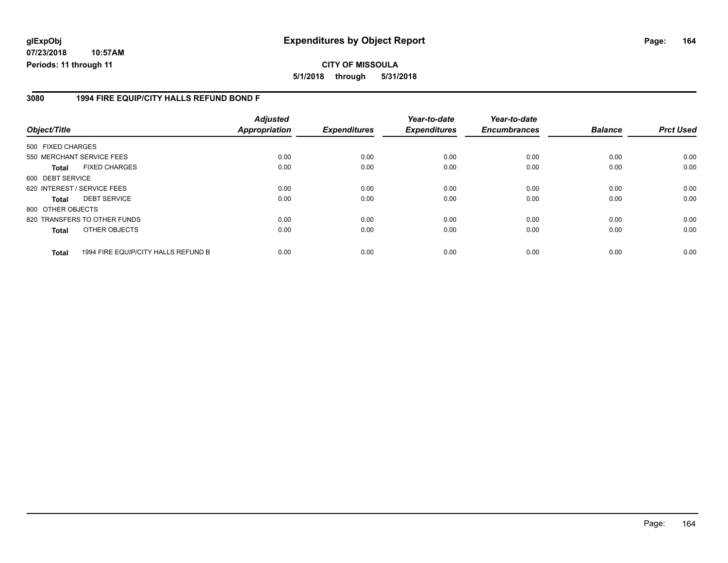**CITY OF MISSOULA 5/1/2018 through 5/31/2018**

#### **3080 1994 FIRE EQUIP/CITY HALLS REFUND BOND F**

| Object/Title      |                                     | <b>Adjusted</b><br>Appropriation | <b>Expenditures</b> | Year-to-date<br><b>Expenditures</b> | Year-to-date<br><b>Encumbrances</b> | <b>Balance</b> | <b>Prct Used</b> |
|-------------------|-------------------------------------|----------------------------------|---------------------|-------------------------------------|-------------------------------------|----------------|------------------|
|                   |                                     |                                  |                     |                                     |                                     |                |                  |
| 500 FIXED CHARGES |                                     |                                  |                     |                                     |                                     |                |                  |
|                   | 550 MERCHANT SERVICE FEES           | 0.00                             | 0.00                | 0.00                                | 0.00                                | 0.00           | 0.00             |
| Total             | <b>FIXED CHARGES</b>                | 0.00                             | 0.00                | 0.00                                | 0.00                                | 0.00           | 0.00             |
| 600 DEBT SERVICE  |                                     |                                  |                     |                                     |                                     |                |                  |
|                   | 620 INTEREST / SERVICE FEES         | 0.00                             | 0.00                | 0.00                                | 0.00                                | 0.00           | 0.00             |
| Total             | <b>DEBT SERVICE</b>                 | 0.00                             | 0.00                | 0.00                                | 0.00                                | 0.00           | 0.00             |
| 800 OTHER OBJECTS |                                     |                                  |                     |                                     |                                     |                |                  |
|                   | 820 TRANSFERS TO OTHER FUNDS        | 0.00                             | 0.00                | 0.00                                | 0.00                                | 0.00           | 0.00             |
| <b>Total</b>      | OTHER OBJECTS                       | 0.00                             | 0.00                | 0.00                                | 0.00                                | 0.00           | 0.00             |
| <b>Total</b>      | 1994 FIRE EQUIP/CITY HALLS REFUND B | 0.00                             | 0.00                | 0.00                                | 0.00                                | 0.00           | 0.00             |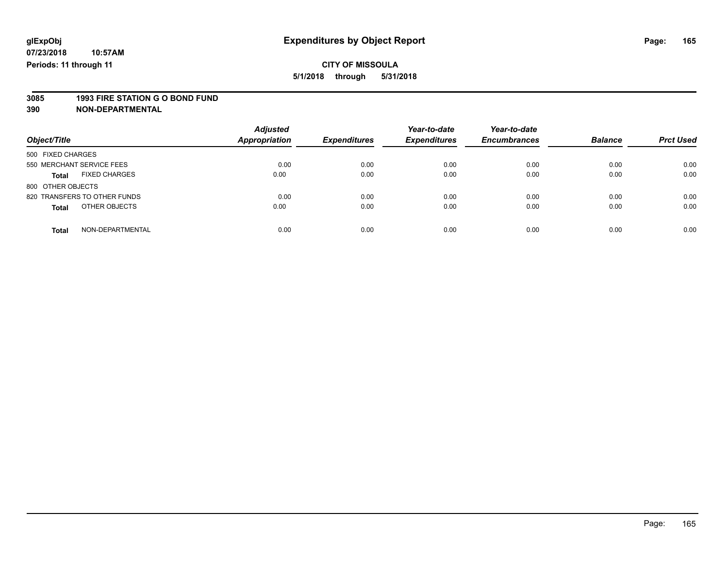# **3085 1993 FIRE STATION G O BOND FUND**

|                                      | <b>Adjusted</b>      |                     | Year-to-date        | Year-to-date        |                |                  |
|--------------------------------------|----------------------|---------------------|---------------------|---------------------|----------------|------------------|
| Object/Title                         | <b>Appropriation</b> | <b>Expenditures</b> | <b>Expenditures</b> | <b>Encumbrances</b> | <b>Balance</b> | <b>Prct Used</b> |
| 500 FIXED CHARGES                    |                      |                     |                     |                     |                |                  |
| 550 MERCHANT SERVICE FEES            | 0.00                 | 0.00                | 0.00                | 0.00                | 0.00           | 0.00             |
| <b>FIXED CHARGES</b><br><b>Total</b> | 0.00                 | 0.00                | 0.00                | 0.00                | 0.00           | 0.00             |
| 800 OTHER OBJECTS                    |                      |                     |                     |                     |                |                  |
| 820 TRANSFERS TO OTHER FUNDS         | 0.00                 | 0.00                | 0.00                | 0.00                | 0.00           | 0.00             |
| OTHER OBJECTS<br><b>Total</b>        | 0.00                 | 0.00                | 0.00                | 0.00                | 0.00           | 0.00             |
| NON-DEPARTMENTAL<br>Total            | 0.00                 | 0.00                | 0.00                | 0.00                | 0.00           | 0.00             |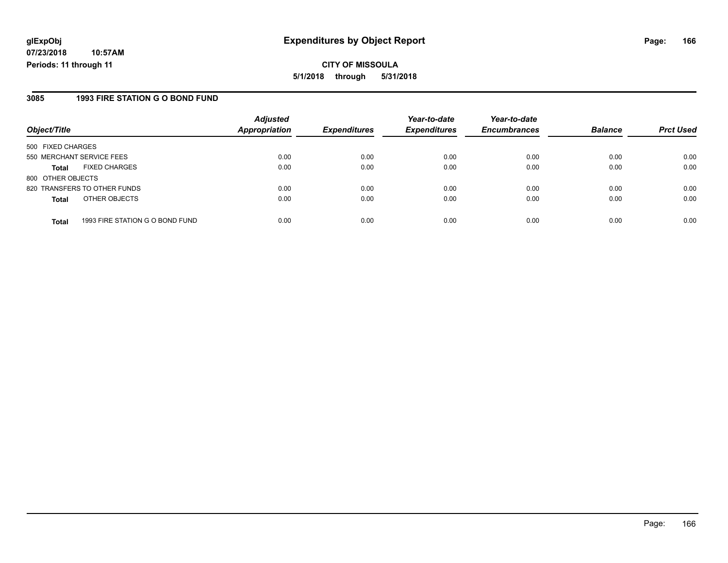**CITY OF MISSOULA 5/1/2018 through 5/31/2018**

#### **3085 1993 FIRE STATION G O BOND FUND**

| Object/Title              |                                 | <b>Adjusted</b><br><b>Appropriation</b> | <b>Expenditures</b> | Year-to-date<br><b>Expenditures</b> | Year-to-date<br><b>Encumbrances</b> | <b>Balance</b> | <b>Prct Used</b> |
|---------------------------|---------------------------------|-----------------------------------------|---------------------|-------------------------------------|-------------------------------------|----------------|------------------|
|                           |                                 |                                         |                     |                                     |                                     |                |                  |
| 550 MERCHANT SERVICE FEES |                                 | 0.00                                    | 0.00                | 0.00                                | 0.00                                | 0.00           | 0.00             |
| <b>Total</b>              | <b>FIXED CHARGES</b>            | 0.00                                    | 0.00                | 0.00                                | 0.00                                | 0.00           | 0.00             |
| 800 OTHER OBJECTS         |                                 |                                         |                     |                                     |                                     |                |                  |
|                           | 820 TRANSFERS TO OTHER FUNDS    | 0.00                                    | 0.00                | 0.00                                | 0.00                                | 0.00           | 0.00             |
| <b>Total</b>              | OTHER OBJECTS                   | 0.00                                    | 0.00                | 0.00                                | 0.00                                | 0.00           | 0.00             |
| <b>Total</b>              | 1993 FIRE STATION G O BOND FUND | 0.00                                    | 0.00                | 0.00                                | 0.00                                | 0.00           | 0.00             |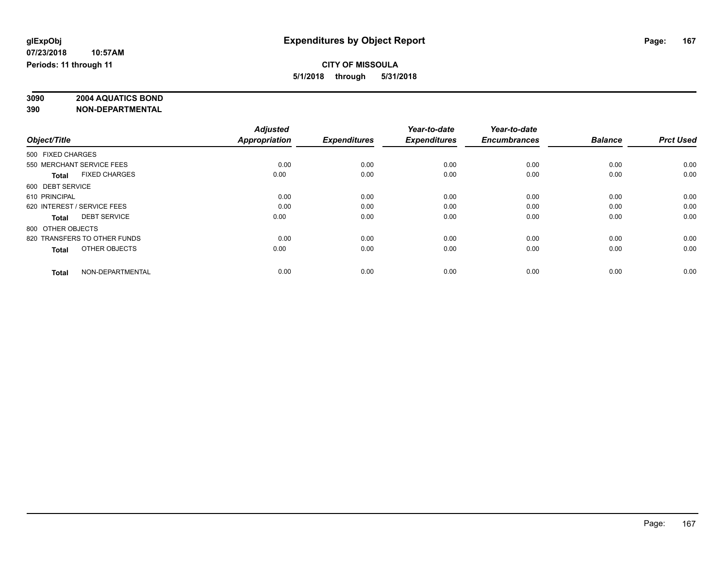# **3090 2004 AQUATICS BOND**

|                   |                              | <b>Adjusted</b>      |                     | Year-to-date        | Year-to-date        |                |                  |
|-------------------|------------------------------|----------------------|---------------------|---------------------|---------------------|----------------|------------------|
| Object/Title      |                              | <b>Appropriation</b> | <b>Expenditures</b> | <b>Expenditures</b> | <b>Encumbrances</b> | <b>Balance</b> | <b>Prct Used</b> |
| 500 FIXED CHARGES |                              |                      |                     |                     |                     |                |                  |
|                   | 550 MERCHANT SERVICE FEES    | 0.00                 | 0.00                | 0.00                | 0.00                | 0.00           | 0.00             |
| <b>Total</b>      | <b>FIXED CHARGES</b>         | 0.00                 | 0.00                | 0.00                | 0.00                | 0.00           | 0.00             |
| 600 DEBT SERVICE  |                              |                      |                     |                     |                     |                |                  |
| 610 PRINCIPAL     |                              | 0.00                 | 0.00                | 0.00                | 0.00                | 0.00           | 0.00             |
|                   | 620 INTEREST / SERVICE FEES  | 0.00                 | 0.00                | 0.00                | 0.00                | 0.00           | 0.00             |
| <b>Total</b>      | <b>DEBT SERVICE</b>          | 0.00                 | 0.00                | 0.00                | 0.00                | 0.00           | 0.00             |
| 800 OTHER OBJECTS |                              |                      |                     |                     |                     |                |                  |
|                   | 820 TRANSFERS TO OTHER FUNDS | 0.00                 | 0.00                | 0.00                | 0.00                | 0.00           | 0.00             |
| <b>Total</b>      | OTHER OBJECTS                | 0.00                 | 0.00                | 0.00                | 0.00                | 0.00           | 0.00             |
|                   |                              |                      |                     |                     |                     |                |                  |
| <b>Total</b>      | NON-DEPARTMENTAL             | 0.00                 | 0.00                | 0.00                | 0.00                | 0.00           | 0.00             |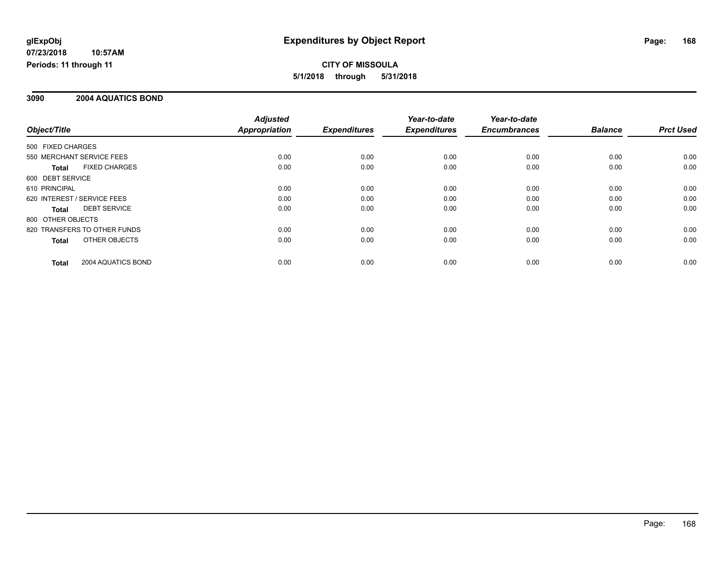#### **3090 2004 AQUATICS BOND**

|                                    | <b>Adjusted</b> |                     | Year-to-date        | Year-to-date        |                |                  |
|------------------------------------|-----------------|---------------------|---------------------|---------------------|----------------|------------------|
| Object/Title                       | Appropriation   | <b>Expenditures</b> | <b>Expenditures</b> | <b>Encumbrances</b> | <b>Balance</b> | <b>Prct Used</b> |
| 500 FIXED CHARGES                  |                 |                     |                     |                     |                |                  |
| 550 MERCHANT SERVICE FEES          | 0.00            | 0.00                | 0.00                | 0.00                | 0.00           | 0.00             |
| <b>FIXED CHARGES</b><br>Total      | 0.00            | 0.00                | 0.00                | 0.00                | 0.00           | 0.00             |
| 600 DEBT SERVICE                   |                 |                     |                     |                     |                |                  |
| 610 PRINCIPAL                      | 0.00            | 0.00                | 0.00                | 0.00                | 0.00           | 0.00             |
| 620 INTEREST / SERVICE FEES        | 0.00            | 0.00                | 0.00                | 0.00                | 0.00           | 0.00             |
| <b>DEBT SERVICE</b><br>Total       | 0.00            | 0.00                | 0.00                | 0.00                | 0.00           | 0.00             |
| 800 OTHER OBJECTS                  |                 |                     |                     |                     |                |                  |
| 820 TRANSFERS TO OTHER FUNDS       | 0.00            | 0.00                | 0.00                | 0.00                | 0.00           | 0.00             |
| OTHER OBJECTS<br>Total             | 0.00            | 0.00                | 0.00                | 0.00                | 0.00           | 0.00             |
| 2004 AQUATICS BOND<br><b>Total</b> | 0.00            | 0.00                | 0.00                | 0.00                | 0.00           | 0.00             |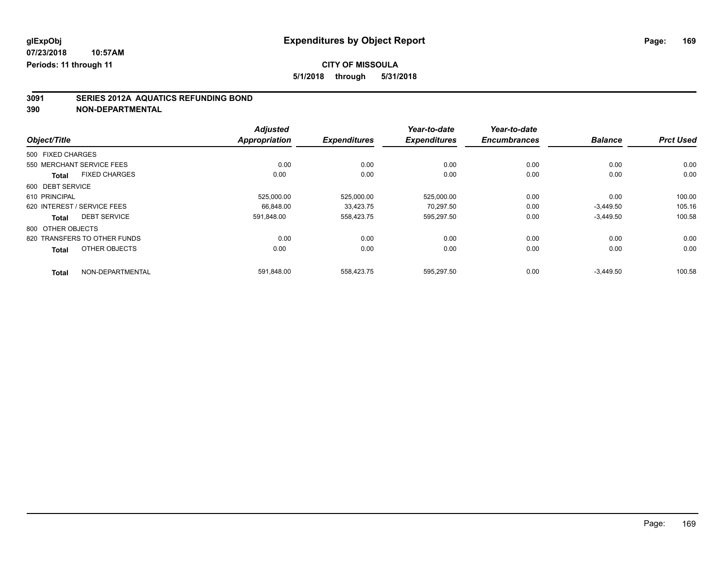# **CITY OF MISSOULA**

**5/1/2018 through 5/31/2018**

# **3091 SERIES 2012A AQUATICS REFUNDING BOND**

|                   |                              | <b>Adjusted</b>      |                     | Year-to-date        | Year-to-date        |                |                  |
|-------------------|------------------------------|----------------------|---------------------|---------------------|---------------------|----------------|------------------|
| Object/Title      |                              | <b>Appropriation</b> | <b>Expenditures</b> | <b>Expenditures</b> | <b>Encumbrances</b> | <b>Balance</b> | <b>Prct Used</b> |
| 500 FIXED CHARGES |                              |                      |                     |                     |                     |                |                  |
|                   | 550 MERCHANT SERVICE FEES    | 0.00                 | 0.00                | 0.00                | 0.00                | 0.00           | 0.00             |
| <b>Total</b>      | <b>FIXED CHARGES</b>         | 0.00                 | 0.00                | 0.00                | 0.00                | 0.00           | 0.00             |
| 600 DEBT SERVICE  |                              |                      |                     |                     |                     |                |                  |
| 610 PRINCIPAL     |                              | 525,000.00           | 525,000.00          | 525,000.00          | 0.00                | 0.00           | 100.00           |
|                   | 620 INTEREST / SERVICE FEES  | 66.848.00            | 33,423.75           | 70.297.50           | 0.00                | $-3.449.50$    | 105.16           |
| Total             | <b>DEBT SERVICE</b>          | 591.848.00           | 558,423.75          | 595,297.50          | 0.00                | $-3,449.50$    | 100.58           |
| 800 OTHER OBJECTS |                              |                      |                     |                     |                     |                |                  |
|                   | 820 TRANSFERS TO OTHER FUNDS | 0.00                 | 0.00                | 0.00                | 0.00                | 0.00           | 0.00             |
| <b>Total</b>      | OTHER OBJECTS                | 0.00                 | 0.00                | 0.00                | 0.00                | 0.00           | 0.00             |
| <b>Total</b>      | NON-DEPARTMENTAL             | 591.848.00           | 558.423.75          | 595.297.50          | 0.00                | $-3.449.50$    | 100.58           |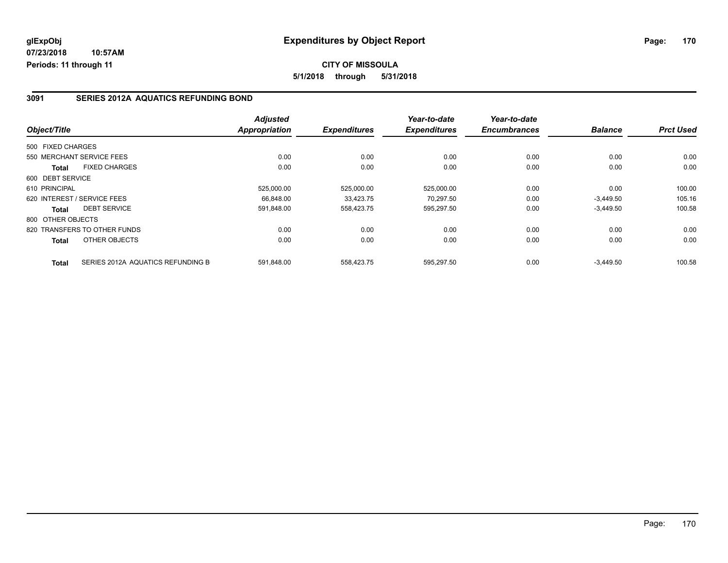### **3091 SERIES 2012A AQUATICS REFUNDING BOND**

|                   |                                   | <b>Adjusted</b>      |                     | Year-to-date        | Year-to-date        |                |                  |
|-------------------|-----------------------------------|----------------------|---------------------|---------------------|---------------------|----------------|------------------|
| Object/Title      |                                   | <b>Appropriation</b> | <b>Expenditures</b> | <b>Expenditures</b> | <b>Encumbrances</b> | <b>Balance</b> | <b>Prct Used</b> |
| 500 FIXED CHARGES |                                   |                      |                     |                     |                     |                |                  |
|                   | 550 MERCHANT SERVICE FEES         | 0.00                 | 0.00                | 0.00                | 0.00                | 0.00           | 0.00             |
| <b>Total</b>      | <b>FIXED CHARGES</b>              | 0.00                 | 0.00                | 0.00                | 0.00                | 0.00           | 0.00             |
| 600 DEBT SERVICE  |                                   |                      |                     |                     |                     |                |                  |
| 610 PRINCIPAL     |                                   | 525,000.00           | 525,000.00          | 525,000.00          | 0.00                | 0.00           | 100.00           |
|                   | 620 INTEREST / SERVICE FEES       | 66,848.00            | 33,423.75           | 70,297.50           | 0.00                | $-3.449.50$    | 105.16           |
| Total             | <b>DEBT SERVICE</b>               | 591,848.00           | 558,423.75          | 595,297.50          | 0.00                | $-3,449.50$    | 100.58           |
| 800 OTHER OBJECTS |                                   |                      |                     |                     |                     |                |                  |
|                   | 820 TRANSFERS TO OTHER FUNDS      | 0.00                 | 0.00                | 0.00                | 0.00                | 0.00           | 0.00             |
| Total             | OTHER OBJECTS                     | 0.00                 | 0.00                | 0.00                | 0.00                | 0.00           | 0.00             |
| <b>Total</b>      | SERIES 2012A AQUATICS REFUNDING B | 591,848.00           | 558.423.75          | 595.297.50          | 0.00                | $-3.449.50$    | 100.58           |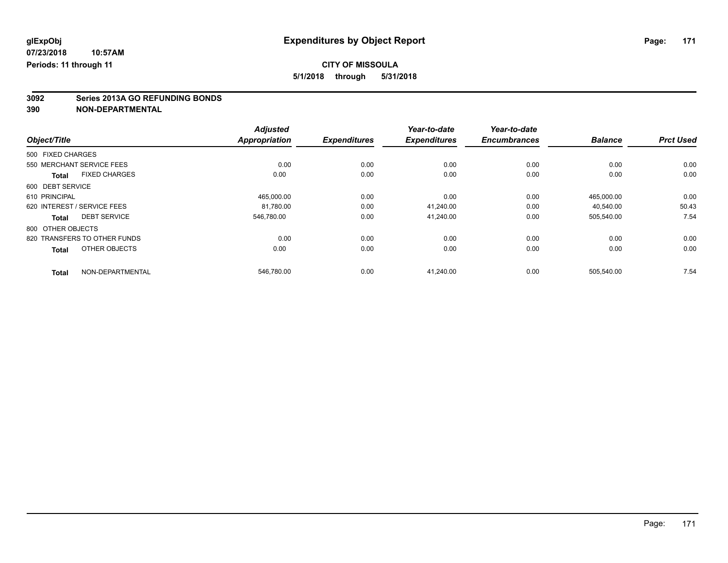# **3092 Series 2013A GO REFUNDING BONDS**

|                                      | <b>Adjusted</b>      |                     | Year-to-date        | Year-to-date        |                |                  |
|--------------------------------------|----------------------|---------------------|---------------------|---------------------|----------------|------------------|
| Object/Title                         | <b>Appropriation</b> | <b>Expenditures</b> | <b>Expenditures</b> | <b>Encumbrances</b> | <b>Balance</b> | <b>Prct Used</b> |
| 500 FIXED CHARGES                    |                      |                     |                     |                     |                |                  |
| 550 MERCHANT SERVICE FEES            | 0.00                 | 0.00                | 0.00                | 0.00                | 0.00           | 0.00             |
| <b>FIXED CHARGES</b><br><b>Total</b> | 0.00                 | 0.00                | 0.00                | 0.00                | 0.00           | 0.00             |
| 600 DEBT SERVICE                     |                      |                     |                     |                     |                |                  |
| 610 PRINCIPAL                        | 465,000.00           | 0.00                | 0.00                | 0.00                | 465,000.00     | 0.00             |
| 620 INTEREST / SERVICE FEES          | 81,780.00            | 0.00                | 41.240.00           | 0.00                | 40.540.00      | 50.43            |
| <b>DEBT SERVICE</b><br><b>Total</b>  | 546.780.00           | 0.00                | 41,240.00           | 0.00                | 505,540.00     | 7.54             |
| 800 OTHER OBJECTS                    |                      |                     |                     |                     |                |                  |
| 820 TRANSFERS TO OTHER FUNDS         | 0.00                 | 0.00                | 0.00                | 0.00                | 0.00           | 0.00             |
| OTHER OBJECTS<br><b>Total</b>        | 0.00                 | 0.00                | 0.00                | 0.00                | 0.00           | 0.00             |
| NON-DEPARTMENTAL<br><b>Total</b>     | 546,780.00           | 0.00                | 41.240.00           | 0.00                | 505,540.00     | 7.54             |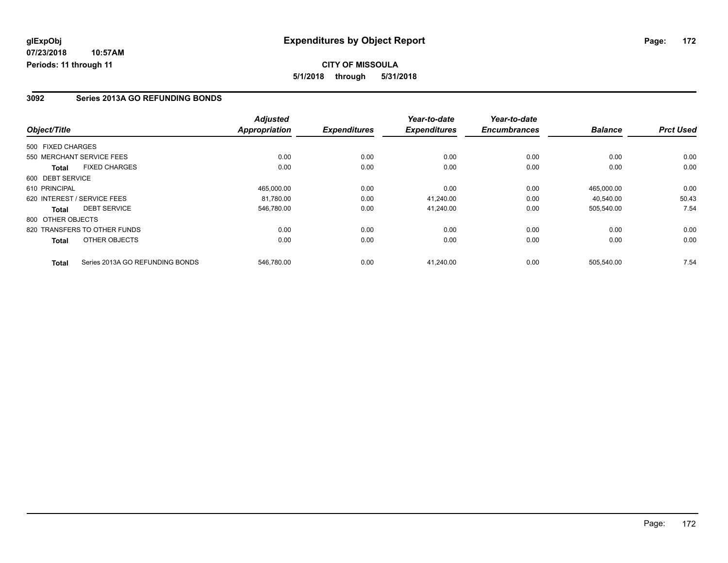# **CITY OF MISSOULA 5/1/2018 through 5/31/2018**

### **3092 Series 2013A GO REFUNDING BONDS**

|                   |                                 | <b>Adjusted</b>      |                     | Year-to-date        | Year-to-date        |                |                  |
|-------------------|---------------------------------|----------------------|---------------------|---------------------|---------------------|----------------|------------------|
| Object/Title      |                                 | <b>Appropriation</b> | <b>Expenditures</b> | <b>Expenditures</b> | <b>Encumbrances</b> | <b>Balance</b> | <b>Prct Used</b> |
| 500 FIXED CHARGES |                                 |                      |                     |                     |                     |                |                  |
|                   | 550 MERCHANT SERVICE FEES       | 0.00                 | 0.00                | 0.00                | 0.00                | 0.00           | 0.00             |
| Total             | <b>FIXED CHARGES</b>            | 0.00                 | 0.00                | 0.00                | 0.00                | 0.00           | 0.00             |
| 600 DEBT SERVICE  |                                 |                      |                     |                     |                     |                |                  |
| 610 PRINCIPAL     |                                 | 465.000.00           | 0.00                | 0.00                | 0.00                | 465.000.00     | 0.00             |
|                   | 620 INTEREST / SERVICE FEES     | 81,780.00            | 0.00                | 41,240.00           | 0.00                | 40,540.00      | 50.43            |
| Total             | <b>DEBT SERVICE</b>             | 546.780.00           | 0.00                | 41.240.00           | 0.00                | 505,540.00     | 7.54             |
| 800 OTHER OBJECTS |                                 |                      |                     |                     |                     |                |                  |
|                   | 820 TRANSFERS TO OTHER FUNDS    | 0.00                 | 0.00                | 0.00                | 0.00                | 0.00           | 0.00             |
| Total             | OTHER OBJECTS                   | 0.00                 | 0.00                | 0.00                | 0.00                | 0.00           | 0.00             |
| <b>Total</b>      | Series 2013A GO REFUNDING BONDS | 546.780.00           | 0.00                | 41.240.00           | 0.00                | 505.540.00     | 7.54             |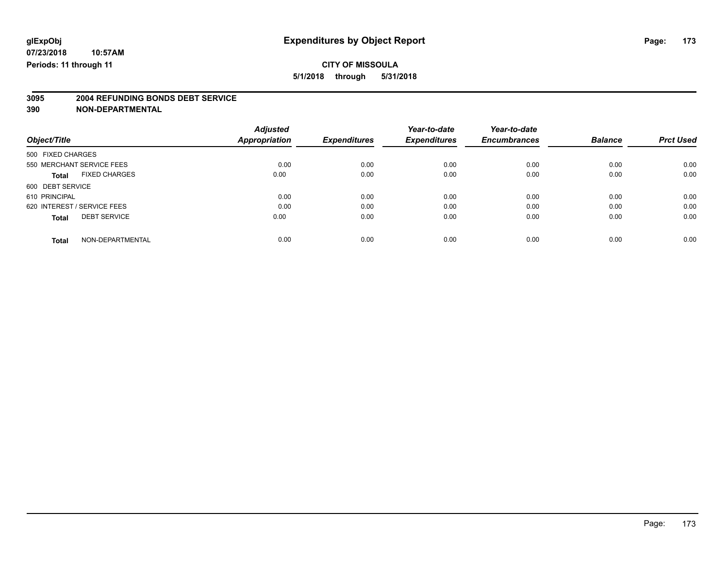# **3095 2004 REFUNDING BONDS DEBT SERVICE**

| Object/Title                         | <b>Adjusted</b><br>Appropriation | <b>Expenditures</b> | Year-to-date<br><b>Expenditures</b> | Year-to-date<br><b>Encumbrances</b> | <b>Balance</b> | <b>Prct Used</b> |
|--------------------------------------|----------------------------------|---------------------|-------------------------------------|-------------------------------------|----------------|------------------|
|                                      |                                  |                     |                                     |                                     |                |                  |
| 500 FIXED CHARGES                    |                                  |                     |                                     |                                     |                |                  |
| 550 MERCHANT SERVICE FEES            | 0.00                             | 0.00                | 0.00                                | 0.00                                | 0.00           | 0.00             |
| <b>FIXED CHARGES</b><br><b>Total</b> | 0.00                             | 0.00                | 0.00                                | 0.00                                | 0.00           | 0.00             |
| 600 DEBT SERVICE                     |                                  |                     |                                     |                                     |                |                  |
| 610 PRINCIPAL                        | 0.00                             | 0.00                | 0.00                                | 0.00                                | 0.00           | 0.00             |
| 620 INTEREST / SERVICE FEES          | 0.00                             | 0.00                | 0.00                                | 0.00                                | 0.00           | 0.00             |
| <b>DEBT SERVICE</b><br><b>Total</b>  | 0.00                             | 0.00                | 0.00                                | 0.00                                | 0.00           | 0.00             |
| NON-DEPARTMENTAL<br>Total            | 0.00                             | 0.00                | 0.00                                | 0.00                                | 0.00           | 0.00             |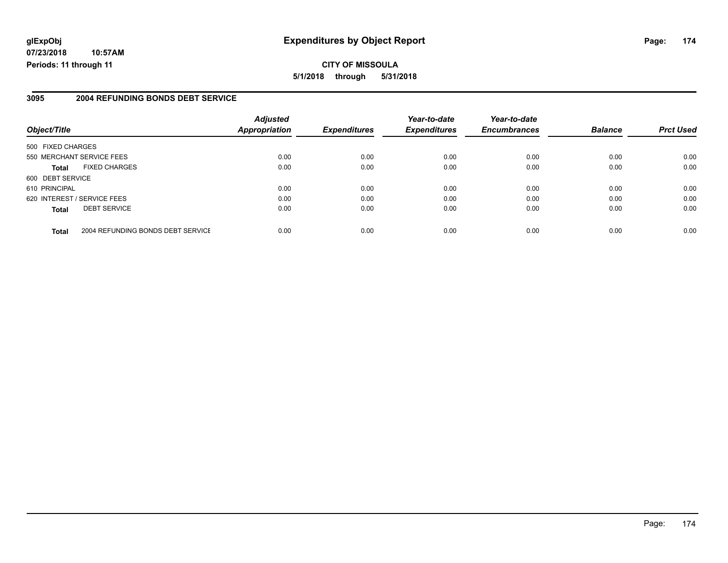# **glExpObj Expenditures by Object Report Page: 174**

**07/23/2018 10:57AM Periods: 11 through 11**

#### **3095 2004 REFUNDING BONDS DEBT SERVICE**

| Object/Title      |                                   | <b>Adjusted</b><br><b>Appropriation</b> | <b>Expenditures</b> | Year-to-date<br><b>Expenditures</b> | Year-to-date<br><b>Encumbrances</b> | <b>Balance</b> | <b>Prct Used</b> |
|-------------------|-----------------------------------|-----------------------------------------|---------------------|-------------------------------------|-------------------------------------|----------------|------------------|
|                   |                                   |                                         |                     |                                     |                                     |                |                  |
| 500 FIXED CHARGES |                                   |                                         |                     |                                     |                                     |                |                  |
|                   | 550 MERCHANT SERVICE FEES         | 0.00                                    | 0.00                | 0.00                                | 0.00                                | 0.00           | 0.00             |
| Total             | <b>FIXED CHARGES</b>              | 0.00                                    | 0.00                | 0.00                                | 0.00                                | 0.00           | 0.00             |
| 600 DEBT SERVICE  |                                   |                                         |                     |                                     |                                     |                |                  |
| 610 PRINCIPAL     |                                   | 0.00                                    | 0.00                | 0.00                                | 0.00                                | 0.00           | 0.00             |
|                   | 620 INTEREST / SERVICE FEES       | 0.00                                    | 0.00                | 0.00                                | 0.00                                | 0.00           | 0.00             |
| <b>Total</b>      | <b>DEBT SERVICE</b>               | 0.00                                    | 0.00                | 0.00                                | 0.00                                | 0.00           | 0.00             |
| <b>Total</b>      | 2004 REFUNDING BONDS DEBT SERVICE | 0.00                                    | 0.00                | 0.00                                | 0.00                                | 0.00           | 0.00             |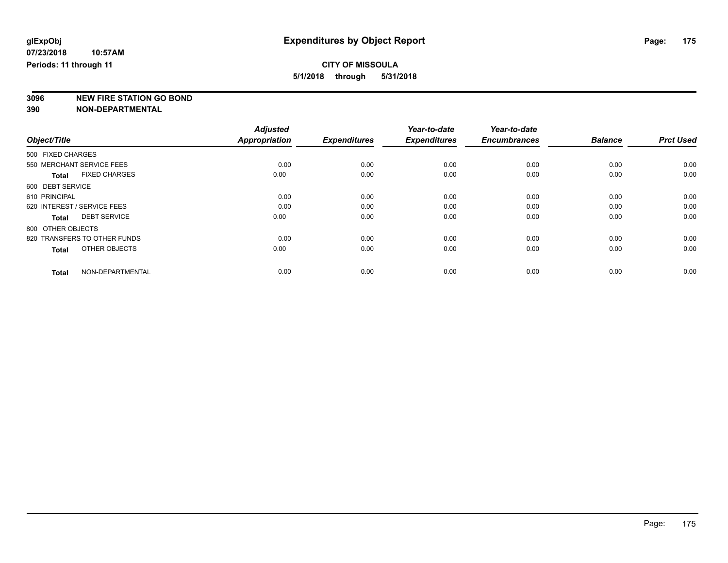**3096 NEW FIRE STATION GO BOND**

|                                      | <b>Adjusted</b>      |                     | Year-to-date        | Year-to-date        |                |                  |
|--------------------------------------|----------------------|---------------------|---------------------|---------------------|----------------|------------------|
| Object/Title                         | <b>Appropriation</b> | <b>Expenditures</b> | <b>Expenditures</b> | <b>Encumbrances</b> | <b>Balance</b> | <b>Prct Used</b> |
| 500 FIXED CHARGES                    |                      |                     |                     |                     |                |                  |
| 550 MERCHANT SERVICE FEES            | 0.00                 | 0.00                | 0.00                | 0.00                | 0.00           | 0.00             |
| <b>FIXED CHARGES</b><br><b>Total</b> | 0.00                 | 0.00                | 0.00                | 0.00                | 0.00           | 0.00             |
| 600 DEBT SERVICE                     |                      |                     |                     |                     |                |                  |
| 610 PRINCIPAL                        | 0.00                 | 0.00                | 0.00                | 0.00                | 0.00           | 0.00             |
| 620 INTEREST / SERVICE FEES          | 0.00                 | 0.00                | 0.00                | 0.00                | 0.00           | 0.00             |
| <b>DEBT SERVICE</b><br><b>Total</b>  | 0.00                 | 0.00                | 0.00                | 0.00                | 0.00           | 0.00             |
| 800 OTHER OBJECTS                    |                      |                     |                     |                     |                |                  |
| 820 TRANSFERS TO OTHER FUNDS         | 0.00                 | 0.00                | 0.00                | 0.00                | 0.00           | 0.00             |
| OTHER OBJECTS<br><b>Total</b>        | 0.00                 | 0.00                | 0.00                | 0.00                | 0.00           | 0.00             |
|                                      |                      |                     |                     |                     |                |                  |
| NON-DEPARTMENTAL<br><b>Total</b>     | 0.00                 | 0.00                | 0.00                | 0.00                | 0.00           | 0.00             |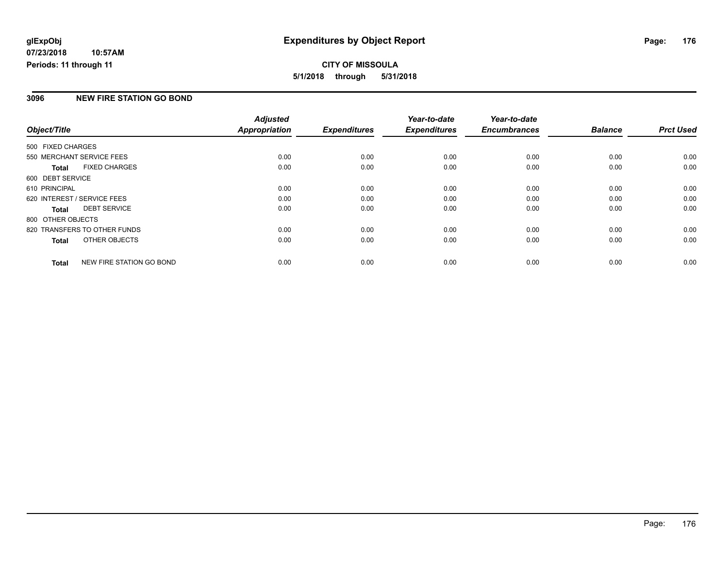#### **3096 NEW FIRE STATION GO BOND**

|                             |                              | <b>Adjusted</b> |                     | Year-to-date        | Year-to-date        |                |                  |
|-----------------------------|------------------------------|-----------------|---------------------|---------------------|---------------------|----------------|------------------|
| Object/Title                |                              | Appropriation   | <b>Expenditures</b> | <b>Expenditures</b> | <b>Encumbrances</b> | <b>Balance</b> | <b>Prct Used</b> |
| 500 FIXED CHARGES           |                              |                 |                     |                     |                     |                |                  |
| 550 MERCHANT SERVICE FEES   |                              | 0.00            | 0.00                | 0.00                | 0.00                | 0.00           | 0.00             |
| <b>Total</b>                | <b>FIXED CHARGES</b>         | 0.00            | 0.00                | 0.00                | 0.00                | 0.00           | 0.00             |
| 600 DEBT SERVICE            |                              |                 |                     |                     |                     |                |                  |
| 610 PRINCIPAL               |                              | 0.00            | 0.00                | 0.00                | 0.00                | 0.00           | 0.00             |
| 620 INTEREST / SERVICE FEES |                              | 0.00            | 0.00                | 0.00                | 0.00                | 0.00           | 0.00             |
| <b>Total</b>                | <b>DEBT SERVICE</b>          | 0.00            | 0.00                | 0.00                | 0.00                | 0.00           | 0.00             |
| 800 OTHER OBJECTS           |                              |                 |                     |                     |                     |                |                  |
|                             | 820 TRANSFERS TO OTHER FUNDS | 0.00            | 0.00                | 0.00                | 0.00                | 0.00           | 0.00             |
| <b>Total</b>                | OTHER OBJECTS                | 0.00            | 0.00                | 0.00                | 0.00                | 0.00           | 0.00             |
| <b>Total</b>                | NEW FIRE STATION GO BOND     | 0.00            | 0.00                | 0.00                | 0.00                | 0.00           | 0.00             |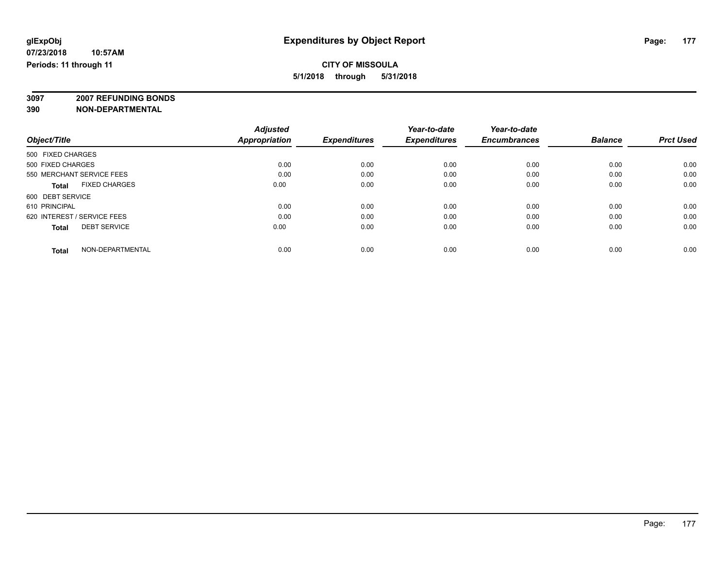**3097 2007 REFUNDING BONDS**

|                             |                      | <b>Adjusted</b>      |                     | Year-to-date        | Year-to-date        |                |                  |
|-----------------------------|----------------------|----------------------|---------------------|---------------------|---------------------|----------------|------------------|
| Object/Title                |                      | <b>Appropriation</b> | <b>Expenditures</b> | <b>Expenditures</b> | <b>Encumbrances</b> | <b>Balance</b> | <b>Prct Used</b> |
| 500 FIXED CHARGES           |                      |                      |                     |                     |                     |                |                  |
| 500 FIXED CHARGES           |                      | 0.00                 | 0.00                | 0.00                | 0.00                | 0.00           | 0.00             |
| 550 MERCHANT SERVICE FEES   |                      | 0.00                 | 0.00                | 0.00                | 0.00                | 0.00           | 0.00             |
| <b>Total</b>                | <b>FIXED CHARGES</b> | 0.00                 | 0.00                | 0.00                | 0.00                | 0.00           | 0.00             |
| 600 DEBT SERVICE            |                      |                      |                     |                     |                     |                |                  |
| 610 PRINCIPAL               |                      | 0.00                 | 0.00                | 0.00                | 0.00                | 0.00           | 0.00             |
| 620 INTEREST / SERVICE FEES |                      | 0.00                 | 0.00                | 0.00                | 0.00                | 0.00           | 0.00             |
| <b>Total</b>                | <b>DEBT SERVICE</b>  | 0.00                 | 0.00                | 0.00                | 0.00                | 0.00           | 0.00             |
| <b>Total</b>                | NON-DEPARTMENTAL     | 0.00                 | 0.00                | 0.00                | 0.00                | 0.00           | 0.00             |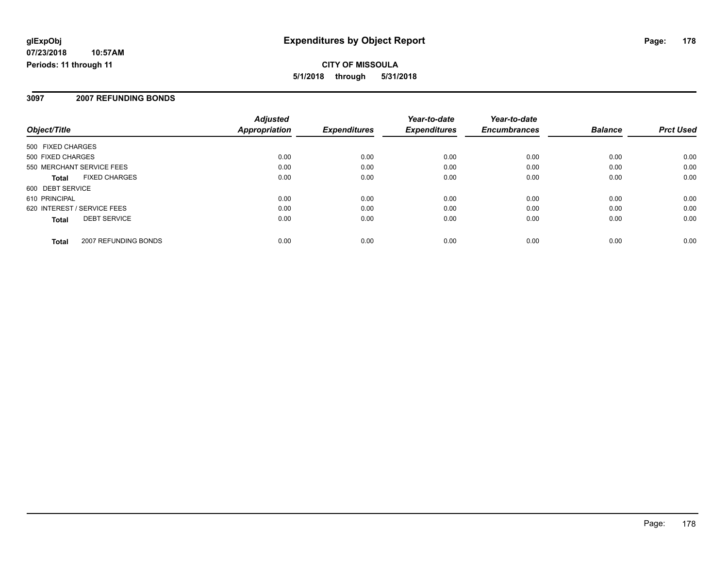#### **3097 2007 REFUNDING BONDS**

| Object/Title                |                      | <b>Adjusted</b><br><b>Appropriation</b> | <b>Expenditures</b> | Year-to-date<br><b>Expenditures</b> | Year-to-date<br><b>Encumbrances</b> | <b>Balance</b> | <b>Prct Used</b> |
|-----------------------------|----------------------|-----------------------------------------|---------------------|-------------------------------------|-------------------------------------|----------------|------------------|
| 500 FIXED CHARGES           |                      |                                         |                     |                                     |                                     |                |                  |
| 500 FIXED CHARGES           |                      | 0.00                                    | 0.00                | 0.00                                | 0.00                                | 0.00           | 0.00             |
| 550 MERCHANT SERVICE FEES   |                      | 0.00                                    | 0.00                | 0.00                                | 0.00                                | 0.00           | 0.00             |
| <b>Total</b>                | <b>FIXED CHARGES</b> | 0.00                                    | 0.00                | 0.00                                | 0.00                                | 0.00           | 0.00             |
| 600 DEBT SERVICE            |                      |                                         |                     |                                     |                                     |                |                  |
| 610 PRINCIPAL               |                      | 0.00                                    | 0.00                | 0.00                                | 0.00                                | 0.00           | 0.00             |
| 620 INTEREST / SERVICE FEES |                      | 0.00                                    | 0.00                | 0.00                                | 0.00                                | 0.00           | 0.00             |
| <b>Total</b>                | <b>DEBT SERVICE</b>  | 0.00                                    | 0.00                | 0.00                                | 0.00                                | 0.00           | 0.00             |
| <b>Total</b>                | 2007 REFUNDING BONDS | 0.00                                    | 0.00                | 0.00                                | 0.00                                | 0.00           | 0.00             |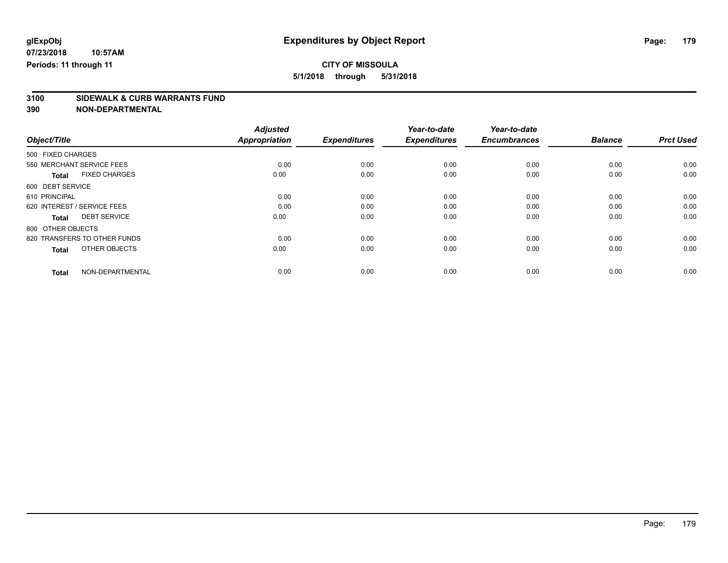# **3100 SIDEWALK & CURB WARRANTS FUND**

|                                      | <b>Adjusted</b>      |                     | Year-to-date        | Year-to-date        |                |                  |
|--------------------------------------|----------------------|---------------------|---------------------|---------------------|----------------|------------------|
| Object/Title                         | <b>Appropriation</b> | <b>Expenditures</b> | <b>Expenditures</b> | <b>Encumbrances</b> | <b>Balance</b> | <b>Prct Used</b> |
| 500 FIXED CHARGES                    |                      |                     |                     |                     |                |                  |
| 550 MERCHANT SERVICE FEES            | 0.00                 | 0.00                | 0.00                | 0.00                | 0.00           | 0.00             |
| <b>FIXED CHARGES</b><br><b>Total</b> | 0.00                 | 0.00                | 0.00                | 0.00                | 0.00           | 0.00             |
| 600 DEBT SERVICE                     |                      |                     |                     |                     |                |                  |
| 610 PRINCIPAL                        | 0.00                 | 0.00                | 0.00                | 0.00                | 0.00           | 0.00             |
| 620 INTEREST / SERVICE FEES          | 0.00                 | 0.00                | 0.00                | 0.00                | 0.00           | 0.00             |
| <b>DEBT SERVICE</b><br>Total         | 0.00                 | 0.00                | 0.00                | 0.00                | 0.00           | 0.00             |
| 800 OTHER OBJECTS                    |                      |                     |                     |                     |                |                  |
| 820 TRANSFERS TO OTHER FUNDS         | 0.00                 | 0.00                | 0.00                | 0.00                | 0.00           | 0.00             |
| OTHER OBJECTS<br><b>Total</b>        | 0.00                 | 0.00                | 0.00                | 0.00                | 0.00           | 0.00             |
|                                      |                      |                     |                     |                     |                |                  |
| NON-DEPARTMENTAL<br><b>Total</b>     | 0.00                 | 0.00                | 0.00                | 0.00                | 0.00           | 0.00             |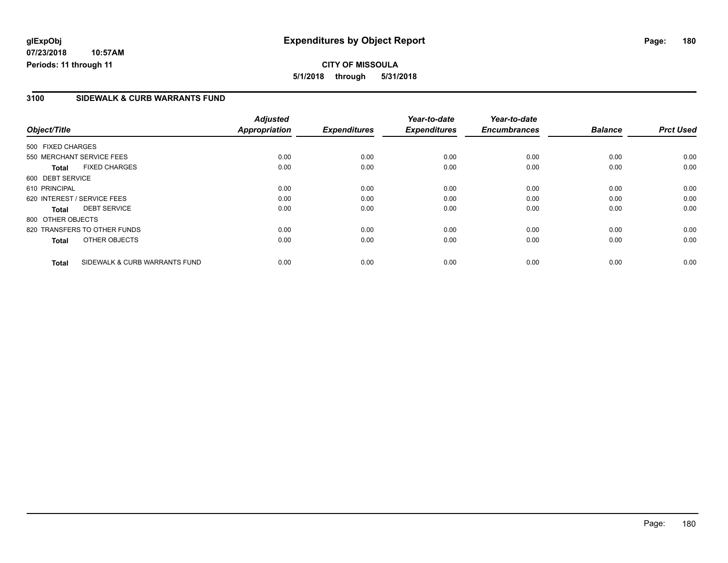**CITY OF MISSOULA 5/1/2018 through 5/31/2018**

#### **3100 SIDEWALK & CURB WARRANTS FUND**

| Object/Title                 |                               | <b>Adjusted</b><br><b>Appropriation</b> | <b>Expenditures</b> | Year-to-date<br><b>Expenditures</b> | Year-to-date<br><b>Encumbrances</b> | <b>Balance</b> | <b>Prct Used</b> |
|------------------------------|-------------------------------|-----------------------------------------|---------------------|-------------------------------------|-------------------------------------|----------------|------------------|
|                              |                               |                                         |                     |                                     |                                     |                |                  |
| 550 MERCHANT SERVICE FEES    |                               | 0.00                                    | 0.00                | 0.00                                | 0.00                                | 0.00           | 0.00             |
| <b>Total</b>                 | <b>FIXED CHARGES</b>          | 0.00                                    | 0.00                | 0.00                                | 0.00                                | 0.00           | 0.00             |
| 600 DEBT SERVICE             |                               |                                         |                     |                                     |                                     |                |                  |
| 610 PRINCIPAL                |                               | 0.00                                    | 0.00                | 0.00                                | 0.00                                | 0.00           | 0.00             |
| 620 INTEREST / SERVICE FEES  |                               | 0.00                                    | 0.00                | 0.00                                | 0.00                                | 0.00           | 0.00             |
| Total                        | <b>DEBT SERVICE</b>           | 0.00                                    | 0.00                | 0.00                                | 0.00                                | 0.00           | 0.00             |
| 800 OTHER OBJECTS            |                               |                                         |                     |                                     |                                     |                |                  |
| 820 TRANSFERS TO OTHER FUNDS |                               | 0.00                                    | 0.00                | 0.00                                | 0.00                                | 0.00           | 0.00             |
| <b>Total</b>                 | OTHER OBJECTS                 | 0.00                                    | 0.00                | 0.00                                | 0.00                                | 0.00           | 0.00             |
| <b>Total</b>                 | SIDEWALK & CURB WARRANTS FUND | 0.00                                    | 0.00                | 0.00                                | 0.00                                | 0.00           | 0.00             |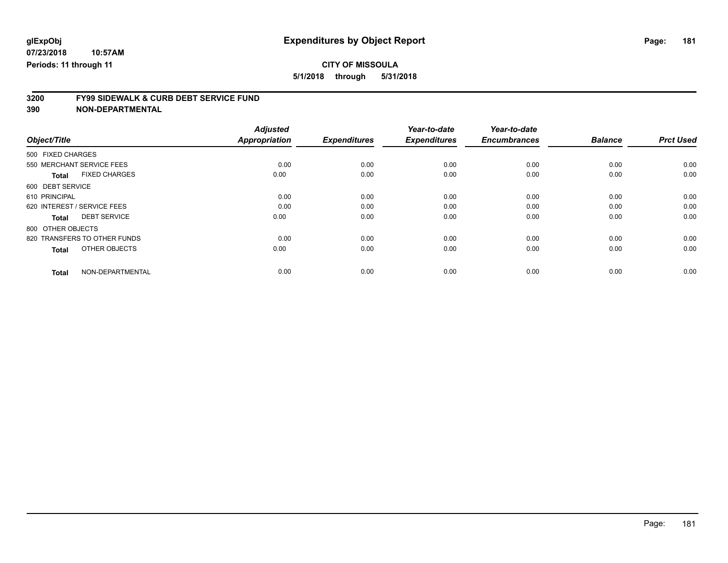# **3200 FY99 SIDEWALK & CURB DEBT SERVICE FUND**

|                                      | <b>Adjusted</b>      |                     | Year-to-date        | Year-to-date        |                |                  |
|--------------------------------------|----------------------|---------------------|---------------------|---------------------|----------------|------------------|
| Object/Title                         | <b>Appropriation</b> | <b>Expenditures</b> | <b>Expenditures</b> | <b>Encumbrances</b> | <b>Balance</b> | <b>Prct Used</b> |
| 500 FIXED CHARGES                    |                      |                     |                     |                     |                |                  |
| 550 MERCHANT SERVICE FEES            | 0.00                 | 0.00                | 0.00                | 0.00                | 0.00           | 0.00             |
| <b>FIXED CHARGES</b><br><b>Total</b> | 0.00                 | 0.00                | 0.00                | 0.00                | 0.00           | 0.00             |
| 600 DEBT SERVICE                     |                      |                     |                     |                     |                |                  |
| 610 PRINCIPAL                        | 0.00                 | 0.00                | 0.00                | 0.00                | 0.00           | 0.00             |
| 620 INTEREST / SERVICE FEES          | 0.00                 | 0.00                | 0.00                | 0.00                | 0.00           | 0.00             |
| <b>DEBT SERVICE</b><br><b>Total</b>  | 0.00                 | 0.00                | 0.00                | 0.00                | 0.00           | 0.00             |
| 800 OTHER OBJECTS                    |                      |                     |                     |                     |                |                  |
| 820 TRANSFERS TO OTHER FUNDS         | 0.00                 | 0.00                | 0.00                | 0.00                | 0.00           | 0.00             |
| OTHER OBJECTS<br><b>Total</b>        | 0.00                 | 0.00                | 0.00                | 0.00                | 0.00           | 0.00             |
|                                      |                      |                     |                     |                     |                |                  |
| NON-DEPARTMENTAL<br><b>Total</b>     | 0.00                 | 0.00                | 0.00                | 0.00                | 0.00           | 0.00             |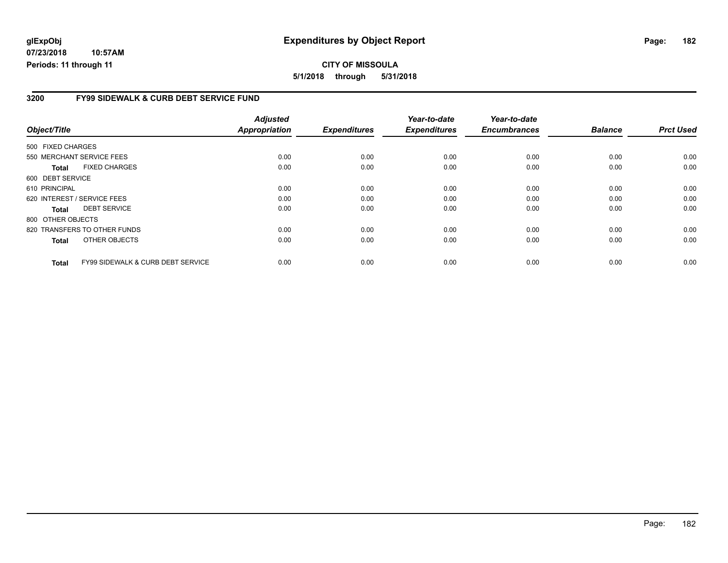**CITY OF MISSOULA 5/1/2018 through 5/31/2018**

#### **3200 FY99 SIDEWALK & CURB DEBT SERVICE FUND**

|                                                              | <b>Adjusted</b>      |                     | Year-to-date        | Year-to-date        |                |                  |
|--------------------------------------------------------------|----------------------|---------------------|---------------------|---------------------|----------------|------------------|
| Object/Title                                                 | <b>Appropriation</b> | <b>Expenditures</b> | <b>Expenditures</b> | <b>Encumbrances</b> | <b>Balance</b> | <b>Prct Used</b> |
| 500 FIXED CHARGES                                            |                      |                     |                     |                     |                |                  |
| 550 MERCHANT SERVICE FEES                                    | 0.00                 | 0.00                | 0.00                | 0.00                | 0.00           | 0.00             |
| <b>FIXED CHARGES</b><br><b>Total</b>                         | 0.00                 | 0.00                | 0.00                | 0.00                | 0.00           | 0.00             |
| 600 DEBT SERVICE                                             |                      |                     |                     |                     |                |                  |
| 610 PRINCIPAL                                                | 0.00                 | 0.00                | 0.00                | 0.00                | 0.00           | 0.00             |
| 620 INTEREST / SERVICE FEES                                  | 0.00                 | 0.00                | 0.00                | 0.00                | 0.00           | 0.00             |
| <b>DEBT SERVICE</b><br><b>Total</b>                          | 0.00                 | 0.00                | 0.00                | 0.00                | 0.00           | 0.00             |
| 800 OTHER OBJECTS                                            |                      |                     |                     |                     |                |                  |
| 820 TRANSFERS TO OTHER FUNDS                                 | 0.00                 | 0.00                | 0.00                | 0.00                | 0.00           | 0.00             |
| OTHER OBJECTS<br><b>Total</b>                                | 0.00                 | 0.00                | 0.00                | 0.00                | 0.00           | 0.00             |
| <b>FY99 SIDEWALK &amp; CURB DEBT SERVICE</b><br><b>Total</b> | 0.00                 | 0.00                | 0.00                | 0.00                | 0.00           | 0.00             |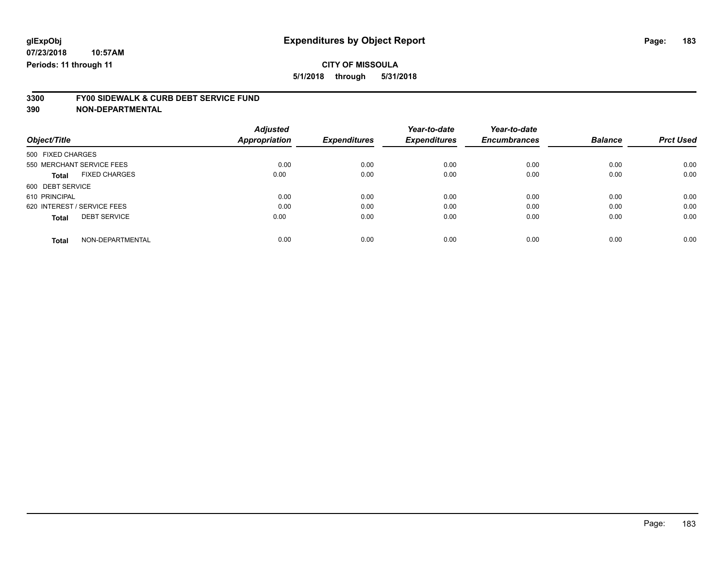## **CITY OF MISSOULA 5/1/2018 through 5/31/2018**

# **3300 FY00 SIDEWALK & CURB DEBT SERVICE FUND**

| Object/Title                         | <b>Adjusted</b><br><b>Appropriation</b> | <b>Expenditures</b> | Year-to-date<br><b>Expenditures</b> | Year-to-date<br><b>Encumbrances</b> | <b>Balance</b> | <b>Prct Used</b> |
|--------------------------------------|-----------------------------------------|---------------------|-------------------------------------|-------------------------------------|----------------|------------------|
|                                      |                                         |                     |                                     |                                     |                |                  |
| 500 FIXED CHARGES                    |                                         |                     |                                     |                                     |                |                  |
| 550 MERCHANT SERVICE FEES            | 0.00                                    | 0.00                | 0.00                                | 0.00                                | 0.00           | 0.00             |
| <b>FIXED CHARGES</b><br><b>Total</b> | 0.00                                    | 0.00                | 0.00                                | 0.00                                | 0.00           | 0.00             |
| 600 DEBT SERVICE                     |                                         |                     |                                     |                                     |                |                  |
| 610 PRINCIPAL                        | 0.00                                    | 0.00                | 0.00                                | 0.00                                | 0.00           | 0.00             |
| 620 INTEREST / SERVICE FEES          | 0.00                                    | 0.00                | 0.00                                | 0.00                                | 0.00           | 0.00             |
| <b>DEBT SERVICE</b><br><b>Total</b>  | 0.00                                    | 0.00                | 0.00                                | 0.00                                | 0.00           | 0.00             |
| NON-DEPARTMENTAL<br>Total            | 0.00                                    | 0.00                | 0.00                                | 0.00                                | 0.00           | 0.00             |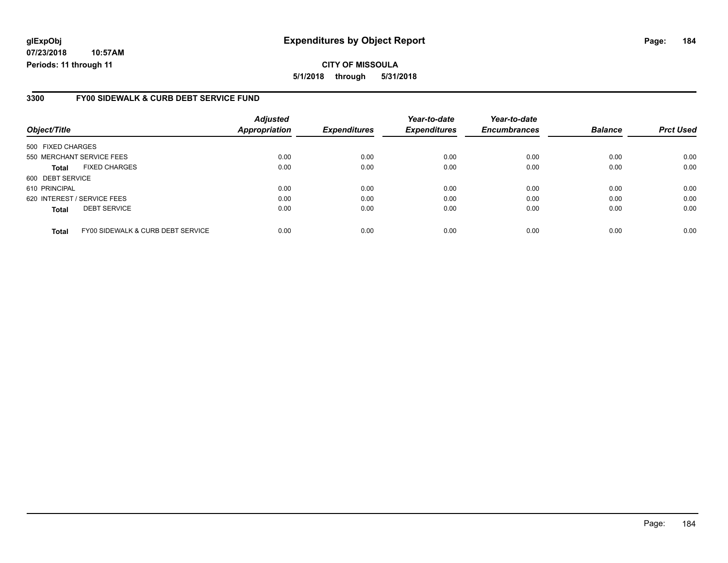## **glExpObj Expenditures by Object Report Page: 184**

**07/23/2018 10:57AM Periods: 11 through 11**

**CITY OF MISSOULA 5/1/2018 through 5/31/2018**

#### **3300 FY00 SIDEWALK & CURB DEBT SERVICE FUND**

| Object/Title                                      | <b>Adjusted</b><br>Appropriation | <b>Expenditures</b> | Year-to-date<br><b>Expenditures</b> | Year-to-date<br><b>Encumbrances</b> | <b>Balance</b> | <b>Prct Used</b> |
|---------------------------------------------------|----------------------------------|---------------------|-------------------------------------|-------------------------------------|----------------|------------------|
| 500 FIXED CHARGES                                 |                                  |                     |                                     |                                     |                |                  |
| 550 MERCHANT SERVICE FEES                         | 0.00                             | 0.00                | 0.00                                | 0.00                                | 0.00           | 0.00             |
| <b>FIXED CHARGES</b><br><b>Total</b>              | 0.00                             | 0.00                | 0.00                                | 0.00                                | 0.00           | 0.00             |
| 600 DEBT SERVICE                                  |                                  |                     |                                     |                                     |                |                  |
| 610 PRINCIPAL                                     | 0.00                             | 0.00                | 0.00                                | 0.00                                | 0.00           | 0.00             |
| 620 INTEREST / SERVICE FEES                       | 0.00                             | 0.00                | 0.00                                | 0.00                                | 0.00           | 0.00             |
| <b>DEBT SERVICE</b><br><b>Total</b>               | 0.00                             | 0.00                | 0.00                                | 0.00                                | 0.00           | 0.00             |
| FY00 SIDEWALK & CURB DEBT SERVICE<br><b>Total</b> | 0.00                             | 0.00                | 0.00                                | 0.00                                | 0.00           | 0.00             |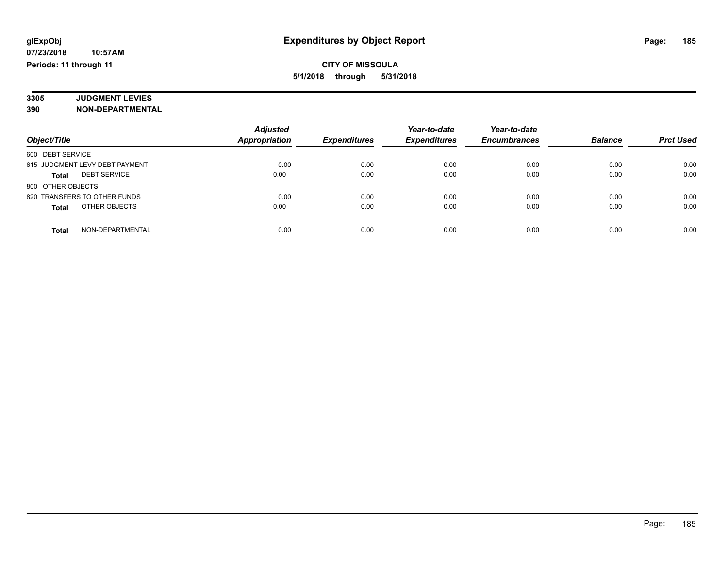#### **3305 JUDGMENT LEVIES 390 NON-DEPARTMENTAL**

|                                     | <b>Adjusted</b>      |                     | Year-to-date        | Year-to-date        |                |                  |
|-------------------------------------|----------------------|---------------------|---------------------|---------------------|----------------|------------------|
| Object/Title                        | <b>Appropriation</b> | <b>Expenditures</b> | <b>Expenditures</b> | <b>Encumbrances</b> | <b>Balance</b> | <b>Prct Used</b> |
| 600 DEBT SERVICE                    |                      |                     |                     |                     |                |                  |
| 615 JUDGMENT LEVY DEBT PAYMENT      | 0.00                 | 0.00                | 0.00                | 0.00                | 0.00           | 0.00             |
| <b>DEBT SERVICE</b><br><b>Total</b> | 0.00                 | 0.00                | 0.00                | 0.00                | 0.00           | 0.00             |
| 800 OTHER OBJECTS                   |                      |                     |                     |                     |                |                  |
| 820 TRANSFERS TO OTHER FUNDS        | 0.00                 | 0.00                | 0.00                | 0.00                | 0.00           | 0.00             |
| OTHER OBJECTS<br><b>Total</b>       | 0.00                 | 0.00                | 0.00                | 0.00                | 0.00           | 0.00             |
| NON-DEPARTMENTAL<br><b>Total</b>    | 0.00                 | 0.00                | 0.00                | 0.00                | 0.00           | 0.00             |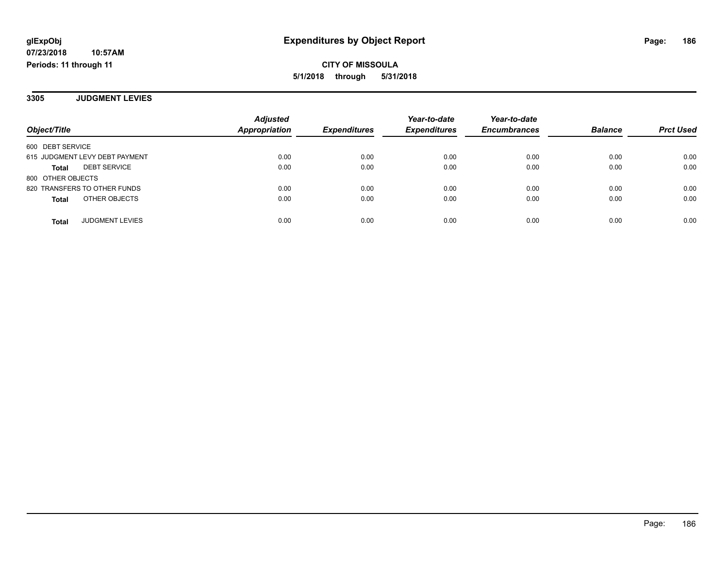**3305 JUDGMENT LEVIES**

|                                     | <b>Adjusted</b> |                     | Year-to-date        | Year-to-date        |                |                  |
|-------------------------------------|-----------------|---------------------|---------------------|---------------------|----------------|------------------|
| Object/Title                        | Appropriation   | <b>Expenditures</b> | <b>Expenditures</b> | <b>Encumbrances</b> | <b>Balance</b> | <b>Prct Used</b> |
| 600 DEBT SERVICE                    |                 |                     |                     |                     |                |                  |
| 615 JUDGMENT LEVY DEBT PAYMENT      | 0.00            | 0.00                | 0.00                | 0.00                | 0.00           | 0.00             |
| <b>DEBT SERVICE</b><br><b>Total</b> | 0.00            | 0.00                | 0.00                | 0.00                | 0.00           | 0.00             |
| 800 OTHER OBJECTS                   |                 |                     |                     |                     |                |                  |
| 820 TRANSFERS TO OTHER FUNDS        | 0.00            | 0.00                | 0.00                | 0.00                | 0.00           | 0.00             |
| OTHER OBJECTS<br><b>Total</b>       | 0.00            | 0.00                | 0.00                | 0.00                | 0.00           | 0.00             |
| <b>JUDGMENT LEVIES</b><br>Total     | 0.00            | 0.00                | 0.00                | 0.00                | 0.00           | 0.00             |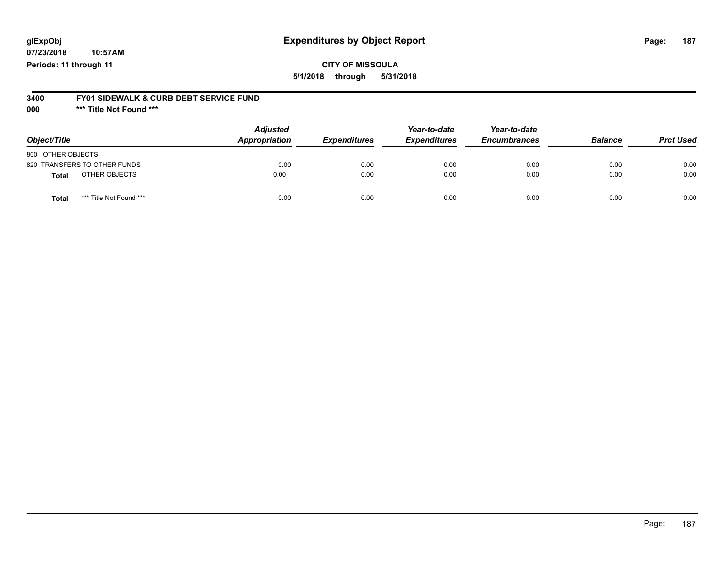## **glExpObj Expenditures by Object Report Page: 187**

**07/23/2018 10:57AM Periods: 11 through 11**

#### **3400 FY01 SIDEWALK & CURB DEBT SERVICE FUND**

**000 \*\*\* Title Not Found \*\*\***

| Object/Title                            | <b>Adjusted</b><br>Appropriation | <b>Expenditures</b> | Year-to-date<br><b>Expenditures</b> | Year-to-date<br><b>Encumbrances</b> | <b>Balance</b> | <b>Prct Used</b> |
|-----------------------------------------|----------------------------------|---------------------|-------------------------------------|-------------------------------------|----------------|------------------|
| 800 OTHER OBJECTS                       |                                  |                     |                                     |                                     |                |                  |
| 820 TRANSFERS TO OTHER FUNDS            | 0.00                             | 0.00                | 0.00                                | 0.00                                | 0.00           | 0.00             |
| OTHER OBJECTS<br>Total                  | 0.00                             | 0.00                | 0.00                                | 0.00                                | 0.00           | 0.00             |
| *** Title Not Found ***<br><b>Total</b> | 0.00                             | 0.00                | 0.00                                | 0.00                                | 0.00           | 0.00             |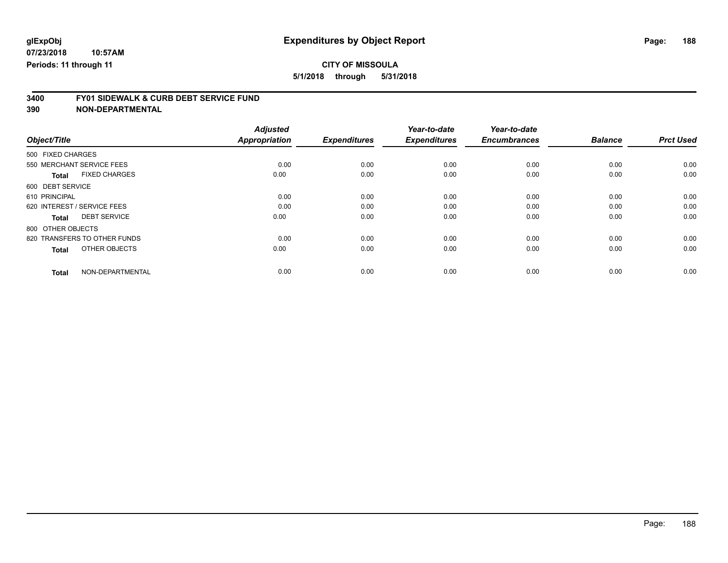# **3400 FY01 SIDEWALK & CURB DEBT SERVICE FUND**

|                                      | <b>Adjusted</b>      |                     | Year-to-date        | Year-to-date        |                |                  |
|--------------------------------------|----------------------|---------------------|---------------------|---------------------|----------------|------------------|
| Object/Title                         | <b>Appropriation</b> | <b>Expenditures</b> | <b>Expenditures</b> | <b>Encumbrances</b> | <b>Balance</b> | <b>Prct Used</b> |
| 500 FIXED CHARGES                    |                      |                     |                     |                     |                |                  |
| 550 MERCHANT SERVICE FEES            | 0.00                 | 0.00                | 0.00                | 0.00                | 0.00           | 0.00             |
| <b>FIXED CHARGES</b><br><b>Total</b> | 0.00                 | 0.00                | 0.00                | 0.00                | 0.00           | 0.00             |
| 600 DEBT SERVICE                     |                      |                     |                     |                     |                |                  |
| 610 PRINCIPAL                        | 0.00                 | 0.00                | 0.00                | 0.00                | 0.00           | 0.00             |
| 620 INTEREST / SERVICE FEES          | 0.00                 | 0.00                | 0.00                | 0.00                | 0.00           | 0.00             |
| <b>DEBT SERVICE</b><br><b>Total</b>  | 0.00                 | 0.00                | 0.00                | 0.00                | 0.00           | 0.00             |
| 800 OTHER OBJECTS                    |                      |                     |                     |                     |                |                  |
| 820 TRANSFERS TO OTHER FUNDS         | 0.00                 | 0.00                | 0.00                | 0.00                | 0.00           | 0.00             |
| OTHER OBJECTS<br><b>Total</b>        | 0.00                 | 0.00                | 0.00                | 0.00                | 0.00           | 0.00             |
|                                      |                      |                     |                     |                     |                |                  |
| NON-DEPARTMENTAL<br><b>Total</b>     | 0.00                 | 0.00                | 0.00                | 0.00                | 0.00           | 0.00             |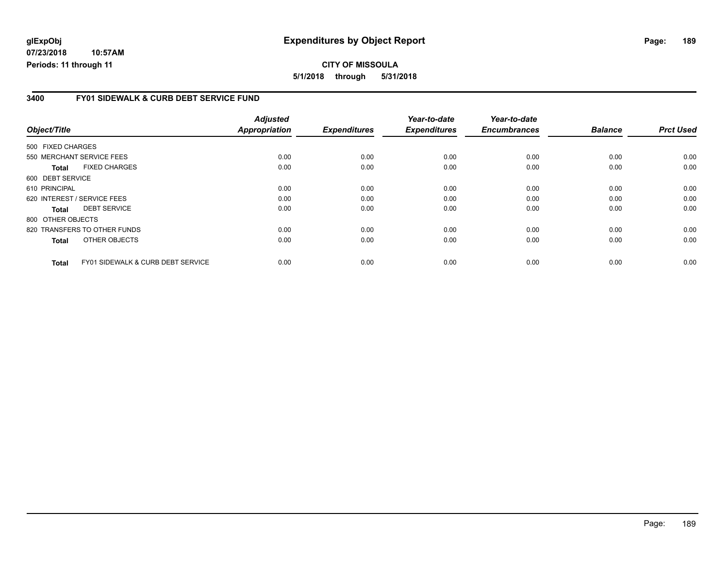#### **3400 FY01 SIDEWALK & CURB DEBT SERVICE FUND**

|                              |                                              | <b>Adjusted</b> |                     | Year-to-date        | Year-to-date        |                |                  |
|------------------------------|----------------------------------------------|-----------------|---------------------|---------------------|---------------------|----------------|------------------|
| Object/Title                 |                                              | Appropriation   | <b>Expenditures</b> | <b>Expenditures</b> | <b>Encumbrances</b> | <b>Balance</b> | <b>Prct Used</b> |
| 500 FIXED CHARGES            |                                              |                 |                     |                     |                     |                |                  |
| 550 MERCHANT SERVICE FEES    |                                              | 0.00            | 0.00                | 0.00                | 0.00                | 0.00           | 0.00             |
| <b>Total</b>                 | <b>FIXED CHARGES</b>                         | 0.00            | 0.00                | 0.00                | 0.00                | 0.00           | 0.00             |
| 600 DEBT SERVICE             |                                              |                 |                     |                     |                     |                |                  |
| 610 PRINCIPAL                |                                              | 0.00            | 0.00                | 0.00                | 0.00                | 0.00           | 0.00             |
| 620 INTEREST / SERVICE FEES  |                                              | 0.00            | 0.00                | 0.00                | 0.00                | 0.00           | 0.00             |
| <b>Total</b>                 | <b>DEBT SERVICE</b>                          | 0.00            | 0.00                | 0.00                | 0.00                | 0.00           | 0.00             |
| 800 OTHER OBJECTS            |                                              |                 |                     |                     |                     |                |                  |
| 820 TRANSFERS TO OTHER FUNDS |                                              | 0.00            | 0.00                | 0.00                | 0.00                | 0.00           | 0.00             |
| <b>Total</b>                 | OTHER OBJECTS                                | 0.00            | 0.00                | 0.00                | 0.00                | 0.00           | 0.00             |
| <b>Total</b>                 | <b>FY01 SIDEWALK &amp; CURB DEBT SERVICE</b> | 0.00            | 0.00                | 0.00                | 0.00                | 0.00           | 0.00             |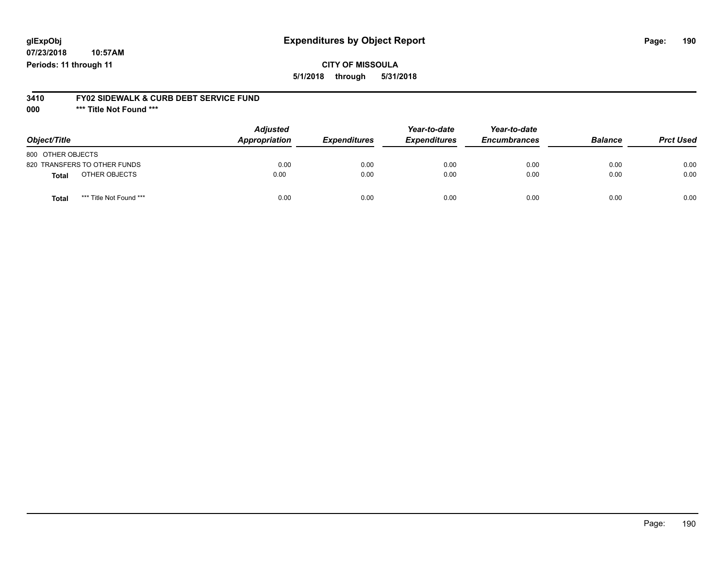## **glExpObj Expenditures by Object Report Page: 190**

**07/23/2018 10:57AM Periods: 11 through 11**

**5/1/2018 through 5/31/2018**

#### **3410 FY02 SIDEWALK & CURB DEBT SERVICE FUND**

**000 \*\*\* Title Not Found \*\*\***

| Object/Title                     | <b>Adjusted</b><br>Appropriation | <b>Expenditures</b> | Year-to-date<br><b>Expenditures</b> | Year-to-date<br><b>Encumbrances</b> | <b>Balance</b> | <b>Prct Used</b> |
|----------------------------------|----------------------------------|---------------------|-------------------------------------|-------------------------------------|----------------|------------------|
| 800 OTHER OBJECTS                |                                  |                     |                                     |                                     |                |                  |
| 820 TRANSFERS TO OTHER FUNDS     | 0.00                             | 0.00                | 0.00                                | 0.00                                | 0.00           | 0.00             |
| OTHER OBJECTS<br><b>Total</b>    | 0.00                             | 0.00                | 0.00                                | 0.00                                | 0.00           | 0.00             |
| *** Title Not Found ***<br>Total | 0.00                             | 0.00                | 0.00                                | 0.00                                | 0.00           | 0.00             |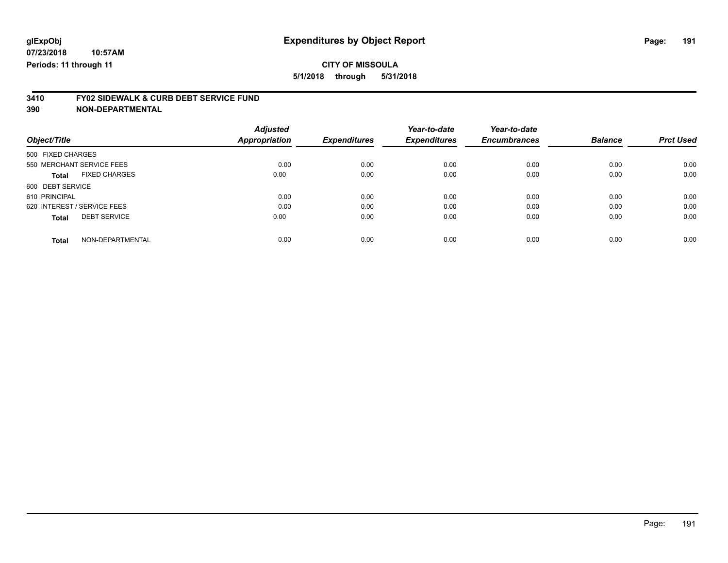# **3410 FY02 SIDEWALK & CURB DEBT SERVICE FUND**

|                                      | <b>Adjusted</b>      |                     | Year-to-date        | Year-to-date        |                |                  |
|--------------------------------------|----------------------|---------------------|---------------------|---------------------|----------------|------------------|
| Object/Title                         | <b>Appropriation</b> | <b>Expenditures</b> | <b>Expenditures</b> | <b>Encumbrances</b> | <b>Balance</b> | <b>Prct Used</b> |
| 500 FIXED CHARGES                    |                      |                     |                     |                     |                |                  |
| 550 MERCHANT SERVICE FEES            | 0.00                 | 0.00                | 0.00                | 0.00                | 0.00           | 0.00             |
| <b>FIXED CHARGES</b><br><b>Total</b> | 0.00                 | 0.00                | 0.00                | 0.00                | 0.00           | 0.00             |
| 600 DEBT SERVICE                     |                      |                     |                     |                     |                |                  |
| 610 PRINCIPAL                        | 0.00                 | 0.00                | 0.00                | 0.00                | 0.00           | 0.00             |
| 620 INTEREST / SERVICE FEES          | 0.00                 | 0.00                | 0.00                | 0.00                | 0.00           | 0.00             |
| <b>DEBT SERVICE</b><br><b>Total</b>  | 0.00                 | 0.00                | 0.00                | 0.00                | 0.00           | 0.00             |
| NON-DEPARTMENTAL<br><b>Total</b>     | 0.00                 | 0.00                | 0.00                | 0.00                | 0.00           | 0.00             |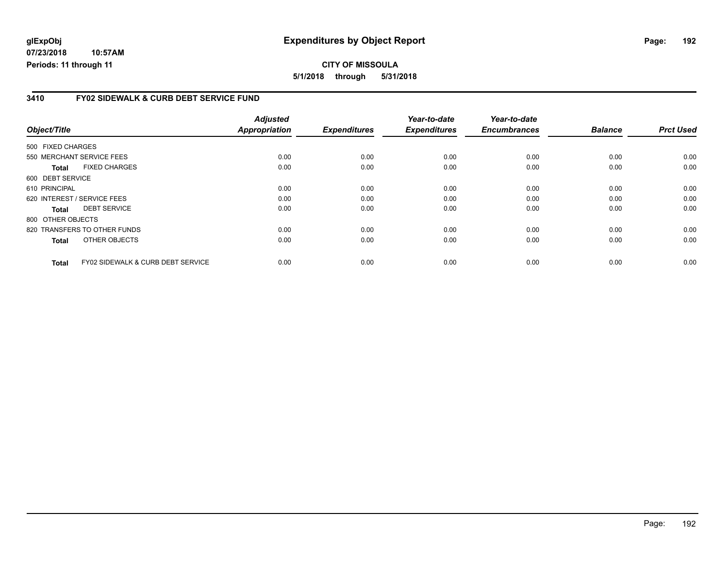**CITY OF MISSOULA 5/1/2018 through 5/31/2018**

#### **3410 FY02 SIDEWALK & CURB DEBT SERVICE FUND**

|                              |                                              | <b>Adjusted</b>      |                     | Year-to-date        | Year-to-date        |                |                  |
|------------------------------|----------------------------------------------|----------------------|---------------------|---------------------|---------------------|----------------|------------------|
| Object/Title                 |                                              | <b>Appropriation</b> | <b>Expenditures</b> | <b>Expenditures</b> | <b>Encumbrances</b> | <b>Balance</b> | <b>Prct Used</b> |
| 500 FIXED CHARGES            |                                              |                      |                     |                     |                     |                |                  |
| 550 MERCHANT SERVICE FEES    |                                              | 0.00                 | 0.00                | 0.00                | 0.00                | 0.00           | 0.00             |
| <b>Total</b>                 | <b>FIXED CHARGES</b>                         | 0.00                 | 0.00                | 0.00                | 0.00                | 0.00           | 0.00             |
| 600 DEBT SERVICE             |                                              |                      |                     |                     |                     |                |                  |
| 610 PRINCIPAL                |                                              | 0.00                 | 0.00                | 0.00                | 0.00                | 0.00           | 0.00             |
| 620 INTEREST / SERVICE FEES  |                                              | 0.00                 | 0.00                | 0.00                | 0.00                | 0.00           | 0.00             |
| <b>Total</b>                 | <b>DEBT SERVICE</b>                          | 0.00                 | 0.00                | 0.00                | 0.00                | 0.00           | 0.00             |
| 800 OTHER OBJECTS            |                                              |                      |                     |                     |                     |                |                  |
| 820 TRANSFERS TO OTHER FUNDS |                                              | 0.00                 | 0.00                | 0.00                | 0.00                | 0.00           | 0.00             |
| <b>Total</b>                 | OTHER OBJECTS                                | 0.00                 | 0.00                | 0.00                | 0.00                | 0.00           | 0.00             |
| <b>Total</b>                 | <b>FY02 SIDEWALK &amp; CURB DEBT SERVICE</b> | 0.00                 | 0.00                | 0.00                | 0.00                | 0.00           | 0.00             |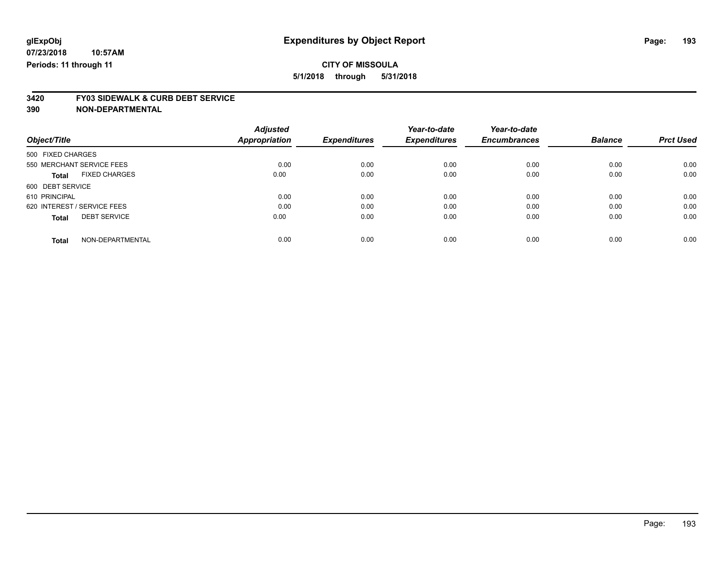# **3420 FY03 SIDEWALK & CURB DEBT SERVICE**

|                                      | <b>Adjusted</b>      |                     | Year-to-date        | Year-to-date        |                |                  |
|--------------------------------------|----------------------|---------------------|---------------------|---------------------|----------------|------------------|
| Object/Title                         | <b>Appropriation</b> | <b>Expenditures</b> | <b>Expenditures</b> | <b>Encumbrances</b> | <b>Balance</b> | <b>Prct Used</b> |
| 500 FIXED CHARGES                    |                      |                     |                     |                     |                |                  |
| 550 MERCHANT SERVICE FEES            | 0.00                 | 0.00                | 0.00                | 0.00                | 0.00           | 0.00             |
| <b>FIXED CHARGES</b><br><b>Total</b> | 0.00                 | 0.00                | 0.00                | 0.00                | 0.00           | 0.00             |
| 600 DEBT SERVICE                     |                      |                     |                     |                     |                |                  |
| 610 PRINCIPAL                        | 0.00                 | 0.00                | 0.00                | 0.00                | 0.00           | 0.00             |
| 620 INTEREST / SERVICE FEES          | 0.00                 | 0.00                | 0.00                | 0.00                | 0.00           | 0.00             |
| <b>DEBT SERVICE</b><br><b>Total</b>  | 0.00                 | 0.00                | 0.00                | 0.00                | 0.00           | 0.00             |
| NON-DEPARTMENTAL<br><b>Total</b>     | 0.00                 | 0.00                | 0.00                | 0.00                | 0.00           | 0.00             |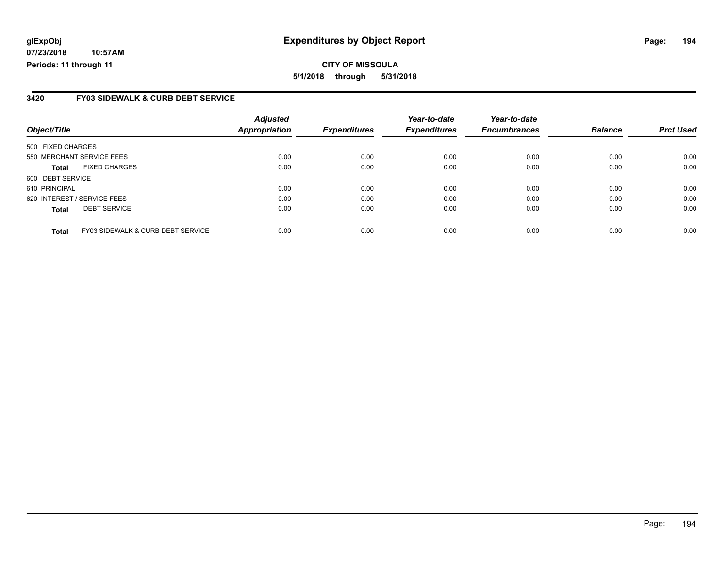## **CITY OF MISSOULA 5/1/2018 through 5/31/2018**

#### **3420 FY03 SIDEWALK & CURB DEBT SERVICE**

| Object/Title                |                                   | <b>Adjusted</b><br><b>Appropriation</b> | <b>Expenditures</b> | Year-to-date<br><b>Expenditures</b> | Year-to-date<br><b>Encumbrances</b> | <b>Balance</b> | <b>Prct Used</b> |
|-----------------------------|-----------------------------------|-----------------------------------------|---------------------|-------------------------------------|-------------------------------------|----------------|------------------|
| 500 FIXED CHARGES           |                                   |                                         |                     |                                     |                                     |                |                  |
| 550 MERCHANT SERVICE FEES   |                                   | 0.00                                    | 0.00                | 0.00                                | 0.00                                | 0.00           | 0.00             |
| <b>Total</b>                | <b>FIXED CHARGES</b>              | 0.00                                    | 0.00                | 0.00                                | 0.00                                | 0.00           | 0.00             |
| 600 DEBT SERVICE            |                                   |                                         |                     |                                     |                                     |                |                  |
| 610 PRINCIPAL               |                                   | 0.00                                    | 0.00                | 0.00                                | 0.00                                | 0.00           | 0.00             |
| 620 INTEREST / SERVICE FEES |                                   | 0.00                                    | 0.00                | 0.00                                | 0.00                                | 0.00           | 0.00             |
| <b>Total</b>                | <b>DEBT SERVICE</b>               | 0.00                                    | 0.00                | 0.00                                | 0.00                                | 0.00           | 0.00             |
| <b>Total</b>                | FY03 SIDEWALK & CURB DEBT SERVICE | 0.00                                    | 0.00                | 0.00                                | 0.00                                | 0.00           | 0.00             |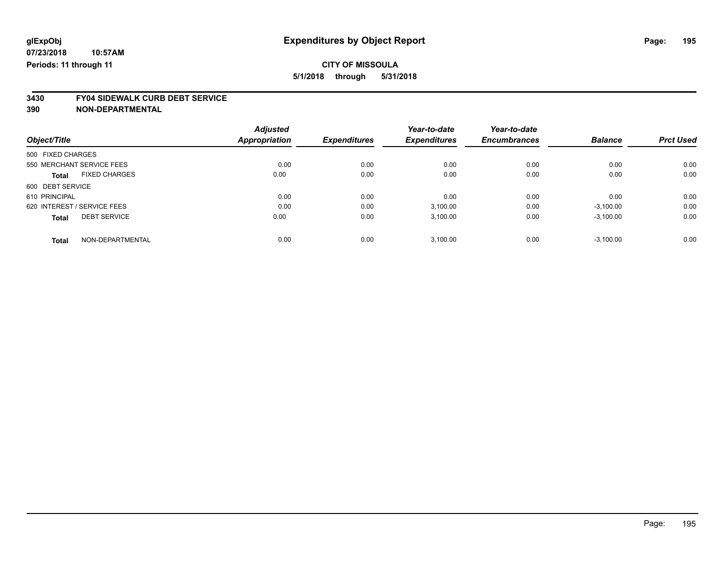# **3430 FY04 SIDEWALK CURB DEBT SERVICE**

|                                      | <b>Adjusted</b>      |                     | Year-to-date        | Year-to-date        |                |                  |
|--------------------------------------|----------------------|---------------------|---------------------|---------------------|----------------|------------------|
| Object/Title                         | <b>Appropriation</b> | <b>Expenditures</b> | <b>Expenditures</b> | <b>Encumbrances</b> | <b>Balance</b> | <b>Prct Used</b> |
| 500 FIXED CHARGES                    |                      |                     |                     |                     |                |                  |
| 550 MERCHANT SERVICE FEES            | 0.00                 | 0.00                | 0.00                | 0.00                | 0.00           | 0.00             |
| <b>FIXED CHARGES</b><br><b>Total</b> | 0.00                 | 0.00                | 0.00                | 0.00                | 0.00           | 0.00             |
| 600 DEBT SERVICE                     |                      |                     |                     |                     |                |                  |
| 610 PRINCIPAL                        | 0.00                 | 0.00                | 0.00                | 0.00                | 0.00           | 0.00             |
| 620 INTEREST / SERVICE FEES          | 0.00                 | 0.00                | 3,100.00            | 0.00                | $-3,100.00$    | 0.00             |
| <b>DEBT SERVICE</b><br><b>Total</b>  | 0.00                 | 0.00                | 3,100.00            | 0.00                | $-3,100.00$    | 0.00             |
| NON-DEPARTMENTAL<br><b>Total</b>     | 0.00                 | 0.00                | 3.100.00            | 0.00                | $-3.100.00$    | 0.00             |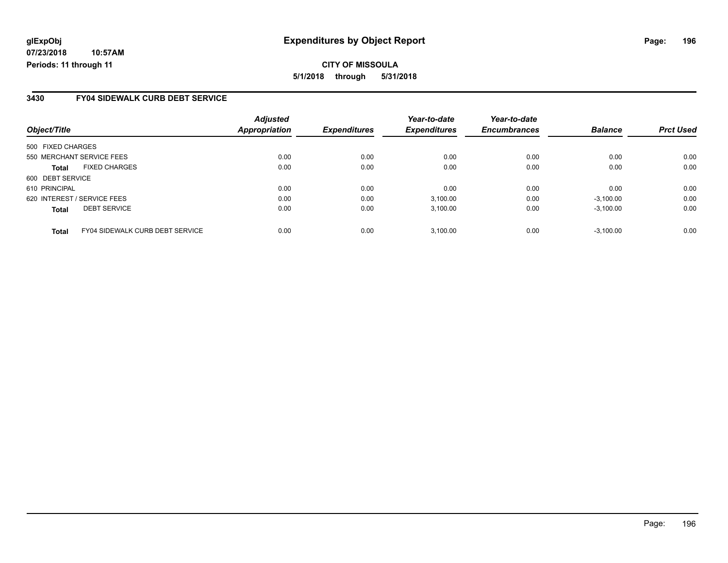## **CITY OF MISSOULA 5/1/2018 through 5/31/2018**

#### **3430 FY04 SIDEWALK CURB DEBT SERVICE**

|                             |                                        | <b>Adjusted</b>      |                     | Year-to-date        | Year-to-date        |                |                  |
|-----------------------------|----------------------------------------|----------------------|---------------------|---------------------|---------------------|----------------|------------------|
| Object/Title                |                                        | <b>Appropriation</b> | <b>Expenditures</b> | <b>Expenditures</b> | <b>Encumbrances</b> | <b>Balance</b> | <b>Prct Used</b> |
| 500 FIXED CHARGES           |                                        |                      |                     |                     |                     |                |                  |
| 550 MERCHANT SERVICE FEES   |                                        | 0.00                 | 0.00                | 0.00                | 0.00                | 0.00           | 0.00             |
| <b>Total</b>                | <b>FIXED CHARGES</b>                   | 0.00                 | 0.00                | 0.00                | 0.00                | 0.00           | 0.00             |
| 600 DEBT SERVICE            |                                        |                      |                     |                     |                     |                |                  |
| 610 PRINCIPAL               |                                        | 0.00                 | 0.00                | 0.00                | 0.00                | 0.00           | 0.00             |
| 620 INTEREST / SERVICE FEES |                                        | 0.00                 | 0.00                | 3.100.00            | 0.00                | $-3.100.00$    | 0.00             |
| <b>Total</b>                | <b>DEBT SERVICE</b>                    | 0.00                 | 0.00                | 3,100.00            | 0.00                | $-3,100.00$    | 0.00             |
| <b>Total</b>                | <b>FY04 SIDEWALK CURB DEBT SERVICE</b> | 0.00                 | 0.00                | 3.100.00            | 0.00                | $-3.100.00$    | 0.00             |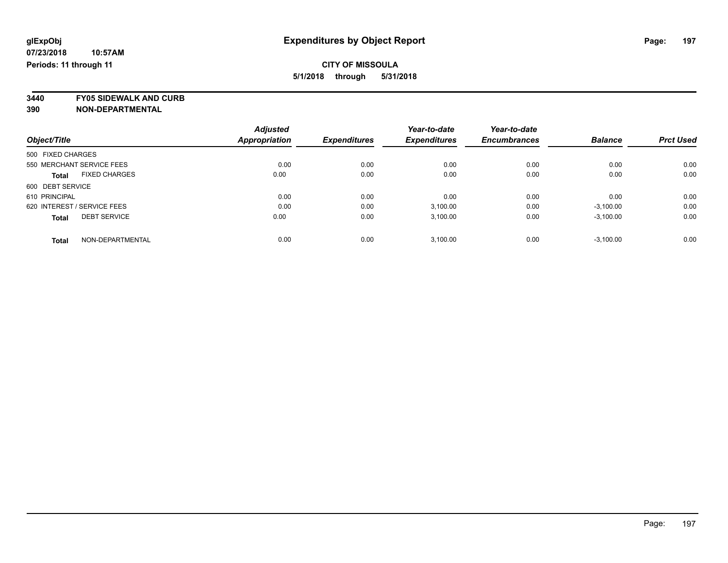**3440 FY05 SIDEWALK AND CURB**

|                                      | <b>Adjusted</b> | <b>Expenditures</b> | Year-to-date        | Year-to-date        | <b>Balance</b> | <b>Prct Used</b> |
|--------------------------------------|-----------------|---------------------|---------------------|---------------------|----------------|------------------|
| Object/Title                         | Appropriation   |                     | <b>Expenditures</b> | <b>Encumbrances</b> |                |                  |
| 500 FIXED CHARGES                    |                 |                     |                     |                     |                |                  |
| 550 MERCHANT SERVICE FEES            | 0.00            | 0.00                | 0.00                | 0.00                | 0.00           | 0.00             |
| <b>FIXED CHARGES</b><br><b>Total</b> | 0.00            | 0.00                | 0.00                | 0.00                | 0.00           | 0.00             |
| 600 DEBT SERVICE                     |                 |                     |                     |                     |                |                  |
| 610 PRINCIPAL                        | 0.00            | 0.00                | 0.00                | 0.00                | 0.00           | 0.00             |
| 620 INTEREST / SERVICE FEES          | 0.00            | 0.00                | 3,100.00            | 0.00                | $-3,100.00$    | 0.00             |
| <b>DEBT SERVICE</b><br><b>Total</b>  | 0.00            | 0.00                | 3,100.00            | 0.00                | $-3,100.00$    | 0.00             |
| NON-DEPARTMENTAL<br><b>Total</b>     | 0.00            | 0.00                | 3.100.00            | 0.00                | $-3.100.00$    | 0.00             |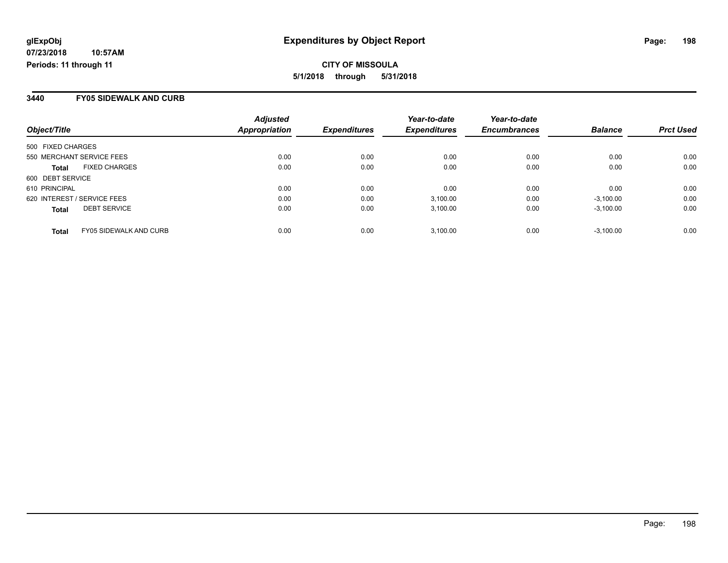#### **3440 FY05 SIDEWALK AND CURB**

| Object/Title      |                               | <b>Adjusted</b><br>Appropriation | <b>Expenditures</b> | Year-to-date<br><b>Expenditures</b> | Year-to-date<br><b>Encumbrances</b> | <b>Balance</b> | <b>Prct Used</b> |
|-------------------|-------------------------------|----------------------------------|---------------------|-------------------------------------|-------------------------------------|----------------|------------------|
|                   |                               |                                  |                     |                                     |                                     |                |                  |
| 500 FIXED CHARGES |                               |                                  |                     |                                     |                                     |                |                  |
|                   | 550 MERCHANT SERVICE FEES     | 0.00                             | 0.00                | 0.00                                | 0.00                                | 0.00           | 0.00             |
| <b>Total</b>      | <b>FIXED CHARGES</b>          | 0.00                             | 0.00                | 0.00                                | 0.00                                | 0.00           | 0.00             |
| 600 DEBT SERVICE  |                               |                                  |                     |                                     |                                     |                |                  |
| 610 PRINCIPAL     |                               | 0.00                             | 0.00                | 0.00                                | 0.00                                | 0.00           | 0.00             |
|                   | 620 INTEREST / SERVICE FEES   | 0.00                             | 0.00                | 3,100.00                            | 0.00                                | $-3,100.00$    | 0.00             |
| <b>Total</b>      | <b>DEBT SERVICE</b>           | 0.00                             | 0.00                | 3,100.00                            | 0.00                                | $-3,100.00$    | 0.00             |
| <b>Total</b>      | <b>FY05 SIDEWALK AND CURB</b> | 0.00                             | 0.00                | 3.100.00                            | 0.00                                | $-3.100.00$    | 0.00             |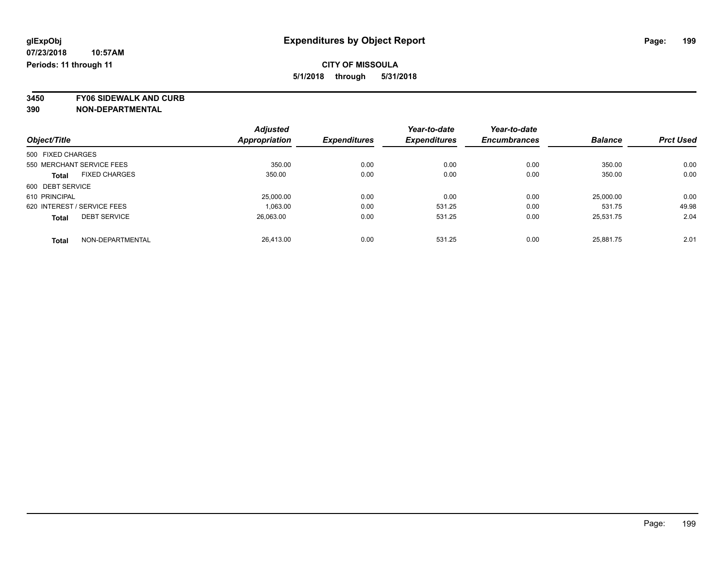**3450 FY06 SIDEWALK AND CURB**

|                                     | <b>Adjusted</b> |                     | Year-to-date        | Year-to-date        |                |                  |
|-------------------------------------|-----------------|---------------------|---------------------|---------------------|----------------|------------------|
| Object/Title                        | Appropriation   | <b>Expenditures</b> | <b>Expenditures</b> | <b>Encumbrances</b> | <b>Balance</b> | <b>Prct Used</b> |
| 500 FIXED CHARGES                   |                 |                     |                     |                     |                |                  |
| 550 MERCHANT SERVICE FEES           | 350.00          | 0.00                | 0.00                | 0.00                | 350.00         | 0.00             |
| <b>FIXED CHARGES</b><br>Total       | 350.00          | 0.00                | 0.00                | 0.00                | 350.00         | 0.00             |
| 600 DEBT SERVICE                    |                 |                     |                     |                     |                |                  |
| 610 PRINCIPAL                       | 25,000.00       | 0.00                | 0.00                | 0.00                | 25,000.00      | 0.00             |
| 620 INTEREST / SERVICE FEES         | 1.063.00        | 0.00                | 531.25              | 0.00                | 531.75         | 49.98            |
| <b>DEBT SERVICE</b><br><b>Total</b> | 26,063.00       | 0.00                | 531.25              | 0.00                | 25,531.75      | 2.04             |
| NON-DEPARTMENTAL<br><b>Total</b>    | 26.413.00       | 0.00                | 531.25              | 0.00                | 25.881.75      | 2.01             |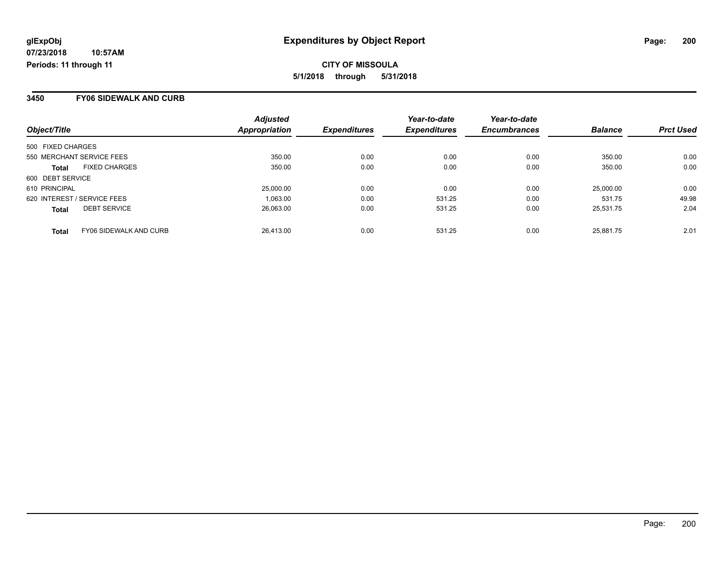#### **3450 FY06 SIDEWALK AND CURB**

|                                               | <b>Adjusted</b>      |                     | Year-to-date        | Year-to-date        |                |                  |
|-----------------------------------------------|----------------------|---------------------|---------------------|---------------------|----------------|------------------|
| Object/Title                                  | <b>Appropriation</b> | <b>Expenditures</b> | <b>Expenditures</b> | <b>Encumbrances</b> | <b>Balance</b> | <b>Prct Used</b> |
| 500 FIXED CHARGES                             |                      |                     |                     |                     |                |                  |
| 550 MERCHANT SERVICE FEES                     | 350.00               | 0.00                | 0.00                | 0.00                | 350.00         | 0.00             |
| <b>FIXED CHARGES</b><br>Total                 | 350.00               | 0.00                | 0.00                | 0.00                | 350.00         | 0.00             |
| 600 DEBT SERVICE                              |                      |                     |                     |                     |                |                  |
| 610 PRINCIPAL                                 | 25,000.00            | 0.00                | 0.00                | 0.00                | 25,000.00      | 0.00             |
| 620 INTEREST / SERVICE FEES                   | 1,063.00             | 0.00                | 531.25              | 0.00                | 531.75         | 49.98            |
| <b>DEBT SERVICE</b><br><b>Total</b>           | 26.063.00            | 0.00                | 531.25              | 0.00                | 25.531.75      | 2.04             |
| <b>FY06 SIDEWALK AND CURB</b><br><b>Total</b> | 26.413.00            | 0.00                | 531.25              | 0.00                | 25.881.75      | 2.01             |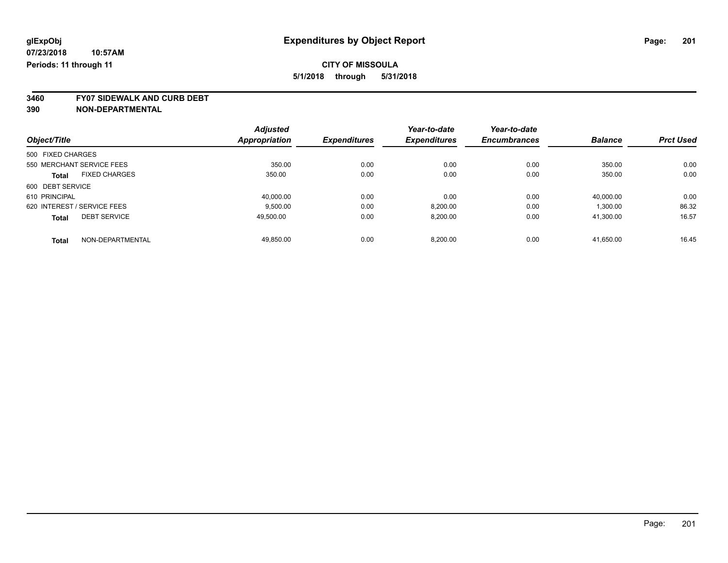**3460 FY07 SIDEWALK AND CURB DEBT**

|                                     | <b>Adjusted</b> |                     | Year-to-date        | Year-to-date        |                |                  |
|-------------------------------------|-----------------|---------------------|---------------------|---------------------|----------------|------------------|
| Object/Title                        | Appropriation   | <b>Expenditures</b> | <b>Expenditures</b> | <b>Encumbrances</b> | <b>Balance</b> | <b>Prct Used</b> |
| 500 FIXED CHARGES                   |                 |                     |                     |                     |                |                  |
| 550 MERCHANT SERVICE FEES           | 350.00          | 0.00                | 0.00                | 0.00                | 350.00         | 0.00             |
| <b>FIXED CHARGES</b><br>Total       | 350.00          | 0.00                | 0.00                | 0.00                | 350.00         | 0.00             |
| 600 DEBT SERVICE                    |                 |                     |                     |                     |                |                  |
| 610 PRINCIPAL                       | 40,000.00       | 0.00                | 0.00                | 0.00                | 40.000.00      | 0.00             |
| 620 INTEREST / SERVICE FEES         | 9.500.00        | 0.00                | 8.200.00            | 0.00                | 1.300.00       | 86.32            |
| <b>DEBT SERVICE</b><br><b>Total</b> | 49.500.00       | 0.00                | 8,200.00            | 0.00                | 41,300.00      | 16.57            |
| NON-DEPARTMENTAL<br><b>Total</b>    | 49.850.00       | 0.00                | 8,200.00            | 0.00                | 41.650.00      | 16.45            |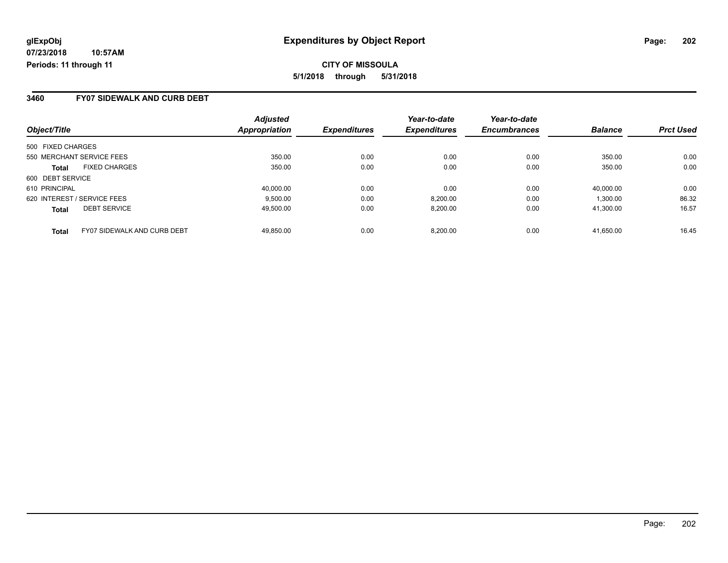#### **3460 FY07 SIDEWALK AND CURB DEBT**

| Object/Title                                       | <b>Adjusted</b><br>Appropriation | <b>Expenditures</b> | Year-to-date<br><b>Expenditures</b> | Year-to-date<br><b>Encumbrances</b> | <b>Balance</b> | <b>Prct Used</b> |
|----------------------------------------------------|----------------------------------|---------------------|-------------------------------------|-------------------------------------|----------------|------------------|
|                                                    |                                  |                     |                                     |                                     |                |                  |
| 500 FIXED CHARGES                                  |                                  |                     |                                     |                                     |                |                  |
| 550 MERCHANT SERVICE FEES                          | 350.00                           | 0.00                | 0.00                                | 0.00                                | 350.00         | 0.00             |
| <b>FIXED CHARGES</b><br>Total                      | 350.00                           | 0.00                | 0.00                                | 0.00                                | 350.00         | 0.00             |
| 600 DEBT SERVICE                                   |                                  |                     |                                     |                                     |                |                  |
| 610 PRINCIPAL                                      | 40.000.00                        | 0.00                | 0.00                                | 0.00                                | 40.000.00      | 0.00             |
| 620 INTEREST / SERVICE FEES                        | 9.500.00                         | 0.00                | 8.200.00                            | 0.00                                | 1.300.00       | 86.32            |
| <b>DEBT SERVICE</b><br><b>Total</b>                | 49,500.00                        | 0.00                | 8,200.00                            | 0.00                                | 41,300.00      | 16.57            |
| <b>FY07 SIDEWALK AND CURB DEBT</b><br><b>Total</b> | 49.850.00                        | 0.00                | 8,200.00                            | 0.00                                | 41.650.00      | 16.45            |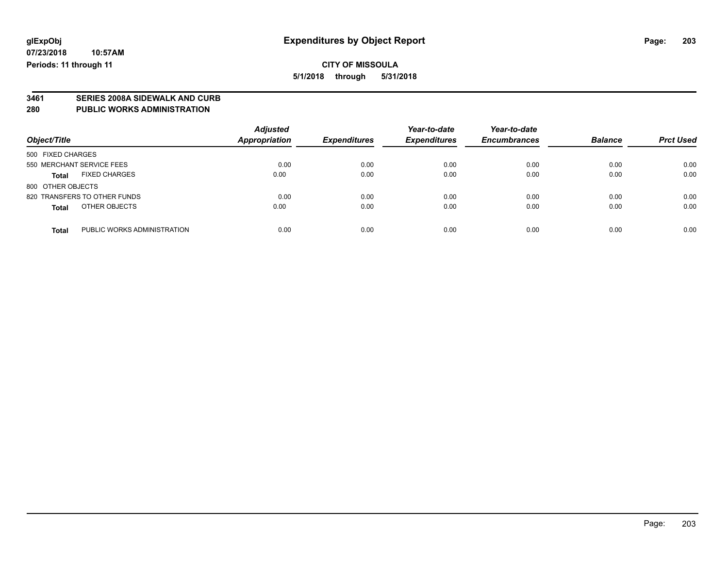## **CITY OF MISSOULA 5/1/2018 through 5/31/2018**

# **3461 SERIES 2008A SIDEWALK AND CURB**

#### **280 PUBLIC WORKS ADMINISTRATION**

| Object/Title                                | <b>Adjusted</b><br><b>Appropriation</b> | <b>Expenditures</b> | Year-to-date<br><b>Expenditures</b> | Year-to-date<br><b>Encumbrances</b> | <b>Balance</b> | <b>Prct Used</b> |
|---------------------------------------------|-----------------------------------------|---------------------|-------------------------------------|-------------------------------------|----------------|------------------|
| 500 FIXED CHARGES                           |                                         |                     |                                     |                                     |                |                  |
| 550 MERCHANT SERVICE FEES                   | 0.00                                    | 0.00                | 0.00                                | 0.00                                | 0.00           | 0.00             |
| <b>FIXED CHARGES</b><br><b>Total</b>        | 0.00                                    | 0.00                | 0.00                                | 0.00                                | 0.00           | 0.00             |
| 800 OTHER OBJECTS                           |                                         |                     |                                     |                                     |                |                  |
| 820 TRANSFERS TO OTHER FUNDS                | 0.00                                    | 0.00                | 0.00                                | 0.00                                | 0.00           | 0.00             |
| OTHER OBJECTS<br><b>Total</b>               | 0.00                                    | 0.00                | 0.00                                | 0.00                                | 0.00           | 0.00             |
| PUBLIC WORKS ADMINISTRATION<br><b>Total</b> | 0.00                                    | 0.00                | 0.00                                | 0.00                                | 0.00           | 0.00             |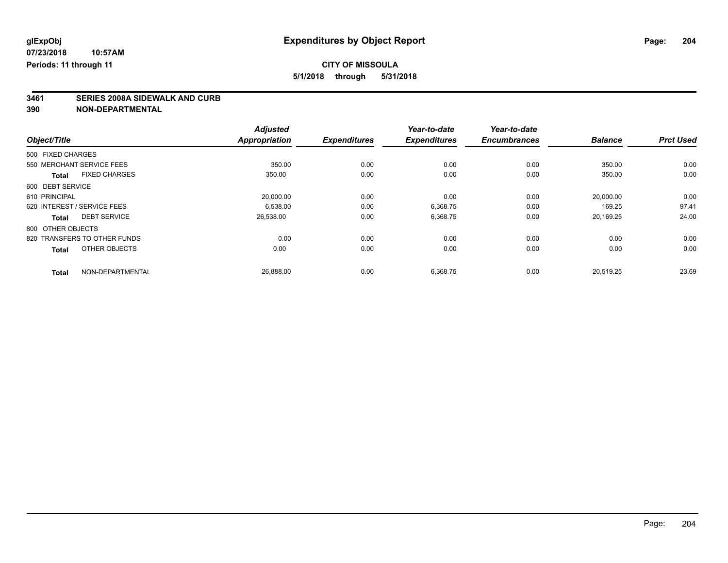## **3461 SERIES 2008A SIDEWALK AND CURB**

|                   |                              | <b>Adjusted</b>      |                     | Year-to-date        | Year-to-date        |                |                  |
|-------------------|------------------------------|----------------------|---------------------|---------------------|---------------------|----------------|------------------|
| Object/Title      |                              | <b>Appropriation</b> | <b>Expenditures</b> | <b>Expenditures</b> | <b>Encumbrances</b> | <b>Balance</b> | <b>Prct Used</b> |
| 500 FIXED CHARGES |                              |                      |                     |                     |                     |                |                  |
|                   | 550 MERCHANT SERVICE FEES    | 350.00               | 0.00                | 0.00                | 0.00                | 350.00         | 0.00             |
| <b>Total</b>      | <b>FIXED CHARGES</b>         | 350.00               | 0.00                | 0.00                | 0.00                | 350.00         | 0.00             |
| 600 DEBT SERVICE  |                              |                      |                     |                     |                     |                |                  |
| 610 PRINCIPAL     |                              | 20,000.00            | 0.00                | 0.00                | 0.00                | 20,000.00      | 0.00             |
|                   | 620 INTEREST / SERVICE FEES  | 6.538.00             | 0.00                | 6,368.75            | 0.00                | 169.25         | 97.41            |
| <b>Total</b>      | <b>DEBT SERVICE</b>          | 26,538.00            | 0.00                | 6,368.75            | 0.00                | 20,169.25      | 24.00            |
| 800 OTHER OBJECTS |                              |                      |                     |                     |                     |                |                  |
|                   | 820 TRANSFERS TO OTHER FUNDS | 0.00                 | 0.00                | 0.00                | 0.00                | 0.00           | 0.00             |
| <b>Total</b>      | OTHER OBJECTS                | 0.00                 | 0.00                | 0.00                | 0.00                | 0.00           | 0.00             |
| <b>Total</b>      | NON-DEPARTMENTAL             | 26,888.00            | 0.00                | 6,368.75            | 0.00                | 20,519.25      | 23.69            |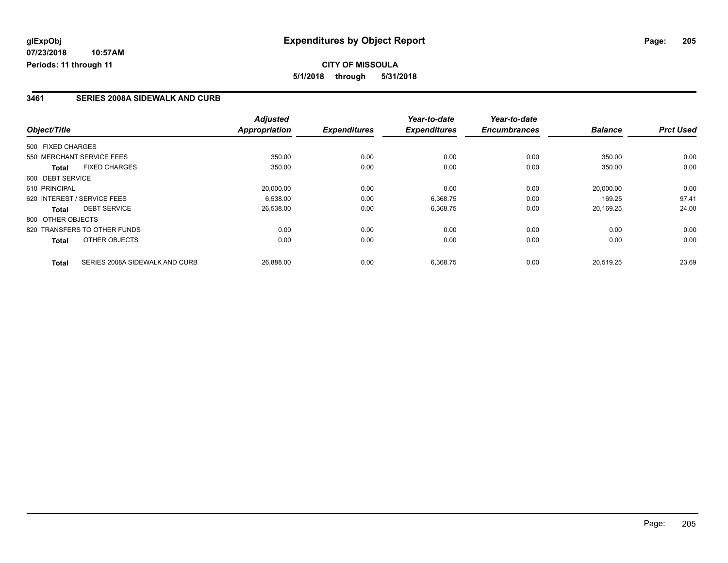**CITY OF MISSOULA 5/1/2018 through 5/31/2018**

#### **3461 SERIES 2008A SIDEWALK AND CURB**

|                             |                                | <b>Adjusted</b>      |                     | Year-to-date        | Year-to-date        |                |                  |
|-----------------------------|--------------------------------|----------------------|---------------------|---------------------|---------------------|----------------|------------------|
| Object/Title                |                                | <b>Appropriation</b> | <b>Expenditures</b> | <b>Expenditures</b> | <b>Encumbrances</b> | <b>Balance</b> | <b>Prct Used</b> |
| 500 FIXED CHARGES           |                                |                      |                     |                     |                     |                |                  |
| 550 MERCHANT SERVICE FEES   |                                | 350.00               | 0.00                | 0.00                | 0.00                | 350.00         | 0.00             |
| <b>Total</b>                | <b>FIXED CHARGES</b>           | 350.00               | 0.00                | 0.00                | 0.00                | 350.00         | 0.00             |
| 600 DEBT SERVICE            |                                |                      |                     |                     |                     |                |                  |
| 610 PRINCIPAL               |                                | 20,000.00            | 0.00                | 0.00                | 0.00                | 20,000.00      | 0.00             |
| 620 INTEREST / SERVICE FEES |                                | 6,538.00             | 0.00                | 6,368.75            | 0.00                | 169.25         | 97.41            |
| <b>Total</b>                | <b>DEBT SERVICE</b>            | 26,538.00            | 0.00                | 6,368.75            | 0.00                | 20,169.25      | 24.00            |
| 800 OTHER OBJECTS           |                                |                      |                     |                     |                     |                |                  |
|                             | 820 TRANSFERS TO OTHER FUNDS   | 0.00                 | 0.00                | 0.00                | 0.00                | 0.00           | 0.00             |
| <b>Total</b>                | OTHER OBJECTS                  | 0.00                 | 0.00                | 0.00                | 0.00                | 0.00           | 0.00             |
| <b>Total</b>                | SERIES 2008A SIDEWALK AND CURB | 26,888.00            | 0.00                | 6,368.75            | 0.00                | 20.519.25      | 23.69            |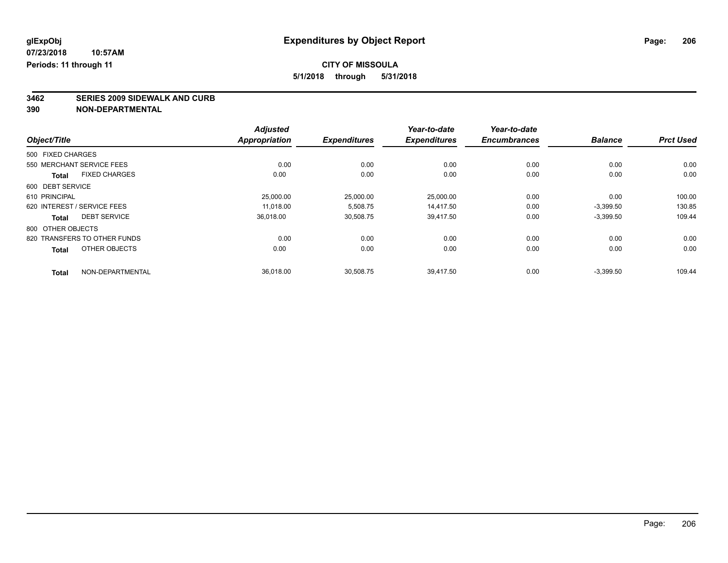## **3462 SERIES 2009 SIDEWALK AND CURB**

|                   |                              | <b>Adjusted</b>      |                     | Year-to-date        | Year-to-date        |                |                  |
|-------------------|------------------------------|----------------------|---------------------|---------------------|---------------------|----------------|------------------|
| Object/Title      |                              | <b>Appropriation</b> | <b>Expenditures</b> | <b>Expenditures</b> | <b>Encumbrances</b> | <b>Balance</b> | <b>Prct Used</b> |
| 500 FIXED CHARGES |                              |                      |                     |                     |                     |                |                  |
|                   | 550 MERCHANT SERVICE FEES    | 0.00                 | 0.00                | 0.00                | 0.00                | 0.00           | 0.00             |
| <b>Total</b>      | <b>FIXED CHARGES</b>         | 0.00                 | 0.00                | 0.00                | 0.00                | 0.00           | 0.00             |
| 600 DEBT SERVICE  |                              |                      |                     |                     |                     |                |                  |
| 610 PRINCIPAL     |                              | 25,000.00            | 25,000.00           | 25,000.00           | 0.00                | 0.00           | 100.00           |
|                   | 620 INTEREST / SERVICE FEES  | 11.018.00            | 5,508.75            | 14.417.50           | 0.00                | $-3,399.50$    | 130.85           |
| <b>Total</b>      | <b>DEBT SERVICE</b>          | 36,018.00            | 30,508.75           | 39,417.50           | 0.00                | $-3,399.50$    | 109.44           |
| 800 OTHER OBJECTS |                              |                      |                     |                     |                     |                |                  |
|                   | 820 TRANSFERS TO OTHER FUNDS | 0.00                 | 0.00                | 0.00                | 0.00                | 0.00           | 0.00             |
| <b>Total</b>      | OTHER OBJECTS                | 0.00                 | 0.00                | 0.00                | 0.00                | 0.00           | 0.00             |
| <b>Total</b>      | NON-DEPARTMENTAL             | 36,018.00            | 30,508.75           | 39,417.50           | 0.00                | $-3,399.50$    | 109.44           |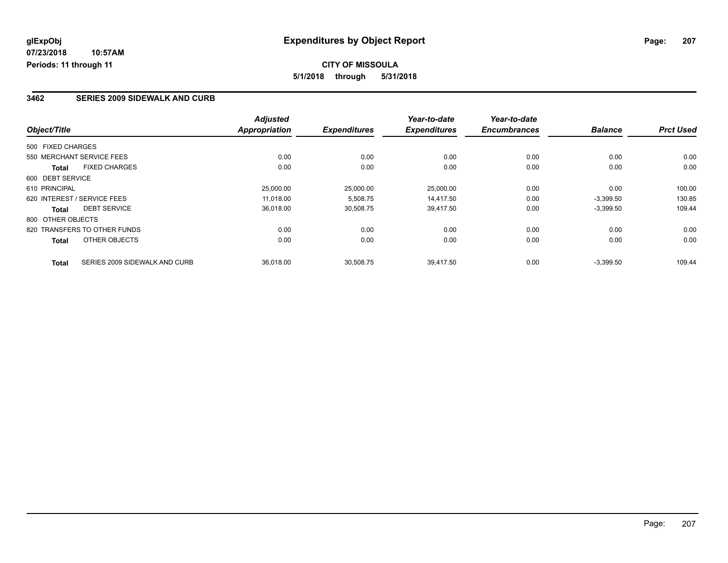## **CITY OF MISSOULA 5/1/2018 through 5/31/2018**

### **3462 SERIES 2009 SIDEWALK AND CURB**

|                   |                               | <b>Adjusted</b>      |                     | Year-to-date        | Year-to-date        |                |                  |
|-------------------|-------------------------------|----------------------|---------------------|---------------------|---------------------|----------------|------------------|
| Object/Title      |                               | <b>Appropriation</b> | <b>Expenditures</b> | <b>Expenditures</b> | <b>Encumbrances</b> | <b>Balance</b> | <b>Prct Used</b> |
| 500 FIXED CHARGES |                               |                      |                     |                     |                     |                |                  |
|                   | 550 MERCHANT SERVICE FEES     | 0.00                 | 0.00                | 0.00                | 0.00                | 0.00           | 0.00             |
| <b>Total</b>      | <b>FIXED CHARGES</b>          | 0.00                 | 0.00                | 0.00                | 0.00                | 0.00           | 0.00             |
| 600 DEBT SERVICE  |                               |                      |                     |                     |                     |                |                  |
| 610 PRINCIPAL     |                               | 25,000.00            | 25,000.00           | 25,000.00           | 0.00                | 0.00           | 100.00           |
|                   | 620 INTEREST / SERVICE FEES   | 11.018.00            | 5,508.75            | 14,417.50           | 0.00                | $-3,399.50$    | 130.85           |
| <b>Total</b>      | <b>DEBT SERVICE</b>           | 36,018.00            | 30,508.75           | 39.417.50           | 0.00                | $-3,399.50$    | 109.44           |
| 800 OTHER OBJECTS |                               |                      |                     |                     |                     |                |                  |
|                   | 820 TRANSFERS TO OTHER FUNDS  | 0.00                 | 0.00                | 0.00                | 0.00                | 0.00           | 0.00             |
| <b>Total</b>      | OTHER OBJECTS                 | 0.00                 | 0.00                | 0.00                | 0.00                | 0.00           | 0.00             |
| <b>Total</b>      | SERIES 2009 SIDEWALK AND CURB | 36.018.00            | 30.508.75           | 39.417.50           | 0.00                | $-3,399.50$    | 109.44           |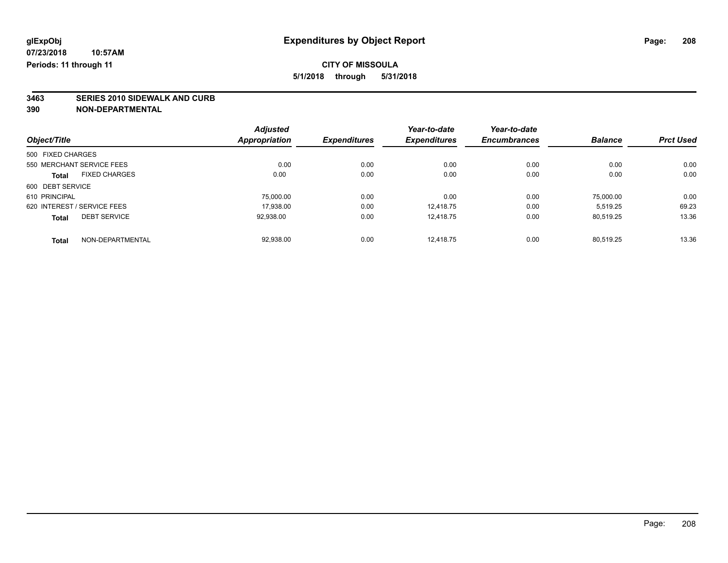# **3463 SERIES 2010 SIDEWALK AND CURB**

|                                      | <b>Adjusted</b> |                     | Year-to-date        | Year-to-date        |                |                  |
|--------------------------------------|-----------------|---------------------|---------------------|---------------------|----------------|------------------|
| Object/Title                         | Appropriation   | <b>Expenditures</b> | <b>Expenditures</b> | <b>Encumbrances</b> | <b>Balance</b> | <b>Prct Used</b> |
| 500 FIXED CHARGES                    |                 |                     |                     |                     |                |                  |
| 550 MERCHANT SERVICE FEES            | 0.00            | 0.00                | 0.00                | 0.00                | 0.00           | 0.00             |
| <b>FIXED CHARGES</b><br><b>Total</b> | 0.00            | 0.00                | 0.00                | 0.00                | 0.00           | 0.00             |
| 600 DEBT SERVICE                     |                 |                     |                     |                     |                |                  |
| 610 PRINCIPAL                        | 75.000.00       | 0.00                | 0.00                | 0.00                | 75.000.00      | 0.00             |
| 620 INTEREST / SERVICE FEES          | 17.938.00       | 0.00                | 12.418.75           | 0.00                | 5.519.25       | 69.23            |
| <b>DEBT SERVICE</b><br><b>Total</b>  | 92.938.00       | 0.00                | 12.418.75           | 0.00                | 80.519.25      | 13.36            |
| NON-DEPARTMENTAL<br><b>Total</b>     | 92.938.00       | 0.00                | 12.418.75           | 0.00                | 80.519.25      | 13.36            |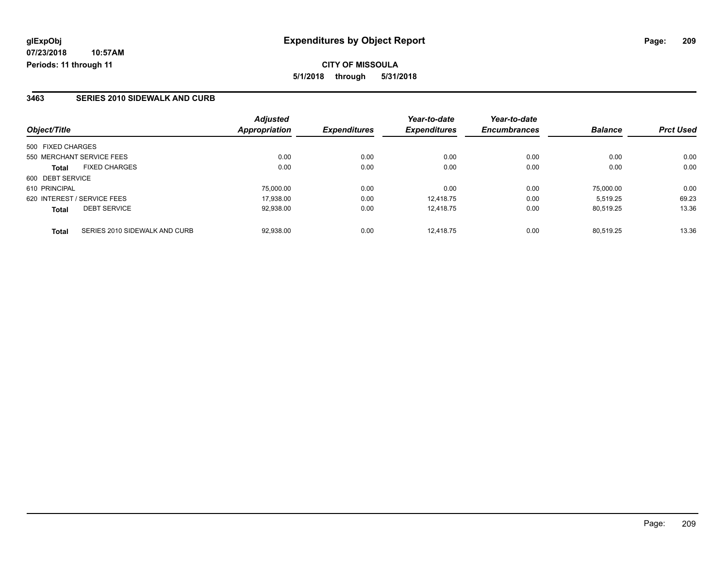### **3463 SERIES 2010 SIDEWALK AND CURB**

| Object/Title                        |                               | <b>Adjusted</b><br><b>Appropriation</b> | <b>Expenditures</b> | Year-to-date<br><b>Expenditures</b> | Year-to-date<br><b>Encumbrances</b> | <b>Balance</b> | <b>Prct Used</b> |
|-------------------------------------|-------------------------------|-----------------------------------------|---------------------|-------------------------------------|-------------------------------------|----------------|------------------|
|                                     |                               |                                         |                     |                                     |                                     |                |                  |
| 500 FIXED CHARGES                   |                               |                                         |                     |                                     |                                     |                |                  |
| 550 MERCHANT SERVICE FEES           |                               | 0.00                                    | 0.00                | 0.00                                | 0.00                                | 0.00           | 0.00             |
| Total                               | <b>FIXED CHARGES</b>          | 0.00                                    | 0.00                | 0.00                                | 0.00                                | 0.00           | 0.00             |
| 600 DEBT SERVICE                    |                               |                                         |                     |                                     |                                     |                |                  |
| 610 PRINCIPAL                       |                               | 75,000.00                               | 0.00                | 0.00                                | 0.00                                | 75.000.00      | 0.00             |
| 620 INTEREST / SERVICE FEES         |                               | 17.938.00                               | 0.00                | 12.418.75                           | 0.00                                | 5.519.25       | 69.23            |
| <b>DEBT SERVICE</b><br><b>Total</b> |                               | 92.938.00                               | 0.00                | 12.418.75                           | 0.00                                | 80.519.25      | 13.36            |
| Total                               | SERIES 2010 SIDEWALK AND CURB | 92.938.00                               | 0.00                | 12.418.75                           | 0.00                                | 80.519.25      | 13.36            |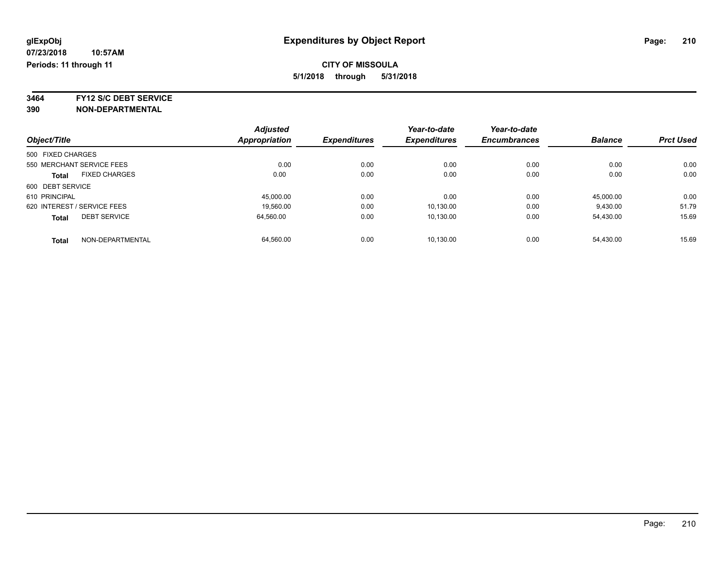**3464 FY12 S/C DEBT SERVICE**

|                                     |                      | <b>Adjusted</b> |                     | Year-to-date        | Year-to-date        |                |                  |
|-------------------------------------|----------------------|-----------------|---------------------|---------------------|---------------------|----------------|------------------|
| Object/Title                        |                      | Appropriation   | <b>Expenditures</b> | <b>Expenditures</b> | <b>Encumbrances</b> | <b>Balance</b> | <b>Prct Used</b> |
| 500 FIXED CHARGES                   |                      |                 |                     |                     |                     |                |                  |
| 550 MERCHANT SERVICE FEES           |                      | 0.00            | 0.00                | 0.00                | 0.00                | 0.00           | 0.00             |
| <b>Total</b>                        | <b>FIXED CHARGES</b> | 0.00            | 0.00                | 0.00                | 0.00                | 0.00           | 0.00             |
| 600 DEBT SERVICE                    |                      |                 |                     |                     |                     |                |                  |
| 610 PRINCIPAL                       |                      | 45,000.00       | 0.00                | 0.00                | 0.00                | 45,000.00      | 0.00             |
| 620 INTEREST / SERVICE FEES         |                      | 19.560.00       | 0.00                | 10,130.00           | 0.00                | 9,430.00       | 51.79            |
| <b>DEBT SERVICE</b><br><b>Total</b> |                      | 64.560.00       | 0.00                | 10.130.00           | 0.00                | 54.430.00      | 15.69            |
| <b>Total</b>                        | NON-DEPARTMENTAL     | 64.560.00       | 0.00                | 10.130.00           | 0.00                | 54.430.00      | 15.69            |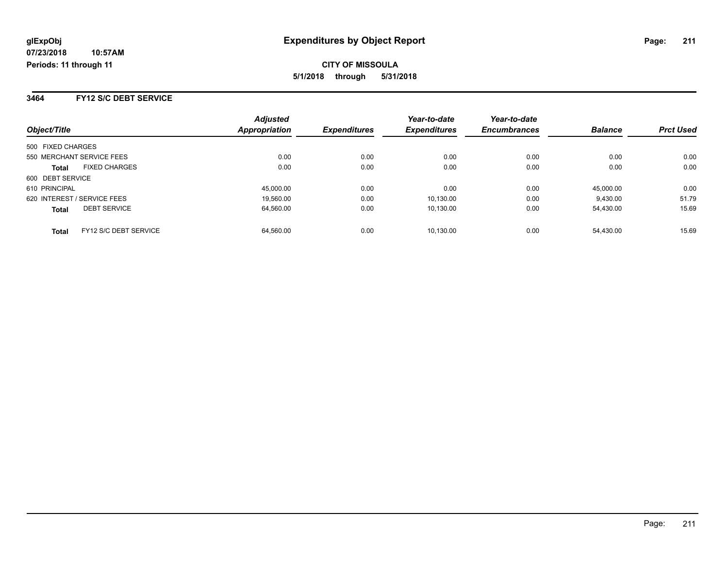**3464 FY12 S/C DEBT SERVICE**

|                                       | <b>Adjusted</b> |                     | Year-to-date        | Year-to-date        |                |                  |
|---------------------------------------|-----------------|---------------------|---------------------|---------------------|----------------|------------------|
| Object/Title                          | Appropriation   | <b>Expenditures</b> | <b>Expenditures</b> | <b>Encumbrances</b> | <b>Balance</b> | <b>Prct Used</b> |
| 500 FIXED CHARGES                     |                 |                     |                     |                     |                |                  |
| 550 MERCHANT SERVICE FEES             | 0.00            | 0.00                | 0.00                | 0.00                | 0.00           | 0.00             |
| <b>FIXED CHARGES</b><br><b>Total</b>  | 0.00            | 0.00                | 0.00                | 0.00                | 0.00           | 0.00             |
| 600 DEBT SERVICE                      |                 |                     |                     |                     |                |                  |
| 610 PRINCIPAL                         | 45,000.00       | 0.00                | 0.00                | 0.00                | 45.000.00      | 0.00             |
| 620 INTEREST / SERVICE FEES           | 19.560.00       | 0.00                | 10.130.00           | 0.00                | 9,430.00       | 51.79            |
| <b>DEBT SERVICE</b><br><b>Total</b>   | 64,560.00       | 0.00                | 10,130.00           | 0.00                | 54,430.00      | 15.69            |
| FY12 S/C DEBT SERVICE<br><b>Total</b> | 64.560.00       | 0.00                | 10.130.00           | 0.00                | 54.430.00      | 15.69            |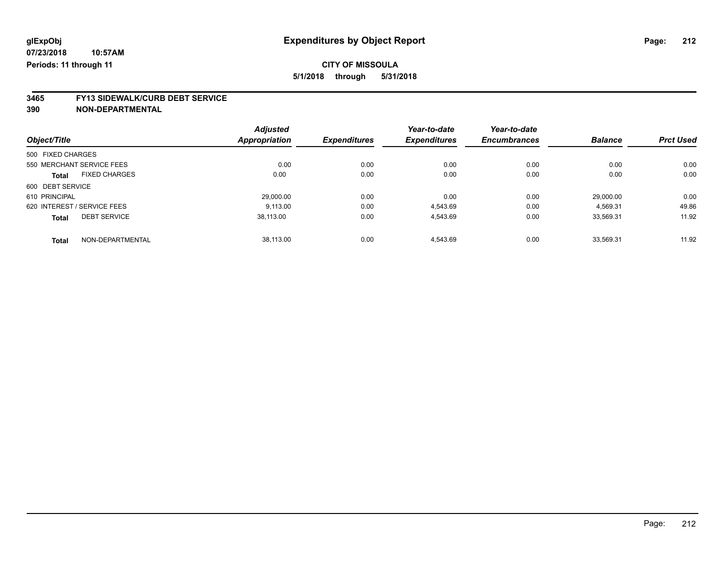# **3465 FY13 SIDEWALK/CURB DEBT SERVICE**

|                                     | <b>Adjusted</b> |                     | Year-to-date        | Year-to-date        |                |                  |
|-------------------------------------|-----------------|---------------------|---------------------|---------------------|----------------|------------------|
| Object/Title                        | Appropriation   | <b>Expenditures</b> | <b>Expenditures</b> | <b>Encumbrances</b> | <b>Balance</b> | <b>Prct Used</b> |
| 500 FIXED CHARGES                   |                 |                     |                     |                     |                |                  |
| 550 MERCHANT SERVICE FEES           | 0.00            | 0.00                | 0.00                | 0.00                | 0.00           | 0.00             |
| <b>FIXED CHARGES</b><br>Total       | 0.00            | 0.00                | 0.00                | 0.00                | 0.00           | 0.00             |
| 600 DEBT SERVICE                    |                 |                     |                     |                     |                |                  |
| 610 PRINCIPAL                       | 29,000.00       | 0.00                | 0.00                | 0.00                | 29.000.00      | 0.00             |
| 620 INTEREST / SERVICE FEES         | 9,113.00        | 0.00                | 4,543.69            | 0.00                | 4,569.31       | 49.86            |
| <b>DEBT SERVICE</b><br><b>Total</b> | 38.113.00       | 0.00                | 4,543.69            | 0.00                | 33,569.31      | 11.92            |
| NON-DEPARTMENTAL<br><b>Total</b>    | 38.113.00       | 0.00                | 4.543.69            | 0.00                | 33.569.31      | 11.92            |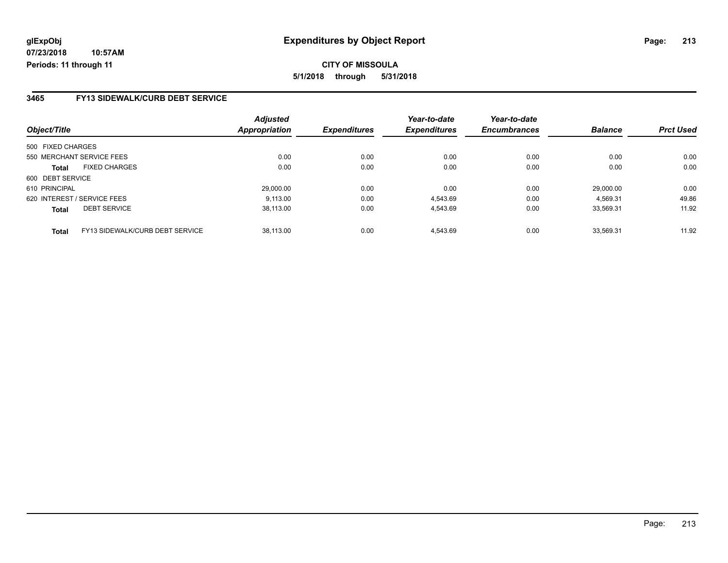#### **3465 FY13 SIDEWALK/CURB DEBT SERVICE**

|                   |                                        | <b>Adjusted</b>      |                     | Year-to-date        | Year-to-date        |                |                  |
|-------------------|----------------------------------------|----------------------|---------------------|---------------------|---------------------|----------------|------------------|
| Object/Title      |                                        | <b>Appropriation</b> | <b>Expenditures</b> | <b>Expenditures</b> | <b>Encumbrances</b> | <b>Balance</b> | <b>Prct Used</b> |
| 500 FIXED CHARGES |                                        |                      |                     |                     |                     |                |                  |
|                   | 550 MERCHANT SERVICE FEES              | 0.00                 | 0.00                | 0.00                | 0.00                | 0.00           | 0.00             |
| <b>Total</b>      | <b>FIXED CHARGES</b>                   | 0.00                 | 0.00                | 0.00                | 0.00                | 0.00           | 0.00             |
| 600 DEBT SERVICE  |                                        |                      |                     |                     |                     |                |                  |
| 610 PRINCIPAL     |                                        | 29.000.00            | 0.00                | 0.00                | 0.00                | 29.000.00      | 0.00             |
|                   | 620 INTEREST / SERVICE FEES            | 9.113.00             | 0.00                | 4.543.69            | 0.00                | 4.569.31       | 49.86            |
| <b>Total</b>      | <b>DEBT SERVICE</b>                    | 38,113.00            | 0.00                | 4,543.69            | 0.00                | 33.569.31      | 11.92            |
| <b>Total</b>      | <b>FY13 SIDEWALK/CURB DEBT SERVICE</b> | 38.113.00            | 0.00                | 4.543.69            | 0.00                | 33.569.31      | 11.92            |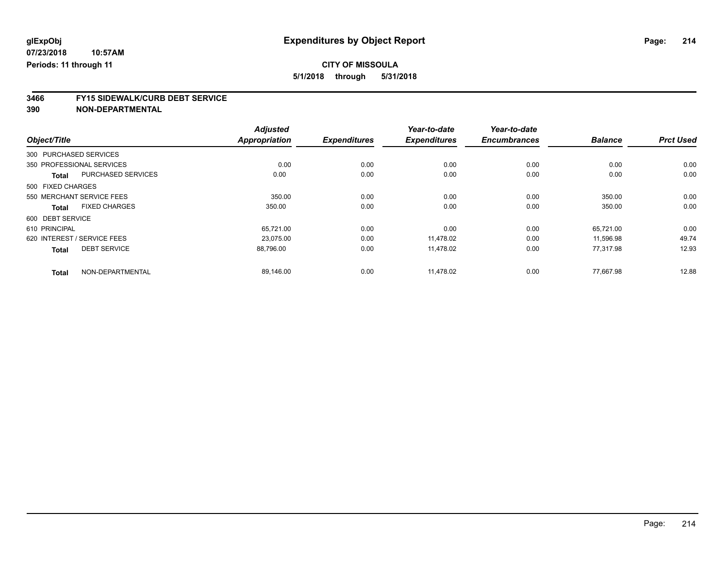# **3466 FY15 SIDEWALK/CURB DEBT SERVICE**

|                   |                             | <b>Adjusted</b>      |                     | Year-to-date        | Year-to-date        |                |                  |
|-------------------|-----------------------------|----------------------|---------------------|---------------------|---------------------|----------------|------------------|
| Object/Title      |                             | <b>Appropriation</b> | <b>Expenditures</b> | <b>Expenditures</b> | <b>Encumbrances</b> | <b>Balance</b> | <b>Prct Used</b> |
|                   | 300 PURCHASED SERVICES      |                      |                     |                     |                     |                |                  |
|                   | 350 PROFESSIONAL SERVICES   | 0.00                 | 0.00                | 0.00                | 0.00                | 0.00           | 0.00             |
| <b>Total</b>      | PURCHASED SERVICES          | 0.00                 | 0.00                | 0.00                | 0.00                | 0.00           | 0.00             |
| 500 FIXED CHARGES |                             |                      |                     |                     |                     |                |                  |
|                   | 550 MERCHANT SERVICE FEES   | 350.00               | 0.00                | 0.00                | 0.00                | 350.00         | 0.00             |
| Total             | <b>FIXED CHARGES</b>        | 350.00               | 0.00                | 0.00                | 0.00                | 350.00         | 0.00             |
| 600 DEBT SERVICE  |                             |                      |                     |                     |                     |                |                  |
| 610 PRINCIPAL     |                             | 65,721.00            | 0.00                | 0.00                | 0.00                | 65.721.00      | 0.00             |
|                   | 620 INTEREST / SERVICE FEES | 23,075.00            | 0.00                | 11,478.02           | 0.00                | 11.596.98      | 49.74            |
| <b>Total</b>      | <b>DEBT SERVICE</b>         | 88.796.00            | 0.00                | 11.478.02           | 0.00                | 77.317.98      | 12.93            |
| <b>Total</b>      | NON-DEPARTMENTAL            | 89,146.00            | 0.00                | 11,478.02           | 0.00                | 77,667.98      | 12.88            |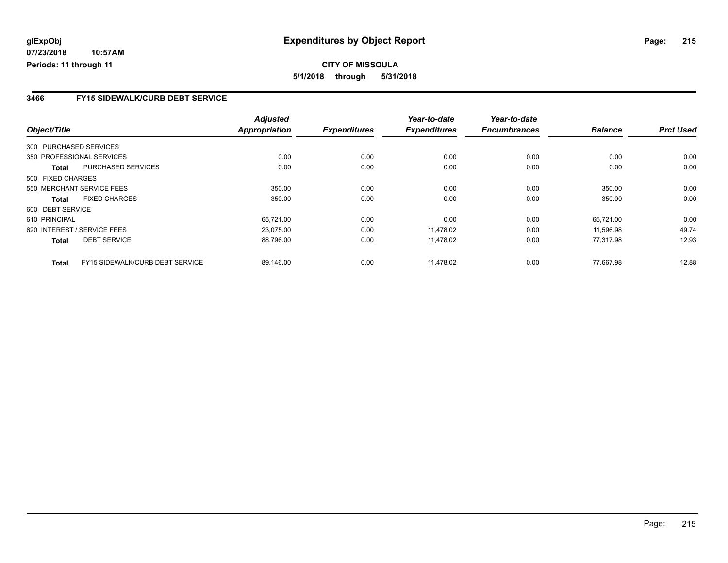### **3466 FY15 SIDEWALK/CURB DEBT SERVICE**

|                        |                                 | <b>Adjusted</b>      |                     | Year-to-date        | Year-to-date        |                |                  |
|------------------------|---------------------------------|----------------------|---------------------|---------------------|---------------------|----------------|------------------|
| Object/Title           |                                 | <b>Appropriation</b> | <b>Expenditures</b> | <b>Expenditures</b> | <b>Encumbrances</b> | <b>Balance</b> | <b>Prct Used</b> |
| 300 PURCHASED SERVICES |                                 |                      |                     |                     |                     |                |                  |
|                        | 350 PROFESSIONAL SERVICES       | 0.00                 | 0.00                | 0.00                | 0.00                | 0.00           | 0.00             |
| <b>Total</b>           | PURCHASED SERVICES              | 0.00                 | 0.00                | 0.00                | 0.00                | 0.00           | 0.00             |
| 500 FIXED CHARGES      |                                 |                      |                     |                     |                     |                |                  |
|                        | 550 MERCHANT SERVICE FEES       | 350.00               | 0.00                | 0.00                | 0.00                | 350.00         | 0.00             |
| Total                  | <b>FIXED CHARGES</b>            | 350.00               | 0.00                | 0.00                | 0.00                | 350.00         | 0.00             |
| 600 DEBT SERVICE       |                                 |                      |                     |                     |                     |                |                  |
| 610 PRINCIPAL          |                                 | 65,721.00            | 0.00                | 0.00                | 0.00                | 65.721.00      | 0.00             |
|                        | 620 INTEREST / SERVICE FEES     | 23,075.00            | 0.00                | 11,478.02           | 0.00                | 11.596.98      | 49.74            |
| <b>Total</b>           | <b>DEBT SERVICE</b>             | 88,796.00            | 0.00                | 11,478.02           | 0.00                | 77,317.98      | 12.93            |
| <b>Total</b>           | FY15 SIDEWALK/CURB DEBT SERVICE | 89,146.00            | 0.00                | 11.478.02           | 0.00                | 77.667.98      | 12.88            |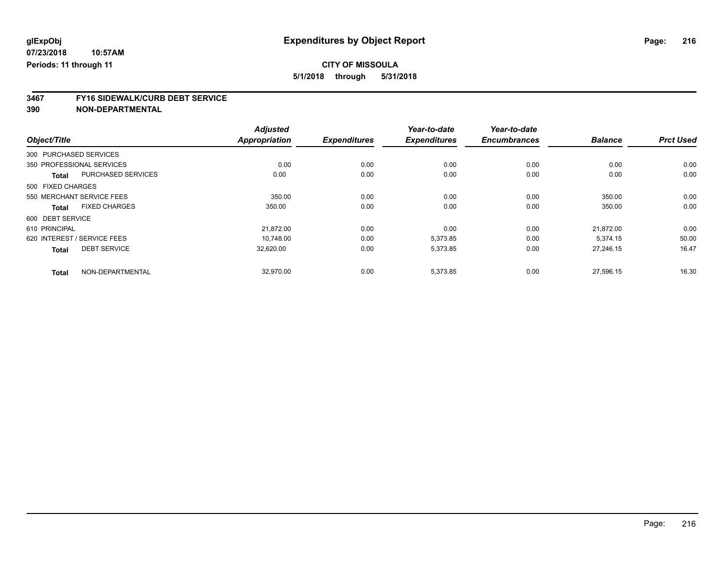# **3467 FY16 SIDEWALK/CURB DEBT SERVICE**

|                   |                             | <b>Adjusted</b>      |                     | Year-to-date        | Year-to-date        |                |                  |
|-------------------|-----------------------------|----------------------|---------------------|---------------------|---------------------|----------------|------------------|
| Object/Title      |                             | <b>Appropriation</b> | <b>Expenditures</b> | <b>Expenditures</b> | <b>Encumbrances</b> | <b>Balance</b> | <b>Prct Used</b> |
|                   | 300 PURCHASED SERVICES      |                      |                     |                     |                     |                |                  |
|                   | 350 PROFESSIONAL SERVICES   | 0.00                 | 0.00                | 0.00                | 0.00                | 0.00           | 0.00             |
| <b>Total</b>      | PURCHASED SERVICES          | 0.00                 | 0.00                | 0.00                | 0.00                | 0.00           | 0.00             |
| 500 FIXED CHARGES |                             |                      |                     |                     |                     |                |                  |
|                   | 550 MERCHANT SERVICE FEES   | 350.00               | 0.00                | 0.00                | 0.00                | 350.00         | 0.00             |
| <b>Total</b>      | <b>FIXED CHARGES</b>        | 350.00               | 0.00                | 0.00                | 0.00                | 350.00         | 0.00             |
| 600 DEBT SERVICE  |                             |                      |                     |                     |                     |                |                  |
| 610 PRINCIPAL     |                             | 21,872.00            | 0.00                | 0.00                | 0.00                | 21.872.00      | 0.00             |
|                   | 620 INTEREST / SERVICE FEES | 10.748.00            | 0.00                | 5,373.85            | 0.00                | 5.374.15       | 50.00            |
| <b>Total</b>      | <b>DEBT SERVICE</b>         | 32.620.00            | 0.00                | 5,373.85            | 0.00                | 27.246.15      | 16.47            |
| <b>Total</b>      | NON-DEPARTMENTAL            | 32,970.00            | 0.00                | 5,373.85            | 0.00                | 27,596.15      | 16.30            |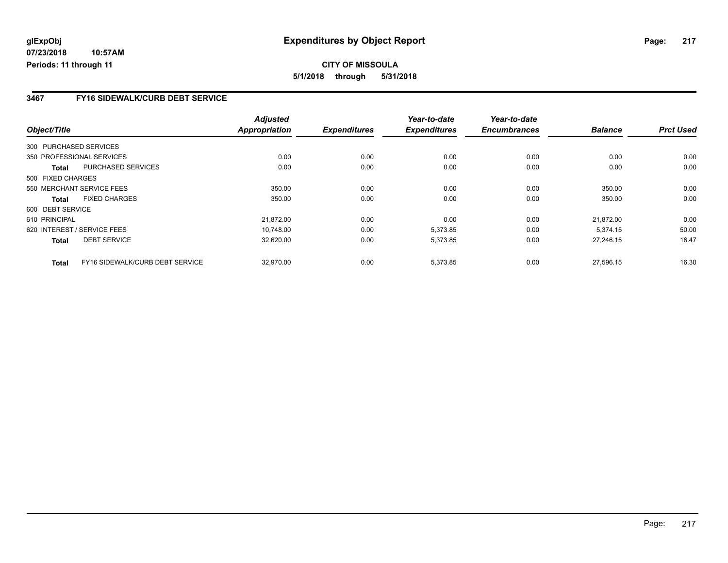### **3467 FY16 SIDEWALK/CURB DEBT SERVICE**

|                        |                                 | <b>Adjusted</b> |                     | Year-to-date        | Year-to-date        |                |                  |
|------------------------|---------------------------------|-----------------|---------------------|---------------------|---------------------|----------------|------------------|
| Object/Title           |                                 | Appropriation   | <b>Expenditures</b> | <b>Expenditures</b> | <b>Encumbrances</b> | <b>Balance</b> | <b>Prct Used</b> |
| 300 PURCHASED SERVICES |                                 |                 |                     |                     |                     |                |                  |
|                        | 350 PROFESSIONAL SERVICES       | 0.00            | 0.00                | 0.00                | 0.00                | 0.00           | 0.00             |
| <b>Total</b>           | PURCHASED SERVICES              | 0.00            | 0.00                | 0.00                | 0.00                | 0.00           | 0.00             |
| 500 FIXED CHARGES      |                                 |                 |                     |                     |                     |                |                  |
|                        | 550 MERCHANT SERVICE FEES       | 350.00          | 0.00                | 0.00                | 0.00                | 350.00         | 0.00             |
| <b>Total</b>           | <b>FIXED CHARGES</b>            | 350.00          | 0.00                | 0.00                | 0.00                | 350.00         | 0.00             |
| 600 DEBT SERVICE       |                                 |                 |                     |                     |                     |                |                  |
| 610 PRINCIPAL          |                                 | 21,872.00       | 0.00                | 0.00                | 0.00                | 21,872.00      | 0.00             |
|                        | 620 INTEREST / SERVICE FEES     | 10.748.00       | 0.00                | 5.373.85            | 0.00                | 5.374.15       | 50.00            |
| Total                  | <b>DEBT SERVICE</b>             | 32,620.00       | 0.00                | 5,373.85            | 0.00                | 27,246.15      | 16.47            |
| <b>Total</b>           | FY16 SIDEWALK/CURB DEBT SERVICE | 32.970.00       | 0.00                | 5.373.85            | 0.00                | 27.596.15      | 16.30            |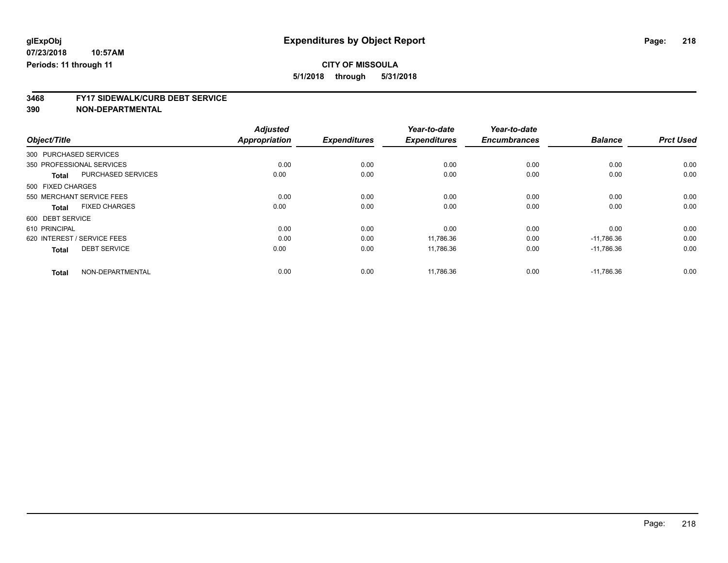# **3468 FY17 SIDEWALK/CURB DEBT SERVICE**

|                                           | <b>Adjusted</b>      |                     | Year-to-date        | Year-to-date        |                |                  |
|-------------------------------------------|----------------------|---------------------|---------------------|---------------------|----------------|------------------|
| Object/Title                              | <b>Appropriation</b> | <b>Expenditures</b> | <b>Expenditures</b> | <b>Encumbrances</b> | <b>Balance</b> | <b>Prct Used</b> |
| 300 PURCHASED SERVICES                    |                      |                     |                     |                     |                |                  |
| 350 PROFESSIONAL SERVICES                 | 0.00                 | 0.00                | 0.00                | 0.00                | 0.00           | 0.00             |
| <b>PURCHASED SERVICES</b><br><b>Total</b> | 0.00                 | 0.00                | 0.00                | 0.00                | 0.00           | 0.00             |
| 500 FIXED CHARGES                         |                      |                     |                     |                     |                |                  |
| 550 MERCHANT SERVICE FEES                 | 0.00                 | 0.00                | 0.00                | 0.00                | 0.00           | 0.00             |
| <b>FIXED CHARGES</b><br><b>Total</b>      | 0.00                 | 0.00                | 0.00                | 0.00                | 0.00           | 0.00             |
| 600 DEBT SERVICE                          |                      |                     |                     |                     |                |                  |
| 610 PRINCIPAL                             | 0.00                 | 0.00                | 0.00                | 0.00                | 0.00           | 0.00             |
| 620 INTEREST / SERVICE FEES               | 0.00                 | 0.00                | 11,786.36           | 0.00                | $-11.786.36$   | 0.00             |
| <b>DEBT SERVICE</b><br><b>Total</b>       | 0.00                 | 0.00                | 11,786.36           | 0.00                | $-11.786.36$   | 0.00             |
|                                           |                      |                     |                     |                     |                |                  |
| NON-DEPARTMENTAL<br><b>Total</b>          | 0.00                 | 0.00                | 11,786.36           | 0.00                | $-11,786.36$   | 0.00             |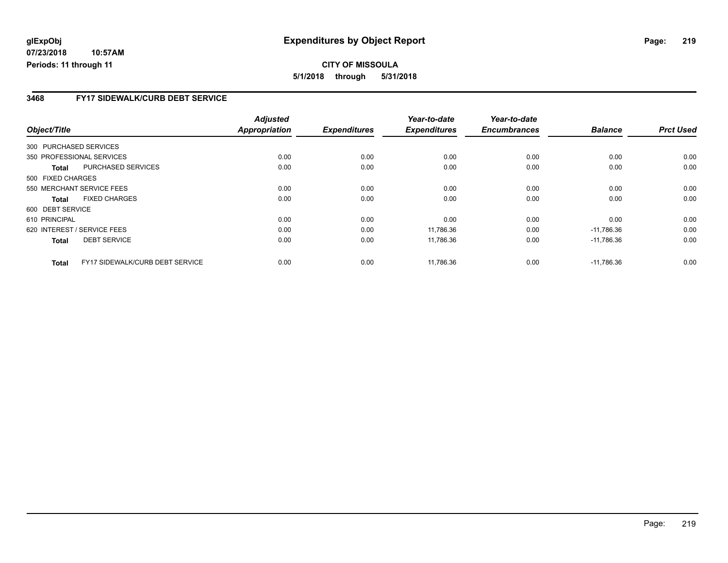### **3468 FY17 SIDEWALK/CURB DEBT SERVICE**

|                        |                                 | <b>Adjusted</b>      |                     | Year-to-date        | Year-to-date        |                |                  |
|------------------------|---------------------------------|----------------------|---------------------|---------------------|---------------------|----------------|------------------|
| Object/Title           |                                 | <b>Appropriation</b> | <b>Expenditures</b> | <b>Expenditures</b> | <b>Encumbrances</b> | <b>Balance</b> | <b>Prct Used</b> |
| 300 PURCHASED SERVICES |                                 |                      |                     |                     |                     |                |                  |
|                        | 350 PROFESSIONAL SERVICES       | 0.00                 | 0.00                | 0.00                | 0.00                | 0.00           | 0.00             |
| <b>Total</b>           | PURCHASED SERVICES              | 0.00                 | 0.00                | 0.00                | 0.00                | 0.00           | 0.00             |
| 500 FIXED CHARGES      |                                 |                      |                     |                     |                     |                |                  |
|                        | 550 MERCHANT SERVICE FEES       | 0.00                 | 0.00                | 0.00                | 0.00                | 0.00           | 0.00             |
| <b>Total</b>           | <b>FIXED CHARGES</b>            | 0.00                 | 0.00                | 0.00                | 0.00                | 0.00           | 0.00             |
| 600 DEBT SERVICE       |                                 |                      |                     |                     |                     |                |                  |
| 610 PRINCIPAL          |                                 | 0.00                 | 0.00                | 0.00                | 0.00                | 0.00           | 0.00             |
|                        | 620 INTEREST / SERVICE FEES     | 0.00                 | 0.00                | 11,786.36           | 0.00                | $-11.786.36$   | 0.00             |
| <b>Total</b>           | <b>DEBT SERVICE</b>             | 0.00                 | 0.00                | 11,786.36           | 0.00                | $-11,786.36$   | 0.00             |
| <b>Total</b>           | FY17 SIDEWALK/CURB DEBT SERVICE | 0.00                 | 0.00                | 11.786.36           | 0.00                | $-11.786.36$   | 0.00             |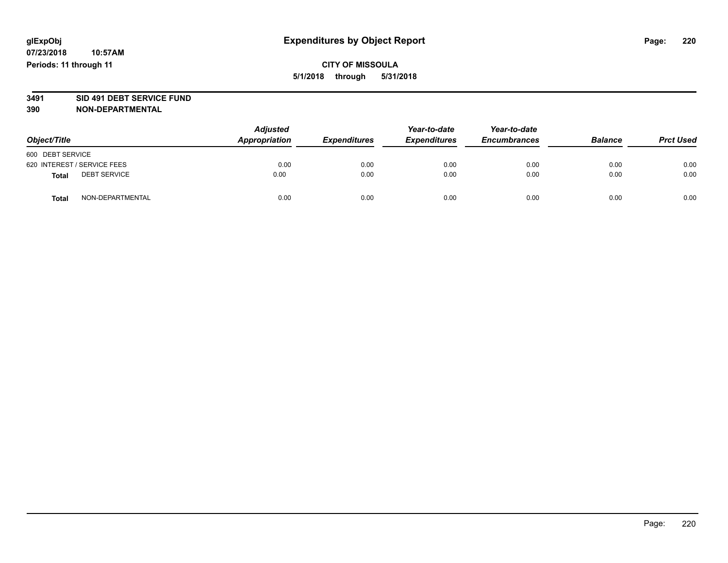# **3491 SID 491 DEBT SERVICE FUND**

| Object/Title                 | <b>Adjusted</b><br>Appropriation | <b>Expenditures</b> | Year-to-date<br><b>Expenditures</b> | Year-to-date<br><b>Encumbrances</b> | <b>Balance</b> | <b>Prct Used</b> |
|------------------------------|----------------------------------|---------------------|-------------------------------------|-------------------------------------|----------------|------------------|
| 600 DEBT SERVICE             |                                  |                     |                                     |                                     |                |                  |
| 620 INTEREST / SERVICE FEES  | 0.00                             | 0.00                | 0.00                                | 0.00                                | 0.00           | 0.00             |
| <b>DEBT SERVICE</b><br>Total | 0.00                             | 0.00                | 0.00                                | 0.00                                | 0.00           | 0.00             |
| NON-DEPARTMENTAL<br>Total    | 0.00                             | 0.00                | 0.00                                | 0.00                                | 0.00           | 0.00             |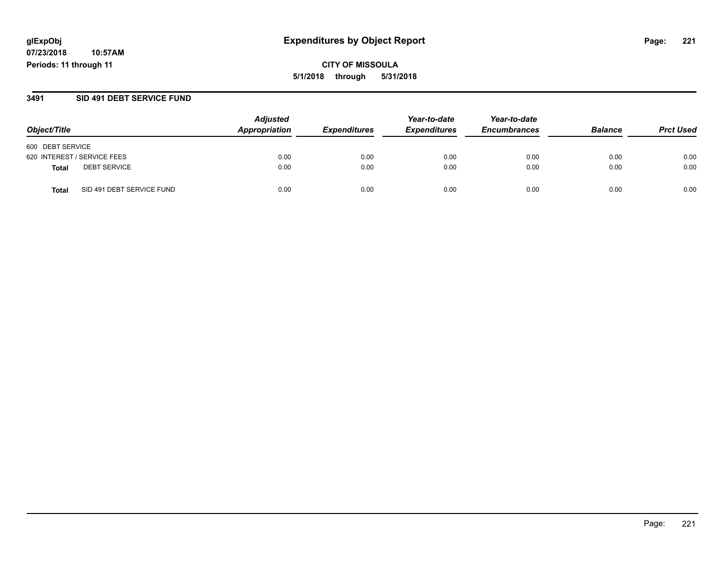**CITY OF MISSOULA 5/1/2018 through 5/31/2018**

### **3491 SID 491 DEBT SERVICE FUND**

| Object/Title                       | <b>Adjusted</b><br>Appropriation | <b>Expenditures</b> | Year-to-date<br><b>Expenditures</b> | Year-to-date<br><b>Encumbrances</b> | <b>Balance</b> | <b>Prct Used</b> |
|------------------------------------|----------------------------------|---------------------|-------------------------------------|-------------------------------------|----------------|------------------|
| 600 DEBT SERVICE                   |                                  |                     |                                     |                                     |                |                  |
| 620 INTEREST / SERVICE FEES        | 0.00                             | 0.00                | 0.00                                | 0.00                                | 0.00           | 0.00             |
| <b>DEBT SERVICE</b><br>Total       | 0.00                             | 0.00                | 0.00                                | 0.00                                | 0.00           | 0.00             |
| SID 491 DEBT SERVICE FUND<br>Total | 0.00                             | 0.00                | 0.00                                | 0.00                                | 0.00           | 0.00             |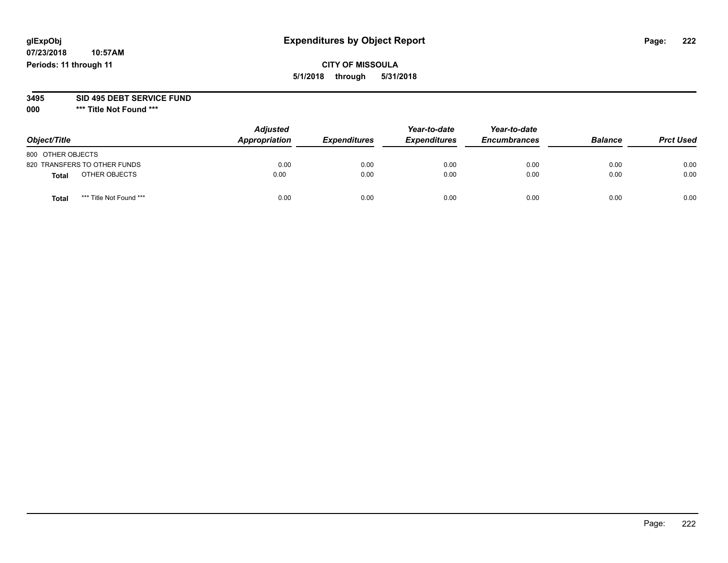## **CITY OF MISSOULA 5/1/2018 through 5/31/2018**

# **3495 SID 495 DEBT SERVICE FUND**

| Object/Title                 |                         | <b>Adjusted</b><br>Appropriation | <b>Expenditures</b> | Year-to-date<br><b>Expenditures</b> | Year-to-date<br><b>Encumbrances</b> | <b>Balance</b> | <b>Prct Used</b> |
|------------------------------|-------------------------|----------------------------------|---------------------|-------------------------------------|-------------------------------------|----------------|------------------|
| 800 OTHER OBJECTS            |                         |                                  |                     |                                     |                                     |                |                  |
| 820 TRANSFERS TO OTHER FUNDS |                         | 0.00                             | 0.00                | 0.00                                | 0.00                                | 0.00           | 0.00             |
| Total                        | OTHER OBJECTS           | 0.00                             | 0.00                | 0.00                                | 0.00                                | 0.00           | 0.00             |
| Tota                         | *** Title Not Found *** | 0.00                             | 0.00                | 0.00                                | 0.00                                | 0.00           | 0.00             |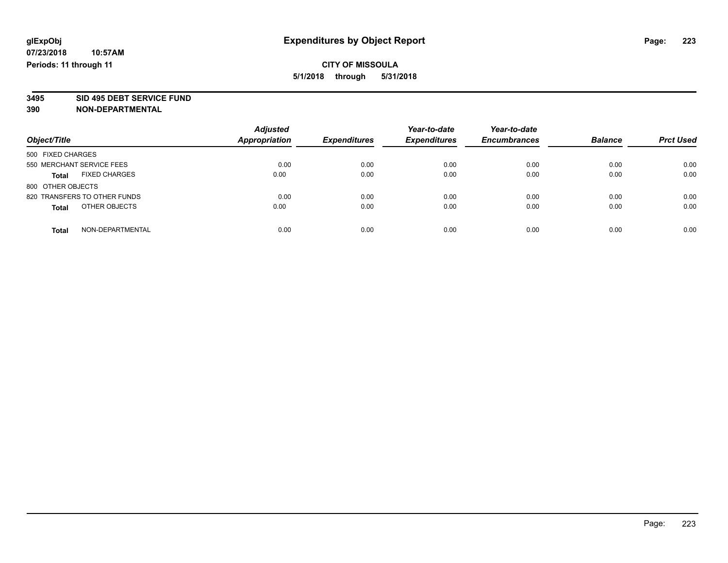**3495 SID 495 DEBT SERVICE FUND**

| Object/Title                         | <b>Adjusted</b><br><b>Appropriation</b> | <b>Expenditures</b> | Year-to-date<br><b>Expenditures</b> | Year-to-date<br><b>Encumbrances</b> | <b>Balance</b> | <b>Prct Used</b> |
|--------------------------------------|-----------------------------------------|---------------------|-------------------------------------|-------------------------------------|----------------|------------------|
| 500 FIXED CHARGES                    |                                         |                     |                                     |                                     |                |                  |
| 550 MERCHANT SERVICE FEES            | 0.00                                    | 0.00                | 0.00                                | 0.00                                | 0.00           | 0.00             |
| <b>FIXED CHARGES</b><br><b>Total</b> | 0.00                                    | 0.00                | 0.00                                | 0.00                                | 0.00           | 0.00             |
| 800 OTHER OBJECTS                    |                                         |                     |                                     |                                     |                |                  |
| 820 TRANSFERS TO OTHER FUNDS         | 0.00                                    | 0.00                | 0.00                                | 0.00                                | 0.00           | 0.00             |
| OTHER OBJECTS<br><b>Total</b>        | 0.00                                    | 0.00                | 0.00                                | 0.00                                | 0.00           | 0.00             |
| NON-DEPARTMENTAL<br><b>Total</b>     | 0.00                                    | 0.00                | 0.00                                | 0.00                                | 0.00           | 0.00             |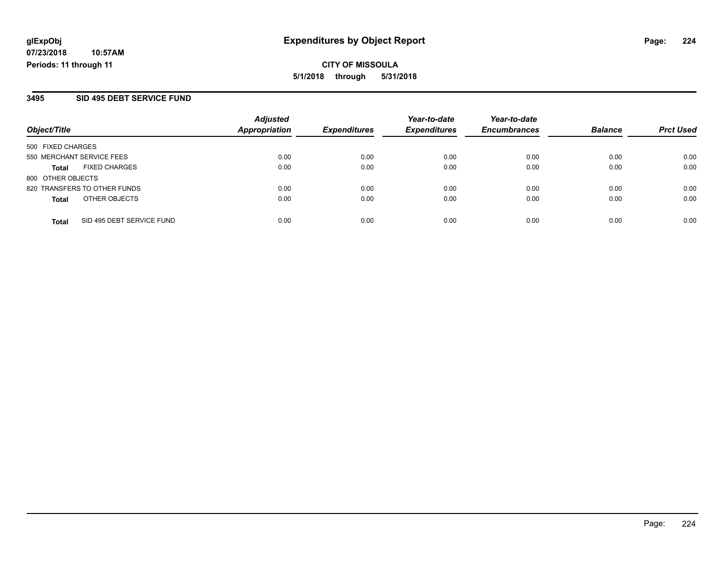**CITY OF MISSOULA 5/1/2018 through 5/31/2018**

### **3495 SID 495 DEBT SERVICE FUND**

| Object/Title                              | <b>Adjusted</b><br><b>Appropriation</b> | <b>Expenditures</b> | Year-to-date<br><b>Expenditures</b> | Year-to-date<br><b>Encumbrances</b> | <b>Balance</b> | <b>Prct Used</b> |
|-------------------------------------------|-----------------------------------------|---------------------|-------------------------------------|-------------------------------------|----------------|------------------|
|                                           |                                         |                     |                                     |                                     |                |                  |
| 500 FIXED CHARGES                         |                                         |                     |                                     |                                     |                |                  |
| 550 MERCHANT SERVICE FEES                 | 0.00                                    | 0.00                | 0.00                                | 0.00                                | 0.00           | 0.00             |
| <b>FIXED CHARGES</b><br><b>Total</b>      | 0.00                                    | 0.00                | 0.00                                | 0.00                                | 0.00           | 0.00             |
| 800 OTHER OBJECTS                         |                                         |                     |                                     |                                     |                |                  |
| 820 TRANSFERS TO OTHER FUNDS              | 0.00                                    | 0.00                | 0.00                                | 0.00                                | 0.00           | 0.00             |
| OTHER OBJECTS<br><b>Total</b>             | 0.00                                    | 0.00                | 0.00                                | 0.00                                | 0.00           | 0.00             |
|                                           |                                         |                     |                                     |                                     |                |                  |
| SID 495 DEBT SERVICE FUND<br><b>Total</b> | 0.00                                    | 0.00                | 0.00                                | 0.00                                | 0.00           | 0.00             |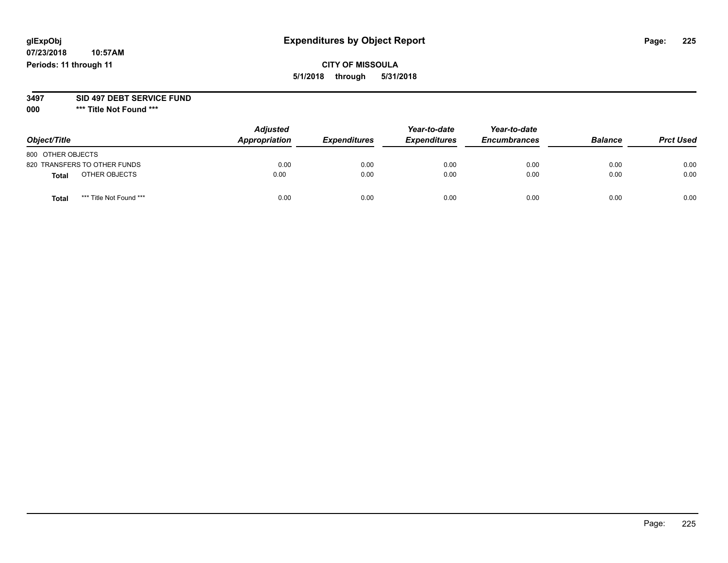## **CITY OF MISSOULA 5/1/2018 through 5/31/2018**

#### **3497 SID 497 DEBT SERVICE FUND**

| Object/Title                     | <b>Adjusted</b><br>Appropriation | <b>Expenditures</b> | Year-to-date<br><b>Expenditures</b> | Year-to-date<br><b>Encumbrances</b> | <b>Balance</b> | <b>Prct Used</b> |
|----------------------------------|----------------------------------|---------------------|-------------------------------------|-------------------------------------|----------------|------------------|
| 800 OTHER OBJECTS                |                                  |                     |                                     |                                     |                |                  |
| 820 TRANSFERS TO OTHER FUNDS     | 0.00                             | 0.00                | 0.00                                | 0.00                                | 0.00           | 0.00             |
| OTHER OBJECTS<br><b>Total</b>    | 0.00                             | 0.00                | 0.00                                | 0.00                                | 0.00           | 0.00             |
| *** Title Not Found ***<br>Total | 0.00                             | 0.00                | 0.00                                | 0.00                                | 0.00           | 0.00             |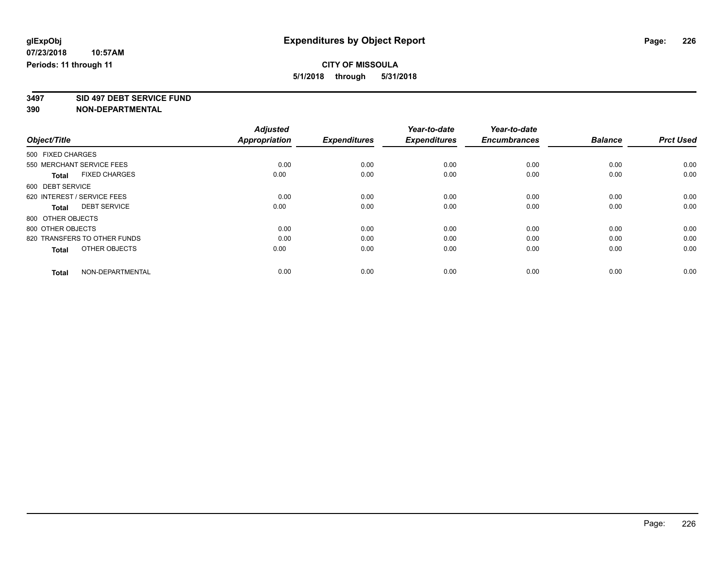**3497 SID 497 DEBT SERVICE FUND**

|                                      | <b>Adjusted</b>      |                     | Year-to-date        | Year-to-date        |                |                  |
|--------------------------------------|----------------------|---------------------|---------------------|---------------------|----------------|------------------|
| Object/Title                         | <b>Appropriation</b> | <b>Expenditures</b> | <b>Expenditures</b> | <b>Encumbrances</b> | <b>Balance</b> | <b>Prct Used</b> |
| 500 FIXED CHARGES                    |                      |                     |                     |                     |                |                  |
| 550 MERCHANT SERVICE FEES            | 0.00                 | 0.00                | 0.00                | 0.00                | 0.00           | 0.00             |
| <b>FIXED CHARGES</b><br><b>Total</b> | 0.00                 | 0.00                | 0.00                | 0.00                | 0.00           | 0.00             |
| 600 DEBT SERVICE                     |                      |                     |                     |                     |                |                  |
| 620 INTEREST / SERVICE FEES          | 0.00                 | 0.00                | 0.00                | 0.00                | 0.00           | 0.00             |
| <b>DEBT SERVICE</b><br>Total         | 0.00                 | 0.00                | 0.00                | 0.00                | 0.00           | 0.00             |
| 800 OTHER OBJECTS                    |                      |                     |                     |                     |                |                  |
| 800 OTHER OBJECTS                    | 0.00                 | 0.00                | 0.00                | 0.00                | 0.00           | 0.00             |
| 820 TRANSFERS TO OTHER FUNDS         | 0.00                 | 0.00                | 0.00                | 0.00                | 0.00           | 0.00             |
| OTHER OBJECTS<br><b>Total</b>        | 0.00                 | 0.00                | 0.00                | 0.00                | 0.00           | 0.00             |
|                                      |                      |                     |                     |                     |                |                  |
| NON-DEPARTMENTAL<br><b>Total</b>     | 0.00                 | 0.00                | 0.00                | 0.00                | 0.00           | 0.00             |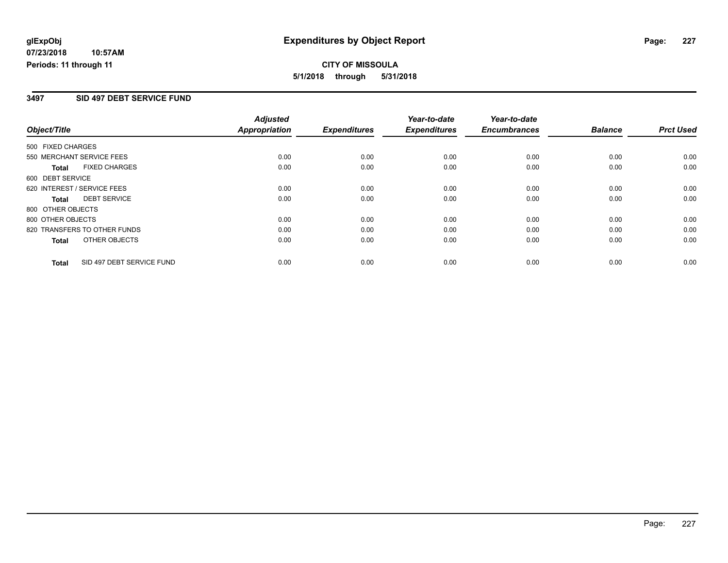### **3497 SID 497 DEBT SERVICE FUND**

|                                           | <b>Adjusted</b>      |                     | Year-to-date        | Year-to-date        |                |                  |
|-------------------------------------------|----------------------|---------------------|---------------------|---------------------|----------------|------------------|
| Object/Title                              | <b>Appropriation</b> | <b>Expenditures</b> | <b>Expenditures</b> | <b>Encumbrances</b> | <b>Balance</b> | <b>Prct Used</b> |
| 500 FIXED CHARGES                         |                      |                     |                     |                     |                |                  |
| 550 MERCHANT SERVICE FEES                 | 0.00                 | 0.00                | 0.00                | 0.00                | 0.00           | 0.00             |
| <b>FIXED CHARGES</b><br><b>Total</b>      | 0.00                 | 0.00                | 0.00                | 0.00                | 0.00           | 0.00             |
| 600 DEBT SERVICE                          |                      |                     |                     |                     |                |                  |
| 620 INTEREST / SERVICE FEES               | 0.00                 | 0.00                | 0.00                | 0.00                | 0.00           | 0.00             |
| <b>DEBT SERVICE</b><br><b>Total</b>       | 0.00                 | 0.00                | 0.00                | 0.00                | 0.00           | 0.00             |
| 800 OTHER OBJECTS                         |                      |                     |                     |                     |                |                  |
| 800 OTHER OBJECTS                         | 0.00                 | 0.00                | 0.00                | 0.00                | 0.00           | 0.00             |
| 820 TRANSFERS TO OTHER FUNDS              | 0.00                 | 0.00                | 0.00                | 0.00                | 0.00           | 0.00             |
| OTHER OBJECTS<br><b>Total</b>             | 0.00                 | 0.00                | 0.00                | 0.00                | 0.00           | 0.00             |
| SID 497 DEBT SERVICE FUND<br><b>Total</b> | 0.00                 | 0.00                | 0.00                | 0.00                | 0.00           | 0.00             |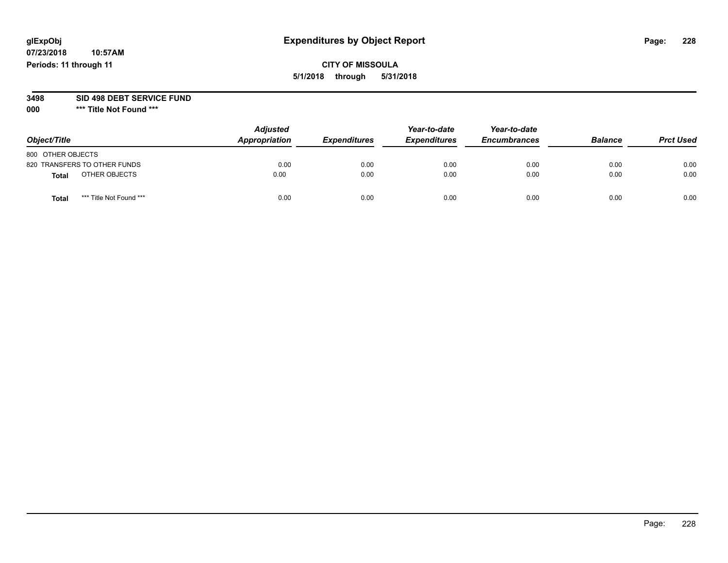## **CITY OF MISSOULA 5/1/2018 through 5/31/2018**

#### **3498 SID 498 DEBT SERVICE FUND**

| Object/Title                 |                         | <b>Adjusted</b><br>Appropriation | <b>Expenditures</b> | Year-to-date<br><b>Expenditures</b> | Year-to-date<br><b>Encumbrances</b> | <b>Balance</b> | <b>Prct Used</b> |
|------------------------------|-------------------------|----------------------------------|---------------------|-------------------------------------|-------------------------------------|----------------|------------------|
| 800 OTHER OBJECTS            |                         |                                  |                     |                                     |                                     |                |                  |
| 820 TRANSFERS TO OTHER FUNDS |                         | 0.00                             | 0.00                | 0.00                                | 0.00                                | 0.00           | 0.00             |
| Total                        | OTHER OBJECTS           | 0.00                             | 0.00                | 0.00                                | 0.00                                | 0.00           | 0.00             |
| Tota                         | *** Title Not Found *** | 0.00                             | 0.00                | 0.00                                | 0.00                                | 0.00           | 0.00             |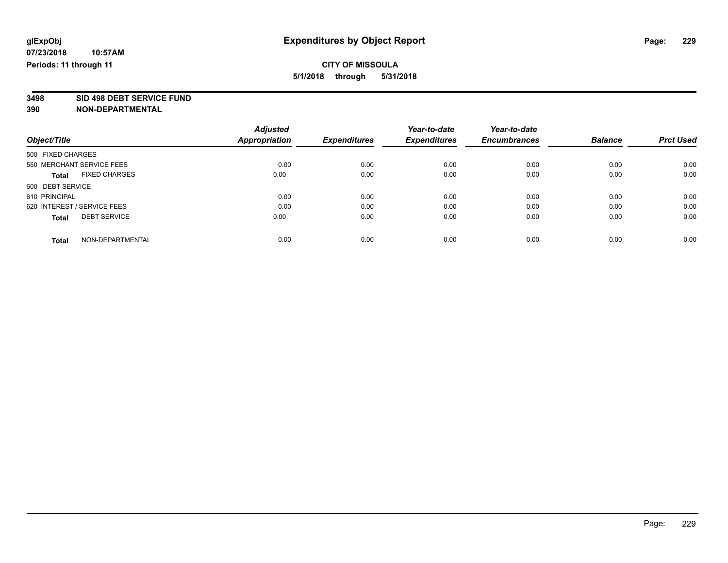**3498 SID 498 DEBT SERVICE FUND**

|                             |                      | <b>Adjusted</b> |                     | Year-to-date        | Year-to-date        |                |                  |
|-----------------------------|----------------------|-----------------|---------------------|---------------------|---------------------|----------------|------------------|
| Object/Title                |                      | Appropriation   | <b>Expenditures</b> | <b>Expenditures</b> | <b>Encumbrances</b> | <b>Balance</b> | <b>Prct Used</b> |
| 500 FIXED CHARGES           |                      |                 |                     |                     |                     |                |                  |
| 550 MERCHANT SERVICE FEES   |                      | 0.00            | 0.00                | 0.00                | 0.00                | 0.00           | 0.00             |
| <b>Total</b>                | <b>FIXED CHARGES</b> | 0.00            | 0.00                | 0.00                | 0.00                | 0.00           | 0.00             |
| 600 DEBT SERVICE            |                      |                 |                     |                     |                     |                |                  |
| 610 PRINCIPAL               |                      | 0.00            | 0.00                | 0.00                | 0.00                | 0.00           | 0.00             |
| 620 INTEREST / SERVICE FEES |                      | 0.00            | 0.00                | 0.00                | 0.00                | 0.00           | 0.00             |
| <b>Total</b>                | <b>DEBT SERVICE</b>  | 0.00            | 0.00                | 0.00                | 0.00                | 0.00           | 0.00             |
| <b>Total</b>                | NON-DEPARTMENTAL     | 0.00            | 0.00                | 0.00                | 0.00                | 0.00           | 0.00             |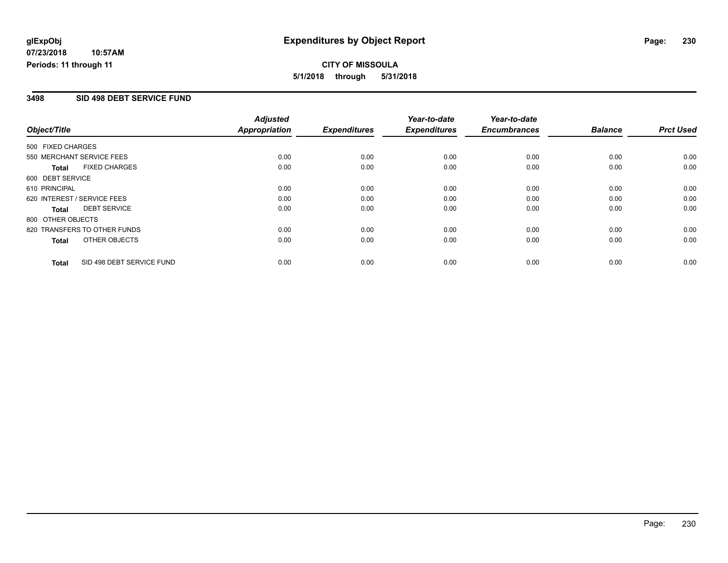#### **3498 SID 498 DEBT SERVICE FUND**

|                             |                              | <b>Adjusted</b>      |                     | Year-to-date        | Year-to-date        |                |                  |
|-----------------------------|------------------------------|----------------------|---------------------|---------------------|---------------------|----------------|------------------|
| Object/Title                |                              | <b>Appropriation</b> | <b>Expenditures</b> | <b>Expenditures</b> | <b>Encumbrances</b> | <b>Balance</b> | <b>Prct Used</b> |
| 500 FIXED CHARGES           |                              |                      |                     |                     |                     |                |                  |
| 550 MERCHANT SERVICE FEES   |                              | 0.00                 | 0.00                | 0.00                | 0.00                | 0.00           | 0.00             |
| <b>Total</b>                | <b>FIXED CHARGES</b>         | 0.00                 | 0.00                | 0.00                | 0.00                | 0.00           | 0.00             |
| 600 DEBT SERVICE            |                              |                      |                     |                     |                     |                |                  |
| 610 PRINCIPAL               |                              | 0.00                 | 0.00                | 0.00                | 0.00                | 0.00           | 0.00             |
| 620 INTEREST / SERVICE FEES |                              | 0.00                 | 0.00                | 0.00                | 0.00                | 0.00           | 0.00             |
| Total                       | <b>DEBT SERVICE</b>          | 0.00                 | 0.00                | 0.00                | 0.00                | 0.00           | 0.00             |
| 800 OTHER OBJECTS           |                              |                      |                     |                     |                     |                |                  |
|                             | 820 TRANSFERS TO OTHER FUNDS | 0.00                 | 0.00                | 0.00                | 0.00                | 0.00           | 0.00             |
| Total                       | OTHER OBJECTS                | 0.00                 | 0.00                | 0.00                | 0.00                | 0.00           | 0.00             |
| <b>Total</b>                | SID 498 DEBT SERVICE FUND    | 0.00                 | 0.00                | 0.00                | 0.00                | 0.00           | 0.00             |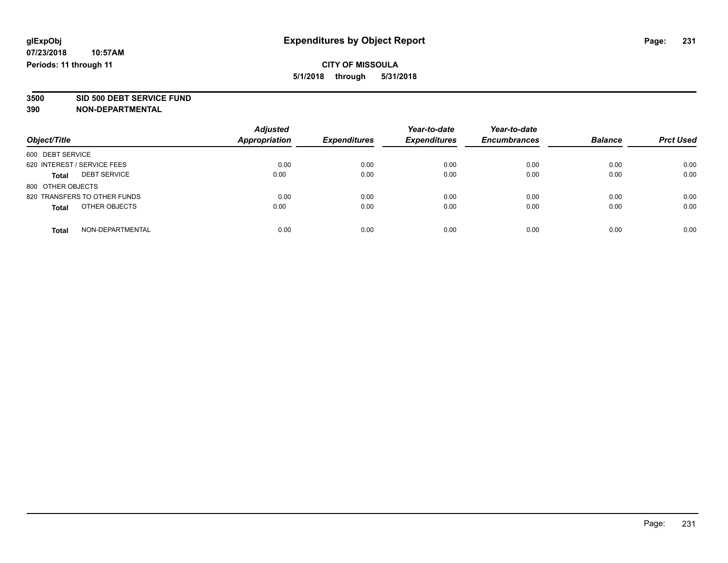**3500 SID 500 DEBT SERVICE FUND**

| Object/Title                        | <b>Adjusted</b><br><b>Appropriation</b> | <b>Expenditures</b> | Year-to-date<br><b>Expenditures</b> | Year-to-date<br><b>Encumbrances</b> | <b>Balance</b> | <b>Prct Used</b> |
|-------------------------------------|-----------------------------------------|---------------------|-------------------------------------|-------------------------------------|----------------|------------------|
|                                     |                                         |                     |                                     |                                     |                |                  |
| 600 DEBT SERVICE                    |                                         |                     |                                     |                                     |                |                  |
| 620 INTEREST / SERVICE FEES         | 0.00                                    | 0.00                | 0.00                                | 0.00                                | 0.00           | 0.00             |
| <b>DEBT SERVICE</b><br><b>Total</b> | 0.00                                    | 0.00                | 0.00                                | 0.00                                | 0.00           | 0.00             |
| 800 OTHER OBJECTS                   |                                         |                     |                                     |                                     |                |                  |
| 820 TRANSFERS TO OTHER FUNDS        | 0.00                                    | 0.00                | 0.00                                | 0.00                                | 0.00           | 0.00             |
| OTHER OBJECTS<br><b>Total</b>       | 0.00                                    | 0.00                | 0.00                                | 0.00                                | 0.00           | 0.00             |
| NON-DEPARTMENTAL<br>Total           | 0.00                                    | 0.00                | 0.00                                | 0.00                                | 0.00           | 0.00             |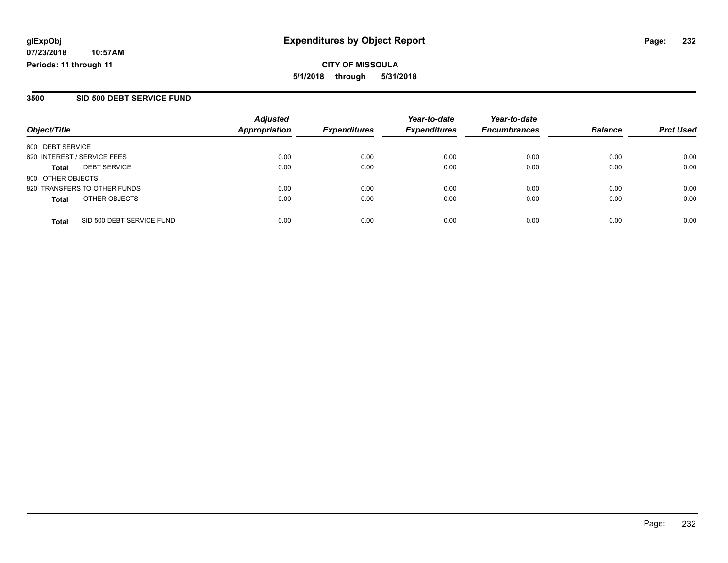**CITY OF MISSOULA 5/1/2018 through 5/31/2018**

### **3500 SID 500 DEBT SERVICE FUND**

| Object/Title                |                              | <b>Adjusted</b><br><b>Appropriation</b> | <b>Expenditures</b> | Year-to-date<br><b>Expenditures</b> | Year-to-date<br><b>Encumbrances</b> | <b>Balance</b> | <b>Prct Used</b> |
|-----------------------------|------------------------------|-----------------------------------------|---------------------|-------------------------------------|-------------------------------------|----------------|------------------|
|                             |                              |                                         |                     |                                     |                                     |                |                  |
| 600 DEBT SERVICE            |                              |                                         |                     |                                     |                                     |                |                  |
| 620 INTEREST / SERVICE FEES |                              | 0.00                                    | 0.00                | 0.00                                | 0.00                                | 0.00           | 0.00             |
| <b>Total</b>                | <b>DEBT SERVICE</b>          | 0.00                                    | 0.00                | 0.00                                | 0.00                                | 0.00           | 0.00             |
| 800 OTHER OBJECTS           |                              |                                         |                     |                                     |                                     |                |                  |
|                             | 820 TRANSFERS TO OTHER FUNDS | 0.00                                    | 0.00                | 0.00                                | 0.00                                | 0.00           | 0.00             |
| <b>Total</b>                | OTHER OBJECTS                | 0.00                                    | 0.00                | 0.00                                | 0.00                                | 0.00           | 0.00             |
| <b>Total</b>                | SID 500 DEBT SERVICE FUND    | 0.00                                    | 0.00                | 0.00                                | 0.00                                | 0.00           | 0.00             |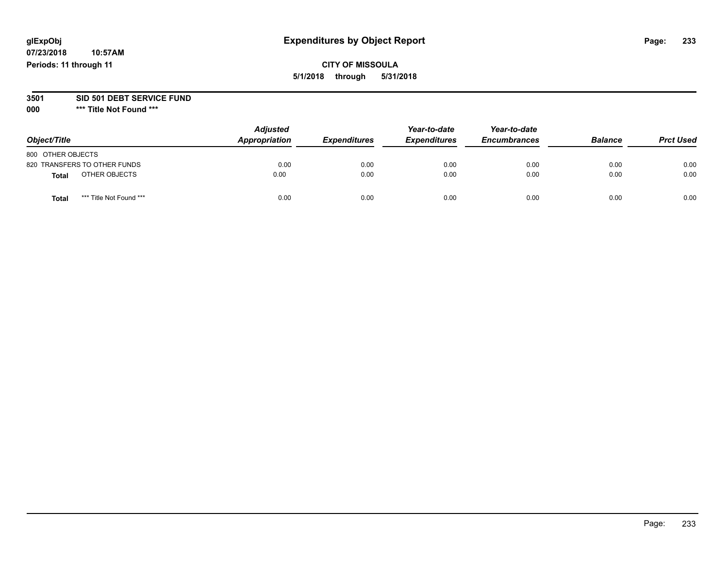## **CITY OF MISSOULA 5/1/2018 through 5/31/2018**

#### **3501 SID 501 DEBT SERVICE FUND**

| Object/Title                            | <b>Adjusted</b><br>Appropriation | <b>Expenditures</b> | Year-to-date<br><b>Expenditures</b> | Year-to-date<br><b>Encumbrances</b> | <b>Balance</b> | <b>Prct Used</b> |
|-----------------------------------------|----------------------------------|---------------------|-------------------------------------|-------------------------------------|----------------|------------------|
| 800 OTHER OBJECTS                       |                                  |                     |                                     |                                     |                |                  |
| 820 TRANSFERS TO OTHER FUNDS            | 0.00                             | 0.00                | 0.00                                | 0.00                                | 0.00           | 0.00             |
| OTHER OBJECTS<br><b>Total</b>           | 0.00                             | 0.00                | 0.00                                | 0.00                                | 0.00           | 0.00             |
| *** Title Not Found ***<br><b>Total</b> | 0.00                             | 0.00                | 0.00                                | 0.00                                | 0.00           | 0.00             |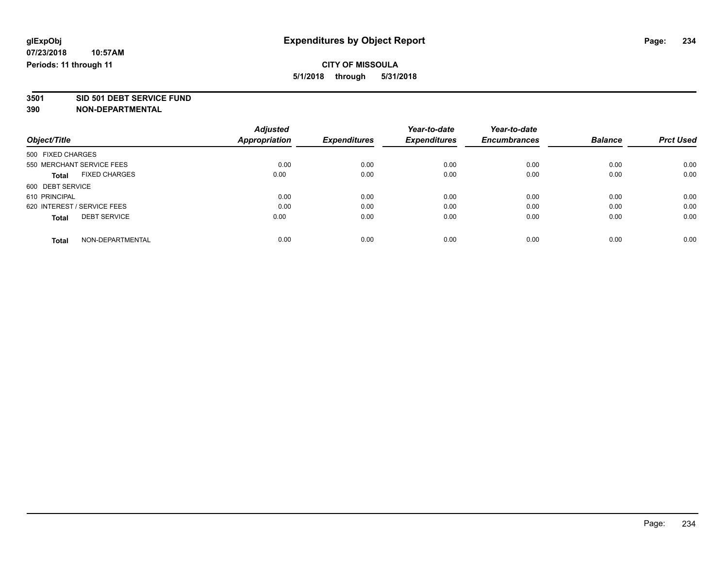# **3501 SID 501 DEBT SERVICE FUND**

|                                      | <b>Adjusted</b>      |                     | Year-to-date        | Year-to-date        |                |                  |
|--------------------------------------|----------------------|---------------------|---------------------|---------------------|----------------|------------------|
| Object/Title                         | <b>Appropriation</b> | <b>Expenditures</b> | <b>Expenditures</b> | <b>Encumbrances</b> | <b>Balance</b> | <b>Prct Used</b> |
| 500 FIXED CHARGES                    |                      |                     |                     |                     |                |                  |
| 550 MERCHANT SERVICE FEES            | 0.00                 | 0.00                | 0.00                | 0.00                | 0.00           | 0.00             |
| <b>FIXED CHARGES</b><br><b>Total</b> | 0.00                 | 0.00                | 0.00                | 0.00                | 0.00           | 0.00             |
| 600 DEBT SERVICE                     |                      |                     |                     |                     |                |                  |
| 610 PRINCIPAL                        | 0.00                 | 0.00                | 0.00                | 0.00                | 0.00           | 0.00             |
| 620 INTEREST / SERVICE FEES          | 0.00                 | 0.00                | 0.00                | 0.00                | 0.00           | 0.00             |
| <b>DEBT SERVICE</b><br><b>Total</b>  | 0.00                 | 0.00                | 0.00                | 0.00                | 0.00           | 0.00             |
| NON-DEPARTMENTAL<br><b>Total</b>     | 0.00                 | 0.00                | 0.00                | 0.00                | 0.00           | 0.00             |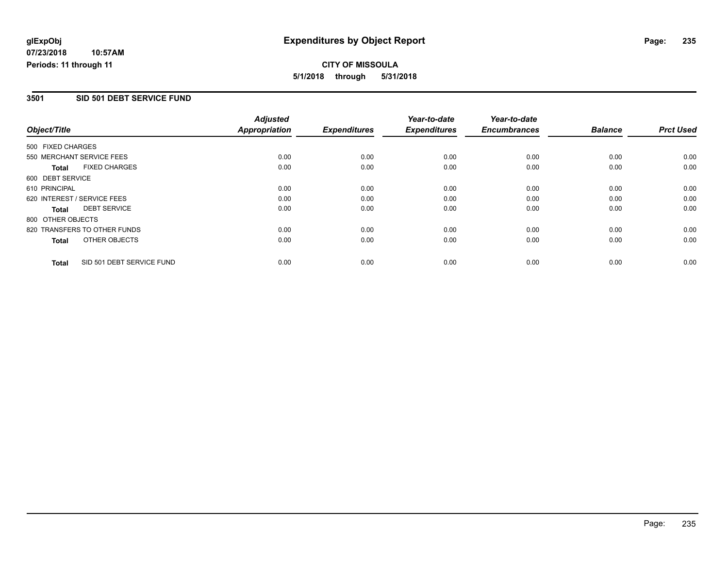### **3501 SID 501 DEBT SERVICE FUND**

|                             |                              | <b>Adjusted</b>      |                     | Year-to-date        | Year-to-date        |                |                  |
|-----------------------------|------------------------------|----------------------|---------------------|---------------------|---------------------|----------------|------------------|
| Object/Title                |                              | <b>Appropriation</b> | <b>Expenditures</b> | <b>Expenditures</b> | <b>Encumbrances</b> | <b>Balance</b> | <b>Prct Used</b> |
| 500 FIXED CHARGES           |                              |                      |                     |                     |                     |                |                  |
| 550 MERCHANT SERVICE FEES   |                              | 0.00                 | 0.00                | 0.00                | 0.00                | 0.00           | 0.00             |
| <b>Total</b>                | <b>FIXED CHARGES</b>         | 0.00                 | 0.00                | 0.00                | 0.00                | 0.00           | 0.00             |
| 600 DEBT SERVICE            |                              |                      |                     |                     |                     |                |                  |
| 610 PRINCIPAL               |                              | 0.00                 | 0.00                | 0.00                | 0.00                | 0.00           | 0.00             |
| 620 INTEREST / SERVICE FEES |                              | 0.00                 | 0.00                | 0.00                | 0.00                | 0.00           | 0.00             |
| Total                       | <b>DEBT SERVICE</b>          | 0.00                 | 0.00                | 0.00                | 0.00                | 0.00           | 0.00             |
| 800 OTHER OBJECTS           |                              |                      |                     |                     |                     |                |                  |
|                             | 820 TRANSFERS TO OTHER FUNDS | 0.00                 | 0.00                | 0.00                | 0.00                | 0.00           | 0.00             |
| Total                       | OTHER OBJECTS                | 0.00                 | 0.00                | 0.00                | 0.00                | 0.00           | 0.00             |
| <b>Total</b>                | SID 501 DEBT SERVICE FUND    | 0.00                 | 0.00                | 0.00                | 0.00                | 0.00           | 0.00             |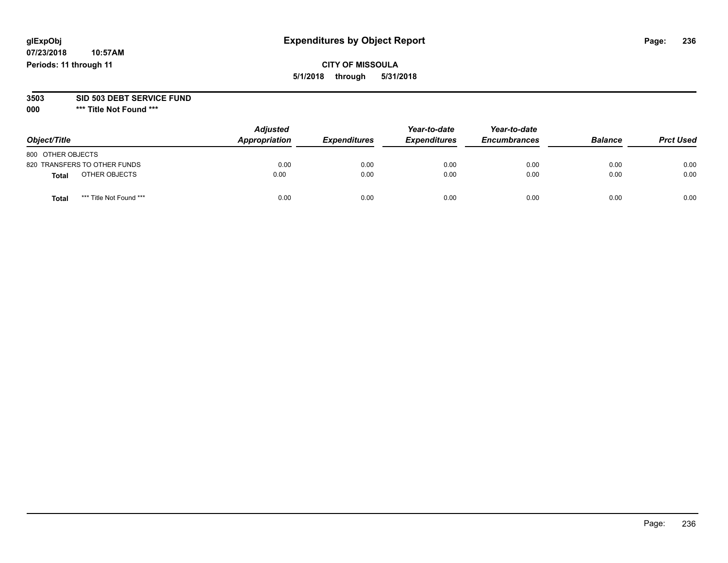## **CITY OF MISSOULA 5/1/2018 through 5/31/2018**

#### **3503 SID 503 DEBT SERVICE FUND**

| Object/Title                 |                         | <b>Adjusted</b><br>Appropriation | <b>Expenditures</b> | Year-to-date<br><b>Expenditures</b> | Year-to-date<br><b>Encumbrances</b> | <b>Balance</b> | <b>Prct Used</b> |
|------------------------------|-------------------------|----------------------------------|---------------------|-------------------------------------|-------------------------------------|----------------|------------------|
| 800 OTHER OBJECTS            |                         |                                  |                     |                                     |                                     |                |                  |
| 820 TRANSFERS TO OTHER FUNDS |                         | 0.00                             | 0.00                | 0.00                                | 0.00                                | 0.00           | 0.00             |
| Total                        | OTHER OBJECTS           | 0.00                             | 0.00                | 0.00                                | 0.00                                | 0.00           | 0.00             |
| Tota                         | *** Title Not Found *** | 0.00                             | 0.00                | 0.00                                | 0.00                                | 0.00           | 0.00             |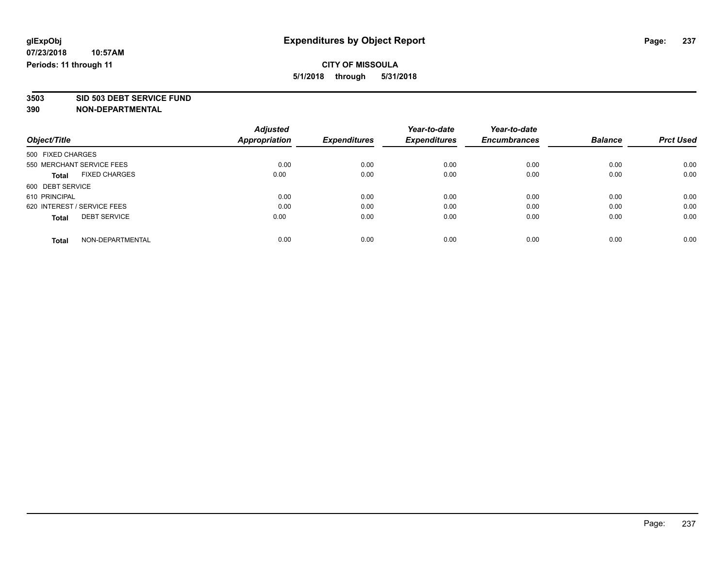# **3503 SID 503 DEBT SERVICE FUND**

|                             |                      | <b>Adjusted</b> |                     | Year-to-date        | Year-to-date        |                |                  |
|-----------------------------|----------------------|-----------------|---------------------|---------------------|---------------------|----------------|------------------|
| Object/Title                |                      | Appropriation   | <b>Expenditures</b> | <b>Expenditures</b> | <b>Encumbrances</b> | <b>Balance</b> | <b>Prct Used</b> |
| 500 FIXED CHARGES           |                      |                 |                     |                     |                     |                |                  |
| 550 MERCHANT SERVICE FEES   |                      | 0.00            | 0.00                | 0.00                | 0.00                | 0.00           | 0.00             |
| <b>Total</b>                | <b>FIXED CHARGES</b> | 0.00            | 0.00                | 0.00                | 0.00                | 0.00           | 0.00             |
| 600 DEBT SERVICE            |                      |                 |                     |                     |                     |                |                  |
| 610 PRINCIPAL               |                      | 0.00            | 0.00                | 0.00                | 0.00                | 0.00           | 0.00             |
| 620 INTEREST / SERVICE FEES |                      | 0.00            | 0.00                | 0.00                | 0.00                | 0.00           | 0.00             |
| <b>Total</b>                | <b>DEBT SERVICE</b>  | 0.00            | 0.00                | 0.00                | 0.00                | 0.00           | 0.00             |
| <b>Total</b>                | NON-DEPARTMENTAL     | 0.00            | 0.00                | 0.00                | 0.00                | 0.00           | 0.00             |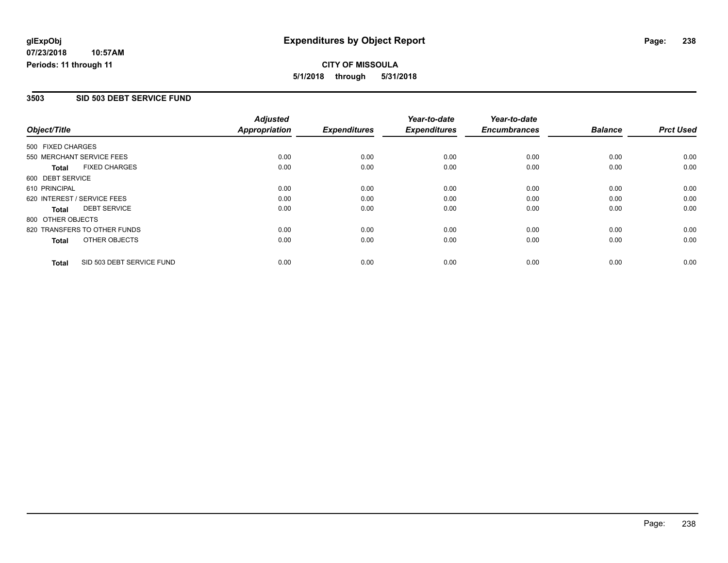### **3503 SID 503 DEBT SERVICE FUND**

|                             |                              | <b>Adjusted</b>      |                     | Year-to-date        | Year-to-date        |                |                  |
|-----------------------------|------------------------------|----------------------|---------------------|---------------------|---------------------|----------------|------------------|
| Object/Title                |                              | <b>Appropriation</b> | <b>Expenditures</b> | <b>Expenditures</b> | <b>Encumbrances</b> | <b>Balance</b> | <b>Prct Used</b> |
| 500 FIXED CHARGES           |                              |                      |                     |                     |                     |                |                  |
| 550 MERCHANT SERVICE FEES   |                              | 0.00                 | 0.00                | 0.00                | 0.00                | 0.00           | 0.00             |
| <b>Total</b>                | <b>FIXED CHARGES</b>         | 0.00                 | 0.00                | 0.00                | 0.00                | 0.00           | 0.00             |
| 600 DEBT SERVICE            |                              |                      |                     |                     |                     |                |                  |
| 610 PRINCIPAL               |                              | 0.00                 | 0.00                | 0.00                | 0.00                | 0.00           | 0.00             |
| 620 INTEREST / SERVICE FEES |                              | 0.00                 | 0.00                | 0.00                | 0.00                | 0.00           | 0.00             |
| Total                       | <b>DEBT SERVICE</b>          | 0.00                 | 0.00                | 0.00                | 0.00                | 0.00           | 0.00             |
| 800 OTHER OBJECTS           |                              |                      |                     |                     |                     |                |                  |
|                             | 820 TRANSFERS TO OTHER FUNDS | 0.00                 | 0.00                | 0.00                | 0.00                | 0.00           | 0.00             |
| Total                       | OTHER OBJECTS                | 0.00                 | 0.00                | 0.00                | 0.00                | 0.00           | 0.00             |
| <b>Total</b>                | SID 503 DEBT SERVICE FUND    | 0.00                 | 0.00                | 0.00                | 0.00                | 0.00           | 0.00             |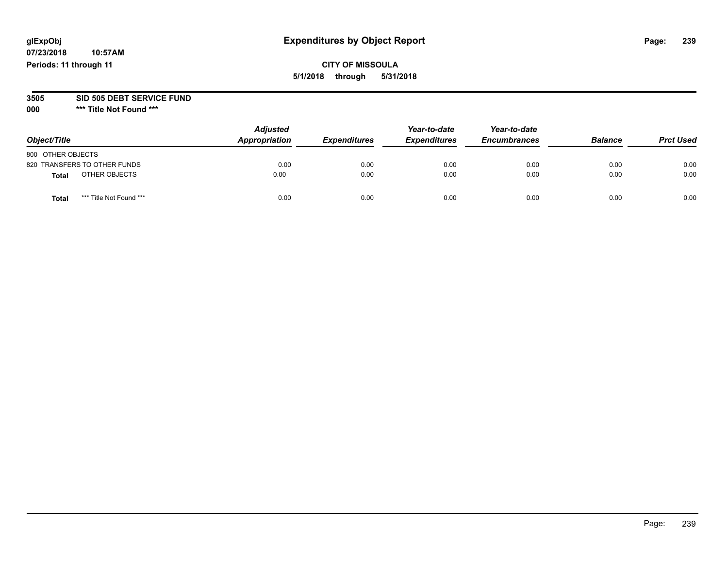## **CITY OF MISSOULA 5/1/2018 through 5/31/2018**

#### **3505 SID 505 DEBT SERVICE FUND**

| Object/Title                    | <b>Adjusted</b><br>Appropriation | <b>Expenditures</b> | Year-to-date<br><b>Expenditures</b> | Year-to-date<br><b>Encumbrances</b> | <b>Balance</b> | <b>Prct Used</b> |
|---------------------------------|----------------------------------|---------------------|-------------------------------------|-------------------------------------|----------------|------------------|
| 800 OTHER OBJECTS               |                                  |                     |                                     |                                     |                |                  |
| 820 TRANSFERS TO OTHER FUNDS    | 0.00                             | 0.00                | 0.00                                | 0.00                                | 0.00           | 0.00             |
| OTHER OBJECTS<br><b>Total</b>   | 0.00                             | 0.00                | 0.00                                | 0.00                                | 0.00           | 0.00             |
| *** Title Not Found ***<br>Tota | 0.00                             | 0.00                | 0.00                                | 0.00                                | 0.00           | 0.00             |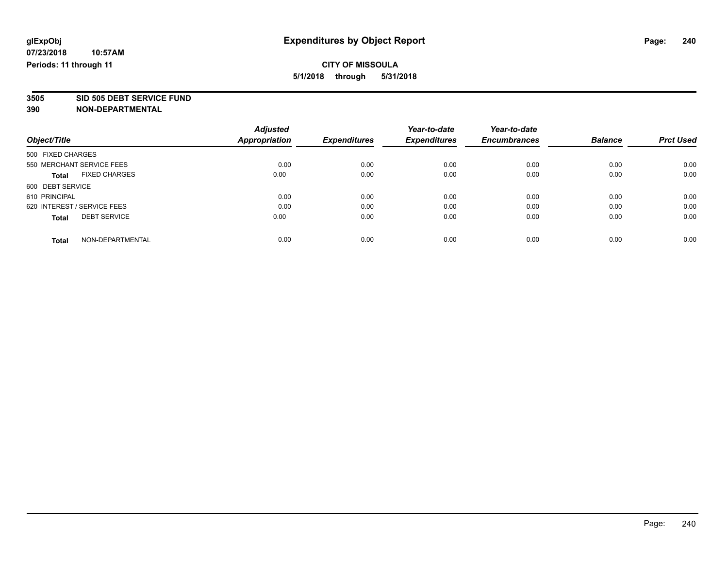**3505 SID 505 DEBT SERVICE FUND**

|                                      | <b>Adjusted</b>      |                     | Year-to-date        | Year-to-date        |                |                  |
|--------------------------------------|----------------------|---------------------|---------------------|---------------------|----------------|------------------|
| Object/Title                         | <b>Appropriation</b> | <b>Expenditures</b> | <b>Expenditures</b> | <b>Encumbrances</b> | <b>Balance</b> | <b>Prct Used</b> |
| 500 FIXED CHARGES                    |                      |                     |                     |                     |                |                  |
| 550 MERCHANT SERVICE FEES            | 0.00                 | 0.00                | 0.00                | 0.00                | 0.00           | 0.00             |
| <b>FIXED CHARGES</b><br><b>Total</b> | 0.00                 | 0.00                | 0.00                | 0.00                | 0.00           | 0.00             |
| 600 DEBT SERVICE                     |                      |                     |                     |                     |                |                  |
| 610 PRINCIPAL                        | 0.00                 | 0.00                | 0.00                | 0.00                | 0.00           | 0.00             |
| 620 INTEREST / SERVICE FEES          | 0.00                 | 0.00                | 0.00                | 0.00                | 0.00           | 0.00             |
| <b>DEBT SERVICE</b><br><b>Total</b>  | 0.00                 | 0.00                | 0.00                | 0.00                | 0.00           | 0.00             |
| NON-DEPARTMENTAL<br><b>Total</b>     | 0.00                 | 0.00                | 0.00                | 0.00                | 0.00           | 0.00             |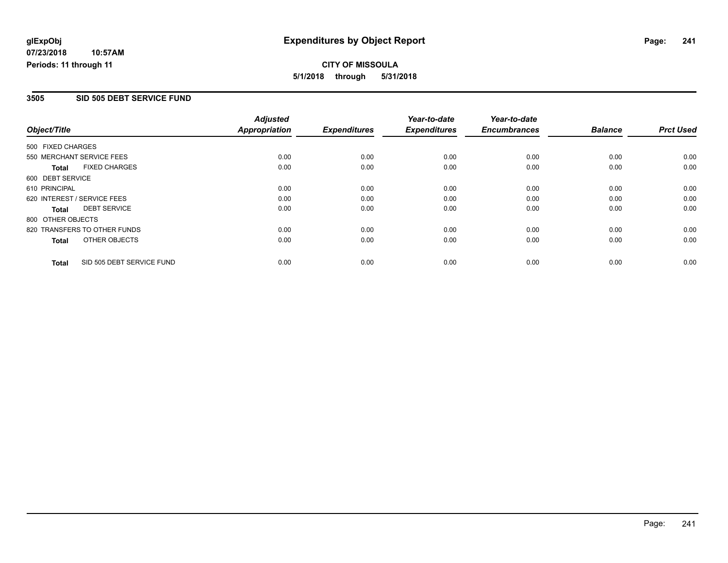### **3505 SID 505 DEBT SERVICE FUND**

|                             |                              | <b>Adjusted</b>      |                     | Year-to-date        | Year-to-date        |                |                  |
|-----------------------------|------------------------------|----------------------|---------------------|---------------------|---------------------|----------------|------------------|
| Object/Title                |                              | <b>Appropriation</b> | <b>Expenditures</b> | <b>Expenditures</b> | <b>Encumbrances</b> | <b>Balance</b> | <b>Prct Used</b> |
| 500 FIXED CHARGES           |                              |                      |                     |                     |                     |                |                  |
| 550 MERCHANT SERVICE FEES   |                              | 0.00                 | 0.00                | 0.00                | 0.00                | 0.00           | 0.00             |
| <b>Total</b>                | <b>FIXED CHARGES</b>         | 0.00                 | 0.00                | 0.00                | 0.00                | 0.00           | 0.00             |
| 600 DEBT SERVICE            |                              |                      |                     |                     |                     |                |                  |
| 610 PRINCIPAL               |                              | 0.00                 | 0.00                | 0.00                | 0.00                | 0.00           | 0.00             |
| 620 INTEREST / SERVICE FEES |                              | 0.00                 | 0.00                | 0.00                | 0.00                | 0.00           | 0.00             |
| Total                       | <b>DEBT SERVICE</b>          | 0.00                 | 0.00                | 0.00                | 0.00                | 0.00           | 0.00             |
| 800 OTHER OBJECTS           |                              |                      |                     |                     |                     |                |                  |
|                             | 820 TRANSFERS TO OTHER FUNDS | 0.00                 | 0.00                | 0.00                | 0.00                | 0.00           | 0.00             |
| Total                       | OTHER OBJECTS                | 0.00                 | 0.00                | 0.00                | 0.00                | 0.00           | 0.00             |
| <b>Total</b>                | SID 505 DEBT SERVICE FUND    | 0.00                 | 0.00                | 0.00                | 0.00                | 0.00           | 0.00             |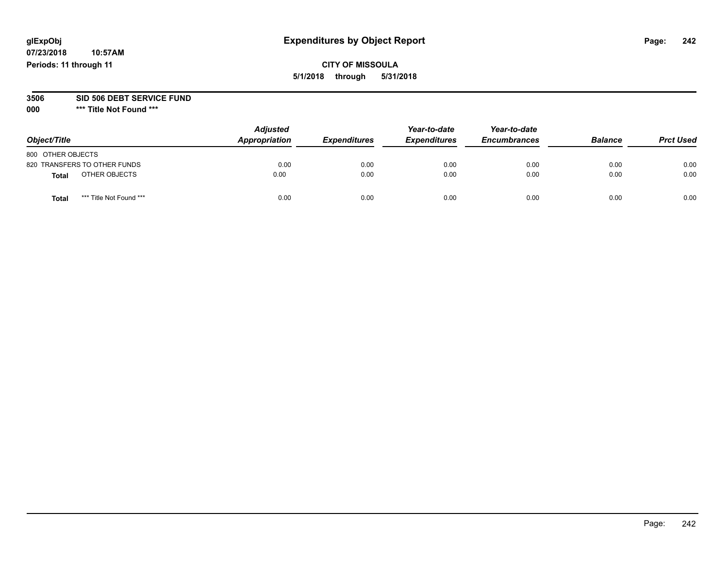## **CITY OF MISSOULA 5/1/2018 through 5/31/2018**

#### **3506 SID 506 DEBT SERVICE FUND**

| Object/Title                            | <b>Adjusted</b><br>Appropriation | <b>Expenditures</b> | Year-to-date<br><b>Expenditures</b> | Year-to-date<br><b>Encumbrances</b> | <b>Balance</b> | <b>Prct Used</b> |
|-----------------------------------------|----------------------------------|---------------------|-------------------------------------|-------------------------------------|----------------|------------------|
| 800 OTHER OBJECTS                       |                                  |                     |                                     |                                     |                |                  |
| 820 TRANSFERS TO OTHER FUNDS            | 0.00                             | 0.00                | 0.00                                | 0.00                                | 0.00           | 0.00             |
| OTHER OBJECTS<br>Total                  | 0.00                             | 0.00                | 0.00                                | 0.00                                | 0.00           | 0.00             |
| *** Title Not Found ***<br><b>Total</b> | 0.00                             | 0.00                | 0.00                                | 0.00                                | 0.00           | 0.00             |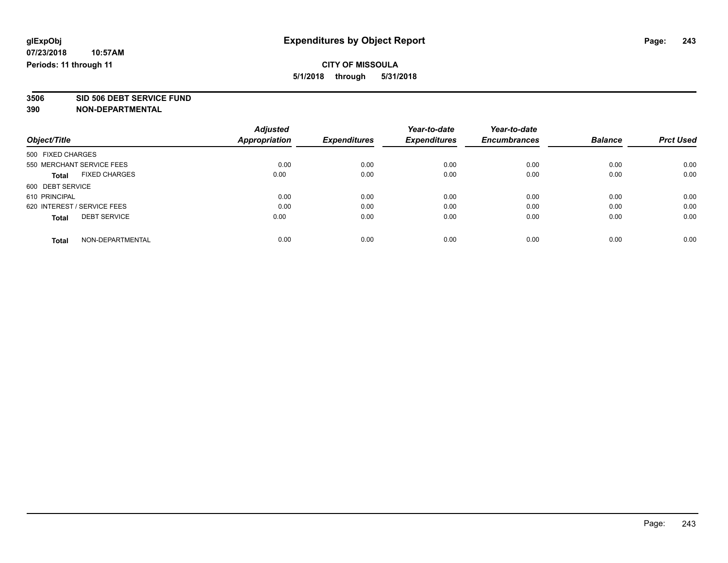**3506 SID 506 DEBT SERVICE FUND**

|                                      | <b>Adjusted</b>      |                     | Year-to-date        | Year-to-date        |                |                  |
|--------------------------------------|----------------------|---------------------|---------------------|---------------------|----------------|------------------|
| Object/Title                         | <b>Appropriation</b> | <b>Expenditures</b> | <b>Expenditures</b> | <b>Encumbrances</b> | <b>Balance</b> | <b>Prct Used</b> |
| 500 FIXED CHARGES                    |                      |                     |                     |                     |                |                  |
| 550 MERCHANT SERVICE FEES            | 0.00                 | 0.00                | 0.00                | 0.00                | 0.00           | 0.00             |
| <b>FIXED CHARGES</b><br><b>Total</b> | 0.00                 | 0.00                | 0.00                | 0.00                | 0.00           | 0.00             |
| 600 DEBT SERVICE                     |                      |                     |                     |                     |                |                  |
| 610 PRINCIPAL                        | 0.00                 | 0.00                | 0.00                | 0.00                | 0.00           | 0.00             |
| 620 INTEREST / SERVICE FEES          | 0.00                 | 0.00                | 0.00                | 0.00                | 0.00           | 0.00             |
| <b>DEBT SERVICE</b><br><b>Total</b>  | 0.00                 | 0.00                | 0.00                | 0.00                | 0.00           | 0.00             |
| NON-DEPARTMENTAL<br><b>Total</b>     | 0.00                 | 0.00                | 0.00                | 0.00                | 0.00           | 0.00             |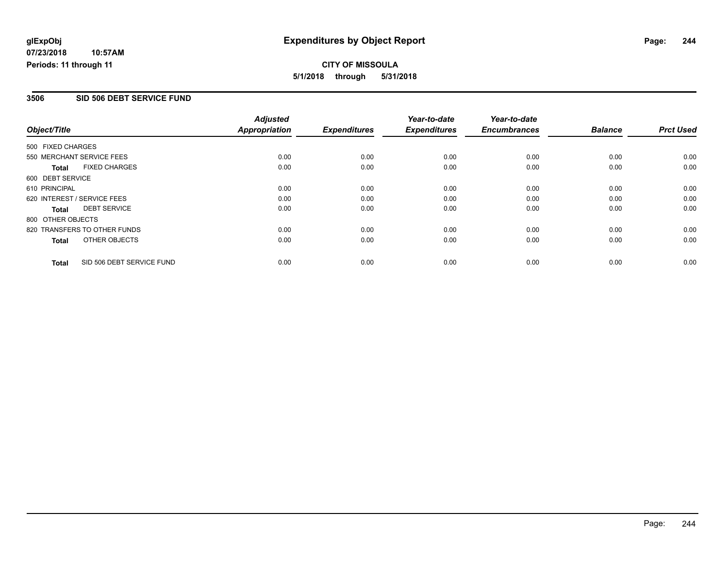### **3506 SID 506 DEBT SERVICE FUND**

|                   |                              | <b>Adjusted</b>      |                     | Year-to-date        | Year-to-date        |                |                  |
|-------------------|------------------------------|----------------------|---------------------|---------------------|---------------------|----------------|------------------|
| Object/Title      |                              | <b>Appropriation</b> | <b>Expenditures</b> | <b>Expenditures</b> | <b>Encumbrances</b> | <b>Balance</b> | <b>Prct Used</b> |
| 500 FIXED CHARGES |                              |                      |                     |                     |                     |                |                  |
|                   | 550 MERCHANT SERVICE FEES    | 0.00                 | 0.00                | 0.00                | 0.00                | 0.00           | 0.00             |
| <b>Total</b>      | <b>FIXED CHARGES</b>         | 0.00                 | 0.00                | 0.00                | 0.00                | 0.00           | 0.00             |
| 600 DEBT SERVICE  |                              |                      |                     |                     |                     |                |                  |
| 610 PRINCIPAL     |                              | 0.00                 | 0.00                | 0.00                | 0.00                | 0.00           | 0.00             |
|                   | 620 INTEREST / SERVICE FEES  | 0.00                 | 0.00                | 0.00                | 0.00                | 0.00           | 0.00             |
| Total             | <b>DEBT SERVICE</b>          | 0.00                 | 0.00                | 0.00                | 0.00                | 0.00           | 0.00             |
| 800 OTHER OBJECTS |                              |                      |                     |                     |                     |                |                  |
|                   | 820 TRANSFERS TO OTHER FUNDS | 0.00                 | 0.00                | 0.00                | 0.00                | 0.00           | 0.00             |
| Total             | OTHER OBJECTS                | 0.00                 | 0.00                | 0.00                | 0.00                | 0.00           | 0.00             |
| <b>Total</b>      | SID 506 DEBT SERVICE FUND    | 0.00                 | 0.00                | 0.00                | 0.00                | 0.00           | 0.00             |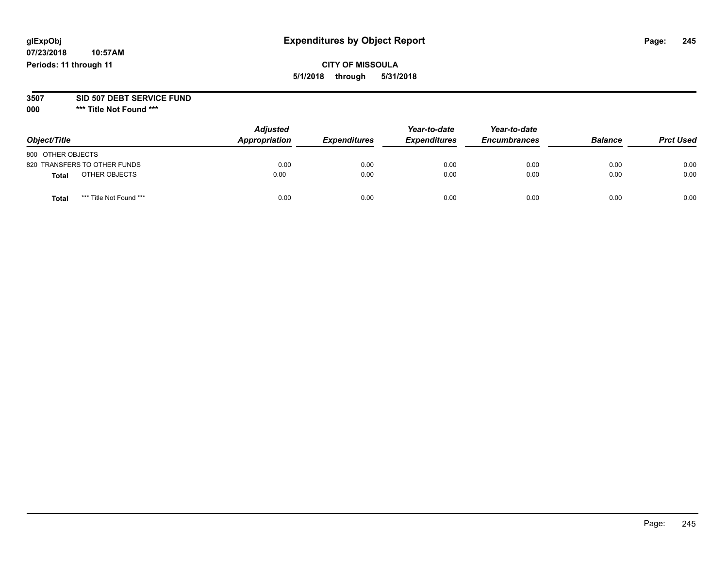## **CITY OF MISSOULA 5/1/2018 through 5/31/2018**

#### **3507 SID 507 DEBT SERVICE FUND**

| Object/Title                     | <b>Adjusted</b><br>Appropriation | <b>Expenditures</b> | Year-to-date<br><b>Expenditures</b> | Year-to-date<br><b>Encumbrances</b> | <b>Balance</b> | <b>Prct Used</b> |
|----------------------------------|----------------------------------|---------------------|-------------------------------------|-------------------------------------|----------------|------------------|
| 800 OTHER OBJECTS                |                                  |                     |                                     |                                     |                |                  |
| 820 TRANSFERS TO OTHER FUNDS     | 0.00                             | 0.00                | 0.00                                | 0.00                                | 0.00           | 0.00             |
| OTHER OBJECTS<br><b>Total</b>    | 0.00                             | 0.00                | 0.00                                | 0.00                                | 0.00           | 0.00             |
| *** Title Not Found ***<br>Total | 0.00                             | 0.00                | 0.00                                | 0.00                                | 0.00           | 0.00             |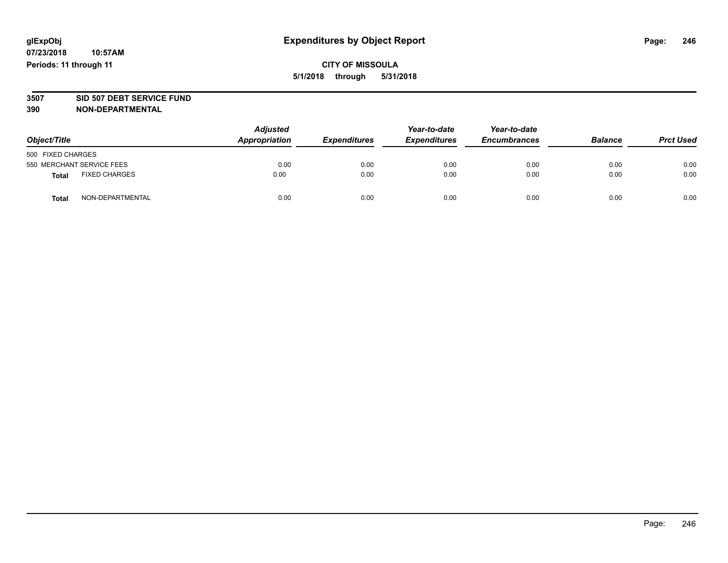# **3507 SID 507 DEBT SERVICE FUND**

| Object/Title                         |                  | <b>Adjusted</b><br>Appropriation | <b>Expenditures</b> | Year-to-date<br><b>Expenditures</b> | Year-to-date<br><b>Encumbrances</b> | <b>Balance</b> | <b>Prct Used</b> |
|--------------------------------------|------------------|----------------------------------|---------------------|-------------------------------------|-------------------------------------|----------------|------------------|
| 500 FIXED CHARGES                    |                  |                                  |                     |                                     |                                     |                |                  |
| 550 MERCHANT SERVICE FEES            |                  | 0.00                             | 0.00                | 0.00                                | 0.00                                | 0.00           | 0.00             |
| <b>FIXED CHARGES</b><br><b>Total</b> |                  | 0.00                             | 0.00                | 0.00                                | 0.00                                | 0.00           | 0.00             |
| <b>Total</b>                         | NON-DEPARTMENTAL | 0.00                             | 0.00                | 0.00                                | 0.00                                | 0.00           | 0.00             |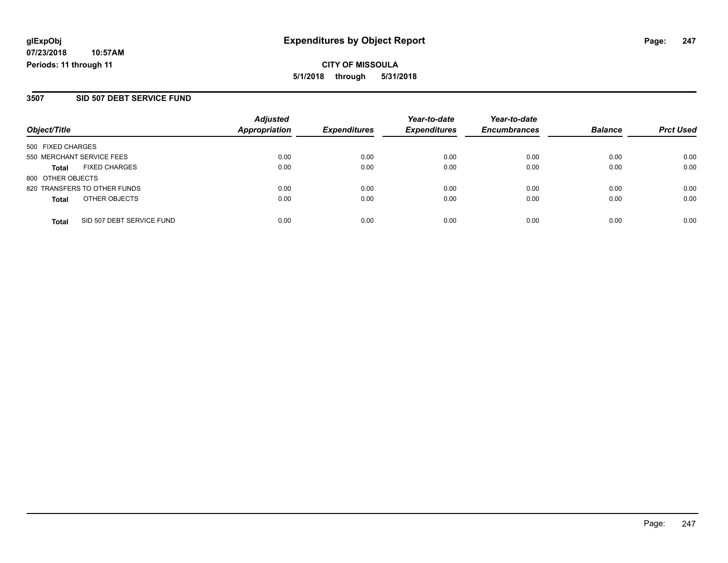**CITY OF MISSOULA 5/1/2018 through 5/31/2018**

### **3507 SID 507 DEBT SERVICE FUND**

|                           |                              | <b>Adjusted</b>      |                     | Year-to-date        | Year-to-date        |                |                  |
|---------------------------|------------------------------|----------------------|---------------------|---------------------|---------------------|----------------|------------------|
| Object/Title              |                              | <b>Appropriation</b> | <b>Expenditures</b> | <b>Expenditures</b> | <b>Encumbrances</b> | <b>Balance</b> | <b>Prct Used</b> |
| 500 FIXED CHARGES         |                              |                      |                     |                     |                     |                |                  |
| 550 MERCHANT SERVICE FEES |                              | 0.00                 | 0.00                | 0.00                | 0.00                | 0.00           | 0.00             |
| <b>Total</b>              | <b>FIXED CHARGES</b>         | 0.00                 | 0.00                | 0.00                | 0.00                | 0.00           | 0.00             |
| 800 OTHER OBJECTS         |                              |                      |                     |                     |                     |                |                  |
|                           | 820 TRANSFERS TO OTHER FUNDS | 0.00                 | 0.00                | 0.00                | 0.00                | 0.00           | 0.00             |
| <b>Total</b>              | OTHER OBJECTS                | 0.00                 | 0.00                | 0.00                | 0.00                | 0.00           | 0.00             |
| <b>Total</b>              | SID 507 DEBT SERVICE FUND    | 0.00                 | 0.00                | 0.00                | 0.00                | 0.00           | 0.00             |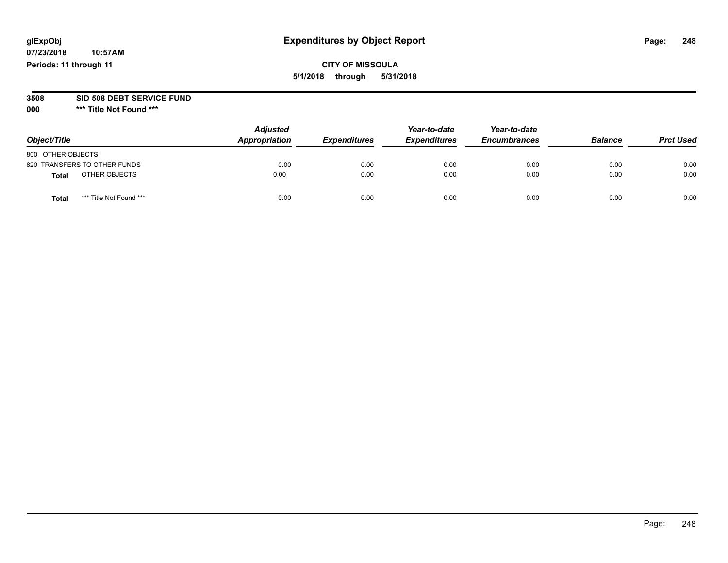## **CITY OF MISSOULA 5/1/2018 through 5/31/2018**

#### **3508 SID 508 DEBT SERVICE FUND**

| Object/Title                            | <b>Adjusted</b><br>Appropriation | <b>Expenditures</b> | Year-to-date<br><b>Expenditures</b> | Year-to-date<br><b>Encumbrances</b> | <b>Balance</b> | <b>Prct Used</b> |
|-----------------------------------------|----------------------------------|---------------------|-------------------------------------|-------------------------------------|----------------|------------------|
| 800 OTHER OBJECTS                       |                                  |                     |                                     |                                     |                |                  |
| 820 TRANSFERS TO OTHER FUNDS            | 0.00                             | 0.00                | 0.00                                | 0.00                                | 0.00           | 0.00             |
| OTHER OBJECTS<br>Total                  | 0.00                             | 0.00                | 0.00                                | 0.00                                | 0.00           | 0.00             |
| *** Title Not Found ***<br><b>Total</b> | 0.00                             | 0.00                | 0.00                                | 0.00                                | 0.00           | 0.00             |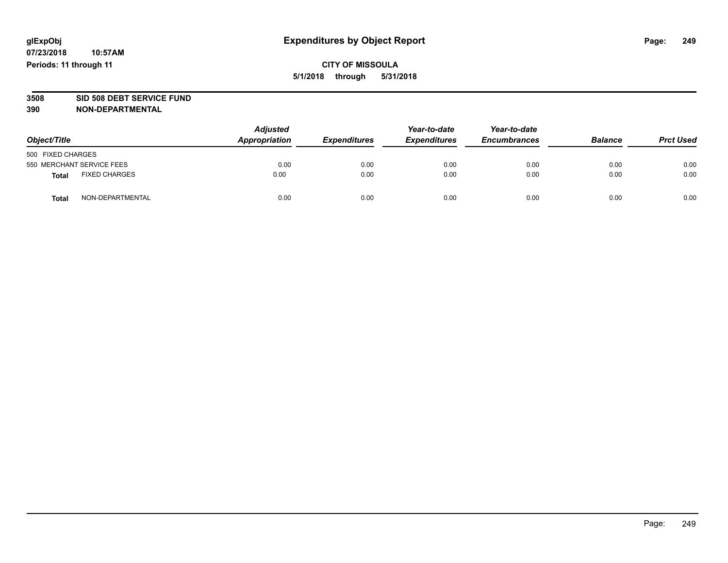# **3508 SID 508 DEBT SERVICE FUND**

| Object/Title                         |                  | <b>Adjusted</b><br>Appropriation | <b>Expenditures</b> | Year-to-date<br><b>Expenditures</b> | Year-to-date<br><b>Encumbrances</b> | <b>Balance</b> | <b>Prct Used</b> |
|--------------------------------------|------------------|----------------------------------|---------------------|-------------------------------------|-------------------------------------|----------------|------------------|
| 500 FIXED CHARGES                    |                  |                                  |                     |                                     |                                     |                |                  |
| 550 MERCHANT SERVICE FEES            |                  | 0.00                             | 0.00                | 0.00                                | 0.00                                | 0.00           | 0.00             |
| <b>FIXED CHARGES</b><br><b>Total</b> |                  | 0.00                             | 0.00                | 0.00                                | 0.00                                | 0.00           | 0.00             |
| <b>Total</b>                         | NON-DEPARTMENTAL | 0.00                             | 0.00                | 0.00                                | 0.00                                | 0.00           | 0.00             |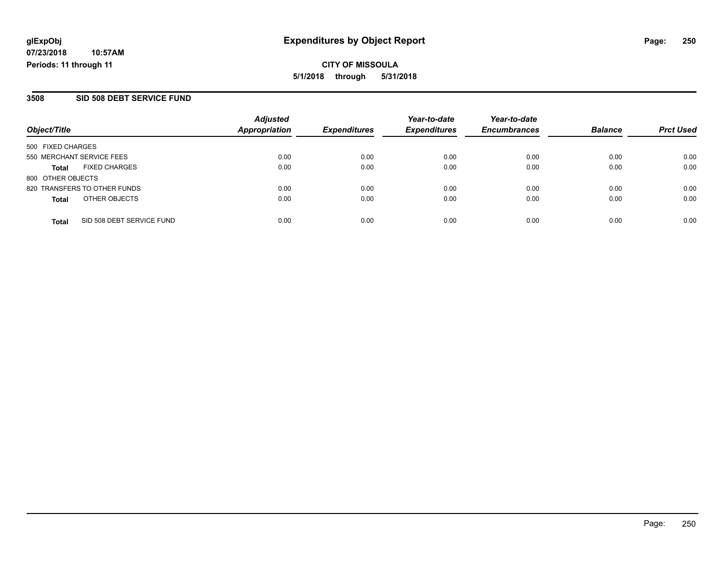**CITY OF MISSOULA 5/1/2018 through 5/31/2018**

#### **3508 SID 508 DEBT SERVICE FUND**

|                                           | <b>Adjusted</b>      |                     | Year-to-date        | Year-to-date        |                |                  |
|-------------------------------------------|----------------------|---------------------|---------------------|---------------------|----------------|------------------|
| Object/Title                              | <b>Appropriation</b> | <b>Expenditures</b> | <b>Expenditures</b> | <b>Encumbrances</b> | <b>Balance</b> | <b>Prct Used</b> |
| 500 FIXED CHARGES                         |                      |                     |                     |                     |                |                  |
| 550 MERCHANT SERVICE FEES                 | 0.00                 | 0.00                | 0.00                | 0.00                | 0.00           | 0.00             |
| <b>FIXED CHARGES</b><br><b>Total</b>      | 0.00                 | 0.00                | 0.00                | 0.00                | 0.00           | 0.00             |
| 800 OTHER OBJECTS                         |                      |                     |                     |                     |                |                  |
| 820 TRANSFERS TO OTHER FUNDS              | 0.00                 | 0.00                | 0.00                | 0.00                | 0.00           | 0.00             |
| OTHER OBJECTS<br><b>Total</b>             | 0.00                 | 0.00                | 0.00                | 0.00                | 0.00           | 0.00             |
| SID 508 DEBT SERVICE FUND<br><b>Total</b> | 0.00                 | 0.00                | 0.00                | 0.00                | 0.00           | 0.00             |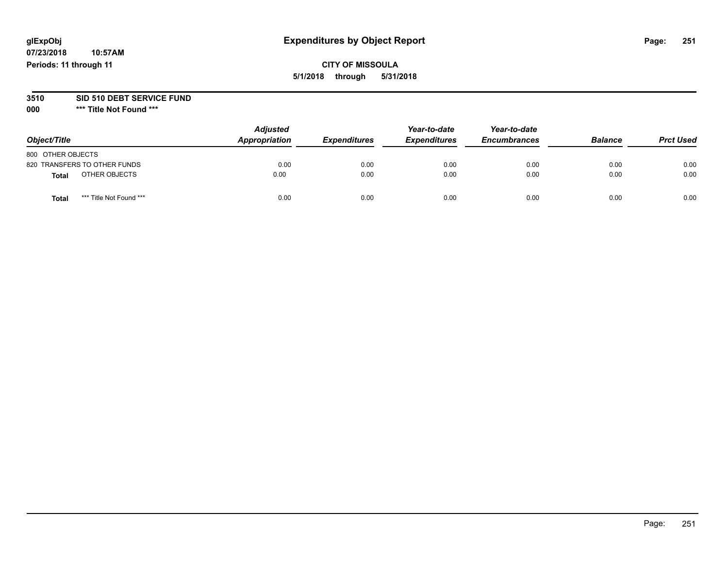## **CITY OF MISSOULA 5/1/2018 through 5/31/2018**

# **3510 SID 510 DEBT SERVICE FUND**

| Object/Title                            | <b>Adjusted</b><br>Appropriation | <b>Expenditures</b> | Year-to-date<br><b>Expenditures</b> | Year-to-date<br><b>Encumbrances</b> | <b>Balance</b> | <b>Prct Used</b> |
|-----------------------------------------|----------------------------------|---------------------|-------------------------------------|-------------------------------------|----------------|------------------|
| 800 OTHER OBJECTS                       |                                  |                     |                                     |                                     |                |                  |
| 820 TRANSFERS TO OTHER FUNDS            | 0.00                             | 0.00                | 0.00                                | 0.00                                | 0.00           | 0.00             |
| OTHER OBJECTS<br><b>Total</b>           | 0.00                             | 0.00                | 0.00                                | 0.00                                | 0.00           | 0.00             |
| *** Title Not Found ***<br><b>Total</b> | 0.00                             | 0.00                | 0.00                                | 0.00                                | 0.00           | 0.00             |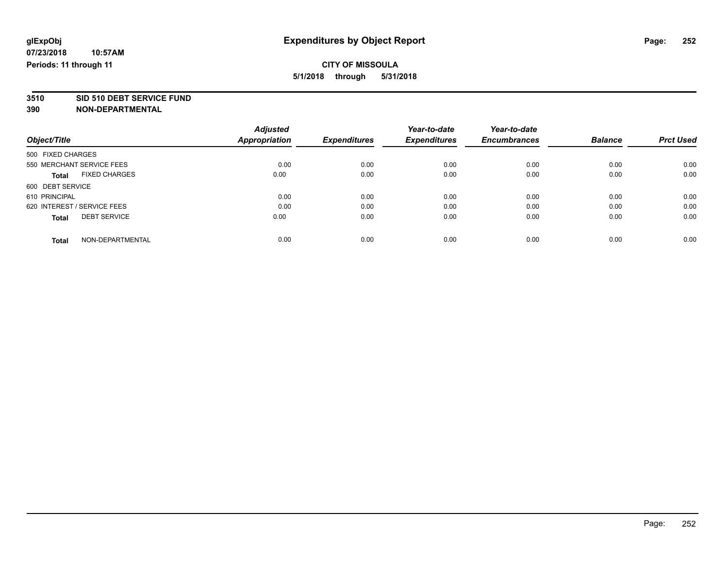# **3510 SID 510 DEBT SERVICE FUND**

|                                      | <b>Adjusted</b>      |                     | Year-to-date        | Year-to-date        |                |                  |
|--------------------------------------|----------------------|---------------------|---------------------|---------------------|----------------|------------------|
| Object/Title                         | <b>Appropriation</b> | <b>Expenditures</b> | <b>Expenditures</b> | <b>Encumbrances</b> | <b>Balance</b> | <b>Prct Used</b> |
| 500 FIXED CHARGES                    |                      |                     |                     |                     |                |                  |
| 550 MERCHANT SERVICE FEES            | 0.00                 | 0.00                | 0.00                | 0.00                | 0.00           | 0.00             |
| <b>FIXED CHARGES</b><br><b>Total</b> | 0.00                 | 0.00                | 0.00                | 0.00                | 0.00           | 0.00             |
| 600 DEBT SERVICE                     |                      |                     |                     |                     |                |                  |
| 610 PRINCIPAL                        | 0.00                 | 0.00                | 0.00                | 0.00                | 0.00           | 0.00             |
| 620 INTEREST / SERVICE FEES          | 0.00                 | 0.00                | 0.00                | 0.00                | 0.00           | 0.00             |
| <b>DEBT SERVICE</b><br><b>Total</b>  | 0.00                 | 0.00                | 0.00                | 0.00                | 0.00           | 0.00             |
| NON-DEPARTMENTAL<br>Total            | 0.00                 | 0.00                | 0.00                | 0.00                | 0.00           | 0.00             |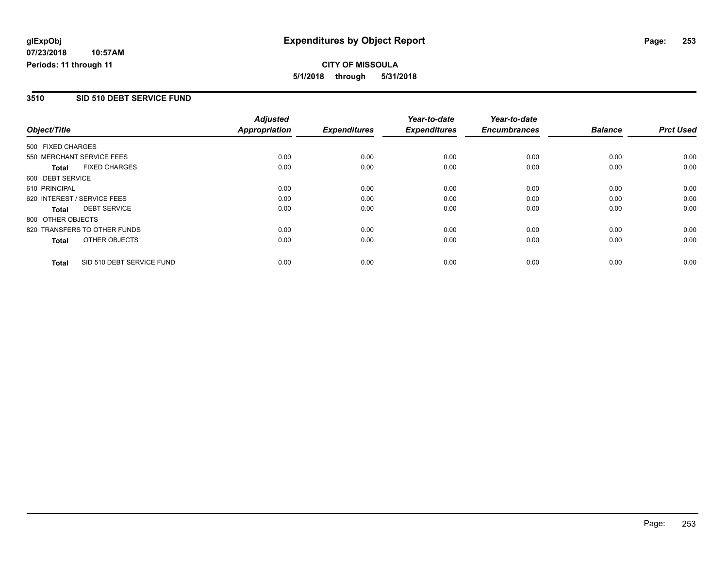### **3510 SID 510 DEBT SERVICE FUND**

|                                           | <b>Adjusted</b>      |                     | Year-to-date        | Year-to-date        |                |                  |
|-------------------------------------------|----------------------|---------------------|---------------------|---------------------|----------------|------------------|
| Object/Title                              | <b>Appropriation</b> | <b>Expenditures</b> | <b>Expenditures</b> | <b>Encumbrances</b> | <b>Balance</b> | <b>Prct Used</b> |
| 500 FIXED CHARGES                         |                      |                     |                     |                     |                |                  |
| 550 MERCHANT SERVICE FEES                 | 0.00                 | 0.00                | 0.00                | 0.00                | 0.00           | 0.00             |
| <b>FIXED CHARGES</b><br><b>Total</b>      | 0.00                 | 0.00                | 0.00                | 0.00                | 0.00           | 0.00             |
| 600 DEBT SERVICE                          |                      |                     |                     |                     |                |                  |
| 610 PRINCIPAL                             | 0.00                 | 0.00                | 0.00                | 0.00                | 0.00           | 0.00             |
| 620 INTEREST / SERVICE FEES               | 0.00                 | 0.00                | 0.00                | 0.00                | 0.00           | 0.00             |
| <b>DEBT SERVICE</b><br>Total              | 0.00                 | 0.00                | 0.00                | 0.00                | 0.00           | 0.00             |
| 800 OTHER OBJECTS                         |                      |                     |                     |                     |                |                  |
| 820 TRANSFERS TO OTHER FUNDS              | 0.00                 | 0.00                | 0.00                | 0.00                | 0.00           | 0.00             |
| OTHER OBJECTS<br><b>Total</b>             | 0.00                 | 0.00                | 0.00                | 0.00                | 0.00           | 0.00             |
| SID 510 DEBT SERVICE FUND<br><b>Total</b> | 0.00                 | 0.00                | 0.00                | 0.00                | 0.00           | 0.00             |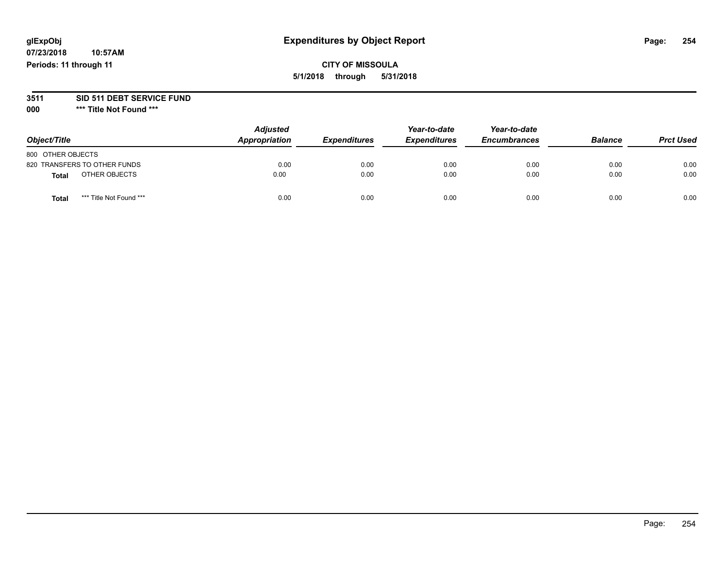#### **07/23/2018 10:57AM Periods: 11 through 11**

## **CITY OF MISSOULA 5/1/2018 through 5/31/2018**

# **3511 SID 511 DEBT SERVICE FUND**

**000 \*\*\* Title Not Found \*\*\***

| Object/Title                            | <b>Adjusted</b><br>Appropriation | <b>Expenditures</b> | Year-to-date<br><b>Expenditures</b> | Year-to-date<br><b>Encumbrances</b> | <b>Balance</b> | <b>Prct Used</b> |
|-----------------------------------------|----------------------------------|---------------------|-------------------------------------|-------------------------------------|----------------|------------------|
| 800 OTHER OBJECTS                       |                                  |                     |                                     |                                     |                |                  |
| 820 TRANSFERS TO OTHER FUNDS            | 0.00                             | 0.00                | 0.00                                | 0.00                                | 0.00           | 0.00             |
| OTHER OBJECTS<br>Total                  | 0.00                             | 0.00                | 0.00                                | 0.00                                | 0.00           | 0.00             |
| *** Title Not Found ***<br><b>Total</b> | 0.00                             | 0.00                | 0.00                                | 0.00                                | 0.00           | 0.00             |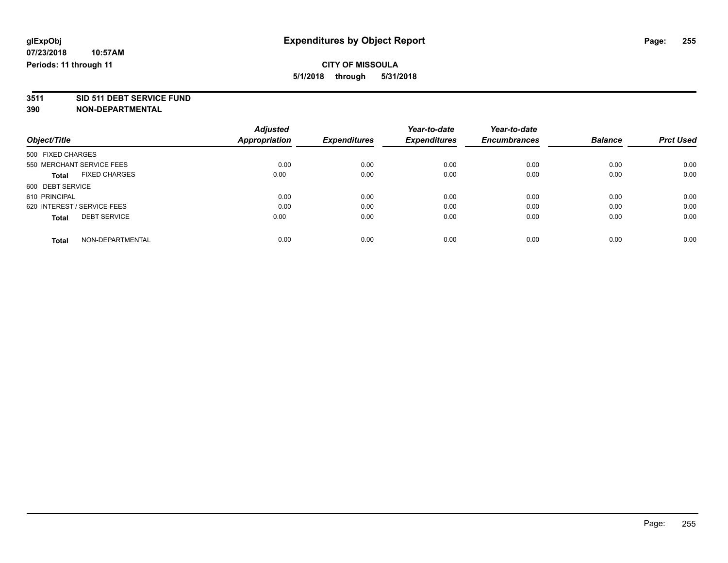# **3511 SID 511 DEBT SERVICE FUND**

|                                      | <b>Adjusted</b> |                     | Year-to-date        | Year-to-date        |                |                  |
|--------------------------------------|-----------------|---------------------|---------------------|---------------------|----------------|------------------|
| Object/Title                         | Appropriation   | <b>Expenditures</b> | <b>Expenditures</b> | <b>Encumbrances</b> | <b>Balance</b> | <b>Prct Used</b> |
| 500 FIXED CHARGES                    |                 |                     |                     |                     |                |                  |
| 550 MERCHANT SERVICE FEES            | 0.00            | 0.00                | 0.00                | 0.00                | 0.00           | 0.00             |
| <b>FIXED CHARGES</b><br><b>Total</b> | 0.00            | 0.00                | 0.00                | 0.00                | 0.00           | 0.00             |
| 600 DEBT SERVICE                     |                 |                     |                     |                     |                |                  |
| 610 PRINCIPAL                        | 0.00            | 0.00                | 0.00                | 0.00                | 0.00           | 0.00             |
| 620 INTEREST / SERVICE FEES          | 0.00            | 0.00                | 0.00                | 0.00                | 0.00           | 0.00             |
| <b>DEBT SERVICE</b><br><b>Total</b>  | 0.00            | 0.00                | 0.00                | 0.00                | 0.00           | 0.00             |
| NON-DEPARTMENTAL<br><b>Total</b>     | 0.00            | 0.00                | 0.00                | 0.00                | 0.00           | 0.00             |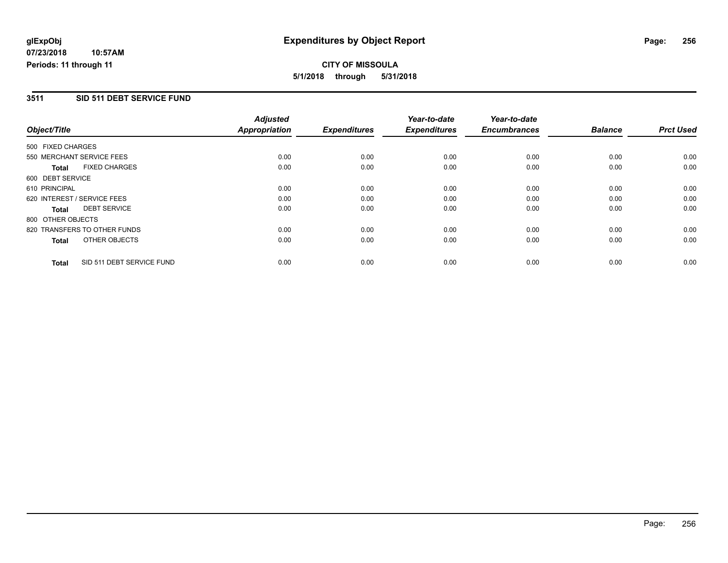### **3511 SID 511 DEBT SERVICE FUND**

|                             |                              | <b>Adjusted</b>      |                     | Year-to-date        | Year-to-date        |                |                  |
|-----------------------------|------------------------------|----------------------|---------------------|---------------------|---------------------|----------------|------------------|
| Object/Title                |                              | <b>Appropriation</b> | <b>Expenditures</b> | <b>Expenditures</b> | <b>Encumbrances</b> | <b>Balance</b> | <b>Prct Used</b> |
| 500 FIXED CHARGES           |                              |                      |                     |                     |                     |                |                  |
|                             | 550 MERCHANT SERVICE FEES    | 0.00                 | 0.00                | 0.00                | 0.00                | 0.00           | 0.00             |
| <b>Total</b>                | <b>FIXED CHARGES</b>         | 0.00                 | 0.00                | 0.00                | 0.00                | 0.00           | 0.00             |
| 600 DEBT SERVICE            |                              |                      |                     |                     |                     |                |                  |
| 610 PRINCIPAL               |                              | 0.00                 | 0.00                | 0.00                | 0.00                | 0.00           | 0.00             |
| 620 INTEREST / SERVICE FEES |                              | 0.00                 | 0.00                | 0.00                | 0.00                | 0.00           | 0.00             |
| Total                       | <b>DEBT SERVICE</b>          | 0.00                 | 0.00                | 0.00                | 0.00                | 0.00           | 0.00             |
| 800 OTHER OBJECTS           |                              |                      |                     |                     |                     |                |                  |
|                             | 820 TRANSFERS TO OTHER FUNDS | 0.00                 | 0.00                | 0.00                | 0.00                | 0.00           | 0.00             |
| Total                       | OTHER OBJECTS                | 0.00                 | 0.00                | 0.00                | 0.00                | 0.00           | 0.00             |
| <b>Total</b>                | SID 511 DEBT SERVICE FUND    | 0.00                 | 0.00                | 0.00                | 0.00                | 0.00           | 0.00             |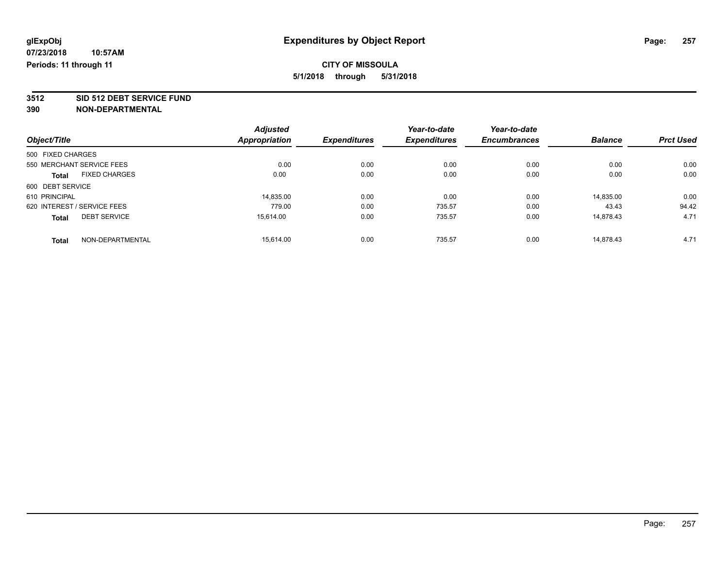**3512 SID 512 DEBT SERVICE FUND**

|                                      | <b>Adjusted</b> |                     | Year-to-date        | Year-to-date        |                |                  |
|--------------------------------------|-----------------|---------------------|---------------------|---------------------|----------------|------------------|
| Object/Title                         | Appropriation   | <b>Expenditures</b> | <b>Expenditures</b> | <b>Encumbrances</b> | <b>Balance</b> | <b>Prct Used</b> |
| 500 FIXED CHARGES                    |                 |                     |                     |                     |                |                  |
| 550 MERCHANT SERVICE FEES            | 0.00            | 0.00                | 0.00                | 0.00                | 0.00           | 0.00             |
| <b>FIXED CHARGES</b><br><b>Total</b> | 0.00            | 0.00                | 0.00                | 0.00                | 0.00           | 0.00             |
| 600 DEBT SERVICE                     |                 |                     |                     |                     |                |                  |
| 610 PRINCIPAL                        | 14,835.00       | 0.00                | 0.00                | 0.00                | 14,835.00      | 0.00             |
| 620 INTEREST / SERVICE FEES          | 779.00          | 0.00                | 735.57              | 0.00                | 43.43          | 94.42            |
| <b>DEBT SERVICE</b><br><b>Total</b>  | 15.614.00       | 0.00                | 735.57              | 0.00                | 14,878.43      | 4.71             |
| NON-DEPARTMENTAL<br><b>Total</b>     | 15.614.00       | 0.00                | 735.57              | 0.00                | 14.878.43      | 4.71             |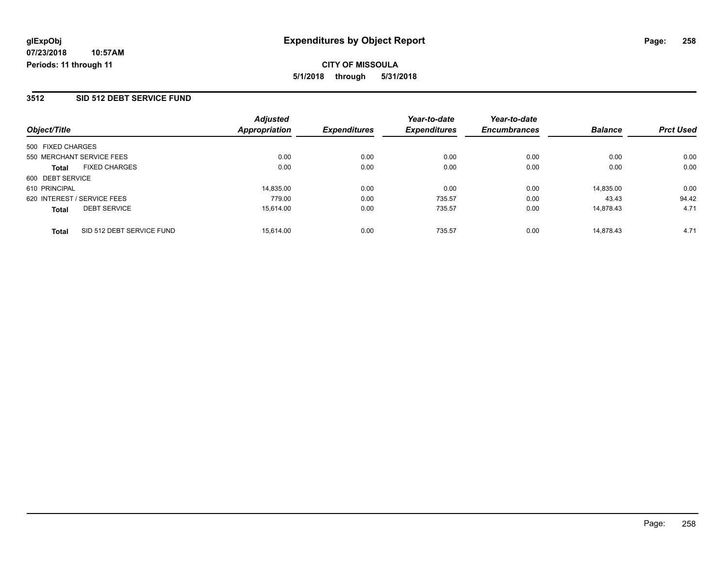### **3512 SID 512 DEBT SERVICE FUND**

|                                           | <b>Adjusted</b>      |                     | Year-to-date        | Year-to-date        |                |                  |
|-------------------------------------------|----------------------|---------------------|---------------------|---------------------|----------------|------------------|
| Object/Title                              | <b>Appropriation</b> | <b>Expenditures</b> | <b>Expenditures</b> | <b>Encumbrances</b> | <b>Balance</b> | <b>Prct Used</b> |
| 500 FIXED CHARGES                         |                      |                     |                     |                     |                |                  |
| 550 MERCHANT SERVICE FEES                 | 0.00                 | 0.00                | 0.00                | 0.00                | 0.00           | 0.00             |
| <b>FIXED CHARGES</b><br><b>Total</b>      | 0.00                 | 0.00                | 0.00                | 0.00                | 0.00           | 0.00             |
| 600 DEBT SERVICE                          |                      |                     |                     |                     |                |                  |
| 610 PRINCIPAL                             | 14.835.00            | 0.00                | 0.00                | 0.00                | 14,835.00      | 0.00             |
| 620 INTEREST / SERVICE FEES               | 779.00               | 0.00                | 735.57              | 0.00                | 43.43          | 94.42            |
| <b>DEBT SERVICE</b><br><b>Total</b>       | 15.614.00            | 0.00                | 735.57              | 0.00                | 14.878.43      | 4.71             |
| SID 512 DEBT SERVICE FUND<br><b>Total</b> | 15.614.00            | 0.00                | 735.57              | 0.00                | 14.878.43      | 4.71             |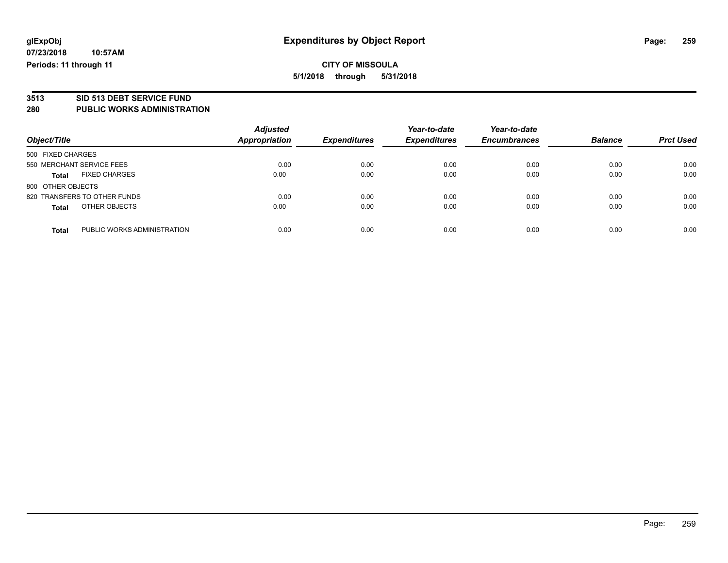# **3513 SID 513 DEBT SERVICE FUND**

#### **280 PUBLIC WORKS ADMINISTRATION**

| Object/Title                                | <b>Adjusted</b><br><b>Appropriation</b> | <b>Expenditures</b> | Year-to-date<br><b>Expenditures</b> | Year-to-date<br><b>Encumbrances</b> | <b>Balance</b> | <b>Prct Used</b> |
|---------------------------------------------|-----------------------------------------|---------------------|-------------------------------------|-------------------------------------|----------------|------------------|
| 500 FIXED CHARGES                           |                                         |                     |                                     |                                     |                |                  |
| 550 MERCHANT SERVICE FEES                   | 0.00                                    | 0.00                | 0.00                                | 0.00                                | 0.00           | 0.00             |
| <b>FIXED CHARGES</b><br><b>Total</b>        | 0.00                                    | 0.00                | 0.00                                | 0.00                                | 0.00           | 0.00             |
| 800 OTHER OBJECTS                           |                                         |                     |                                     |                                     |                |                  |
| 820 TRANSFERS TO OTHER FUNDS                | 0.00                                    | 0.00                | 0.00                                | 0.00                                | 0.00           | 0.00             |
| OTHER OBJECTS<br><b>Total</b>               | 0.00                                    | 0.00                | 0.00                                | 0.00                                | 0.00           | 0.00             |
| PUBLIC WORKS ADMINISTRATION<br><b>Total</b> | 0.00                                    | 0.00                | 0.00                                | 0.00                                | 0.00           | 0.00             |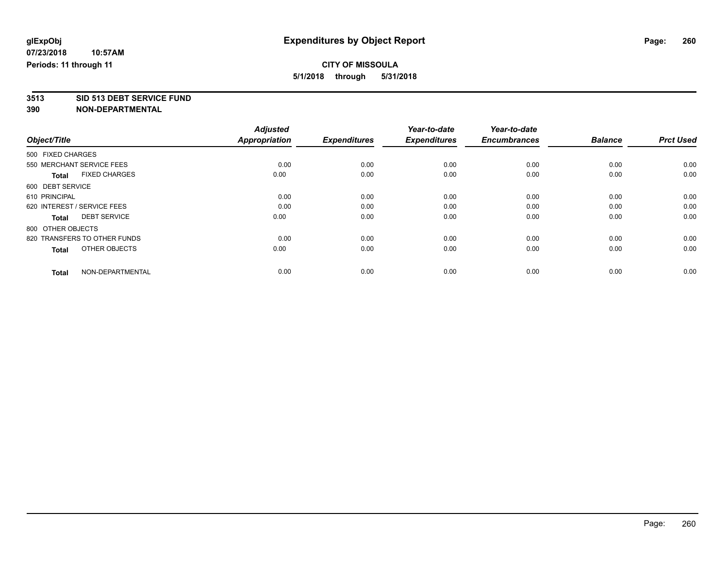**3513 SID 513 DEBT SERVICE FUND**

|                                      | <b>Adjusted</b>      |                     | Year-to-date        | Year-to-date        |                |                  |
|--------------------------------------|----------------------|---------------------|---------------------|---------------------|----------------|------------------|
| Object/Title                         | <b>Appropriation</b> | <b>Expenditures</b> | <b>Expenditures</b> | <b>Encumbrances</b> | <b>Balance</b> | <b>Prct Used</b> |
| 500 FIXED CHARGES                    |                      |                     |                     |                     |                |                  |
| 550 MERCHANT SERVICE FEES            | 0.00                 | 0.00                | 0.00                | 0.00                | 0.00           | 0.00             |
| <b>FIXED CHARGES</b><br><b>Total</b> | 0.00                 | 0.00                | 0.00                | 0.00                | 0.00           | 0.00             |
| 600 DEBT SERVICE                     |                      |                     |                     |                     |                |                  |
| 610 PRINCIPAL                        | 0.00                 | 0.00                | 0.00                | 0.00                | 0.00           | 0.00             |
| 620 INTEREST / SERVICE FEES          | 0.00                 | 0.00                | 0.00                | 0.00                | 0.00           | 0.00             |
| <b>DEBT SERVICE</b><br><b>Total</b>  | 0.00                 | 0.00                | 0.00                | 0.00                | 0.00           | 0.00             |
| 800 OTHER OBJECTS                    |                      |                     |                     |                     |                |                  |
| 820 TRANSFERS TO OTHER FUNDS         | 0.00                 | 0.00                | 0.00                | 0.00                | 0.00           | 0.00             |
| OTHER OBJECTS<br><b>Total</b>        | 0.00                 | 0.00                | 0.00                | 0.00                | 0.00           | 0.00             |
|                                      |                      |                     |                     |                     |                |                  |
| NON-DEPARTMENTAL<br><b>Total</b>     | 0.00                 | 0.00                | 0.00                | 0.00                | 0.00           | 0.00             |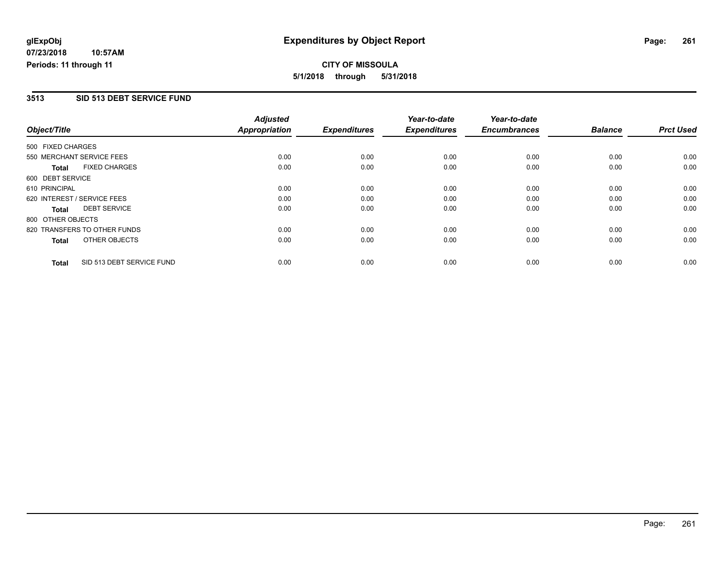### **3513 SID 513 DEBT SERVICE FUND**

|                              |                           | <b>Adjusted</b>      |                     | Year-to-date        | Year-to-date        |                |                  |
|------------------------------|---------------------------|----------------------|---------------------|---------------------|---------------------|----------------|------------------|
| Object/Title                 |                           | <b>Appropriation</b> | <b>Expenditures</b> | <b>Expenditures</b> | <b>Encumbrances</b> | <b>Balance</b> | <b>Prct Used</b> |
| 500 FIXED CHARGES            |                           |                      |                     |                     |                     |                |                  |
| 550 MERCHANT SERVICE FEES    |                           | 0.00                 | 0.00                | 0.00                | 0.00                | 0.00           | 0.00             |
| <b>Total</b>                 | <b>FIXED CHARGES</b>      | 0.00                 | 0.00                | 0.00                | 0.00                | 0.00           | 0.00             |
| 600 DEBT SERVICE             |                           |                      |                     |                     |                     |                |                  |
| 610 PRINCIPAL                |                           | 0.00                 | 0.00                | 0.00                | 0.00                | 0.00           | 0.00             |
| 620 INTEREST / SERVICE FEES  |                           | 0.00                 | 0.00                | 0.00                | 0.00                | 0.00           | 0.00             |
| Total                        | <b>DEBT SERVICE</b>       | 0.00                 | 0.00                | 0.00                | 0.00                | 0.00           | 0.00             |
| 800 OTHER OBJECTS            |                           |                      |                     |                     |                     |                |                  |
| 820 TRANSFERS TO OTHER FUNDS |                           | 0.00                 | 0.00                | 0.00                | 0.00                | 0.00           | 0.00             |
| Total                        | OTHER OBJECTS             | 0.00                 | 0.00                | 0.00                | 0.00                | 0.00           | 0.00             |
| <b>Total</b>                 | SID 513 DEBT SERVICE FUND | 0.00                 | 0.00                | 0.00                | 0.00                | 0.00           | 0.00             |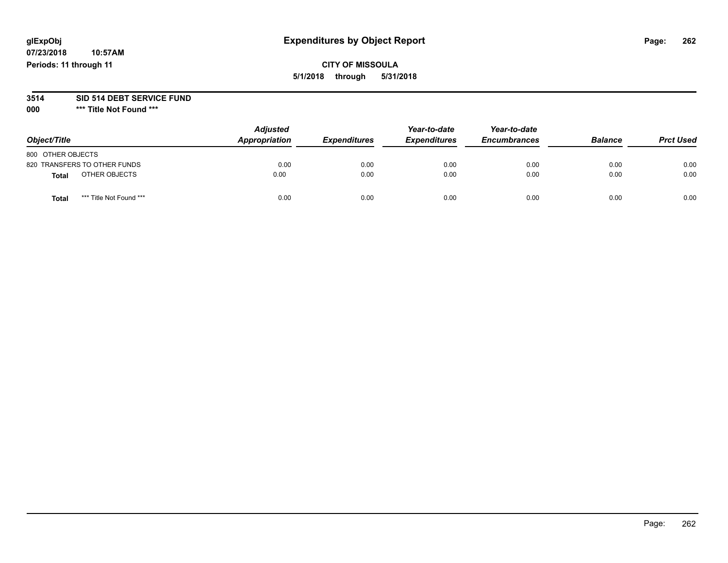#### **07/23/2018 10:57AM Periods: 11 through 11**

## **CITY OF MISSOULA 5/1/2018 through 5/31/2018**

#### **3514 SID 514 DEBT SERVICE FUND**

**000 \*\*\* Title Not Found \*\*\***

| Object/Title                            | <b>Adjusted</b><br>Appropriation | <b>Expenditures</b> | Year-to-date<br><b>Expenditures</b> | Year-to-date<br><b>Encumbrances</b> | <b>Balance</b> | <b>Prct Used</b> |
|-----------------------------------------|----------------------------------|---------------------|-------------------------------------|-------------------------------------|----------------|------------------|
| 800 OTHER OBJECTS                       |                                  |                     |                                     |                                     |                |                  |
| 820 TRANSFERS TO OTHER FUNDS            | 0.00                             | 0.00                | 0.00                                | 0.00                                | 0.00           | 0.00             |
| OTHER OBJECTS<br>Total                  | 0.00                             | 0.00                | 0.00                                | 0.00                                | 0.00           | 0.00             |
| *** Title Not Found ***<br><b>Total</b> | 0.00                             | 0.00                | 0.00                                | 0.00                                | 0.00           | 0.00             |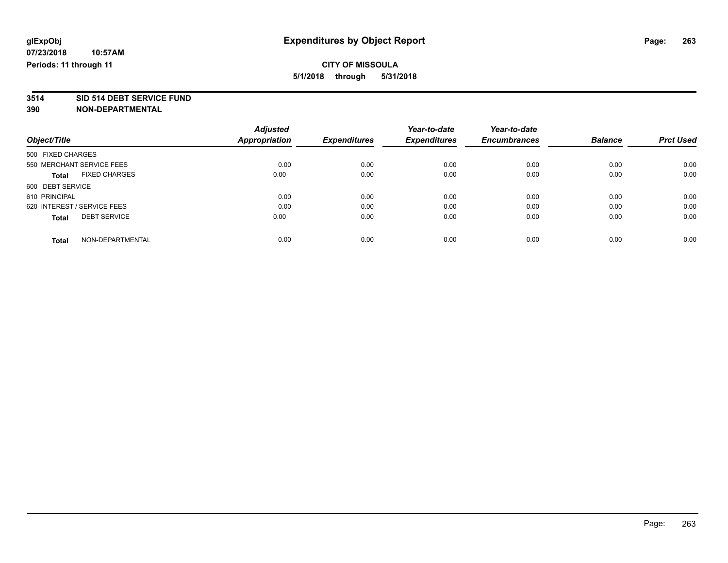# **3514 SID 514 DEBT SERVICE FUND**

|                                      | <b>Adjusted</b> |                     | Year-to-date        | Year-to-date        |                |                  |
|--------------------------------------|-----------------|---------------------|---------------------|---------------------|----------------|------------------|
| Object/Title                         | Appropriation   | <b>Expenditures</b> | <b>Expenditures</b> | <b>Encumbrances</b> | <b>Balance</b> | <b>Prct Used</b> |
| 500 FIXED CHARGES                    |                 |                     |                     |                     |                |                  |
| 550 MERCHANT SERVICE FEES            | 0.00            | 0.00                | 0.00                | 0.00                | 0.00           | 0.00             |
| <b>FIXED CHARGES</b><br><b>Total</b> | 0.00            | 0.00                | 0.00                | 0.00                | 0.00           | 0.00             |
| 600 DEBT SERVICE                     |                 |                     |                     |                     |                |                  |
| 610 PRINCIPAL                        | 0.00            | 0.00                | 0.00                | 0.00                | 0.00           | 0.00             |
| 620 INTEREST / SERVICE FEES          | 0.00            | 0.00                | 0.00                | 0.00                | 0.00           | 0.00             |
| <b>DEBT SERVICE</b><br><b>Total</b>  | 0.00            | 0.00                | 0.00                | 0.00                | 0.00           | 0.00             |
| NON-DEPARTMENTAL<br><b>Total</b>     | 0.00            | 0.00                | 0.00                | 0.00                | 0.00           | 0.00             |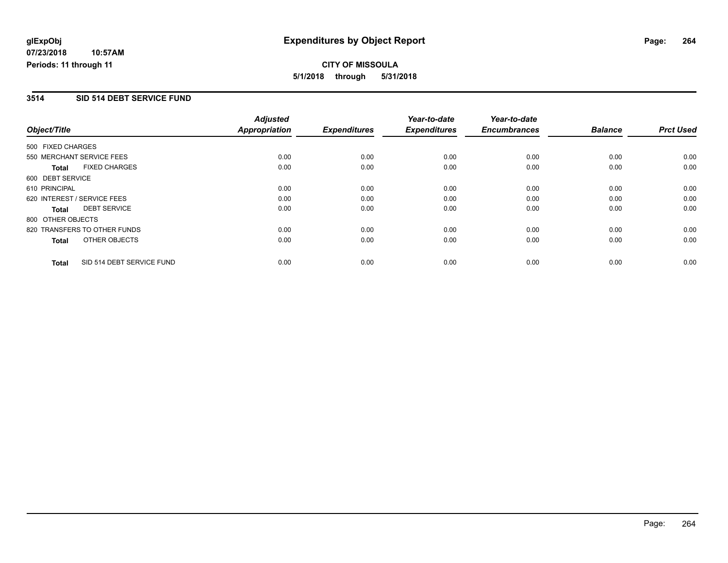### **3514 SID 514 DEBT SERVICE FUND**

|                             |                              | <b>Adjusted</b>      |                     | Year-to-date        | Year-to-date        |                |                  |
|-----------------------------|------------------------------|----------------------|---------------------|---------------------|---------------------|----------------|------------------|
| Object/Title                |                              | <b>Appropriation</b> | <b>Expenditures</b> | <b>Expenditures</b> | <b>Encumbrances</b> | <b>Balance</b> | <b>Prct Used</b> |
| 500 FIXED CHARGES           |                              |                      |                     |                     |                     |                |                  |
|                             | 550 MERCHANT SERVICE FEES    | 0.00                 | 0.00                | 0.00                | 0.00                | 0.00           | 0.00             |
| <b>Total</b>                | <b>FIXED CHARGES</b>         | 0.00                 | 0.00                | 0.00                | 0.00                | 0.00           | 0.00             |
| 600 DEBT SERVICE            |                              |                      |                     |                     |                     |                |                  |
| 610 PRINCIPAL               |                              | 0.00                 | 0.00                | 0.00                | 0.00                | 0.00           | 0.00             |
| 620 INTEREST / SERVICE FEES |                              | 0.00                 | 0.00                | 0.00                | 0.00                | 0.00           | 0.00             |
| Total                       | <b>DEBT SERVICE</b>          | 0.00                 | 0.00                | 0.00                | 0.00                | 0.00           | 0.00             |
| 800 OTHER OBJECTS           |                              |                      |                     |                     |                     |                |                  |
|                             | 820 TRANSFERS TO OTHER FUNDS | 0.00                 | 0.00                | 0.00                | 0.00                | 0.00           | 0.00             |
| Total                       | OTHER OBJECTS                | 0.00                 | 0.00                | 0.00                | 0.00                | 0.00           | 0.00             |
| <b>Total</b>                | SID 514 DEBT SERVICE FUND    | 0.00                 | 0.00                | 0.00                | 0.00                | 0.00           | 0.00             |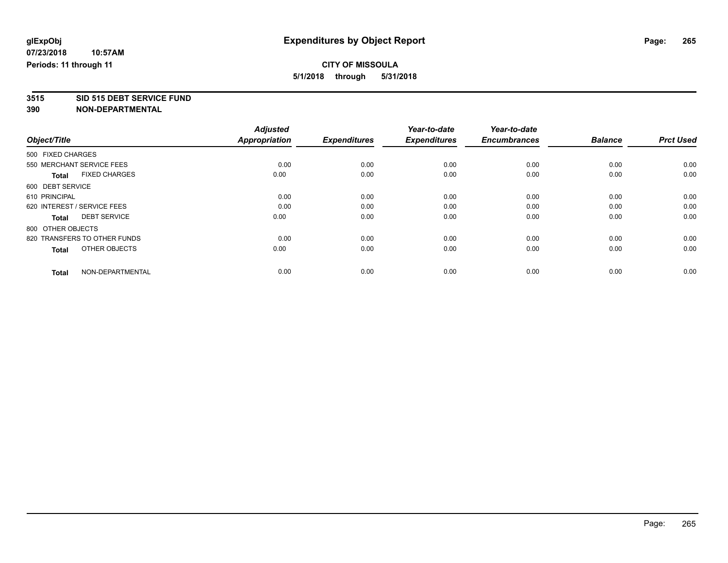# **3515 SID 515 DEBT SERVICE FUND**

|                                      | <b>Adjusted</b>      |                     | Year-to-date        | Year-to-date        |                |                  |
|--------------------------------------|----------------------|---------------------|---------------------|---------------------|----------------|------------------|
| Object/Title                         | <b>Appropriation</b> | <b>Expenditures</b> | <b>Expenditures</b> | <b>Encumbrances</b> | <b>Balance</b> | <b>Prct Used</b> |
| 500 FIXED CHARGES                    |                      |                     |                     |                     |                |                  |
| 550 MERCHANT SERVICE FEES            | 0.00                 | 0.00                | 0.00                | 0.00                | 0.00           | 0.00             |
| <b>FIXED CHARGES</b><br><b>Total</b> | 0.00                 | 0.00                | 0.00                | 0.00                | 0.00           | 0.00             |
| 600 DEBT SERVICE                     |                      |                     |                     |                     |                |                  |
| 610 PRINCIPAL                        | 0.00                 | 0.00                | 0.00                | 0.00                | 0.00           | 0.00             |
| 620 INTEREST / SERVICE FEES          | 0.00                 | 0.00                | 0.00                | 0.00                | 0.00           | 0.00             |
| <b>DEBT SERVICE</b><br><b>Total</b>  | 0.00                 | 0.00                | 0.00                | 0.00                | 0.00           | 0.00             |
| 800 OTHER OBJECTS                    |                      |                     |                     |                     |                |                  |
| 820 TRANSFERS TO OTHER FUNDS         | 0.00                 | 0.00                | 0.00                | 0.00                | 0.00           | 0.00             |
| OTHER OBJECTS<br><b>Total</b>        | 0.00                 | 0.00                | 0.00                | 0.00                | 0.00           | 0.00             |
|                                      |                      |                     |                     |                     |                |                  |
| NON-DEPARTMENTAL<br><b>Total</b>     | 0.00                 | 0.00                | 0.00                | 0.00                | 0.00           | 0.00             |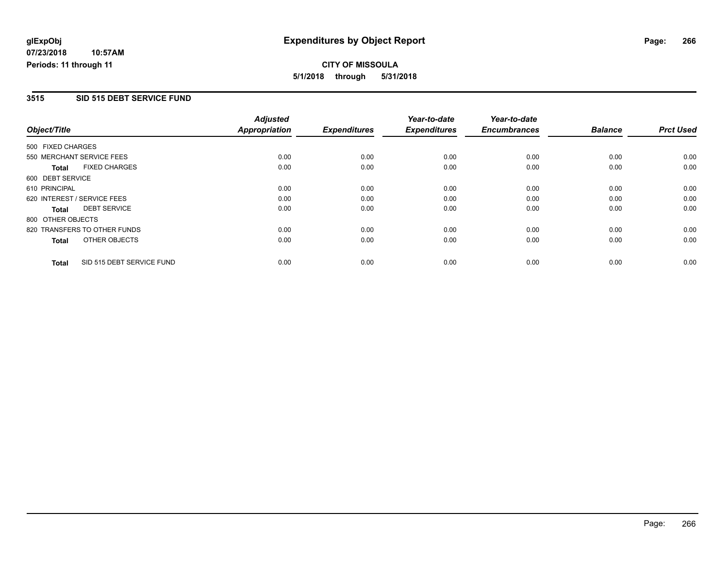### **3515 SID 515 DEBT SERVICE FUND**

|                   |                              | <b>Adjusted</b>      |                     | Year-to-date        | Year-to-date        |                |                  |
|-------------------|------------------------------|----------------------|---------------------|---------------------|---------------------|----------------|------------------|
| Object/Title      |                              | <b>Appropriation</b> | <b>Expenditures</b> | <b>Expenditures</b> | <b>Encumbrances</b> | <b>Balance</b> | <b>Prct Used</b> |
| 500 FIXED CHARGES |                              |                      |                     |                     |                     |                |                  |
|                   | 550 MERCHANT SERVICE FEES    | 0.00                 | 0.00                | 0.00                | 0.00                | 0.00           | 0.00             |
| <b>Total</b>      | <b>FIXED CHARGES</b>         | 0.00                 | 0.00                | 0.00                | 0.00                | 0.00           | 0.00             |
| 600 DEBT SERVICE  |                              |                      |                     |                     |                     |                |                  |
| 610 PRINCIPAL     |                              | 0.00                 | 0.00                | 0.00                | 0.00                | 0.00           | 0.00             |
|                   | 620 INTEREST / SERVICE FEES  | 0.00                 | 0.00                | 0.00                | 0.00                | 0.00           | 0.00             |
| Total             | <b>DEBT SERVICE</b>          | 0.00                 | 0.00                | 0.00                | 0.00                | 0.00           | 0.00             |
| 800 OTHER OBJECTS |                              |                      |                     |                     |                     |                |                  |
|                   | 820 TRANSFERS TO OTHER FUNDS | 0.00                 | 0.00                | 0.00                | 0.00                | 0.00           | 0.00             |
| Total             | OTHER OBJECTS                | 0.00                 | 0.00                | 0.00                | 0.00                | 0.00           | 0.00             |
| <b>Total</b>      | SID 515 DEBT SERVICE FUND    | 0.00                 | 0.00                | 0.00                | 0.00                | 0.00           | 0.00             |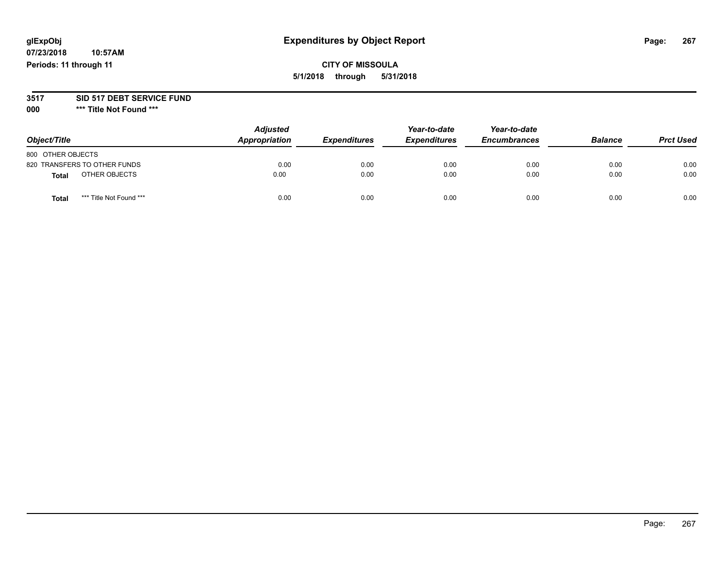#### **07/23/2018 10:57AM Periods: 11 through 11**

## **CITY OF MISSOULA 5/1/2018 through 5/31/2018**

### **3517 SID 517 DEBT SERVICE FUND**

**000 \*\*\* Title Not Found \*\*\***

| Object/Title                            | <b>Adjusted</b><br>Appropriation | <b>Expenditures</b> | Year-to-date<br><b>Expenditures</b> | Year-to-date<br><b>Encumbrances</b> | <b>Balance</b> | <b>Prct Used</b> |
|-----------------------------------------|----------------------------------|---------------------|-------------------------------------|-------------------------------------|----------------|------------------|
| 800 OTHER OBJECTS                       |                                  |                     |                                     |                                     |                |                  |
| 820 TRANSFERS TO OTHER FUNDS            | 0.00                             | 0.00                | 0.00                                | 0.00                                | 0.00           | 0.00             |
| OTHER OBJECTS<br>Total                  | 0.00                             | 0.00                | 0.00                                | 0.00                                | 0.00           | 0.00             |
| *** Title Not Found ***<br><b>Total</b> | 0.00                             | 0.00                | 0.00                                | 0.00                                | 0.00           | 0.00             |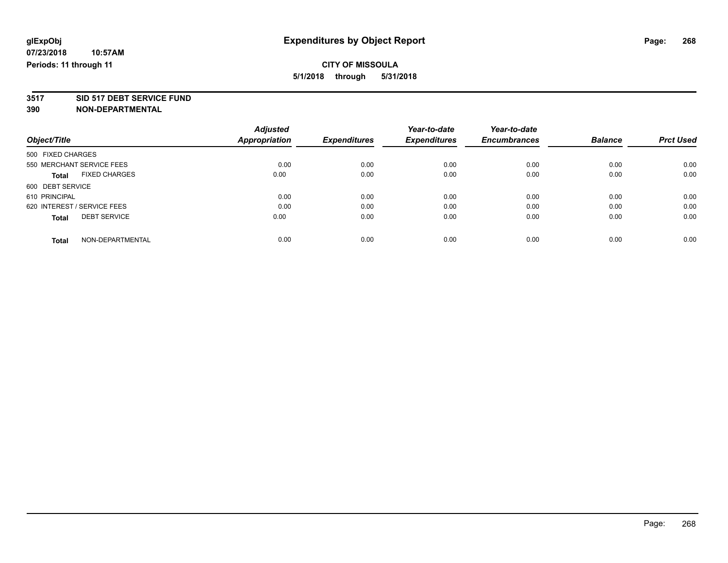# **3517 SID 517 DEBT SERVICE FUND**

|                                      | <b>Adjusted</b>      |                     | Year-to-date        | Year-to-date        |                |                  |
|--------------------------------------|----------------------|---------------------|---------------------|---------------------|----------------|------------------|
| Object/Title                         | <b>Appropriation</b> | <b>Expenditures</b> | <b>Expenditures</b> | <b>Encumbrances</b> | <b>Balance</b> | <b>Prct Used</b> |
| 500 FIXED CHARGES                    |                      |                     |                     |                     |                |                  |
| 550 MERCHANT SERVICE FEES            | 0.00                 | 0.00                | 0.00                | 0.00                | 0.00           | 0.00             |
| <b>FIXED CHARGES</b><br><b>Total</b> | 0.00                 | 0.00                | 0.00                | 0.00                | 0.00           | 0.00             |
| 600 DEBT SERVICE                     |                      |                     |                     |                     |                |                  |
| 610 PRINCIPAL                        | 0.00                 | 0.00                | 0.00                | 0.00                | 0.00           | 0.00             |
| 620 INTEREST / SERVICE FEES          | 0.00                 | 0.00                | 0.00                | 0.00                | 0.00           | 0.00             |
| <b>DEBT SERVICE</b><br><b>Total</b>  | 0.00                 | 0.00                | 0.00                | 0.00                | 0.00           | 0.00             |
| NON-DEPARTMENTAL<br><b>Total</b>     | 0.00                 | 0.00                | 0.00                | 0.00                | 0.00           | 0.00             |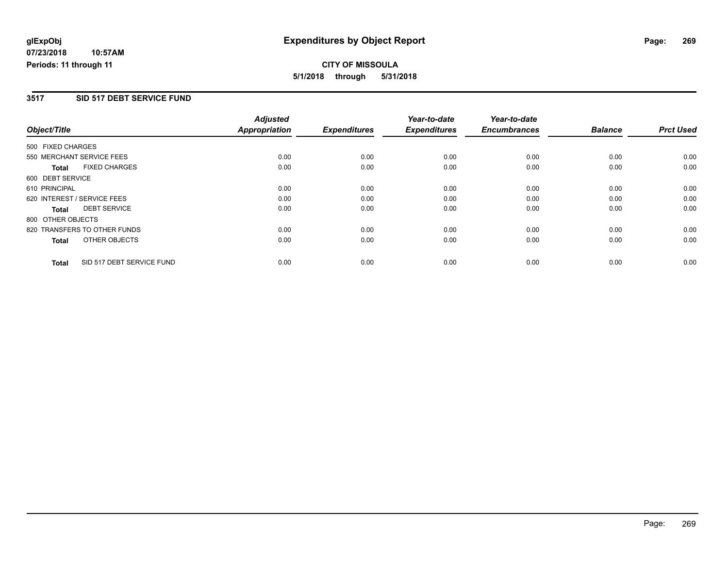### **3517 SID 517 DEBT SERVICE FUND**

|                             |                              | <b>Adjusted</b>      |                     | Year-to-date        | Year-to-date        |                |                  |
|-----------------------------|------------------------------|----------------------|---------------------|---------------------|---------------------|----------------|------------------|
| Object/Title                |                              | <b>Appropriation</b> | <b>Expenditures</b> | <b>Expenditures</b> | <b>Encumbrances</b> | <b>Balance</b> | <b>Prct Used</b> |
| 500 FIXED CHARGES           |                              |                      |                     |                     |                     |                |                  |
|                             | 550 MERCHANT SERVICE FEES    | 0.00                 | 0.00                | 0.00                | 0.00                | 0.00           | 0.00             |
| <b>Total</b>                | <b>FIXED CHARGES</b>         | 0.00                 | 0.00                | 0.00                | 0.00                | 0.00           | 0.00             |
| 600 DEBT SERVICE            |                              |                      |                     |                     |                     |                |                  |
| 610 PRINCIPAL               |                              | 0.00                 | 0.00                | 0.00                | 0.00                | 0.00           | 0.00             |
| 620 INTEREST / SERVICE FEES |                              | 0.00                 | 0.00                | 0.00                | 0.00                | 0.00           | 0.00             |
| Total                       | <b>DEBT SERVICE</b>          | 0.00                 | 0.00                | 0.00                | 0.00                | 0.00           | 0.00             |
| 800 OTHER OBJECTS           |                              |                      |                     |                     |                     |                |                  |
|                             | 820 TRANSFERS TO OTHER FUNDS | 0.00                 | 0.00                | 0.00                | 0.00                | 0.00           | 0.00             |
| Total                       | OTHER OBJECTS                | 0.00                 | 0.00                | 0.00                | 0.00                | 0.00           | 0.00             |
| <b>Total</b>                | SID 517 DEBT SERVICE FUND    | 0.00                 | 0.00                | 0.00                | 0.00                | 0.00           | 0.00             |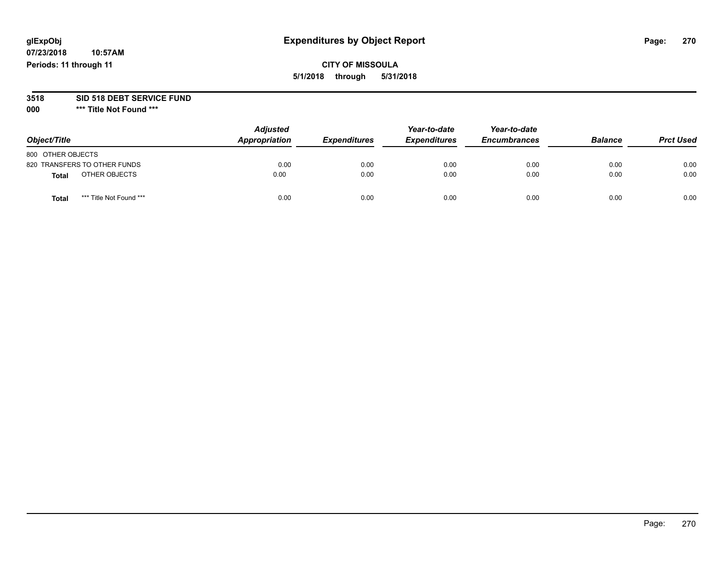### **07/23/2018 10:57AM Periods: 11 through 11**

# **CITY OF MISSOULA 5/1/2018 through 5/31/2018**

# **3518 SID 518 DEBT SERVICE FUND**

**000 \*\*\* Title Not Found \*\*\***

| Object/Title                     | <b>Adjusted</b><br>Appropriation | <b>Expenditures</b> | Year-to-date<br><b>Expenditures</b> | Year-to-date<br><b>Encumbrances</b> | <b>Balance</b> | <b>Prct Used</b> |
|----------------------------------|----------------------------------|---------------------|-------------------------------------|-------------------------------------|----------------|------------------|
| 800 OTHER OBJECTS                |                                  |                     |                                     |                                     |                |                  |
| 820 TRANSFERS TO OTHER FUNDS     | 0.00                             | 0.00                | 0.00                                | 0.00                                | 0.00           | 0.00             |
| OTHER OBJECTS<br><b>Total</b>    | 0.00                             | 0.00                | 0.00                                | 0.00                                | 0.00           | 0.00             |
| *** Title Not Found ***<br>Total | 0.00                             | 0.00                | 0.00                                | 0.00                                | 0.00           | 0.00             |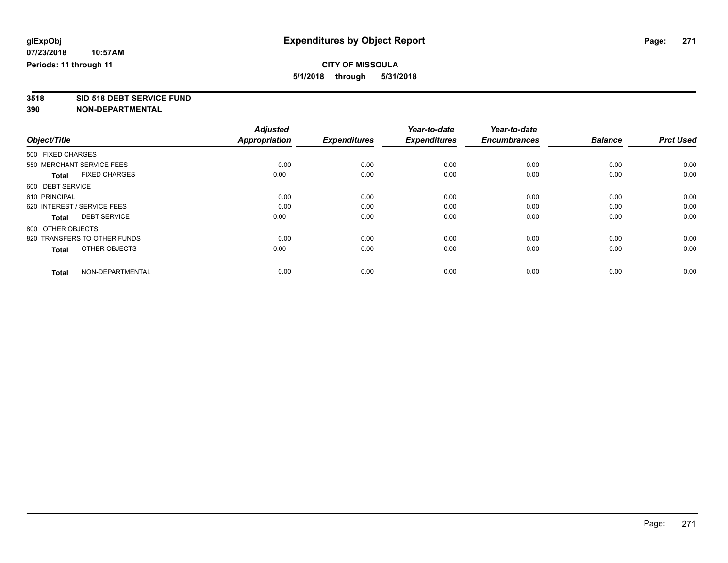# **3518 SID 518 DEBT SERVICE FUND**

|                                      | <b>Adjusted</b>      |                     | Year-to-date        | Year-to-date        |                |                  |
|--------------------------------------|----------------------|---------------------|---------------------|---------------------|----------------|------------------|
| Object/Title                         | <b>Appropriation</b> | <b>Expenditures</b> | <b>Expenditures</b> | <b>Encumbrances</b> | <b>Balance</b> | <b>Prct Used</b> |
| 500 FIXED CHARGES                    |                      |                     |                     |                     |                |                  |
| 550 MERCHANT SERVICE FEES            | 0.00                 | 0.00                | 0.00                | 0.00                | 0.00           | 0.00             |
| <b>FIXED CHARGES</b><br><b>Total</b> | 0.00                 | 0.00                | 0.00                | 0.00                | 0.00           | 0.00             |
| 600 DEBT SERVICE                     |                      |                     |                     |                     |                |                  |
| 610 PRINCIPAL                        | 0.00                 | 0.00                | 0.00                | 0.00                | 0.00           | 0.00             |
| 620 INTEREST / SERVICE FEES          | 0.00                 | 0.00                | 0.00                | 0.00                | 0.00           | 0.00             |
| <b>DEBT SERVICE</b><br><b>Total</b>  | 0.00                 | 0.00                | 0.00                | 0.00                | 0.00           | 0.00             |
| 800 OTHER OBJECTS                    |                      |                     |                     |                     |                |                  |
| 820 TRANSFERS TO OTHER FUNDS         | 0.00                 | 0.00                | 0.00                | 0.00                | 0.00           | 0.00             |
| OTHER OBJECTS<br><b>Total</b>        | 0.00                 | 0.00                | 0.00                | 0.00                | 0.00           | 0.00             |
|                                      |                      |                     |                     |                     |                |                  |
| NON-DEPARTMENTAL<br><b>Total</b>     | 0.00                 | 0.00                | 0.00                | 0.00                | 0.00           | 0.00             |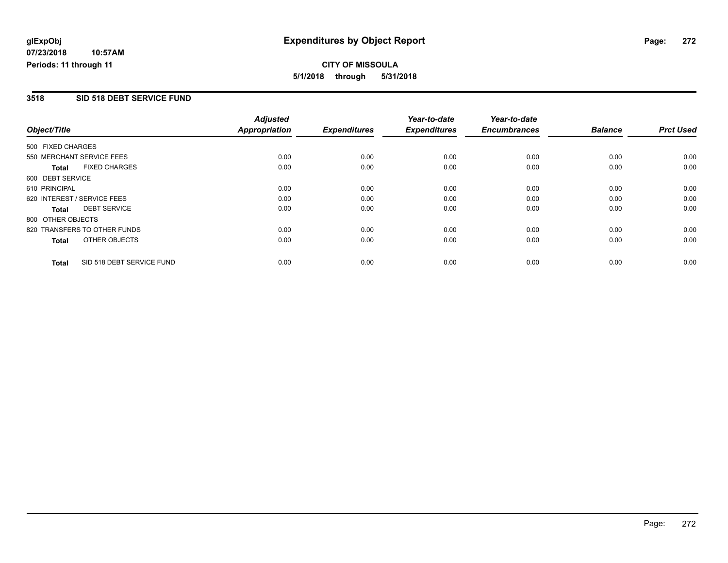### **3518 SID 518 DEBT SERVICE FUND**

|                             |                              | <b>Adjusted</b>      |                     | Year-to-date        | Year-to-date        |                |                  |
|-----------------------------|------------------------------|----------------------|---------------------|---------------------|---------------------|----------------|------------------|
| Object/Title                |                              | <b>Appropriation</b> | <b>Expenditures</b> | <b>Expenditures</b> | <b>Encumbrances</b> | <b>Balance</b> | <b>Prct Used</b> |
| 500 FIXED CHARGES           |                              |                      |                     |                     |                     |                |                  |
|                             | 550 MERCHANT SERVICE FEES    | 0.00                 | 0.00                | 0.00                | 0.00                | 0.00           | 0.00             |
| <b>Total</b>                | <b>FIXED CHARGES</b>         | 0.00                 | 0.00                | 0.00                | 0.00                | 0.00           | 0.00             |
| 600 DEBT SERVICE            |                              |                      |                     |                     |                     |                |                  |
| 610 PRINCIPAL               |                              | 0.00                 | 0.00                | 0.00                | 0.00                | 0.00           | 0.00             |
| 620 INTEREST / SERVICE FEES |                              | 0.00                 | 0.00                | 0.00                | 0.00                | 0.00           | 0.00             |
| Total                       | <b>DEBT SERVICE</b>          | 0.00                 | 0.00                | 0.00                | 0.00                | 0.00           | 0.00             |
| 800 OTHER OBJECTS           |                              |                      |                     |                     |                     |                |                  |
|                             | 820 TRANSFERS TO OTHER FUNDS | 0.00                 | 0.00                | 0.00                | 0.00                | 0.00           | 0.00             |
| Total                       | OTHER OBJECTS                | 0.00                 | 0.00                | 0.00                | 0.00                | 0.00           | 0.00             |
| <b>Total</b>                | SID 518 DEBT SERVICE FUND    | 0.00                 | 0.00                | 0.00                | 0.00                | 0.00           | 0.00             |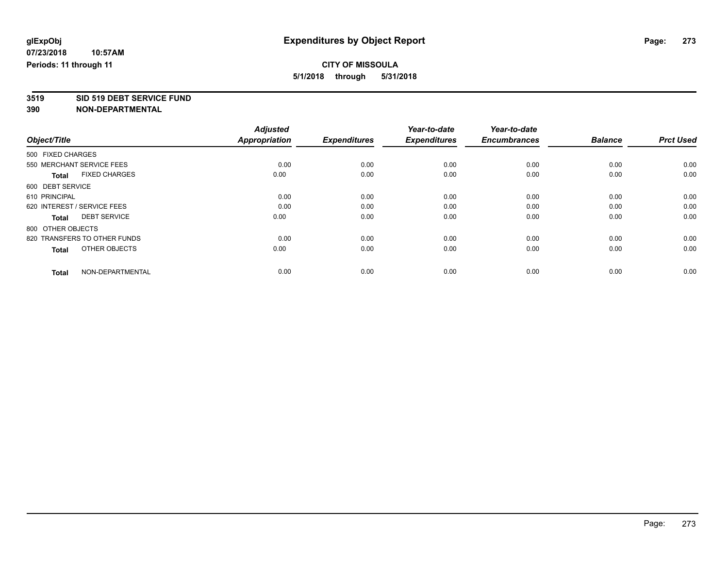# **3519 SID 519 DEBT SERVICE FUND**

|                                      | <b>Adjusted</b>      |                     | Year-to-date        | Year-to-date        |                |                  |
|--------------------------------------|----------------------|---------------------|---------------------|---------------------|----------------|------------------|
| Object/Title                         | <b>Appropriation</b> | <b>Expenditures</b> | <b>Expenditures</b> | <b>Encumbrances</b> | <b>Balance</b> | <b>Prct Used</b> |
| 500 FIXED CHARGES                    |                      |                     |                     |                     |                |                  |
| 550 MERCHANT SERVICE FEES            | 0.00                 | 0.00                | 0.00                | 0.00                | 0.00           | 0.00             |
| <b>FIXED CHARGES</b><br><b>Total</b> | 0.00                 | 0.00                | 0.00                | 0.00                | 0.00           | 0.00             |
| 600 DEBT SERVICE                     |                      |                     |                     |                     |                |                  |
| 610 PRINCIPAL                        | 0.00                 | 0.00                | 0.00                | 0.00                | 0.00           | 0.00             |
| 620 INTEREST / SERVICE FEES          | 0.00                 | 0.00                | 0.00                | 0.00                | 0.00           | 0.00             |
| <b>DEBT SERVICE</b><br><b>Total</b>  | 0.00                 | 0.00                | 0.00                | 0.00                | 0.00           | 0.00             |
| 800 OTHER OBJECTS                    |                      |                     |                     |                     |                |                  |
| 820 TRANSFERS TO OTHER FUNDS         | 0.00                 | 0.00                | 0.00                | 0.00                | 0.00           | 0.00             |
| OTHER OBJECTS<br><b>Total</b>        | 0.00                 | 0.00                | 0.00                | 0.00                | 0.00           | 0.00             |
|                                      |                      |                     |                     |                     |                |                  |
| NON-DEPARTMENTAL<br><b>Total</b>     | 0.00                 | 0.00                | 0.00                | 0.00                | 0.00           | 0.00             |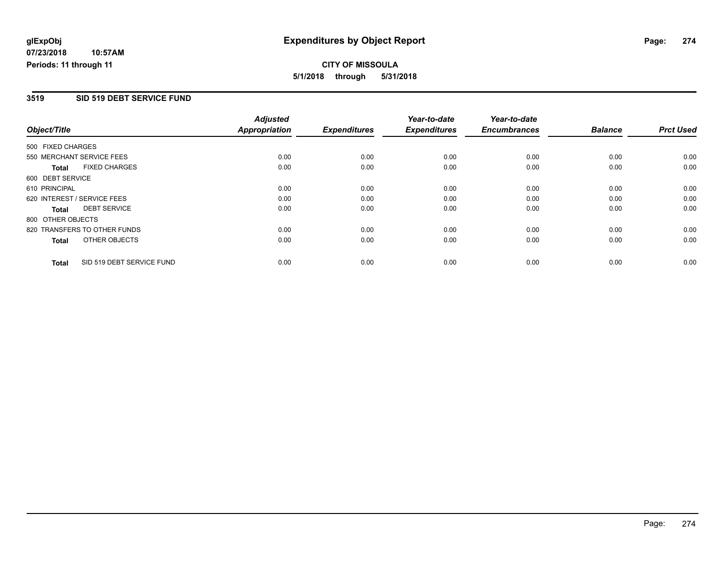### **3519 SID 519 DEBT SERVICE FUND**

|                             |                              | <b>Adjusted</b>      |                     | Year-to-date        | Year-to-date        |                |                  |
|-----------------------------|------------------------------|----------------------|---------------------|---------------------|---------------------|----------------|------------------|
| Object/Title                |                              | <b>Appropriation</b> | <b>Expenditures</b> | <b>Expenditures</b> | <b>Encumbrances</b> | <b>Balance</b> | <b>Prct Used</b> |
| 500 FIXED CHARGES           |                              |                      |                     |                     |                     |                |                  |
| 550 MERCHANT SERVICE FEES   |                              | 0.00                 | 0.00                | 0.00                | 0.00                | 0.00           | 0.00             |
| <b>Total</b>                | <b>FIXED CHARGES</b>         | 0.00                 | 0.00                | 0.00                | 0.00                | 0.00           | 0.00             |
| 600 DEBT SERVICE            |                              |                      |                     |                     |                     |                |                  |
| 610 PRINCIPAL               |                              | 0.00                 | 0.00                | 0.00                | 0.00                | 0.00           | 0.00             |
| 620 INTEREST / SERVICE FEES |                              | 0.00                 | 0.00                | 0.00                | 0.00                | 0.00           | 0.00             |
| Total                       | <b>DEBT SERVICE</b>          | 0.00                 | 0.00                | 0.00                | 0.00                | 0.00           | 0.00             |
| 800 OTHER OBJECTS           |                              |                      |                     |                     |                     |                |                  |
|                             | 820 TRANSFERS TO OTHER FUNDS | 0.00                 | 0.00                | 0.00                | 0.00                | 0.00           | 0.00             |
| Total                       | OTHER OBJECTS                | 0.00                 | 0.00                | 0.00                | 0.00                | 0.00           | 0.00             |
| <b>Total</b>                | SID 519 DEBT SERVICE FUND    | 0.00                 | 0.00                | 0.00                | 0.00                | 0.00           | 0.00             |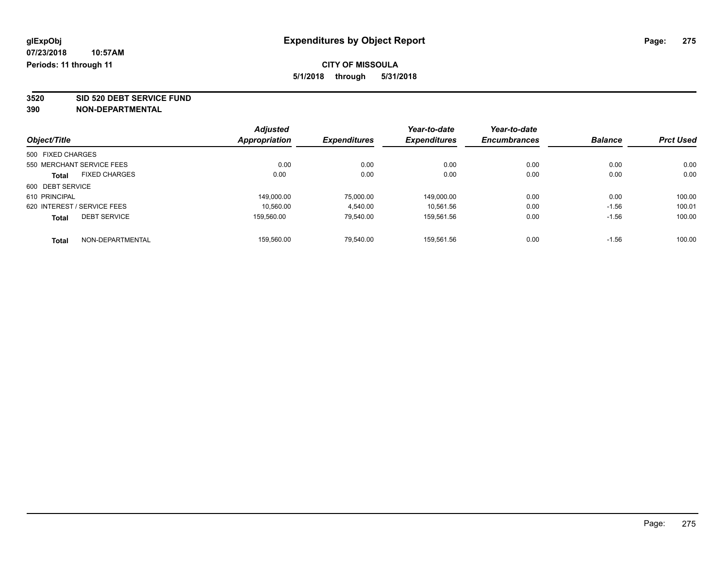**3520 SID 520 DEBT SERVICE FUND**

|                             |                      | <b>Adjusted</b> |                     | Year-to-date        | Year-to-date        |                |                  |
|-----------------------------|----------------------|-----------------|---------------------|---------------------|---------------------|----------------|------------------|
| Object/Title                |                      | Appropriation   | <b>Expenditures</b> | <b>Expenditures</b> | <b>Encumbrances</b> | <b>Balance</b> | <b>Prct Used</b> |
| 500 FIXED CHARGES           |                      |                 |                     |                     |                     |                |                  |
| 550 MERCHANT SERVICE FEES   |                      | 0.00            | 0.00                | 0.00                | 0.00                | 0.00           | 0.00             |
| <b>Total</b>                | <b>FIXED CHARGES</b> | 0.00            | 0.00                | 0.00                | 0.00                | 0.00           | 0.00             |
| 600 DEBT SERVICE            |                      |                 |                     |                     |                     |                |                  |
| 610 PRINCIPAL               |                      | 149,000.00      | 75,000.00           | 149,000.00          | 0.00                | 0.00           | 100.00           |
| 620 INTEREST / SERVICE FEES |                      | 10.560.00       | 4,540.00            | 10.561.56           | 0.00                | $-1.56$        | 100.01           |
| <b>Total</b>                | <b>DEBT SERVICE</b>  | 159.560.00      | 79.540.00           | 159.561.56          | 0.00                | $-1.56$        | 100.00           |
| <b>Total</b>                | NON-DEPARTMENTAL     | 159.560.00      | 79.540.00           | 159.561.56          | 0.00                | $-1.56$        | 100.00           |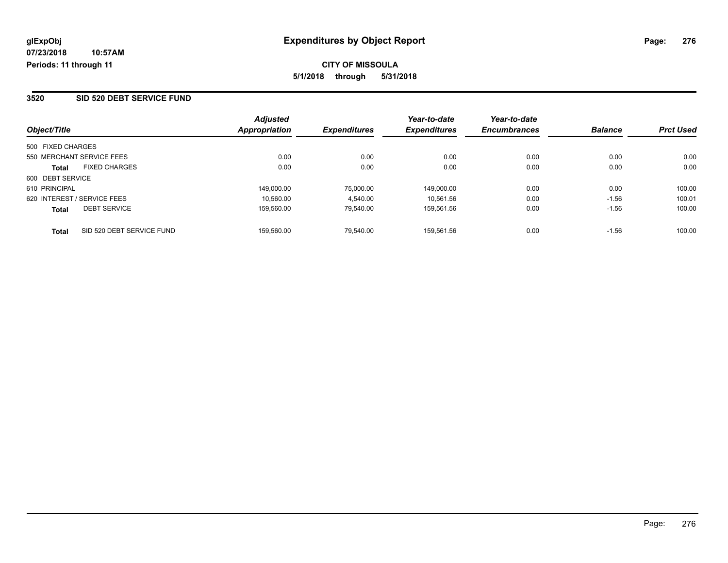### **3520 SID 520 DEBT SERVICE FUND**

| Object/Title      |                             | <b>Adjusted</b><br><b>Appropriation</b> | <b>Expenditures</b> | Year-to-date<br><b>Expenditures</b> | Year-to-date<br><b>Encumbrances</b> | <b>Balance</b> | <b>Prct Used</b> |
|-------------------|-----------------------------|-----------------------------------------|---------------------|-------------------------------------|-------------------------------------|----------------|------------------|
|                   |                             |                                         |                     |                                     |                                     |                |                  |
| 500 FIXED CHARGES |                             |                                         |                     |                                     |                                     |                |                  |
|                   | 550 MERCHANT SERVICE FEES   | 0.00                                    | 0.00                | 0.00                                | 0.00                                | 0.00           | 0.00             |
| <b>Total</b>      | <b>FIXED CHARGES</b>        | 0.00                                    | 0.00                | 0.00                                | 0.00                                | 0.00           | 0.00             |
| 600 DEBT SERVICE  |                             |                                         |                     |                                     |                                     |                |                  |
| 610 PRINCIPAL     |                             | 149,000.00                              | 75.000.00           | 149.000.00                          | 0.00                                | 0.00           | 100.00           |
|                   | 620 INTEREST / SERVICE FEES | 10.560.00                               | 4.540.00            | 10.561.56                           | 0.00                                | $-1.56$        | 100.01           |
| <b>Total</b>      | <b>DEBT SERVICE</b>         | 159.560.00                              | 79.540.00           | 159.561.56                          | 0.00                                | $-1.56$        | 100.00           |
| <b>Total</b>      | SID 520 DEBT SERVICE FUND   | 159.560.00                              | 79.540.00           | 159.561.56                          | 0.00                                | $-1.56$        | 100.00           |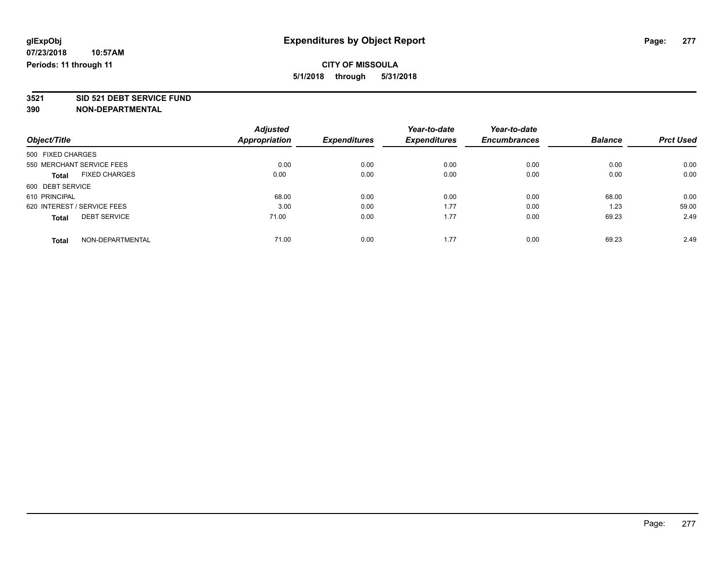# **3521 SID 521 DEBT SERVICE FUND**

|                             |                      | <b>Adjusted</b> |                     | Year-to-date        | Year-to-date        |                |                  |
|-----------------------------|----------------------|-----------------|---------------------|---------------------|---------------------|----------------|------------------|
| Object/Title                |                      | Appropriation   | <b>Expenditures</b> | <b>Expenditures</b> | <b>Encumbrances</b> | <b>Balance</b> | <b>Prct Used</b> |
| 500 FIXED CHARGES           |                      |                 |                     |                     |                     |                |                  |
| 550 MERCHANT SERVICE FEES   |                      | 0.00            | 0.00                | 0.00                | 0.00                | 0.00           | 0.00             |
| <b>Total</b>                | <b>FIXED CHARGES</b> | 0.00            | 0.00                | 0.00                | 0.00                | 0.00           | 0.00             |
| 600 DEBT SERVICE            |                      |                 |                     |                     |                     |                |                  |
| 610 PRINCIPAL               |                      | 68.00           | 0.00                | 0.00                | 0.00                | 68.00          | 0.00             |
| 620 INTEREST / SERVICE FEES |                      | 3.00            | 0.00                | 1.77                | 0.00                | 1.23           | 59.00            |
| <b>Total</b>                | <b>DEBT SERVICE</b>  | 71.00           | 0.00                | 1.77                | 0.00                | 69.23          | 2.49             |
| <b>Total</b>                | NON-DEPARTMENTAL     | 71.00           | 0.00                | 1.77                | 0.00                | 69.23          | 2.49             |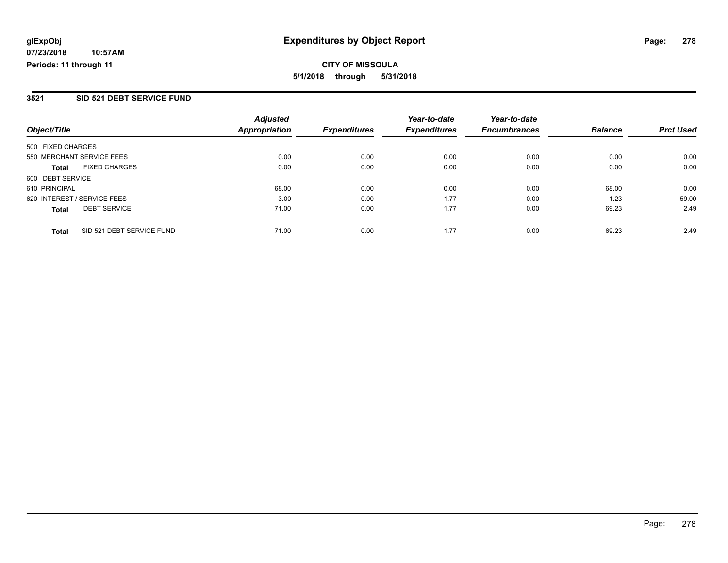### **3521 SID 521 DEBT SERVICE FUND**

|                                           | <b>Adjusted</b>      |                     | Year-to-date        | Year-to-date        |                |                  |
|-------------------------------------------|----------------------|---------------------|---------------------|---------------------|----------------|------------------|
| Object/Title                              | <b>Appropriation</b> | <b>Expenditures</b> | <b>Expenditures</b> | <b>Encumbrances</b> | <b>Balance</b> | <b>Prct Used</b> |
| 500 FIXED CHARGES                         |                      |                     |                     |                     |                |                  |
| 550 MERCHANT SERVICE FEES                 | 0.00                 | 0.00                | 0.00                | 0.00                | 0.00           | 0.00             |
| <b>FIXED CHARGES</b><br><b>Total</b>      | 0.00                 | 0.00                | 0.00                | 0.00                | 0.00           | 0.00             |
| 600 DEBT SERVICE                          |                      |                     |                     |                     |                |                  |
| 610 PRINCIPAL                             | 68.00                | 0.00                | 0.00                | 0.00                | 68.00          | 0.00             |
| 620 INTEREST / SERVICE FEES               | 3.00                 | 0.00                | 1.77                | 0.00                | 1.23           | 59.00            |
| <b>DEBT SERVICE</b><br><b>Total</b>       | 71.00                | 0.00                | 1.77                | 0.00                | 69.23          | 2.49             |
| SID 521 DEBT SERVICE FUND<br><b>Total</b> | 71.00                | 0.00                | 1.77                | 0.00                | 69.23          | 2.49             |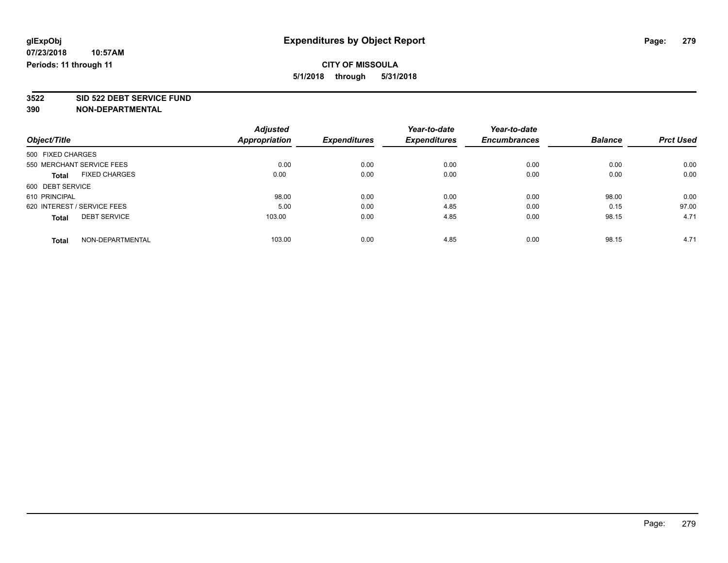**3522 SID 522 DEBT SERVICE FUND**

|                                      | <b>Adjusted</b>      |                     | Year-to-date        | Year-to-date        |                |                  |
|--------------------------------------|----------------------|---------------------|---------------------|---------------------|----------------|------------------|
| Object/Title                         | <b>Appropriation</b> | <b>Expenditures</b> | <b>Expenditures</b> | <b>Encumbrances</b> | <b>Balance</b> | <b>Prct Used</b> |
| 500 FIXED CHARGES                    |                      |                     |                     |                     |                |                  |
| 550 MERCHANT SERVICE FEES            | 0.00                 | 0.00                | 0.00                | 0.00                | 0.00           | 0.00             |
| <b>FIXED CHARGES</b><br><b>Total</b> | 0.00                 | 0.00                | 0.00                | 0.00                | 0.00           | 0.00             |
| 600 DEBT SERVICE                     |                      |                     |                     |                     |                |                  |
| 610 PRINCIPAL                        | 98.00                | 0.00                | 0.00                | 0.00                | 98.00          | 0.00             |
| 620 INTEREST / SERVICE FEES          | 5.00                 | 0.00                | 4.85                | 0.00                | 0.15           | 97.00            |
| <b>DEBT SERVICE</b><br><b>Total</b>  | 103.00               | 0.00                | 4.85                | 0.00                | 98.15          | 4.71             |
| NON-DEPARTMENTAL<br><b>Total</b>     | 103.00               | 0.00                | 4.85                | 0.00                | 98.15          | 4.71             |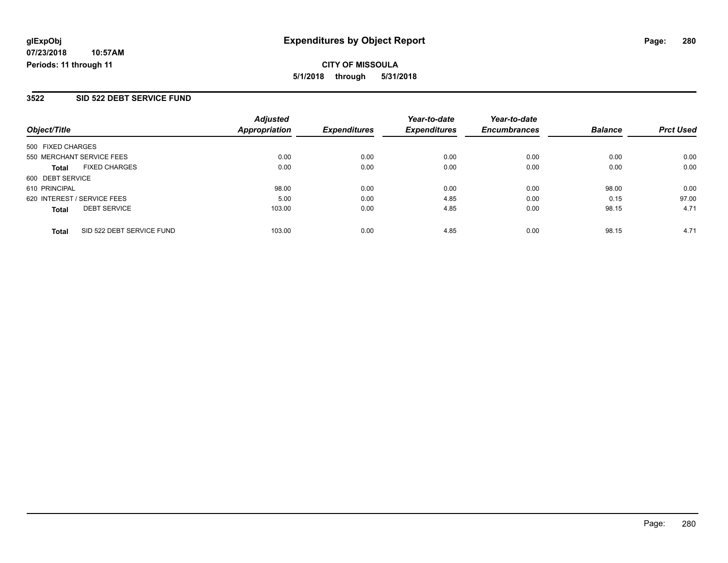### **3522 SID 522 DEBT SERVICE FUND**

| Object/Title                              | <b>Adjusted</b><br><b>Appropriation</b> | <b>Expenditures</b> | Year-to-date<br><b>Expenditures</b> | Year-to-date<br><b>Encumbrances</b> | <b>Balance</b> | <b>Prct Used</b> |
|-------------------------------------------|-----------------------------------------|---------------------|-------------------------------------|-------------------------------------|----------------|------------------|
|                                           |                                         |                     |                                     |                                     |                |                  |
| 500 FIXED CHARGES                         |                                         |                     |                                     |                                     |                |                  |
| 550 MERCHANT SERVICE FEES                 | 0.00                                    | 0.00                | 0.00                                | 0.00                                | 0.00           | 0.00             |
| <b>FIXED CHARGES</b><br><b>Total</b>      | 0.00                                    | 0.00                | 0.00                                | 0.00                                | 0.00           | 0.00             |
| 600 DEBT SERVICE                          |                                         |                     |                                     |                                     |                |                  |
| 610 PRINCIPAL                             | 98.00                                   | 0.00                | 0.00                                | 0.00                                | 98.00          | 0.00             |
| 620 INTEREST / SERVICE FEES               | 5.00                                    | 0.00                | 4.85                                | 0.00                                | 0.15           | 97.00            |
| <b>DEBT SERVICE</b><br><b>Total</b>       | 103.00                                  | 0.00                | 4.85                                | 0.00                                | 98.15          | 4.71             |
| SID 522 DEBT SERVICE FUND<br><b>Total</b> | 103.00                                  | 0.00                | 4.85                                | 0.00                                | 98.15          | 4.71             |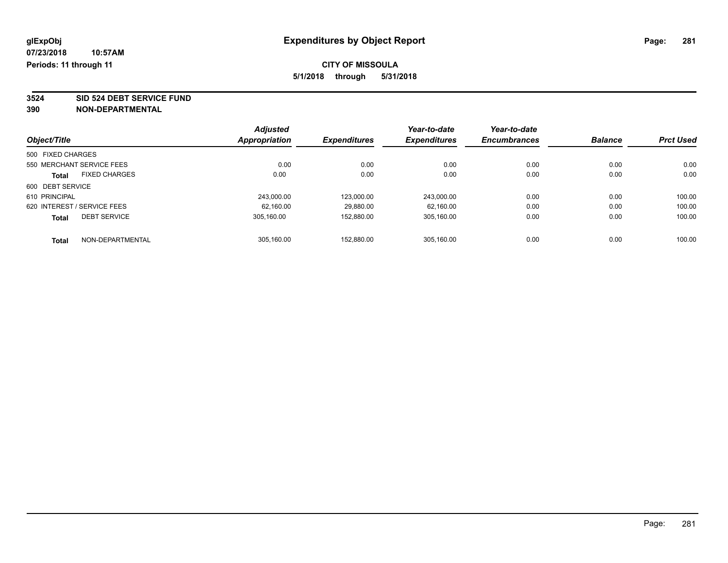**3524 SID 524 DEBT SERVICE FUND**

|                   |                             | <b>Adjusted</b> |                     | Year-to-date        | Year-to-date        |                |                  |
|-------------------|-----------------------------|-----------------|---------------------|---------------------|---------------------|----------------|------------------|
| Object/Title      |                             | Appropriation   | <b>Expenditures</b> | <b>Expenditures</b> | <b>Encumbrances</b> | <b>Balance</b> | <b>Prct Used</b> |
| 500 FIXED CHARGES |                             |                 |                     |                     |                     |                |                  |
|                   | 550 MERCHANT SERVICE FEES   | 0.00            | 0.00                | 0.00                | 0.00                | 0.00           | 0.00             |
| <b>Total</b>      | <b>FIXED CHARGES</b>        | 0.00            | 0.00                | 0.00                | 0.00                | 0.00           | 0.00             |
| 600 DEBT SERVICE  |                             |                 |                     |                     |                     |                |                  |
| 610 PRINCIPAL     |                             | 243,000.00      | 123.000.00          | 243,000.00          | 0.00                | 0.00           | 100.00           |
|                   | 620 INTEREST / SERVICE FEES | 62.160.00       | 29.880.00           | 62,160.00           | 0.00                | 0.00           | 100.00           |
| <b>Total</b>      | <b>DEBT SERVICE</b>         | 305.160.00      | 152.880.00          | 305.160.00          | 0.00                | 0.00           | 100.00           |
| <b>Total</b>      | NON-DEPARTMENTAL            | 305.160.00      | 152.880.00          | 305.160.00          | 0.00                | 0.00           | 100.00           |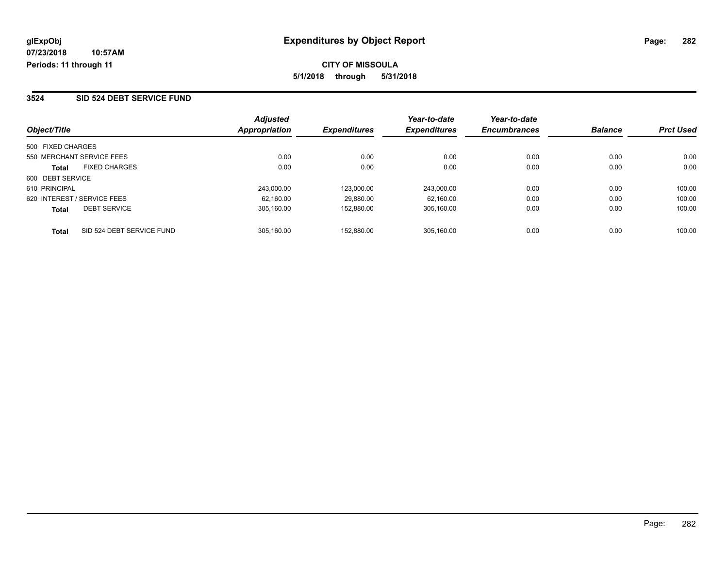#### **3524 SID 524 DEBT SERVICE FUND**

| Object/Title      |                             | <b>Adjusted</b><br><b>Appropriation</b> | <b>Expenditures</b> | Year-to-date<br><b>Expenditures</b> | Year-to-date<br><b>Encumbrances</b> | <b>Balance</b> | <b>Prct Used</b> |
|-------------------|-----------------------------|-----------------------------------------|---------------------|-------------------------------------|-------------------------------------|----------------|------------------|
|                   |                             |                                         |                     |                                     |                                     |                |                  |
| 500 FIXED CHARGES |                             |                                         |                     |                                     |                                     |                |                  |
|                   | 550 MERCHANT SERVICE FEES   | 0.00                                    | 0.00                | 0.00                                | 0.00                                | 0.00           | 0.00             |
| <b>Total</b>      | <b>FIXED CHARGES</b>        | 0.00                                    | 0.00                | 0.00                                | 0.00                                | 0.00           | 0.00             |
| 600 DEBT SERVICE  |                             |                                         |                     |                                     |                                     |                |                  |
| 610 PRINCIPAL     |                             | 243.000.00                              | 123.000.00          | 243.000.00                          | 0.00                                | 0.00           | 100.00           |
|                   | 620 INTEREST / SERVICE FEES | 62.160.00                               | 29.880.00           | 62.160.00                           | 0.00                                | 0.00           | 100.00           |
| <b>Total</b>      | <b>DEBT SERVICE</b>         | 305.160.00                              | 152.880.00          | 305.160.00                          | 0.00                                | 0.00           | 100.00           |
| <b>Total</b>      | SID 524 DEBT SERVICE FUND   | 305.160.00                              | 152.880.00          | 305.160.00                          | 0.00                                | 0.00           | 100.00           |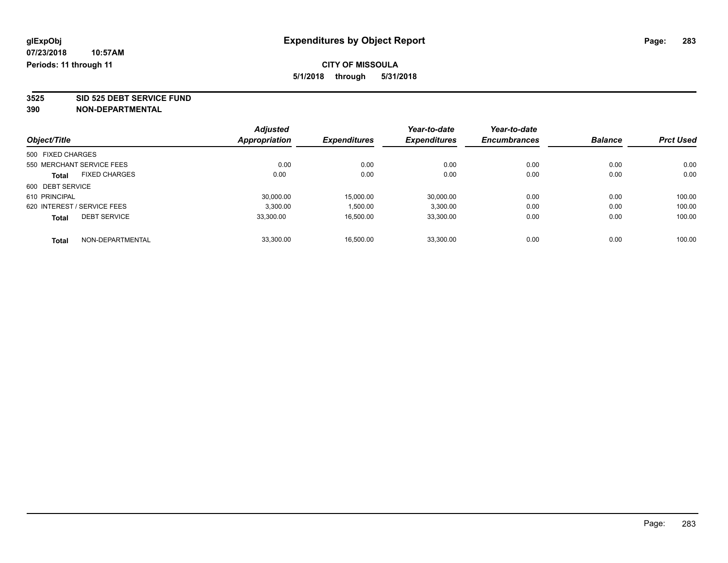**3525 SID 525 DEBT SERVICE FUND**

|                             |                      | <b>Adjusted</b> |                     | Year-to-date        | Year-to-date        |                |                  |
|-----------------------------|----------------------|-----------------|---------------------|---------------------|---------------------|----------------|------------------|
| Object/Title                |                      | Appropriation   | <b>Expenditures</b> | <b>Expenditures</b> | <b>Encumbrances</b> | <b>Balance</b> | <b>Prct Used</b> |
| 500 FIXED CHARGES           |                      |                 |                     |                     |                     |                |                  |
| 550 MERCHANT SERVICE FEES   |                      | 0.00            | 0.00                | 0.00                | 0.00                | 0.00           | 0.00             |
| <b>Total</b>                | <b>FIXED CHARGES</b> | 0.00            | 0.00                | 0.00                | 0.00                | 0.00           | 0.00             |
| 600 DEBT SERVICE            |                      |                 |                     |                     |                     |                |                  |
| 610 PRINCIPAL               |                      | 30,000.00       | 15,000.00           | 30,000.00           | 0.00                | 0.00           | 100.00           |
| 620 INTEREST / SERVICE FEES |                      | 3.300.00        | 1,500.00            | 3,300.00            | 0.00                | 0.00           | 100.00           |
| <b>Total</b>                | <b>DEBT SERVICE</b>  | 33.300.00       | 16.500.00           | 33.300.00           | 0.00                | 0.00           | 100.00           |
| <b>Total</b>                | NON-DEPARTMENTAL     | 33.300.00       | 16.500.00           | 33.300.00           | 0.00                | 0.00           | 100.00           |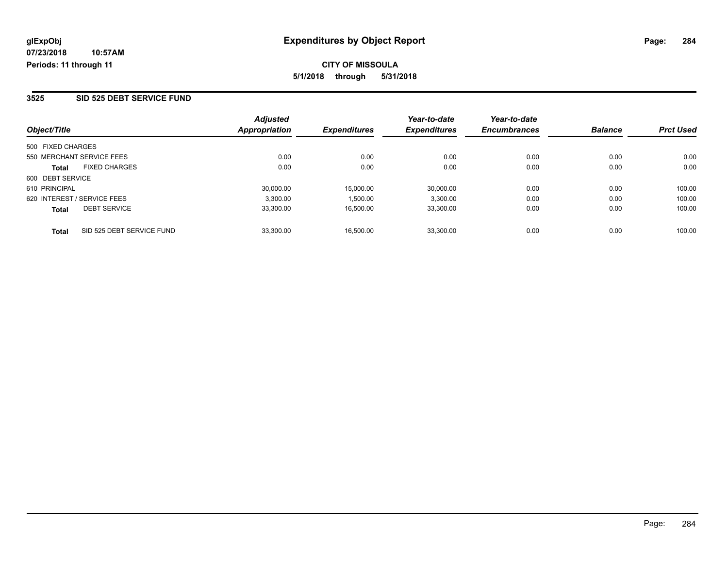### **3525 SID 525 DEBT SERVICE FUND**

|                                           | <b>Adjusted</b>      |                     | Year-to-date        | Year-to-date        | <b>Balance</b> | <b>Prct Used</b> |
|-------------------------------------------|----------------------|---------------------|---------------------|---------------------|----------------|------------------|
| Object/Title                              | <b>Appropriation</b> | <b>Expenditures</b> | <b>Expenditures</b> | <b>Encumbrances</b> |                |                  |
| 500 FIXED CHARGES                         |                      |                     |                     |                     |                |                  |
| 550 MERCHANT SERVICE FEES                 | 0.00                 | 0.00                | 0.00                | 0.00                | 0.00           | 0.00             |
| <b>FIXED CHARGES</b><br><b>Total</b>      | 0.00                 | 0.00                | 0.00                | 0.00                | 0.00           | 0.00             |
| 600 DEBT SERVICE                          |                      |                     |                     |                     |                |                  |
| 610 PRINCIPAL                             | 30.000.00            | 15,000.00           | 30.000.00           | 0.00                | 0.00           | 100.00           |
| 620 INTEREST / SERVICE FEES               | 3.300.00             | 1,500.00            | 3,300.00            | 0.00                | 0.00           | 100.00           |
| <b>DEBT SERVICE</b><br><b>Total</b>       | 33.300.00            | 16.500.00           | 33.300.00           | 0.00                | 0.00           | 100.00           |
| SID 525 DEBT SERVICE FUND<br><b>Total</b> | 33.300.00            | 16.500.00           | 33.300.00           | 0.00                | 0.00           | 100.00           |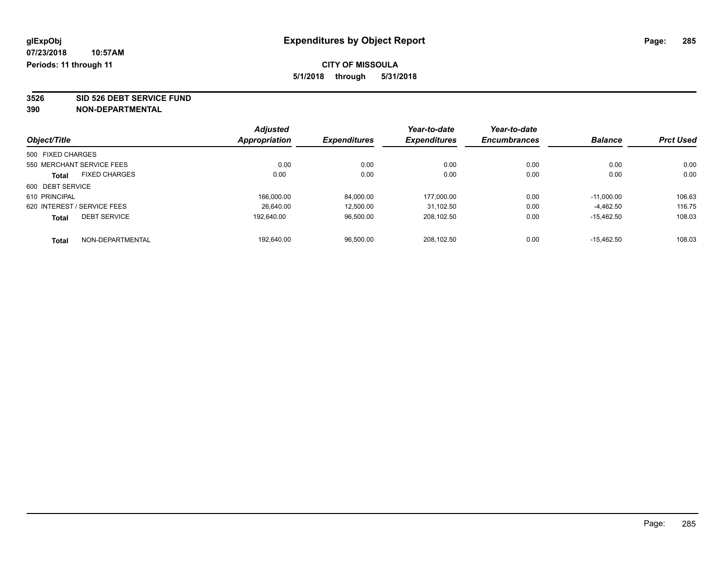**3526 SID 526 DEBT SERVICE FUND**

|                   |                             | <b>Adjusted</b> |                     | Year-to-date        | Year-to-date        |                |                  |
|-------------------|-----------------------------|-----------------|---------------------|---------------------|---------------------|----------------|------------------|
| Object/Title      |                             | Appropriation   | <b>Expenditures</b> | <b>Expenditures</b> | <b>Encumbrances</b> | <b>Balance</b> | <b>Prct Used</b> |
| 500 FIXED CHARGES |                             |                 |                     |                     |                     |                |                  |
|                   | 550 MERCHANT SERVICE FEES   | 0.00            | 0.00                | 0.00                | 0.00                | 0.00           | 0.00             |
| Total             | <b>FIXED CHARGES</b>        | 0.00            | 0.00                | 0.00                | 0.00                | 0.00           | 0.00             |
| 600 DEBT SERVICE  |                             |                 |                     |                     |                     |                |                  |
| 610 PRINCIPAL     |                             | 166.000.00      | 84,000.00           | 177,000.00          | 0.00                | $-11.000.00$   | 106.63           |
|                   | 620 INTEREST / SERVICE FEES | 26.640.00       | 12,500.00           | 31.102.50           | 0.00                | $-4.462.50$    | 116.75           |
| <b>Total</b>      | <b>DEBT SERVICE</b>         | 192.640.00      | 96.500.00           | 208.102.50          | 0.00                | $-15.462.50$   | 108.03           |
| <b>Total</b>      | NON-DEPARTMENTAL            | 192.640.00      | 96.500.00           | 208.102.50          | 0.00                | $-15.462.50$   | 108.03           |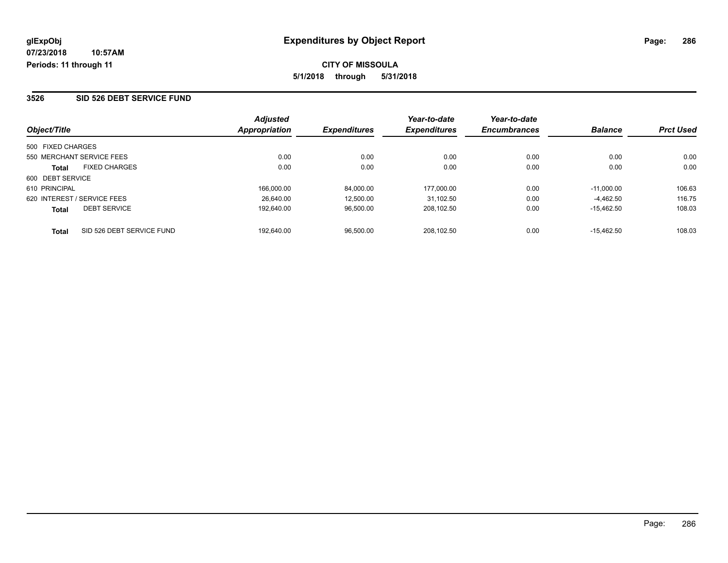#### **3526 SID 526 DEBT SERVICE FUND**

| Object/Title                              | <b>Adjusted</b><br>Appropriation | <b>Expenditures</b> | Year-to-date<br><b>Expenditures</b> | Year-to-date<br><b>Encumbrances</b> | <b>Balance</b> | <b>Prct Used</b> |
|-------------------------------------------|----------------------------------|---------------------|-------------------------------------|-------------------------------------|----------------|------------------|
|                                           |                                  |                     |                                     |                                     |                |                  |
| 500 FIXED CHARGES                         |                                  |                     |                                     |                                     |                |                  |
| 550 MERCHANT SERVICE FEES                 | 0.00                             | 0.00                | 0.00                                | 0.00                                | 0.00           | 0.00             |
| <b>FIXED CHARGES</b><br>Total             | 0.00                             | 0.00                | 0.00                                | 0.00                                | 0.00           | 0.00             |
| 600 DEBT SERVICE                          |                                  |                     |                                     |                                     |                |                  |
| 610 PRINCIPAL                             | 166.000.00                       | 84.000.00           | 177.000.00                          | 0.00                                | $-11.000.00$   | 106.63           |
| 620 INTEREST / SERVICE FEES               | 26.640.00                        | 12,500.00           | 31.102.50                           | 0.00                                | $-4.462.50$    | 116.75           |
| <b>DEBT SERVICE</b><br><b>Total</b>       | 192.640.00                       | 96,500.00           | 208.102.50                          | 0.00                                | $-15.462.50$   | 108.03           |
| SID 526 DEBT SERVICE FUND<br><b>Total</b> | 192.640.00                       | 96.500.00           | 208.102.50                          | 0.00                                | $-15.462.50$   | 108.03           |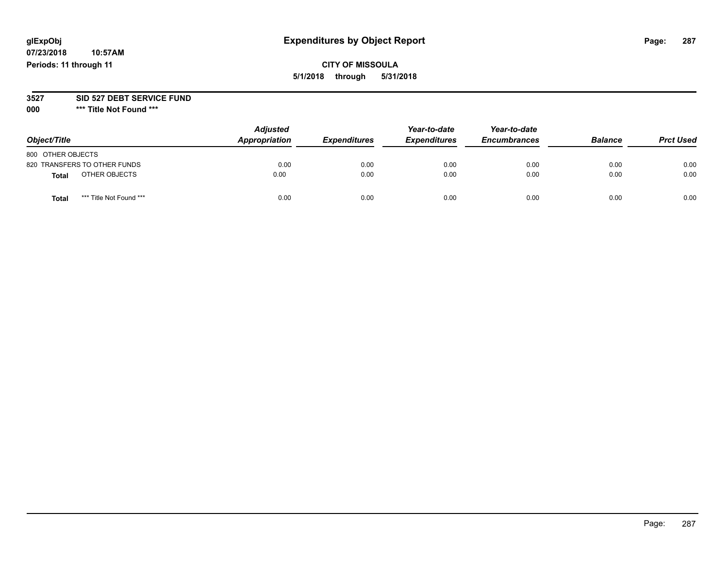#### **07/23/2018 10:57AM Periods: 11 through 11**

## **CITY OF MISSOULA 5/1/2018 through 5/31/2018**

#### **3527 SID 527 DEBT SERVICE FUND**

**000 \*\*\* Title Not Found \*\*\***

| Object/Title                     | <b>Adjusted</b><br>Appropriation | <b>Expenditures</b> | Year-to-date<br><b>Expenditures</b> | Year-to-date<br><b>Encumbrances</b> | <b>Balance</b> | <b>Prct Used</b> |
|----------------------------------|----------------------------------|---------------------|-------------------------------------|-------------------------------------|----------------|------------------|
| 800 OTHER OBJECTS                |                                  |                     |                                     |                                     |                |                  |
| 820 TRANSFERS TO OTHER FUNDS     | 0.00                             | 0.00                | 0.00                                | 0.00                                | 0.00           | 0.00             |
| OTHER OBJECTS<br><b>Total</b>    | 0.00                             | 0.00                | 0.00                                | 0.00                                | 0.00           | 0.00             |
| *** Title Not Found ***<br>Total | 0.00                             | 0.00                | 0.00                                | 0.00                                | 0.00           | 0.00             |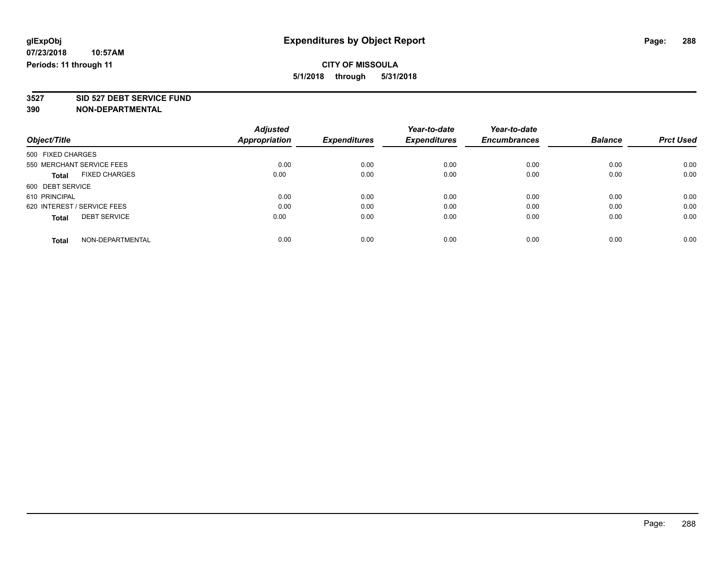# **3527 SID 527 DEBT SERVICE FUND**

|                             |                      | <b>Adjusted</b> |                     | Year-to-date        | Year-to-date        |                |                  |
|-----------------------------|----------------------|-----------------|---------------------|---------------------|---------------------|----------------|------------------|
| Object/Title                |                      | Appropriation   | <b>Expenditures</b> | <b>Expenditures</b> | <b>Encumbrances</b> | <b>Balance</b> | <b>Prct Used</b> |
| 500 FIXED CHARGES           |                      |                 |                     |                     |                     |                |                  |
| 550 MERCHANT SERVICE FEES   |                      | 0.00            | 0.00                | 0.00                | 0.00                | 0.00           | 0.00             |
| <b>Total</b>                | <b>FIXED CHARGES</b> | 0.00            | 0.00                | 0.00                | 0.00                | 0.00           | 0.00             |
| 600 DEBT SERVICE            |                      |                 |                     |                     |                     |                |                  |
| 610 PRINCIPAL               |                      | 0.00            | 0.00                | 0.00                | 0.00                | 0.00           | 0.00             |
| 620 INTEREST / SERVICE FEES |                      | 0.00            | 0.00                | 0.00                | 0.00                | 0.00           | 0.00             |
| <b>Total</b>                | <b>DEBT SERVICE</b>  | 0.00            | 0.00                | 0.00                | 0.00                | 0.00           | 0.00             |
| <b>Total</b>                | NON-DEPARTMENTAL     | 0.00            | 0.00                | 0.00                | 0.00                | 0.00           | 0.00             |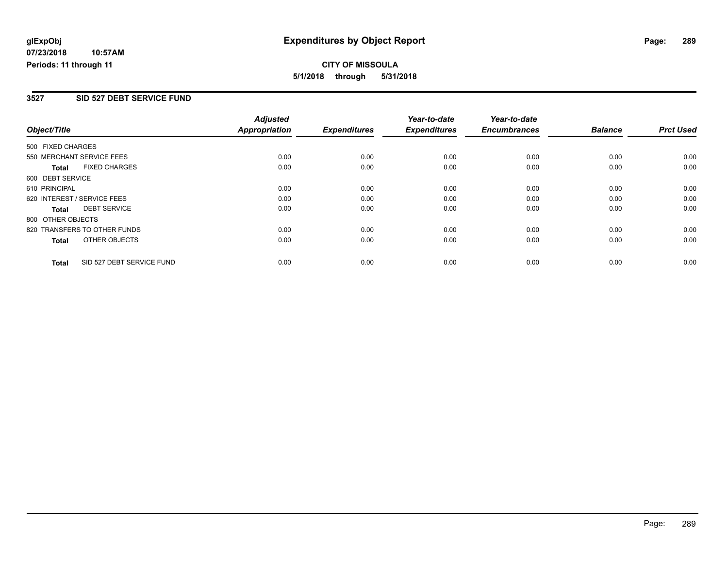### **3527 SID 527 DEBT SERVICE FUND**

|                   |                              | <b>Adjusted</b>      |                     | Year-to-date        | Year-to-date        |                |                  |
|-------------------|------------------------------|----------------------|---------------------|---------------------|---------------------|----------------|------------------|
| Object/Title      |                              | <b>Appropriation</b> | <b>Expenditures</b> | <b>Expenditures</b> | <b>Encumbrances</b> | <b>Balance</b> | <b>Prct Used</b> |
| 500 FIXED CHARGES |                              |                      |                     |                     |                     |                |                  |
|                   | 550 MERCHANT SERVICE FEES    | 0.00                 | 0.00                | 0.00                | 0.00                | 0.00           | 0.00             |
| <b>Total</b>      | <b>FIXED CHARGES</b>         | 0.00                 | 0.00                | 0.00                | 0.00                | 0.00           | 0.00             |
| 600 DEBT SERVICE  |                              |                      |                     |                     |                     |                |                  |
| 610 PRINCIPAL     |                              | 0.00                 | 0.00                | 0.00                | 0.00                | 0.00           | 0.00             |
|                   | 620 INTEREST / SERVICE FEES  | 0.00                 | 0.00                | 0.00                | 0.00                | 0.00           | 0.00             |
| Total             | <b>DEBT SERVICE</b>          | 0.00                 | 0.00                | 0.00                | 0.00                | 0.00           | 0.00             |
| 800 OTHER OBJECTS |                              |                      |                     |                     |                     |                |                  |
|                   | 820 TRANSFERS TO OTHER FUNDS | 0.00                 | 0.00                | 0.00                | 0.00                | 0.00           | 0.00             |
| Total             | OTHER OBJECTS                | 0.00                 | 0.00                | 0.00                | 0.00                | 0.00           | 0.00             |
| <b>Total</b>      | SID 527 DEBT SERVICE FUND    | 0.00                 | 0.00                | 0.00                | 0.00                | 0.00           | 0.00             |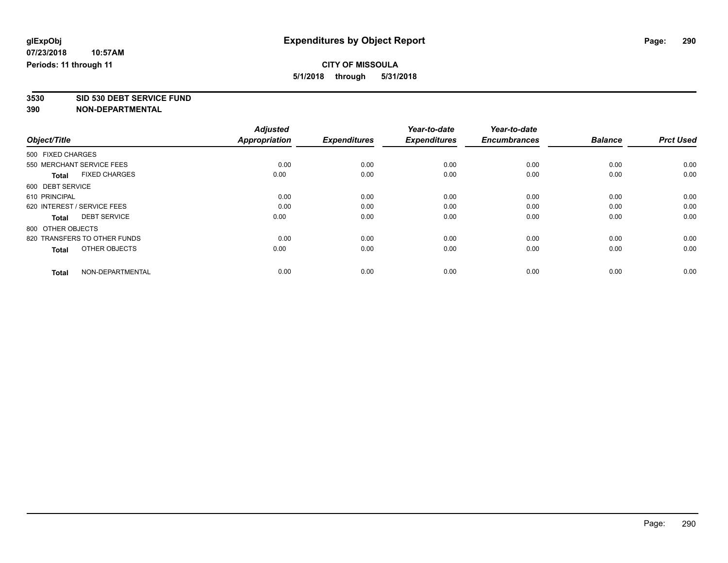**3530 SID 530 DEBT SERVICE FUND**

|                                      | <b>Adjusted</b>      |                     | Year-to-date        | Year-to-date        |                |                  |
|--------------------------------------|----------------------|---------------------|---------------------|---------------------|----------------|------------------|
| Object/Title                         | <b>Appropriation</b> | <b>Expenditures</b> | <b>Expenditures</b> | <b>Encumbrances</b> | <b>Balance</b> | <b>Prct Used</b> |
| 500 FIXED CHARGES                    |                      |                     |                     |                     |                |                  |
| 550 MERCHANT SERVICE FEES            | 0.00                 | 0.00                | 0.00                | 0.00                | 0.00           | 0.00             |
| <b>FIXED CHARGES</b><br><b>Total</b> | 0.00                 | 0.00                | 0.00                | 0.00                | 0.00           | 0.00             |
| 600 DEBT SERVICE                     |                      |                     |                     |                     |                |                  |
| 610 PRINCIPAL                        | 0.00                 | 0.00                | 0.00                | 0.00                | 0.00           | 0.00             |
| 620 INTEREST / SERVICE FEES          | 0.00                 | 0.00                | 0.00                | 0.00                | 0.00           | 0.00             |
| <b>DEBT SERVICE</b><br><b>Total</b>  | 0.00                 | 0.00                | 0.00                | 0.00                | 0.00           | 0.00             |
| 800 OTHER OBJECTS                    |                      |                     |                     |                     |                |                  |
| 820 TRANSFERS TO OTHER FUNDS         | 0.00                 | 0.00                | 0.00                | 0.00                | 0.00           | 0.00             |
| OTHER OBJECTS<br><b>Total</b>        | 0.00                 | 0.00                | 0.00                | 0.00                | 0.00           | 0.00             |
|                                      |                      |                     |                     |                     |                |                  |
| NON-DEPARTMENTAL<br><b>Total</b>     | 0.00                 | 0.00                | 0.00                | 0.00                | 0.00           | 0.00             |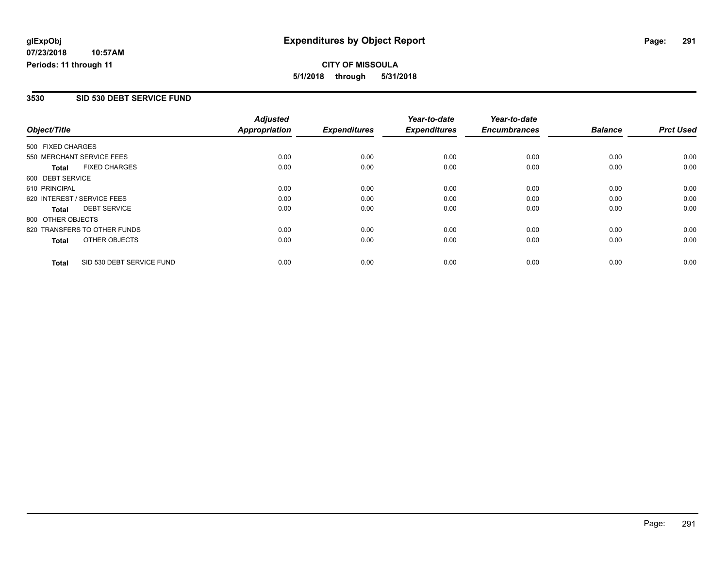### **3530 SID 530 DEBT SERVICE FUND**

|                   |                              | <b>Adjusted</b>      |                     | Year-to-date        | Year-to-date        |                |                  |
|-------------------|------------------------------|----------------------|---------------------|---------------------|---------------------|----------------|------------------|
| Object/Title      |                              | <b>Appropriation</b> | <b>Expenditures</b> | <b>Expenditures</b> | <b>Encumbrances</b> | <b>Balance</b> | <b>Prct Used</b> |
| 500 FIXED CHARGES |                              |                      |                     |                     |                     |                |                  |
|                   | 550 MERCHANT SERVICE FEES    | 0.00                 | 0.00                | 0.00                | 0.00                | 0.00           | 0.00             |
| <b>Total</b>      | <b>FIXED CHARGES</b>         | 0.00                 | 0.00                | 0.00                | 0.00                | 0.00           | 0.00             |
| 600 DEBT SERVICE  |                              |                      |                     |                     |                     |                |                  |
| 610 PRINCIPAL     |                              | 0.00                 | 0.00                | 0.00                | 0.00                | 0.00           | 0.00             |
|                   | 620 INTEREST / SERVICE FEES  | 0.00                 | 0.00                | 0.00                | 0.00                | 0.00           | 0.00             |
| Total             | <b>DEBT SERVICE</b>          | 0.00                 | 0.00                | 0.00                | 0.00                | 0.00           | 0.00             |
| 800 OTHER OBJECTS |                              |                      |                     |                     |                     |                |                  |
|                   | 820 TRANSFERS TO OTHER FUNDS | 0.00                 | 0.00                | 0.00                | 0.00                | 0.00           | 0.00             |
| Total             | OTHER OBJECTS                | 0.00                 | 0.00                | 0.00                | 0.00                | 0.00           | 0.00             |
| <b>Total</b>      | SID 530 DEBT SERVICE FUND    | 0.00                 | 0.00                | 0.00                | 0.00                | 0.00           | 0.00             |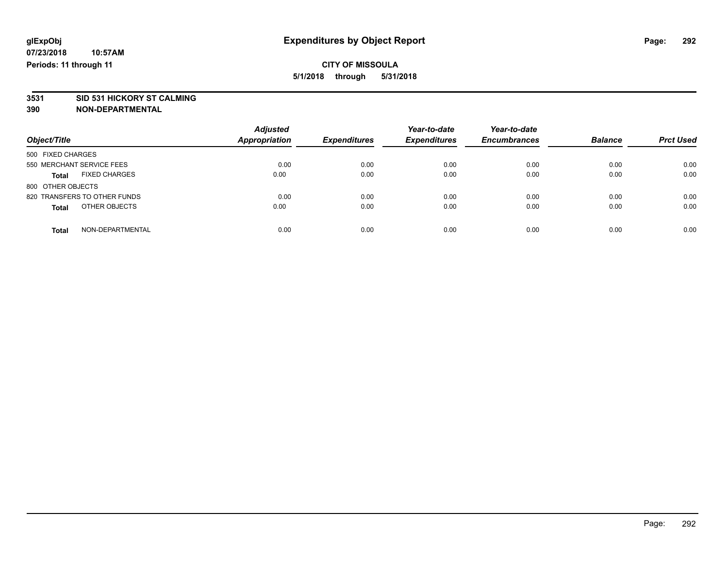# **3531 SID 531 HICKORY ST CALMING**

|                                      | <b>Adjusted</b>      |                     | Year-to-date        | Year-to-date        |                |                  |
|--------------------------------------|----------------------|---------------------|---------------------|---------------------|----------------|------------------|
| Object/Title                         | <b>Appropriation</b> | <b>Expenditures</b> | <b>Expenditures</b> | <b>Encumbrances</b> | <b>Balance</b> | <b>Prct Used</b> |
| 500 FIXED CHARGES                    |                      |                     |                     |                     |                |                  |
| 550 MERCHANT SERVICE FEES            | 0.00                 | 0.00                | 0.00                | 0.00                | 0.00           | 0.00             |
| <b>FIXED CHARGES</b><br><b>Total</b> | 0.00                 | 0.00                | 0.00                | 0.00                | 0.00           | 0.00             |
| 800 OTHER OBJECTS                    |                      |                     |                     |                     |                |                  |
| 820 TRANSFERS TO OTHER FUNDS         | 0.00                 | 0.00                | 0.00                | 0.00                | 0.00           | 0.00             |
| OTHER OBJECTS<br><b>Total</b>        | 0.00                 | 0.00                | 0.00                | 0.00                | 0.00           | 0.00             |
| NON-DEPARTMENTAL<br>Total            | 0.00                 | 0.00                | 0.00                | 0.00                | 0.00           | 0.00             |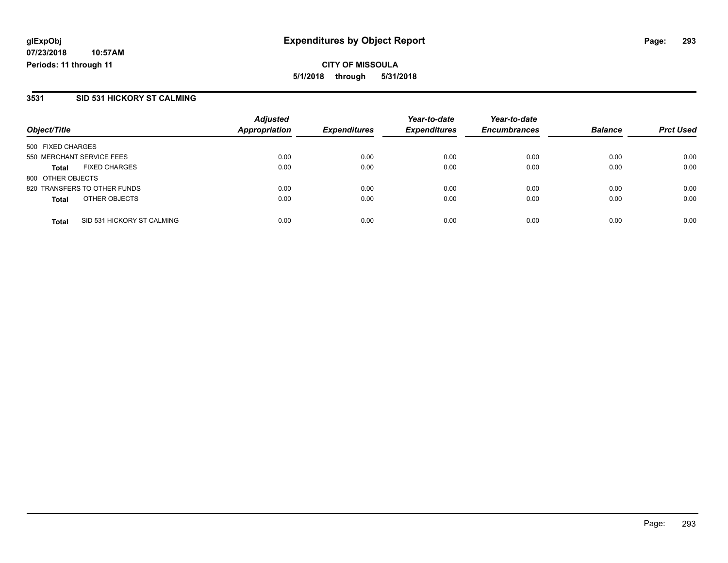**CITY OF MISSOULA 5/1/2018 through 5/31/2018**

### **3531 SID 531 HICKORY ST CALMING**

|                           |                              | <b>Adjusted</b>      |                     | Year-to-date        | Year-to-date        |                |                  |
|---------------------------|------------------------------|----------------------|---------------------|---------------------|---------------------|----------------|------------------|
| Object/Title              |                              | <b>Appropriation</b> | <b>Expenditures</b> | <b>Expenditures</b> | <b>Encumbrances</b> | <b>Balance</b> | <b>Prct Used</b> |
| 500 FIXED CHARGES         |                              |                      |                     |                     |                     |                |                  |
| 550 MERCHANT SERVICE FEES |                              | 0.00                 | 0.00                | 0.00                | 0.00                | 0.00           | 0.00             |
| <b>Total</b>              | <b>FIXED CHARGES</b>         | 0.00                 | 0.00                | 0.00                | 0.00                | 0.00           | 0.00             |
| 800 OTHER OBJECTS         |                              |                      |                     |                     |                     |                |                  |
|                           | 820 TRANSFERS TO OTHER FUNDS | 0.00                 | 0.00                | 0.00                | 0.00                | 0.00           | 0.00             |
| <b>Total</b>              | OTHER OBJECTS                | 0.00                 | 0.00                | 0.00                | 0.00                | 0.00           | 0.00             |
| <b>Total</b>              | SID 531 HICKORY ST CALMING   | 0.00                 | 0.00                | 0.00                | 0.00                | 0.00           | 0.00             |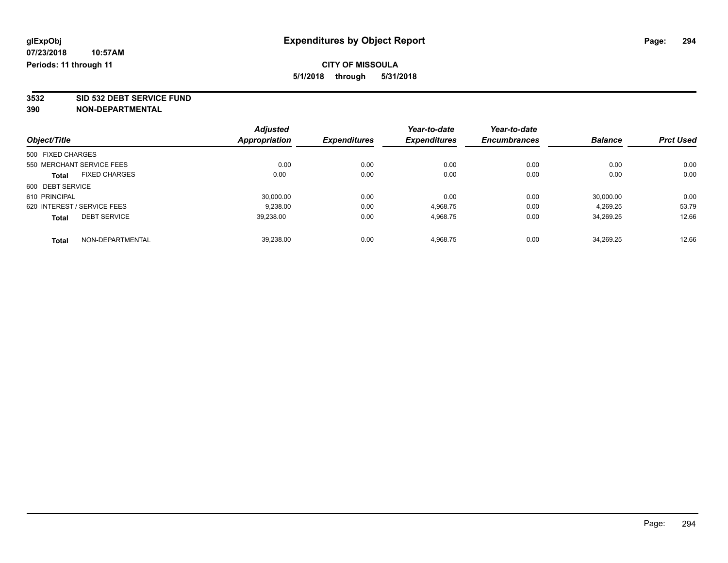**3532 SID 532 DEBT SERVICE FUND**

|                                      | <b>Adjusted</b> |                     | Year-to-date        | Year-to-date        |                |                  |
|--------------------------------------|-----------------|---------------------|---------------------|---------------------|----------------|------------------|
| Object/Title                         | Appropriation   | <b>Expenditures</b> | <b>Expenditures</b> | <b>Encumbrances</b> | <b>Balance</b> | <b>Prct Used</b> |
| 500 FIXED CHARGES                    |                 |                     |                     |                     |                |                  |
| 550 MERCHANT SERVICE FEES            | 0.00            | 0.00                | 0.00                | 0.00                | 0.00           | 0.00             |
| <b>FIXED CHARGES</b><br><b>Total</b> | 0.00            | 0.00                | 0.00                | 0.00                | 0.00           | 0.00             |
| 600 DEBT SERVICE                     |                 |                     |                     |                     |                |                  |
| 610 PRINCIPAL                        | 30,000.00       | 0.00                | 0.00                | 0.00                | 30,000.00      | 0.00             |
| 620 INTEREST / SERVICE FEES          | 9,238.00        | 0.00                | 4,968.75            | 0.00                | 4,269.25       | 53.79            |
| <b>DEBT SERVICE</b><br><b>Total</b>  | 39.238.00       | 0.00                | 4.968.75            | 0.00                | 34.269.25      | 12.66            |
| NON-DEPARTMENTAL<br><b>Total</b>     | 39.238.00       | 0.00                | 4.968.75            | 0.00                | 34.269.25      | 12.66            |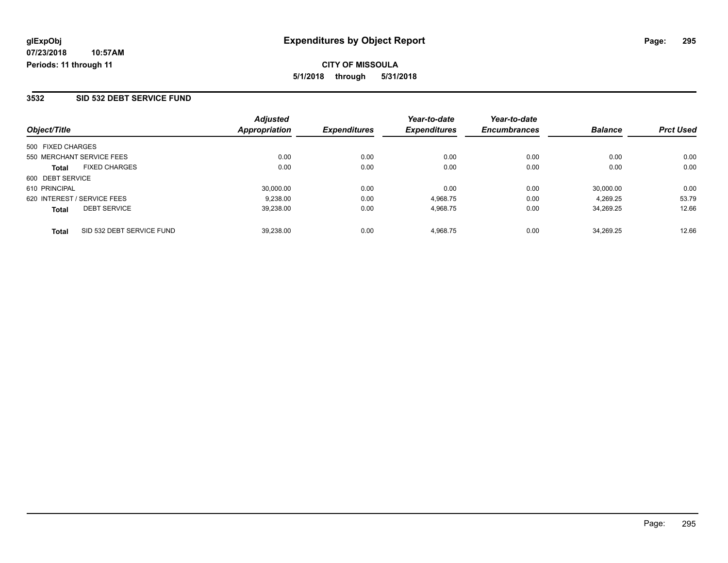### **3532 SID 532 DEBT SERVICE FUND**

|                                           | <b>Adjusted</b>      |                     | Year-to-date        | Year-to-date        |                |                  |
|-------------------------------------------|----------------------|---------------------|---------------------|---------------------|----------------|------------------|
| Object/Title                              | <b>Appropriation</b> | <b>Expenditures</b> | <b>Expenditures</b> | <b>Encumbrances</b> | <b>Balance</b> | <b>Prct Used</b> |
| 500 FIXED CHARGES                         |                      |                     |                     |                     |                |                  |
| 550 MERCHANT SERVICE FEES                 | 0.00                 | 0.00                | 0.00                | 0.00                | 0.00           | 0.00             |
| <b>FIXED CHARGES</b><br><b>Total</b>      | 0.00                 | 0.00                | 0.00                | 0.00                | 0.00           | 0.00             |
| 600 DEBT SERVICE                          |                      |                     |                     |                     |                |                  |
| 610 PRINCIPAL                             | 30,000.00            | 0.00                | 0.00                | 0.00                | 30.000.00      | 0.00             |
| 620 INTEREST / SERVICE FEES               | 9.238.00             | 0.00                | 4,968.75            | 0.00                | 4.269.25       | 53.79            |
| <b>DEBT SERVICE</b><br><b>Total</b>       | 39.238.00            | 0.00                | 4.968.75            | 0.00                | 34.269.25      | 12.66            |
| SID 532 DEBT SERVICE FUND<br><b>Total</b> | 39.238.00            | 0.00                | 4.968.75            | 0.00                | 34.269.25      | 12.66            |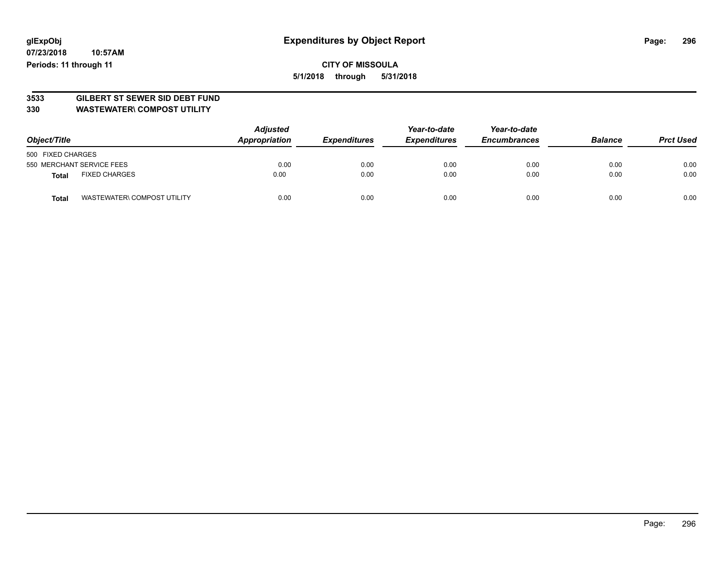**CITY OF MISSOULA 5/1/2018 through 5/31/2018**

# **3533 GILBERT ST SEWER SID DEBT FUND**

# **330 WASTEWATER\ COMPOST UTILITY**

| Object/Title                         | <b>Adjusted</b><br>Appropriation | <i><b>Expenditures</b></i> | Year-to-date<br><b>Expenditures</b> | Year-to-date<br><b>Encumbrances</b> | <b>Balance</b> | <b>Prct Used</b> |
|--------------------------------------|----------------------------------|----------------------------|-------------------------------------|-------------------------------------|----------------|------------------|
| 500 FIXED CHARGES                    |                                  |                            |                                     |                                     |                |                  |
| 550 MERCHANT SERVICE FEES            | 0.00                             | 0.00                       | 0.00                                | 0.00                                | 0.00           | 0.00             |
| <b>FIXED CHARGES</b><br>Total        | 0.00                             | 0.00                       | 0.00                                | 0.00                                | 0.00           | 0.00             |
| WASTEWATER\ COMPOST UTILITY<br>Total | 0.00                             | 0.00                       | 0.00                                | 0.00                                | 0.00           | 0.00             |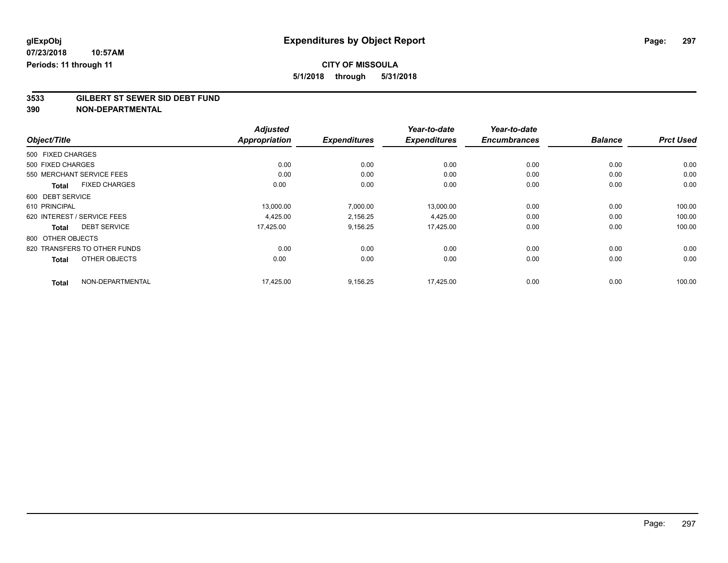# **3533 GILBERT ST SEWER SID DEBT FUND**

|                                      | <b>Adjusted</b><br><b>Appropriation</b> | <b>Expenditures</b> | Year-to-date<br><b>Expenditures</b> | Year-to-date<br><b>Encumbrances</b> | <b>Balance</b> | <b>Prct Used</b> |
|--------------------------------------|-----------------------------------------|---------------------|-------------------------------------|-------------------------------------|----------------|------------------|
| Object/Title                         |                                         |                     |                                     |                                     |                |                  |
| 500 FIXED CHARGES                    |                                         |                     |                                     |                                     |                |                  |
| 500 FIXED CHARGES                    | 0.00                                    | 0.00                | 0.00                                | 0.00                                | 0.00           | 0.00             |
| 550 MERCHANT SERVICE FEES            | 0.00                                    | 0.00                | 0.00                                | 0.00                                | 0.00           | 0.00             |
| <b>FIXED CHARGES</b><br><b>Total</b> | 0.00                                    | 0.00                | 0.00                                | 0.00                                | 0.00           | 0.00             |
| 600 DEBT SERVICE                     |                                         |                     |                                     |                                     |                |                  |
| 610 PRINCIPAL                        | 13,000.00                               | 7,000.00            | 13,000.00                           | 0.00                                | 0.00           | 100.00           |
| 620 INTEREST / SERVICE FEES          | 4,425.00                                | 2,156.25            | 4,425.00                            | 0.00                                | 0.00           | 100.00           |
| <b>DEBT SERVICE</b><br><b>Total</b>  | 17,425.00                               | 9,156.25            | 17,425.00                           | 0.00                                | 0.00           | 100.00           |
| 800 OTHER OBJECTS                    |                                         |                     |                                     |                                     |                |                  |
| 820 TRANSFERS TO OTHER FUNDS         | 0.00                                    | 0.00                | 0.00                                | 0.00                                | 0.00           | 0.00             |
| OTHER OBJECTS<br><b>Total</b>        | 0.00                                    | 0.00                | 0.00                                | 0.00                                | 0.00           | 0.00             |
| NON-DEPARTMENTAL<br><b>Total</b>     | 17,425.00                               | 9,156.25            | 17,425.00                           | 0.00                                | 0.00           | 100.00           |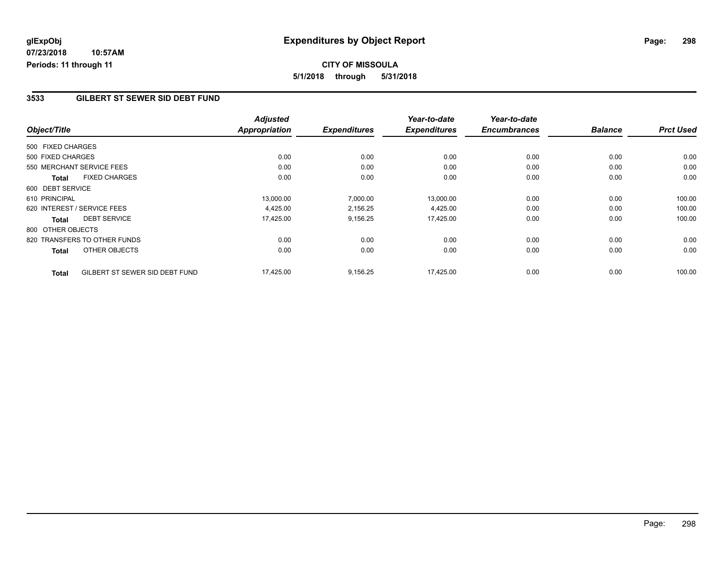**5/1/2018 through 5/31/2018**

### **3533 GILBERT ST SEWER SID DEBT FUND**

|                   |                                | <b>Adjusted</b> |                     | Year-to-date        | Year-to-date        |                |                  |
|-------------------|--------------------------------|-----------------|---------------------|---------------------|---------------------|----------------|------------------|
| Object/Title      |                                | Appropriation   | <b>Expenditures</b> | <b>Expenditures</b> | <b>Encumbrances</b> | <b>Balance</b> | <b>Prct Used</b> |
| 500 FIXED CHARGES |                                |                 |                     |                     |                     |                |                  |
| 500 FIXED CHARGES |                                | 0.00            | 0.00                | 0.00                | 0.00                | 0.00           | 0.00             |
|                   | 550 MERCHANT SERVICE FEES      | 0.00            | 0.00                | 0.00                | 0.00                | 0.00           | 0.00             |
| <b>Total</b>      | <b>FIXED CHARGES</b>           | 0.00            | 0.00                | 0.00                | 0.00                | 0.00           | 0.00             |
| 600 DEBT SERVICE  |                                |                 |                     |                     |                     |                |                  |
| 610 PRINCIPAL     |                                | 13,000.00       | 7,000.00            | 13,000.00           | 0.00                | 0.00           | 100.00           |
|                   | 620 INTEREST / SERVICE FEES    | 4,425.00        | 2,156.25            | 4,425.00            | 0.00                | 0.00           | 100.00           |
| <b>Total</b>      | <b>DEBT SERVICE</b>            | 17,425.00       | 9,156.25            | 17,425.00           | 0.00                | 0.00           | 100.00           |
| 800 OTHER OBJECTS |                                |                 |                     |                     |                     |                |                  |
|                   | 820 TRANSFERS TO OTHER FUNDS   | 0.00            | 0.00                | 0.00                | 0.00                | 0.00           | 0.00             |
| <b>Total</b>      | OTHER OBJECTS                  | 0.00            | 0.00                | 0.00                | 0.00                | 0.00           | 0.00             |
| <b>Total</b>      | GILBERT ST SEWER SID DEBT FUND | 17,425.00       | 9,156.25            | 17,425.00           | 0.00                | 0.00           | 100.00           |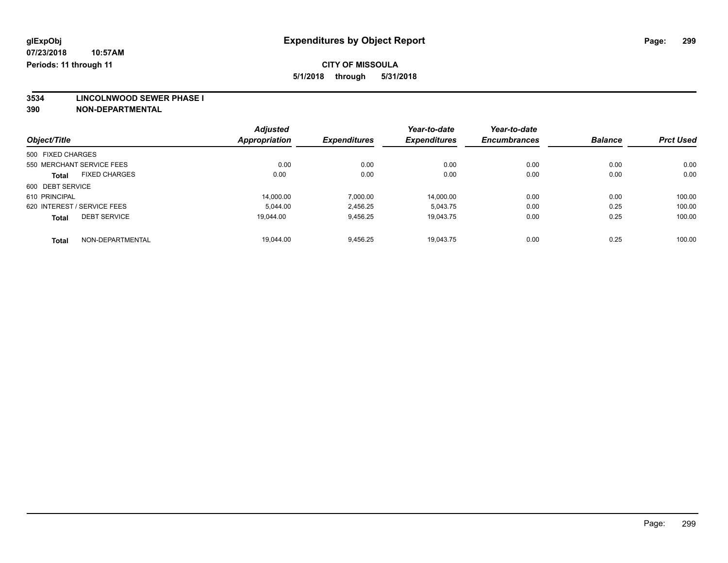**3534 LINCOLNWOOD SEWER PHASE I**

|                                      | <b>Adjusted</b> |                     | Year-to-date        | Year-to-date        |                |                  |
|--------------------------------------|-----------------|---------------------|---------------------|---------------------|----------------|------------------|
| Object/Title                         | Appropriation   | <b>Expenditures</b> | <b>Expenditures</b> | <b>Encumbrances</b> | <b>Balance</b> | <b>Prct Used</b> |
| 500 FIXED CHARGES                    |                 |                     |                     |                     |                |                  |
| 550 MERCHANT SERVICE FEES            | 0.00            | 0.00                | 0.00                | 0.00                | 0.00           | 0.00             |
| <b>FIXED CHARGES</b><br><b>Total</b> | 0.00            | 0.00                | 0.00                | 0.00                | 0.00           | 0.00             |
| 600 DEBT SERVICE                     |                 |                     |                     |                     |                |                  |
| 610 PRINCIPAL                        | 14,000.00       | 7.000.00            | 14,000.00           | 0.00                | 0.00           | 100.00           |
| 620 INTEREST / SERVICE FEES          | 5.044.00        | 2.456.25            | 5.043.75            | 0.00                | 0.25           | 100.00           |
| <b>DEBT SERVICE</b><br><b>Total</b>  | 19.044.00       | 9,456.25            | 19.043.75           | 0.00                | 0.25           | 100.00           |
| NON-DEPARTMENTAL<br><b>Total</b>     | 19.044.00       | 9.456.25            | 19.043.75           | 0.00                | 0.25           | 100.00           |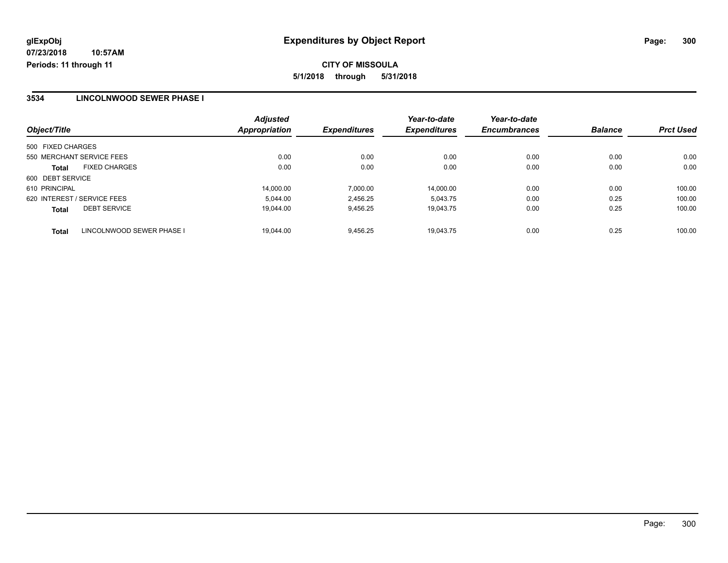### **3534 LINCOLNWOOD SEWER PHASE I**

| Object/Title                              | <b>Adjusted</b><br>Appropriation | <b>Expenditures</b> | Year-to-date<br><b>Expenditures</b> | Year-to-date<br><b>Encumbrances</b> | <b>Balance</b> | <b>Prct Used</b> |
|-------------------------------------------|----------------------------------|---------------------|-------------------------------------|-------------------------------------|----------------|------------------|
|                                           |                                  |                     |                                     |                                     |                |                  |
| 500 FIXED CHARGES                         |                                  |                     |                                     |                                     |                |                  |
| 550 MERCHANT SERVICE FEES                 | 0.00                             | 0.00                | 0.00                                | 0.00                                | 0.00           | 0.00             |
| <b>FIXED CHARGES</b><br><b>Total</b>      | 0.00                             | 0.00                | 0.00                                | 0.00                                | 0.00           | 0.00             |
| 600 DEBT SERVICE                          |                                  |                     |                                     |                                     |                |                  |
| 610 PRINCIPAL                             | 14,000.00                        | 7.000.00            | 14.000.00                           | 0.00                                | 0.00           | 100.00           |
| 620 INTEREST / SERVICE FEES               | 5.044.00                         | 2,456.25            | 5.043.75                            | 0.00                                | 0.25           | 100.00           |
| <b>DEBT SERVICE</b><br><b>Total</b>       | 19.044.00                        | 9,456.25            | 19.043.75                           | 0.00                                | 0.25           | 100.00           |
| LINCOLNWOOD SEWER PHASE I<br><b>Total</b> | 19.044.00                        | 9.456.25            | 19.043.75                           | 0.00                                | 0.25           | 100.00           |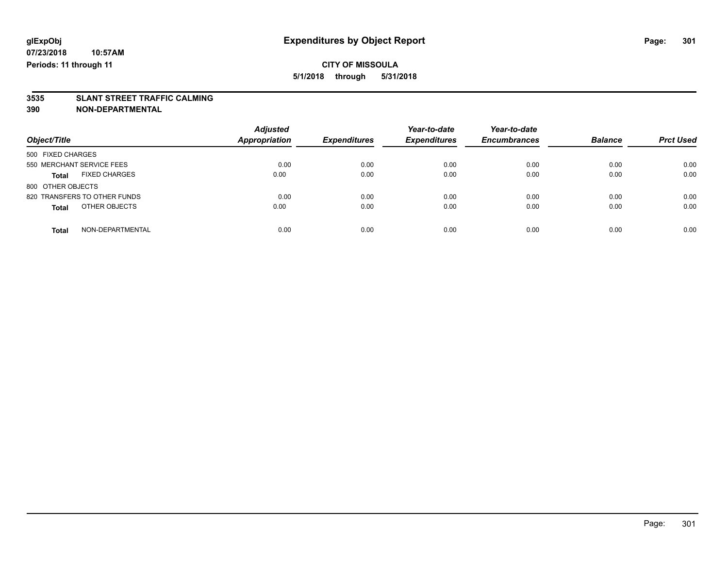# **3535 SLANT STREET TRAFFIC CALMING**

|                                      | <b>Adjusted</b>      |                     | Year-to-date        | Year-to-date        |                |                  |
|--------------------------------------|----------------------|---------------------|---------------------|---------------------|----------------|------------------|
| Object/Title                         | <b>Appropriation</b> | <b>Expenditures</b> | <b>Expenditures</b> | <b>Encumbrances</b> | <b>Balance</b> | <b>Prct Used</b> |
| 500 FIXED CHARGES                    |                      |                     |                     |                     |                |                  |
| 550 MERCHANT SERVICE FEES            | 0.00                 | 0.00                | 0.00                | 0.00                | 0.00           | 0.00             |
| <b>FIXED CHARGES</b><br><b>Total</b> | 0.00                 | 0.00                | 0.00                | 0.00                | 0.00           | 0.00             |
| 800 OTHER OBJECTS                    |                      |                     |                     |                     |                |                  |
| 820 TRANSFERS TO OTHER FUNDS         | 0.00                 | 0.00                | 0.00                | 0.00                | 0.00           | 0.00             |
| OTHER OBJECTS<br><b>Total</b>        | 0.00                 | 0.00                | 0.00                | 0.00                | 0.00           | 0.00             |
| NON-DEPARTMENTAL<br>Total            | 0.00                 | 0.00                | 0.00                | 0.00                | 0.00           | 0.00             |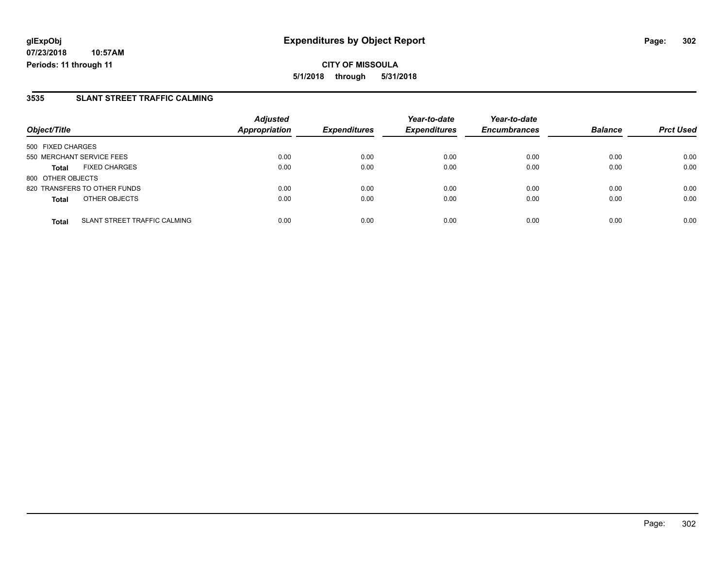**CITY OF MISSOULA 5/1/2018 through 5/31/2018**

### **3535 SLANT STREET TRAFFIC CALMING**

| Object/Title      |                              | <b>Adjusted</b><br><b>Appropriation</b> | <b>Expenditures</b> | Year-to-date<br><b>Expenditures</b> | Year-to-date<br><b>Encumbrances</b> | <b>Balance</b> | <b>Prct Used</b> |
|-------------------|------------------------------|-----------------------------------------|---------------------|-------------------------------------|-------------------------------------|----------------|------------------|
|                   |                              |                                         |                     |                                     |                                     |                |                  |
| 500 FIXED CHARGES |                              |                                         |                     |                                     |                                     |                |                  |
|                   | 550 MERCHANT SERVICE FEES    | 0.00                                    | 0.00                | 0.00                                | 0.00                                | 0.00           | 0.00             |
| <b>Total</b>      | <b>FIXED CHARGES</b>         | 0.00                                    | 0.00                | 0.00                                | 0.00                                | 0.00           | 0.00             |
| 800 OTHER OBJECTS |                              |                                         |                     |                                     |                                     |                |                  |
|                   | 820 TRANSFERS TO OTHER FUNDS | 0.00                                    | 0.00                | 0.00                                | 0.00                                | 0.00           | 0.00             |
| <b>Total</b>      | OTHER OBJECTS                | 0.00                                    | 0.00                | 0.00                                | 0.00                                | 0.00           | 0.00             |
| <b>Total</b>      | SLANT STREET TRAFFIC CALMING | 0.00                                    | 0.00                | 0.00                                | 0.00                                | 0.00           | 0.00             |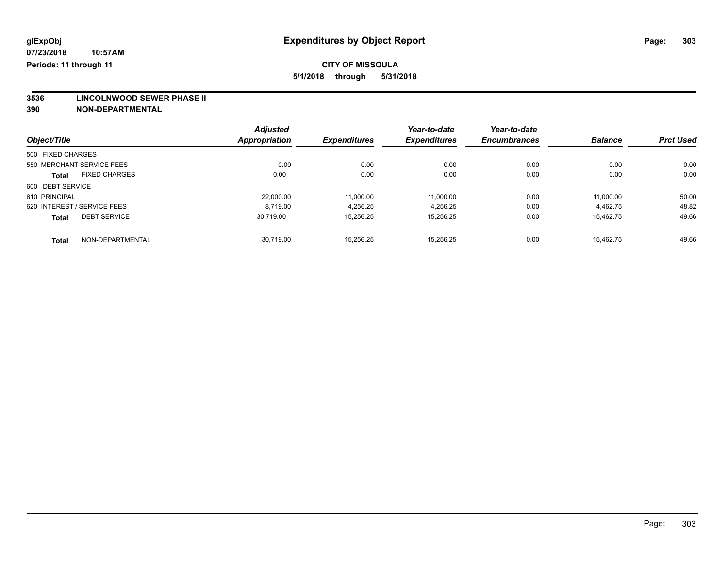**3536 LINCOLNWOOD SEWER PHASE II**

| Object/Title                |                      | <b>Adjusted</b><br><b>Appropriation</b> |                     | Year-to-date        | Year-to-date        |                |                  |
|-----------------------------|----------------------|-----------------------------------------|---------------------|---------------------|---------------------|----------------|------------------|
|                             |                      |                                         | <b>Expenditures</b> | <b>Expenditures</b> | <b>Encumbrances</b> | <b>Balance</b> | <b>Prct Used</b> |
| 500 FIXED CHARGES           |                      |                                         |                     |                     |                     |                |                  |
| 550 MERCHANT SERVICE FEES   |                      | 0.00                                    | 0.00                | 0.00                | 0.00                | 0.00           | 0.00             |
| Total                       | <b>FIXED CHARGES</b> | 0.00                                    | 0.00                | 0.00                | 0.00                | 0.00           | 0.00             |
| 600 DEBT SERVICE            |                      |                                         |                     |                     |                     |                |                  |
| 610 PRINCIPAL               |                      | 22.000.00                               | 11,000.00           | 11.000.00           | 0.00                | 11.000.00      | 50.00            |
| 620 INTEREST / SERVICE FEES |                      | 8.719.00                                | 4.256.25            | 4.256.25            | 0.00                | 4.462.75       | 48.82            |
| <b>Total</b>                | <b>DEBT SERVICE</b>  | 30.719.00                               | 15,256.25           | 15.256.25           | 0.00                | 15.462.75      | 49.66            |
| <b>Total</b>                | NON-DEPARTMENTAL     | 30.719.00                               | 15.256.25           | 15.256.25           | 0.00                | 15.462.75      | 49.66            |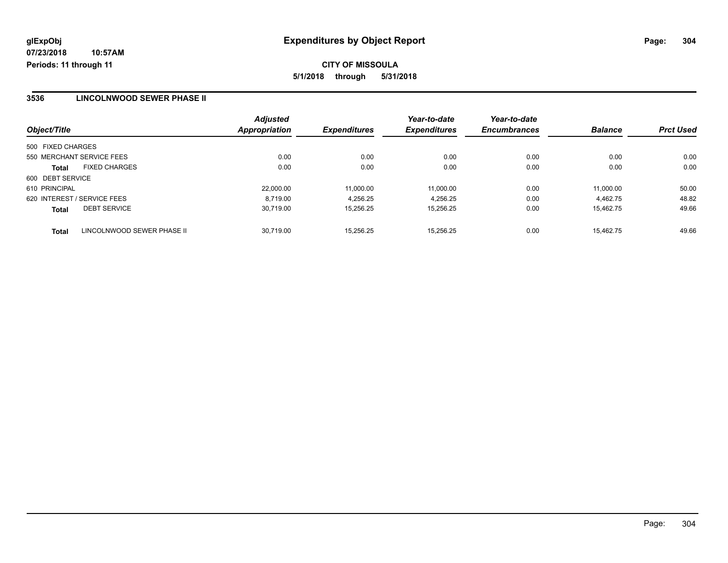### **3536 LINCOLNWOOD SEWER PHASE II**

|                                            | <b>Adjusted</b> |                     | Year-to-date        | Year-to-date        |                |                  |
|--------------------------------------------|-----------------|---------------------|---------------------|---------------------|----------------|------------------|
| Object/Title                               | Appropriation   | <b>Expenditures</b> | <b>Expenditures</b> | <b>Encumbrances</b> | <b>Balance</b> | <b>Prct Used</b> |
| 500 FIXED CHARGES                          |                 |                     |                     |                     |                |                  |
| 550 MERCHANT SERVICE FEES                  | 0.00            | 0.00                | 0.00                | 0.00                | 0.00           | 0.00             |
| <b>FIXED CHARGES</b><br>Total              | 0.00            | 0.00                | 0.00                | 0.00                | 0.00           | 0.00             |
| 600 DEBT SERVICE                           |                 |                     |                     |                     |                |                  |
| 610 PRINCIPAL                              | 22,000.00       | 11.000.00           | 11.000.00           | 0.00                | 11.000.00      | 50.00            |
| 620 INTEREST / SERVICE FEES                | 8.719.00        | 4.256.25            | 4.256.25            | 0.00                | 4.462.75       | 48.82            |
| <b>DEBT SERVICE</b><br><b>Total</b>        | 30.719.00       | 15.256.25           | 15.256.25           | 0.00                | 15.462.75      | 49.66            |
| LINCOLNWOOD SEWER PHASE II<br><b>Total</b> | 30.719.00       | 15.256.25           | 15.256.25           | 0.00                | 15.462.75      | 49.66            |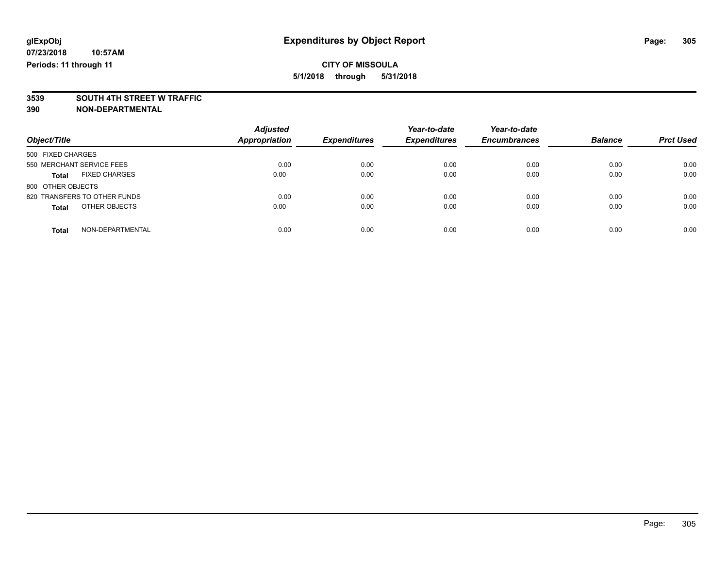# **3539 SOUTH 4TH STREET W TRAFFIC**

| Object/Title                         | <b>Adjusted</b><br><b>Appropriation</b> | <b>Expenditures</b> | Year-to-date<br><b>Expenditures</b> | Year-to-date<br><b>Encumbrances</b> | <b>Balance</b> | <b>Prct Used</b> |
|--------------------------------------|-----------------------------------------|---------------------|-------------------------------------|-------------------------------------|----------------|------------------|
| 500 FIXED CHARGES                    |                                         |                     |                                     |                                     |                |                  |
| 550 MERCHANT SERVICE FEES            | 0.00                                    | 0.00                | 0.00                                | 0.00                                | 0.00           | 0.00             |
| <b>FIXED CHARGES</b><br><b>Total</b> | 0.00                                    | 0.00                | 0.00                                | 0.00                                | 0.00           | 0.00             |
| 800 OTHER OBJECTS                    |                                         |                     |                                     |                                     |                |                  |
| 820 TRANSFERS TO OTHER FUNDS         | 0.00                                    | 0.00                | 0.00                                | 0.00                                | 0.00           | 0.00             |
| OTHER OBJECTS<br><b>Total</b>        | 0.00                                    | 0.00                | 0.00                                | 0.00                                | 0.00           | 0.00             |
| NON-DEPARTMENTAL<br>Total            | 0.00                                    | 0.00                | 0.00                                | 0.00                                | 0.00           | 0.00             |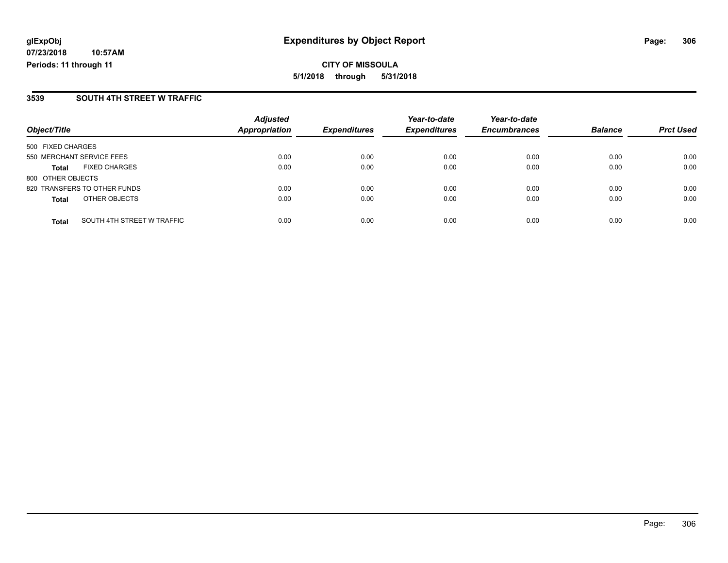**CITY OF MISSOULA 5/1/2018 through 5/31/2018**

### **3539 SOUTH 4TH STREET W TRAFFIC**

| Object/Title              |                              | <b>Adjusted</b><br><b>Appropriation</b> | <b>Expenditures</b> | Year-to-date<br><b>Expenditures</b> | Year-to-date<br><b>Encumbrances</b> | <b>Balance</b> |                  |
|---------------------------|------------------------------|-----------------------------------------|---------------------|-------------------------------------|-------------------------------------|----------------|------------------|
|                           |                              |                                         |                     |                                     |                                     |                | <b>Prct Used</b> |
| 500 FIXED CHARGES         |                              |                                         |                     |                                     |                                     |                |                  |
| 550 MERCHANT SERVICE FEES |                              | 0.00                                    | 0.00                | 0.00                                | 0.00                                | 0.00           | 0.00             |
| <b>Total</b>              | <b>FIXED CHARGES</b>         | 0.00                                    | 0.00                | 0.00                                | 0.00                                | 0.00           | 0.00             |
| 800 OTHER OBJECTS         |                              |                                         |                     |                                     |                                     |                |                  |
|                           | 820 TRANSFERS TO OTHER FUNDS | 0.00                                    | 0.00                | 0.00                                | 0.00                                | 0.00           | 0.00             |
| <b>Total</b>              | OTHER OBJECTS                | 0.00                                    | 0.00                | 0.00                                | 0.00                                | 0.00           | 0.00             |
| <b>Total</b>              | SOUTH 4TH STREET W TRAFFIC   | 0.00                                    | 0.00                | 0.00                                | 0.00                                | 0.00           | 0.00             |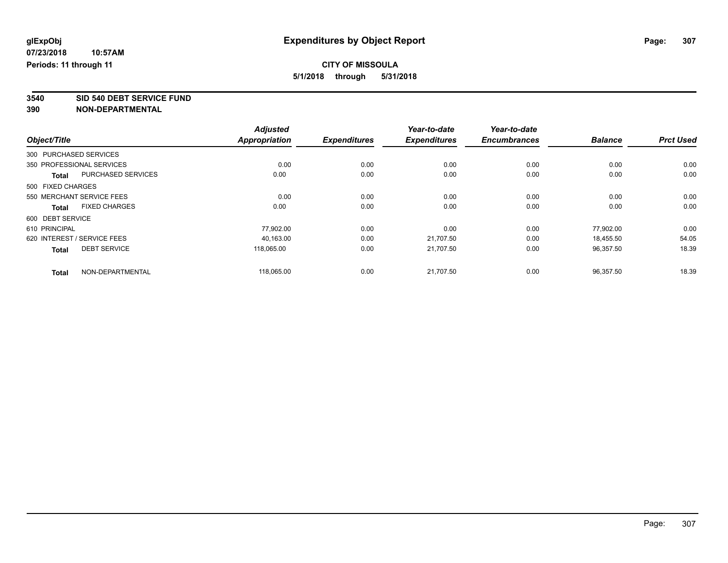**3540 SID 540 DEBT SERVICE FUND**

|                                      | <b>Adjusted</b><br><b>Appropriation</b> | <b>Expenditures</b> | Year-to-date<br><b>Expenditures</b> | Year-to-date<br><b>Encumbrances</b> | <b>Balance</b> | <b>Prct Used</b> |
|--------------------------------------|-----------------------------------------|---------------------|-------------------------------------|-------------------------------------|----------------|------------------|
| Object/Title                         |                                         |                     |                                     |                                     |                |                  |
| 300 PURCHASED SERVICES               |                                         |                     |                                     |                                     |                |                  |
| 350 PROFESSIONAL SERVICES            | 0.00                                    | 0.00                | 0.00                                | 0.00                                | 0.00           | 0.00             |
| PURCHASED SERVICES<br><b>Total</b>   | 0.00                                    | 0.00                | 0.00                                | 0.00                                | 0.00           | 0.00             |
| 500 FIXED CHARGES                    |                                         |                     |                                     |                                     |                |                  |
| 550 MERCHANT SERVICE FEES            | 0.00                                    | 0.00                | 0.00                                | 0.00                                | 0.00           | 0.00             |
| <b>FIXED CHARGES</b><br><b>Total</b> | 0.00                                    | 0.00                | 0.00                                | 0.00                                | 0.00           | 0.00             |
| 600 DEBT SERVICE                     |                                         |                     |                                     |                                     |                |                  |
| 610 PRINCIPAL                        | 77.902.00                               | 0.00                | 0.00                                | 0.00                                | 77.902.00      | 0.00             |
| 620 INTEREST / SERVICE FEES          | 40,163.00                               | 0.00                | 21,707.50                           | 0.00                                | 18,455.50      | 54.05            |
| <b>DEBT SERVICE</b><br><b>Total</b>  | 118.065.00                              | 0.00                | 21.707.50                           | 0.00                                | 96.357.50      | 18.39            |
| NON-DEPARTMENTAL<br><b>Total</b>     | 118,065.00                              | 0.00                | 21,707.50                           | 0.00                                | 96,357.50      | 18.39            |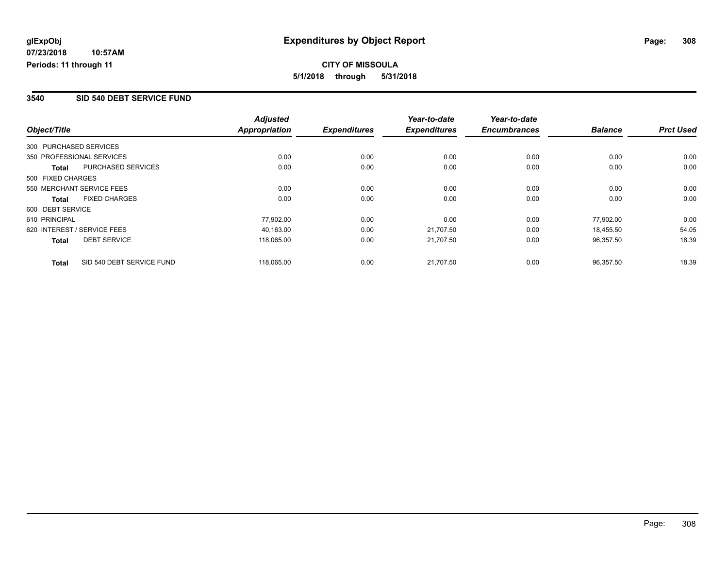### **3540 SID 540 DEBT SERVICE FUND**

|                                           | <b>Adjusted</b>      |                     | Year-to-date        | Year-to-date        |                |                  |
|-------------------------------------------|----------------------|---------------------|---------------------|---------------------|----------------|------------------|
| Object/Title                              | <b>Appropriation</b> | <b>Expenditures</b> | <b>Expenditures</b> | <b>Encumbrances</b> | <b>Balance</b> | <b>Prct Used</b> |
| 300 PURCHASED SERVICES                    |                      |                     |                     |                     |                |                  |
| 350 PROFESSIONAL SERVICES                 | 0.00                 | 0.00                | 0.00                | 0.00                | 0.00           | 0.00             |
| <b>PURCHASED SERVICES</b><br>Total        | 0.00                 | 0.00                | 0.00                | 0.00                | 0.00           | 0.00             |
| 500 FIXED CHARGES                         |                      |                     |                     |                     |                |                  |
| 550 MERCHANT SERVICE FEES                 | 0.00                 | 0.00                | 0.00                | 0.00                | 0.00           | 0.00             |
| <b>FIXED CHARGES</b><br>Total             | 0.00                 | 0.00                | 0.00                | 0.00                | 0.00           | 0.00             |
| 600 DEBT SERVICE                          |                      |                     |                     |                     |                |                  |
| 610 PRINCIPAL                             | 77,902.00            | 0.00                | 0.00                | 0.00                | 77,902.00      | 0.00             |
| 620 INTEREST / SERVICE FEES               | 40,163.00            | 0.00                | 21,707.50           | 0.00                | 18.455.50      | 54.05            |
| <b>DEBT SERVICE</b><br><b>Total</b>       | 118,065.00           | 0.00                | 21,707.50           | 0.00                | 96,357.50      | 18.39            |
| SID 540 DEBT SERVICE FUND<br><b>Total</b> | 118,065.00           | 0.00                | 21.707.50           | 0.00                | 96.357.50      | 18.39            |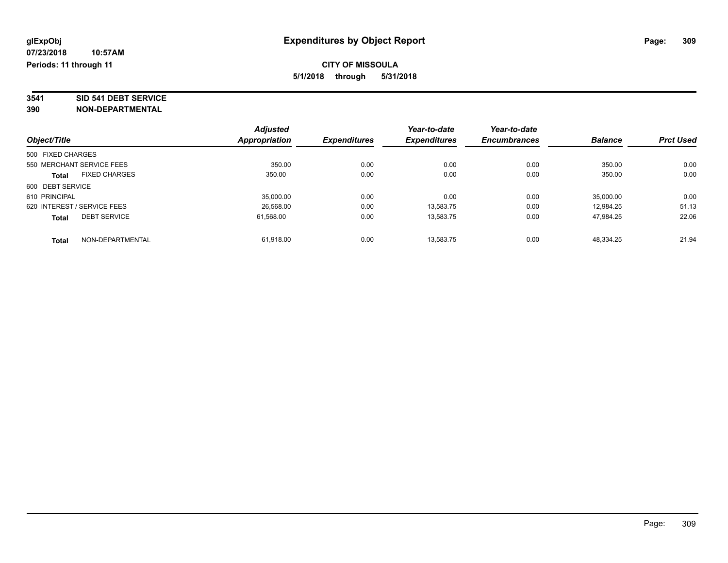# **3541 SID 541 DEBT SERVICE**

| Object/Title                |                      | <b>Adjusted</b><br>Appropriation | <b>Expenditures</b> | Year-to-date<br><b>Expenditures</b> | Year-to-date<br><b>Encumbrances</b> | <b>Balance</b> | <b>Prct Used</b> |
|-----------------------------|----------------------|----------------------------------|---------------------|-------------------------------------|-------------------------------------|----------------|------------------|
|                             |                      |                                  |                     |                                     |                                     |                |                  |
| 550 MERCHANT SERVICE FEES   |                      | 350.00                           | 0.00                | 0.00                                | 0.00                                | 350.00         | 0.00             |
| <b>Total</b>                | <b>FIXED CHARGES</b> | 350.00                           | 0.00                | 0.00                                | 0.00                                | 350.00         | 0.00             |
| 600 DEBT SERVICE            |                      |                                  |                     |                                     |                                     |                |                  |
| 610 PRINCIPAL               |                      | 35,000.00                        | 0.00                | 0.00                                | 0.00                                | 35,000.00      | 0.00             |
| 620 INTEREST / SERVICE FEES |                      | 26,568.00                        | 0.00                | 13,583.75                           | 0.00                                | 12.984.25      | 51.13            |
| <b>Total</b>                | <b>DEBT SERVICE</b>  | 61.568.00                        | 0.00                | 13.583.75                           | 0.00                                | 47.984.25      | 22.06            |
| <b>Total</b>                | NON-DEPARTMENTAL     | 61,918.00                        | 0.00                | 13.583.75                           | 0.00                                | 48.334.25      | 21.94            |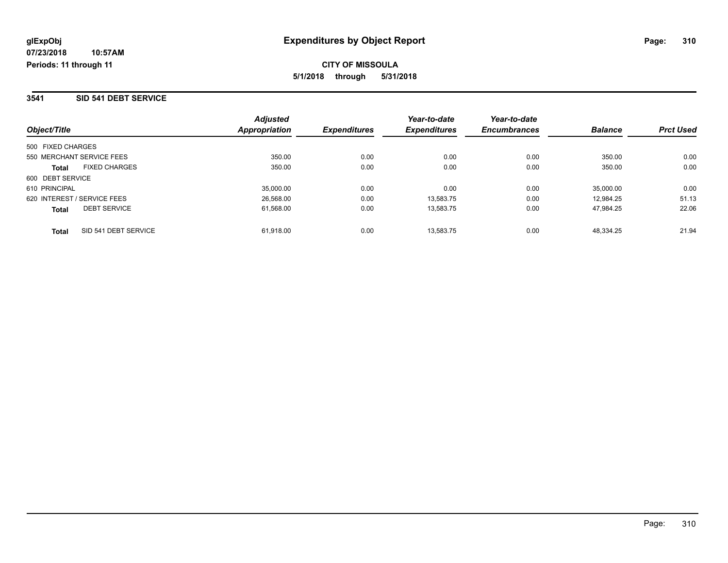#### **3541 SID 541 DEBT SERVICE**

| Object/Title                         | <b>Adjusted</b><br>Appropriation | <b>Expenditures</b> | Year-to-date<br><b>Expenditures</b> | Year-to-date<br><b>Encumbrances</b> | <b>Balance</b> | <b>Prct Used</b> |
|--------------------------------------|----------------------------------|---------------------|-------------------------------------|-------------------------------------|----------------|------------------|
| 500 FIXED CHARGES                    |                                  |                     |                                     |                                     |                |                  |
| 550 MERCHANT SERVICE FEES            | 350.00                           | 0.00                | 0.00                                | 0.00                                | 350.00         | 0.00             |
| <b>FIXED CHARGES</b><br><b>Total</b> | 350.00                           | 0.00                | 0.00                                | 0.00                                | 350.00         | 0.00             |
| 600 DEBT SERVICE                     |                                  |                     |                                     |                                     |                |                  |
| 610 PRINCIPAL                        | 35,000.00                        | 0.00                | 0.00                                | 0.00                                | 35,000.00      | 0.00             |
| 620 INTEREST / SERVICE FEES          | 26,568.00                        | 0.00                | 13.583.75                           | 0.00                                | 12.984.25      | 51.13            |
| <b>DEBT SERVICE</b><br><b>Total</b>  | 61,568.00                        | 0.00                | 13,583.75                           | 0.00                                | 47.984.25      | 22.06            |
| SID 541 DEBT SERVICE<br><b>Total</b> | 61.918.00                        | 0.00                | 13.583.75                           | 0.00                                | 48.334.25      | 21.94            |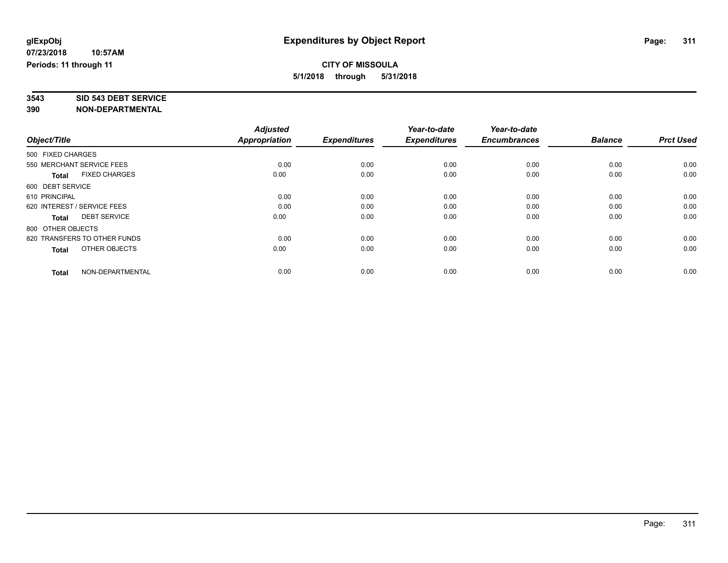# **3543 SID 543 DEBT SERVICE**

|                                      | <b>Adjusted</b><br>Appropriation | <b>Expenditures</b> | Year-to-date<br><b>Expenditures</b> | Year-to-date<br><b>Encumbrances</b> | <b>Balance</b> | <b>Prct Used</b> |
|--------------------------------------|----------------------------------|---------------------|-------------------------------------|-------------------------------------|----------------|------------------|
| Object/Title                         |                                  |                     |                                     |                                     |                |                  |
| 500 FIXED CHARGES                    |                                  |                     |                                     |                                     |                |                  |
| 550 MERCHANT SERVICE FEES            | 0.00                             | 0.00                | 0.00                                | 0.00                                | 0.00           | 0.00             |
| <b>FIXED CHARGES</b><br><b>Total</b> | 0.00                             | 0.00                | 0.00                                | 0.00                                | 0.00           | 0.00             |
| 600 DEBT SERVICE                     |                                  |                     |                                     |                                     |                |                  |
| 610 PRINCIPAL                        | 0.00                             | 0.00                | 0.00                                | 0.00                                | 0.00           | 0.00             |
| 620 INTEREST / SERVICE FEES          | 0.00                             | 0.00                | 0.00                                | 0.00                                | 0.00           | 0.00             |
| <b>DEBT SERVICE</b><br><b>Total</b>  | 0.00                             | 0.00                | 0.00                                | 0.00                                | 0.00           | 0.00             |
| 800 OTHER OBJECTS                    |                                  |                     |                                     |                                     |                |                  |
| 820 TRANSFERS TO OTHER FUNDS         | 0.00                             | 0.00                | 0.00                                | 0.00                                | 0.00           | 0.00             |
| OTHER OBJECTS<br>Total               | 0.00                             | 0.00                | 0.00                                | 0.00                                | 0.00           | 0.00             |
|                                      |                                  |                     |                                     |                                     |                |                  |
| NON-DEPARTMENTAL<br><b>Total</b>     | 0.00                             | 0.00                | 0.00                                | 0.00                                | 0.00           | 0.00             |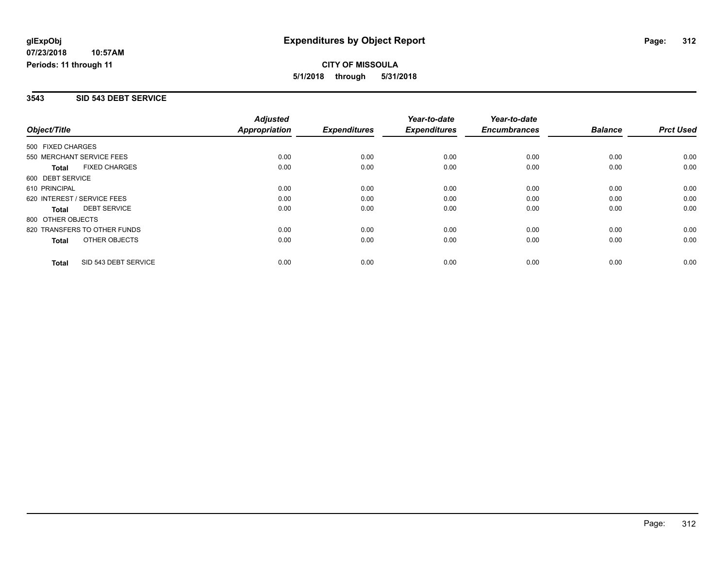### **3543 SID 543 DEBT SERVICE**

|                                      | <b>Adjusted</b>      |                     | Year-to-date        | Year-to-date        |                |                  |
|--------------------------------------|----------------------|---------------------|---------------------|---------------------|----------------|------------------|
| Object/Title                         | <b>Appropriation</b> | <b>Expenditures</b> | <b>Expenditures</b> | <b>Encumbrances</b> | <b>Balance</b> | <b>Prct Used</b> |
| 500 FIXED CHARGES                    |                      |                     |                     |                     |                |                  |
| 550 MERCHANT SERVICE FEES            | 0.00                 | 0.00                | 0.00                | 0.00                | 0.00           | 0.00             |
| <b>FIXED CHARGES</b><br><b>Total</b> | 0.00                 | 0.00                | 0.00                | 0.00                | 0.00           | 0.00             |
| 600 DEBT SERVICE                     |                      |                     |                     |                     |                |                  |
| 610 PRINCIPAL                        | 0.00                 | 0.00                | 0.00                | 0.00                | 0.00           | 0.00             |
| 620 INTEREST / SERVICE FEES          | 0.00                 | 0.00                | 0.00                | 0.00                | 0.00           | 0.00             |
| <b>DEBT SERVICE</b><br><b>Total</b>  | 0.00                 | 0.00                | 0.00                | 0.00                | 0.00           | 0.00             |
| 800 OTHER OBJECTS                    |                      |                     |                     |                     |                |                  |
| 820 TRANSFERS TO OTHER FUNDS         | 0.00                 | 0.00                | 0.00                | 0.00                | 0.00           | 0.00             |
| OTHER OBJECTS<br><b>Total</b>        | 0.00                 | 0.00                | 0.00                | 0.00                | 0.00           | 0.00             |
| SID 543 DEBT SERVICE<br><b>Total</b> | 0.00                 | 0.00                | 0.00                | 0.00                | 0.00           | 0.00             |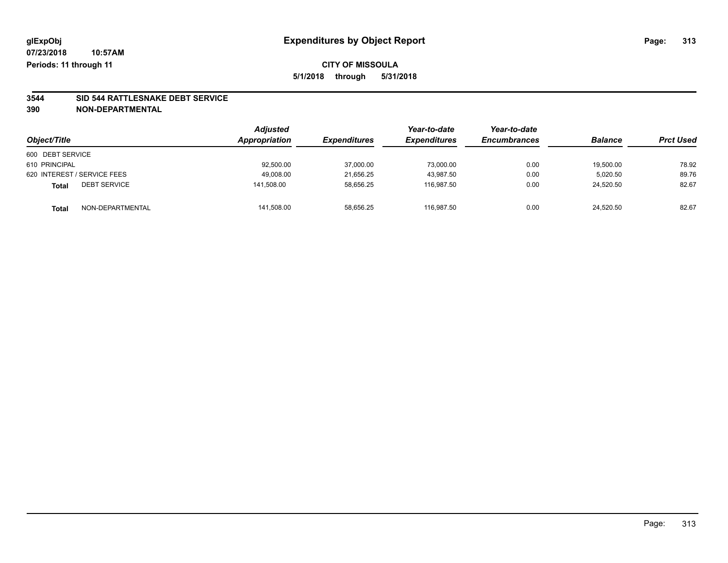# **3544 SID 544 RATTLESNAKE DEBT SERVICE**

|                                     | <b>Adjusted</b><br>Appropriation | <b>Expenditures</b> | Year-to-date<br><b>Expenditures</b> | Year-to-date        | <b>Balance</b> |                  |
|-------------------------------------|----------------------------------|---------------------|-------------------------------------|---------------------|----------------|------------------|
| Object/Title                        |                                  |                     |                                     | <b>Encumbrances</b> |                | <b>Prct Used</b> |
| 600 DEBT SERVICE                    |                                  |                     |                                     |                     |                |                  |
| 610 PRINCIPAL                       | 92,500.00                        | 37,000.00           | 73,000.00                           | 0.00                | 19,500.00      | 78.92            |
| 620 INTEREST / SERVICE FEES         | 49,008.00                        | 21,656.25           | 43,987.50                           | 0.00                | 5.020.50       | 89.76            |
| <b>DEBT SERVICE</b><br><b>Total</b> | 141,508.00                       | 58,656.25           | 116.987.50                          | 0.00                | 24.520.50      | 82.67            |
| NON-DEPARTMENTAL<br><b>Total</b>    | 141,508.00                       | 58,656.25           | 116,987.50                          | 0.00                | 24.520.50      | 82.67            |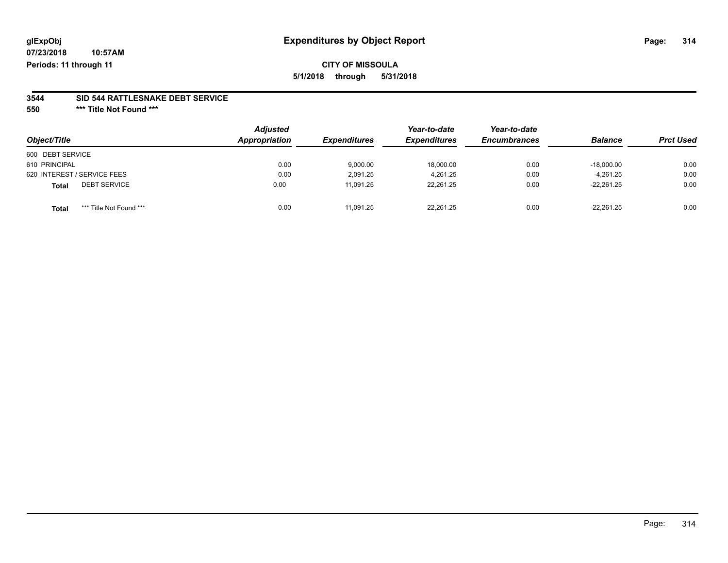## **CITY OF MISSOULA 5/1/2018 through 5/31/2018**

#### **3544 SID 544 RATTLESNAKE DEBT SERVICE**

**550 \*\*\* Title Not Found \*\*\***

| Object/Title                            | <b>Adjusted</b><br>Appropriation | <b>Expenditures</b> | Year-to-date<br><b>Expenditures</b> | Year-to-date<br><b>Encumbrances</b> | <b>Balance</b> | <b>Prct Used</b> |
|-----------------------------------------|----------------------------------|---------------------|-------------------------------------|-------------------------------------|----------------|------------------|
| 600 DEBT SERVICE                        |                                  |                     |                                     |                                     |                |                  |
| 610 PRINCIPAL                           | 0.00                             | 9,000.00            | 18,000.00                           | 0.00                                | $-18.000.00$   | 0.00             |
| 620 INTEREST / SERVICE FEES             | 0.00                             | 2.091.25            | 4.261.25                            | 0.00                                | $-4.261.25$    | 0.00             |
| <b>DEBT SERVICE</b><br><b>Total</b>     | 0.00                             | 11,091.25           | 22,261.25                           | 0.00                                | $-22.261.25$   | 0.00             |
| *** Title Not Found ***<br><b>Total</b> | 0.00                             | 11.091.25           | 22.261.25                           | 0.00                                | $-22.261.25$   | 0.00             |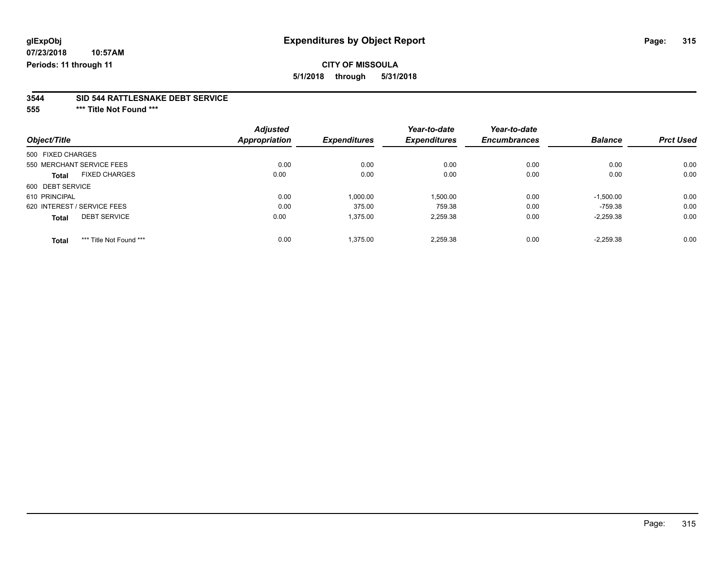### **CITY OF MISSOULA 5/1/2018 through 5/31/2018**

#### **3544 SID 544 RATTLESNAKE DEBT SERVICE**

**555 \*\*\* Title Not Found \*\*\***

|                                         | <b>Adjusted</b> |                     | Year-to-date        | Year-to-date        |                |                  |
|-----------------------------------------|-----------------|---------------------|---------------------|---------------------|----------------|------------------|
| Object/Title                            | Appropriation   | <b>Expenditures</b> | <b>Expenditures</b> | <b>Encumbrances</b> | <b>Balance</b> | <b>Prct Used</b> |
| 500 FIXED CHARGES                       |                 |                     |                     |                     |                |                  |
| 550 MERCHANT SERVICE FEES               | 0.00            | 0.00                | 0.00                | 0.00                | 0.00           | 0.00             |
| <b>FIXED CHARGES</b><br><b>Total</b>    | 0.00            | 0.00                | 0.00                | 0.00                | 0.00           | 0.00             |
| 600 DEBT SERVICE                        |                 |                     |                     |                     |                |                  |
| 610 PRINCIPAL                           | 0.00            | 1,000.00            | 1,500.00            | 0.00                | $-1,500.00$    | 0.00             |
| 620 INTEREST / SERVICE FEES             | 0.00            | 375.00              | 759.38              | 0.00                | $-759.38$      | 0.00             |
| <b>DEBT SERVICE</b><br><b>Total</b>     | 0.00            | 1,375.00            | 2,259.38            | 0.00                | $-2,259.38$    | 0.00             |
| *** Title Not Found ***<br><b>Total</b> | 0.00            | 1.375.00            | 2.259.38            | 0.00                | $-2.259.38$    | 0.00             |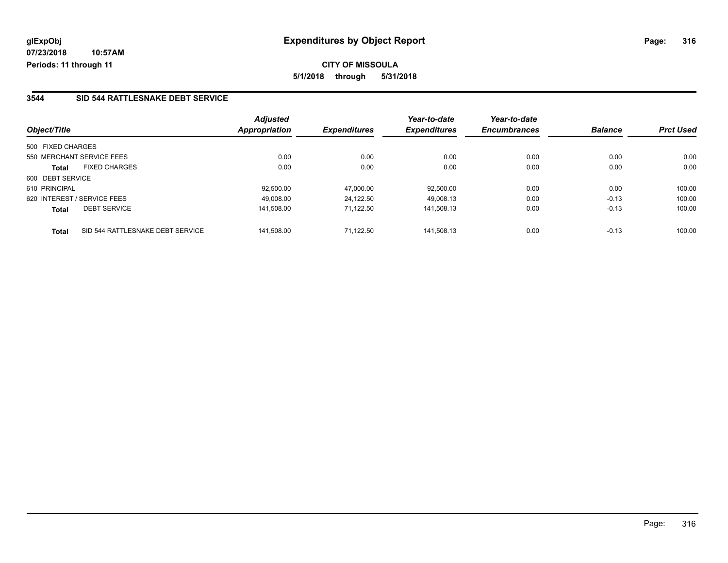**CITY OF MISSOULA 5/1/2018 through 5/31/2018**

### **3544 SID 544 RATTLESNAKE DEBT SERVICE**

| Object/Title      |                                  | <b>Adjusted</b><br>Appropriation | <b>Expenditures</b> | Year-to-date<br><b>Expenditures</b> | Year-to-date<br><b>Encumbrances</b> | <b>Balance</b> | <b>Prct Used</b> |
|-------------------|----------------------------------|----------------------------------|---------------------|-------------------------------------|-------------------------------------|----------------|------------------|
|                   |                                  |                                  |                     |                                     |                                     |                |                  |
| 500 FIXED CHARGES |                                  |                                  |                     |                                     |                                     |                |                  |
|                   | 550 MERCHANT SERVICE FEES        | 0.00                             | 0.00                | 0.00                                | 0.00                                | 0.00           | 0.00             |
| Total             | <b>FIXED CHARGES</b>             | 0.00                             | 0.00                | 0.00                                | 0.00                                | 0.00           | 0.00             |
| 600 DEBT SERVICE  |                                  |                                  |                     |                                     |                                     |                |                  |
| 610 PRINCIPAL     |                                  | 92.500.00                        | 47.000.00           | 92.500.00                           | 0.00                                | 0.00           | 100.00           |
|                   | 620 INTEREST / SERVICE FEES      | 49.008.00                        | 24,122.50           | 49.008.13                           | 0.00                                | $-0.13$        | 100.00           |
| <b>Total</b>      | <b>DEBT SERVICE</b>              | 141,508.00                       | 71,122.50           | 141,508.13                          | 0.00                                | $-0.13$        | 100.00           |
| <b>Total</b>      | SID 544 RATTLESNAKE DEBT SERVICE | 141.508.00                       | 71.122.50           | 141.508.13                          | 0.00                                | $-0.13$        | 100.00           |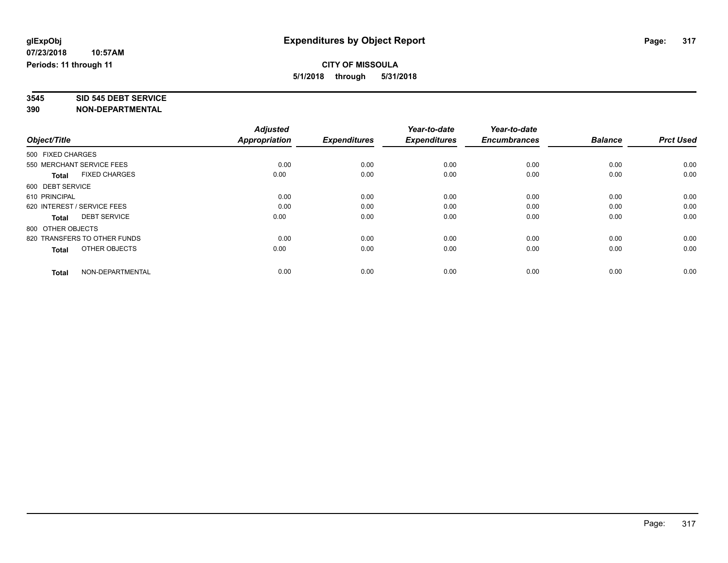# **3545 SID 545 DEBT SERVICE**

|                                      | <b>Adjusted</b>      |                     | Year-to-date        | Year-to-date        |                |                  |
|--------------------------------------|----------------------|---------------------|---------------------|---------------------|----------------|------------------|
| Object/Title                         | <b>Appropriation</b> | <b>Expenditures</b> | <b>Expenditures</b> | <b>Encumbrances</b> | <b>Balance</b> | <b>Prct Used</b> |
| 500 FIXED CHARGES                    |                      |                     |                     |                     |                |                  |
| 550 MERCHANT SERVICE FEES            | 0.00                 | 0.00                | 0.00                | 0.00                | 0.00           | 0.00             |
| <b>FIXED CHARGES</b><br><b>Total</b> | 0.00                 | 0.00                | 0.00                | 0.00                | 0.00           | 0.00             |
| 600 DEBT SERVICE                     |                      |                     |                     |                     |                |                  |
| 610 PRINCIPAL                        | 0.00                 | 0.00                | 0.00                | 0.00                | 0.00           | 0.00             |
| 620 INTEREST / SERVICE FEES          | 0.00                 | 0.00                | 0.00                | 0.00                | 0.00           | 0.00             |
| <b>DEBT SERVICE</b><br><b>Total</b>  | 0.00                 | 0.00                | 0.00                | 0.00                | 0.00           | 0.00             |
| 800 OTHER OBJECTS                    |                      |                     |                     |                     |                |                  |
| 820 TRANSFERS TO OTHER FUNDS         | 0.00                 | 0.00                | 0.00                | 0.00                | 0.00           | 0.00             |
| OTHER OBJECTS<br><b>Total</b>        | 0.00                 | 0.00                | 0.00                | 0.00                | 0.00           | 0.00             |
|                                      |                      |                     |                     |                     |                |                  |
| NON-DEPARTMENTAL<br><b>Total</b>     | 0.00                 | 0.00                | 0.00                | 0.00                | 0.00           | 0.00             |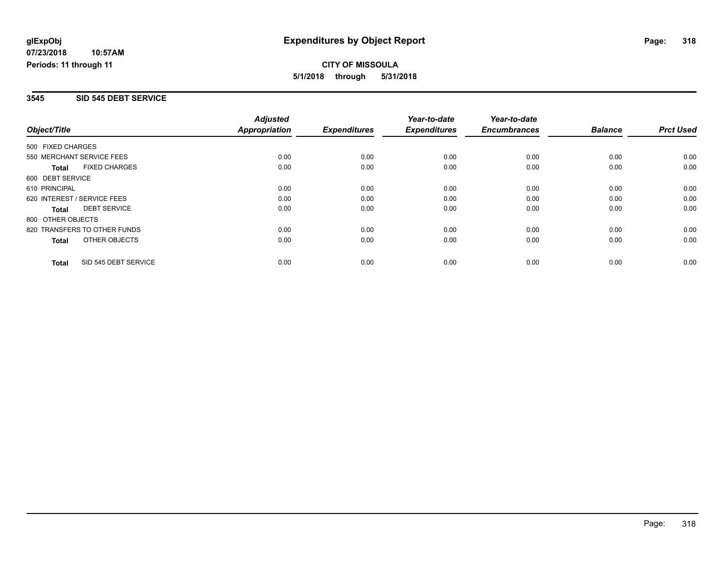### **3545 SID 545 DEBT SERVICE**

|                              |                      | <b>Adjusted</b>     |                     | Year-to-date        | Year-to-date   |                  |      |
|------------------------------|----------------------|---------------------|---------------------|---------------------|----------------|------------------|------|
| Object/Title                 | <b>Appropriation</b> | <b>Expenditures</b> | <b>Expenditures</b> | <b>Encumbrances</b> | <b>Balance</b> | <b>Prct Used</b> |      |
| 500 FIXED CHARGES            |                      |                     |                     |                     |                |                  |      |
| 550 MERCHANT SERVICE FEES    |                      | 0.00                | 0.00                | 0.00                | 0.00           | 0.00             | 0.00 |
| <b>Total</b>                 | <b>FIXED CHARGES</b> | 0.00                | 0.00                | 0.00                | 0.00           | 0.00             | 0.00 |
| 600 DEBT SERVICE             |                      |                     |                     |                     |                |                  |      |
| 610 PRINCIPAL                |                      | 0.00                | 0.00                | 0.00                | 0.00           | 0.00             | 0.00 |
| 620 INTEREST / SERVICE FEES  |                      | 0.00                | 0.00                | 0.00                | 0.00           | 0.00             | 0.00 |
| Total                        | <b>DEBT SERVICE</b>  | 0.00                | 0.00                | 0.00                | 0.00           | 0.00             | 0.00 |
| 800 OTHER OBJECTS            |                      |                     |                     |                     |                |                  |      |
| 820 TRANSFERS TO OTHER FUNDS |                      | 0.00                | 0.00                | 0.00                | 0.00           | 0.00             | 0.00 |
| Total                        | OTHER OBJECTS        | 0.00                | 0.00                | 0.00                | 0.00           | 0.00             | 0.00 |
| <b>Total</b>                 | SID 545 DEBT SERVICE | 0.00                | 0.00                | 0.00                | 0.00           | 0.00             | 0.00 |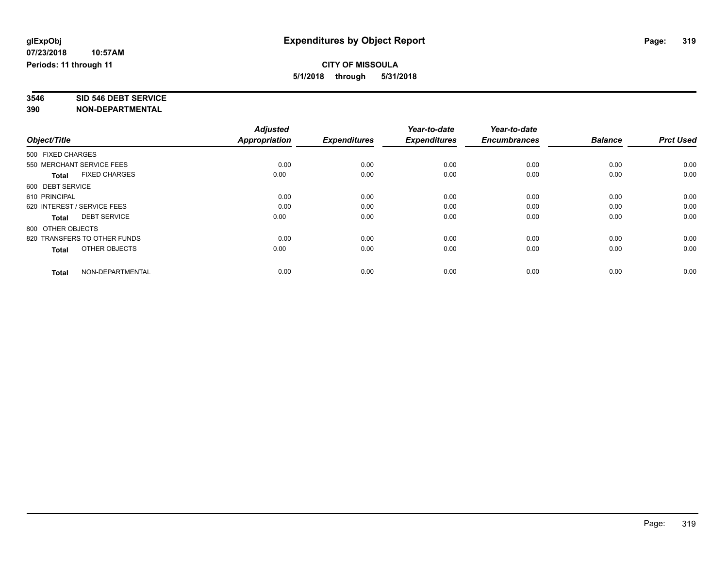# **3546 SID 546 DEBT SERVICE**

|                                      | <b>Adjusted</b>      |                     | Year-to-date        | Year-to-date        |                |                  |
|--------------------------------------|----------------------|---------------------|---------------------|---------------------|----------------|------------------|
| Object/Title                         | <b>Appropriation</b> | <b>Expenditures</b> | <b>Expenditures</b> | <b>Encumbrances</b> | <b>Balance</b> | <b>Prct Used</b> |
| 500 FIXED CHARGES                    |                      |                     |                     |                     |                |                  |
| 550 MERCHANT SERVICE FEES            | 0.00                 | 0.00                | 0.00                | 0.00                | 0.00           | 0.00             |
| <b>FIXED CHARGES</b><br><b>Total</b> | 0.00                 | 0.00                | 0.00                | 0.00                | 0.00           | 0.00             |
| 600 DEBT SERVICE                     |                      |                     |                     |                     |                |                  |
| 610 PRINCIPAL                        | 0.00                 | 0.00                | 0.00                | 0.00                | 0.00           | 0.00             |
| 620 INTEREST / SERVICE FEES          | 0.00                 | 0.00                | 0.00                | 0.00                | 0.00           | 0.00             |
| <b>DEBT SERVICE</b><br><b>Total</b>  | 0.00                 | 0.00                | 0.00                | 0.00                | 0.00           | 0.00             |
| 800 OTHER OBJECTS                    |                      |                     |                     |                     |                |                  |
| 820 TRANSFERS TO OTHER FUNDS         | 0.00                 | 0.00                | 0.00                | 0.00                | 0.00           | 0.00             |
| OTHER OBJECTS<br><b>Total</b>        | 0.00                 | 0.00                | 0.00                | 0.00                | 0.00           | 0.00             |
|                                      |                      |                     |                     |                     |                |                  |
| NON-DEPARTMENTAL<br><b>Total</b>     | 0.00                 | 0.00                | 0.00                | 0.00                | 0.00           | 0.00             |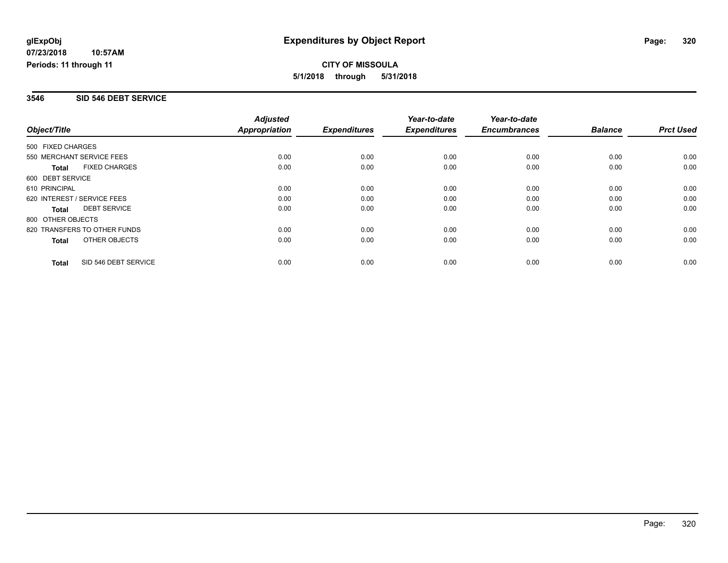### **3546 SID 546 DEBT SERVICE**

|                                      | <b>Adjusted</b>      |                     | Year-to-date        | Year-to-date        |                |                  |
|--------------------------------------|----------------------|---------------------|---------------------|---------------------|----------------|------------------|
| Object/Title                         | <b>Appropriation</b> | <b>Expenditures</b> | <b>Expenditures</b> | <b>Encumbrances</b> | <b>Balance</b> | <b>Prct Used</b> |
| 500 FIXED CHARGES                    |                      |                     |                     |                     |                |                  |
| 550 MERCHANT SERVICE FEES            | 0.00                 | 0.00                | 0.00                | 0.00                | 0.00           | 0.00             |
| <b>FIXED CHARGES</b><br><b>Total</b> | 0.00                 | 0.00                | 0.00                | 0.00                | 0.00           | 0.00             |
| 600 DEBT SERVICE                     |                      |                     |                     |                     |                |                  |
| 610 PRINCIPAL                        | 0.00                 | 0.00                | 0.00                | 0.00                | 0.00           | 0.00             |
| 620 INTEREST / SERVICE FEES          | 0.00                 | 0.00                | 0.00                | 0.00                | 0.00           | 0.00             |
| <b>DEBT SERVICE</b><br><b>Total</b>  | 0.00                 | 0.00                | 0.00                | 0.00                | 0.00           | 0.00             |
| 800 OTHER OBJECTS                    |                      |                     |                     |                     |                |                  |
| 820 TRANSFERS TO OTHER FUNDS         | 0.00                 | 0.00                | 0.00                | 0.00                | 0.00           | 0.00             |
| OTHER OBJECTS<br><b>Total</b>        | 0.00                 | 0.00                | 0.00                | 0.00                | 0.00           | 0.00             |
| SID 546 DEBT SERVICE<br><b>Total</b> | 0.00                 | 0.00                | 0.00                | 0.00                | 0.00           | 0.00             |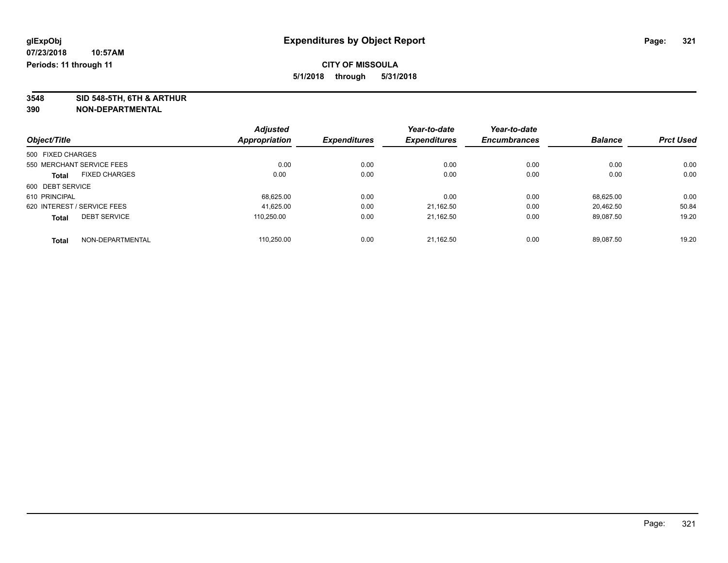**3548 SID 548-5TH, 6TH & ARTHUR**

|                                      | <b>Adjusted</b>      |                     | Year-to-date<br><b>Expenditures</b> | Year-to-date<br><b>Encumbrances</b> | <b>Balance</b> | <b>Prct Used</b> |
|--------------------------------------|----------------------|---------------------|-------------------------------------|-------------------------------------|----------------|------------------|
| Object/Title                         | <b>Appropriation</b> | <b>Expenditures</b> |                                     |                                     |                |                  |
| 500 FIXED CHARGES                    |                      |                     |                                     |                                     |                |                  |
| 550 MERCHANT SERVICE FEES            | 0.00                 | 0.00                | 0.00                                | 0.00                                | 0.00           | 0.00             |
| <b>FIXED CHARGES</b><br><b>Total</b> | 0.00                 | 0.00                | 0.00                                | 0.00                                | 0.00           | 0.00             |
| 600 DEBT SERVICE                     |                      |                     |                                     |                                     |                |                  |
| 610 PRINCIPAL                        | 68,625.00            | 0.00                | 0.00                                | 0.00                                | 68,625.00      | 0.00             |
| 620 INTEREST / SERVICE FEES          | 41.625.00            | 0.00                | 21.162.50                           | 0.00                                | 20.462.50      | 50.84            |
| <b>DEBT SERVICE</b><br><b>Total</b>  | 110.250.00           | 0.00                | 21,162.50                           | 0.00                                | 89,087.50      | 19.20            |
| NON-DEPARTMENTAL<br><b>Total</b>     | 110.250.00           | 0.00                | 21.162.50                           | 0.00                                | 89.087.50      | 19.20            |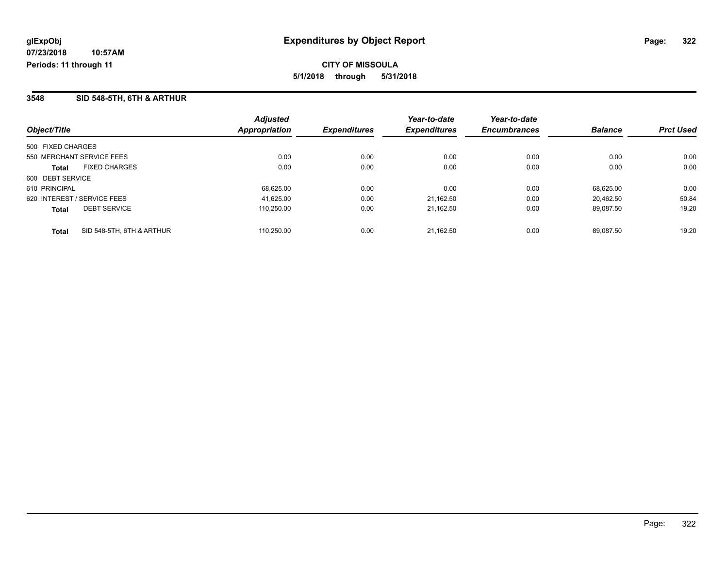### **3548 SID 548-5TH, 6TH & ARTHUR**

| Object/Title                              | <b>Adjusted</b><br><b>Appropriation</b> | <b>Expenditures</b> | Year-to-date<br><b>Expenditures</b> | Year-to-date<br><b>Encumbrances</b> | <b>Balance</b> | <b>Prct Used</b> |
|-------------------------------------------|-----------------------------------------|---------------------|-------------------------------------|-------------------------------------|----------------|------------------|
|                                           |                                         |                     |                                     |                                     |                |                  |
| 500 FIXED CHARGES                         |                                         |                     |                                     |                                     |                |                  |
| 550 MERCHANT SERVICE FEES                 | 0.00                                    | 0.00                | 0.00                                | 0.00                                | 0.00           | 0.00             |
| <b>FIXED CHARGES</b><br>Total             | 0.00                                    | 0.00                | 0.00                                | 0.00                                | 0.00           | 0.00             |
| 600 DEBT SERVICE                          |                                         |                     |                                     |                                     |                |                  |
| 610 PRINCIPAL                             | 68,625.00                               | 0.00                | 0.00                                | 0.00                                | 68.625.00      | 0.00             |
| 620 INTEREST / SERVICE FEES               | 41.625.00                               | 0.00                | 21.162.50                           | 0.00                                | 20.462.50      | 50.84            |
| <b>DEBT SERVICE</b><br><b>Total</b>       | 110.250.00                              | 0.00                | 21.162.50                           | 0.00                                | 89.087.50      | 19.20            |
| SID 548-5TH, 6TH & ARTHUR<br><b>Total</b> | 110.250.00                              | 0.00                | 21.162.50                           | 0.00                                | 89.087.50      | 19.20            |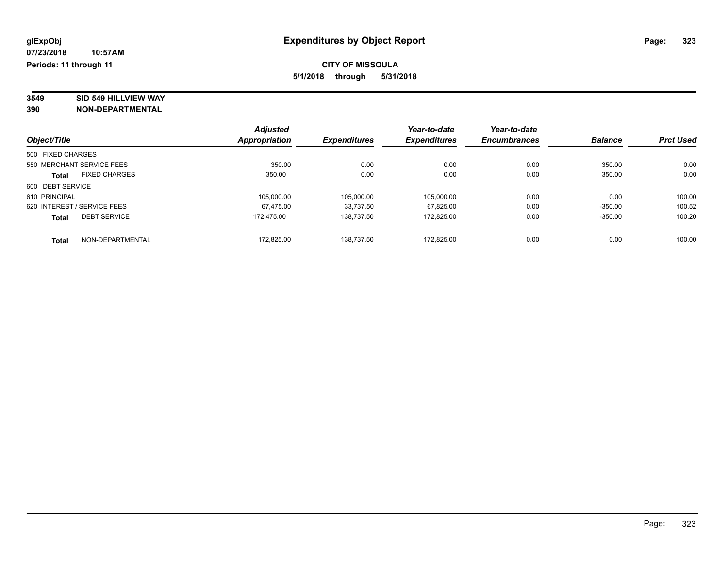# **3549 SID 549 HILLVIEW WAY**

| Object/Title      |                             | <b>Adjusted</b> |                     | Year-to-date        | Year-to-date<br><b>Encumbrances</b> | <b>Balance</b> | <b>Prct Used</b> |
|-------------------|-----------------------------|-----------------|---------------------|---------------------|-------------------------------------|----------------|------------------|
|                   |                             | Appropriation   | <b>Expenditures</b> | <b>Expenditures</b> |                                     |                |                  |
| 500 FIXED CHARGES |                             |                 |                     |                     |                                     |                |                  |
|                   | 550 MERCHANT SERVICE FEES   | 350.00          | 0.00                | 0.00                | 0.00                                | 350.00         | 0.00             |
| Total             | <b>FIXED CHARGES</b>        | 350.00          | 0.00                | 0.00                | 0.00                                | 350.00         | 0.00             |
| 600 DEBT SERVICE  |                             |                 |                     |                     |                                     |                |                  |
| 610 PRINCIPAL     |                             | 105.000.00      | 105.000.00          | 105.000.00          | 0.00                                | 0.00           | 100.00           |
|                   | 620 INTEREST / SERVICE FEES | 67.475.00       | 33.737.50           | 67.825.00           | 0.00                                | $-350.00$      | 100.52           |
| <b>Total</b>      | <b>DEBT SERVICE</b>         | 172.475.00      | 138.737.50          | 172.825.00          | 0.00                                | $-350.00$      | 100.20           |
| <b>Total</b>      | NON-DEPARTMENTAL            | 172.825.00      | 138.737.50          | 172.825.00          | 0.00                                | 0.00           | 100.00           |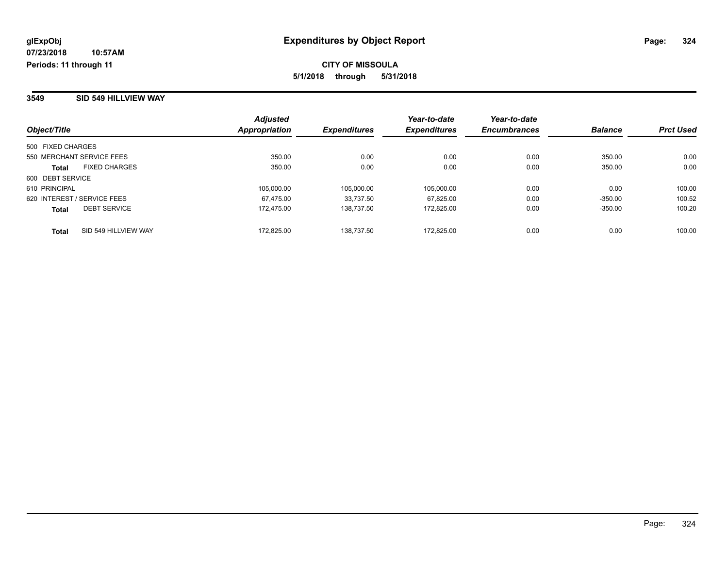#### **3549 SID 549 HILLVIEW WAY**

|                                      | <b>Adjusted</b> |                     | Year-to-date        | Year-to-date        |                |                  |
|--------------------------------------|-----------------|---------------------|---------------------|---------------------|----------------|------------------|
| Object/Title                         | Appropriation   | <b>Expenditures</b> | <b>Expenditures</b> | <b>Encumbrances</b> | <b>Balance</b> | <b>Prct Used</b> |
| 500 FIXED CHARGES                    |                 |                     |                     |                     |                |                  |
| 550 MERCHANT SERVICE FEES            | 350.00          | 0.00                | 0.00                | 0.00                | 350.00         | 0.00             |
| <b>FIXED CHARGES</b><br><b>Total</b> | 350.00          | 0.00                | 0.00                | 0.00                | 350.00         | 0.00             |
| 600 DEBT SERVICE                     |                 |                     |                     |                     |                |                  |
| 610 PRINCIPAL                        | 105.000.00      | 105.000.00          | 105.000.00          | 0.00                | 0.00           | 100.00           |
| 620 INTEREST / SERVICE FEES          | 67.475.00       | 33.737.50           | 67.825.00           | 0.00                | $-350.00$      | 100.52           |
| <b>DEBT SERVICE</b><br><b>Total</b>  | 172.475.00      | 138.737.50          | 172.825.00          | 0.00                | $-350.00$      | 100.20           |
| SID 549 HILLVIEW WAY<br><b>Total</b> | 172.825.00      | 138.737.50          | 172.825.00          | 0.00                | 0.00           | 100.00           |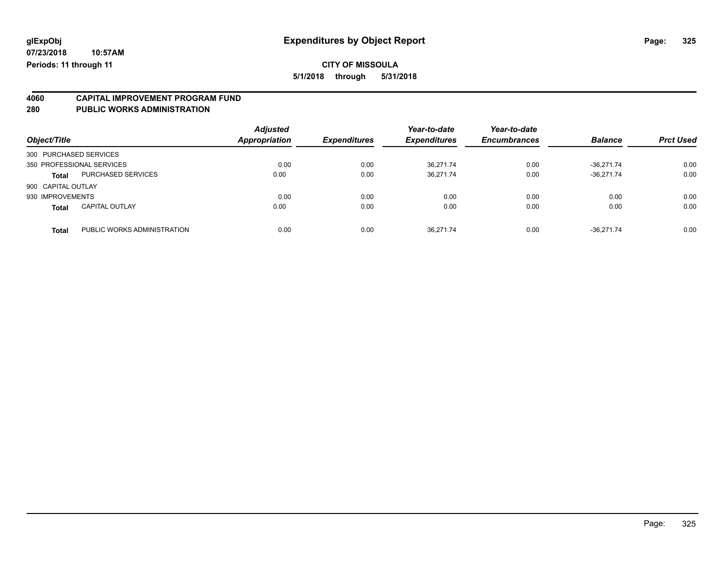# **4060 CAPITAL IMPROVEMENT PROGRAM FUND**

| Object/Title           |                             | <b>Adjusted</b><br><b>Appropriation</b> | <b>Expenditures</b> | Year-to-date<br><b>Expenditures</b> | Year-to-date<br><b>Encumbrances</b> | <b>Balance</b> | <b>Prct Used</b> |
|------------------------|-----------------------------|-----------------------------------------|---------------------|-------------------------------------|-------------------------------------|----------------|------------------|
| 300 PURCHASED SERVICES |                             |                                         |                     |                                     |                                     |                |                  |
|                        | 350 PROFESSIONAL SERVICES   | 0.00                                    | 0.00                | 36.271.74                           | 0.00                                | $-36.271.74$   | 0.00             |
| <b>Total</b>           | <b>PURCHASED SERVICES</b>   | 0.00                                    | 0.00                | 36.271.74                           | 0.00                                | $-36.271.74$   | 0.00             |
| 900 CAPITAL OUTLAY     |                             |                                         |                     |                                     |                                     |                |                  |
| 930 IMPROVEMENTS       |                             | 0.00                                    | 0.00                | 0.00                                | 0.00                                | 0.00           | 0.00             |
| <b>Total</b>           | <b>CAPITAL OUTLAY</b>       | 0.00                                    | 0.00                | 0.00                                | 0.00                                | 0.00           | 0.00             |
| <b>Total</b>           | PUBLIC WORKS ADMINISTRATION | 0.00                                    | 0.00                | 36.271.74                           | 0.00                                | $-36.271.74$   | 0.00             |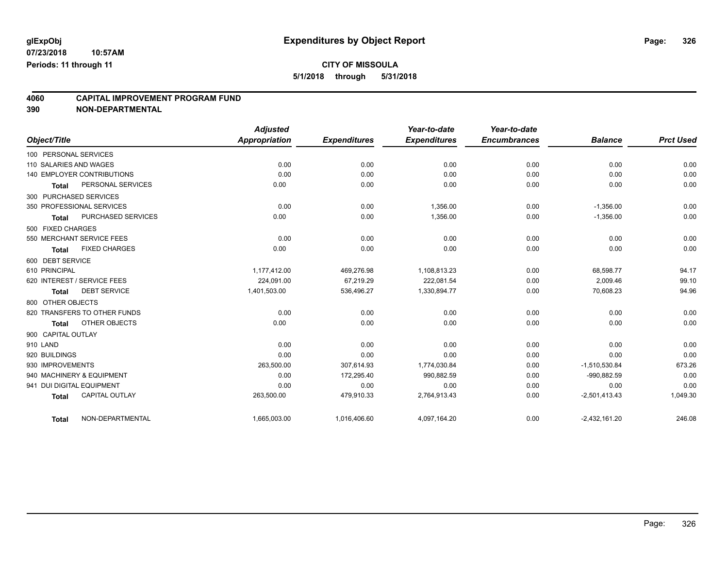# **4060 CAPITAL IMPROVEMENT PROGRAM FUND**

**390 NON-DEPARTMENTAL**

|                                       | <b>Adjusted</b> |                     | Year-to-date        | Year-to-date        |                 |                  |
|---------------------------------------|-----------------|---------------------|---------------------|---------------------|-----------------|------------------|
| Object/Title                          | Appropriation   | <b>Expenditures</b> | <b>Expenditures</b> | <b>Encumbrances</b> | <b>Balance</b>  | <b>Prct Used</b> |
| 100 PERSONAL SERVICES                 |                 |                     |                     |                     |                 |                  |
| 110 SALARIES AND WAGES                | 0.00            | 0.00                | 0.00                | 0.00                | 0.00            | 0.00             |
| 140 EMPLOYER CONTRIBUTIONS            | 0.00            | 0.00                | 0.00                | 0.00                | 0.00            | 0.00             |
| PERSONAL SERVICES<br><b>Total</b>     | 0.00            | 0.00                | 0.00                | 0.00                | 0.00            | 0.00             |
| 300 PURCHASED SERVICES                |                 |                     |                     |                     |                 |                  |
| 350 PROFESSIONAL SERVICES             | 0.00            | 0.00                | 1,356.00            | 0.00                | $-1,356.00$     | 0.00             |
| PURCHASED SERVICES<br><b>Total</b>    | 0.00            | 0.00                | 1,356.00            | 0.00                | $-1,356.00$     | 0.00             |
| 500 FIXED CHARGES                     |                 |                     |                     |                     |                 |                  |
| 550 MERCHANT SERVICE FEES             | 0.00            | 0.00                | 0.00                | 0.00                | 0.00            | 0.00             |
| <b>FIXED CHARGES</b><br><b>Total</b>  | 0.00            | 0.00                | 0.00                | 0.00                | 0.00            | 0.00             |
| 600 DEBT SERVICE                      |                 |                     |                     |                     |                 |                  |
| 610 PRINCIPAL                         | 1,177,412.00    | 469,276.98          | 1,108,813.23        | 0.00                | 68,598.77       | 94.17            |
| 620 INTEREST / SERVICE FEES           | 224.091.00      | 67,219.29           | 222,081.54          | 0.00                | 2,009.46        | 99.10            |
| <b>DEBT SERVICE</b><br><b>Total</b>   | 1,401,503.00    | 536,496.27          | 1,330,894.77        | 0.00                | 70,608.23       | 94.96            |
| 800 OTHER OBJECTS                     |                 |                     |                     |                     |                 |                  |
| 820 TRANSFERS TO OTHER FUNDS          | 0.00            | 0.00                | 0.00                | 0.00                | 0.00            | 0.00             |
| OTHER OBJECTS<br><b>Total</b>         | 0.00            | 0.00                | 0.00                | 0.00                | 0.00            | 0.00             |
| 900 CAPITAL OUTLAY                    |                 |                     |                     |                     |                 |                  |
| 910 LAND                              | 0.00            | 0.00                | 0.00                | 0.00                | 0.00            | 0.00             |
| 920 BUILDINGS                         | 0.00            | 0.00                | 0.00                | 0.00                | 0.00            | 0.00             |
| 930 IMPROVEMENTS                      | 263,500.00      | 307.614.93          | 1,774,030.84        | 0.00                | $-1,510,530.84$ | 673.26           |
| 940 MACHINERY & EQUIPMENT             | 0.00            | 172,295.40          | 990,882.59          | 0.00                | $-990,882.59$   | 0.00             |
| 941 DUI DIGITAL EQUIPMENT             | 0.00            | 0.00                | 0.00                | 0.00                | 0.00            | 0.00             |
| <b>CAPITAL OUTLAY</b><br><b>Total</b> | 263,500.00      | 479,910.33          | 2,764,913.43        | 0.00                | $-2,501,413.43$ | 1,049.30         |
| NON-DEPARTMENTAL<br><b>Total</b>      | 1,665,003.00    | 1,016,406.60        | 4,097,164.20        | 0.00                | $-2,432,161.20$ | 246.08           |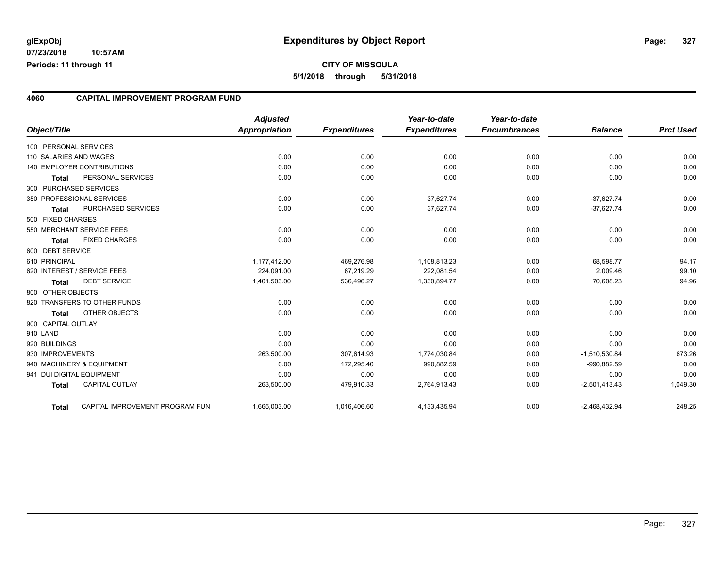#### **4060 CAPITAL IMPROVEMENT PROGRAM FUND**

|                           |                                 | <b>Adjusted</b>      |                     | Year-to-date        | Year-to-date        |                 |                  |
|---------------------------|---------------------------------|----------------------|---------------------|---------------------|---------------------|-----------------|------------------|
| Object/Title              |                                 | <b>Appropriation</b> | <b>Expenditures</b> | <b>Expenditures</b> | <b>Encumbrances</b> | <b>Balance</b>  | <b>Prct Used</b> |
| 100 PERSONAL SERVICES     |                                 |                      |                     |                     |                     |                 |                  |
| 110 SALARIES AND WAGES    |                                 | 0.00                 | 0.00                | 0.00                | 0.00                | 0.00            | 0.00             |
|                           | 140 EMPLOYER CONTRIBUTIONS      | 0.00                 | 0.00                | 0.00                | 0.00                | 0.00            | 0.00             |
| <b>Total</b>              | PERSONAL SERVICES               | 0.00                 | 0.00                | 0.00                | 0.00                | 0.00            | 0.00             |
| 300 PURCHASED SERVICES    |                                 |                      |                     |                     |                     |                 |                  |
|                           | 350 PROFESSIONAL SERVICES       | 0.00                 | 0.00                | 37,627.74           | 0.00                | $-37,627.74$    | 0.00             |
| <b>Total</b>              | PURCHASED SERVICES              | 0.00                 | 0.00                | 37,627.74           | 0.00                | $-37,627.74$    | 0.00             |
| 500 FIXED CHARGES         |                                 |                      |                     |                     |                     |                 |                  |
|                           | 550 MERCHANT SERVICE FEES       | 0.00                 | 0.00                | 0.00                | 0.00                | 0.00            | 0.00             |
| <b>Total</b>              | <b>FIXED CHARGES</b>            | 0.00                 | 0.00                | 0.00                | 0.00                | 0.00            | 0.00             |
| 600 DEBT SERVICE          |                                 |                      |                     |                     |                     |                 |                  |
| 610 PRINCIPAL             |                                 | 1,177,412.00         | 469,276.98          | 1,108,813.23        | 0.00                | 68,598.77       | 94.17            |
|                           | 620 INTEREST / SERVICE FEES     | 224,091.00           | 67,219.29           | 222,081.54          | 0.00                | 2,009.46        | 99.10            |
| <b>Total</b>              | <b>DEBT SERVICE</b>             | 1,401,503.00         | 536,496.27          | 1,330,894.77        | 0.00                | 70,608.23       | 94.96            |
| 800 OTHER OBJECTS         |                                 |                      |                     |                     |                     |                 |                  |
|                           | 820 TRANSFERS TO OTHER FUNDS    | 0.00                 | 0.00                | 0.00                | 0.00                | 0.00            | 0.00             |
| <b>Total</b>              | OTHER OBJECTS                   | 0.00                 | 0.00                | 0.00                | 0.00                | 0.00            | 0.00             |
| 900 CAPITAL OUTLAY        |                                 |                      |                     |                     |                     |                 |                  |
| 910 LAND                  |                                 | 0.00                 | 0.00                | 0.00                | 0.00                | 0.00            | 0.00             |
| 920 BUILDINGS             |                                 | 0.00                 | 0.00                | 0.00                | 0.00                | 0.00            | 0.00             |
| 930 IMPROVEMENTS          |                                 | 263,500.00           | 307,614.93          | 1,774,030.84        | 0.00                | $-1,510,530.84$ | 673.26           |
|                           | 940 MACHINERY & EQUIPMENT       | 0.00                 | 172,295.40          | 990,882.59          | 0.00                | -990,882.59     | 0.00             |
| 941 DUI DIGITAL EQUIPMENT |                                 | 0.00                 | 0.00                | 0.00                | 0.00                | 0.00            | 0.00             |
| <b>Total</b>              | <b>CAPITAL OUTLAY</b>           | 263,500.00           | 479,910.33          | 2,764,913.43        | 0.00                | $-2,501,413.43$ | 1,049.30         |
| <b>Total</b>              | CAPITAL IMPROVEMENT PROGRAM FUN | 1,665,003.00         | 1,016,406.60        | 4,133,435.94        | 0.00                | $-2,468,432.94$ | 248.25           |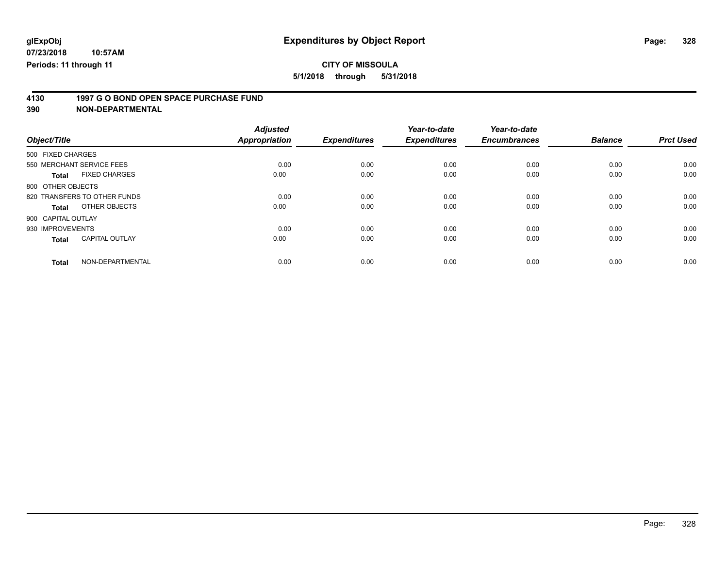# **4130 1997 G O BOND OPEN SPACE PURCHASE FUND**

**390 NON-DEPARTMENTAL**

|                                       | <b>Adjusted</b>      |                     | Year-to-date        | Year-to-date        |                |                  |
|---------------------------------------|----------------------|---------------------|---------------------|---------------------|----------------|------------------|
| Object/Title                          | <b>Appropriation</b> | <b>Expenditures</b> | <b>Expenditures</b> | <b>Encumbrances</b> | <b>Balance</b> | <b>Prct Used</b> |
| 500 FIXED CHARGES                     |                      |                     |                     |                     |                |                  |
| 550 MERCHANT SERVICE FEES             | 0.00                 | 0.00                | 0.00                | 0.00                | 0.00           | 0.00             |
| <b>FIXED CHARGES</b><br><b>Total</b>  | 0.00                 | 0.00                | 0.00                | 0.00                | 0.00           | 0.00             |
| 800 OTHER OBJECTS                     |                      |                     |                     |                     |                |                  |
| 820 TRANSFERS TO OTHER FUNDS          | 0.00                 | 0.00                | 0.00                | 0.00                | 0.00           | 0.00             |
| OTHER OBJECTS<br>Total                | 0.00                 | 0.00                | 0.00                | 0.00                | 0.00           | 0.00             |
| 900 CAPITAL OUTLAY                    |                      |                     |                     |                     |                |                  |
| 930 IMPROVEMENTS                      | 0.00                 | 0.00                | 0.00                | 0.00                | 0.00           | 0.00             |
| <b>CAPITAL OUTLAY</b><br><b>Total</b> | 0.00                 | 0.00                | 0.00                | 0.00                | 0.00           | 0.00             |
| NON-DEPARTMENTAL<br><b>Total</b>      | 0.00                 | 0.00                | 0.00                | 0.00                | 0.00           | 0.00             |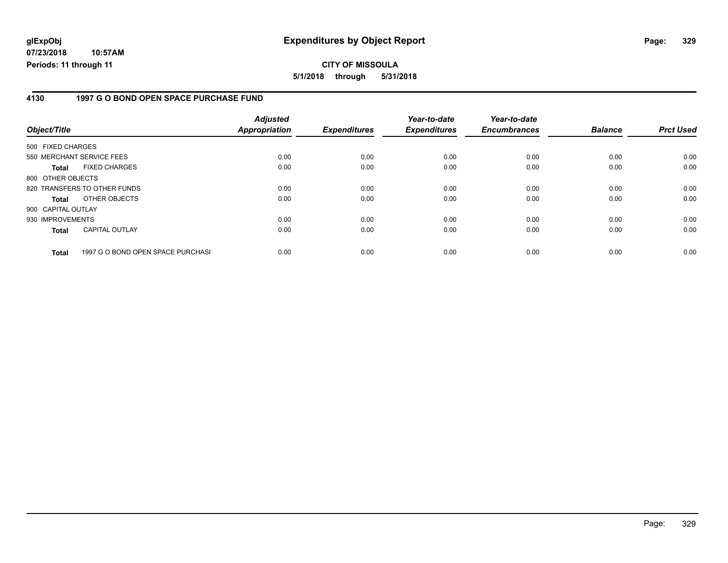#### **4130 1997 G O BOND OPEN SPACE PURCHASE FUND**

| Object/Title                 |                                   | <b>Adjusted</b><br>Appropriation | <b>Expenditures</b> | Year-to-date<br><b>Expenditures</b> | Year-to-date<br><b>Encumbrances</b> | <b>Balance</b> | <b>Prct Used</b> |
|------------------------------|-----------------------------------|----------------------------------|---------------------|-------------------------------------|-------------------------------------|----------------|------------------|
| 500 FIXED CHARGES            |                                   |                                  |                     |                                     |                                     |                |                  |
| 550 MERCHANT SERVICE FEES    |                                   | 0.00                             | 0.00                | 0.00                                | 0.00                                | 0.00           | 0.00             |
| Total                        | <b>FIXED CHARGES</b>              | 0.00                             | 0.00                | 0.00                                | 0.00                                | 0.00           | 0.00             |
| 800 OTHER OBJECTS            |                                   |                                  |                     |                                     |                                     |                |                  |
| 820 TRANSFERS TO OTHER FUNDS |                                   | 0.00                             | 0.00                | 0.00                                | 0.00                                | 0.00           | 0.00             |
| <b>Total</b>                 | OTHER OBJECTS                     | 0.00                             | 0.00                | 0.00                                | 0.00                                | 0.00           | 0.00             |
| 900 CAPITAL OUTLAY           |                                   |                                  |                     |                                     |                                     |                |                  |
| 930 IMPROVEMENTS             |                                   | 0.00                             | 0.00                | 0.00                                | 0.00                                | 0.00           | 0.00             |
| <b>Total</b>                 | <b>CAPITAL OUTLAY</b>             | 0.00                             | 0.00                | 0.00                                | 0.00                                | 0.00           | 0.00             |
| <b>Total</b>                 | 1997 G O BOND OPEN SPACE PURCHASI | 0.00                             | 0.00                | 0.00                                | 0.00                                | 0.00           | 0.00             |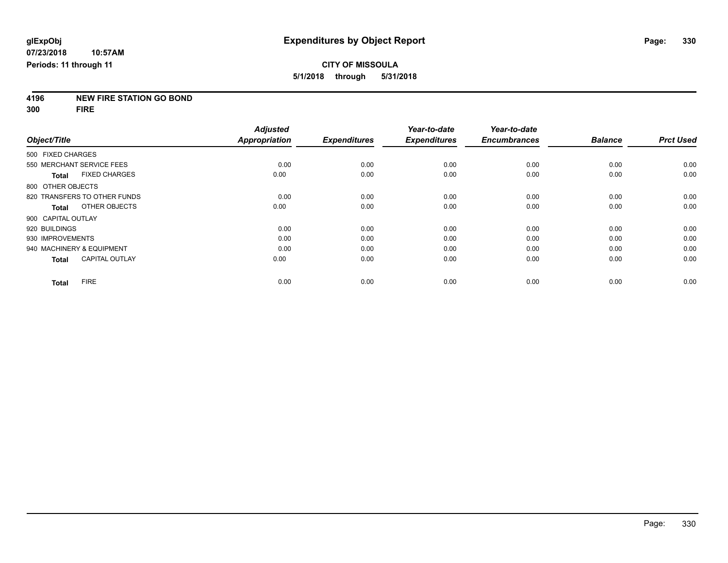# **4196 NEW FIRE STATION GO BOND**

**300 FIRE**

| Object/Title                          |  | <b>Adjusted</b>      | <b>Expenditures</b> | Year-to-date<br><b>Expenditures</b> | Year-to-date<br><b>Encumbrances</b> | <b>Balance</b> | <b>Prct Used</b> |
|---------------------------------------|--|----------------------|---------------------|-------------------------------------|-------------------------------------|----------------|------------------|
|                                       |  | <b>Appropriation</b> |                     |                                     |                                     |                |                  |
| 500 FIXED CHARGES                     |  |                      |                     |                                     |                                     |                |                  |
| 550 MERCHANT SERVICE FEES             |  | 0.00                 | 0.00                | 0.00                                | 0.00                                | 0.00           | 0.00             |
| <b>FIXED CHARGES</b><br><b>Total</b>  |  | 0.00                 | 0.00                | 0.00                                | 0.00                                | 0.00           | 0.00             |
| 800 OTHER OBJECTS                     |  |                      |                     |                                     |                                     |                |                  |
| 820 TRANSFERS TO OTHER FUNDS          |  | 0.00                 | 0.00                | 0.00                                | 0.00                                | 0.00           | 0.00             |
| OTHER OBJECTS<br>Total                |  | 0.00                 | 0.00                | 0.00                                | 0.00                                | 0.00           | 0.00             |
| 900 CAPITAL OUTLAY                    |  |                      |                     |                                     |                                     |                |                  |
| 920 BUILDINGS                         |  | 0.00                 | 0.00                | 0.00                                | 0.00                                | 0.00           | 0.00             |
| 930 IMPROVEMENTS                      |  | 0.00                 | 0.00                | 0.00                                | 0.00                                | 0.00           | 0.00             |
| 940 MACHINERY & EQUIPMENT             |  | 0.00                 | 0.00                | 0.00                                | 0.00                                | 0.00           | 0.00             |
| <b>CAPITAL OUTLAY</b><br><b>Total</b> |  | 0.00                 | 0.00                | 0.00                                | 0.00                                | 0.00           | 0.00             |
| <b>FIRE</b><br>Total                  |  | 0.00                 | 0.00                | 0.00                                | 0.00                                | 0.00           | 0.00             |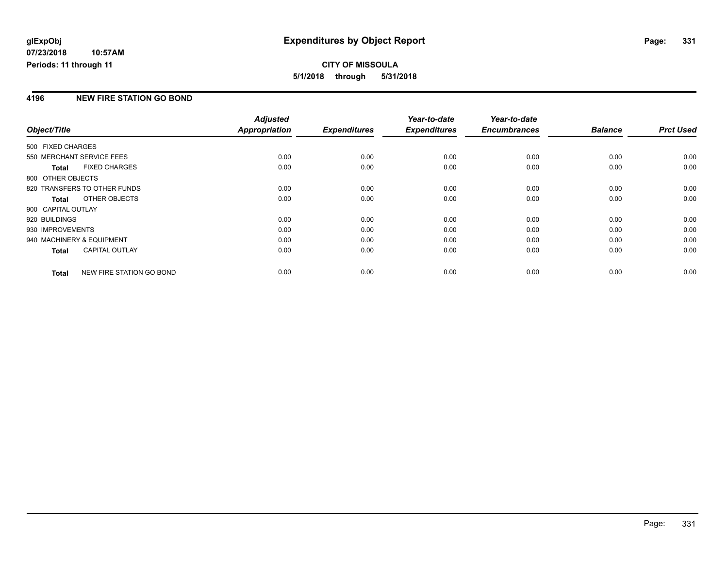#### **4196 NEW FIRE STATION GO BOND**

|                    |                              | <b>Adjusted</b>      |                     | Year-to-date        | Year-to-date        |                |                  |
|--------------------|------------------------------|----------------------|---------------------|---------------------|---------------------|----------------|------------------|
| Object/Title       |                              | <b>Appropriation</b> | <b>Expenditures</b> | <b>Expenditures</b> | <b>Encumbrances</b> | <b>Balance</b> | <b>Prct Used</b> |
| 500 FIXED CHARGES  |                              |                      |                     |                     |                     |                |                  |
|                    | 550 MERCHANT SERVICE FEES    | 0.00                 | 0.00                | 0.00                | 0.00                | 0.00           | 0.00             |
| <b>Total</b>       | <b>FIXED CHARGES</b>         | 0.00                 | 0.00                | 0.00                | 0.00                | 0.00           | 0.00             |
| 800 OTHER OBJECTS  |                              |                      |                     |                     |                     |                |                  |
|                    | 820 TRANSFERS TO OTHER FUNDS | 0.00                 | 0.00                | 0.00                | 0.00                | 0.00           | 0.00             |
| <b>Total</b>       | OTHER OBJECTS                | 0.00                 | 0.00                | 0.00                | 0.00                | 0.00           | 0.00             |
| 900 CAPITAL OUTLAY |                              |                      |                     |                     |                     |                |                  |
| 920 BUILDINGS      |                              | 0.00                 | 0.00                | 0.00                | 0.00                | 0.00           | 0.00             |
| 930 IMPROVEMENTS   |                              | 0.00                 | 0.00                | 0.00                | 0.00                | 0.00           | 0.00             |
|                    | 940 MACHINERY & EQUIPMENT    | 0.00                 | 0.00                | 0.00                | 0.00                | 0.00           | 0.00             |
| <b>Total</b>       | <b>CAPITAL OUTLAY</b>        | 0.00                 | 0.00                | 0.00                | 0.00                | 0.00           | 0.00             |
| <b>Total</b>       | NEW FIRE STATION GO BOND     | 0.00                 | 0.00                | 0.00                | 0.00                | 0.00           | 0.00             |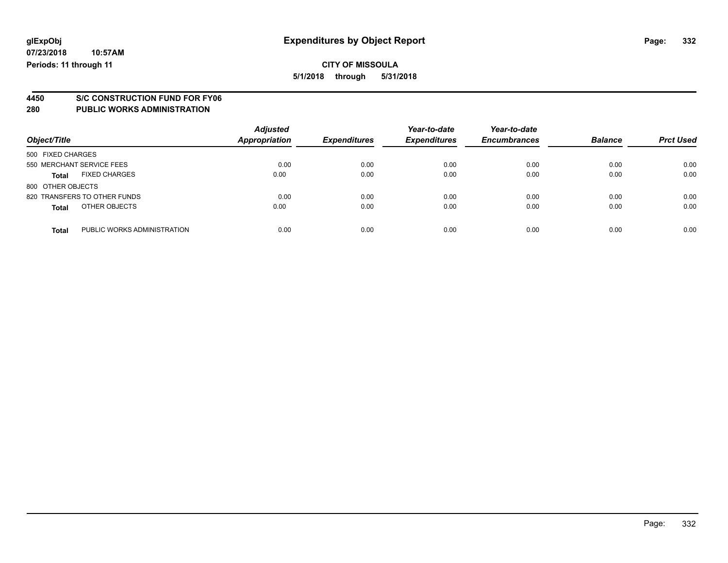### **CITY OF MISSOULA 5/1/2018 through 5/31/2018**

# **4450 S/C CONSTRUCTION FUND FOR FY06**

| Object/Title                                | <b>Adjusted</b><br><b>Appropriation</b> | <b>Expenditures</b> | Year-to-date<br><b>Expenditures</b> | Year-to-date<br><b>Encumbrances</b> | <b>Balance</b> | <b>Prct Used</b> |
|---------------------------------------------|-----------------------------------------|---------------------|-------------------------------------|-------------------------------------|----------------|------------------|
| 500 FIXED CHARGES                           |                                         |                     |                                     |                                     |                |                  |
| 550 MERCHANT SERVICE FEES                   | 0.00                                    | 0.00                | 0.00                                | 0.00                                | 0.00           | 0.00             |
| <b>FIXED CHARGES</b><br><b>Total</b>        | 0.00                                    | 0.00                | 0.00                                | 0.00                                | 0.00           | 0.00             |
| 800 OTHER OBJECTS                           |                                         |                     |                                     |                                     |                |                  |
| 820 TRANSFERS TO OTHER FUNDS                | 0.00                                    | 0.00                | 0.00                                | 0.00                                | 0.00           | 0.00             |
| OTHER OBJECTS<br><b>Total</b>               | 0.00                                    | 0.00                | 0.00                                | 0.00                                | 0.00           | 0.00             |
| PUBLIC WORKS ADMINISTRATION<br><b>Total</b> | 0.00                                    | 0.00                | 0.00                                | 0.00                                | 0.00           | 0.00             |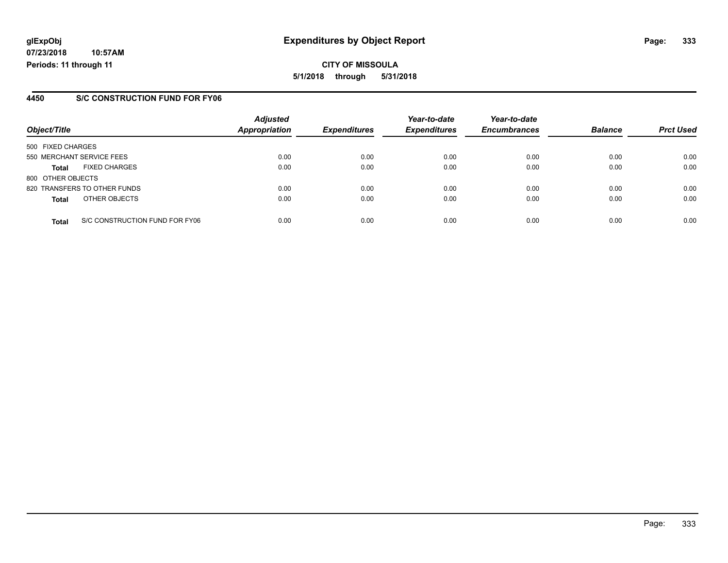**CITY OF MISSOULA 5/1/2018 through 5/31/2018**

### **4450 S/C CONSTRUCTION FUND FOR FY06**

| Object/Title      |                                | <b>Adjusted</b> | <b>Expenditures</b> | Year-to-date<br><b>Expenditures</b> | Year-to-date        | <b>Balance</b> | <b>Prct Used</b> |
|-------------------|--------------------------------|-----------------|---------------------|-------------------------------------|---------------------|----------------|------------------|
|                   |                                | Appropriation   |                     |                                     | <b>Encumbrances</b> |                |                  |
| 500 FIXED CHARGES |                                |                 |                     |                                     |                     |                |                  |
|                   | 550 MERCHANT SERVICE FEES      | 0.00            | 0.00                | 0.00                                | 0.00                | 0.00           | 0.00             |
| <b>Total</b>      | <b>FIXED CHARGES</b>           | 0.00            | 0.00                | 0.00                                | 0.00                | 0.00           | 0.00             |
| 800 OTHER OBJECTS |                                |                 |                     |                                     |                     |                |                  |
|                   | 820 TRANSFERS TO OTHER FUNDS   | 0.00            | 0.00                | 0.00                                | 0.00                | 0.00           | 0.00             |
| <b>Total</b>      | OTHER OBJECTS                  | 0.00            | 0.00                | 0.00                                | 0.00                | 0.00           | 0.00             |
| <b>Total</b>      | S/C CONSTRUCTION FUND FOR FY06 | 0.00            | 0.00                | 0.00                                | 0.00                | 0.00           | 0.00             |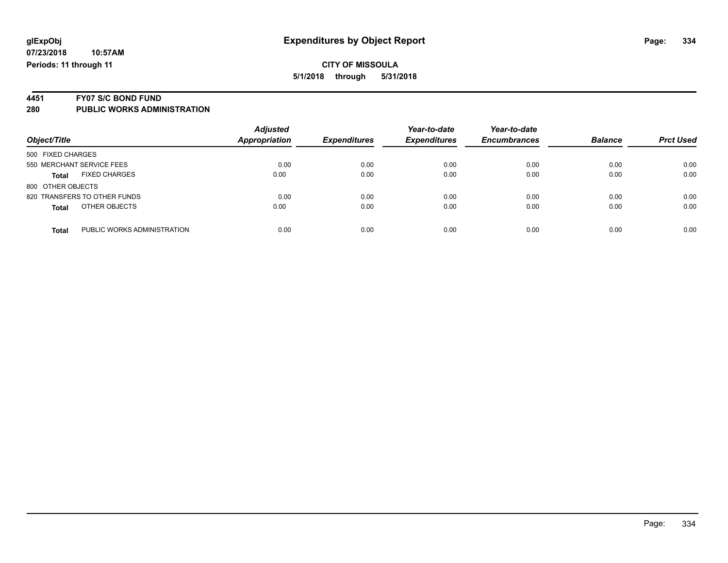**4451 FY07 S/C BOND FUND 280 PUBLIC WORKS ADMINISTRATION**

| Object/Title                                | <b>Adjusted</b><br><b>Appropriation</b> | <b>Expenditures</b> | Year-to-date<br><b>Expenditures</b> | Year-to-date<br><b>Encumbrances</b> | <b>Balance</b> | <b>Prct Used</b> |
|---------------------------------------------|-----------------------------------------|---------------------|-------------------------------------|-------------------------------------|----------------|------------------|
| 500 FIXED CHARGES                           |                                         |                     |                                     |                                     |                |                  |
| 550 MERCHANT SERVICE FEES                   | 0.00                                    | 0.00                | 0.00                                | 0.00                                | 0.00           | 0.00             |
| <b>FIXED CHARGES</b><br><b>Total</b>        | 0.00                                    | 0.00                | 0.00                                | 0.00                                | 0.00           | 0.00             |
| 800 OTHER OBJECTS                           |                                         |                     |                                     |                                     |                |                  |
| 820 TRANSFERS TO OTHER FUNDS                | 0.00                                    | 0.00                | 0.00                                | 0.00                                | 0.00           | 0.00             |
| OTHER OBJECTS<br><b>Total</b>               | 0.00                                    | 0.00                | 0.00                                | 0.00                                | 0.00           | 0.00             |
| PUBLIC WORKS ADMINISTRATION<br><b>Total</b> | 0.00                                    | 0.00                | 0.00                                | 0.00                                | 0.00           | 0.00             |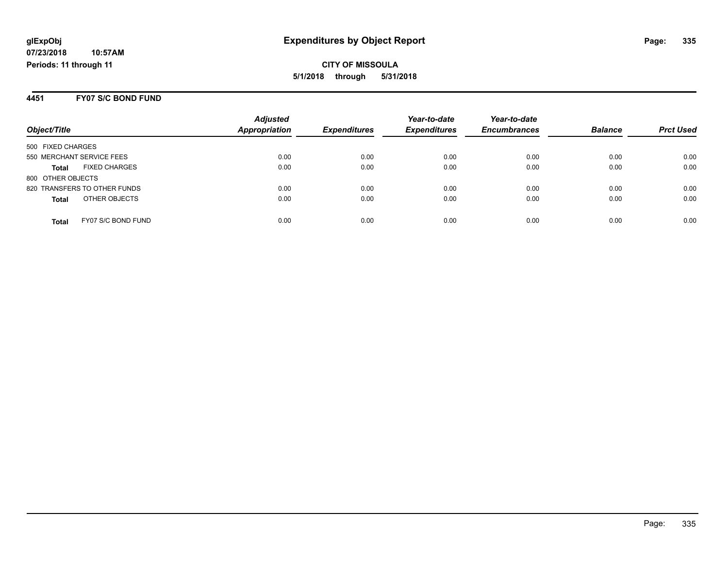#### **4451 FY07 S/C BOND FUND**

|                                      | <b>Adjusted</b>      |                     | Year-to-date        | Year-to-date        |                |                  |
|--------------------------------------|----------------------|---------------------|---------------------|---------------------|----------------|------------------|
| Object/Title                         | <b>Appropriation</b> | <b>Expenditures</b> | <b>Expenditures</b> | <b>Encumbrances</b> | <b>Balance</b> | <b>Prct Used</b> |
| 500 FIXED CHARGES                    |                      |                     |                     |                     |                |                  |
| 550 MERCHANT SERVICE FEES            | 0.00                 | 0.00                | 0.00                | 0.00                | 0.00           | 0.00             |
| <b>FIXED CHARGES</b><br><b>Total</b> | 0.00                 | 0.00                | 0.00                | 0.00                | 0.00           | 0.00             |
| 800 OTHER OBJECTS                    |                      |                     |                     |                     |                |                  |
| 820 TRANSFERS TO OTHER FUNDS         | 0.00                 | 0.00                | 0.00                | 0.00                | 0.00           | 0.00             |
| OTHER OBJECTS<br><b>Total</b>        | 0.00                 | 0.00                | 0.00                | 0.00                | 0.00           | 0.00             |
| FY07 S/C BOND FUND<br><b>Total</b>   | 0.00                 | 0.00                | 0.00                | 0.00                | 0.00           | 0.00             |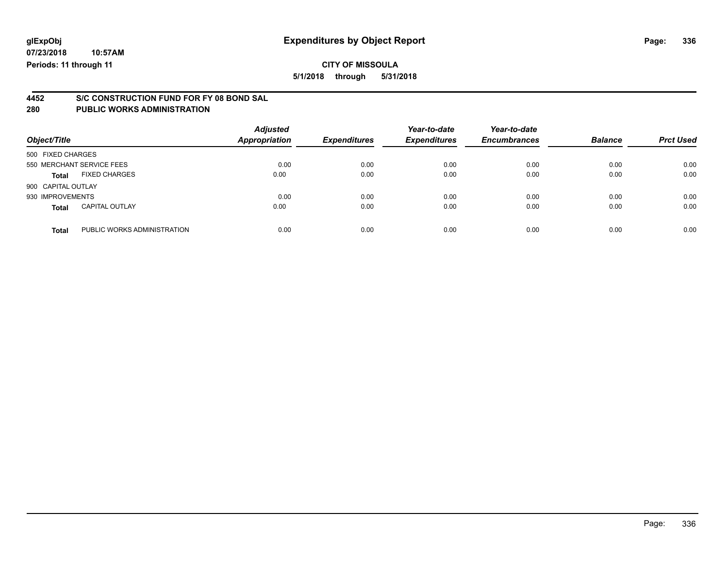### **CITY OF MISSOULA 5/1/2018 through 5/31/2018**

# **4452 S/C CONSTRUCTION FUND FOR FY 08 BOND SAL**

| Object/Title              |                             | <b>Adjusted</b><br>Appropriation | <b>Expenditures</b> | Year-to-date<br><b>Expenditures</b> | Year-to-date<br><b>Encumbrances</b> | <b>Balance</b> | <b>Prct Used</b> |
|---------------------------|-----------------------------|----------------------------------|---------------------|-------------------------------------|-------------------------------------|----------------|------------------|
| 500 FIXED CHARGES         |                             |                                  |                     |                                     |                                     |                |                  |
| 550 MERCHANT SERVICE FEES |                             | 0.00                             | 0.00                | 0.00                                | 0.00                                | 0.00           | 0.00             |
| <b>Total</b>              | <b>FIXED CHARGES</b>        | 0.00                             | 0.00                | 0.00                                | 0.00                                | 0.00           | 0.00             |
| 900 CAPITAL OUTLAY        |                             |                                  |                     |                                     |                                     |                |                  |
| 930 IMPROVEMENTS          |                             | 0.00                             | 0.00                | 0.00                                | 0.00                                | 0.00           | 0.00             |
| <b>Total</b>              | <b>CAPITAL OUTLAY</b>       | 0.00                             | 0.00                | 0.00                                | 0.00                                | 0.00           | 0.00             |
| <b>Total</b>              | PUBLIC WORKS ADMINISTRATION | 0.00                             | 0.00                | 0.00                                | 0.00                                | 0.00           | 0.00             |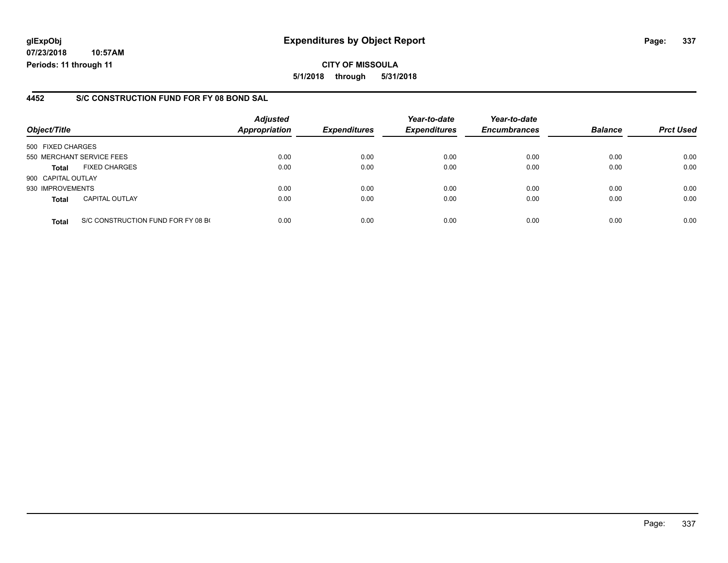### **glExpObj Expenditures by Object Report Page: 337**

**07/23/2018 10:57AM Periods: 11 through 11**

**5/1/2018 through 5/31/2018**

# **4452 S/C CONSTRUCTION FUND FOR FY 08 BOND SAL**

| Object/Title       |                                    | <b>Adjusted</b><br><b>Appropriation</b> | <b>Expenditures</b> | Year-to-date<br><b>Expenditures</b> | Year-to-date<br><b>Encumbrances</b> | <b>Balance</b> | <b>Prct Used</b> |
|--------------------|------------------------------------|-----------------------------------------|---------------------|-------------------------------------|-------------------------------------|----------------|------------------|
| 500 FIXED CHARGES  |                                    |                                         |                     |                                     |                                     |                |                  |
|                    | 550 MERCHANT SERVICE FEES          | 0.00                                    | 0.00                | 0.00                                | 0.00                                | 0.00           | 0.00             |
| <b>Total</b>       | <b>FIXED CHARGES</b>               | 0.00                                    | 0.00                | 0.00                                | 0.00                                | 0.00           | 0.00             |
| 900 CAPITAL OUTLAY |                                    |                                         |                     |                                     |                                     |                |                  |
| 930 IMPROVEMENTS   |                                    | 0.00                                    | 0.00                | 0.00                                | 0.00                                | 0.00           | 0.00             |
| <b>Total</b>       | <b>CAPITAL OUTLAY</b>              | 0.00                                    | 0.00                | 0.00                                | 0.00                                | 0.00           | 0.00             |
| <b>Total</b>       | S/C CONSTRUCTION FUND FOR FY 08 BO | 0.00                                    | 0.00                | 0.00                                | 0.00                                | 0.00           | 0.00             |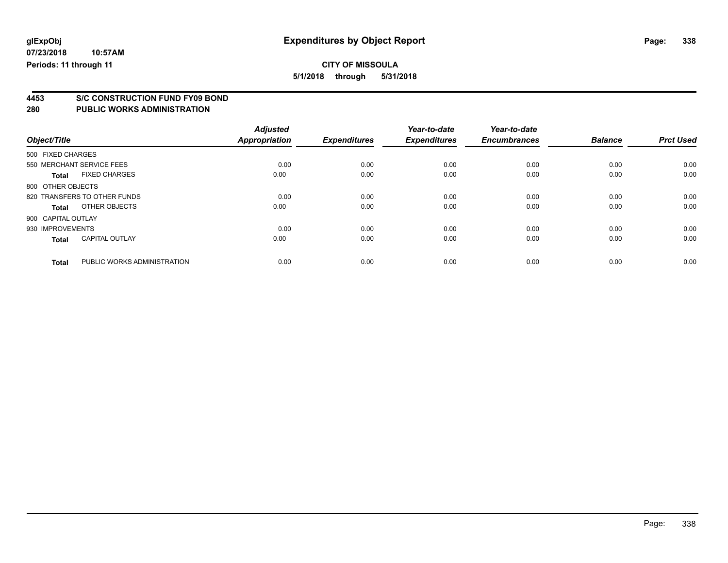# **4453 S/C CONSTRUCTION FUND FY09 BOND**

#### **280 PUBLIC WORKS ADMINISTRATION**

| Object/Title       |                              | <b>Adjusted</b><br><b>Appropriation</b> | <b>Expenditures</b> | Year-to-date<br><b>Expenditures</b> | Year-to-date<br><b>Encumbrances</b> | <b>Balance</b> | <b>Prct Used</b> |
|--------------------|------------------------------|-----------------------------------------|---------------------|-------------------------------------|-------------------------------------|----------------|------------------|
| 500 FIXED CHARGES  |                              |                                         |                     |                                     |                                     |                |                  |
|                    | 550 MERCHANT SERVICE FEES    | 0.00                                    | 0.00                | 0.00                                | 0.00                                | 0.00           | 0.00             |
| <b>Total</b>       | <b>FIXED CHARGES</b>         | 0.00                                    | 0.00                | 0.00                                | 0.00                                | 0.00           | 0.00             |
| 800 OTHER OBJECTS  |                              |                                         |                     |                                     |                                     |                |                  |
|                    | 820 TRANSFERS TO OTHER FUNDS | 0.00                                    | 0.00                | 0.00                                | 0.00                                | 0.00           | 0.00             |
| <b>Total</b>       | OTHER OBJECTS                | 0.00                                    | 0.00                | 0.00                                | 0.00                                | 0.00           | 0.00             |
| 900 CAPITAL OUTLAY |                              |                                         |                     |                                     |                                     |                |                  |
| 930 IMPROVEMENTS   |                              | 0.00                                    | 0.00                | 0.00                                | 0.00                                | 0.00           | 0.00             |
| <b>Total</b>       | <b>CAPITAL OUTLAY</b>        | 0.00                                    | 0.00                | 0.00                                | 0.00                                | 0.00           | 0.00             |
| <b>Total</b>       | PUBLIC WORKS ADMINISTRATION  | 0.00                                    | 0.00                | 0.00                                | 0.00                                | 0.00           | 0.00             |

Page: 338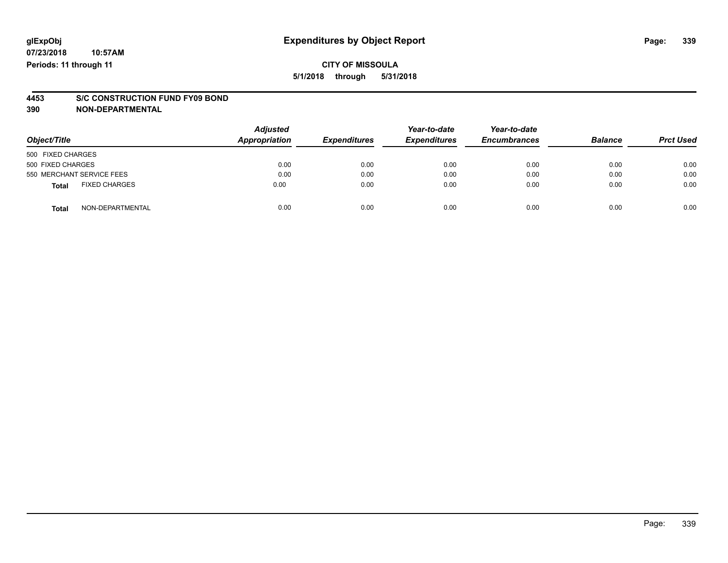# **4453 S/C CONSTRUCTION FUND FY09 BOND**

**390 NON-DEPARTMENTAL**

| Object/Title                         | <b>Adjusted</b><br>Appropriation | <b>Expenditures</b> | Year-to-date<br><b>Expenditures</b> | Year-to-date<br><b>Encumbrances</b> | <b>Balance</b> | <b>Prct Used</b> |
|--------------------------------------|----------------------------------|---------------------|-------------------------------------|-------------------------------------|----------------|------------------|
| 500 FIXED CHARGES                    |                                  |                     |                                     |                                     |                |                  |
| 500 FIXED CHARGES                    | 0.00                             | 0.00                | 0.00                                | 0.00                                | 0.00           | 0.00             |
| 550 MERCHANT SERVICE FEES            | 0.00                             | 0.00                | 0.00                                | 0.00                                | 0.00           | 0.00             |
| <b>FIXED CHARGES</b><br><b>Total</b> | 0.00                             | 0.00                | 0.00                                | 0.00                                | 0.00           | 0.00             |
| NON-DEPARTMENTAL<br><b>Total</b>     | 0.00                             | 0.00                | 0.00                                | 0.00                                | 0.00           | 0.00             |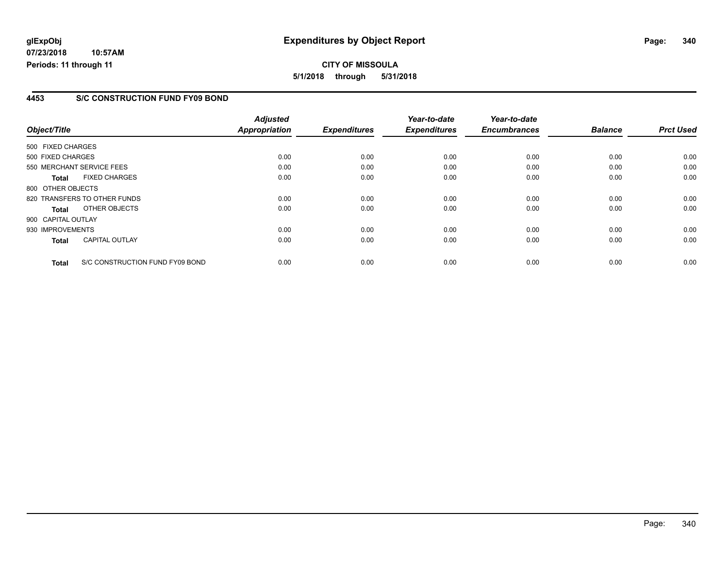**CITY OF MISSOULA 5/1/2018 through 5/31/2018**

#### **4453 S/C CONSTRUCTION FUND FY09 BOND**

|                    |                                 | <b>Adjusted</b>      |                     | Year-to-date        | Year-to-date        |                |                  |
|--------------------|---------------------------------|----------------------|---------------------|---------------------|---------------------|----------------|------------------|
| Object/Title       |                                 | <b>Appropriation</b> | <b>Expenditures</b> | <b>Expenditures</b> | <b>Encumbrances</b> | <b>Balance</b> | <b>Prct Used</b> |
| 500 FIXED CHARGES  |                                 |                      |                     |                     |                     |                |                  |
| 500 FIXED CHARGES  |                                 | 0.00                 | 0.00                | 0.00                | 0.00                | 0.00           | 0.00             |
|                    | 550 MERCHANT SERVICE FEES       | 0.00                 | 0.00                | 0.00                | 0.00                | 0.00           | 0.00             |
| <b>Total</b>       | <b>FIXED CHARGES</b>            | 0.00                 | 0.00                | 0.00                | 0.00                | 0.00           | 0.00             |
| 800 OTHER OBJECTS  |                                 |                      |                     |                     |                     |                |                  |
|                    | 820 TRANSFERS TO OTHER FUNDS    | 0.00                 | 0.00                | 0.00                | 0.00                | 0.00           | 0.00             |
| <b>Total</b>       | OTHER OBJECTS                   | 0.00                 | 0.00                | 0.00                | 0.00                | 0.00           | 0.00             |
| 900 CAPITAL OUTLAY |                                 |                      |                     |                     |                     |                |                  |
| 930 IMPROVEMENTS   |                                 | 0.00                 | 0.00                | 0.00                | 0.00                | 0.00           | 0.00             |
| <b>Total</b>       | <b>CAPITAL OUTLAY</b>           | 0.00                 | 0.00                | 0.00                | 0.00                | 0.00           | 0.00             |
| <b>Total</b>       | S/C CONSTRUCTION FUND FY09 BOND | 0.00                 | 0.00                | 0.00                | 0.00                | 0.00           | 0.00             |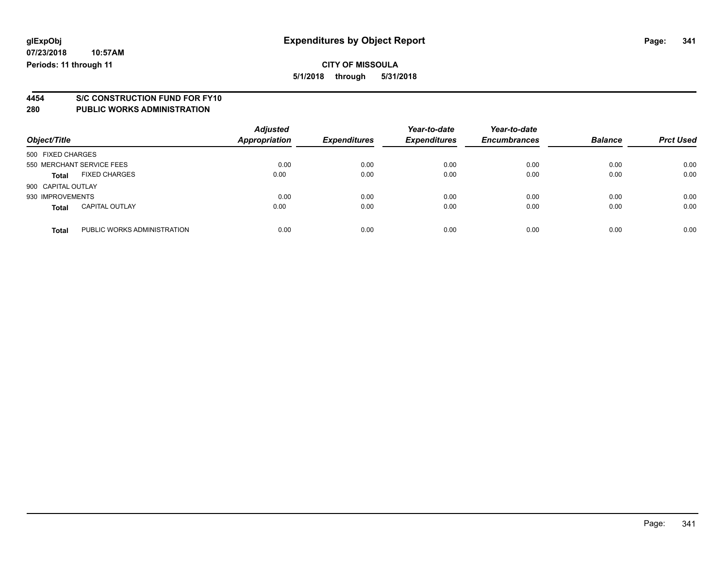### **CITY OF MISSOULA 5/1/2018 through 5/31/2018**

# **4454 S/C CONSTRUCTION FUND FOR FY10**

| Object/Title                                | <b>Adjusted</b><br><b>Appropriation</b> | <b>Expenditures</b> | Year-to-date<br><b>Expenditures</b> | Year-to-date<br><b>Encumbrances</b> | <b>Balance</b> | <b>Prct Used</b> |
|---------------------------------------------|-----------------------------------------|---------------------|-------------------------------------|-------------------------------------|----------------|------------------|
| 500 FIXED CHARGES                           |                                         |                     |                                     |                                     |                |                  |
| 550 MERCHANT SERVICE FEES                   | 0.00                                    | 0.00                | 0.00                                | 0.00                                | 0.00           | 0.00             |
| <b>FIXED CHARGES</b><br><b>Total</b>        | 0.00                                    | 0.00                | 0.00                                | 0.00                                | 0.00           | 0.00             |
| 900 CAPITAL OUTLAY                          |                                         |                     |                                     |                                     |                |                  |
| 930 IMPROVEMENTS                            | 0.00                                    | 0.00                | 0.00                                | 0.00                                | 0.00           | 0.00             |
| <b>CAPITAL OUTLAY</b><br><b>Total</b>       | 0.00                                    | 0.00                | 0.00                                | 0.00                                | 0.00           | 0.00             |
| PUBLIC WORKS ADMINISTRATION<br><b>Total</b> | 0.00                                    | 0.00                | 0.00                                | 0.00                                | 0.00           | 0.00             |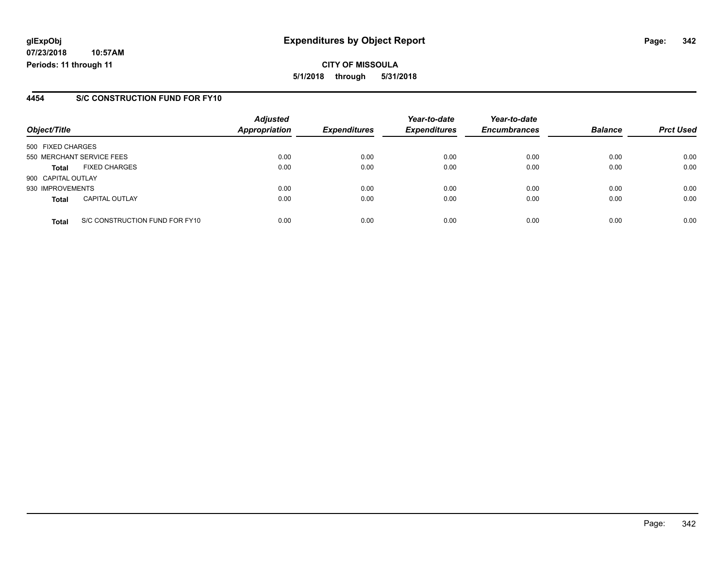**CITY OF MISSOULA 5/1/2018 through 5/31/2018**

#### **4454 S/C CONSTRUCTION FUND FOR FY10**

|                           |                                | <b>Adjusted</b>      |                     | Year-to-date        | Year-to-date        |                |                  |
|---------------------------|--------------------------------|----------------------|---------------------|---------------------|---------------------|----------------|------------------|
| Object/Title              |                                | <b>Appropriation</b> | <b>Expenditures</b> | <b>Expenditures</b> | <b>Encumbrances</b> | <b>Balance</b> | <b>Prct Used</b> |
| 500 FIXED CHARGES         |                                |                      |                     |                     |                     |                |                  |
| 550 MERCHANT SERVICE FEES |                                | 0.00                 | 0.00                | 0.00                | 0.00                | 0.00           | 0.00             |
| <b>Total</b>              | <b>FIXED CHARGES</b>           | 0.00                 | 0.00                | 0.00                | 0.00                | 0.00           | 0.00             |
| 900 CAPITAL OUTLAY        |                                |                      |                     |                     |                     |                |                  |
| 930 IMPROVEMENTS          |                                | 0.00                 | 0.00                | 0.00                | 0.00                | 0.00           | 0.00             |
| <b>Total</b>              | <b>CAPITAL OUTLAY</b>          | 0.00                 | 0.00                | 0.00                | 0.00                | 0.00           | 0.00             |
| <b>Total</b>              | S/C CONSTRUCTION FUND FOR FY10 | 0.00                 | 0.00                | 0.00                | 0.00                | 0.00           | 0.00             |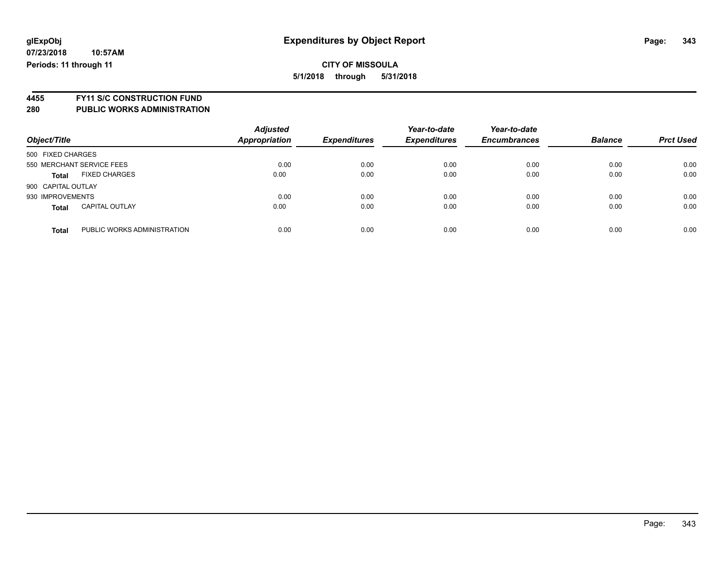**CITY OF MISSOULA 5/1/2018 through 5/31/2018**

**4455 FY11 S/C CONSTRUCTION FUND**

| Object/Title                                | <b>Adjusted</b><br><b>Appropriation</b> | <b>Expenditures</b> | Year-to-date<br><b>Expenditures</b> | Year-to-date<br><b>Encumbrances</b> | <b>Balance</b> | <b>Prct Used</b> |
|---------------------------------------------|-----------------------------------------|---------------------|-------------------------------------|-------------------------------------|----------------|------------------|
| 500 FIXED CHARGES                           |                                         |                     |                                     |                                     |                |                  |
| 550 MERCHANT SERVICE FEES                   | 0.00                                    | 0.00                | 0.00                                | 0.00                                | 0.00           | 0.00             |
| <b>FIXED CHARGES</b><br><b>Total</b>        | 0.00                                    | 0.00                | 0.00                                | 0.00                                | 0.00           | 0.00             |
| 900 CAPITAL OUTLAY                          |                                         |                     |                                     |                                     |                |                  |
| 930 IMPROVEMENTS                            | 0.00                                    | 0.00                | 0.00                                | 0.00                                | 0.00           | 0.00             |
| <b>CAPITAL OUTLAY</b><br><b>Total</b>       | 0.00                                    | 0.00                | 0.00                                | 0.00                                | 0.00           | 0.00             |
| PUBLIC WORKS ADMINISTRATION<br><b>Total</b> | 0.00                                    | 0.00                | 0.00                                | 0.00                                | 0.00           | 0.00             |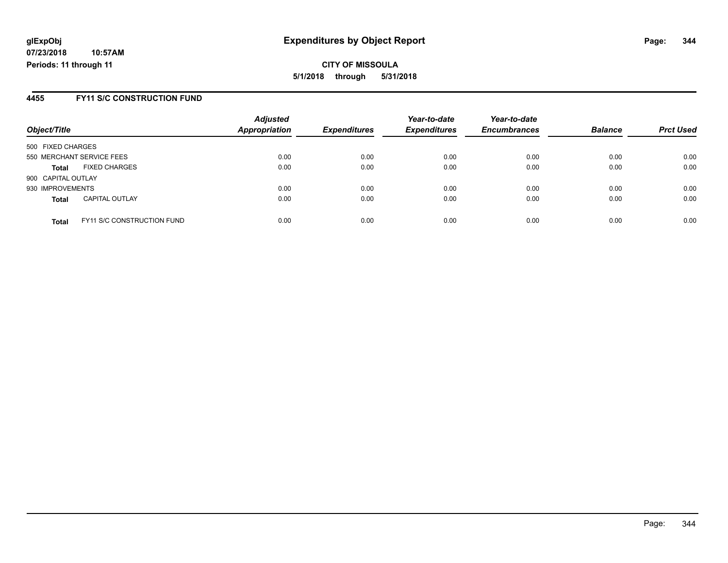**CITY OF MISSOULA 5/1/2018 through 5/31/2018**

#### **4455 FY11 S/C CONSTRUCTION FUND**

|                    |                                   | <b>Adjusted</b>      |                     | Year-to-date        | Year-to-date        |                |                  |
|--------------------|-----------------------------------|----------------------|---------------------|---------------------|---------------------|----------------|------------------|
| Object/Title       |                                   | <b>Appropriation</b> | <b>Expenditures</b> | <b>Expenditures</b> | <b>Encumbrances</b> | <b>Balance</b> | <b>Prct Used</b> |
| 500 FIXED CHARGES  |                                   |                      |                     |                     |                     |                |                  |
|                    | 550 MERCHANT SERVICE FEES         | 0.00                 | 0.00                | 0.00                | 0.00                | 0.00           | 0.00             |
| <b>Total</b>       | <b>FIXED CHARGES</b>              | 0.00                 | 0.00                | 0.00                | 0.00                | 0.00           | 0.00             |
| 900 CAPITAL OUTLAY |                                   |                      |                     |                     |                     |                |                  |
| 930 IMPROVEMENTS   |                                   | 0.00                 | 0.00                | 0.00                | 0.00                | 0.00           | 0.00             |
| <b>Total</b>       | <b>CAPITAL OUTLAY</b>             | 0.00                 | 0.00                | 0.00                | 0.00                | 0.00           | 0.00             |
| <b>Total</b>       | <b>FY11 S/C CONSTRUCTION FUND</b> | 0.00                 | 0.00                | 0.00                | 0.00                | 0.00           | 0.00             |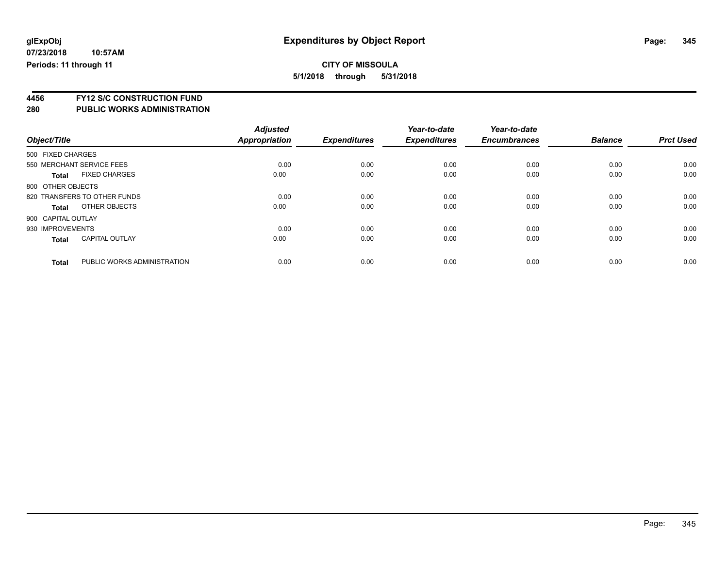### **CITY OF MISSOULA 5/1/2018 through 5/31/2018**

# **4456 FY12 S/C CONSTRUCTION FUND**

|                                             | <b>Adjusted</b>      |                     | Year-to-date        | Year-to-date        |                |                  |
|---------------------------------------------|----------------------|---------------------|---------------------|---------------------|----------------|------------------|
| Object/Title                                | <b>Appropriation</b> | <b>Expenditures</b> | <b>Expenditures</b> | <b>Encumbrances</b> | <b>Balance</b> | <b>Prct Used</b> |
| 500 FIXED CHARGES                           |                      |                     |                     |                     |                |                  |
| 550 MERCHANT SERVICE FEES                   | 0.00                 | 0.00                | 0.00                | 0.00                | 0.00           | 0.00             |
| <b>FIXED CHARGES</b><br><b>Total</b>        | 0.00                 | 0.00                | 0.00                | 0.00                | 0.00           | 0.00             |
| 800 OTHER OBJECTS                           |                      |                     |                     |                     |                |                  |
| 820 TRANSFERS TO OTHER FUNDS                | 0.00                 | 0.00                | 0.00                | 0.00                | 0.00           | 0.00             |
| OTHER OBJECTS<br>Total                      | 0.00                 | 0.00                | 0.00                | 0.00                | 0.00           | 0.00             |
| 900 CAPITAL OUTLAY                          |                      |                     |                     |                     |                |                  |
| 930 IMPROVEMENTS                            | 0.00                 | 0.00                | 0.00                | 0.00                | 0.00           | 0.00             |
| <b>CAPITAL OUTLAY</b><br><b>Total</b>       | 0.00                 | 0.00                | 0.00                | 0.00                | 0.00           | 0.00             |
| PUBLIC WORKS ADMINISTRATION<br><b>Total</b> | 0.00                 | 0.00                | 0.00                | 0.00                | 0.00           | 0.00             |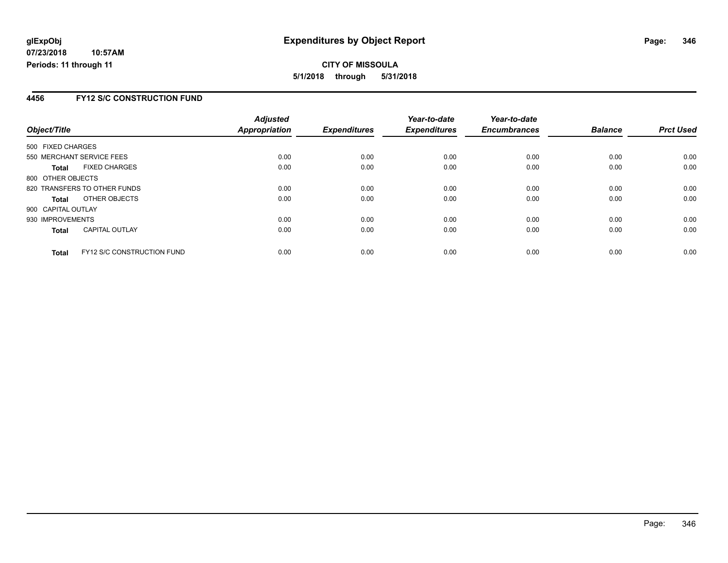# **CITY OF MISSOULA 5/1/2018 through 5/31/2018**

### **4456 FY12 S/C CONSTRUCTION FUND**

|                    |                                   | <b>Adjusted</b> |                     | Year-to-date        | Year-to-date        |                |                  |
|--------------------|-----------------------------------|-----------------|---------------------|---------------------|---------------------|----------------|------------------|
| Object/Title       |                                   | Appropriation   | <b>Expenditures</b> | <b>Expenditures</b> | <b>Encumbrances</b> | <b>Balance</b> | <b>Prct Used</b> |
| 500 FIXED CHARGES  |                                   |                 |                     |                     |                     |                |                  |
|                    | 550 MERCHANT SERVICE FEES         | 0.00            | 0.00                | 0.00                | 0.00                | 0.00           | 0.00             |
| <b>Total</b>       | <b>FIXED CHARGES</b>              | 0.00            | 0.00                | 0.00                | 0.00                | 0.00           | 0.00             |
| 800 OTHER OBJECTS  |                                   |                 |                     |                     |                     |                |                  |
|                    | 820 TRANSFERS TO OTHER FUNDS      | 0.00            | 0.00                | 0.00                | 0.00                | 0.00           | 0.00             |
| Total              | OTHER OBJECTS                     | 0.00            | 0.00                | 0.00                | 0.00                | 0.00           | 0.00             |
| 900 CAPITAL OUTLAY |                                   |                 |                     |                     |                     |                |                  |
| 930 IMPROVEMENTS   |                                   | 0.00            | 0.00                | 0.00                | 0.00                | 0.00           | 0.00             |
| <b>Total</b>       | <b>CAPITAL OUTLAY</b>             | 0.00            | 0.00                | 0.00                | 0.00                | 0.00           | 0.00             |
| <b>Total</b>       | <b>FY12 S/C CONSTRUCTION FUND</b> | 0.00            | 0.00                | 0.00                | 0.00                | 0.00           | 0.00             |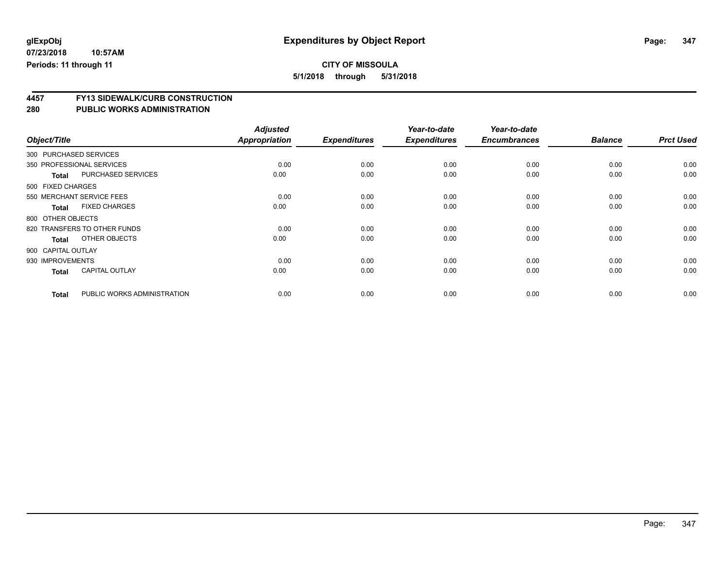# **4457 FY13 SIDEWALK/CURB CONSTRUCTION**

| Object/Title       |                              | <b>Adjusted</b><br>Appropriation | <b>Expenditures</b> | Year-to-date<br><b>Expenditures</b> | Year-to-date<br><b>Encumbrances</b> | <b>Balance</b> | <b>Prct Used</b> |
|--------------------|------------------------------|----------------------------------|---------------------|-------------------------------------|-------------------------------------|----------------|------------------|
|                    | 300 PURCHASED SERVICES       |                                  |                     |                                     |                                     |                |                  |
|                    | 350 PROFESSIONAL SERVICES    | 0.00                             | 0.00                | 0.00                                | 0.00                                | 0.00           | 0.00             |
| <b>Total</b>       | <b>PURCHASED SERVICES</b>    | 0.00                             | 0.00                | 0.00                                | 0.00                                | 0.00           | 0.00             |
| 500 FIXED CHARGES  |                              |                                  |                     |                                     |                                     |                |                  |
|                    | 550 MERCHANT SERVICE FEES    | 0.00                             | 0.00                | 0.00                                | 0.00                                | 0.00           | 0.00             |
| Total              | <b>FIXED CHARGES</b>         | 0.00                             | 0.00                | 0.00                                | 0.00                                | 0.00           | 0.00             |
| 800 OTHER OBJECTS  |                              |                                  |                     |                                     |                                     |                |                  |
|                    | 820 TRANSFERS TO OTHER FUNDS | 0.00                             | 0.00                | 0.00                                | 0.00                                | 0.00           | 0.00             |
| <b>Total</b>       | OTHER OBJECTS                | 0.00                             | 0.00                | 0.00                                | 0.00                                | 0.00           | 0.00             |
| 900 CAPITAL OUTLAY |                              |                                  |                     |                                     |                                     |                |                  |
| 930 IMPROVEMENTS   |                              | 0.00                             | 0.00                | 0.00                                | 0.00                                | 0.00           | 0.00             |
| <b>Total</b>       | <b>CAPITAL OUTLAY</b>        | 0.00                             | 0.00                | 0.00                                | 0.00                                | 0.00           | 0.00             |
| <b>Total</b>       | PUBLIC WORKS ADMINISTRATION  | 0.00                             | 0.00                | 0.00                                | 0.00                                | 0.00           | 0.00             |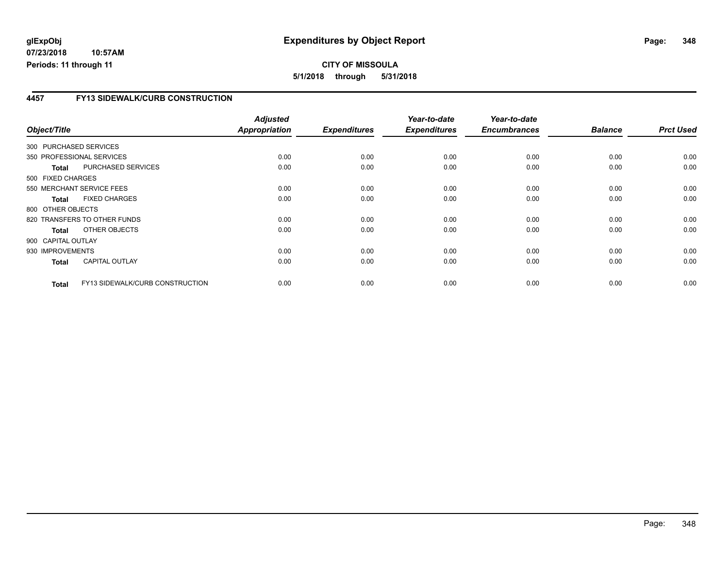### **4457 FY13 SIDEWALK/CURB CONSTRUCTION**

|                    |                                 | <b>Adjusted</b>      |                     | Year-to-date        | Year-to-date        |                |                  |
|--------------------|---------------------------------|----------------------|---------------------|---------------------|---------------------|----------------|------------------|
| Object/Title       |                                 | <b>Appropriation</b> | <b>Expenditures</b> | <b>Expenditures</b> | <b>Encumbrances</b> | <b>Balance</b> | <b>Prct Used</b> |
|                    | 300 PURCHASED SERVICES          |                      |                     |                     |                     |                |                  |
|                    | 350 PROFESSIONAL SERVICES       | 0.00                 | 0.00                | 0.00                | 0.00                | 0.00           | 0.00             |
| <b>Total</b>       | PURCHASED SERVICES              | 0.00                 | 0.00                | 0.00                | 0.00                | 0.00           | 0.00             |
| 500 FIXED CHARGES  |                                 |                      |                     |                     |                     |                |                  |
|                    | 550 MERCHANT SERVICE FEES       | 0.00                 | 0.00                | 0.00                | 0.00                | 0.00           | 0.00             |
| <b>Total</b>       | <b>FIXED CHARGES</b>            | 0.00                 | 0.00                | 0.00                | 0.00                | 0.00           | 0.00             |
| 800 OTHER OBJECTS  |                                 |                      |                     |                     |                     |                |                  |
|                    | 820 TRANSFERS TO OTHER FUNDS    | 0.00                 | 0.00                | 0.00                | 0.00                | 0.00           | 0.00             |
| Total              | OTHER OBJECTS                   | 0.00                 | 0.00                | 0.00                | 0.00                | 0.00           | 0.00             |
| 900 CAPITAL OUTLAY |                                 |                      |                     |                     |                     |                |                  |
| 930 IMPROVEMENTS   |                                 | 0.00                 | 0.00                | 0.00                | 0.00                | 0.00           | 0.00             |
| <b>Total</b>       | <b>CAPITAL OUTLAY</b>           | 0.00                 | 0.00                | 0.00                | 0.00                | 0.00           | 0.00             |
| <b>Total</b>       | FY13 SIDEWALK/CURB CONSTRUCTION | 0.00                 | 0.00                | 0.00                | 0.00                | 0.00           | 0.00             |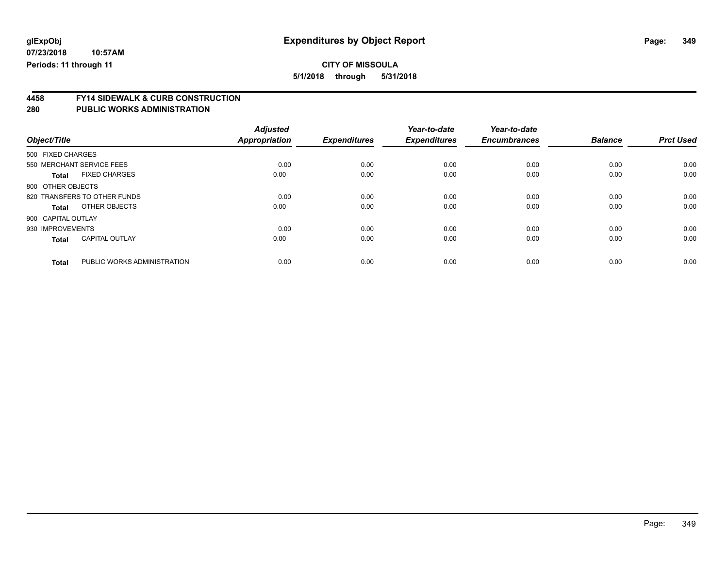### **CITY OF MISSOULA 5/1/2018 through 5/31/2018**

# **4458 FY14 SIDEWALK & CURB CONSTRUCTION**

| Object/Title       |                              | <b>Adjusted</b><br>Appropriation | <b>Expenditures</b> | Year-to-date<br><b>Expenditures</b> | Year-to-date<br><b>Encumbrances</b> | <b>Balance</b> | <b>Prct Used</b> |
|--------------------|------------------------------|----------------------------------|---------------------|-------------------------------------|-------------------------------------|----------------|------------------|
| 500 FIXED CHARGES  |                              |                                  |                     |                                     |                                     |                |                  |
|                    | 550 MERCHANT SERVICE FEES    | 0.00                             | 0.00                | 0.00                                | 0.00                                | 0.00           | 0.00             |
| <b>Total</b>       | <b>FIXED CHARGES</b>         | 0.00                             | 0.00                | 0.00                                | 0.00                                | 0.00           | 0.00             |
| 800 OTHER OBJECTS  |                              |                                  |                     |                                     |                                     |                |                  |
|                    | 820 TRANSFERS TO OTHER FUNDS | 0.00                             | 0.00                | 0.00                                | 0.00                                | 0.00           | 0.00             |
| <b>Total</b>       | OTHER OBJECTS                | 0.00                             | 0.00                | 0.00                                | 0.00                                | 0.00           | 0.00             |
| 900 CAPITAL OUTLAY |                              |                                  |                     |                                     |                                     |                |                  |
| 930 IMPROVEMENTS   |                              | 0.00                             | 0.00                | 0.00                                | 0.00                                | 0.00           | 0.00             |
| <b>Total</b>       | <b>CAPITAL OUTLAY</b>        | 0.00                             | 0.00                | 0.00                                | 0.00                                | 0.00           | 0.00             |
| <b>Total</b>       | PUBLIC WORKS ADMINISTRATION  | 0.00                             | 0.00                | 0.00                                | 0.00                                | 0.00           | 0.00             |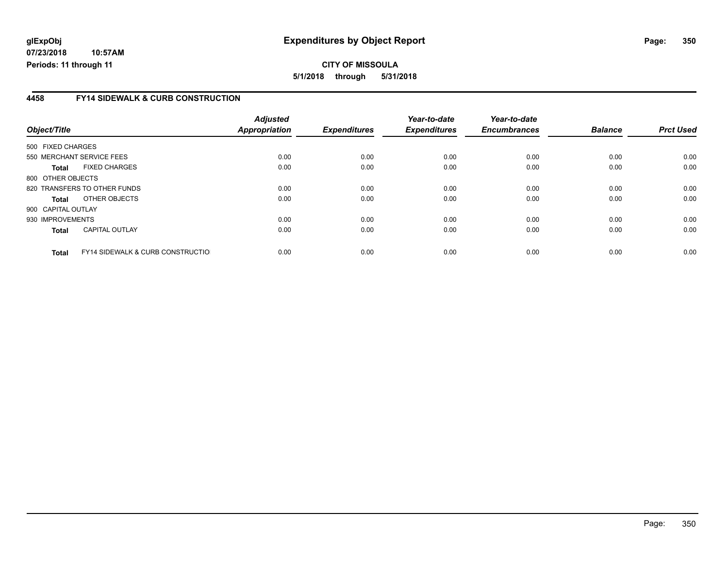**CITY OF MISSOULA 5/1/2018 through 5/31/2018**

#### **4458 FY14 SIDEWALK & CURB CONSTRUCTION**

|                              |                                              | <b>Adjusted</b> |                     | Year-to-date        | Year-to-date        |                |                  |
|------------------------------|----------------------------------------------|-----------------|---------------------|---------------------|---------------------|----------------|------------------|
| Object/Title                 |                                              | Appropriation   | <b>Expenditures</b> | <b>Expenditures</b> | <b>Encumbrances</b> | <b>Balance</b> | <b>Prct Used</b> |
| 500 FIXED CHARGES            |                                              |                 |                     |                     |                     |                |                  |
| 550 MERCHANT SERVICE FEES    |                                              | 0.00            | 0.00                | 0.00                | 0.00                | 0.00           | 0.00             |
| <b>Total</b>                 | <b>FIXED CHARGES</b>                         | 0.00            | 0.00                | 0.00                | 0.00                | 0.00           | 0.00             |
| 800 OTHER OBJECTS            |                                              |                 |                     |                     |                     |                |                  |
| 820 TRANSFERS TO OTHER FUNDS |                                              | 0.00            | 0.00                | 0.00                | 0.00                | 0.00           | 0.00             |
| <b>Total</b>                 | OTHER OBJECTS                                | 0.00            | 0.00                | 0.00                | 0.00                | 0.00           | 0.00             |
| 900 CAPITAL OUTLAY           |                                              |                 |                     |                     |                     |                |                  |
| 930 IMPROVEMENTS             |                                              | 0.00            | 0.00                | 0.00                | 0.00                | 0.00           | 0.00             |
| <b>Total</b>                 | <b>CAPITAL OUTLAY</b>                        | 0.00            | 0.00                | 0.00                | 0.00                | 0.00           | 0.00             |
| <b>Total</b>                 | <b>FY14 SIDEWALK &amp; CURB CONSTRUCTIOL</b> | 0.00            | 0.00                | 0.00                | 0.00                | 0.00           | 0.00             |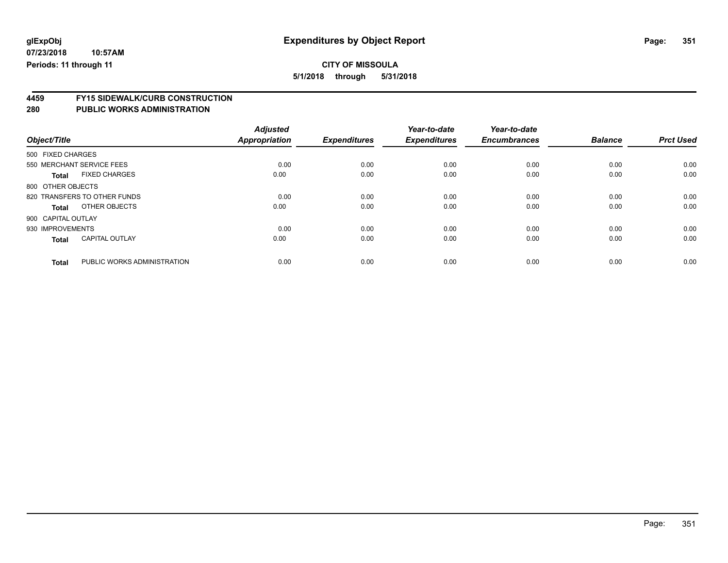# **4459 FY15 SIDEWALK/CURB CONSTRUCTION**

| Object/Title       |                              | <b>Adjusted</b><br><b>Appropriation</b> | <b>Expenditures</b> | Year-to-date<br><b>Expenditures</b> | Year-to-date<br><b>Encumbrances</b> | <b>Balance</b> | <b>Prct Used</b> |
|--------------------|------------------------------|-----------------------------------------|---------------------|-------------------------------------|-------------------------------------|----------------|------------------|
| 500 FIXED CHARGES  |                              |                                         |                     |                                     |                                     |                |                  |
|                    | 550 MERCHANT SERVICE FEES    | 0.00                                    | 0.00                | 0.00                                | 0.00                                | 0.00           | 0.00             |
| <b>Total</b>       | <b>FIXED CHARGES</b>         | 0.00                                    | 0.00                | 0.00                                | 0.00                                | 0.00           | 0.00             |
| 800 OTHER OBJECTS  |                              |                                         |                     |                                     |                                     |                |                  |
|                    | 820 TRANSFERS TO OTHER FUNDS | 0.00                                    | 0.00                | 0.00                                | 0.00                                | 0.00           | 0.00             |
| <b>Total</b>       | OTHER OBJECTS                | 0.00                                    | 0.00                | 0.00                                | 0.00                                | 0.00           | 0.00             |
| 900 CAPITAL OUTLAY |                              |                                         |                     |                                     |                                     |                |                  |
| 930 IMPROVEMENTS   |                              | 0.00                                    | 0.00                | 0.00                                | 0.00                                | 0.00           | 0.00             |
| <b>Total</b>       | <b>CAPITAL OUTLAY</b>        | 0.00                                    | 0.00                | 0.00                                | 0.00                                | 0.00           | 0.00             |
| <b>Total</b>       | PUBLIC WORKS ADMINISTRATION  | 0.00                                    | 0.00                | 0.00                                | 0.00                                | 0.00           | 0.00             |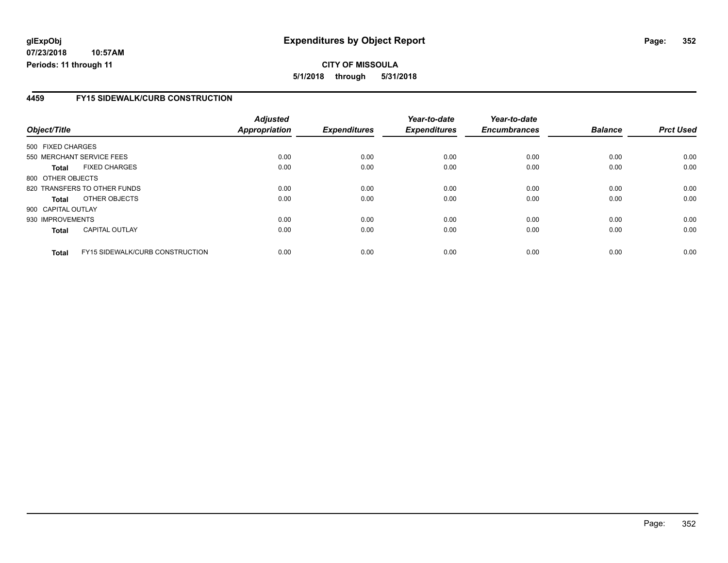**CITY OF MISSOULA 5/1/2018 through 5/31/2018**

#### **4459 FY15 SIDEWALK/CURB CONSTRUCTION**

|                    |                                        | <b>Adjusted</b> |                     | Year-to-date        | Year-to-date        |                |                  |
|--------------------|----------------------------------------|-----------------|---------------------|---------------------|---------------------|----------------|------------------|
| Object/Title       |                                        | Appropriation   | <b>Expenditures</b> | <b>Expenditures</b> | <b>Encumbrances</b> | <b>Balance</b> | <b>Prct Used</b> |
| 500 FIXED CHARGES  |                                        |                 |                     |                     |                     |                |                  |
|                    | 550 MERCHANT SERVICE FEES              | 0.00            | 0.00                | 0.00                | 0.00                | 0.00           | 0.00             |
| Total              | <b>FIXED CHARGES</b>                   | 0.00            | 0.00                | 0.00                | 0.00                | 0.00           | 0.00             |
| 800 OTHER OBJECTS  |                                        |                 |                     |                     |                     |                |                  |
|                    | 820 TRANSFERS TO OTHER FUNDS           | 0.00            | 0.00                | 0.00                | 0.00                | 0.00           | 0.00             |
| <b>Total</b>       | OTHER OBJECTS                          | 0.00            | 0.00                | 0.00                | 0.00                | 0.00           | 0.00             |
| 900 CAPITAL OUTLAY |                                        |                 |                     |                     |                     |                |                  |
| 930 IMPROVEMENTS   |                                        | 0.00            | 0.00                | 0.00                | 0.00                | 0.00           | 0.00             |
| <b>Total</b>       | <b>CAPITAL OUTLAY</b>                  | 0.00            | 0.00                | 0.00                | 0.00                | 0.00           | 0.00             |
| <b>Total</b>       | <b>FY15 SIDEWALK/CURB CONSTRUCTION</b> | 0.00            | 0.00                | 0.00                | 0.00                | 0.00           | 0.00             |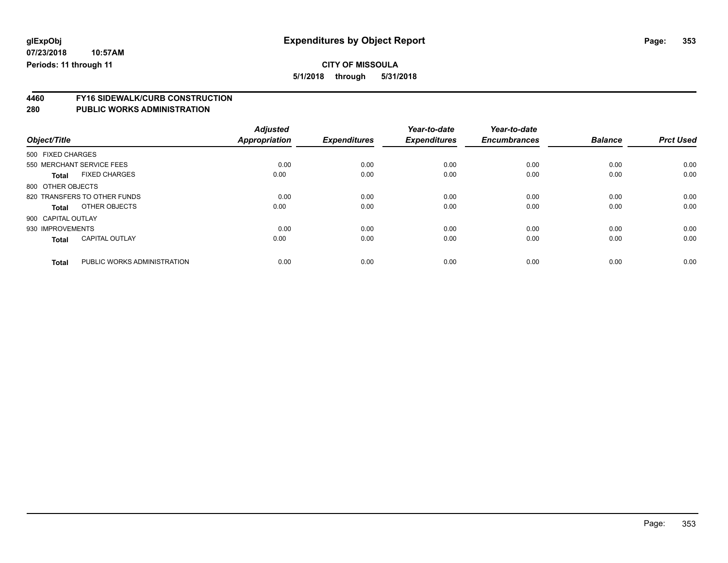# **4460 FY16 SIDEWALK/CURB CONSTRUCTION**

| Object/Title       |                              | <b>Adjusted</b><br><b>Appropriation</b> | <b>Expenditures</b> | Year-to-date<br><b>Expenditures</b> | Year-to-date<br><b>Encumbrances</b> | <b>Balance</b> | <b>Prct Used</b> |
|--------------------|------------------------------|-----------------------------------------|---------------------|-------------------------------------|-------------------------------------|----------------|------------------|
| 500 FIXED CHARGES  |                              |                                         |                     |                                     |                                     |                |                  |
|                    | 550 MERCHANT SERVICE FEES    | 0.00                                    | 0.00                | 0.00                                | 0.00                                | 0.00           | 0.00             |
| <b>Total</b>       | <b>FIXED CHARGES</b>         | 0.00                                    | 0.00                | 0.00                                | 0.00                                | 0.00           | 0.00             |
| 800 OTHER OBJECTS  |                              |                                         |                     |                                     |                                     |                |                  |
|                    | 820 TRANSFERS TO OTHER FUNDS | 0.00                                    | 0.00                | 0.00                                | 0.00                                | 0.00           | 0.00             |
| Total              | OTHER OBJECTS                | 0.00                                    | 0.00                | 0.00                                | 0.00                                | 0.00           | 0.00             |
| 900 CAPITAL OUTLAY |                              |                                         |                     |                                     |                                     |                |                  |
| 930 IMPROVEMENTS   |                              | 0.00                                    | 0.00                | 0.00                                | 0.00                                | 0.00           | 0.00             |
| <b>Total</b>       | <b>CAPITAL OUTLAY</b>        | 0.00                                    | 0.00                | 0.00                                | 0.00                                | 0.00           | 0.00             |
| <b>Total</b>       | PUBLIC WORKS ADMINISTRATION  | 0.00                                    | 0.00                | 0.00                                | 0.00                                | 0.00           | 0.00             |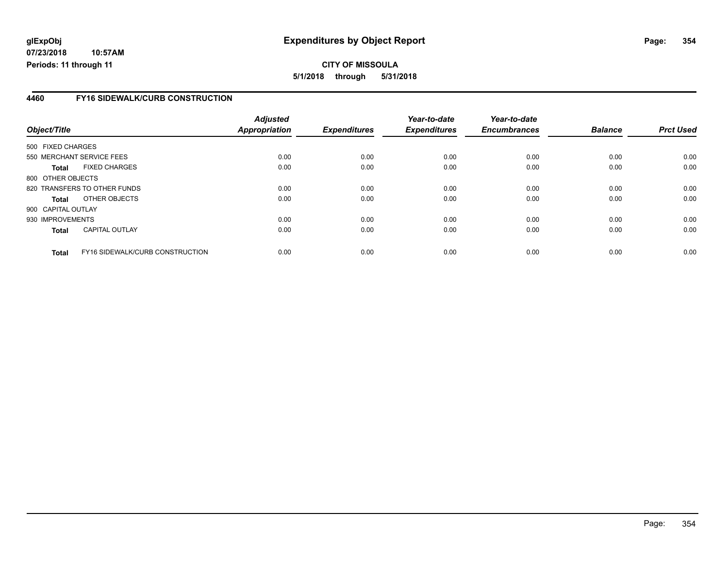**CITY OF MISSOULA 5/1/2018 through 5/31/2018**

#### **4460 FY16 SIDEWALK/CURB CONSTRUCTION**

|                    |                                 | <b>Adjusted</b> |                     | Year-to-date        | Year-to-date        |                |                  |
|--------------------|---------------------------------|-----------------|---------------------|---------------------|---------------------|----------------|------------------|
| Object/Title       |                                 | Appropriation   | <b>Expenditures</b> | <b>Expenditures</b> | <b>Encumbrances</b> | <b>Balance</b> | <b>Prct Used</b> |
| 500 FIXED CHARGES  |                                 |                 |                     |                     |                     |                |                  |
|                    | 550 MERCHANT SERVICE FEES       | 0.00            | 0.00                | 0.00                | 0.00                | 0.00           | 0.00             |
| <b>Total</b>       | <b>FIXED CHARGES</b>            | 0.00            | 0.00                | 0.00                | 0.00                | 0.00           | 0.00             |
| 800 OTHER OBJECTS  |                                 |                 |                     |                     |                     |                |                  |
|                    | 820 TRANSFERS TO OTHER FUNDS    | 0.00            | 0.00                | 0.00                | 0.00                | 0.00           | 0.00             |
| Total              | OTHER OBJECTS                   | 0.00            | 0.00                | 0.00                | 0.00                | 0.00           | 0.00             |
| 900 CAPITAL OUTLAY |                                 |                 |                     |                     |                     |                |                  |
| 930 IMPROVEMENTS   |                                 | 0.00            | 0.00                | 0.00                | 0.00                | 0.00           | 0.00             |
| <b>Total</b>       | <b>CAPITAL OUTLAY</b>           | 0.00            | 0.00                | 0.00                | 0.00                | 0.00           | 0.00             |
| <b>Total</b>       | FY16 SIDEWALK/CURB CONSTRUCTION | 0.00            | 0.00                | 0.00                | 0.00                | 0.00           | 0.00             |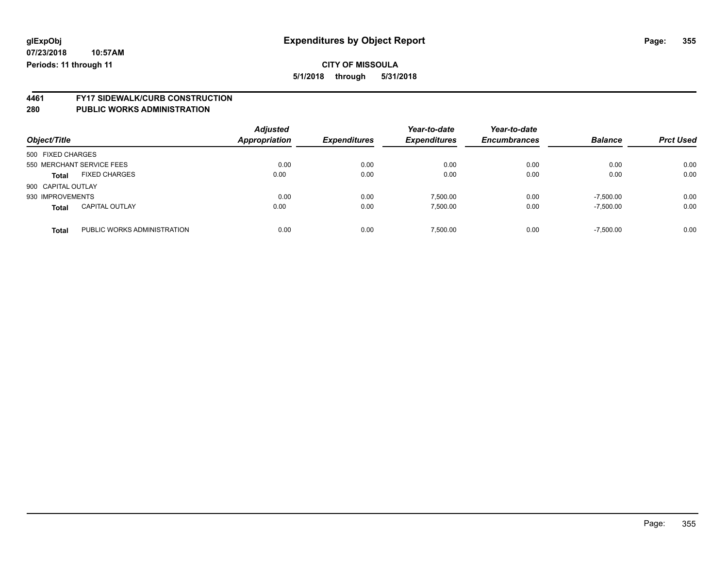### **CITY OF MISSOULA 5/1/2018 through 5/31/2018**

# **4461 FY17 SIDEWALK/CURB CONSTRUCTION**

| Object/Title       |                             | <b>Adjusted</b><br><b>Appropriation</b> | <b>Expenditures</b> | Year-to-date<br><b>Expenditures</b> | Year-to-date<br><b>Encumbrances</b> | <b>Balance</b> | <b>Prct Used</b> |
|--------------------|-----------------------------|-----------------------------------------|---------------------|-------------------------------------|-------------------------------------|----------------|------------------|
| 500 FIXED CHARGES  |                             |                                         |                     |                                     |                                     |                |                  |
|                    | 550 MERCHANT SERVICE FEES   | 0.00                                    | 0.00                | 0.00                                | 0.00                                | 0.00           | 0.00             |
| <b>Total</b>       | <b>FIXED CHARGES</b>        | 0.00                                    | 0.00                | 0.00                                | 0.00                                | 0.00           | 0.00             |
| 900 CAPITAL OUTLAY |                             |                                         |                     |                                     |                                     |                |                  |
| 930 IMPROVEMENTS   |                             | 0.00                                    | 0.00                | 7.500.00                            | 0.00                                | $-7.500.00$    | 0.00             |
| <b>Total</b>       | <b>CAPITAL OUTLAY</b>       | 0.00                                    | 0.00                | 7.500.00                            | 0.00                                | $-7,500.00$    | 0.00             |
| <b>Total</b>       | PUBLIC WORKS ADMINISTRATION | 0.00                                    | 0.00                | 7.500.00                            | 0.00                                | $-7.500.00$    | 0.00             |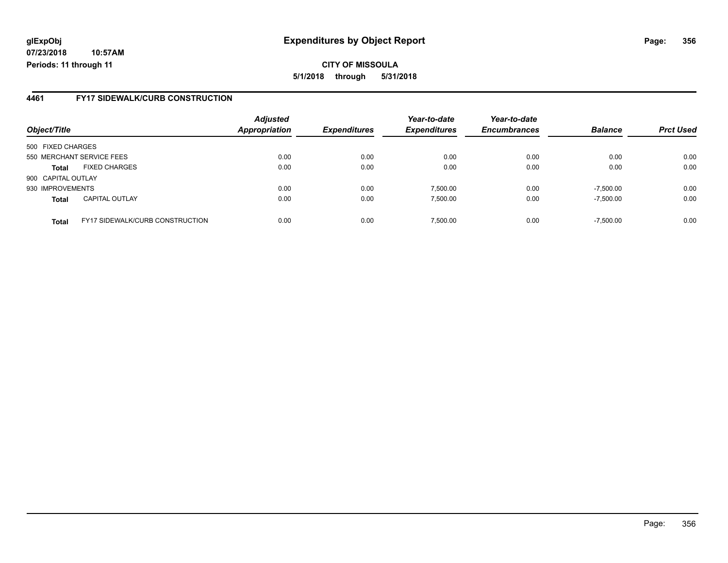**CITY OF MISSOULA 5/1/2018 through 5/31/2018**

#### **4461 FY17 SIDEWALK/CURB CONSTRUCTION**

|                    |                                        | <b>Adjusted</b>      |                     | Year-to-date        | Year-to-date        |                |                  |
|--------------------|----------------------------------------|----------------------|---------------------|---------------------|---------------------|----------------|------------------|
| Object/Title       |                                        | <b>Appropriation</b> | <b>Expenditures</b> | <b>Expenditures</b> | <b>Encumbrances</b> | <b>Balance</b> | <b>Prct Used</b> |
| 500 FIXED CHARGES  |                                        |                      |                     |                     |                     |                |                  |
|                    | 550 MERCHANT SERVICE FEES              | 0.00                 | 0.00                | 0.00                | 0.00                | 0.00           | 0.00             |
| Total              | <b>FIXED CHARGES</b>                   | 0.00                 | 0.00                | 0.00                | 0.00                | 0.00           | 0.00             |
| 900 CAPITAL OUTLAY |                                        |                      |                     |                     |                     |                |                  |
| 930 IMPROVEMENTS   |                                        | 0.00                 | 0.00                | 7,500.00            | 0.00                | $-7,500.00$    | 0.00             |
| <b>Total</b>       | <b>CAPITAL OUTLAY</b>                  | 0.00                 | 0.00                | 7.500.00            | 0.00                | $-7,500.00$    | 0.00             |
| <b>Total</b>       | <b>FY17 SIDEWALK/CURB CONSTRUCTION</b> | 0.00                 | 0.00                | 7.500.00            | 0.00                | $-7,500.00$    | 0.00             |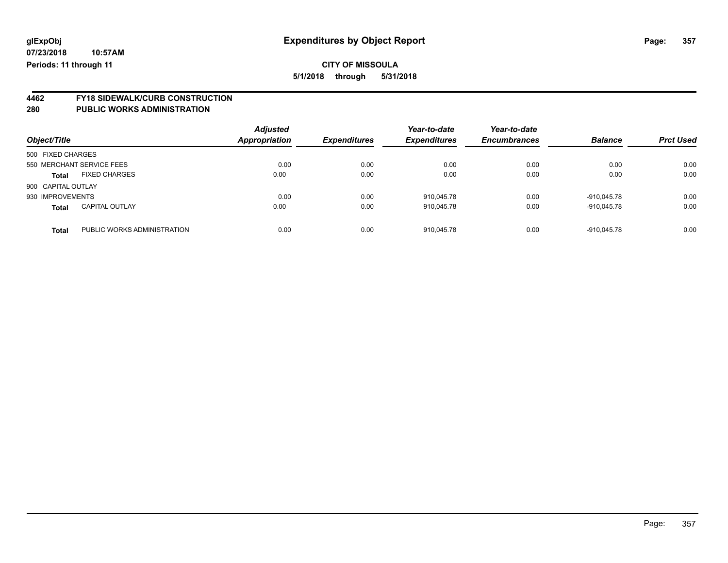### **CITY OF MISSOULA 5/1/2018 through 5/31/2018**

# **4462 FY18 SIDEWALK/CURB CONSTRUCTION**

| Object/Title       |                             | <b>Adjusted</b><br>Appropriation | <b>Expenditures</b> | Year-to-date<br><b>Expenditures</b> | Year-to-date<br><b>Encumbrances</b> | <b>Balance</b> | <b>Prct Used</b> |
|--------------------|-----------------------------|----------------------------------|---------------------|-------------------------------------|-------------------------------------|----------------|------------------|
| 500 FIXED CHARGES  |                             |                                  |                     |                                     |                                     |                |                  |
|                    | 550 MERCHANT SERVICE FEES   | 0.00                             | 0.00                | 0.00                                | 0.00                                | 0.00           | 0.00             |
| <b>Total</b>       | <b>FIXED CHARGES</b>        | 0.00                             | 0.00                | 0.00                                | 0.00                                | 0.00           | 0.00             |
| 900 CAPITAL OUTLAY |                             |                                  |                     |                                     |                                     |                |                  |
| 930 IMPROVEMENTS   |                             | 0.00                             | 0.00                | 910.045.78                          | 0.00                                | -910.045.78    | 0.00             |
| <b>Total</b>       | <b>CAPITAL OUTLAY</b>       | 0.00                             | 0.00                | 910.045.78                          | 0.00                                | -910.045.78    | 0.00             |
| <b>Total</b>       | PUBLIC WORKS ADMINISTRATION | 0.00                             | 0.00                | 910.045.78                          | 0.00                                | $-910.045.78$  | 0.00             |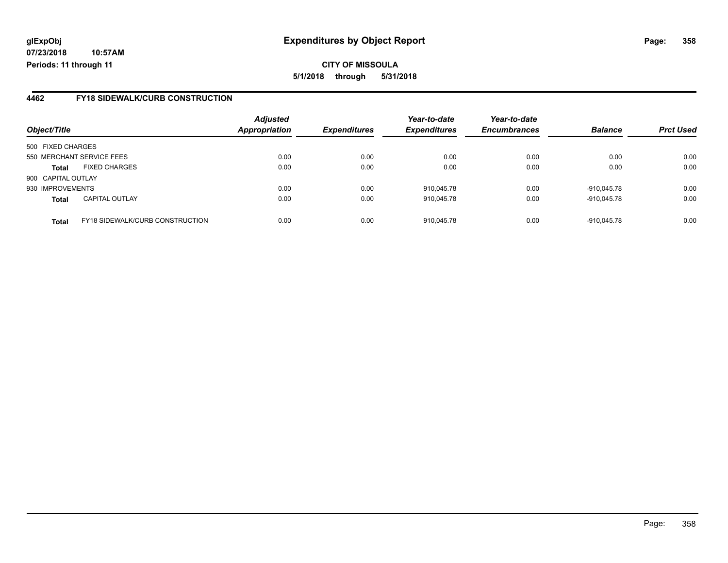**CITY OF MISSOULA 5/1/2018 through 5/31/2018**

#### **4462 FY18 SIDEWALK/CURB CONSTRUCTION**

|                    |                                 | <b>Adjusted</b> |                     | Year-to-date        | Year-to-date        |                |                  |
|--------------------|---------------------------------|-----------------|---------------------|---------------------|---------------------|----------------|------------------|
| Object/Title       |                                 | Appropriation   | <b>Expenditures</b> | <b>Expenditures</b> | <b>Encumbrances</b> | <b>Balance</b> | <b>Prct Used</b> |
| 500 FIXED CHARGES  |                                 |                 |                     |                     |                     |                |                  |
|                    | 550 MERCHANT SERVICE FEES       | 0.00            | 0.00                | 0.00                | 0.00                | 0.00           | 0.00             |
| <b>Total</b>       | <b>FIXED CHARGES</b>            | 0.00            | 0.00                | 0.00                | 0.00                | 0.00           | 0.00             |
| 900 CAPITAL OUTLAY |                                 |                 |                     |                     |                     |                |                  |
| 930 IMPROVEMENTS   |                                 | 0.00            | 0.00                | 910,045.78          | 0.00                | $-910,045.78$  | 0.00             |
| <b>Total</b>       | <b>CAPITAL OUTLAY</b>           | 0.00            | 0.00                | 910,045.78          | 0.00                | -910.045.78    | 0.00             |
| <b>Total</b>       | FY18 SIDEWALK/CURB CONSTRUCTION | 0.00            | 0.00                | 910,045.78          | 0.00                | -910.045.78    | 0.00             |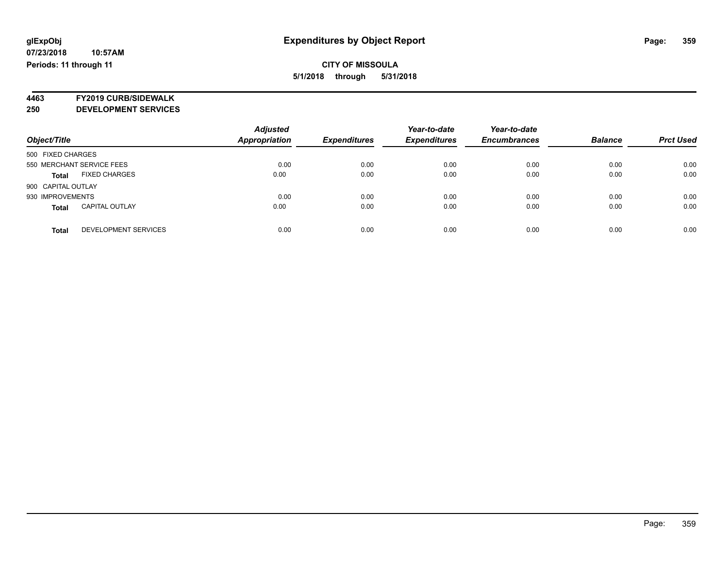# **4463 FY2019 CURB/SIDEWALK**

**250 DEVELOPMENT SERVICES**

| Object/Title                          | <b>Adjusted</b><br><b>Appropriation</b> | <b>Expenditures</b> | Year-to-date<br><b>Expenditures</b> | Year-to-date<br><b>Encumbrances</b> | <b>Balance</b> | <b>Prct Used</b> |
|---------------------------------------|-----------------------------------------|---------------------|-------------------------------------|-------------------------------------|----------------|------------------|
| 500 FIXED CHARGES                     |                                         |                     |                                     |                                     |                |                  |
| 550 MERCHANT SERVICE FEES             | 0.00                                    | 0.00                | 0.00                                | 0.00                                | 0.00           | 0.00             |
| <b>FIXED CHARGES</b><br><b>Total</b>  | 0.00                                    | 0.00                | 0.00                                | 0.00                                | 0.00           | 0.00             |
| 900 CAPITAL OUTLAY                    |                                         |                     |                                     |                                     |                |                  |
| 930 IMPROVEMENTS                      | 0.00                                    | 0.00                | 0.00                                | 0.00                                | 0.00           | 0.00             |
| <b>CAPITAL OUTLAY</b><br><b>Total</b> | 0.00                                    | 0.00                | 0.00                                | 0.00                                | 0.00           | 0.00             |
| DEVELOPMENT SERVICES<br>Total         | 0.00                                    | 0.00                | 0.00                                | 0.00                                | 0.00           | 0.00             |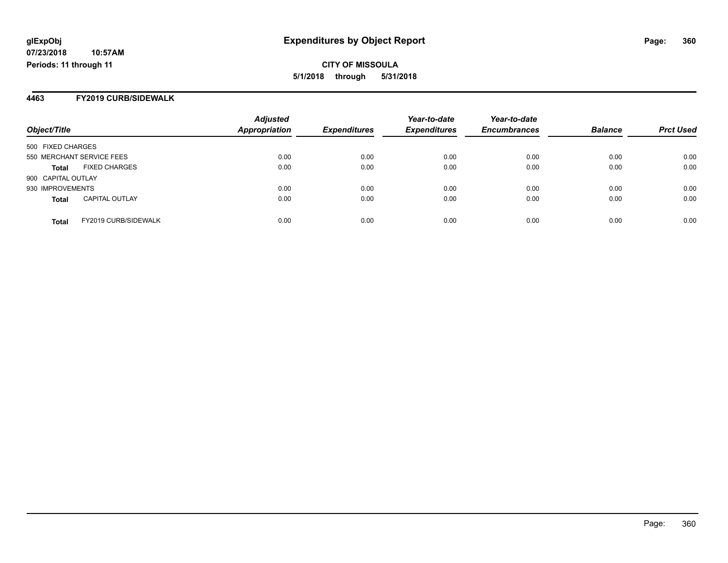#### **4463 FY2019 CURB/SIDEWALK**

|                           |                       | <b>Adjusted</b>      |                     | Year-to-date        | Year-to-date        |                |                  |
|---------------------------|-----------------------|----------------------|---------------------|---------------------|---------------------|----------------|------------------|
| Object/Title              |                       | <b>Appropriation</b> | <b>Expenditures</b> | <b>Expenditures</b> | <b>Encumbrances</b> | <b>Balance</b> | <b>Prct Used</b> |
| 500 FIXED CHARGES         |                       |                      |                     |                     |                     |                |                  |
| 550 MERCHANT SERVICE FEES |                       | 0.00                 | 0.00                | 0.00                | 0.00                | 0.00           | 0.00             |
| <b>Total</b>              | <b>FIXED CHARGES</b>  | 0.00                 | 0.00                | 0.00                | 0.00                | 0.00           | 0.00             |
| 900 CAPITAL OUTLAY        |                       |                      |                     |                     |                     |                |                  |
| 930 IMPROVEMENTS          |                       | 0.00                 | 0.00                | 0.00                | 0.00                | 0.00           | 0.00             |
| <b>Total</b>              | <b>CAPITAL OUTLAY</b> | 0.00                 | 0.00                | 0.00                | 0.00                | 0.00           | 0.00             |
| <b>Total</b>              | FY2019 CURB/SIDEWALK  | 0.00                 | 0.00                | 0.00                | 0.00                | 0.00           | 0.00             |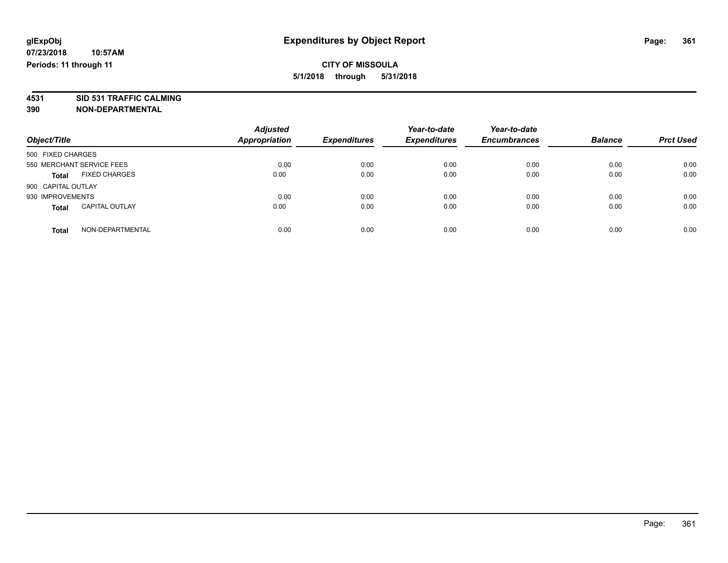**4531 SID 531 TRAFFIC CALMING 390 NON-DEPARTMENTAL**

| Object/Title                          | <b>Adjusted</b><br><b>Appropriation</b> | <b>Expenditures</b> | Year-to-date<br><b>Expenditures</b> | Year-to-date<br><b>Encumbrances</b> | <b>Balance</b> | <b>Prct Used</b> |
|---------------------------------------|-----------------------------------------|---------------------|-------------------------------------|-------------------------------------|----------------|------------------|
| 500 FIXED CHARGES                     |                                         |                     |                                     |                                     |                |                  |
| 550 MERCHANT SERVICE FEES             | 0.00                                    | 0.00                | 0.00                                | 0.00                                | 0.00           | 0.00             |
| <b>FIXED CHARGES</b><br><b>Total</b>  | 0.00                                    | 0.00                | 0.00                                | 0.00                                | 0.00           | 0.00             |
| 900 CAPITAL OUTLAY                    |                                         |                     |                                     |                                     |                |                  |
| 930 IMPROVEMENTS                      | 0.00                                    | 0.00                | 0.00                                | 0.00                                | 0.00           | 0.00             |
| <b>CAPITAL OUTLAY</b><br><b>Total</b> | 0.00                                    | 0.00                | 0.00                                | 0.00                                | 0.00           | 0.00             |
| NON-DEPARTMENTAL<br>Total             | 0.00                                    | 0.00                | 0.00                                | 0.00                                | 0.00           | 0.00             |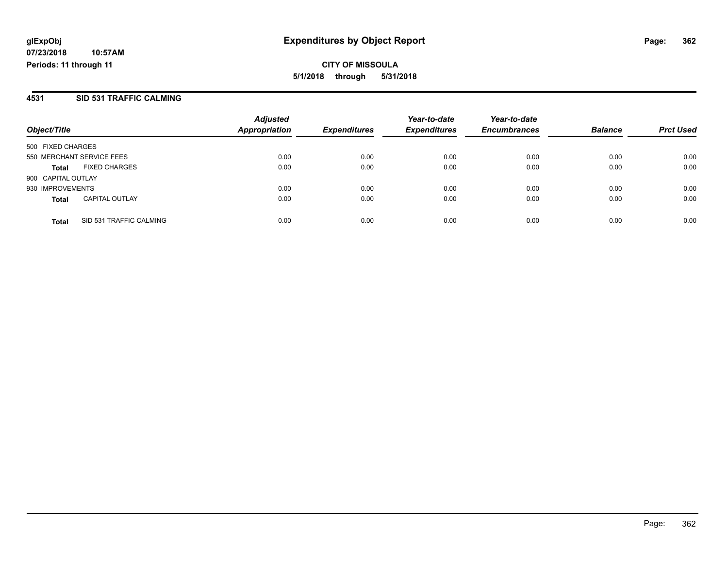### **4531 SID 531 TRAFFIC CALMING**

|                    |                           | <b>Adjusted</b>      |                     | Year-to-date        | Year-to-date        |                |                  |
|--------------------|---------------------------|----------------------|---------------------|---------------------|---------------------|----------------|------------------|
| Object/Title       |                           | <b>Appropriation</b> | <b>Expenditures</b> | <b>Expenditures</b> | <b>Encumbrances</b> | <b>Balance</b> | <b>Prct Used</b> |
| 500 FIXED CHARGES  |                           |                      |                     |                     |                     |                |                  |
|                    | 550 MERCHANT SERVICE FEES | 0.00                 | 0.00                | 0.00                | 0.00                | 0.00           | 0.00             |
| Total              | <b>FIXED CHARGES</b>      | 0.00                 | 0.00                | 0.00                | 0.00                | 0.00           | 0.00             |
| 900 CAPITAL OUTLAY |                           |                      |                     |                     |                     |                |                  |
| 930 IMPROVEMENTS   |                           | 0.00                 | 0.00                | 0.00                | 0.00                | 0.00           | 0.00             |
| <b>Total</b>       | <b>CAPITAL OUTLAY</b>     | 0.00                 | 0.00                | 0.00                | 0.00                | 0.00           | 0.00             |
| <b>Total</b>       | SID 531 TRAFFIC CALMING   | 0.00                 | 0.00                | 0.00                | 0.00                | 0.00           | 0.00             |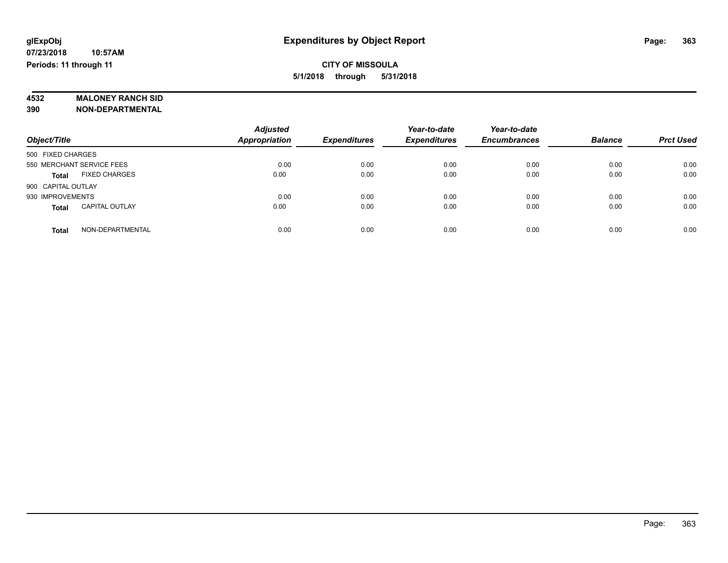# **4532 MALONEY RANCH SID**

|                                       | <b>Adjusted</b>      |                     | Year-to-date        | Year-to-date        |                |                  |
|---------------------------------------|----------------------|---------------------|---------------------|---------------------|----------------|------------------|
| Object/Title                          | <b>Appropriation</b> | <b>Expenditures</b> | <b>Expenditures</b> | <b>Encumbrances</b> | <b>Balance</b> | <b>Prct Used</b> |
| 500 FIXED CHARGES                     |                      |                     |                     |                     |                |                  |
| 550 MERCHANT SERVICE FEES             | 0.00                 | 0.00                | 0.00                | 0.00                | 0.00           | 0.00             |
| <b>FIXED CHARGES</b><br><b>Total</b>  | 0.00                 | 0.00                | 0.00                | 0.00                | 0.00           | 0.00             |
| 900 CAPITAL OUTLAY                    |                      |                     |                     |                     |                |                  |
| 930 IMPROVEMENTS                      | 0.00                 | 0.00                | 0.00                | 0.00                | 0.00           | 0.00             |
| <b>CAPITAL OUTLAY</b><br><b>Total</b> | 0.00                 | 0.00                | 0.00                | 0.00                | 0.00           | 0.00             |
| NON-DEPARTMENTAL<br><b>Total</b>      | 0.00                 | 0.00                | 0.00                | 0.00                | 0.00           | 0.00             |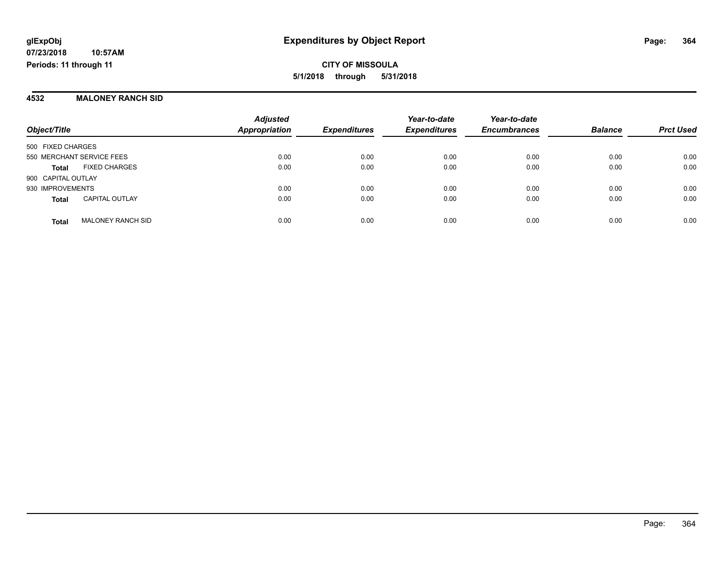### **4532 MALONEY RANCH SID**

|                           |                          | <b>Adjusted</b>      |                     | Year-to-date        | Year-to-date        |                |                  |
|---------------------------|--------------------------|----------------------|---------------------|---------------------|---------------------|----------------|------------------|
| Object/Title              |                          | <b>Appropriation</b> | <b>Expenditures</b> | <b>Expenditures</b> | <b>Encumbrances</b> | <b>Balance</b> | <b>Prct Used</b> |
| 500 FIXED CHARGES         |                          |                      |                     |                     |                     |                |                  |
| 550 MERCHANT SERVICE FEES |                          | 0.00                 | 0.00                | 0.00                | 0.00                | 0.00           | 0.00             |
| <b>Total</b>              | <b>FIXED CHARGES</b>     | 0.00                 | 0.00                | 0.00                | 0.00                | 0.00           | 0.00             |
| 900 CAPITAL OUTLAY        |                          |                      |                     |                     |                     |                |                  |
| 930 IMPROVEMENTS          |                          | 0.00                 | 0.00                | 0.00                | 0.00                | 0.00           | 0.00             |
| <b>Total</b>              | <b>CAPITAL OUTLAY</b>    | 0.00                 | 0.00                | 0.00                | 0.00                | 0.00           | 0.00             |
| <b>Total</b>              | <b>MALONEY RANCH SID</b> | 0.00                 | 0.00                | 0.00                | 0.00                | 0.00           | 0.00             |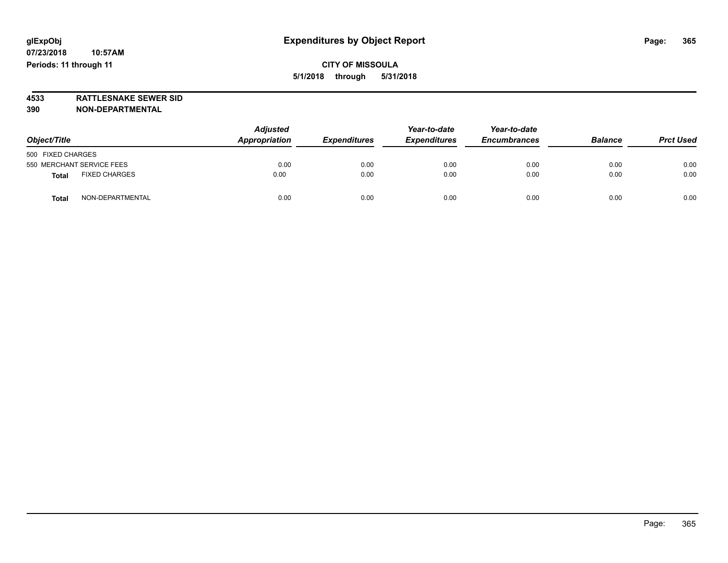**4533 RATTLESNAKE SEWER SID 390 NON-DEPARTMENTAL**

| Object/Title                         | <b>Adjusted</b><br>Appropriation | <b>Expenditures</b> | Year-to-date<br><b>Expenditures</b> | Year-to-date<br><b>Encumbrances</b> | <b>Balance</b> | <b>Prct Used</b> |
|--------------------------------------|----------------------------------|---------------------|-------------------------------------|-------------------------------------|----------------|------------------|
| 500 FIXED CHARGES                    |                                  |                     |                                     |                                     |                |                  |
| 550 MERCHANT SERVICE FEES            | 0.00                             | 0.00                | 0.00                                | 0.00                                | 0.00           | 0.00             |
| <b>FIXED CHARGES</b><br><b>Total</b> | 0.00                             | 0.00                | 0.00                                | 0.00                                | 0.00           | 0.00             |
| NON-DEPARTMENTAL<br><b>Total</b>     | 0.00                             | 0.00                | 0.00                                | 0.00                                | 0.00           | 0.00             |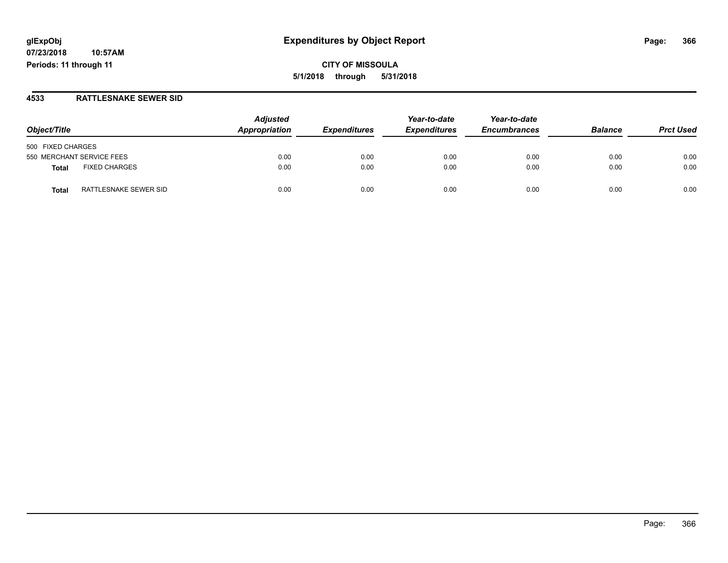**CITY OF MISSOULA 5/1/2018 through 5/31/2018**

### **4533 RATTLESNAKE SEWER SID**

|                                       | <b>Adjusted</b> |                     | Year-to-date        | Year-to-date        |                |                  |
|---------------------------------------|-----------------|---------------------|---------------------|---------------------|----------------|------------------|
| Object/Title                          | Appropriation   | <b>Expenditures</b> | <b>Expenditures</b> | <b>Encumbrances</b> | <b>Balance</b> | <b>Prct Used</b> |
| 500 FIXED CHARGES                     |                 |                     |                     |                     |                |                  |
| 550 MERCHANT SERVICE FEES             | 0.00            | 0.00                | 0.00                | 0.00                | 0.00           | 0.00             |
| <b>FIXED CHARGES</b><br>Total         | 0.00            | 0.00                | 0.00                | 0.00                | 0.00           | 0.00             |
| RATTLESNAKE SEWER SID<br><b>Total</b> | 0.00            | 0.00                | 0.00                | 0.00                | 0.00           | 0.00             |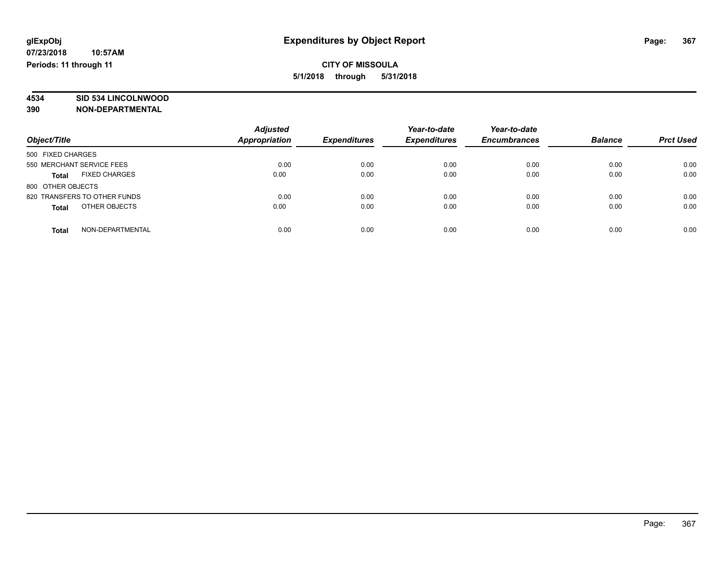# **4534 SID 534 LINCOLNWOOD**

|                                      | <b>Adjusted</b>      |                     | Year-to-date        | Year-to-date        |                |                  |
|--------------------------------------|----------------------|---------------------|---------------------|---------------------|----------------|------------------|
| Object/Title                         | <b>Appropriation</b> | <b>Expenditures</b> | <b>Expenditures</b> | <b>Encumbrances</b> | <b>Balance</b> | <b>Prct Used</b> |
| 500 FIXED CHARGES                    |                      |                     |                     |                     |                |                  |
| 550 MERCHANT SERVICE FEES            | 0.00                 | 0.00                | 0.00                | 0.00                | 0.00           | 0.00             |
| <b>FIXED CHARGES</b><br><b>Total</b> | 0.00                 | 0.00                | 0.00                | 0.00                | 0.00           | 0.00             |
| 800 OTHER OBJECTS                    |                      |                     |                     |                     |                |                  |
| 820 TRANSFERS TO OTHER FUNDS         | 0.00                 | 0.00                | 0.00                | 0.00                | 0.00           | 0.00             |
| OTHER OBJECTS<br><b>Total</b>        | 0.00                 | 0.00                | 0.00                | 0.00                | 0.00           | 0.00             |
| NON-DEPARTMENTAL<br>Total            | 0.00                 | 0.00                | 0.00                | 0.00                | 0.00           | 0.00             |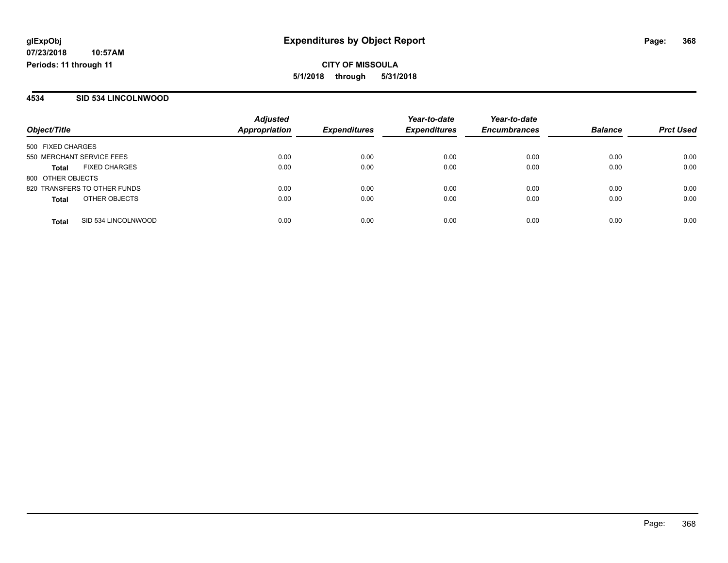### **4534 SID 534 LINCOLNWOOD**

|                              |                      | <b>Adjusted</b> |                     | Year-to-date        | Year-to-date        |                |                  |
|------------------------------|----------------------|-----------------|---------------------|---------------------|---------------------|----------------|------------------|
| Object/Title                 |                      | Appropriation   | <b>Expenditures</b> | <b>Expenditures</b> | <b>Encumbrances</b> | <b>Balance</b> | <b>Prct Used</b> |
| 500 FIXED CHARGES            |                      |                 |                     |                     |                     |                |                  |
| 550 MERCHANT SERVICE FEES    |                      | 0.00            | 0.00                | 0.00                | 0.00                | 0.00           | 0.00             |
| <b>Total</b>                 | <b>FIXED CHARGES</b> | 0.00            | 0.00                | 0.00                | 0.00                | 0.00           | 0.00             |
| 800 OTHER OBJECTS            |                      |                 |                     |                     |                     |                |                  |
| 820 TRANSFERS TO OTHER FUNDS |                      | 0.00            | 0.00                | 0.00                | 0.00                | 0.00           | 0.00             |
| <b>Total</b>                 | OTHER OBJECTS        | 0.00            | 0.00                | 0.00                | 0.00                | 0.00           | 0.00             |
| <b>Total</b>                 | SID 534 LINCOLNWOOD  | 0.00            | 0.00                | 0.00                | 0.00                | 0.00           | 0.00             |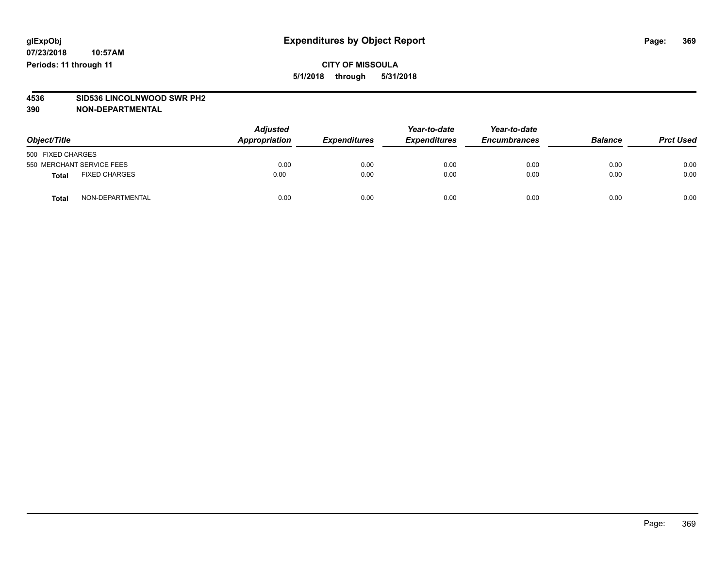# **4536 SID536 LINCOLNWOOD SWR PH2**

| Object/Title              |                      | <b>Adjusted</b><br>Appropriation | <b>Expenditures</b> | Year-to-date<br><b>Expenditures</b> | Year-to-date<br><b>Encumbrances</b> | <b>Balance</b> | <b>Prct Used</b> |
|---------------------------|----------------------|----------------------------------|---------------------|-------------------------------------|-------------------------------------|----------------|------------------|
| 500 FIXED CHARGES         |                      |                                  |                     |                                     |                                     |                |                  |
| 550 MERCHANT SERVICE FEES |                      | 0.00                             | 0.00                | 0.00                                | 0.00                                | 0.00           | 0.00             |
| <b>Total</b>              | <b>FIXED CHARGES</b> | 0.00                             | 0.00                | 0.00                                | 0.00                                | 0.00           | 0.00             |
| <b>Total</b>              | NON-DEPARTMENTAL     | 0.00                             | 0.00                | 0.00                                | 0.00                                | 0.00           | 0.00             |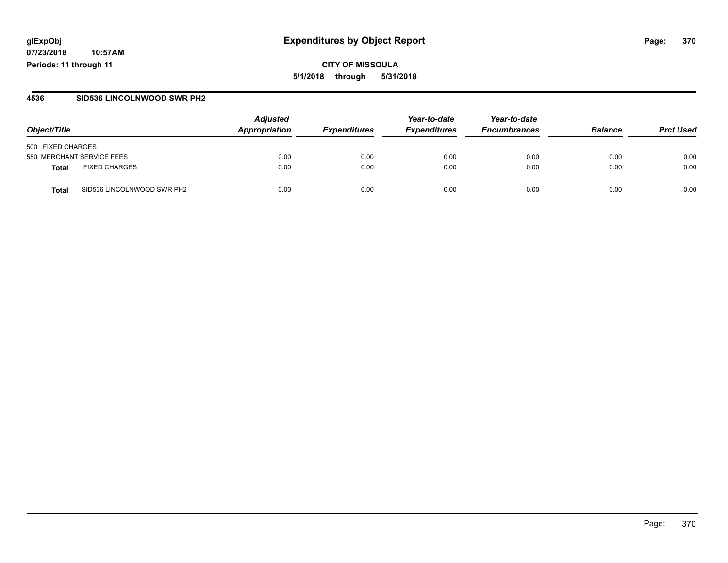### **4536 SID536 LINCOLNWOOD SWR PH2**

|                                     | <b>Adjusted</b> |                     | Year-to-date               | Year-to-date        |                |                  |
|-------------------------------------|-----------------|---------------------|----------------------------|---------------------|----------------|------------------|
| Object/Title                        | Appropriation   | <b>Expenditures</b> | <i><b>Expenditures</b></i> | <b>Encumbrances</b> | <b>Balance</b> | <b>Prct Used</b> |
| 500 FIXED CHARGES                   |                 |                     |                            |                     |                |                  |
| 550 MERCHANT SERVICE FEES           | 0.00            | 0.00                | 0.00                       | 0.00                | 0.00           | 0.00             |
| <b>FIXED CHARGES</b><br>Total       | 0.00            | 0.00                | 0.00                       | 0.00                | 0.00           | 0.00             |
| SID536 LINCOLNWOOD SWR PH2<br>Total | 0.00            | 0.00                | 0.00                       | 0.00                | 0.00           | 0.00             |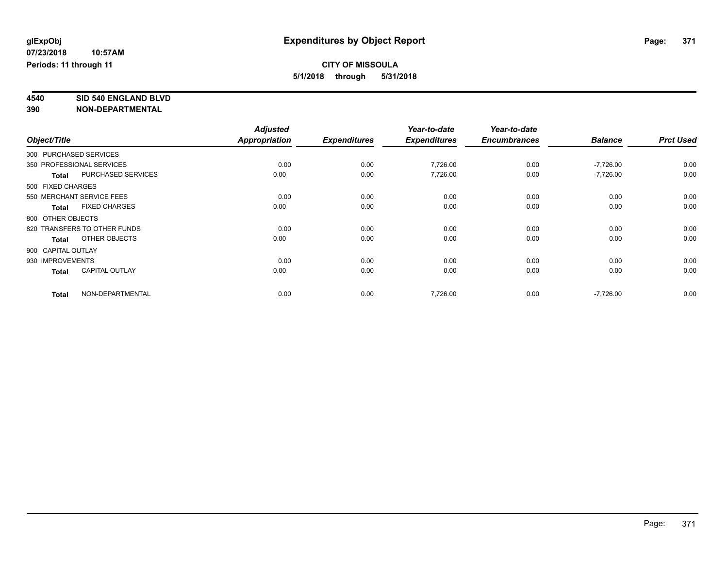**4540 SID 540 ENGLAND BLVD**

|                    |                              | <b>Adjusted</b>      |                     | Year-to-date        | Year-to-date        |                |                  |
|--------------------|------------------------------|----------------------|---------------------|---------------------|---------------------|----------------|------------------|
| Object/Title       |                              | <b>Appropriation</b> | <b>Expenditures</b> | <b>Expenditures</b> | <b>Encumbrances</b> | <b>Balance</b> | <b>Prct Used</b> |
|                    | 300 PURCHASED SERVICES       |                      |                     |                     |                     |                |                  |
|                    | 350 PROFESSIONAL SERVICES    | 0.00                 | 0.00                | 7,726.00            | 0.00                | $-7,726.00$    | 0.00             |
| <b>Total</b>       | PURCHASED SERVICES           | 0.00                 | 0.00                | 7,726.00            | 0.00                | $-7,726.00$    | 0.00             |
| 500 FIXED CHARGES  |                              |                      |                     |                     |                     |                |                  |
|                    | 550 MERCHANT SERVICE FEES    | 0.00                 | 0.00                | 0.00                | 0.00                | 0.00           | 0.00             |
| <b>Total</b>       | <b>FIXED CHARGES</b>         | 0.00                 | 0.00                | 0.00                | 0.00                | 0.00           | 0.00             |
| 800 OTHER OBJECTS  |                              |                      |                     |                     |                     |                |                  |
|                    | 820 TRANSFERS TO OTHER FUNDS | 0.00                 | 0.00                | 0.00                | 0.00                | 0.00           | 0.00             |
| <b>Total</b>       | OTHER OBJECTS                | 0.00                 | 0.00                | 0.00                | 0.00                | 0.00           | 0.00             |
| 900 CAPITAL OUTLAY |                              |                      |                     |                     |                     |                |                  |
| 930 IMPROVEMENTS   |                              | 0.00                 | 0.00                | 0.00                | 0.00                | 0.00           | 0.00             |
| <b>Total</b>       | <b>CAPITAL OUTLAY</b>        | 0.00                 | 0.00                | 0.00                | 0.00                | 0.00           | 0.00             |
| <b>Total</b>       | NON-DEPARTMENTAL             | 0.00                 | 0.00                | 7,726.00            | 0.00                | $-7,726.00$    | 0.00             |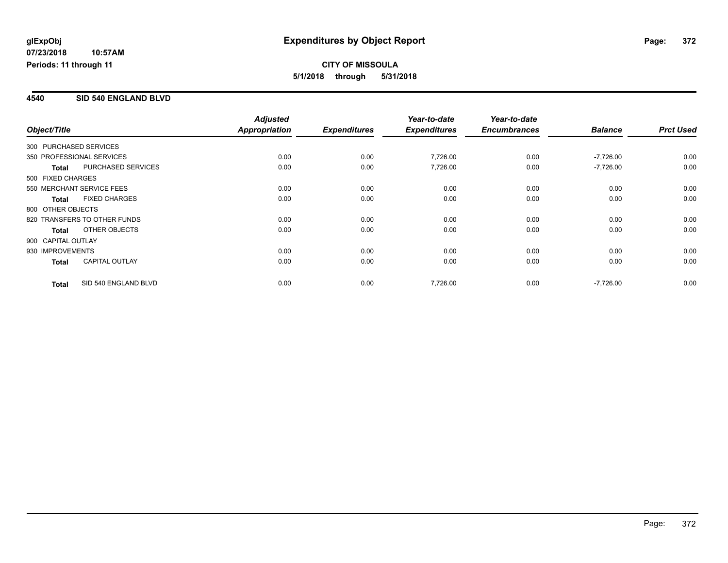### **4540 SID 540 ENGLAND BLVD**

|                           |                              | <b>Adjusted</b>      |                     | Year-to-date        | Year-to-date        |                |                  |
|---------------------------|------------------------------|----------------------|---------------------|---------------------|---------------------|----------------|------------------|
| Object/Title              |                              | <b>Appropriation</b> | <b>Expenditures</b> | <b>Expenditures</b> | <b>Encumbrances</b> | <b>Balance</b> | <b>Prct Used</b> |
| 300 PURCHASED SERVICES    |                              |                      |                     |                     |                     |                |                  |
| 350 PROFESSIONAL SERVICES |                              | 0.00                 | 0.00                | 7,726.00            | 0.00                | $-7,726.00$    | 0.00             |
| <b>Total</b>              | PURCHASED SERVICES           | 0.00                 | 0.00                | 7,726.00            | 0.00                | $-7,726.00$    | 0.00             |
| 500 FIXED CHARGES         |                              |                      |                     |                     |                     |                |                  |
| 550 MERCHANT SERVICE FEES |                              | 0.00                 | 0.00                | 0.00                | 0.00                | 0.00           | 0.00             |
| <b>Total</b>              | <b>FIXED CHARGES</b>         | 0.00                 | 0.00                | 0.00                | 0.00                | 0.00           | 0.00             |
| 800 OTHER OBJECTS         |                              |                      |                     |                     |                     |                |                  |
|                           | 820 TRANSFERS TO OTHER FUNDS | 0.00                 | 0.00                | 0.00                | 0.00                | 0.00           | 0.00             |
| <b>Total</b>              | OTHER OBJECTS                | 0.00                 | 0.00                | 0.00                | 0.00                | 0.00           | 0.00             |
| 900 CAPITAL OUTLAY        |                              |                      |                     |                     |                     |                |                  |
| 930 IMPROVEMENTS          |                              | 0.00                 | 0.00                | 0.00                | 0.00                | 0.00           | 0.00             |
| <b>Total</b>              | <b>CAPITAL OUTLAY</b>        | 0.00                 | 0.00                | 0.00                | 0.00                | 0.00           | 0.00             |
| <b>Total</b>              | SID 540 ENGLAND BLVD         | 0.00                 | 0.00                | 7,726.00            | 0.00                | $-7,726.00$    | 0.00             |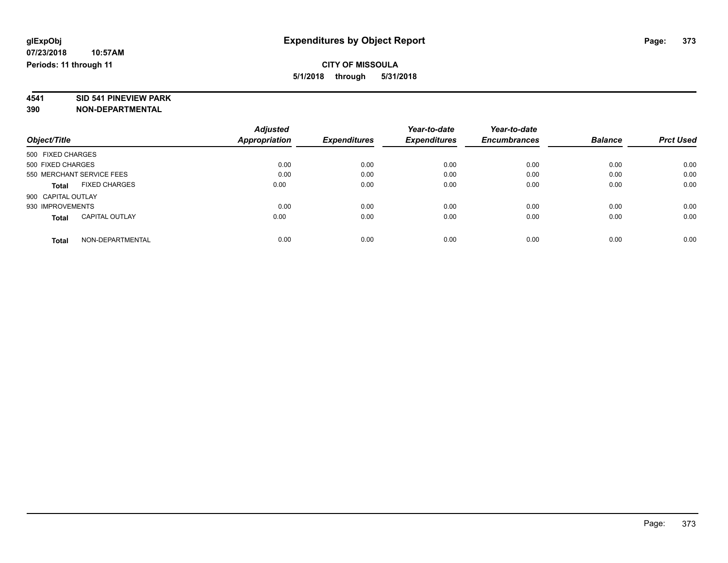# **4541 SID 541 PINEVIEW PARK**

|                                       | <b>Adjusted</b>      |                     | Year-to-date        | Year-to-date        |                |                  |
|---------------------------------------|----------------------|---------------------|---------------------|---------------------|----------------|------------------|
| Object/Title                          | <b>Appropriation</b> | <b>Expenditures</b> | <b>Expenditures</b> | <b>Encumbrances</b> | <b>Balance</b> | <b>Prct Used</b> |
| 500 FIXED CHARGES                     |                      |                     |                     |                     |                |                  |
| 500 FIXED CHARGES                     | 0.00                 | 0.00                | 0.00                | 0.00                | 0.00           | 0.00             |
| 550 MERCHANT SERVICE FEES             | 0.00                 | 0.00                | 0.00                | 0.00                | 0.00           | 0.00             |
| <b>FIXED CHARGES</b><br><b>Total</b>  | 0.00                 | 0.00                | 0.00                | 0.00                | 0.00           | 0.00             |
| 900 CAPITAL OUTLAY                    |                      |                     |                     |                     |                |                  |
| 930 IMPROVEMENTS                      | 0.00                 | 0.00                | 0.00                | 0.00                | 0.00           | 0.00             |
| <b>CAPITAL OUTLAY</b><br><b>Total</b> | 0.00                 | 0.00                | 0.00                | 0.00                | 0.00           | 0.00             |
| NON-DEPARTMENTAL<br><b>Total</b>      | 0.00                 | 0.00                | 0.00                | 0.00                | 0.00           | 0.00             |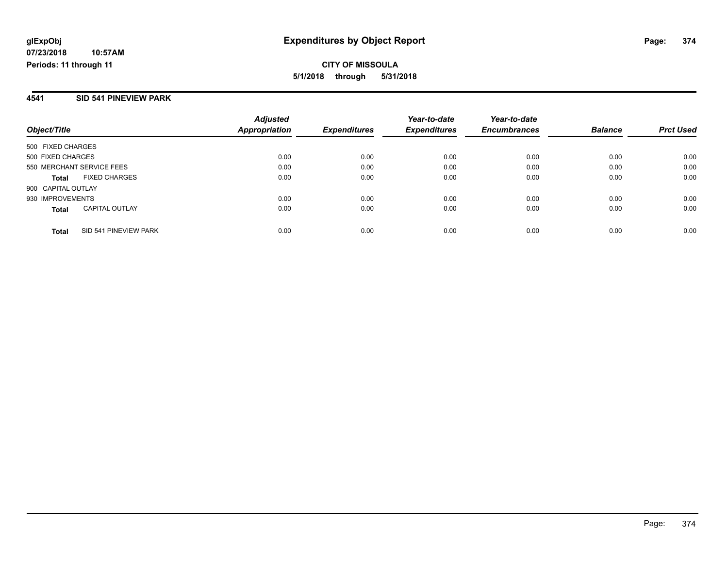### **4541 SID 541 PINEVIEW PARK**

| Object/Title                          | <b>Adjusted</b><br><b>Appropriation</b> | <b>Expenditures</b> | Year-to-date<br><b>Expenditures</b> | Year-to-date<br><b>Encumbrances</b> | <b>Balance</b> | <b>Prct Used</b> |
|---------------------------------------|-----------------------------------------|---------------------|-------------------------------------|-------------------------------------|----------------|------------------|
| 500 FIXED CHARGES                     |                                         |                     |                                     |                                     |                |                  |
| 500 FIXED CHARGES                     | 0.00                                    | 0.00                | 0.00                                | 0.00                                | 0.00           | 0.00             |
| 550 MERCHANT SERVICE FEES             | 0.00                                    | 0.00                | 0.00                                | 0.00                                | 0.00           | 0.00             |
| <b>FIXED CHARGES</b><br><b>Total</b>  | 0.00                                    | 0.00                | 0.00                                | 0.00                                | 0.00           | 0.00             |
| 900 CAPITAL OUTLAY                    |                                         |                     |                                     |                                     |                |                  |
| 930 IMPROVEMENTS                      | 0.00                                    | 0.00                | 0.00                                | 0.00                                | 0.00           | 0.00             |
| <b>CAPITAL OUTLAY</b><br><b>Total</b> | 0.00                                    | 0.00                | 0.00                                | 0.00                                | 0.00           | 0.00             |
| SID 541 PINEVIEW PARK<br><b>Total</b> | 0.00                                    | 0.00                | 0.00                                | 0.00                                | 0.00           | 0.00             |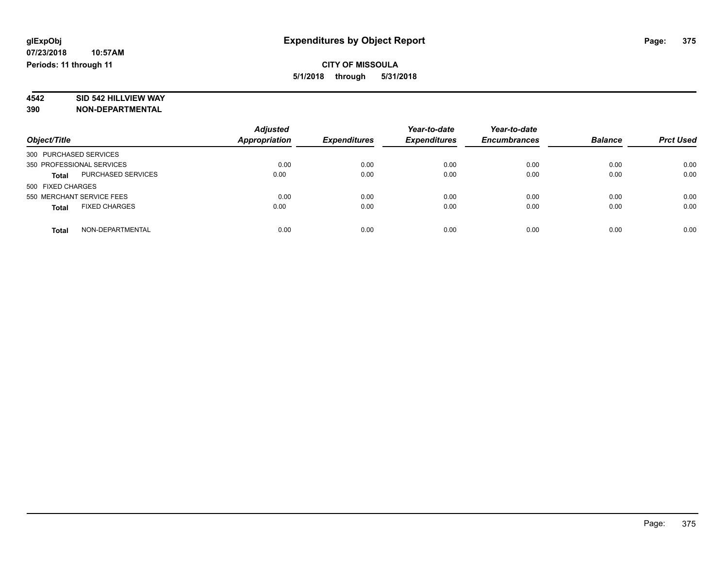# **4542 SID 542 HILLVIEW WAY**

|                                      | <b>Adjusted</b>      |                     | Year-to-date        | Year-to-date        |                |                  |
|--------------------------------------|----------------------|---------------------|---------------------|---------------------|----------------|------------------|
| Object/Title                         | <b>Appropriation</b> | <b>Expenditures</b> | <b>Expenditures</b> | <b>Encumbrances</b> | <b>Balance</b> | <b>Prct Used</b> |
| 300 PURCHASED SERVICES               |                      |                     |                     |                     |                |                  |
| 350 PROFESSIONAL SERVICES            | 0.00                 | 0.00                | 0.00                | 0.00                | 0.00           | 0.00             |
| <b>PURCHASED SERVICES</b><br>Total   | 0.00                 | 0.00                | 0.00                | 0.00                | 0.00           | 0.00             |
| 500 FIXED CHARGES                    |                      |                     |                     |                     |                |                  |
| 550 MERCHANT SERVICE FEES            | 0.00                 | 0.00                | 0.00                | 0.00                | 0.00           | 0.00             |
| <b>FIXED CHARGES</b><br><b>Total</b> | 0.00                 | 0.00                | 0.00                | 0.00                | 0.00           | 0.00             |
| NON-DEPARTMENTAL<br><b>Total</b>     | 0.00                 | 0.00                | 0.00                | 0.00                | 0.00           | 0.00             |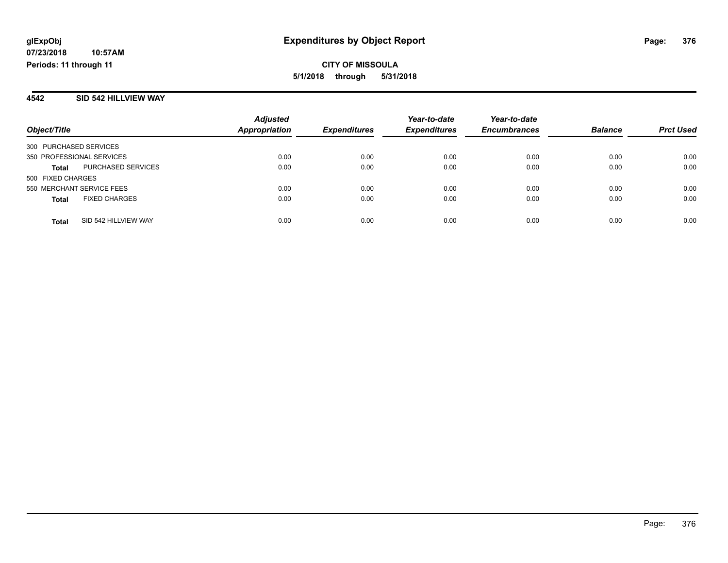### **4542 SID 542 HILLVIEW WAY**

|                           |                      | <b>Adjusted</b>      |                     | Year-to-date        | Year-to-date        |                |                  |
|---------------------------|----------------------|----------------------|---------------------|---------------------|---------------------|----------------|------------------|
| Object/Title              |                      | <b>Appropriation</b> | <b>Expenditures</b> | <b>Expenditures</b> | <b>Encumbrances</b> | <b>Balance</b> | <b>Prct Used</b> |
| 300 PURCHASED SERVICES    |                      |                      |                     |                     |                     |                |                  |
| 350 PROFESSIONAL SERVICES |                      | 0.00                 | 0.00                | 0.00                | 0.00                | 0.00           | 0.00             |
| <b>Total</b>              | PURCHASED SERVICES   | 0.00                 | 0.00                | 0.00                | 0.00                | 0.00           | 0.00             |
| 500 FIXED CHARGES         |                      |                      |                     |                     |                     |                |                  |
| 550 MERCHANT SERVICE FEES |                      | 0.00                 | 0.00                | 0.00                | 0.00                | 0.00           | 0.00             |
| <b>Total</b>              | <b>FIXED CHARGES</b> | 0.00                 | 0.00                | 0.00                | 0.00                | 0.00           | 0.00             |
| <b>Total</b>              | SID 542 HILLVIEW WAY | 0.00                 | 0.00                | 0.00                | 0.00                | 0.00           | 0.00             |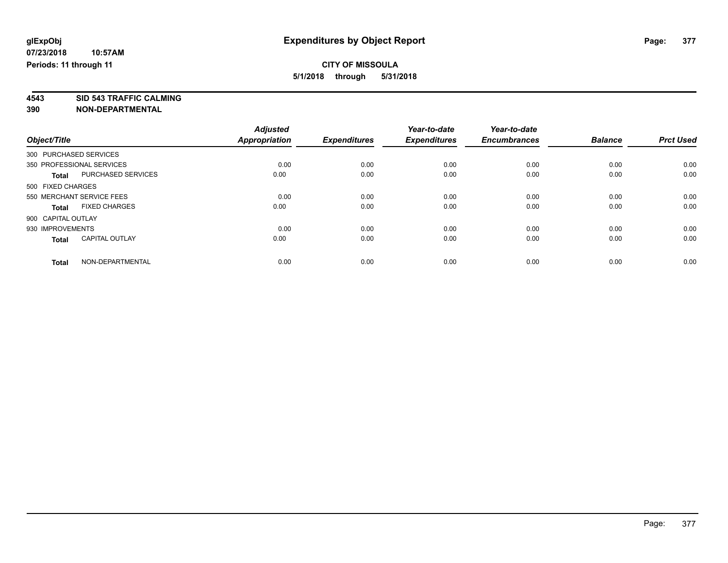**4543 SID 543 TRAFFIC CALMING**

|                        |                           | <b>Adjusted</b> |                     | Year-to-date        | Year-to-date        |                |                  |
|------------------------|---------------------------|-----------------|---------------------|---------------------|---------------------|----------------|------------------|
| Object/Title           |                           | Appropriation   | <b>Expenditures</b> | <b>Expenditures</b> | <b>Encumbrances</b> | <b>Balance</b> | <b>Prct Used</b> |
| 300 PURCHASED SERVICES |                           |                 |                     |                     |                     |                |                  |
|                        | 350 PROFESSIONAL SERVICES | 0.00            | 0.00                | 0.00                | 0.00                | 0.00           | 0.00             |
| <b>Total</b>           | <b>PURCHASED SERVICES</b> | 0.00            | 0.00                | 0.00                | 0.00                | 0.00           | 0.00             |
| 500 FIXED CHARGES      |                           |                 |                     |                     |                     |                |                  |
|                        | 550 MERCHANT SERVICE FEES | 0.00            | 0.00                | 0.00                | 0.00                | 0.00           | 0.00             |
| <b>Total</b>           | <b>FIXED CHARGES</b>      | 0.00            | 0.00                | 0.00                | 0.00                | 0.00           | 0.00             |
| 900 CAPITAL OUTLAY     |                           |                 |                     |                     |                     |                |                  |
| 930 IMPROVEMENTS       |                           | 0.00            | 0.00                | 0.00                | 0.00                | 0.00           | 0.00             |
| <b>Total</b>           | <b>CAPITAL OUTLAY</b>     | 0.00            | 0.00                | 0.00                | 0.00                | 0.00           | 0.00             |
| <b>Total</b>           | NON-DEPARTMENTAL          | 0.00            | 0.00                | 0.00                | 0.00                | 0.00           | 0.00             |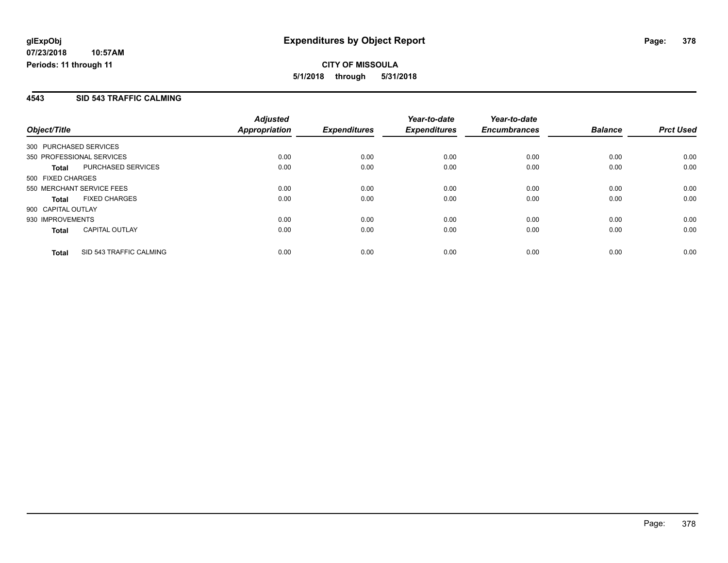### **4543 SID 543 TRAFFIC CALMING**

|                           |                           | <b>Adjusted</b>      |                     | Year-to-date        | Year-to-date        |                |                  |
|---------------------------|---------------------------|----------------------|---------------------|---------------------|---------------------|----------------|------------------|
| Object/Title              |                           | <b>Appropriation</b> | <b>Expenditures</b> | <b>Expenditures</b> | <b>Encumbrances</b> | <b>Balance</b> | <b>Prct Used</b> |
| 300 PURCHASED SERVICES    |                           |                      |                     |                     |                     |                |                  |
| 350 PROFESSIONAL SERVICES |                           | 0.00                 | 0.00                | 0.00                | 0.00                | 0.00           | 0.00             |
| <b>Total</b>              | <b>PURCHASED SERVICES</b> | 0.00                 | 0.00                | 0.00                | 0.00                | 0.00           | 0.00             |
| 500 FIXED CHARGES         |                           |                      |                     |                     |                     |                |                  |
| 550 MERCHANT SERVICE FEES |                           | 0.00                 | 0.00                | 0.00                | 0.00                | 0.00           | 0.00             |
| <b>Total</b>              | <b>FIXED CHARGES</b>      | 0.00                 | 0.00                | 0.00                | 0.00                | 0.00           | 0.00             |
| 900 CAPITAL OUTLAY        |                           |                      |                     |                     |                     |                |                  |
| 930 IMPROVEMENTS          |                           | 0.00                 | 0.00                | 0.00                | 0.00                | 0.00           | 0.00             |
| <b>Total</b>              | <b>CAPITAL OUTLAY</b>     | 0.00                 | 0.00                | 0.00                | 0.00                | 0.00           | 0.00             |
| <b>Total</b>              | SID 543 TRAFFIC CALMING   | 0.00                 | 0.00                | 0.00                | 0.00                | 0.00           | 0.00             |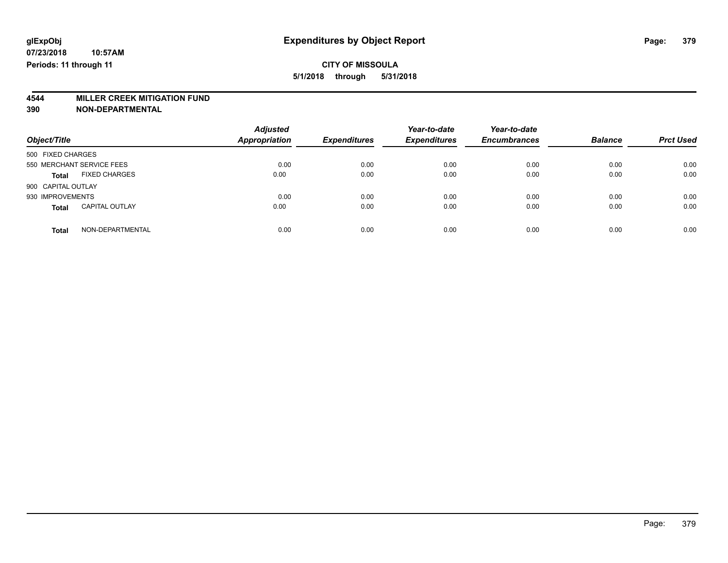## **4544 MILLER CREEK MITIGATION FUND**

| Object/Title                          | <b>Adjusted</b><br><b>Appropriation</b> | <b>Expenditures</b> | Year-to-date<br><b>Expenditures</b> | Year-to-date<br><b>Encumbrances</b> | <b>Balance</b> | <b>Prct Used</b> |
|---------------------------------------|-----------------------------------------|---------------------|-------------------------------------|-------------------------------------|----------------|------------------|
| 500 FIXED CHARGES                     |                                         |                     |                                     |                                     |                |                  |
| 550 MERCHANT SERVICE FEES             | 0.00                                    | 0.00                | 0.00                                | 0.00                                | 0.00           | 0.00             |
| <b>FIXED CHARGES</b><br><b>Total</b>  | 0.00                                    | 0.00                | 0.00                                | 0.00                                | 0.00           | 0.00             |
| 900 CAPITAL OUTLAY                    |                                         |                     |                                     |                                     |                |                  |
| 930 IMPROVEMENTS                      | 0.00                                    | 0.00                | 0.00                                | 0.00                                | 0.00           | 0.00             |
| <b>CAPITAL OUTLAY</b><br><b>Total</b> | 0.00                                    | 0.00                | 0.00                                | 0.00                                | 0.00           | 0.00             |
| NON-DEPARTMENTAL<br>Total             | 0.00                                    | 0.00                | 0.00                                | 0.00                                | 0.00           | 0.00             |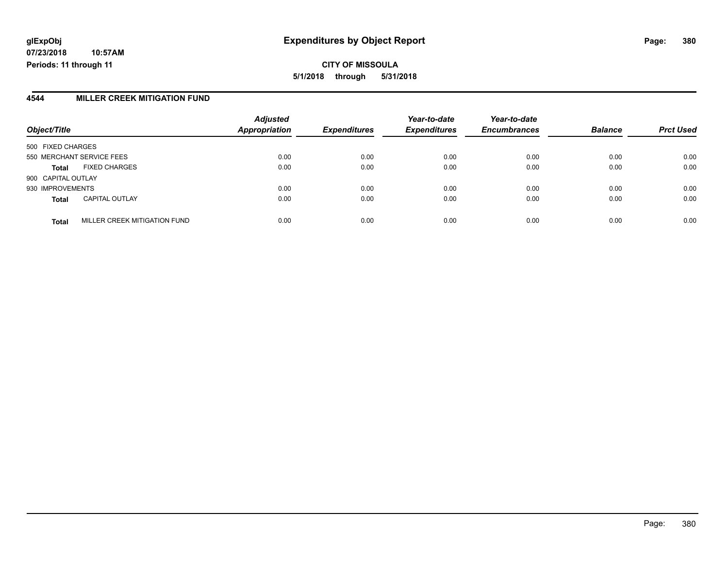**CITY OF MISSOULA 5/1/2018 through 5/31/2018**

### **4544 MILLER CREEK MITIGATION FUND**

|                           |                              | <b>Adjusted</b>      |                     | Year-to-date        | Year-to-date        |                |                  |
|---------------------------|------------------------------|----------------------|---------------------|---------------------|---------------------|----------------|------------------|
| Object/Title              |                              | <b>Appropriation</b> | <b>Expenditures</b> | <b>Expenditures</b> | <b>Encumbrances</b> | <b>Balance</b> | <b>Prct Used</b> |
| 500 FIXED CHARGES         |                              |                      |                     |                     |                     |                |                  |
| 550 MERCHANT SERVICE FEES |                              | 0.00                 | 0.00                | 0.00                | 0.00                | 0.00           | 0.00             |
| <b>Total</b>              | <b>FIXED CHARGES</b>         | 0.00                 | 0.00                | 0.00                | 0.00                | 0.00           | 0.00             |
| 900 CAPITAL OUTLAY        |                              |                      |                     |                     |                     |                |                  |
| 930 IMPROVEMENTS          |                              | 0.00                 | 0.00                | 0.00                | 0.00                | 0.00           | 0.00             |
| <b>Total</b>              | <b>CAPITAL OUTLAY</b>        | 0.00                 | 0.00                | 0.00                | 0.00                | 0.00           | 0.00             |
| <b>Total</b>              | MILLER CREEK MITIGATION FUND | 0.00                 | 0.00                | 0.00                | 0.00                | 0.00           | 0.00             |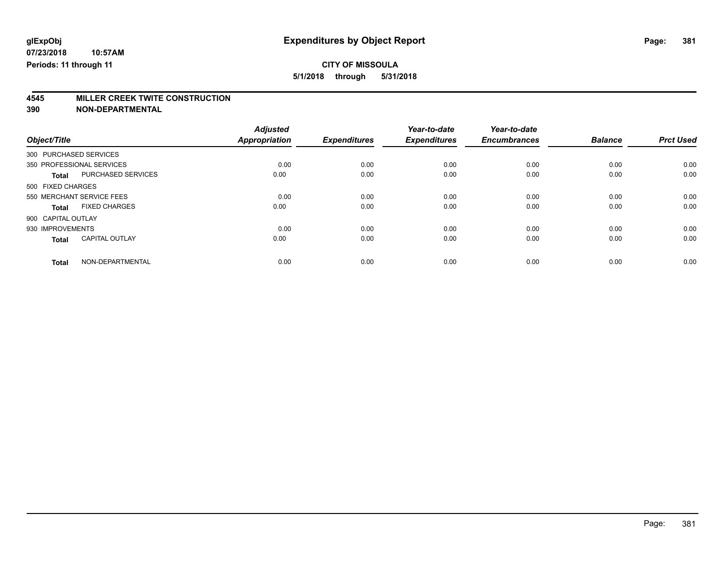## **4545 MILLER CREEK TWITE CONSTRUCTION**

|                        |                           | <b>Adjusted</b>      |                     | Year-to-date        | Year-to-date        |                |                  |
|------------------------|---------------------------|----------------------|---------------------|---------------------|---------------------|----------------|------------------|
| Object/Title           |                           | <b>Appropriation</b> | <b>Expenditures</b> | <b>Expenditures</b> | <b>Encumbrances</b> | <b>Balance</b> | <b>Prct Used</b> |
| 300 PURCHASED SERVICES |                           |                      |                     |                     |                     |                |                  |
|                        | 350 PROFESSIONAL SERVICES | 0.00                 | 0.00                | 0.00                | 0.00                | 0.00           | 0.00             |
| <b>Total</b>           | PURCHASED SERVICES        | 0.00                 | 0.00                | 0.00                | 0.00                | 0.00           | 0.00             |
| 500 FIXED CHARGES      |                           |                      |                     |                     |                     |                |                  |
|                        | 550 MERCHANT SERVICE FEES | 0.00                 | 0.00                | 0.00                | 0.00                | 0.00           | 0.00             |
| <b>Total</b>           | <b>FIXED CHARGES</b>      | 0.00                 | 0.00                | 0.00                | 0.00                | 0.00           | 0.00             |
| 900 CAPITAL OUTLAY     |                           |                      |                     |                     |                     |                |                  |
| 930 IMPROVEMENTS       |                           | 0.00                 | 0.00                | 0.00                | 0.00                | 0.00           | 0.00             |
| <b>Total</b>           | <b>CAPITAL OUTLAY</b>     | 0.00                 | 0.00                | 0.00                | 0.00                | 0.00           | 0.00             |
| <b>Total</b>           | NON-DEPARTMENTAL          | 0.00                 | 0.00                | 0.00                | 0.00                | 0.00           | 0.00             |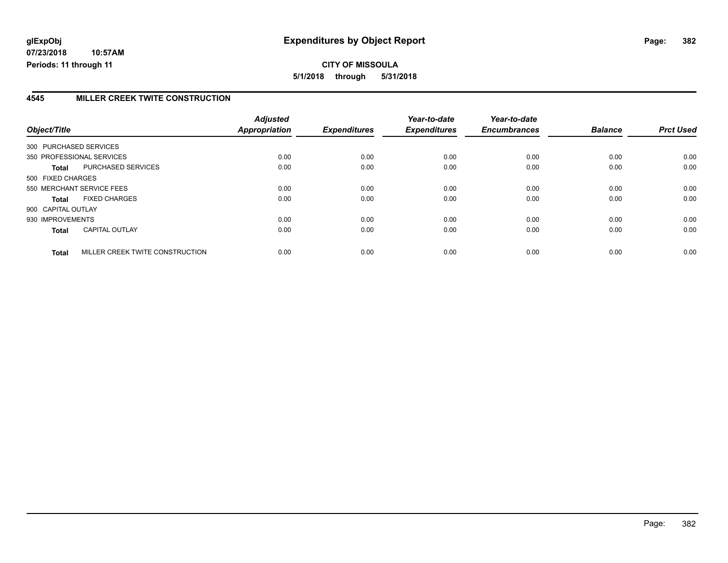**CITY OF MISSOULA 5/1/2018 through 5/31/2018**

### **4545 MILLER CREEK TWITE CONSTRUCTION**

|                    |                                 | <b>Adjusted</b>      |                     | Year-to-date        | Year-to-date        |                |                  |
|--------------------|---------------------------------|----------------------|---------------------|---------------------|---------------------|----------------|------------------|
| Object/Title       |                                 | <b>Appropriation</b> | <b>Expenditures</b> | <b>Expenditures</b> | <b>Encumbrances</b> | <b>Balance</b> | <b>Prct Used</b> |
|                    | 300 PURCHASED SERVICES          |                      |                     |                     |                     |                |                  |
|                    | 350 PROFESSIONAL SERVICES       | 0.00                 | 0.00                | 0.00                | 0.00                | 0.00           | 0.00             |
| Total              | PURCHASED SERVICES              | 0.00                 | 0.00                | 0.00                | 0.00                | 0.00           | 0.00             |
| 500 FIXED CHARGES  |                                 |                      |                     |                     |                     |                |                  |
|                    | 550 MERCHANT SERVICE FEES       | 0.00                 | 0.00                | 0.00                | 0.00                | 0.00           | 0.00             |
| Total              | <b>FIXED CHARGES</b>            | 0.00                 | 0.00                | 0.00                | 0.00                | 0.00           | 0.00             |
| 900 CAPITAL OUTLAY |                                 |                      |                     |                     |                     |                |                  |
| 930 IMPROVEMENTS   |                                 | 0.00                 | 0.00                | 0.00                | 0.00                | 0.00           | 0.00             |
| <b>Total</b>       | <b>CAPITAL OUTLAY</b>           | 0.00                 | 0.00                | 0.00                | 0.00                | 0.00           | 0.00             |
| <b>Total</b>       | MILLER CREEK TWITE CONSTRUCTION | 0.00                 | 0.00                | 0.00                | 0.00                | 0.00           | 0.00             |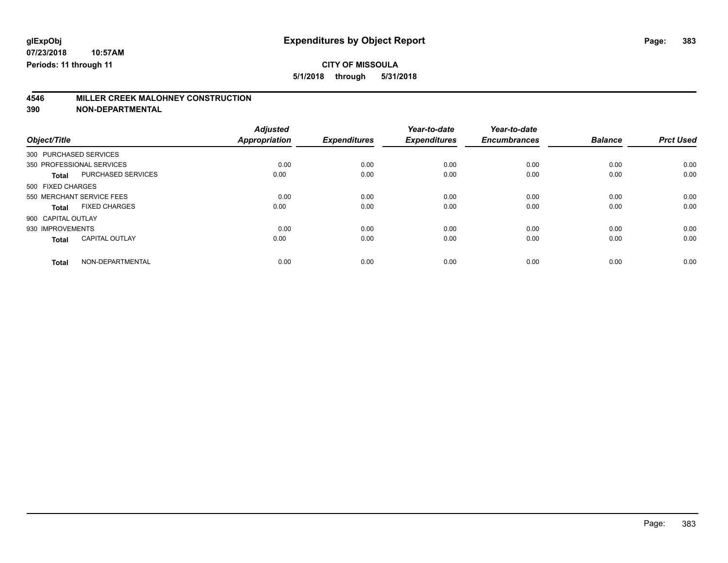# **4546 MILLER CREEK MALOHNEY CONSTRUCTION**

|                                       | <b>Adjusted</b>      |                     | Year-to-date        | Year-to-date        |                |                  |
|---------------------------------------|----------------------|---------------------|---------------------|---------------------|----------------|------------------|
| Object/Title                          | <b>Appropriation</b> | <b>Expenditures</b> | <b>Expenditures</b> | <b>Encumbrances</b> | <b>Balance</b> | <b>Prct Used</b> |
| 300 PURCHASED SERVICES                |                      |                     |                     |                     |                |                  |
| 350 PROFESSIONAL SERVICES             | 0.00                 | 0.00                | 0.00                | 0.00                | 0.00           | 0.00             |
| PURCHASED SERVICES<br><b>Total</b>    | 0.00                 | 0.00                | 0.00                | 0.00                | 0.00           | 0.00             |
| 500 FIXED CHARGES                     |                      |                     |                     |                     |                |                  |
| 550 MERCHANT SERVICE FEES             | 0.00                 | 0.00                | 0.00                | 0.00                | 0.00           | 0.00             |
| <b>FIXED CHARGES</b><br>Total         | 0.00                 | 0.00                | 0.00                | 0.00                | 0.00           | 0.00             |
| 900 CAPITAL OUTLAY                    |                      |                     |                     |                     |                |                  |
| 930 IMPROVEMENTS                      | 0.00                 | 0.00                | 0.00                | 0.00                | 0.00           | 0.00             |
| <b>CAPITAL OUTLAY</b><br><b>Total</b> | 0.00                 | 0.00                | 0.00                | 0.00                | 0.00           | 0.00             |
| NON-DEPARTMENTAL<br><b>Total</b>      | 0.00                 | 0.00                | 0.00                | 0.00                | 0.00           | 0.00             |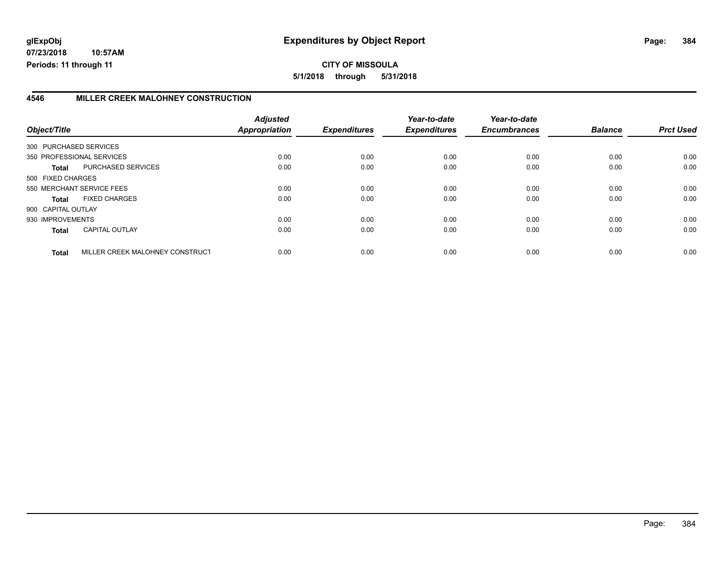## **CITY OF MISSOULA 5/1/2018 through 5/31/2018**

### **4546 MILLER CREEK MALOHNEY CONSTRUCTION**

|                    |                                 | <b>Adjusted</b> |                     | Year-to-date        | Year-to-date        |                |                  |
|--------------------|---------------------------------|-----------------|---------------------|---------------------|---------------------|----------------|------------------|
| Object/Title       |                                 | Appropriation   | <b>Expenditures</b> | <b>Expenditures</b> | <b>Encumbrances</b> | <b>Balance</b> | <b>Prct Used</b> |
|                    | 300 PURCHASED SERVICES          |                 |                     |                     |                     |                |                  |
|                    | 350 PROFESSIONAL SERVICES       | 0.00            | 0.00                | 0.00                | 0.00                | 0.00           | 0.00             |
| <b>Total</b>       | <b>PURCHASED SERVICES</b>       | 0.00            | 0.00                | 0.00                | 0.00                | 0.00           | 0.00             |
| 500 FIXED CHARGES  |                                 |                 |                     |                     |                     |                |                  |
|                    | 550 MERCHANT SERVICE FEES       | 0.00            | 0.00                | 0.00                | 0.00                | 0.00           | 0.00             |
| <b>Total</b>       | <b>FIXED CHARGES</b>            | 0.00            | 0.00                | 0.00                | 0.00                | 0.00           | 0.00             |
| 900 CAPITAL OUTLAY |                                 |                 |                     |                     |                     |                |                  |
| 930 IMPROVEMENTS   |                                 | 0.00            | 0.00                | 0.00                | 0.00                | 0.00           | 0.00             |
| <b>Total</b>       | <b>CAPITAL OUTLAY</b>           | 0.00            | 0.00                | 0.00                | 0.00                | 0.00           | 0.00             |
| <b>Total</b>       | MILLER CREEK MALOHNEY CONSTRUCT | 0.00            | 0.00                | 0.00                | 0.00                | 0.00           | 0.00             |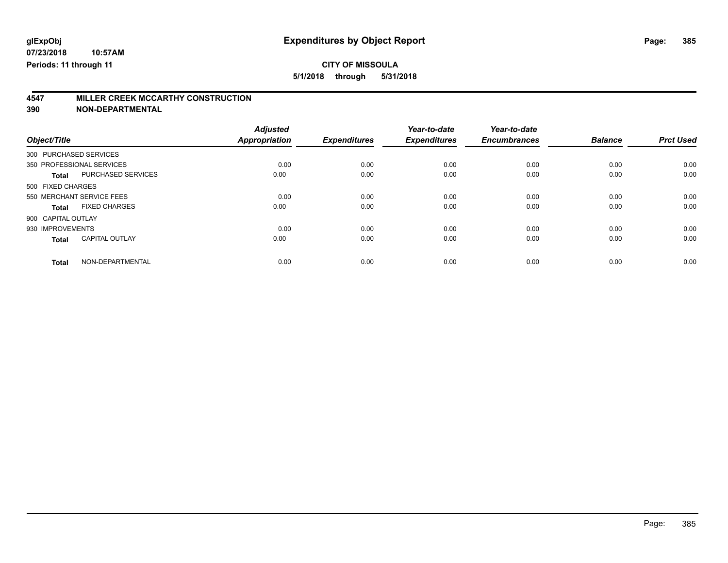## **4547 MILLER CREEK MCCARTHY CONSTRUCTION**

|                                       | <b>Adjusted</b>      |                     | Year-to-date        | Year-to-date        |                |                  |
|---------------------------------------|----------------------|---------------------|---------------------|---------------------|----------------|------------------|
| Object/Title                          | <b>Appropriation</b> | <b>Expenditures</b> | <b>Expenditures</b> | <b>Encumbrances</b> | <b>Balance</b> | <b>Prct Used</b> |
| 300 PURCHASED SERVICES                |                      |                     |                     |                     |                |                  |
| 350 PROFESSIONAL SERVICES             | 0.00                 | 0.00                | 0.00                | 0.00                | 0.00           | 0.00             |
| PURCHASED SERVICES<br><b>Total</b>    | 0.00                 | 0.00                | 0.00                | 0.00                | 0.00           | 0.00             |
| 500 FIXED CHARGES                     |                      |                     |                     |                     |                |                  |
| 550 MERCHANT SERVICE FEES             | 0.00                 | 0.00                | 0.00                | 0.00                | 0.00           | 0.00             |
| <b>FIXED CHARGES</b><br>Total         | 0.00                 | 0.00                | 0.00                | 0.00                | 0.00           | 0.00             |
| 900 CAPITAL OUTLAY                    |                      |                     |                     |                     |                |                  |
| 930 IMPROVEMENTS                      | 0.00                 | 0.00                | 0.00                | 0.00                | 0.00           | 0.00             |
| <b>CAPITAL OUTLAY</b><br><b>Total</b> | 0.00                 | 0.00                | 0.00                | 0.00                | 0.00           | 0.00             |
| NON-DEPARTMENTAL<br><b>Total</b>      | 0.00                 | 0.00                | 0.00                | 0.00                | 0.00           | 0.00             |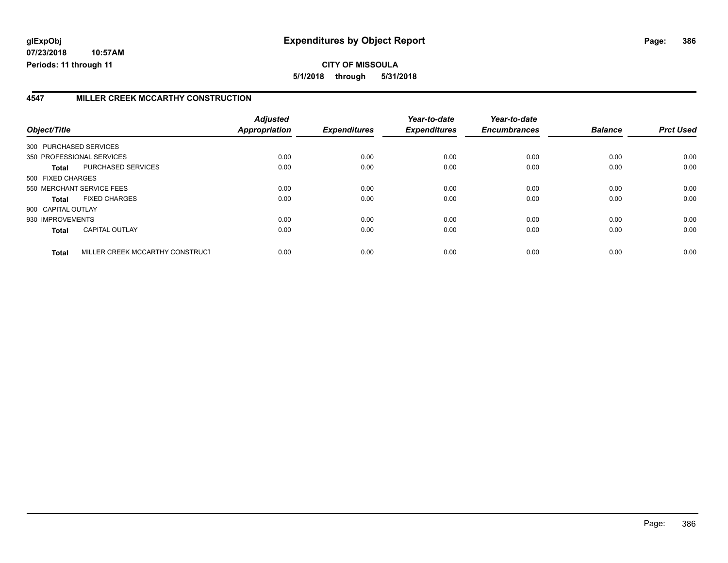## **CITY OF MISSOULA 5/1/2018 through 5/31/2018**

### **4547 MILLER CREEK MCCARTHY CONSTRUCTION**

| Object/Title       |                                 | <b>Adjusted</b><br>Appropriation | <b>Expenditures</b> | Year-to-date<br><b>Expenditures</b> | Year-to-date<br><b>Encumbrances</b> | <b>Balance</b> | <b>Prct Used</b> |
|--------------------|---------------------------------|----------------------------------|---------------------|-------------------------------------|-------------------------------------|----------------|------------------|
|                    |                                 |                                  |                     |                                     |                                     |                |                  |
|                    | 300 PURCHASED SERVICES          |                                  |                     |                                     |                                     |                |                  |
|                    | 350 PROFESSIONAL SERVICES       | 0.00                             | 0.00                | 0.00                                | 0.00                                | 0.00           | 0.00             |
| Total              | PURCHASED SERVICES              | 0.00                             | 0.00                | 0.00                                | 0.00                                | 0.00           | 0.00             |
| 500 FIXED CHARGES  |                                 |                                  |                     |                                     |                                     |                |                  |
|                    | 550 MERCHANT SERVICE FEES       | 0.00                             | 0.00                | 0.00                                | 0.00                                | 0.00           | 0.00             |
| <b>Total</b>       | <b>FIXED CHARGES</b>            | 0.00                             | 0.00                | 0.00                                | 0.00                                | 0.00           | 0.00             |
| 900 CAPITAL OUTLAY |                                 |                                  |                     |                                     |                                     |                |                  |
| 930 IMPROVEMENTS   |                                 | 0.00                             | 0.00                | 0.00                                | 0.00                                | 0.00           | 0.00             |
| <b>Total</b>       | <b>CAPITAL OUTLAY</b>           | 0.00                             | 0.00                | 0.00                                | 0.00                                | 0.00           | 0.00             |
| <b>Total</b>       | MILLER CREEK MCCARTHY CONSTRUCT | 0.00                             | 0.00                | 0.00                                | 0.00                                | 0.00           | 0.00             |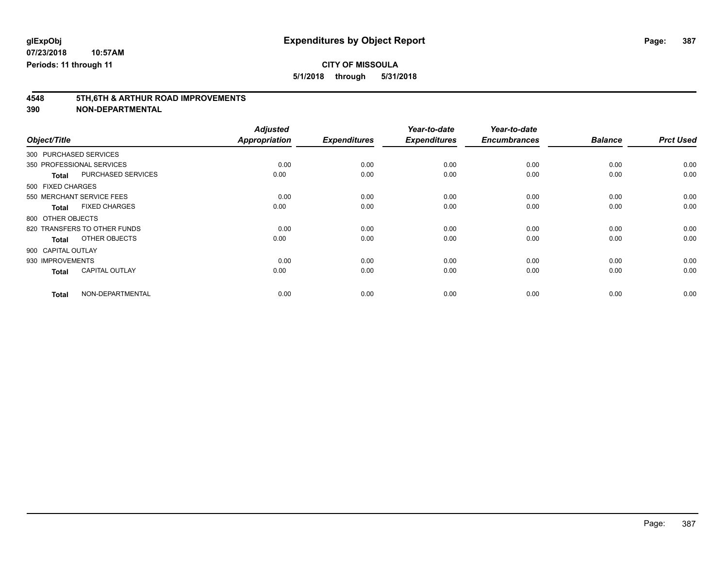**4548 5TH,6TH & ARTHUR ROAD IMPROVEMENTS**

| Object/Title           |                              | <b>Adjusted</b><br><b>Appropriation</b> | <b>Expenditures</b> | Year-to-date<br><b>Expenditures</b> | Year-to-date<br><b>Encumbrances</b> | <b>Balance</b> | <b>Prct Used</b> |
|------------------------|------------------------------|-----------------------------------------|---------------------|-------------------------------------|-------------------------------------|----------------|------------------|
| 300 PURCHASED SERVICES |                              |                                         |                     |                                     |                                     |                |                  |
|                        | 350 PROFESSIONAL SERVICES    | 0.00                                    | 0.00                | 0.00                                | 0.00                                | 0.00           | 0.00             |
| <b>Total</b>           | <b>PURCHASED SERVICES</b>    | 0.00                                    | 0.00                | 0.00                                | 0.00                                | 0.00           | 0.00             |
| 500 FIXED CHARGES      |                              |                                         |                     |                                     |                                     |                |                  |
|                        | 550 MERCHANT SERVICE FEES    | 0.00                                    | 0.00                | 0.00                                | 0.00                                | 0.00           | 0.00             |
| <b>Total</b>           | <b>FIXED CHARGES</b>         | 0.00                                    | 0.00                | 0.00                                | 0.00                                | 0.00           | 0.00             |
| 800 OTHER OBJECTS      |                              |                                         |                     |                                     |                                     |                |                  |
|                        | 820 TRANSFERS TO OTHER FUNDS | 0.00                                    | 0.00                | 0.00                                | 0.00                                | 0.00           | 0.00             |
| <b>Total</b>           | OTHER OBJECTS                | 0.00                                    | 0.00                | 0.00                                | 0.00                                | 0.00           | 0.00             |
| 900 CAPITAL OUTLAY     |                              |                                         |                     |                                     |                                     |                |                  |
| 930 IMPROVEMENTS       |                              | 0.00                                    | 0.00                | 0.00                                | 0.00                                | 0.00           | 0.00             |
| <b>Total</b>           | <b>CAPITAL OUTLAY</b>        | 0.00                                    | 0.00                | 0.00                                | 0.00                                | 0.00           | 0.00             |
| <b>Total</b>           | NON-DEPARTMENTAL             | 0.00                                    | 0.00                | 0.00                                | 0.00                                | 0.00           | 0.00             |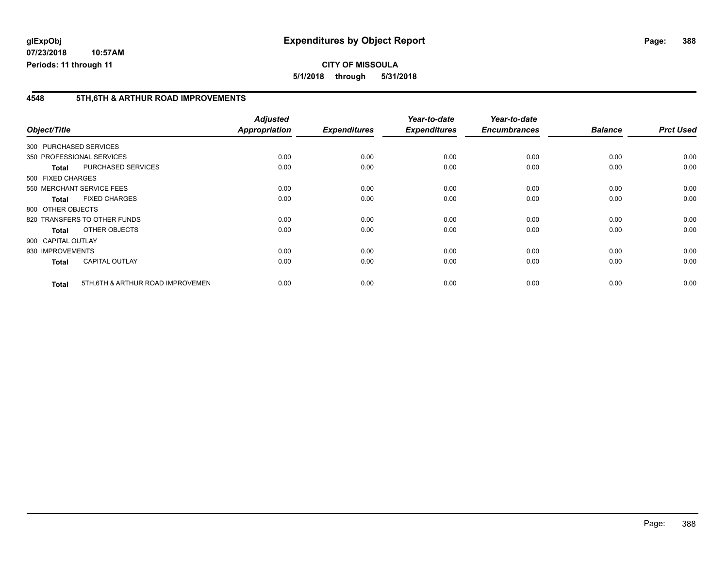**CITY OF MISSOULA 5/1/2018 through 5/31/2018**

### **4548 5TH,6TH & ARTHUR ROAD IMPROVEMENTS**

|                    |                                   | <b>Adjusted</b> |                     | Year-to-date        | Year-to-date        |                |                  |
|--------------------|-----------------------------------|-----------------|---------------------|---------------------|---------------------|----------------|------------------|
| Object/Title       |                                   | Appropriation   | <b>Expenditures</b> | <b>Expenditures</b> | <b>Encumbrances</b> | <b>Balance</b> | <b>Prct Used</b> |
|                    | 300 PURCHASED SERVICES            |                 |                     |                     |                     |                |                  |
|                    | 350 PROFESSIONAL SERVICES         | 0.00            | 0.00                | 0.00                | 0.00                | 0.00           | 0.00             |
| <b>Total</b>       | <b>PURCHASED SERVICES</b>         | 0.00            | 0.00                | 0.00                | 0.00                | 0.00           | 0.00             |
| 500 FIXED CHARGES  |                                   |                 |                     |                     |                     |                |                  |
|                    | 550 MERCHANT SERVICE FEES         | 0.00            | 0.00                | 0.00                | 0.00                | 0.00           | 0.00             |
| <b>Total</b>       | <b>FIXED CHARGES</b>              | 0.00            | 0.00                | 0.00                | 0.00                | 0.00           | 0.00             |
| 800 OTHER OBJECTS  |                                   |                 |                     |                     |                     |                |                  |
|                    | 820 TRANSFERS TO OTHER FUNDS      | 0.00            | 0.00                | 0.00                | 0.00                | 0.00           | 0.00             |
| <b>Total</b>       | OTHER OBJECTS                     | 0.00            | 0.00                | 0.00                | 0.00                | 0.00           | 0.00             |
| 900 CAPITAL OUTLAY |                                   |                 |                     |                     |                     |                |                  |
| 930 IMPROVEMENTS   |                                   | 0.00            | 0.00                | 0.00                | 0.00                | 0.00           | 0.00             |
| <b>Total</b>       | <b>CAPITAL OUTLAY</b>             | 0.00            | 0.00                | 0.00                | 0.00                | 0.00           | 0.00             |
| <b>Total</b>       | 5TH, 6TH & ARTHUR ROAD IMPROVEMEN | 0.00            | 0.00                | 0.00                | 0.00                | 0.00           | 0.00             |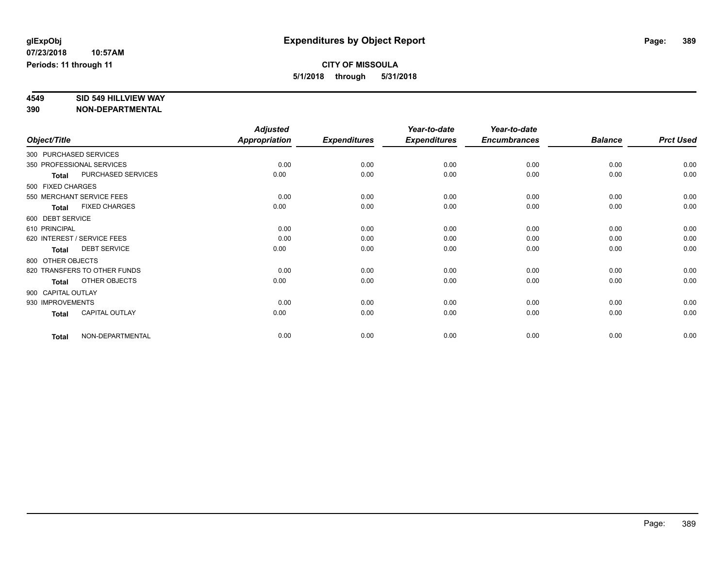# **4549 SID 549 HILLVIEW WAY**

|                    |                              | <b>Adjusted</b> |                     | Year-to-date        | Year-to-date        |                |                  |
|--------------------|------------------------------|-----------------|---------------------|---------------------|---------------------|----------------|------------------|
| Object/Title       |                              | Appropriation   | <b>Expenditures</b> | <b>Expenditures</b> | <b>Encumbrances</b> | <b>Balance</b> | <b>Prct Used</b> |
|                    | 300 PURCHASED SERVICES       |                 |                     |                     |                     |                |                  |
|                    | 350 PROFESSIONAL SERVICES    | 0.00            | 0.00                | 0.00                | 0.00                | 0.00           | 0.00             |
| <b>Total</b>       | PURCHASED SERVICES           | 0.00            | 0.00                | 0.00                | 0.00                | 0.00           | 0.00             |
| 500 FIXED CHARGES  |                              |                 |                     |                     |                     |                |                  |
|                    | 550 MERCHANT SERVICE FEES    | 0.00            | 0.00                | 0.00                | 0.00                | 0.00           | 0.00             |
| <b>Total</b>       | <b>FIXED CHARGES</b>         | 0.00            | 0.00                | 0.00                | 0.00                | 0.00           | 0.00             |
| 600 DEBT SERVICE   |                              |                 |                     |                     |                     |                |                  |
| 610 PRINCIPAL      |                              | 0.00            | 0.00                | 0.00                | 0.00                | 0.00           | 0.00             |
|                    | 620 INTEREST / SERVICE FEES  | 0.00            | 0.00                | 0.00                | 0.00                | 0.00           | 0.00             |
| <b>Total</b>       | <b>DEBT SERVICE</b>          | 0.00            | 0.00                | 0.00                | 0.00                | 0.00           | 0.00             |
| 800 OTHER OBJECTS  |                              |                 |                     |                     |                     |                |                  |
|                    | 820 TRANSFERS TO OTHER FUNDS | 0.00            | 0.00                | 0.00                | 0.00                | 0.00           | 0.00             |
| <b>Total</b>       | OTHER OBJECTS                | 0.00            | 0.00                | 0.00                | 0.00                | 0.00           | 0.00             |
| 900 CAPITAL OUTLAY |                              |                 |                     |                     |                     |                |                  |
| 930 IMPROVEMENTS   |                              | 0.00            | 0.00                | 0.00                | 0.00                | 0.00           | 0.00             |
| <b>Total</b>       | CAPITAL OUTLAY               | 0.00            | 0.00                | 0.00                | 0.00                | 0.00           | 0.00             |
| <b>Total</b>       | NON-DEPARTMENTAL             | 0.00            | 0.00                | 0.00                | 0.00                | 0.00           | 0.00             |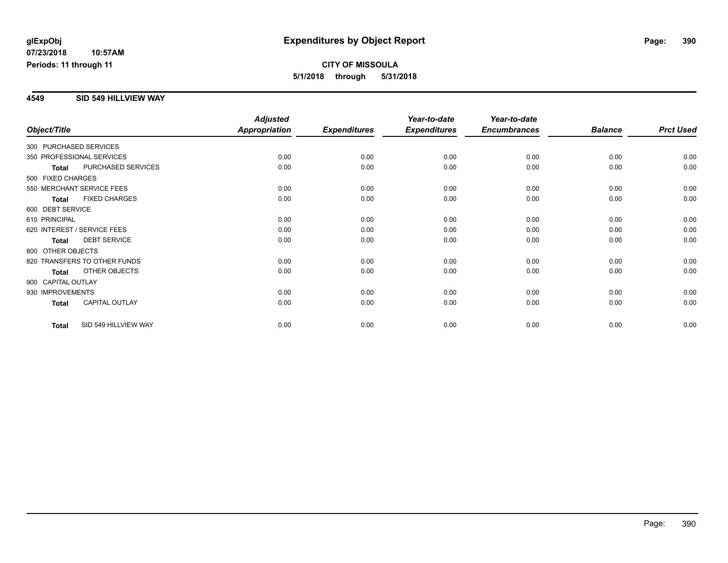### **4549 SID 549 HILLVIEW WAY**

|                        |                              | <b>Adjusted</b>      |                     | Year-to-date        | Year-to-date        |                |                  |
|------------------------|------------------------------|----------------------|---------------------|---------------------|---------------------|----------------|------------------|
| Object/Title           |                              | <b>Appropriation</b> | <b>Expenditures</b> | <b>Expenditures</b> | <b>Encumbrances</b> | <b>Balance</b> | <b>Prct Used</b> |
| 300 PURCHASED SERVICES |                              |                      |                     |                     |                     |                |                  |
|                        | 350 PROFESSIONAL SERVICES    | 0.00                 | 0.00                | 0.00                | 0.00                | 0.00           | 0.00             |
| <b>Total</b>           | PURCHASED SERVICES           | 0.00                 | 0.00                | 0.00                | 0.00                | 0.00           | 0.00             |
| 500 FIXED CHARGES      |                              |                      |                     |                     |                     |                |                  |
|                        | 550 MERCHANT SERVICE FEES    | 0.00                 | 0.00                | 0.00                | 0.00                | 0.00           | 0.00             |
| Total                  | <b>FIXED CHARGES</b>         | 0.00                 | 0.00                | 0.00                | 0.00                | 0.00           | 0.00             |
| 600 DEBT SERVICE       |                              |                      |                     |                     |                     |                |                  |
| 610 PRINCIPAL          |                              | 0.00                 | 0.00                | 0.00                | 0.00                | 0.00           | 0.00             |
|                        | 620 INTEREST / SERVICE FEES  | 0.00                 | 0.00                | 0.00                | 0.00                | 0.00           | 0.00             |
| <b>Total</b>           | <b>DEBT SERVICE</b>          | 0.00                 | 0.00                | 0.00                | 0.00                | 0.00           | 0.00             |
| 800 OTHER OBJECTS      |                              |                      |                     |                     |                     |                |                  |
|                        | 820 TRANSFERS TO OTHER FUNDS | 0.00                 | 0.00                | 0.00                | 0.00                | 0.00           | 0.00             |
| <b>Total</b>           | OTHER OBJECTS                | 0.00                 | 0.00                | 0.00                | 0.00                | 0.00           | 0.00             |
| 900 CAPITAL OUTLAY     |                              |                      |                     |                     |                     |                |                  |
| 930 IMPROVEMENTS       |                              | 0.00                 | 0.00                | 0.00                | 0.00                | 0.00           | 0.00             |
| <b>Total</b>           | CAPITAL OUTLAY               | 0.00                 | 0.00                | 0.00                | 0.00                | 0.00           | 0.00             |
| <b>Total</b>           | SID 549 HILLVIEW WAY         | 0.00                 | 0.00                | 0.00                | 0.00                | 0.00           | 0.00             |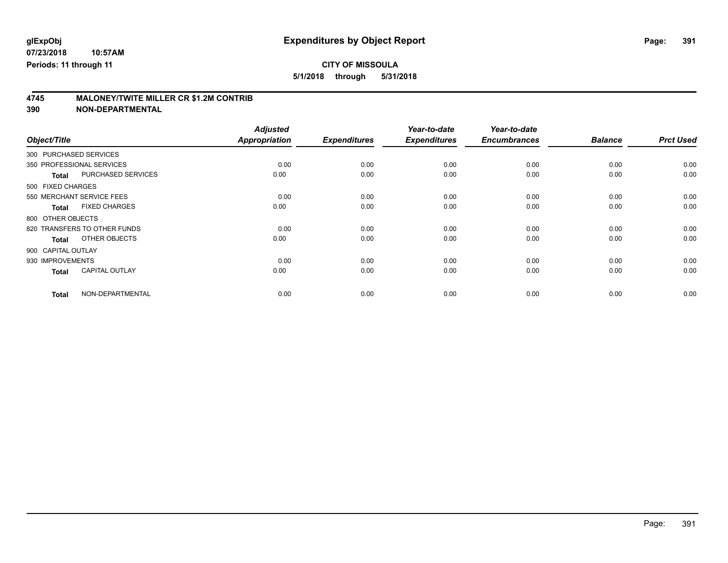# **4745 MALONEY/TWITE MILLER CR \$1.2M CONTRIB**

| Object/Title |                              | <b>Adjusted</b><br>Appropriation | <b>Expenditures</b> | Year-to-date<br><b>Expenditures</b> | Year-to-date<br><b>Encumbrances</b> | <b>Balance</b> | <b>Prct Used</b> |
|--------------|------------------------------|----------------------------------|---------------------|-------------------------------------|-------------------------------------|----------------|------------------|
|              | 300 PURCHASED SERVICES       |                                  |                     |                                     |                                     |                |                  |
|              | 350 PROFESSIONAL SERVICES    | 0.00                             | 0.00                | 0.00                                | 0.00                                | 0.00           | 0.00             |
| <b>Total</b> | <b>PURCHASED SERVICES</b>    | 0.00                             | 0.00                | 0.00                                | 0.00                                | 0.00           | 0.00             |
|              | 500 FIXED CHARGES            |                                  |                     |                                     |                                     |                |                  |
|              | 550 MERCHANT SERVICE FEES    | 0.00                             | 0.00                | 0.00                                | 0.00                                | 0.00           | 0.00             |
| <b>Total</b> | <b>FIXED CHARGES</b>         | 0.00                             | 0.00                | 0.00                                | 0.00                                | 0.00           | 0.00             |
|              | 800 OTHER OBJECTS            |                                  |                     |                                     |                                     |                |                  |
|              | 820 TRANSFERS TO OTHER FUNDS | 0.00                             | 0.00                | 0.00                                | 0.00                                | 0.00           | 0.00             |
| <b>Total</b> | OTHER OBJECTS                | 0.00                             | 0.00                | 0.00                                | 0.00                                | 0.00           | 0.00             |
|              | 900 CAPITAL OUTLAY           |                                  |                     |                                     |                                     |                |                  |
|              | 930 IMPROVEMENTS             | 0.00                             | 0.00                | 0.00                                | 0.00                                | 0.00           | 0.00             |
| <b>Total</b> | <b>CAPITAL OUTLAY</b>        | 0.00                             | 0.00                | 0.00                                | 0.00                                | 0.00           | 0.00             |
| <b>Total</b> | NON-DEPARTMENTAL             | 0.00                             | 0.00                | 0.00                                | 0.00                                | 0.00           | 0.00             |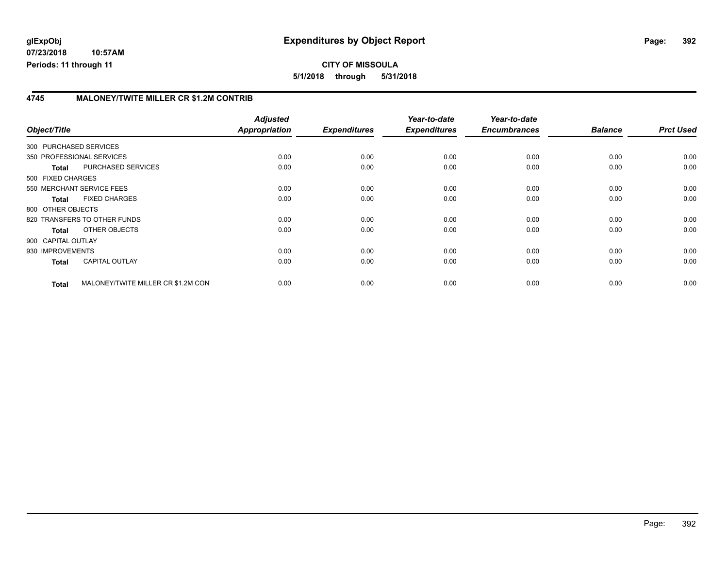### **4745 MALONEY/TWITE MILLER CR \$1.2M CONTRIB**

|                    |                                     | <b>Adjusted</b>      |                     | Year-to-date        | Year-to-date        |                |                  |
|--------------------|-------------------------------------|----------------------|---------------------|---------------------|---------------------|----------------|------------------|
| Object/Title       |                                     | <b>Appropriation</b> | <b>Expenditures</b> | <b>Expenditures</b> | <b>Encumbrances</b> | <b>Balance</b> | <b>Prct Used</b> |
|                    | 300 PURCHASED SERVICES              |                      |                     |                     |                     |                |                  |
|                    | 350 PROFESSIONAL SERVICES           | 0.00                 | 0.00                | 0.00                | 0.00                | 0.00           | 0.00             |
| <b>Total</b>       | PURCHASED SERVICES                  | 0.00                 | 0.00                | 0.00                | 0.00                | 0.00           | 0.00             |
| 500 FIXED CHARGES  |                                     |                      |                     |                     |                     |                |                  |
|                    | 550 MERCHANT SERVICE FEES           | 0.00                 | 0.00                | 0.00                | 0.00                | 0.00           | 0.00             |
| <b>Total</b>       | <b>FIXED CHARGES</b>                | 0.00                 | 0.00                | 0.00                | 0.00                | 0.00           | 0.00             |
| 800 OTHER OBJECTS  |                                     |                      |                     |                     |                     |                |                  |
|                    | 820 TRANSFERS TO OTHER FUNDS        | 0.00                 | 0.00                | 0.00                | 0.00                | 0.00           | 0.00             |
| Total              | OTHER OBJECTS                       | 0.00                 | 0.00                | 0.00                | 0.00                | 0.00           | 0.00             |
| 900 CAPITAL OUTLAY |                                     |                      |                     |                     |                     |                |                  |
| 930 IMPROVEMENTS   |                                     | 0.00                 | 0.00                | 0.00                | 0.00                | 0.00           | 0.00             |
| <b>Total</b>       | <b>CAPITAL OUTLAY</b>               | 0.00                 | 0.00                | 0.00                | 0.00                | 0.00           | 0.00             |
| <b>Total</b>       | MALONEY/TWITE MILLER CR \$1.2M CONT | 0.00                 | 0.00                | 0.00                | 0.00                | 0.00           | 0.00             |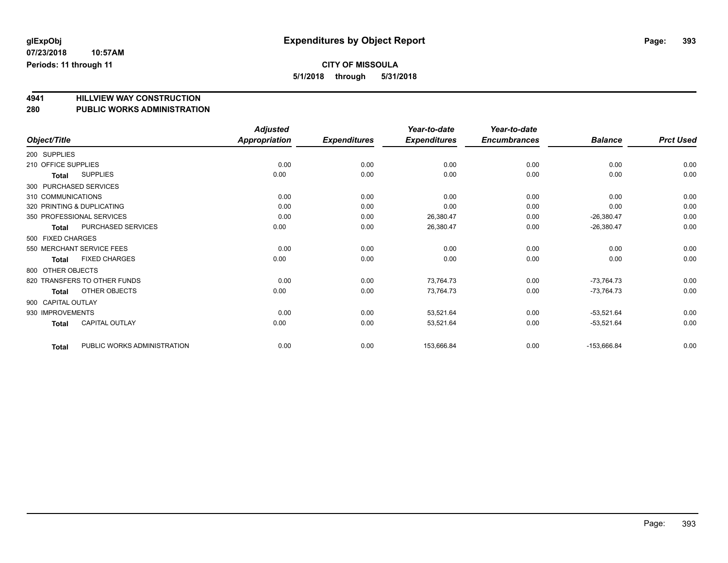# **4941 HILLVIEW WAY CONSTRUCTION**

#### **280 PUBLIC WORKS ADMINISTRATION**

| Object/Title               |                              | <b>Adjusted</b><br><b>Appropriation</b> | <b>Expenditures</b> | Year-to-date<br><b>Expenditures</b> | Year-to-date<br><b>Encumbrances</b> | <b>Balance</b> | <b>Prct Used</b> |
|----------------------------|------------------------------|-----------------------------------------|---------------------|-------------------------------------|-------------------------------------|----------------|------------------|
|                            |                              |                                         |                     |                                     |                                     |                |                  |
| 200 SUPPLIES               |                              |                                         |                     |                                     |                                     |                |                  |
| 210 OFFICE SUPPLIES        |                              | 0.00                                    | 0.00                | 0.00                                | 0.00                                | 0.00           | 0.00             |
| Total                      | <b>SUPPLIES</b>              | 0.00                                    | 0.00                | 0.00                                | 0.00                                | 0.00           | 0.00             |
| 300 PURCHASED SERVICES     |                              |                                         |                     |                                     |                                     |                |                  |
| 310 COMMUNICATIONS         |                              | 0.00                                    | 0.00                | 0.00                                | 0.00                                | 0.00           | 0.00             |
| 320 PRINTING & DUPLICATING |                              | 0.00                                    | 0.00                | 0.00                                | 0.00                                | 0.00           | 0.00             |
|                            | 350 PROFESSIONAL SERVICES    | 0.00                                    | 0.00                | 26,380.47                           | 0.00                                | $-26,380.47$   | 0.00             |
| <b>Total</b>               | PURCHASED SERVICES           | 0.00                                    | 0.00                | 26,380.47                           | 0.00                                | $-26,380.47$   | 0.00             |
| 500 FIXED CHARGES          |                              |                                         |                     |                                     |                                     |                |                  |
|                            | 550 MERCHANT SERVICE FEES    | 0.00                                    | 0.00                | 0.00                                | 0.00                                | 0.00           | 0.00             |
| <b>Total</b>               | <b>FIXED CHARGES</b>         | 0.00                                    | 0.00                | 0.00                                | 0.00                                | 0.00           | 0.00             |
| 800 OTHER OBJECTS          |                              |                                         |                     |                                     |                                     |                |                  |
|                            | 820 TRANSFERS TO OTHER FUNDS | 0.00                                    | 0.00                | 73,764.73                           | 0.00                                | $-73,764.73$   | 0.00             |
| <b>Total</b>               | OTHER OBJECTS                | 0.00                                    | 0.00                | 73,764.73                           | 0.00                                | $-73,764.73$   | 0.00             |
| 900 CAPITAL OUTLAY         |                              |                                         |                     |                                     |                                     |                |                  |
| 930 IMPROVEMENTS           |                              | 0.00                                    | 0.00                | 53,521.64                           | 0.00                                | $-53,521.64$   | 0.00             |
| <b>Total</b>               | <b>CAPITAL OUTLAY</b>        | 0.00                                    | 0.00                | 53,521.64                           | 0.00                                | $-53,521.64$   | 0.00             |
| Total                      | PUBLIC WORKS ADMINISTRATION  | 0.00                                    | 0.00                | 153,666.84                          | 0.00                                | $-153,666.84$  | 0.00             |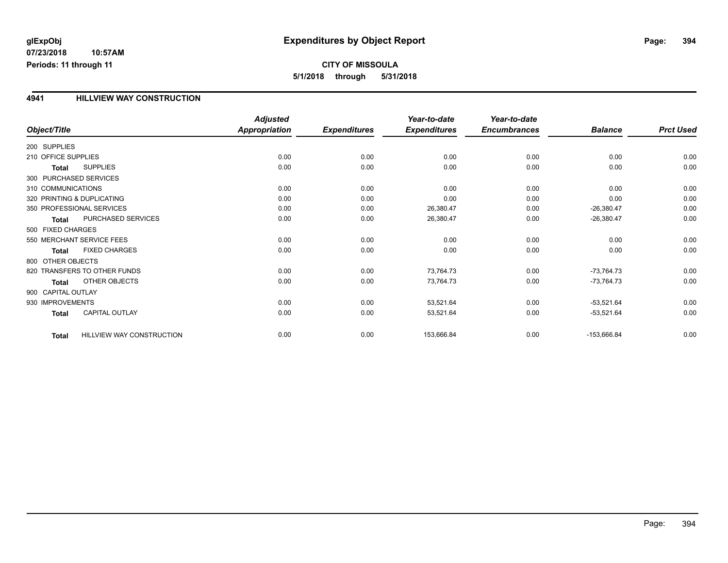## **CITY OF MISSOULA 5/1/2018 through 5/31/2018**

### **4941 HILLVIEW WAY CONSTRUCTION**

|                                           | <b>Adjusted</b>      |                     | Year-to-date        | Year-to-date        |                |                  |
|-------------------------------------------|----------------------|---------------------|---------------------|---------------------|----------------|------------------|
| Object/Title                              | <b>Appropriation</b> | <b>Expenditures</b> | <b>Expenditures</b> | <b>Encumbrances</b> | <b>Balance</b> | <b>Prct Used</b> |
| 200 SUPPLIES                              |                      |                     |                     |                     |                |                  |
| 210 OFFICE SUPPLIES                       | 0.00                 | 0.00                | 0.00                | 0.00                | 0.00           | 0.00             |
| <b>SUPPLIES</b><br>Total                  | 0.00                 | 0.00                | 0.00                | 0.00                | 0.00           | 0.00             |
| 300 PURCHASED SERVICES                    |                      |                     |                     |                     |                |                  |
| 310 COMMUNICATIONS                        | 0.00                 | 0.00                | 0.00                | 0.00                | 0.00           | 0.00             |
| 320 PRINTING & DUPLICATING                | 0.00                 | 0.00                | 0.00                | 0.00                | 0.00           | 0.00             |
| 350 PROFESSIONAL SERVICES                 | 0.00                 | 0.00                | 26,380.47           | 0.00                | $-26,380.47$   | 0.00             |
| PURCHASED SERVICES<br><b>Total</b>        | 0.00                 | 0.00                | 26,380.47           | 0.00                | $-26,380.47$   | 0.00             |
| 500 FIXED CHARGES                         |                      |                     |                     |                     |                |                  |
| 550 MERCHANT SERVICE FEES                 | 0.00                 | 0.00                | 0.00                | 0.00                | 0.00           | 0.00             |
| <b>FIXED CHARGES</b><br><b>Total</b>      | 0.00                 | 0.00                | 0.00                | 0.00                | 0.00           | 0.00             |
| 800 OTHER OBJECTS                         |                      |                     |                     |                     |                |                  |
| 820 TRANSFERS TO OTHER FUNDS              | 0.00                 | 0.00                | 73,764.73           | 0.00                | $-73,764.73$   | 0.00             |
| OTHER OBJECTS<br>Total                    | 0.00                 | 0.00                | 73,764.73           | 0.00                | $-73,764.73$   | 0.00             |
| 900 CAPITAL OUTLAY                        |                      |                     |                     |                     |                |                  |
| 930 IMPROVEMENTS                          | 0.00                 | 0.00                | 53,521.64           | 0.00                | $-53,521.64$   | 0.00             |
| <b>CAPITAL OUTLAY</b><br><b>Total</b>     | 0.00                 | 0.00                | 53,521.64           | 0.00                | $-53,521.64$   | 0.00             |
| HILLVIEW WAY CONSTRUCTION<br><b>Total</b> | 0.00                 | 0.00                | 153,666.84          | 0.00                | $-153,666.84$  | 0.00             |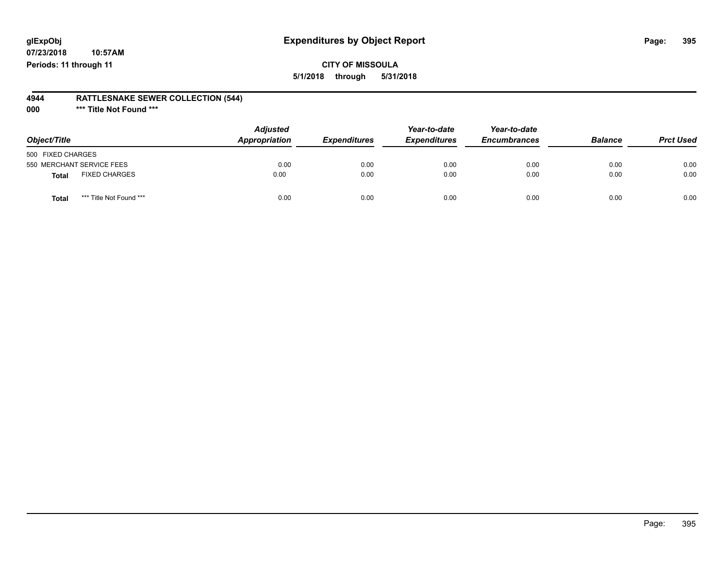## **glExpObj Expenditures by Object Report Page: 395**

**07/23/2018 10:57AM Periods: 11 through 11**

## **CITY OF MISSOULA 5/1/2018 through 5/31/2018**

#### **4944 RATTLESNAKE SEWER COLLECTION (544)**

**000 \*\*\* Title Not Found \*\*\***

| Object/Title                            | <b>Adjusted</b><br>Appropriation | <b>Expenditures</b> | Year-to-date<br><b>Expenditures</b> | Year-to-date<br><b>Encumbrances</b> | <b>Balance</b> | <b>Prct Used</b> |
|-----------------------------------------|----------------------------------|---------------------|-------------------------------------|-------------------------------------|----------------|------------------|
| 500 FIXED CHARGES                       |                                  |                     |                                     |                                     |                |                  |
| 550 MERCHANT SERVICE FEES               | 0.00                             | 0.00                | 0.00                                | 0.00                                | 0.00           | 0.00             |
| <b>FIXED CHARGES</b><br><b>Total</b>    | 0.00                             | 0.00                | 0.00                                | 0.00                                | 0.00           | 0.00             |
| *** Title Not Found ***<br><b>Total</b> | 0.00                             | 0.00                | 0.00                                | 0.00                                | 0.00           | 0.00             |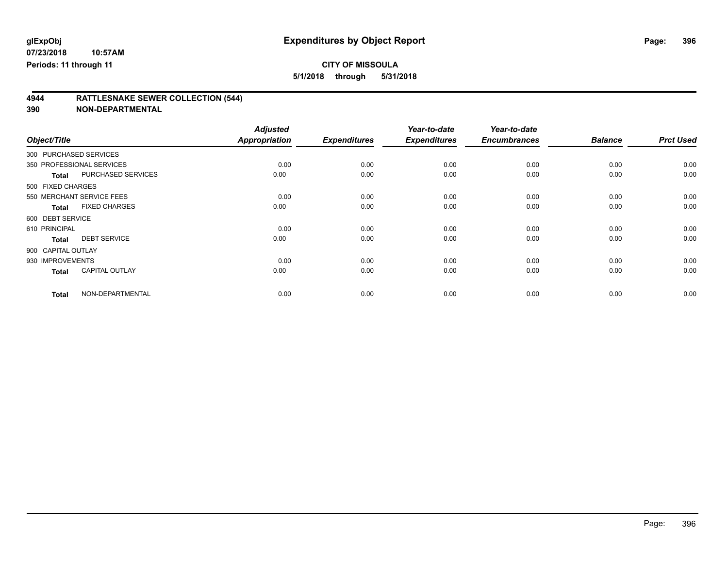## **4944 RATTLESNAKE SEWER COLLECTION (544)**

|                        |                           | <b>Adjusted</b>      |                     | Year-to-date        | Year-to-date        |                |                  |
|------------------------|---------------------------|----------------------|---------------------|---------------------|---------------------|----------------|------------------|
| Object/Title           |                           | <b>Appropriation</b> | <b>Expenditures</b> | <b>Expenditures</b> | <b>Encumbrances</b> | <b>Balance</b> | <b>Prct Used</b> |
| 300 PURCHASED SERVICES |                           |                      |                     |                     |                     |                |                  |
|                        | 350 PROFESSIONAL SERVICES | 0.00                 | 0.00                | 0.00                | 0.00                | 0.00           | 0.00             |
| <b>Total</b>           | PURCHASED SERVICES        | 0.00                 | 0.00                | 0.00                | 0.00                | 0.00           | 0.00             |
| 500 FIXED CHARGES      |                           |                      |                     |                     |                     |                |                  |
|                        | 550 MERCHANT SERVICE FEES | 0.00                 | 0.00                | 0.00                | 0.00                | 0.00           | 0.00             |
| <b>Total</b>           | <b>FIXED CHARGES</b>      | 0.00                 | 0.00                | 0.00                | 0.00                | 0.00           | 0.00             |
| 600 DEBT SERVICE       |                           |                      |                     |                     |                     |                |                  |
| 610 PRINCIPAL          |                           | 0.00                 | 0.00                | 0.00                | 0.00                | 0.00           | 0.00             |
| <b>Total</b>           | <b>DEBT SERVICE</b>       | 0.00                 | 0.00                | 0.00                | 0.00                | 0.00           | 0.00             |
| 900 CAPITAL OUTLAY     |                           |                      |                     |                     |                     |                |                  |
| 930 IMPROVEMENTS       |                           | 0.00                 | 0.00                | 0.00                | 0.00                | 0.00           | 0.00             |
| <b>Total</b>           | <b>CAPITAL OUTLAY</b>     | 0.00                 | 0.00                | 0.00                | 0.00                | 0.00           | 0.00             |
| <b>Total</b>           | NON-DEPARTMENTAL          | 0.00                 | 0.00                | 0.00                | 0.00                | 0.00           | 0.00             |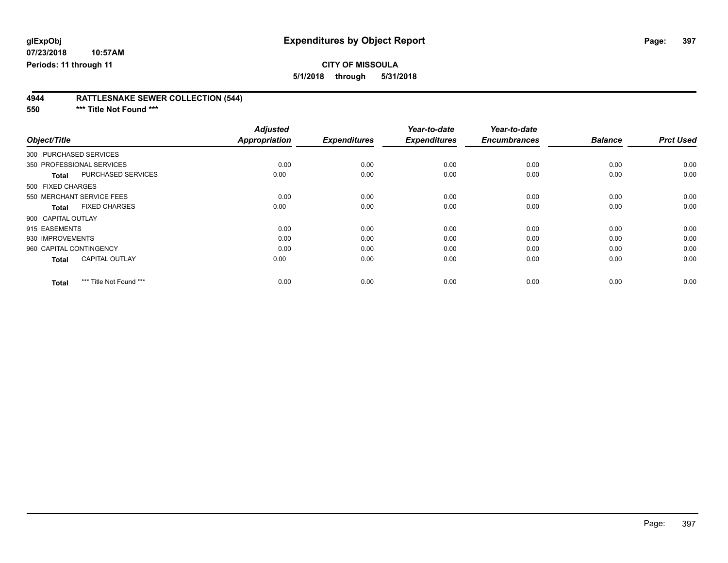# **CITY OF MISSOULA**

**5/1/2018 through 5/31/2018**

#### **4944 RATTLESNAKE SEWER COLLECTION (544)**

| Object/Title                              | <b>Adjusted</b><br><b>Appropriation</b> | <b>Expenditures</b> | Year-to-date<br><b>Expenditures</b> | Year-to-date<br><b>Encumbrances</b> | <b>Balance</b> | <b>Prct Used</b> |
|-------------------------------------------|-----------------------------------------|---------------------|-------------------------------------|-------------------------------------|----------------|------------------|
| 300 PURCHASED SERVICES                    |                                         |                     |                                     |                                     |                |                  |
| 350 PROFESSIONAL SERVICES                 | 0.00                                    | 0.00                | 0.00                                | 0.00                                | 0.00           | 0.00             |
| <b>PURCHASED SERVICES</b><br><b>Total</b> | 0.00                                    | 0.00                | 0.00                                | 0.00                                | 0.00           | 0.00             |
| 500 FIXED CHARGES                         |                                         |                     |                                     |                                     |                |                  |
| 550 MERCHANT SERVICE FEES                 | 0.00                                    | 0.00                | 0.00                                | 0.00                                | 0.00           | 0.00             |
| <b>FIXED CHARGES</b><br><b>Total</b>      | 0.00                                    | 0.00                | 0.00                                | 0.00                                | 0.00           | 0.00             |
| 900 CAPITAL OUTLAY                        |                                         |                     |                                     |                                     |                |                  |
| 915 EASEMENTS                             | 0.00                                    | 0.00                | 0.00                                | 0.00                                | 0.00           | 0.00             |
| 930 IMPROVEMENTS                          | 0.00                                    | 0.00                | 0.00                                | 0.00                                | 0.00           | 0.00             |
| 960 CAPITAL CONTINGENCY                   | 0.00                                    | 0.00                | 0.00                                | 0.00                                | 0.00           | 0.00             |
| <b>CAPITAL OUTLAY</b><br><b>Total</b>     | 0.00                                    | 0.00                | 0.00                                | 0.00                                | 0.00           | 0.00             |
| *** Title Not Found ***<br><b>Total</b>   | 0.00                                    | 0.00                | 0.00                                | 0.00                                | 0.00           | 0.00             |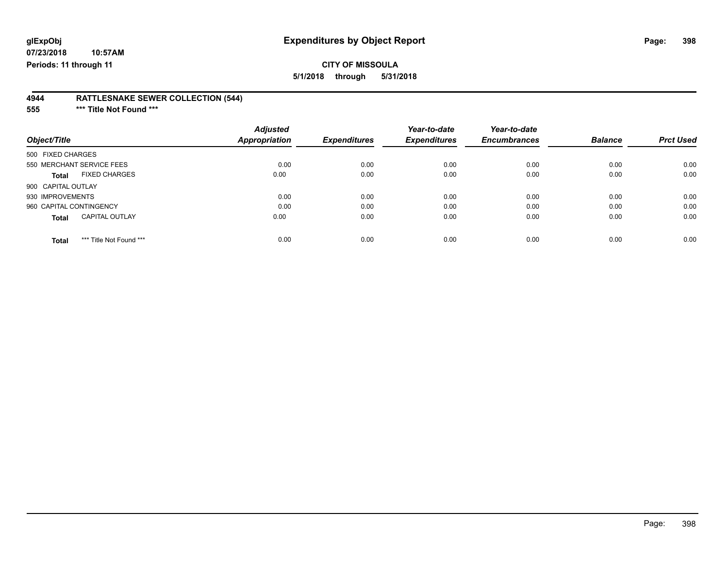## **CITY OF MISSOULA 5/1/2018 through 5/31/2018**

#### **4944 RATTLESNAKE SEWER COLLECTION (544)**

| Object/Title                            | <b>Adjusted</b><br>Appropriation | <b>Expenditures</b> | Year-to-date<br><b>Expenditures</b> | Year-to-date<br><b>Encumbrances</b> | <b>Balance</b> | <b>Prct Used</b> |
|-----------------------------------------|----------------------------------|---------------------|-------------------------------------|-------------------------------------|----------------|------------------|
| 500 FIXED CHARGES                       |                                  |                     |                                     |                                     |                |                  |
| 550 MERCHANT SERVICE FEES               | 0.00                             | 0.00                | 0.00                                | 0.00                                | 0.00           | 0.00             |
| <b>FIXED CHARGES</b><br><b>Total</b>    | 0.00                             | 0.00                | 0.00                                | 0.00                                | 0.00           | 0.00             |
| 900 CAPITAL OUTLAY                      |                                  |                     |                                     |                                     |                |                  |
| 930 IMPROVEMENTS                        | 0.00                             | 0.00                | 0.00                                | 0.00                                | 0.00           | 0.00             |
| 960 CAPITAL CONTINGENCY                 | 0.00                             | 0.00                | 0.00                                | 0.00                                | 0.00           | 0.00             |
| <b>CAPITAL OUTLAY</b><br><b>Total</b>   | 0.00                             | 0.00                | 0.00                                | 0.00                                | 0.00           | 0.00             |
| *** Title Not Found ***<br><b>Total</b> | 0.00                             | 0.00                | 0.00                                | 0.00                                | 0.00           | 0.00             |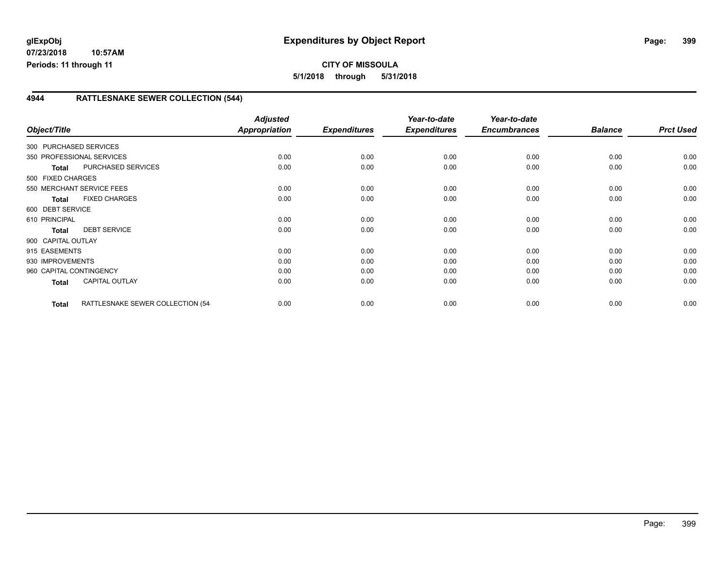**CITY OF MISSOULA 5/1/2018 through 5/31/2018**

## **4944 RATTLESNAKE SEWER COLLECTION (544)**

|                    |                                   | <b>Adjusted</b>      |                     | Year-to-date        | Year-to-date        |                |                  |
|--------------------|-----------------------------------|----------------------|---------------------|---------------------|---------------------|----------------|------------------|
| Object/Title       |                                   | <b>Appropriation</b> | <b>Expenditures</b> | <b>Expenditures</b> | <b>Encumbrances</b> | <b>Balance</b> | <b>Prct Used</b> |
|                    | 300 PURCHASED SERVICES            |                      |                     |                     |                     |                |                  |
|                    | 350 PROFESSIONAL SERVICES         | 0.00                 | 0.00                | 0.00                | 0.00                | 0.00           | 0.00             |
| Total              | PURCHASED SERVICES                | 0.00                 | 0.00                | 0.00                | 0.00                | 0.00           | 0.00             |
| 500 FIXED CHARGES  |                                   |                      |                     |                     |                     |                |                  |
|                    | 550 MERCHANT SERVICE FEES         | 0.00                 | 0.00                | 0.00                | 0.00                | 0.00           | 0.00             |
| <b>Total</b>       | <b>FIXED CHARGES</b>              | 0.00                 | 0.00                | 0.00                | 0.00                | 0.00           | 0.00             |
| 600 DEBT SERVICE   |                                   |                      |                     |                     |                     |                |                  |
| 610 PRINCIPAL      |                                   | 0.00                 | 0.00                | 0.00                | 0.00                | 0.00           | 0.00             |
| Total              | <b>DEBT SERVICE</b>               | 0.00                 | 0.00                | 0.00                | 0.00                | 0.00           | 0.00             |
| 900 CAPITAL OUTLAY |                                   |                      |                     |                     |                     |                |                  |
| 915 EASEMENTS      |                                   | 0.00                 | 0.00                | 0.00                | 0.00                | 0.00           | 0.00             |
| 930 IMPROVEMENTS   |                                   | 0.00                 | 0.00                | 0.00                | 0.00                | 0.00           | 0.00             |
|                    | 960 CAPITAL CONTINGENCY           | 0.00                 | 0.00                | 0.00                | 0.00                | 0.00           | 0.00             |
| Total              | <b>CAPITAL OUTLAY</b>             | 0.00                 | 0.00                | 0.00                | 0.00                | 0.00           | 0.00             |
| <b>Total</b>       | RATTLESNAKE SEWER COLLECTION (54- | 0.00                 | 0.00                | 0.00                | 0.00                | 0.00           | 0.00             |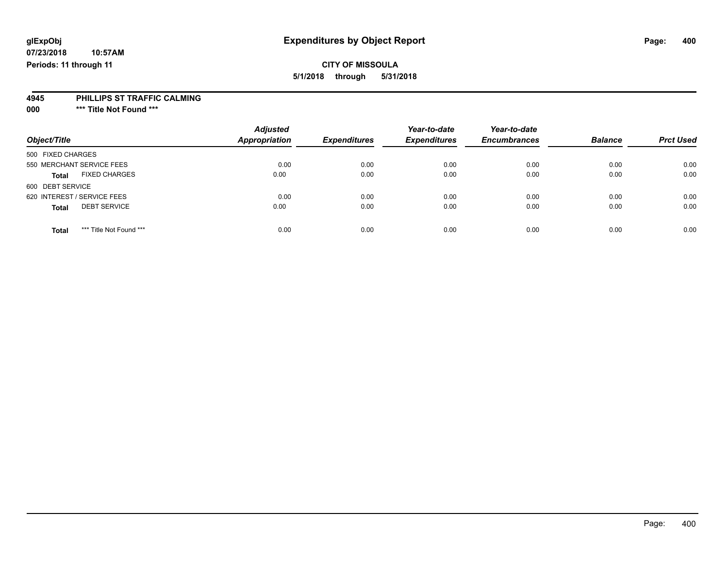## **CITY OF MISSOULA 5/1/2018 through 5/31/2018**

### **4945 PHILLIPS ST TRAFFIC CALMING**

| Object/Title                            | <b>Adjusted</b><br><b>Appropriation</b> | <b>Expenditures</b> | Year-to-date<br><b>Expenditures</b> | Year-to-date<br><b>Encumbrances</b> | <b>Balance</b> | <b>Prct Used</b> |
|-----------------------------------------|-----------------------------------------|---------------------|-------------------------------------|-------------------------------------|----------------|------------------|
| 500 FIXED CHARGES                       |                                         |                     |                                     |                                     |                |                  |
| 550 MERCHANT SERVICE FEES               | 0.00                                    | 0.00                | 0.00                                | 0.00                                | 0.00           | 0.00             |
| <b>FIXED CHARGES</b><br><b>Total</b>    | 0.00                                    | 0.00                | 0.00                                | 0.00                                | 0.00           | 0.00             |
| 600 DEBT SERVICE                        |                                         |                     |                                     |                                     |                |                  |
| 620 INTEREST / SERVICE FEES             | 0.00                                    | 0.00                | 0.00                                | 0.00                                | 0.00           | 0.00             |
| <b>DEBT SERVICE</b><br><b>Total</b>     | 0.00                                    | 0.00                | 0.00                                | 0.00                                | 0.00           | 0.00             |
| *** Title Not Found ***<br><b>Total</b> | 0.00                                    | 0.00                | 0.00                                | 0.00                                | 0.00           | 0.00             |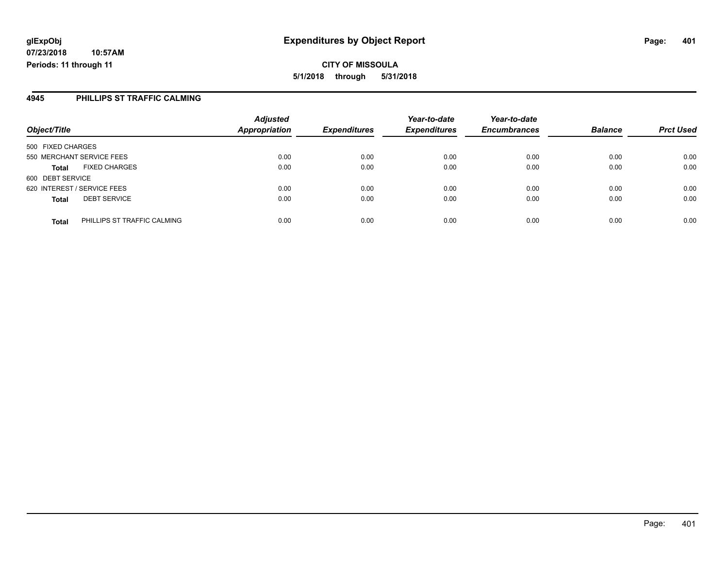**CITY OF MISSOULA 5/1/2018 through 5/31/2018**

## **4945 PHILLIPS ST TRAFFIC CALMING**

| Object/Title                                | <b>Adjusted</b><br><b>Appropriation</b> | <b>Expenditures</b> | Year-to-date<br><b>Expenditures</b> | Year-to-date<br><b>Encumbrances</b> | <b>Balance</b> | <b>Prct Used</b> |
|---------------------------------------------|-----------------------------------------|---------------------|-------------------------------------|-------------------------------------|----------------|------------------|
|                                             |                                         |                     |                                     |                                     |                |                  |
| 500 FIXED CHARGES                           |                                         |                     |                                     |                                     |                |                  |
| 550 MERCHANT SERVICE FEES                   | 0.00                                    | 0.00                | 0.00                                | 0.00                                | 0.00           | 0.00             |
| <b>FIXED CHARGES</b><br><b>Total</b>        | 0.00                                    | 0.00                | 0.00                                | 0.00                                | 0.00           | 0.00             |
| 600 DEBT SERVICE                            |                                         |                     |                                     |                                     |                |                  |
| 620 INTEREST / SERVICE FEES                 | 0.00                                    | 0.00                | 0.00                                | 0.00                                | 0.00           | 0.00             |
| <b>DEBT SERVICE</b><br><b>Total</b>         | 0.00                                    | 0.00                | 0.00                                | 0.00                                | 0.00           | 0.00             |
|                                             |                                         |                     |                                     |                                     |                |                  |
| PHILLIPS ST TRAFFIC CALMING<br><b>Total</b> | 0.00                                    | 0.00                | 0.00                                | 0.00                                | 0.00           | 0.00             |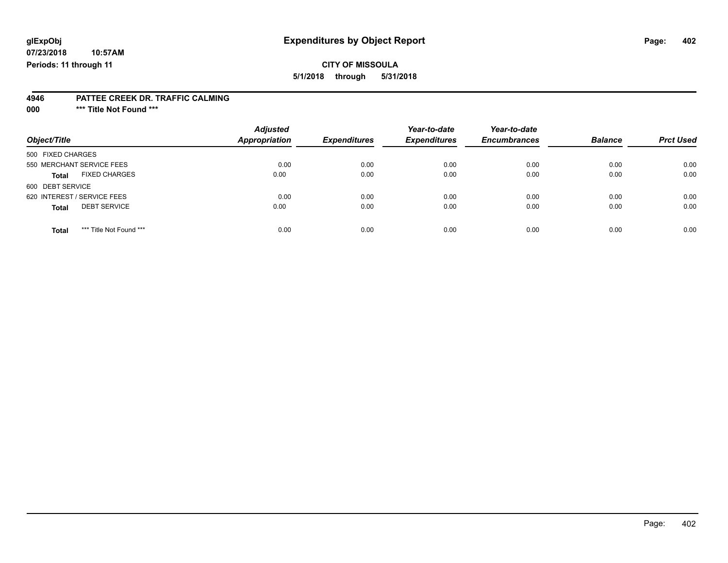## **CITY OF MISSOULA 5/1/2018 through 5/31/2018**

#### **4946 PATTEE CREEK DR. TRAFFIC CALMING**

| Object/Title                            | <b>Adjusted</b><br><b>Appropriation</b> | <b>Expenditures</b> | Year-to-date<br><b>Expenditures</b> | Year-to-date<br><b>Encumbrances</b> | <b>Balance</b> | <b>Prct Used</b> |
|-----------------------------------------|-----------------------------------------|---------------------|-------------------------------------|-------------------------------------|----------------|------------------|
| 500 FIXED CHARGES                       |                                         |                     |                                     |                                     |                |                  |
| 550 MERCHANT SERVICE FEES               | 0.00                                    | 0.00                | 0.00                                | 0.00                                | 0.00           | 0.00             |
| <b>FIXED CHARGES</b><br><b>Total</b>    | 0.00                                    | 0.00                | 0.00                                | 0.00                                | 0.00           | 0.00             |
| 600 DEBT SERVICE                        |                                         |                     |                                     |                                     |                |                  |
| 620 INTEREST / SERVICE FEES             | 0.00                                    | 0.00                | 0.00                                | 0.00                                | 0.00           | 0.00             |
| <b>DEBT SERVICE</b><br><b>Total</b>     | 0.00                                    | 0.00                | 0.00                                | 0.00                                | 0.00           | 0.00             |
| *** Title Not Found ***<br><b>Total</b> | 0.00                                    | 0.00                | 0.00                                | 0.00                                | 0.00           | 0.00             |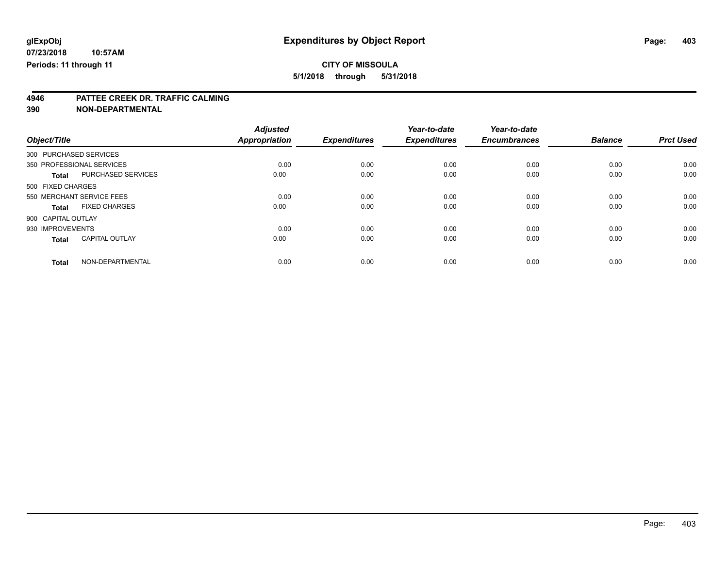# **4946 PATTEE CREEK DR. TRAFFIC CALMING**

**390 NON-DEPARTMENTAL**

|                        |                           | <b>Adjusted</b>      |                     | Year-to-date        | Year-to-date        |                |                  |
|------------------------|---------------------------|----------------------|---------------------|---------------------|---------------------|----------------|------------------|
| Object/Title           |                           | <b>Appropriation</b> | <b>Expenditures</b> | <b>Expenditures</b> | <b>Encumbrances</b> | <b>Balance</b> | <b>Prct Used</b> |
| 300 PURCHASED SERVICES |                           |                      |                     |                     |                     |                |                  |
|                        | 350 PROFESSIONAL SERVICES | 0.00                 | 0.00                | 0.00                | 0.00                | 0.00           | 0.00             |
| <b>Total</b>           | PURCHASED SERVICES        | 0.00                 | 0.00                | 0.00                | 0.00                | 0.00           | 0.00             |
| 500 FIXED CHARGES      |                           |                      |                     |                     |                     |                |                  |
|                        | 550 MERCHANT SERVICE FEES | 0.00                 | 0.00                | 0.00                | 0.00                | 0.00           | 0.00             |
| <b>Total</b>           | <b>FIXED CHARGES</b>      | 0.00                 | 0.00                | 0.00                | 0.00                | 0.00           | 0.00             |
| 900 CAPITAL OUTLAY     |                           |                      |                     |                     |                     |                |                  |
| 930 IMPROVEMENTS       |                           | 0.00                 | 0.00                | 0.00                | 0.00                | 0.00           | 0.00             |
| <b>Total</b>           | <b>CAPITAL OUTLAY</b>     | 0.00                 | 0.00                | 0.00                | 0.00                | 0.00           | 0.00             |
| <b>Total</b>           | NON-DEPARTMENTAL          | 0.00                 | 0.00                | 0.00                | 0.00                | 0.00           | 0.00             |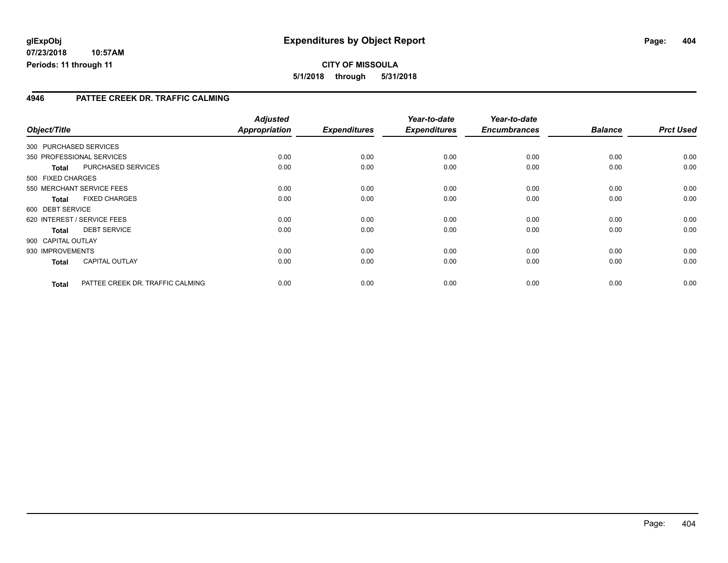# **CITY OF MISSOULA 5/1/2018 through 5/31/2018**

## **4946 PATTEE CREEK DR. TRAFFIC CALMING**

|                    |                                  | <b>Adjusted</b>      |                     | Year-to-date        | Year-to-date        |                |                  |
|--------------------|----------------------------------|----------------------|---------------------|---------------------|---------------------|----------------|------------------|
| Object/Title       |                                  | <b>Appropriation</b> | <b>Expenditures</b> | <b>Expenditures</b> | <b>Encumbrances</b> | <b>Balance</b> | <b>Prct Used</b> |
|                    | 300 PURCHASED SERVICES           |                      |                     |                     |                     |                |                  |
|                    | 350 PROFESSIONAL SERVICES        | 0.00                 | 0.00                | 0.00                | 0.00                | 0.00           | 0.00             |
| <b>Total</b>       | <b>PURCHASED SERVICES</b>        | 0.00                 | 0.00                | 0.00                | 0.00                | 0.00           | 0.00             |
| 500 FIXED CHARGES  |                                  |                      |                     |                     |                     |                |                  |
|                    | 550 MERCHANT SERVICE FEES        | 0.00                 | 0.00                | 0.00                | 0.00                | 0.00           | 0.00             |
| <b>Total</b>       | <b>FIXED CHARGES</b>             | 0.00                 | 0.00                | 0.00                | 0.00                | 0.00           | 0.00             |
| 600 DEBT SERVICE   |                                  |                      |                     |                     |                     |                |                  |
|                    | 620 INTEREST / SERVICE FEES      | 0.00                 | 0.00                | 0.00                | 0.00                | 0.00           | 0.00             |
| <b>Total</b>       | <b>DEBT SERVICE</b>              | 0.00                 | 0.00                | 0.00                | 0.00                | 0.00           | 0.00             |
| 900 CAPITAL OUTLAY |                                  |                      |                     |                     |                     |                |                  |
| 930 IMPROVEMENTS   |                                  | 0.00                 | 0.00                | 0.00                | 0.00                | 0.00           | 0.00             |
| <b>Total</b>       | <b>CAPITAL OUTLAY</b>            | 0.00                 | 0.00                | 0.00                | 0.00                | 0.00           | 0.00             |
| <b>Total</b>       | PATTEE CREEK DR. TRAFFIC CALMING | 0.00                 | 0.00                | 0.00                | 0.00                | 0.00           | 0.00             |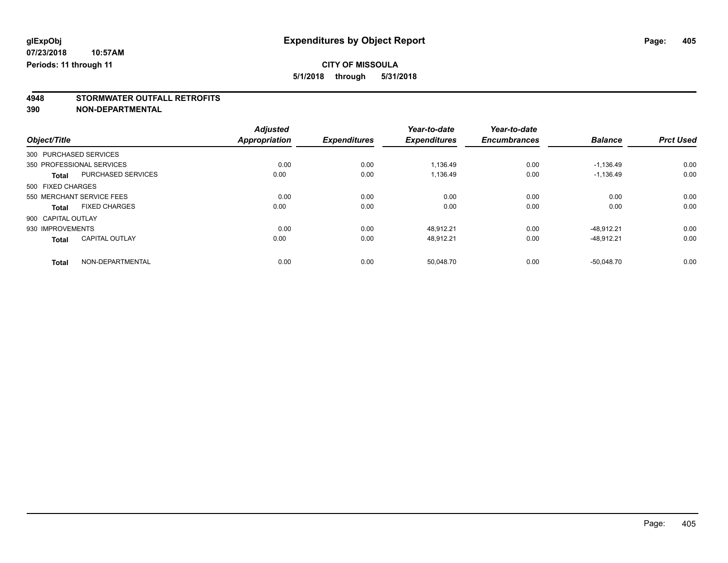# **4948 STORMWATER OUTFALL RETROFITS**

**390 NON-DEPARTMENTAL**

|                                       | <b>Adjusted</b>      |                     | Year-to-date        | Year-to-date        |                |                  |
|---------------------------------------|----------------------|---------------------|---------------------|---------------------|----------------|------------------|
| Object/Title                          | <b>Appropriation</b> | <b>Expenditures</b> | <b>Expenditures</b> | <b>Encumbrances</b> | <b>Balance</b> | <b>Prct Used</b> |
| 300 PURCHASED SERVICES                |                      |                     |                     |                     |                |                  |
| 350 PROFESSIONAL SERVICES             | 0.00                 | 0.00                | 1,136.49            | 0.00                | $-1,136.49$    | 0.00             |
| PURCHASED SERVICES<br><b>Total</b>    | 0.00                 | 0.00                | 1.136.49            | 0.00                | $-1.136.49$    | 0.00             |
| 500 FIXED CHARGES                     |                      |                     |                     |                     |                |                  |
| 550 MERCHANT SERVICE FEES             | 0.00                 | 0.00                | 0.00                | 0.00                | 0.00           | 0.00             |
| <b>FIXED CHARGES</b><br>Total         | 0.00                 | 0.00                | 0.00                | 0.00                | 0.00           | 0.00             |
| 900 CAPITAL OUTLAY                    |                      |                     |                     |                     |                |                  |
| 930 IMPROVEMENTS                      | 0.00                 | 0.00                | 48.912.21           | 0.00                | $-48.912.21$   | 0.00             |
| <b>CAPITAL OUTLAY</b><br><b>Total</b> | 0.00                 | 0.00                | 48,912.21           | 0.00                | $-48,912.21$   | 0.00             |
| NON-DEPARTMENTAL<br><b>Total</b>      | 0.00                 | 0.00                | 50.048.70           | 0.00                | $-50.048.70$   | 0.00             |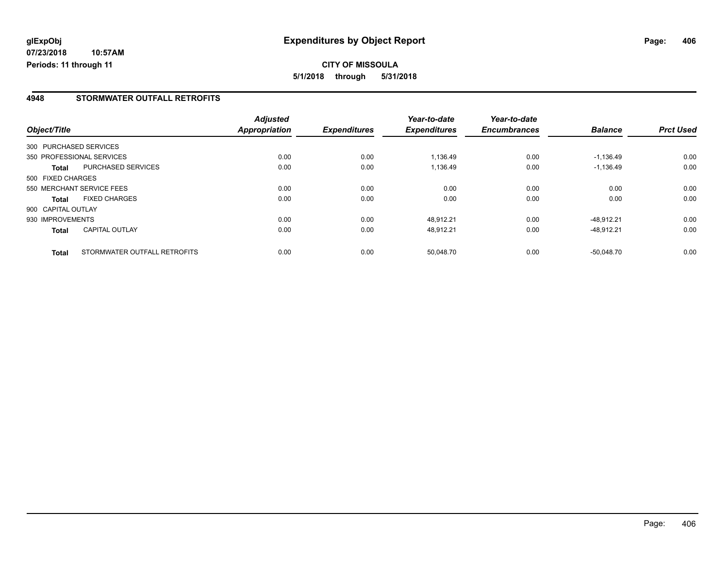# **CITY OF MISSOULA 5/1/2018 through 5/31/2018**

## **4948 STORMWATER OUTFALL RETROFITS**

|                    |                              | <b>Adjusted</b> |                     | Year-to-date        | Year-to-date        |                |                  |
|--------------------|------------------------------|-----------------|---------------------|---------------------|---------------------|----------------|------------------|
| Object/Title       |                              | Appropriation   | <b>Expenditures</b> | <b>Expenditures</b> | <b>Encumbrances</b> | <b>Balance</b> | <b>Prct Used</b> |
|                    | 300 PURCHASED SERVICES       |                 |                     |                     |                     |                |                  |
|                    | 350 PROFESSIONAL SERVICES    | 0.00            | 0.00                | 1,136.49            | 0.00                | $-1,136.49$    | 0.00             |
| Total              | PURCHASED SERVICES           | 0.00            | 0.00                | 1,136.49            | 0.00                | $-1,136.49$    | 0.00             |
| 500 FIXED CHARGES  |                              |                 |                     |                     |                     |                |                  |
|                    | 550 MERCHANT SERVICE FEES    | 0.00            | 0.00                | 0.00                | 0.00                | 0.00           | 0.00             |
| <b>Total</b>       | <b>FIXED CHARGES</b>         | 0.00            | 0.00                | 0.00                | 0.00                | 0.00           | 0.00             |
| 900 CAPITAL OUTLAY |                              |                 |                     |                     |                     |                |                  |
| 930 IMPROVEMENTS   |                              | 0.00            | 0.00                | 48,912.21           | 0.00                | $-48.912.21$   | 0.00             |
| <b>Total</b>       | <b>CAPITAL OUTLAY</b>        | 0.00            | 0.00                | 48,912.21           | 0.00                | $-48,912.21$   | 0.00             |
| <b>Total</b>       | STORMWATER OUTFALL RETROFITS | 0.00            | 0.00                | 50.048.70           | 0.00                | $-50.048.70$   | 0.00             |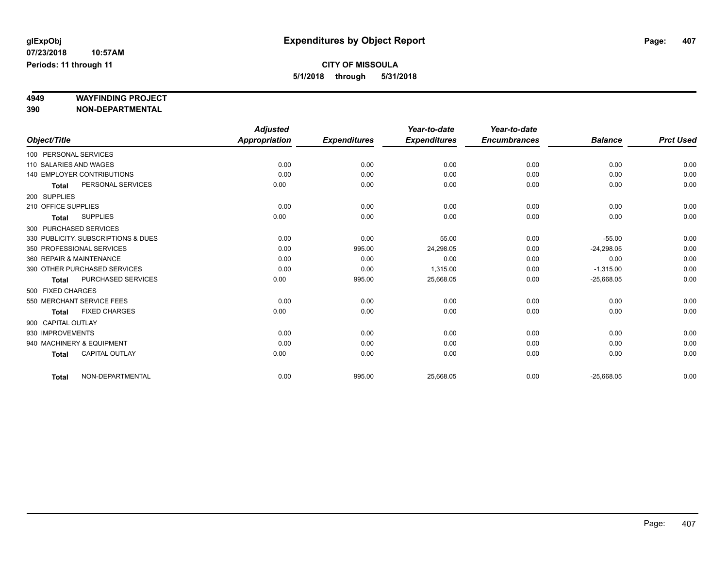# **4949 WAYFINDING PROJECT**

**390 NON-DEPARTMENTAL**

|                                       | <b>Adjusted</b>      |                     | Year-to-date        | Year-to-date        |                |                  |
|---------------------------------------|----------------------|---------------------|---------------------|---------------------|----------------|------------------|
| Object/Title                          | <b>Appropriation</b> | <b>Expenditures</b> | <b>Expenditures</b> | <b>Encumbrances</b> | <b>Balance</b> | <b>Prct Used</b> |
| 100 PERSONAL SERVICES                 |                      |                     |                     |                     |                |                  |
| 110 SALARIES AND WAGES                | 0.00                 | 0.00                | 0.00                | 0.00                | 0.00           | 0.00             |
| <b>140 EMPLOYER CONTRIBUTIONS</b>     | 0.00                 | 0.00                | 0.00                | 0.00                | 0.00           | 0.00             |
| PERSONAL SERVICES<br><b>Total</b>     | 0.00                 | 0.00                | 0.00                | 0.00                | 0.00           | 0.00             |
| 200 SUPPLIES                          |                      |                     |                     |                     |                |                  |
| 210 OFFICE SUPPLIES                   | 0.00                 | 0.00                | 0.00                | 0.00                | 0.00           | 0.00             |
| <b>SUPPLIES</b><br><b>Total</b>       | 0.00                 | 0.00                | 0.00                | 0.00                | 0.00           | 0.00             |
| 300 PURCHASED SERVICES                |                      |                     |                     |                     |                |                  |
| 330 PUBLICITY, SUBSCRIPTIONS & DUES   | 0.00                 | 0.00                | 55.00               | 0.00                | $-55.00$       | 0.00             |
| 350 PROFESSIONAL SERVICES             | 0.00                 | 995.00              | 24,298.05           | 0.00                | $-24,298.05$   | 0.00             |
| 360 REPAIR & MAINTENANCE              | 0.00                 | 0.00                | 0.00                | 0.00                | 0.00           | 0.00             |
| 390 OTHER PURCHASED SERVICES          | 0.00                 | 0.00                | 1,315.00            | 0.00                | $-1,315.00$    | 0.00             |
| PURCHASED SERVICES<br><b>Total</b>    | 0.00                 | 995.00              | 25,668.05           | 0.00                | $-25,668.05$   | 0.00             |
| 500 FIXED CHARGES                     |                      |                     |                     |                     |                |                  |
| 550 MERCHANT SERVICE FEES             | 0.00                 | 0.00                | 0.00                | 0.00                | 0.00           | 0.00             |
| <b>FIXED CHARGES</b><br><b>Total</b>  | 0.00                 | 0.00                | 0.00                | 0.00                | 0.00           | 0.00             |
| 900 CAPITAL OUTLAY                    |                      |                     |                     |                     |                |                  |
| 930 IMPROVEMENTS                      | 0.00                 | 0.00                | 0.00                | 0.00                | 0.00           | 0.00             |
| 940 MACHINERY & EQUIPMENT             | 0.00                 | 0.00                | 0.00                | 0.00                | 0.00           | 0.00             |
| <b>CAPITAL OUTLAY</b><br><b>Total</b> | 0.00                 | 0.00                | 0.00                | 0.00                | 0.00           | 0.00             |
| NON-DEPARTMENTAL<br><b>Total</b>      | 0.00                 | 995.00              | 25,668.05           | 0.00                | $-25,668.05$   | 0.00             |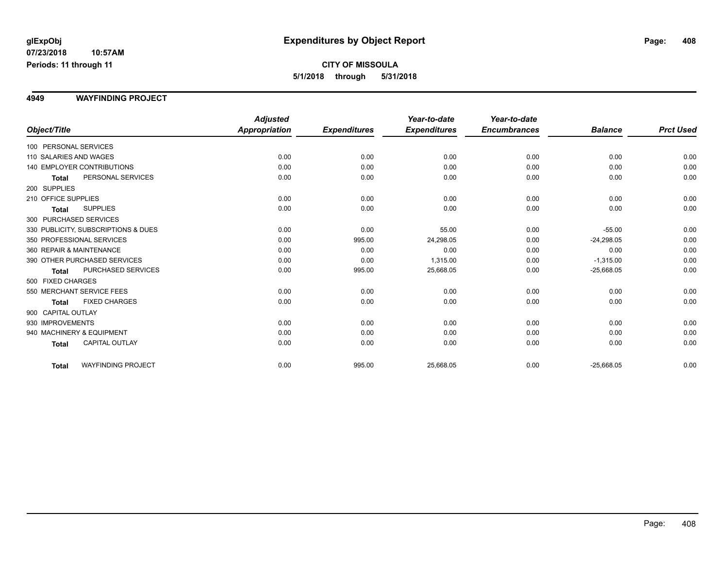### **4949 WAYFINDING PROJECT**

|                                     |                           | <b>Adjusted</b>      |                     | Year-to-date        | Year-to-date        |                |                  |
|-------------------------------------|---------------------------|----------------------|---------------------|---------------------|---------------------|----------------|------------------|
| Object/Title                        |                           | <b>Appropriation</b> | <b>Expenditures</b> | <b>Expenditures</b> | <b>Encumbrances</b> | <b>Balance</b> | <b>Prct Used</b> |
| 100 PERSONAL SERVICES               |                           |                      |                     |                     |                     |                |                  |
| 110 SALARIES AND WAGES              |                           | 0.00                 | 0.00                | 0.00                | 0.00                | 0.00           | 0.00             |
| <b>140 EMPLOYER CONTRIBUTIONS</b>   |                           | 0.00                 | 0.00                | 0.00                | 0.00                | 0.00           | 0.00             |
| <b>Total</b>                        | PERSONAL SERVICES         | 0.00                 | 0.00                | 0.00                | 0.00                | 0.00           | 0.00             |
| 200 SUPPLIES                        |                           |                      |                     |                     |                     |                |                  |
| 210 OFFICE SUPPLIES                 |                           | 0.00                 | 0.00                | 0.00                | 0.00                | 0.00           | 0.00             |
| <b>SUPPLIES</b><br><b>Total</b>     |                           | 0.00                 | 0.00                | 0.00                | 0.00                | 0.00           | 0.00             |
| 300 PURCHASED SERVICES              |                           |                      |                     |                     |                     |                |                  |
| 330 PUBLICITY, SUBSCRIPTIONS & DUES |                           | 0.00                 | 0.00                | 55.00               | 0.00                | $-55.00$       | 0.00             |
| 350 PROFESSIONAL SERVICES           |                           | 0.00                 | 995.00              | 24,298.05           | 0.00                | $-24,298.05$   | 0.00             |
| 360 REPAIR & MAINTENANCE            |                           | 0.00                 | 0.00                | 0.00                | 0.00                | 0.00           | 0.00             |
| 390 OTHER PURCHASED SERVICES        |                           | 0.00                 | 0.00                | 1.315.00            | 0.00                | $-1,315.00$    | 0.00             |
| <b>Total</b>                        | PURCHASED SERVICES        | 0.00                 | 995.00              | 25,668.05           | 0.00                | $-25,668.05$   | 0.00             |
| 500 FIXED CHARGES                   |                           |                      |                     |                     |                     |                |                  |
| 550 MERCHANT SERVICE FEES           |                           | 0.00                 | 0.00                | 0.00                | 0.00                | 0.00           | 0.00             |
| <b>Total</b>                        | <b>FIXED CHARGES</b>      | 0.00                 | 0.00                | 0.00                | 0.00                | 0.00           | 0.00             |
| 900 CAPITAL OUTLAY                  |                           |                      |                     |                     |                     |                |                  |
| 930 IMPROVEMENTS                    |                           | 0.00                 | 0.00                | 0.00                | 0.00                | 0.00           | 0.00             |
| 940 MACHINERY & EQUIPMENT           |                           | 0.00                 | 0.00                | 0.00                | 0.00                | 0.00           | 0.00             |
| <b>Total</b>                        | <b>CAPITAL OUTLAY</b>     | 0.00                 | 0.00                | 0.00                | 0.00                | 0.00           | 0.00             |
| <b>Total</b>                        | <b>WAYFINDING PROJECT</b> | 0.00                 | 995.00              | 25,668.05           | 0.00                | $-25,668.05$   | 0.00             |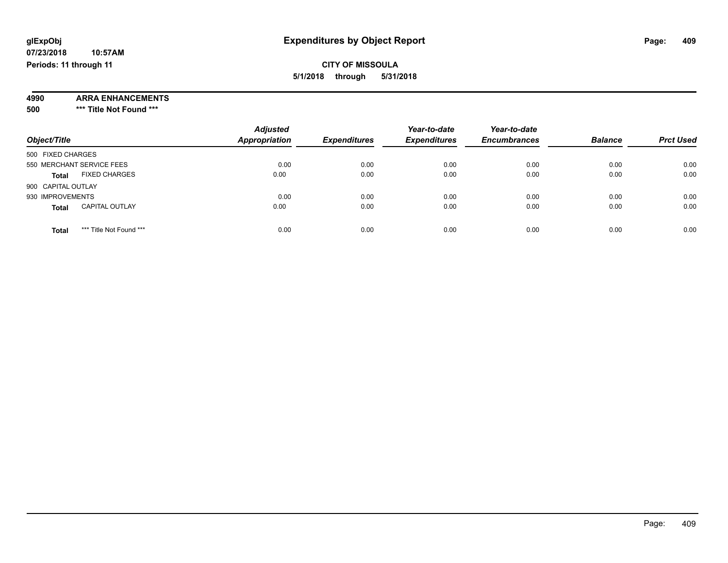## **CITY OF MISSOULA 5/1/2018 through 5/31/2018**

#### **4990 ARRA ENHANCEMENTS**

| Object/Title                            | <b>Adjusted</b><br><b>Appropriation</b> | <b>Expenditures</b> | Year-to-date<br><b>Expenditures</b> | Year-to-date<br><b>Encumbrances</b> | <b>Balance</b> | <b>Prct Used</b> |
|-----------------------------------------|-----------------------------------------|---------------------|-------------------------------------|-------------------------------------|----------------|------------------|
| 500 FIXED CHARGES                       |                                         |                     |                                     |                                     |                |                  |
| 550 MERCHANT SERVICE FEES               | 0.00                                    | 0.00                | 0.00                                | 0.00                                | 0.00           | 0.00             |
| <b>FIXED CHARGES</b><br>Total           | 0.00                                    | 0.00                | 0.00                                | 0.00                                | 0.00           | 0.00             |
| 900 CAPITAL OUTLAY                      |                                         |                     |                                     |                                     |                |                  |
| 930 IMPROVEMENTS                        | 0.00                                    | 0.00                | 0.00                                | 0.00                                | 0.00           | 0.00             |
| <b>CAPITAL OUTLAY</b><br><b>Total</b>   | 0.00                                    | 0.00                | 0.00                                | 0.00                                | 0.00           | 0.00             |
| *** Title Not Found ***<br><b>Total</b> | 0.00                                    | 0.00                | 0.00                                | 0.00                                | 0.00           | 0.00             |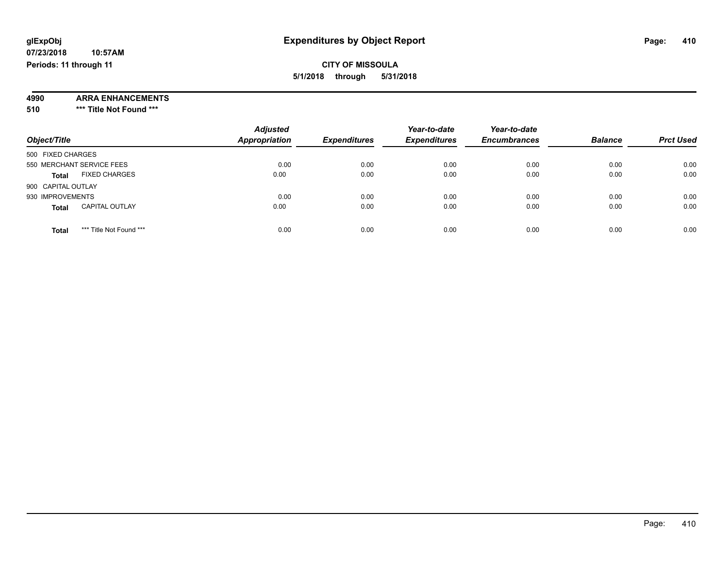# **CITY OF MISSOULA 5/1/2018 through 5/31/2018**

# **4990 ARRA ENHANCEMENTS**

|                                         | <b>Adjusted</b><br><b>Appropriation</b> | <b>Expenditures</b> | Year-to-date<br><b>Expenditures</b> | Year-to-date<br><b>Encumbrances</b> | <b>Balance</b> | <b>Prct Used</b> |
|-----------------------------------------|-----------------------------------------|---------------------|-------------------------------------|-------------------------------------|----------------|------------------|
| Object/Title                            |                                         |                     |                                     |                                     |                |                  |
| 500 FIXED CHARGES                       |                                         |                     |                                     |                                     |                |                  |
| 550 MERCHANT SERVICE FEES               | 0.00                                    | 0.00                | 0.00                                | 0.00                                | 0.00           | 0.00             |
| <b>FIXED CHARGES</b><br><b>Total</b>    | 0.00                                    | 0.00                | 0.00                                | 0.00                                | 0.00           | 0.00             |
| 900 CAPITAL OUTLAY                      |                                         |                     |                                     |                                     |                |                  |
| 930 IMPROVEMENTS                        | 0.00                                    | 0.00                | 0.00                                | 0.00                                | 0.00           | 0.00             |
| <b>CAPITAL OUTLAY</b><br><b>Total</b>   | 0.00                                    | 0.00                | 0.00                                | 0.00                                | 0.00           | 0.00             |
| *** Title Not Found ***<br><b>Total</b> | 0.00                                    | 0.00                | 0.00                                | 0.00                                | 0.00           | 0.00             |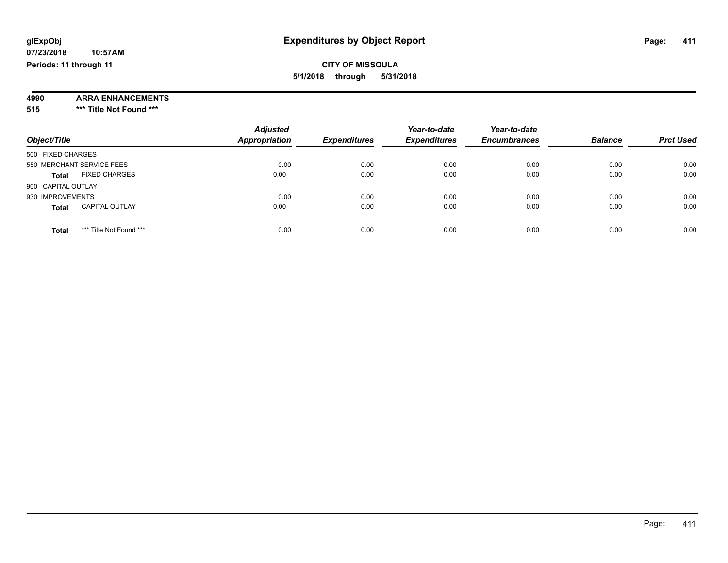# **CITY OF MISSOULA 5/1/2018 through 5/31/2018**

# **4990 ARRA ENHANCEMENTS**

|                                         | <b>Adjusted</b><br><b>Appropriation</b> | <b>Expenditures</b> | Year-to-date<br><b>Expenditures</b> | Year-to-date<br><b>Encumbrances</b> | <b>Balance</b> | <b>Prct Used</b> |
|-----------------------------------------|-----------------------------------------|---------------------|-------------------------------------|-------------------------------------|----------------|------------------|
| Object/Title                            |                                         |                     |                                     |                                     |                |                  |
| 500 FIXED CHARGES                       |                                         |                     |                                     |                                     |                |                  |
| 550 MERCHANT SERVICE FEES               | 0.00                                    | 0.00                | 0.00                                | 0.00                                | 0.00           | 0.00             |
| <b>FIXED CHARGES</b><br><b>Total</b>    | 0.00                                    | 0.00                | 0.00                                | 0.00                                | 0.00           | 0.00             |
| 900 CAPITAL OUTLAY                      |                                         |                     |                                     |                                     |                |                  |
| 930 IMPROVEMENTS                        | 0.00                                    | 0.00                | 0.00                                | 0.00                                | 0.00           | 0.00             |
| <b>CAPITAL OUTLAY</b><br><b>Total</b>   | 0.00                                    | 0.00                | 0.00                                | 0.00                                | 0.00           | 0.00             |
| *** Title Not Found ***<br><b>Total</b> | 0.00                                    | 0.00                | 0.00                                | 0.00                                | 0.00           | 0.00             |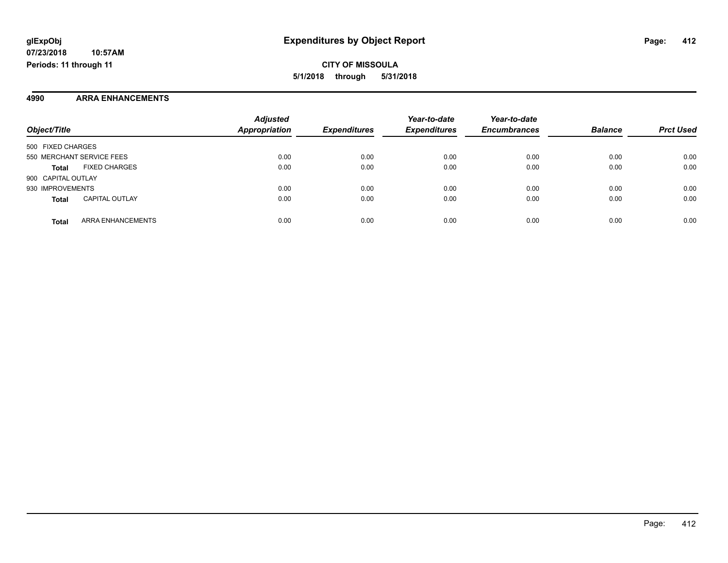### **4990 ARRA ENHANCEMENTS**

| Object/Title       |                           | <b>Adjusted</b><br><b>Appropriation</b> | <b>Expenditures</b> | Year-to-date<br><b>Expenditures</b> | Year-to-date<br><b>Encumbrances</b> | <b>Balance</b> | <b>Prct Used</b> |
|--------------------|---------------------------|-----------------------------------------|---------------------|-------------------------------------|-------------------------------------|----------------|------------------|
|                    |                           |                                         |                     |                                     |                                     |                |                  |
| 500 FIXED CHARGES  |                           |                                         |                     |                                     |                                     |                |                  |
|                    | 550 MERCHANT SERVICE FEES | 0.00                                    | 0.00                | 0.00                                | 0.00                                | 0.00           | 0.00             |
| <b>Total</b>       | <b>FIXED CHARGES</b>      | 0.00                                    | 0.00                | 0.00                                | 0.00                                | 0.00           | 0.00             |
| 900 CAPITAL OUTLAY |                           |                                         |                     |                                     |                                     |                |                  |
| 930 IMPROVEMENTS   |                           | 0.00                                    | 0.00                | 0.00                                | 0.00                                | 0.00           | 0.00             |
| <b>Total</b>       | <b>CAPITAL OUTLAY</b>     | 0.00                                    | 0.00                | 0.00                                | 0.00                                | 0.00           | 0.00             |
| <b>Total</b>       | ARRA ENHANCEMENTS         | 0.00                                    | 0.00                | 0.00                                | 0.00                                | 0.00           | 0.00             |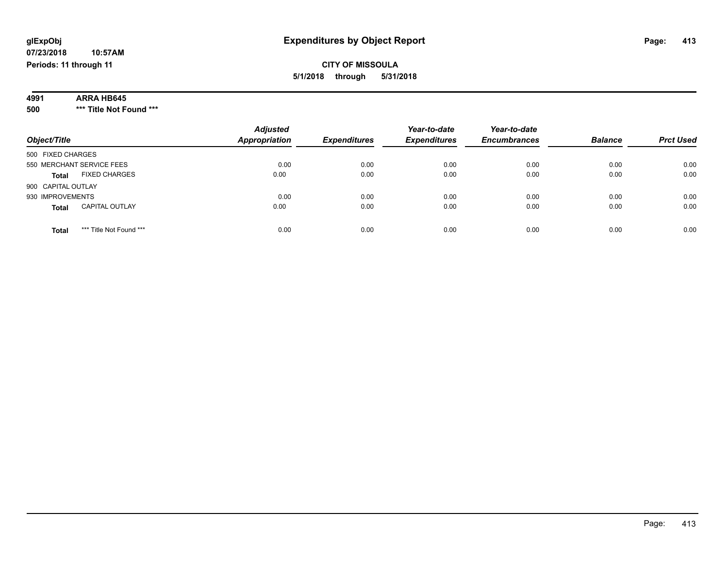# **CITY OF MISSOULA 5/1/2018 through 5/31/2018**

## **4991 ARRA HB645**

| Object/Title                            | <b>Adjusted</b><br><b>Appropriation</b> | <b>Expenditures</b> | Year-to-date<br><b>Expenditures</b> | Year-to-date<br><b>Encumbrances</b> | <b>Balance</b> | <b>Prct Used</b> |
|-----------------------------------------|-----------------------------------------|---------------------|-------------------------------------|-------------------------------------|----------------|------------------|
| 500 FIXED CHARGES                       |                                         |                     |                                     |                                     |                |                  |
| 550 MERCHANT SERVICE FEES               | 0.00                                    | 0.00                | 0.00                                | 0.00                                | 0.00           | 0.00             |
| <b>FIXED CHARGES</b><br><b>Total</b>    | 0.00                                    | 0.00                | 0.00                                | 0.00                                | 0.00           | 0.00             |
| 900 CAPITAL OUTLAY                      |                                         |                     |                                     |                                     |                |                  |
| 930 IMPROVEMENTS                        | 0.00                                    | 0.00                | 0.00                                | 0.00                                | 0.00           | 0.00             |
| <b>CAPITAL OUTLAY</b><br><b>Total</b>   | 0.00                                    | 0.00                | 0.00                                | 0.00                                | 0.00           | 0.00             |
| *** Title Not Found ***<br><b>Total</b> | 0.00                                    | 0.00                | 0.00                                | 0.00                                | 0.00           | 0.00             |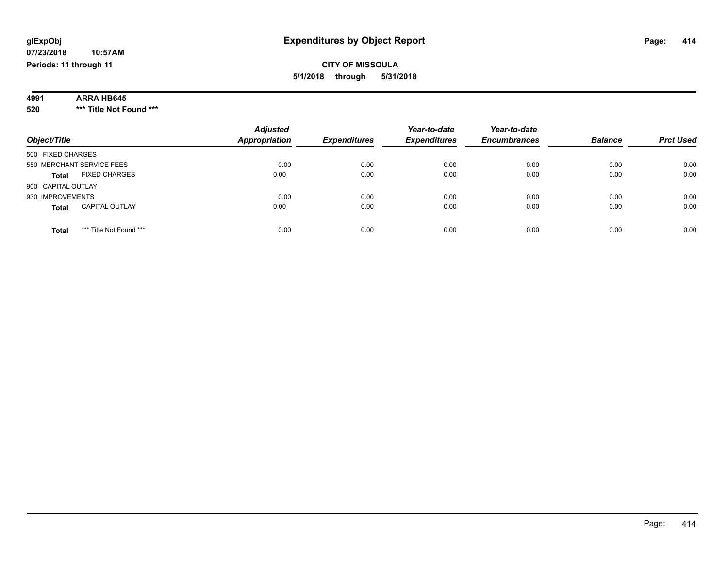# **CITY OF MISSOULA 5/1/2018 through 5/31/2018**

## **4991 ARRA HB645**

| Object/Title                            | <b>Adjusted</b><br><b>Appropriation</b> | <b>Expenditures</b> | Year-to-date<br><b>Expenditures</b> | Year-to-date<br><b>Encumbrances</b> | <b>Balance</b> | <b>Prct Used</b> |
|-----------------------------------------|-----------------------------------------|---------------------|-------------------------------------|-------------------------------------|----------------|------------------|
| 500 FIXED CHARGES                       |                                         |                     |                                     |                                     |                |                  |
| 550 MERCHANT SERVICE FEES               | 0.00                                    | 0.00                | 0.00                                | 0.00                                | 0.00           | 0.00             |
| <b>FIXED CHARGES</b><br><b>Total</b>    | 0.00                                    | 0.00                | 0.00                                | 0.00                                | 0.00           | 0.00             |
| 900 CAPITAL OUTLAY                      |                                         |                     |                                     |                                     |                |                  |
| 930 IMPROVEMENTS                        | 0.00                                    | 0.00                | 0.00                                | 0.00                                | 0.00           | 0.00             |
| <b>CAPITAL OUTLAY</b><br><b>Total</b>   | 0.00                                    | 0.00                | 0.00                                | 0.00                                | 0.00           | 0.00             |
| *** Title Not Found ***<br><b>Total</b> | 0.00                                    | 0.00                | 0.00                                | 0.00                                | 0.00           | 0.00             |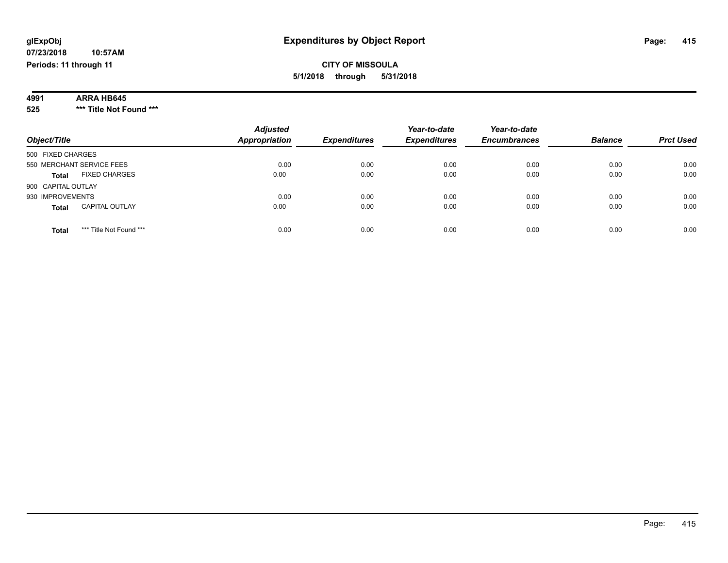# **CITY OF MISSOULA 5/1/2018 through 5/31/2018**

# **4991 ARRA HB645**

| Object/Title                            | <b>Adjusted</b><br><b>Appropriation</b> | <b>Expenditures</b> | Year-to-date<br><b>Expenditures</b> | Year-to-date<br><b>Encumbrances</b> | <b>Balance</b> | <b>Prct Used</b> |
|-----------------------------------------|-----------------------------------------|---------------------|-------------------------------------|-------------------------------------|----------------|------------------|
| 500 FIXED CHARGES                       |                                         |                     |                                     |                                     |                |                  |
| 550 MERCHANT SERVICE FEES               | 0.00                                    | 0.00                | 0.00                                | 0.00                                | 0.00           | 0.00             |
| <b>FIXED CHARGES</b><br><b>Total</b>    | 0.00                                    | 0.00                | 0.00                                | 0.00                                | 0.00           | 0.00             |
| 900 CAPITAL OUTLAY                      |                                         |                     |                                     |                                     |                |                  |
| 930 IMPROVEMENTS                        | 0.00                                    | 0.00                | 0.00                                | 0.00                                | 0.00           | 0.00             |
| <b>CAPITAL OUTLAY</b><br><b>Total</b>   | 0.00                                    | 0.00                | 0.00                                | 0.00                                | 0.00           | 0.00             |
| *** Title Not Found ***<br><b>Total</b> | 0.00                                    | 0.00                | 0.00                                | 0.00                                | 0.00           | 0.00             |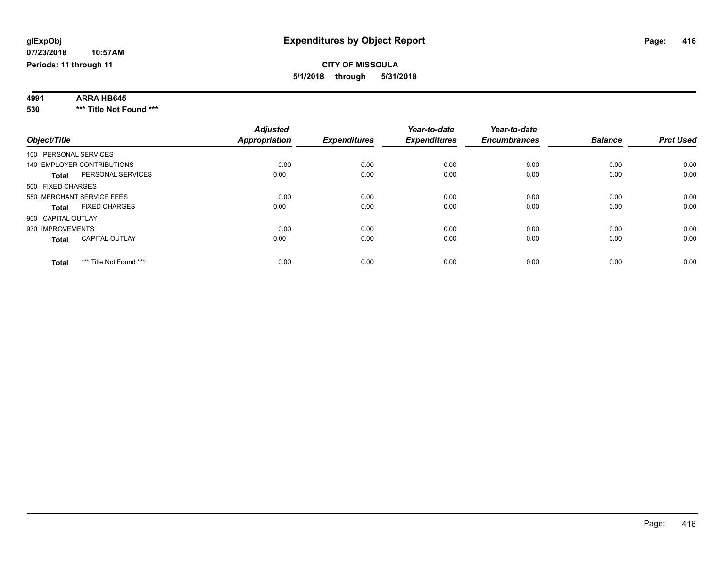# **4991 ARRA HB645**

|                                         | <b>Adjusted</b>      |                     | Year-to-date        | Year-to-date        |                |                  |
|-----------------------------------------|----------------------|---------------------|---------------------|---------------------|----------------|------------------|
| Object/Title                            | <b>Appropriation</b> | <b>Expenditures</b> | <b>Expenditures</b> | <b>Encumbrances</b> | <b>Balance</b> | <b>Prct Used</b> |
| 100 PERSONAL SERVICES                   |                      |                     |                     |                     |                |                  |
| 140 EMPLOYER CONTRIBUTIONS              | 0.00                 | 0.00                | 0.00                | 0.00                | 0.00           | 0.00             |
| PERSONAL SERVICES<br><b>Total</b>       | 0.00                 | 0.00                | 0.00                | 0.00                | 0.00           | 0.00             |
| 500 FIXED CHARGES                       |                      |                     |                     |                     |                |                  |
| 550 MERCHANT SERVICE FEES               | 0.00                 | 0.00                | 0.00                | 0.00                | 0.00           | 0.00             |
| <b>FIXED CHARGES</b><br><b>Total</b>    | 0.00                 | 0.00                | 0.00                | 0.00                | 0.00           | 0.00             |
| 900 CAPITAL OUTLAY                      |                      |                     |                     |                     |                |                  |
| 930 IMPROVEMENTS                        | 0.00                 | 0.00                | 0.00                | 0.00                | 0.00           | 0.00             |
| <b>CAPITAL OUTLAY</b><br><b>Total</b>   | 0.00                 | 0.00                | 0.00                | 0.00                | 0.00           | 0.00             |
| *** Title Not Found ***<br><b>Total</b> | 0.00                 | 0.00                | 0.00                | 0.00                | 0.00           | 0.00             |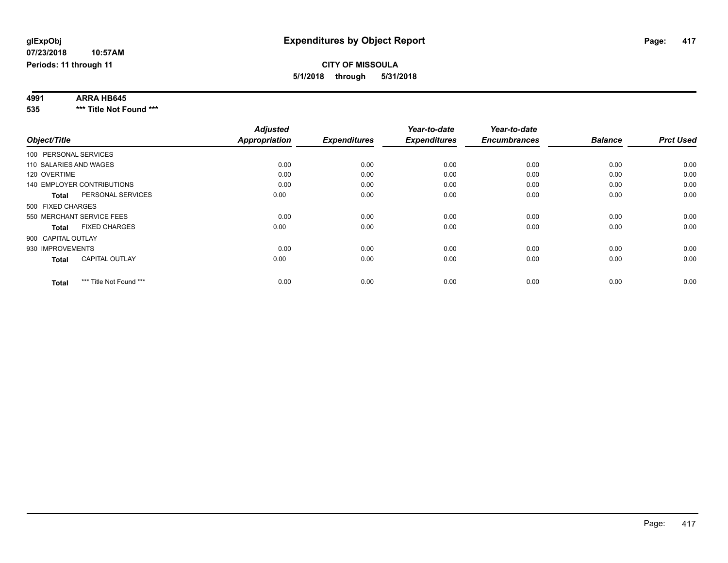# **4991 ARRA HB645**

|                                         | <b>Adjusted</b>      |                     | Year-to-date        | Year-to-date        |                |                  |
|-----------------------------------------|----------------------|---------------------|---------------------|---------------------|----------------|------------------|
| Object/Title                            | <b>Appropriation</b> | <b>Expenditures</b> | <b>Expenditures</b> | <b>Encumbrances</b> | <b>Balance</b> | <b>Prct Used</b> |
| 100 PERSONAL SERVICES                   |                      |                     |                     |                     |                |                  |
| 110 SALARIES AND WAGES                  | 0.00                 | 0.00                | 0.00                | 0.00                | 0.00           | 0.00             |
| 120 OVERTIME                            | 0.00                 | 0.00                | 0.00                | 0.00                | 0.00           | 0.00             |
| 140 EMPLOYER CONTRIBUTIONS              | 0.00                 | 0.00                | 0.00                | 0.00                | 0.00           | 0.00             |
| PERSONAL SERVICES<br><b>Total</b>       | 0.00                 | 0.00                | 0.00                | 0.00                | 0.00           | 0.00             |
| 500 FIXED CHARGES                       |                      |                     |                     |                     |                |                  |
| 550 MERCHANT SERVICE FEES               | 0.00                 | 0.00                | 0.00                | 0.00                | 0.00           | 0.00             |
| <b>FIXED CHARGES</b><br><b>Total</b>    | 0.00                 | 0.00                | 0.00                | 0.00                | 0.00           | 0.00             |
| 900 CAPITAL OUTLAY                      |                      |                     |                     |                     |                |                  |
| 930 IMPROVEMENTS                        | 0.00                 | 0.00                | 0.00                | 0.00                | 0.00           | 0.00             |
| CAPITAL OUTLAY<br><b>Total</b>          | 0.00                 | 0.00                | 0.00                | 0.00                | 0.00           | 0.00             |
| *** Title Not Found ***<br><b>Total</b> | 0.00                 | 0.00                | 0.00                | 0.00                | 0.00           | 0.00             |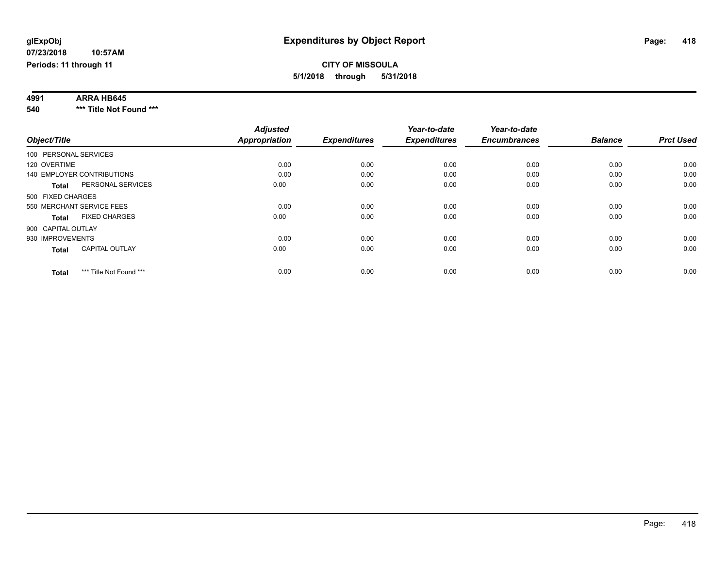# **4991 ARRA HB645**

|                                         | <b>Adjusted</b>      |                     | Year-to-date        | Year-to-date        |                |                  |
|-----------------------------------------|----------------------|---------------------|---------------------|---------------------|----------------|------------------|
| Object/Title                            | <b>Appropriation</b> | <b>Expenditures</b> | <b>Expenditures</b> | <b>Encumbrances</b> | <b>Balance</b> | <b>Prct Used</b> |
| 100 PERSONAL SERVICES                   |                      |                     |                     |                     |                |                  |
| 120 OVERTIME                            | 0.00                 | 0.00                | 0.00                | 0.00                | 0.00           | 0.00             |
| 140 EMPLOYER CONTRIBUTIONS              | 0.00                 | 0.00                | 0.00                | 0.00                | 0.00           | 0.00             |
| PERSONAL SERVICES<br><b>Total</b>       | 0.00                 | 0.00                | 0.00                | 0.00                | 0.00           | 0.00             |
| 500 FIXED CHARGES                       |                      |                     |                     |                     |                |                  |
| 550 MERCHANT SERVICE FEES               | 0.00                 | 0.00                | 0.00                | 0.00                | 0.00           | 0.00             |
| <b>FIXED CHARGES</b><br><b>Total</b>    | 0.00                 | 0.00                | 0.00                | 0.00                | 0.00           | 0.00             |
| 900 CAPITAL OUTLAY                      |                      |                     |                     |                     |                |                  |
| 930 IMPROVEMENTS                        | 0.00                 | 0.00                | 0.00                | 0.00                | 0.00           | 0.00             |
| CAPITAL OUTLAY<br><b>Total</b>          | 0.00                 | 0.00                | 0.00                | 0.00                | 0.00           | 0.00             |
|                                         |                      |                     |                     |                     |                |                  |
| *** Title Not Found ***<br><b>Total</b> | 0.00                 | 0.00                | 0.00                | 0.00                | 0.00           | 0.00             |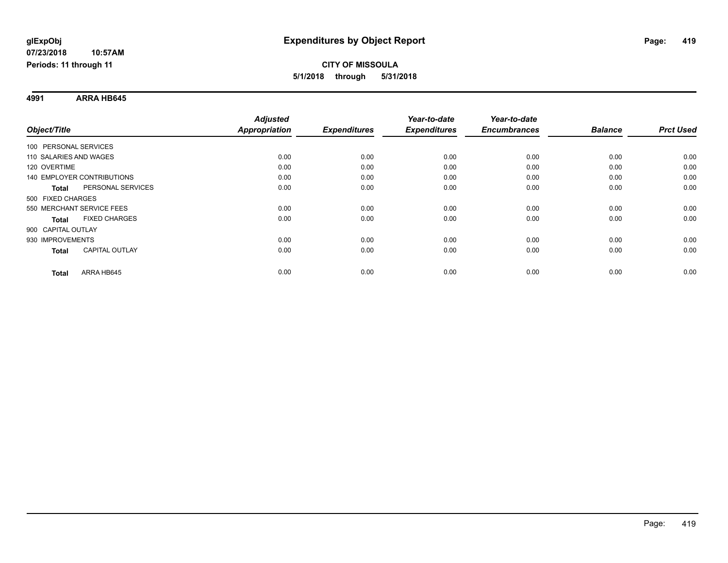**4991 ARRA HB645**

|                                       | <b>Adjusted</b>      |                     | Year-to-date        | Year-to-date        |                |                  |
|---------------------------------------|----------------------|---------------------|---------------------|---------------------|----------------|------------------|
| Object/Title                          | <b>Appropriation</b> | <b>Expenditures</b> | <b>Expenditures</b> | <b>Encumbrances</b> | <b>Balance</b> | <b>Prct Used</b> |
| 100 PERSONAL SERVICES                 |                      |                     |                     |                     |                |                  |
| 110 SALARIES AND WAGES                | 0.00                 | 0.00                | 0.00                | 0.00                | 0.00           | 0.00             |
| 120 OVERTIME                          | 0.00                 | 0.00                | 0.00                | 0.00                | 0.00           | 0.00             |
| <b>140 EMPLOYER CONTRIBUTIONS</b>     | 0.00                 | 0.00                | 0.00                | 0.00                | 0.00           | 0.00             |
| PERSONAL SERVICES<br><b>Total</b>     | 0.00                 | 0.00                | 0.00                | 0.00                | 0.00           | 0.00             |
| 500 FIXED CHARGES                     |                      |                     |                     |                     |                |                  |
| 550 MERCHANT SERVICE FEES             | 0.00                 | 0.00                | 0.00                | 0.00                | 0.00           | 0.00             |
| <b>FIXED CHARGES</b><br><b>Total</b>  | 0.00                 | 0.00                | 0.00                | 0.00                | 0.00           | 0.00             |
| 900 CAPITAL OUTLAY                    |                      |                     |                     |                     |                |                  |
| 930 IMPROVEMENTS                      | 0.00                 | 0.00                | 0.00                | 0.00                | 0.00           | 0.00             |
| <b>CAPITAL OUTLAY</b><br><b>Total</b> | 0.00                 | 0.00                | 0.00                | 0.00                | 0.00           | 0.00             |
| ARRA HB645<br><b>Total</b>            | 0.00                 | 0.00                | 0.00                | 0.00                | 0.00           | 0.00             |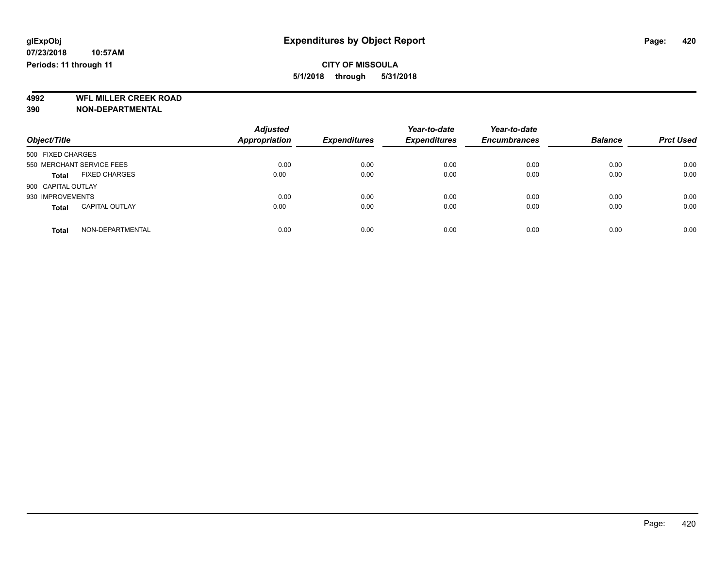**4992 WFL MILLER CREEK ROAD 390 NON-DEPARTMENTAL**

| Object/Title              |                       | <b>Adjusted</b><br><b>Appropriation</b> | <b>Expenditures</b> | Year-to-date<br><b>Expenditures</b> | Year-to-date<br><b>Encumbrances</b> | <b>Balance</b> | <b>Prct Used</b> |
|---------------------------|-----------------------|-----------------------------------------|---------------------|-------------------------------------|-------------------------------------|----------------|------------------|
| 500 FIXED CHARGES         |                       |                                         |                     |                                     |                                     |                |                  |
| 550 MERCHANT SERVICE FEES |                       | 0.00                                    | 0.00                | 0.00                                | 0.00                                | 0.00           | 0.00             |
| Total                     | <b>FIXED CHARGES</b>  | 0.00                                    | 0.00                | 0.00                                | 0.00                                | 0.00           | 0.00             |
| 900 CAPITAL OUTLAY        |                       |                                         |                     |                                     |                                     |                |                  |
| 930 IMPROVEMENTS          |                       | 0.00                                    | 0.00                | 0.00                                | 0.00                                | 0.00           | 0.00             |
| Total                     | <b>CAPITAL OUTLAY</b> | 0.00                                    | 0.00                | 0.00                                | 0.00                                | 0.00           | 0.00             |
| <b>Total</b>              | NON-DEPARTMENTAL      | 0.00                                    | 0.00                | 0.00                                | 0.00                                | 0.00           | 0.00             |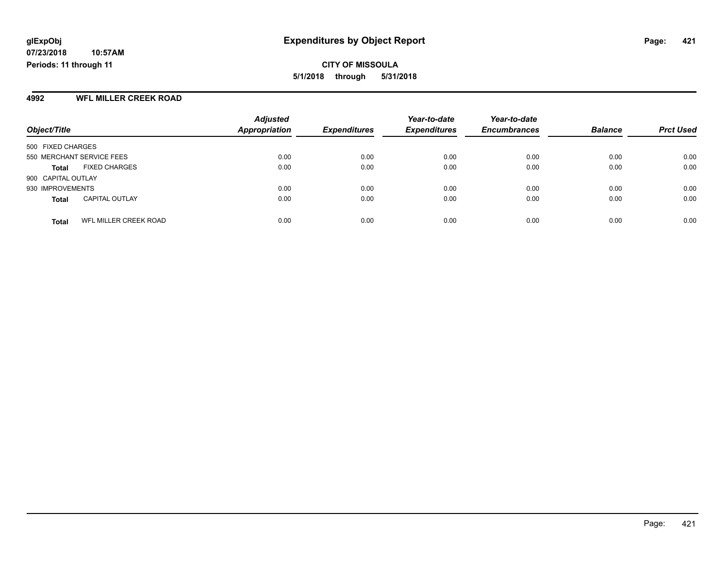## **4992 WFL MILLER CREEK ROAD**

|                           |                       | <b>Adjusted</b>      |                     | Year-to-date        | Year-to-date        |                |                  |
|---------------------------|-----------------------|----------------------|---------------------|---------------------|---------------------|----------------|------------------|
| Object/Title              |                       | <b>Appropriation</b> | <b>Expenditures</b> | <b>Expenditures</b> | <b>Encumbrances</b> | <b>Balance</b> | <b>Prct Used</b> |
| 500 FIXED CHARGES         |                       |                      |                     |                     |                     |                |                  |
| 550 MERCHANT SERVICE FEES |                       | 0.00                 | 0.00                | 0.00                | 0.00                | 0.00           | 0.00             |
| <b>Total</b>              | <b>FIXED CHARGES</b>  | 0.00                 | 0.00                | 0.00                | 0.00                | 0.00           | 0.00             |
| 900 CAPITAL OUTLAY        |                       |                      |                     |                     |                     |                |                  |
| 930 IMPROVEMENTS          |                       | 0.00                 | 0.00                | 0.00                | 0.00                | 0.00           | 0.00             |
| <b>Total</b>              | <b>CAPITAL OUTLAY</b> | 0.00                 | 0.00                | 0.00                | 0.00                | 0.00           | 0.00             |
| <b>Total</b>              | WFL MILLER CREEK ROAD | 0.00                 | 0.00                | 0.00                | 0.00                | 0.00           | 0.00             |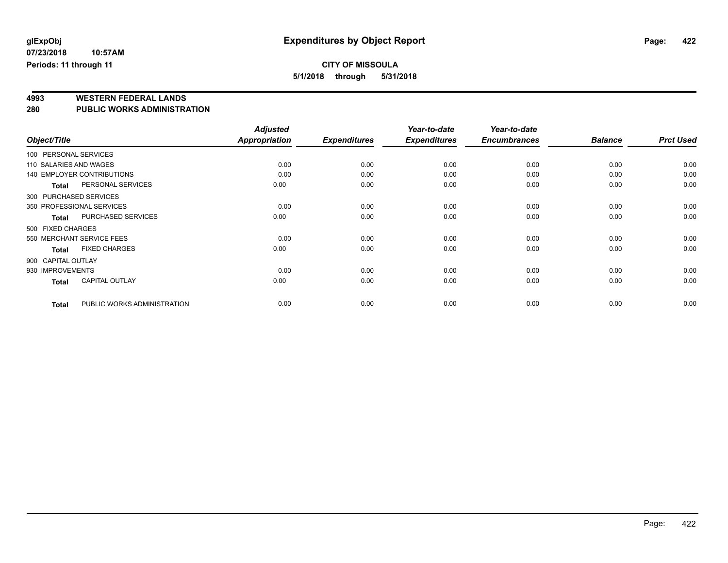# **4993 WESTERN FEDERAL LANDS**

#### **280 PUBLIC WORKS ADMINISTRATION**

| Object/Title                      |                             | <b>Adjusted</b><br><b>Appropriation</b> | <b>Expenditures</b> | Year-to-date<br><b>Expenditures</b> | Year-to-date<br><b>Encumbrances</b> | <b>Balance</b> | <b>Prct Used</b> |
|-----------------------------------|-----------------------------|-----------------------------------------|---------------------|-------------------------------------|-------------------------------------|----------------|------------------|
| 100 PERSONAL SERVICES             |                             |                                         |                     |                                     |                                     |                |                  |
| 110 SALARIES AND WAGES            |                             | 0.00                                    | 0.00                | 0.00                                | 0.00                                | 0.00           | 0.00             |
| <b>140 EMPLOYER CONTRIBUTIONS</b> |                             | 0.00                                    | 0.00                | 0.00                                | 0.00                                | 0.00           | 0.00             |
| <b>Total</b>                      | PERSONAL SERVICES           | 0.00                                    | 0.00                | 0.00                                | 0.00                                | 0.00           | 0.00             |
| 300 PURCHASED SERVICES            |                             |                                         |                     |                                     |                                     |                |                  |
| 350 PROFESSIONAL SERVICES         |                             | 0.00                                    | 0.00                | 0.00                                | 0.00                                | 0.00           | 0.00             |
| <b>Total</b>                      | PURCHASED SERVICES          | 0.00                                    | 0.00                | 0.00                                | 0.00                                | 0.00           | 0.00             |
| 500 FIXED CHARGES                 |                             |                                         |                     |                                     |                                     |                |                  |
| 550 MERCHANT SERVICE FEES         |                             | 0.00                                    | 0.00                | 0.00                                | 0.00                                | 0.00           | 0.00             |
| <b>Total</b>                      | <b>FIXED CHARGES</b>        | 0.00                                    | 0.00                | 0.00                                | 0.00                                | 0.00           | 0.00             |
| 900 CAPITAL OUTLAY                |                             |                                         |                     |                                     |                                     |                |                  |
| 930 IMPROVEMENTS                  |                             | 0.00                                    | 0.00                | 0.00                                | 0.00                                | 0.00           | 0.00             |
| <b>Total</b>                      | <b>CAPITAL OUTLAY</b>       | 0.00                                    | 0.00                | 0.00                                | 0.00                                | 0.00           | 0.00             |
| <b>Total</b>                      | PUBLIC WORKS ADMINISTRATION | 0.00                                    | 0.00                | 0.00                                | 0.00                                | 0.00           | 0.00             |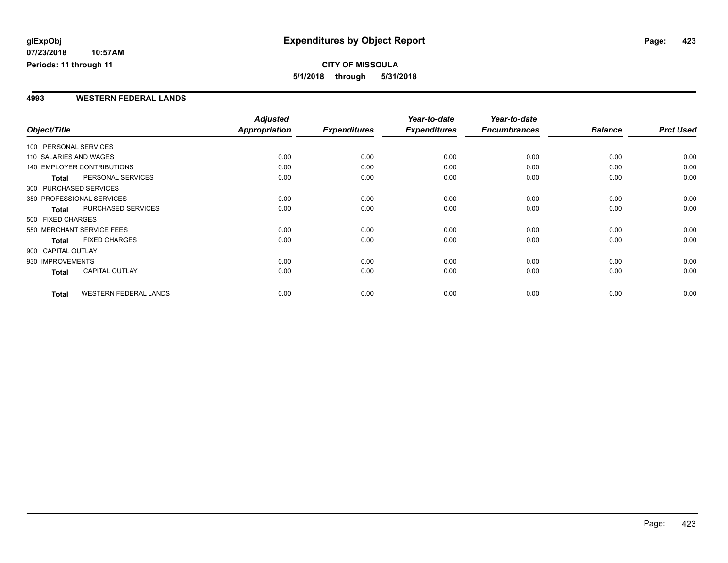## **4993 WESTERN FEDERAL LANDS**

|                        |                                   | <b>Adjusted</b>      |                     | Year-to-date        | Year-to-date        |                |                  |
|------------------------|-----------------------------------|----------------------|---------------------|---------------------|---------------------|----------------|------------------|
| Object/Title           |                                   | <b>Appropriation</b> | <b>Expenditures</b> | <b>Expenditures</b> | <b>Encumbrances</b> | <b>Balance</b> | <b>Prct Used</b> |
| 100 PERSONAL SERVICES  |                                   |                      |                     |                     |                     |                |                  |
| 110 SALARIES AND WAGES |                                   | 0.00                 | 0.00                | 0.00                | 0.00                | 0.00           | 0.00             |
|                        | <b>140 EMPLOYER CONTRIBUTIONS</b> | 0.00                 | 0.00                | 0.00                | 0.00                | 0.00           | 0.00             |
| <b>Total</b>           | PERSONAL SERVICES                 | 0.00                 | 0.00                | 0.00                | 0.00                | 0.00           | 0.00             |
|                        | 300 PURCHASED SERVICES            |                      |                     |                     |                     |                |                  |
|                        | 350 PROFESSIONAL SERVICES         | 0.00                 | 0.00                | 0.00                | 0.00                | 0.00           | 0.00             |
| <b>Total</b>           | PURCHASED SERVICES                | 0.00                 | 0.00                | 0.00                | 0.00                | 0.00           | 0.00             |
| 500 FIXED CHARGES      |                                   |                      |                     |                     |                     |                |                  |
|                        | 550 MERCHANT SERVICE FEES         | 0.00                 | 0.00                | 0.00                | 0.00                | 0.00           | 0.00             |
| <b>Total</b>           | <b>FIXED CHARGES</b>              | 0.00                 | 0.00                | 0.00                | 0.00                | 0.00           | 0.00             |
| 900 CAPITAL OUTLAY     |                                   |                      |                     |                     |                     |                |                  |
| 930 IMPROVEMENTS       |                                   | 0.00                 | 0.00                | 0.00                | 0.00                | 0.00           | 0.00             |
| <b>Total</b>           | <b>CAPITAL OUTLAY</b>             | 0.00                 | 0.00                | 0.00                | 0.00                | 0.00           | 0.00             |
| <b>Total</b>           | <b>WESTERN FEDERAL LANDS</b>      | 0.00                 | 0.00                | 0.00                | 0.00                | 0.00           | 0.00             |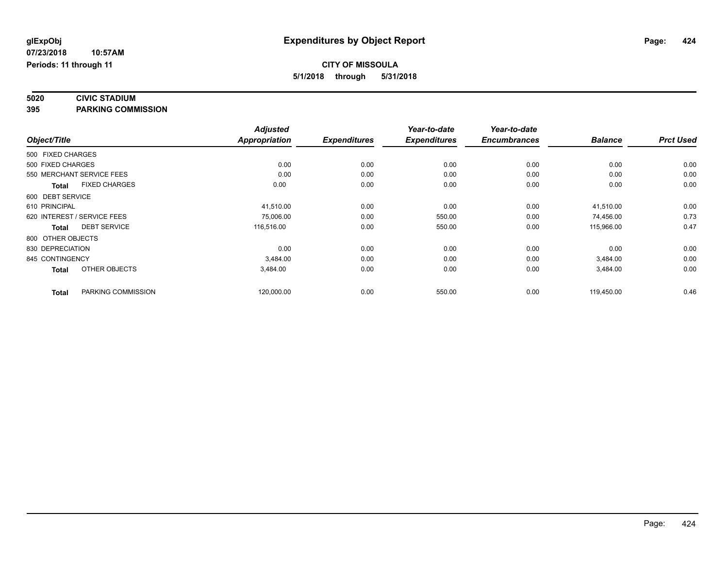# **5020 CIVIC STADIUM**

**395 PARKING COMMISSION**

|                   |                             | <b>Adjusted</b>      |                     | Year-to-date        | Year-to-date        |                |                  |
|-------------------|-----------------------------|----------------------|---------------------|---------------------|---------------------|----------------|------------------|
| Object/Title      |                             | <b>Appropriation</b> | <b>Expenditures</b> | <b>Expenditures</b> | <b>Encumbrances</b> | <b>Balance</b> | <b>Prct Used</b> |
| 500 FIXED CHARGES |                             |                      |                     |                     |                     |                |                  |
| 500 FIXED CHARGES |                             | 0.00                 | 0.00                | 0.00                | 0.00                | 0.00           | 0.00             |
|                   | 550 MERCHANT SERVICE FEES   | 0.00                 | 0.00                | 0.00                | 0.00                | 0.00           | 0.00             |
| <b>Total</b>      | <b>FIXED CHARGES</b>        | 0.00                 | 0.00                | 0.00                | 0.00                | 0.00           | 0.00             |
| 600 DEBT SERVICE  |                             |                      |                     |                     |                     |                |                  |
| 610 PRINCIPAL     |                             | 41,510.00            | 0.00                | 0.00                | 0.00                | 41,510.00      | 0.00             |
|                   | 620 INTEREST / SERVICE FEES | 75,006.00            | 0.00                | 550.00              | 0.00                | 74,456.00      | 0.73             |
| <b>Total</b>      | <b>DEBT SERVICE</b>         | 116,516.00           | 0.00                | 550.00              | 0.00                | 115,966.00     | 0.47             |
| 800 OTHER OBJECTS |                             |                      |                     |                     |                     |                |                  |
| 830 DEPRECIATION  |                             | 0.00                 | 0.00                | 0.00                | 0.00                | 0.00           | 0.00             |
| 845 CONTINGENCY   |                             | 3,484.00             | 0.00                | 0.00                | 0.00                | 3,484.00       | 0.00             |
| <b>Total</b>      | OTHER OBJECTS               | 3,484.00             | 0.00                | 0.00                | 0.00                | 3,484.00       | 0.00             |
| <b>Total</b>      | PARKING COMMISSION          | 120,000.00           | 0.00                | 550.00              | 0.00                | 119,450.00     | 0.46             |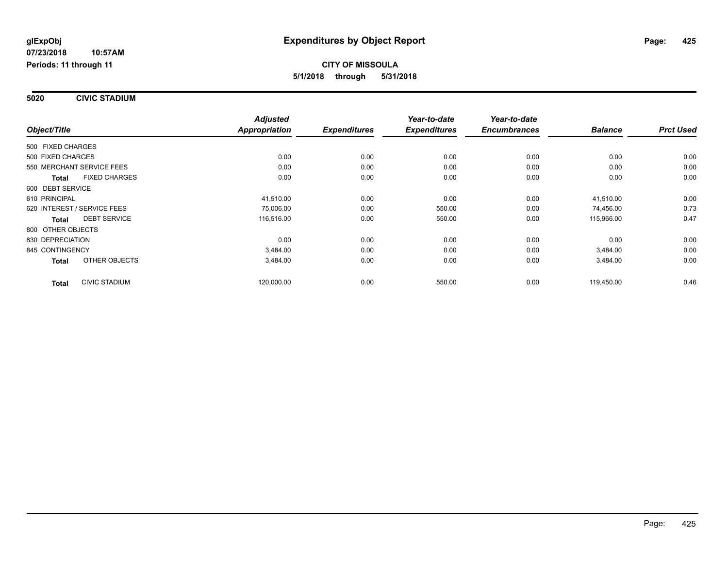### **5020 CIVIC STADIUM**

|                             |                      | <b>Adjusted</b> |                     | Year-to-date        | Year-to-date        |                |                  |
|-----------------------------|----------------------|-----------------|---------------------|---------------------|---------------------|----------------|------------------|
| Object/Title                |                      | Appropriation   | <b>Expenditures</b> | <b>Expenditures</b> | <b>Encumbrances</b> | <b>Balance</b> | <b>Prct Used</b> |
| 500 FIXED CHARGES           |                      |                 |                     |                     |                     |                |                  |
| 500 FIXED CHARGES           |                      | 0.00            | 0.00                | 0.00                | 0.00                | 0.00           | 0.00             |
| 550 MERCHANT SERVICE FEES   |                      | 0.00            | 0.00                | 0.00                | 0.00                | 0.00           | 0.00             |
| <b>Total</b>                | <b>FIXED CHARGES</b> | 0.00            | 0.00                | 0.00                | 0.00                | 0.00           | 0.00             |
| 600 DEBT SERVICE            |                      |                 |                     |                     |                     |                |                  |
| 610 PRINCIPAL               |                      | 41,510.00       | 0.00                | 0.00                | 0.00                | 41,510.00      | 0.00             |
| 620 INTEREST / SERVICE FEES |                      | 75,006.00       | 0.00                | 550.00              | 0.00                | 74,456.00      | 0.73             |
| <b>Total</b>                | <b>DEBT SERVICE</b>  | 116,516.00      | 0.00                | 550.00              | 0.00                | 115,966.00     | 0.47             |
| 800 OTHER OBJECTS           |                      |                 |                     |                     |                     |                |                  |
| 830 DEPRECIATION            |                      | 0.00            | 0.00                | 0.00                | 0.00                | 0.00           | 0.00             |
| 845 CONTINGENCY             |                      | 3.484.00        | 0.00                | 0.00                | 0.00                | 3,484.00       | 0.00             |
| <b>Total</b>                | OTHER OBJECTS        | 3,484.00        | 0.00                | 0.00                | 0.00                | 3,484.00       | 0.00             |
| <b>Total</b>                | <b>CIVIC STADIUM</b> | 120,000.00      | 0.00                | 550.00              | 0.00                | 119,450.00     | 0.46             |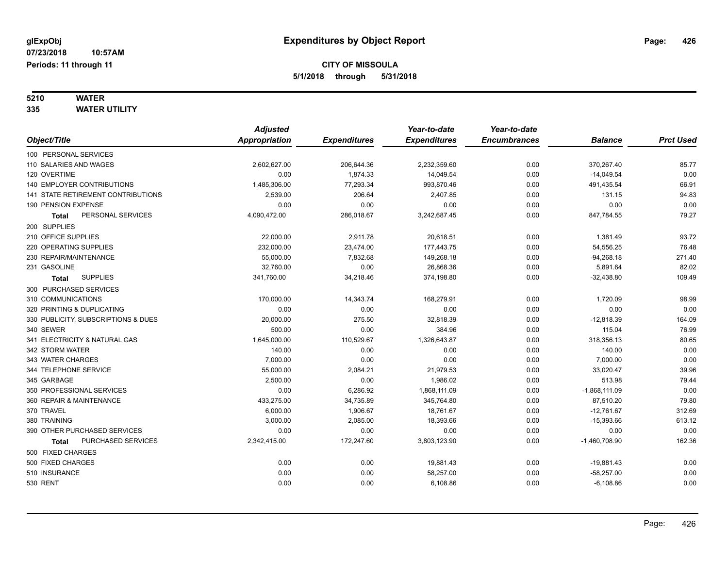# **5210 WATER**

**335 WATER UTILITY**

|                                     | <b>Adjusted</b>      |                     | Year-to-date        | Year-to-date        |                 |                  |
|-------------------------------------|----------------------|---------------------|---------------------|---------------------|-----------------|------------------|
| Object/Title                        | <b>Appropriation</b> | <b>Expenditures</b> | <b>Expenditures</b> | <b>Encumbrances</b> | <b>Balance</b>  | <b>Prct Used</b> |
| 100 PERSONAL SERVICES               |                      |                     |                     |                     |                 |                  |
| 110 SALARIES AND WAGES              | 2,602,627.00         | 206,644.36          | 2,232,359.60        | 0.00                | 370,267.40      | 85.77            |
| 120 OVERTIME                        | 0.00                 | 1,874.33            | 14,049.54           | 0.00                | $-14,049.54$    | 0.00             |
| <b>140 EMPLOYER CONTRIBUTIONS</b>   | 1,485,306.00         | 77,293.34           | 993,870.46          | 0.00                | 491,435.54      | 66.91            |
| 141 STATE RETIREMENT CONTRIBUTIONS  | 2,539.00             | 206.64              | 2,407.85            | 0.00                | 131.15          | 94.83            |
| 190 PENSION EXPENSE                 | 0.00                 | 0.00                | 0.00                | 0.00                | 0.00            | 0.00             |
| PERSONAL SERVICES<br>Total          | 4,090,472.00         | 286,018.67          | 3,242,687.45        | 0.00                | 847,784.55      | 79.27            |
| 200 SUPPLIES                        |                      |                     |                     |                     |                 |                  |
| 210 OFFICE SUPPLIES                 | 22,000.00            | 2,911.78            | 20,618.51           | 0.00                | 1,381.49        | 93.72            |
| 220 OPERATING SUPPLIES              | 232,000.00           | 23,474.00           | 177,443.75          | 0.00                | 54,556.25       | 76.48            |
| 230 REPAIR/MAINTENANCE              | 55,000.00            | 7,832.68            | 149,268.18          | 0.00                | $-94,268.18$    | 271.40           |
| 231 GASOLINE                        | 32,760.00            | 0.00                | 26,868.36           | 0.00                | 5,891.64        | 82.02            |
| <b>SUPPLIES</b><br><b>Total</b>     | 341,760.00           | 34,218.46           | 374,198.80          | 0.00                | $-32,438.80$    | 109.49           |
| 300 PURCHASED SERVICES              |                      |                     |                     |                     |                 |                  |
| 310 COMMUNICATIONS                  | 170,000.00           | 14,343.74           | 168,279.91          | 0.00                | 1,720.09        | 98.99            |
| 320 PRINTING & DUPLICATING          | 0.00                 | 0.00                | 0.00                | 0.00                | 0.00            | 0.00             |
| 330 PUBLICITY, SUBSCRIPTIONS & DUES | 20,000.00            | 275.50              | 32,818.39           | 0.00                | $-12,818.39$    | 164.09           |
| 340 SEWER                           | 500.00               | 0.00                | 384.96              | 0.00                | 115.04          | 76.99            |
| 341 ELECTRICITY & NATURAL GAS       | 1,645,000.00         | 110,529.67          | 1,326,643.87        | 0.00                | 318,356.13      | 80.65            |
| 342 STORM WATER                     | 140.00               | 0.00                | 0.00                | 0.00                | 140.00          | 0.00             |
| 343 WATER CHARGES                   | 7,000.00             | 0.00                | 0.00                | 0.00                | 7,000.00        | 0.00             |
| 344 TELEPHONE SERVICE               | 55,000.00            | 2,084.21            | 21,979.53           | 0.00                | 33,020.47       | 39.96            |
| 345 GARBAGE                         | 2,500.00             | 0.00                | 1,986.02            | 0.00                | 513.98          | 79.44            |
| 350 PROFESSIONAL SERVICES           | 0.00                 | 6,286.92            | 1,868,111.09        | 0.00                | $-1,868,111.09$ | 0.00             |
| 360 REPAIR & MAINTENANCE            | 433,275.00           | 34,735.89           | 345,764.80          | 0.00                | 87,510.20       | 79.80            |
| 370 TRAVEL                          | 6,000.00             | 1,906.67            | 18,761.67           | 0.00                | $-12,761.67$    | 312.69           |
| 380 TRAINING                        | 3,000.00             | 2,085.00            | 18,393.66           | 0.00                | $-15,393.66$    | 613.12           |
| 390 OTHER PURCHASED SERVICES        | 0.00                 | 0.00                | 0.00                | 0.00                | 0.00            | 0.00             |
| PURCHASED SERVICES<br><b>Total</b>  | 2,342,415.00         | 172,247.60          | 3,803,123.90        | 0.00                | $-1,460,708.90$ | 162.36           |
| 500 FIXED CHARGES                   |                      |                     |                     |                     |                 |                  |
| 500 FIXED CHARGES                   | 0.00                 | 0.00                | 19,881.43           | 0.00                | $-19,881.43$    | 0.00             |
| 510 INSURANCE                       | 0.00                 | 0.00                | 58,257.00           | 0.00                | $-58,257.00$    | 0.00             |
| <b>530 RENT</b>                     | 0.00                 | 0.00                | 6,108.86            | 0.00                | $-6,108.86$     | 0.00             |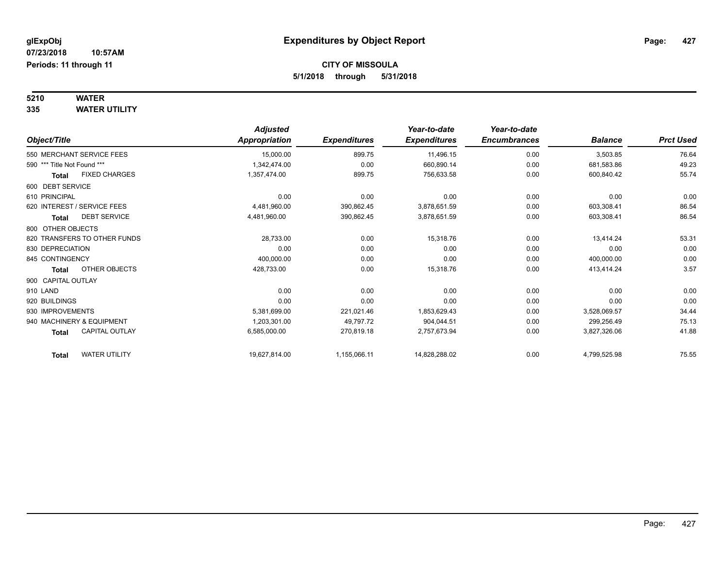# **5210 WATER**

**335 WATER UTILITY**

|                                       | <b>Adjusted</b> |                     | Year-to-date        | Year-to-date        |                |                  |
|---------------------------------------|-----------------|---------------------|---------------------|---------------------|----------------|------------------|
| Object/Title                          | Appropriation   | <b>Expenditures</b> | <b>Expenditures</b> | <b>Encumbrances</b> | <b>Balance</b> | <b>Prct Used</b> |
| 550 MERCHANT SERVICE FEES             | 15,000.00       | 899.75              | 11,496.15           | 0.00                | 3,503.85       | 76.64            |
| 590 *** Title Not Found ***           | 1,342,474.00    | 0.00                | 660,890.14          | 0.00                | 681,583.86     | 49.23            |
| <b>FIXED CHARGES</b><br><b>Total</b>  | 1,357,474.00    | 899.75              | 756,633.58          | 0.00                | 600,840.42     | 55.74            |
| 600 DEBT SERVICE                      |                 |                     |                     |                     |                |                  |
| 610 PRINCIPAL                         | 0.00            | 0.00                | 0.00                | 0.00                | 0.00           | 0.00             |
| 620 INTEREST / SERVICE FEES           | 4,481,960.00    | 390,862.45          | 3,878,651.59        | 0.00                | 603,308.41     | 86.54            |
| <b>DEBT SERVICE</b><br>Total          | 4,481,960.00    | 390,862.45          | 3,878,651.59        | 0.00                | 603,308.41     | 86.54            |
| 800 OTHER OBJECTS                     |                 |                     |                     |                     |                |                  |
| 820 TRANSFERS TO OTHER FUNDS          | 28,733.00       | 0.00                | 15,318.76           | 0.00                | 13,414.24      | 53.31            |
| 830 DEPRECIATION                      | 0.00            | 0.00                | 0.00                | 0.00                | 0.00           | 0.00             |
| 845 CONTINGENCY                       | 400,000.00      | 0.00                | 0.00                | 0.00                | 400,000.00     | 0.00             |
| OTHER OBJECTS<br><b>Total</b>         | 428,733.00      | 0.00                | 15,318.76           | 0.00                | 413,414.24     | 3.57             |
| 900 CAPITAL OUTLAY                    |                 |                     |                     |                     |                |                  |
| 910 LAND                              | 0.00            | 0.00                | 0.00                | 0.00                | 0.00           | 0.00             |
| 920 BUILDINGS                         | 0.00            | 0.00                | 0.00                | 0.00                | 0.00           | 0.00             |
| 930 IMPROVEMENTS                      | 5,381,699.00    | 221,021.46          | 1,853,629.43        | 0.00                | 3,528,069.57   | 34.44            |
| 940 MACHINERY & EQUIPMENT             | 1,203,301.00    | 49,797.72           | 904,044.51          | 0.00                | 299,256.49     | 75.13            |
| <b>CAPITAL OUTLAY</b><br><b>Total</b> | 6,585,000.00    | 270,819.18          | 2,757,673.94        | 0.00                | 3,827,326.06   | 41.88            |
| <b>WATER UTILITY</b><br><b>Total</b>  | 19,627,814.00   | 1,155,066.11        | 14,828,288.02       | 0.00                | 4,799,525.98   | 75.55            |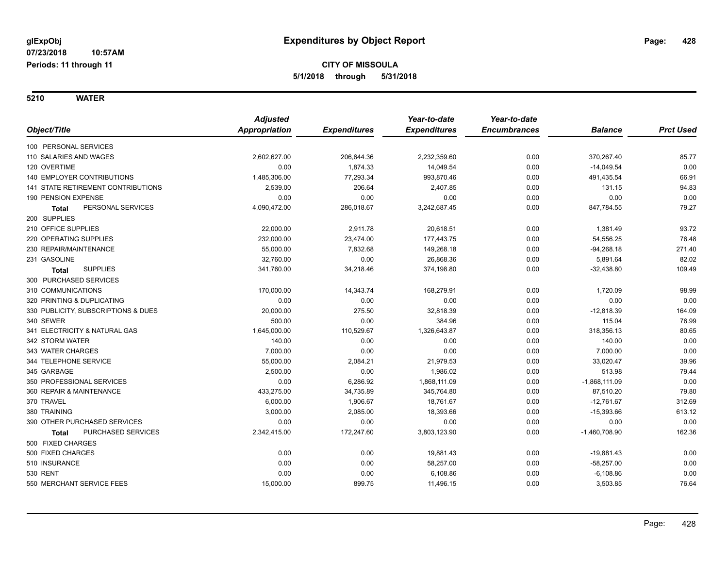**5210 WATER**

|                                     | <b>Adjusted</b> |                     | Year-to-date        | Year-to-date        |                 |                  |
|-------------------------------------|-----------------|---------------------|---------------------|---------------------|-----------------|------------------|
| Object/Title                        | Appropriation   | <b>Expenditures</b> | <b>Expenditures</b> | <b>Encumbrances</b> | <b>Balance</b>  | <b>Prct Used</b> |
| 100 PERSONAL SERVICES               |                 |                     |                     |                     |                 |                  |
| 110 SALARIES AND WAGES              | 2,602,627.00    | 206,644.36          | 2,232,359.60        | 0.00                | 370,267.40      | 85.77            |
| 120 OVERTIME                        | 0.00            | 1,874.33            | 14,049.54           | 0.00                | $-14,049.54$    | 0.00             |
| <b>140 EMPLOYER CONTRIBUTIONS</b>   | 1,485,306.00    | 77,293.34           | 993,870.46          | 0.00                | 491,435.54      | 66.91            |
| 141 STATE RETIREMENT CONTRIBUTIONS  | 2,539.00        | 206.64              | 2,407.85            | 0.00                | 131.15          | 94.83            |
| 190 PENSION EXPENSE                 | 0.00            | 0.00                | 0.00                | 0.00                | 0.00            | 0.00             |
| PERSONAL SERVICES<br><b>Total</b>   | 4,090,472.00    | 286,018.67          | 3,242,687.45        | 0.00                | 847,784.55      | 79.27            |
| 200 SUPPLIES                        |                 |                     |                     |                     |                 |                  |
| 210 OFFICE SUPPLIES                 | 22,000.00       | 2,911.78            | 20,618.51           | 0.00                | 1,381.49        | 93.72            |
| 220 OPERATING SUPPLIES              | 232,000.00      | 23,474.00           | 177,443.75          | 0.00                | 54,556.25       | 76.48            |
| 230 REPAIR/MAINTENANCE              | 55,000.00       | 7,832.68            | 149,268.18          | 0.00                | $-94,268.18$    | 271.40           |
| 231 GASOLINE                        | 32,760.00       | 0.00                | 26,868.36           | 0.00                | 5,891.64        | 82.02            |
| <b>SUPPLIES</b><br><b>Total</b>     | 341,760.00      | 34,218.46           | 374,198.80          | 0.00                | $-32,438.80$    | 109.49           |
| 300 PURCHASED SERVICES              |                 |                     |                     |                     |                 |                  |
| 310 COMMUNICATIONS                  | 170,000.00      | 14,343.74           | 168,279.91          | 0.00                | 1,720.09        | 98.99            |
| 320 PRINTING & DUPLICATING          | 0.00            | 0.00                | 0.00                | 0.00                | 0.00            | 0.00             |
| 330 PUBLICITY, SUBSCRIPTIONS & DUES | 20,000.00       | 275.50              | 32,818.39           | 0.00                | $-12,818.39$    | 164.09           |
| 340 SEWER                           | 500.00          | 0.00                | 384.96              | 0.00                | 115.04          | 76.99            |
| 341 ELECTRICITY & NATURAL GAS       | 1,645,000.00    | 110,529.67          | 1,326,643.87        | 0.00                | 318,356.13      | 80.65            |
| 342 STORM WATER                     | 140.00          | 0.00                | 0.00                | 0.00                | 140.00          | 0.00             |
| 343 WATER CHARGES                   | 7,000.00        | 0.00                | 0.00                | 0.00                | 7,000.00        | 0.00             |
| 344 TELEPHONE SERVICE               | 55,000.00       | 2,084.21            | 21,979.53           | 0.00                | 33,020.47       | 39.96            |
| 345 GARBAGE                         | 2,500.00        | 0.00                | 1,986.02            | 0.00                | 513.98          | 79.44            |
| 350 PROFESSIONAL SERVICES           | 0.00            | 6,286.92            | 1,868,111.09        | 0.00                | $-1,868,111.09$ | 0.00             |
| 360 REPAIR & MAINTENANCE            | 433,275.00      | 34,735.89           | 345,764.80          | 0.00                | 87,510.20       | 79.80            |
| 370 TRAVEL                          | 6,000.00        | 1,906.67            | 18,761.67           | 0.00                | $-12,761.67$    | 312.69           |
| 380 TRAINING                        | 3,000.00        | 2,085.00            | 18,393.66           | 0.00                | $-15,393.66$    | 613.12           |
| 390 OTHER PURCHASED SERVICES        | 0.00            | 0.00                | 0.00                | 0.00                | 0.00            | 0.00             |
| <b>PURCHASED SERVICES</b><br>Total  | 2,342,415.00    | 172,247.60          | 3,803,123.90        | 0.00                | $-1,460,708.90$ | 162.36           |
| 500 FIXED CHARGES                   |                 |                     |                     |                     |                 |                  |
| 500 FIXED CHARGES                   | 0.00            | 0.00                | 19,881.43           | 0.00                | $-19,881.43$    | 0.00             |
| 510 INSURANCE                       | 0.00            | 0.00                | 58,257.00           | 0.00                | $-58,257.00$    | 0.00             |
| <b>530 RENT</b>                     | 0.00            | 0.00                | 6,108.86            | 0.00                | $-6,108.86$     | 0.00             |
| 550 MERCHANT SERVICE FEES           | 15,000.00       | 899.75              | 11,496.15           | 0.00                | 3,503.85        | 76.64            |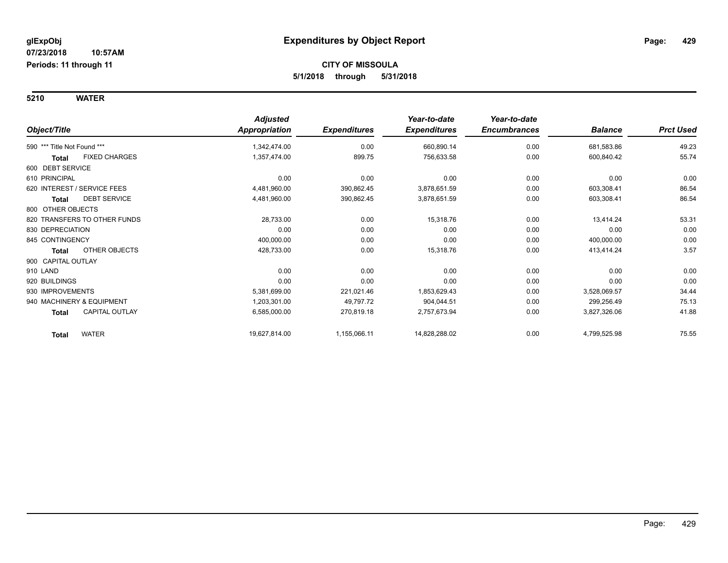#### **5210 WATER**

|                                | <b>Adjusted</b>      |                     | Year-to-date        | Year-to-date        |                |                  |
|--------------------------------|----------------------|---------------------|---------------------|---------------------|----------------|------------------|
| Object/Title                   | <b>Appropriation</b> | <b>Expenditures</b> | <b>Expenditures</b> | <b>Encumbrances</b> | <b>Balance</b> | <b>Prct Used</b> |
| 590 *** Title Not Found ***    | 1,342,474.00         | 0.00                | 660,890.14          | 0.00                | 681,583.86     | 49.23            |
| <b>FIXED CHARGES</b><br>Total  | 1,357,474.00         | 899.75              | 756,633.58          | 0.00                | 600,840.42     | 55.74            |
| 600 DEBT SERVICE               |                      |                     |                     |                     |                |                  |
| 610 PRINCIPAL                  | 0.00                 | 0.00                | 0.00                | 0.00                | 0.00           | 0.00             |
| 620 INTEREST / SERVICE FEES    | 4,481,960.00         | 390,862.45          | 3,878,651.59        | 0.00                | 603,308.41     | 86.54            |
| <b>DEBT SERVICE</b><br>Total   | 4,481,960.00         | 390,862.45          | 3,878,651.59        | 0.00                | 603,308.41     | 86.54            |
| 800 OTHER OBJECTS              |                      |                     |                     |                     |                |                  |
| 820 TRANSFERS TO OTHER FUNDS   | 28,733.00            | 0.00                | 15,318.76           | 0.00                | 13,414.24      | 53.31            |
| 830 DEPRECIATION               | 0.00                 | 0.00                | 0.00                | 0.00                | 0.00           | 0.00             |
| 845 CONTINGENCY                | 400,000.00           | 0.00                | 0.00                | 0.00                | 400,000.00     | 0.00             |
| <b>OTHER OBJECTS</b><br>Total  | 428,733.00           | 0.00                | 15,318.76           | 0.00                | 413,414.24     | 3.57             |
| 900 CAPITAL OUTLAY             |                      |                     |                     |                     |                |                  |
| 910 LAND                       | 0.00                 | 0.00                | 0.00                | 0.00                | 0.00           | 0.00             |
| 920 BUILDINGS                  | 0.00                 | 0.00                | 0.00                | 0.00                | 0.00           | 0.00             |
| 930 IMPROVEMENTS               | 5,381,699.00         | 221,021.46          | 1,853,629.43        | 0.00                | 3,528,069.57   | 34.44            |
| 940 MACHINERY & EQUIPMENT      | 1,203,301.00         | 49,797.72           | 904,044.51          | 0.00                | 299,256.49     | 75.13            |
| <b>CAPITAL OUTLAY</b><br>Total | 6,585,000.00         | 270,819.18          | 2,757,673.94        | 0.00                | 3,827,326.06   | 41.88            |
| <b>WATER</b><br><b>Total</b>   | 19,627,814.00        | 1,155,066.11        | 14,828,288.02       | 0.00                | 4,799,525.98   | 75.55            |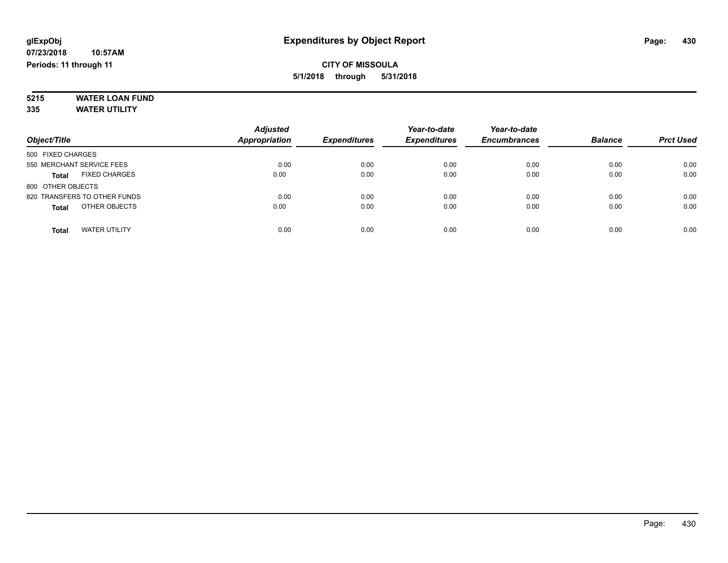## **5215 WATER LOAN FUND 335 WATER UTILITY**

|                                      | <b>Adjusted</b>      |                     | Year-to-date        | Year-to-date        |                |                  |
|--------------------------------------|----------------------|---------------------|---------------------|---------------------|----------------|------------------|
| Object/Title                         | <b>Appropriation</b> | <b>Expenditures</b> | <b>Expenditures</b> | <b>Encumbrances</b> | <b>Balance</b> | <b>Prct Used</b> |
| 500 FIXED CHARGES                    |                      |                     |                     |                     |                |                  |
| 550 MERCHANT SERVICE FEES            | 0.00                 | 0.00                | 0.00                | 0.00                | 0.00           | 0.00             |
| <b>FIXED CHARGES</b><br><b>Total</b> | 0.00                 | 0.00                | 0.00                | 0.00                | 0.00           | 0.00             |
| 800 OTHER OBJECTS                    |                      |                     |                     |                     |                |                  |
| 820 TRANSFERS TO OTHER FUNDS         | 0.00                 | 0.00                | 0.00                | 0.00                | 0.00           | 0.00             |
| OTHER OBJECTS<br><b>Total</b>        | 0.00                 | 0.00                | 0.00                | 0.00                | 0.00           | 0.00             |
| <b>WATER UTILITY</b><br><b>Total</b> | 0.00                 | 0.00                | 0.00                | 0.00                | 0.00           | 0.00             |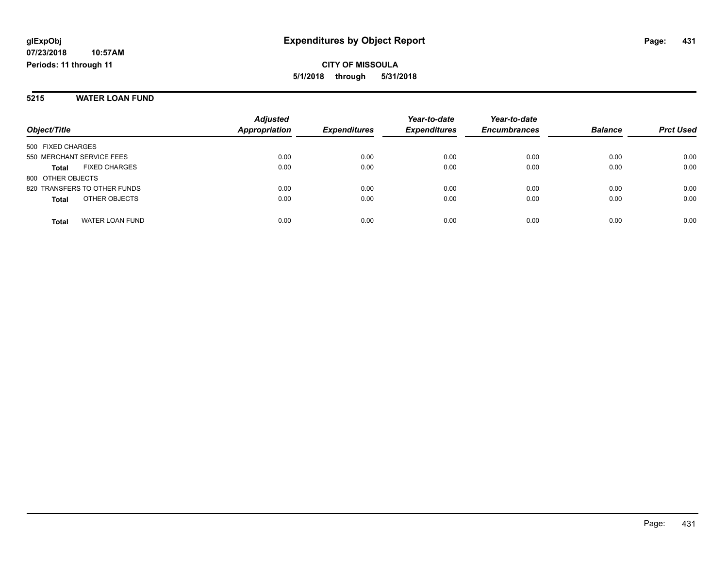### **5215 WATER LOAN FUND**

|                                      | <b>Adjusted</b>      |                     | Year-to-date        | Year-to-date        |                |                  |
|--------------------------------------|----------------------|---------------------|---------------------|---------------------|----------------|------------------|
| Object/Title                         | <b>Appropriation</b> | <b>Expenditures</b> | <b>Expenditures</b> | <b>Encumbrances</b> | <b>Balance</b> | <b>Prct Used</b> |
| 500 FIXED CHARGES                    |                      |                     |                     |                     |                |                  |
| 550 MERCHANT SERVICE FEES            | 0.00                 | 0.00                | 0.00                | 0.00                | 0.00           | 0.00             |
| <b>FIXED CHARGES</b><br><b>Total</b> | 0.00                 | 0.00                | 0.00                | 0.00                | 0.00           | 0.00             |
| 800 OTHER OBJECTS                    |                      |                     |                     |                     |                |                  |
| 820 TRANSFERS TO OTHER FUNDS         | 0.00                 | 0.00                | 0.00                | 0.00                | 0.00           | 0.00             |
| OTHER OBJECTS<br><b>Total</b>        | 0.00                 | 0.00                | 0.00                | 0.00                | 0.00           | 0.00             |
| WATER LOAN FUND<br>Total             | 0.00                 | 0.00                | 0.00                | 0.00                | 0.00           | 0.00             |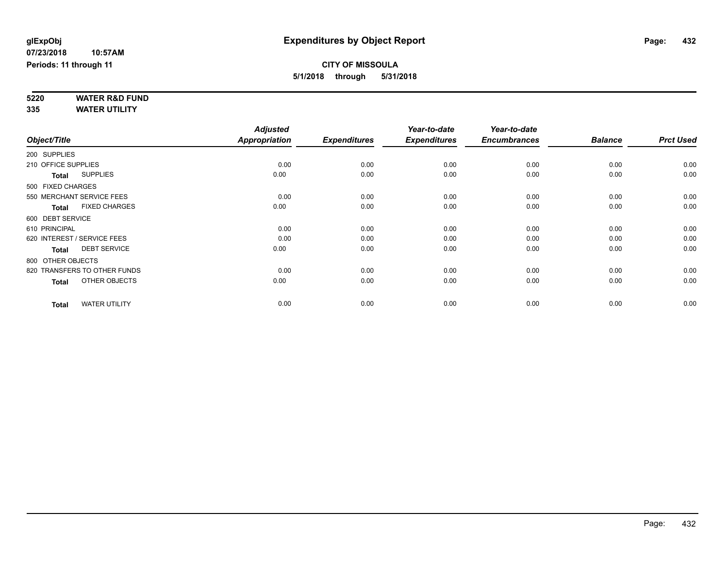| 5220 | <b>WATER R&amp;D FUND</b> |  |
|------|---------------------------|--|
|      | . <u>.</u> .              |  |

**335 WATER UTILITY**

|                              |                           | <b>Adjusted</b> |                     | Year-to-date        | Year-to-date        |                |                  |
|------------------------------|---------------------------|-----------------|---------------------|---------------------|---------------------|----------------|------------------|
| Object/Title                 |                           | Appropriation   | <b>Expenditures</b> | <b>Expenditures</b> | <b>Encumbrances</b> | <b>Balance</b> | <b>Prct Used</b> |
| 200 SUPPLIES                 |                           |                 |                     |                     |                     |                |                  |
| 210 OFFICE SUPPLIES          |                           | 0.00            | 0.00                | 0.00                | 0.00                | 0.00           | 0.00             |
| <b>Total</b>                 | <b>SUPPLIES</b>           | 0.00            | 0.00                | 0.00                | 0.00                | 0.00           | 0.00             |
| 500 FIXED CHARGES            |                           |                 |                     |                     |                     |                |                  |
|                              | 550 MERCHANT SERVICE FEES | 0.00            | 0.00                | 0.00                | 0.00                | 0.00           | 0.00             |
| <b>Total</b>                 | <b>FIXED CHARGES</b>      | 0.00            | 0.00                | 0.00                | 0.00                | 0.00           | 0.00             |
| 600 DEBT SERVICE             |                           |                 |                     |                     |                     |                |                  |
| 610 PRINCIPAL                |                           | 0.00            | 0.00                | 0.00                | 0.00                | 0.00           | 0.00             |
| 620 INTEREST / SERVICE FEES  |                           | 0.00            | 0.00                | 0.00                | 0.00                | 0.00           | 0.00             |
| <b>Total</b>                 | <b>DEBT SERVICE</b>       | 0.00            | 0.00                | 0.00                | 0.00                | 0.00           | 0.00             |
| 800 OTHER OBJECTS            |                           |                 |                     |                     |                     |                |                  |
| 820 TRANSFERS TO OTHER FUNDS |                           | 0.00            | 0.00                | 0.00                | 0.00                | 0.00           | 0.00             |
| <b>Total</b>                 | OTHER OBJECTS             | 0.00            | 0.00                | 0.00                | 0.00                | 0.00           | 0.00             |
| <b>Total</b>                 | <b>WATER UTILITY</b>      | 0.00            | 0.00                | 0.00                | 0.00                | 0.00           | 0.00             |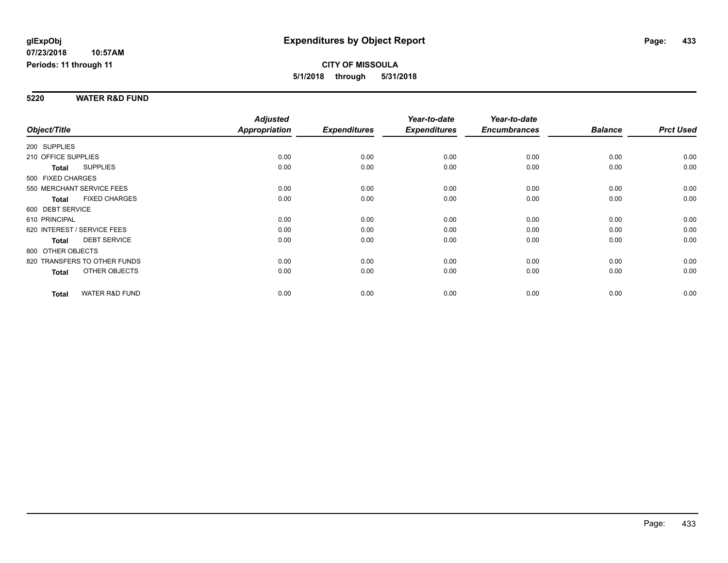#### **5220 WATER R&D FUND**

|                             |                              | <b>Adjusted</b>      |                     | Year-to-date        | Year-to-date        |                |                  |
|-----------------------------|------------------------------|----------------------|---------------------|---------------------|---------------------|----------------|------------------|
| Object/Title                |                              | <b>Appropriation</b> | <b>Expenditures</b> | <b>Expenditures</b> | <b>Encumbrances</b> | <b>Balance</b> | <b>Prct Used</b> |
| 200 SUPPLIES                |                              |                      |                     |                     |                     |                |                  |
| 210 OFFICE SUPPLIES         |                              | 0.00                 | 0.00                | 0.00                | 0.00                | 0.00           | 0.00             |
| Total                       | <b>SUPPLIES</b>              | 0.00                 | 0.00                | 0.00                | 0.00                | 0.00           | 0.00             |
| 500 FIXED CHARGES           |                              |                      |                     |                     |                     |                |                  |
| 550 MERCHANT SERVICE FEES   |                              | 0.00                 | 0.00                | 0.00                | 0.00                | 0.00           | 0.00             |
| <b>Total</b>                | <b>FIXED CHARGES</b>         | 0.00                 | 0.00                | 0.00                | 0.00                | 0.00           | 0.00             |
| 600 DEBT SERVICE            |                              |                      |                     |                     |                     |                |                  |
| 610 PRINCIPAL               |                              | 0.00                 | 0.00                | 0.00                | 0.00                | 0.00           | 0.00             |
| 620 INTEREST / SERVICE FEES |                              | 0.00                 | 0.00                | 0.00                | 0.00                | 0.00           | 0.00             |
| <b>Total</b>                | <b>DEBT SERVICE</b>          | 0.00                 | 0.00                | 0.00                | 0.00                | 0.00           | 0.00             |
| 800 OTHER OBJECTS           |                              |                      |                     |                     |                     |                |                  |
|                             | 820 TRANSFERS TO OTHER FUNDS | 0.00                 | 0.00                | 0.00                | 0.00                | 0.00           | 0.00             |
| Total                       | OTHER OBJECTS                | 0.00                 | 0.00                | 0.00                | 0.00                | 0.00           | 0.00             |
| <b>Total</b>                | <b>WATER R&amp;D FUND</b>    | 0.00                 | 0.00                | 0.00                | 0.00                | 0.00           | 0.00             |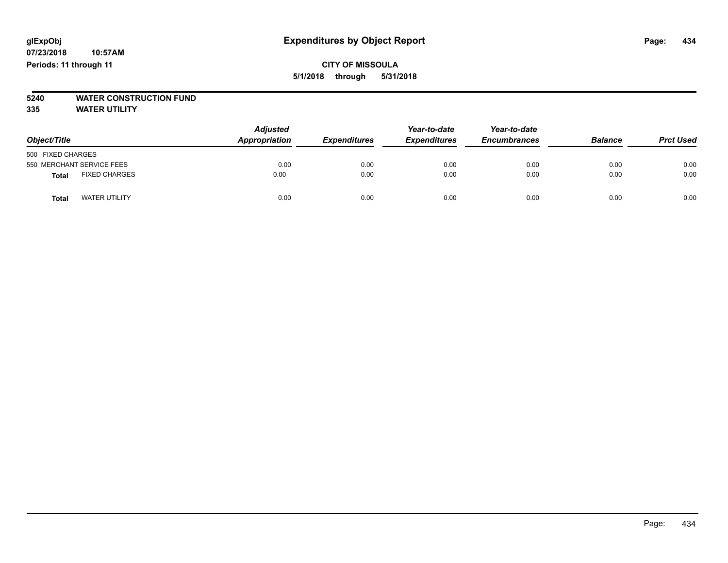# **5240 WATER CONSTRUCTION FUND**

**335 WATER UTILITY**

| Object/Title                         | <b>Adjusted</b><br><b>Appropriation</b> | <b>Expenditures</b> | Year-to-date<br><b>Expenditures</b> | Year-to-date<br><b>Encumbrances</b> | <b>Balance</b> | <b>Prct Used</b> |
|--------------------------------------|-----------------------------------------|---------------------|-------------------------------------|-------------------------------------|----------------|------------------|
| 500 FIXED CHARGES                    |                                         |                     |                                     |                                     |                |                  |
| 550 MERCHANT SERVICE FEES            | 0.00                                    | 0.00                | 0.00                                | 0.00                                | 0.00           | 0.00             |
| <b>FIXED CHARGES</b><br><b>Total</b> | 0.00                                    | 0.00                | 0.00                                | 0.00                                | 0.00           | 0.00             |
| <b>WATER UTILITY</b><br><b>Total</b> | 0.00                                    | 0.00                | 0.00                                | 0.00                                | 0.00           | 0.00             |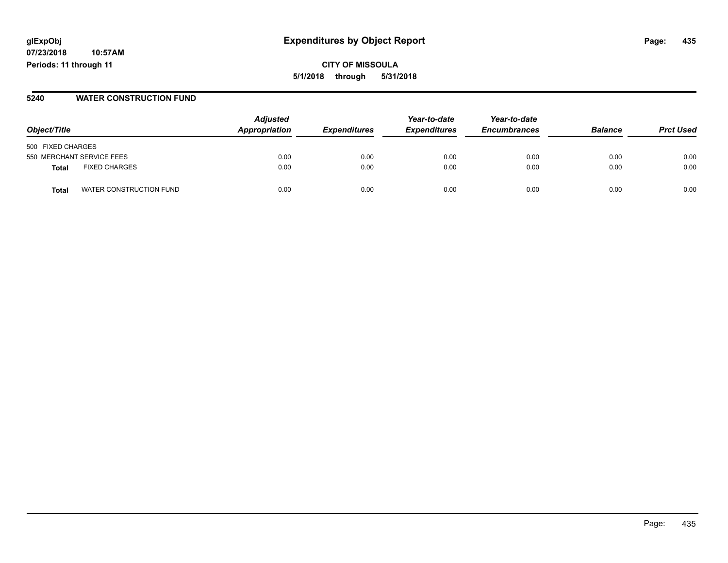**CITY OF MISSOULA 5/1/2018 through 5/31/2018**

#### **5240 WATER CONSTRUCTION FUND**

| Object/Title                     | <b>Adjusted</b><br>Appropriation | <i><b>Expenditures</b></i> | Year-to-date<br><b>Expenditures</b> | Year-to-date<br><b>Encumbrances</b> | <b>Balance</b> | <b>Prct Used</b> |
|----------------------------------|----------------------------------|----------------------------|-------------------------------------|-------------------------------------|----------------|------------------|
|                                  |                                  |                            |                                     |                                     |                |                  |
| 500 FIXED CHARGES                |                                  |                            |                                     |                                     |                |                  |
| 550 MERCHANT SERVICE FEES        | 0.00                             | 0.00                       | 0.00                                | 0.00                                | 0.00           | 0.00             |
| <b>FIXED CHARGES</b><br>Total    | 0.00                             | 0.00                       | 0.00                                | 0.00                                | 0.00           | 0.00             |
| WATER CONSTRUCTION FUND<br>Total | 0.00                             | 0.00                       | 0.00                                | 0.00                                | 0.00           | 0.00             |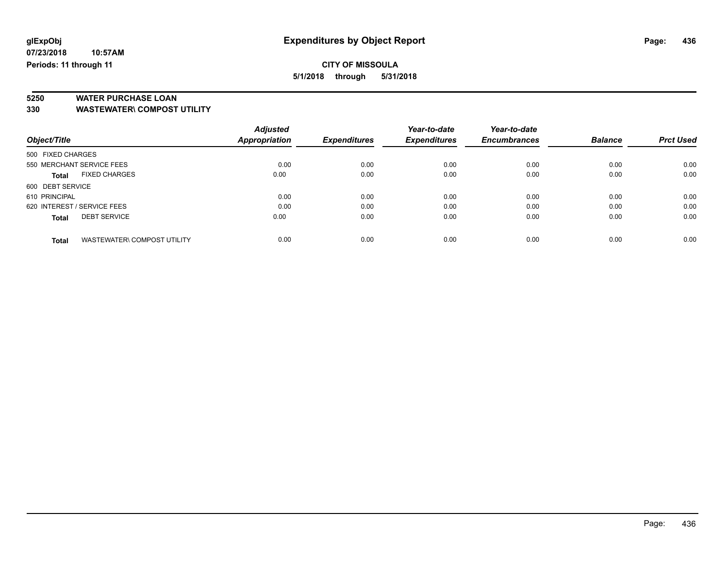# **5250 WATER PURCHASE LOAN**

|                                                    | <b>Adjusted</b> |                     | Year-to-date        | Year-to-date        |                |                  |
|----------------------------------------------------|-----------------|---------------------|---------------------|---------------------|----------------|------------------|
| Object/Title                                       | Appropriation   | <b>Expenditures</b> | <b>Expenditures</b> | <b>Encumbrances</b> | <b>Balance</b> | <b>Prct Used</b> |
| 500 FIXED CHARGES                                  |                 |                     |                     |                     |                |                  |
| 550 MERCHANT SERVICE FEES                          | 0.00            | 0.00                | 0.00                | 0.00                | 0.00           | 0.00             |
| <b>FIXED CHARGES</b><br><b>Total</b>               | 0.00            | 0.00                | 0.00                | 0.00                | 0.00           | 0.00             |
| 600 DEBT SERVICE                                   |                 |                     |                     |                     |                |                  |
| 610 PRINCIPAL                                      | 0.00            | 0.00                | 0.00                | 0.00                | 0.00           | 0.00             |
| 620 INTEREST / SERVICE FEES                        | 0.00            | 0.00                | 0.00                | 0.00                | 0.00           | 0.00             |
| <b>DEBT SERVICE</b><br><b>Total</b>                | 0.00            | 0.00                | 0.00                | 0.00                | 0.00           | 0.00             |
| <b>WASTEWATER\ COMPOST UTILITY</b><br><b>Total</b> | 0.00            | 0.00                | 0.00                | 0.00                | 0.00           | 0.00             |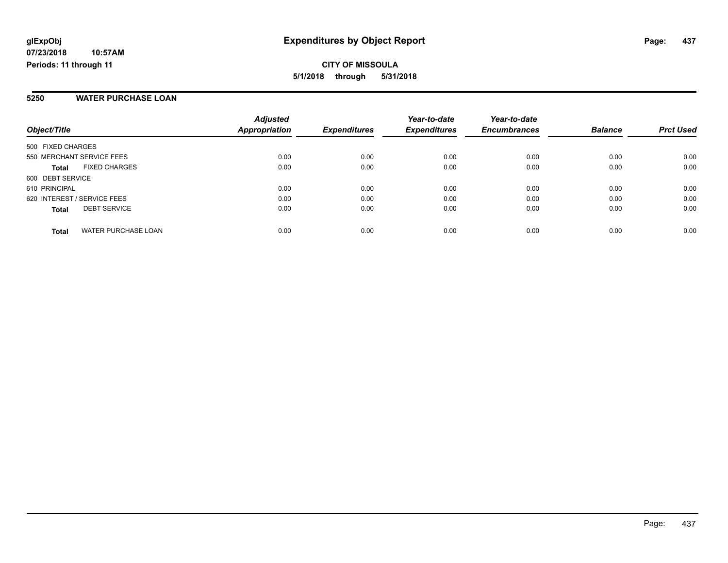#### **5250 WATER PURCHASE LOAN**

| Object/Title                               | <b>Adjusted</b><br><b>Appropriation</b> | <b>Expenditures</b> | Year-to-date<br><b>Expenditures</b> | Year-to-date<br><b>Encumbrances</b> | <b>Balance</b> | <b>Prct Used</b> |
|--------------------------------------------|-----------------------------------------|---------------------|-------------------------------------|-------------------------------------|----------------|------------------|
| 500 FIXED CHARGES                          |                                         |                     |                                     |                                     |                |                  |
| 550 MERCHANT SERVICE FEES                  | 0.00                                    | 0.00                | 0.00                                | 0.00                                | 0.00           | 0.00             |
| <b>FIXED CHARGES</b><br><b>Total</b>       | 0.00                                    | 0.00                | 0.00                                | 0.00                                | 0.00           | 0.00             |
| 600 DEBT SERVICE                           |                                         |                     |                                     |                                     |                |                  |
| 610 PRINCIPAL                              | 0.00                                    | 0.00                | 0.00                                | 0.00                                | 0.00           | 0.00             |
| 620 INTEREST / SERVICE FEES                | 0.00                                    | 0.00                | 0.00                                | 0.00                                | 0.00           | 0.00             |
| <b>DEBT SERVICE</b><br><b>Total</b>        | 0.00                                    | 0.00                | 0.00                                | 0.00                                | 0.00           | 0.00             |
| <b>WATER PURCHASE LOAN</b><br><b>Total</b> | 0.00                                    | 0.00                | 0.00                                | 0.00                                | 0.00           | 0.00             |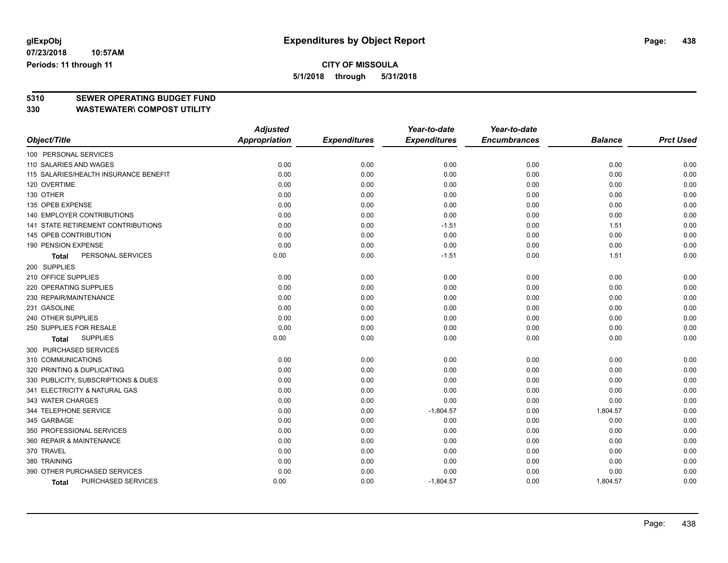**CITY OF MISSOULA 5/1/2018 through 5/31/2018**

# **5310 SEWER OPERATING BUDGET FUND<br>330 WASTEWATER\ COMPOST UTILITY**

|                                           | <b>Adjusted</b>      |                     | Year-to-date        | Year-to-date        |                |                  |
|-------------------------------------------|----------------------|---------------------|---------------------|---------------------|----------------|------------------|
| Object/Title                              | <b>Appropriation</b> | <b>Expenditures</b> | <b>Expenditures</b> | <b>Encumbrances</b> | <b>Balance</b> | <b>Prct Used</b> |
| 100 PERSONAL SERVICES                     |                      |                     |                     |                     |                |                  |
| 110 SALARIES AND WAGES                    | 0.00                 | 0.00                | 0.00                | 0.00                | 0.00           | 0.00             |
| 115 SALARIES/HEALTH INSURANCE BENEFIT     | 0.00                 | 0.00                | 0.00                | 0.00                | 0.00           | 0.00             |
| 120 OVERTIME                              | 0.00                 | 0.00                | 0.00                | 0.00                | 0.00           | 0.00             |
| 130 OTHER                                 | 0.00                 | 0.00                | 0.00                | 0.00                | 0.00           | 0.00             |
| 135 OPEB EXPENSE                          | 0.00                 | 0.00                | 0.00                | 0.00                | 0.00           | 0.00             |
| 140 EMPLOYER CONTRIBUTIONS                | 0.00                 | 0.00                | 0.00                | 0.00                | 0.00           | 0.00             |
| <b>141 STATE RETIREMENT CONTRIBUTIONS</b> | 0.00                 | 0.00                | $-1.51$             | 0.00                | 1.51           | 0.00             |
| 145 OPEB CONTRIBUTION                     | 0.00                 | 0.00                | 0.00                | 0.00                | 0.00           | 0.00             |
| 190 PENSION EXPENSE                       | 0.00                 | 0.00                | 0.00                | 0.00                | 0.00           | 0.00             |
| PERSONAL SERVICES<br>Total                | 0.00                 | 0.00                | $-1.51$             | 0.00                | 1.51           | 0.00             |
| 200 SUPPLIES                              |                      |                     |                     |                     |                |                  |
| 210 OFFICE SUPPLIES                       | 0.00                 | 0.00                | 0.00                | 0.00                | 0.00           | 0.00             |
| 220 OPERATING SUPPLIES                    | 0.00                 | 0.00                | 0.00                | 0.00                | 0.00           | 0.00             |
| 230 REPAIR/MAINTENANCE                    | 0.00                 | 0.00                | 0.00                | 0.00                | 0.00           | 0.00             |
| 231 GASOLINE                              | 0.00                 | 0.00                | 0.00                | 0.00                | 0.00           | 0.00             |
| 240 OTHER SUPPLIES                        | 0.00                 | 0.00                | 0.00                | 0.00                | 0.00           | 0.00             |
| 250 SUPPLIES FOR RESALE                   | 0.00                 | 0.00                | 0.00                | 0.00                | 0.00           | 0.00             |
| <b>SUPPLIES</b><br>Total                  | 0.00                 | 0.00                | 0.00                | 0.00                | 0.00           | 0.00             |
| 300 PURCHASED SERVICES                    |                      |                     |                     |                     |                |                  |
| 310 COMMUNICATIONS                        | 0.00                 | 0.00                | 0.00                | 0.00                | 0.00           | 0.00             |
| 320 PRINTING & DUPLICATING                | 0.00                 | 0.00                | 0.00                | 0.00                | 0.00           | 0.00             |
| 330 PUBLICITY, SUBSCRIPTIONS & DUES       | 0.00                 | 0.00                | 0.00                | 0.00                | 0.00           | 0.00             |
| 341 ELECTRICITY & NATURAL GAS             | 0.00                 | 0.00                | 0.00                | 0.00                | 0.00           | 0.00             |
| 343 WATER CHARGES                         | 0.00                 | 0.00                | 0.00                | 0.00                | 0.00           | 0.00             |
| 344 TELEPHONE SERVICE                     | 0.00                 | 0.00                | $-1,804.57$         | 0.00                | 1,804.57       | 0.00             |
| 345 GARBAGE                               | 0.00                 | 0.00                | 0.00                | 0.00                | 0.00           | 0.00             |
| 350 PROFESSIONAL SERVICES                 | 0.00                 | 0.00                | 0.00                | 0.00                | 0.00           | 0.00             |
| 360 REPAIR & MAINTENANCE                  | 0.00                 | 0.00                | 0.00                | 0.00                | 0.00           | 0.00             |
| 370 TRAVEL                                | 0.00                 | 0.00                | 0.00                | 0.00                | 0.00           | 0.00             |
| 380 TRAINING                              | 0.00                 | 0.00                | 0.00                | 0.00                | 0.00           | 0.00             |
| 390 OTHER PURCHASED SERVICES              | 0.00                 | 0.00                | 0.00                | 0.00                | 0.00           | 0.00             |
| PURCHASED SERVICES<br><b>Total</b>        | 0.00                 | 0.00                | $-1,804.57$         | 0.00                | 1,804.57       | 0.00             |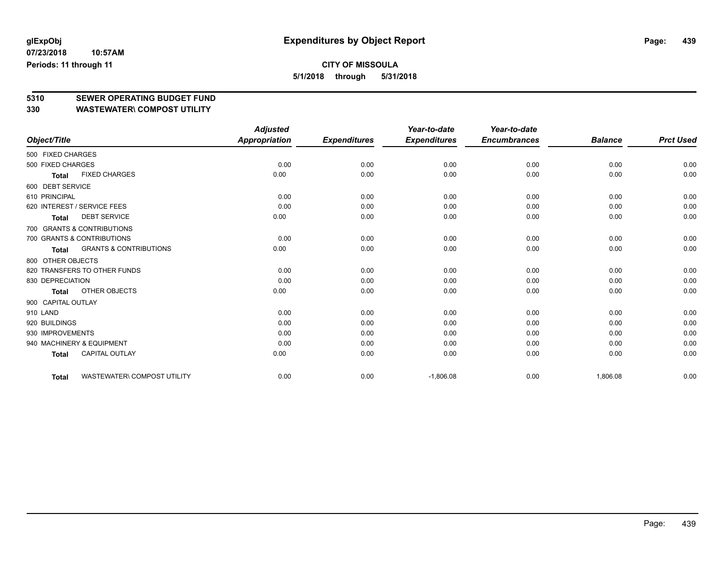# **5310 SEWER OPERATING BUDGET FUND<br>330 WASTEWATER\ COMPOST UTILITY**

|                    |                                    | <b>Adjusted</b> |                     | Year-to-date        | Year-to-date        |                |                  |
|--------------------|------------------------------------|-----------------|---------------------|---------------------|---------------------|----------------|------------------|
| Object/Title       |                                    | Appropriation   | <b>Expenditures</b> | <b>Expenditures</b> | <b>Encumbrances</b> | <b>Balance</b> | <b>Prct Used</b> |
| 500 FIXED CHARGES  |                                    |                 |                     |                     |                     |                |                  |
| 500 FIXED CHARGES  |                                    | 0.00            | 0.00                | 0.00                | 0.00                | 0.00           | 0.00             |
| <b>Total</b>       | <b>FIXED CHARGES</b>               | 0.00            | 0.00                | 0.00                | 0.00                | 0.00           | 0.00             |
| 600 DEBT SERVICE   |                                    |                 |                     |                     |                     |                |                  |
| 610 PRINCIPAL      |                                    | 0.00            | 0.00                | 0.00                | 0.00                | 0.00           | 0.00             |
|                    | 620 INTEREST / SERVICE FEES        | 0.00            | 0.00                | 0.00                | 0.00                | 0.00           | 0.00             |
| <b>Total</b>       | <b>DEBT SERVICE</b>                | 0.00            | 0.00                | 0.00                | 0.00                | 0.00           | 0.00             |
|                    | 700 GRANTS & CONTRIBUTIONS         |                 |                     |                     |                     |                |                  |
|                    | 700 GRANTS & CONTRIBUTIONS         | 0.00            | 0.00                | 0.00                | 0.00                | 0.00           | 0.00             |
| <b>Total</b>       | <b>GRANTS &amp; CONTRIBUTIONS</b>  | 0.00            | 0.00                | 0.00                | 0.00                | 0.00           | 0.00             |
| 800 OTHER OBJECTS  |                                    |                 |                     |                     |                     |                |                  |
|                    | 820 TRANSFERS TO OTHER FUNDS       | 0.00            | 0.00                | 0.00                | 0.00                | 0.00           | 0.00             |
| 830 DEPRECIATION   |                                    | 0.00            | 0.00                | 0.00                | 0.00                | 0.00           | 0.00             |
| Total              | <b>OTHER OBJECTS</b>               | 0.00            | 0.00                | 0.00                | 0.00                | 0.00           | 0.00             |
| 900 CAPITAL OUTLAY |                                    |                 |                     |                     |                     |                |                  |
| 910 LAND           |                                    | 0.00            | 0.00                | 0.00                | 0.00                | 0.00           | 0.00             |
| 920 BUILDINGS      |                                    | 0.00            | 0.00                | 0.00                | 0.00                | 0.00           | 0.00             |
| 930 IMPROVEMENTS   |                                    | 0.00            | 0.00                | 0.00                | 0.00                | 0.00           | 0.00             |
|                    | 940 MACHINERY & EQUIPMENT          | 0.00            | 0.00                | 0.00                | 0.00                | 0.00           | 0.00             |
| <b>Total</b>       | <b>CAPITAL OUTLAY</b>              | 0.00            | 0.00                | 0.00                | 0.00                | 0.00           | 0.00             |
| <b>Total</b>       | <b>WASTEWATER\ COMPOST UTILITY</b> | 0.00            | 0.00                | $-1,806.08$         | 0.00                | 1,806.08       | 0.00             |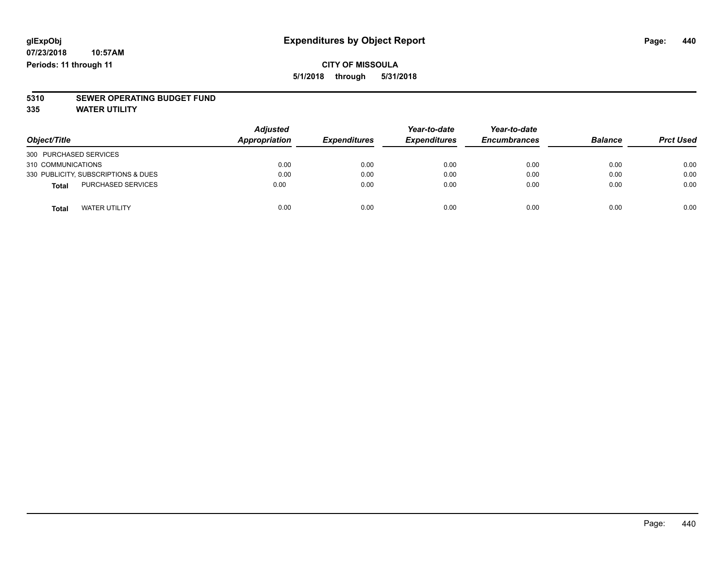# **5310 SEWER OPERATING BUDGET FUND**

**335 WATER UTILITY**

| Object/Title                              | <b>Adjusted</b><br>Appropriation | <b>Expenditures</b> | Year-to-date<br><b>Expenditures</b> | Year-to-date<br><b>Encumbrances</b> | <b>Balance</b> | <b>Prct Used</b> |
|-------------------------------------------|----------------------------------|---------------------|-------------------------------------|-------------------------------------|----------------|------------------|
| 300 PURCHASED SERVICES                    |                                  |                     |                                     |                                     |                |                  |
| 310 COMMUNICATIONS                        | 0.00                             | 0.00                | 0.00                                | 0.00                                | 0.00           | 0.00             |
| 330 PUBLICITY, SUBSCRIPTIONS & DUES       | 0.00                             | 0.00                | 0.00                                | 0.00                                | 0.00           | 0.00             |
| <b>PURCHASED SERVICES</b><br><b>Total</b> | 0.00                             | 0.00                | 0.00                                | 0.00                                | 0.00           | 0.00             |
| <b>WATER UTILITY</b><br><b>Total</b>      | 0.00                             | 0.00                | 0.00                                | 0.00                                | 0.00           | 0.00             |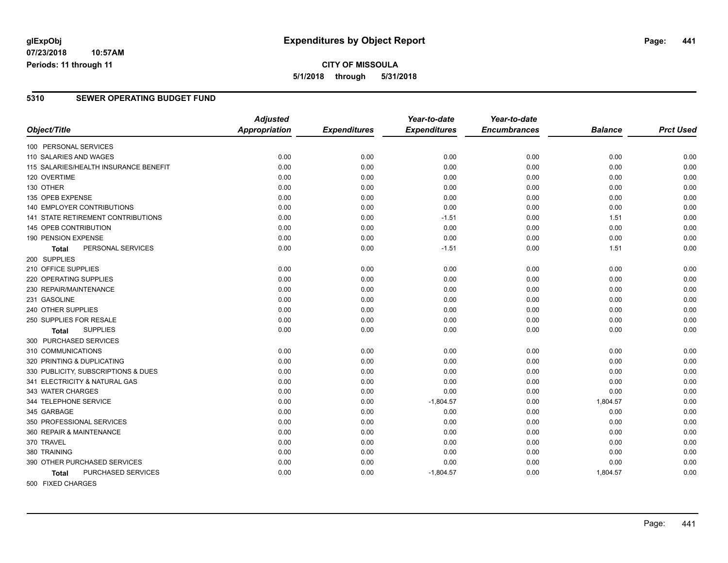### **glExpObj Expenditures by Object Report Page: 441**

#### **07/23/2018 10:57AM Periods: 11 through 11**

#### **5310 SEWER OPERATING BUDGET FUND**

|                                           | <b>Adjusted</b>      |                     | Year-to-date        | Year-to-date        |                |                  |
|-------------------------------------------|----------------------|---------------------|---------------------|---------------------|----------------|------------------|
| Object/Title                              | <b>Appropriation</b> | <b>Expenditures</b> | <b>Expenditures</b> | <b>Encumbrances</b> | <b>Balance</b> | <b>Prct Used</b> |
| 100 PERSONAL SERVICES                     |                      |                     |                     |                     |                |                  |
| 110 SALARIES AND WAGES                    | 0.00                 | 0.00                | 0.00                | 0.00                | 0.00           | 0.00             |
| 115 SALARIES/HEALTH INSURANCE BENEFIT     | 0.00                 | 0.00                | 0.00                | 0.00                | 0.00           | 0.00             |
| 120 OVERTIME                              | 0.00                 | 0.00                | 0.00                | 0.00                | 0.00           | 0.00             |
| 130 OTHER                                 | 0.00                 | 0.00                | 0.00                | 0.00                | 0.00           | 0.00             |
| 135 OPEB EXPENSE                          | 0.00                 | 0.00                | 0.00                | 0.00                | 0.00           | 0.00             |
| 140 EMPLOYER CONTRIBUTIONS                | 0.00                 | 0.00                | 0.00                | 0.00                | 0.00           | 0.00             |
| <b>141 STATE RETIREMENT CONTRIBUTIONS</b> | 0.00                 | 0.00                | $-1.51$             | 0.00                | 1.51           | 0.00             |
| 145 OPEB CONTRIBUTION                     | 0.00                 | 0.00                | 0.00                | 0.00                | 0.00           | 0.00             |
| 190 PENSION EXPENSE                       | 0.00                 | 0.00                | 0.00                | 0.00                | 0.00           | 0.00             |
| PERSONAL SERVICES<br>Total                | 0.00                 | 0.00                | $-1.51$             | 0.00                | 1.51           | 0.00             |
| 200 SUPPLIES                              |                      |                     |                     |                     |                |                  |
| 210 OFFICE SUPPLIES                       | 0.00                 | 0.00                | 0.00                | 0.00                | 0.00           | 0.00             |
| 220 OPERATING SUPPLIES                    | 0.00                 | 0.00                | 0.00                | 0.00                | 0.00           | 0.00             |
| 230 REPAIR/MAINTENANCE                    | 0.00                 | 0.00                | 0.00                | 0.00                | 0.00           | 0.00             |
| 231 GASOLINE                              | 0.00                 | 0.00                | 0.00                | 0.00                | 0.00           | 0.00             |
| 240 OTHER SUPPLIES                        | 0.00                 | 0.00                | 0.00                | 0.00                | 0.00           | 0.00             |
| 250 SUPPLIES FOR RESALE                   | 0.00                 | 0.00                | 0.00                | 0.00                | 0.00           | 0.00             |
| <b>SUPPLIES</b><br>Total                  | 0.00                 | 0.00                | 0.00                | 0.00                | 0.00           | 0.00             |
| 300 PURCHASED SERVICES                    |                      |                     |                     |                     |                |                  |
| 310 COMMUNICATIONS                        | 0.00                 | 0.00                | 0.00                | 0.00                | 0.00           | 0.00             |
| 320 PRINTING & DUPLICATING                | 0.00                 | 0.00                | 0.00                | 0.00                | 0.00           | 0.00             |
| 330 PUBLICITY, SUBSCRIPTIONS & DUES       | 0.00                 | 0.00                | 0.00                | 0.00                | 0.00           | 0.00             |
| 341 ELECTRICITY & NATURAL GAS             | 0.00                 | 0.00                | 0.00                | 0.00                | 0.00           | 0.00             |
| 343 WATER CHARGES                         | 0.00                 | 0.00                | 0.00                | 0.00                | 0.00           | 0.00             |
| 344 TELEPHONE SERVICE                     | 0.00                 | 0.00                | $-1,804.57$         | 0.00                | 1,804.57       | 0.00             |
| 345 GARBAGE                               | 0.00                 | 0.00                | 0.00                | 0.00                | 0.00           | 0.00             |
| 350 PROFESSIONAL SERVICES                 | 0.00                 | 0.00                | 0.00                | 0.00                | 0.00           | 0.00             |
| 360 REPAIR & MAINTENANCE                  | 0.00                 | 0.00                | 0.00                | 0.00                | 0.00           | 0.00             |
| 370 TRAVEL                                | 0.00                 | 0.00                | 0.00                | 0.00                | 0.00           | 0.00             |
| 380 TRAINING                              | 0.00                 | 0.00                | 0.00                | 0.00                | 0.00           | 0.00             |
| 390 OTHER PURCHASED SERVICES              | 0.00                 | 0.00                | 0.00                | 0.00                | 0.00           | 0.00             |
| PURCHASED SERVICES<br><b>Total</b>        | 0.00                 | 0.00                | $-1,804.57$         | 0.00                | 1,804.57       | 0.00             |
|                                           |                      |                     |                     |                     |                |                  |

500 FIXED CHARGES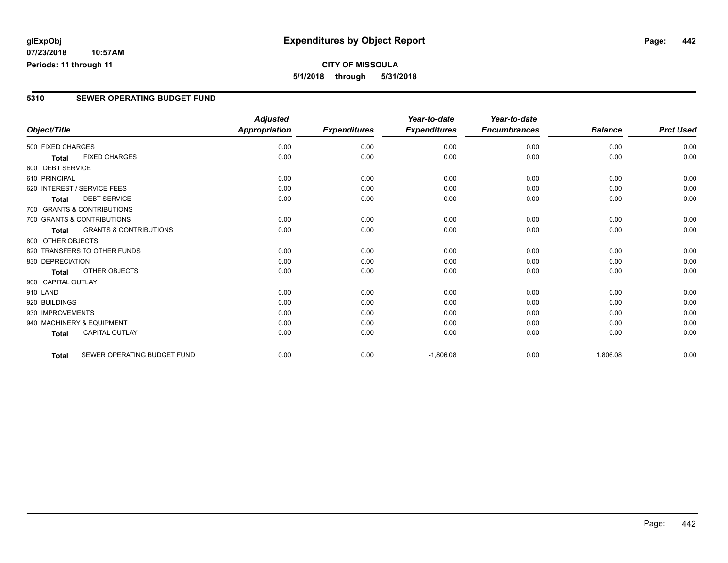# **glExpObj Expenditures by Object Report Page: 442**

#### **07/23/2018 10:57AM Periods: 11 through 11**

**CITY OF MISSOULA 5/1/2018 through 5/31/2018**

#### **5310 SEWER OPERATING BUDGET FUND**

|                              |                                   | <b>Adjusted</b>      |                     | Year-to-date        | Year-to-date        |                |                  |
|------------------------------|-----------------------------------|----------------------|---------------------|---------------------|---------------------|----------------|------------------|
| Object/Title                 |                                   | <b>Appropriation</b> | <b>Expenditures</b> | <b>Expenditures</b> | <b>Encumbrances</b> | <b>Balance</b> | <b>Prct Used</b> |
| 500 FIXED CHARGES            |                                   | 0.00                 | 0.00                | 0.00                | 0.00                | 0.00           | 0.00             |
| <b>Total</b>                 | <b>FIXED CHARGES</b>              | 0.00                 | 0.00                | 0.00                | 0.00                | 0.00           | 0.00             |
| 600 DEBT SERVICE             |                                   |                      |                     |                     |                     |                |                  |
| 610 PRINCIPAL                |                                   | 0.00                 | 0.00                | 0.00                | 0.00                | 0.00           | 0.00             |
| 620 INTEREST / SERVICE FEES  |                                   | 0.00                 | 0.00                | 0.00                | 0.00                | 0.00           | 0.00             |
| <b>Total</b>                 | <b>DEBT SERVICE</b>               | 0.00                 | 0.00                | 0.00                | 0.00                | 0.00           | 0.00             |
| 700 GRANTS & CONTRIBUTIONS   |                                   |                      |                     |                     |                     |                |                  |
| 700 GRANTS & CONTRIBUTIONS   |                                   | 0.00                 | 0.00                | 0.00                | 0.00                | 0.00           | 0.00             |
| <b>Total</b>                 | <b>GRANTS &amp; CONTRIBUTIONS</b> | 0.00                 | 0.00                | 0.00                | 0.00                | 0.00           | 0.00             |
| 800 OTHER OBJECTS            |                                   |                      |                     |                     |                     |                |                  |
| 820 TRANSFERS TO OTHER FUNDS |                                   | 0.00                 | 0.00                | 0.00                | 0.00                | 0.00           | 0.00             |
| 830 DEPRECIATION             |                                   | 0.00                 | 0.00                | 0.00                | 0.00                | 0.00           | 0.00             |
| <b>Total</b>                 | OTHER OBJECTS                     | 0.00                 | 0.00                | 0.00                | 0.00                | 0.00           | 0.00             |
| 900 CAPITAL OUTLAY           |                                   |                      |                     |                     |                     |                |                  |
| 910 LAND                     |                                   | 0.00                 | 0.00                | 0.00                | 0.00                | 0.00           | 0.00             |
| 920 BUILDINGS                |                                   | 0.00                 | 0.00                | 0.00                | 0.00                | 0.00           | 0.00             |
| 930 IMPROVEMENTS             |                                   | 0.00                 | 0.00                | 0.00                | 0.00                | 0.00           | 0.00             |
| 940 MACHINERY & EQUIPMENT    |                                   | 0.00                 | 0.00                | 0.00                | 0.00                | 0.00           | 0.00             |
| <b>Total</b>                 | CAPITAL OUTLAY                    | 0.00                 | 0.00                | 0.00                | 0.00                | 0.00           | 0.00             |
| <b>Total</b>                 | SEWER OPERATING BUDGET FUND       | 0.00                 | 0.00                | $-1,806.08$         | 0.00                | 1,806.08       | 0.00             |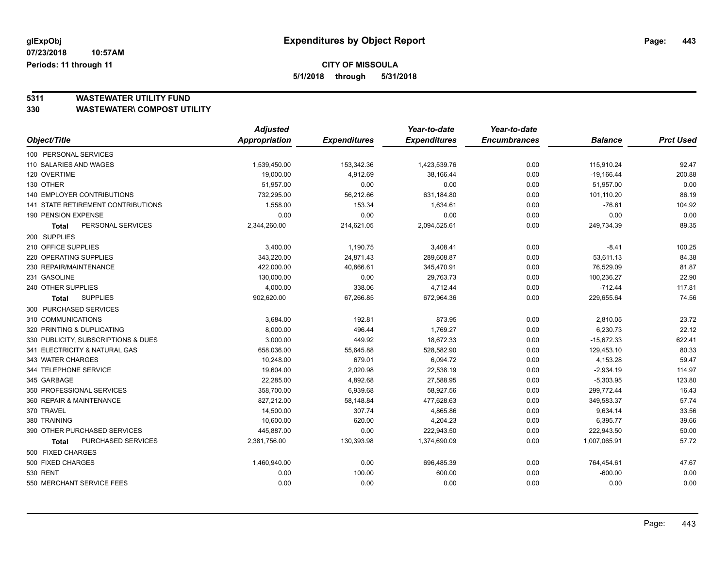# **5311 WASTEWATER UTILITY FUND**<br>330 WASTEWATER\ COMPOST UTI

|                                     | <b>Adjusted</b> |                     | Year-to-date        | Year-to-date        |                |                  |
|-------------------------------------|-----------------|---------------------|---------------------|---------------------|----------------|------------------|
| Object/Title                        | Appropriation   | <b>Expenditures</b> | <b>Expenditures</b> | <b>Encumbrances</b> | <b>Balance</b> | <b>Prct Used</b> |
| 100 PERSONAL SERVICES               |                 |                     |                     |                     |                |                  |
| 110 SALARIES AND WAGES              | 1,539,450.00    | 153,342.36          | 1,423,539.76        | 0.00                | 115,910.24     | 92.47            |
| 120 OVERTIME                        | 19.000.00       | 4,912.69            | 38.166.44           | 0.00                | $-19,166.44$   | 200.88           |
| 130 OTHER                           | 51,957.00       | 0.00                | 0.00                | 0.00                | 51,957.00      | 0.00             |
| <b>140 EMPLOYER CONTRIBUTIONS</b>   | 732,295.00      | 56,212.66           | 631,184.80          | 0.00                | 101,110.20     | 86.19            |
| 141 STATE RETIREMENT CONTRIBUTIONS  | 1,558.00        | 153.34              | 1,634.61            | 0.00                | $-76.61$       | 104.92           |
| 190 PENSION EXPENSE                 | 0.00            | 0.00                | 0.00                | 0.00                | 0.00           | 0.00             |
| PERSONAL SERVICES<br><b>Total</b>   | 2,344,260.00    | 214,621.05          | 2,094,525.61        | 0.00                | 249,734.39     | 89.35            |
| 200 SUPPLIES                        |                 |                     |                     |                     |                |                  |
| 210 OFFICE SUPPLIES                 | 3,400.00        | 1,190.75            | 3,408.41            | 0.00                | $-8.41$        | 100.25           |
| 220 OPERATING SUPPLIES              | 343,220.00      | 24,871.43           | 289,608.87          | 0.00                | 53,611.13      | 84.38            |
| 230 REPAIR/MAINTENANCE              | 422,000.00      | 40,866.61           | 345,470.91          | 0.00                | 76,529.09      | 81.87            |
| 231 GASOLINE                        | 130,000.00      | 0.00                | 29,763.73           | 0.00                | 100,236.27     | 22.90            |
| 240 OTHER SUPPLIES                  | 4,000.00        | 338.06              | 4,712.44            | 0.00                | $-712.44$      | 117.81           |
| <b>SUPPLIES</b><br>Total            | 902,620.00      | 67,266.85           | 672,964.36          | 0.00                | 229,655.64     | 74.56            |
| 300 PURCHASED SERVICES              |                 |                     |                     |                     |                |                  |
| 310 COMMUNICATIONS                  | 3,684.00        | 192.81              | 873.95              | 0.00                | 2,810.05       | 23.72            |
| 320 PRINTING & DUPLICATING          | 8,000.00        | 496.44              | 1,769.27            | 0.00                | 6,230.73       | 22.12            |
| 330 PUBLICITY, SUBSCRIPTIONS & DUES | 3,000.00        | 449.92              | 18,672.33           | 0.00                | $-15,672.33$   | 622.41           |
| 341 ELECTRICITY & NATURAL GAS       | 658,036.00      | 55,645.88           | 528,582.90          | 0.00                | 129,453.10     | 80.33            |
| 343 WATER CHARGES                   | 10,248.00       | 679.01              | 6,094.72            | 0.00                | 4,153.28       | 59.47            |
| 344 TELEPHONE SERVICE               | 19,604.00       | 2,020.98            | 22,538.19           | 0.00                | $-2,934.19$    | 114.97           |
| 345 GARBAGE                         | 22,285.00       | 4,892.68            | 27,588.95           | 0.00                | $-5,303.95$    | 123.80           |
| 350 PROFESSIONAL SERVICES           | 358,700.00      | 6,939.68            | 58,927.56           | 0.00                | 299,772.44     | 16.43            |
| 360 REPAIR & MAINTENANCE            | 827,212.00      | 58,148.84           | 477,628.63          | 0.00                | 349,583.37     | 57.74            |
| 370 TRAVEL                          | 14,500.00       | 307.74              | 4,865.86            | 0.00                | 9,634.14       | 33.56            |
| 380 TRAINING                        | 10,600.00       | 620.00              | 4,204.23            | 0.00                | 6,395.77       | 39.66            |
| 390 OTHER PURCHASED SERVICES        | 445,887.00      | 0.00                | 222,943.50          | 0.00                | 222,943.50     | 50.00            |
| PURCHASED SERVICES<br>Total         | 2,381,756.00    | 130,393.98          | 1,374,690.09        | 0.00                | 1,007,065.91   | 57.72            |
| 500 FIXED CHARGES                   |                 |                     |                     |                     |                |                  |
| 500 FIXED CHARGES                   | 1,460,940.00    | 0.00                | 696,485.39          | 0.00                | 764,454.61     | 47.67            |
| <b>530 RENT</b>                     | 0.00            | 100.00              | 600.00              | 0.00                | $-600.00$      | 0.00             |
| 550 MERCHANT SERVICE FEES           | 0.00            | 0.00                | 0.00                | 0.00                | 0.00           | 0.00             |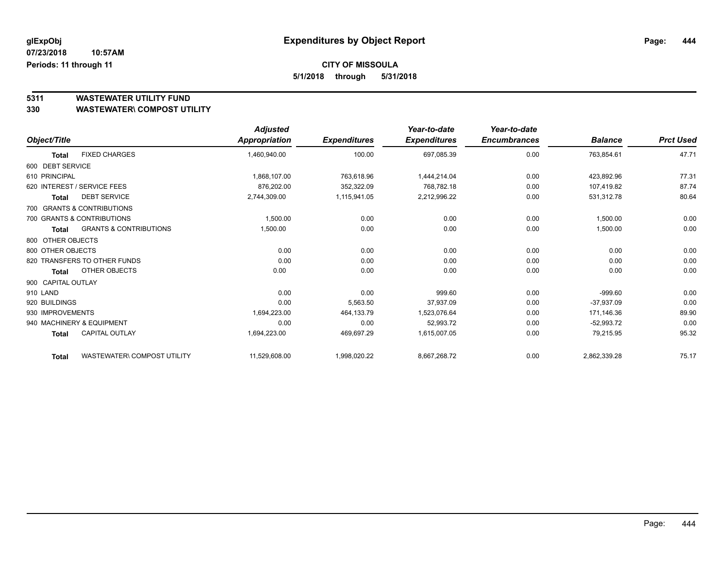# **5311 WASTEWATER UTILITY FUND**<br>330 WASTEWATER\ COMPOST UTI

|                    |                                    | <b>Adjusted</b> |                     | Year-to-date        | Year-to-date        |                |                  |
|--------------------|------------------------------------|-----------------|---------------------|---------------------|---------------------|----------------|------------------|
| Object/Title       |                                    | Appropriation   | <b>Expenditures</b> | <b>Expenditures</b> | <b>Encumbrances</b> | <b>Balance</b> | <b>Prct Used</b> |
| <b>Total</b>       | <b>FIXED CHARGES</b>               | 1,460,940.00    | 100.00              | 697,085.39          | 0.00                | 763,854.61     | 47.71            |
| 600 DEBT SERVICE   |                                    |                 |                     |                     |                     |                |                  |
| 610 PRINCIPAL      |                                    | 1,868,107.00    | 763,618.96          | 1,444,214.04        | 0.00                | 423,892.96     | 77.31            |
|                    | 620 INTEREST / SERVICE FEES        | 876,202.00      | 352,322.09          | 768,782.18          | 0.00                | 107,419.82     | 87.74            |
| <b>Total</b>       | <b>DEBT SERVICE</b>                | 2,744,309.00    | 1,115,941.05        | 2,212,996.22        | 0.00                | 531,312.78     | 80.64            |
|                    | 700 GRANTS & CONTRIBUTIONS         |                 |                     |                     |                     |                |                  |
|                    | 700 GRANTS & CONTRIBUTIONS         | 1,500.00        | 0.00                | 0.00                | 0.00                | 1,500.00       | 0.00             |
| <b>Total</b>       | <b>GRANTS &amp; CONTRIBUTIONS</b>  | 1,500.00        | 0.00                | 0.00                | 0.00                | 1,500.00       | 0.00             |
| 800 OTHER OBJECTS  |                                    |                 |                     |                     |                     |                |                  |
| 800 OTHER OBJECTS  |                                    | 0.00            | 0.00                | 0.00                | 0.00                | 0.00           | 0.00             |
|                    | 820 TRANSFERS TO OTHER FUNDS       | 0.00            | 0.00                | 0.00                | 0.00                | 0.00           | 0.00             |
| <b>Total</b>       | OTHER OBJECTS                      | 0.00            | 0.00                | 0.00                | 0.00                | 0.00           | 0.00             |
| 900 CAPITAL OUTLAY |                                    |                 |                     |                     |                     |                |                  |
| 910 LAND           |                                    | 0.00            | 0.00                | 999.60              | 0.00                | $-999.60$      | 0.00             |
| 920 BUILDINGS      |                                    | 0.00            | 5,563.50            | 37.937.09           | 0.00                | $-37.937.09$   | 0.00             |
| 930 IMPROVEMENTS   |                                    | 1,694,223.00    | 464,133.79          | 1,523,076.64        | 0.00                | 171,146.36     | 89.90            |
|                    | 940 MACHINERY & EQUIPMENT          | 0.00            | 0.00                | 52,993.72           | 0.00                | $-52,993.72$   | 0.00             |
| <b>Total</b>       | <b>CAPITAL OUTLAY</b>              | 1,694,223.00    | 469,697.29          | 1,615,007.05        | 0.00                | 79,215.95      | 95.32            |
| <b>Total</b>       | <b>WASTEWATER\ COMPOST UTILITY</b> | 11,529,608.00   | 1,998,020.22        | 8,667,268.72        | 0.00                | 2,862,339.28   | 75.17            |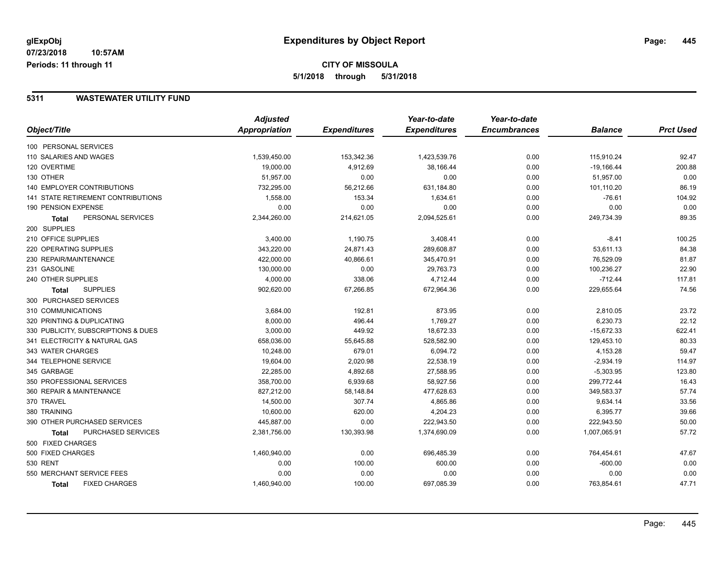#### **5311 WASTEWATER UTILITY FUND**

|                                      | <b>Adjusted</b> |                     | Year-to-date        | Year-to-date        |                |                  |
|--------------------------------------|-----------------|---------------------|---------------------|---------------------|----------------|------------------|
| Object/Title                         | Appropriation   | <b>Expenditures</b> | <b>Expenditures</b> | <b>Encumbrances</b> | <b>Balance</b> | <b>Prct Used</b> |
| 100 PERSONAL SERVICES                |                 |                     |                     |                     |                |                  |
| 110 SALARIES AND WAGES               | 1,539,450.00    | 153,342.36          | 1,423,539.76        | 0.00                | 115,910.24     | 92.47            |
| 120 OVERTIME                         | 19,000.00       | 4,912.69            | 38,166.44           | 0.00                | $-19,166.44$   | 200.88           |
| 130 OTHER                            | 51,957.00       | 0.00                | 0.00                | 0.00                | 51,957.00      | 0.00             |
| <b>140 EMPLOYER CONTRIBUTIONS</b>    | 732,295.00      | 56,212.66           | 631,184.80          | 0.00                | 101,110.20     | 86.19            |
| 141 STATE RETIREMENT CONTRIBUTIONS   | 1,558.00        | 153.34              | 1,634.61            | 0.00                | $-76.61$       | 104.92           |
| 190 PENSION EXPENSE                  | 0.00            | 0.00                | 0.00                | 0.00                | 0.00           | 0.00             |
| PERSONAL SERVICES<br>Total           | 2,344,260.00    | 214,621.05          | 2,094,525.61        | 0.00                | 249,734.39     | 89.35            |
| 200 SUPPLIES                         |                 |                     |                     |                     |                |                  |
| 210 OFFICE SUPPLIES                  | 3,400.00        | 1,190.75            | 3,408.41            | 0.00                | $-8.41$        | 100.25           |
| 220 OPERATING SUPPLIES               | 343,220.00      | 24,871.43           | 289,608.87          | 0.00                | 53,611.13      | 84.38            |
| 230 REPAIR/MAINTENANCE               | 422,000.00      | 40,866.61           | 345,470.91          | 0.00                | 76,529.09      | 81.87            |
| 231 GASOLINE                         | 130,000.00      | 0.00                | 29,763.73           | 0.00                | 100,236.27     | 22.90            |
| 240 OTHER SUPPLIES                   | 4,000.00        | 338.06              | 4,712.44            | 0.00                | $-712.44$      | 117.81           |
| <b>SUPPLIES</b><br><b>Total</b>      | 902,620.00      | 67,266.85           | 672,964.36          | 0.00                | 229,655.64     | 74.56            |
| 300 PURCHASED SERVICES               |                 |                     |                     |                     |                |                  |
| 310 COMMUNICATIONS                   | 3,684.00        | 192.81              | 873.95              | 0.00                | 2,810.05       | 23.72            |
| 320 PRINTING & DUPLICATING           | 8,000.00        | 496.44              | 1,769.27            | 0.00                | 6,230.73       | 22.12            |
| 330 PUBLICITY, SUBSCRIPTIONS & DUES  | 3,000.00        | 449.92              | 18,672.33           | 0.00                | $-15,672.33$   | 622.41           |
| 341 ELECTRICITY & NATURAL GAS        | 658,036.00      | 55,645.88           | 528,582.90          | 0.00                | 129,453.10     | 80.33            |
| 343 WATER CHARGES                    | 10,248.00       | 679.01              | 6,094.72            | 0.00                | 4,153.28       | 59.47            |
| 344 TELEPHONE SERVICE                | 19,604.00       | 2,020.98            | 22,538.19           | 0.00                | $-2,934.19$    | 114.97           |
| 345 GARBAGE                          | 22,285.00       | 4,892.68            | 27,588.95           | 0.00                | $-5,303.95$    | 123.80           |
| 350 PROFESSIONAL SERVICES            | 358,700.00      | 6,939.68            | 58,927.56           | 0.00                | 299,772.44     | 16.43            |
| 360 REPAIR & MAINTENANCE             | 827,212.00      | 58,148.84           | 477,628.63          | 0.00                | 349,583.37     | 57.74            |
| 370 TRAVEL                           | 14,500.00       | 307.74              | 4,865.86            | 0.00                | 9,634.14       | 33.56            |
| 380 TRAINING                         | 10,600.00       | 620.00              | 4,204.23            | 0.00                | 6,395.77       | 39.66            |
| 390 OTHER PURCHASED SERVICES         | 445,887.00      | 0.00                | 222,943.50          | 0.00                | 222,943.50     | 50.00            |
| PURCHASED SERVICES<br>Total          | 2,381,756.00    | 130,393.98          | 1,374,690.09        | 0.00                | 1,007,065.91   | 57.72            |
| 500 FIXED CHARGES                    |                 |                     |                     |                     |                |                  |
| 500 FIXED CHARGES                    | 1,460,940.00    | 0.00                | 696,485.39          | 0.00                | 764,454.61     | 47.67            |
| 530 RENT                             | 0.00            | 100.00              | 600.00              | 0.00                | $-600.00$      | 0.00             |
| 550 MERCHANT SERVICE FEES            | 0.00            | 0.00                | 0.00                | 0.00                | 0.00           | 0.00             |
| <b>FIXED CHARGES</b><br><b>Total</b> | 1,460,940.00    | 100.00              | 697,085.39          | 0.00                | 763,854.61     | 47.71            |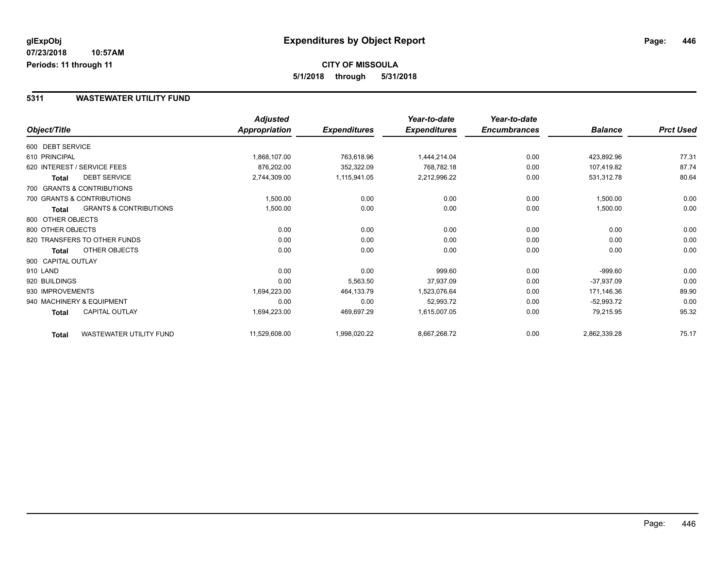### **5311 WASTEWATER UTILITY FUND**

|                    |                                   | <b>Adjusted</b> |                     | Year-to-date        | Year-to-date        |                |                  |
|--------------------|-----------------------------------|-----------------|---------------------|---------------------|---------------------|----------------|------------------|
| Object/Title       |                                   | Appropriation   | <b>Expenditures</b> | <b>Expenditures</b> | <b>Encumbrances</b> | <b>Balance</b> | <b>Prct Used</b> |
| 600 DEBT SERVICE   |                                   |                 |                     |                     |                     |                |                  |
| 610 PRINCIPAL      |                                   | 1,868,107.00    | 763,618.96          | 1,444,214.04        | 0.00                | 423,892.96     | 77.31            |
|                    | 620 INTEREST / SERVICE FEES       | 876,202.00      | 352,322.09          | 768,782.18          | 0.00                | 107,419.82     | 87.74            |
| <b>Total</b>       | <b>DEBT SERVICE</b>               | 2,744,309.00    | 1,115,941.05        | 2,212,996.22        | 0.00                | 531,312.78     | 80.64            |
|                    | 700 GRANTS & CONTRIBUTIONS        |                 |                     |                     |                     |                |                  |
|                    | 700 GRANTS & CONTRIBUTIONS        | 1,500.00        | 0.00                | 0.00                | 0.00                | 1,500.00       | 0.00             |
| <b>Total</b>       | <b>GRANTS &amp; CONTRIBUTIONS</b> | 1,500.00        | 0.00                | 0.00                | 0.00                | 1,500.00       | 0.00             |
| 800 OTHER OBJECTS  |                                   |                 |                     |                     |                     |                |                  |
| 800 OTHER OBJECTS  |                                   | 0.00            | 0.00                | 0.00                | 0.00                | 0.00           | 0.00             |
|                    | 820 TRANSFERS TO OTHER FUNDS      | 0.00            | 0.00                | 0.00                | 0.00                | 0.00           | 0.00             |
| Total              | <b>OTHER OBJECTS</b>              | 0.00            | 0.00                | 0.00                | 0.00                | 0.00           | 0.00             |
| 900 CAPITAL OUTLAY |                                   |                 |                     |                     |                     |                |                  |
| 910 LAND           |                                   | 0.00            | 0.00                | 999.60              | 0.00                | $-999.60$      | 0.00             |
| 920 BUILDINGS      |                                   | 0.00            | 5,563.50            | 37,937.09           | 0.00                | $-37,937.09$   | 0.00             |
| 930 IMPROVEMENTS   |                                   | 1,694,223.00    | 464,133.79          | 1,523,076.64        | 0.00                | 171,146.36     | 89.90            |
|                    | 940 MACHINERY & EQUIPMENT         | 0.00            | 0.00                | 52,993.72           | 0.00                | $-52,993.72$   | 0.00             |
| Total              | <b>CAPITAL OUTLAY</b>             | 1,694,223.00    | 469,697.29          | 1,615,007.05        | 0.00                | 79,215.95      | 95.32            |
| <b>Total</b>       | WASTEWATER UTILITY FUND           | 11,529,608.00   | 1,998,020.22        | 8,667,268.72        | 0.00                | 2,862,339.28   | 75.17            |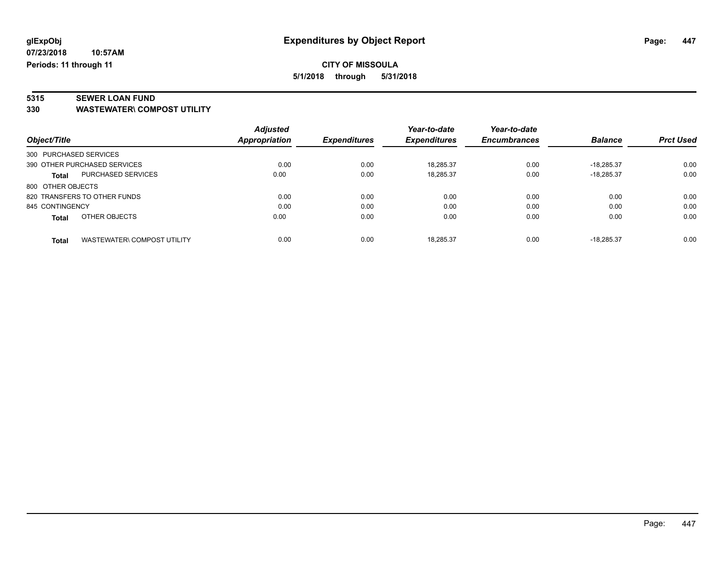**CITY OF MISSOULA 5/1/2018 through 5/31/2018**

# **5315 SEWER LOAN FUND**

|                        |                                    | <b>Adjusted</b>      |                     | Year-to-date        | Year-to-date        |                |                  |
|------------------------|------------------------------------|----------------------|---------------------|---------------------|---------------------|----------------|------------------|
| Object/Title           |                                    | <b>Appropriation</b> | <b>Expenditures</b> | <b>Expenditures</b> | <b>Encumbrances</b> | <b>Balance</b> | <b>Prct Used</b> |
| 300 PURCHASED SERVICES |                                    |                      |                     |                     |                     |                |                  |
|                        | 390 OTHER PURCHASED SERVICES       | 0.00                 | 0.00                | 18.285.37           | 0.00                | $-18.285.37$   | 0.00             |
| <b>Total</b>           | <b>PURCHASED SERVICES</b>          | 0.00                 | 0.00                | 18,285.37           | 0.00                | $-18.285.37$   | 0.00             |
| 800 OTHER OBJECTS      |                                    |                      |                     |                     |                     |                |                  |
|                        | 820 TRANSFERS TO OTHER FUNDS       | 0.00                 | 0.00                | 0.00                | 0.00                | 0.00           | 0.00             |
| 845 CONTINGENCY        |                                    | 0.00                 | 0.00                | 0.00                | 0.00                | 0.00           | 0.00             |
| <b>Total</b>           | OTHER OBJECTS                      | 0.00                 | 0.00                | 0.00                | 0.00                | 0.00           | 0.00             |
| <b>Total</b>           | <b>WASTEWATER\ COMPOST UTILITY</b> | 0.00                 | 0.00                | 18.285.37           | 0.00                | $-18.285.37$   | 0.00             |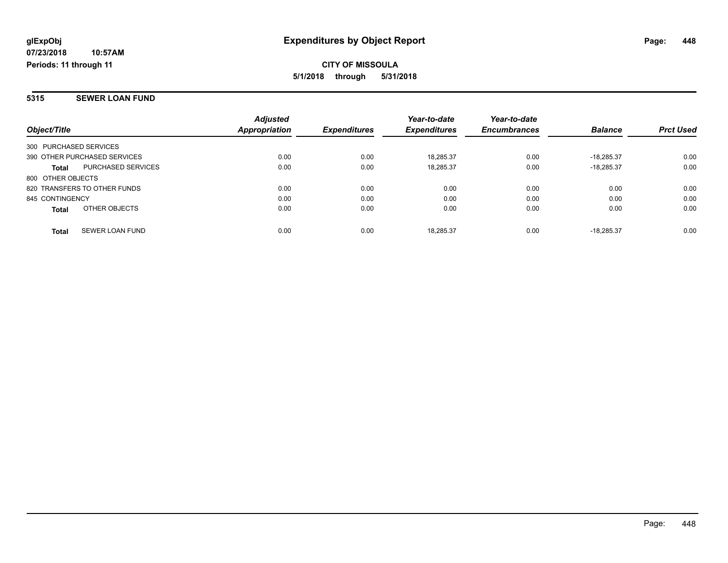#### **5315 SEWER LOAN FUND**

|                                        | <b>Adjusted</b> |                     | Year-to-date        | Year-to-date        |                |                  |
|----------------------------------------|-----------------|---------------------|---------------------|---------------------|----------------|------------------|
| Object/Title                           | Appropriation   | <b>Expenditures</b> | <b>Expenditures</b> | <b>Encumbrances</b> | <b>Balance</b> | <b>Prct Used</b> |
| 300 PURCHASED SERVICES                 |                 |                     |                     |                     |                |                  |
| 390 OTHER PURCHASED SERVICES           | 0.00            | 0.00                | 18.285.37           | 0.00                | $-18.285.37$   | 0.00             |
| PURCHASED SERVICES<br><b>Total</b>     | 0.00            | 0.00                | 18,285.37           | 0.00                | $-18.285.37$   | 0.00             |
| 800 OTHER OBJECTS                      |                 |                     |                     |                     |                |                  |
| 820 TRANSFERS TO OTHER FUNDS           | 0.00            | 0.00                | 0.00                | 0.00                | 0.00           | 0.00             |
| 845 CONTINGENCY                        | 0.00            | 0.00                | 0.00                | 0.00                | 0.00           | 0.00             |
| OTHER OBJECTS<br><b>Total</b>          | 0.00            | 0.00                | 0.00                | 0.00                | 0.00           | 0.00             |
| <b>SEWER LOAN FUND</b><br><b>Total</b> | 0.00            | 0.00                | 18.285.37           | 0.00                | $-18.285.37$   | 0.00             |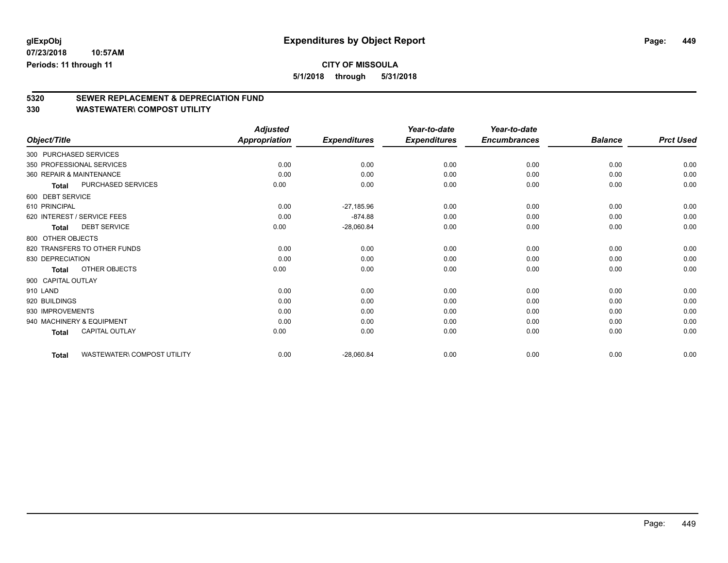# **5320 SEWER REPLACEMENT & DEPRECIATION FUND**

|                          |                                    | <b>Adjusted</b>      |                     | Year-to-date        | Year-to-date        |                |                  |
|--------------------------|------------------------------------|----------------------|---------------------|---------------------|---------------------|----------------|------------------|
| Object/Title             |                                    | <b>Appropriation</b> | <b>Expenditures</b> | <b>Expenditures</b> | <b>Encumbrances</b> | <b>Balance</b> | <b>Prct Used</b> |
| 300 PURCHASED SERVICES   |                                    |                      |                     |                     |                     |                |                  |
|                          | 350 PROFESSIONAL SERVICES          | 0.00                 | 0.00                | 0.00                | 0.00                | 0.00           | 0.00             |
| 360 REPAIR & MAINTENANCE |                                    | 0.00                 | 0.00                | 0.00                | 0.00                | 0.00           | 0.00             |
| <b>Total</b>             | PURCHASED SERVICES                 | 0.00                 | 0.00                | 0.00                | 0.00                | 0.00           | 0.00             |
| 600 DEBT SERVICE         |                                    |                      |                     |                     |                     |                |                  |
| 610 PRINCIPAL            |                                    | 0.00                 | $-27,185.96$        | 0.00                | 0.00                | 0.00           | 0.00             |
|                          | 620 INTEREST / SERVICE FEES        | 0.00                 | $-874.88$           | 0.00                | 0.00                | 0.00           | 0.00             |
| <b>Total</b>             | <b>DEBT SERVICE</b>                | 0.00                 | $-28,060.84$        | 0.00                | 0.00                | 0.00           | 0.00             |
| 800 OTHER OBJECTS        |                                    |                      |                     |                     |                     |                |                  |
|                          | 820 TRANSFERS TO OTHER FUNDS       | 0.00                 | 0.00                | 0.00                | 0.00                | 0.00           | 0.00             |
| 830 DEPRECIATION         |                                    | 0.00                 | 0.00                | 0.00                | 0.00                | 0.00           | 0.00             |
| <b>Total</b>             | OTHER OBJECTS                      | 0.00                 | 0.00                | 0.00                | 0.00                | 0.00           | 0.00             |
| 900 CAPITAL OUTLAY       |                                    |                      |                     |                     |                     |                |                  |
| 910 LAND                 |                                    | 0.00                 | 0.00                | 0.00                | 0.00                | 0.00           | 0.00             |
| 920 BUILDINGS            |                                    | 0.00                 | 0.00                | 0.00                | 0.00                | 0.00           | 0.00             |
| 930 IMPROVEMENTS         |                                    | 0.00                 | 0.00                | 0.00                | 0.00                | 0.00           | 0.00             |
|                          | 940 MACHINERY & EQUIPMENT          | 0.00                 | 0.00                | 0.00                | 0.00                | 0.00           | 0.00             |
| <b>Total</b>             | <b>CAPITAL OUTLAY</b>              | 0.00                 | 0.00                | 0.00                | 0.00                | 0.00           | 0.00             |
| <b>Total</b>             | <b>WASTEWATER\ COMPOST UTILITY</b> | 0.00                 | $-28,060.84$        | 0.00                | 0.00                | 0.00           | 0.00             |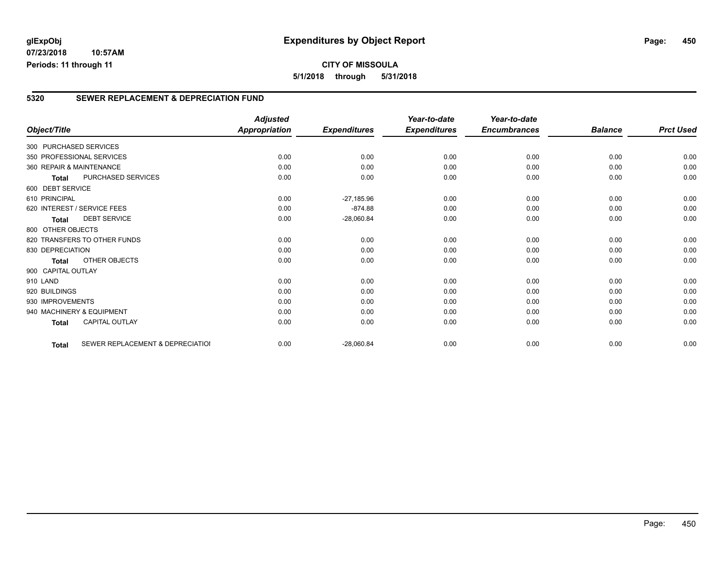# **5320 SEWER REPLACEMENT & DEPRECIATION FUND**

|                          |                                  | <b>Adjusted</b>      |                     | Year-to-date        | Year-to-date        |                |                  |
|--------------------------|----------------------------------|----------------------|---------------------|---------------------|---------------------|----------------|------------------|
| Object/Title             |                                  | <b>Appropriation</b> | <b>Expenditures</b> | <b>Expenditures</b> | <b>Encumbrances</b> | <b>Balance</b> | <b>Prct Used</b> |
| 300 PURCHASED SERVICES   |                                  |                      |                     |                     |                     |                |                  |
|                          | 350 PROFESSIONAL SERVICES        | 0.00                 | 0.00                | 0.00                | 0.00                | 0.00           | 0.00             |
| 360 REPAIR & MAINTENANCE |                                  | 0.00                 | 0.00                | 0.00                | 0.00                | 0.00           | 0.00             |
| Total                    | PURCHASED SERVICES               | 0.00                 | 0.00                | 0.00                | 0.00                | 0.00           | 0.00             |
| 600 DEBT SERVICE         |                                  |                      |                     |                     |                     |                |                  |
| 610 PRINCIPAL            |                                  | 0.00                 | $-27,185.96$        | 0.00                | 0.00                | 0.00           | 0.00             |
|                          | 620 INTEREST / SERVICE FEES      | 0.00                 | $-874.88$           | 0.00                | 0.00                | 0.00           | 0.00             |
| <b>Total</b>             | <b>DEBT SERVICE</b>              | 0.00                 | $-28,060.84$        | 0.00                | 0.00                | 0.00           | 0.00             |
| 800 OTHER OBJECTS        |                                  |                      |                     |                     |                     |                |                  |
|                          | 820 TRANSFERS TO OTHER FUNDS     | 0.00                 | 0.00                | 0.00                | 0.00                | 0.00           | 0.00             |
| 830 DEPRECIATION         |                                  | 0.00                 | 0.00                | 0.00                | 0.00                | 0.00           | 0.00             |
| Total                    | OTHER OBJECTS                    | 0.00                 | 0.00                | 0.00                | 0.00                | 0.00           | 0.00             |
| 900 CAPITAL OUTLAY       |                                  |                      |                     |                     |                     |                |                  |
| 910 LAND                 |                                  | 0.00                 | 0.00                | 0.00                | 0.00                | 0.00           | 0.00             |
| 920 BUILDINGS            |                                  | 0.00                 | 0.00                | 0.00                | 0.00                | 0.00           | 0.00             |
| 930 IMPROVEMENTS         |                                  | 0.00                 | 0.00                | 0.00                | 0.00                | 0.00           | 0.00             |
|                          | 940 MACHINERY & EQUIPMENT        | 0.00                 | 0.00                | 0.00                | 0.00                | 0.00           | 0.00             |
| <b>Total</b>             | CAPITAL OUTLAY                   | 0.00                 | 0.00                | 0.00                | 0.00                | 0.00           | 0.00             |
| Total                    | SEWER REPLACEMENT & DEPRECIATION | 0.00                 | $-28,060.84$        | 0.00                | 0.00                | 0.00           | 0.00             |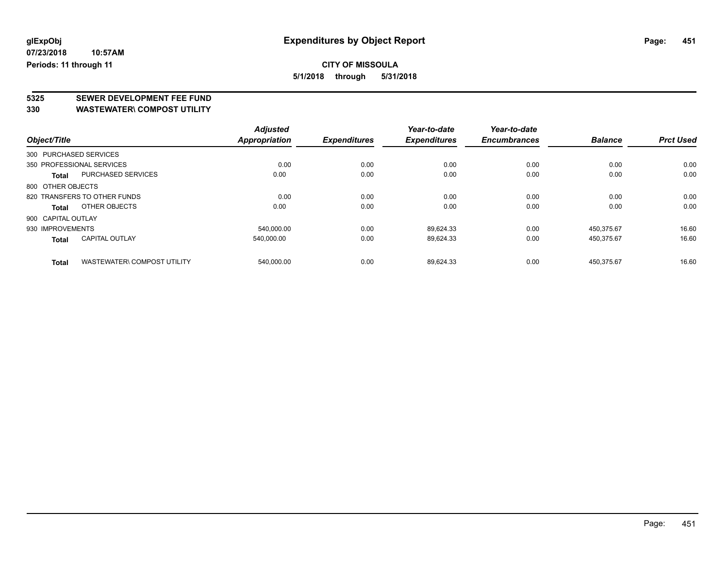# **5325 SEWER DEVELOPMENT FEE FUND<br>330 WASTEWATER\ COMPOST UTILITY**

| Object/Title                              |                                    | <b>Adjusted</b><br><b>Appropriation</b> | <b>Expenditures</b> | Year-to-date<br><b>Expenditures</b> | Year-to-date<br><b>Encumbrances</b> | <b>Balance</b> | <b>Prct Used</b> |
|-------------------------------------------|------------------------------------|-----------------------------------------|---------------------|-------------------------------------|-------------------------------------|----------------|------------------|
|                                           |                                    |                                         |                     |                                     |                                     |                |                  |
| 300 PURCHASED SERVICES                    |                                    |                                         |                     |                                     |                                     |                |                  |
| 350 PROFESSIONAL SERVICES                 |                                    | 0.00                                    | 0.00                | 0.00                                | 0.00                                | 0.00           | 0.00             |
| <b>PURCHASED SERVICES</b><br><b>Total</b> |                                    | 0.00                                    | 0.00                | 0.00                                | 0.00                                | 0.00           | 0.00             |
| 800 OTHER OBJECTS                         |                                    |                                         |                     |                                     |                                     |                |                  |
| 820 TRANSFERS TO OTHER FUNDS              |                                    | 0.00                                    | 0.00                | 0.00                                | 0.00                                | 0.00           | 0.00             |
| OTHER OBJECTS<br><b>Total</b>             |                                    | 0.00                                    | 0.00                | 0.00                                | 0.00                                | 0.00           | 0.00             |
| 900 CAPITAL OUTLAY                        |                                    |                                         |                     |                                     |                                     |                |                  |
| 930 IMPROVEMENTS                          |                                    | 540.000.00                              | 0.00                | 89.624.33                           | 0.00                                | 450.375.67     | 16.60            |
| <b>CAPITAL OUTLAY</b><br><b>Total</b>     |                                    | 540.000.00                              | 0.00                | 89.624.33                           | 0.00                                | 450.375.67     | 16.60            |
| <b>Total</b>                              | <b>WASTEWATER\ COMPOST UTILITY</b> | 540.000.00                              | 0.00                | 89.624.33                           | 0.00                                | 450.375.67     | 16.60            |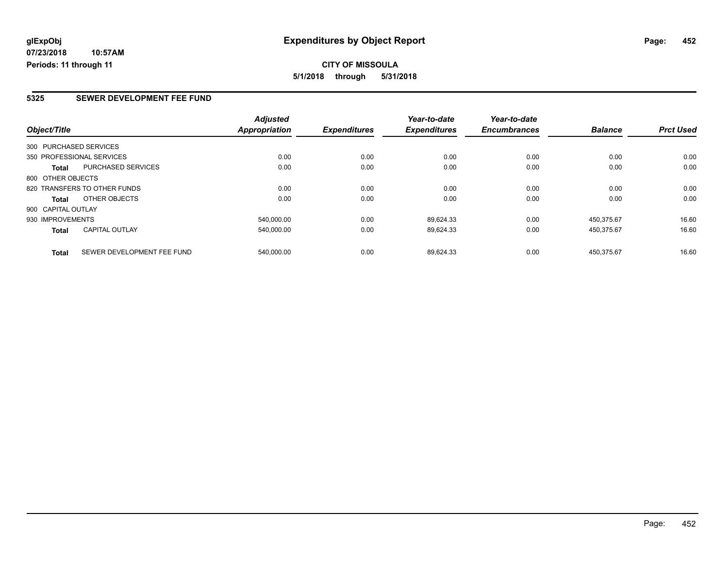## **CITY OF MISSOULA 5/1/2018 through 5/31/2018**

### **5325 SEWER DEVELOPMENT FEE FUND**

|                    |                              | <b>Adjusted</b>      |                     | Year-to-date        | Year-to-date        |                |                  |
|--------------------|------------------------------|----------------------|---------------------|---------------------|---------------------|----------------|------------------|
| Object/Title       |                              | <b>Appropriation</b> | <b>Expenditures</b> | <b>Expenditures</b> | <b>Encumbrances</b> | <b>Balance</b> | <b>Prct Used</b> |
|                    | 300 PURCHASED SERVICES       |                      |                     |                     |                     |                |                  |
|                    | 350 PROFESSIONAL SERVICES    | 0.00                 | 0.00                | 0.00                | 0.00                | 0.00           | 0.00             |
| Total              | PURCHASED SERVICES           | 0.00                 | 0.00                | 0.00                | 0.00                | 0.00           | 0.00             |
| 800 OTHER OBJECTS  |                              |                      |                     |                     |                     |                |                  |
|                    | 820 TRANSFERS TO OTHER FUNDS | 0.00                 | 0.00                | 0.00                | 0.00                | 0.00           | 0.00             |
| Total              | OTHER OBJECTS                | 0.00                 | 0.00                | 0.00                | 0.00                | 0.00           | 0.00             |
| 900 CAPITAL OUTLAY |                              |                      |                     |                     |                     |                |                  |
| 930 IMPROVEMENTS   |                              | 540,000.00           | 0.00                | 89.624.33           | 0.00                | 450.375.67     | 16.60            |
| <b>Total</b>       | <b>CAPITAL OUTLAY</b>        | 540.000.00           | 0.00                | 89.624.33           | 0.00                | 450,375.67     | 16.60            |
| <b>Total</b>       | SEWER DEVELOPMENT FEE FUND   | 540.000.00           | 0.00                | 89.624.33           | 0.00                | 450.375.67     | 16.60            |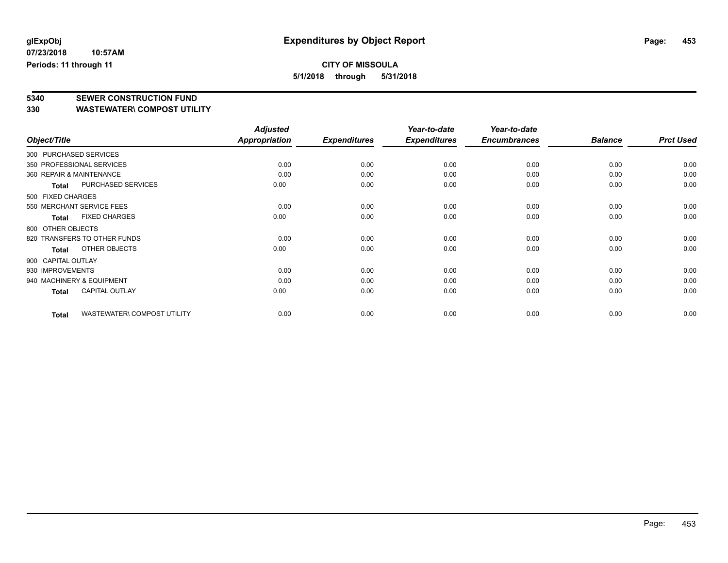# **5340 SEWER CONSTRUCTION FUND<br>330 WASTEWATER\ COMPOST UTILI**

| Object/Title             |                                    | <b>Adjusted</b><br>Appropriation | <b>Expenditures</b> | Year-to-date<br><b>Expenditures</b> | Year-to-date<br><b>Encumbrances</b> | <b>Balance</b> | <b>Prct Used</b> |
|--------------------------|------------------------------------|----------------------------------|---------------------|-------------------------------------|-------------------------------------|----------------|------------------|
| 300 PURCHASED SERVICES   |                                    |                                  |                     |                                     |                                     |                |                  |
|                          | 350 PROFESSIONAL SERVICES          | 0.00                             | 0.00                | 0.00                                | 0.00                                | 0.00           | 0.00             |
| 360 REPAIR & MAINTENANCE |                                    | 0.00                             | 0.00                | 0.00                                | 0.00                                | 0.00           | 0.00             |
| Total                    | PURCHASED SERVICES                 | 0.00                             | 0.00                | 0.00                                | 0.00                                | 0.00           | 0.00             |
| 500 FIXED CHARGES        |                                    |                                  |                     |                                     |                                     |                |                  |
|                          | 550 MERCHANT SERVICE FEES          | 0.00                             | 0.00                | 0.00                                | 0.00                                | 0.00           | 0.00             |
| Total                    | <b>FIXED CHARGES</b>               | 0.00                             | 0.00                | 0.00                                | 0.00                                | 0.00           | 0.00             |
| 800 OTHER OBJECTS        |                                    |                                  |                     |                                     |                                     |                |                  |
|                          | 820 TRANSFERS TO OTHER FUNDS       | 0.00                             | 0.00                | 0.00                                | 0.00                                | 0.00           | 0.00             |
| Total                    | OTHER OBJECTS                      | 0.00                             | 0.00                | 0.00                                | 0.00                                | 0.00           | 0.00             |
| 900 CAPITAL OUTLAY       |                                    |                                  |                     |                                     |                                     |                |                  |
| 930 IMPROVEMENTS         |                                    | 0.00                             | 0.00                | 0.00                                | 0.00                                | 0.00           | 0.00             |
|                          | 940 MACHINERY & EQUIPMENT          | 0.00                             | 0.00                | 0.00                                | 0.00                                | 0.00           | 0.00             |
| <b>Total</b>             | <b>CAPITAL OUTLAY</b>              | 0.00                             | 0.00                | 0.00                                | 0.00                                | 0.00           | 0.00             |
| <b>Total</b>             | <b>WASTEWATER\ COMPOST UTILITY</b> | 0.00                             | 0.00                | 0.00                                | 0.00                                | 0.00           | 0.00             |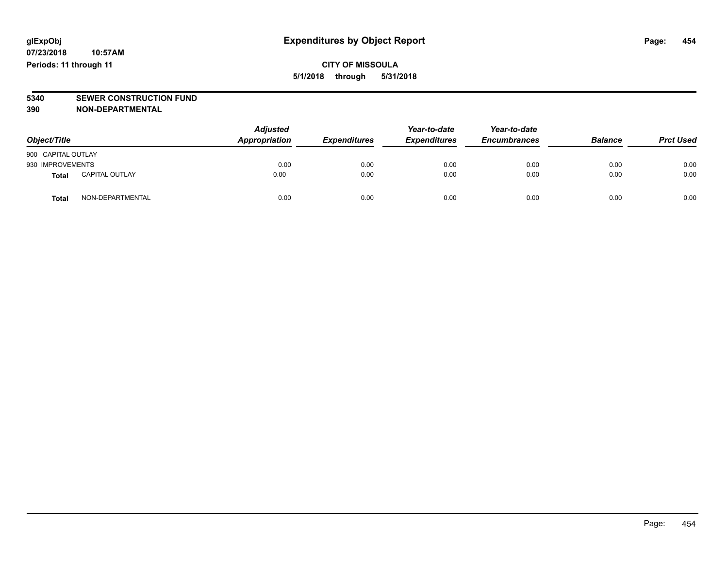# **5340 SEWER CONSTRUCTION FUND**

**390 NON-DEPARTMENTAL**

| Object/Title       |                       | <b>Adjusted</b><br>Appropriation | <b>Expenditures</b> | Year-to-date<br><b>Expenditures</b> | Year-to-date<br><b>Encumbrances</b> | <b>Balance</b> | <b>Prct Used</b> |
|--------------------|-----------------------|----------------------------------|---------------------|-------------------------------------|-------------------------------------|----------------|------------------|
| 900 CAPITAL OUTLAY |                       |                                  |                     |                                     |                                     |                |                  |
| 930 IMPROVEMENTS   |                       | 0.00                             | 0.00                | 0.00                                | 0.00                                | 0.00           | 0.00             |
| <b>Total</b>       | <b>CAPITAL OUTLAY</b> | 0.00                             | 0.00                | 0.00                                | 0.00                                | 0.00           | 0.00             |
| Total              | NON-DEPARTMENTAL      | 0.00                             | 0.00                | 0.00                                | 0.00                                | 0.00           | 0.00             |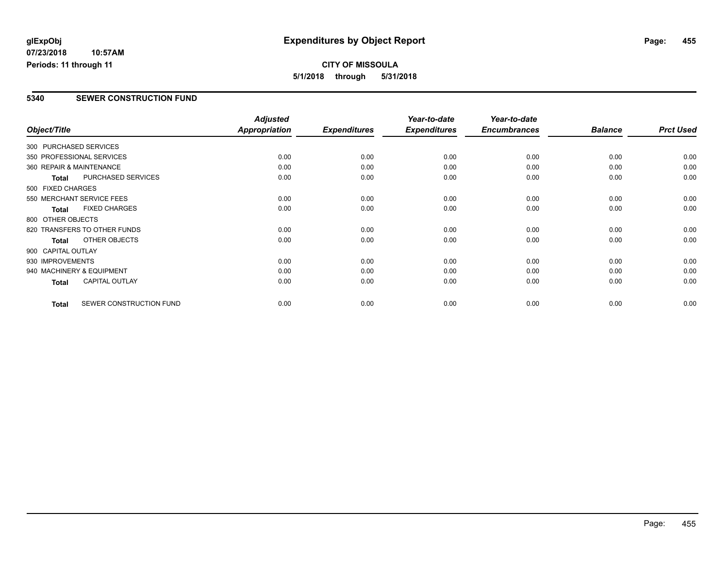## **CITY OF MISSOULA 5/1/2018 through 5/31/2018**

#### **5340 SEWER CONSTRUCTION FUND**

| Object/Title              |                              | <b>Adjusted</b><br><b>Appropriation</b> | <b>Expenditures</b> | Year-to-date<br><b>Expenditures</b> | Year-to-date<br><b>Encumbrances</b> | <b>Balance</b> | <b>Prct Used</b> |
|---------------------------|------------------------------|-----------------------------------------|---------------------|-------------------------------------|-------------------------------------|----------------|------------------|
| 300 PURCHASED SERVICES    |                              |                                         |                     |                                     |                                     |                |                  |
|                           | 350 PROFESSIONAL SERVICES    | 0.00                                    | 0.00                | 0.00                                | 0.00                                | 0.00           | 0.00             |
| 360 REPAIR & MAINTENANCE  |                              | 0.00                                    | 0.00                | 0.00                                | 0.00                                | 0.00           | 0.00             |
| Total                     | PURCHASED SERVICES           | 0.00                                    | 0.00                | 0.00                                | 0.00                                | 0.00           | 0.00             |
| 500 FIXED CHARGES         |                              |                                         |                     |                                     |                                     |                |                  |
|                           | 550 MERCHANT SERVICE FEES    | 0.00                                    | 0.00                | 0.00                                | 0.00                                | 0.00           | 0.00             |
| Total                     | <b>FIXED CHARGES</b>         | 0.00                                    | 0.00                | 0.00                                | 0.00                                | 0.00           | 0.00             |
| 800 OTHER OBJECTS         |                              |                                         |                     |                                     |                                     |                |                  |
|                           | 820 TRANSFERS TO OTHER FUNDS | 0.00                                    | 0.00                | 0.00                                | 0.00                                | 0.00           | 0.00             |
| <b>Total</b>              | OTHER OBJECTS                | 0.00                                    | 0.00                | 0.00                                | 0.00                                | 0.00           | 0.00             |
| 900 CAPITAL OUTLAY        |                              |                                         |                     |                                     |                                     |                |                  |
| 930 IMPROVEMENTS          |                              | 0.00                                    | 0.00                | 0.00                                | 0.00                                | 0.00           | 0.00             |
| 940 MACHINERY & EQUIPMENT |                              | 0.00                                    | 0.00                | 0.00                                | 0.00                                | 0.00           | 0.00             |
| <b>Total</b>              | <b>CAPITAL OUTLAY</b>        | 0.00                                    | 0.00                | 0.00                                | 0.00                                | 0.00           | 0.00             |
| <b>Total</b>              | SEWER CONSTRUCTION FUND      | 0.00                                    | 0.00                | 0.00                                | 0.00                                | 0.00           | 0.00             |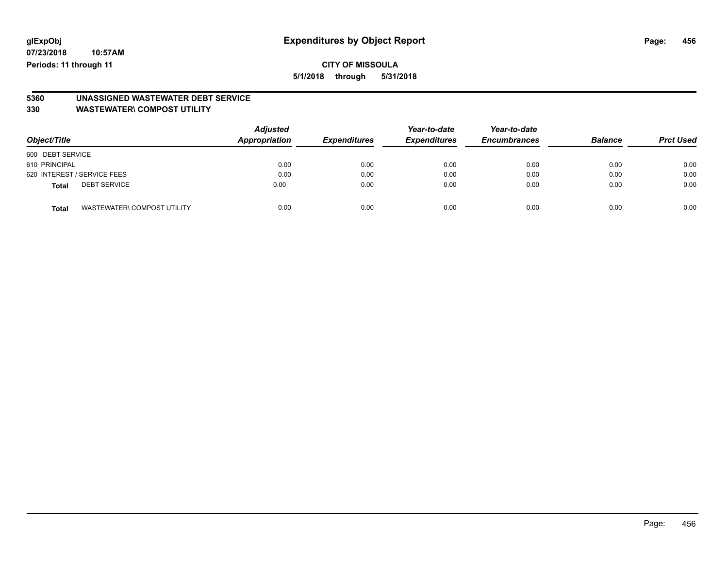#### **5360 UNASSIGNED WASTEWATER DEBT SERVICE 330 WASTEWATER\ COMPOST UTILITY**

|                                                    | <b>Adjusted</b> |                     | Year-to-date<br><b>Expenditures</b> | Year-to-date<br><b>Encumbrances</b> |                |                  |
|----------------------------------------------------|-----------------|---------------------|-------------------------------------|-------------------------------------|----------------|------------------|
| Object/Title                                       | Appropriation   | <b>Expenditures</b> |                                     |                                     | <b>Balance</b> | <b>Prct Used</b> |
| 600 DEBT SERVICE                                   |                 |                     |                                     |                                     |                |                  |
| 610 PRINCIPAL                                      | 0.00            | 0.00                | 0.00                                | 0.00                                | 0.00           | 0.00             |
| 620 INTEREST / SERVICE FEES                        | 0.00            | 0.00                | 0.00                                | 0.00                                | 0.00           | 0.00             |
| <b>DEBT SERVICE</b><br>Total                       | 0.00            | 0.00                | 0.00                                | 0.00                                | 0.00           | 0.00             |
| <b>WASTEWATER\ COMPOST UTILITY</b><br><b>Total</b> | 0.00            | 0.00                | 0.00                                | 0.00                                | 0.00           | 0.00             |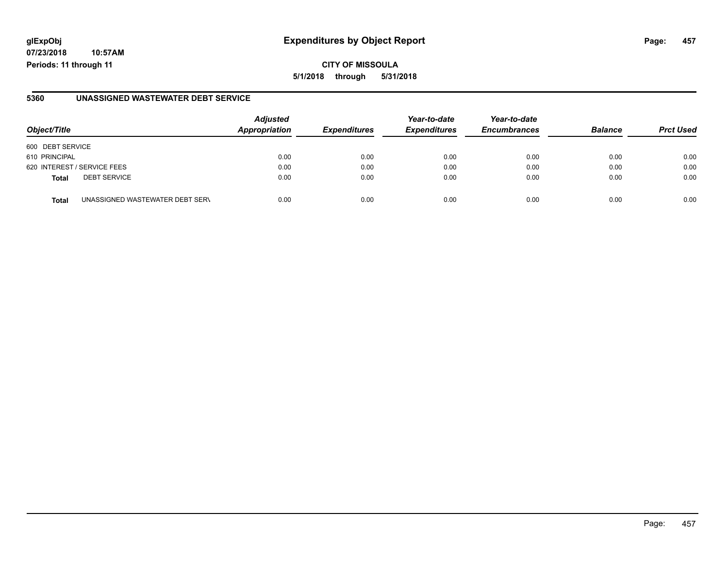### **glExpObj Expenditures by Object Report Page: 457**

**07/23/2018 10:57AM Periods: 11 through 11**

**CITY OF MISSOULA 5/1/2018 through 5/31/2018**

#### **5360 UNASSIGNED WASTEWATER DEBT SERVICE**

| Object/Title     |                                 | <b>Adjusted</b><br>Appropriation | <b>Expenditures</b> | Year-to-date<br><b>Expenditures</b> | Year-to-date<br><b>Encumbrances</b> | <b>Balance</b> | <b>Prct Used</b> |
|------------------|---------------------------------|----------------------------------|---------------------|-------------------------------------|-------------------------------------|----------------|------------------|
| 600 DEBT SERVICE |                                 |                                  |                     |                                     |                                     |                |                  |
| 610 PRINCIPAL    |                                 | 0.00                             | 0.00                | 0.00                                | 0.00                                | 0.00           | 0.00             |
|                  | 620 INTEREST / SERVICE FEES     | 0.00                             | 0.00                | 0.00                                | 0.00                                | 0.00           | 0.00             |
| <b>Total</b>     | <b>DEBT SERVICE</b>             | 0.00                             | 0.00                | 0.00                                | 0.00                                | 0.00           | 0.00             |
| <b>Total</b>     | UNASSIGNED WASTEWATER DEBT SERV | 0.00                             | 0.00                | 0.00                                | 0.00                                | 0.00           | 0.00             |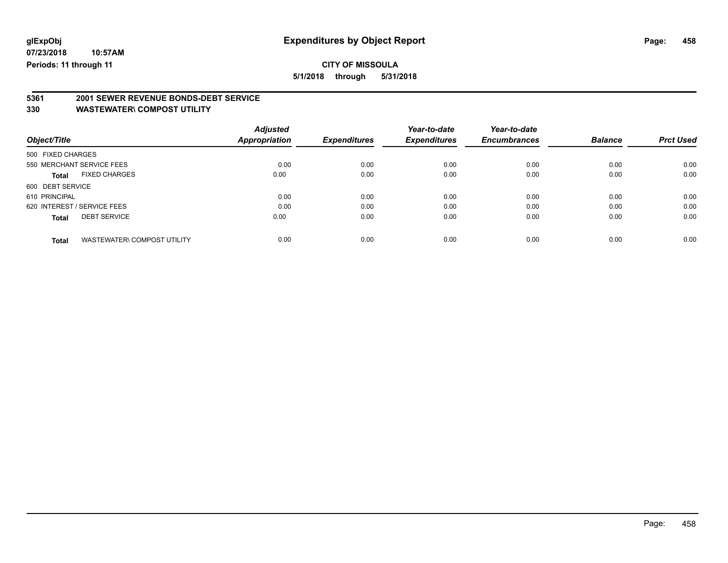# **5361 2001 SEWER REVENUE BONDS-DEBT SERVICE**

| Object/Title                |                                    | <b>Adjusted</b><br><b>Appropriation</b> | <b>Expenditures</b> | Year-to-date<br><b>Expenditures</b> | Year-to-date<br><b>Encumbrances</b> | <b>Balance</b> | <b>Prct Used</b> |
|-----------------------------|------------------------------------|-----------------------------------------|---------------------|-------------------------------------|-------------------------------------|----------------|------------------|
| 500 FIXED CHARGES           |                                    |                                         |                     |                                     |                                     |                |                  |
|                             | 550 MERCHANT SERVICE FEES          | 0.00                                    | 0.00                | 0.00                                | 0.00                                | 0.00           | 0.00             |
| Total                       | <b>FIXED CHARGES</b>               | 0.00                                    | 0.00                | 0.00                                | 0.00                                | 0.00           | 0.00             |
| 600 DEBT SERVICE            |                                    |                                         |                     |                                     |                                     |                |                  |
| 610 PRINCIPAL               |                                    | 0.00                                    | 0.00                | 0.00                                | 0.00                                | 0.00           | 0.00             |
| 620 INTEREST / SERVICE FEES |                                    | 0.00                                    | 0.00                | 0.00                                | 0.00                                | 0.00           | 0.00             |
| <b>Total</b>                | <b>DEBT SERVICE</b>                | 0.00                                    | 0.00                | 0.00                                | 0.00                                | 0.00           | 0.00             |
| <b>Total</b>                | <b>WASTEWATER\ COMPOST UTILITY</b> | 0.00                                    | 0.00                | 0.00                                | 0.00                                | 0.00           | 0.00             |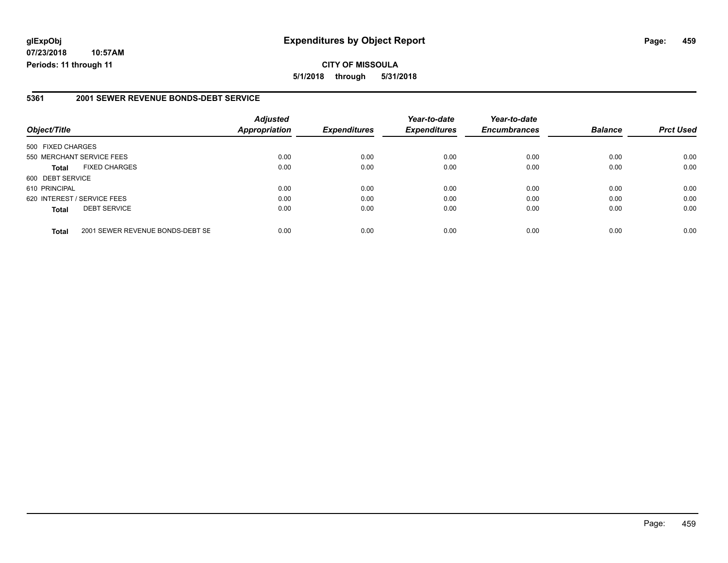### **glExpObj Expenditures by Object Report Page: 459**

**07/23/2018 10:57AM Periods: 11 through 11**

**CITY OF MISSOULA 5/1/2018 through 5/31/2018**

#### **5361 2001 SEWER REVENUE BONDS-DEBT SERVICE**

| Object/Title                |                                  | <b>Adjusted</b><br><b>Appropriation</b> | <b>Expenditures</b> | Year-to-date<br><b>Expenditures</b> | Year-to-date<br><b>Encumbrances</b> | <b>Balance</b> | <b>Prct Used</b> |
|-----------------------------|----------------------------------|-----------------------------------------|---------------------|-------------------------------------|-------------------------------------|----------------|------------------|
| 500 FIXED CHARGES           |                                  |                                         |                     |                                     |                                     |                |                  |
| 550 MERCHANT SERVICE FEES   |                                  | 0.00                                    | 0.00                | 0.00                                | 0.00                                | 0.00           | 0.00             |
| Total                       | <b>FIXED CHARGES</b>             | 0.00                                    | 0.00                | 0.00                                | 0.00                                | 0.00           | 0.00             |
| 600 DEBT SERVICE            |                                  |                                         |                     |                                     |                                     |                |                  |
| 610 PRINCIPAL               |                                  | 0.00                                    | 0.00                | 0.00                                | 0.00                                | 0.00           | 0.00             |
| 620 INTEREST / SERVICE FEES |                                  | 0.00                                    | 0.00                | 0.00                                | 0.00                                | 0.00           | 0.00             |
| Total                       | <b>DEBT SERVICE</b>              | 0.00                                    | 0.00                | 0.00                                | 0.00                                | 0.00           | 0.00             |
| <b>Total</b>                | 2001 SEWER REVENUE BONDS-DEBT SE | 0.00                                    | 0.00                | 0.00                                | 0.00                                | 0.00           | 0.00             |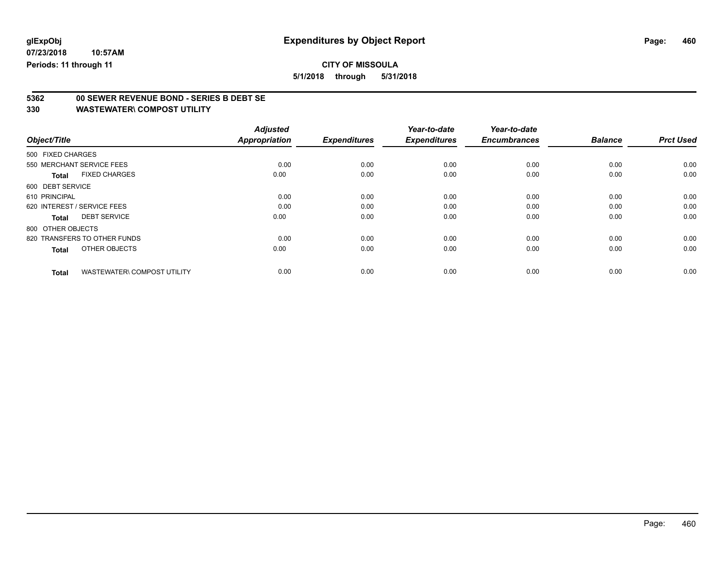# **5362 00 SEWER REVENUE BOND - SERIES B DEBT SE**

| Object/Title                         |                                    | <b>Adjusted</b><br><b>Appropriation</b> | <b>Expenditures</b> | Year-to-date<br><b>Expenditures</b> | Year-to-date<br><b>Encumbrances</b> | <b>Balance</b> | <b>Prct Used</b> |
|--------------------------------------|------------------------------------|-----------------------------------------|---------------------|-------------------------------------|-------------------------------------|----------------|------------------|
| 500 FIXED CHARGES                    |                                    |                                         |                     |                                     |                                     |                |                  |
| 550 MERCHANT SERVICE FEES            |                                    | 0.00                                    | 0.00                | 0.00                                | 0.00                                | 0.00           | 0.00             |
| <b>FIXED CHARGES</b><br><b>Total</b> |                                    | 0.00                                    | 0.00                | 0.00                                | 0.00                                | 0.00           | 0.00             |
| 600 DEBT SERVICE                     |                                    |                                         |                     |                                     |                                     |                |                  |
| 610 PRINCIPAL                        |                                    | 0.00                                    | 0.00                | 0.00                                | 0.00                                | 0.00           | 0.00             |
| 620 INTEREST / SERVICE FEES          |                                    | 0.00                                    | 0.00                | 0.00                                | 0.00                                | 0.00           | 0.00             |
| <b>DEBT SERVICE</b><br><b>Total</b>  |                                    | 0.00                                    | 0.00                | 0.00                                | 0.00                                | 0.00           | 0.00             |
| 800 OTHER OBJECTS                    |                                    |                                         |                     |                                     |                                     |                |                  |
| 820 TRANSFERS TO OTHER FUNDS         |                                    | 0.00                                    | 0.00                | 0.00                                | 0.00                                | 0.00           | 0.00             |
| OTHER OBJECTS<br><b>Total</b>        |                                    | 0.00                                    | 0.00                | 0.00                                | 0.00                                | 0.00           | 0.00             |
| <b>Total</b>                         | <b>WASTEWATER\ COMPOST UTILITY</b> | 0.00                                    | 0.00                | 0.00                                | 0.00                                | 0.00           | 0.00             |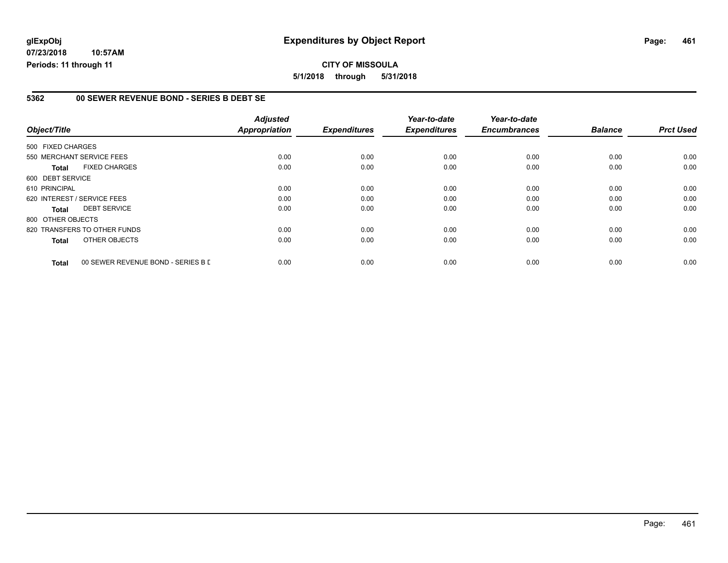**CITY OF MISSOULA 5/1/2018 through 5/31/2018**

#### **5362 00 SEWER REVENUE BOND - SERIES B DEBT SE**

| Object/Title                         |                                    | <b>Adjusted</b><br><b>Appropriation</b> | <b>Expenditures</b> | Year-to-date<br><b>Expenditures</b> | Year-to-date<br><b>Encumbrances</b> | <b>Balance</b> | <b>Prct Used</b> |
|--------------------------------------|------------------------------------|-----------------------------------------|---------------------|-------------------------------------|-------------------------------------|----------------|------------------|
|                                      |                                    |                                         |                     |                                     |                                     |                |                  |
| 500 FIXED CHARGES                    |                                    |                                         |                     |                                     |                                     |                |                  |
| 550 MERCHANT SERVICE FEES            |                                    | 0.00                                    | 0.00                | 0.00                                | 0.00                                | 0.00           | 0.00             |
| <b>FIXED CHARGES</b><br><b>Total</b> |                                    | 0.00                                    | 0.00                | 0.00                                | 0.00                                | 0.00           | 0.00             |
| 600 DEBT SERVICE                     |                                    |                                         |                     |                                     |                                     |                |                  |
| 610 PRINCIPAL                        |                                    | 0.00                                    | 0.00                | 0.00                                | 0.00                                | 0.00           | 0.00             |
| 620 INTEREST / SERVICE FEES          |                                    | 0.00                                    | 0.00                | 0.00                                | 0.00                                | 0.00           | 0.00             |
| <b>DEBT SERVICE</b><br><b>Total</b>  |                                    | 0.00                                    | 0.00                | 0.00                                | 0.00                                | 0.00           | 0.00             |
| 800 OTHER OBJECTS                    |                                    |                                         |                     |                                     |                                     |                |                  |
| 820 TRANSFERS TO OTHER FUNDS         |                                    | 0.00                                    | 0.00                | 0.00                                | 0.00                                | 0.00           | 0.00             |
| OTHER OBJECTS<br><b>Total</b>        |                                    | 0.00                                    | 0.00                | 0.00                                | 0.00                                | 0.00           | 0.00             |
| <b>Total</b>                         | 00 SEWER REVENUE BOND - SERIES B D | 0.00                                    | 0.00                | 0.00                                | 0.00                                | 0.00           | 0.00             |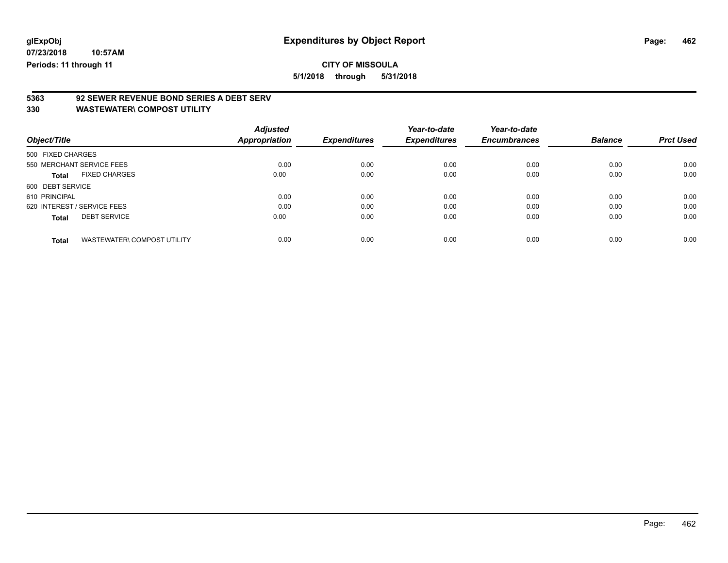### **CITY OF MISSOULA 5/1/2018 through 5/31/2018**

# **5363 92 SEWER REVENUE BOND SERIES A DEBT SERV**

| Object/Title      |                                    | <b>Adjusted</b><br>Appropriation | <b>Expenditures</b> | Year-to-date<br><b>Expenditures</b> | Year-to-date<br><b>Encumbrances</b> | <b>Balance</b> | <b>Prct Used</b> |
|-------------------|------------------------------------|----------------------------------|---------------------|-------------------------------------|-------------------------------------|----------------|------------------|
| 500 FIXED CHARGES |                                    |                                  |                     |                                     |                                     |                |                  |
|                   | 550 MERCHANT SERVICE FEES          | 0.00                             | 0.00                | 0.00                                | 0.00                                | 0.00           | 0.00             |
| <b>Total</b>      | <b>FIXED CHARGES</b>               | 0.00                             | 0.00                | 0.00                                | 0.00                                | 0.00           | 0.00             |
| 600 DEBT SERVICE  |                                    |                                  |                     |                                     |                                     |                |                  |
| 610 PRINCIPAL     |                                    | 0.00                             | 0.00                | 0.00                                | 0.00                                | 0.00           | 0.00             |
|                   | 620 INTEREST / SERVICE FEES        | 0.00                             | 0.00                | 0.00                                | 0.00                                | 0.00           | 0.00             |
| <b>Total</b>      | <b>DEBT SERVICE</b>                | 0.00                             | 0.00                | 0.00                                | 0.00                                | 0.00           | 0.00             |
| <b>Total</b>      | <b>WASTEWATER\ COMPOST UTILITY</b> | 0.00                             | 0.00                | 0.00                                | 0.00                                | 0.00           | 0.00             |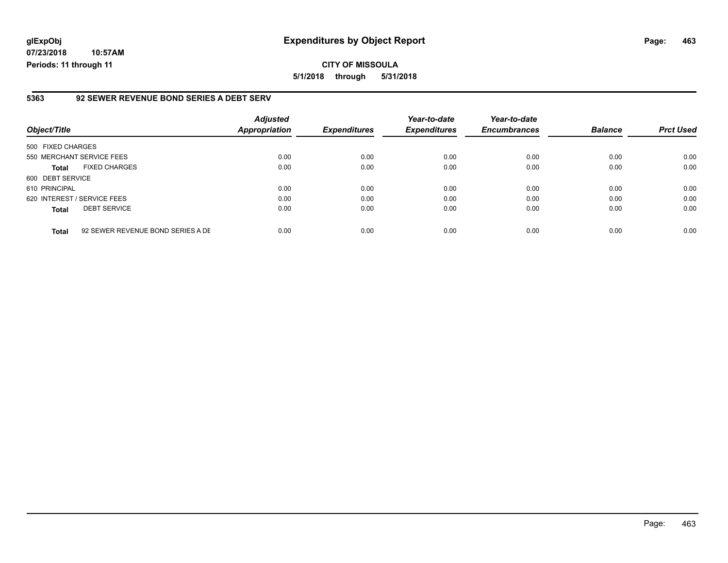### **glExpObj Expenditures by Object Report Page: 463**

**07/23/2018 10:57AM Periods: 11 through 11**

#### **5363 92 SEWER REVENUE BOND SERIES A DEBT SERV**

| Object/Title                |                                   | <b>Adjusted</b><br><b>Appropriation</b> | <b>Expenditures</b> | Year-to-date<br><b>Expenditures</b> | Year-to-date<br><b>Encumbrances</b> | <b>Balance</b> | <b>Prct Used</b> |
|-----------------------------|-----------------------------------|-----------------------------------------|---------------------|-------------------------------------|-------------------------------------|----------------|------------------|
| 500 FIXED CHARGES           |                                   |                                         |                     |                                     |                                     |                |                  |
| 550 MERCHANT SERVICE FEES   |                                   | 0.00                                    | 0.00                | 0.00                                | 0.00                                | 0.00           | 0.00             |
| <b>Total</b>                | <b>FIXED CHARGES</b>              | 0.00                                    | 0.00                | 0.00                                | 0.00                                | 0.00           | 0.00             |
| 600 DEBT SERVICE            |                                   |                                         |                     |                                     |                                     |                |                  |
| 610 PRINCIPAL               |                                   | 0.00                                    | 0.00                | 0.00                                | 0.00                                | 0.00           | 0.00             |
| 620 INTEREST / SERVICE FEES |                                   | 0.00                                    | 0.00                | 0.00                                | 0.00                                | 0.00           | 0.00             |
| <b>Total</b>                | <b>DEBT SERVICE</b>               | 0.00                                    | 0.00                | 0.00                                | 0.00                                | 0.00           | 0.00             |
| <b>Total</b>                | 92 SEWER REVENUE BOND SERIES A DE | 0.00                                    | 0.00                | 0.00                                | 0.00                                | 0.00           | 0.00             |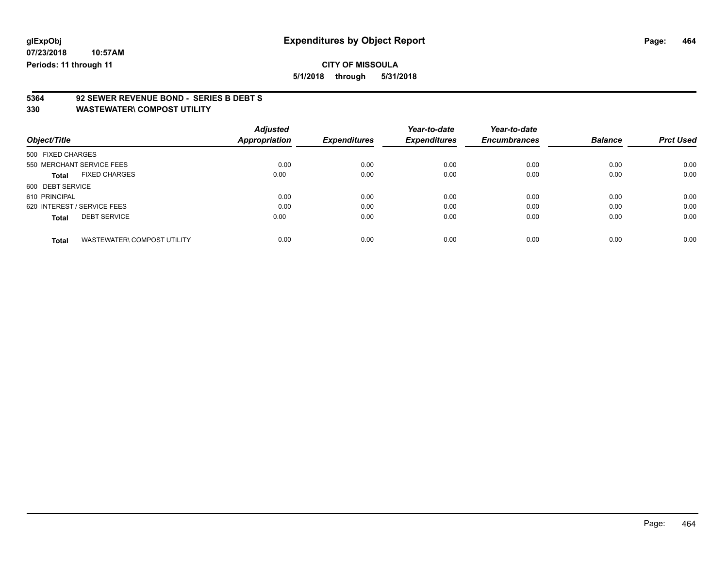# **5364 92 SEWER REVENUE BOND - SERIES B DEBT S**

| Object/Title                |                                    | <b>Adjusted</b><br><b>Appropriation</b> | <b>Expenditures</b> | Year-to-date<br><b>Expenditures</b> | Year-to-date<br><b>Encumbrances</b> | <b>Balance</b> | <b>Prct Used</b> |
|-----------------------------|------------------------------------|-----------------------------------------|---------------------|-------------------------------------|-------------------------------------|----------------|------------------|
| 500 FIXED CHARGES           |                                    |                                         |                     |                                     |                                     |                |                  |
|                             | 550 MERCHANT SERVICE FEES          | 0.00                                    | 0.00                | 0.00                                | 0.00                                | 0.00           | 0.00             |
| Total                       | <b>FIXED CHARGES</b>               | 0.00                                    | 0.00                | 0.00                                | 0.00                                | 0.00           | 0.00             |
| 600 DEBT SERVICE            |                                    |                                         |                     |                                     |                                     |                |                  |
| 610 PRINCIPAL               |                                    | 0.00                                    | 0.00                | 0.00                                | 0.00                                | 0.00           | 0.00             |
| 620 INTEREST / SERVICE FEES |                                    | 0.00                                    | 0.00                | 0.00                                | 0.00                                | 0.00           | 0.00             |
| <b>Total</b>                | <b>DEBT SERVICE</b>                | 0.00                                    | 0.00                | 0.00                                | 0.00                                | 0.00           | 0.00             |
| <b>Total</b>                | <b>WASTEWATER\ COMPOST UTILITY</b> | 0.00                                    | 0.00                | 0.00                                | 0.00                                | 0.00           | 0.00             |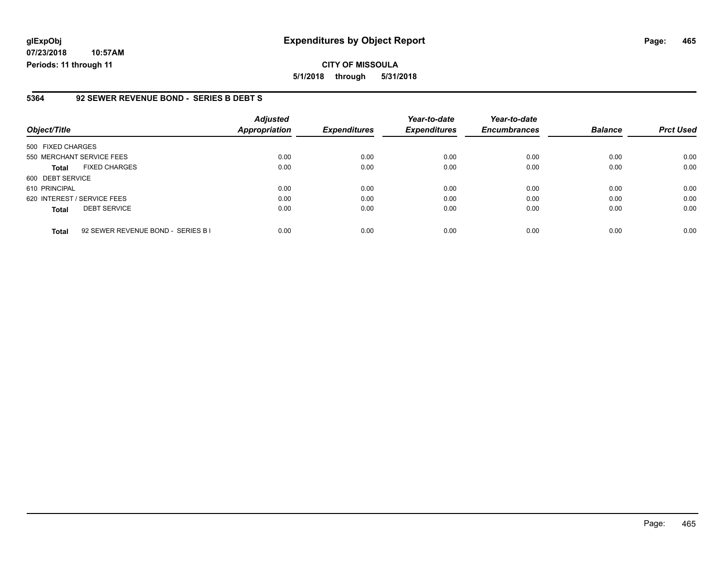#### **5364 92 SEWER REVENUE BOND - SERIES B DEBT S**

| Object/Title                                       | <b>Adjusted</b><br>Appropriation | <b>Expenditures</b> | Year-to-date<br><b>Expenditures</b> | Year-to-date<br><b>Encumbrances</b> | <b>Balance</b> | <b>Prct Used</b> |
|----------------------------------------------------|----------------------------------|---------------------|-------------------------------------|-------------------------------------|----------------|------------------|
| 500 FIXED CHARGES                                  |                                  |                     |                                     |                                     |                |                  |
| 550 MERCHANT SERVICE FEES                          | 0.00                             | 0.00                | 0.00                                | 0.00                                | 0.00           | 0.00             |
| <b>FIXED CHARGES</b><br><b>Total</b>               | 0.00                             | 0.00                | 0.00                                | 0.00                                | 0.00           | 0.00             |
| 600 DEBT SERVICE                                   |                                  |                     |                                     |                                     |                |                  |
| 610 PRINCIPAL                                      | 0.00                             | 0.00                | 0.00                                | 0.00                                | 0.00           | 0.00             |
| 620 INTEREST / SERVICE FEES                        | 0.00                             | 0.00                | 0.00                                | 0.00                                | 0.00           | 0.00             |
| <b>DEBT SERVICE</b><br><b>Total</b>                | 0.00                             | 0.00                | 0.00                                | 0.00                                | 0.00           | 0.00             |
| 92 SEWER REVENUE BOND - SERIES B I<br><b>Total</b> | 0.00                             | 0.00                | 0.00                                | 0.00                                | 0.00           | 0.00             |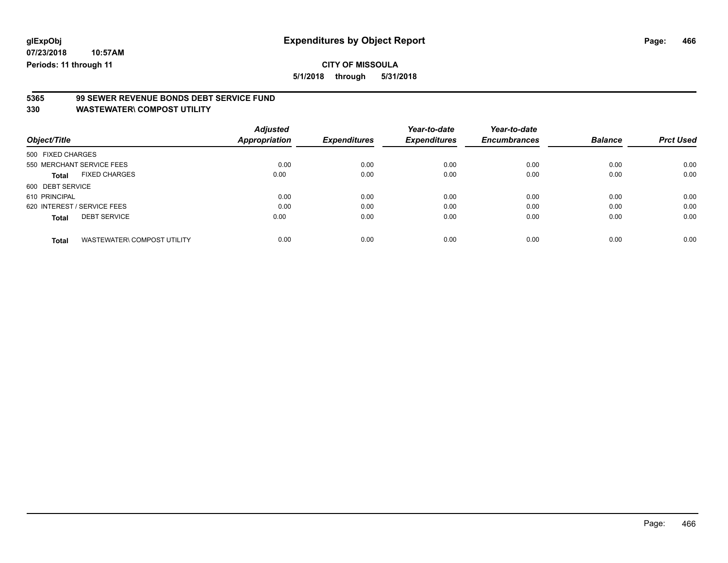# **5365 99 SEWER REVENUE BONDS DEBT SERVICE FUND**

**330 WASTEWATER\ COMPOST UTILITY**

| Object/Title      |                                    | <b>Adjusted</b><br><b>Appropriation</b> | <b>Expenditures</b> | Year-to-date<br><b>Expenditures</b> | Year-to-date<br><b>Encumbrances</b> | <b>Balance</b> | <b>Prct Used</b> |
|-------------------|------------------------------------|-----------------------------------------|---------------------|-------------------------------------|-------------------------------------|----------------|------------------|
| 500 FIXED CHARGES |                                    |                                         |                     |                                     |                                     |                |                  |
|                   | 550 MERCHANT SERVICE FEES          | 0.00                                    | 0.00                | 0.00                                | 0.00                                | 0.00           | 0.00             |
| <b>Total</b>      | <b>FIXED CHARGES</b>               | 0.00                                    | 0.00                | 0.00                                | 0.00                                | 0.00           | 0.00             |
| 600 DEBT SERVICE  |                                    |                                         |                     |                                     |                                     |                |                  |
| 610 PRINCIPAL     |                                    | 0.00                                    | 0.00                | 0.00                                | 0.00                                | 0.00           | 0.00             |
|                   | 620 INTEREST / SERVICE FEES        | 0.00                                    | 0.00                | 0.00                                | 0.00                                | 0.00           | 0.00             |
| <b>Total</b>      | <b>DEBT SERVICE</b>                | 0.00                                    | 0.00                | 0.00                                | 0.00                                | 0.00           | 0.00             |
| <b>Total</b>      | <b>WASTEWATER\ COMPOST UTILITY</b> | 0.00                                    | 0.00                | 0.00                                | 0.00                                | 0.00           | 0.00             |

Page: 466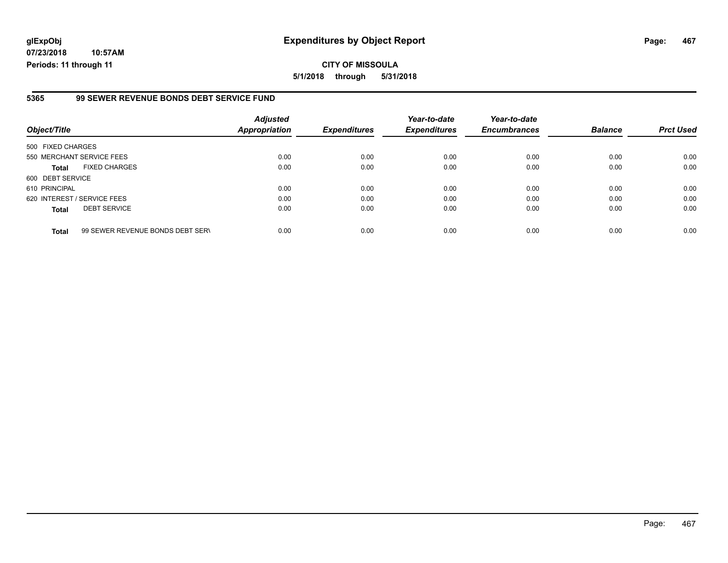### **glExpObj Expenditures by Object Report Page: 467**

**07/23/2018 10:57AM Periods: 11 through 11**

#### **5365 99 SEWER REVENUE BONDS DEBT SERVICE FUND**

| Object/Title      |                                  | <b>Adjusted</b><br><b>Appropriation</b> | <b>Expenditures</b> | Year-to-date<br><b>Expenditures</b> | Year-to-date<br><b>Encumbrances</b> | <b>Balance</b> | <b>Prct Used</b> |
|-------------------|----------------------------------|-----------------------------------------|---------------------|-------------------------------------|-------------------------------------|----------------|------------------|
| 500 FIXED CHARGES |                                  |                                         |                     |                                     |                                     |                |                  |
|                   | 550 MERCHANT SERVICE FEES        | 0.00                                    | 0.00                | 0.00                                | 0.00                                | 0.00           | 0.00             |
| <b>Total</b>      | <b>FIXED CHARGES</b>             | 0.00                                    | 0.00                | 0.00                                | 0.00                                | 0.00           | 0.00             |
| 600 DEBT SERVICE  |                                  |                                         |                     |                                     |                                     |                |                  |
| 610 PRINCIPAL     |                                  | 0.00                                    | 0.00                | 0.00                                | 0.00                                | 0.00           | 0.00             |
|                   | 620 INTEREST / SERVICE FEES      | 0.00                                    | 0.00                | 0.00                                | 0.00                                | 0.00           | 0.00             |
| <b>Total</b>      | <b>DEBT SERVICE</b>              | 0.00                                    | 0.00                | 0.00                                | 0.00                                | 0.00           | 0.00             |
| <b>Total</b>      | 99 SEWER REVENUE BONDS DEBT SERV | 0.00                                    | 0.00                | 0.00                                | 0.00                                | 0.00           | 0.00             |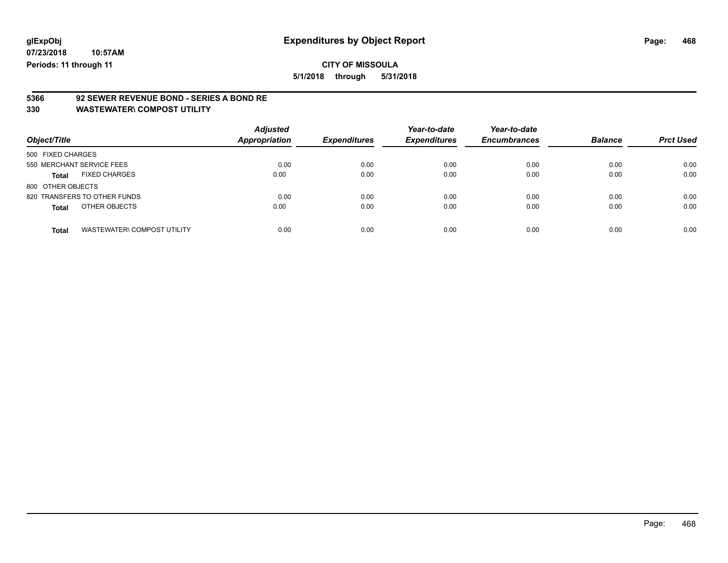# **5366 92 SEWER REVENUE BOND - SERIES A BOND RE**

| Object/Title                                       | <b>Adjusted</b><br><b>Appropriation</b> | <b>Expenditures</b> | Year-to-date<br><b>Expenditures</b> | Year-to-date<br><b>Encumbrances</b> | <b>Balance</b> | <b>Prct Used</b> |
|----------------------------------------------------|-----------------------------------------|---------------------|-------------------------------------|-------------------------------------|----------------|------------------|
| 500 FIXED CHARGES                                  |                                         |                     |                                     |                                     |                |                  |
| 550 MERCHANT SERVICE FEES                          | 0.00                                    | 0.00                | 0.00                                | 0.00                                | 0.00           | 0.00             |
| <b>FIXED CHARGES</b><br><b>Total</b>               | 0.00                                    | 0.00                | 0.00                                | 0.00                                | 0.00           | 0.00             |
| 800 OTHER OBJECTS                                  |                                         |                     |                                     |                                     |                |                  |
| 820 TRANSFERS TO OTHER FUNDS                       | 0.00                                    | 0.00                | 0.00                                | 0.00                                | 0.00           | 0.00             |
| OTHER OBJECTS<br><b>Total</b>                      | 0.00                                    | 0.00                | 0.00                                | 0.00                                | 0.00           | 0.00             |
| <b>WASTEWATER\ COMPOST UTILITY</b><br><b>Total</b> | 0.00                                    | 0.00                | 0.00                                | 0.00                                | 0.00           | 0.00             |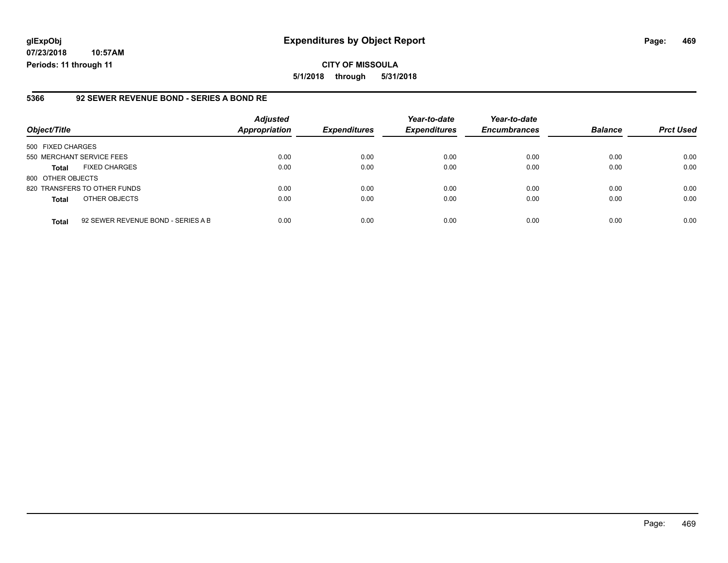# **glExpObj Expenditures by Object Report Page: 469**

**07/23/2018 10:57AM Periods: 11 through 11**

#### **5366 92 SEWER REVENUE BOND - SERIES A BOND RE**

| Object/Title              |                                    | <b>Adjusted</b><br><b>Appropriation</b> | <b>Expenditures</b> | Year-to-date<br><b>Expenditures</b> | Year-to-date<br><b>Encumbrances</b> | <b>Balance</b> | <b>Prct Used</b> |
|---------------------------|------------------------------------|-----------------------------------------|---------------------|-------------------------------------|-------------------------------------|----------------|------------------|
| 500 FIXED CHARGES         |                                    |                                         |                     |                                     |                                     |                |                  |
| 550 MERCHANT SERVICE FEES |                                    | 0.00                                    | 0.00                | 0.00                                | 0.00                                | 0.00           | 0.00             |
| <b>Total</b>              | <b>FIXED CHARGES</b>               | 0.00                                    | 0.00                | 0.00                                | 0.00                                | 0.00           | 0.00             |
| 800 OTHER OBJECTS         |                                    |                                         |                     |                                     |                                     |                |                  |
|                           | 820 TRANSFERS TO OTHER FUNDS       | 0.00                                    | 0.00                | 0.00                                | 0.00                                | 0.00           | 0.00             |
| <b>Total</b>              | OTHER OBJECTS                      | 0.00                                    | 0.00                | 0.00                                | 0.00                                | 0.00           | 0.00             |
| <b>Total</b>              | 92 SEWER REVENUE BOND - SERIES A B | 0.00                                    | 0.00                | 0.00                                | 0.00                                | 0.00           | 0.00             |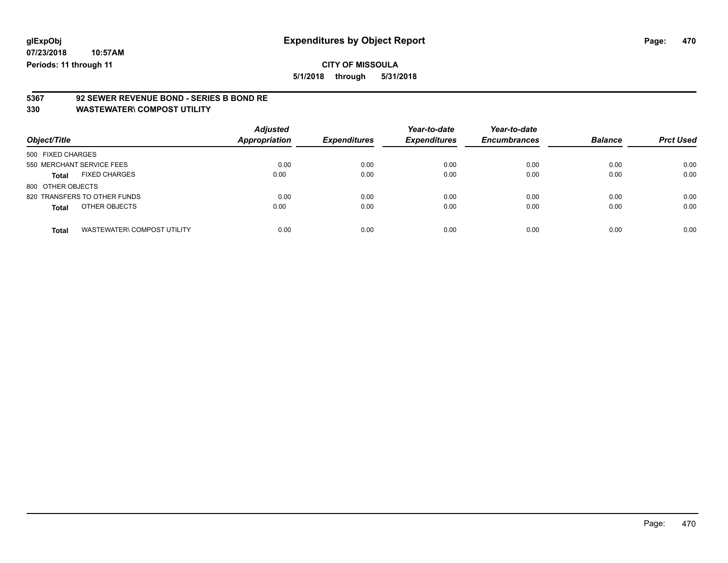# **5367 92 SEWER REVENUE BOND - SERIES B BOND RE**

| Object/Title                                | <b>Adjusted</b><br><b>Appropriation</b> | <b>Expenditures</b> | Year-to-date<br><b>Expenditures</b> | Year-to-date<br><b>Encumbrances</b> | <b>Balance</b> | <b>Prct Used</b> |
|---------------------------------------------|-----------------------------------------|---------------------|-------------------------------------|-------------------------------------|----------------|------------------|
| 500 FIXED CHARGES                           |                                         |                     |                                     |                                     |                |                  |
| 550 MERCHANT SERVICE FEES                   | 0.00                                    | 0.00                | 0.00                                | 0.00                                | 0.00           | 0.00             |
| <b>FIXED CHARGES</b><br><b>Total</b>        | 0.00                                    | 0.00                | 0.00                                | 0.00                                | 0.00           | 0.00             |
| 800 OTHER OBJECTS                           |                                         |                     |                                     |                                     |                |                  |
| 820 TRANSFERS TO OTHER FUNDS                | 0.00                                    | 0.00                | 0.00                                | 0.00                                | 0.00           | 0.00             |
| OTHER OBJECTS<br><b>Total</b>               | 0.00                                    | 0.00                | 0.00                                | 0.00                                | 0.00           | 0.00             |
| WASTEWATER\ COMPOST UTILITY<br><b>Total</b> | 0.00                                    | 0.00                | 0.00                                | 0.00                                | 0.00           | 0.00             |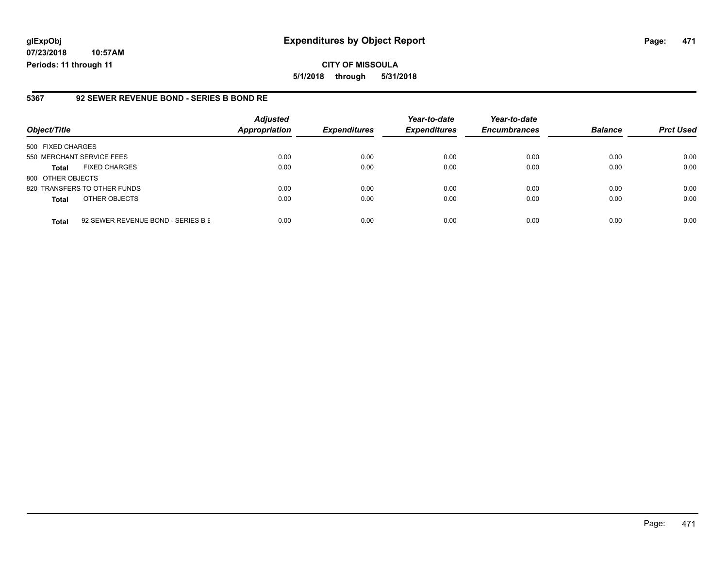### **glExpObj Expenditures by Object Report Page: 471**

**07/23/2018 10:57AM Periods: 11 through 11**

#### **5367 92 SEWER REVENUE BOND - SERIES B BOND RE**

| Object/Title              |                                    | <b>Adjusted</b><br><b>Appropriation</b> | <b>Expenditures</b> | Year-to-date<br><b>Expenditures</b> | Year-to-date<br><b>Encumbrances</b> | <b>Balance</b> | <b>Prct Used</b> |
|---------------------------|------------------------------------|-----------------------------------------|---------------------|-------------------------------------|-------------------------------------|----------------|------------------|
| 500 FIXED CHARGES         |                                    |                                         |                     |                                     |                                     |                |                  |
| 550 MERCHANT SERVICE FEES |                                    | 0.00                                    | 0.00                | 0.00                                | 0.00                                | 0.00           | 0.00             |
| <b>Total</b>              | <b>FIXED CHARGES</b>               | 0.00                                    | 0.00                | 0.00                                | 0.00                                | 0.00           | 0.00             |
| 800 OTHER OBJECTS         |                                    |                                         |                     |                                     |                                     |                |                  |
|                           | 820 TRANSFERS TO OTHER FUNDS       | 0.00                                    | 0.00                | 0.00                                | 0.00                                | 0.00           | 0.00             |
| <b>Total</b>              | OTHER OBJECTS                      | 0.00                                    | 0.00                | 0.00                                | 0.00                                | 0.00           | 0.00             |
| <b>Total</b>              | 92 SEWER REVENUE BOND - SERIES B E | 0.00                                    | 0.00                | 0.00                                | 0.00                                | 0.00           | 0.00             |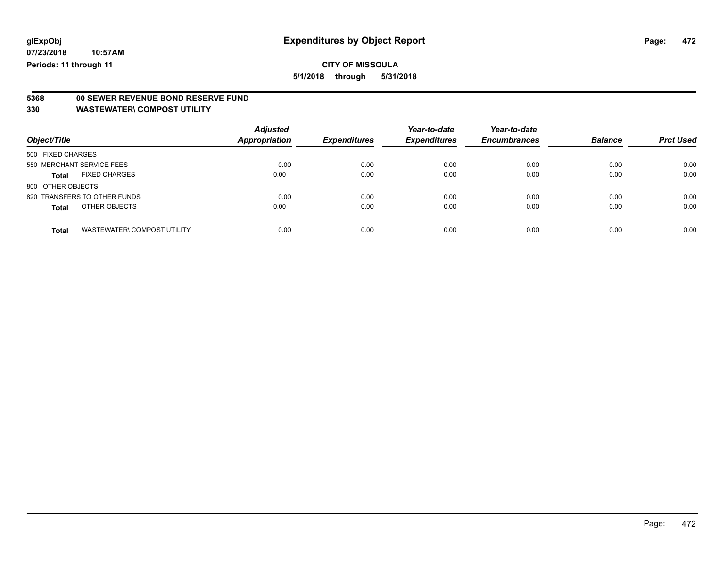# **5368 00 SEWER REVENUE BOND RESERVE FUND**

| Object/Title                                       | <b>Adjusted</b><br><b>Appropriation</b> | <b>Expenditures</b> | Year-to-date<br><b>Expenditures</b> | Year-to-date<br><b>Encumbrances</b> | <b>Balance</b> | <b>Prct Used</b> |
|----------------------------------------------------|-----------------------------------------|---------------------|-------------------------------------|-------------------------------------|----------------|------------------|
| 500 FIXED CHARGES                                  |                                         |                     |                                     |                                     |                |                  |
| 550 MERCHANT SERVICE FEES                          | 0.00                                    | 0.00                | 0.00                                | 0.00                                | 0.00           | 0.00             |
| <b>FIXED CHARGES</b><br><b>Total</b>               | 0.00                                    | 0.00                | 0.00                                | 0.00                                | 0.00           | 0.00             |
| 800 OTHER OBJECTS                                  |                                         |                     |                                     |                                     |                |                  |
| 820 TRANSFERS TO OTHER FUNDS                       | 0.00                                    | 0.00                | 0.00                                | 0.00                                | 0.00           | 0.00             |
| OTHER OBJECTS<br><b>Total</b>                      | 0.00                                    | 0.00                | 0.00                                | 0.00                                | 0.00           | 0.00             |
| <b>WASTEWATER\ COMPOST UTILITY</b><br><b>Total</b> | 0.00                                    | 0.00                | 0.00                                | 0.00                                | 0.00           | 0.00             |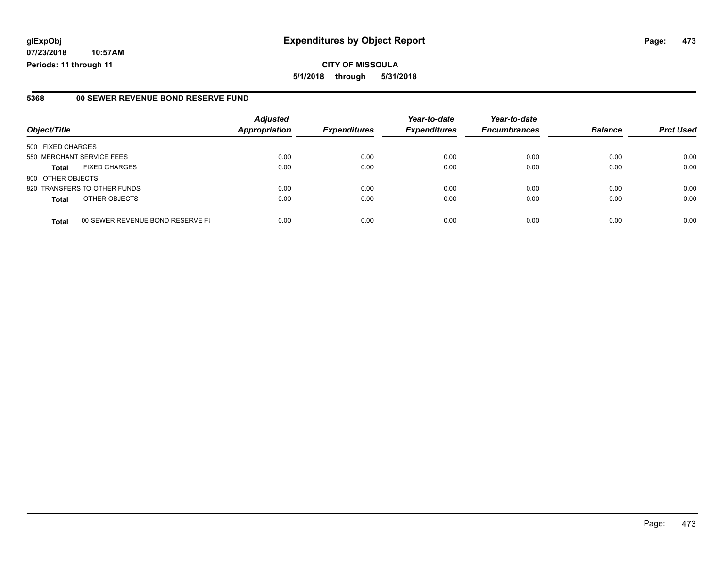**CITY OF MISSOULA 5/1/2018 through 5/31/2018**

#### **5368 00 SEWER REVENUE BOND RESERVE FUND**

|                           |                                  | <b>Adjusted</b>      |                     | Year-to-date        | Year-to-date        |                |                  |
|---------------------------|----------------------------------|----------------------|---------------------|---------------------|---------------------|----------------|------------------|
| Object/Title              |                                  | <b>Appropriation</b> | <b>Expenditures</b> | <b>Expenditures</b> | <b>Encumbrances</b> | <b>Balance</b> | <b>Prct Used</b> |
| 500 FIXED CHARGES         |                                  |                      |                     |                     |                     |                |                  |
| 550 MERCHANT SERVICE FEES |                                  | 0.00                 | 0.00                | 0.00                | 0.00                | 0.00           | 0.00             |
| <b>Total</b>              | <b>FIXED CHARGES</b>             | 0.00                 | 0.00                | 0.00                | 0.00                | 0.00           | 0.00             |
| 800 OTHER OBJECTS         |                                  |                      |                     |                     |                     |                |                  |
|                           | 820 TRANSFERS TO OTHER FUNDS     | 0.00                 | 0.00                | 0.00                | 0.00                | 0.00           | 0.00             |
| <b>Total</b>              | OTHER OBJECTS                    | 0.00                 | 0.00                | 0.00                | 0.00                | 0.00           | 0.00             |
| <b>Total</b>              | 00 SEWER REVENUE BOND RESERVE FL | 0.00                 | 0.00                | 0.00                | 0.00                | 0.00           | 0.00             |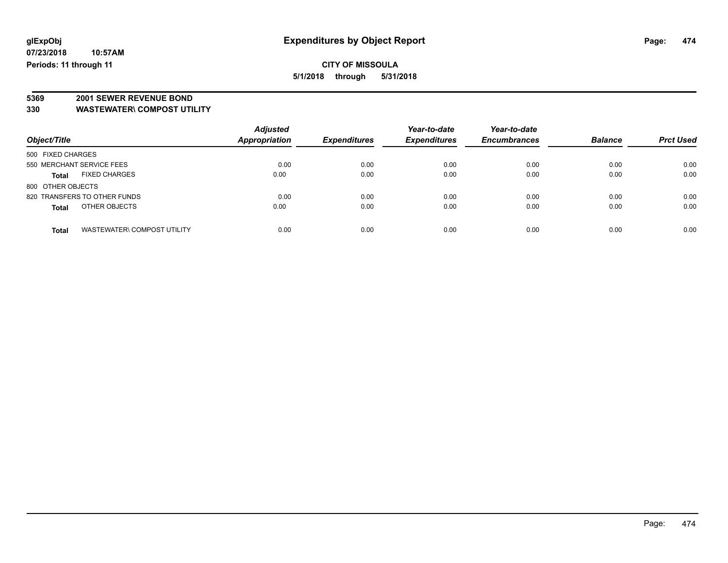## **CITY OF MISSOULA 5/1/2018 through 5/31/2018**

# **5369 2001 SEWER REVENUE BOND<br>330 WASTEWATER\ COMPOST UTIL**

| Object/Title                                       | <b>Adjusted</b><br><b>Appropriation</b> | <b>Expenditures</b> | Year-to-date<br><b>Expenditures</b> | Year-to-date<br><b>Encumbrances</b> | <b>Balance</b> | <b>Prct Used</b> |
|----------------------------------------------------|-----------------------------------------|---------------------|-------------------------------------|-------------------------------------|----------------|------------------|
| 500 FIXED CHARGES                                  |                                         |                     |                                     |                                     |                |                  |
| 550 MERCHANT SERVICE FEES                          | 0.00                                    | 0.00                | 0.00                                | 0.00                                | 0.00           | 0.00             |
| <b>FIXED CHARGES</b><br><b>Total</b>               | 0.00                                    | 0.00                | 0.00                                | 0.00                                | 0.00           | 0.00             |
| 800 OTHER OBJECTS                                  |                                         |                     |                                     |                                     |                |                  |
| 820 TRANSFERS TO OTHER FUNDS                       | 0.00                                    | 0.00                | 0.00                                | 0.00                                | 0.00           | 0.00             |
| OTHER OBJECTS<br><b>Total</b>                      | 0.00                                    | 0.00                | 0.00                                | 0.00                                | 0.00           | 0.00             |
|                                                    |                                         |                     |                                     |                                     |                |                  |
| <b>WASTEWATER\ COMPOST UTILITY</b><br><b>Total</b> | 0.00                                    | 0.00                | 0.00                                | 0.00                                | 0.00           | 0.00             |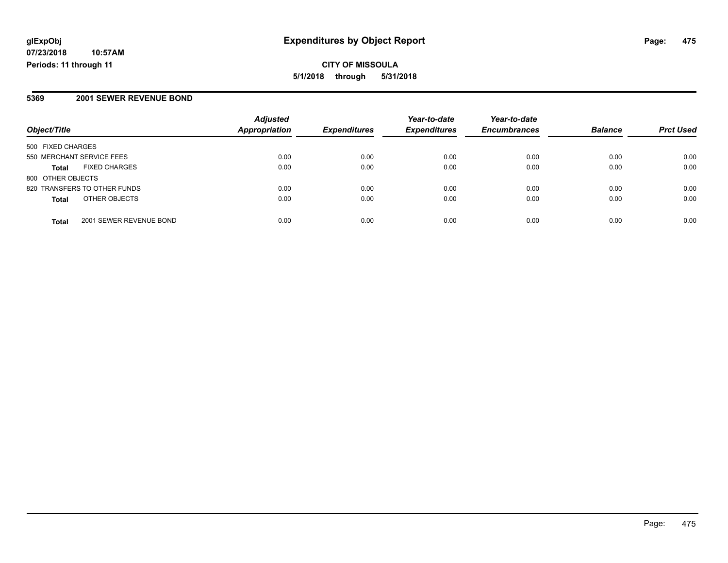**CITY OF MISSOULA 5/1/2018 through 5/31/2018**

#### **5369 2001 SEWER REVENUE BOND**

|                                         | <b>Adjusted</b><br><b>Appropriation</b> |                     | Year-to-date        | Year-to-date        |                |                  |
|-----------------------------------------|-----------------------------------------|---------------------|---------------------|---------------------|----------------|------------------|
| Object/Title                            |                                         | <b>Expenditures</b> | <b>Expenditures</b> | <b>Encumbrances</b> | <b>Balance</b> | <b>Prct Used</b> |
| 500 FIXED CHARGES                       |                                         |                     |                     |                     |                |                  |
| 550 MERCHANT SERVICE FEES               | 0.00                                    | 0.00                | 0.00                | 0.00                | 0.00           | 0.00             |
| <b>FIXED CHARGES</b><br>Total           | 0.00                                    | 0.00                | 0.00                | 0.00                | 0.00           | 0.00             |
| 800 OTHER OBJECTS                       |                                         |                     |                     |                     |                |                  |
| 820 TRANSFERS TO OTHER FUNDS            | 0.00                                    | 0.00                | 0.00                | 0.00                | 0.00           | 0.00             |
| OTHER OBJECTS<br><b>Total</b>           | 0.00                                    | 0.00                | 0.00                | 0.00                | 0.00           | 0.00             |
| 2001 SEWER REVENUE BOND<br><b>Total</b> | 0.00                                    | 0.00                | 0.00                | 0.00                | 0.00           | 0.00             |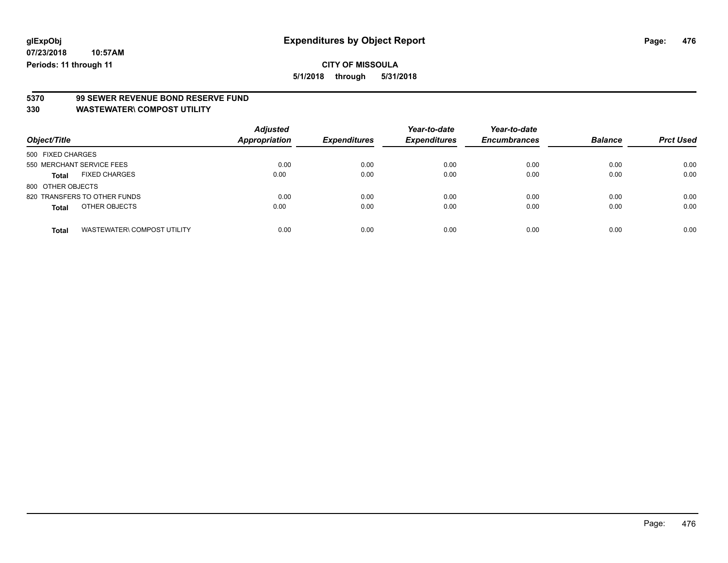# **5370 99 SEWER REVENUE BOND RESERVE FUND**

| Object/Title                                | <b>Adjusted</b><br><b>Appropriation</b> | <b>Expenditures</b> | Year-to-date<br><b>Expenditures</b> | Year-to-date<br><b>Encumbrances</b> | <b>Balance</b> | <b>Prct Used</b> |
|---------------------------------------------|-----------------------------------------|---------------------|-------------------------------------|-------------------------------------|----------------|------------------|
| 500 FIXED CHARGES                           |                                         |                     |                                     |                                     |                |                  |
| 550 MERCHANT SERVICE FEES                   | 0.00                                    | 0.00                | 0.00                                | 0.00                                | 0.00           | 0.00             |
| <b>FIXED CHARGES</b><br><b>Total</b>        | 0.00                                    | 0.00                | 0.00                                | 0.00                                | 0.00           | 0.00             |
| 800 OTHER OBJECTS                           |                                         |                     |                                     |                                     |                |                  |
| 820 TRANSFERS TO OTHER FUNDS                | 0.00                                    | 0.00                | 0.00                                | 0.00                                | 0.00           | 0.00             |
| OTHER OBJECTS<br><b>Total</b>               | 0.00                                    | 0.00                | 0.00                                | 0.00                                | 0.00           | 0.00             |
| WASTEWATER\ COMPOST UTILITY<br><b>Total</b> | 0.00                                    | 0.00                | 0.00                                | 0.00                                | 0.00           | 0.00             |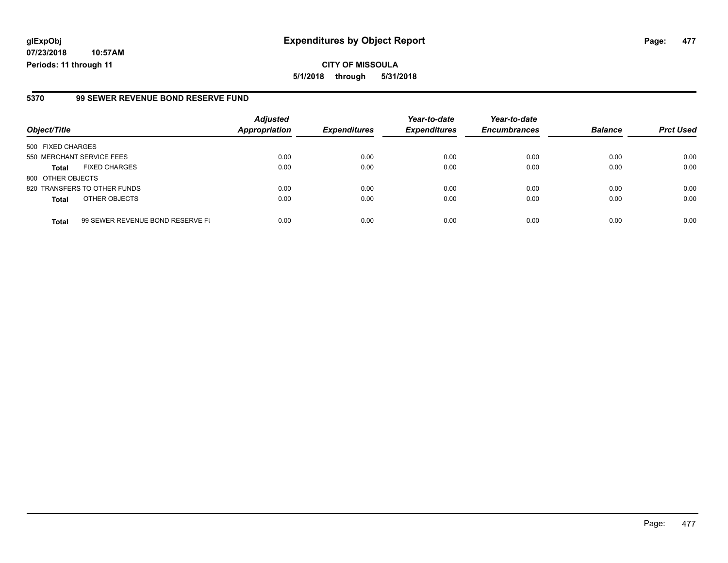**CITY OF MISSOULA 5/1/2018 through 5/31/2018**

#### **5370 99 SEWER REVENUE BOND RESERVE FUND**

|                   |                                  | <b>Adjusted</b>      |                     | Year-to-date        | Year-to-date        |                |                  |
|-------------------|----------------------------------|----------------------|---------------------|---------------------|---------------------|----------------|------------------|
| Object/Title      |                                  | <b>Appropriation</b> | <b>Expenditures</b> | <b>Expenditures</b> | <b>Encumbrances</b> | <b>Balance</b> | <b>Prct Used</b> |
| 500 FIXED CHARGES |                                  |                      |                     |                     |                     |                |                  |
|                   | 550 MERCHANT SERVICE FEES        | 0.00                 | 0.00                | 0.00                | 0.00                | 0.00           | 0.00             |
| <b>Total</b>      | <b>FIXED CHARGES</b>             | 0.00                 | 0.00                | 0.00                | 0.00                | 0.00           | 0.00             |
| 800 OTHER OBJECTS |                                  |                      |                     |                     |                     |                |                  |
|                   | 820 TRANSFERS TO OTHER FUNDS     | 0.00                 | 0.00                | 0.00                | 0.00                | 0.00           | 0.00             |
| <b>Total</b>      | OTHER OBJECTS                    | 0.00                 | 0.00                | 0.00                | 0.00                | 0.00           | 0.00             |
| <b>Total</b>      | 99 SEWER REVENUE BOND RESERVE FL | 0.00                 | 0.00                | 0.00                | 0.00                | 0.00           | 0.00             |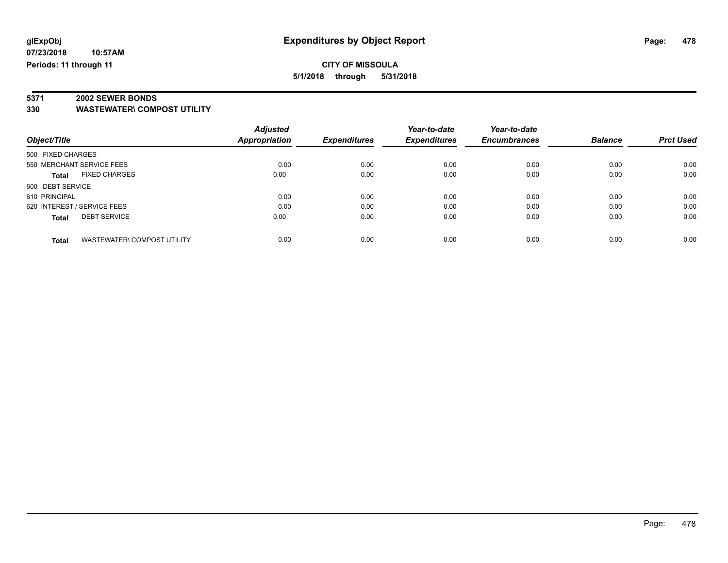# **CITY OF MISSOULA 5/1/2018 through 5/31/2018**

**5371 2002 SEWER BONDS 330 WASTEWATER\ COMPOST UTILITY**

| Object/Title                                       | <b>Adjusted</b><br>Appropriation | <b>Expenditures</b> | Year-to-date<br><b>Expenditures</b> | Year-to-date<br><b>Encumbrances</b> | <b>Balance</b> | <b>Prct Used</b> |
|----------------------------------------------------|----------------------------------|---------------------|-------------------------------------|-------------------------------------|----------------|------------------|
|                                                    |                                  |                     |                                     |                                     |                |                  |
| 500 FIXED CHARGES                                  |                                  |                     |                                     |                                     |                |                  |
| 550 MERCHANT SERVICE FEES                          | 0.00                             | 0.00                | 0.00                                | 0.00                                | 0.00           | 0.00             |
| <b>FIXED CHARGES</b><br><b>Total</b>               | 0.00                             | 0.00                | 0.00                                | 0.00                                | 0.00           | 0.00             |
| 600 DEBT SERVICE                                   |                                  |                     |                                     |                                     |                |                  |
| 610 PRINCIPAL                                      | 0.00                             | 0.00                | 0.00                                | 0.00                                | 0.00           | 0.00             |
| 620 INTEREST / SERVICE FEES                        | 0.00                             | 0.00                | 0.00                                | 0.00                                | 0.00           | 0.00             |
| <b>DEBT SERVICE</b><br><b>Total</b>                | 0.00                             | 0.00                | 0.00                                | 0.00                                | 0.00           | 0.00             |
|                                                    |                                  |                     |                                     |                                     |                |                  |
| <b>WASTEWATER\ COMPOST UTILITY</b><br><b>Total</b> | 0.00                             | 0.00                | 0.00                                | 0.00                                | 0.00           | 0.00             |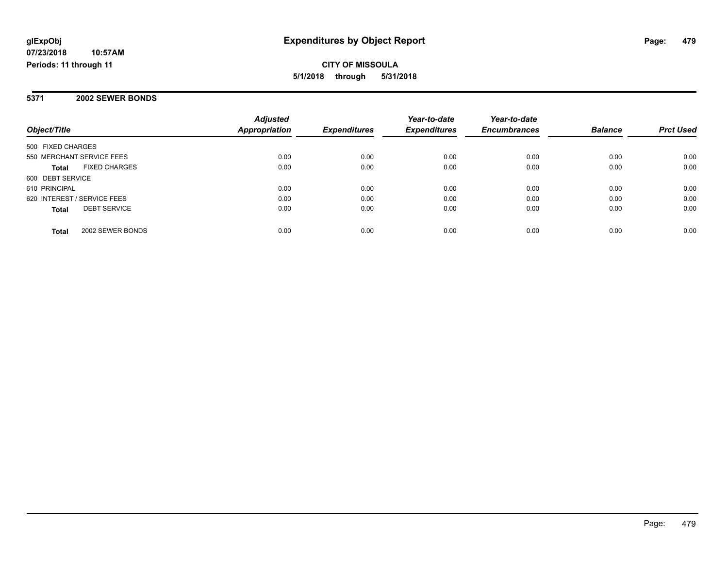**CITY OF MISSOULA 5/1/2018 through 5/31/2018**

### **5371 2002 SEWER BONDS**

|                                      | <b>Adjusted</b>      |                     | Year-to-date        | Year-to-date        |                |                  |
|--------------------------------------|----------------------|---------------------|---------------------|---------------------|----------------|------------------|
| Object/Title                         | <b>Appropriation</b> | <b>Expenditures</b> | <b>Expenditures</b> | <b>Encumbrances</b> | <b>Balance</b> | <b>Prct Used</b> |
| 500 FIXED CHARGES                    |                      |                     |                     |                     |                |                  |
| 550 MERCHANT SERVICE FEES            | 0.00                 | 0.00                | 0.00                | 0.00                | 0.00           | 0.00             |
| <b>FIXED CHARGES</b><br><b>Total</b> | 0.00                 | 0.00                | 0.00                | 0.00                | 0.00           | 0.00             |
| 600 DEBT SERVICE                     |                      |                     |                     |                     |                |                  |
| 610 PRINCIPAL                        | 0.00                 | 0.00                | 0.00                | 0.00                | 0.00           | 0.00             |
| 620 INTEREST / SERVICE FEES          | 0.00                 | 0.00                | 0.00                | 0.00                | 0.00           | 0.00             |
| <b>DEBT SERVICE</b><br><b>Total</b>  | 0.00                 | 0.00                | 0.00                | 0.00                | 0.00           | 0.00             |
| 2002 SEWER BONDS<br><b>Total</b>     | 0.00                 | 0.00                | 0.00                | 0.00                | 0.00           | 0.00             |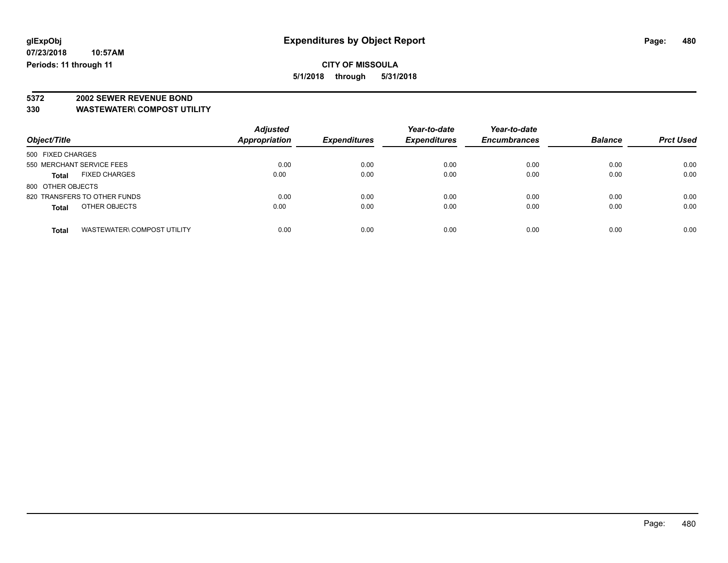**CITY OF MISSOULA 5/1/2018 through 5/31/2018**

**5372 2002 SEWER REVENUE BOND**<br>**330 WASTEWATER\ COMPOST UTIL** 

| Object/Title                                | <b>Adjusted</b><br>Appropriation | <b>Expenditures</b> | Year-to-date<br><b>Expenditures</b> | Year-to-date<br><b>Encumbrances</b> | <b>Balance</b> | <b>Prct Used</b> |
|---------------------------------------------|----------------------------------|---------------------|-------------------------------------|-------------------------------------|----------------|------------------|
| 500 FIXED CHARGES                           |                                  |                     |                                     |                                     |                |                  |
| 550 MERCHANT SERVICE FEES                   | 0.00                             | 0.00                | 0.00                                | 0.00                                | 0.00           | 0.00             |
| <b>FIXED CHARGES</b><br><b>Total</b>        | 0.00                             | 0.00                | 0.00                                | 0.00                                | 0.00           | 0.00             |
| 800 OTHER OBJECTS                           |                                  |                     |                                     |                                     |                |                  |
| 820 TRANSFERS TO OTHER FUNDS                | 0.00                             | 0.00                | 0.00                                | 0.00                                | 0.00           | 0.00             |
| OTHER OBJECTS<br><b>Total</b>               | 0.00                             | 0.00                | 0.00                                | 0.00                                | 0.00           | 0.00             |
|                                             |                                  |                     |                                     |                                     |                |                  |
| <b>WASTEWATER\ COMPOST UTILITY</b><br>Total | 0.00                             | 0.00                | 0.00                                | 0.00                                | 0.00           | 0.00             |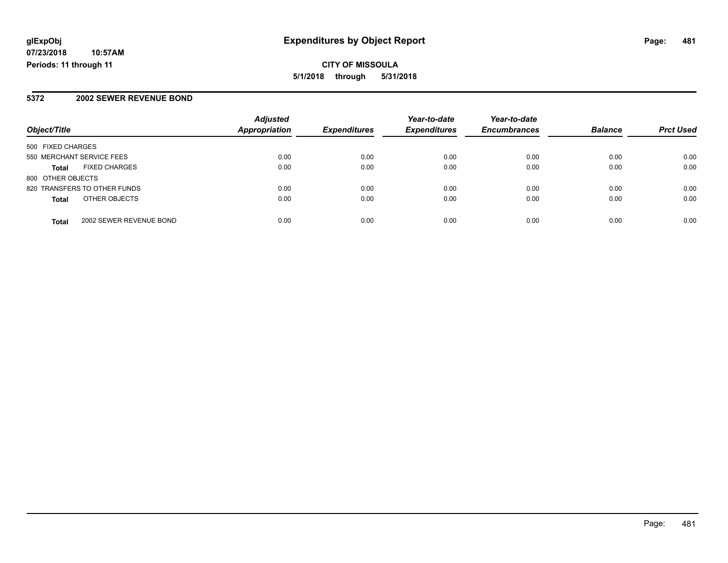**CITY OF MISSOULA 5/1/2018 through 5/31/2018**

#### **5372 2002 SEWER REVENUE BOND**

|                                         | <b>Adjusted</b>      |                     | Year-to-date        | Year-to-date        |                |                  |
|-----------------------------------------|----------------------|---------------------|---------------------|---------------------|----------------|------------------|
| Object/Title                            | <b>Appropriation</b> | <b>Expenditures</b> | <b>Expenditures</b> | <b>Encumbrances</b> | <b>Balance</b> | <b>Prct Used</b> |
| 500 FIXED CHARGES                       |                      |                     |                     |                     |                |                  |
| 550 MERCHANT SERVICE FEES               | 0.00                 | 0.00                | 0.00                | 0.00                | 0.00           | 0.00             |
| <b>FIXED CHARGES</b><br><b>Total</b>    | 0.00                 | 0.00                | 0.00                | 0.00                | 0.00           | 0.00             |
| 800 OTHER OBJECTS                       |                      |                     |                     |                     |                |                  |
| 820 TRANSFERS TO OTHER FUNDS            | 0.00                 | 0.00                | 0.00                | 0.00                | 0.00           | 0.00             |
| OTHER OBJECTS<br><b>Total</b>           | 0.00                 | 0.00                | 0.00                | 0.00                | 0.00           | 0.00             |
| 2002 SEWER REVENUE BOND<br><b>Total</b> | 0.00                 | 0.00                | 0.00                | 0.00                | 0.00           | 0.00             |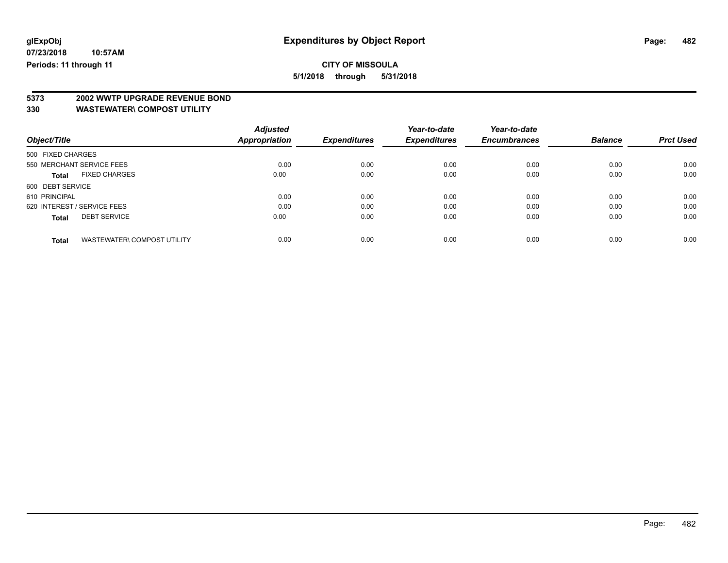### **CITY OF MISSOULA 5/1/2018 through 5/31/2018**

# **5373 2002 WWTP UPGRADE REVENUE BOND**

| Object/Title      |                                    | <b>Adjusted</b><br><b>Appropriation</b> | <b>Expenditures</b> | Year-to-date<br><b>Expenditures</b> | Year-to-date<br><b>Encumbrances</b> | <b>Balance</b> | <b>Prct Used</b> |
|-------------------|------------------------------------|-----------------------------------------|---------------------|-------------------------------------|-------------------------------------|----------------|------------------|
| 500 FIXED CHARGES |                                    |                                         |                     |                                     |                                     |                |                  |
|                   | 550 MERCHANT SERVICE FEES          | 0.00                                    | 0.00                | 0.00                                | 0.00                                | 0.00           | 0.00             |
| <b>Total</b>      | <b>FIXED CHARGES</b>               | 0.00                                    | 0.00                | 0.00                                | 0.00                                | 0.00           | 0.00             |
| 600 DEBT SERVICE  |                                    |                                         |                     |                                     |                                     |                |                  |
| 610 PRINCIPAL     |                                    | 0.00                                    | 0.00                | 0.00                                | 0.00                                | 0.00           | 0.00             |
|                   | 620 INTEREST / SERVICE FEES        | 0.00                                    | 0.00                | 0.00                                | 0.00                                | 0.00           | 0.00             |
| <b>Total</b>      | <b>DEBT SERVICE</b>                | 0.00                                    | 0.00                | 0.00                                | 0.00                                | 0.00           | 0.00             |
| <b>Total</b>      | <b>WASTEWATER\ COMPOST UTILITY</b> | 0.00                                    | 0.00                | 0.00                                | 0.00                                | 0.00           | 0.00             |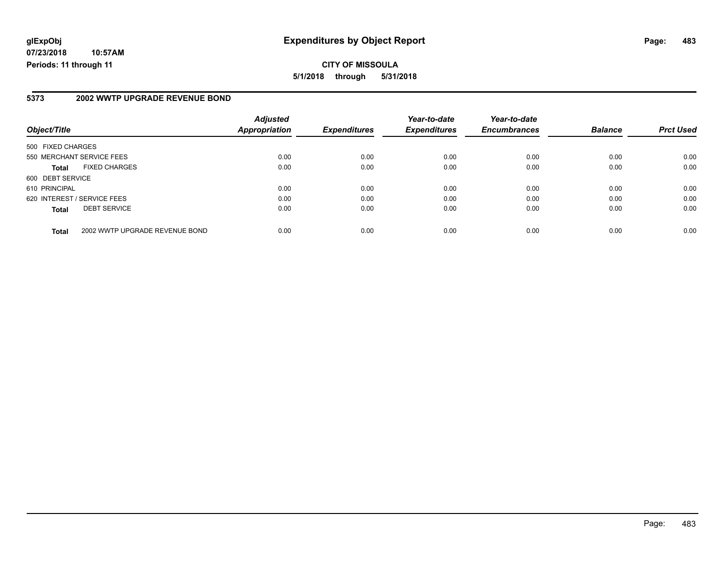**CITY OF MISSOULA 5/1/2018 through 5/31/2018**

#### **5373 2002 WWTP UPGRADE REVENUE BOND**

| Object/Title                |                                | <b>Adjusted</b><br><b>Appropriation</b> | <b>Expenditures</b> | Year-to-date<br><b>Expenditures</b> | Year-to-date<br><b>Encumbrances</b> | <b>Balance</b> | <b>Prct Used</b> |
|-----------------------------|--------------------------------|-----------------------------------------|---------------------|-------------------------------------|-------------------------------------|----------------|------------------|
| 500 FIXED CHARGES           |                                |                                         |                     |                                     |                                     |                |                  |
| 550 MERCHANT SERVICE FEES   |                                | 0.00                                    | 0.00                | 0.00                                | 0.00                                | 0.00           | 0.00             |
| <b>Total</b>                | <b>FIXED CHARGES</b>           | 0.00                                    | 0.00                | 0.00                                | 0.00                                | 0.00           | 0.00             |
| 600 DEBT SERVICE            |                                |                                         |                     |                                     |                                     |                |                  |
| 610 PRINCIPAL               |                                | 0.00                                    | 0.00                | 0.00                                | 0.00                                | 0.00           | 0.00             |
| 620 INTEREST / SERVICE FEES |                                | 0.00                                    | 0.00                | 0.00                                | 0.00                                | 0.00           | 0.00             |
| <b>Total</b>                | <b>DEBT SERVICE</b>            | 0.00                                    | 0.00                | 0.00                                | 0.00                                | 0.00           | 0.00             |
| <b>Total</b>                | 2002 WWTP UPGRADE REVENUE BOND | 0.00                                    | 0.00                | 0.00                                | 0.00                                | 0.00           | 0.00             |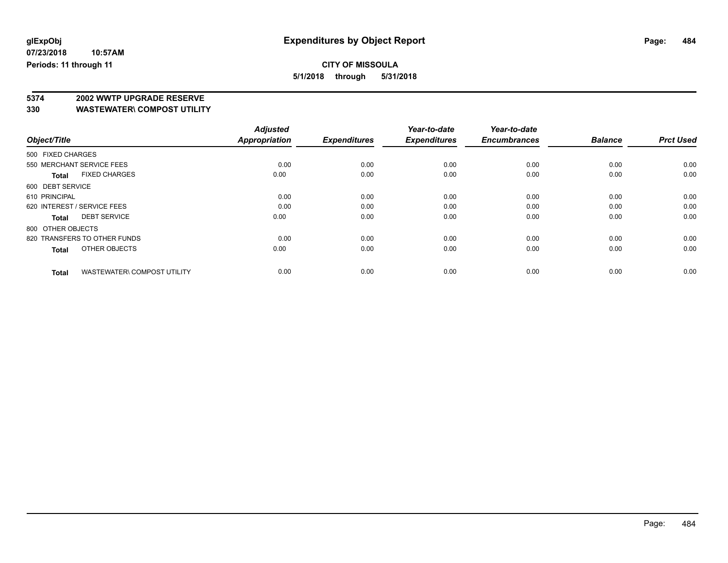### **CITY OF MISSOULA 5/1/2018 through 5/31/2018**

# **5374 2002 WWTP UPGRADE RESERVE**

| Object/Title                                       | <b>Adjusted</b><br><b>Appropriation</b> | <b>Expenditures</b> | Year-to-date<br><b>Expenditures</b> | Year-to-date<br><b>Encumbrances</b> | <b>Balance</b> | <b>Prct Used</b> |
|----------------------------------------------------|-----------------------------------------|---------------------|-------------------------------------|-------------------------------------|----------------|------------------|
| 500 FIXED CHARGES                                  |                                         |                     |                                     |                                     |                |                  |
| 550 MERCHANT SERVICE FEES                          | 0.00                                    | 0.00                | 0.00                                | 0.00                                | 0.00           | 0.00             |
| <b>FIXED CHARGES</b><br><b>Total</b>               | 0.00                                    | 0.00                | 0.00                                | 0.00                                | 0.00           | 0.00             |
| 600 DEBT SERVICE                                   |                                         |                     |                                     |                                     |                |                  |
| 610 PRINCIPAL                                      | 0.00                                    | 0.00                | 0.00                                | 0.00                                | 0.00           | 0.00             |
| 620 INTEREST / SERVICE FEES                        | 0.00                                    | 0.00                | 0.00                                | 0.00                                | 0.00           | 0.00             |
| <b>DEBT SERVICE</b><br><b>Total</b>                | 0.00                                    | 0.00                | 0.00                                | 0.00                                | 0.00           | 0.00             |
| 800 OTHER OBJECTS                                  |                                         |                     |                                     |                                     |                |                  |
| 820 TRANSFERS TO OTHER FUNDS                       | 0.00                                    | 0.00                | 0.00                                | 0.00                                | 0.00           | 0.00             |
| OTHER OBJECTS<br><b>Total</b>                      | 0.00                                    | 0.00                | 0.00                                | 0.00                                | 0.00           | 0.00             |
| <b>WASTEWATER\ COMPOST UTILITY</b><br><b>Total</b> | 0.00                                    | 0.00                | 0.00                                | 0.00                                | 0.00           | 0.00             |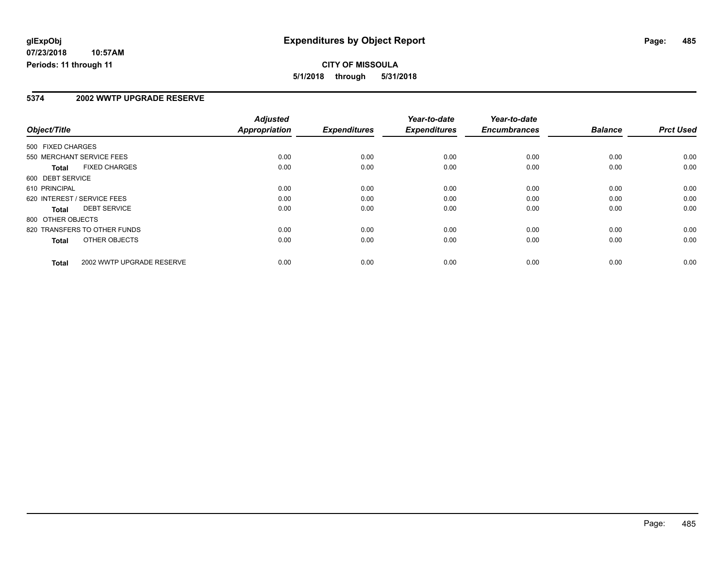# **CITY OF MISSOULA 5/1/2018 through 5/31/2018**

### **5374 2002 WWTP UPGRADE RESERVE**

|                   |                              | <b>Adjusted</b>      |                     | Year-to-date        | Year-to-date        |                |                  |
|-------------------|------------------------------|----------------------|---------------------|---------------------|---------------------|----------------|------------------|
| Object/Title      |                              | <b>Appropriation</b> | <b>Expenditures</b> | <b>Expenditures</b> | <b>Encumbrances</b> | <b>Balance</b> | <b>Prct Used</b> |
| 500 FIXED CHARGES |                              |                      |                     |                     |                     |                |                  |
|                   | 550 MERCHANT SERVICE FEES    | 0.00                 | 0.00                | 0.00                | 0.00                | 0.00           | 0.00             |
| <b>Total</b>      | <b>FIXED CHARGES</b>         | 0.00                 | 0.00                | 0.00                | 0.00                | 0.00           | 0.00             |
| 600 DEBT SERVICE  |                              |                      |                     |                     |                     |                |                  |
| 610 PRINCIPAL     |                              | 0.00                 | 0.00                | 0.00                | 0.00                | 0.00           | 0.00             |
|                   | 620 INTEREST / SERVICE FEES  | 0.00                 | 0.00                | 0.00                | 0.00                | 0.00           | 0.00             |
| Total             | <b>DEBT SERVICE</b>          | 0.00                 | 0.00                | 0.00                | 0.00                | 0.00           | 0.00             |
| 800 OTHER OBJECTS |                              |                      |                     |                     |                     |                |                  |
|                   | 820 TRANSFERS TO OTHER FUNDS | 0.00                 | 0.00                | 0.00                | 0.00                | 0.00           | 0.00             |
| <b>Total</b>      | OTHER OBJECTS                | 0.00                 | 0.00                | 0.00                | 0.00                | 0.00           | 0.00             |
| <b>Total</b>      | 2002 WWTP UPGRADE RESERVE    | 0.00                 | 0.00                | 0.00                | 0.00                | 0.00           | 0.00             |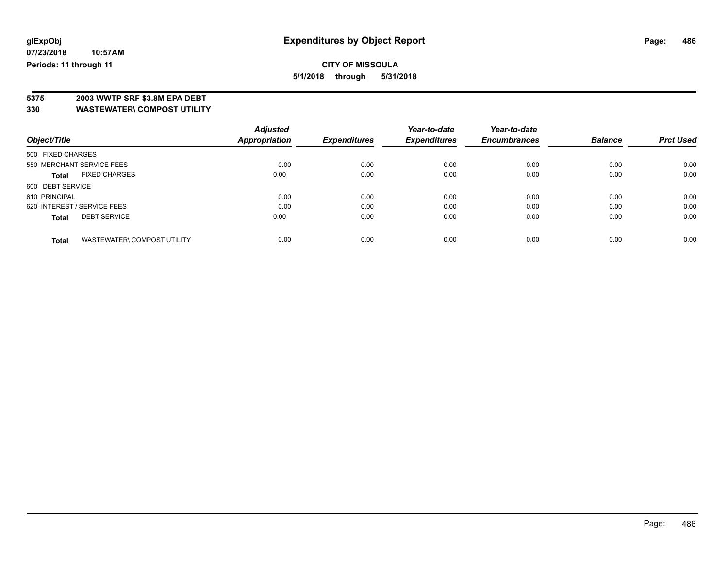### **CITY OF MISSOULA 5/1/2018 through 5/31/2018**

# **5375 2003 WWTP SRF \$3.8M EPA DEBT**

|                             |                                    | <b>Adjusted</b> | <b>Expenditures</b> | Year-to-date<br><b>Expenditures</b> | Year-to-date<br><b>Encumbrances</b> | <b>Balance</b> | <b>Prct Used</b> |
|-----------------------------|------------------------------------|-----------------|---------------------|-------------------------------------|-------------------------------------|----------------|------------------|
| Object/Title                |                                    | Appropriation   |                     |                                     |                                     |                |                  |
| 500 FIXED CHARGES           |                                    |                 |                     |                                     |                                     |                |                  |
| 550 MERCHANT SERVICE FEES   |                                    | 0.00            | 0.00                | 0.00                                | 0.00                                | 0.00           | 0.00             |
| <b>Total</b>                | <b>FIXED CHARGES</b>               | 0.00            | 0.00                | 0.00                                | 0.00                                | 0.00           | 0.00             |
| 600 DEBT SERVICE            |                                    |                 |                     |                                     |                                     |                |                  |
| 610 PRINCIPAL               |                                    | 0.00            | 0.00                | 0.00                                | 0.00                                | 0.00           | 0.00             |
| 620 INTEREST / SERVICE FEES |                                    | 0.00            | 0.00                | 0.00                                | 0.00                                | 0.00           | 0.00             |
| <b>Total</b>                | <b>DEBT SERVICE</b>                | 0.00            | 0.00                | 0.00                                | 0.00                                | 0.00           | 0.00             |
| <b>Total</b>                | <b>WASTEWATER\ COMPOST UTILITY</b> | 0.00            | 0.00                | 0.00                                | 0.00                                | 0.00           | 0.00             |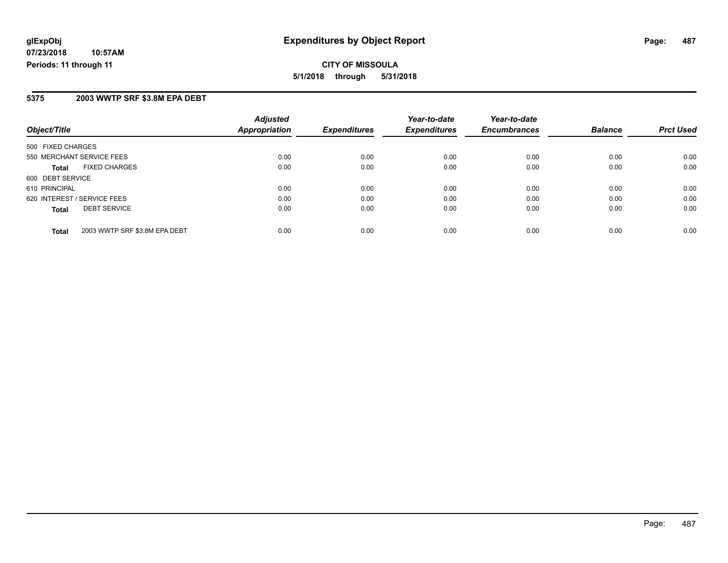**CITY OF MISSOULA 5/1/2018 through 5/31/2018**

#### **5375 2003 WWTP SRF \$3.8M EPA DEBT**

| Object/Title                           | <b>Adjusted</b><br>Appropriation | <b>Expenditures</b> | Year-to-date<br><b>Expenditures</b> | Year-to-date<br><b>Encumbrances</b> | <b>Balance</b> | <b>Prct Used</b> |
|----------------------------------------|----------------------------------|---------------------|-------------------------------------|-------------------------------------|----------------|------------------|
| 500 FIXED CHARGES                      |                                  |                     |                                     |                                     |                |                  |
| 550 MERCHANT SERVICE FEES              | 0.00                             | 0.00                | 0.00                                | 0.00                                | 0.00           | 0.00             |
| <b>FIXED CHARGES</b><br><b>Total</b>   | 0.00                             | 0.00                | 0.00                                | 0.00                                | 0.00           | 0.00             |
| 600 DEBT SERVICE                       |                                  |                     |                                     |                                     |                |                  |
| 610 PRINCIPAL                          | 0.00                             | 0.00                | 0.00                                | 0.00                                | 0.00           | 0.00             |
| 620 INTEREST / SERVICE FEES            | 0.00                             | 0.00                | 0.00                                | 0.00                                | 0.00           | 0.00             |
| <b>DEBT SERVICE</b><br><b>Total</b>    | 0.00                             | 0.00                | 0.00                                | 0.00                                | 0.00           | 0.00             |
| 2003 WWTP SRF \$3.8M EPA DEBT<br>Total | 0.00                             | 0.00                | 0.00                                | 0.00                                | 0.00           | 0.00             |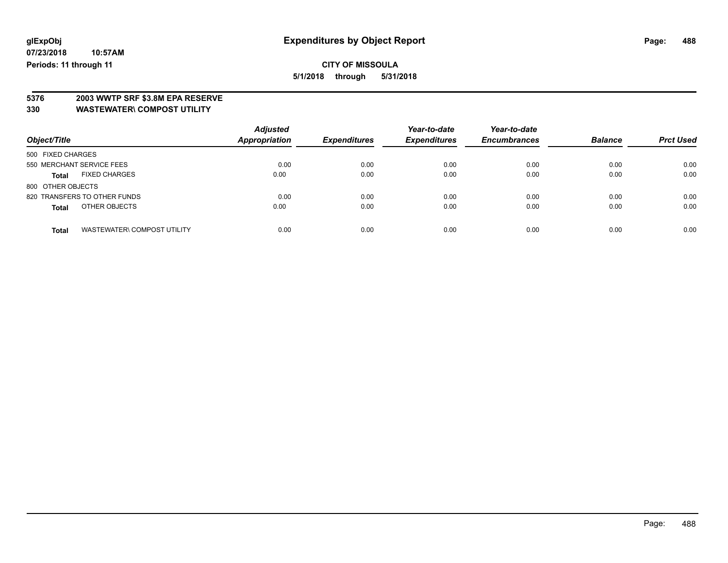### **CITY OF MISSOULA 5/1/2018 through 5/31/2018**

# **5376 2003 WWTP SRF \$3.8M EPA RESERVE**

| Object/Title                                | <b>Adjusted</b><br><b>Appropriation</b> | <b>Expenditures</b> | Year-to-date<br><b>Expenditures</b> | Year-to-date<br><b>Encumbrances</b> | <b>Balance</b> | <b>Prct Used</b> |
|---------------------------------------------|-----------------------------------------|---------------------|-------------------------------------|-------------------------------------|----------------|------------------|
| 500 FIXED CHARGES                           |                                         |                     |                                     |                                     |                |                  |
| 550 MERCHANT SERVICE FEES                   | 0.00                                    | 0.00                | 0.00                                | 0.00                                | 0.00           | 0.00             |
| <b>FIXED CHARGES</b><br>Total               | 0.00                                    | 0.00                | 0.00                                | 0.00                                | 0.00           | 0.00             |
| 800 OTHER OBJECTS                           |                                         |                     |                                     |                                     |                |                  |
| 820 TRANSFERS TO OTHER FUNDS                | 0.00                                    | 0.00                | 0.00                                | 0.00                                | 0.00           | 0.00             |
| OTHER OBJECTS<br><b>Total</b>               | 0.00                                    | 0.00                | 0.00                                | 0.00                                | 0.00           | 0.00             |
| WASTEWATER\ COMPOST UTILITY<br><b>Total</b> | 0.00                                    | 0.00                | 0.00                                | 0.00                                | 0.00           | 0.00             |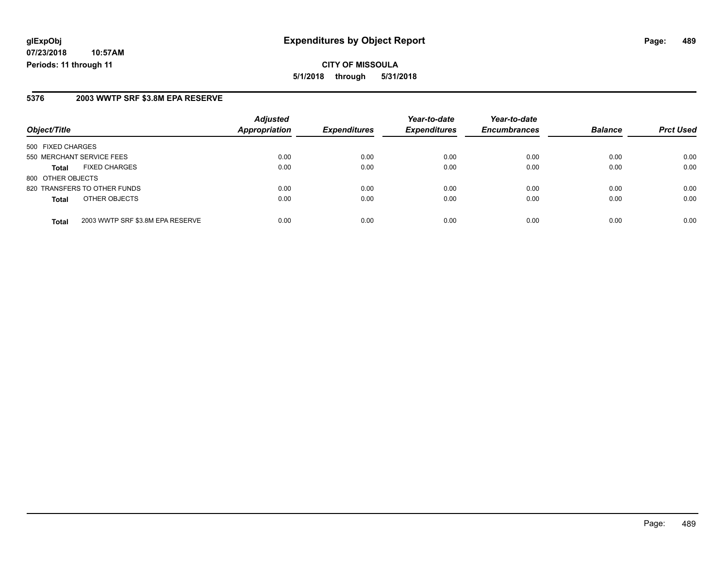**CITY OF MISSOULA 5/1/2018 through 5/31/2018**

#### **5376 2003 WWTP SRF \$3.8M EPA RESERVE**

| Object/Title                                     | <b>Adjusted</b><br><b>Appropriation</b> | <b>Expenditures</b> | Year-to-date<br><b>Expenditures</b> | Year-to-date<br><b>Encumbrances</b> | <b>Balance</b> | <b>Prct Used</b> |
|--------------------------------------------------|-----------------------------------------|---------------------|-------------------------------------|-------------------------------------|----------------|------------------|
| 500 FIXED CHARGES                                |                                         |                     |                                     |                                     |                |                  |
| 550 MERCHANT SERVICE FEES                        | 0.00                                    | 0.00                | 0.00                                | 0.00                                | 0.00           | 0.00             |
| <b>FIXED CHARGES</b><br><b>Total</b>             | 0.00                                    | 0.00                | 0.00                                | 0.00                                | 0.00           | 0.00             |
| 800 OTHER OBJECTS                                |                                         |                     |                                     |                                     |                |                  |
| 820 TRANSFERS TO OTHER FUNDS                     | 0.00                                    | 0.00                | 0.00                                | 0.00                                | 0.00           | 0.00             |
| OTHER OBJECTS<br><b>Total</b>                    | 0.00                                    | 0.00                | 0.00                                | 0.00                                | 0.00           | 0.00             |
| 2003 WWTP SRF \$3.8M EPA RESERVE<br><b>Total</b> | 0.00                                    | 0.00                | 0.00                                | 0.00                                | 0.00           | 0.00             |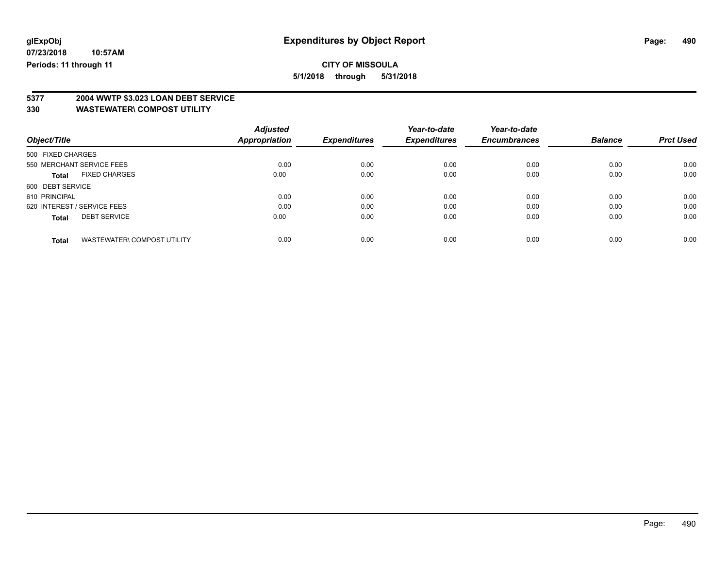# **5377 2004 WWTP \$3.023 LOAN DEBT SERVICE**

| Object/Title                |                                    | <b>Adjusted</b><br><b>Appropriation</b> | <b>Expenditures</b> | Year-to-date<br><b>Expenditures</b> | Year-to-date<br><b>Encumbrances</b> | <b>Balance</b> | <b>Prct Used</b> |
|-----------------------------|------------------------------------|-----------------------------------------|---------------------|-------------------------------------|-------------------------------------|----------------|------------------|
|                             |                                    |                                         |                     |                                     |                                     |                |                  |
| 500 FIXED CHARGES           |                                    |                                         |                     |                                     |                                     |                |                  |
| 550 MERCHANT SERVICE FEES   |                                    | 0.00                                    | 0.00                | 0.00                                | 0.00                                | 0.00           | 0.00             |
| <b>Total</b>                | <b>FIXED CHARGES</b>               | 0.00                                    | 0.00                | 0.00                                | 0.00                                | 0.00           | 0.00             |
| 600 DEBT SERVICE            |                                    |                                         |                     |                                     |                                     |                |                  |
| 610 PRINCIPAL               |                                    | 0.00                                    | 0.00                | 0.00                                | 0.00                                | 0.00           | 0.00             |
| 620 INTEREST / SERVICE FEES |                                    | 0.00                                    | 0.00                | 0.00                                | 0.00                                | 0.00           | 0.00             |
| <b>Total</b>                | <b>DEBT SERVICE</b>                | 0.00                                    | 0.00                | 0.00                                | 0.00                                | 0.00           | 0.00             |
| <b>Total</b>                | <b>WASTEWATER\ COMPOST UTILITY</b> | 0.00                                    | 0.00                | 0.00                                | 0.00                                | 0.00           | 0.00             |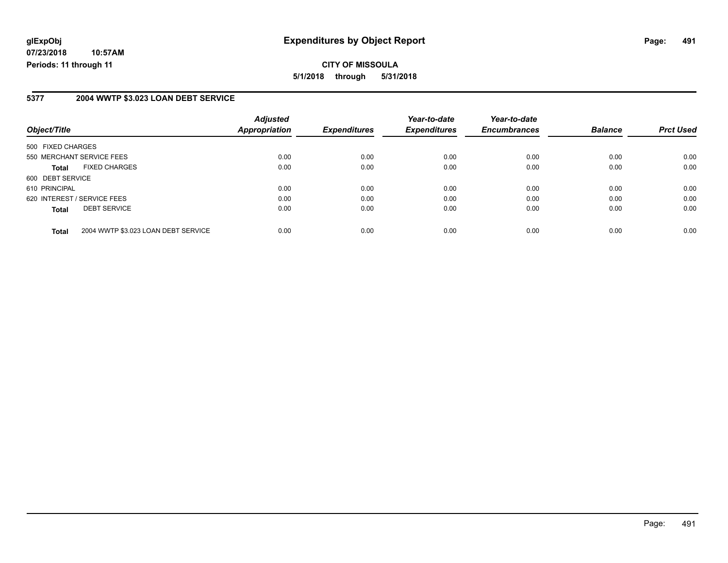**CITY OF MISSOULA 5/1/2018 through 5/31/2018**

### **5377 2004 WWTP \$3.023 LOAN DEBT SERVICE**

| Object/Title                                        | <b>Adjusted</b><br><b>Appropriation</b> | <b>Expenditures</b> | Year-to-date<br><b>Expenditures</b> | Year-to-date<br><b>Encumbrances</b> | <b>Balance</b> | <b>Prct Used</b> |
|-----------------------------------------------------|-----------------------------------------|---------------------|-------------------------------------|-------------------------------------|----------------|------------------|
| 500 FIXED CHARGES                                   |                                         |                     |                                     |                                     |                |                  |
| 550 MERCHANT SERVICE FEES                           | 0.00                                    | 0.00                | 0.00                                | 0.00                                | 0.00           | 0.00             |
| <b>FIXED CHARGES</b><br><b>Total</b>                | 0.00                                    | 0.00                | 0.00                                | 0.00                                | 0.00           | 0.00             |
| 600 DEBT SERVICE                                    |                                         |                     |                                     |                                     |                |                  |
| 610 PRINCIPAL                                       | 0.00                                    | 0.00                | 0.00                                | 0.00                                | 0.00           | 0.00             |
| 620 INTEREST / SERVICE FEES                         | 0.00                                    | 0.00                | 0.00                                | 0.00                                | 0.00           | 0.00             |
| <b>DEBT SERVICE</b><br><b>Total</b>                 | 0.00                                    | 0.00                | 0.00                                | 0.00                                | 0.00           | 0.00             |
| 2004 WWTP \$3.023 LOAN DEBT SERVICE<br><b>Total</b> | 0.00                                    | 0.00                | 0.00                                | 0.00                                | 0.00           | 0.00             |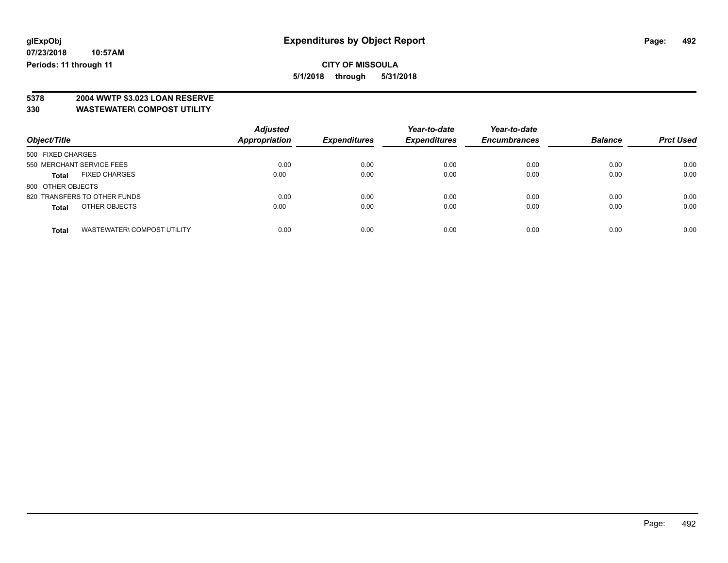### **CITY OF MISSOULA 5/1/2018 through 5/31/2018**

# **5378 2004 WWTP \$3.023 LOAN RESERVE**

| Object/Title                                       | <b>Adjusted</b><br><b>Appropriation</b> | <b>Expenditures</b> | Year-to-date<br><b>Expenditures</b> | Year-to-date<br><b>Encumbrances</b> | <b>Balance</b> | <b>Prct Used</b> |
|----------------------------------------------------|-----------------------------------------|---------------------|-------------------------------------|-------------------------------------|----------------|------------------|
| 500 FIXED CHARGES                                  |                                         |                     |                                     |                                     |                |                  |
| 550 MERCHANT SERVICE FEES                          | 0.00                                    | 0.00                | 0.00                                | 0.00                                | 0.00           | 0.00             |
| <b>FIXED CHARGES</b><br><b>Total</b>               | 0.00                                    | 0.00                | 0.00                                | 0.00                                | 0.00           | 0.00             |
| 800 OTHER OBJECTS                                  |                                         |                     |                                     |                                     |                |                  |
| 820 TRANSFERS TO OTHER FUNDS                       | 0.00                                    | 0.00                | 0.00                                | 0.00                                | 0.00           | 0.00             |
| OTHER OBJECTS<br><b>Total</b>                      | 0.00                                    | 0.00                | 0.00                                | 0.00                                | 0.00           | 0.00             |
|                                                    |                                         |                     |                                     |                                     |                |                  |
| <b>WASTEWATER\ COMPOST UTILITY</b><br><b>Total</b> | 0.00                                    | 0.00                | 0.00                                | 0.00                                | 0.00           | 0.00             |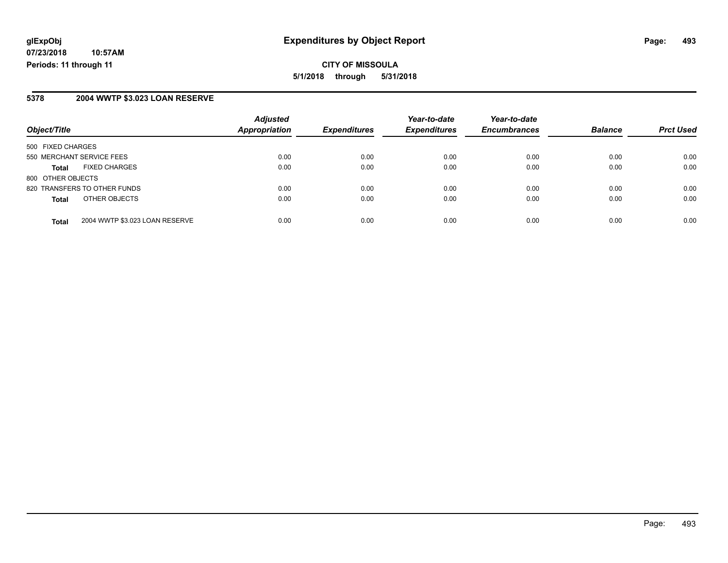**CITY OF MISSOULA 5/1/2018 through 5/31/2018**

#### **5378 2004 WWTP \$3.023 LOAN RESERVE**

| Object/Title                                   | <b>Adjusted</b><br>Appropriation | <b>Expenditures</b> | Year-to-date<br><b>Expenditures</b> | Year-to-date<br><b>Encumbrances</b> | <b>Balance</b> | <b>Prct Used</b> |
|------------------------------------------------|----------------------------------|---------------------|-------------------------------------|-------------------------------------|----------------|------------------|
|                                                |                                  |                     |                                     |                                     |                |                  |
| 500 FIXED CHARGES                              |                                  |                     |                                     |                                     |                |                  |
| 550 MERCHANT SERVICE FEES                      | 0.00                             | 0.00                | 0.00                                | 0.00                                | 0.00           | 0.00             |
| <b>FIXED CHARGES</b><br><b>Total</b>           | 0.00                             | 0.00                | 0.00                                | 0.00                                | 0.00           | 0.00             |
| 800 OTHER OBJECTS                              |                                  |                     |                                     |                                     |                |                  |
| 820 TRANSFERS TO OTHER FUNDS                   | 0.00                             | 0.00                | 0.00                                | 0.00                                | 0.00           | 0.00             |
| OTHER OBJECTS<br><b>Total</b>                  | 0.00                             | 0.00                | 0.00                                | 0.00                                | 0.00           | 0.00             |
|                                                |                                  |                     |                                     |                                     |                |                  |
| 2004 WWTP \$3.023 LOAN RESERVE<br><b>Total</b> | 0.00                             | 0.00                | 0.00                                | 0.00                                | 0.00           | 0.00             |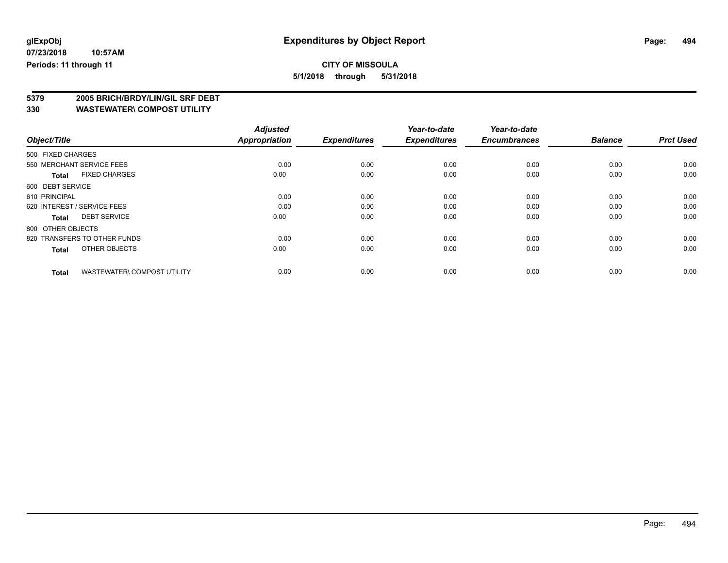**5379 2005 BRICH/BRDY/LIN/GIL SRF DEBT**

| Object/Title      |                                    | <b>Adjusted</b><br><b>Appropriation</b> | <b>Expenditures</b> | Year-to-date<br><b>Expenditures</b> | Year-to-date<br><b>Encumbrances</b> | <b>Balance</b> | <b>Prct Used</b> |
|-------------------|------------------------------------|-----------------------------------------|---------------------|-------------------------------------|-------------------------------------|----------------|------------------|
| 500 FIXED CHARGES |                                    |                                         |                     |                                     |                                     |                |                  |
|                   | 550 MERCHANT SERVICE FEES          | 0.00                                    | 0.00                | 0.00                                | 0.00                                | 0.00           | 0.00             |
| <b>Total</b>      | <b>FIXED CHARGES</b>               | 0.00                                    | 0.00                | 0.00                                | 0.00                                | 0.00           | 0.00             |
| 600 DEBT SERVICE  |                                    |                                         |                     |                                     |                                     |                |                  |
| 610 PRINCIPAL     |                                    | 0.00                                    | 0.00                | 0.00                                | 0.00                                | 0.00           | 0.00             |
|                   | 620 INTEREST / SERVICE FEES        | 0.00                                    | 0.00                | 0.00                                | 0.00                                | 0.00           | 0.00             |
| <b>Total</b>      | <b>DEBT SERVICE</b>                | 0.00                                    | 0.00                | 0.00                                | 0.00                                | 0.00           | 0.00             |
| 800 OTHER OBJECTS |                                    |                                         |                     |                                     |                                     |                |                  |
|                   | 820 TRANSFERS TO OTHER FUNDS       | 0.00                                    | 0.00                | 0.00                                | 0.00                                | 0.00           | 0.00             |
| <b>Total</b>      | OTHER OBJECTS                      | 0.00                                    | 0.00                | 0.00                                | 0.00                                | 0.00           | 0.00             |
| <b>Total</b>      | <b>WASTEWATER\ COMPOST UTILITY</b> | 0.00                                    | 0.00                | 0.00                                | 0.00                                | 0.00           | 0.00             |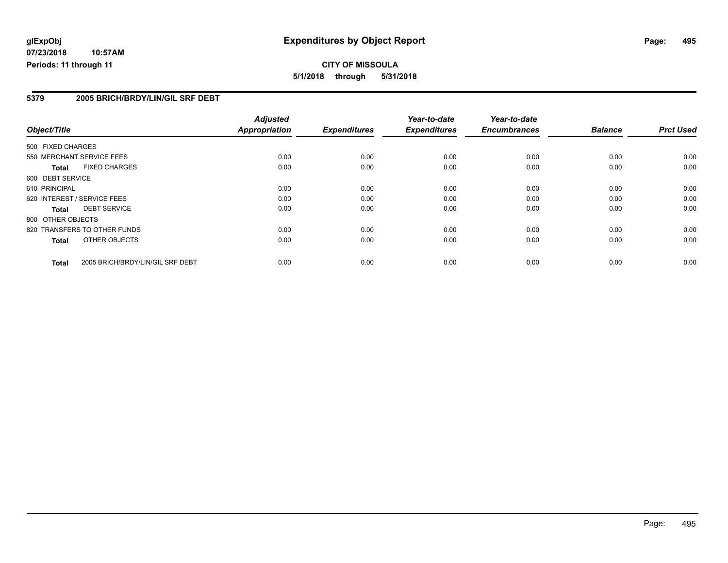# **CITY OF MISSOULA 5/1/2018 through 5/31/2018**

### **5379 2005 BRICH/BRDY/LIN/GIL SRF DEBT**

|                   |                                  | <b>Adjusted</b>      |                     | Year-to-date        | Year-to-date        |                |                  |
|-------------------|----------------------------------|----------------------|---------------------|---------------------|---------------------|----------------|------------------|
| Object/Title      |                                  | <b>Appropriation</b> | <b>Expenditures</b> | <b>Expenditures</b> | <b>Encumbrances</b> | <b>Balance</b> | <b>Prct Used</b> |
| 500 FIXED CHARGES |                                  |                      |                     |                     |                     |                |                  |
|                   | 550 MERCHANT SERVICE FEES        | 0.00                 | 0.00                | 0.00                | 0.00                | 0.00           | 0.00             |
| <b>Total</b>      | <b>FIXED CHARGES</b>             | 0.00                 | 0.00                | 0.00                | 0.00                | 0.00           | 0.00             |
| 600 DEBT SERVICE  |                                  |                      |                     |                     |                     |                |                  |
| 610 PRINCIPAL     |                                  | 0.00                 | 0.00                | 0.00                | 0.00                | 0.00           | 0.00             |
|                   | 620 INTEREST / SERVICE FEES      | 0.00                 | 0.00                | 0.00                | 0.00                | 0.00           | 0.00             |
| Total             | <b>DEBT SERVICE</b>              | 0.00                 | 0.00                | 0.00                | 0.00                | 0.00           | 0.00             |
| 800 OTHER OBJECTS |                                  |                      |                     |                     |                     |                |                  |
|                   | 820 TRANSFERS TO OTHER FUNDS     | 0.00                 | 0.00                | 0.00                | 0.00                | 0.00           | 0.00             |
| Total             | OTHER OBJECTS                    | 0.00                 | 0.00                | 0.00                | 0.00                | 0.00           | 0.00             |
| <b>Total</b>      | 2005 BRICH/BRDY/LIN/GIL SRF DEBT | 0.00                 | 0.00                | 0.00                | 0.00                | 0.00           | 0.00             |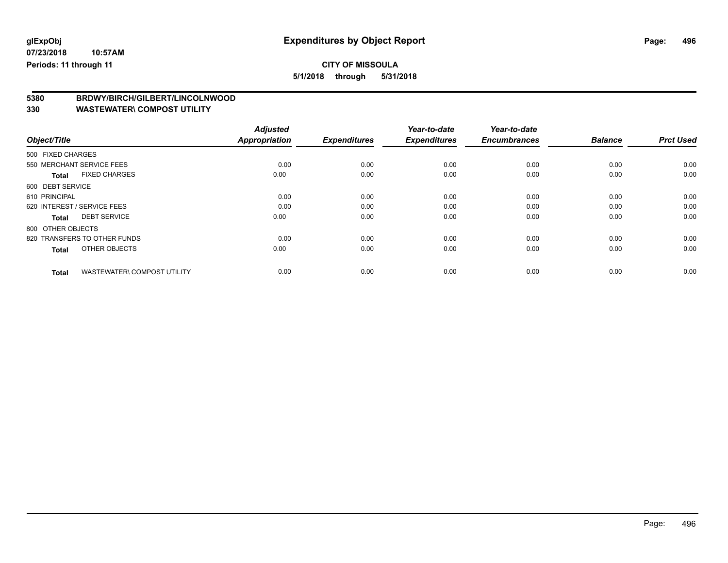# **5380 BRDWY/BIRCH/GILBERT/LINCOLNWOOD**

|                             |                                    | <b>Adjusted</b>      |                     | Year-to-date        | Year-to-date        |                |                  |
|-----------------------------|------------------------------------|----------------------|---------------------|---------------------|---------------------|----------------|------------------|
| Object/Title                |                                    | <b>Appropriation</b> | <b>Expenditures</b> | <b>Expenditures</b> | <b>Encumbrances</b> | <b>Balance</b> | <b>Prct Used</b> |
| 500 FIXED CHARGES           |                                    |                      |                     |                     |                     |                |                  |
| 550 MERCHANT SERVICE FEES   |                                    | 0.00                 | 0.00                | 0.00                | 0.00                | 0.00           | 0.00             |
| <b>Total</b>                | <b>FIXED CHARGES</b>               | 0.00                 | 0.00                | 0.00                | 0.00                | 0.00           | 0.00             |
| 600 DEBT SERVICE            |                                    |                      |                     |                     |                     |                |                  |
| 610 PRINCIPAL               |                                    | 0.00                 | 0.00                | 0.00                | 0.00                | 0.00           | 0.00             |
| 620 INTEREST / SERVICE FEES |                                    | 0.00                 | 0.00                | 0.00                | 0.00                | 0.00           | 0.00             |
| Total                       | <b>DEBT SERVICE</b>                | 0.00                 | 0.00                | 0.00                | 0.00                | 0.00           | 0.00             |
| 800 OTHER OBJECTS           |                                    |                      |                     |                     |                     |                |                  |
|                             | 820 TRANSFERS TO OTHER FUNDS       | 0.00                 | 0.00                | 0.00                | 0.00                | 0.00           | 0.00             |
| <b>Total</b>                | OTHER OBJECTS                      | 0.00                 | 0.00                | 0.00                | 0.00                | 0.00           | 0.00             |
| <b>Total</b>                | <b>WASTEWATER\ COMPOST UTILITY</b> | 0.00                 | 0.00                | 0.00                | 0.00                | 0.00           | 0.00             |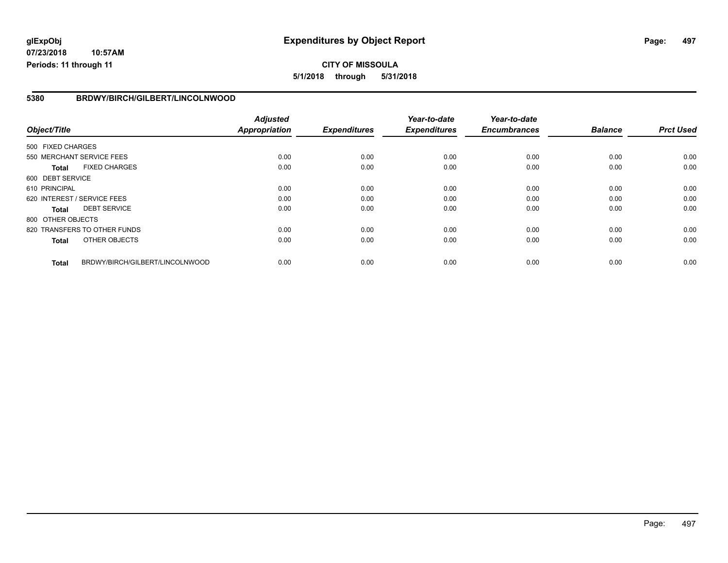**CITY OF MISSOULA 5/1/2018 through 5/31/2018**

#### **5380 BRDWY/BIRCH/GILBERT/LINCOLNWOOD**

|                   |                                 | <b>Adjusted</b> |                     | Year-to-date        | Year-to-date        |                |                  |
|-------------------|---------------------------------|-----------------|---------------------|---------------------|---------------------|----------------|------------------|
| Object/Title      |                                 | Appropriation   | <b>Expenditures</b> | <b>Expenditures</b> | <b>Encumbrances</b> | <b>Balance</b> | <b>Prct Used</b> |
| 500 FIXED CHARGES |                                 |                 |                     |                     |                     |                |                  |
|                   | 550 MERCHANT SERVICE FEES       | 0.00            | 0.00                | 0.00                | 0.00                | 0.00           | 0.00             |
| <b>Total</b>      | <b>FIXED CHARGES</b>            | 0.00            | 0.00                | 0.00                | 0.00                | 0.00           | 0.00             |
| 600 DEBT SERVICE  |                                 |                 |                     |                     |                     |                |                  |
| 610 PRINCIPAL     |                                 | 0.00            | 0.00                | 0.00                | 0.00                | 0.00           | 0.00             |
|                   | 620 INTEREST / SERVICE FEES     | 0.00            | 0.00                | 0.00                | 0.00                | 0.00           | 0.00             |
| <b>Total</b>      | <b>DEBT SERVICE</b>             | 0.00            | 0.00                | 0.00                | 0.00                | 0.00           | 0.00             |
| 800 OTHER OBJECTS |                                 |                 |                     |                     |                     |                |                  |
|                   | 820 TRANSFERS TO OTHER FUNDS    | 0.00            | 0.00                | 0.00                | 0.00                | 0.00           | 0.00             |
| <b>Total</b>      | OTHER OBJECTS                   | 0.00            | 0.00                | 0.00                | 0.00                | 0.00           | 0.00             |
| <b>Total</b>      | BRDWY/BIRCH/GILBERT/LINCOLNWOOD | 0.00            | 0.00                | 0.00                | 0.00                | 0.00           | 0.00             |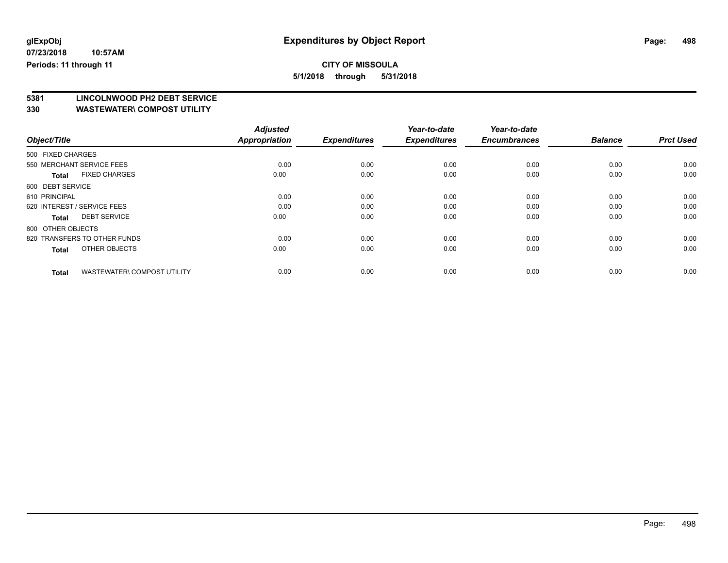**5381 LINCOLNWOOD PH2 DEBT SERVICE 330 WASTEWATER\ COMPOST UTILITY**

|                                                    | <b>Adjusted</b> |                     | Year-to-date        | Year-to-date        |                |                  |
|----------------------------------------------------|-----------------|---------------------|---------------------|---------------------|----------------|------------------|
| Object/Title                                       | Appropriation   | <b>Expenditures</b> | <b>Expenditures</b> | <b>Encumbrances</b> | <b>Balance</b> | <b>Prct Used</b> |
| 500 FIXED CHARGES                                  |                 |                     |                     |                     |                |                  |
| 550 MERCHANT SERVICE FEES                          | 0.00            | 0.00                | 0.00                | 0.00                | 0.00           | 0.00             |
| <b>FIXED CHARGES</b><br><b>Total</b>               | 0.00            | 0.00                | 0.00                | 0.00                | 0.00           | 0.00             |
| 600 DEBT SERVICE                                   |                 |                     |                     |                     |                |                  |
| 610 PRINCIPAL                                      | 0.00            | 0.00                | 0.00                | 0.00                | 0.00           | 0.00             |
| 620 INTEREST / SERVICE FEES                        | 0.00            | 0.00                | 0.00                | 0.00                | 0.00           | 0.00             |
| <b>DEBT SERVICE</b><br><b>Total</b>                | 0.00            | 0.00                | 0.00                | 0.00                | 0.00           | 0.00             |
| 800 OTHER OBJECTS                                  |                 |                     |                     |                     |                |                  |
| 820 TRANSFERS TO OTHER FUNDS                       | 0.00            | 0.00                | 0.00                | 0.00                | 0.00           | 0.00             |
| OTHER OBJECTS<br><b>Total</b>                      | 0.00            | 0.00                | 0.00                | 0.00                | 0.00           | 0.00             |
|                                                    |                 |                     |                     |                     |                |                  |
| <b>WASTEWATER\ COMPOST UTILITY</b><br><b>Total</b> | 0.00            | 0.00                | 0.00                | 0.00                | 0.00           | 0.00             |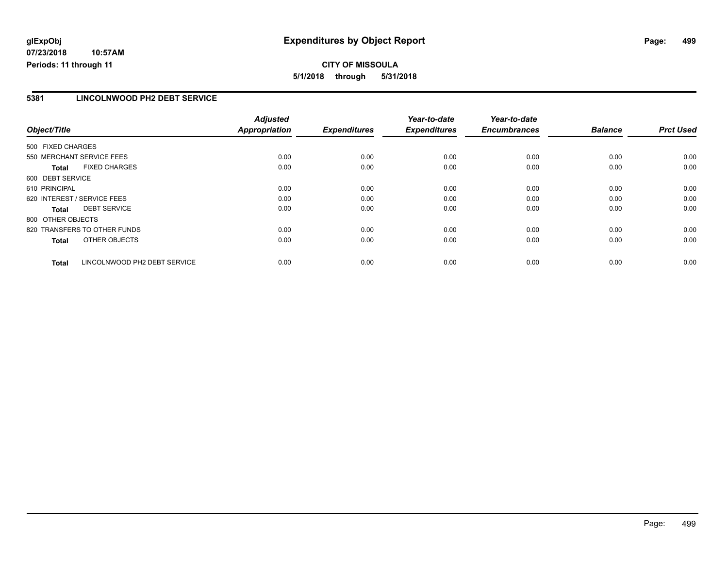**CITY OF MISSOULA 5/1/2018 through 5/31/2018**

### **5381 LINCOLNWOOD PH2 DEBT SERVICE**

|                   |                              | <b>Adjusted</b>      |                     | Year-to-date        | Year-to-date        |                |                  |
|-------------------|------------------------------|----------------------|---------------------|---------------------|---------------------|----------------|------------------|
| Object/Title      |                              | <b>Appropriation</b> | <b>Expenditures</b> | <b>Expenditures</b> | <b>Encumbrances</b> | <b>Balance</b> | <b>Prct Used</b> |
| 500 FIXED CHARGES |                              |                      |                     |                     |                     |                |                  |
|                   | 550 MERCHANT SERVICE FEES    | 0.00                 | 0.00                | 0.00                | 0.00                | 0.00           | 0.00             |
| <b>Total</b>      | <b>FIXED CHARGES</b>         | 0.00                 | 0.00                | 0.00                | 0.00                | 0.00           | 0.00             |
| 600 DEBT SERVICE  |                              |                      |                     |                     |                     |                |                  |
| 610 PRINCIPAL     |                              | 0.00                 | 0.00                | 0.00                | 0.00                | 0.00           | 0.00             |
|                   | 620 INTEREST / SERVICE FEES  | 0.00                 | 0.00                | 0.00                | 0.00                | 0.00           | 0.00             |
| Total             | <b>DEBT SERVICE</b>          | 0.00                 | 0.00                | 0.00                | 0.00                | 0.00           | 0.00             |
| 800 OTHER OBJECTS |                              |                      |                     |                     |                     |                |                  |
|                   | 820 TRANSFERS TO OTHER FUNDS | 0.00                 | 0.00                | 0.00                | 0.00                | 0.00           | 0.00             |
| Total             | OTHER OBJECTS                | 0.00                 | 0.00                | 0.00                | 0.00                | 0.00           | 0.00             |
| <b>Total</b>      | LINCOLNWOOD PH2 DEBT SERVICE | 0.00                 | 0.00                | 0.00                | 0.00                | 0.00           | 0.00             |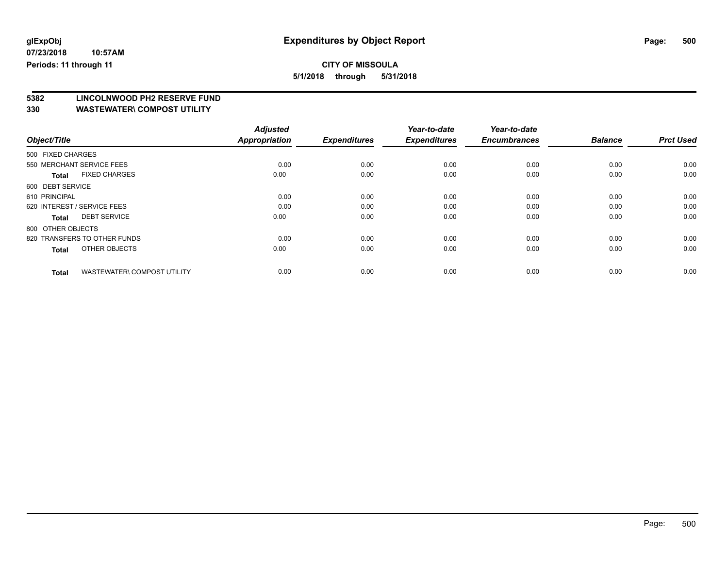# **5382 LINCOLNWOOD PH2 RESERVE FUND**<br>330 WASTEWATER\ COMPOST UTILITY

| Object/Title      |                                    | <b>Adjusted</b><br><b>Appropriation</b> | <b>Expenditures</b> | Year-to-date<br><b>Expenditures</b> | Year-to-date<br><b>Encumbrances</b> | <b>Balance</b> | <b>Prct Used</b> |
|-------------------|------------------------------------|-----------------------------------------|---------------------|-------------------------------------|-------------------------------------|----------------|------------------|
|                   |                                    |                                         |                     |                                     |                                     |                |                  |
| 500 FIXED CHARGES |                                    |                                         |                     |                                     |                                     |                |                  |
|                   | 550 MERCHANT SERVICE FEES          | 0.00                                    | 0.00                | 0.00                                | 0.00                                | 0.00           | 0.00             |
| Total             | <b>FIXED CHARGES</b>               | 0.00                                    | 0.00                | 0.00                                | 0.00                                | 0.00           | 0.00             |
| 600 DEBT SERVICE  |                                    |                                         |                     |                                     |                                     |                |                  |
| 610 PRINCIPAL     |                                    | 0.00                                    | 0.00                | 0.00                                | 0.00                                | 0.00           | 0.00             |
|                   | 620 INTEREST / SERVICE FEES        | 0.00                                    | 0.00                | 0.00                                | 0.00                                | 0.00           | 0.00             |
| Total             | <b>DEBT SERVICE</b>                | 0.00                                    | 0.00                | 0.00                                | 0.00                                | 0.00           | 0.00             |
| 800 OTHER OBJECTS |                                    |                                         |                     |                                     |                                     |                |                  |
|                   | 820 TRANSFERS TO OTHER FUNDS       | 0.00                                    | 0.00                | 0.00                                | 0.00                                | 0.00           | 0.00             |
| <b>Total</b>      | OTHER OBJECTS                      | 0.00                                    | 0.00                | 0.00                                | 0.00                                | 0.00           | 0.00             |
| <b>Total</b>      | <b>WASTEWATER\ COMPOST UTILITY</b> | 0.00                                    | 0.00                | 0.00                                | 0.00                                | 0.00           | 0.00             |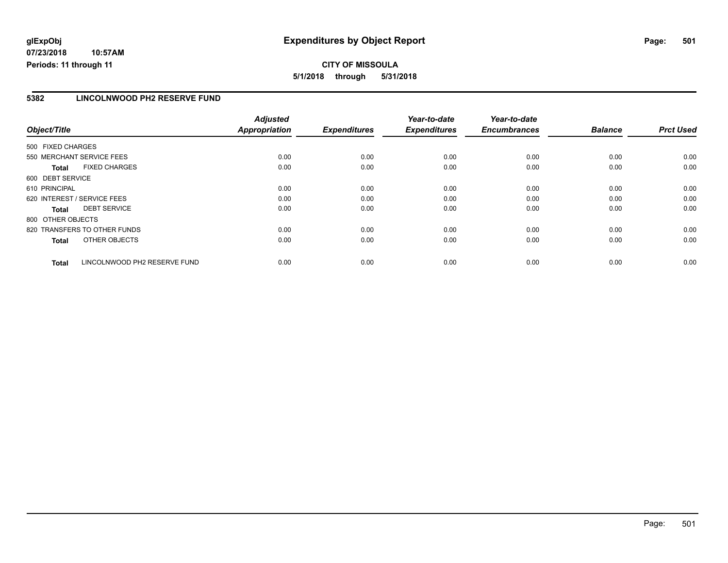# **CITY OF MISSOULA 5/1/2018 through 5/31/2018**

### **5382 LINCOLNWOOD PH2 RESERVE FUND**

|                   |                              | <b>Adjusted</b>      |                     | Year-to-date        | Year-to-date        |                |                  |
|-------------------|------------------------------|----------------------|---------------------|---------------------|---------------------|----------------|------------------|
| Object/Title      |                              | <b>Appropriation</b> | <b>Expenditures</b> | <b>Expenditures</b> | <b>Encumbrances</b> | <b>Balance</b> | <b>Prct Used</b> |
| 500 FIXED CHARGES |                              |                      |                     |                     |                     |                |                  |
|                   | 550 MERCHANT SERVICE FEES    | 0.00                 | 0.00                | 0.00                | 0.00                | 0.00           | 0.00             |
| <b>Total</b>      | <b>FIXED CHARGES</b>         | 0.00                 | 0.00                | 0.00                | 0.00                | 0.00           | 0.00             |
| 600 DEBT SERVICE  |                              |                      |                     |                     |                     |                |                  |
| 610 PRINCIPAL     |                              | 0.00                 | 0.00                | 0.00                | 0.00                | 0.00           | 0.00             |
|                   | 620 INTEREST / SERVICE FEES  | 0.00                 | 0.00                | 0.00                | 0.00                | 0.00           | 0.00             |
| Total             | <b>DEBT SERVICE</b>          | 0.00                 | 0.00                | 0.00                | 0.00                | 0.00           | 0.00             |
| 800 OTHER OBJECTS |                              |                      |                     |                     |                     |                |                  |
|                   | 820 TRANSFERS TO OTHER FUNDS | 0.00                 | 0.00                | 0.00                | 0.00                | 0.00           | 0.00             |
| <b>Total</b>      | OTHER OBJECTS                | 0.00                 | 0.00                | 0.00                | 0.00                | 0.00           | 0.00             |
| <b>Total</b>      | LINCOLNWOOD PH2 RESERVE FUND | 0.00                 | 0.00                | 0.00                | 0.00                | 0.00           | 0.00             |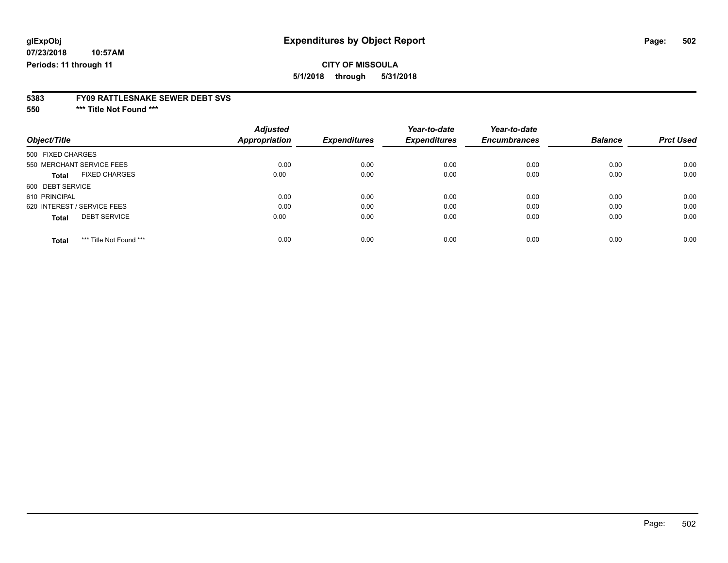### **CITY OF MISSOULA 5/1/2018 through 5/31/2018**

#### **5383 FY09 RATTLESNAKE SEWER DEBT SVS**

**550 \*\*\* Title Not Found \*\*\***

| Object/Title                            | <b>Adjusted</b><br>Appropriation | <b>Expenditures</b> | Year-to-date<br><b>Expenditures</b> | Year-to-date<br><b>Encumbrances</b> | <b>Balance</b> | <b>Prct Used</b> |
|-----------------------------------------|----------------------------------|---------------------|-------------------------------------|-------------------------------------|----------------|------------------|
| 500 FIXED CHARGES                       |                                  |                     |                                     |                                     |                |                  |
| 550 MERCHANT SERVICE FEES               | 0.00                             | 0.00                | 0.00                                | 0.00                                | 0.00           | 0.00             |
| <b>FIXED CHARGES</b><br><b>Total</b>    | 0.00                             | 0.00                | 0.00                                | 0.00                                | 0.00           | 0.00             |
| 600 DEBT SERVICE                        |                                  |                     |                                     |                                     |                |                  |
| 610 PRINCIPAL                           | 0.00                             | 0.00                | 0.00                                | 0.00                                | 0.00           | 0.00             |
| 620 INTEREST / SERVICE FEES             | 0.00                             | 0.00                | 0.00                                | 0.00                                | 0.00           | 0.00             |
| <b>DEBT SERVICE</b><br><b>Total</b>     | 0.00                             | 0.00                | 0.00                                | 0.00                                | 0.00           | 0.00             |
| *** Title Not Found ***<br><b>Total</b> | 0.00                             | 0.00                | 0.00                                | 0.00                                | 0.00           | 0.00             |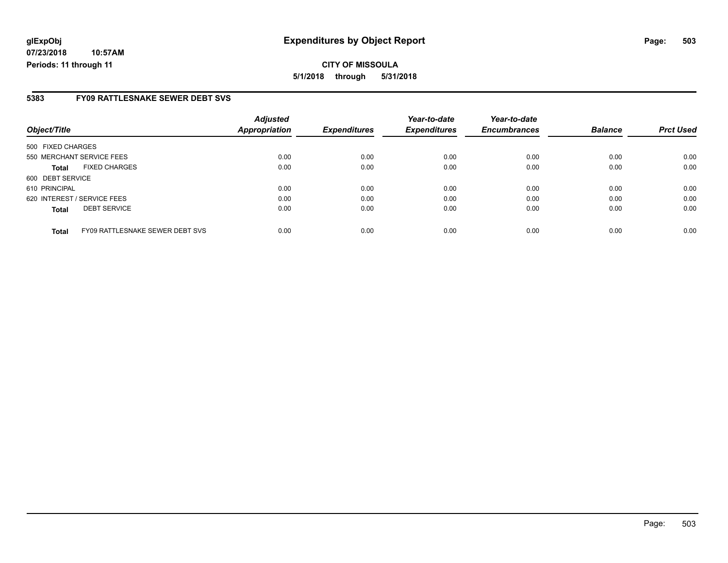# **CITY OF MISSOULA 5/1/2018 through 5/31/2018**

### **5383 FY09 RATTLESNAKE SEWER DEBT SVS**

| Object/Title      |                                 | <b>Adjusted</b><br><b>Appropriation</b> | <b>Expenditures</b> | Year-to-date<br><b>Expenditures</b> | Year-to-date<br><b>Encumbrances</b> | <b>Balance</b> | <b>Prct Used</b> |
|-------------------|---------------------------------|-----------------------------------------|---------------------|-------------------------------------|-------------------------------------|----------------|------------------|
| 500 FIXED CHARGES |                                 |                                         |                     |                                     |                                     |                |                  |
|                   | 550 MERCHANT SERVICE FEES       | 0.00                                    | 0.00                | 0.00                                | 0.00                                | 0.00           | 0.00             |
| <b>Total</b>      | <b>FIXED CHARGES</b>            | 0.00                                    | 0.00                | 0.00                                | 0.00                                | 0.00           | 0.00             |
| 600 DEBT SERVICE  |                                 |                                         |                     |                                     |                                     |                |                  |
| 610 PRINCIPAL     |                                 | 0.00                                    | 0.00                | 0.00                                | 0.00                                | 0.00           | 0.00             |
|                   | 620 INTEREST / SERVICE FEES     | 0.00                                    | 0.00                | 0.00                                | 0.00                                | 0.00           | 0.00             |
| <b>Total</b>      | <b>DEBT SERVICE</b>             | 0.00                                    | 0.00                | 0.00                                | 0.00                                | 0.00           | 0.00             |
| <b>Total</b>      | FY09 RATTLESNAKE SEWER DEBT SVS | 0.00                                    | 0.00                | 0.00                                | 0.00                                | 0.00           | 0.00             |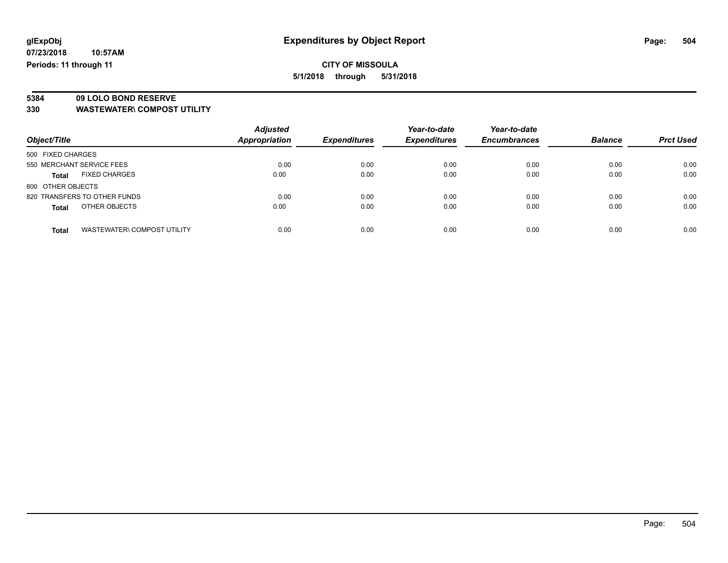**CITY OF MISSOULA 5/1/2018 through 5/31/2018**

# **5384 09 LOLO BOND RESERVE**

| Object/Title                                | <b>Adjusted</b><br>Appropriation | <b>Expenditures</b> | Year-to-date<br><b>Expenditures</b> | Year-to-date<br><b>Encumbrances</b> | <b>Balance</b> | <b>Prct Used</b> |
|---------------------------------------------|----------------------------------|---------------------|-------------------------------------|-------------------------------------|----------------|------------------|
| 500 FIXED CHARGES                           |                                  |                     |                                     |                                     |                |                  |
| 550 MERCHANT SERVICE FEES                   | 0.00                             | 0.00                | 0.00                                | 0.00                                | 0.00           | 0.00             |
| <b>FIXED CHARGES</b><br><b>Total</b>        | 0.00                             | 0.00                | 0.00                                | 0.00                                | 0.00           | 0.00             |
| 800 OTHER OBJECTS                           |                                  |                     |                                     |                                     |                |                  |
| 820 TRANSFERS TO OTHER FUNDS                | 0.00                             | 0.00                | 0.00                                | 0.00                                | 0.00           | 0.00             |
| OTHER OBJECTS<br><b>Total</b>               | 0.00                             | 0.00                | 0.00                                | 0.00                                | 0.00           | 0.00             |
|                                             |                                  |                     |                                     |                                     |                |                  |
| <b>WASTEWATER\ COMPOST UTILITY</b><br>Total | 0.00                             | 0.00                | 0.00                                | 0.00                                | 0.00           | 0.00             |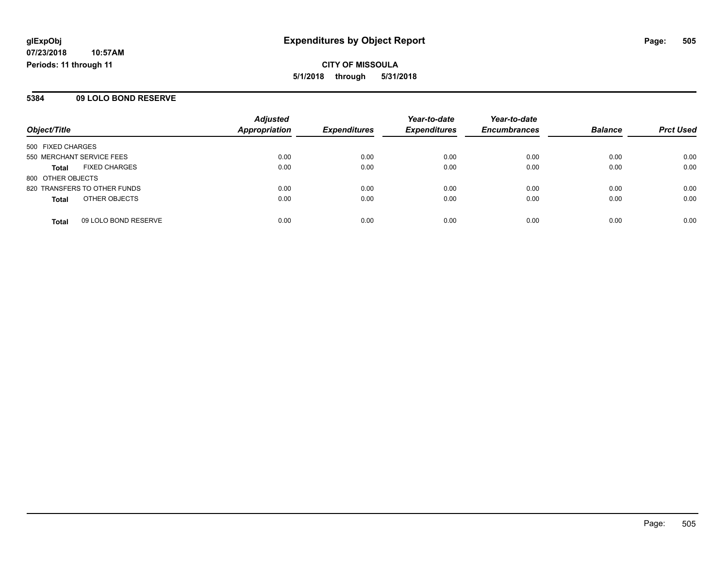### **5384 09 LOLO BOND RESERVE**

|                                      | <b>Adjusted</b>      |                     | Year-to-date        | Year-to-date        |                |                  |
|--------------------------------------|----------------------|---------------------|---------------------|---------------------|----------------|------------------|
| Object/Title                         | <b>Appropriation</b> | <b>Expenditures</b> | <b>Expenditures</b> | <b>Encumbrances</b> | <b>Balance</b> | <b>Prct Used</b> |
| 500 FIXED CHARGES                    |                      |                     |                     |                     |                |                  |
| 550 MERCHANT SERVICE FEES            | 0.00                 | 0.00                | 0.00                | 0.00                | 0.00           | 0.00             |
| <b>FIXED CHARGES</b><br><b>Total</b> | 0.00                 | 0.00                | 0.00                | 0.00                | 0.00           | 0.00             |
| 800 OTHER OBJECTS                    |                      |                     |                     |                     |                |                  |
| 820 TRANSFERS TO OTHER FUNDS         | 0.00                 | 0.00                | 0.00                | 0.00                | 0.00           | 0.00             |
| OTHER OBJECTS<br><b>Total</b>        | 0.00                 | 0.00                | 0.00                | 0.00                | 0.00           | 0.00             |
| 09 LOLO BOND RESERVE<br><b>Total</b> | 0.00                 | 0.00                | 0.00                | 0.00                | 0.00           | 0.00             |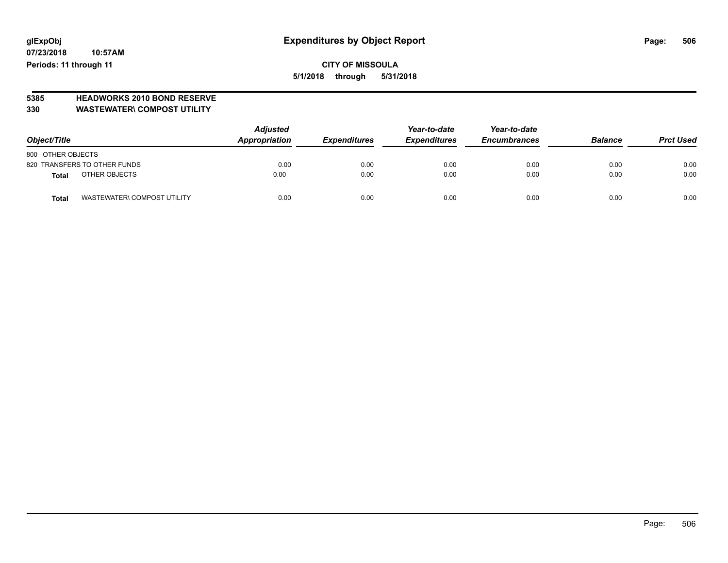# **5385 HEADWORKS 2010 BOND RESERVE**

## **330 WASTEWATER\ COMPOST UTILITY**

| Object/Title                         | <b>Adjusted</b><br>Appropriation | <b>Expenditures</b> | Year-to-date<br><b>Expenditures</b> | Year-to-date<br><b>Encumbrances</b> | <b>Balance</b> | <b>Prct Used</b> |
|--------------------------------------|----------------------------------|---------------------|-------------------------------------|-------------------------------------|----------------|------------------|
| 800 OTHER OBJECTS                    |                                  |                     |                                     |                                     |                |                  |
| 820 TRANSFERS TO OTHER FUNDS         | 0.00                             | 0.00                | 0.00                                | 0.00                                | 0.00           | 0.00             |
| OTHER OBJECTS<br><b>Total</b>        | 0.00                             | 0.00                | 0.00                                | 0.00                                | 0.00           | 0.00             |
| WASTEWATER\ COMPOST UTILITY<br>Total | 0.00                             | 0.00                | 0.00                                | 0.00                                | 0.00           | 0.00             |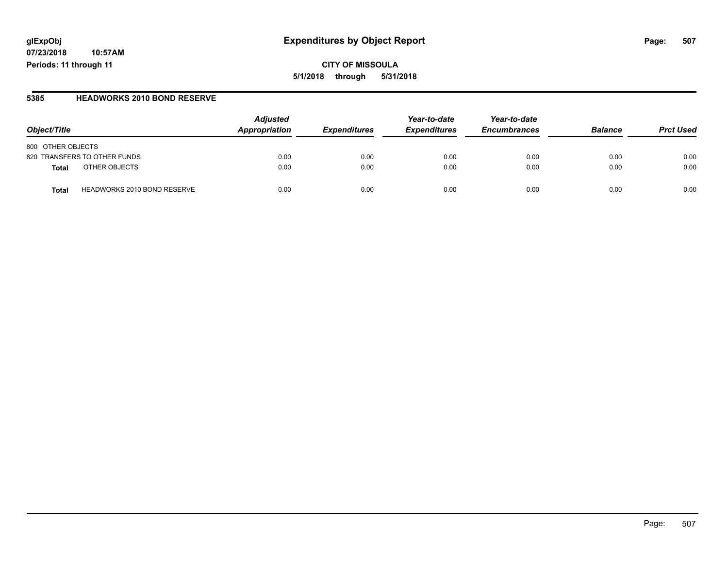# **glExpObj Expenditures by Object Report Page: 507**

**07/23/2018 10:57AM Periods: 11 through 11**

**CITY OF MISSOULA 5/1/2018 through 5/31/2018**

#### **5385 HEADWORKS 2010 BOND RESERVE**

| Object/Title                                | <b>Adjusted</b><br>Appropriation | <b>Expenditures</b> | Year-to-date<br><b>Expenditures</b> | Year-to-date<br><b>Encumbrances</b> | <b>Balance</b> | <b>Prct Used</b> |
|---------------------------------------------|----------------------------------|---------------------|-------------------------------------|-------------------------------------|----------------|------------------|
| 800 OTHER OBJECTS                           |                                  |                     |                                     |                                     |                |                  |
| 820 TRANSFERS TO OTHER FUNDS                | 0.00                             | 0.00                | 0.00                                | 0.00                                | 0.00           | 0.00             |
| OTHER OBJECTS<br>Total                      | 0.00                             | 0.00                | 0.00                                | 0.00                                | 0.00           | 0.00             |
| <b>HEADWORKS 2010 BOND RESERVE</b><br>Total | 0.00                             | 0.00                | 0.00                                | 0.00                                | 0.00           | 0.00             |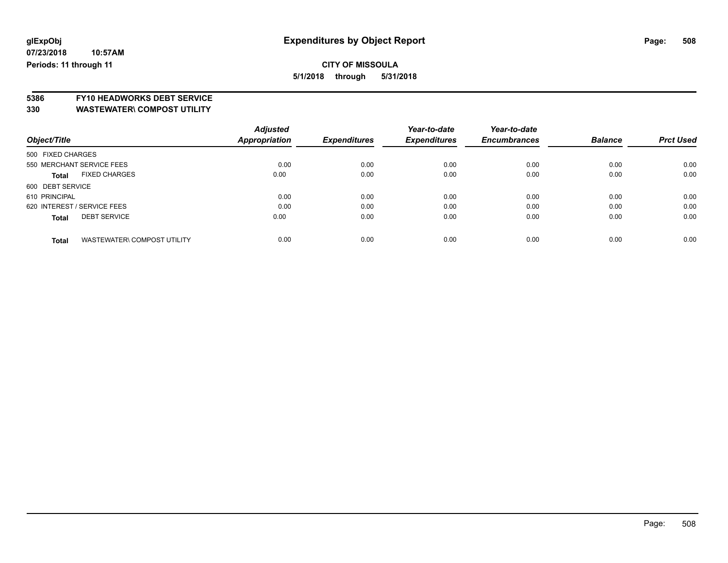# **5386 FY10 HEADWORKS DEBT SERVICE**

**330 WASTEWATER\ COMPOST UTILITY**

|                                                    | <b>Adjusted</b> |                     | Year-to-date        | Year-to-date        |                |                  |
|----------------------------------------------------|-----------------|---------------------|---------------------|---------------------|----------------|------------------|
| Object/Title                                       | Appropriation   | <b>Expenditures</b> | <b>Expenditures</b> | <b>Encumbrances</b> | <b>Balance</b> | <b>Prct Used</b> |
| 500 FIXED CHARGES                                  |                 |                     |                     |                     |                |                  |
| 550 MERCHANT SERVICE FEES                          | 0.00            | 0.00                | 0.00                | 0.00                | 0.00           | 0.00             |
| <b>FIXED CHARGES</b><br><b>Total</b>               | 0.00            | 0.00                | 0.00                | 0.00                | 0.00           | 0.00             |
| 600 DEBT SERVICE                                   |                 |                     |                     |                     |                |                  |
| 610 PRINCIPAL                                      | 0.00            | 0.00                | 0.00                | 0.00                | 0.00           | 0.00             |
| 620 INTEREST / SERVICE FEES                        | 0.00            | 0.00                | 0.00                | 0.00                | 0.00           | 0.00             |
| <b>DEBT SERVICE</b><br><b>Total</b>                | 0.00            | 0.00                | 0.00                | 0.00                | 0.00           | 0.00             |
| <b>WASTEWATER\ COMPOST UTILITY</b><br><b>Total</b> | 0.00            | 0.00                | 0.00                | 0.00                | 0.00           | 0.00             |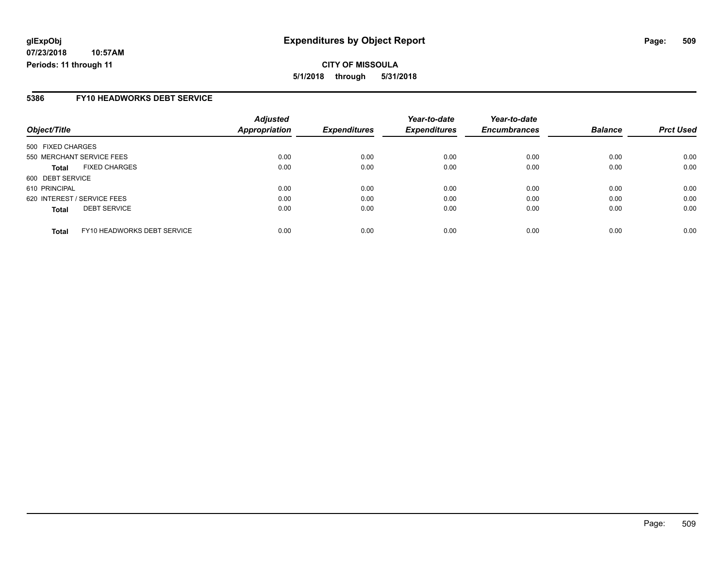**CITY OF MISSOULA 5/1/2018 through 5/31/2018**

#### **5386 FY10 HEADWORKS DEBT SERVICE**

|                                             | <b>Adjusted</b> |                     | Year-to-date        | Year-to-date        |                |                  |
|---------------------------------------------|-----------------|---------------------|---------------------|---------------------|----------------|------------------|
| Object/Title                                | Appropriation   | <b>Expenditures</b> | <b>Expenditures</b> | <b>Encumbrances</b> | <b>Balance</b> | <b>Prct Used</b> |
| 500 FIXED CHARGES                           |                 |                     |                     |                     |                |                  |
| 550 MERCHANT SERVICE FEES                   | 0.00            | 0.00                | 0.00                | 0.00                | 0.00           | 0.00             |
| <b>FIXED CHARGES</b><br><b>Total</b>        | 0.00            | 0.00                | 0.00                | 0.00                | 0.00           | 0.00             |
| 600 DEBT SERVICE                            |                 |                     |                     |                     |                |                  |
| 610 PRINCIPAL                               | 0.00            | 0.00                | 0.00                | 0.00                | 0.00           | 0.00             |
| 620 INTEREST / SERVICE FEES                 | 0.00            | 0.00                | 0.00                | 0.00                | 0.00           | 0.00             |
| <b>DEBT SERVICE</b><br><b>Total</b>         | 0.00            | 0.00                | 0.00                | 0.00                | 0.00           | 0.00             |
| FY10 HEADWORKS DEBT SERVICE<br><b>Total</b> | 0.00            | 0.00                | 0.00                | 0.00                | 0.00           | 0.00             |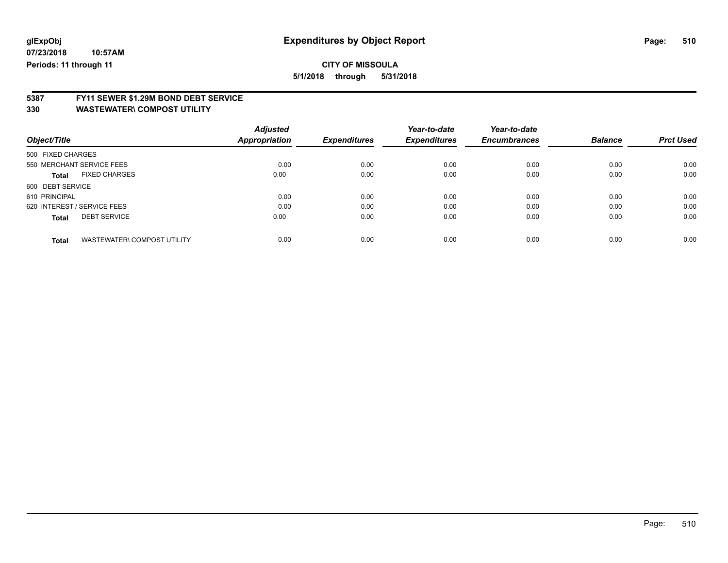# **5387 FY11 SEWER \$1.29M BOND DEBT SERVICE**

**330 WASTEWATER\ COMPOST UTILITY**

| Object/Title      |                                    | <b>Adjusted</b><br><b>Appropriation</b> | <b>Expenditures</b> | Year-to-date<br><b>Expenditures</b> | Year-to-date<br><b>Encumbrances</b> | <b>Balance</b> | <b>Prct Used</b> |
|-------------------|------------------------------------|-----------------------------------------|---------------------|-------------------------------------|-------------------------------------|----------------|------------------|
| 500 FIXED CHARGES |                                    |                                         |                     |                                     |                                     |                |                  |
|                   | 550 MERCHANT SERVICE FEES          | 0.00                                    | 0.00                | 0.00                                | 0.00                                | 0.00           | 0.00             |
| <b>Total</b>      | <b>FIXED CHARGES</b>               | 0.00                                    | 0.00                | 0.00                                | 0.00                                | 0.00           | 0.00             |
| 600 DEBT SERVICE  |                                    |                                         |                     |                                     |                                     |                |                  |
| 610 PRINCIPAL     |                                    | 0.00                                    | 0.00                | 0.00                                | 0.00                                | 0.00           | 0.00             |
|                   | 620 INTEREST / SERVICE FEES        | 0.00                                    | 0.00                | 0.00                                | 0.00                                | 0.00           | 0.00             |
| <b>Total</b>      | <b>DEBT SERVICE</b>                | 0.00                                    | 0.00                | 0.00                                | 0.00                                | 0.00           | 0.00             |
| <b>Total</b>      | <b>WASTEWATER\ COMPOST UTILITY</b> | 0.00                                    | 0.00                | 0.00                                | 0.00                                | 0.00           | 0.00             |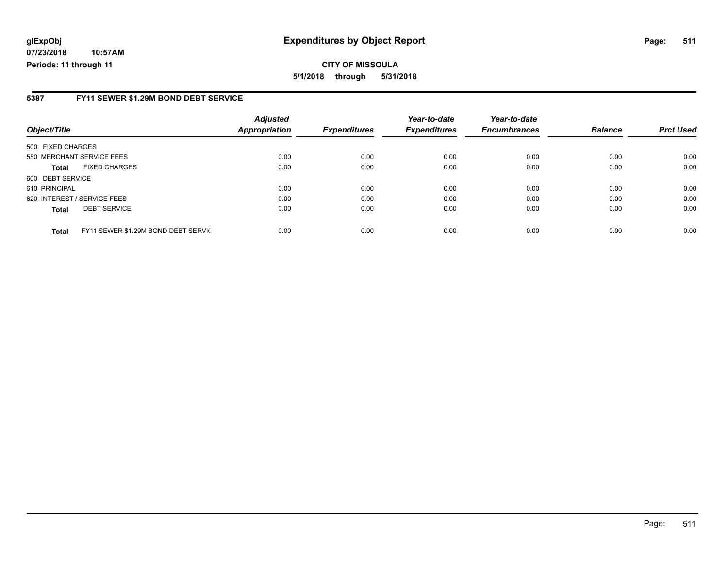**CITY OF MISSOULA 5/1/2018 through 5/31/2018**

#### **5387 FY11 SEWER \$1.29M BOND DEBT SERVICE**

| Object/Title      |                                     | <b>Adjusted</b><br>Appropriation | <b>Expenditures</b> | Year-to-date<br><b>Expenditures</b> | Year-to-date<br><b>Encumbrances</b> | <b>Balance</b> | <b>Prct Used</b> |
|-------------------|-------------------------------------|----------------------------------|---------------------|-------------------------------------|-------------------------------------|----------------|------------------|
|                   |                                     |                                  |                     |                                     |                                     |                |                  |
| 500 FIXED CHARGES |                                     |                                  |                     |                                     |                                     |                |                  |
|                   | 550 MERCHANT SERVICE FEES           | 0.00                             | 0.00                | 0.00                                | 0.00                                | 0.00           | 0.00             |
| <b>Total</b>      | <b>FIXED CHARGES</b>                | 0.00                             | 0.00                | 0.00                                | 0.00                                | 0.00           | 0.00             |
| 600 DEBT SERVICE  |                                     |                                  |                     |                                     |                                     |                |                  |
| 610 PRINCIPAL     |                                     | 0.00                             | 0.00                | 0.00                                | 0.00                                | 0.00           | 0.00             |
|                   | 620 INTEREST / SERVICE FEES         | 0.00                             | 0.00                | 0.00                                | 0.00                                | 0.00           | 0.00             |
| <b>Total</b>      | <b>DEBT SERVICE</b>                 | 0.00                             | 0.00                | 0.00                                | 0.00                                | 0.00           | 0.00             |
| <b>Total</b>      | FY11 SEWER \$1.29M BOND DEBT SERVIC | 0.00                             | 0.00                | 0.00                                | 0.00                                | 0.00           | 0.00             |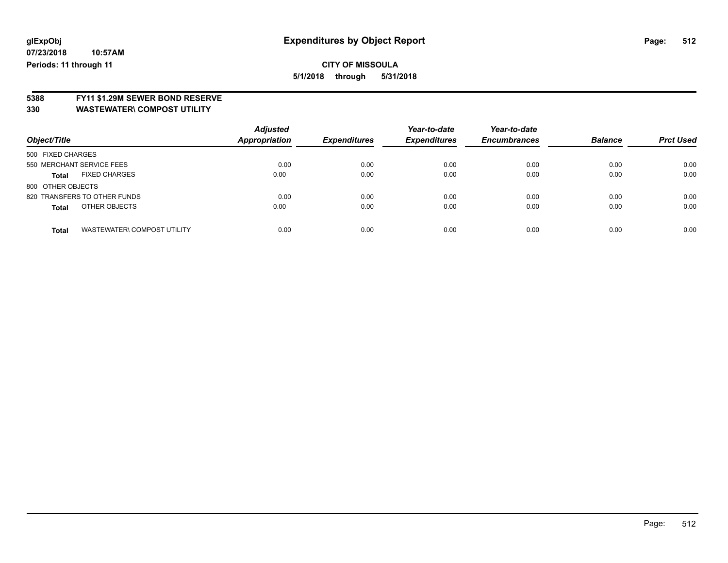## **CITY OF MISSOULA 5/1/2018 through 5/31/2018**

**5388 FY11 \$1.29M SEWER BOND RESERVE**

### **330 WASTEWATER\ COMPOST UTILITY**

| Object/Title                                       | <b>Adjusted</b><br><b>Appropriation</b> | <b>Expenditures</b> | Year-to-date<br><b>Expenditures</b> | Year-to-date<br><b>Encumbrances</b> | <b>Balance</b> | <b>Prct Used</b> |
|----------------------------------------------------|-----------------------------------------|---------------------|-------------------------------------|-------------------------------------|----------------|------------------|
| 500 FIXED CHARGES                                  |                                         |                     |                                     |                                     |                |                  |
| 550 MERCHANT SERVICE FEES                          | 0.00                                    | 0.00                | 0.00                                | 0.00                                | 0.00           | 0.00             |
| <b>FIXED CHARGES</b><br><b>Total</b>               | 0.00                                    | 0.00                | 0.00                                | 0.00                                | 0.00           | 0.00             |
| 800 OTHER OBJECTS                                  |                                         |                     |                                     |                                     |                |                  |
| 820 TRANSFERS TO OTHER FUNDS                       | 0.00                                    | 0.00                | 0.00                                | 0.00                                | 0.00           | 0.00             |
| OTHER OBJECTS<br><b>Total</b>                      | 0.00                                    | 0.00                | 0.00                                | 0.00                                | 0.00           | 0.00             |
| <b>WASTEWATER\ COMPOST UTILITY</b><br><b>Total</b> | 0.00                                    | 0.00                | 0.00                                | 0.00                                | 0.00           | 0.00             |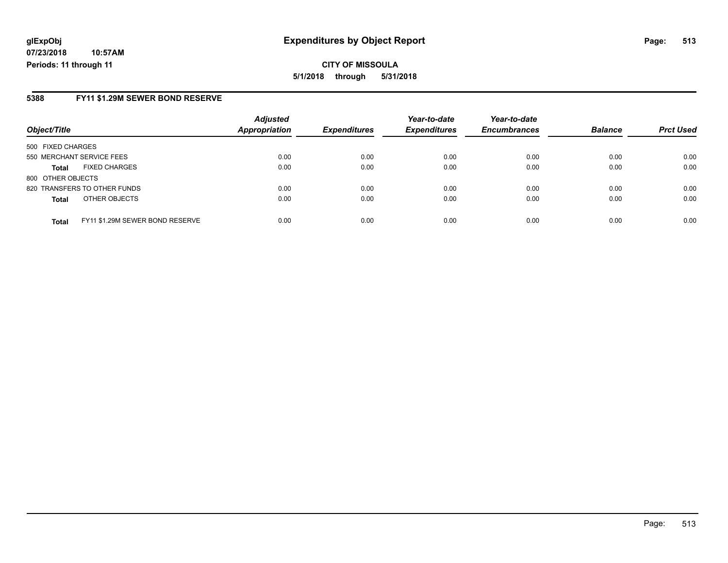**CITY OF MISSOULA 5/1/2018 through 5/31/2018**

### **5388 FY11 \$1.29M SEWER BOND RESERVE**

|                           |                                 | <b>Adjusted</b>      |                     | Year-to-date        | Year-to-date        |                |                  |
|---------------------------|---------------------------------|----------------------|---------------------|---------------------|---------------------|----------------|------------------|
| Object/Title              |                                 | <b>Appropriation</b> | <b>Expenditures</b> | <b>Expenditures</b> | <b>Encumbrances</b> | <b>Balance</b> | <b>Prct Used</b> |
| 500 FIXED CHARGES         |                                 |                      |                     |                     |                     |                |                  |
| 550 MERCHANT SERVICE FEES |                                 | 0.00                 | 0.00                | 0.00                | 0.00                | 0.00           | 0.00             |
| <b>Total</b>              | <b>FIXED CHARGES</b>            | 0.00                 | 0.00                | 0.00                | 0.00                | 0.00           | 0.00             |
| 800 OTHER OBJECTS         |                                 |                      |                     |                     |                     |                |                  |
|                           | 820 TRANSFERS TO OTHER FUNDS    | 0.00                 | 0.00                | 0.00                | 0.00                | 0.00           | 0.00             |
| <b>Total</b>              | OTHER OBJECTS                   | 0.00                 | 0.00                | 0.00                | 0.00                | 0.00           | 0.00             |
| <b>Total</b>              | FY11 \$1.29M SEWER BOND RESERVE | 0.00                 | 0.00                | 0.00                | 0.00                | 0.00           | 0.00             |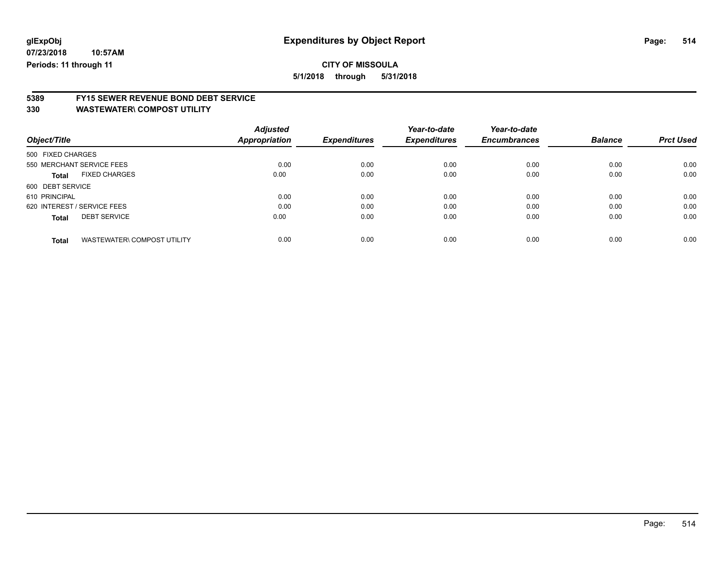## **CITY OF MISSOULA 5/1/2018 through 5/31/2018**

# **5389 FY15 SEWER REVENUE BOND DEBT SERVICE**

### **330 WASTEWATER\ COMPOST UTILITY**

| Object/Title      |                                    | <b>Adjusted</b><br><b>Appropriation</b> | <b>Expenditures</b> | Year-to-date<br><b>Expenditures</b> | Year-to-date<br><b>Encumbrances</b> | <b>Balance</b> | <b>Prct Used</b> |
|-------------------|------------------------------------|-----------------------------------------|---------------------|-------------------------------------|-------------------------------------|----------------|------------------|
| 500 FIXED CHARGES |                                    |                                         |                     |                                     |                                     |                |                  |
|                   | 550 MERCHANT SERVICE FEES          | 0.00                                    | 0.00                | 0.00                                | 0.00                                | 0.00           | 0.00             |
| <b>Total</b>      | <b>FIXED CHARGES</b>               | 0.00                                    | 0.00                | 0.00                                | 0.00                                | 0.00           | 0.00             |
| 600 DEBT SERVICE  |                                    |                                         |                     |                                     |                                     |                |                  |
| 610 PRINCIPAL     |                                    | 0.00                                    | 0.00                | 0.00                                | 0.00                                | 0.00           | 0.00             |
|                   | 620 INTEREST / SERVICE FEES        | 0.00                                    | 0.00                | 0.00                                | 0.00                                | 0.00           | 0.00             |
| <b>Total</b>      | <b>DEBT SERVICE</b>                | 0.00                                    | 0.00                | 0.00                                | 0.00                                | 0.00           | 0.00             |
| <b>Total</b>      | <b>WASTEWATER\ COMPOST UTILITY</b> | 0.00                                    | 0.00                | 0.00                                | 0.00                                | 0.00           | 0.00             |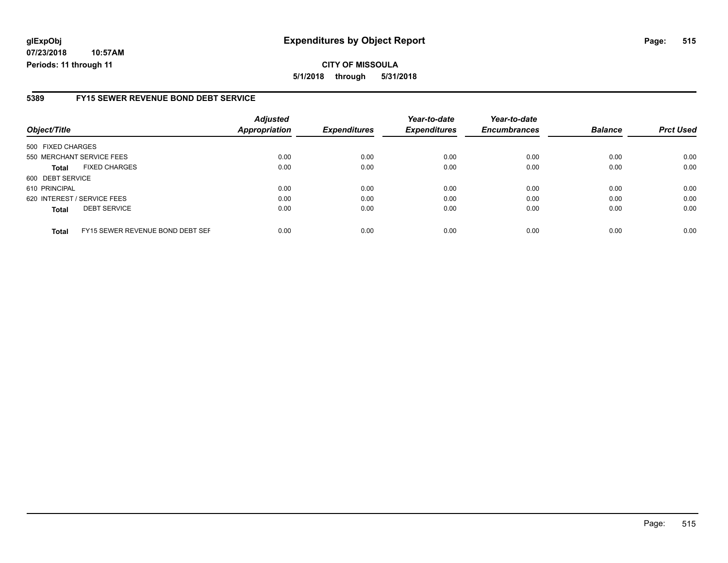# **glExpObj Expenditures by Object Report Page: 515**

**07/23/2018 10:57AM Periods: 11 through 11**

#### **5389 FY15 SEWER REVENUE BOND DEBT SERVICE**

| Object/Title      |                                  | <b>Adjusted</b><br><b>Appropriation</b> | <b>Expenditures</b> | Year-to-date<br><b>Expenditures</b> | Year-to-date<br><b>Encumbrances</b> | <b>Balance</b> | <b>Prct Used</b> |
|-------------------|----------------------------------|-----------------------------------------|---------------------|-------------------------------------|-------------------------------------|----------------|------------------|
| 500 FIXED CHARGES |                                  |                                         |                     |                                     |                                     |                |                  |
|                   | 550 MERCHANT SERVICE FEES        | 0.00                                    | 0.00                | 0.00                                | 0.00                                | 0.00           | 0.00             |
| <b>Total</b>      | <b>FIXED CHARGES</b>             | 0.00                                    | 0.00                | 0.00                                | 0.00                                | 0.00           | 0.00             |
| 600 DEBT SERVICE  |                                  |                                         |                     |                                     |                                     |                |                  |
| 610 PRINCIPAL     |                                  | 0.00                                    | 0.00                | 0.00                                | 0.00                                | 0.00           | 0.00             |
|                   | 620 INTEREST / SERVICE FEES      | 0.00                                    | 0.00                | 0.00                                | 0.00                                | 0.00           | 0.00             |
| <b>Total</b>      | <b>DEBT SERVICE</b>              | 0.00                                    | 0.00                | 0.00                                | 0.00                                | 0.00           | 0.00             |
| <b>Total</b>      | FY15 SEWER REVENUE BOND DEBT SEF | 0.00                                    | 0.00                | 0.00                                | 0.00                                | 0.00           | 0.00             |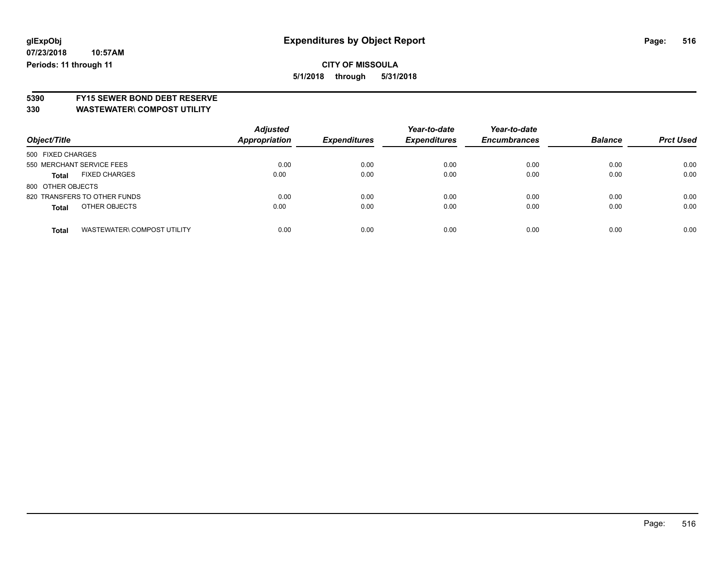## **CITY OF MISSOULA 5/1/2018 through 5/31/2018**

# **5390 FY15 SEWER BOND DEBT RESERVE**

**330 WASTEWATER\ COMPOST UTILITY**

| Object/Title                                       | <b>Adjusted</b><br><b>Appropriation</b> | <b>Expenditures</b> | Year-to-date<br><b>Expenditures</b> | Year-to-date<br><b>Encumbrances</b> | <b>Balance</b> | <b>Prct Used</b> |
|----------------------------------------------------|-----------------------------------------|---------------------|-------------------------------------|-------------------------------------|----------------|------------------|
| 500 FIXED CHARGES                                  |                                         |                     |                                     |                                     |                |                  |
| 550 MERCHANT SERVICE FEES                          | 0.00                                    | 0.00                | 0.00                                | 0.00                                | 0.00           | 0.00             |
| <b>FIXED CHARGES</b><br><b>Total</b>               | 0.00                                    | 0.00                | 0.00                                | 0.00                                | 0.00           | 0.00             |
| 800 OTHER OBJECTS                                  |                                         |                     |                                     |                                     |                |                  |
| 820 TRANSFERS TO OTHER FUNDS                       | 0.00                                    | 0.00                | 0.00                                | 0.00                                | 0.00           | 0.00             |
| OTHER OBJECTS<br><b>Total</b>                      | 0.00                                    | 0.00                | 0.00                                | 0.00                                | 0.00           | 0.00             |
| <b>WASTEWATER\ COMPOST UTILITY</b><br><b>Total</b> | 0.00                                    | 0.00                | 0.00                                | 0.00                                | 0.00           | 0.00             |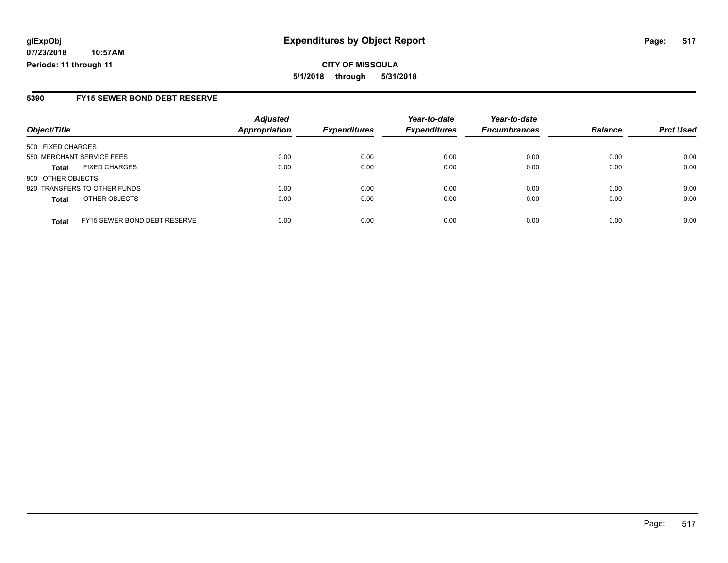**CITY OF MISSOULA 5/1/2018 through 5/31/2018**

### **5390 FY15 SEWER BOND DEBT RESERVE**

|                           |                              | <b>Adjusted</b>      |                     | Year-to-date        | Year-to-date        |                |                  |
|---------------------------|------------------------------|----------------------|---------------------|---------------------|---------------------|----------------|------------------|
| Object/Title              |                              | <b>Appropriation</b> | <b>Expenditures</b> | <b>Expenditures</b> | <b>Encumbrances</b> | <b>Balance</b> | <b>Prct Used</b> |
| 500 FIXED CHARGES         |                              |                      |                     |                     |                     |                |                  |
| 550 MERCHANT SERVICE FEES |                              | 0.00                 | 0.00                | 0.00                | 0.00                | 0.00           | 0.00             |
| Total                     | <b>FIXED CHARGES</b>         | 0.00                 | 0.00                | 0.00                | 0.00                | 0.00           | 0.00             |
| 800 OTHER OBJECTS         |                              |                      |                     |                     |                     |                |                  |
|                           | 820 TRANSFERS TO OTHER FUNDS | 0.00                 | 0.00                | 0.00                | 0.00                | 0.00           | 0.00             |
| Total                     | OTHER OBJECTS                | 0.00                 | 0.00                | 0.00                | 0.00                | 0.00           | 0.00             |
| <b>Total</b>              | FY15 SEWER BOND DEBT RESERVE | 0.00                 | 0.00                | 0.00                | 0.00                | 0.00           | 0.00             |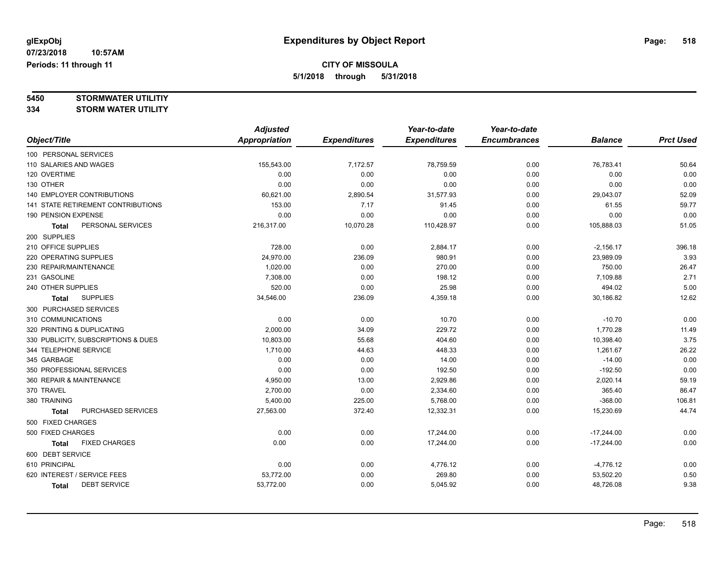# **5450 STORMWATER UTILITIY**

**334 STORM WATER UTILITY**

|                                           | <b>Adjusted</b>      |                     | Year-to-date        | Year-to-date        |                |                  |
|-------------------------------------------|----------------------|---------------------|---------------------|---------------------|----------------|------------------|
| Object/Title                              | <b>Appropriation</b> | <b>Expenditures</b> | <b>Expenditures</b> | <b>Encumbrances</b> | <b>Balance</b> | <b>Prct Used</b> |
| 100 PERSONAL SERVICES                     |                      |                     |                     |                     |                |                  |
| 110 SALARIES AND WAGES                    | 155,543.00           | 7,172.57            | 78,759.59           | 0.00                | 76,783.41      | 50.64            |
| 120 OVERTIME                              | 0.00                 | 0.00                | 0.00                | 0.00                | 0.00           | 0.00             |
| 130 OTHER                                 | 0.00                 | 0.00                | 0.00                | 0.00                | 0.00           | 0.00             |
| 140 EMPLOYER CONTRIBUTIONS                | 60,621.00            | 2,890.54            | 31,577.93           | 0.00                | 29,043.07      | 52.09            |
| <b>141 STATE RETIREMENT CONTRIBUTIONS</b> | 153.00               | 7.17                | 91.45               | 0.00                | 61.55          | 59.77            |
| 190 PENSION EXPENSE                       | 0.00                 | 0.00                | 0.00                | 0.00                | 0.00           | 0.00             |
| PERSONAL SERVICES<br><b>Total</b>         | 216,317.00           | 10,070.28           | 110,428.97          | 0.00                | 105,888.03     | 51.05            |
| 200 SUPPLIES                              |                      |                     |                     |                     |                |                  |
| 210 OFFICE SUPPLIES                       | 728.00               | 0.00                | 2,884.17            | 0.00                | $-2,156.17$    | 396.18           |
| 220 OPERATING SUPPLIES                    | 24,970.00            | 236.09              | 980.91              | 0.00                | 23,989.09      | 3.93             |
| 230 REPAIR/MAINTENANCE                    | 1,020.00             | 0.00                | 270.00              | 0.00                | 750.00         | 26.47            |
| 231 GASOLINE                              | 7,308.00             | 0.00                | 198.12              | 0.00                | 7,109.88       | 2.71             |
| 240 OTHER SUPPLIES                        | 520.00               | 0.00                | 25.98               | 0.00                | 494.02         | 5.00             |
| <b>SUPPLIES</b><br>Total                  | 34,546.00            | 236.09              | 4,359.18            | 0.00                | 30,186.82      | 12.62            |
| 300 PURCHASED SERVICES                    |                      |                     |                     |                     |                |                  |
| 310 COMMUNICATIONS                        | 0.00                 | 0.00                | 10.70               | 0.00                | $-10.70$       | 0.00             |
| 320 PRINTING & DUPLICATING                | 2,000.00             | 34.09               | 229.72              | 0.00                | 1,770.28       | 11.49            |
| 330 PUBLICITY, SUBSCRIPTIONS & DUES       | 10,803.00            | 55.68               | 404.60              | 0.00                | 10,398.40      | 3.75             |
| 344 TELEPHONE SERVICE                     | 1,710.00             | 44.63               | 448.33              | 0.00                | 1,261.67       | 26.22            |
| 345 GARBAGE                               | 0.00                 | 0.00                | 14.00               | 0.00                | $-14.00$       | 0.00             |
| 350 PROFESSIONAL SERVICES                 | 0.00                 | 0.00                | 192.50              | 0.00                | $-192.50$      | 0.00             |
| 360 REPAIR & MAINTENANCE                  | 4,950.00             | 13.00               | 2,929.86            | 0.00                | 2,020.14       | 59.19            |
| 370 TRAVEL                                | 2,700.00             | 0.00                | 2,334.60            | 0.00                | 365.40         | 86.47            |
| 380 TRAINING                              | 5,400.00             | 225.00              | 5,768.00            | 0.00                | $-368.00$      | 106.81           |
| PURCHASED SERVICES<br><b>Total</b>        | 27,563.00            | 372.40              | 12,332.31           | 0.00                | 15,230.69      | 44.74            |
| 500 FIXED CHARGES                         |                      |                     |                     |                     |                |                  |
| 500 FIXED CHARGES                         | 0.00                 | 0.00                | 17,244.00           | 0.00                | $-17,244.00$   | 0.00             |
| <b>FIXED CHARGES</b><br><b>Total</b>      | 0.00                 | 0.00                | 17,244.00           | 0.00                | $-17,244.00$   | 0.00             |
| 600 DEBT SERVICE                          |                      |                     |                     |                     |                |                  |
| 610 PRINCIPAL                             | 0.00                 | 0.00                | 4,776.12            | 0.00                | $-4,776.12$    | 0.00             |
| 620 INTEREST / SERVICE FEES               | 53,772.00            | 0.00                | 269.80              | 0.00                | 53,502.20      | 0.50             |
| <b>DEBT SERVICE</b><br><b>Total</b>       | 53,772.00            | 0.00                | 5,045.92            | 0.00                | 48,726.08      | 9.38             |
|                                           |                      |                     |                     |                     |                |                  |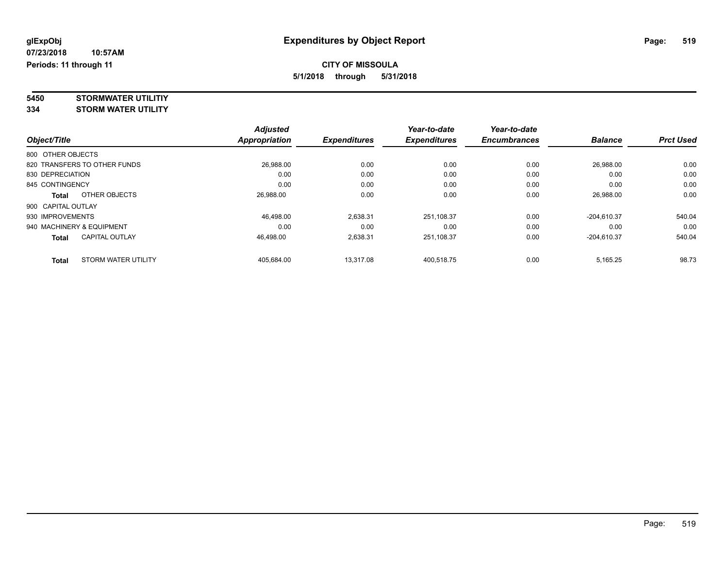# **5450 STORMWATER UTILITIY**

**334 STORM WATER UTILITY**

|                              |                            | <b>Adjusted</b> |                     | Year-to-date        | Year-to-date        |                |                  |
|------------------------------|----------------------------|-----------------|---------------------|---------------------|---------------------|----------------|------------------|
| Object/Title                 |                            | Appropriation   | <b>Expenditures</b> | <b>Expenditures</b> | <b>Encumbrances</b> | <b>Balance</b> | <b>Prct Used</b> |
| 800 OTHER OBJECTS            |                            |                 |                     |                     |                     |                |                  |
| 820 TRANSFERS TO OTHER FUNDS |                            | 26,988.00       | 0.00                | 0.00                | 0.00                | 26,988.00      | 0.00             |
| 830 DEPRECIATION             |                            | 0.00            | 0.00                | 0.00                | 0.00                | 0.00           | 0.00             |
| 845 CONTINGENCY              |                            | 0.00            | 0.00                | 0.00                | 0.00                | 0.00           | 0.00             |
| Total                        | OTHER OBJECTS              | 26,988.00       | 0.00                | 0.00                | 0.00                | 26,988.00      | 0.00             |
| 900 CAPITAL OUTLAY           |                            |                 |                     |                     |                     |                |                  |
| 930 IMPROVEMENTS             |                            | 46,498.00       | 2,638.31            | 251,108.37          | 0.00                | $-204.610.37$  | 540.04           |
| 940 MACHINERY & EQUIPMENT    |                            | 0.00            | 0.00                | 0.00                | 0.00                | 0.00           | 0.00             |
| <b>Total</b>                 | <b>CAPITAL OUTLAY</b>      | 46.498.00       | 2,638.31            | 251.108.37          | 0.00                | $-204.610.37$  | 540.04           |
| <b>Total</b>                 | <b>STORM WATER UTILITY</b> | 405.684.00      | 13.317.08           | 400.518.75          | 0.00                | 5,165.25       | 98.73            |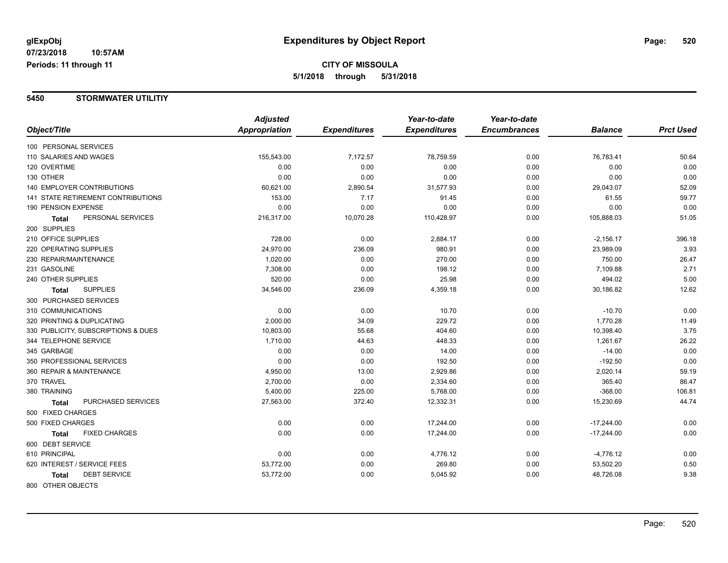#### **5450 STORMWATER UTILITIY**

|                                      | <b>Adjusted</b> |                     | Year-to-date        | Year-to-date        |                |                  |
|--------------------------------------|-----------------|---------------------|---------------------|---------------------|----------------|------------------|
| Object/Title                         | Appropriation   | <b>Expenditures</b> | <b>Expenditures</b> | <b>Encumbrances</b> | <b>Balance</b> | <b>Prct Used</b> |
| 100 PERSONAL SERVICES                |                 |                     |                     |                     |                |                  |
| 110 SALARIES AND WAGES               | 155,543.00      | 7,172.57            | 78,759.59           | 0.00                | 76,783.41      | 50.64            |
| 120 OVERTIME                         | 0.00            | 0.00                | 0.00                | 0.00                | 0.00           | 0.00             |
| 130 OTHER                            | 0.00            | 0.00                | 0.00                | 0.00                | 0.00           | 0.00             |
| <b>140 EMPLOYER CONTRIBUTIONS</b>    | 60,621.00       | 2,890.54            | 31,577.93           | 0.00                | 29,043.07      | 52.09            |
| 141 STATE RETIREMENT CONTRIBUTIONS   | 153.00          | 7.17                | 91.45               | 0.00                | 61.55          | 59.77            |
| 190 PENSION EXPENSE                  | 0.00            | 0.00                | 0.00                | 0.00                | 0.00           | 0.00             |
| PERSONAL SERVICES<br><b>Total</b>    | 216,317.00      | 10,070.28           | 110,428.97          | 0.00                | 105,888.03     | 51.05            |
| 200 SUPPLIES                         |                 |                     |                     |                     |                |                  |
| 210 OFFICE SUPPLIES                  | 728.00          | 0.00                | 2,884.17            | 0.00                | $-2,156.17$    | 396.18           |
| 220 OPERATING SUPPLIES               | 24,970.00       | 236.09              | 980.91              | 0.00                | 23,989.09      | 3.93             |
| 230 REPAIR/MAINTENANCE               | 1,020.00        | 0.00                | 270.00              | 0.00                | 750.00         | 26.47            |
| 231 GASOLINE                         | 7,308.00        | 0.00                | 198.12              | 0.00                | 7,109.88       | 2.71             |
| 240 OTHER SUPPLIES                   | 520.00          | 0.00                | 25.98               | 0.00                | 494.02         | 5.00             |
| <b>SUPPLIES</b><br>Total             | 34,546.00       | 236.09              | 4,359.18            | 0.00                | 30,186.82      | 12.62            |
| 300 PURCHASED SERVICES               |                 |                     |                     |                     |                |                  |
| 310 COMMUNICATIONS                   | 0.00            | 0.00                | 10.70               | 0.00                | $-10.70$       | 0.00             |
| 320 PRINTING & DUPLICATING           | 2,000.00        | 34.09               | 229.72              | 0.00                | 1,770.28       | 11.49            |
| 330 PUBLICITY, SUBSCRIPTIONS & DUES  | 10,803.00       | 55.68               | 404.60              | 0.00                | 10,398.40      | 3.75             |
| 344 TELEPHONE SERVICE                | 1,710.00        | 44.63               | 448.33              | 0.00                | 1,261.67       | 26.22            |
| 345 GARBAGE                          | 0.00            | 0.00                | 14.00               | 0.00                | $-14.00$       | 0.00             |
| 350 PROFESSIONAL SERVICES            | 0.00            | 0.00                | 192.50              | 0.00                | $-192.50$      | 0.00             |
| 360 REPAIR & MAINTENANCE             | 4,950.00        | 13.00               | 2,929.86            | 0.00                | 2,020.14       | 59.19            |
| 370 TRAVEL                           | 2,700.00        | 0.00                | 2,334.60            | 0.00                | 365.40         | 86.47            |
| 380 TRAINING                         | 5,400.00        | 225.00              | 5,768.00            | 0.00                | $-368.00$      | 106.81           |
| PURCHASED SERVICES<br>Total          | 27,563.00       | 372.40              | 12,332.31           | 0.00                | 15,230.69      | 44.74            |
| 500 FIXED CHARGES                    |                 |                     |                     |                     |                |                  |
| 500 FIXED CHARGES                    | 0.00            | 0.00                | 17,244.00           | 0.00                | $-17,244.00$   | 0.00             |
| <b>FIXED CHARGES</b><br><b>Total</b> | 0.00            | 0.00                | 17,244.00           | 0.00                | $-17,244.00$   | 0.00             |
| 600 DEBT SERVICE                     |                 |                     |                     |                     |                |                  |
| 610 PRINCIPAL                        | 0.00            | 0.00                | 4,776.12            | 0.00                | $-4,776.12$    | 0.00             |
| 620 INTEREST / SERVICE FEES          | 53,772.00       | 0.00                | 269.80              | 0.00                | 53,502.20      | 0.50             |
| <b>DEBT SERVICE</b><br>Total         | 53,772.00       | 0.00                | 5,045.92            | 0.00                | 48,726.08      | 9.38             |
| 800 OTHER OBJECTS                    |                 |                     |                     |                     |                |                  |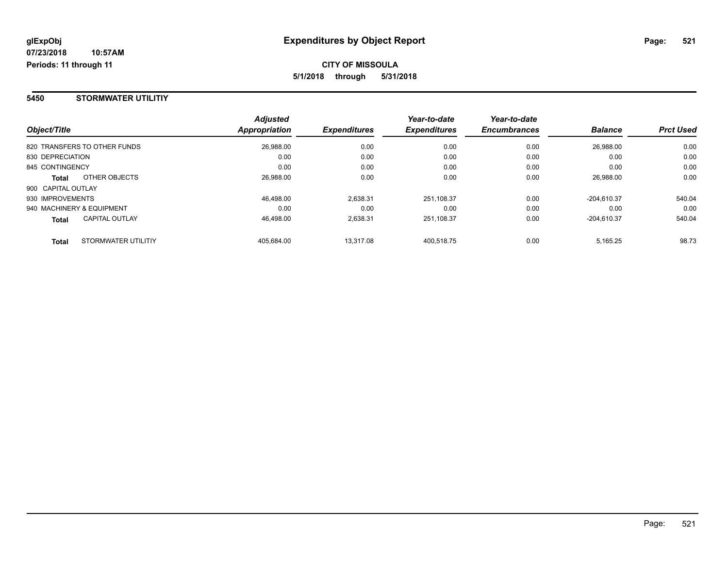#### **5450 STORMWATER UTILITIY**

|                           |                              | <b>Adjusted</b>      |                     | Year-to-date        | Year-to-date        |                |                  |
|---------------------------|------------------------------|----------------------|---------------------|---------------------|---------------------|----------------|------------------|
| Object/Title              |                              | <b>Appropriation</b> | <b>Expenditures</b> | <b>Expenditures</b> | <b>Encumbrances</b> | <b>Balance</b> | <b>Prct Used</b> |
|                           | 820 TRANSFERS TO OTHER FUNDS | 26,988.00            | 0.00                | 0.00                | 0.00                | 26.988.00      | 0.00             |
| 830 DEPRECIATION          |                              | 0.00                 | 0.00                | 0.00                | 0.00                | 0.00           | 0.00             |
| 845 CONTINGENCY           |                              | 0.00                 | 0.00                | 0.00                | 0.00                | 0.00           | 0.00             |
| Total                     | OTHER OBJECTS                | 26,988.00            | 0.00                | 0.00                | 0.00                | 26,988.00      | 0.00             |
| 900 CAPITAL OUTLAY        |                              |                      |                     |                     |                     |                |                  |
| 930 IMPROVEMENTS          |                              | 46.498.00            | 2,638.31            | 251.108.37          | 0.00                | $-204.610.37$  | 540.04           |
| 940 MACHINERY & EQUIPMENT |                              | 0.00                 | 0.00                | 0.00                | 0.00                | 0.00           | 0.00             |
| <b>Total</b>              | CAPITAL OUTLAY               | 46.498.00            | 2,638.31            | 251,108.37          | 0.00                | $-204.610.37$  | 540.04           |
| Total                     | STORMWATER UTILITIY          | 405.684.00           | 13.317.08           | 400.518.75          | 0.00                | 5,165.25       | 98.73            |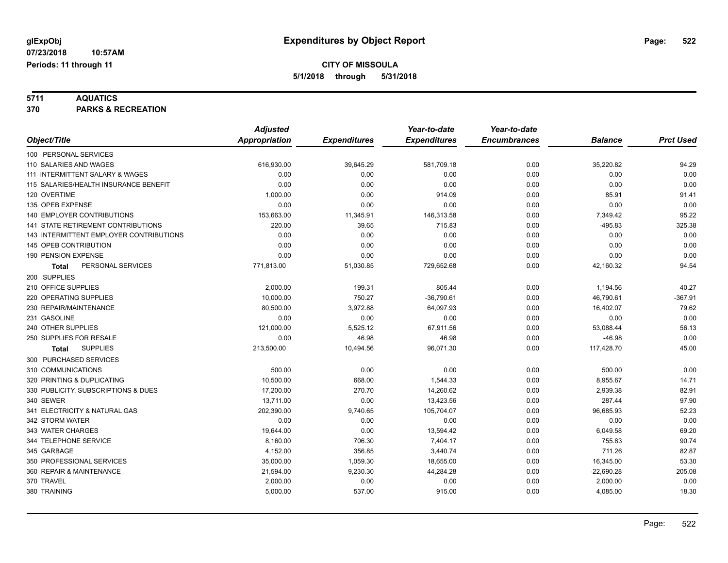**5711 AQUATICS 370 PARKS & RECREATION**

|                     |                                         | <b>Adjusted</b>      |                     | Year-to-date        | Year-to-date        |                |                  |
|---------------------|-----------------------------------------|----------------------|---------------------|---------------------|---------------------|----------------|------------------|
| Object/Title        |                                         | <b>Appropriation</b> | <b>Expenditures</b> | <b>Expenditures</b> | <b>Encumbrances</b> | <b>Balance</b> | <b>Prct Used</b> |
|                     | 100 PERSONAL SERVICES                   |                      |                     |                     |                     |                |                  |
|                     | 110 SALARIES AND WAGES                  | 616,930.00           | 39,645.29           | 581,709.18          | 0.00                | 35,220.82      | 94.29            |
|                     | 111 INTERMITTENT SALARY & WAGES         | 0.00                 | 0.00                | 0.00                | 0.00                | 0.00           | 0.00             |
|                     | 115 SALARIES/HEALTH INSURANCE BENEFIT   | 0.00                 | 0.00                | 0.00                | 0.00                | 0.00           | 0.00             |
| 120 OVERTIME        |                                         | 1,000.00             | 0.00                | 914.09              | 0.00                | 85.91          | 91.41            |
| 135 OPEB EXPENSE    |                                         | 0.00                 | 0.00                | 0.00                | 0.00                | 0.00           | 0.00             |
|                     | 140 EMPLOYER CONTRIBUTIONS              | 153,663.00           | 11,345.91           | 146,313.58          | 0.00                | 7,349.42       | 95.22            |
|                     | 141 STATE RETIREMENT CONTRIBUTIONS      | 220.00               | 39.65               | 715.83              | 0.00                | $-495.83$      | 325.38           |
|                     | 143 INTERMITTENT EMPLOYER CONTRIBUTIONS | 0.00                 | 0.00                | 0.00                | 0.00                | 0.00           | 0.00             |
|                     | 145 OPEB CONTRIBUTION                   | 0.00                 | 0.00                | 0.00                | 0.00                | 0.00           | 0.00             |
|                     | 190 PENSION EXPENSE                     | 0.00                 | 0.00                | 0.00                | 0.00                | 0.00           | 0.00             |
| <b>Total</b>        | PERSONAL SERVICES                       | 771,813.00           | 51,030.85           | 729,652.68          | 0.00                | 42,160.32      | 94.54            |
| 200 SUPPLIES        |                                         |                      |                     |                     |                     |                |                  |
| 210 OFFICE SUPPLIES |                                         | 2,000.00             | 199.31              | 805.44              | 0.00                | 1,194.56       | 40.27            |
|                     | 220 OPERATING SUPPLIES                  | 10,000.00            | 750.27              | $-36,790.61$        | 0.00                | 46,790.61      | $-367.91$        |
|                     | 230 REPAIR/MAINTENANCE                  | 80,500.00            | 3,972.88            | 64,097.93           | 0.00                | 16,402.07      | 79.62            |
| 231 GASOLINE        |                                         | 0.00                 | 0.00                | 0.00                | 0.00                | 0.00           | 0.00             |
| 240 OTHER SUPPLIES  |                                         | 121,000.00           | 5,525.12            | 67,911.56           | 0.00                | 53,088.44      | 56.13            |
|                     | 250 SUPPLIES FOR RESALE                 | 0.00                 | 46.98               | 46.98               | 0.00                | $-46.98$       | 0.00             |
| <b>Total</b>        | <b>SUPPLIES</b>                         | 213,500.00           | 10,494.56           | 96,071.30           | 0.00                | 117,428.70     | 45.00            |
|                     | 300 PURCHASED SERVICES                  |                      |                     |                     |                     |                |                  |
|                     | 310 COMMUNICATIONS                      | 500.00               | 0.00                | 0.00                | 0.00                | 500.00         | 0.00             |
|                     | 320 PRINTING & DUPLICATING              | 10,500.00            | 668.00              | 1,544.33            | 0.00                | 8,955.67       | 14.71            |
|                     | 330 PUBLICITY, SUBSCRIPTIONS & DUES     | 17,200.00            | 270.70              | 14,260.62           | 0.00                | 2,939.38       | 82.91            |
| 340 SEWER           |                                         | 13,711.00            | 0.00                | 13,423.56           | 0.00                | 287.44         | 97.90            |
|                     | 341 ELECTRICITY & NATURAL GAS           | 202,390.00           | 9,740.65            | 105,704.07          | 0.00                | 96,685.93      | 52.23            |
| 342 STORM WATER     |                                         | 0.00                 | 0.00                | 0.00                | 0.00                | 0.00           | 0.00             |
| 343 WATER CHARGES   |                                         | 19,644.00            | 0.00                | 13,594.42           | 0.00                | 6,049.58       | 69.20            |
|                     | 344 TELEPHONE SERVICE                   | 8,160.00             | 706.30              | 7,404.17            | 0.00                | 755.83         | 90.74            |
| 345 GARBAGE         |                                         | 4,152.00             | 356.85              | 3,440.74            | 0.00                | 711.26         | 82.87            |
|                     | 350 PROFESSIONAL SERVICES               | 35,000.00            | 1,059.30            | 18,655.00           | 0.00                | 16,345.00      | 53.30            |
|                     | 360 REPAIR & MAINTENANCE                | 21,594.00            | 9,230.30            | 44,284.28           | 0.00                | $-22,690.28$   | 205.08           |
| 370 TRAVEL          |                                         | 2,000.00             | 0.00                | 0.00                | 0.00                | 2,000.00       | 0.00             |
| 380 TRAINING        |                                         | 5,000.00             | 537.00              | 915.00              | 0.00                | 4,085.00       | 18.30            |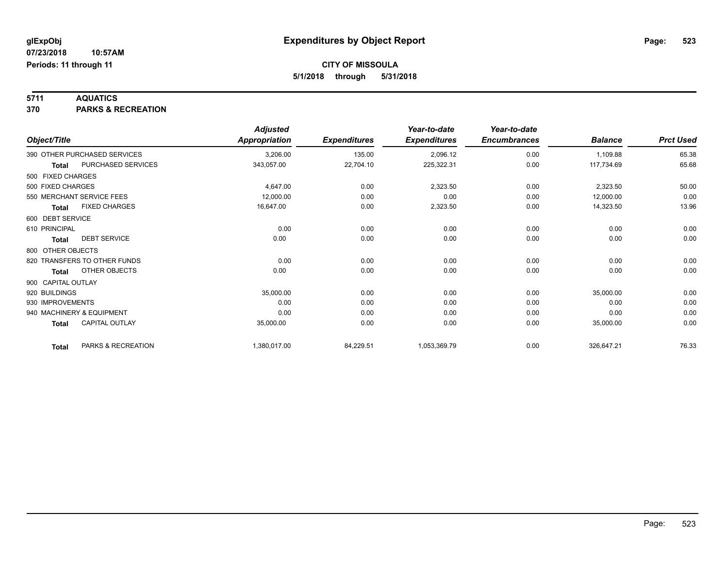**5711 AQUATICS 370 PARKS & RECREATION**

|                              |                       | <b>Adjusted</b>      |                     | Year-to-date        | Year-to-date        |                |                  |
|------------------------------|-----------------------|----------------------|---------------------|---------------------|---------------------|----------------|------------------|
| Object/Title                 |                       | <b>Appropriation</b> | <b>Expenditures</b> | <b>Expenditures</b> | <b>Encumbrances</b> | <b>Balance</b> | <b>Prct Used</b> |
| 390 OTHER PURCHASED SERVICES |                       | 3,206.00             | 135.00              | 2,096.12            | 0.00                | 1,109.88       | 65.38            |
| <b>Total</b>                 | PURCHASED SERVICES    | 343,057.00           | 22,704.10           | 225,322.31          | 0.00                | 117,734.69     | 65.68            |
| 500 FIXED CHARGES            |                       |                      |                     |                     |                     |                |                  |
| 500 FIXED CHARGES            |                       | 4,647.00             | 0.00                | 2,323.50            | 0.00                | 2,323.50       | 50.00            |
| 550 MERCHANT SERVICE FEES    |                       | 12,000.00            | 0.00                | 0.00                | 0.00                | 12,000.00      | 0.00             |
| <b>Total</b>                 | <b>FIXED CHARGES</b>  | 16,647.00            | 0.00                | 2,323.50            | 0.00                | 14,323.50      | 13.96            |
| 600 DEBT SERVICE             |                       |                      |                     |                     |                     |                |                  |
| 610 PRINCIPAL                |                       | 0.00                 | 0.00                | 0.00                | 0.00                | 0.00           | 0.00             |
| <b>Total</b>                 | <b>DEBT SERVICE</b>   | 0.00                 | 0.00                | 0.00                | 0.00                | 0.00           | 0.00             |
| 800 OTHER OBJECTS            |                       |                      |                     |                     |                     |                |                  |
| 820 TRANSFERS TO OTHER FUNDS |                       | 0.00                 | 0.00                | 0.00                | 0.00                | 0.00           | 0.00             |
| <b>Total</b>                 | OTHER OBJECTS         | 0.00                 | 0.00                | 0.00                | 0.00                | 0.00           | 0.00             |
| 900 CAPITAL OUTLAY           |                       |                      |                     |                     |                     |                |                  |
| 920 BUILDINGS                |                       | 35,000.00            | 0.00                | 0.00                | 0.00                | 35,000.00      | 0.00             |
| 930 IMPROVEMENTS             |                       | 0.00                 | 0.00                | 0.00                | 0.00                | 0.00           | 0.00             |
| 940 MACHINERY & EQUIPMENT    |                       | 0.00                 | 0.00                | 0.00                | 0.00                | 0.00           | 0.00             |
| Total                        | <b>CAPITAL OUTLAY</b> | 35,000.00            | 0.00                | 0.00                | 0.00                | 35,000.00      | 0.00             |
| <b>Total</b>                 | PARKS & RECREATION    | 1,380,017.00         | 84,229.51           | 1,053,369.79        | 0.00                | 326,647.21     | 76.33            |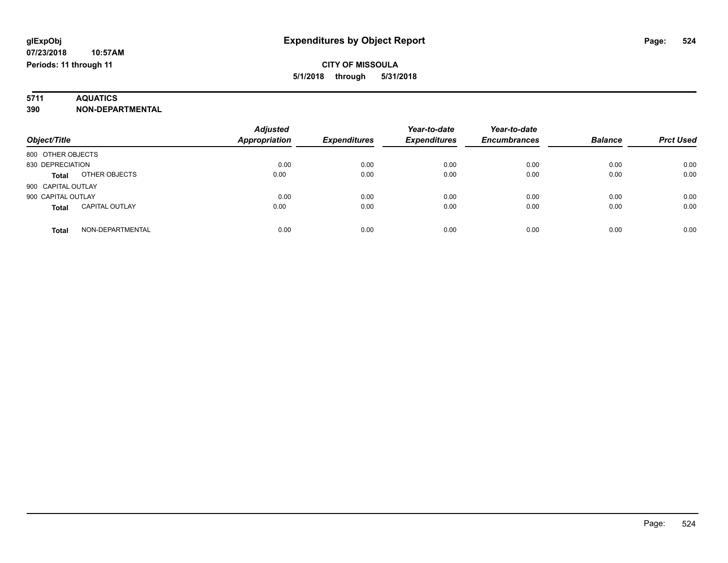# **5711 AQUATICS**

**390 NON-DEPARTMENTAL**

|                                       | <b>Adjusted</b>      |                     | Year-to-date        | Year-to-date        |                |                  |
|---------------------------------------|----------------------|---------------------|---------------------|---------------------|----------------|------------------|
| Object/Title                          | <b>Appropriation</b> | <b>Expenditures</b> | <b>Expenditures</b> | <b>Encumbrances</b> | <b>Balance</b> | <b>Prct Used</b> |
| 800 OTHER OBJECTS                     |                      |                     |                     |                     |                |                  |
| 830 DEPRECIATION                      | 0.00                 | 0.00                | 0.00                | 0.00                | 0.00           | 0.00             |
| OTHER OBJECTS<br><b>Total</b>         | 0.00                 | 0.00                | 0.00                | 0.00                | 0.00           | 0.00             |
| 900 CAPITAL OUTLAY                    |                      |                     |                     |                     |                |                  |
| 900 CAPITAL OUTLAY                    | 0.00                 | 0.00                | 0.00                | 0.00                | 0.00           | 0.00             |
| <b>CAPITAL OUTLAY</b><br><b>Total</b> | 0.00                 | 0.00                | 0.00                | 0.00                | 0.00           | 0.00             |
| NON-DEPARTMENTAL<br><b>Total</b>      | 0.00                 | 0.00                | 0.00                | 0.00                | 0.00           | 0.00             |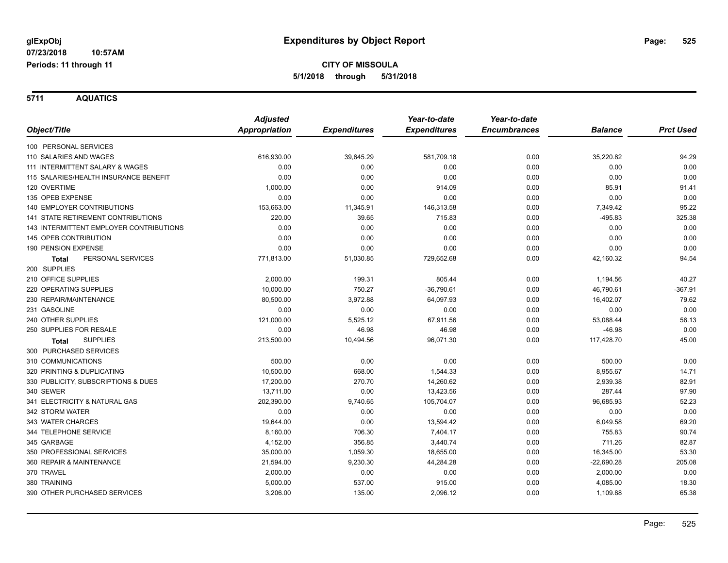**5711 AQUATICS**

|                                         | <b>Adjusted</b> |                     | Year-to-date        | Year-to-date        |                |                  |
|-----------------------------------------|-----------------|---------------------|---------------------|---------------------|----------------|------------------|
| Object/Title                            | Appropriation   | <b>Expenditures</b> | <b>Expenditures</b> | <b>Encumbrances</b> | <b>Balance</b> | <b>Prct Used</b> |
| 100 PERSONAL SERVICES                   |                 |                     |                     |                     |                |                  |
| 110 SALARIES AND WAGES                  | 616,930.00      | 39,645.29           | 581,709.18          | 0.00                | 35,220.82      | 94.29            |
| 111 INTERMITTENT SALARY & WAGES         | 0.00            | 0.00                | 0.00                | 0.00                | 0.00           | 0.00             |
| 115 SALARIES/HEALTH INSURANCE BENEFIT   | 0.00            | 0.00                | 0.00                | 0.00                | 0.00           | 0.00             |
| 120 OVERTIME                            | 1,000.00        | 0.00                | 914.09              | 0.00                | 85.91          | 91.41            |
| 135 OPEB EXPENSE                        | 0.00            | 0.00                | 0.00                | 0.00                | 0.00           | 0.00             |
| 140 EMPLOYER CONTRIBUTIONS              | 153,663.00      | 11,345.91           | 146,313.58          | 0.00                | 7,349.42       | 95.22            |
| 141 STATE RETIREMENT CONTRIBUTIONS      | 220.00          | 39.65               | 715.83              | 0.00                | $-495.83$      | 325.38           |
| 143 INTERMITTENT EMPLOYER CONTRIBUTIONS | 0.00            | 0.00                | 0.00                | 0.00                | 0.00           | 0.00             |
| 145 OPEB CONTRIBUTION                   | 0.00            | 0.00                | 0.00                | 0.00                | 0.00           | 0.00             |
| 190 PENSION EXPENSE                     | 0.00            | 0.00                | 0.00                | 0.00                | 0.00           | 0.00             |
| PERSONAL SERVICES<br>Total              | 771,813.00      | 51,030.85           | 729,652.68          | 0.00                | 42,160.32      | 94.54            |
| 200 SUPPLIES                            |                 |                     |                     |                     |                |                  |
| 210 OFFICE SUPPLIES                     | 2,000.00        | 199.31              | 805.44              | 0.00                | 1,194.56       | 40.27            |
| 220 OPERATING SUPPLIES                  | 10,000.00       | 750.27              | $-36,790.61$        | 0.00                | 46,790.61      | $-367.91$        |
| 230 REPAIR/MAINTENANCE                  | 80,500.00       | 3,972.88            | 64,097.93           | 0.00                | 16,402.07      | 79.62            |
| 231 GASOLINE                            | 0.00            | 0.00                | 0.00                | 0.00                | 0.00           | 0.00             |
| 240 OTHER SUPPLIES                      | 121,000.00      | 5,525.12            | 67,911.56           | 0.00                | 53,088.44      | 56.13            |
| 250 SUPPLIES FOR RESALE                 | 0.00            | 46.98               | 46.98               | 0.00                | $-46.98$       | 0.00             |
| <b>SUPPLIES</b><br>Total                | 213,500.00      | 10,494.56           | 96,071.30           | 0.00                | 117,428.70     | 45.00            |
| 300 PURCHASED SERVICES                  |                 |                     |                     |                     |                |                  |
| 310 COMMUNICATIONS                      | 500.00          | 0.00                | 0.00                | 0.00                | 500.00         | 0.00             |
| 320 PRINTING & DUPLICATING              | 10,500.00       | 668.00              | 1,544.33            | 0.00                | 8,955.67       | 14.71            |
| 330 PUBLICITY, SUBSCRIPTIONS & DUES     | 17,200.00       | 270.70              | 14,260.62           | 0.00                | 2,939.38       | 82.91            |
| 340 SEWER                               | 13,711.00       | 0.00                | 13,423.56           | 0.00                | 287.44         | 97.90            |
| 341 ELECTRICITY & NATURAL GAS           | 202,390.00      | 9,740.65            | 105,704.07          | 0.00                | 96,685.93      | 52.23            |
| 342 STORM WATER                         | 0.00            | 0.00                | 0.00                | 0.00                | 0.00           | 0.00             |
| 343 WATER CHARGES                       | 19,644.00       | 0.00                | 13,594.42           | 0.00                | 6,049.58       | 69.20            |
| 344 TELEPHONE SERVICE                   | 8,160.00        | 706.30              | 7,404.17            | 0.00                | 755.83         | 90.74            |
| 345 GARBAGE                             | 4,152.00        | 356.85              | 3,440.74            | 0.00                | 711.26         | 82.87            |
| 350 PROFESSIONAL SERVICES               | 35,000.00       | 1,059.30            | 18,655.00           | 0.00                | 16,345.00      | 53.30            |
| 360 REPAIR & MAINTENANCE                | 21,594.00       | 9,230.30            | 44,284.28           | 0.00                | $-22,690.28$   | 205.08           |
| 370 TRAVEL                              | 2,000.00        | 0.00                | 0.00                | 0.00                | 2,000.00       | 0.00             |
| 380 TRAINING                            | 5,000.00        | 537.00              | 915.00              | 0.00                | 4,085.00       | 18.30            |
| 390 OTHER PURCHASED SERVICES            | 3,206.00        | 135.00              | 2,096.12            | 0.00                | 1,109.88       | 65.38            |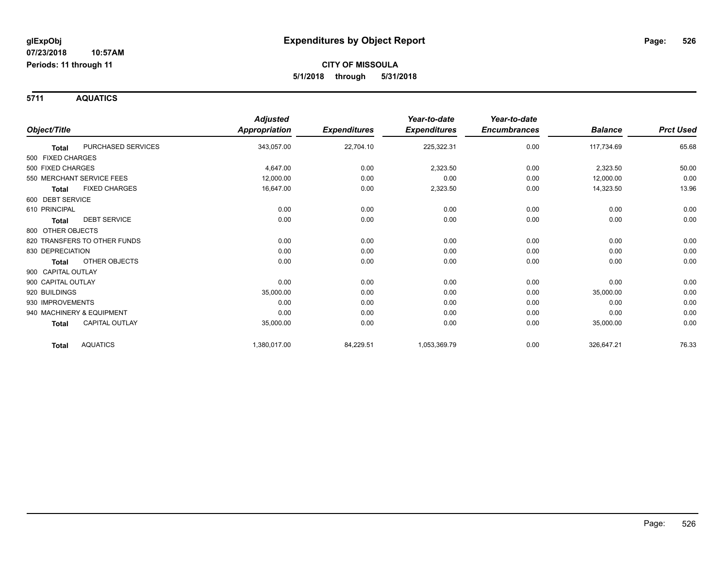**5711 AQUATICS**

|                                      | <b>Adjusted</b> |                     | Year-to-date        | Year-to-date        |                |                  |
|--------------------------------------|-----------------|---------------------|---------------------|---------------------|----------------|------------------|
| Object/Title                         | Appropriation   | <b>Expenditures</b> | <b>Expenditures</b> | <b>Encumbrances</b> | <b>Balance</b> | <b>Prct Used</b> |
| PURCHASED SERVICES<br><b>Total</b>   | 343,057.00      | 22,704.10           | 225,322.31          | 0.00                | 117,734.69     | 65.68            |
| 500 FIXED CHARGES                    |                 |                     |                     |                     |                |                  |
| 500 FIXED CHARGES                    | 4,647.00        | 0.00                | 2,323.50            | 0.00                | 2,323.50       | 50.00            |
| 550 MERCHANT SERVICE FEES            | 12,000.00       | 0.00                | 0.00                | 0.00                | 12,000.00      | 0.00             |
| <b>FIXED CHARGES</b><br><b>Total</b> | 16,647.00       | 0.00                | 2,323.50            | 0.00                | 14,323.50      | 13.96            |
| 600 DEBT SERVICE                     |                 |                     |                     |                     |                |                  |
| 610 PRINCIPAL                        | 0.00            | 0.00                | 0.00                | 0.00                | 0.00           | 0.00             |
| <b>DEBT SERVICE</b><br><b>Total</b>  | 0.00            | 0.00                | 0.00                | 0.00                | 0.00           | 0.00             |
| 800 OTHER OBJECTS                    |                 |                     |                     |                     |                |                  |
| 820 TRANSFERS TO OTHER FUNDS         | 0.00            | 0.00                | 0.00                | 0.00                | 0.00           | 0.00             |
| 830 DEPRECIATION                     | 0.00            | 0.00                | 0.00                | 0.00                | 0.00           | 0.00             |
| OTHER OBJECTS<br><b>Total</b>        | 0.00            | 0.00                | 0.00                | 0.00                | 0.00           | 0.00             |
| 900 CAPITAL OUTLAY                   |                 |                     |                     |                     |                |                  |
| 900 CAPITAL OUTLAY                   | 0.00            | 0.00                | 0.00                | 0.00                | 0.00           | 0.00             |
| 920 BUILDINGS                        | 35,000.00       | 0.00                | 0.00                | 0.00                | 35,000.00      | 0.00             |
| 930 IMPROVEMENTS                     | 0.00            | 0.00                | 0.00                | 0.00                | 0.00           | 0.00             |
| 940 MACHINERY & EQUIPMENT            | 0.00            | 0.00                | 0.00                | 0.00                | 0.00           | 0.00             |
| CAPITAL OUTLAY<br><b>Total</b>       | 35,000.00       | 0.00                | 0.00                | 0.00                | 35,000.00      | 0.00             |
| <b>AQUATICS</b><br><b>Total</b>      | 1,380,017.00    | 84,229.51           | 1,053,369.79        | 0.00                | 326,647.21     | 76.33            |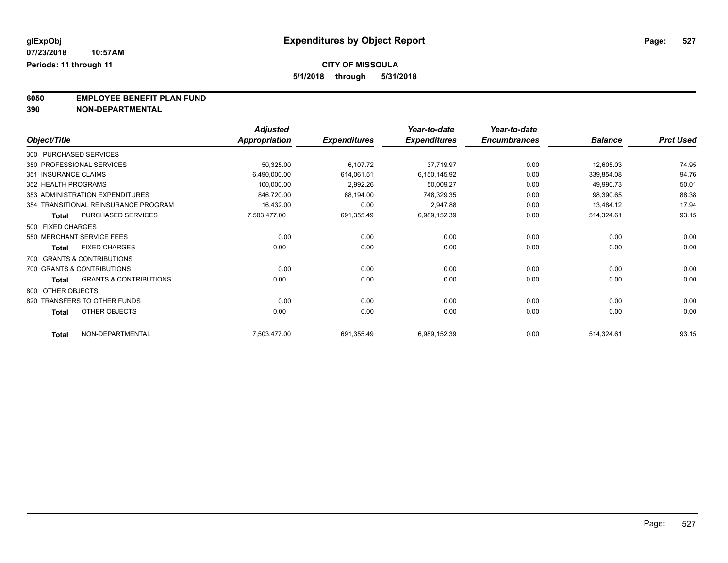**6050 EMPLOYEE BENEFIT PLAN FUND**<br>390 NON-DEPARTMENTAL

**390 NON-DEPARTMENTAL**

|                      |                                      | <b>Adjusted</b>      |                     | Year-to-date        | Year-to-date        |                |                  |
|----------------------|--------------------------------------|----------------------|---------------------|---------------------|---------------------|----------------|------------------|
| Object/Title         |                                      | <b>Appropriation</b> | <b>Expenditures</b> | <b>Expenditures</b> | <b>Encumbrances</b> | <b>Balance</b> | <b>Prct Used</b> |
|                      | 300 PURCHASED SERVICES               |                      |                     |                     |                     |                |                  |
|                      | 350 PROFESSIONAL SERVICES            | 50,325.00            | 6,107.72            | 37.719.97           | 0.00                | 12,605.03      | 74.95            |
| 351 INSURANCE CLAIMS |                                      | 6,490,000.00         | 614,061.51          | 6,150,145.92        | 0.00                | 339,854.08     | 94.76            |
| 352 HEALTH PROGRAMS  |                                      | 100,000.00           | 2,992.26            | 50,009.27           | 0.00                | 49,990.73      | 50.01            |
|                      | 353 ADMINISTRATION EXPENDITURES      | 846,720.00           | 68,194.00           | 748,329.35          | 0.00                | 98,390.65      | 88.38            |
|                      | 354 TRANSITIONAL REINSURANCE PROGRAM | 16,432.00            | 0.00                | 2,947.88            | 0.00                | 13,484.12      | 17.94            |
| <b>Total</b>         | PURCHASED SERVICES                   | 7,503,477.00         | 691,355.49          | 6,989,152.39        | 0.00                | 514,324.61     | 93.15            |
| 500 FIXED CHARGES    |                                      |                      |                     |                     |                     |                |                  |
|                      | 550 MERCHANT SERVICE FEES            | 0.00                 | 0.00                | 0.00                | 0.00                | 0.00           | 0.00             |
| <b>Total</b>         | <b>FIXED CHARGES</b>                 | 0.00                 | 0.00                | 0.00                | 0.00                | 0.00           | 0.00             |
|                      | 700 GRANTS & CONTRIBUTIONS           |                      |                     |                     |                     |                |                  |
|                      | 700 GRANTS & CONTRIBUTIONS           | 0.00                 | 0.00                | 0.00                | 0.00                | 0.00           | 0.00             |
| <b>Total</b>         | <b>GRANTS &amp; CONTRIBUTIONS</b>    | 0.00                 | 0.00                | 0.00                | 0.00                | 0.00           | 0.00             |
| 800 OTHER OBJECTS    |                                      |                      |                     |                     |                     |                |                  |
|                      | 820 TRANSFERS TO OTHER FUNDS         | 0.00                 | 0.00                | 0.00                | 0.00                | 0.00           | 0.00             |
| <b>Total</b>         | OTHER OBJECTS                        | 0.00                 | 0.00                | 0.00                | 0.00                | 0.00           | 0.00             |
| <b>Total</b>         | NON-DEPARTMENTAL                     | 7,503,477.00         | 691,355.49          | 6,989,152.39        | 0.00                | 514,324.61     | 93.15            |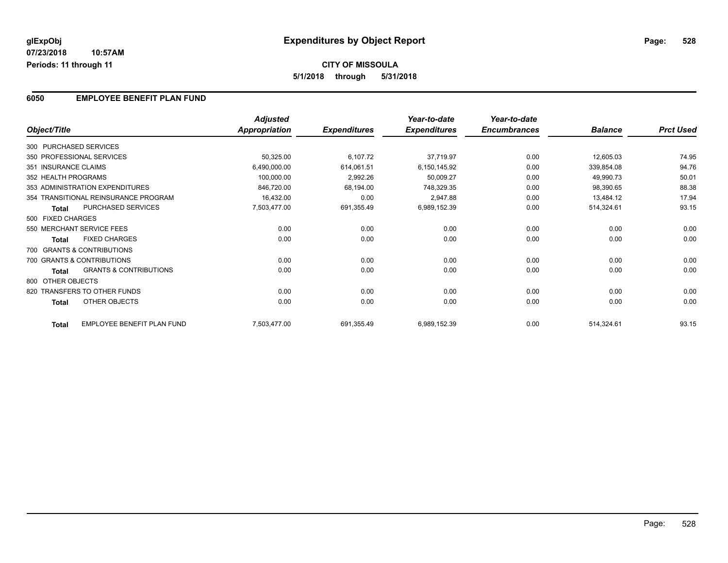### **6050 EMPLOYEE BENEFIT PLAN FUND**

|                      |                                      | <b>Adjusted</b> |                     | Year-to-date        | Year-to-date        |                |                  |
|----------------------|--------------------------------------|-----------------|---------------------|---------------------|---------------------|----------------|------------------|
| Object/Title         |                                      | Appropriation   | <b>Expenditures</b> | <b>Expenditures</b> | <b>Encumbrances</b> | <b>Balance</b> | <b>Prct Used</b> |
|                      | 300 PURCHASED SERVICES               |                 |                     |                     |                     |                |                  |
|                      | 350 PROFESSIONAL SERVICES            | 50,325.00       | 6,107.72            | 37,719.97           | 0.00                | 12,605.03      | 74.95            |
| 351 INSURANCE CLAIMS |                                      | 6,490,000.00    | 614,061.51          | 6,150,145.92        | 0.00                | 339,854.08     | 94.76            |
| 352 HEALTH PROGRAMS  |                                      | 100,000.00      | 2,992.26            | 50,009.27           | 0.00                | 49,990.73      | 50.01            |
|                      | 353 ADMINISTRATION EXPENDITURES      | 846,720.00      | 68,194.00           | 748,329.35          | 0.00                | 98,390.65      | 88.38            |
|                      | 354 TRANSITIONAL REINSURANCE PROGRAM | 16,432.00       | 0.00                | 2,947.88            | 0.00                | 13,484.12      | 17.94            |
| <b>Total</b>         | PURCHASED SERVICES                   | 7,503,477.00    | 691,355.49          | 6,989,152.39        | 0.00                | 514,324.61     | 93.15            |
| 500 FIXED CHARGES    |                                      |                 |                     |                     |                     |                |                  |
|                      | 550 MERCHANT SERVICE FEES            | 0.00            | 0.00                | 0.00                | 0.00                | 0.00           | 0.00             |
| <b>Total</b>         | <b>FIXED CHARGES</b>                 | 0.00            | 0.00                | 0.00                | 0.00                | 0.00           | 0.00             |
|                      | 700 GRANTS & CONTRIBUTIONS           |                 |                     |                     |                     |                |                  |
|                      | 700 GRANTS & CONTRIBUTIONS           | 0.00            | 0.00                | 0.00                | 0.00                | 0.00           | 0.00             |
| Total                | <b>GRANTS &amp; CONTRIBUTIONS</b>    | 0.00            | 0.00                | 0.00                | 0.00                | 0.00           | 0.00             |
| 800 OTHER OBJECTS    |                                      |                 |                     |                     |                     |                |                  |
|                      | 820 TRANSFERS TO OTHER FUNDS         | 0.00            | 0.00                | 0.00                | 0.00                | 0.00           | 0.00             |
| Total                | OTHER OBJECTS                        | 0.00            | 0.00                | 0.00                | 0.00                | 0.00           | 0.00             |
| <b>Total</b>         | EMPLOYEE BENEFIT PLAN FUND           | 7,503,477.00    | 691,355.49          | 6,989,152.39        | 0.00                | 514,324.61     | 93.15            |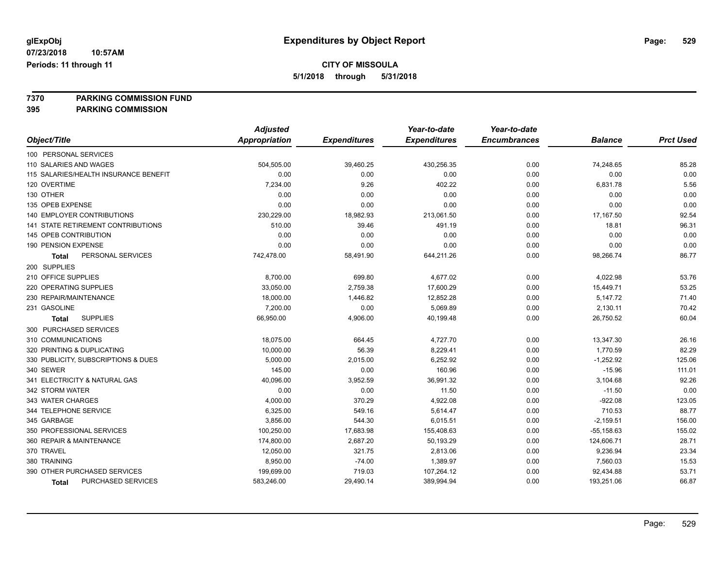**7370 PARKING COMMISSION FUND**

**395 PARKING COMMISSION**

|                                           | <b>Adjusted</b>      |                     | Year-to-date        | Year-to-date        |                |                  |
|-------------------------------------------|----------------------|---------------------|---------------------|---------------------|----------------|------------------|
| Object/Title                              | <b>Appropriation</b> | <b>Expenditures</b> | <b>Expenditures</b> | <b>Encumbrances</b> | <b>Balance</b> | <b>Prct Used</b> |
| 100 PERSONAL SERVICES                     |                      |                     |                     |                     |                |                  |
| 110 SALARIES AND WAGES                    | 504,505.00           | 39,460.25           | 430,256.35          | 0.00                | 74,248.65      | 85.28            |
| 115 SALARIES/HEALTH INSURANCE BENEFIT     | 0.00                 | 0.00                | 0.00                | 0.00                | 0.00           | 0.00             |
| 120 OVERTIME                              | 7,234.00             | 9.26                | 402.22              | 0.00                | 6,831.78       | 5.56             |
| 130 OTHER                                 | 0.00                 | 0.00                | 0.00                | 0.00                | 0.00           | 0.00             |
| 135 OPEB EXPENSE                          | 0.00                 | 0.00                | 0.00                | 0.00                | 0.00           | 0.00             |
| 140 EMPLOYER CONTRIBUTIONS                | 230,229.00           | 18,982.93           | 213,061.50          | 0.00                | 17,167.50      | 92.54            |
| <b>141 STATE RETIREMENT CONTRIBUTIONS</b> | 510.00               | 39.46               | 491.19              | 0.00                | 18.81          | 96.31            |
| 145 OPEB CONTRIBUTION                     | 0.00                 | 0.00                | 0.00                | 0.00                | 0.00           | 0.00             |
| 190 PENSION EXPENSE                       | 0.00                 | 0.00                | 0.00                | 0.00                | 0.00           | 0.00             |
| PERSONAL SERVICES<br><b>Total</b>         | 742,478.00           | 58,491.90           | 644,211.26          | 0.00                | 98,266.74      | 86.77            |
| 200 SUPPLIES                              |                      |                     |                     |                     |                |                  |
| 210 OFFICE SUPPLIES                       | 8,700.00             | 699.80              | 4,677.02            | 0.00                | 4,022.98       | 53.76            |
| 220 OPERATING SUPPLIES                    | 33,050.00            | 2,759.38            | 17,600.29           | 0.00                | 15,449.71      | 53.25            |
| 230 REPAIR/MAINTENANCE                    | 18,000.00            | 1,446.82            | 12,852.28           | 0.00                | 5,147.72       | 71.40            |
| 231 GASOLINE                              | 7,200.00             | 0.00                | 5,069.89            | 0.00                | 2,130.11       | 70.42            |
| <b>SUPPLIES</b><br>Total                  | 66,950.00            | 4,906.00            | 40,199.48           | 0.00                | 26,750.52      | 60.04            |
| 300 PURCHASED SERVICES                    |                      |                     |                     |                     |                |                  |
| 310 COMMUNICATIONS                        | 18,075.00            | 664.45              | 4,727.70            | 0.00                | 13,347.30      | 26.16            |
| 320 PRINTING & DUPLICATING                | 10,000.00            | 56.39               | 8,229.41            | 0.00                | 1,770.59       | 82.29            |
| 330 PUBLICITY, SUBSCRIPTIONS & DUES       | 5,000.00             | 2,015.00            | 6,252.92            | 0.00                | $-1,252.92$    | 125.06           |
| 340 SEWER                                 | 145.00               | 0.00                | 160.96              | 0.00                | $-15.96$       | 111.01           |
| 341 ELECTRICITY & NATURAL GAS             | 40,096.00            | 3,952.59            | 36,991.32           | 0.00                | 3,104.68       | 92.26            |
| 342 STORM WATER                           | 0.00                 | 0.00                | 11.50               | 0.00                | $-11.50$       | 0.00             |
| 343 WATER CHARGES                         | 4,000.00             | 370.29              | 4,922.08            | 0.00                | $-922.08$      | 123.05           |
| 344 TELEPHONE SERVICE                     | 6,325.00             | 549.16              | 5,614.47            | 0.00                | 710.53         | 88.77            |
| 345 GARBAGE                               | 3,856.00             | 544.30              | 6,015.51            | 0.00                | $-2,159.51$    | 156.00           |
| 350 PROFESSIONAL SERVICES                 | 100,250.00           | 17,683.98           | 155,408.63          | 0.00                | $-55,158.63$   | 155.02           |
| 360 REPAIR & MAINTENANCE                  | 174,800.00           | 2,687.20            | 50,193.29           | 0.00                | 124,606.71     | 28.71            |
| 370 TRAVEL                                | 12,050.00            | 321.75              | 2,813.06            | 0.00                | 9,236.94       | 23.34            |
| 380 TRAINING                              | 8,950.00             | $-74.00$            | 1,389.97            | 0.00                | 7,560.03       | 15.53            |
| 390 OTHER PURCHASED SERVICES              | 199,699.00           | 719.03              | 107,264.12          | 0.00                | 92,434.88      | 53.71            |
| <b>PURCHASED SERVICES</b><br><b>Total</b> | 583,246.00           | 29,490.14           | 389,994.94          | 0.00                | 193,251.06     | 66.87            |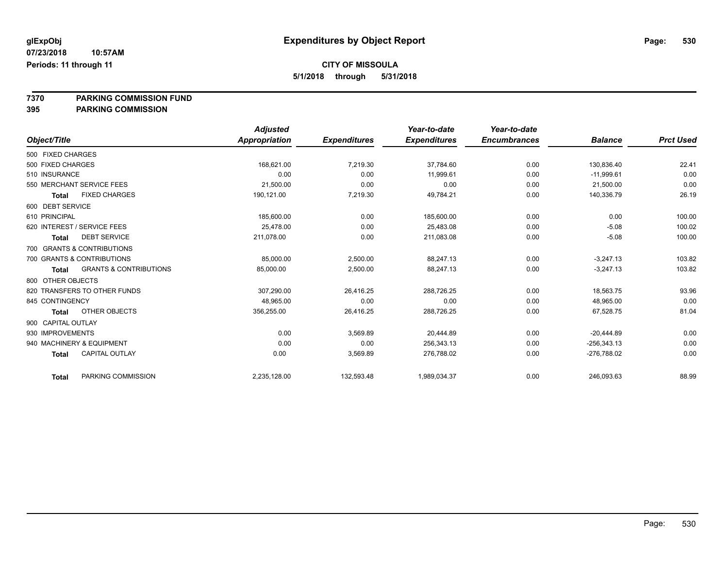**7370 PARKING COMMISSION FUND**

**395 PARKING COMMISSION**

|                             |                                   | <b>Adjusted</b> |                     | Year-to-date        | Year-to-date        |                |                  |
|-----------------------------|-----------------------------------|-----------------|---------------------|---------------------|---------------------|----------------|------------------|
| Object/Title                |                                   | Appropriation   | <b>Expenditures</b> | <b>Expenditures</b> | <b>Encumbrances</b> | <b>Balance</b> | <b>Prct Used</b> |
| 500 FIXED CHARGES           |                                   |                 |                     |                     |                     |                |                  |
| 500 FIXED CHARGES           |                                   | 168,621.00      | 7,219.30            | 37,784.60           | 0.00                | 130,836.40     | 22.41            |
| 510 INSURANCE               |                                   | 0.00            | 0.00                | 11,999.61           | 0.00                | $-11,999.61$   | 0.00             |
| 550 MERCHANT SERVICE FEES   |                                   | 21,500.00       | 0.00                | 0.00                | 0.00                | 21,500.00      | 0.00             |
| <b>Total</b>                | <b>FIXED CHARGES</b>              | 190,121.00      | 7,219.30            | 49,784.21           | 0.00                | 140,336.79     | 26.19            |
| 600 DEBT SERVICE            |                                   |                 |                     |                     |                     |                |                  |
| 610 PRINCIPAL               |                                   | 185,600.00      | 0.00                | 185,600.00          | 0.00                | 0.00           | 100.00           |
| 620 INTEREST / SERVICE FEES |                                   | 25,478.00       | 0.00                | 25,483.08           | 0.00                | $-5.08$        | 100.02           |
| <b>Total</b>                | <b>DEBT SERVICE</b>               | 211.078.00      | 0.00                | 211,083.08          | 0.00                | $-5.08$        | 100.00           |
| 700 GRANTS & CONTRIBUTIONS  |                                   |                 |                     |                     |                     |                |                  |
| 700 GRANTS & CONTRIBUTIONS  |                                   | 85,000.00       | 2,500.00            | 88.247.13           | 0.00                | $-3.247.13$    | 103.82           |
| <b>Total</b>                | <b>GRANTS &amp; CONTRIBUTIONS</b> | 85,000.00       | 2,500.00            | 88.247.13           | 0.00                | $-3,247.13$    | 103.82           |
| 800 OTHER OBJECTS           |                                   |                 |                     |                     |                     |                |                  |
|                             | 820 TRANSFERS TO OTHER FUNDS      | 307,290.00      | 26,416.25           | 288,726.25          | 0.00                | 18,563.75      | 93.96            |
| 845 CONTINGENCY             |                                   | 48,965.00       | 0.00                | 0.00                | 0.00                | 48,965.00      | 0.00             |
| <b>Total</b>                | OTHER OBJECTS                     | 356,255.00      | 26,416.25           | 288,726.25          | 0.00                | 67,528.75      | 81.04            |
| 900 CAPITAL OUTLAY          |                                   |                 |                     |                     |                     |                |                  |
| 930 IMPROVEMENTS            |                                   | 0.00            | 3,569.89            | 20,444.89           | 0.00                | $-20,444.89$   | 0.00             |
| 940 MACHINERY & EQUIPMENT   |                                   | 0.00            | 0.00                | 256,343.13          | 0.00                | $-256,343.13$  | 0.00             |
| <b>Total</b>                | <b>CAPITAL OUTLAY</b>             | 0.00            | 3,569.89            | 276,788.02          | 0.00                | $-276,788.02$  | 0.00             |
| Total                       | PARKING COMMISSION                | 2,235,128.00    | 132,593.48          | 1,989,034.37        | 0.00                | 246,093.63     | 88.99            |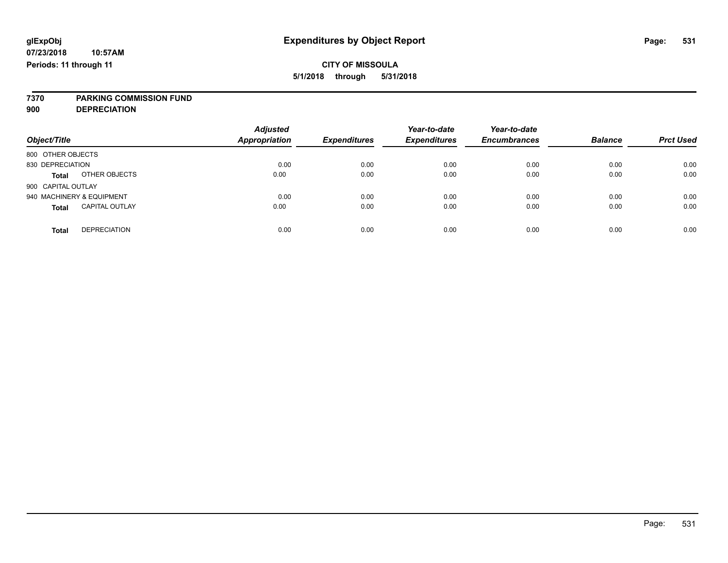# **7370 PARKING COMMISSION FUND**

**900 DEPRECIATION**

| Object/Title                          | <b>Adjusted</b><br><b>Appropriation</b> | <b>Expenditures</b> | Year-to-date<br><b>Expenditures</b> | Year-to-date<br><b>Encumbrances</b> | <b>Balance</b> | <b>Prct Used</b> |
|---------------------------------------|-----------------------------------------|---------------------|-------------------------------------|-------------------------------------|----------------|------------------|
| 800 OTHER OBJECTS                     |                                         |                     |                                     |                                     |                |                  |
| 830 DEPRECIATION                      | 0.00                                    | 0.00                | 0.00                                | 0.00                                | 0.00           | 0.00             |
| OTHER OBJECTS<br><b>Total</b>         | 0.00                                    | 0.00                | 0.00                                | 0.00                                | 0.00           | 0.00             |
| 900 CAPITAL OUTLAY                    |                                         |                     |                                     |                                     |                |                  |
| 940 MACHINERY & EQUIPMENT             | 0.00                                    | 0.00                | 0.00                                | 0.00                                | 0.00           | 0.00             |
| <b>CAPITAL OUTLAY</b><br><b>Total</b> | 0.00                                    | 0.00                | 0.00                                | 0.00                                | 0.00           | 0.00             |
|                                       |                                         |                     |                                     |                                     |                |                  |
| <b>DEPRECIATION</b><br>Total          | 0.00                                    | 0.00                | 0.00                                | 0.00                                | 0.00           | 0.00             |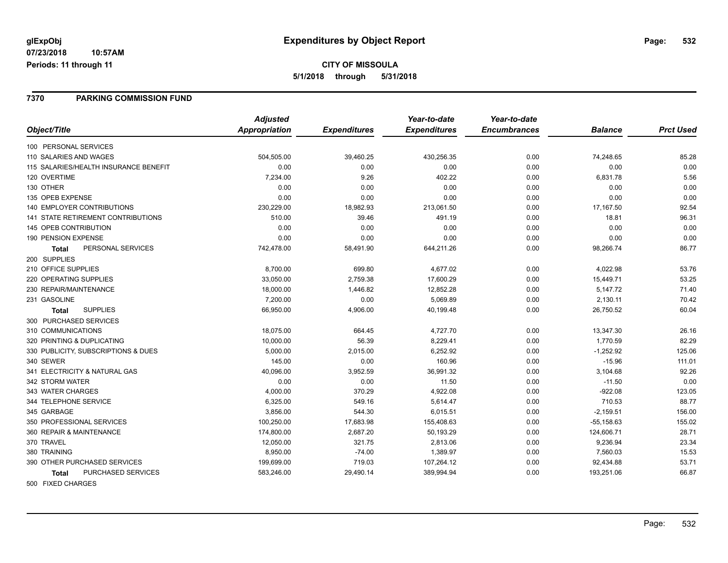#### **7370 PARKING COMMISSION FUND**

|                                           | <b>Adjusted</b> |                     | Year-to-date        | Year-to-date        |                |                  |
|-------------------------------------------|-----------------|---------------------|---------------------|---------------------|----------------|------------------|
| Object/Title                              | Appropriation   | <b>Expenditures</b> | <b>Expenditures</b> | <b>Encumbrances</b> | <b>Balance</b> | <b>Prct Used</b> |
| 100 PERSONAL SERVICES                     |                 |                     |                     |                     |                |                  |
| 110 SALARIES AND WAGES                    | 504,505.00      | 39,460.25           | 430,256.35          | 0.00                | 74,248.65      | 85.28            |
| 115 SALARIES/HEALTH INSURANCE BENEFIT     | 0.00            | 0.00                | 0.00                | 0.00                | 0.00           | 0.00             |
| 120 OVERTIME                              | 7,234.00        | 9.26                | 402.22              | 0.00                | 6,831.78       | 5.56             |
| 130 OTHER                                 | 0.00            | 0.00                | 0.00                | 0.00                | 0.00           | 0.00             |
| 135 OPEB EXPENSE                          | 0.00            | 0.00                | 0.00                | 0.00                | 0.00           | 0.00             |
| <b>140 EMPLOYER CONTRIBUTIONS</b>         | 230,229.00      | 18,982.93           | 213,061.50          | 0.00                | 17,167.50      | 92.54            |
| 141 STATE RETIREMENT CONTRIBUTIONS        | 510.00          | 39.46               | 491.19              | 0.00                | 18.81          | 96.31            |
| <b>145 OPEB CONTRIBUTION</b>              | 0.00            | 0.00                | 0.00                | 0.00                | 0.00           | 0.00             |
| 190 PENSION EXPENSE                       | 0.00            | 0.00                | 0.00                | 0.00                | 0.00           | 0.00             |
| PERSONAL SERVICES<br><b>Total</b>         | 742,478.00      | 58,491.90           | 644,211.26          | 0.00                | 98,266.74      | 86.77            |
| 200 SUPPLIES                              |                 |                     |                     |                     |                |                  |
| 210 OFFICE SUPPLIES                       | 8,700.00        | 699.80              | 4,677.02            | 0.00                | 4,022.98       | 53.76            |
| 220 OPERATING SUPPLIES                    | 33,050.00       | 2,759.38            | 17,600.29           | 0.00                | 15,449.71      | 53.25            |
| 230 REPAIR/MAINTENANCE                    | 18,000.00       | 1,446.82            | 12,852.28           | 0.00                | 5,147.72       | 71.40            |
| 231 GASOLINE                              | 7,200.00        | 0.00                | 5,069.89            | 0.00                | 2,130.11       | 70.42            |
| <b>SUPPLIES</b><br><b>Total</b>           | 66,950.00       | 4,906.00            | 40,199.48           | 0.00                | 26,750.52      | 60.04            |
| 300 PURCHASED SERVICES                    |                 |                     |                     |                     |                |                  |
| 310 COMMUNICATIONS                        | 18,075.00       | 664.45              | 4,727.70            | 0.00                | 13,347.30      | 26.16            |
| 320 PRINTING & DUPLICATING                | 10,000.00       | 56.39               | 8,229.41            | 0.00                | 1,770.59       | 82.29            |
| 330 PUBLICITY, SUBSCRIPTIONS & DUES       | 5,000.00        | 2,015.00            | 6,252.92            | 0.00                | $-1,252.92$    | 125.06           |
| 340 SEWER                                 | 145.00          | 0.00                | 160.96              | 0.00                | $-15.96$       | 111.01           |
| 341 ELECTRICITY & NATURAL GAS             | 40,096.00       | 3,952.59            | 36,991.32           | 0.00                | 3,104.68       | 92.26            |
| 342 STORM WATER                           | 0.00            | 0.00                | 11.50               | 0.00                | $-11.50$       | 0.00             |
| 343 WATER CHARGES                         | 4,000.00        | 370.29              | 4,922.08            | 0.00                | $-922.08$      | 123.05           |
| 344 TELEPHONE SERVICE                     | 6,325.00        | 549.16              | 5,614.47            | 0.00                | 710.53         | 88.77            |
| 345 GARBAGE                               | 3,856.00        | 544.30              | 6,015.51            | 0.00                | $-2,159.51$    | 156.00           |
| 350 PROFESSIONAL SERVICES                 | 100,250.00      | 17,683.98           | 155,408.63          | 0.00                | $-55, 158.63$  | 155.02           |
| 360 REPAIR & MAINTENANCE                  | 174,800.00      | 2,687.20            | 50,193.29           | 0.00                | 124,606.71     | 28.71            |
| 370 TRAVEL                                | 12,050.00       | 321.75              | 2,813.06            | 0.00                | 9,236.94       | 23.34            |
| 380 TRAINING                              | 8,950.00        | $-74.00$            | 1,389.97            | 0.00                | 7,560.03       | 15.53            |
| 390 OTHER PURCHASED SERVICES              | 199,699.00      | 719.03              | 107,264.12          | 0.00                | 92,434.88      | 53.71            |
| <b>PURCHASED SERVICES</b><br><b>Total</b> | 583,246.00      | 29,490.14           | 389,994.94          | 0.00                | 193,251.06     | 66.87            |
|                                           |                 |                     |                     |                     |                |                  |

500 FIXED CHARGES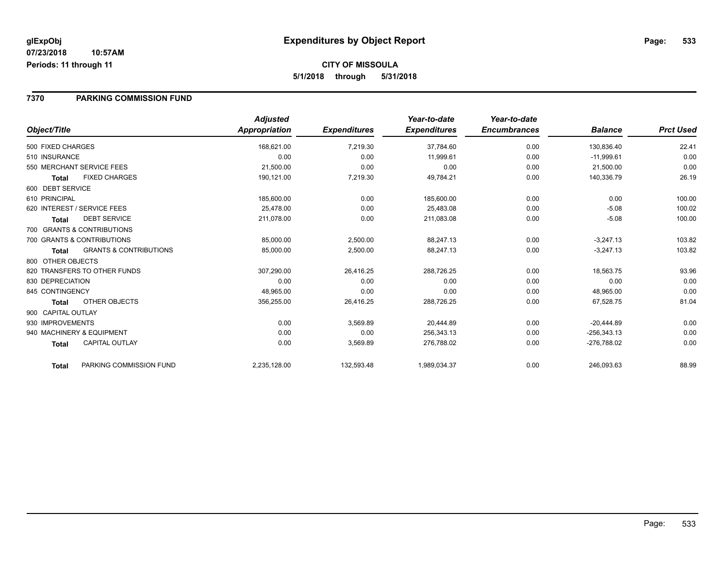### **7370 PARKING COMMISSION FUND**

|                    |                                   | <b>Adjusted</b>      |                     | Year-to-date        | Year-to-date        |                |                  |
|--------------------|-----------------------------------|----------------------|---------------------|---------------------|---------------------|----------------|------------------|
| Object/Title       |                                   | <b>Appropriation</b> | <b>Expenditures</b> | <b>Expenditures</b> | <b>Encumbrances</b> | <b>Balance</b> | <b>Prct Used</b> |
| 500 FIXED CHARGES  |                                   | 168,621.00           | 7,219.30            | 37,784.60           | 0.00                | 130,836.40     | 22.41            |
| 510 INSURANCE      |                                   | 0.00                 | 0.00                | 11,999.61           | 0.00                | $-11,999.61$   | 0.00             |
|                    | 550 MERCHANT SERVICE FEES         | 21,500.00            | 0.00                | 0.00                | 0.00                | 21,500.00      | 0.00             |
| <b>Total</b>       | <b>FIXED CHARGES</b>              | 190,121.00           | 7,219.30            | 49,784.21           | 0.00                | 140,336.79     | 26.19            |
| 600 DEBT SERVICE   |                                   |                      |                     |                     |                     |                |                  |
| 610 PRINCIPAL      |                                   | 185,600.00           | 0.00                | 185,600.00          | 0.00                | 0.00           | 100.00           |
|                    | 620 INTEREST / SERVICE FEES       | 25,478.00            | 0.00                | 25,483.08           | 0.00                | $-5.08$        | 100.02           |
| Total              | <b>DEBT SERVICE</b>               | 211,078.00           | 0.00                | 211,083.08          | 0.00                | $-5.08$        | 100.00           |
|                    | 700 GRANTS & CONTRIBUTIONS        |                      |                     |                     |                     |                |                  |
|                    | 700 GRANTS & CONTRIBUTIONS        | 85,000.00            | 2,500.00            | 88.247.13           | 0.00                | $-3,247.13$    | 103.82           |
| <b>Total</b>       | <b>GRANTS &amp; CONTRIBUTIONS</b> | 85,000.00            | 2,500.00            | 88,247.13           | 0.00                | $-3,247.13$    | 103.82           |
| 800 OTHER OBJECTS  |                                   |                      |                     |                     |                     |                |                  |
|                    | 820 TRANSFERS TO OTHER FUNDS      | 307,290.00           | 26,416.25           | 288,726.25          | 0.00                | 18,563.75      | 93.96            |
| 830 DEPRECIATION   |                                   | 0.00                 | 0.00                | 0.00                | 0.00                | 0.00           | 0.00             |
| 845 CONTINGENCY    |                                   | 48,965.00            | 0.00                | 0.00                | 0.00                | 48,965.00      | 0.00             |
| <b>Total</b>       | OTHER OBJECTS                     | 356,255.00           | 26,416.25           | 288,726.25          | 0.00                | 67,528.75      | 81.04            |
| 900 CAPITAL OUTLAY |                                   |                      |                     |                     |                     |                |                  |
| 930 IMPROVEMENTS   |                                   | 0.00                 | 3,569.89            | 20,444.89           | 0.00                | $-20,444.89$   | 0.00             |
|                    | 940 MACHINERY & EQUIPMENT         | 0.00                 | 0.00                | 256,343.13          | 0.00                | $-256,343.13$  | 0.00             |
| <b>Total</b>       | <b>CAPITAL OUTLAY</b>             | 0.00                 | 3,569.89            | 276,788.02          | 0.00                | $-276,788.02$  | 0.00             |
| <b>Total</b>       | PARKING COMMISSION FUND           | 2,235,128.00         | 132,593.48          | 1,989,034.37        | 0.00                | 246,093.63     | 88.99            |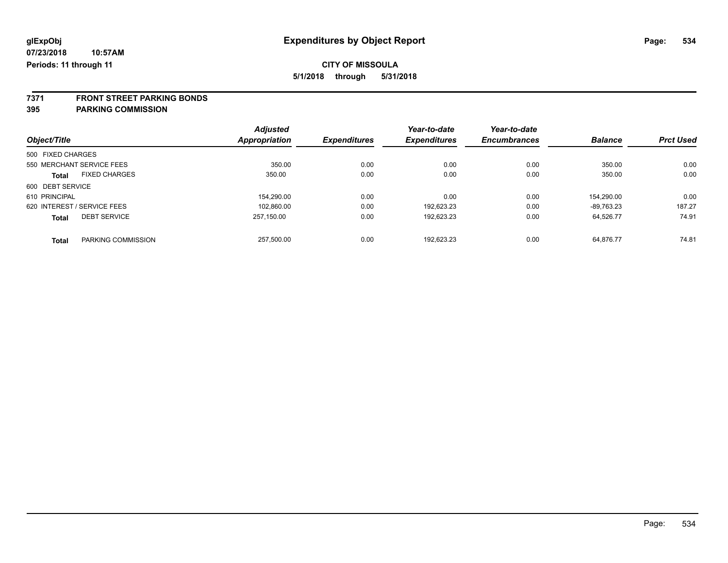**7371 FRONT STREET PARKING BONDS**

**395 PARKING COMMISSION**

|                             |                      | <b>Adjusted</b> |                     | Year-to-date        | Year-to-date        |                |                  |
|-----------------------------|----------------------|-----------------|---------------------|---------------------|---------------------|----------------|------------------|
| Object/Title                |                      | Appropriation   | <b>Expenditures</b> | <b>Expenditures</b> | <b>Encumbrances</b> | <b>Balance</b> | <b>Prct Used</b> |
| 500 FIXED CHARGES           |                      |                 |                     |                     |                     |                |                  |
| 550 MERCHANT SERVICE FEES   |                      | 350.00          | 0.00                | 0.00                | 0.00                | 350.00         | 0.00             |
| <b>Total</b>                | <b>FIXED CHARGES</b> | 350.00          | 0.00                | 0.00                | 0.00                | 350.00         | 0.00             |
| 600 DEBT SERVICE            |                      |                 |                     |                     |                     |                |                  |
| 610 PRINCIPAL               |                      | 154.290.00      | 0.00                | 0.00                | 0.00                | 154,290.00     | 0.00             |
| 620 INTEREST / SERVICE FEES |                      | 102.860.00      | 0.00                | 192,623.23          | 0.00                | $-89.763.23$   | 187.27           |
| <b>Total</b>                | <b>DEBT SERVICE</b>  | 257.150.00      | 0.00                | 192.623.23          | 0.00                | 64.526.77      | 74.91            |
| <b>Total</b>                | PARKING COMMISSION   | 257.500.00      | 0.00                | 192.623.23          | 0.00                | 64.876.77      | 74.81            |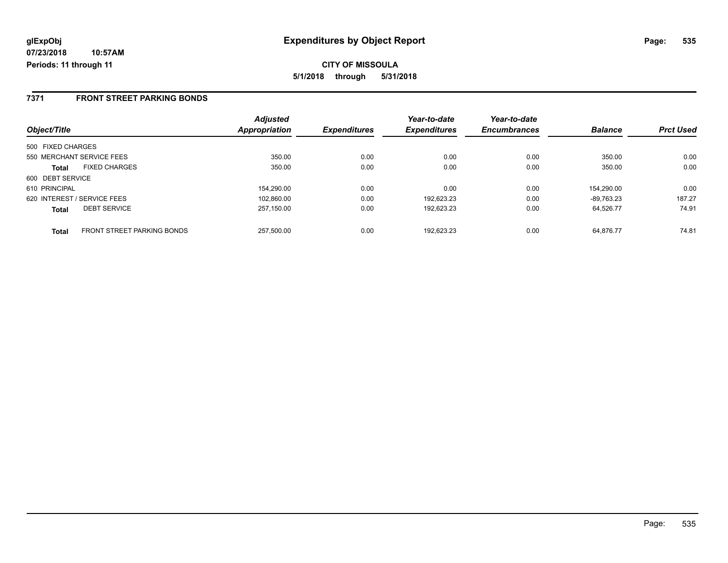#### **7371 FRONT STREET PARKING BONDS**

| Object/Title                                      | <b>Adjusted</b><br>Appropriation | <b>Expenditures</b> | Year-to-date<br><b>Expenditures</b> | Year-to-date<br><b>Encumbrances</b> | <b>Balance</b> | <b>Prct Used</b> |
|---------------------------------------------------|----------------------------------|---------------------|-------------------------------------|-------------------------------------|----------------|------------------|
|                                                   |                                  |                     |                                     |                                     |                |                  |
| 500 FIXED CHARGES                                 |                                  |                     |                                     |                                     |                |                  |
| 550 MERCHANT SERVICE FEES                         | 350.00                           | 0.00                | 0.00                                | 0.00                                | 350.00         | 0.00             |
| <b>FIXED CHARGES</b><br><b>Total</b>              | 350.00                           | 0.00                | 0.00                                | 0.00                                | 350.00         | 0.00             |
| 600 DEBT SERVICE                                  |                                  |                     |                                     |                                     |                |                  |
| 610 PRINCIPAL                                     | 154.290.00                       | 0.00                | 0.00                                | 0.00                                | 154,290.00     | 0.00             |
| 620 INTEREST / SERVICE FEES                       | 102,860.00                       | 0.00                | 192.623.23                          | 0.00                                | $-89.763.23$   | 187.27           |
| <b>DEBT SERVICE</b><br><b>Total</b>               | 257.150.00                       | 0.00                | 192.623.23                          | 0.00                                | 64.526.77      | 74.91            |
| <b>FRONT STREET PARKING BONDS</b><br><b>Total</b> | 257.500.00                       | 0.00                | 192.623.23                          | 0.00                                | 64.876.77      | 74.81            |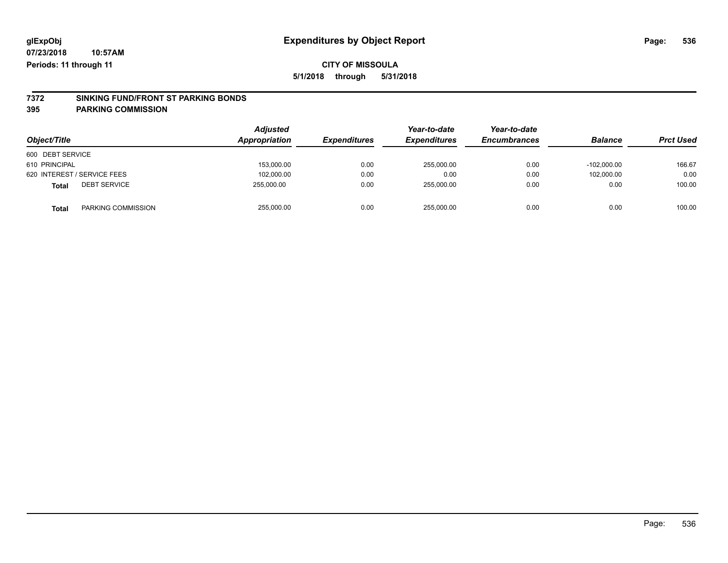**7372 SINKING FUND/FRONT ST PARKING BONDS**

**395 PARKING COMMISSION**

| Object/Title                |                     | <b>Adjusted</b><br>Appropriation | <b>Expenditures</b> | Year-to-date<br><i><b>Expenditures</b></i> | Year-to-date<br><b>Encumbrances</b> | <b>Balance</b> | <b>Prct Used</b> |
|-----------------------------|---------------------|----------------------------------|---------------------|--------------------------------------------|-------------------------------------|----------------|------------------|
| 600 DEBT SERVICE            |                     |                                  |                     |                                            |                                     |                |                  |
| 610 PRINCIPAL               |                     | 153,000.00                       | 0.00                | 255,000.00                                 | 0.00                                | $-102.000.00$  | 166.67           |
| 620 INTEREST / SERVICE FEES |                     | 102,000.00                       | 0.00                | 0.00                                       | 0.00                                | 102.000.00     | 0.00             |
| <b>Total</b>                | <b>DEBT SERVICE</b> | 255.000.00                       | 0.00                | 255,000.00                                 | 0.00                                | 0.00           | 100.00           |
| <b>Total</b>                | PARKING COMMISSION  | 255,000.00                       | 0.00                | 255.000.00                                 | 0.00                                | 0.00           | 100.00           |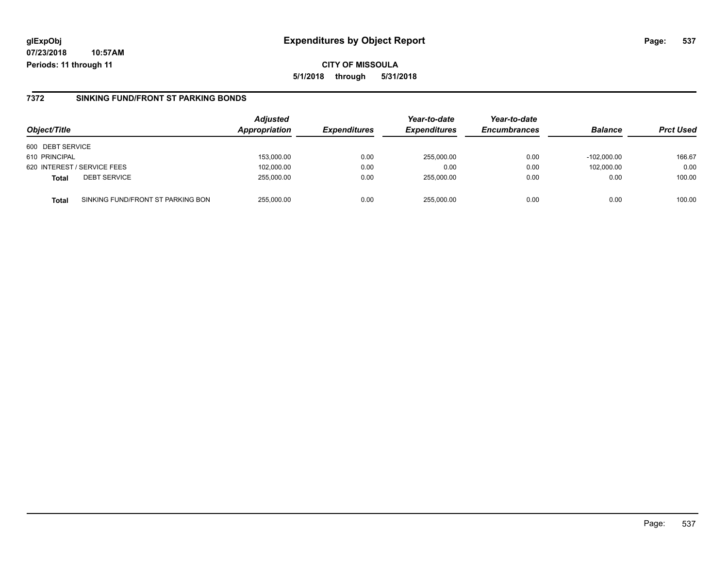**CITY OF MISSOULA 5/1/2018 through 5/31/2018**

### **7372 SINKING FUND/FRONT ST PARKING BONDS**

| Object/Title     |                                   | <b>Adjusted</b><br>Appropriation | <b>Expenditures</b> | Year-to-date<br><b>Expenditures</b> | Year-to-date<br><b>Encumbrances</b> | <b>Balance</b> | <b>Prct Used</b> |
|------------------|-----------------------------------|----------------------------------|---------------------|-------------------------------------|-------------------------------------|----------------|------------------|
| 600 DEBT SERVICE |                                   |                                  |                     |                                     |                                     |                |                  |
| 610 PRINCIPAL    |                                   | 153,000.00                       | 0.00                | 255.000.00                          | 0.00                                | $-102.000.00$  | 166.67           |
|                  | 620 INTEREST / SERVICE FEES       | 102,000.00                       | 0.00                | 0.00                                | 0.00                                | 102,000.00     | 0.00             |
| <b>Total</b>     | <b>DEBT SERVICE</b>               | 255,000.00                       | 0.00                | 255.000.00                          | 0.00                                | 0.00           | 100.00           |
| <b>Total</b>     | SINKING FUND/FRONT ST PARKING BON | 255.000.00                       | 0.00                | 255.000.00                          | 0.00                                | 0.00           | 100.00           |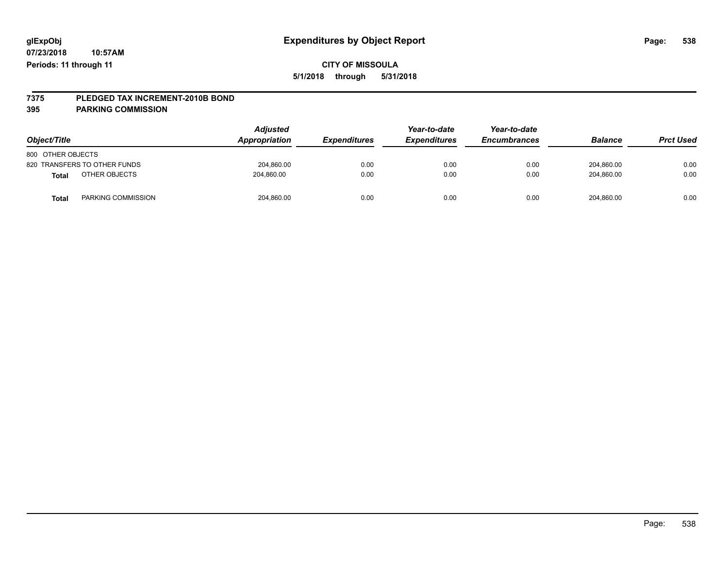# **7375 PLEDGED TAX INCREMENT-2010B BOND**

#### **395 PARKING COMMISSION**

**07/23/2018**

| Object/Title                       | <b>Adjusted</b><br><b>Appropriation</b> | <i><b>Expenditures</b></i> | Year-to-date<br><b>Expenditures</b> | Year-to-date<br><b>Encumbrances</b> | <b>Balance</b> | <b>Prct Used</b> |
|------------------------------------|-----------------------------------------|----------------------------|-------------------------------------|-------------------------------------|----------------|------------------|
| 800 OTHER OBJECTS                  |                                         |                            |                                     |                                     |                |                  |
| 820 TRANSFERS TO OTHER FUNDS       | 204,860.00                              | 0.00                       | 0.00                                | 0.00                                | 204.860.00     | 0.00             |
| OTHER OBJECTS<br>Total             | 204.860.00                              | 0.00                       | 0.00                                | 0.00                                | 204.860.00     | 0.00             |
| PARKING COMMISSION<br><b>Total</b> | 204,860.00                              | 0.00                       | 0.00                                | 0.00                                | 204.860.00     | 0.00             |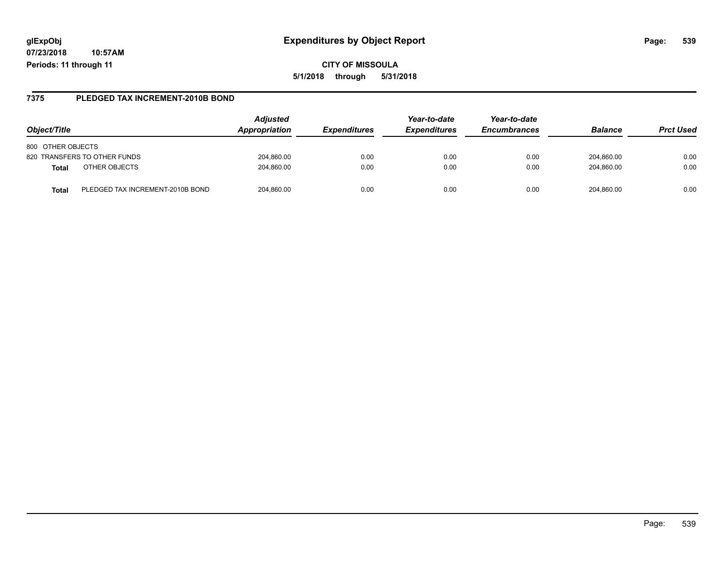**CITY OF MISSOULA 5/1/2018 through 5/31/2018**

#### **7375 PLEDGED TAX INCREMENT-2010B BOND**

| Object/Title                              | <b>Adjusted</b><br>Appropriation | <b>Expenditures</b> | Year-to-date<br><b>Expenditures</b> | Year-to-date<br><b>Encumbrances</b> | <b>Balance</b> | <b>Prct Used</b> |
|-------------------------------------------|----------------------------------|---------------------|-------------------------------------|-------------------------------------|----------------|------------------|
| 800 OTHER OBJECTS                         |                                  |                     |                                     |                                     |                |                  |
| 820 TRANSFERS TO OTHER FUNDS              | 204,860.00                       | 0.00                | 0.00                                | 0.00                                | 204.860.00     | 0.00             |
| OTHER OBJECTS<br>Total                    | 204,860.00                       | 0.00                | 0.00                                | 0.00                                | 204.860.00     | 0.00             |
| PLEDGED TAX INCREMENT-2010B BOND<br>Total | 204.860.00                       | 0.00                | 0.00                                | 0.00                                | 204.860.00     | 0.00             |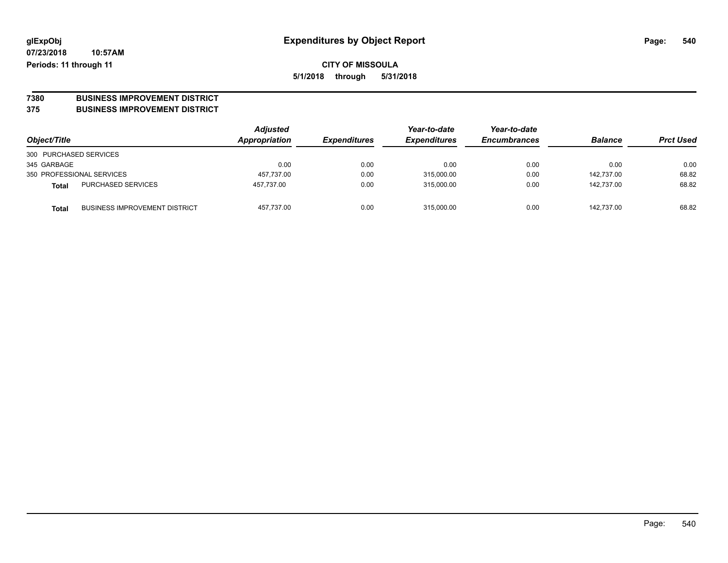**5/1/2018 through 5/31/2018**

# **7380 BUSINESS IMPROVEMENT DISTRICT**

#### **375 BUSINESS IMPROVEMENT DISTRICT**

| Object/Title              |                                      | <b>Adjusted</b><br>Appropriation | <i><b>Expenditures</b></i> | Year-to-date<br><b>Expenditures</b> | Year-to-date<br><b>Encumbrances</b> | <b>Balance</b> | <b>Prct Used</b> |
|---------------------------|--------------------------------------|----------------------------------|----------------------------|-------------------------------------|-------------------------------------|----------------|------------------|
| 300 PURCHASED SERVICES    |                                      |                                  |                            |                                     |                                     |                |                  |
| 345 GARBAGE               |                                      | 0.00                             | 0.00                       | 0.00                                | 0.00                                | 0.00           | 0.00             |
| 350 PROFESSIONAL SERVICES |                                      | 457,737.00                       | 0.00                       | 315,000.00                          | 0.00                                | 142.737.00     | 68.82            |
| Total                     | <b>PURCHASED SERVICES</b>            | 457.737.00                       | 0.00                       | 315,000.00                          | 0.00                                | 142.737.00     | 68.82            |
| <b>Total</b>              | <b>BUSINESS IMPROVEMENT DISTRICT</b> | 457,737.00                       | 0.00                       | 315,000.00                          | 0.00                                | 142.737.00     | 68.82            |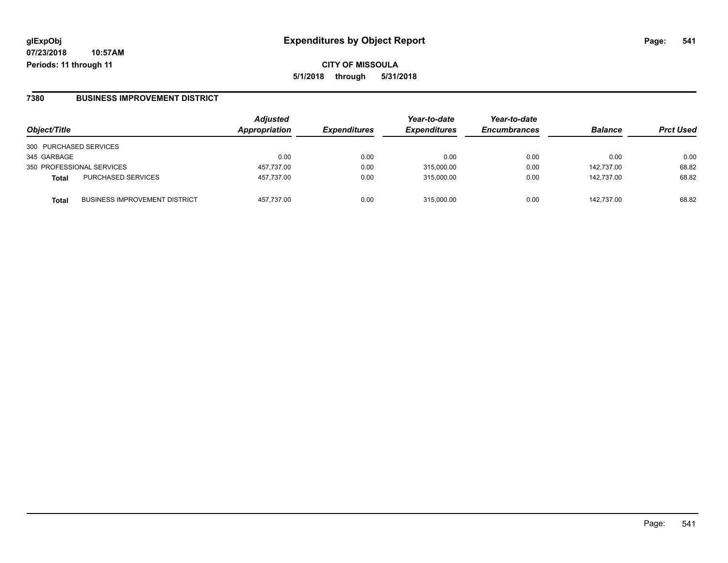**CITY OF MISSOULA 5/1/2018 through 5/31/2018**

#### **7380 BUSINESS IMPROVEMENT DISTRICT**

| Object/Title           |                                      | Adjusted<br><b>Appropriation</b> | <i><b>Expenditures</b></i> | Year-to-date<br><b>Expenditures</b> | Year-to-date<br><b>Encumbrances</b> | <b>Balance</b> | <b>Prct Used</b> |
|------------------------|--------------------------------------|----------------------------------|----------------------------|-------------------------------------|-------------------------------------|----------------|------------------|
| 300 PURCHASED SERVICES |                                      |                                  |                            |                                     |                                     |                |                  |
| 345 GARBAGE            |                                      | 0.00                             | 0.00                       | 0.00                                | 0.00                                | 0.00           | 0.00             |
|                        | 350 PROFESSIONAL SERVICES            | 457,737.00                       | 0.00                       | 315,000.00                          | 0.00                                | 142.737.00     | 68.82            |
| <b>Total</b>           | <b>PURCHASED SERVICES</b>            | 457,737.00                       | 0.00                       | 315,000.00                          | 0.00                                | 142.737.00     | 68.82            |
| <b>Total</b>           | <b>BUSINESS IMPROVEMENT DISTRICT</b> | 457.737.00                       | 0.00                       | 315.000.00                          | 0.00                                | 142.737.00     | 68.82            |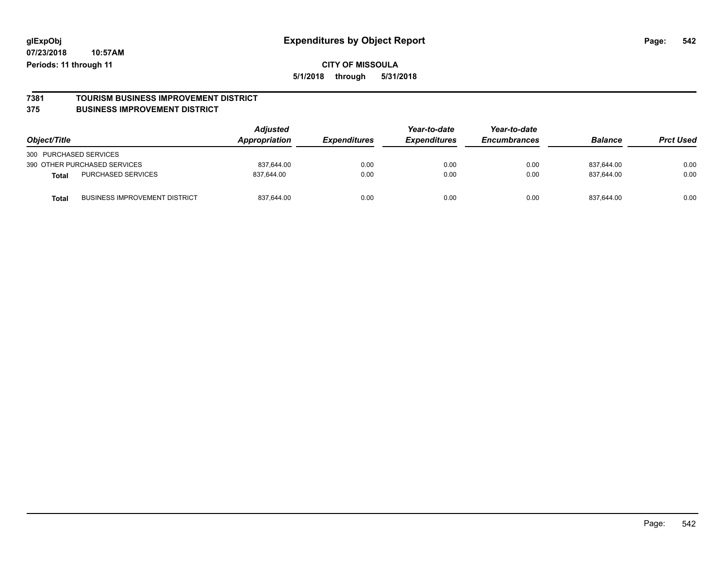**CITY OF MISSOULA 5/1/2018 through 5/31/2018**

# **7381 TOURISM BUSINESS IMPROVEMENT DISTRICT**

### **375 BUSINESS IMPROVEMENT DISTRICT**

| Object/Title                                 | <b>Adjusted</b><br>Appropriation | <i><b>Expenditures</b></i> | Year-to-date<br><b>Expenditures</b> | Year-to-date<br><b>Encumbrances</b> | <b>Balance</b> | <b>Prct Used</b> |
|----------------------------------------------|----------------------------------|----------------------------|-------------------------------------|-------------------------------------|----------------|------------------|
| 300 PURCHASED SERVICES                       |                                  |                            |                                     |                                     |                |                  |
| 390 OTHER PURCHASED SERVICES                 | 837,644.00                       | 0.00                       | 0.00                                | 0.00                                | 837.644.00     | 0.00             |
| PURCHASED SERVICES<br><b>Total</b>           | 837.644.00                       | 0.00                       | 0.00                                | 0.00                                | 837.644.00     | 0.00             |
| <b>BUSINESS IMPROVEMENT DISTRICT</b><br>Tota | 837,644.00                       | 0.00                       | 0.00                                | 0.00                                | 837.644.00     | 0.00             |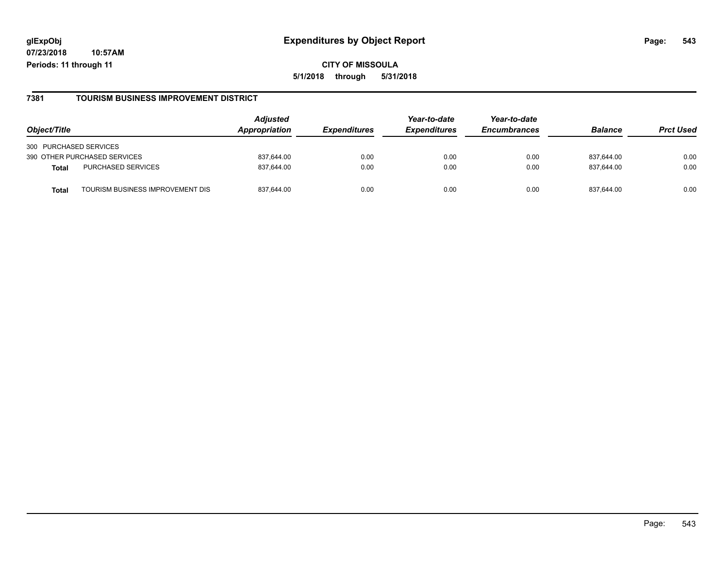**CITY OF MISSOULA 5/1/2018 through 5/31/2018**

#### **7381 TOURISM BUSINESS IMPROVEMENT DISTRICT**

| Object/Title                             | <b>Adjusted</b><br>Appropriation | <i><b>Expenditures</b></i> | Year-to-date<br><b>Expenditures</b> | Year-to-date<br><b>Encumbrances</b> | <b>Balance</b> | <b>Prct Used</b> |
|------------------------------------------|----------------------------------|----------------------------|-------------------------------------|-------------------------------------|----------------|------------------|
| 300 PURCHASED SERVICES                   |                                  |                            |                                     |                                     |                |                  |
| 390 OTHER PURCHASED SERVICES             | 837.644.00                       | 0.00                       | 0.00                                | 0.00                                | 837.644.00     | 0.00             |
| PURCHASED SERVICES<br><b>Total</b>       | 837.644.00                       | 0.00                       | 0.00                                | 0.00                                | 837.644.00     | 0.00             |
| TOURISM BUSINESS IMPROVEMENT DIS<br>Tota | 837.644.00                       | 0.00                       | 0.00                                | 0.00                                | 837.644.00     | 0.00             |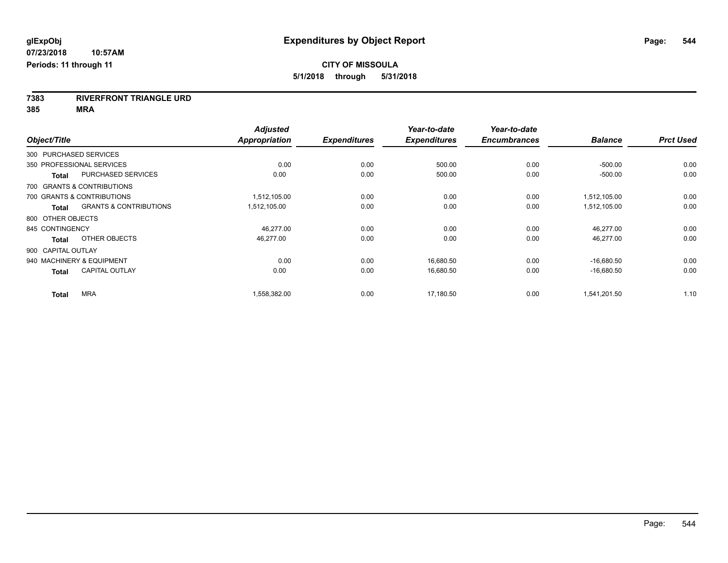**7383 RIVERFRONT TRIANGLE URD**

|                    |                                   | <b>Adjusted</b>      |                     | Year-to-date        | Year-to-date        |                |                  |
|--------------------|-----------------------------------|----------------------|---------------------|---------------------|---------------------|----------------|------------------|
| Object/Title       |                                   | <b>Appropriation</b> | <b>Expenditures</b> | <b>Expenditures</b> | <b>Encumbrances</b> | <b>Balance</b> | <b>Prct Used</b> |
|                    | 300 PURCHASED SERVICES            |                      |                     |                     |                     |                |                  |
|                    | 350 PROFESSIONAL SERVICES         | 0.00                 | 0.00                | 500.00              | 0.00                | $-500.00$      | 0.00             |
| <b>Total</b>       | <b>PURCHASED SERVICES</b>         | 0.00                 | 0.00                | 500.00              | 0.00                | $-500.00$      | 0.00             |
|                    | 700 GRANTS & CONTRIBUTIONS        |                      |                     |                     |                     |                |                  |
|                    | 700 GRANTS & CONTRIBUTIONS        | 1,512,105.00         | 0.00                | 0.00                | 0.00                | 1,512,105.00   | 0.00             |
| <b>Total</b>       | <b>GRANTS &amp; CONTRIBUTIONS</b> | 1,512,105.00         | 0.00                | 0.00                | 0.00                | 1,512,105.00   | 0.00             |
| 800 OTHER OBJECTS  |                                   |                      |                     |                     |                     |                |                  |
| 845 CONTINGENCY    |                                   | 46,277.00            | 0.00                | 0.00                | 0.00                | 46,277.00      | 0.00             |
| <b>Total</b>       | OTHER OBJECTS                     | 46,277.00            | 0.00                | 0.00                | 0.00                | 46,277.00      | 0.00             |
| 900 CAPITAL OUTLAY |                                   |                      |                     |                     |                     |                |                  |
|                    | 940 MACHINERY & EQUIPMENT         | 0.00                 | 0.00                | 16,680.50           | 0.00                | $-16,680.50$   | 0.00             |
| <b>Total</b>       | <b>CAPITAL OUTLAY</b>             | 0.00                 | 0.00                | 16,680.50           | 0.00                | $-16,680.50$   | 0.00             |
| <b>Total</b>       | <b>MRA</b>                        | 1,558,382.00         | 0.00                | 17,180.50           | 0.00                | 1,541,201.50   | 1.10             |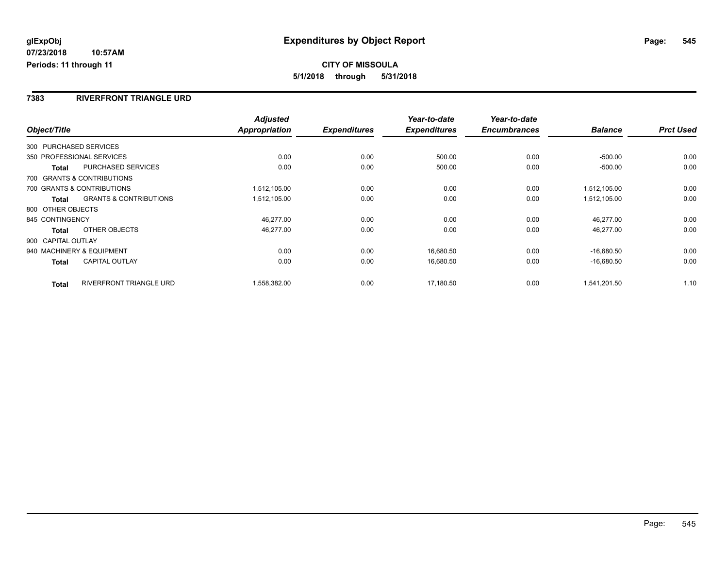### **7383 RIVERFRONT TRIANGLE URD**

|                    |                                   | <b>Adjusted</b> |                     | Year-to-date        | Year-to-date        |                |                  |
|--------------------|-----------------------------------|-----------------|---------------------|---------------------|---------------------|----------------|------------------|
| Object/Title       |                                   | Appropriation   | <b>Expenditures</b> | <b>Expenditures</b> | <b>Encumbrances</b> | <b>Balance</b> | <b>Prct Used</b> |
|                    | 300 PURCHASED SERVICES            |                 |                     |                     |                     |                |                  |
|                    | 350 PROFESSIONAL SERVICES         | 0.00            | 0.00                | 500.00              | 0.00                | $-500.00$      | 0.00             |
| <b>Total</b>       | PURCHASED SERVICES                | 0.00            | 0.00                | 500.00              | 0.00                | $-500.00$      | 0.00             |
|                    | 700 GRANTS & CONTRIBUTIONS        |                 |                     |                     |                     |                |                  |
|                    | 700 GRANTS & CONTRIBUTIONS        | 1,512,105.00    | 0.00                | 0.00                | 0.00                | 1.512.105.00   | 0.00             |
| Total              | <b>GRANTS &amp; CONTRIBUTIONS</b> | 1,512,105.00    | 0.00                | 0.00                | 0.00                | 1,512,105.00   | 0.00             |
| 800 OTHER OBJECTS  |                                   |                 |                     |                     |                     |                |                  |
| 845 CONTINGENCY    |                                   | 46,277.00       | 0.00                | 0.00                | 0.00                | 46,277.00      | 0.00             |
| Total              | OTHER OBJECTS                     | 46,277.00       | 0.00                | 0.00                | 0.00                | 46,277.00      | 0.00             |
| 900 CAPITAL OUTLAY |                                   |                 |                     |                     |                     |                |                  |
|                    | 940 MACHINERY & EQUIPMENT         | 0.00            | 0.00                | 16,680.50           | 0.00                | $-16,680.50$   | 0.00             |
| Total              | <b>CAPITAL OUTLAY</b>             | 0.00            | 0.00                | 16,680.50           | 0.00                | $-16,680.50$   | 0.00             |
| <b>Total</b>       | <b>RIVERFRONT TRIANGLE URD</b>    | 1,558,382.00    | 0.00                | 17,180.50           | 0.00                | 1,541,201.50   | 1.10             |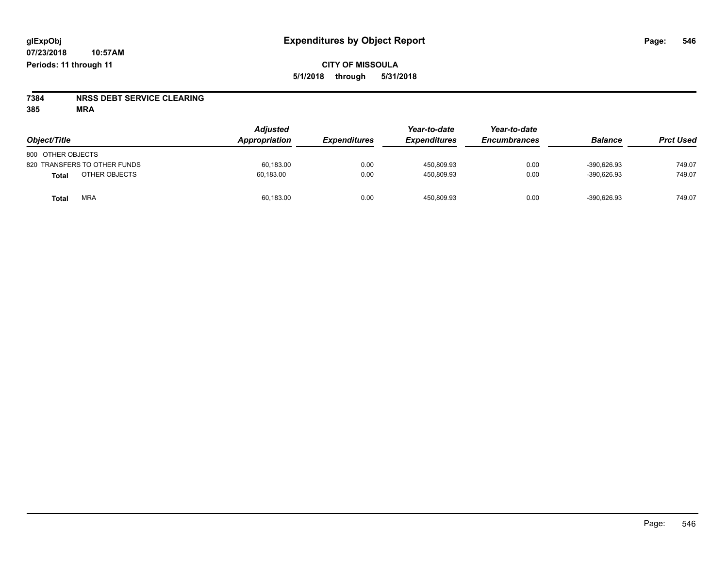# **CITY OF MISSOULA 5/1/2018 through 5/31/2018**

# **7384 NRSS DEBT SERVICE CLEARING**

| Object/Title                  | <b>Adjusted</b><br>Appropriation | <b>Expenditures</b> | Year-to-date<br><b>Expenditures</b> | Year-to-date<br><b>Encumbrances</b> | <b>Balance</b> | <b>Prct Used</b> |
|-------------------------------|----------------------------------|---------------------|-------------------------------------|-------------------------------------|----------------|------------------|
| 800 OTHER OBJECTS             |                                  |                     |                                     |                                     |                |                  |
| 820 TRANSFERS TO OTHER FUNDS  | 60,183.00                        | 0.00                | 450.809.93                          | 0.00                                | $-390.626.93$  | 749.07           |
| OTHER OBJECTS<br><b>Total</b> | 60.183.00                        | 0.00                | 450.809.93                          | 0.00                                | $-390.626.93$  | 749.07           |
| MRA<br>Total                  | 60,183.00                        | 0.00                | 450,809.93                          | 0.00                                | $-390,626.93$  | 749.07           |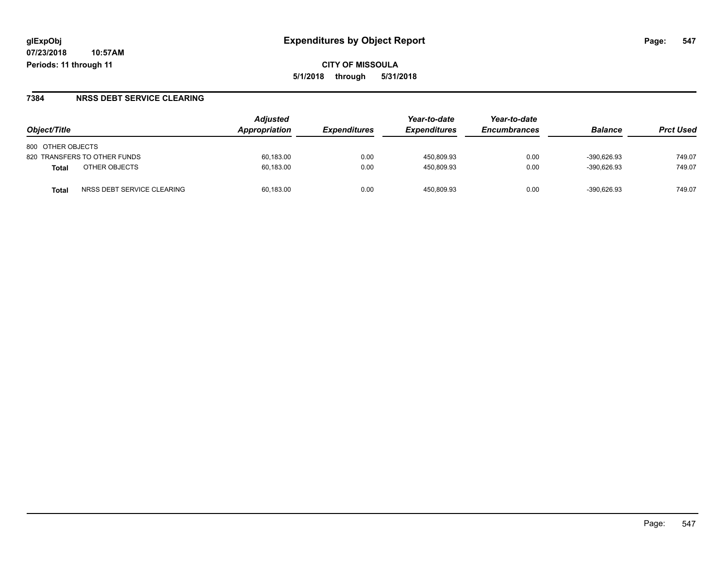**CITY OF MISSOULA 5/1/2018 through 5/31/2018**

#### **7384 NRSS DEBT SERVICE CLEARING**

|                                                 | <b>Adjusted</b><br>Appropriation |                     | Year-to-date        | Year-to-date<br><b>Encumbrances</b> | <b>Balance</b> | <b>Prct Used</b> |
|-------------------------------------------------|----------------------------------|---------------------|---------------------|-------------------------------------|----------------|------------------|
| Object/Title                                    |                                  | <b>Expenditures</b> | <b>Expenditures</b> |                                     |                |                  |
| 800 OTHER OBJECTS                               |                                  |                     |                     |                                     |                |                  |
| 820 TRANSFERS TO OTHER FUNDS                    | 60.183.00                        | 0.00                | 450.809.93          | 0.00                                | $-390.626.93$  | 749.07           |
| OTHER OBJECTS<br><b>Total</b>                   | 60,183.00                        | 0.00                | 450.809.93          | 0.00                                | $-390.626.93$  | 749.07           |
| NRSS DEBT SERVICE CLEARING<br>Tota <sub>i</sub> | 60.183.00                        | 0.00                | 450.809.93          | 0.00                                | $-390.626.93$  | 749.07           |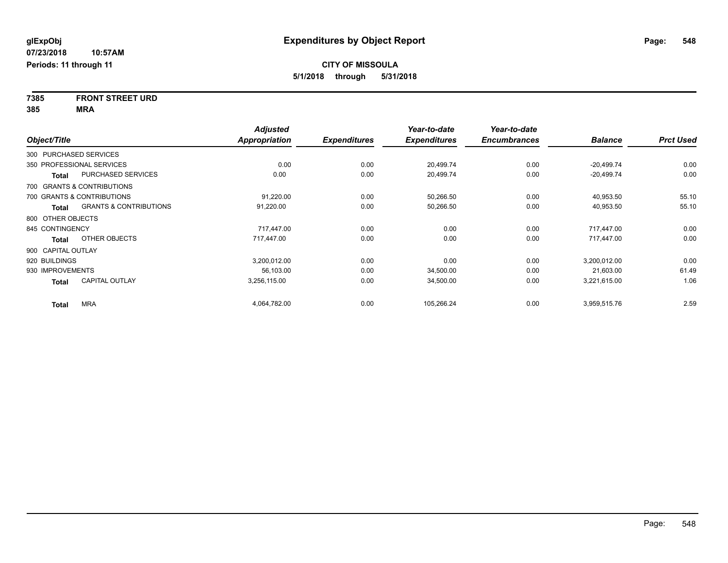**7385 FRONT STREET URD 385 MRA**

|                        |                                   | <b>Adjusted</b>      |                     | Year-to-date        | Year-to-date        |                |                  |
|------------------------|-----------------------------------|----------------------|---------------------|---------------------|---------------------|----------------|------------------|
| Object/Title           |                                   | <b>Appropriation</b> | <b>Expenditures</b> | <b>Expenditures</b> | <b>Encumbrances</b> | <b>Balance</b> | <b>Prct Used</b> |
| 300 PURCHASED SERVICES |                                   |                      |                     |                     |                     |                |                  |
|                        | 350 PROFESSIONAL SERVICES         | 0.00                 | 0.00                | 20,499.74           | 0.00                | $-20,499.74$   | 0.00             |
| <b>Total</b>           | <b>PURCHASED SERVICES</b>         | 0.00                 | 0.00                | 20,499.74           | 0.00                | $-20,499.74$   | 0.00             |
|                        | 700 GRANTS & CONTRIBUTIONS        |                      |                     |                     |                     |                |                  |
|                        | 700 GRANTS & CONTRIBUTIONS        | 91,220.00            | 0.00                | 50,266.50           | 0.00                | 40,953.50      | 55.10            |
| Total                  | <b>GRANTS &amp; CONTRIBUTIONS</b> | 91,220.00            | 0.00                | 50,266.50           | 0.00                | 40,953.50      | 55.10            |
| 800 OTHER OBJECTS      |                                   |                      |                     |                     |                     |                |                  |
| 845 CONTINGENCY        |                                   | 717,447.00           | 0.00                | 0.00                | 0.00                | 717,447.00     | 0.00             |
| Total                  | OTHER OBJECTS                     | 717,447.00           | 0.00                | 0.00                | 0.00                | 717,447.00     | 0.00             |
| 900 CAPITAL OUTLAY     |                                   |                      |                     |                     |                     |                |                  |
| 920 BUILDINGS          |                                   | 3,200,012.00         | 0.00                | 0.00                | 0.00                | 3,200,012.00   | 0.00             |
| 930 IMPROVEMENTS       |                                   | 56.103.00            | 0.00                | 34,500.00           | 0.00                | 21,603.00      | 61.49            |
| <b>Total</b>           | <b>CAPITAL OUTLAY</b>             | 3,256,115.00         | 0.00                | 34,500.00           | 0.00                | 3,221,615.00   | 1.06             |
| <b>Total</b>           | <b>MRA</b>                        | 4,064,782.00         | 0.00                | 105,266.24          | 0.00                | 3,959,515.76   | 2.59             |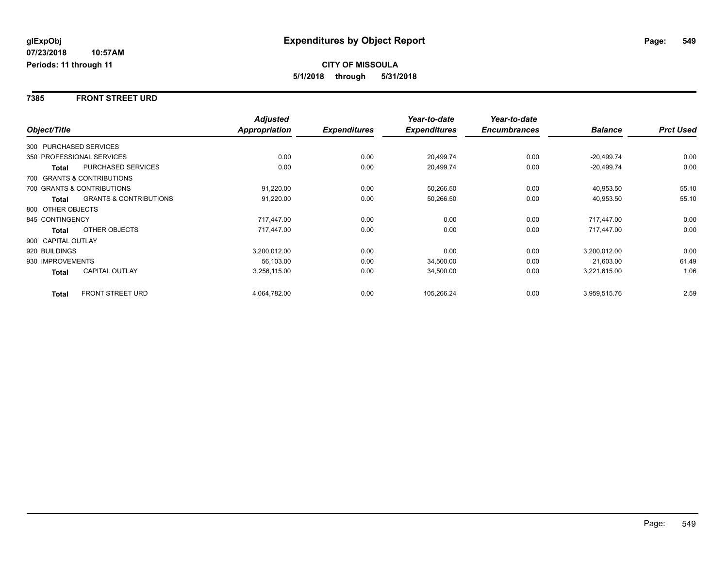#### **7385 FRONT STREET URD**

|                        |                                   | <b>Adjusted</b> |                     | Year-to-date        | Year-to-date        |                |                  |
|------------------------|-----------------------------------|-----------------|---------------------|---------------------|---------------------|----------------|------------------|
| Object/Title           |                                   | Appropriation   | <b>Expenditures</b> | <b>Expenditures</b> | <b>Encumbrances</b> | <b>Balance</b> | <b>Prct Used</b> |
| 300 PURCHASED SERVICES |                                   |                 |                     |                     |                     |                |                  |
|                        | 350 PROFESSIONAL SERVICES         | 0.00            | 0.00                | 20,499.74           | 0.00                | $-20,499.74$   | 0.00             |
| Total                  | PURCHASED SERVICES                | 0.00            | 0.00                | 20,499.74           | 0.00                | $-20,499.74$   | 0.00             |
|                        | 700 GRANTS & CONTRIBUTIONS        |                 |                     |                     |                     |                |                  |
|                        | 700 GRANTS & CONTRIBUTIONS        | 91,220.00       | 0.00                | 50,266.50           | 0.00                | 40,953.50      | 55.10            |
| <b>Total</b>           | <b>GRANTS &amp; CONTRIBUTIONS</b> | 91,220.00       | 0.00                | 50,266.50           | 0.00                | 40,953.50      | 55.10            |
| 800 OTHER OBJECTS      |                                   |                 |                     |                     |                     |                |                  |
| 845 CONTINGENCY        |                                   | 717,447.00      | 0.00                | 0.00                | 0.00                | 717,447.00     | 0.00             |
| Total                  | OTHER OBJECTS                     | 717,447.00      | 0.00                | 0.00                | 0.00                | 717,447.00     | 0.00             |
| 900 CAPITAL OUTLAY     |                                   |                 |                     |                     |                     |                |                  |
| 920 BUILDINGS          |                                   | 3,200,012.00    | 0.00                | 0.00                | 0.00                | 3,200,012.00   | 0.00             |
| 930 IMPROVEMENTS       |                                   | 56.103.00       | 0.00                | 34,500.00           | 0.00                | 21.603.00      | 61.49            |
| Total                  | <b>CAPITAL OUTLAY</b>             | 3,256,115.00    | 0.00                | 34,500.00           | 0.00                | 3,221,615.00   | 1.06             |
| <b>Total</b>           | <b>FRONT STREET URD</b>           | 4,064,782.00    | 0.00                | 105,266.24          | 0.00                | 3,959,515.76   | 2.59             |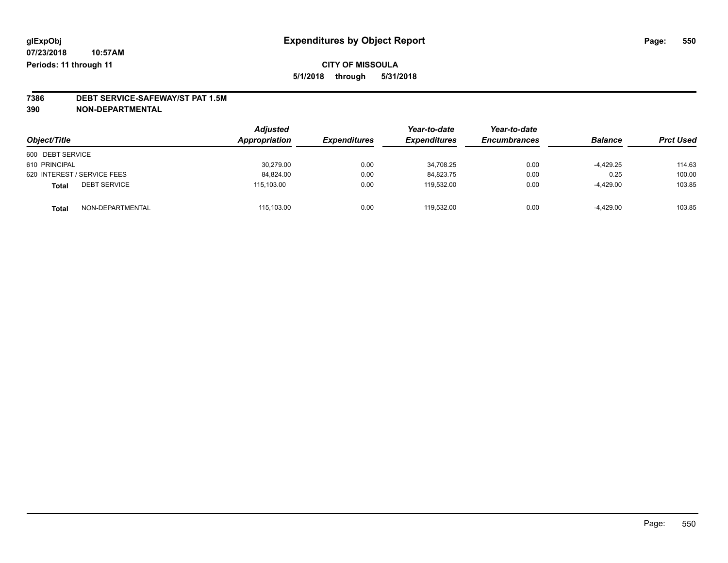# **7386 DEBT SERVICE-SAFEWAY/ST PAT 1.5M**

**390 NON-DEPARTMENTAL**

| Object/Title                        | <b>Adjusted</b><br>Appropriation | <i><b>Expenditures</b></i> | Year-to-date<br><b>Expenditures</b> | Year-to-date<br><b>Encumbrances</b> | <b>Balance</b> | <b>Prct Used</b> |
|-------------------------------------|----------------------------------|----------------------------|-------------------------------------|-------------------------------------|----------------|------------------|
| 600 DEBT SERVICE                    |                                  |                            |                                     |                                     |                |                  |
| 610 PRINCIPAL                       | 30,279.00                        | 0.00                       | 34.708.25                           | 0.00                                | $-4,429.25$    | 114.63           |
| 620 INTEREST / SERVICE FEES         | 84,824.00                        | 0.00                       | 84,823.75                           | 0.00                                | 0.25           | 100.00           |
| <b>DEBT SERVICE</b><br><b>Total</b> | 115.103.00                       | 0.00                       | 119.532.00                          | 0.00                                | $-4,429.00$    | 103.85           |
| NON-DEPARTMENTAL<br>Total           | 115,103.00                       | 0.00                       | 119.532.00                          | 0.00                                | $-4,429.00$    | 103.85           |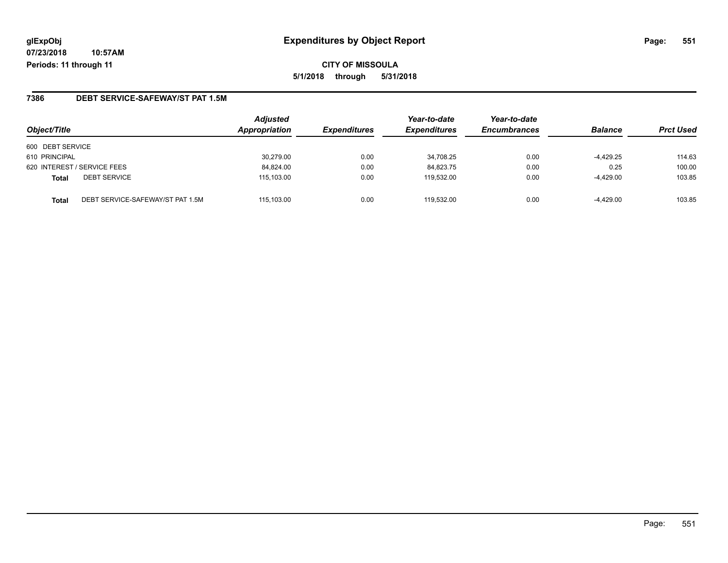**CITY OF MISSOULA 5/1/2018 through 5/31/2018**

#### **7386 DEBT SERVICE-SAFEWAY/ST PAT 1.5M**

| Object/Title                                     | <b>Adjusted</b><br>Appropriation | <b>Expenditures</b> | Year-to-date<br><b>Expenditures</b> | Year-to-date<br><b>Encumbrances</b> | <b>Balance</b> | <b>Prct Used</b> |
|--------------------------------------------------|----------------------------------|---------------------|-------------------------------------|-------------------------------------|----------------|------------------|
|                                                  |                                  |                     |                                     |                                     |                |                  |
| 600 DEBT SERVICE                                 |                                  |                     |                                     |                                     |                |                  |
| 610 PRINCIPAL                                    | 30,279.00                        | 0.00                | 34,708.25                           | 0.00                                | $-4,429.25$    | 114.63           |
| 620 INTEREST / SERVICE FEES                      | 84,824.00                        | 0.00                | 84.823.75                           | 0.00                                | 0.25           | 100.00           |
| <b>DEBT SERVICE</b><br><b>Total</b>              | 115,103.00                       | 0.00                | 119.532.00                          | 0.00                                | -4,429.00      | 103.85           |
| DEBT SERVICE-SAFEWAY/ST PAT 1.5M<br><b>Total</b> | 115.103.00                       | 0.00                | 119.532.00                          | 0.00                                | $-4,429.00$    | 103.85           |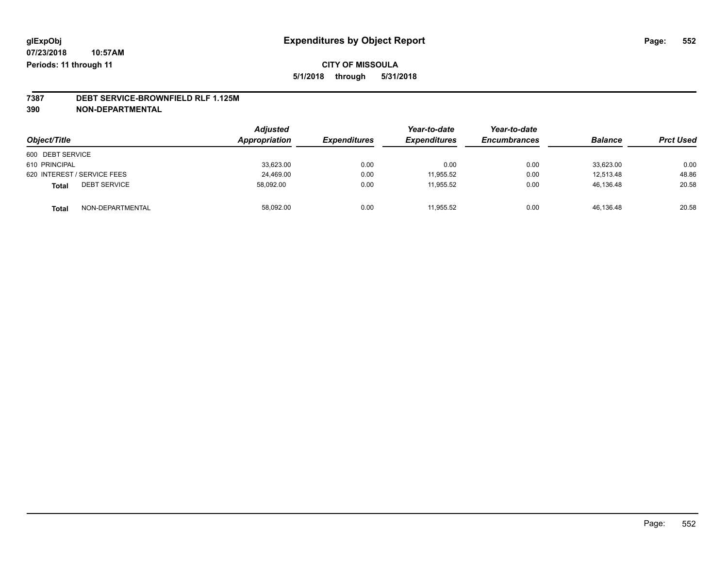# **7387 DEBT SERVICE-BROWNFIELD RLF 1.125M**

**390 NON-DEPARTMENTAL**

| Object/Title                     | <b>Adjusted</b><br>Appropriation | <b>Expenditures</b> | Year-to-date<br><b>Expenditures</b> | Year-to-date<br><b>Encumbrances</b> | <b>Balance</b> | <b>Prct Used</b> |
|----------------------------------|----------------------------------|---------------------|-------------------------------------|-------------------------------------|----------------|------------------|
| 600 DEBT SERVICE                 |                                  |                     |                                     |                                     |                |                  |
| 610 PRINCIPAL                    | 33,623.00                        | 0.00                | 0.00                                | 0.00                                | 33.623.00      | 0.00             |
| 620 INTEREST / SERVICE FEES      | 24,469.00                        | 0.00                | 11.955.52                           | 0.00                                | 12.513.48      | 48.86            |
| <b>DEBT SERVICE</b><br>Total     | 58,092.00                        | 0.00                | 11,955.52                           | 0.00                                | 46,136.48      | 20.58            |
| NON-DEPARTMENTAL<br><b>Total</b> | 58,092.00                        | 0.00                | 11.955.52                           | 0.00                                | 46,136.48      | 20.58            |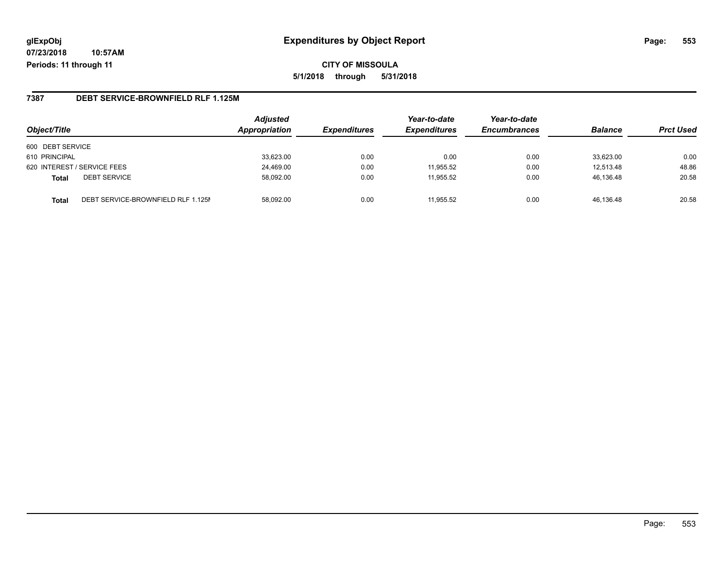### **glExpObj Expenditures by Object Report Page: 553**

**07/23/2018 10:57AM Periods: 11 through 11**

**CITY OF MISSOULA 5/1/2018 through 5/31/2018**

#### **7387 DEBT SERVICE-BROWNFIELD RLF 1.125M**

| Object/Title                                | <b>Adjusted</b><br>Appropriation | <i><b>Expenditures</b></i> | Year-to-date<br><b>Expenditures</b> | Year-to-date<br><b>Encumbrances</b> | <b>Balance</b> | <b>Prct Used</b> |
|---------------------------------------------|----------------------------------|----------------------------|-------------------------------------|-------------------------------------|----------------|------------------|
| 600 DEBT SERVICE                            |                                  |                            |                                     |                                     |                |                  |
| 610 PRINCIPAL                               | 33,623.00                        | 0.00                       | 0.00                                | 0.00                                | 33.623.00      | 0.00             |
| 620 INTEREST / SERVICE FEES                 | 24,469.00                        | 0.00                       | 11,955.52                           | 0.00                                | 12.513.48      | 48.86            |
| <b>DEBT SERVICE</b><br>Total                | 58,092.00                        | 0.00                       | 11,955.52                           | 0.00                                | 46,136.48      | 20.58            |
| DEBT SERVICE-BROWNFIELD RLF 1.125M<br>Total | 58.092.00                        | 0.00                       | 11.955.52                           | 0.00                                | 46.136.48      | 20.58            |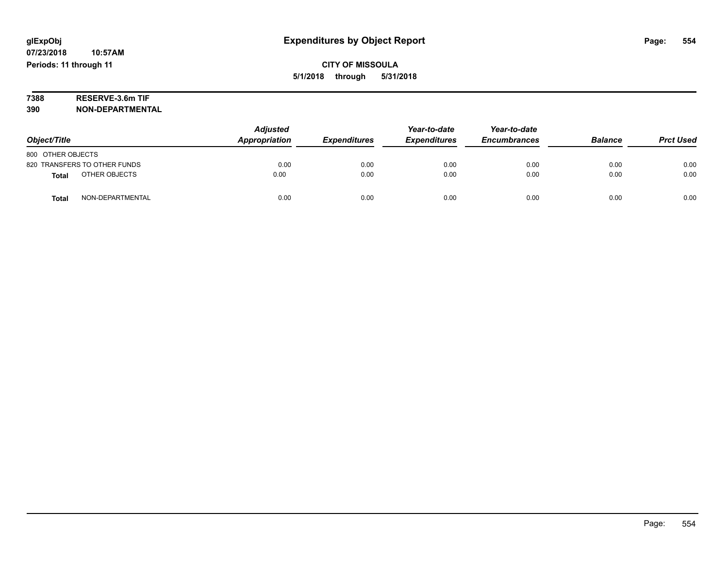#### **7388 RESERVE-3.6m TIF 390 NON-DEPARTMENTAL**

|                                  | <b>Adjusted</b> |                     | Year-to-date        | Year-to-date        |                |                  |
|----------------------------------|-----------------|---------------------|---------------------|---------------------|----------------|------------------|
| Object/Title                     | Appropriation   | <b>Expenditures</b> | <b>Expenditures</b> | <b>Encumbrances</b> | <b>Balance</b> | <b>Prct Used</b> |
| 800 OTHER OBJECTS                |                 |                     |                     |                     |                |                  |
| 820 TRANSFERS TO OTHER FUNDS     | 0.00            | 0.00                | 0.00                | 0.00                | 0.00           | 0.00             |
| OTHER OBJECTS<br><b>Total</b>    | 0.00            | 0.00                | 0.00                | 0.00                | 0.00           | 0.00             |
| NON-DEPARTMENTAL<br><b>Total</b> | 0.00            | 0.00                | 0.00                | 0.00                | 0.00           | 0.00             |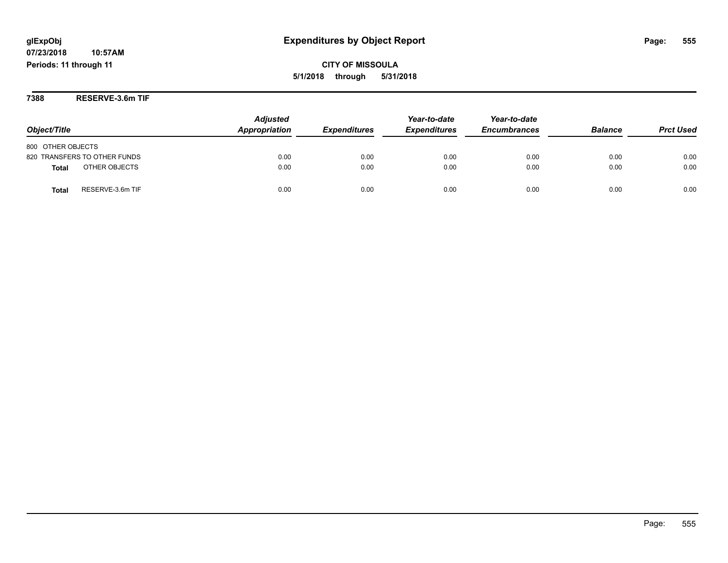# **CITY OF MISSOULA 5/1/2018 through 5/31/2018**

**7388 RESERVE-3.6m TIF**

|                               | <b>Adjusted</b> |                     | Year-to-date        | Year-to-date        |                |                  |
|-------------------------------|-----------------|---------------------|---------------------|---------------------|----------------|------------------|
| Object/Title                  | Appropriation   | <b>Expenditures</b> | <b>Expenditures</b> | <b>Encumbrances</b> | <b>Balance</b> | <b>Prct Used</b> |
| 800 OTHER OBJECTS             |                 |                     |                     |                     |                |                  |
| 820 TRANSFERS TO OTHER FUNDS  | 0.00            | 0.00                | 0.00                | 0.00                | 0.00           | 0.00             |
| OTHER OBJECTS<br><b>Total</b> | 0.00            | 0.00                | 0.00                | 0.00                | 0.00           | 0.00             |
| RESERVE-3.6m TIF<br>Total     | 0.00            | 0.00                | 0.00                | 0.00                | 0.00           | 0.00             |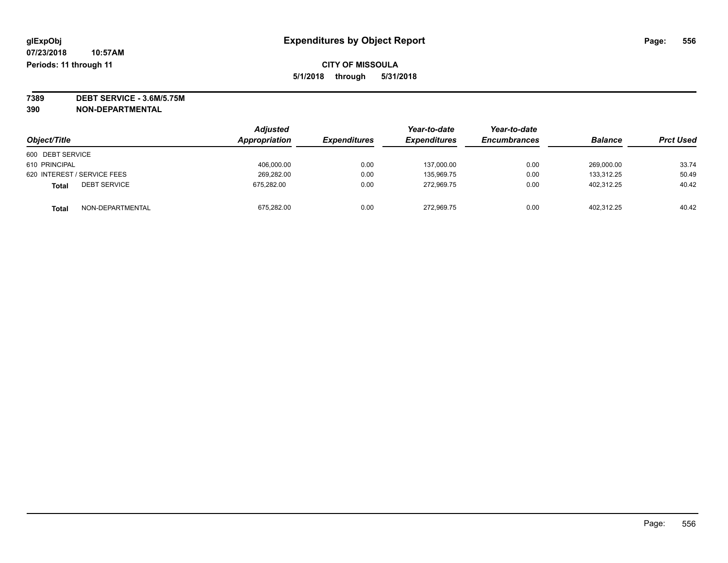**7389 DEBT SERVICE - 3.6M/5.75M**

**390 NON-DEPARTMENTAL**

|                              | <b>Adjusted</b> |                     | Year-to-date        | Year-to-date        |                |                  |
|------------------------------|-----------------|---------------------|---------------------|---------------------|----------------|------------------|
| Object/Title                 | Appropriation   | <b>Expenditures</b> | <b>Expenditures</b> | <b>Encumbrances</b> | <b>Balance</b> | <b>Prct Used</b> |
| 600 DEBT SERVICE             |                 |                     |                     |                     |                |                  |
| 610 PRINCIPAL                | 406,000.00      | 0.00                | 137,000.00          | 0.00                | 269,000.00     | 33.74            |
| 620 INTEREST / SERVICE FEES  | 269,282.00      | 0.00                | 135.969.75          | 0.00                | 133.312.25     | 50.49            |
| <b>DEBT SERVICE</b><br>Total | 675.282.00      | 0.00                | 272.969.75          | 0.00                | 402.312.25     | 40.42            |
| NON-DEPARTMENTAL<br>Total    | 675,282.00      | 0.00                | 272,969.75          | 0.00                | 402.312.25     | 40.42            |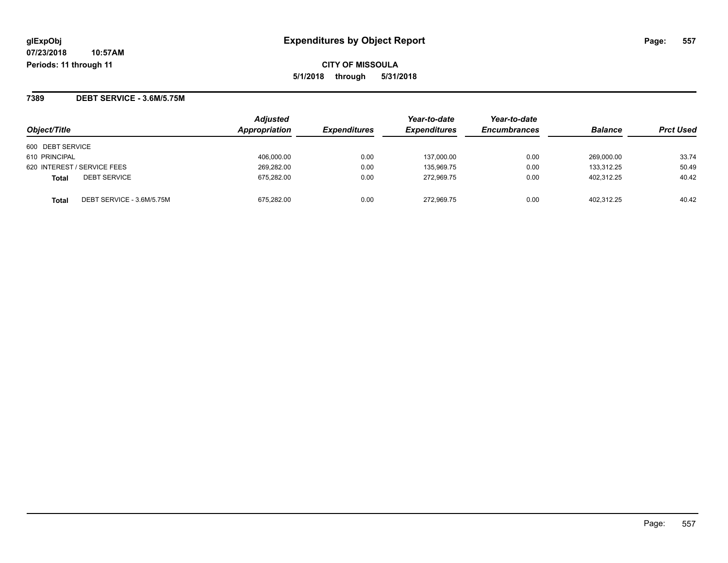**7389 DEBT SERVICE - 3.6M/5.75M**

| Object/Title                       | <b>Adjusted</b><br>Appropriation | <i><b>Expenditures</b></i> | Year-to-date<br><b>Expenditures</b> | Year-to-date<br><b>Encumbrances</b> | <b>Balance</b> | <b>Prct Used</b> |
|------------------------------------|----------------------------------|----------------------------|-------------------------------------|-------------------------------------|----------------|------------------|
| 600 DEBT SERVICE                   |                                  |                            |                                     |                                     |                |                  |
| 610 PRINCIPAL                      | 406,000.00                       | 0.00                       | 137,000.00                          | 0.00                                | 269.000.00     | 33.74            |
| 620 INTEREST / SERVICE FEES        | 269,282.00                       | 0.00                       | 135,969.75                          | 0.00                                | 133.312.25     | 50.49            |
| <b>DEBT SERVICE</b><br>Total       | 675,282.00                       | 0.00                       | 272.969.75                          | 0.00                                | 402.312.25     | 40.42            |
| DEBT SERVICE - 3.6M/5.75M<br>Total | 675.282.00                       | 0.00                       | 272.969.75                          | 0.00                                | 402.312.25     | 40.42            |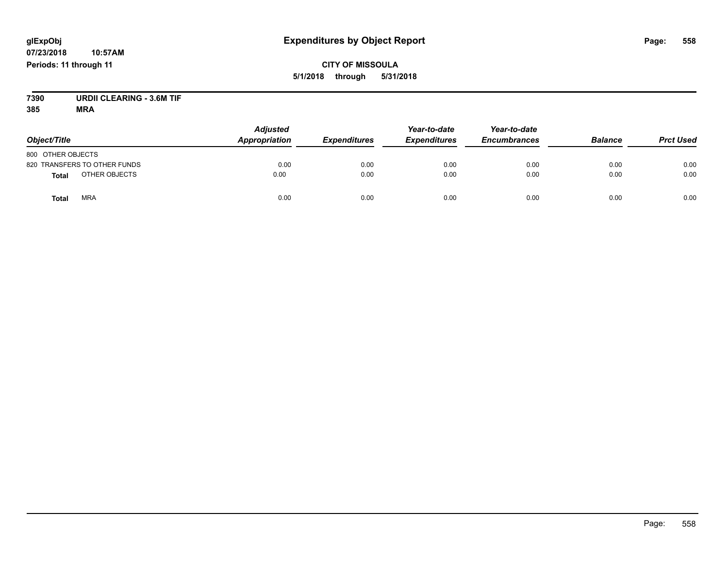**CITY OF MISSOULA 5/1/2018 through 5/31/2018**

**7390 URDII CLEARING - 3.6M TIF**

| Object/Title                  | <b>Adjusted</b><br>Appropriation | <b>Expenditures</b> | Year-to-date<br><b>Expenditures</b> | Year-to-date<br><b>Encumbrances</b> | <b>Balance</b> | <b>Prct Used</b> |
|-------------------------------|----------------------------------|---------------------|-------------------------------------|-------------------------------------|----------------|------------------|
| 800 OTHER OBJECTS             |                                  |                     |                                     |                                     |                |                  |
| 820 TRANSFERS TO OTHER FUNDS  | 0.00                             | 0.00                | 0.00                                | 0.00                                | 0.00           | 0.00             |
| OTHER OBJECTS<br><b>Total</b> | 0.00                             | 0.00                | 0.00                                | 0.00                                | 0.00           | 0.00             |
| <b>MRA</b><br>Total           | 0.00                             | 0.00                | 0.00                                | 0.00                                | 0.00           | 0.00             |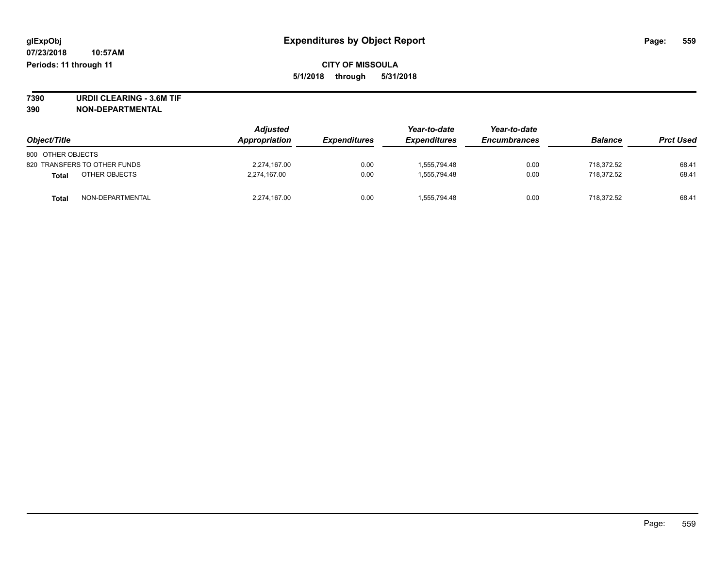**7390 URDII CLEARING - 3.6M TIF 390 NON-DEPARTMENTAL**

| Object/Title                 | <b>Adjusted</b><br>Appropriation | <b>Expenditures</b> | Year-to-date<br><b>Expenditures</b> | Year-to-date<br><b>Encumbrances</b> | <b>Balance</b> | <b>Prct Used</b> |
|------------------------------|----------------------------------|---------------------|-------------------------------------|-------------------------------------|----------------|------------------|
| 800 OTHER OBJECTS            |                                  |                     |                                     |                                     |                |                  |
| 820 TRANSFERS TO OTHER FUNDS | 2,274,167.00                     | 0.00                | 1,555,794.48                        | 0.00                                | 718.372.52     | 68.41            |
| OTHER OBJECTS<br>Total       | 2,274,167.00                     | 0.00                | 1.555.794.48                        | 0.00                                | 718.372.52     | 68.41            |
| NON-DEPARTMENTAL<br>Total    | 2,274,167.00                     | 0.00                | 1.555.794.48                        | 0.00                                | 718.372.52     | 68.41            |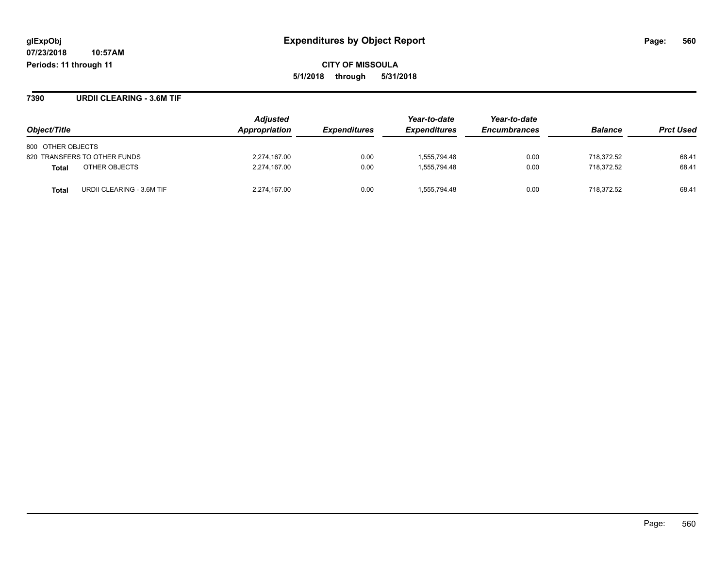**7390 URDII CLEARING - 3.6M TIF**

|                                           | <b>Adjusted</b> |                     | Year-to-date        | Year-to-date        |                |                  |
|-------------------------------------------|-----------------|---------------------|---------------------|---------------------|----------------|------------------|
| Object/Title                              | Appropriation   | <b>Expenditures</b> | <b>Expenditures</b> | <b>Encumbrances</b> | <b>Balance</b> | <b>Prct Used</b> |
| 800 OTHER OBJECTS                         |                 |                     |                     |                     |                |                  |
| 820 TRANSFERS TO OTHER FUNDS              | 2,274,167.00    | 0.00                | 1.555.794.48        | 0.00                | 718.372.52     | 68.41            |
| OTHER OBJECTS<br>Total                    | 2,274,167.00    | 0.00                | 1.555.794.48        | 0.00                | 718.372.52     | 68.41            |
| URDII CLEARING - 3.6M TIF<br><b>Total</b> | 2,274,167.00    | 0.00                | 1.555.794.48        | 0.00                | 718.372.52     | 68.41            |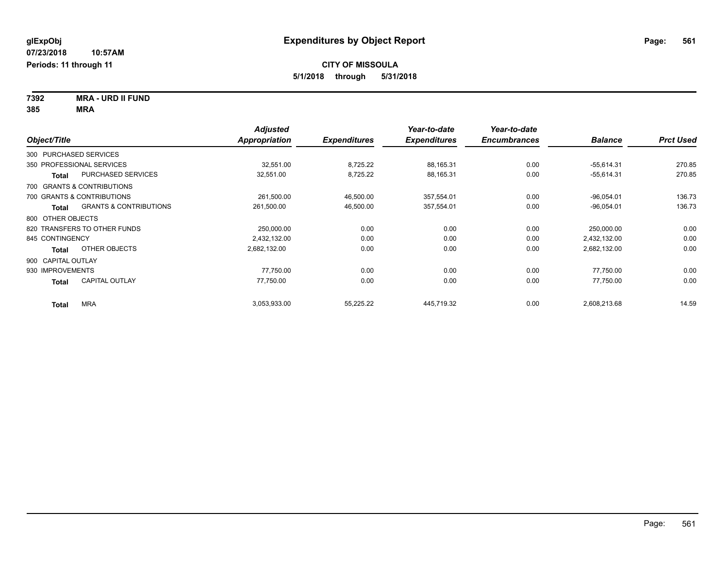**7392 MRA - URD II FUND 385 MRA**

|                    |                                   | <b>Adjusted</b> |                     | Year-to-date        | Year-to-date        |                |                  |
|--------------------|-----------------------------------|-----------------|---------------------|---------------------|---------------------|----------------|------------------|
| Object/Title       |                                   | Appropriation   | <b>Expenditures</b> | <b>Expenditures</b> | <b>Encumbrances</b> | <b>Balance</b> | <b>Prct Used</b> |
|                    | 300 PURCHASED SERVICES            |                 |                     |                     |                     |                |                  |
|                    | 350 PROFESSIONAL SERVICES         | 32,551.00       | 8,725.22            | 88,165.31           | 0.00                | $-55,614.31$   | 270.85           |
| Total              | <b>PURCHASED SERVICES</b>         | 32,551.00       | 8,725.22            | 88,165.31           | 0.00                | $-55,614.31$   | 270.85           |
|                    | 700 GRANTS & CONTRIBUTIONS        |                 |                     |                     |                     |                |                  |
|                    | 700 GRANTS & CONTRIBUTIONS        | 261.500.00      | 46,500.00           | 357,554.01          | 0.00                | $-96,054.01$   | 136.73           |
| Total              | <b>GRANTS &amp; CONTRIBUTIONS</b> | 261,500.00      | 46,500.00           | 357,554.01          | 0.00                | $-96,054.01$   | 136.73           |
| 800 OTHER OBJECTS  |                                   |                 |                     |                     |                     |                |                  |
|                    | 820 TRANSFERS TO OTHER FUNDS      | 250,000.00      | 0.00                | 0.00                | 0.00                | 250,000.00     | 0.00             |
| 845 CONTINGENCY    |                                   | 2,432,132.00    | 0.00                | 0.00                | 0.00                | 2,432,132.00   | 0.00             |
| <b>Total</b>       | OTHER OBJECTS                     | 2,682,132.00    | 0.00                | 0.00                | 0.00                | 2,682,132.00   | 0.00             |
| 900 CAPITAL OUTLAY |                                   |                 |                     |                     |                     |                |                  |
| 930 IMPROVEMENTS   |                                   | 77,750.00       | 0.00                | 0.00                | 0.00                | 77,750.00      | 0.00             |
| Total              | <b>CAPITAL OUTLAY</b>             | 77,750.00       | 0.00                | 0.00                | 0.00                | 77,750.00      | 0.00             |
| <b>Total</b>       | <b>MRA</b>                        | 3,053,933.00    | 55,225.22           | 445,719.32          | 0.00                | 2,608,213.68   | 14.59            |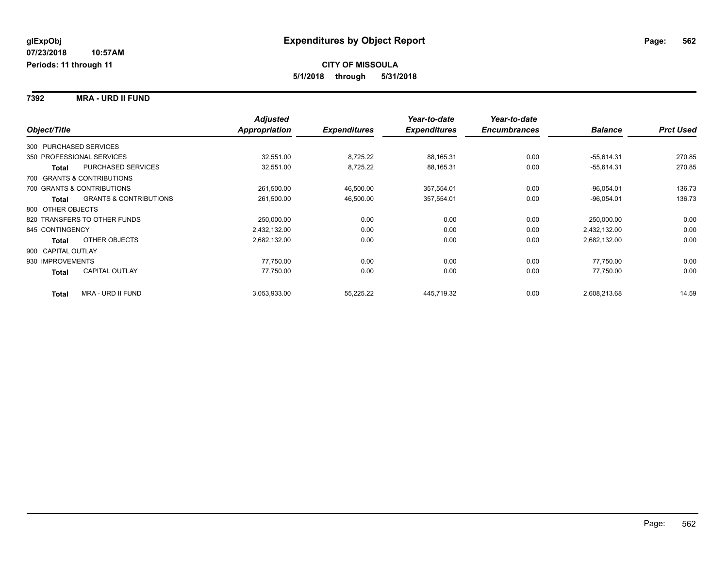#### **7392 MRA - URD II FUND**

|                        |                                   | <b>Adjusted</b> |                     | Year-to-date        | Year-to-date        |                |                  |
|------------------------|-----------------------------------|-----------------|---------------------|---------------------|---------------------|----------------|------------------|
| Object/Title           |                                   | Appropriation   | <b>Expenditures</b> | <b>Expenditures</b> | <b>Encumbrances</b> | <b>Balance</b> | <b>Prct Used</b> |
| 300 PURCHASED SERVICES |                                   |                 |                     |                     |                     |                |                  |
|                        | 350 PROFESSIONAL SERVICES         | 32,551.00       | 8,725.22            | 88,165.31           | 0.00                | $-55,614.31$   | 270.85           |
| Total                  | <b>PURCHASED SERVICES</b>         | 32,551.00       | 8,725.22            | 88,165.31           | 0.00                | $-55,614.31$   | 270.85           |
|                        | 700 GRANTS & CONTRIBUTIONS        |                 |                     |                     |                     |                |                  |
|                        | 700 GRANTS & CONTRIBUTIONS        | 261,500.00      | 46,500.00           | 357,554.01          | 0.00                | $-96,054.01$   | 136.73           |
| Total                  | <b>GRANTS &amp; CONTRIBUTIONS</b> | 261,500.00      | 46,500.00           | 357,554.01          | 0.00                | $-96,054.01$   | 136.73           |
| 800 OTHER OBJECTS      |                                   |                 |                     |                     |                     |                |                  |
|                        | 820 TRANSFERS TO OTHER FUNDS      | 250,000.00      | 0.00                | 0.00                | 0.00                | 250,000.00     | 0.00             |
| 845 CONTINGENCY        |                                   | 2,432,132.00    | 0.00                | 0.00                | 0.00                | 2,432,132.00   | 0.00             |
| Total                  | OTHER OBJECTS                     | 2,682,132.00    | 0.00                | 0.00                | 0.00                | 2,682,132.00   | 0.00             |
| 900 CAPITAL OUTLAY     |                                   |                 |                     |                     |                     |                |                  |
| 930 IMPROVEMENTS       |                                   | 77,750.00       | 0.00                | 0.00                | 0.00                | 77.750.00      | 0.00             |
| <b>Total</b>           | <b>CAPITAL OUTLAY</b>             | 77,750.00       | 0.00                | 0.00                | 0.00                | 77,750.00      | 0.00             |
| <b>Total</b>           | <b>MRA - URD II FUND</b>          | 3,053,933.00    | 55,225.22           | 445,719.32          | 0.00                | 2,608,213.68   | 14.59            |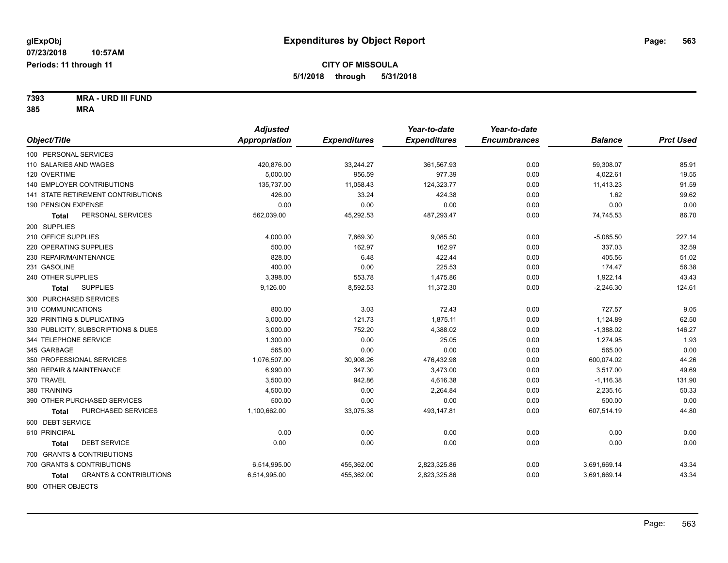**7393 MRA - URD III FUND 385 MRA**

|                                            | <b>Adjusted</b>      |                     | Year-to-date        | Year-to-date        |                |                  |
|--------------------------------------------|----------------------|---------------------|---------------------|---------------------|----------------|------------------|
| Object/Title                               | <b>Appropriation</b> | <b>Expenditures</b> | <b>Expenditures</b> | <b>Encumbrances</b> | <b>Balance</b> | <b>Prct Used</b> |
| 100 PERSONAL SERVICES                      |                      |                     |                     |                     |                |                  |
| 110 SALARIES AND WAGES                     | 420,876.00           | 33,244.27           | 361,567.93          | 0.00                | 59,308.07      | 85.91            |
| 120 OVERTIME                               | 5.000.00             | 956.59              | 977.39              | 0.00                | 4,022.61       | 19.55            |
| 140 EMPLOYER CONTRIBUTIONS                 | 135,737.00           | 11,058.43           | 124,323.77          | 0.00                | 11,413.23      | 91.59            |
| <b>141 STATE RETIREMENT CONTRIBUTIONS</b>  | 426.00               | 33.24               | 424.38              | 0.00                | 1.62           | 99.62            |
| 190 PENSION EXPENSE                        | 0.00                 | 0.00                | 0.00                | 0.00                | 0.00           | 0.00             |
| PERSONAL SERVICES<br>Total                 | 562,039.00           | 45,292.53           | 487,293.47          | 0.00                | 74,745.53      | 86.70            |
| 200 SUPPLIES                               |                      |                     |                     |                     |                |                  |
| 210 OFFICE SUPPLIES                        | 4,000.00             | 7,869.30            | 9,085.50            | 0.00                | $-5,085.50$    | 227.14           |
| 220 OPERATING SUPPLIES                     | 500.00               | 162.97              | 162.97              | 0.00                | 337.03         | 32.59            |
| 230 REPAIR/MAINTENANCE                     | 828.00               | 6.48                | 422.44              | 0.00                | 405.56         | 51.02            |
| 231 GASOLINE                               | 400.00               | 0.00                | 225.53              | 0.00                | 174.47         | 56.38            |
| 240 OTHER SUPPLIES                         | 3,398.00             | 553.78              | 1,475.86            | 0.00                | 1,922.14       | 43.43            |
| <b>SUPPLIES</b><br>Total                   | 9,126.00             | 8,592.53            | 11,372.30           | 0.00                | $-2,246.30$    | 124.61           |
| 300 PURCHASED SERVICES                     |                      |                     |                     |                     |                |                  |
| 310 COMMUNICATIONS                         | 800.00               | 3.03                | 72.43               | 0.00                | 727.57         | 9.05             |
| 320 PRINTING & DUPLICATING                 | 3,000.00             | 121.73              | 1,875.11            | 0.00                | 1,124.89       | 62.50            |
| 330 PUBLICITY, SUBSCRIPTIONS & DUES        | 3,000.00             | 752.20              | 4,388.02            | 0.00                | $-1,388.02$    | 146.27           |
| 344 TELEPHONE SERVICE                      | 1,300.00             | 0.00                | 25.05               | 0.00                | 1,274.95       | 1.93             |
| 345 GARBAGE                                | 565.00               | 0.00                | 0.00                | 0.00                | 565.00         | 0.00             |
| 350 PROFESSIONAL SERVICES                  | 1,076,507.00         | 30,908.26           | 476,432.98          | 0.00                | 600,074.02     | 44.26            |
| 360 REPAIR & MAINTENANCE                   | 6,990.00             | 347.30              | 3,473.00            | 0.00                | 3,517.00       | 49.69            |
| 370 TRAVEL                                 | 3,500.00             | 942.86              | 4,616.38            | 0.00                | $-1,116.38$    | 131.90           |
| 380 TRAINING                               | 4,500.00             | 0.00                | 2,264.84            | 0.00                | 2,235.16       | 50.33            |
| 390 OTHER PURCHASED SERVICES               | 500.00               | 0.00                | 0.00                | 0.00                | 500.00         | 0.00             |
| PURCHASED SERVICES<br><b>Total</b>         | 1,100,662.00         | 33,075.38           | 493,147.81          | 0.00                | 607,514.19     | 44.80            |
| 600 DEBT SERVICE                           |                      |                     |                     |                     |                |                  |
| 610 PRINCIPAL                              | 0.00                 | 0.00                | 0.00                | 0.00                | 0.00           | 0.00             |
| <b>DEBT SERVICE</b><br>Total               | 0.00                 | 0.00                | 0.00                | 0.00                | 0.00           | 0.00             |
| 700 GRANTS & CONTRIBUTIONS                 |                      |                     |                     |                     |                |                  |
| 700 GRANTS & CONTRIBUTIONS                 | 6,514,995.00         | 455,362.00          | 2,823,325.86        | 0.00                | 3,691,669.14   | 43.34            |
| <b>GRANTS &amp; CONTRIBUTIONS</b><br>Total | 6,514,995.00         | 455,362.00          | 2,823,325.86        | 0.00                | 3,691,669.14   | 43.34            |
| 800 OTHER OBJECTS                          |                      |                     |                     |                     |                |                  |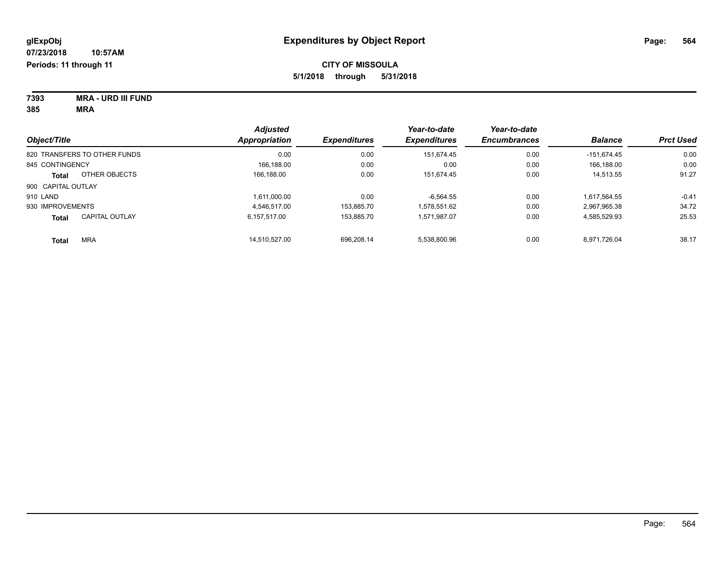| 7393 | <b>MRA - URD III FUND</b> |
|------|---------------------------|
| 385  | MRA                       |

|                    |                              | <b>Adjusted</b> |                     | Year-to-date        | Year-to-date        |                |                  |
|--------------------|------------------------------|-----------------|---------------------|---------------------|---------------------|----------------|------------------|
| Object/Title       |                              | Appropriation   | <b>Expenditures</b> | <b>Expenditures</b> | <b>Encumbrances</b> | <b>Balance</b> | <b>Prct Used</b> |
|                    | 820 TRANSFERS TO OTHER FUNDS | 0.00            | 0.00                | 151.674.45          | 0.00                | $-151.674.45$  | 0.00             |
| 845 CONTINGENCY    |                              | 166.188.00      | 0.00                | 0.00                | 0.00                | 166.188.00     | 0.00             |
| Total              | OTHER OBJECTS                | 166.188.00      | 0.00                | 151.674.45          | 0.00                | 14.513.55      | 91.27            |
| 900 CAPITAL OUTLAY |                              |                 |                     |                     |                     |                |                  |
| 910 LAND           |                              | 1.611.000.00    | 0.00                | $-6.564.55$         | 0.00                | 1.617.564.55   | $-0.41$          |
| 930 IMPROVEMENTS   |                              | 4.546.517.00    | 153.885.70          | 1.578.551.62        | 0.00                | 2,967,965.38   | 34.72            |
| <b>Total</b>       | <b>CAPITAL OUTLAY</b>        | 6.157.517.00    | 153.885.70          | 1,571,987.07        | 0.00                | 4,585,529.93   | 25.53            |
| <b>Total</b>       | <b>MRA</b>                   | 14.510.527.00   | 696.208.14          | 5.538.800.96        | 0.00                | 8.971.726.04   | 38.17            |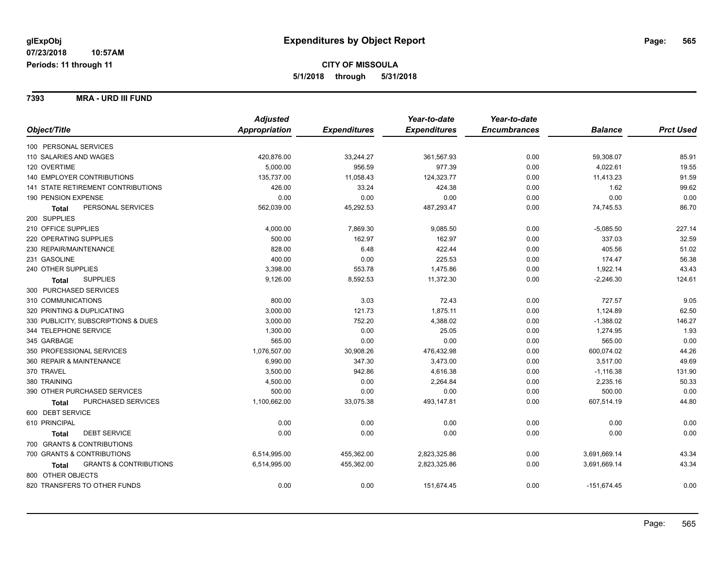**7393 MRA - URD III FUND**

|                                            | <b>Adjusted</b> |                     | Year-to-date        | Year-to-date        |                |                  |
|--------------------------------------------|-----------------|---------------------|---------------------|---------------------|----------------|------------------|
| Object/Title                               | Appropriation   | <b>Expenditures</b> | <b>Expenditures</b> | <b>Encumbrances</b> | <b>Balance</b> | <b>Prct Used</b> |
| 100 PERSONAL SERVICES                      |                 |                     |                     |                     |                |                  |
| 110 SALARIES AND WAGES                     | 420,876.00      | 33,244.27           | 361,567.93          | 0.00                | 59,308.07      | 85.91            |
| 120 OVERTIME                               | 5,000.00        | 956.59              | 977.39              | 0.00                | 4,022.61       | 19.55            |
| 140 EMPLOYER CONTRIBUTIONS                 | 135,737.00      | 11,058.43           | 124,323.77          | 0.00                | 11,413.23      | 91.59            |
| <b>141 STATE RETIREMENT CONTRIBUTIONS</b>  | 426.00          | 33.24               | 424.38              | 0.00                | 1.62           | 99.62            |
| 190 PENSION EXPENSE                        | 0.00            | 0.00                | 0.00                | 0.00                | 0.00           | 0.00             |
| PERSONAL SERVICES<br><b>Total</b>          | 562,039.00      | 45,292.53           | 487,293.47          | 0.00                | 74,745.53      | 86.70            |
| 200 SUPPLIES                               |                 |                     |                     |                     |                |                  |
| 210 OFFICE SUPPLIES                        | 4,000.00        | 7,869.30            | 9,085.50            | 0.00                | $-5,085.50$    | 227.14           |
| 220 OPERATING SUPPLIES                     | 500.00          | 162.97              | 162.97              | 0.00                | 337.03         | 32.59            |
| 230 REPAIR/MAINTENANCE                     | 828.00          | 6.48                | 422.44              | 0.00                | 405.56         | 51.02            |
| 231 GASOLINE                               | 400.00          | 0.00                | 225.53              | 0.00                | 174.47         | 56.38            |
| 240 OTHER SUPPLIES                         | 3,398.00        | 553.78              | 1,475.86            | 0.00                | 1,922.14       | 43.43            |
| <b>SUPPLIES</b><br><b>Total</b>            | 9,126.00        | 8,592.53            | 11,372.30           | 0.00                | $-2,246.30$    | 124.61           |
| 300 PURCHASED SERVICES                     |                 |                     |                     |                     |                |                  |
| 310 COMMUNICATIONS                         | 800.00          | 3.03                | 72.43               | 0.00                | 727.57         | 9.05             |
| 320 PRINTING & DUPLICATING                 | 3,000.00        | 121.73              | 1,875.11            | 0.00                | 1,124.89       | 62.50            |
| 330 PUBLICITY, SUBSCRIPTIONS & DUES        | 3,000.00        | 752.20              | 4,388.02            | 0.00                | $-1,388.02$    | 146.27           |
| 344 TELEPHONE SERVICE                      | 1,300.00        | 0.00                | 25.05               | 0.00                | 1,274.95       | 1.93             |
| 345 GARBAGE                                | 565.00          | 0.00                | 0.00                | 0.00                | 565.00         | 0.00             |
| 350 PROFESSIONAL SERVICES                  | 1,076,507.00    | 30,908.26           | 476,432.98          | 0.00                | 600,074.02     | 44.26            |
| 360 REPAIR & MAINTENANCE                   | 6,990.00        | 347.30              | 3,473.00            | 0.00                | 3,517.00       | 49.69            |
| 370 TRAVEL                                 | 3,500.00        | 942.86              | 4,616.38            | 0.00                | $-1,116.38$    | 131.90           |
| 380 TRAINING                               | 4,500.00        | 0.00                | 2,264.84            | 0.00                | 2,235.16       | 50.33            |
| 390 OTHER PURCHASED SERVICES               | 500.00          | 0.00                | 0.00                | 0.00                | 500.00         | 0.00             |
| PURCHASED SERVICES<br><b>Total</b>         | 1,100,662.00    | 33,075.38           | 493,147.81          | 0.00                | 607,514.19     | 44.80            |
| 600 DEBT SERVICE                           |                 |                     |                     |                     |                |                  |
| 610 PRINCIPAL                              | 0.00            | 0.00                | 0.00                | 0.00                | 0.00           | 0.00             |
| <b>DEBT SERVICE</b><br>Total               | 0.00            | 0.00                | 0.00                | 0.00                | 0.00           | 0.00             |
| 700 GRANTS & CONTRIBUTIONS                 |                 |                     |                     |                     |                |                  |
| 700 GRANTS & CONTRIBUTIONS                 | 6,514,995.00    | 455,362.00          | 2,823,325.86        | 0.00                | 3,691,669.14   | 43.34            |
| <b>GRANTS &amp; CONTRIBUTIONS</b><br>Total | 6,514,995.00    | 455,362.00          | 2,823,325.86        | 0.00                | 3,691,669.14   | 43.34            |
| 800 OTHER OBJECTS                          |                 |                     |                     |                     |                |                  |
| 820 TRANSFERS TO OTHER FUNDS               | 0.00            | 0.00                | 151,674.45          | 0.00                | $-151,674.45$  | 0.00             |
|                                            |                 |                     |                     |                     |                |                  |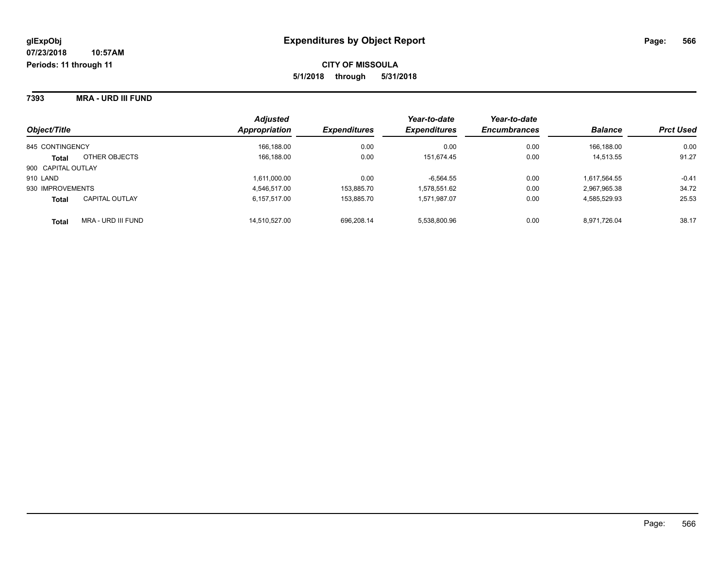**7393 MRA - URD III FUND**

| Object/Title       |                       | <b>Adjusted</b><br>Appropriation | <b>Expenditures</b> | Year-to-date<br><b>Expenditures</b> | Year-to-date<br><b>Encumbrances</b> | <b>Balance</b> | <b>Prct Used</b> |
|--------------------|-----------------------|----------------------------------|---------------------|-------------------------------------|-------------------------------------|----------------|------------------|
| 845 CONTINGENCY    |                       | 166,188.00                       | 0.00                | 0.00                                | 0.00                                | 166.188.00     | 0.00             |
| <b>Total</b>       | OTHER OBJECTS         | 166,188.00                       | 0.00                | 151,674.45                          | 0.00                                | 14,513.55      | 91.27            |
| 900 CAPITAL OUTLAY |                       |                                  |                     |                                     |                                     |                |                  |
| 910 LAND           |                       | 1,611,000.00                     | 0.00                | $-6,564.55$                         | 0.00                                | 1,617,564.55   | $-0.41$          |
| 930 IMPROVEMENTS   |                       | 4,546,517.00                     | 153,885.70          | 1,578,551.62                        | 0.00                                | 2,967,965.38   | 34.72            |
| <b>Total</b>       | <b>CAPITAL OUTLAY</b> | 6.157.517.00                     | 153,885.70          | 1,571,987.07                        | 0.00                                | 4,585,529.93   | 25.53            |
| <b>Total</b>       | MRA - URD III FUND    | 14,510,527.00                    | 696,208.14          | 5,538,800.96                        | 0.00                                | 8,971,726.04   | 38.17            |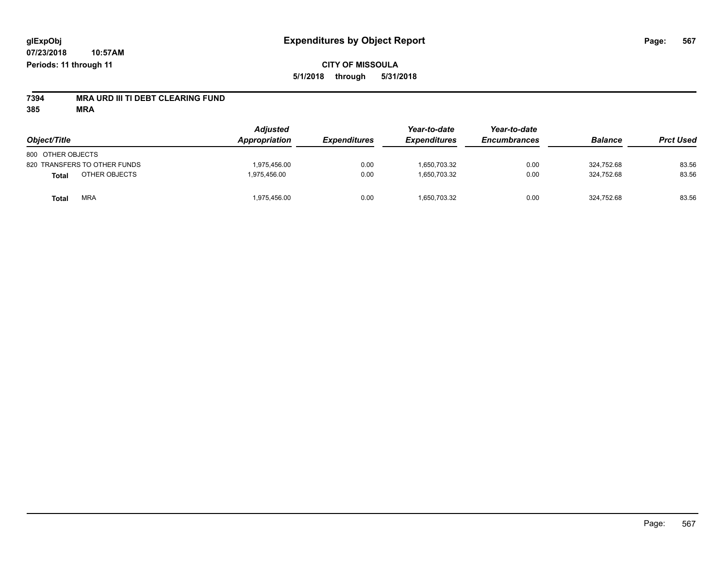# **CITY OF MISSOULA 5/1/2018 through 5/31/2018**

# **7394 MRA URD III TI DEBT CLEARING FUND**

| Object/Title                  | <b>Adjusted</b><br>Appropriation | <b>Expenditures</b> | Year-to-date<br><b>Expenditures</b> | Year-to-date<br><b>Encumbrances</b> | <b>Balance</b> | <b>Prct Used</b> |
|-------------------------------|----------------------------------|---------------------|-------------------------------------|-------------------------------------|----------------|------------------|
| 800 OTHER OBJECTS             |                                  |                     |                                     |                                     |                |                  |
| 820 TRANSFERS TO OTHER FUNDS  | 975,456.00                       | 0.00                | 1,650,703.32                        | 0.00                                | 324,752.68     | 83.56            |
| OTHER OBJECTS<br><b>Total</b> | 1,975,456.00                     | 0.00                | 1,650,703.32                        | 0.00                                | 324.752.68     | 83.56            |
| <b>MRA</b><br><b>Total</b>    | 975,456.00                       | 0.00                | 1,650,703.32                        | 0.00                                | 324,752.68     | 83.56            |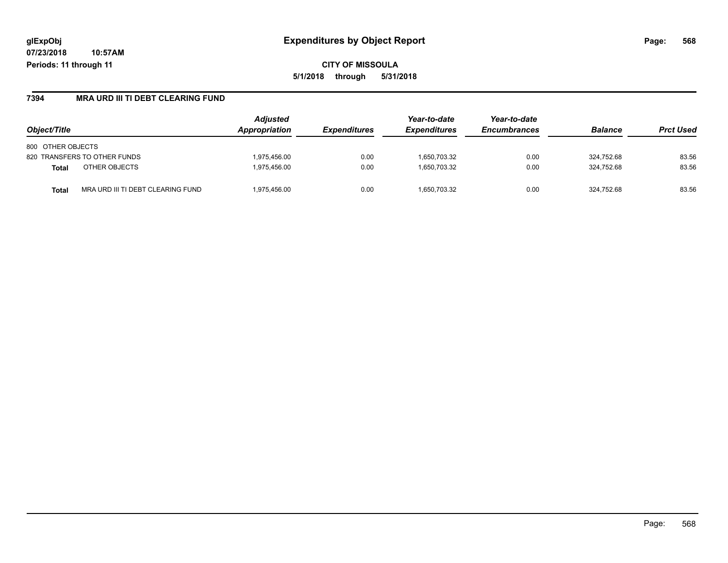**CITY OF MISSOULA 5/1/2018 through 5/31/2018**

#### **7394 MRA URD III TI DEBT CLEARING FUND**

| Object/Title                               | <b>Adjusted</b><br>Appropriation | <i><b>Expenditures</b></i> | Year-to-date<br><b>Expenditures</b> | Year-to-date<br><b>Encumbrances</b> | <b>Balance</b> | <b>Prct Used</b> |
|--------------------------------------------|----------------------------------|----------------------------|-------------------------------------|-------------------------------------|----------------|------------------|
| 800 OTHER OBJECTS                          |                                  |                            |                                     |                                     |                |                  |
| 820 TRANSFERS TO OTHER FUNDS               | 1.975.456.00                     | 0.00                       | 1,650,703.32                        | 0.00                                | 324.752.68     | 83.56            |
| OTHER OBJECTS<br><b>Total</b>              | 1.975.456.00                     | 0.00                       | 1.650.703.32                        | 0.00                                | 324.752.68     | 83.56            |
| MRA URD III TI DEBT CLEARING FUND<br>Total | 1.975.456.00                     | 0.00                       | 1,650,703.32                        | 0.00                                | 324.752.68     | 83.56            |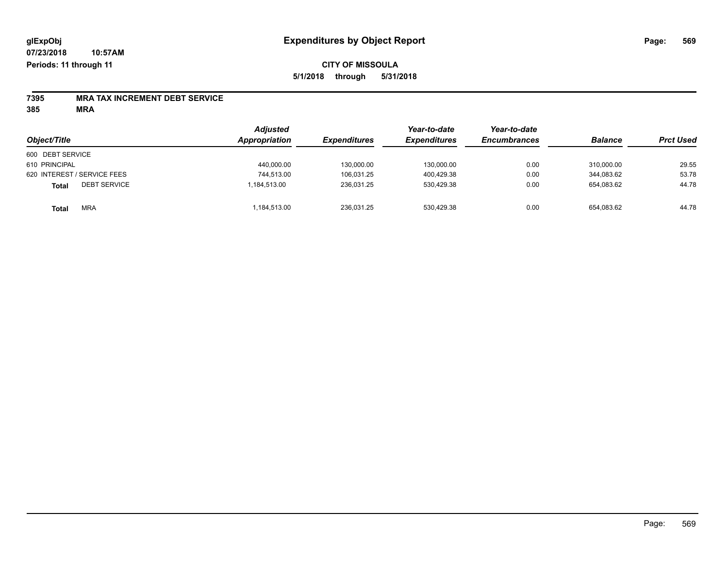# **CITY OF MISSOULA 5/1/2018 through 5/31/2018**

# **7395 MRA TAX INCREMENT DEBT SERVICE**

|                                     | <b>Adjusted</b><br>Appropriation | <b>Expenditures</b> | Year-to-date<br><b>Expenditures</b> | Year-to-date        | <b>Balance</b> |                  |
|-------------------------------------|----------------------------------|---------------------|-------------------------------------|---------------------|----------------|------------------|
| Object/Title                        |                                  |                     |                                     | <b>Encumbrances</b> |                | <b>Prct Used</b> |
| 600 DEBT SERVICE                    |                                  |                     |                                     |                     |                |                  |
| 610 PRINCIPAL                       | 440,000.00                       | 130,000.00          | 130,000.00                          | 0.00                | 310.000.00     | 29.55            |
| 620 INTEREST / SERVICE FEES         | 744.513.00                       | 106.031.25          | 400.429.38                          | 0.00                | 344.083.62     | 53.78            |
| <b>DEBT SERVICE</b><br><b>Total</b> | 1.184.513.00                     | 236.031.25          | 530,429.38                          | 0.00                | 654.083.62     | 44.78            |
| <b>MRA</b><br><b>Total</b>          | 1,184,513.00                     | 236.031.25          | 530.429.38                          | 0.00                | 654.083.62     | 44.78            |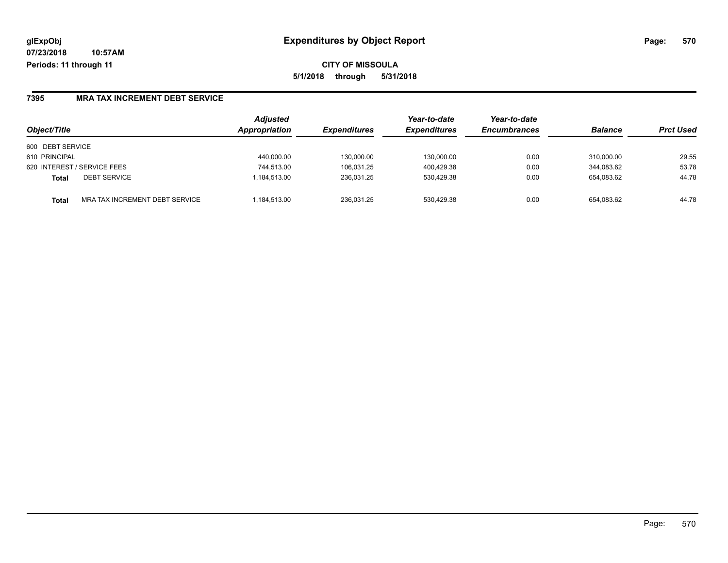**CITY OF MISSOULA 5/1/2018 through 5/31/2018**

#### **7395 MRA TAX INCREMENT DEBT SERVICE**

| Object/Title                                   | <b>Adjusted</b><br>Appropriation | <i><b>Expenditures</b></i> | Year-to-date<br><b>Expenditures</b> | Year-to-date<br><b>Encumbrances</b> | <b>Balance</b> | <b>Prct Used</b> |
|------------------------------------------------|----------------------------------|----------------------------|-------------------------------------|-------------------------------------|----------------|------------------|
| 600 DEBT SERVICE                               |                                  |                            |                                     |                                     |                |                  |
| 610 PRINCIPAL                                  | 440,000.00                       | 130.000.00                 | 130.000.00                          | 0.00                                | 310.000.00     | 29.55            |
| 620 INTEREST / SERVICE FEES                    | 744,513.00                       | 106,031.25                 | 400,429.38                          | 0.00                                | 344,083.62     | 53.78            |
| <b>DEBT SERVICE</b><br><b>Total</b>            | .184.513.00                      | 236.031.25                 | 530.429.38                          | 0.00                                | 654.083.62     | 44.78            |
| MRA TAX INCREMENT DEBT SERVICE<br><b>Total</b> | .184.513.00                      | 236.031.25                 | 530.429.38                          | 0.00                                | 654.083.62     | 44.78            |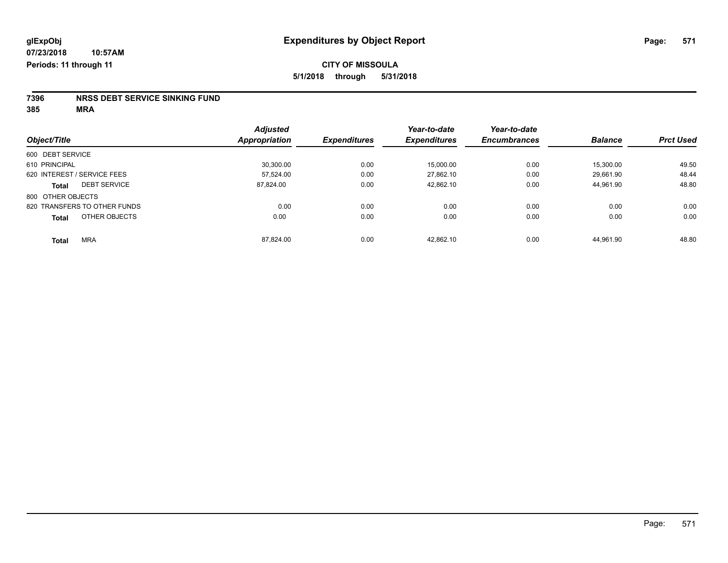# **CITY OF MISSOULA 5/1/2018 through 5/31/2018**

# **7396 NRSS DEBT SERVICE SINKING FUND**

|                               | <b>Adjusted</b> |                     | Year-to-date        | Year-to-date        |                |                  |
|-------------------------------|-----------------|---------------------|---------------------|---------------------|----------------|------------------|
| Object/Title                  | Appropriation   | <b>Expenditures</b> | <b>Expenditures</b> | <b>Encumbrances</b> | <b>Balance</b> | <b>Prct Used</b> |
| 600 DEBT SERVICE              |                 |                     |                     |                     |                |                  |
| 610 PRINCIPAL                 | 30.300.00       | 0.00                | 15.000.00           | 0.00                | 15.300.00      | 49.50            |
| 620 INTEREST / SERVICE FEES   | 57.524.00       | 0.00                | 27.862.10           | 0.00                | 29.661.90      | 48.44            |
| <b>DEBT SERVICE</b><br>Total  | 87,824.00       | 0.00                | 42,862.10           | 0.00                | 44,961.90      | 48.80            |
| 800 OTHER OBJECTS             |                 |                     |                     |                     |                |                  |
| 820 TRANSFERS TO OTHER FUNDS  | 0.00            | 0.00                | 0.00                | 0.00                | 0.00           | 0.00             |
| OTHER OBJECTS<br><b>Total</b> | 0.00            | 0.00                | 0.00                | 0.00                | 0.00           | 0.00             |
| <b>MRA</b><br><b>Total</b>    | 87.824.00       | 0.00                | 42.862.10           | 0.00                | 44.961.90      | 48.80            |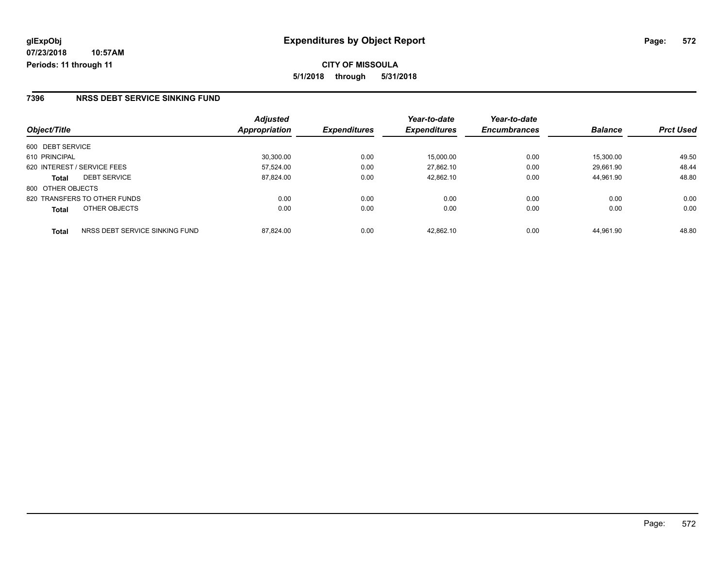**CITY OF MISSOULA 5/1/2018 through 5/31/2018**

#### **7396 NRSS DEBT SERVICE SINKING FUND**

|                                                | <b>Adjusted</b>      |                     | Year-to-date        | Year-to-date        |                |                  |
|------------------------------------------------|----------------------|---------------------|---------------------|---------------------|----------------|------------------|
| Object/Title                                   | <b>Appropriation</b> | <b>Expenditures</b> | <b>Expenditures</b> | <b>Encumbrances</b> | <b>Balance</b> | <b>Prct Used</b> |
| 600 DEBT SERVICE                               |                      |                     |                     |                     |                |                  |
| 610 PRINCIPAL                                  | 30.300.00            | 0.00                | 15.000.00           | 0.00                | 15.300.00      | 49.50            |
| 620 INTEREST / SERVICE FEES                    | 57.524.00            | 0.00                | 27.862.10           | 0.00                | 29.661.90      | 48.44            |
| <b>DEBT SERVICE</b><br>Total                   | 87,824.00            | 0.00                | 42.862.10           | 0.00                | 44,961.90      | 48.80            |
| 800 OTHER OBJECTS                              |                      |                     |                     |                     |                |                  |
| 820 TRANSFERS TO OTHER FUNDS                   | 0.00                 | 0.00                | 0.00                | 0.00                | 0.00           | 0.00             |
| OTHER OBJECTS<br><b>Total</b>                  | 0.00                 | 0.00                | 0.00                | 0.00                | 0.00           | 0.00             |
| NRSS DEBT SERVICE SINKING FUND<br><b>Total</b> | 87.824.00            | 0.00                | 42.862.10           | 0.00                | 44.961.90      | 48.80            |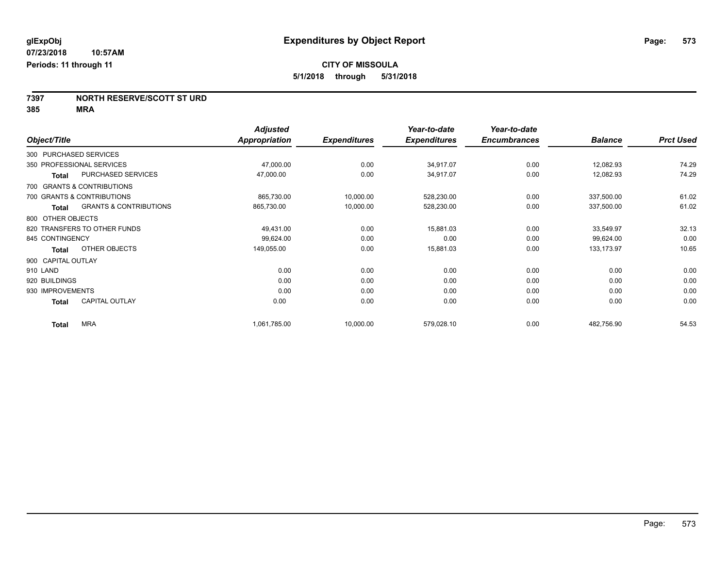**7397 NORTH RESERVE/SCOTT ST URD**

|                        |                                   | <b>Adjusted</b> |                     | Year-to-date        | Year-to-date        |                |                  |
|------------------------|-----------------------------------|-----------------|---------------------|---------------------|---------------------|----------------|------------------|
| Object/Title           |                                   | Appropriation   | <b>Expenditures</b> | <b>Expenditures</b> | <b>Encumbrances</b> | <b>Balance</b> | <b>Prct Used</b> |
| 300 PURCHASED SERVICES |                                   |                 |                     |                     |                     |                |                  |
|                        | 350 PROFESSIONAL SERVICES         | 47,000.00       | 0.00                | 34,917.07           | 0.00                | 12,082.93      | 74.29            |
| <b>Total</b>           | PURCHASED SERVICES                | 47,000.00       | 0.00                | 34,917.07           | 0.00                | 12,082.93      | 74.29            |
|                        | 700 GRANTS & CONTRIBUTIONS        |                 |                     |                     |                     |                |                  |
|                        | 700 GRANTS & CONTRIBUTIONS        | 865,730.00      | 10,000.00           | 528,230.00          | 0.00                | 337,500.00     | 61.02            |
| <b>Total</b>           | <b>GRANTS &amp; CONTRIBUTIONS</b> | 865,730.00      | 10,000.00           | 528,230.00          | 0.00                | 337,500.00     | 61.02            |
| 800 OTHER OBJECTS      |                                   |                 |                     |                     |                     |                |                  |
|                        | 820 TRANSFERS TO OTHER FUNDS      | 49,431.00       | 0.00                | 15,881.03           | 0.00                | 33,549.97      | 32.13            |
| 845 CONTINGENCY        |                                   | 99,624.00       | 0.00                | 0.00                | 0.00                | 99,624.00      | 0.00             |
| <b>Total</b>           | OTHER OBJECTS                     | 149,055.00      | 0.00                | 15,881.03           | 0.00                | 133,173.97     | 10.65            |
| 900 CAPITAL OUTLAY     |                                   |                 |                     |                     |                     |                |                  |
| 910 LAND               |                                   | 0.00            | 0.00                | 0.00                | 0.00                | 0.00           | 0.00             |
| 920 BUILDINGS          |                                   | 0.00            | 0.00                | 0.00                | 0.00                | 0.00           | 0.00             |
| 930 IMPROVEMENTS       |                                   | 0.00            | 0.00                | 0.00                | 0.00                | 0.00           | 0.00             |
| <b>Total</b>           | <b>CAPITAL OUTLAY</b>             | 0.00            | 0.00                | 0.00                | 0.00                | 0.00           | 0.00             |
| <b>Total</b>           | <b>MRA</b>                        | 1,061,785.00    | 10,000.00           | 579,028.10          | 0.00                | 482,756.90     | 54.53            |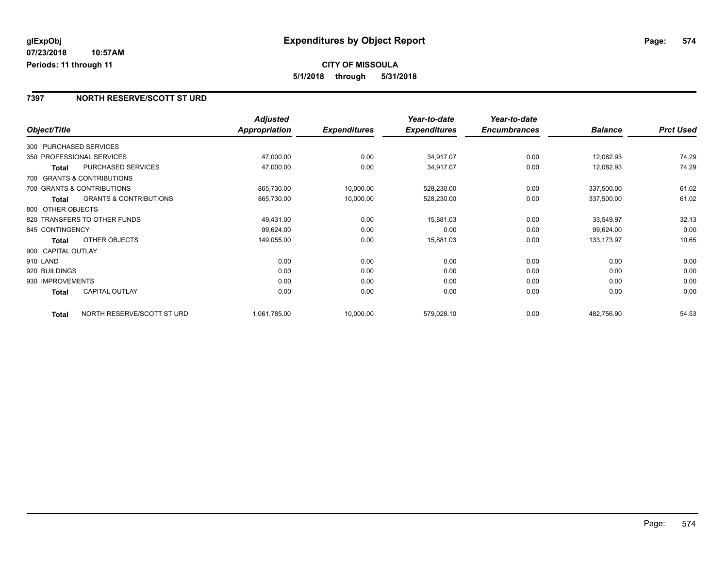### **7397 NORTH RESERVE/SCOTT ST URD**

|                    |                                   | <b>Adjusted</b> |                     | Year-to-date        | Year-to-date        |                |                  |
|--------------------|-----------------------------------|-----------------|---------------------|---------------------|---------------------|----------------|------------------|
| Object/Title       |                                   | Appropriation   | <b>Expenditures</b> | <b>Expenditures</b> | <b>Encumbrances</b> | <b>Balance</b> | <b>Prct Used</b> |
|                    | 300 PURCHASED SERVICES            |                 |                     |                     |                     |                |                  |
|                    | 350 PROFESSIONAL SERVICES         | 47,000.00       | 0.00                | 34,917.07           | 0.00                | 12,082.93      | 74.29            |
| Total              | PURCHASED SERVICES                | 47,000.00       | 0.00                | 34,917.07           | 0.00                | 12,082.93      | 74.29            |
|                    | 700 GRANTS & CONTRIBUTIONS        |                 |                     |                     |                     |                |                  |
|                    | 700 GRANTS & CONTRIBUTIONS        | 865,730.00      | 10,000.00           | 528,230.00          | 0.00                | 337,500.00     | 61.02            |
| <b>Total</b>       | <b>GRANTS &amp; CONTRIBUTIONS</b> | 865,730.00      | 10,000.00           | 528,230.00          | 0.00                | 337,500.00     | 61.02            |
| 800 OTHER OBJECTS  |                                   |                 |                     |                     |                     |                |                  |
|                    | 820 TRANSFERS TO OTHER FUNDS      | 49,431.00       | 0.00                | 15,881.03           | 0.00                | 33,549.97      | 32.13            |
| 845 CONTINGENCY    |                                   | 99,624.00       | 0.00                | 0.00                | 0.00                | 99,624.00      | 0.00             |
| <b>Total</b>       | OTHER OBJECTS                     | 149,055.00      | 0.00                | 15,881.03           | 0.00                | 133,173.97     | 10.65            |
| 900 CAPITAL OUTLAY |                                   |                 |                     |                     |                     |                |                  |
| 910 LAND           |                                   | 0.00            | 0.00                | 0.00                | 0.00                | 0.00           | 0.00             |
| 920 BUILDINGS      |                                   | 0.00            | 0.00                | 0.00                | 0.00                | 0.00           | 0.00             |
| 930 IMPROVEMENTS   |                                   | 0.00            | 0.00                | 0.00                | 0.00                | 0.00           | 0.00             |
| Total              | <b>CAPITAL OUTLAY</b>             | 0.00            | 0.00                | 0.00                | 0.00                | 0.00           | 0.00             |
| <b>Total</b>       | NORTH RESERVE/SCOTT ST URD        | 1,061,785.00    | 10,000.00           | 579,028.10          | 0.00                | 482,756.90     | 54.53            |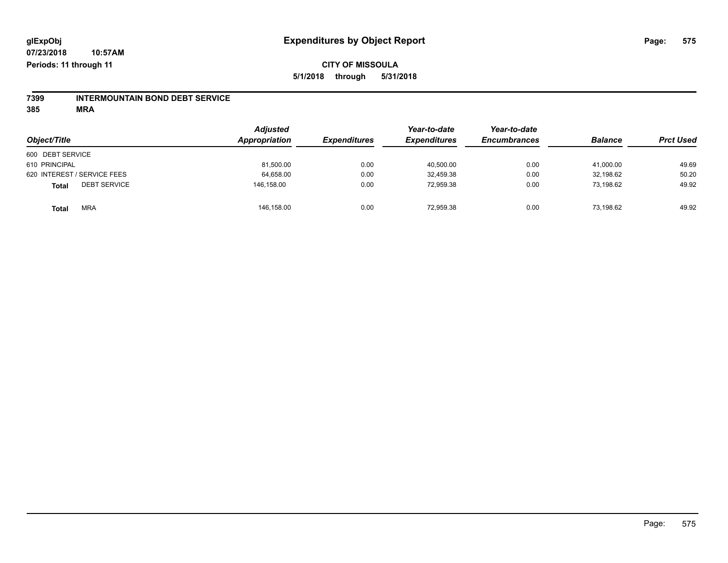# **CITY OF MISSOULA 5/1/2018 through 5/31/2018**

# **7399 INTERMOUNTAIN BOND DEBT SERVICE**

| Object/Title                 | <b>Adjusted</b><br>Appropriation | <b>Expenditures</b> | Year-to-date<br><b>Expenditures</b> | Year-to-date<br><b>Encumbrances</b> | <b>Balance</b> | <b>Prct Used</b> |
|------------------------------|----------------------------------|---------------------|-------------------------------------|-------------------------------------|----------------|------------------|
| 600 DEBT SERVICE             |                                  |                     |                                     |                                     |                |                  |
| 610 PRINCIPAL                | 81,500.00                        | 0.00                | 40.500.00                           | 0.00                                | 41.000.00      | 49.69            |
| 620 INTEREST / SERVICE FEES  | 64,658.00                        | 0.00                | 32.459.38                           | 0.00                                | 32.198.62      | 50.20            |
| <b>DEBT SERVICE</b><br>Total | 146.158.00                       | 0.00                | 72,959.38                           | 0.00                                | 73,198.62      | 49.92            |
| <b>MRA</b><br><b>Total</b>   | 146,158.00                       | 0.00                | 72,959.38                           | 0.00                                | 73,198.62      | 49.92            |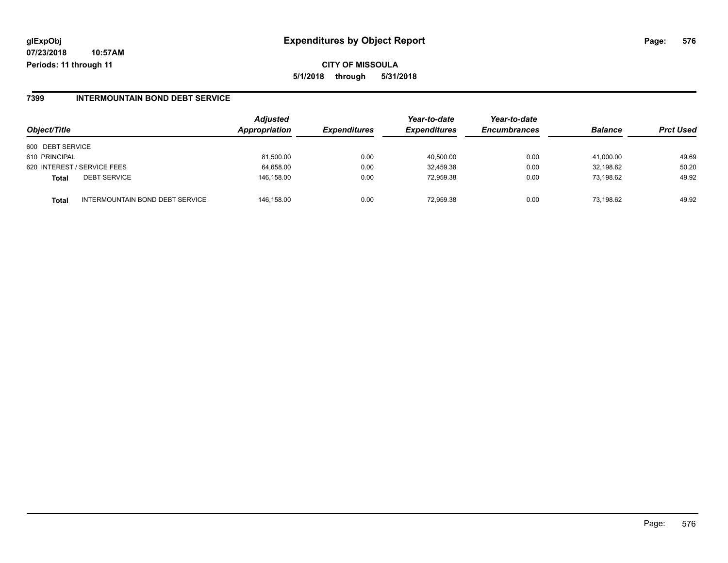**CITY OF MISSOULA 5/1/2018 through 5/31/2018**

#### **7399 INTERMOUNTAIN BOND DEBT SERVICE**

| Object/Title                             | <b>Adjusted</b><br>Appropriation | <b>Expenditures</b> | Year-to-date<br><b>Expenditures</b> | Year-to-date<br><b>Encumbrances</b> | <b>Balance</b> | <b>Prct Used</b> |
|------------------------------------------|----------------------------------|---------------------|-------------------------------------|-------------------------------------|----------------|------------------|
| 600 DEBT SERVICE                         |                                  |                     |                                     |                                     |                |                  |
| 610 PRINCIPAL                            | 81,500.00                        | 0.00                | 40,500.00                           | 0.00                                | 41,000.00      | 49.69            |
| 620 INTEREST / SERVICE FEES              | 64,658.00                        | 0.00                | 32,459.38                           | 0.00                                | 32,198.62      | 50.20            |
| <b>DEBT SERVICE</b><br>Total             | 146,158.00                       | 0.00                | 72.959.38                           | 0.00                                | 73,198.62      | 49.92            |
| INTERMOUNTAIN BOND DEBT SERVICE<br>Total | 146.158.00                       | 0.00                | 72.959.38                           | 0.00                                | 73.198.62      | 49.92            |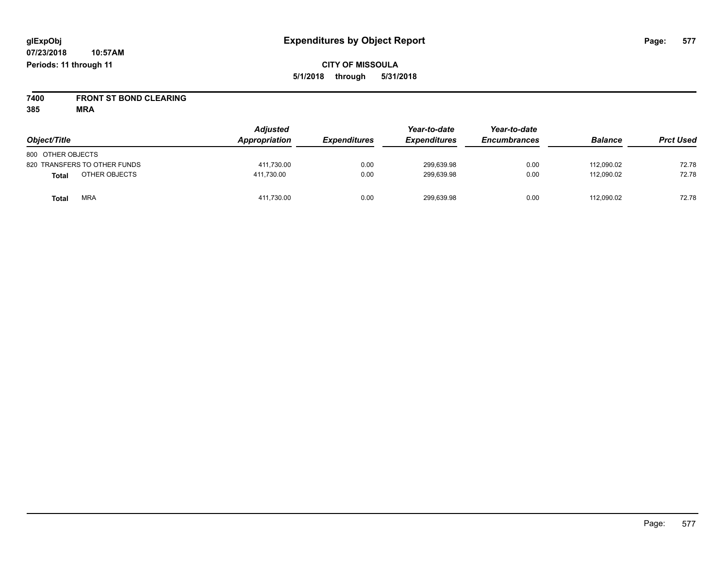**CITY OF MISSOULA 5/1/2018 through 5/31/2018**

**7400 FRONT ST BOND CLEARING**

**385 MRA**

| Object/Title                  | <b>Adjusted</b><br>Appropriation | <b>Expenditures</b> | Year-to-date<br><b>Expenditures</b> | Year-to-date<br><b>Encumbrances</b> | <b>Balance</b> | <b>Prct Used</b> |
|-------------------------------|----------------------------------|---------------------|-------------------------------------|-------------------------------------|----------------|------------------|
| 800 OTHER OBJECTS             |                                  |                     |                                     |                                     |                |                  |
| 820 TRANSFERS TO OTHER FUNDS  | 411,730.00                       | 0.00                | 299,639.98                          | 0.00                                | 112.090.02     | 72.78            |
| OTHER OBJECTS<br><b>Total</b> | 411.730.00                       | 0.00                | 299,639.98                          | 0.00                                | 112.090.02     | 72.78            |
| <b>MRA</b><br>Total           | 411,730.00                       | 0.00                | 299,639.98                          | 0.00                                | 112.090.02     | 72.78            |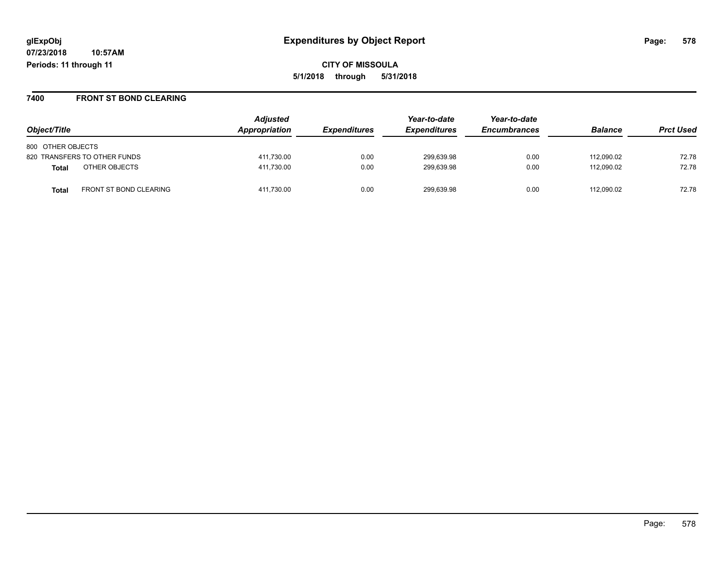### **7400 FRONT ST BOND CLEARING**

|                                        | <b>Adjusted</b><br>Appropriation<br><b>Expenditures</b> | Year-to-date | Year-to-date        |                     |                |                  |
|----------------------------------------|---------------------------------------------------------|--------------|---------------------|---------------------|----------------|------------------|
| Object/Title                           |                                                         |              | <b>Expenditures</b> | <b>Encumbrances</b> | <b>Balance</b> | <b>Prct Used</b> |
| 800 OTHER OBJECTS                      |                                                         |              |                     |                     |                |                  |
| 820 TRANSFERS TO OTHER FUNDS           | 411,730.00                                              | 0.00         | 299,639.98          | 0.00                | 112.090.02     | 72.78            |
| OTHER OBJECTS<br>Total                 | 411,730.00                                              | 0.00         | 299,639.98          | 0.00                | 112.090.02     | 72.78            |
| FRONT ST BOND CLEARING<br><b>Total</b> | 411.730.00                                              | 0.00         | 299,639.98          | 0.00                | 112.090.02     | 72.78            |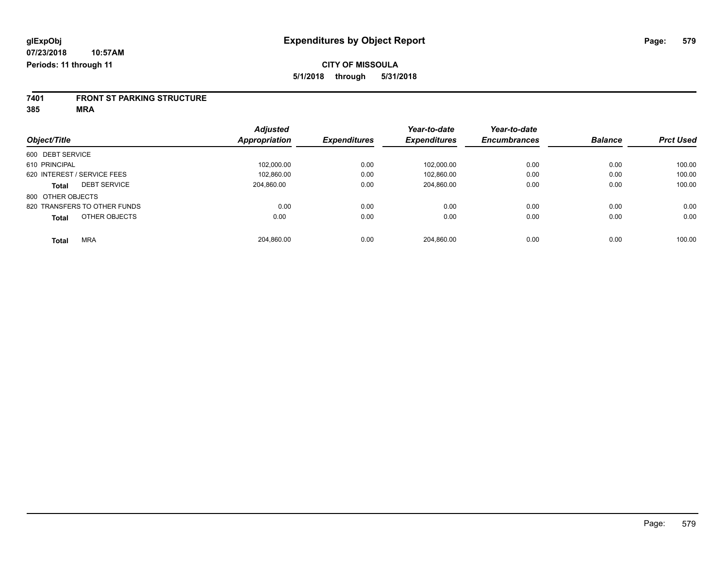# **7401 FRONT ST PARKING STRUCTURE**

**385 MRA**

|                                     | <b>Adjusted</b>      | <b>Expenditures</b> | Year-to-date<br><b>Expenditures</b> | Year-to-date        | <b>Balance</b> |                  |
|-------------------------------------|----------------------|---------------------|-------------------------------------|---------------------|----------------|------------------|
| Object/Title                        | <b>Appropriation</b> |                     |                                     | <b>Encumbrances</b> |                | <b>Prct Used</b> |
| 600 DEBT SERVICE                    |                      |                     |                                     |                     |                |                  |
| 610 PRINCIPAL                       | 102,000.00           | 0.00                | 102.000.00                          | 0.00                | 0.00           | 100.00           |
| 620 INTEREST / SERVICE FEES         | 102,860.00           | 0.00                | 102,860.00                          | 0.00                | 0.00           | 100.00           |
| <b>DEBT SERVICE</b><br><b>Total</b> | 204,860.00           | 0.00                | 204,860.00                          | 0.00                | 0.00           | 100.00           |
| 800 OTHER OBJECTS                   |                      |                     |                                     |                     |                |                  |
| 820 TRANSFERS TO OTHER FUNDS        | 0.00                 | 0.00                | 0.00                                | 0.00                | 0.00           | 0.00             |
| OTHER OBJECTS<br><b>Total</b>       | 0.00                 | 0.00                | 0.00                                | 0.00                | 0.00           | 0.00             |
| <b>MRA</b><br><b>Total</b>          | 204.860.00           | 0.00                | 204.860.00                          | 0.00                | 0.00           | 100.00           |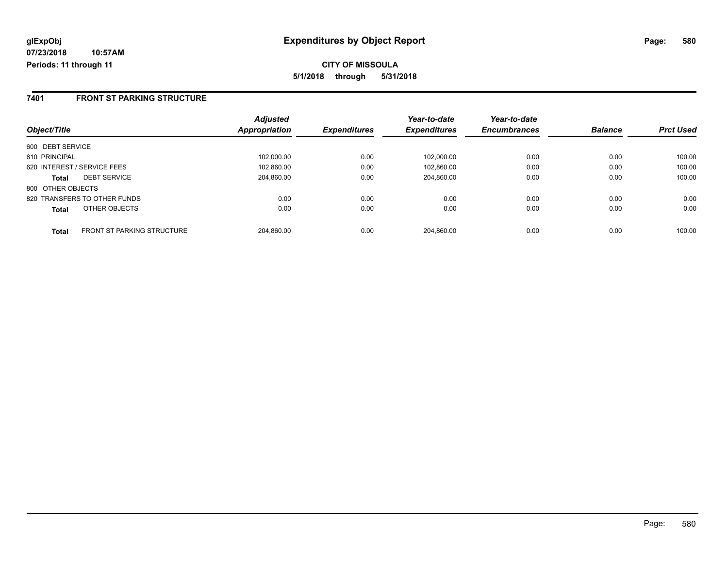## **7401 FRONT ST PARKING STRUCTURE**

|                                                   | <b>Adjusted</b><br>Appropriation | <b>Expenditures</b> | Year-to-date<br><b>Expenditures</b> | Year-to-date<br><b>Encumbrances</b> | <b>Balance</b> | <b>Prct Used</b> |
|---------------------------------------------------|----------------------------------|---------------------|-------------------------------------|-------------------------------------|----------------|------------------|
| Object/Title                                      |                                  |                     |                                     |                                     |                |                  |
| 600 DEBT SERVICE                                  |                                  |                     |                                     |                                     |                |                  |
| 610 PRINCIPAL                                     | 102.000.00                       | 0.00                | 102.000.00                          | 0.00                                | 0.00           | 100.00           |
| 620 INTEREST / SERVICE FEES                       | 102.860.00                       | 0.00                | 102.860.00                          | 0.00                                | 0.00           | 100.00           |
| <b>DEBT SERVICE</b><br><b>Total</b>               | 204.860.00                       | 0.00                | 204.860.00                          | 0.00                                | 0.00           | 100.00           |
| 800 OTHER OBJECTS                                 |                                  |                     |                                     |                                     |                |                  |
| 820 TRANSFERS TO OTHER FUNDS                      | 0.00                             | 0.00                | 0.00                                | 0.00                                | 0.00           | 0.00             |
| OTHER OBJECTS<br><b>Total</b>                     | 0.00                             | 0.00                | 0.00                                | 0.00                                | 0.00           | 0.00             |
| <b>FRONT ST PARKING STRUCTURE</b><br><b>Total</b> | 204.860.00                       | 0.00                | 204.860.00                          | 0.00                                | 0.00           | 100.00           |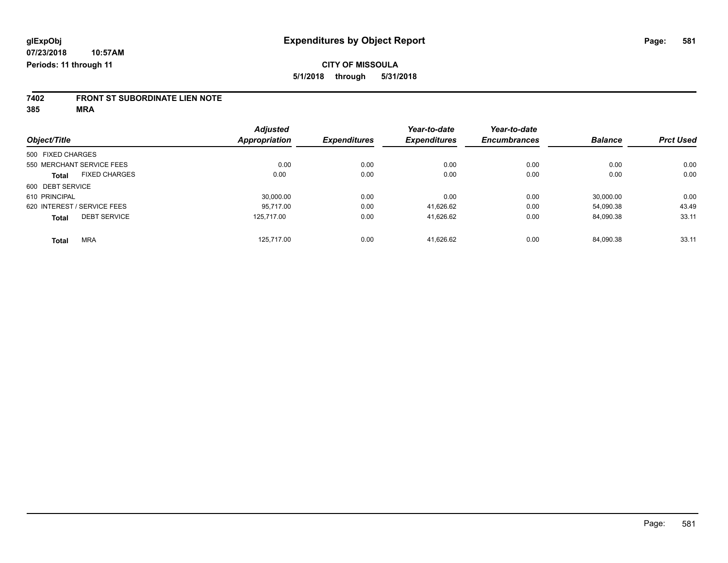# **CITY OF MISSOULA 5/1/2018 through 5/31/2018**

# **7402 FRONT ST SUBORDINATE LIEN NOTE**

**385 MRA**

|                                      | <b>Adjusted</b>      |                     | Year-to-date        | Year-to-date        |                |                  |
|--------------------------------------|----------------------|---------------------|---------------------|---------------------|----------------|------------------|
| Object/Title                         | <b>Appropriation</b> | <b>Expenditures</b> | <b>Expenditures</b> | <b>Encumbrances</b> | <b>Balance</b> | <b>Prct Used</b> |
| 500 FIXED CHARGES                    |                      |                     |                     |                     |                |                  |
| 550 MERCHANT SERVICE FEES            | 0.00                 | 0.00                | 0.00                | 0.00                | 0.00           | 0.00             |
| <b>FIXED CHARGES</b><br><b>Total</b> | 0.00                 | 0.00                | 0.00                | 0.00                | 0.00           | 0.00             |
| 600 DEBT SERVICE                     |                      |                     |                     |                     |                |                  |
| 610 PRINCIPAL                        | 30,000.00            | 0.00                | 0.00                | 0.00                | 30.000.00      | 0.00             |
| 620 INTEREST / SERVICE FEES          | 95.717.00            | 0.00                | 41,626.62           | 0.00                | 54,090.38      | 43.49            |
| <b>DEBT SERVICE</b><br><b>Total</b>  | 125.717.00           | 0.00                | 41,626.62           | 0.00                | 84,090.38      | 33.11            |
| <b>MRA</b><br><b>Total</b>           | 125.717.00           | 0.00                | 41,626.62           | 0.00                | 84.090.38      | 33.11            |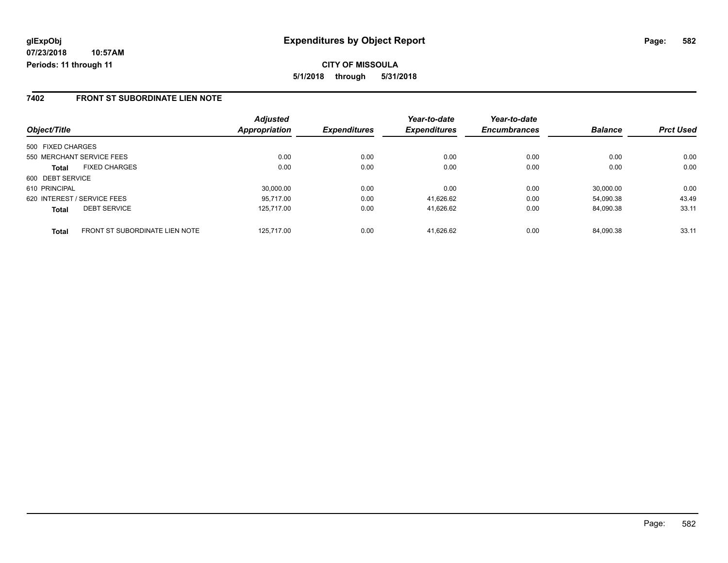**CITY OF MISSOULA 5/1/2018 through 5/31/2018**

## **7402 FRONT ST SUBORDINATE LIEN NOTE**

| Object/Title                                          | <b>Adjusted</b><br><b>Appropriation</b> | <b>Expenditures</b> | Year-to-date<br><b>Expenditures</b> | Year-to-date<br><b>Encumbrances</b> | <b>Balance</b> | <b>Prct Used</b> |
|-------------------------------------------------------|-----------------------------------------|---------------------|-------------------------------------|-------------------------------------|----------------|------------------|
|                                                       |                                         |                     |                                     |                                     |                |                  |
| 500 FIXED CHARGES                                     |                                         |                     |                                     |                                     |                |                  |
| 550 MERCHANT SERVICE FEES                             | 0.00                                    | 0.00                | 0.00                                | 0.00                                | 0.00           | 0.00             |
| <b>FIXED CHARGES</b><br><b>Total</b>                  | 0.00                                    | 0.00                | 0.00                                | 0.00                                | 0.00           | 0.00             |
| 600 DEBT SERVICE                                      |                                         |                     |                                     |                                     |                |                  |
| 610 PRINCIPAL                                         | 30.000.00                               | 0.00                | 0.00                                | 0.00                                | 30.000.00      | 0.00             |
| 620 INTEREST / SERVICE FEES                           | 95.717.00                               | 0.00                | 41,626.62                           | 0.00                                | 54.090.38      | 43.49            |
| <b>DEBT SERVICE</b><br><b>Total</b>                   | 125,717.00                              | 0.00                | 41,626.62                           | 0.00                                | 84.090.38      | 33.11            |
| <b>FRONT ST SUBORDINATE LIEN NOTE</b><br><b>Total</b> | 125.717.00                              | 0.00                | 41,626.62                           | 0.00                                | 84.090.38      | 33.11            |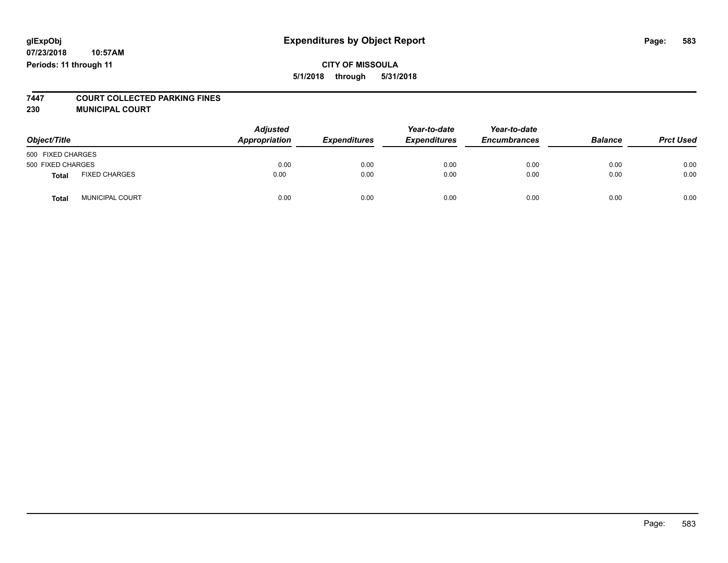## **CITY OF MISSOULA 5/1/2018 through 5/31/2018**

# **7447 COURT COLLECTED PARKING FINES**

**230 MUNICIPAL COURT**

| Object/Title      |                        | <b>Adjusted</b><br>Appropriation | <b>Expenditures</b> | Year-to-date<br><b>Expenditures</b> | Year-to-date<br><b>Encumbrances</b> | <b>Balance</b> | <b>Prct Used</b> |
|-------------------|------------------------|----------------------------------|---------------------|-------------------------------------|-------------------------------------|----------------|------------------|
| 500 FIXED CHARGES |                        |                                  |                     |                                     |                                     |                |                  |
| 500 FIXED CHARGES |                        | 0.00                             | 0.00                | 0.00                                | 0.00                                | 0.00           | 0.00             |
| <b>Total</b>      | <b>FIXED CHARGES</b>   | 0.00                             | 0.00                | 0.00                                | 0.00                                | 0.00           | 0.00             |
| <b>Total</b>      | <b>MUNICIPAL COURT</b> | 0.00                             | 0.00                | 0.00                                | 0.00                                | 0.00           | 0.00             |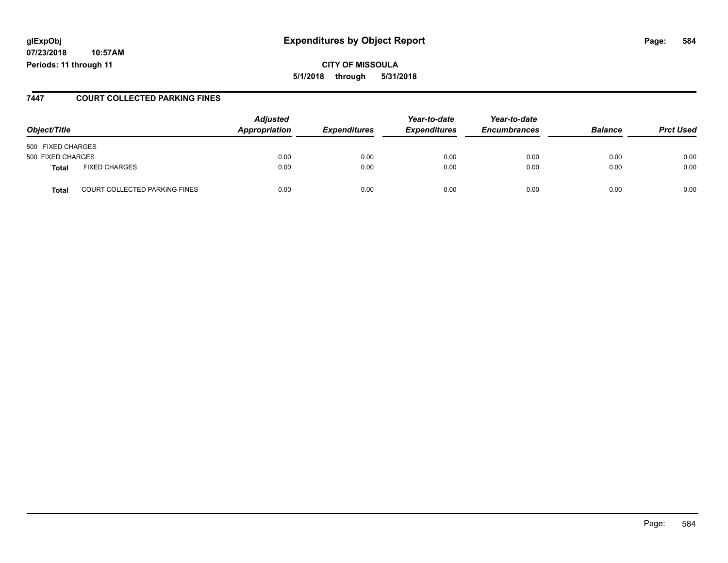# **glExpObj Expenditures by Object Report Page: 584**

**07/23/2018 10:57AM Periods: 11 through 11**

**CITY OF MISSOULA 5/1/2018 through 5/31/2018**

### **7447 COURT COLLECTED PARKING FINES**

| Object/Title                                         | <b>Adjusted</b><br>Appropriation | <b>Expenditures</b> | Year-to-date<br><b>Expenditures</b> | Year-to-date<br><b>Encumbrances</b> | <b>Balance</b> | <b>Prct Used</b> |
|------------------------------------------------------|----------------------------------|---------------------|-------------------------------------|-------------------------------------|----------------|------------------|
| 500 FIXED CHARGES                                    |                                  |                     |                                     |                                     |                |                  |
| 500 FIXED CHARGES                                    | 0.00                             | 0.00                | 0.00                                | 0.00                                | 0.00           | 0.00             |
| <b>FIXED CHARGES</b><br>Total                        | 0.00                             | 0.00                | 0.00                                | 0.00                                | 0.00           | 0.00             |
| <b>COURT COLLECTED PARKING FINES</b><br><b>Total</b> | 0.00                             | 0.00                | 0.00                                | 0.00                                | 0.00           | 0.00             |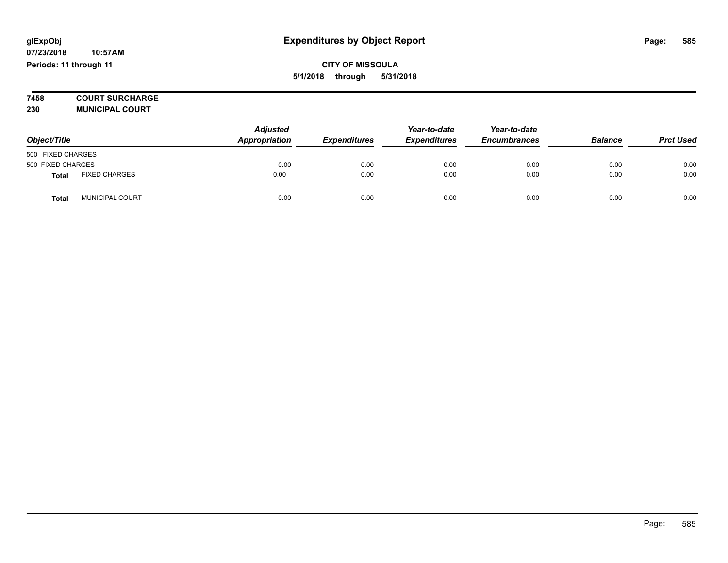**7458 COURT SURCHARGE 230 MUNICIPAL COURT**

| Object/Title      |                        | <b>Adjusted</b><br>Appropriation | <b>Expenditures</b> | Year-to-date<br><b>Expenditures</b> | Year-to-date<br><b>Encumbrances</b> | <b>Balance</b> | <b>Prct Used</b> |
|-------------------|------------------------|----------------------------------|---------------------|-------------------------------------|-------------------------------------|----------------|------------------|
| 500 FIXED CHARGES |                        |                                  |                     |                                     |                                     |                |                  |
| 500 FIXED CHARGES |                        | 0.00                             | 0.00                | 0.00                                | 0.00                                | 0.00           | 0.00             |
| Total             | <b>FIXED CHARGES</b>   | 0.00                             | 0.00                | 0.00                                | 0.00                                | 0.00           | 0.00             |
| Total             | <b>MUNICIPAL COURT</b> | 0.00                             | 0.00                | 0.00                                | 0.00                                | 0.00           | 0.00             |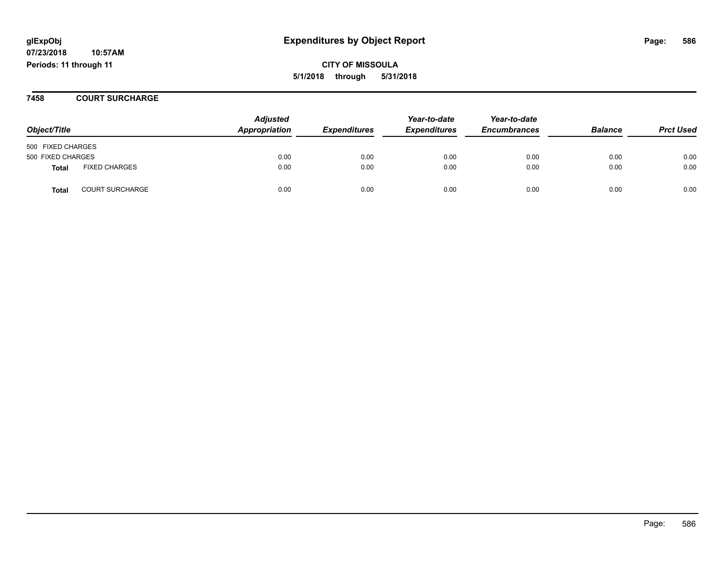**CITY OF MISSOULA 5/1/2018 through 5/31/2018**

**7458 COURT SURCHARGE**

|                                        | <b>Adjusted</b> |                     |                     | Year-to-date        |                |                  |
|----------------------------------------|-----------------|---------------------|---------------------|---------------------|----------------|------------------|
| Object/Title                           | Appropriation   | <b>Expenditures</b> | <b>Expenditures</b> | <b>Encumbrances</b> | <b>Balance</b> | <b>Prct Used</b> |
| 500 FIXED CHARGES                      |                 |                     |                     |                     |                |                  |
| 500 FIXED CHARGES                      | 0.00            | 0.00                | 0.00                | 0.00                | 0.00           | 0.00             |
| <b>FIXED CHARGES</b><br>Total          | 0.00            | 0.00                | 0.00                | 0.00                | 0.00           | 0.00             |
| <b>COURT SURCHARGE</b><br><b>Total</b> | 0.00            | 0.00                | 0.00                | 0.00                | 0.00           | 0.00             |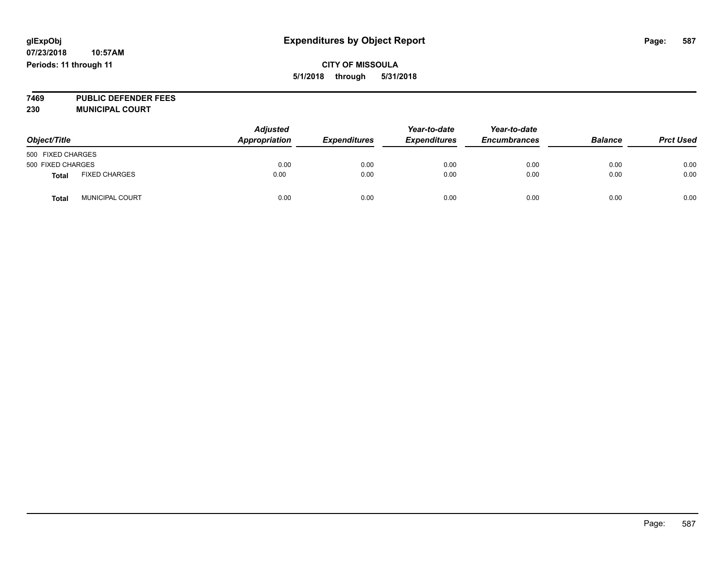# **CITY OF MISSOULA 5/1/2018 through 5/31/2018**

**7469 PUBLIC DEFENDER FEES 230 MUNICIPAL COURT**

| Object/Title      |                        | <b>Adjusted</b><br>Appropriation | <b>Expenditures</b> | Year-to-date<br><b>Expenditures</b> | Year-to-date<br><b>Encumbrances</b> | <b>Balance</b> | <b>Prct Used</b> |
|-------------------|------------------------|----------------------------------|---------------------|-------------------------------------|-------------------------------------|----------------|------------------|
| 500 FIXED CHARGES |                        |                                  |                     |                                     |                                     |                |                  |
| 500 FIXED CHARGES |                        | 0.00                             | 0.00                | 0.00                                | 0.00                                | 0.00           | 0.00             |
| <b>Total</b>      | <b>FIXED CHARGES</b>   | 0.00                             | 0.00                | 0.00                                | 0.00                                | 0.00           | 0.00             |
| Tota              | <b>MUNICIPAL COURT</b> | 0.00                             | 0.00                | 0.00                                | 0.00                                | 0.00           | 0.00             |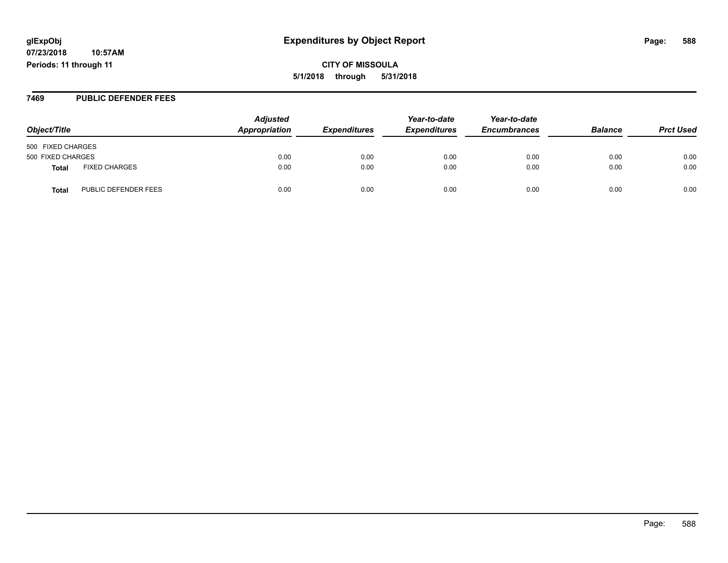**CITY OF MISSOULA 5/1/2018 through 5/31/2018**

### **7469 PUBLIC DEFENDER FEES**

| Object/Title                  | <b>Adjusted</b><br>Appropriation | <b>Expenditures</b> | Year-to-date<br><b>Expenditures</b> | Year-to-date<br><b>Encumbrances</b> | <b>Balance</b> | <b>Prct Used</b> |
|-------------------------------|----------------------------------|---------------------|-------------------------------------|-------------------------------------|----------------|------------------|
|                               |                                  |                     |                                     |                                     |                |                  |
| 500 FIXED CHARGES             |                                  |                     |                                     |                                     |                |                  |
| 500 FIXED CHARGES             | 0.00                             | 0.00                | 0.00                                | 0.00                                | 0.00           | 0.00             |
| <b>FIXED CHARGES</b><br>Total | 0.00                             | 0.00                | 0.00                                | 0.00                                | 0.00           | 0.00             |
| PUBLIC DEFENDER FEES<br>Total | 0.00                             | 0.00                | 0.00                                | 0.00                                | 0.00           | 0.00             |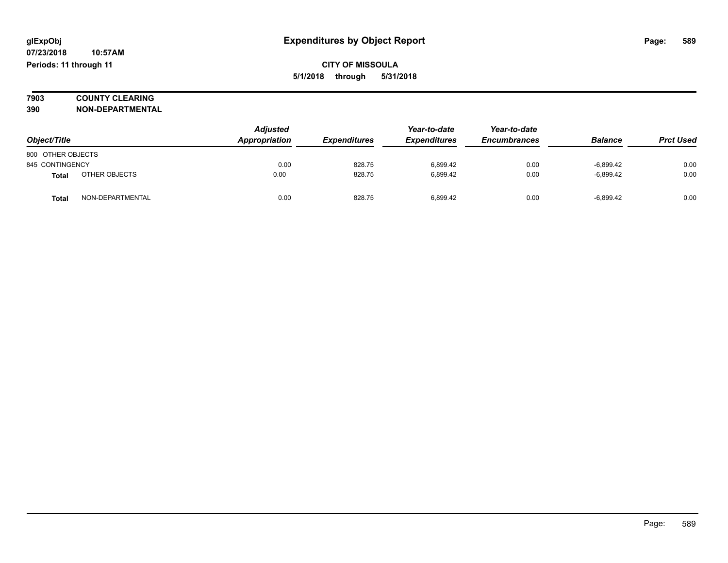### **7903 COUNTY CLEARING 390 NON-DEPARTMENTAL**

| Object/Title      |                  | <b>Adjusted</b><br>Appropriation | <b>Expenditures</b> | Year-to-date<br><b>Expenditures</b> | Year-to-date<br><b>Encumbrances</b> | <b>Balance</b> | <b>Prct Used</b> |
|-------------------|------------------|----------------------------------|---------------------|-------------------------------------|-------------------------------------|----------------|------------------|
| 800 OTHER OBJECTS |                  |                                  |                     |                                     |                                     |                |                  |
| 845 CONTINGENCY   |                  | 0.00                             | 828.75              | 6.899.42                            | 0.00                                | $-6.899.42$    | 0.00             |
| Total             | OTHER OBJECTS    | 0.00                             | 828.75              | 6,899.42                            | 0.00                                | $-6,899.42$    | 0.00             |
| <b>Total</b>      | NON-DEPARTMENTAL | 0.00                             | 828.75              | 6,899.42                            | 0.00                                | $-6,899.42$    | 0.00             |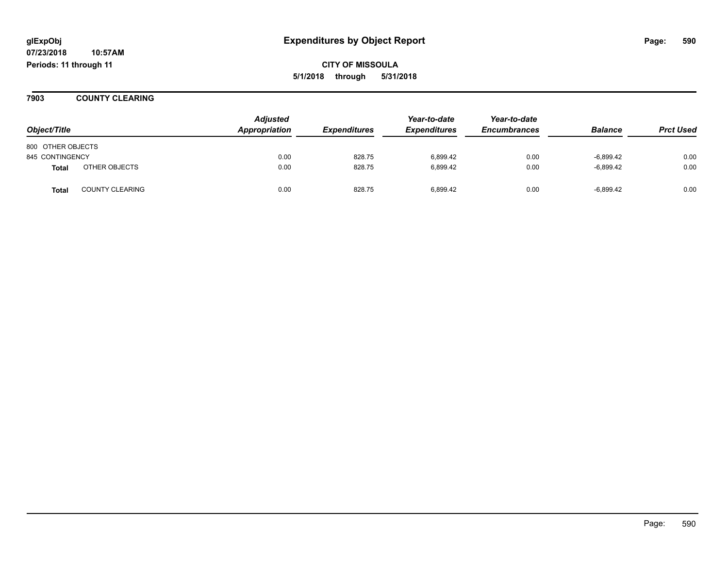# **CITY OF MISSOULA 5/1/2018 through 5/31/2018**

**7903 COUNTY CLEARING**

| Object/Title      |                        | <b>Adjusted</b><br>Appropriation |                     | Year-to-date        | Year-to-date<br><b>Encumbrances</b> |                | <b>Prct Used</b> |
|-------------------|------------------------|----------------------------------|---------------------|---------------------|-------------------------------------|----------------|------------------|
|                   |                        |                                  | <b>Expenditures</b> | <b>Expenditures</b> |                                     | <b>Balance</b> |                  |
| 800 OTHER OBJECTS |                        |                                  |                     |                     |                                     |                |                  |
| 845 CONTINGENCY   |                        | 0.00                             | 828.75              | 6,899.42            | 0.00                                | $-6,899.42$    | 0.00             |
| <b>Total</b>      | OTHER OBJECTS          | 0.00                             | 828.75              | 6,899.42            | 0.00                                | $-6.899.42$    | 0.00             |
| <b>Total</b>      | <b>COUNTY CLEARING</b> | 0.00                             | 828.75              | 6.899.42            | 0.00                                | $-6.899.42$    | 0.00             |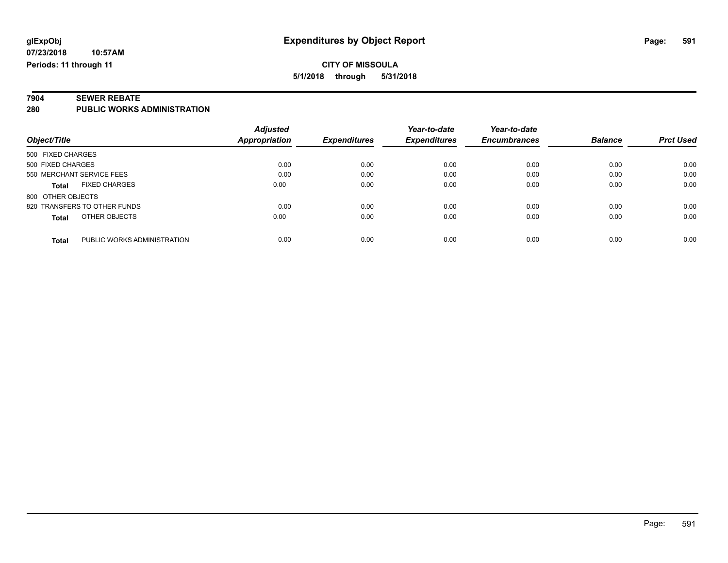# **CITY OF MISSOULA 5/1/2018 through 5/31/2018**

# **7904 SEWER REBATE**

**280 PUBLIC WORKS ADMINISTRATION**

|                                             | <b>Adjusted</b>      |                     | Year-to-date<br><b>Expenditures</b> | Year-to-date<br><b>Encumbrances</b> | <b>Balance</b> | <b>Prct Used</b> |
|---------------------------------------------|----------------------|---------------------|-------------------------------------|-------------------------------------|----------------|------------------|
| Object/Title                                | <b>Appropriation</b> | <b>Expenditures</b> |                                     |                                     |                |                  |
| 500 FIXED CHARGES                           |                      |                     |                                     |                                     |                |                  |
| 500 FIXED CHARGES                           | 0.00                 | 0.00                | 0.00                                | 0.00                                | 0.00           | 0.00             |
| 550 MERCHANT SERVICE FEES                   | 0.00                 | 0.00                | 0.00                                | 0.00                                | 0.00           | 0.00             |
| <b>FIXED CHARGES</b><br><b>Total</b>        | 0.00                 | 0.00                | 0.00                                | 0.00                                | 0.00           | 0.00             |
| 800 OTHER OBJECTS                           |                      |                     |                                     |                                     |                |                  |
| 820 TRANSFERS TO OTHER FUNDS                | 0.00                 | 0.00                | 0.00                                | 0.00                                | 0.00           | 0.00             |
| OTHER OBJECTS<br><b>Total</b>               | 0.00                 | 0.00                | 0.00                                | 0.00                                | 0.00           | 0.00             |
| PUBLIC WORKS ADMINISTRATION<br><b>Total</b> | 0.00                 | 0.00                | 0.00                                | 0.00                                | 0.00           | 0.00             |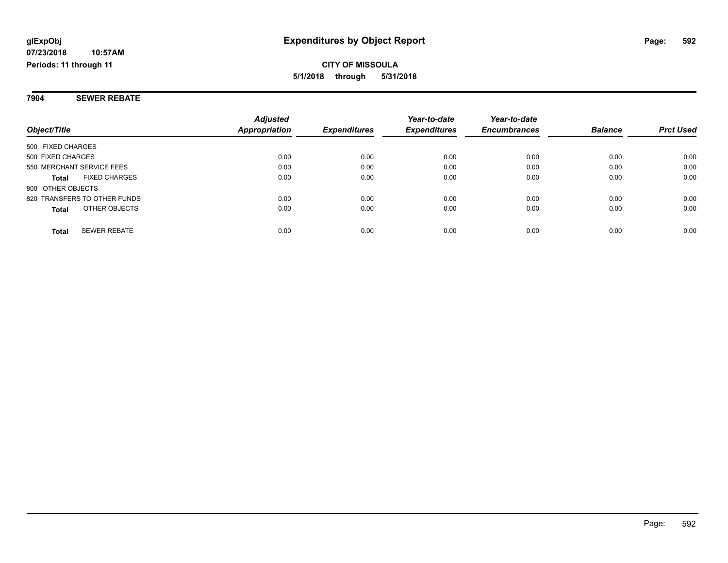**7904 SEWER REBATE**

|                                      | <b>Adjusted</b> |                     | Year-to-date<br><b>Expenditures</b> | Year-to-date<br><b>Encumbrances</b> | <b>Balance</b> | <b>Prct Used</b> |
|--------------------------------------|-----------------|---------------------|-------------------------------------|-------------------------------------|----------------|------------------|
| Object/Title                         | Appropriation   | <b>Expenditures</b> |                                     |                                     |                |                  |
| 500 FIXED CHARGES                    |                 |                     |                                     |                                     |                |                  |
| 500 FIXED CHARGES                    | 0.00            | 0.00                | 0.00                                | 0.00                                | 0.00           | 0.00             |
| 550 MERCHANT SERVICE FEES            | 0.00            | 0.00                | 0.00                                | 0.00                                | 0.00           | 0.00             |
| <b>FIXED CHARGES</b><br><b>Total</b> | 0.00            | 0.00                | 0.00                                | 0.00                                | 0.00           | 0.00             |
| 800 OTHER OBJECTS                    |                 |                     |                                     |                                     |                |                  |
| 820 TRANSFERS TO OTHER FUNDS         | 0.00            | 0.00                | 0.00                                | 0.00                                | 0.00           | 0.00             |
| OTHER OBJECTS<br><b>Total</b>        | 0.00            | 0.00                | 0.00                                | 0.00                                | 0.00           | 0.00             |
| <b>SEWER REBATE</b><br><b>Total</b>  | 0.00            | 0.00                | 0.00                                | 0.00                                | 0.00           | 0.00             |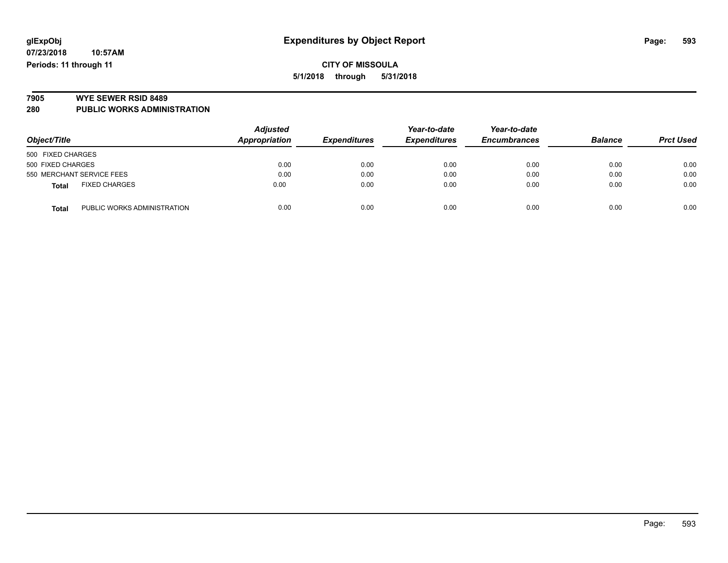**CITY OF MISSOULA 5/1/2018 through 5/31/2018**

# **7905 WYE SEWER RSID 8489**

**280 PUBLIC WORKS ADMINISTRATION**

| Object/Title                                | <b>Adjusted</b><br>Appropriation | <b>Expenditures</b> | Year-to-date<br><b>Expenditures</b> | Year-to-date<br><b>Encumbrances</b> | <b>Balance</b> | <b>Prct Used</b> |
|---------------------------------------------|----------------------------------|---------------------|-------------------------------------|-------------------------------------|----------------|------------------|
| 500 FIXED CHARGES                           |                                  |                     |                                     |                                     |                |                  |
| 500 FIXED CHARGES                           | 0.00                             | 0.00                | 0.00                                | 0.00                                | 0.00           | 0.00             |
| 550 MERCHANT SERVICE FEES                   | 0.00                             | 0.00                | 0.00                                | 0.00                                | 0.00           | 0.00             |
| <b>FIXED CHARGES</b><br><b>Total</b>        | 0.00                             | 0.00                | 0.00                                | 0.00                                | 0.00           | 0.00             |
| PUBLIC WORKS ADMINISTRATION<br><b>Total</b> | 0.00                             | 0.00                | 0.00                                | 0.00                                | 0.00           | 0.00             |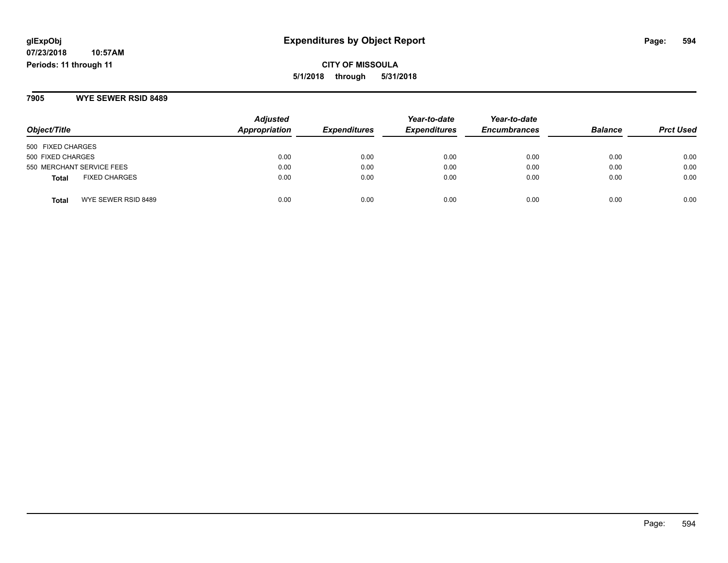**CITY OF MISSOULA 5/1/2018 through 5/31/2018**

**7905 WYE SEWER RSID 8489**

| Object/Title                         | <b>Adjusted</b><br>Appropriation | <b>Expenditures</b> | Year-to-date<br><b>Expenditures</b> | Year-to-date<br><b>Encumbrances</b> | <b>Balance</b> | <b>Prct Used</b> |
|--------------------------------------|----------------------------------|---------------------|-------------------------------------|-------------------------------------|----------------|------------------|
| 500 FIXED CHARGES                    |                                  |                     |                                     |                                     |                |                  |
| 500 FIXED CHARGES                    | 0.00                             | 0.00                | 0.00                                | 0.00                                | 0.00           | 0.00             |
| 550 MERCHANT SERVICE FEES            | 0.00                             | 0.00                | 0.00                                | 0.00                                | 0.00           | 0.00             |
| <b>FIXED CHARGES</b><br><b>Total</b> | 0.00                             | 0.00                | 0.00                                | 0.00                                | 0.00           | 0.00             |
| WYE SEWER RSID 8489<br><b>Total</b>  | 0.00                             | 0.00                | 0.00                                | 0.00                                | 0.00           | 0.00             |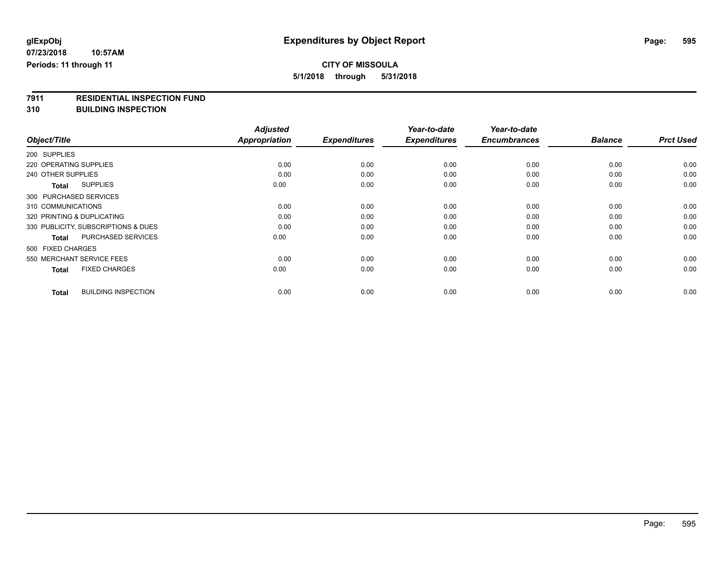# **7911 RESIDENTIAL INSPECTION FUND**

**310 BUILDING INSPECTION**

|                                            | <b>Adjusted</b><br>Appropriation | <b>Expenditures</b> | Year-to-date<br><b>Expenditures</b> | Year-to-date<br><b>Encumbrances</b> | <b>Balance</b> | <b>Prct Used</b> |
|--------------------------------------------|----------------------------------|---------------------|-------------------------------------|-------------------------------------|----------------|------------------|
| Object/Title                               |                                  |                     |                                     |                                     |                |                  |
| 200 SUPPLIES                               |                                  |                     |                                     |                                     |                |                  |
| 220 OPERATING SUPPLIES                     | 0.00                             | 0.00                | 0.00                                | 0.00                                | 0.00           | 0.00             |
| 240 OTHER SUPPLIES                         | 0.00                             | 0.00                | 0.00                                | 0.00                                | 0.00           | 0.00             |
| <b>SUPPLIES</b><br><b>Total</b>            | 0.00                             | 0.00                | 0.00                                | 0.00                                | 0.00           | 0.00             |
| 300 PURCHASED SERVICES                     |                                  |                     |                                     |                                     |                |                  |
| 310 COMMUNICATIONS                         | 0.00                             | 0.00                | 0.00                                | 0.00                                | 0.00           | 0.00             |
| 320 PRINTING & DUPLICATING                 | 0.00                             | 0.00                | 0.00                                | 0.00                                | 0.00           | 0.00             |
| 330 PUBLICITY, SUBSCRIPTIONS & DUES        | 0.00                             | 0.00                | 0.00                                | 0.00                                | 0.00           | 0.00             |
| PURCHASED SERVICES<br><b>Total</b>         | 0.00                             | 0.00                | 0.00                                | 0.00                                | 0.00           | 0.00             |
| 500 FIXED CHARGES                          |                                  |                     |                                     |                                     |                |                  |
| 550 MERCHANT SERVICE FEES                  | 0.00                             | 0.00                | 0.00                                | 0.00                                | 0.00           | 0.00             |
| <b>FIXED CHARGES</b><br><b>Total</b>       | 0.00                             | 0.00                | 0.00                                | 0.00                                | 0.00           | 0.00             |
| <b>BUILDING INSPECTION</b><br><b>Total</b> | 0.00                             | 0.00                | 0.00                                | 0.00                                | 0.00           | 0.00             |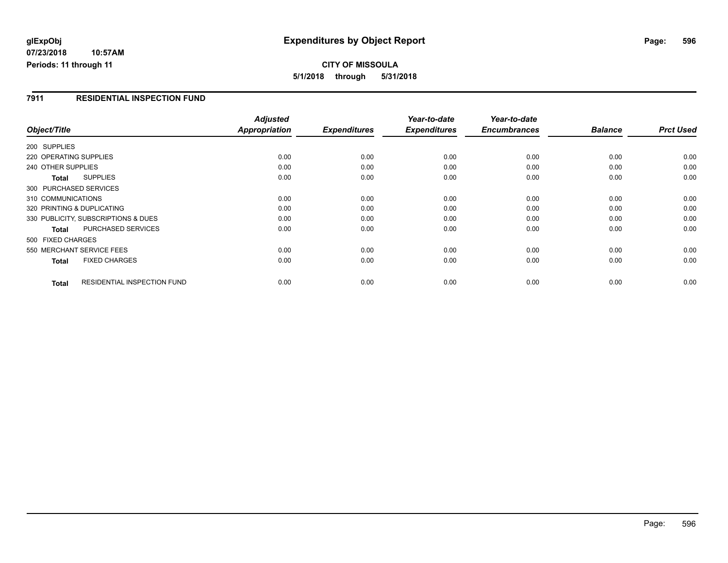# **CITY OF MISSOULA 5/1/2018 through 5/31/2018**

## **7911 RESIDENTIAL INSPECTION FUND**

|                        |                                     | <b>Adjusted</b> |                     | Year-to-date        | Year-to-date        |                |                  |
|------------------------|-------------------------------------|-----------------|---------------------|---------------------|---------------------|----------------|------------------|
| Object/Title           |                                     | Appropriation   | <b>Expenditures</b> | <b>Expenditures</b> | <b>Encumbrances</b> | <b>Balance</b> | <b>Prct Used</b> |
| 200 SUPPLIES           |                                     |                 |                     |                     |                     |                |                  |
| 220 OPERATING SUPPLIES |                                     | 0.00            | 0.00                | 0.00                | 0.00                | 0.00           | 0.00             |
| 240 OTHER SUPPLIES     |                                     | 0.00            | 0.00                | 0.00                | 0.00                | 0.00           | 0.00             |
| <b>Total</b>           | <b>SUPPLIES</b>                     | 0.00            | 0.00                | 0.00                | 0.00                | 0.00           | 0.00             |
| 300 PURCHASED SERVICES |                                     |                 |                     |                     |                     |                |                  |
| 310 COMMUNICATIONS     |                                     | 0.00            | 0.00                | 0.00                | 0.00                | 0.00           | 0.00             |
|                        | 320 PRINTING & DUPLICATING          | 0.00            | 0.00                | 0.00                | 0.00                | 0.00           | 0.00             |
|                        | 330 PUBLICITY, SUBSCRIPTIONS & DUES | 0.00            | 0.00                | 0.00                | 0.00                | 0.00           | 0.00             |
| <b>Total</b>           | <b>PURCHASED SERVICES</b>           | 0.00            | 0.00                | 0.00                | 0.00                | 0.00           | 0.00             |
| 500 FIXED CHARGES      |                                     |                 |                     |                     |                     |                |                  |
|                        | 550 MERCHANT SERVICE FEES           | 0.00            | 0.00                | 0.00                | 0.00                | 0.00           | 0.00             |
| <b>Total</b>           | <b>FIXED CHARGES</b>                | 0.00            | 0.00                | 0.00                | 0.00                | 0.00           | 0.00             |
| <b>Total</b>           | <b>RESIDENTIAL INSPECTION FUND</b>  | 0.00            | 0.00                | 0.00                | 0.00                | 0.00           | 0.00             |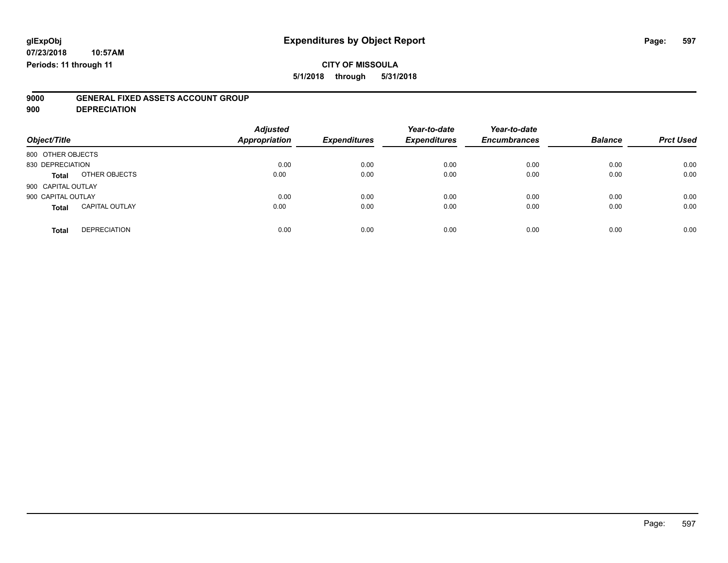# **9000 GENERAL FIXED ASSETS ACCOUNT GROUP**

**900 DEPRECIATION**

| Object/Title                          | <b>Adjusted</b><br><b>Appropriation</b> | <b>Expenditures</b> | Year-to-date<br><b>Expenditures</b> | Year-to-date<br><b>Encumbrances</b> | <b>Balance</b> | <b>Prct Used</b> |
|---------------------------------------|-----------------------------------------|---------------------|-------------------------------------|-------------------------------------|----------------|------------------|
| 800 OTHER OBJECTS                     |                                         |                     |                                     |                                     |                |                  |
| 830 DEPRECIATION                      | 0.00                                    | 0.00                | 0.00                                | 0.00                                | 0.00           | 0.00             |
| OTHER OBJECTS<br><b>Total</b>         | 0.00                                    | 0.00                | 0.00                                | 0.00                                | 0.00           | 0.00             |
| 900 CAPITAL OUTLAY                    |                                         |                     |                                     |                                     |                |                  |
| 900 CAPITAL OUTLAY                    | 0.00                                    | 0.00                | 0.00                                | 0.00                                | 0.00           | 0.00             |
| <b>CAPITAL OUTLAY</b><br><b>Total</b> | 0.00                                    | 0.00                | 0.00                                | 0.00                                | 0.00           | 0.00             |
| <b>DEPRECIATION</b><br><b>Total</b>   | 0.00                                    | 0.00                | 0.00                                | 0.00                                | 0.00           | 0.00             |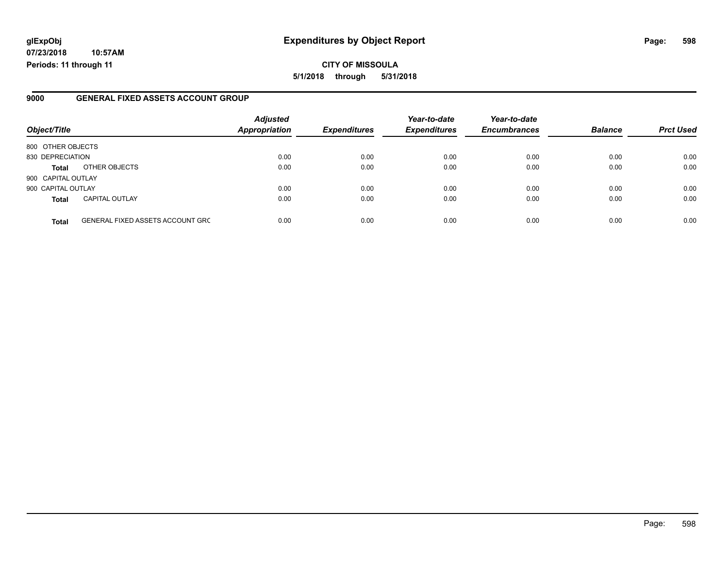## **glExpObj Expenditures by Object Report Page: 598**

**07/23/2018 10:57AM Periods: 11 through 11**

**CITY OF MISSOULA 5/1/2018 through 5/31/2018**

### **9000 GENERAL FIXED ASSETS ACCOUNT GROUP**

|                    |                                         | <b>Adjusted</b>      |                     | Year-to-date        | Year-to-date        |                |                  |
|--------------------|-----------------------------------------|----------------------|---------------------|---------------------|---------------------|----------------|------------------|
| Object/Title       |                                         | <b>Appropriation</b> | <b>Expenditures</b> | <b>Expenditures</b> | <b>Encumbrances</b> | <b>Balance</b> | <b>Prct Used</b> |
| 800 OTHER OBJECTS  |                                         |                      |                     |                     |                     |                |                  |
| 830 DEPRECIATION   |                                         | 0.00                 | 0.00                | 0.00                | 0.00                | 0.00           | 0.00             |
| Total              | OTHER OBJECTS                           | 0.00                 | 0.00                | 0.00                | 0.00                | 0.00           | 0.00             |
| 900 CAPITAL OUTLAY |                                         |                      |                     |                     |                     |                |                  |
| 900 CAPITAL OUTLAY |                                         | 0.00                 | 0.00                | 0.00                | 0.00                | 0.00           | 0.00             |
| <b>Total</b>       | <b>CAPITAL OUTLAY</b>                   | 0.00                 | 0.00                | 0.00                | 0.00                | 0.00           | 0.00             |
| <b>Total</b>       | <b>GENERAL FIXED ASSETS ACCOUNT GRC</b> | 0.00                 | 0.00                | 0.00                | 0.00                | 0.00           | 0.00             |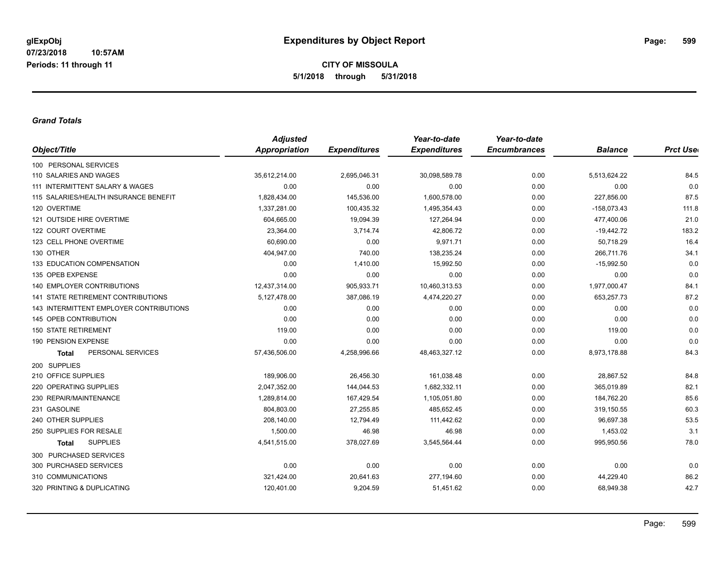### *Grand Totals*

|                                           | <b>Adjusted</b> |                     | Year-to-date        | Year-to-date        |                |                  |
|-------------------------------------------|-----------------|---------------------|---------------------|---------------------|----------------|------------------|
| Object/Title                              | Appropriation   | <b>Expenditures</b> | <b>Expenditures</b> | <b>Encumbrances</b> | <b>Balance</b> | <b>Prct Uset</b> |
| 100 PERSONAL SERVICES                     |                 |                     |                     |                     |                |                  |
| 110 SALARIES AND WAGES                    | 35,612,214.00   | 2,695,046.31        | 30,098,589.78       | 0.00                | 5,513,624.22   | 84.5             |
| 111 INTERMITTENT SALARY & WAGES           | 0.00            | 0.00                | 0.00                | 0.00                | 0.00           | 0.0              |
| 115 SALARIES/HEALTH INSURANCE BENEFIT     | 1,828,434.00    | 145,536.00          | 1,600,578.00        | 0.00                | 227,856.00     | 87.5             |
| 120 OVERTIME                              | 1,337,281.00    | 100,435.32          | 1,495,354.43        | 0.00                | $-158,073.43$  | 111.8            |
| 121 OUTSIDE HIRE OVERTIME                 | 604,665.00      | 19,094.39           | 127,264.94          | 0.00                | 477,400.06     | 21.0             |
| 122 COURT OVERTIME                        | 23,364.00       | 3,714.74            | 42,806.72           | 0.00                | $-19,442.72$   | 183.2            |
| 123 CELL PHONE OVERTIME                   | 60,690.00       | 0.00                | 9,971.71            | 0.00                | 50,718.29      | 16.4             |
| 130 OTHER                                 | 404,947.00      | 740.00              | 138,235.24          | 0.00                | 266,711.76     | 34.1             |
| 133 EDUCATION COMPENSATION                | 0.00            | 1,410.00            | 15,992.50           | 0.00                | $-15,992.50$   | 0.0              |
| 135 OPEB EXPENSE                          | 0.00            | 0.00                | 0.00                | 0.00                | 0.00           | 0.0              |
| 140 EMPLOYER CONTRIBUTIONS                | 12,437,314.00   | 905,933.71          | 10,460,313.53       | 0.00                | 1,977,000.47   | 84.1             |
| <b>141 STATE RETIREMENT CONTRIBUTIONS</b> | 5,127,478.00    | 387,086.19          | 4,474,220.27        | 0.00                | 653,257.73     | 87.2             |
| 143 INTERMITTENT EMPLOYER CONTRIBUTIONS   | 0.00            | 0.00                | 0.00                | 0.00                | 0.00           | 0.0              |
| 145 OPEB CONTRIBUTION                     | 0.00            | 0.00                | 0.00                | 0.00                | 0.00           | 0.0              |
| <b>150 STATE RETIREMENT</b>               | 119.00          | 0.00                | 0.00                | 0.00                | 119.00         | 0.0              |
| 190 PENSION EXPENSE                       | 0.00            | 0.00                | 0.00                | 0.00                | 0.00           | 0.0              |
| PERSONAL SERVICES<br><b>Total</b>         | 57,436,506.00   | 4,258,996.66        | 48,463,327.12       | 0.00                | 8,973,178.88   | 84.3             |
| 200 SUPPLIES                              |                 |                     |                     |                     |                |                  |
| 210 OFFICE SUPPLIES                       | 189,906.00      | 26,456.30           | 161,038.48          | 0.00                | 28,867.52      | 84.8             |
| 220 OPERATING SUPPLIES                    | 2,047,352.00    | 144,044.53          | 1,682,332.11        | 0.00                | 365,019.89     | 82.1             |
| 230 REPAIR/MAINTENANCE                    | 1,289,814.00    | 167,429.54          | 1,105,051.80        | 0.00                | 184,762.20     | 85.6             |
| 231 GASOLINE                              | 804,803.00      | 27,255.85           | 485,652.45          | 0.00                | 319,150.55     | 60.3             |
| 240 OTHER SUPPLIES                        | 208,140.00      | 12,794.49           | 111,442.62          | 0.00                | 96,697.38      | 53.5             |
| 250 SUPPLIES FOR RESALE                   | 1,500.00        | 46.98               | 46.98               | 0.00                | 1,453.02       | 3.1              |
| <b>SUPPLIES</b><br>Total                  | 4,541,515.00    | 378,027.69          | 3,545,564.44        | 0.00                | 995,950.56     | 78.0             |
| 300 PURCHASED SERVICES                    |                 |                     |                     |                     |                |                  |
| 300 PURCHASED SERVICES                    | 0.00            | 0.00                | 0.00                | 0.00                | 0.00           | 0.0              |
| 310 COMMUNICATIONS                        | 321,424.00      | 20,641.63           | 277,194.60          | 0.00                | 44,229.40      | 86.2             |
| 320 PRINTING & DUPLICATING                | 120,401.00      | 9,204.59            | 51,451.62           | 0.00                | 68,949.38      | 42.7             |
|                                           |                 |                     |                     |                     |                |                  |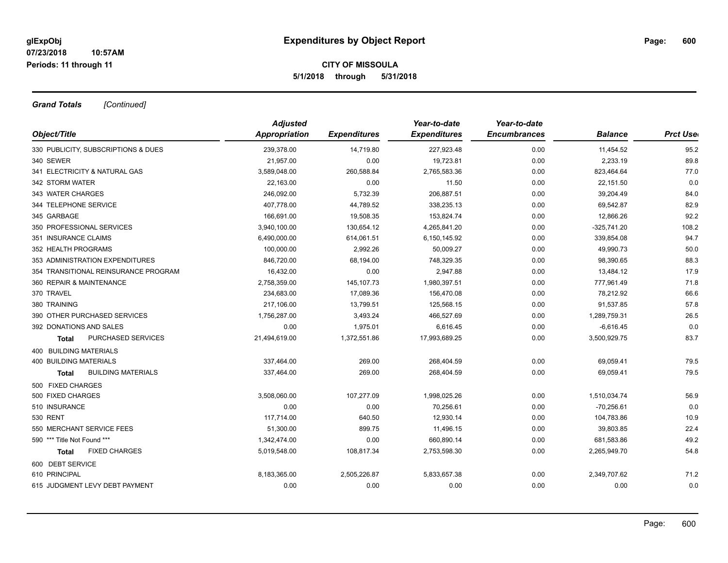*Grand Totals [Continued]*

|                                           | <b>Adjusted</b> |                     | Year-to-date        | Year-to-date        |                |                  |
|-------------------------------------------|-----------------|---------------------|---------------------|---------------------|----------------|------------------|
| Object/Title                              | Appropriation   | <b>Expenditures</b> | <b>Expenditures</b> | <b>Encumbrances</b> | <b>Balance</b> | <b>Prct Uset</b> |
| 330 PUBLICITY, SUBSCRIPTIONS & DUES       | 239,378.00      | 14,719.80           | 227,923.48          | 0.00                | 11,454.52      | 95.2             |
| 340 SEWER                                 | 21,957.00       | 0.00                | 19,723.81           | 0.00                | 2,233.19       | 89.8             |
| 341 ELECTRICITY & NATURAL GAS             | 3,589,048.00    | 260,588.84          | 2,765,583.36        | 0.00                | 823,464.64     | 77.0             |
| 342 STORM WATER                           | 22,163.00       | 0.00                | 11.50               | 0.00                | 22,151.50      | 0.0              |
| 343 WATER CHARGES                         | 246,092.00      | 5,732.39            | 206,887.51          | 0.00                | 39,204.49      | 84.0             |
| 344 TELEPHONE SERVICE                     | 407,778.00      | 44,789.52           | 338,235.13          | 0.00                | 69,542.87      | 82.9             |
| 345 GARBAGE                               | 166,691.00      | 19,508.35           | 153,824.74          | 0.00                | 12,866.26      | 92.2             |
| 350 PROFESSIONAL SERVICES                 | 3,940,100.00    | 130.654.12          | 4,265,841.20        | 0.00                | $-325,741.20$  | 108.2            |
| 351 INSURANCE CLAIMS                      | 6,490,000.00    | 614,061.51          | 6,150,145.92        | 0.00                | 339,854.08     | 94.7             |
| 352 HEALTH PROGRAMS                       | 100,000.00      | 2,992.26            | 50,009.27           | 0.00                | 49,990.73      | 50.0             |
| 353 ADMINISTRATION EXPENDITURES           | 846,720.00      | 68,194.00           | 748,329.35          | 0.00                | 98,390.65      | 88.3             |
| 354 TRANSITIONAL REINSURANCE PROGRAM      | 16,432.00       | 0.00                | 2,947.88            | 0.00                | 13,484.12      | 17.9             |
| 360 REPAIR & MAINTENANCE                  | 2,758,359.00    | 145, 107.73         | 1,980,397.51        | 0.00                | 777,961.49     | 71.8             |
| 370 TRAVEL                                | 234,683.00      | 17,089.36           | 156,470.08          | 0.00                | 78,212.92      | 66.6             |
| 380 TRAINING                              | 217,106.00      | 13,799.51           | 125,568.15          | 0.00                | 91,537.85      | 57.8             |
| 390 OTHER PURCHASED SERVICES              | 1,756,287.00    | 3,493.24            | 466,527.69          | 0.00                | 1,289,759.31   | 26.5             |
| 392 DONATIONS AND SALES                   | 0.00            | 1,975.01            | 6,616.45            | 0.00                | $-6,616.45$    | 0.0              |
| PURCHASED SERVICES<br>Total               | 21,494,619.00   | 1,372,551.86        | 17,993,689.25       | 0.00                | 3,500,929.75   | 83.7             |
| <b>400 BUILDING MATERIALS</b>             |                 |                     |                     |                     |                |                  |
| <b>400 BUILDING MATERIALS</b>             | 337,464.00      | 269.00              | 268,404.59          | 0.00                | 69,059.41      | 79.5             |
| <b>BUILDING MATERIALS</b><br><b>Total</b> | 337,464.00      | 269.00              | 268,404.59          | 0.00                | 69,059.41      | 79.5             |
| 500 FIXED CHARGES                         |                 |                     |                     |                     |                |                  |
| 500 FIXED CHARGES                         | 3,508,060.00    | 107,277.09          | 1,998,025.26        | 0.00                | 1,510,034.74   | 56.9             |
| 510 INSURANCE                             | 0.00            | 0.00                | 70,256.61           | 0.00                | $-70,256.61$   | 0.0              |
| 530 RENT                                  | 117,714.00      | 640.50              | 12.930.14           | 0.00                | 104,783.86     | 10.9             |
| 550 MERCHANT SERVICE FEES                 | 51,300.00       | 899.75              | 11,496.15           | 0.00                | 39,803.85      | 22.4             |
| 590 *** Title Not Found ***               | 1,342,474.00    | 0.00                | 660,890.14          | 0.00                | 681,583.86     | 49.2             |
| <b>FIXED CHARGES</b><br>Total             | 5,019,548.00    | 108,817.34          | 2,753,598.30        | 0.00                | 2,265,949.70   | 54.8             |
| 600 DEBT SERVICE                          |                 |                     |                     |                     |                |                  |
| 610 PRINCIPAL                             | 8,183,365.00    | 2,505,226.87        | 5,833,657.38        | 0.00                | 2,349,707.62   | 71.2             |
| 615 JUDGMENT LEVY DEBT PAYMENT            | 0.00            | 0.00                | 0.00                | 0.00                | 0.00           | 0.0              |